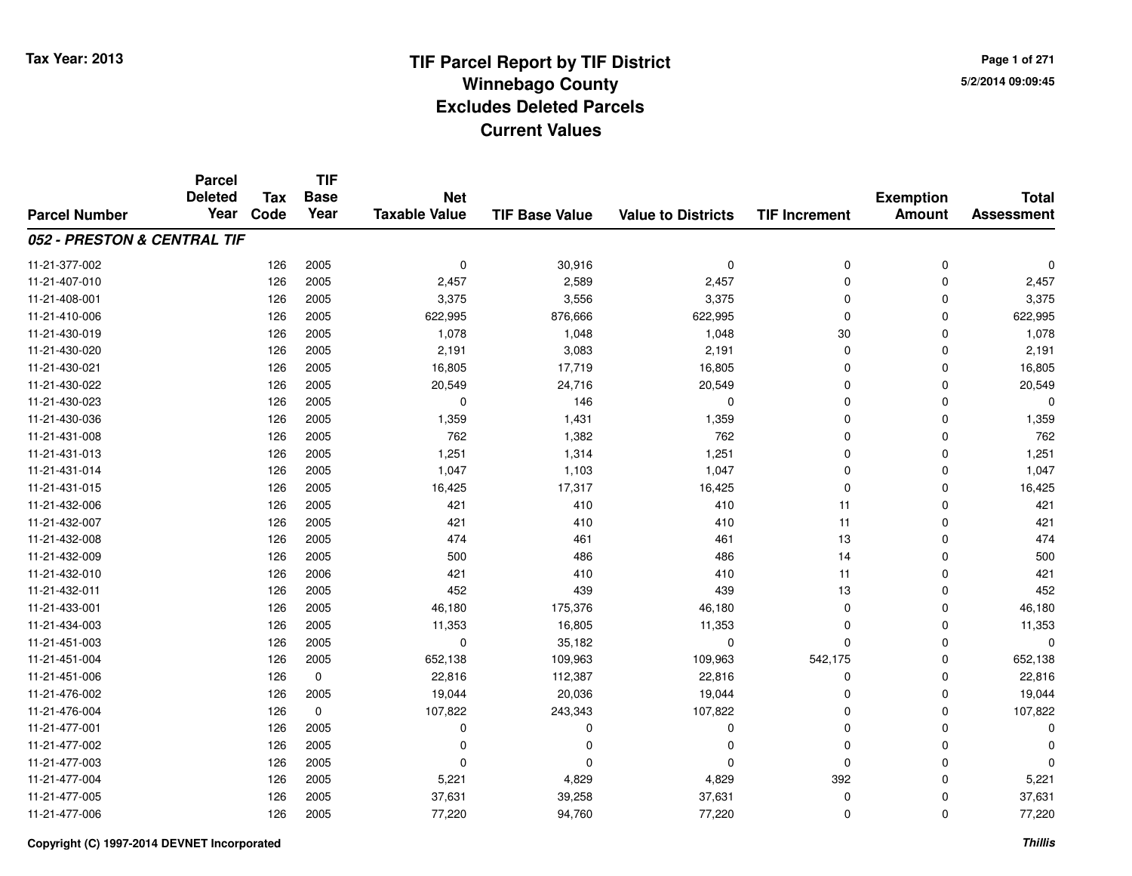# **TIF Parcel Report by TIF District Tax Year: 2013 Winnebago Countyy** 5/2/2014 09:09:45 **Excludes Deleted ParcelsCurrent Values**

**Page 1 of 2715/2/2014 09:09:45**

|                             | <b>Parcel</b><br><b>Deleted</b> | <b>Tax</b> | <b>TIF</b><br><b>Base</b> | <b>Net</b>           |                       |                           |                      | <b>Exemption</b> | <b>Total</b>      |
|-----------------------------|---------------------------------|------------|---------------------------|----------------------|-----------------------|---------------------------|----------------------|------------------|-------------------|
| <b>Parcel Number</b>        | Year                            | Code       | Year                      | <b>Taxable Value</b> | <b>TIF Base Value</b> | <b>Value to Districts</b> | <b>TIF Increment</b> | <b>Amount</b>    | <b>Assessment</b> |
| 052 - PRESTON & CENTRAL TIF |                                 |            |                           |                      |                       |                           |                      |                  |                   |
| 11-21-377-002               |                                 | 126        | 2005                      | 0                    | 30,916                | 0                         | 0                    | $\mathbf 0$      | 0                 |
| 11-21-407-010               |                                 | 126        | 2005                      | 2,457                | 2,589                 | 2,457                     | 0                    | $\mathbf 0$      | 2,457             |
| 11-21-408-001               |                                 | 126        | 2005                      | 3,375                | 3,556                 | 3,375                     | $\mathbf 0$          | $\Omega$         | 3,375             |
| 11-21-410-006               |                                 | 126        | 2005                      | 622,995              | 876,666               | 622,995                   | 0                    | $\Omega$         | 622,995           |
| 11-21-430-019               |                                 | 126        | 2005                      | 1,078                | 1,048                 | 1,048                     | 30                   | $\Omega$         | 1,078             |
| 11-21-430-020               |                                 | 126        | 2005                      | 2,191                | 3,083                 | 2,191                     | 0                    | 0                | 2,191             |
| 11-21-430-021               |                                 | 126        | 2005                      | 16,805               | 17,719                | 16,805                    | 0                    | 0                | 16,805            |
| 11-21-430-022               |                                 | 126        | 2005                      | 20,549               | 24,716                | 20,549                    | 0                    | $\Omega$         | 20,549            |
| 11-21-430-023               |                                 | 126        | 2005                      | 0                    | 146                   | $\mathbf 0$               | 0                    | $\Omega$         | $\Omega$          |
| 11-21-430-036               |                                 | 126        | 2005                      | 1,359                | 1,431                 | 1,359                     | 0                    | $\Omega$         | 1,359             |
| 11-21-431-008               |                                 | 126        | 2005                      | 762                  | 1,382                 | 762                       | $\mathbf 0$          | $\Omega$         | 762               |
| 11-21-431-013               |                                 | 126        | 2005                      | 1,251                | 1,314                 | 1,251                     | 0                    | $\Omega$         | 1,251             |
| 11-21-431-014               |                                 | 126        | 2005                      | 1,047                | 1,103                 | 1,047                     | $\mathbf 0$          | $\Omega$         | 1,047             |
| 11-21-431-015               |                                 | 126        | 2005                      | 16,425               | 17,317                | 16,425                    | 0                    | $\Omega$         | 16,425            |
| 11-21-432-006               |                                 | 126        | 2005                      | 421                  | 410                   | 410                       | 11                   | $\Omega$         | 421               |
| 11-21-432-007               |                                 | 126        | 2005                      | 421                  | 410                   | 410                       | 11                   | 0                | 421               |
| 11-21-432-008               |                                 | 126        | 2005                      | 474                  | 461                   | 461                       | 13                   | $\Omega$         | 474               |
| 11-21-432-009               |                                 | 126        | 2005                      | 500                  | 486                   | 486                       | 14                   | 0                | 500               |
| 11-21-432-010               |                                 | 126        | 2006                      | 421                  | 410                   | 410                       | 11                   | $\mathbf 0$      | 421               |
| 11-21-432-011               |                                 | 126        | 2005                      | 452                  | 439                   | 439                       | 13                   | 0                | 452               |
| 11-21-433-001               |                                 | 126        | 2005                      | 46,180               | 175,376               | 46,180                    | 0                    | $\mathbf 0$      | 46,180            |
| 11-21-434-003               |                                 | 126        | 2005                      | 11,353               | 16,805                | 11,353                    | 0                    | 0                | 11,353            |
| 11-21-451-003               |                                 | 126        | 2005                      | 0                    | 35,182                | 0                         | 0                    | $\mathbf 0$      | $\Omega$          |
| 11-21-451-004               |                                 | 126        | 2005                      | 652,138              | 109,963               | 109,963                   | 542,175              | 0                | 652,138           |
| 11-21-451-006               |                                 | 126        | $\pmb{0}$                 | 22,816               | 112,387               | 22,816                    | 0                    | $\Omega$         | 22,816            |
| 11-21-476-002               |                                 | 126        | 2005                      | 19,044               | 20,036                | 19,044                    | 0                    | $\mathbf 0$      | 19,044            |
| 11-21-476-004               |                                 | 126        | $\pmb{0}$                 | 107,822              | 243,343               | 107,822                   | 0                    | $\Omega$         | 107,822           |
| 11-21-477-001               |                                 | 126        | 2005                      | 0                    | 0                     | 0                         | 0                    | 0                | $\Omega$          |
| 11-21-477-002               |                                 | 126        | 2005                      | 0                    | 0                     | $\Omega$                  | 0                    | $\Omega$         | $\Omega$          |
| 11-21-477-003               |                                 | 126        | 2005                      | 0                    | 0                     | $\Omega$                  | 0                    | 0                | $\Omega$          |
| 11-21-477-004               |                                 | 126        | 2005                      | 5,221                | 4,829                 | 4,829                     | 392                  | $\Omega$         | 5,221             |
| 11-21-477-005               |                                 | 126        | 2005                      | 37,631               | 39,258                | 37,631                    | 0                    | 0                | 37,631            |
| 11-21-477-006               |                                 | 126        | 2005                      | 77,220               | 94,760                | 77,220                    | 0                    | $\Omega$         | 77,220            |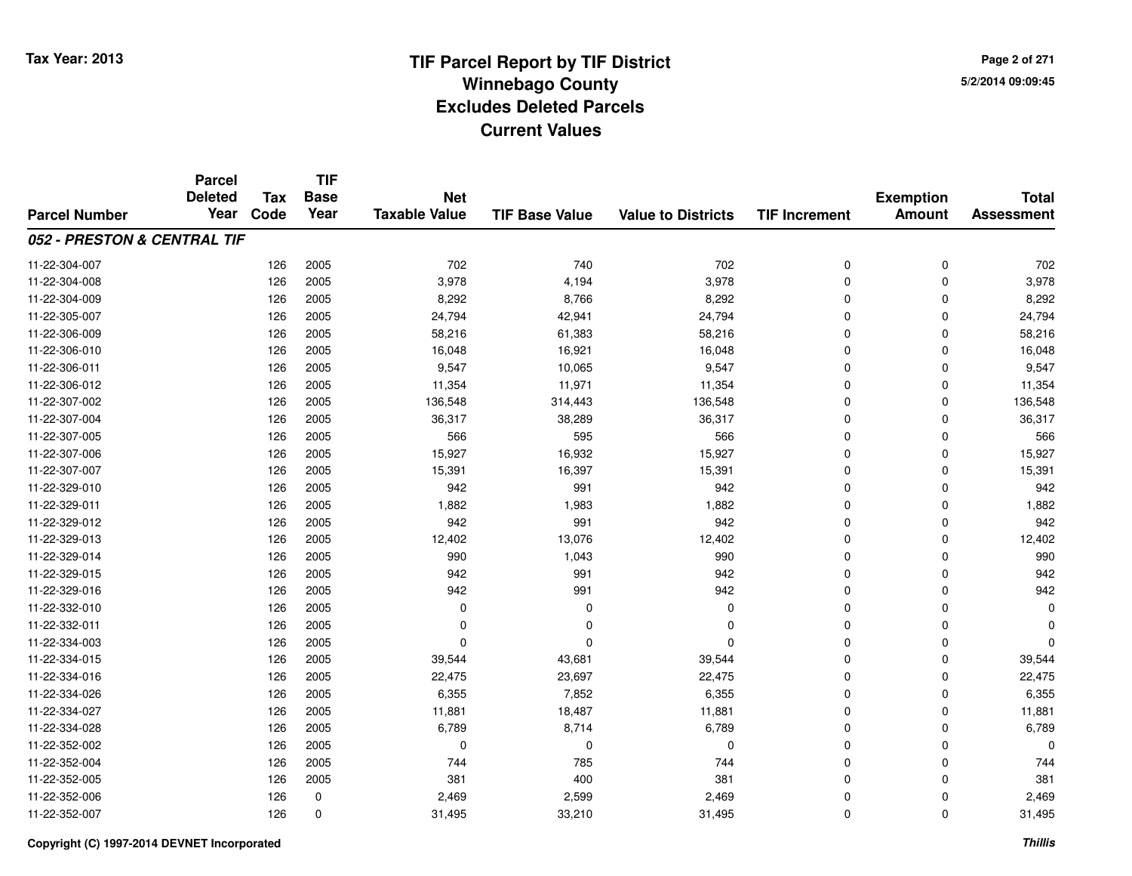**TIF**

**Parcel**

**Page 2 of 2715/2/2014 09:09:45**

#### **TIF Base ValueParcel NumberTotal AssessmentExemption Amount Value to Districts TIF Increment Base YearTax Code Deleted YearNet Taxable Value052 - PRESTON & CENTRAL TIF**11-22-304-007 <sup>126</sup> <sup>702</sup> <sup>2005</sup> <sup>740</sup> <sup>702</sup> <sup>0</sup> <sup>0</sup> <sup>702</sup> 11-22-304-008 <sup>126</sup> 3,978 <sup>2005</sup> 4,194 3,978 <sup>0</sup> <sup>0</sup> 3,978 11-22-304-0099 126 2005 8,292 8,766 8,292 0 0 8,292 11-22-305-007 <sup>126</sup> 24,794 <sup>2005</sup> 42,941 24,794 <sup>0</sup> <sup>0</sup> 24,794 11-22-306-0099 126 2005 58,216 61,383 58,216 0 0 58,216 11-22-306-0100 126 2005 16,048 16,921 16,048 0 0 16,048 11-22-306-0111 126 2005 9,547 10,065 9,547 0 0 9,547 11-22-306-012 <sup>126</sup> 11,354 <sup>2005</sup> 11,971 11,354 <sup>0</sup> <sup>0</sup> 11,354 11-22-307-0022 126 2005 136,548 314,443 136,548 0 136,548 11-22-307-004 <sup>126</sup> 36,317 <sup>2005</sup> 38,289 36,317 <sup>0</sup> <sup>0</sup> 36,317 11-22-307-005 <sup>126</sup> <sup>566</sup> <sup>2005</sup> <sup>595</sup> <sup>566</sup> <sup>0</sup> <sup>0</sup> <sup>566</sup> 11-22-307-0066 126 2005 15,927 16,932 15,927 0 0 15,927 11-22-307-007 <sup>126</sup> 15,391 <sup>2005</sup> 16,397 15,391 <sup>0</sup> <sup>0</sup> 15,391 11-22-329-010 <sup>126</sup> <sup>942</sup> <sup>2005</sup> <sup>991</sup> <sup>942</sup> <sup>0</sup> <sup>0</sup> <sup>942</sup> 11-22-329-0111 126 2005 1,882 1,983 1,882 0 0 1,882 11-22-329-012 <sup>126</sup> <sup>942</sup> <sup>2005</sup> <sup>991</sup> <sup>942</sup> <sup>0</sup> <sup>0</sup> <sup>942</sup> 11-22-329-0133 126 2005 12,402 13,076 12,402 0 0 12,402 11-22-329-014 <sup>126</sup> <sup>990</sup> <sup>2005</sup> 1,043 <sup>990</sup> <sup>0</sup> <sup>0</sup> <sup>990</sup> 11-22-329-0155 126 2005 942 991 942 0 0 942 11-22-329-0166 126 2005 942 991 942 0 0 942 11-22-332-010 <sup>126</sup> <sup>0</sup> <sup>2005</sup> <sup>0</sup> <sup>0</sup> <sup>0</sup> <sup>0</sup> <sup>0</sup> 11-22-332-011 <sup>126</sup> <sup>0</sup> <sup>2005</sup> <sup>0</sup> <sup>0</sup> <sup>0</sup> <sup>0</sup> <sup>0</sup> 11-22-334-003 <sup>126</sup> <sup>0</sup> <sup>2005</sup> <sup>0</sup> <sup>0</sup> <sup>0</sup> <sup>0</sup> <sup>0</sup> 11-22-334-015 <sup>126</sup> 39,544 <sup>2005</sup> 43,681 39,544 <sup>0</sup> <sup>0</sup> 39,544 11-22-334-016 <sup>126</sup> 22,475 <sup>2005</sup> 23,697 22,475 <sup>0</sup> <sup>0</sup> 22,475 11-22-334-0266 126 2005 6,355 7,852 6,355 0 0 6,355 11-22-334-027 <sup>126</sup> 11,881 <sup>2005</sup> 18,487 11,881 <sup>0</sup> <sup>0</sup> 11,881 11-22-334-028 <sup>126</sup> 6,789 <sup>2005</sup> 8,714 6,789 <sup>0</sup> <sup>0</sup> 6,789 11-22-352-002 <sup>126</sup> <sup>0</sup> <sup>2005</sup> <sup>0</sup> <sup>0</sup> <sup>0</sup> <sup>0</sup> <sup>0</sup> 11-22-352-004 <sup>126</sup> <sup>744</sup> <sup>2005</sup> <sup>785</sup> <sup>744</sup> <sup>0</sup> <sup>0</sup> <sup>744</sup> 11-22-352-005 <sup>126</sup> <sup>381</sup> <sup>2005</sup> <sup>400</sup> <sup>381</sup> <sup>0</sup> <sup>0</sup> <sup>381</sup> 11-22-352-0066 126 0 2,469 2,599 2,469 0 0 2,469 11-22-352-0077 126 0 31,495 33,210 31,495 0 0 31,495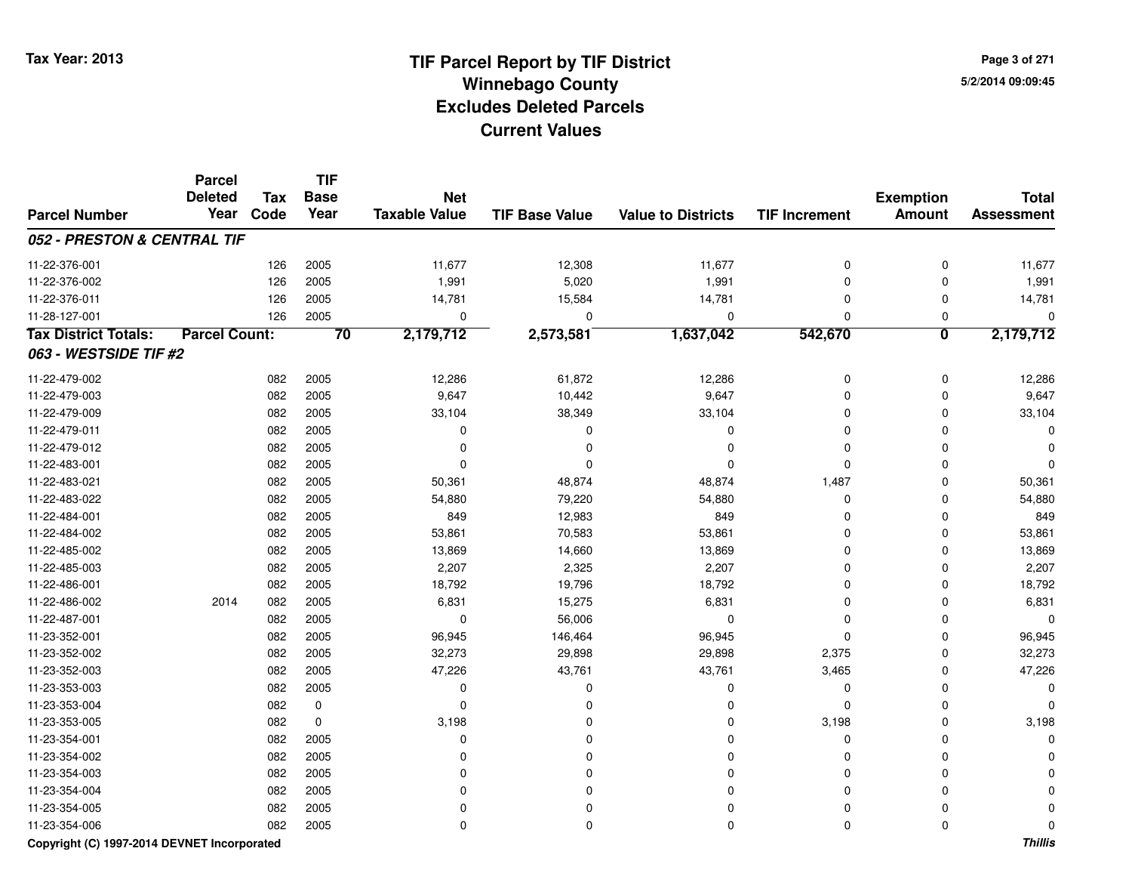**TIF**

**Parcel**

**Page 3 of 2715/2/2014 09:09:45**

#### **TIF Base ValueParcel NumberTotal AssessmentExemption Amount Value to Districts TIF Increment Base YearTax Code Deleted YearNet Taxable Value052 - PRESTON & CENTRAL TIF**11-22-376-0011 126 2005 11,677 12,308 11,677 0 0 11,677 11-22-376-0022 126 2005 1,991 5,020 1,991 0 0 1,991 11-22-376-0111 126 2005 14,781 15,584 14,781 0 0 14,781 11-28-127-001 <sup>126</sup> <sup>0</sup> <sup>2005</sup> <sup>0</sup> <sup>0</sup> <sup>0</sup> <sup>0</sup> <sup>0</sup> **Tax District Totals: Parcel Count: <sup>70</sup> 2,179,712 2,573,581 1,637,042 542,670 <sup>0</sup> 2,179,712 063 - WESTSIDE TIF #2**11-22-479-0022 2 082 2005 12,286 61,872 12,286 0 0 12,286 11-22-479-0033 2005 9,647 10,442 9,647 9,647 0 0 0 9,647 11-22-479-0099 082 2005 33,104 38,349 33,104 0 0 33,104 11-22-479-011 <sup>082</sup> <sup>0</sup> <sup>2005</sup> <sup>0</sup> <sup>0</sup> <sup>0</sup> <sup>0</sup> <sup>0</sup> 11-22-479-012 <sup>082</sup> <sup>0</sup> <sup>2005</sup> <sup>0</sup> <sup>0</sup> <sup>0</sup> <sup>0</sup> <sup>0</sup> 11-22-483-001 <sup>082</sup> <sup>0</sup> <sup>2005</sup> <sup>0</sup> <sup>0</sup> <sup>0</sup> <sup>0</sup> <sup>0</sup> 11-22-483-021 <sup>082</sup> 50,361 <sup>2005</sup> 48,874 48,874 1,487 <sup>0</sup> 50,361 11-22-483-0222 082 2005 54,880 79,220 54,880 0 0 54,880 11-22-484-0011 082 2005 849 12,983 849 0 0 849 11-22-484-002 <sup>082</sup> 53,861 <sup>2005</sup> 70,583 53,861 <sup>0</sup> <sup>0</sup> 53,861 11-22-485-0022 082 2005 13,869 14,660 13,869 0 0 13,869 11-22-485-0033 2,207 2,2005 2,207 2,325 2,207 2,207 2,207 0 0 2,207 11-22-486-0011 082 2005 18,792 19,796 18,792 0 0 18,792 11-22-486-0022 2014 082 2005 6,831 15,275 6,831 0 0 6,831 11-22-487-0011 082 2005 0 56,006 0 0 0 0 11-23-352-0011 082 2005 96,945 146,464 96,945 0 96,945 11-23-352-002 <sup>082</sup> 32,273 <sup>2005</sup> 29,898 29,898 2,375 <sup>0</sup> 32,273 11-23-352-0033 082 2005 47,226 43,761 43,761 3,465 0 47,226 11-23-353-003 <sup>082</sup> <sup>0</sup> <sup>2005</sup> <sup>0</sup> <sup>0</sup> <sup>0</sup> <sup>0</sup> <sup>0</sup> 11-23-353-004 <sup>082</sup> <sup>0</sup> <sup>0</sup> <sup>0</sup> <sup>0</sup> <sup>0</sup> <sup>0</sup> <sup>0</sup> 11-23-353-005 <sup>082</sup> 3,198 <sup>0</sup> <sup>0</sup> <sup>0</sup> 3,198 <sup>0</sup> 3,198 11-23-354-001 <sup>082</sup> <sup>0</sup> <sup>2005</sup> <sup>0</sup> <sup>0</sup> <sup>0</sup> <sup>0</sup> <sup>0</sup> 11-23-354-002 <sup>082</sup> <sup>0</sup> <sup>2005</sup> <sup>0</sup> <sup>0</sup> <sup>0</sup> <sup>0</sup> <sup>0</sup> 11-23-354-003 <sup>082</sup> <sup>0</sup> <sup>2005</sup> <sup>0</sup> <sup>0</sup> <sup>0</sup> <sup>0</sup> <sup>0</sup> 11-23-354-004 <sup>082</sup> <sup>0</sup> <sup>2005</sup> <sup>0</sup> <sup>0</sup> <sup>0</sup> <sup>0</sup> <sup>0</sup> 11-23-354-005 <sup>082</sup> <sup>0</sup> <sup>2005</sup> <sup>0</sup> <sup>0</sup> <sup>0</sup> <sup>0</sup> <sup>0</sup> 11-23-354-006<sup>082</sup> <sup>0</sup> <sup>2005</sup> <sup>0</sup> <sup>0</sup> <sup>0</sup> <sup>0</sup> <sup>0</sup>

### **Copyright (C) 1997-2014 DEVNET Incorporated**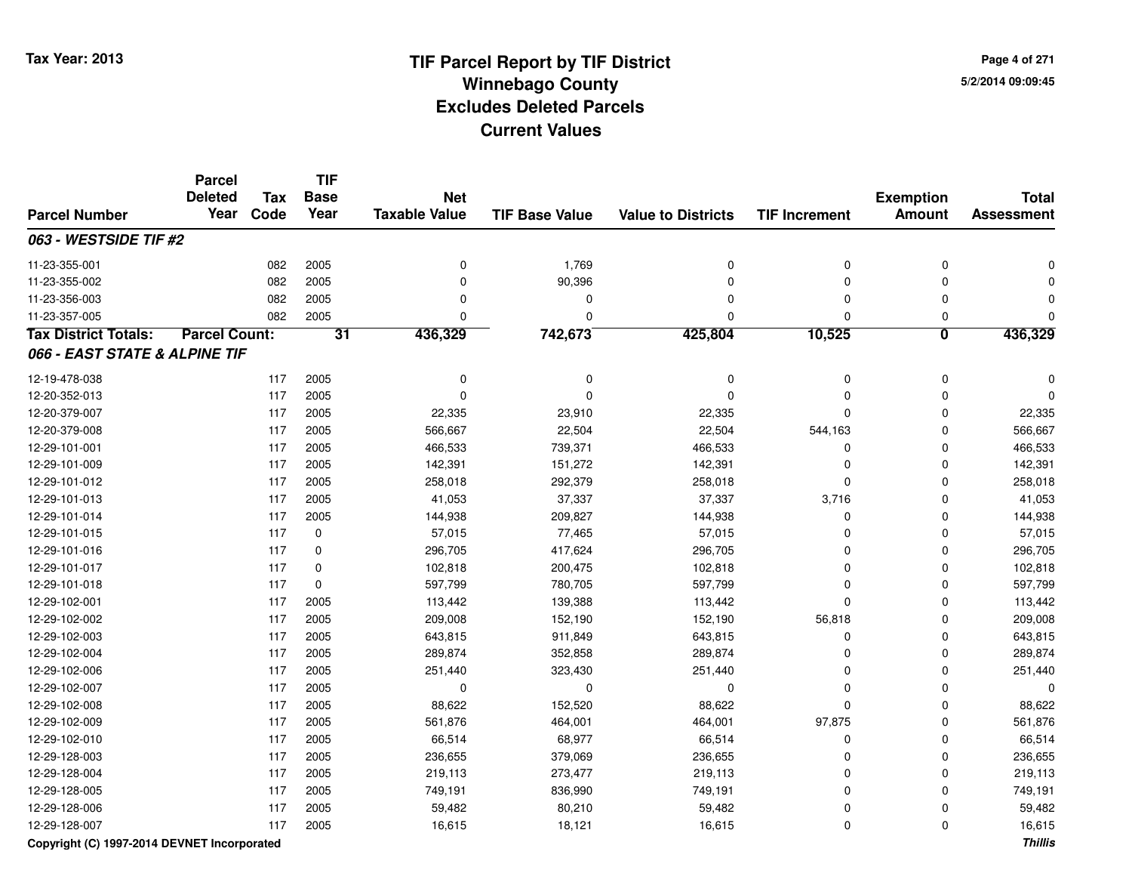**TIF**

**Parcel**

**Page 4 of 2715/2/2014 09:09:45**

#### **TIF Base ValueParcel NumberTotal AssessmentExemption Amount Value to Districts TIF Increment Base YearTax Code Deleted YearNet Taxable Value063 - WESTSIDE TIF #2**11-23-355-0011 082 2005 0 1,769 0 0 0 0 11-23-355-002 <sup>082</sup> <sup>0</sup> <sup>2005</sup> 90,396 <sup>0</sup> <sup>0</sup> <sup>0</sup> <sup>0</sup> 11-23-356-003 <sup>082</sup> <sup>0</sup> <sup>2005</sup> <sup>0</sup> <sup>0</sup> <sup>0</sup> <sup>0</sup> <sup>0</sup> 11-23-357-005 <sup>082</sup> <sup>0</sup> <sup>2005</sup> <sup>0</sup> <sup>0</sup> <sup>0</sup> <sup>0</sup> <sup>0</sup> **Tax District Totals: Parcel Count: <sup>31</sup> 436,329 742,673 425,804 10,525 <sup>0</sup> 436,329 066 - EAST STATE & ALPINE TIF**12-19-478-038 <sup>117</sup> <sup>0</sup> <sup>2005</sup> <sup>0</sup> <sup>0</sup> <sup>0</sup> <sup>0</sup> <sup>0</sup> 12-20-352-013 <sup>117</sup> <sup>0</sup> <sup>2005</sup> <sup>0</sup> <sup>0</sup> <sup>0</sup> <sup>0</sup> <sup>0</sup> 12-20-379-007 <sup>117</sup> 22,335 <sup>2005</sup> 23,910 22,335 <sup>0</sup> <sup>0</sup> 22,335 12-20-379-008 <sup>117</sup> 566,667 <sup>2005</sup> 22,504 22,504 544,163 <sup>0</sup> 566,667 12-29-101-0011 117 2005 466,533 739,371 466,533 0 0 466,533 12-29-101-0099 117 2005 142,391 151,272 142,391 0 0 142,391 12-29-101-0122 117 2005 258,018 292,379 258,018 0 0 258,018 12-29-101-013 <sup>117</sup> 41,053 <sup>2005</sup> 37,337 37,337 3,716 <sup>0</sup> 41,053 12-29-101-0144 117 2005 144,938 209,827 144,938 0 0 144,938 12-29-101-0155 117 0 57,015 77,465 57,015 0 0 57,015 12-29-101-0166 117 0 296,705 417,624 296,705 0 0 296,705 12-29-101-0177 117 0 102,818 200,475 102,818 0 0 102,818 12-29-101-0188 117 0 597,799 780,705 597,799 0 0 597,799 12-29-102-0011 117 2005 113,442 139,388 113,442 0 113,442 12-29-102-002 <sup>117</sup> 209,008 <sup>2005</sup> 152,190 152,190 56,818 <sup>0</sup> 209,008 12-29-102-0033 117 2005 643,815 911,849 643,815 0 0 643,815 12-29-102-0044 289,874 2005 289,874 352,858 289,874 352,858 352,858 352,858 352,858 352,854 352,854 362,874 362,874 362,874 12-29-102-006 <sup>117</sup> 251,440 <sup>2005</sup> 323,430 251,440 <sup>0</sup> <sup>0</sup> 251,440 12-29-102-007 <sup>117</sup> <sup>0</sup> <sup>2005</sup> <sup>0</sup> <sup>0</sup> <sup>0</sup> <sup>0</sup> <sup>0</sup> 12-29-102-0088 117 2005 88,622 152,520 88,622 0 0 88,622 12-29-102-0099 117 2005 561,876 464,001 464,001 97,875 0 561,876 12-29-102-0100 117 2005 66,514 68,977 66,514 0 0 66,514 12-29-128-0033 117 2005 236,655 379,069 236,655 0 236,655 12-29-128-004 <sup>117</sup> 219,113 <sup>2005</sup> 273,477 219,113 <sup>0</sup> <sup>0</sup> 219,113 12-29-128-005 <sup>117</sup> 749,191 <sup>2005</sup> 836,990 749,191 <sup>0</sup> <sup>0</sup> 749,191 12-29-128-006 <sup>117</sup> 59,482 <sup>2005</sup> 80,210 59,482 <sup>0</sup> <sup>0</sup> 59,482 12-29-128-007<sup>117</sup> 16,615 <sup>2005</sup> 18,121 16,615 <sup>0</sup> <sup>0</sup> 16,615

### **Copyright (C) 1997-2014 DEVNET Incorporated**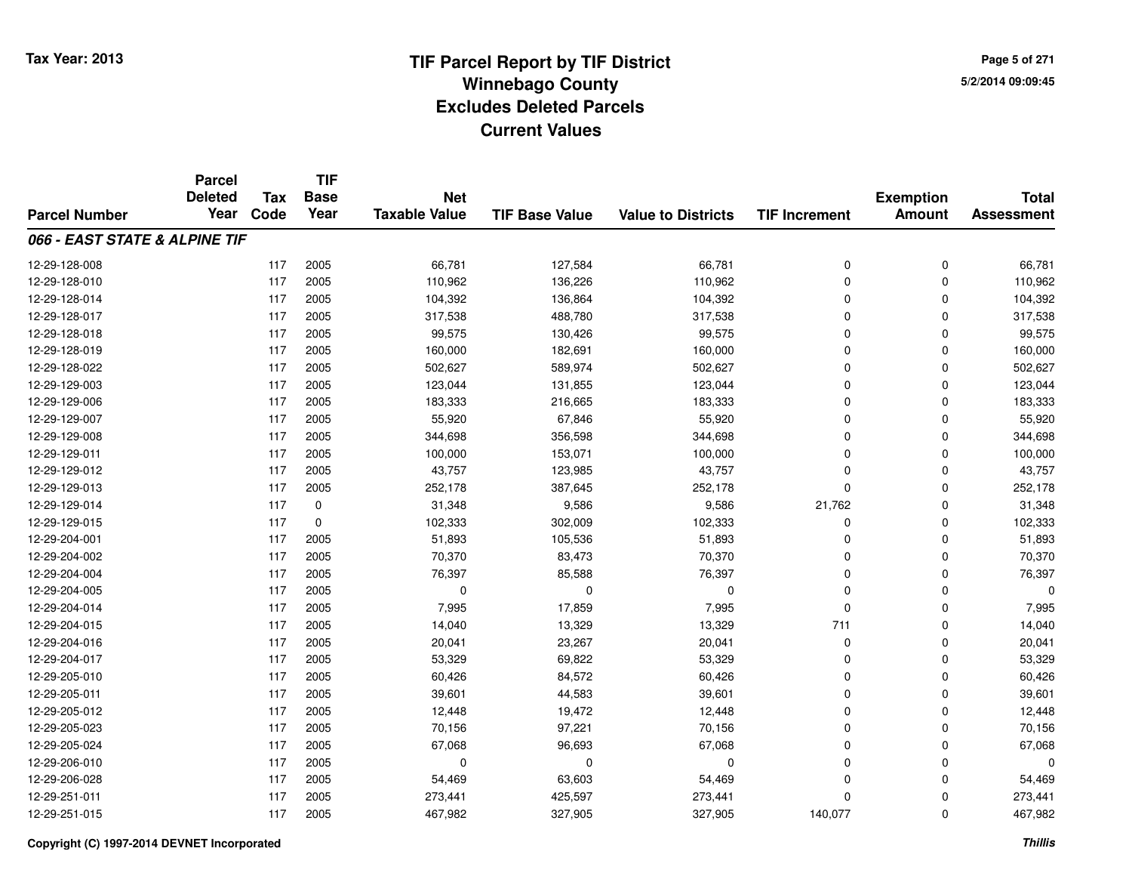**Page 5 of 2715/2/2014 09:09:45**

|                               | <b>Parcel</b>  |            | <b>TIF</b>  |                      |                       |                           |                      |                  |                   |
|-------------------------------|----------------|------------|-------------|----------------------|-----------------------|---------------------------|----------------------|------------------|-------------------|
|                               | <b>Deleted</b> | <b>Tax</b> | <b>Base</b> | <b>Net</b>           |                       |                           |                      | <b>Exemption</b> | <b>Total</b>      |
| <b>Parcel Number</b>          | Year           | Code       | Year        | <b>Taxable Value</b> | <b>TIF Base Value</b> | <b>Value to Districts</b> | <b>TIF Increment</b> | <b>Amount</b>    | <b>Assessment</b> |
| 066 - EAST STATE & ALPINE TIF |                |            |             |                      |                       |                           |                      |                  |                   |
| 12-29-128-008                 |                | 117        | 2005        | 66,781               | 127,584               | 66,781                    | 0                    | $\mathbf 0$      | 66,781            |
| 12-29-128-010                 |                | 117        | 2005        | 110,962              | 136,226               | 110,962                   | 0                    | 0                | 110,962           |
| 12-29-128-014                 |                | 117        | 2005        | 104,392              | 136,864               | 104,392                   | 0                    | $\mathbf 0$      | 104,392           |
| 12-29-128-017                 |                | 117        | 2005        | 317,538              | 488,780               | 317,538                   | 0                    | 0                | 317,538           |
| 12-29-128-018                 |                | 117        | 2005        | 99,575               | 130,426               | 99,575                    | 0                    | $\mathbf 0$      | 99,575            |
| 12-29-128-019                 |                | 117        | 2005        | 160,000              | 182,691               | 160,000                   | 0                    | 0                | 160,000           |
| 12-29-128-022                 |                | 117        | 2005        | 502,627              | 589,974               | 502,627                   | 0                    | $\mathbf 0$      | 502,627           |
| 12-29-129-003                 |                | 117        | 2005        | 123,044              | 131,855               | 123,044                   | 0                    | 0                | 123,044           |
| 12-29-129-006                 |                | 117        | 2005        | 183,333              | 216,665               | 183,333                   | 0                    | $\mathbf 0$      | 183,333           |
| 12-29-129-007                 |                | 117        | 2005        | 55,920               | 67,846                | 55,920                    | 0                    | $\mathbf 0$      | 55,920            |
| 12-29-129-008                 |                | 117        | 2005        | 344,698              | 356,598               | 344,698                   | 0                    | $\mathbf 0$      | 344,698           |
| 12-29-129-011                 |                | 117        | 2005        | 100,000              | 153,071               | 100,000                   | 0                    | 0                | 100,000           |
| 12-29-129-012                 |                | 117        | 2005        | 43,757               | 123,985               | 43,757                    | 0                    | $\mathbf 0$      | 43,757            |
| 12-29-129-013                 |                | 117        | 2005        | 252,178              | 387,645               | 252,178                   | 0                    | 0                | 252,178           |
| 12-29-129-014                 |                | 117        | 0           | 31,348               | 9,586                 | 9,586                     | 21,762               | 0                | 31,348            |
| 12-29-129-015                 |                | 117        | 0           | 102,333              | 302,009               | 102,333                   | 0                    | 0                | 102,333           |
| 12-29-204-001                 |                | 117        | 2005        | 51,893               | 105,536               | 51,893                    | 0                    | $\mathbf 0$      | 51,893            |
| 12-29-204-002                 |                | 117        | 2005        | 70,370               | 83,473                | 70,370                    | 0                    | 0                | 70,370            |
| 12-29-204-004                 |                | 117        | 2005        | 76,397               | 85,588                | 76,397                    | 0                    | $\mathbf 0$      | 76,397            |
| 12-29-204-005                 |                | 117        | 2005        | 0                    | 0                     | 0                         | 0                    | 0                | $\Omega$          |
| 12-29-204-014                 |                | 117        | 2005        | 7,995                | 17,859                | 7,995                     | 0                    | 0                | 7,995             |
| 12-29-204-015                 |                | 117        | 2005        | 14,040               | 13,329                | 13,329                    | 711                  | 0                | 14,040            |
| 12-29-204-016                 |                | 117        | 2005        | 20,041               | 23,267                | 20,041                    | 0                    | 0                | 20,041            |
| 12-29-204-017                 |                | 117        | 2005        | 53,329               | 69,822                | 53,329                    | 0                    | $\mathbf 0$      | 53,329            |
| 12-29-205-010                 |                | 117        | 2005        | 60,426               | 84,572                | 60,426                    | 0                    | $\mathbf 0$      | 60,426            |
| 12-29-205-011                 |                | 117        | 2005        | 39,601               | 44,583                | 39,601                    | 0                    | $\mathbf 0$      | 39,601            |
| 12-29-205-012                 |                | 117        | 2005        | 12,448               | 19,472                | 12,448                    | 0                    | $\Omega$         | 12,448            |
| 12-29-205-023                 |                | 117        | 2005        | 70,156               | 97,221                | 70,156                    | 0                    | 0                | 70,156            |
| 12-29-205-024                 |                | 117        | 2005        | 67,068               | 96,693                | 67,068                    | 0                    | $\Omega$         | 67,068            |
| 12-29-206-010                 |                | 117        | 2005        | 0                    | 0                     | 0                         | 0                    | 0                | $\Omega$          |
| 12-29-206-028                 |                | 117        | 2005        | 54,469               | 63,603                | 54,469                    | 0                    | $\Omega$         | 54,469            |
| 12-29-251-011                 |                | 117        | 2005        | 273,441              | 425,597               | 273,441                   | 0                    | 0                | 273,441           |
| 12-29-251-015                 |                | 117        | 2005        | 467,982              | 327,905               | 327,905                   | 140,077              | $\mathbf 0$      | 467,982           |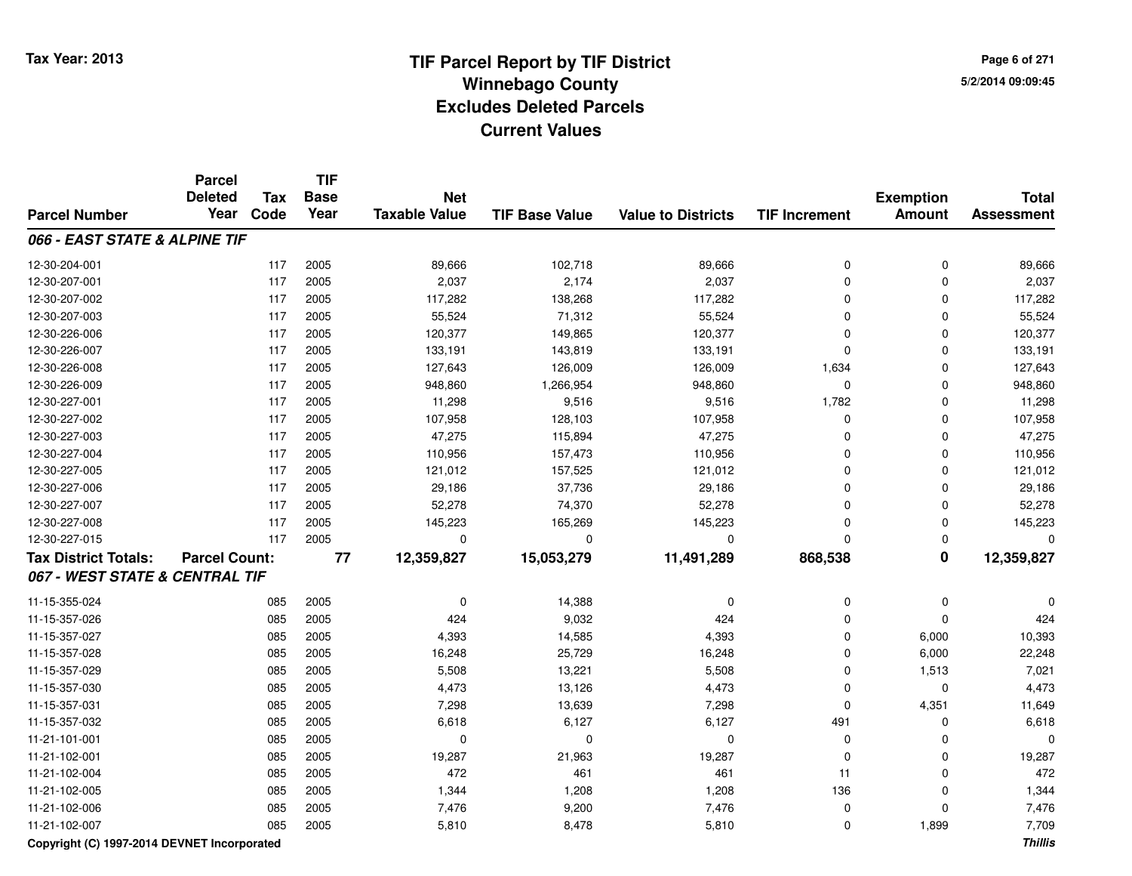**TIF**

**Parcel**

**Page 6 of 2715/2/2014 09:09:45**

#### **TIF Base ValueParcel NumberTotal AssessmentExemption Amount Value to Districts TIF Increment Base YearTax Code Deleted YearNet Taxable Value066 - EAST STATE & ALPINE TIF**12-30-204-0011 117 2005 89,666 102,718 89,666 0 0 89,666 12-30-207-0011 117 2005 2,037 2,174 2,037 0 0 2,037 12-30-207-0022 2 3 117 117 117,282 118,268 138,268 117,282 158 117,282 117,282 117,282 117,282 12-30-207-003 <sup>117</sup> 55,524 <sup>2005</sup> 71,312 55,524 <sup>0</sup> <sup>0</sup> 55,524 12-30-226-006 <sup>117</sup> 120,377 <sup>2005</sup> 149,865 120,377 <sup>0</sup> <sup>0</sup> 120,377 12-30-226-007 <sup>117</sup> 133,191 <sup>2005</sup> 143,819 133,191 <sup>0</sup> <sup>0</sup> 133,191 12-30-226-0088 117 2005 127,643 126,009 126,009 126,009 1,634 0 127,643 12-30-226-0099 117 2005 948,860 1,266,954 948,860 0 948,860 12-30-227-0011 117 2005 11,298 9,516 9,516 1,782 0 11,298 12-30-227-0022 117 2005 107,958 128,103 107,958 0 0 107,958 12-30-227-0033 117 2005 47,275 115,894 47,275 0 0 47,275 12-30-227-004 <sup>117</sup> 110,956 <sup>2005</sup> 157,473 110,956 <sup>0</sup> <sup>0</sup> 110,956 12-30-227-005 <sup>117</sup> 121,012 <sup>2005</sup> 157,525 121,012 <sup>0</sup> <sup>0</sup> 121,012 12-30-227-006 <sup>117</sup> 29,186 <sup>2005</sup> 37,736 29,186 <sup>0</sup> <sup>0</sup> 29,186 12-30-227-007 <sup>117</sup> 52,278 <sup>2005</sup> 74,370 52,278 <sup>0</sup> <sup>0</sup> 52,278 12-30-227-0088 117 2005 145,223 165,269 145,223 0 145,223 12-30-227-015 <sup>117</sup> <sup>0</sup> <sup>2005</sup> <sup>0</sup> <sup>0</sup> <sup>0</sup> <sup>0</sup> <sup>0</sup> **Tax District Totals: Parcel Count: <sup>77</sup> 12,359,827 15,053,279 11,491,289 868,538 <sup>0</sup> 12,359,827 067 - WEST STATE & CENTRAL TIF**11-15-355-024 $\frac{4}{14}$  085 2005 0 0  $\frac{14,388}{14,388}$  0 0 0 0 0 0 11-15-357-026 <sup>085</sup> <sup>424</sup> <sup>2005</sup> 9,032 <sup>424</sup> <sup>0</sup> <sup>0</sup> <sup>424</sup> 11-15-357-0277 085 2005 4,393 14,585 4,393 0 6,000 10,393 11-15-357-0288 085 2005 16,248 25,729 16,248 0 6,000 22,248 11-15-357-0299 085 2005 5,508 13,221 5,508 0 1,513 7,021 11-15-357-0300 085 2005 4,473 13,126 4,473 0 0 4,473 11-15-357-0311 085 2005 7,298 13,639 7,298 0 4,351 11,649 11-15-357-0322 085 2005 6,618 6,127 6,127 491 0 6,618 11-21-101-001 <sup>085</sup> <sup>0</sup> <sup>2005</sup> <sup>0</sup> <sup>0</sup> <sup>0</sup> <sup>0</sup> <sup>0</sup> 11-21-102-0011 085 2005 19,287 21,963 19,287 0 0 19,287 11-21-102-004 <sup>085</sup> <sup>472</sup> <sup>2005</sup> <sup>461</sup> <sup>461</sup> <sup>11</sup> <sup>0</sup> <sup>472</sup> 11-21-102-005 <sup>085</sup> 1,344 <sup>2005</sup> 1,208 1,208 <sup>136</sup> <sup>0</sup> 1,344 11-21-102-006 <sup>085</sup> 7,476 <sup>2005</sup> 9,200 7,476 <sup>0</sup> <sup>0</sup> 7,476 11-21-102-007<sup>085</sup> 5,810 <sup>2005</sup> 8,478 5,810 <sup>0</sup> 1,899 7,709

**Copyright (C) 1997-2014 DEVNET Incorporated**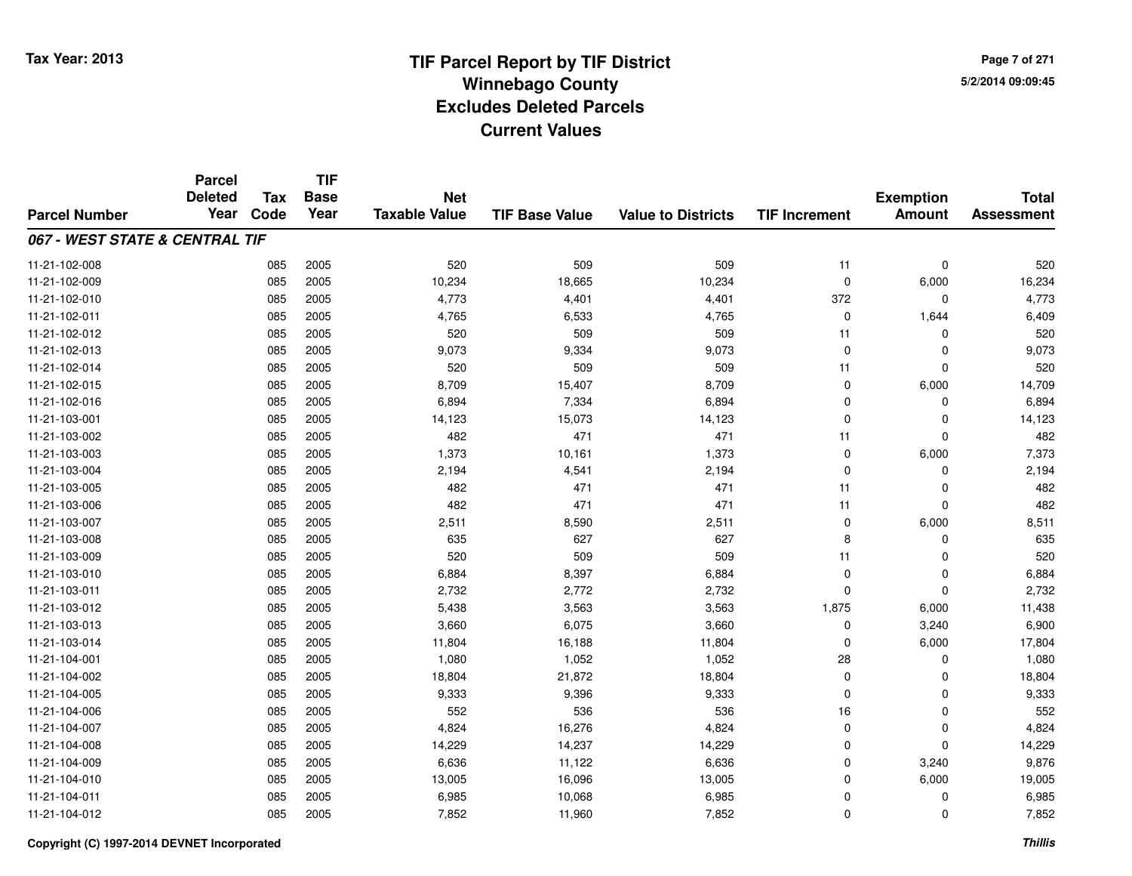**TIF**

**Parcel**

**Page 7 of 2715/2/2014 09:09:45**

#### **TIF Base ValueParcel NumberTotal AssessmentExemption Amount Value to Districts TIF Increment Base YearTax Code Deleted YearNet Taxable Value067 - WEST STATE & CENTRAL TIF**11-21-102-008 <sup>085</sup> <sup>520</sup> <sup>2005</sup> <sup>509</sup> <sup>509</sup> <sup>11</sup> <sup>0</sup> <sup>520</sup> 11-21-102-0099 085 2005 10,234 18,665 10,234 0 6,000 16,234 11-21-102-0100 085 2005 4,773 4,401 4,401 372 0 4,773 11-21-102-0111 085 2005 4,765 6,533 4,765 0 1,644 6,409 11-21-102-012 <sup>085</sup> <sup>520</sup> <sup>2005</sup> <sup>509</sup> <sup>509</sup> <sup>11</sup> <sup>0</sup> <sup>520</sup> 11-21-102-013 <sup>085</sup> 9,073 <sup>2005</sup> 9,334 9,073 <sup>0</sup> <sup>0</sup> 9,073 11-21-102-014 <sup>085</sup> <sup>520</sup> <sup>2005</sup> <sup>509</sup> <sup>509</sup> <sup>11</sup> <sup>0</sup> <sup>520</sup> 11-21-102-015 <sup>085</sup> 8,709 <sup>2005</sup> 15,407 8,709 <sup>0</sup> 6,000 14,709 11-21-102-0166 085 2005 6,894 7,334 6,894 0 0 6,894 11-21-103-0011 085 2005 14,123 15,073 14,123 0 0 14,123 11-21-103-002 <sup>085</sup> <sup>482</sup> <sup>2005</sup> <sup>471</sup> <sup>471</sup> <sup>11</sup> <sup>0</sup> <sup>482</sup> 11-21-103-0033 085 2005 1,373 10,161 1,373 0 6,000 7,373 11-21-103-004 <sup>085</sup> 2,194 <sup>2005</sup> 4,541 2,194 <sup>0</sup> <sup>0</sup> 2,194 11-21-103-005 <sup>085</sup> <sup>482</sup> <sup>2005</sup> <sup>471</sup> <sup>471</sup> <sup>11</sup> <sup>0</sup> <sup>482</sup> 11-21-103-006 <sup>085</sup> <sup>482</sup> <sup>2005</sup> <sup>471</sup> <sup>471</sup> <sup>11</sup> <sup>0</sup> <sup>482</sup> 11-21-103-0077 085 2005 2,511 8,590 2,511 0 6,000 8,511 11-21-103-0088 085 2005 635 627 627 8 0 635 11-21-103-0099 085 2005 520 509 509 11 0 520 11-21-103-0100 085 2005 6,884 8,397 6,884 0 0 6,884 11-21-103-0111 085 2005 2,732 2,772 2,732 0 0 2,732 11-21-103-0122 085 2005 5,438 3,563 3,563 1,875 6,000 11,438 11-21-103-0133 085 2005 3,660 6,075 3,660 0 3,240 6,900 11-21-103-014 <sup>085</sup> 11,804 <sup>2005</sup> 16,188 11,804 <sup>0</sup> 6,000 17,804 11-21-104-0011 085 2005 1,080 1,052 1,052 28 0 1,080 11-21-104-0022 2 085 2005 18,804 21,872 18,804 0 0 18,804 11-21-104-005 <sup>085</sup> 9,333 <sup>2005</sup> 9,396 9,333 <sup>0</sup> <sup>0</sup> 9,333 11-21-104-0066 085 2005 552 536 536 16 0 552 11-21-104-0077 085 2005 4,824 16,276 4,824 0 0 4,824 11-21-104-0088 085 2005 14,229 14,237 14,229 0 0 14,229 11-21-104-0099 085 2005 6,636 11,122 6,636 0 3,240 9,876 11-21-104-0100 085 2005 13,005 16,096 13,005 0 6,000 19,005 11-21-104-0111 085 2005 6,985 10,068 6,985 0 0 6,985 11-21-104-0122 3 085 2005 7,852 11,960 7,852 0 7,852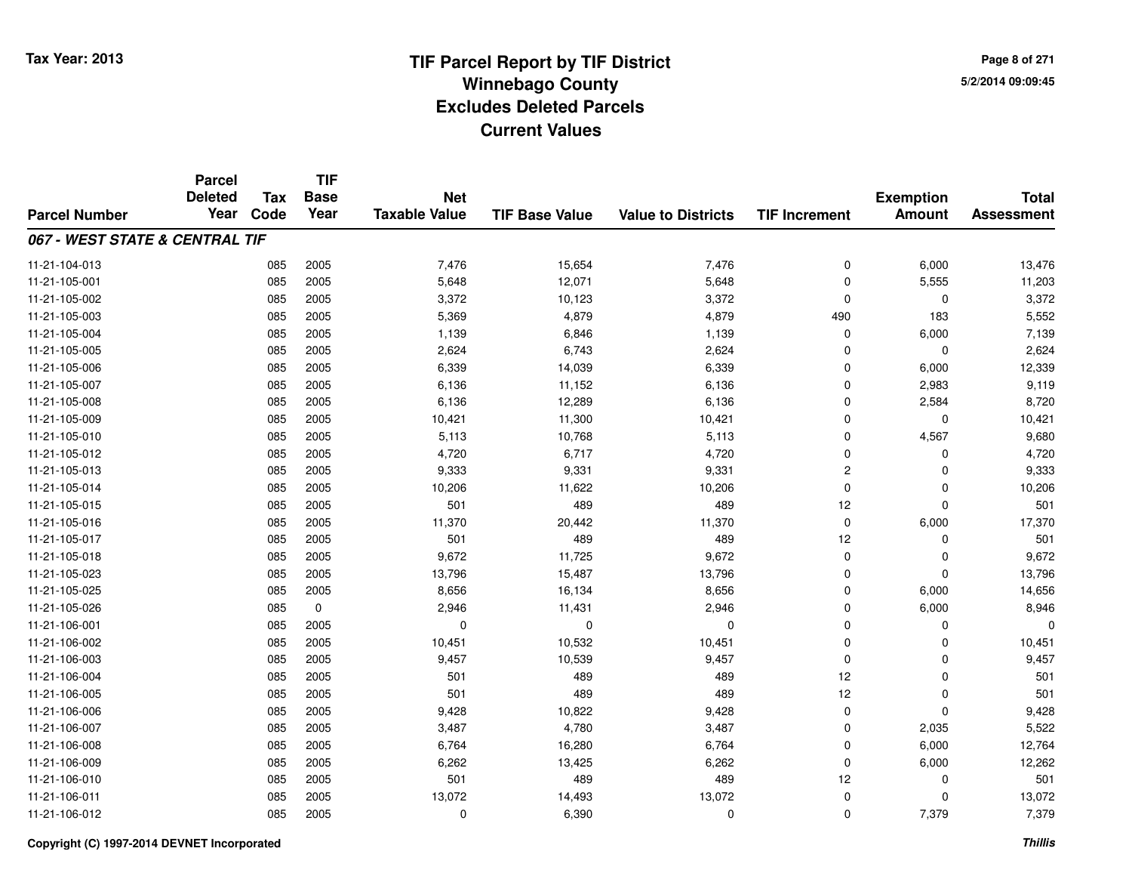**TIF**

**Parcel**

**Page 8 of 2715/2/2014 09:09:45**

#### **TIF Base ValueParcel NumberTotal AssessmentExemption Amount Value to Districts TIF Increment Base YearTax Code Deleted YearNet Taxable Value067 - WEST STATE & CENTRAL TIF**11-21-104-0133 085 2005 7,476 15,654 7,476 0 6,000 13,476 11-21-105-0011 085 2005 5,648 12,071 5,648 0 5,555 11,203 11-21-105-0022 085 2005 3,372 10,123 3,372 0 0 3,372 11-21-105-003 <sup>085</sup> 5,369 <sup>2005</sup> 4,879 4,879 <sup>490</sup> <sup>183</sup> 5,552 11-21-105-004 <sup>085</sup> 1,139 <sup>2005</sup> 6,846 1,139 <sup>0</sup> 6,000 7,139 11-21-105-0055 085 2005 2,624 6,743 2,624 0 0 2,624 11-21-105-006 <sup>085</sup> 6,339 <sup>2005</sup> 14,039 6,339 <sup>0</sup> 6,000 12,339 11-21-105-007 <sup>085</sup> 6,136 <sup>2005</sup> 11,152 6,136 <sup>0</sup> 2,983 9,119 11-21-105-008 <sup>085</sup> 6,136 <sup>2005</sup> 12,289 6,136 <sup>0</sup> 2,584 8,720 11-21-105-0099 085 2005 10,421 11,300 10,421 0 0 10,421 11-21-105-0100 085 2005 5,113 10,768 5,113 0 4,567 9,680 11-21-105-0122 085 2005 4,720 6,717 4,720 0 0 4,720 11-21-105-013 <sup>085</sup> 9,333 <sup>2005</sup> 9,331 9,331 <sup>2</sup> <sup>0</sup> 9,333 11-21-105-014 <sup>085</sup> 10,206 <sup>2005</sup> 11,622 10,206 <sup>0</sup> <sup>0</sup> 10,206 11-21-105-015 <sup>085</sup> <sup>501</sup> <sup>2005</sup> <sup>489</sup> <sup>489</sup> <sup>12</sup> <sup>0</sup> <sup>501</sup> 11-21-105-016 <sup>085</sup> 11,370 <sup>2005</sup> 20,442 11,370 <sup>0</sup> 6,000 17,370 11-21-105-017 <sup>085</sup> <sup>501</sup> <sup>2005</sup> <sup>489</sup> <sup>489</sup> <sup>12</sup> <sup>0</sup> <sup>501</sup> 11-21-105-018 <sup>085</sup> 9,672 <sup>2005</sup> 11,725 9,672 <sup>0</sup> <sup>0</sup> 9,672 11-21-105-0233 085 2005 13,796 15,487 13,796 0 0 13,796 11-21-105-025 <sup>085</sup> 8,656 <sup>2005</sup> 16,134 8,656 <sup>0</sup> 6,000 14,656 11-21-105-0266 085 0 2,946 11,431 2,946 0 6,000 8,946 11-21-106-001 <sup>085</sup> <sup>0</sup> <sup>2005</sup> <sup>0</sup> <sup>0</sup> <sup>0</sup> <sup>0</sup> <sup>0</sup> 11-21-106-0022 085 2005 10,451 10,532 10,451 0 10,451 11-21-106-003 <sup>085</sup> 9,457 <sup>2005</sup> 10,539 9,457 <sup>0</sup> <sup>0</sup> 9,457 11-21-106-004 <sup>085</sup> <sup>501</sup> <sup>2005</sup> <sup>489</sup> <sup>489</sup> <sup>12</sup> <sup>0</sup> <sup>501</sup> 11-21-106-005 <sup>085</sup> <sup>501</sup> <sup>2005</sup> <sup>489</sup> <sup>489</sup> <sup>12</sup> <sup>0</sup> <sup>501</sup> 11-21-106-006 <sup>085</sup> 9,428 <sup>2005</sup> 10,822 9,428 <sup>0</sup> <sup>0</sup> 9,428 11-21-106-007 <sup>085</sup> 3,487 <sup>2005</sup> 4,780 3,487 <sup>0</sup> 2,035 5,522 11-21-106-0088 085 2005 6,764 16,280 6,764 0 6,000 12,764 11-21-106-0099 085 2005 6,262 13,425 6,262 0 6,000 12,262 11-21-106-0100 085 2005 501 489 489 12 0 501 11-21-106-0111 085 2005 13,072 14,493 13,072 0 0 13,072 11-21-106-0122 085 2005 0 6,390 0 0 7,379 7,379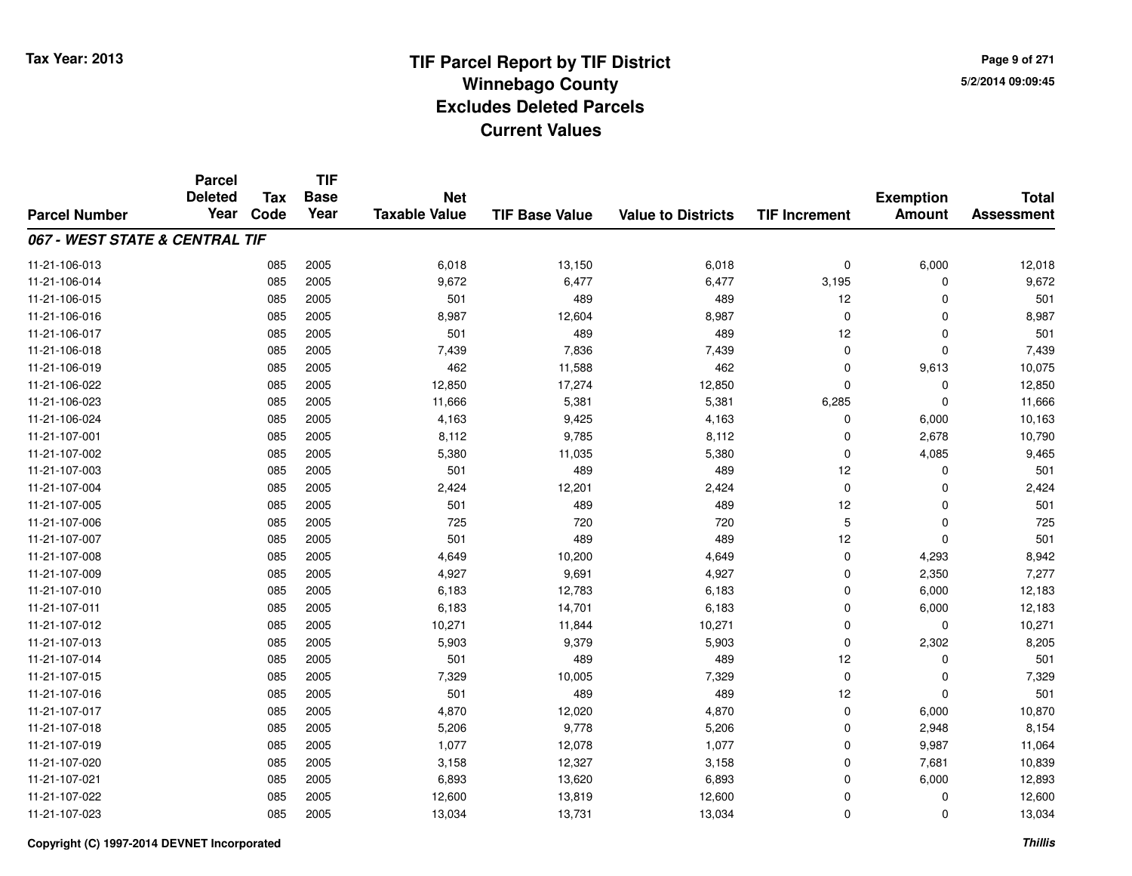**Page 9 of 2715/2/2014 09:09:45**

|                                | <b>Parcel</b><br><b>Deleted</b> | <b>Tax</b> | <b>TIF</b><br><b>Base</b> | <b>Net</b>           |                       |                           |                      |                                   |                                   |
|--------------------------------|---------------------------------|------------|---------------------------|----------------------|-----------------------|---------------------------|----------------------|-----------------------------------|-----------------------------------|
| <b>Parcel Number</b>           | Year                            | Code       | Year                      | <b>Taxable Value</b> | <b>TIF Base Value</b> | <b>Value to Districts</b> | <b>TIF Increment</b> | <b>Exemption</b><br><b>Amount</b> | <b>Total</b><br><b>Assessment</b> |
| 067 - WEST STATE & CENTRAL TIF |                                 |            |                           |                      |                       |                           |                      |                                   |                                   |
| 11-21-106-013                  |                                 | 085        | 2005                      | 6,018                | 13,150                | 6,018                     | $\mathbf 0$          | 6,000                             | 12,018                            |
| 11-21-106-014                  |                                 | 085        | 2005                      | 9,672                | 6,477                 | 6,477                     | 3,195                | $\Omega$                          | 9,672                             |
| 11-21-106-015                  |                                 | 085        | 2005                      | 501                  | 489                   | 489                       | 12                   | 0                                 | 501                               |
| 11-21-106-016                  |                                 | 085        | 2005                      | 8,987                | 12,604                | 8,987                     | $\mathbf 0$          | $\mathbf 0$                       | 8,987                             |
| 11-21-106-017                  |                                 | 085        | 2005                      | 501                  | 489                   | 489                       | 12                   | $\mathbf 0$                       | 501                               |
| 11-21-106-018                  |                                 | 085        | 2005                      | 7,439                | 7,836                 | 7,439                     | $\mathbf 0$          | $\mathbf 0$                       | 7,439                             |
| 11-21-106-019                  |                                 | 085        | 2005                      | 462                  | 11,588                | 462                       | $\mathbf 0$          | 9,613                             | 10,075                            |
| 11-21-106-022                  |                                 | 085        | 2005                      | 12,850               | 17,274                | 12,850                    | $\mathbf 0$          | $\mathbf 0$                       | 12,850                            |
| 11-21-106-023                  |                                 | 085        | 2005                      | 11,666               | 5,381                 | 5,381                     | 6,285                | $\mathbf 0$                       | 11,666                            |
| 11-21-106-024                  |                                 | 085        | 2005                      | 4,163                | 9,425                 | 4,163                     | 0                    | 6,000                             | 10,163                            |
| 11-21-107-001                  |                                 | 085        | 2005                      | 8,112                | 9,785                 | 8,112                     | $\mathbf 0$          | 2,678                             | 10,790                            |
| 11-21-107-002                  |                                 | 085        | 2005                      | 5,380                | 11,035                | 5,380                     | $\mathbf 0$          | 4,085                             | 9,465                             |
| 11-21-107-003                  |                                 | 085        | 2005                      | 501                  | 489                   | 489                       | 12                   | 0                                 | 501                               |
| 11-21-107-004                  |                                 | 085        | 2005                      | 2,424                | 12,201                | 2,424                     | $\mathbf 0$          | 0                                 | 2,424                             |
| 11-21-107-005                  |                                 | 085        | 2005                      | 501                  | 489                   | 489                       | 12                   | 0                                 | 501                               |
| 11-21-107-006                  |                                 | 085        | 2005                      | 725                  | 720                   | 720                       | 5                    | $\mathbf 0$                       | 725                               |
| 11-21-107-007                  |                                 | 085        | 2005                      | 501                  | 489                   | 489                       | 12                   | $\mathbf 0$                       | 501                               |
| 11-21-107-008                  |                                 | 085        | 2005                      | 4,649                | 10,200                | 4,649                     | $\pmb{0}$            | 4,293                             | 8,942                             |
| 11-21-107-009                  |                                 | 085        | 2005                      | 4,927                | 9,691                 | 4,927                     | $\mathbf 0$          | 2,350                             | 7,277                             |
| 11-21-107-010                  |                                 | 085        | 2005                      | 6,183                | 12,783                | 6,183                     | 0                    | 6,000                             | 12,183                            |
| 11-21-107-011                  |                                 | 085        | 2005                      | 6,183                | 14,701                | 6,183                     | 0                    | 6,000                             | 12,183                            |
| 11-21-107-012                  |                                 | 085        | 2005                      | 10,271               | 11,844                | 10,271                    | $\mathbf 0$          | $\mathbf 0$                       | 10,271                            |
| 11-21-107-013                  |                                 | 085        | 2005                      | 5,903                | 9,379                 | 5,903                     | $\mathbf 0$          | 2,302                             | 8,205                             |
| 11-21-107-014                  |                                 | 085        | 2005                      | 501                  | 489                   | 489                       | 12                   | $\mathbf 0$                       | 501                               |
| 11-21-107-015                  |                                 | 085        | 2005                      | 7,329                | 10,005                | 7,329                     | $\mathbf 0$          | $\mathbf 0$                       | 7,329                             |
| 11-21-107-016                  |                                 | 085        | 2005                      | 501                  | 489                   | 489                       | 12                   | $\Omega$                          | 501                               |
| 11-21-107-017                  |                                 | 085        | 2005                      | 4,870                | 12,020                | 4,870                     | $\pmb{0}$            | 6,000                             | 10,870                            |
| 11-21-107-018                  |                                 | 085        | 2005                      | 5,206                | 9,778                 | 5,206                     | $\mathbf 0$          | 2,948                             | 8,154                             |
| 11-21-107-019                  |                                 | 085        | 2005                      | 1,077                | 12,078                | 1,077                     | 0                    | 9,987                             | 11,064                            |
| 11-21-107-020                  |                                 | 085        | 2005                      | 3,158                | 12,327                | 3,158                     | $\mathbf 0$          | 7,681                             | 10,839                            |
| 11-21-107-021                  |                                 | 085        | 2005                      | 6,893                | 13,620                | 6,893                     | $\mathbf 0$          | 6,000                             | 12,893                            |
| 11-21-107-022                  |                                 | 085        | 2005                      | 12,600               | 13,819                | 12,600                    | $\mathbf 0$          | 0                                 | 12,600                            |
| 11-21-107-023                  |                                 | 085        | 2005                      | 13,034               | 13,731                | 13,034                    | $\Omega$             | $\mathbf 0$                       | 13,034                            |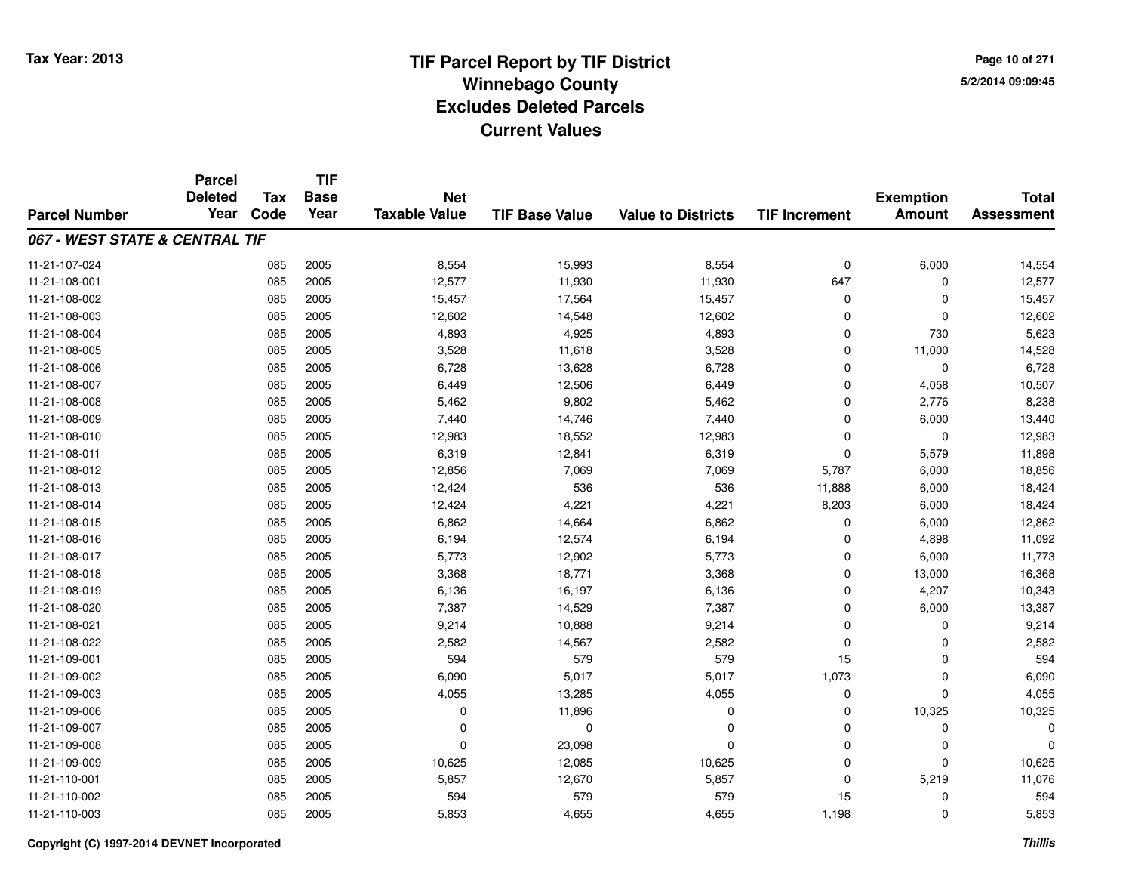**Page 10 of 2715/2/2014 09:09:45**

|                                | <b>Parcel</b><br><b>Deleted</b> | <b>Tax</b> | <b>TIF</b><br><b>Base</b> | <b>Net</b>           |                       |                           |                      | <b>Exemption</b> | <b>Total</b>      |
|--------------------------------|---------------------------------|------------|---------------------------|----------------------|-----------------------|---------------------------|----------------------|------------------|-------------------|
| <b>Parcel Number</b>           | Year                            | Code       | Year                      | <b>Taxable Value</b> | <b>TIF Base Value</b> | <b>Value to Districts</b> | <b>TIF Increment</b> | <b>Amount</b>    | <b>Assessment</b> |
| 067 - WEST STATE & CENTRAL TIF |                                 |            |                           |                      |                       |                           |                      |                  |                   |
| 11-21-107-024                  |                                 | 085        | 2005                      | 8,554                | 15,993                | 8,554                     | $\mathbf 0$          | 6,000            | 14,554            |
| 11-21-108-001                  |                                 | 085        | 2005                      | 12,577               | 11,930                | 11,930                    | 647                  | 0                | 12,577            |
| 11-21-108-002                  |                                 | 085        | 2005                      | 15,457               | 17,564                | 15,457                    | $\mathbf 0$          | $\mathbf 0$      | 15,457            |
| 11-21-108-003                  |                                 | 085        | 2005                      | 12,602               | 14,548                | 12,602                    | $\Omega$             | $\mathbf 0$      | 12,602            |
| 11-21-108-004                  |                                 | 085        | 2005                      | 4,893                | 4,925                 | 4,893                     | $\mathbf 0$          | 730              | 5,623             |
| 11-21-108-005                  |                                 | 085        | 2005                      | 3,528                | 11,618                | 3,528                     | 0                    | 11,000           | 14,528            |
| 11-21-108-006                  |                                 | 085        | 2005                      | 6,728                | 13,628                | 6,728                     | $\Omega$             | $\mathbf 0$      | 6,728             |
| 11-21-108-007                  |                                 | 085        | 2005                      | 6,449                | 12,506                | 6,449                     | $\mathbf 0$          | 4,058            | 10,507            |
| 11-21-108-008                  |                                 | 085        | 2005                      | 5,462                | 9,802                 | 5,462                     | $\Omega$             | 2,776            | 8,238             |
| 11-21-108-009                  |                                 | 085        | 2005                      | 7,440                | 14,746                | 7,440                     | $\Omega$             | 6,000            | 13,440            |
| 11-21-108-010                  |                                 | 085        | 2005                      | 12,983               | 18,552                | 12,983                    | $\Omega$             | $\mathbf 0$      | 12,983            |
| 11-21-108-011                  |                                 | 085        | 2005                      | 6,319                | 12,841                | 6,319                     | $\mathbf 0$          | 5,579            | 11,898            |
| 11-21-108-012                  |                                 | 085        | 2005                      | 12,856               | 7,069                 | 7,069                     | 5,787                | 6,000            | 18,856            |
| 11-21-108-013                  |                                 | 085        | 2005                      | 12,424               | 536                   | 536                       | 11,888               | 6,000            | 18,424            |
| 11-21-108-014                  |                                 | 085        | 2005                      | 12,424               | 4,221                 | 4,221                     | 8,203                | 6,000            | 18,424            |
| 11-21-108-015                  |                                 | 085        | 2005                      | 6,862                | 14,664                | 6,862                     | 0                    | 6,000            | 12,862            |
| 11-21-108-016                  |                                 | 085        | 2005                      | 6,194                | 12,574                | 6,194                     | $\Omega$             | 4,898            | 11,092            |
| 11-21-108-017                  |                                 | 085        | 2005                      | 5,773                | 12,902                | 5,773                     | 0                    | 6,000            | 11,773            |
| 11-21-108-018                  |                                 | 085        | 2005                      | 3,368                | 18,771                | 3,368                     | $\mathbf 0$          | 13,000           | 16,368            |
| 11-21-108-019                  |                                 | 085        | 2005                      | 6,136                | 16,197                | 6,136                     | $\mathbf 0$          | 4,207            | 10,343            |
| 11-21-108-020                  |                                 | 085        | 2005                      | 7,387                | 14,529                | 7,387                     | $\mathbf 0$          | 6,000            | 13,387            |
| 11-21-108-021                  |                                 | 085        | 2005                      | 9,214                | 10,888                | 9,214                     | 0                    | 0                | 9,214             |
| 11-21-108-022                  |                                 | 085        | 2005                      | 2,582                | 14,567                | 2,582                     | $\mathbf 0$          | 0                | 2,582             |
| 11-21-109-001                  |                                 | 085        | 2005                      | 594                  | 579                   | 579                       | 15                   | $\mathbf 0$      | 594               |
| 11-21-109-002                  |                                 | 085        | 2005                      | 6,090                | 5,017                 | 5,017                     | 1,073                | $\mathbf 0$      | 6,090             |
| 11-21-109-003                  |                                 | 085        | 2005                      | 4,055                | 13,285                | 4,055                     | $\mathbf 0$          | $\mathbf 0$      | 4,055             |
| 11-21-109-006                  |                                 | 085        | 2005                      | 0                    | 11,896                | $\mathbf 0$               | $\mathbf 0$          | 10,325           | 10,325            |
| 11-21-109-007                  |                                 | 085        | 2005                      | 0                    | 0                     | $\mathbf 0$               | 0                    | 0                | $\Omega$          |
| 11-21-109-008                  |                                 | 085        | 2005                      | $\mathbf 0$          | 23,098                | $\Omega$                  | $\Omega$             | 0                |                   |
| 11-21-109-009                  |                                 | 085        | 2005                      | 10,625               | 12,085                | 10,625                    | 0                    | $\mathbf 0$      | 10,625            |
| 11-21-110-001                  |                                 | 085        | 2005                      | 5,857                | 12,670                | 5,857                     | $\Omega$             | 5,219            | 11,076            |
| 11-21-110-002                  |                                 | 085        | 2005                      | 594                  | 579                   | 579                       | 15                   | 0                | 594               |
| 11-21-110-003                  |                                 | 085        | 2005                      | 5,853                | 4,655                 | 4,655                     | 1,198                | $\mathbf 0$      | 5,853             |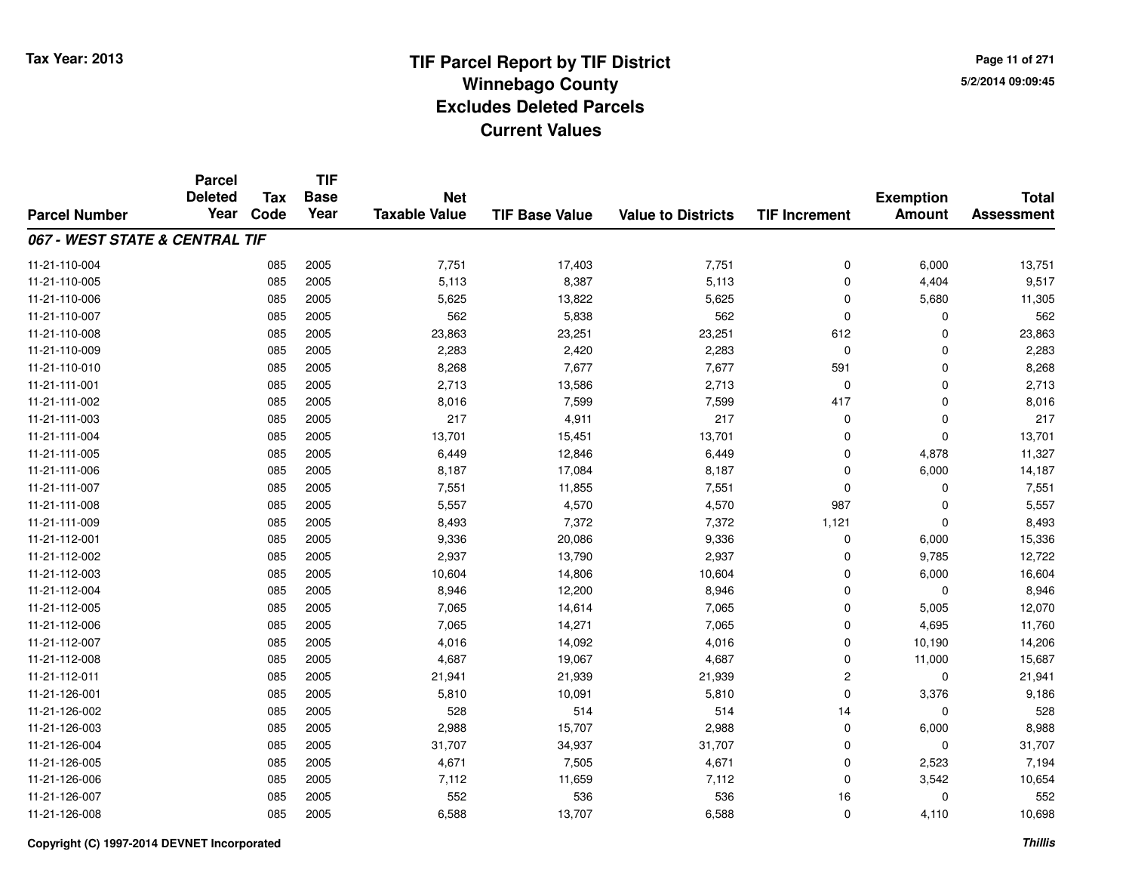**TIF**

**Parcel**

**Page 11 of 2715/2/2014 09:09:45**

#### **TIF Base ValueParcel NumberTotal AssessmentExemption Amount Value to Districts TIF Increment Base YearTax Code Deleted YearNet Taxable Value067 - WEST STATE & CENTRAL TIF**11-21-110-004 <sup>085</sup> 7,751 <sup>2005</sup> 17,403 7,751 <sup>0</sup> 6,000 13,751 11-21-110-005 <sup>085</sup> 5,113 <sup>2005</sup> 8,387 5,113 <sup>0</sup> 4,404 9,517 11-21-110-0066 085 2005 5,625 13,822 5,625 0 5,680 11,305 11-21-110-007 <sup>085</sup> <sup>562</sup> <sup>2005</sup> 5,838 <sup>562</sup> <sup>0</sup> <sup>0</sup> <sup>562</sup> 11-21-110-008 <sup>085</sup> 23,863 <sup>2005</sup> 23,251 23,251 <sup>612</sup> <sup>0</sup> 23,863 11-21-110-0099 085 2005 2,283 2,420 2,283 0 0 2,283 11-21-110-0100 085 2005 8,268 7,677 7,677 591 0 8,268 11-21-111-0011 085 2005 2,713 13,586 2,713 0 0 2,713 11-21-111-0022 085 2005 8,016 7,599 7,599 417 0 8,016 11-21-111-0033 085 2005 217 4,911 217 0 0 217 11-21-111-004 <sup>085</sup> 13,701 <sup>2005</sup> 15,451 13,701 <sup>0</sup> <sup>0</sup> 13,701 11-21-111-005 <sup>085</sup> 6,449 <sup>2005</sup> 12,846 6,449 <sup>0</sup> 4,878 11,327 11-21-111-006 <sup>085</sup> 8,187 <sup>2005</sup> 17,084 8,187 <sup>0</sup> 6,000 14,187 11-21-111-007 <sup>085</sup> 7,551 <sup>2005</sup> 11,855 7,551 <sup>0</sup> <sup>0</sup> 7,551 11-21-111-008 <sup>085</sup> 5,557 <sup>2005</sup> 4,570 4,570 <sup>987</sup> <sup>0</sup> 5,557 11-21-111-0099 085 2005 8,493 7,372 7,372 1,121 0 8,493 11-21-112-001 <sup>085</sup> 9,336 <sup>2005</sup> 20,086 9,336 <sup>0</sup> 6,000 15,336 11-21-112-0022 085 2005 2,937 13,790 2,937 0 9,785 12,722 11-21-112-0033 085 2005 10,604 14,806 10,604 0 6,000 16,604 11-21-112-0044 085 2005 8,946 12,200 8,946 0 0 8,946 11-21-112-005 <sup>085</sup> 7,065 <sup>2005</sup> 14,614 7,065 <sup>0</sup> 5,005 12,070 11-21-112-0066 085 2005 7,065 14,271 7,065 0 4,695 11,760 11-21-112-007 <sup>085</sup> 4,016 <sup>2005</sup> 14,092 4,016 <sup>0</sup> 10,190 14,206 11-21-112-0088 085 2005 4,687 19,067 4,687 0 11,000 15,687 11-21-112-0111 085 2005 21,941 21,939 21,941 11-21-126-0011 085 2005 5,810 10,091 5,810 0 3,376 9,186 11-21-126-002 <sup>085</sup> <sup>528</sup> <sup>2005</sup> <sup>514</sup> <sup>514</sup> <sup>14</sup> <sup>0</sup> <sup>528</sup> 11-21-126-0033 085 2005 2,988 15,707 2,988 0 6,000 8,988 11-21-126-0044 31,707 31,707 31,707 34,937 31,707 331,707 35 31,707 31,707 31,707 31,707 31,707 31,707 11-21-126-005 <sup>085</sup> 4,671 <sup>2005</sup> 7,505 4,671 <sup>0</sup> 2,523 7,194 11-21-126-0066 085 2005 7,112 11,659 7,112 0 3,542 10,654 11-21-126-007 <sup>085</sup> <sup>552</sup> <sup>2005</sup> <sup>536</sup> <sup>536</sup> <sup>16</sup> <sup>0</sup> <sup>552</sup> 11-21-126-0088 085 2005 6,588 13,707 6,588 0 4,110 10,698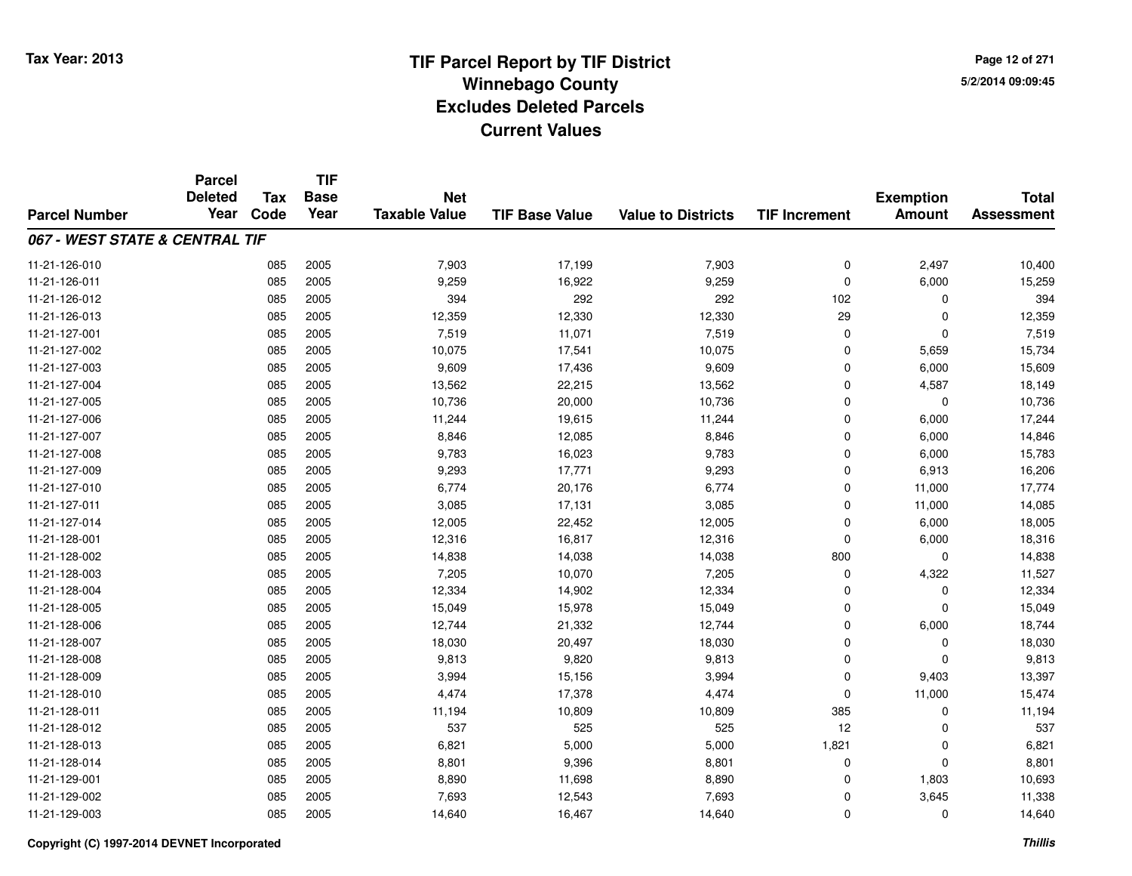**Page 12 of 2715/2/2014 09:09:45**

|                                | <b>Parcel</b><br><b>Deleted</b> | <b>Tax</b> | <b>TIF</b><br><b>Base</b> | <b>Net</b>           |                       |                           |                      | <b>Exemption</b> | <b>Total</b>      |
|--------------------------------|---------------------------------|------------|---------------------------|----------------------|-----------------------|---------------------------|----------------------|------------------|-------------------|
| <b>Parcel Number</b>           | Year                            | Code       | Year                      | <b>Taxable Value</b> | <b>TIF Base Value</b> | <b>Value to Districts</b> | <b>TIF Increment</b> | <b>Amount</b>    | <b>Assessment</b> |
| 067 - WEST STATE & CENTRAL TIF |                                 |            |                           |                      |                       |                           |                      |                  |                   |
| 11-21-126-010                  |                                 | 085        | 2005                      | 7,903                | 17,199                | 7,903                     | $\mathbf 0$          | 2,497            | 10,400            |
| 11-21-126-011                  |                                 | 085        | 2005                      | 9,259                | 16,922                | 9,259                     | $\mathbf 0$          | 6,000            | 15,259            |
| 11-21-126-012                  |                                 | 085        | 2005                      | 394                  | 292                   | 292                       | 102                  | $\mathbf 0$      | 394               |
| 11-21-126-013                  |                                 | 085        | 2005                      | 12,359               | 12,330                | 12,330                    | 29                   | 0                | 12,359            |
| 11-21-127-001                  |                                 | 085        | 2005                      | 7,519                | 11,071                | 7,519                     | $\Omega$             | $\mathbf 0$      | 7,519             |
| 11-21-127-002                  |                                 | 085        | 2005                      | 10,075               | 17,541                | 10,075                    | $\mathbf 0$          | 5,659            | 15,734            |
| 11-21-127-003                  |                                 | 085        | 2005                      | 9,609                | 17,436                | 9,609                     | $\mathbf 0$          | 6,000            | 15,609            |
| 11-21-127-004                  |                                 | 085        | 2005                      | 13,562               | 22,215                | 13,562                    | $\mathbf 0$          | 4,587            | 18,149            |
| 11-21-127-005                  |                                 | 085        | 2005                      | 10,736               | 20,000                | 10,736                    | $\mathbf 0$          | $\mathbf 0$      | 10,736            |
| 11-21-127-006                  |                                 | 085        | 2005                      | 11,244               | 19,615                | 11,244                    | $\mathbf 0$          | 6,000            | 17,244            |
| 11-21-127-007                  |                                 | 085        | 2005                      | 8,846                | 12,085                | 8,846                     | 0                    | 6,000            | 14,846            |
| 11-21-127-008                  |                                 | 085        | 2005                      | 9,783                | 16,023                | 9,783                     | 0                    | 6,000            | 15,783            |
| 11-21-127-009                  |                                 | 085        | 2005                      | 9,293                | 17,771                | 9,293                     | 0                    | 6,913            | 16,206            |
| 11-21-127-010                  |                                 | 085        | 2005                      | 6,774                | 20,176                | 6,774                     | 0                    | 11,000           | 17,774            |
| 11-21-127-011                  |                                 | 085        | 2005                      | 3,085                | 17,131                | 3,085                     | 0                    | 11,000           | 14,085            |
| 11-21-127-014                  |                                 | 085        | 2005                      | 12,005               | 22,452                | 12,005                    | $\mathbf 0$          | 6,000            | 18,005            |
| 11-21-128-001                  |                                 | 085        | 2005                      | 12,316               | 16,817                | 12,316                    | $\Omega$             | 6,000            | 18,316            |
| 11-21-128-002                  |                                 | 085        | 2005                      | 14,838               | 14,038                | 14,038                    | 800                  | 0                | 14,838            |
| 11-21-128-003                  |                                 | 085        | 2005                      | 7,205                | 10,070                | 7,205                     | $\mathbf 0$          | 4,322            | 11,527            |
| 11-21-128-004                  |                                 | 085        | 2005                      | 12,334               | 14,902                | 12,334                    | 0                    | 0                | 12,334            |
| 11-21-128-005                  |                                 | 085        | 2005                      | 15,049               | 15,978                | 15,049                    | $\mathbf 0$          | $\mathbf 0$      | 15,049            |
| 11-21-128-006                  |                                 | 085        | 2005                      | 12,744               | 21,332                | 12,744                    | $\mathbf 0$          | 6,000            | 18,744            |
| 11-21-128-007                  |                                 | 085        | 2005                      | 18,030               | 20,497                | 18,030                    | $\mathbf 0$          | $\mathbf 0$      | 18,030            |
| 11-21-128-008                  |                                 | 085        | 2005                      | 9,813                | 9,820                 | 9,813                     | $\mathbf 0$          | $\mathbf 0$      | 9,813             |
| 11-21-128-009                  |                                 | 085        | 2005                      | 3,994                | 15,156                | 3,994                     | $\mathbf 0$          | 9,403            | 13,397            |
| 11-21-128-010                  |                                 | 085        | 2005                      | 4,474                | 17,378                | 4,474                     | $\mathbf 0$          | 11,000           | 15,474            |
| 11-21-128-011                  |                                 | 085        | 2005                      | 11,194               | 10,809                | 10,809                    | 385                  | $\mathbf 0$      | 11,194            |
| 11-21-128-012                  |                                 | 085        | 2005                      | 537                  | 525                   | 525                       | 12                   | 0                | 537               |
| 11-21-128-013                  |                                 | 085        | 2005                      | 6,821                | 5,000                 | 5,000                     | 1,821                | $\mathbf 0$      | 6,821             |
| 11-21-128-014                  |                                 | 085        | 2005                      | 8,801                | 9,396                 | 8,801                     | 0                    | $\mathbf 0$      | 8,801             |
| 11-21-129-001                  |                                 | 085        | 2005                      | 8,890                | 11,698                | 8,890                     | $\mathbf 0$          | 1,803            | 10,693            |
| 11-21-129-002                  |                                 | 085        | 2005                      | 7,693                | 12,543                | 7,693                     | 0                    | 3,645            | 11,338            |
| 11-21-129-003                  |                                 | 085        | 2005                      | 14,640               | 16,467                | 14,640                    | $\Omega$             | $\mathbf 0$      | 14,640            |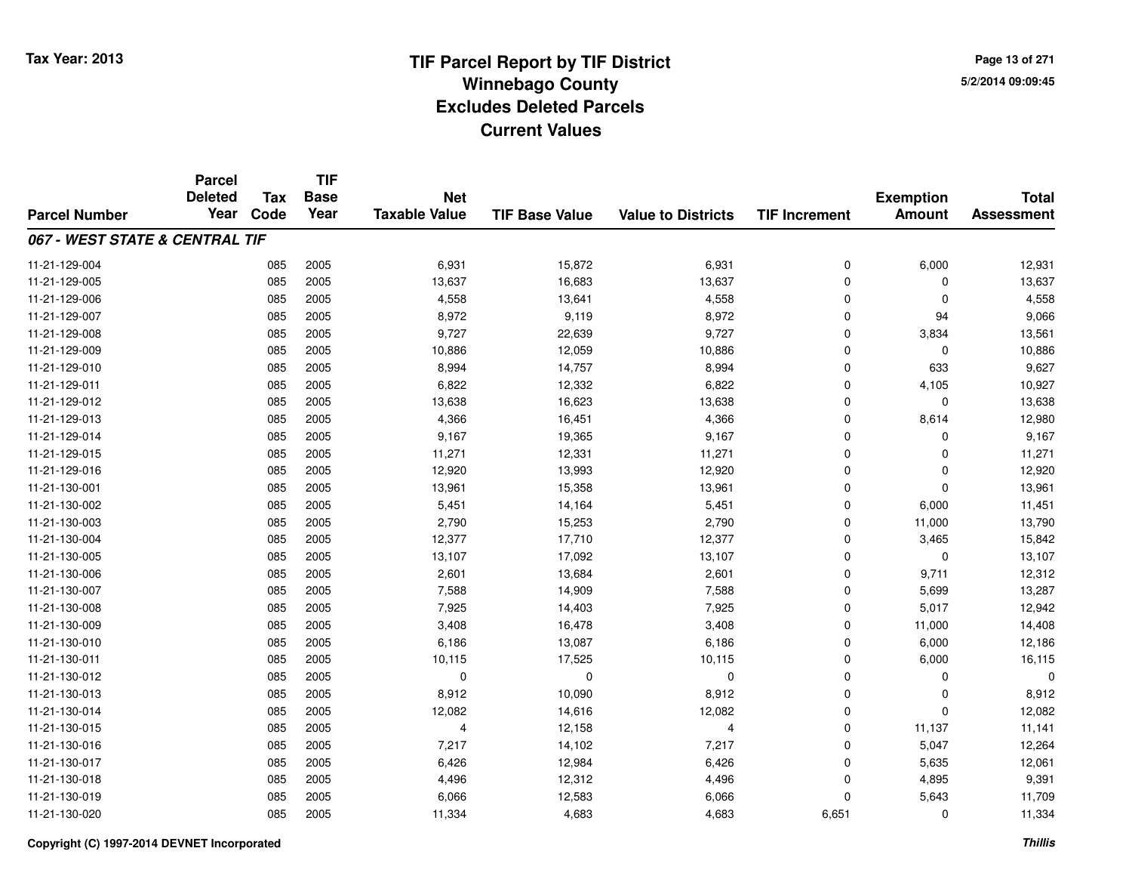**Page 13 of 2715/2/2014 09:09:45**

|                                | <b>Parcel</b><br><b>Deleted</b> | <b>Tax</b> | <b>TIF</b><br><b>Base</b> | <b>Net</b>           |                       |                           |                      | <b>Exemption</b> | <b>Total</b>      |
|--------------------------------|---------------------------------|------------|---------------------------|----------------------|-----------------------|---------------------------|----------------------|------------------|-------------------|
| <b>Parcel Number</b>           | Year                            | Code       | Year                      | <b>Taxable Value</b> | <b>TIF Base Value</b> | <b>Value to Districts</b> | <b>TIF Increment</b> | <b>Amount</b>    | <b>Assessment</b> |
| 067 - WEST STATE & CENTRAL TIF |                                 |            |                           |                      |                       |                           |                      |                  |                   |
| 11-21-129-004                  |                                 | 085        | 2005                      | 6,931                | 15,872                | 6,931                     | $\mathbf 0$          | 6,000            | 12,931            |
| 11-21-129-005                  |                                 | 085        | 2005                      | 13,637               | 16,683                | 13,637                    | $\mathbf 0$          | 0                | 13,637            |
| 11-21-129-006                  |                                 | 085        | 2005                      | 4,558                | 13,641                | 4,558                     | $\mathbf 0$          | $\mathbf 0$      | 4,558             |
| 11-21-129-007                  |                                 | 085        | 2005                      | 8,972                | 9,119                 | 8,972                     | $\mathbf 0$          | 94               | 9,066             |
| 11-21-129-008                  |                                 | 085        | 2005                      | 9,727                | 22,639                | 9,727                     | $\Omega$             | 3,834            | 13,561            |
| 11-21-129-009                  |                                 | 085        | 2005                      | 10,886               | 12,059                | 10,886                    | $\mathbf 0$          | 0                | 10,886            |
| 11-21-129-010                  |                                 | 085        | 2005                      | 8,994                | 14,757                | 8,994                     | $\Omega$             | 633              | 9,627             |
| 11-21-129-011                  |                                 | 085        | 2005                      | 6,822                | 12,332                | 6,822                     | $\mathbf 0$          | 4,105            | 10,927            |
| 11-21-129-012                  |                                 | 085        | 2005                      | 13,638               | 16,623                | 13,638                    | $\mathbf 0$          | $\mathbf 0$      | 13,638            |
| 11-21-129-013                  |                                 | 085        | 2005                      | 4,366                | 16,451                | 4,366                     | $\mathbf 0$          | 8,614            | 12,980            |
| 11-21-129-014                  |                                 | 085        | 2005                      | 9,167                | 19,365                | 9,167                     | $\Omega$             | $\Omega$         | 9,167             |
| 11-21-129-015                  |                                 | 085        | 2005                      | 11,271               | 12,331                | 11,271                    | $\mathbf 0$          | $\mathbf 0$      | 11,271            |
| 11-21-129-016                  |                                 | 085        | 2005                      | 12,920               | 13,993                | 12,920                    | $\Omega$             | $\mathbf 0$      | 12,920            |
| 11-21-130-001                  |                                 | 085        | 2005                      | 13,961               | 15,358                | 13,961                    | 0                    | $\mathbf 0$      | 13,961            |
| 11-21-130-002                  |                                 | 085        | 2005                      | 5,451                | 14,164                | 5,451                     | $\Omega$             | 6,000            | 11,451            |
| 11-21-130-003                  |                                 | 085        | 2005                      | 2,790                | 15,253                | 2,790                     | 0                    | 11,000           | 13,790            |
| 11-21-130-004                  |                                 | 085        | 2005                      | 12,377               | 17,710                | 12,377                    | $\mathbf 0$          | 3,465            | 15,842            |
| 11-21-130-005                  |                                 | 085        | 2005                      | 13,107               | 17,092                | 13,107                    | $\mathbf 0$          | 0                | 13,107            |
| 11-21-130-006                  |                                 | 085        | 2005                      | 2,601                | 13,684                | 2,601                     | $\mathbf 0$          | 9,711            | 12,312            |
| 11-21-130-007                  |                                 | 085        | 2005                      | 7,588                | 14,909                | 7,588                     | 0                    | 5,699            | 13,287            |
| 11-21-130-008                  |                                 | 085        | 2005                      | 7,925                | 14,403                | 7,925                     | $\mathbf 0$          | 5,017            | 12,942            |
| 11-21-130-009                  |                                 | 085        | 2005                      | 3,408                | 16,478                | 3,408                     | 0                    | 11,000           | 14,408            |
| 11-21-130-010                  |                                 | 085        | 2005                      | 6,186                | 13,087                | 6,186                     | $\mathbf 0$          | 6,000            | 12,186            |
| 11-21-130-011                  |                                 | 085        | 2005                      | 10,115               | 17,525                | 10,115                    | $\mathbf 0$          | 6,000            | 16,115            |
| 11-21-130-012                  |                                 | 085        | 2005                      | 0                    | 0                     | $\mathbf 0$               | $\mathbf 0$          | $\mathbf 0$      |                   |
| 11-21-130-013                  |                                 | 085        | 2005                      | 8,912                | 10,090                | 8,912                     | $\mathbf 0$          | 0                | 8,912             |
| 11-21-130-014                  |                                 | 085        | 2005                      | 12,082               | 14,616                | 12,082                    | $\mathbf 0$          | $\mathbf 0$      | 12,082            |
| 11-21-130-015                  |                                 | 085        | 2005                      | 4                    | 12,158                | 4                         | $\mathbf 0$          | 11,137           | 11,141            |
| 11-21-130-016                  |                                 | 085        | 2005                      | 7,217                | 14,102                | 7,217                     | $\Omega$             | 5,047            | 12,264            |
| 11-21-130-017                  |                                 | 085        | 2005                      | 6,426                | 12,984                | 6,426                     | 0                    | 5,635            | 12,061            |
| 11-21-130-018                  |                                 | 085        | 2005                      | 4,496                | 12,312                | 4,496                     | $\Omega$             | 4,895            | 9,391             |
| 11-21-130-019                  |                                 | 085        | 2005                      | 6,066                | 12,583                | 6,066                     | $\Omega$             | 5,643            | 11,709            |
| 11-21-130-020                  |                                 | 085        | 2005                      | 11,334               | 4,683                 | 4,683                     | 6,651                | $\mathbf 0$      | 11,334            |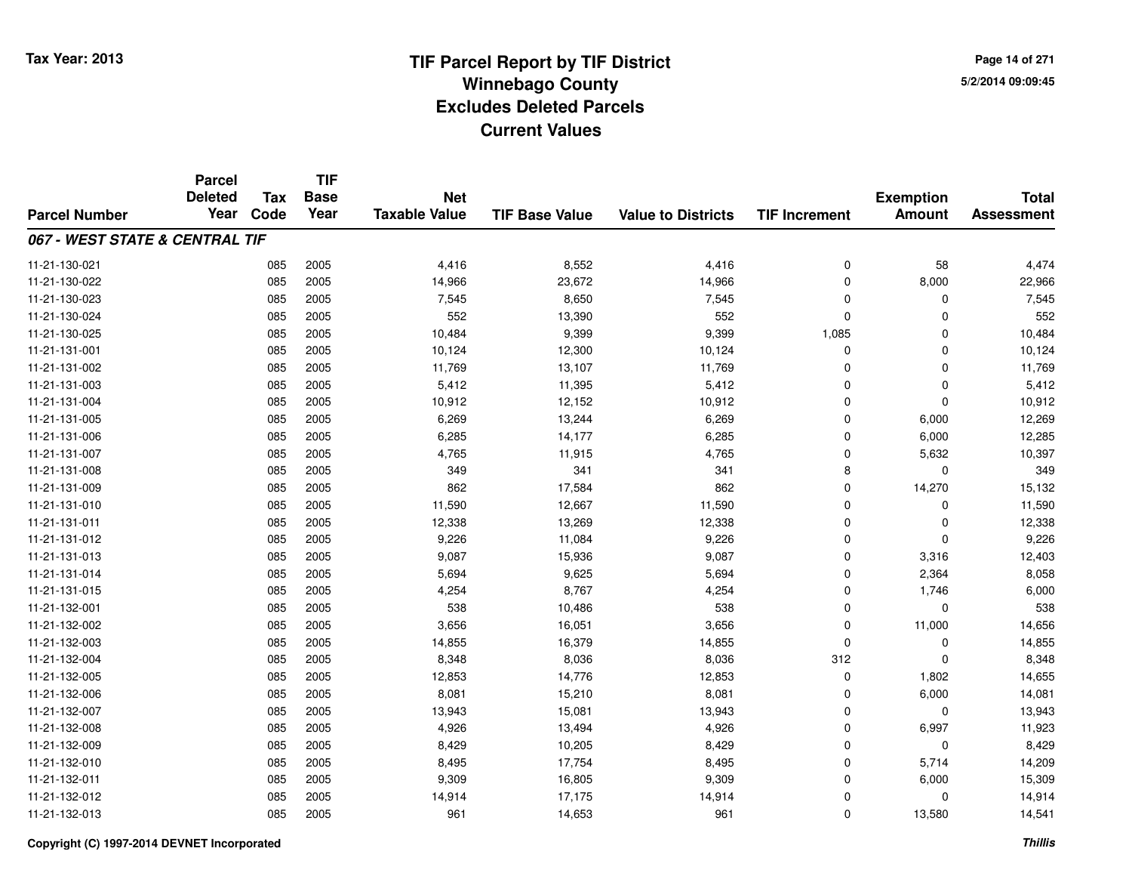**Page 14 of 2715/2/2014 09:09:45**

|                                | <b>Parcel</b><br><b>Deleted</b> | <b>Tax</b> | <b>TIF</b><br><b>Base</b> | <b>Net</b>           |                       |                           |                      | <b>Exemption</b> | <b>Total</b>      |
|--------------------------------|---------------------------------|------------|---------------------------|----------------------|-----------------------|---------------------------|----------------------|------------------|-------------------|
| <b>Parcel Number</b>           | Year                            | Code       | Year                      | <b>Taxable Value</b> | <b>TIF Base Value</b> | <b>Value to Districts</b> | <b>TIF Increment</b> | <b>Amount</b>    | <b>Assessment</b> |
| 067 - WEST STATE & CENTRAL TIF |                                 |            |                           |                      |                       |                           |                      |                  |                   |
| 11-21-130-021                  |                                 | 085        | 2005                      | 4,416                | 8,552                 | 4,416                     | $\mathbf 0$          | 58               | 4,474             |
| 11-21-130-022                  |                                 | 085        | 2005                      | 14,966               | 23,672                | 14,966                    | $\mathbf 0$          | 8,000            | 22,966            |
| 11-21-130-023                  |                                 | 085        | 2005                      | 7,545                | 8,650                 | 7,545                     | $\mathbf 0$          | $\mathbf 0$      | 7,545             |
| 11-21-130-024                  |                                 | 085        | 2005                      | 552                  | 13,390                | 552                       | $\mathbf 0$          | $\mathbf 0$      | 552               |
| 11-21-130-025                  |                                 | 085        | 2005                      | 10,484               | 9,399                 | 9,399                     | 1,085                | $\mathbf 0$      | 10,484            |
| 11-21-131-001                  |                                 | 085        | 2005                      | 10,124               | 12,300                | 10,124                    | 0                    | 0                | 10,124            |
| 11-21-131-002                  |                                 | 085        | 2005                      | 11,769               | 13,107                | 11,769                    | $\Omega$             | $\mathbf 0$      | 11,769            |
| 11-21-131-003                  |                                 | 085        | 2005                      | 5,412                | 11,395                | 5,412                     | $\mathbf 0$          | $\mathbf 0$      | 5,412             |
| 11-21-131-004                  |                                 | 085        | 2005                      | 10,912               | 12,152                | 10,912                    | $\Omega$             | $\mathbf 0$      | 10,912            |
| 11-21-131-005                  |                                 | 085        | 2005                      | 6,269                | 13,244                | 6,269                     | $\mathbf 0$          | 6,000            | 12,269            |
| 11-21-131-006                  |                                 | 085        | 2005                      | 6,285                | 14,177                | 6,285                     | $\Omega$             | 6,000            | 12,285            |
| 11-21-131-007                  |                                 | 085        | 2005                      | 4,765                | 11,915                | 4,765                     | $\mathbf 0$          | 5,632            | 10,397            |
| 11-21-131-008                  |                                 | 085        | 2005                      | 349                  | 341                   | 341                       | 8                    | $\mathbf 0$      | 349               |
| 11-21-131-009                  |                                 | 085        | 2005                      | 862                  | 17,584                | 862                       | 0                    | 14,270           | 15,132            |
| 11-21-131-010                  |                                 | 085        | 2005                      | 11,590               | 12,667                | 11,590                    | 0                    | 0                | 11,590            |
| 11-21-131-011                  |                                 | 085        | 2005                      | 12,338               | 13,269                | 12,338                    | 0                    | 0                | 12,338            |
| 11-21-131-012                  |                                 | 085        | 2005                      | 9,226                | 11,084                | 9,226                     | $\mathbf 0$          | $\mathbf 0$      | 9,226             |
| 11-21-131-013                  |                                 | 085        | 2005                      | 9,087                | 15,936                | 9,087                     | $\mathbf 0$          | 3,316            | 12,403            |
| 11-21-131-014                  |                                 | 085        | 2005                      | 5,694                | 9,625                 | 5,694                     | $\mathbf 0$          | 2,364            | 8,058             |
| 11-21-131-015                  |                                 | 085        | 2005                      | 4,254                | 8,767                 | 4,254                     | $\mathbf 0$          | 1,746            | 6,000             |
| 11-21-132-001                  |                                 | 085        | 2005                      | 538                  | 10,486                | 538                       | $\mathbf 0$          | $\mathbf 0$      | 538               |
| 11-21-132-002                  |                                 | 085        | 2005                      | 3,656                | 16,051                | 3,656                     | $\mathbf 0$          | 11,000           | 14,656            |
| 11-21-132-003                  |                                 | 085        | 2005                      | 14,855               | 16,379                | 14,855                    | $\Omega$             | $\mathbf 0$      | 14,855            |
| 11-21-132-004                  |                                 | 085        | 2005                      | 8,348                | 8,036                 | 8,036                     | 312                  | $\mathbf 0$      | 8,348             |
| 11-21-132-005                  |                                 | 085        | 2005                      | 12,853               | 14,776                | 12,853                    | $\mathbf 0$          | 1,802            | 14,655            |
| 11-21-132-006                  |                                 | 085        | 2005                      | 8,081                | 15,210                | 8,081                     | $\mathbf 0$          | 6,000            | 14,081            |
| 11-21-132-007                  |                                 | 085        | 2005                      | 13,943               | 15,081                | 13,943                    | $\mathbf 0$          | $\mathbf 0$      | 13,943            |
| 11-21-132-008                  |                                 | 085        | 2005                      | 4,926                | 13,494                | 4,926                     | $\mathbf 0$          | 6,997            | 11,923            |
| 11-21-132-009                  |                                 | 085        | 2005                      | 8,429                | 10,205                | 8,429                     | $\mathbf 0$          | $\mathbf 0$      | 8,429             |
| 11-21-132-010                  |                                 | 085        | 2005                      | 8,495                | 17,754                | 8,495                     | 0                    | 5,714            | 14,209            |
| 11-21-132-011                  |                                 | 085        | 2005                      | 9,309                | 16,805                | 9,309                     | $\Omega$             | 6,000            | 15,309            |
| 11-21-132-012                  |                                 | 085        | 2005                      | 14,914               | 17,175                | 14,914                    | 0                    | 0                | 14,914            |
| 11-21-132-013                  |                                 | 085        | 2005                      | 961                  | 14,653                | 961                       | $\Omega$             | 13,580           | 14,541            |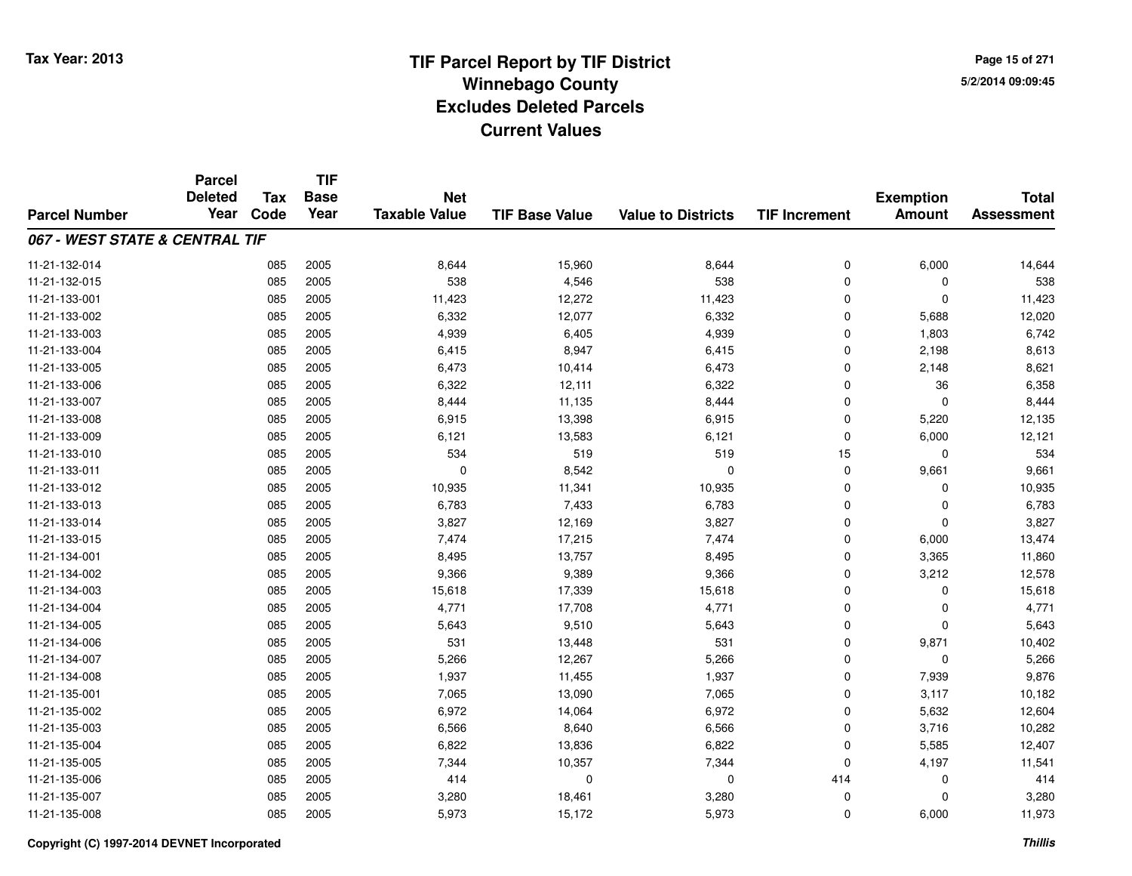**Page 15 of 2715/2/2014 09:09:45**

|                                | <b>Parcel</b><br><b>Deleted</b> | <b>Tax</b> | <b>TIF</b><br><b>Base</b> | <b>Net</b>           |                       |                           |                      | <b>Exemption</b> | <b>Total</b>      |
|--------------------------------|---------------------------------|------------|---------------------------|----------------------|-----------------------|---------------------------|----------------------|------------------|-------------------|
| <b>Parcel Number</b>           | Year                            | Code       | Year                      | <b>Taxable Value</b> | <b>TIF Base Value</b> | <b>Value to Districts</b> | <b>TIF Increment</b> | <b>Amount</b>    | <b>Assessment</b> |
| 067 - WEST STATE & CENTRAL TIF |                                 |            |                           |                      |                       |                           |                      |                  |                   |
| 11-21-132-014                  |                                 | 085        | 2005                      | 8,644                | 15,960                | 8,644                     | $\mathbf 0$          | 6,000            | 14,644            |
| 11-21-132-015                  |                                 | 085        | 2005                      | 538                  | 4,546                 | 538                       | $\mathbf 0$          | 0                | 538               |
| 11-21-133-001                  |                                 | 085        | 2005                      | 11,423               | 12,272                | 11,423                    | $\Omega$             | $\Omega$         | 11,423            |
| 11-21-133-002                  |                                 | 085        | 2005                      | 6,332                | 12,077                | 6,332                     | $\mathbf 0$          | 5,688            | 12,020            |
| 11-21-133-003                  |                                 | 085        | 2005                      | 4,939                | 6,405                 | 4,939                     | $\Omega$             | 1,803            | 6,742             |
| 11-21-133-004                  |                                 | 085        | 2005                      | 6,415                | 8,947                 | 6,415                     | 0                    | 2,198            | 8,613             |
| 11-21-133-005                  |                                 | 085        | 2005                      | 6,473                | 10,414                | 6,473                     | 0                    | 2,148            | 8,621             |
| 11-21-133-006                  |                                 | 085        | 2005                      | 6,322                | 12,111                | 6,322                     | $\mathbf 0$          | 36               | 6,358             |
| 11-21-133-007                  |                                 | 085        | 2005                      | 8,444                | 11,135                | 8,444                     | $\Omega$             | $\Omega$         | 8,444             |
| 11-21-133-008                  |                                 | 085        | 2005                      | 6,915                | 13,398                | 6,915                     | $\mathbf 0$          | 5,220            | 12,135            |
| 11-21-133-009                  |                                 | 085        | 2005                      | 6,121                | 13,583                | 6,121                     | $\mathbf 0$          | 6,000            | 12,121            |
| 11-21-133-010                  |                                 | 085        | 2005                      | 534                  | 519                   | 519                       | 15                   | 0                | 534               |
| 11-21-133-011                  |                                 | 085        | 2005                      | $\mathbf 0$          | 8,542                 | $\mathbf{0}$              | $\mathbf 0$          | 9,661            | 9,661             |
| 11-21-133-012                  |                                 | 085        | 2005                      | 10,935               | 11,341                | 10,935                    | 0                    | 0                | 10,935            |
| 11-21-133-013                  |                                 | 085        | 2005                      | 6,783                | 7,433                 | 6,783                     | $\Omega$             | 0                | 6,783             |
| 11-21-133-014                  |                                 | 085        | 2005                      | 3,827                | 12,169                | 3,827                     | $\mathbf 0$          | $\mathbf{0}$     | 3,827             |
| 11-21-133-015                  |                                 | 085        | 2005                      | 7,474                | 17,215                | 7,474                     | $\mathbf 0$          | 6,000            | 13,474            |
| 11-21-134-001                  |                                 | 085        | 2005                      | 8,495                | 13,757                | 8,495                     | $\mathbf 0$          | 3,365            | 11,860            |
| 11-21-134-002                  |                                 | 085        | 2005                      | 9,366                | 9,389                 | 9,366                     | $\mathbf 0$          | 3,212            | 12,578            |
| 11-21-134-003                  |                                 | 085        | 2005                      | 15,618               | 17,339                | 15,618                    | $\mathbf 0$          | $\mathbf 0$      | 15,618            |
| 11-21-134-004                  |                                 | 085        | 2005                      | 4,771                | 17,708                | 4,771                     | $\mathbf 0$          | 0                | 4,771             |
| 11-21-134-005                  |                                 | 085        | 2005                      | 5,643                | 9,510                 | 5,643                     | $\mathbf 0$          | 0                | 5,643             |
| 11-21-134-006                  |                                 | 085        | 2005                      | 531                  | 13,448                | 531                       | $\mathbf 0$          | 9,871            | 10,402            |
| 11-21-134-007                  |                                 | 085        | 2005                      | 5,266                | 12,267                | 5,266                     | 0                    | $\mathbf 0$      | 5,266             |
| 11-21-134-008                  |                                 | 085        | 2005                      | 1,937                | 11,455                | 1,937                     | $\mathbf 0$          | 7,939            | 9,876             |
| 11-21-135-001                  |                                 | 085        | 2005                      | 7,065                | 13,090                | 7,065                     | $\mathbf 0$          | 3,117            | 10,182            |
| 11-21-135-002                  |                                 | 085        | 2005                      | 6,972                | 14,064                | 6,972                     | $\Omega$             | 5,632            | 12,604            |
| 11-21-135-003                  |                                 | 085        | 2005                      | 6,566                | 8,640                 | 6,566                     | $\mathbf 0$          | 3,716            | 10,282            |
| 11-21-135-004                  |                                 | 085        | 2005                      | 6,822                | 13,836                | 6,822                     | $\Omega$             | 5,585            | 12,407            |
| 11-21-135-005                  |                                 | 085        | 2005                      | 7,344                | 10,357                | 7,344                     | $\Omega$             | 4,197            | 11,541            |
| 11-21-135-006                  |                                 | 085        | 2005                      | 414                  | 0                     | $\mathbf 0$               | 414                  | $\mathbf 0$      | 414               |
| 11-21-135-007                  |                                 | 085        | 2005                      | 3,280                | 18,461                | 3,280                     | 0                    | $\Omega$         | 3,280             |
| 11-21-135-008                  |                                 | 085        | 2005                      | 5,973                | 15,172                | 5,973                     | $\Omega$             | 6,000            | 11,973            |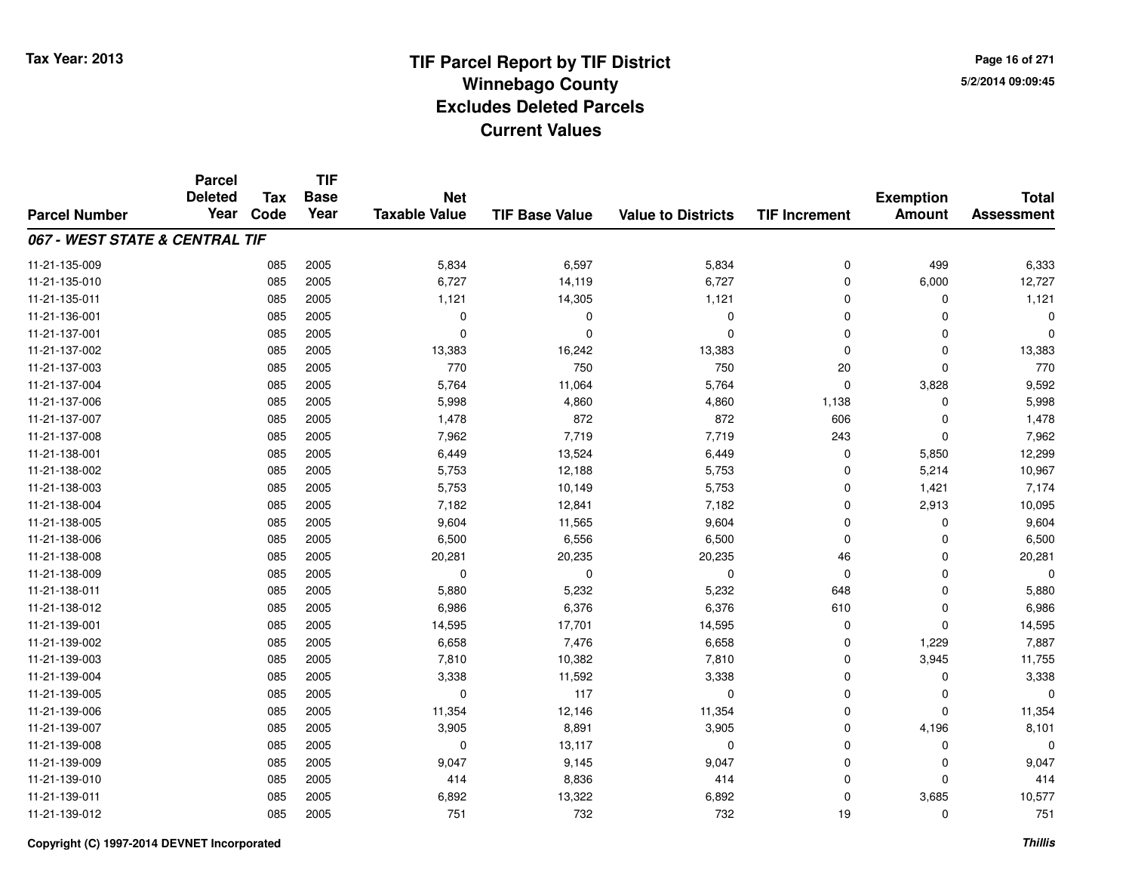**TIF**

**Parcel**

**Page 16 of 2715/2/2014 09:09:45**

#### **TIF Base ValueParcel NumberTotal AssessmentExemption Amount Value to Districts TIF Increment Base YearTax Code Deleted YearNet Taxable Value067 - WEST STATE & CENTRAL TIF**11-21-135-0099 085 2005 5,834 6,597 5,834 0 499 6,333 11-21-135-0100 085 2005 6,727 14,119 6,727 0 6,000 12,727 11-21-135-0111 085 2005 1,121 14,305 1,121 0 0 1,121 11-21-136-001 <sup>085</sup> <sup>0</sup> <sup>2005</sup> <sup>0</sup> <sup>0</sup> <sup>0</sup> <sup>0</sup> <sup>0</sup> 11-21-137-001 <sup>085</sup> <sup>0</sup> <sup>2005</sup> <sup>0</sup> <sup>0</sup> <sup>0</sup> <sup>0</sup> <sup>0</sup> 11-21-137-002 <sup>085</sup> 13,383 <sup>2005</sup> 16,242 13,383 <sup>0</sup> <sup>0</sup> 13,383 11-21-137-003 <sup>085</sup> <sup>770</sup> <sup>2005</sup> <sup>750</sup> <sup>750</sup> <sup>20</sup> <sup>0</sup> <sup>770</sup> 11-21-137-004 <sup>085</sup> 5,764 <sup>2005</sup> 11,064 5,764 <sup>0</sup> 3,828 9,592 11-21-137-006 <sup>085</sup> 5,998 <sup>2005</sup> 4,860 4,860 1,138 <sup>0</sup> 5,998 11-21-137-007 <sup>085</sup> 1,478 <sup>2005</sup> <sup>872</sup> <sup>872</sup> <sup>606</sup> <sup>0</sup> 1,478 11-21-137-008 <sup>085</sup> 7,962 <sup>2005</sup> 7,719 7,719 <sup>243</sup> <sup>0</sup> 7,962 11-21-138-0011 085 2005 6,449 13,524 6,449 0 5,850 12,299 11-21-138-002 <sup>085</sup> 5,753 <sup>2005</sup> 12,188 5,753 <sup>0</sup> 5,214 10,967 11-21-138-003 <sup>085</sup> 5,753 <sup>2005</sup> 10,149 5,753 <sup>0</sup> 1,421 7,174 11-21-138-004 <sup>085</sup> 7,182 <sup>2005</sup> 12,841 7,182 <sup>0</sup> 2,913 10,095 11-21-138-005 <sup>085</sup> 9,604 <sup>2005</sup> 11,565 9,604 <sup>0</sup> <sup>0</sup> 9,604 11-21-138-006 <sup>085</sup> 6,500 <sup>2005</sup> 6,556 6,500 <sup>0</sup> <sup>0</sup> 6,500 11-21-138-008 <sup>085</sup> 20,281 <sup>2005</sup> 20,235 20,235 <sup>46</sup> <sup>0</sup> 20,281 11-21-138-009 <sup>085</sup> <sup>0</sup> <sup>2005</sup> <sup>0</sup> <sup>0</sup> <sup>0</sup> <sup>0</sup> <sup>0</sup> 11-21-138-0111 085 2005 5,880 5,232 5,232 648 0 5,880 11-21-138-0122 085 2005 6,986 6,376 6,376 610 0 6,986 11-21-139-0011 085 2005 14,595 17,701 14,595 0 0 14,595 11-21-139-0022 085 2005 6,658 7,476 6,658 0 1,229 7,887 11-21-139-0033 085 2005 7,810 10,382 7,810 0 3,945 11,755 11-21-139-0044 2005 2005 2005 3,338 11,592 3,338 3,338 0 0 0 3,338 11-21-139-005 <sup>085</sup> <sup>0</sup> <sup>2005</sup> <sup>117</sup> <sup>0</sup> <sup>0</sup> <sup>0</sup> <sup>0</sup> 11-21-139-0066 085 2005 11,354 12,146 11,354 0 0 11,354 11-21-139-007 <sup>085</sup> 3,905 <sup>2005</sup> 8,891 3,905 <sup>0</sup> 4,196 8,101 11-21-139-0088 085 2005 0 13,117 0 0 0 0 11-21-139-009 <sup>085</sup> 9,047 <sup>2005</sup> 9,145 9,047 <sup>0</sup> <sup>0</sup> 9,047 11-21-139-0100 085 2005 414 8,836 414 0 0 414 11-21-139-0111 085 2005 6,892 13,322 6,892 0 3,685 10,577 11-21-139-012<sup>085</sup> <sup>751</sup> <sup>2005</sup> <sup>732</sup> <sup>732</sup> <sup>19</sup> <sup>0</sup> <sup>751</sup>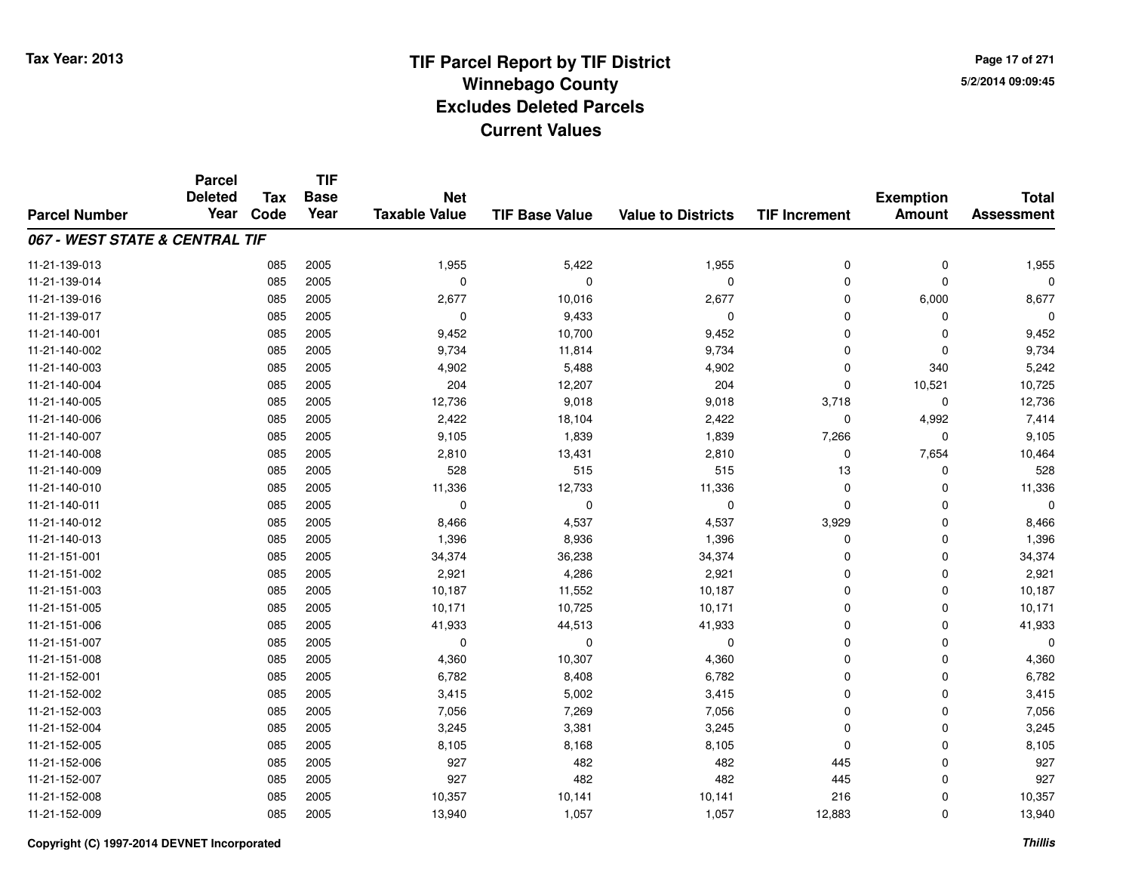**TIF**

**Parcel**

**Page 17 of 2715/2/2014 09:09:45**

#### **TIF Base ValueParcel NumberTotal AssessmentExemption Amount Value to Districts TIF Increment Base YearTax Code Deleted YearNet Taxable Value067 - WEST STATE & CENTRAL TIF**11-21-139-0133 085 2005 1,955 5,422 1,955 0 0 1,955 11-21-139-014 <sup>085</sup> <sup>0</sup> <sup>2005</sup> <sup>0</sup> <sup>0</sup> <sup>0</sup> <sup>0</sup> <sup>0</sup> 11-21-139-016 <sup>085</sup> 2,677 <sup>2005</sup> 10,016 2,677 <sup>0</sup> 6,000 8,677 11-21-139-017 $7$  085 2005 0 0 9,433 0 0 0 0 0 0 11-21-140-0011 085 2005 9,452 10,700 9,452 0 0 9,452 11-21-140-002 <sup>085</sup> 9,734 <sup>2005</sup> 11,814 9,734 <sup>0</sup> <sup>0</sup> 9,734 11-21-140-0033 085 2005 4,902 5,488 4,902 0 340 5,242 11-21-140-004 <sup>085</sup> <sup>204</sup> <sup>2005</sup> 12,207 <sup>204</sup> <sup>0</sup> 10,521 10,725 11-21-140-005 <sup>085</sup> 12,736 <sup>2005</sup> 9,018 9,018 3,718 <sup>0</sup> 12,736 11-21-140-006 <sup>085</sup> 2,422 <sup>2005</sup> 18,104 2,422 <sup>0</sup> 4,992 7,414 11-21-140-007 <sup>085</sup> 9,105 <sup>2005</sup> 1,839 1,839 7,266 <sup>0</sup> 9,105 11-21-140-0088 085 2005 2,810 13,431 2,810 0 7,654 10,464 11-21-140-0099 085 2005 528 515 515 13 0 528 11-21-140-0100 085 2005 11,336 12,733 11,336 0 0 11,336 11-21-140-011 <sup>085</sup> <sup>0</sup> <sup>2005</sup> <sup>0</sup> <sup>0</sup> <sup>0</sup> <sup>0</sup> <sup>0</sup> 11-21-140-0122 085 2005 8,466 4,537 4,537 3,929 0 8,466 11-21-140-0133 085 2005 1,396 8,936 1,396 0 0 1,396 11-21-151-0011 085 2005 34,374 36,238 34,374 0 0 34,374 11-21-151-0022 085 2005 2,921 4,286 2,921 0 0 2,921 11-21-151-003 <sup>085</sup> 10,187 <sup>2005</sup> 11,552 10,187 <sup>0</sup> <sup>0</sup> 10,187 11-21-151-005 <sup>085</sup> 10,171 <sup>2005</sup> 10,725 10,171 <sup>0</sup> <sup>0</sup> 10,171 11-21-151-006 <sup>085</sup> 41,933 <sup>2005</sup> 44,513 41,933 <sup>0</sup> <sup>0</sup> 41,933 11-21-151-007 <sup>085</sup> <sup>0</sup> <sup>2005</sup> <sup>0</sup> <sup>0</sup> <sup>0</sup> <sup>0</sup> <sup>0</sup> 11-21-151-0088 085 2005 4,360 10,307 4,360 0 0 4,360 11-21-152-0011 085 2005 6,782 8,408 6,782 0 0 6,782 11-21-152-0022 085 2005 3,415 5,002 3,415 0 0 3,415 11-21-152-0033 085 2005 7,056 7,269 7,056 0 7,056 11-21-152-0044 085 2005 3,245 3,381 3,245 0 3,245 11-21-152-005 <sup>085</sup> 8,105 <sup>2005</sup> 8,168 8,105 <sup>0</sup> <sup>0</sup> 8,105 11-21-152-006 <sup>085</sup> <sup>927</sup> <sup>2005</sup> <sup>482</sup> <sup>482</sup> <sup>445</sup> <sup>0</sup> <sup>927</sup> 11-21-152-007 <sup>085</sup> <sup>927</sup> <sup>2005</sup> <sup>482</sup> <sup>482</sup> <sup>445</sup> <sup>0</sup> <sup>927</sup> 11-21-152-008 <sup>085</sup> 10,357 <sup>2005</sup> 10,141 10,141 <sup>216</sup> <sup>0</sup> 10,357 11-21-152-009<sup>085</sup> 13,940 <sup>2005</sup> 1,057 1,057 12,883 <sup>0</sup> 13,940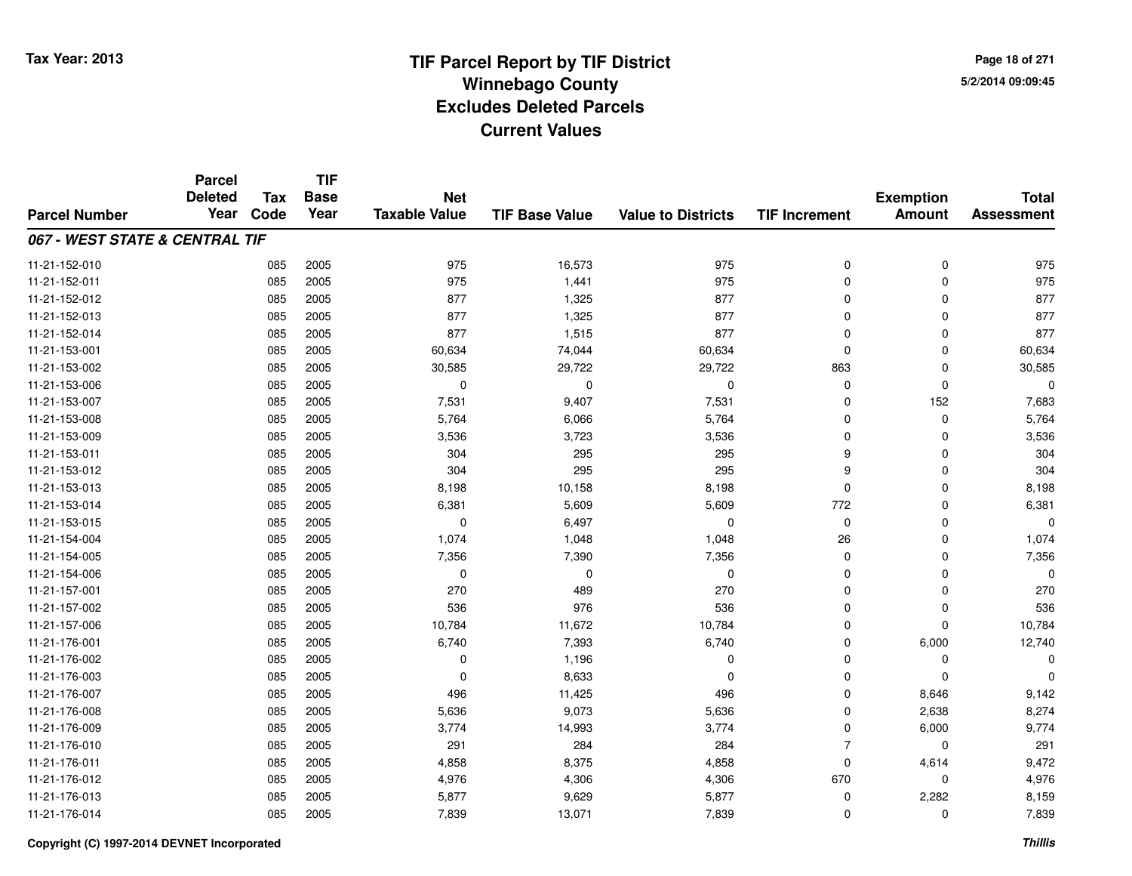**TIF**

**Parcel**

**Page 18 of 2715/2/2014 09:09:45**

#### **TIF Base ValueParcel NumberTotal AssessmentExemption Amount Value to Districts TIF Increment Base YearTax Code Deleted YearNet Taxable Value067 - WEST STATE & CENTRAL TIF**11-21-152-010 <sup>085</sup> <sup>975</sup> <sup>2005</sup> 16,573 <sup>975</sup> <sup>0</sup> <sup>0</sup> <sup>975</sup> 11-21-152-011 <sup>085</sup> <sup>975</sup> <sup>2005</sup> 1,441 <sup>975</sup> <sup>0</sup> <sup>0</sup> <sup>975</sup> 11-21-152-012 <sup>085</sup> <sup>877</sup> <sup>2005</sup> 1,325 <sup>877</sup> <sup>0</sup> <sup>0</sup> <sup>877</sup> 11-21-152-013 <sup>085</sup> <sup>877</sup> <sup>2005</sup> 1,325 <sup>877</sup> <sup>0</sup> <sup>0</sup> <sup>877</sup> 11-21-152-014 <sup>085</sup> <sup>877</sup> <sup>2005</sup> 1,515 <sup>877</sup> <sup>0</sup> <sup>0</sup> <sup>877</sup> 11-21-153-0011 085 2005 60,634 74,044 60,634 0 0 60,634 11-21-153-002 <sup>085</sup> 30,585 <sup>2005</sup> 29,722 29,722 <sup>863</sup> <sup>0</sup> 30,585 11-21-153-006 <sup>085</sup> <sup>0</sup> <sup>2005</sup> <sup>0</sup> <sup>0</sup> <sup>0</sup> <sup>0</sup> <sup>0</sup> 11-21-153-007 <sup>085</sup> 7,531 <sup>2005</sup> 9,407 7,531 <sup>0</sup> <sup>152</sup> 7,683 11-21-153-0088 085 2005 5,764 6,066 5,764 0 0 5,764 11-21-153-0099 085 2005 3,536 3,723 3,536 0 0 3,536 11-21-153-0111 085 2005 304 295 295 9 0 304 11-21-153-012 <sup>085</sup> <sup>304</sup> <sup>2005</sup> <sup>295</sup> <sup>295</sup> <sup>9</sup> <sup>0</sup> <sup>304</sup> 11-21-153-0133 085 2005 8,198 10,158 8,198 0 0 8,198 11-21-153-0144 085 2005 6,381 5,609 5,609 772 0 6,381 11-21-153-015 $5$  085 2005 0 0 6,497 0 0 0 0 0 0 0 0 11-21-154-004 <sup>085</sup> 1,074 <sup>2005</sup> 1,048 1,048 <sup>26</sup> <sup>0</sup> 1,074 11-21-154-005 <sup>085</sup> 7,356 <sup>2005</sup> 7,390 7,356 <sup>0</sup> <sup>0</sup> 7,356 11-21-154-006 <sup>085</sup> <sup>0</sup> <sup>2005</sup> <sup>0</sup> <sup>0</sup> <sup>0</sup> <sup>0</sup> <sup>0</sup> 11-21-157-0011 085 2005 270 489 270 0 0 270 11-21-157-002 <sup>085</sup> <sup>536</sup> <sup>2005</sup> <sup>976</sup> <sup>536</sup> <sup>0</sup> <sup>0</sup> <sup>536</sup> 11-21-157-006 <sup>085</sup> 10,784 <sup>2005</sup> 11,672 10,784 <sup>0</sup> <sup>0</sup> 10,784 11-21-176-0011 085 2005 6,740 7,393 6,740 0 6,000 12,740 11-21-176-002 $2$  085 2005 0 0  $1,196$  0 0 0 0 0 0 11-21-176-0033 085 2005 0 8,633 0 0 0 0 11-21-176-0077 085 2005 496 11,425 496 0 8,646 9,142 11-21-176-0088 085 2005 5,636 9,073 5,636 0 2,638 8,274 11-21-176-009 <sup>085</sup> 3,774 <sup>2005</sup> 14,993 3,774 <sup>0</sup> 6,000 9,774 11-21-176-0100 085 2005 291 284 284 7 0 291 11-21-176-0111 085 2005 4,858 8,375 4,858 0 4,614 9,472 11-21-176-0122 085 2005 4,976 4,306 4,306 670 0 4,976 11-21-176-0133 085 2005 5,877 9,629 5,877 0 2,282 8,159 11-21-176-014<sup>085</sup> 7,839 <sup>2005</sup> 13,071 7,839 <sup>0</sup> <sup>0</sup> 7,839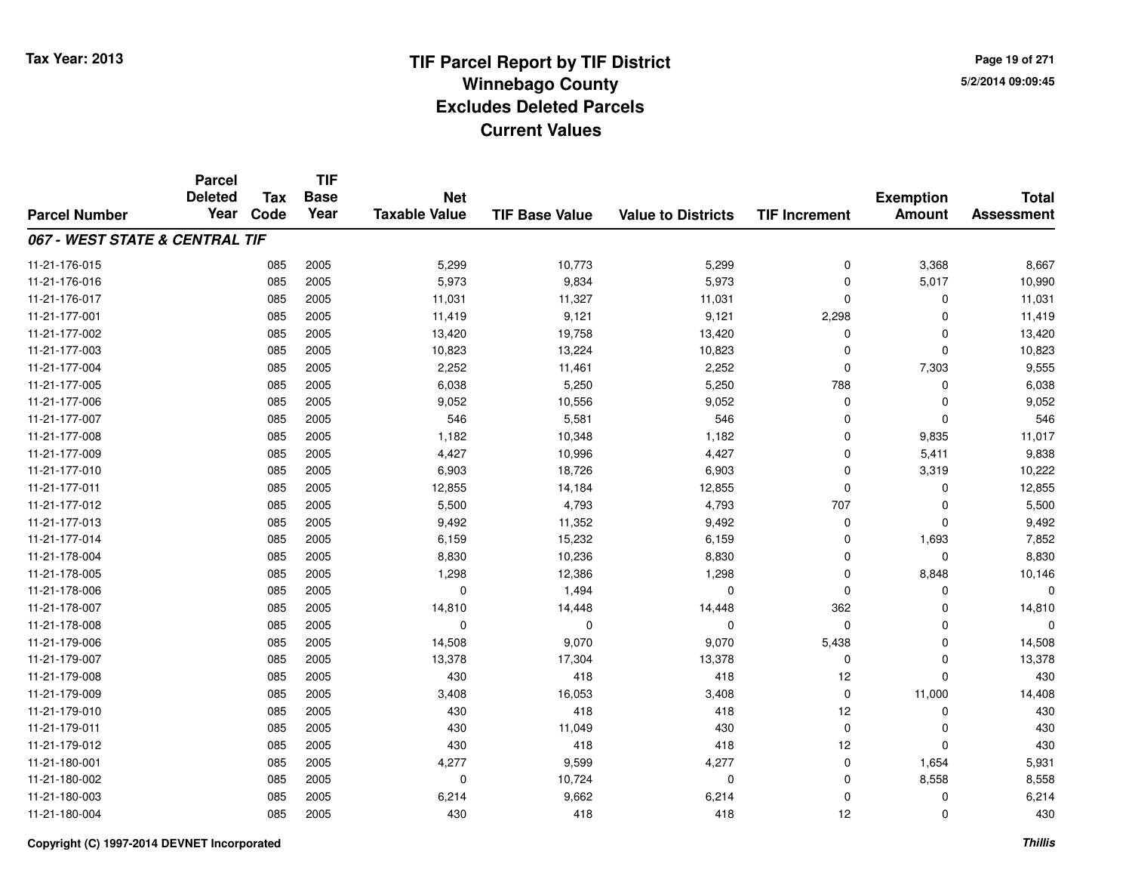**Page 19 of 2715/2/2014 09:09:45**

|                                | <b>Parcel</b><br><b>Deleted</b> | <b>Tax</b> | <b>TIF</b><br><b>Base</b> | <b>Net</b>           |                       |                           |                      | <b>Exemption</b> | <b>Total</b>      |
|--------------------------------|---------------------------------|------------|---------------------------|----------------------|-----------------------|---------------------------|----------------------|------------------|-------------------|
| <b>Parcel Number</b>           | Year                            | Code       | Year                      | <b>Taxable Value</b> | <b>TIF Base Value</b> | <b>Value to Districts</b> | <b>TIF Increment</b> | <b>Amount</b>    | <b>Assessment</b> |
| 067 - WEST STATE & CENTRAL TIF |                                 |            |                           |                      |                       |                           |                      |                  |                   |
| 11-21-176-015                  |                                 | 085        | 2005                      | 5,299                | 10,773                | 5,299                     | $\mathbf 0$          | 3,368            | 8,667             |
| 11-21-176-016                  |                                 | 085        | 2005                      | 5,973                | 9,834                 | 5,973                     | $\mathbf 0$          | 5,017            | 10,990            |
| 11-21-176-017                  |                                 | 085        | 2005                      | 11,031               | 11,327                | 11,031                    | $\Omega$             | $\mathbf 0$      | 11,031            |
| 11-21-177-001                  |                                 | 085        | 2005                      | 11,419               | 9,121                 | 9,121                     | 2,298                | $\mathbf 0$      | 11,419            |
| 11-21-177-002                  |                                 | 085        | 2005                      | 13,420               | 19,758                | 13,420                    | $\Omega$             | $\mathbf 0$      | 13,420            |
| 11-21-177-003                  |                                 | 085        | 2005                      | 10,823               | 13,224                | 10,823                    | $\Omega$             | $\mathbf 0$      | 10,823            |
| 11-21-177-004                  |                                 | 085        | 2005                      | 2,252                | 11,461                | 2,252                     | $\Omega$             | 7,303            | 9,555             |
| 11-21-177-005                  |                                 | 085        | 2005                      | 6,038                | 5,250                 | 5,250                     | 788                  | 0                | 6,038             |
| 11-21-177-006                  |                                 | 085        | 2005                      | 9,052                | 10,556                | 9,052                     | $\mathbf 0$          | $\mathbf 0$      | 9,052             |
| 11-21-177-007                  |                                 | 085        | 2005                      | 546                  | 5,581                 | 546                       | $\Omega$             | $\mathbf 0$      | 546               |
| 11-21-177-008                  |                                 | 085        | 2005                      | 1,182                | 10,348                | 1,182                     | $\Omega$             | 9,835            | 11,017            |
| 11-21-177-009                  |                                 | 085        | 2005                      | 4,427                | 10,996                | 4,427                     | $\Omega$             | 5,411            | 9,838             |
| 11-21-177-010                  |                                 | 085        | 2005                      | 6,903                | 18,726                | 6,903                     | $\Omega$             | 3,319            | 10,222            |
| 11-21-177-011                  |                                 | 085        | 2005                      | 12,855               | 14,184                | 12,855                    | $\Omega$             | 0                | 12,855            |
| 11-21-177-012                  |                                 | 085        | 2005                      | 5,500                | 4,793                 | 4,793                     | 707                  | $\mathbf 0$      | 5,500             |
| 11-21-177-013                  |                                 | 085        | 2005                      | 9,492                | 11,352                | 9,492                     | 0                    | 0                | 9,492             |
| 11-21-177-014                  |                                 | 085        | 2005                      | 6,159                | 15,232                | 6,159                     | $\Omega$             | 1,693            | 7,852             |
| 11-21-178-004                  |                                 | 085        | 2005                      | 8,830                | 10,236                | 8,830                     | 0                    | $\mathbf 0$      | 8,830             |
| 11-21-178-005                  |                                 | 085        | 2005                      | 1,298                | 12,386                | 1,298                     | $\mathbf 0$          | 8,848            | 10,146            |
| 11-21-178-006                  |                                 | 085        | 2005                      | 0                    | 1,494                 | $\mathbf 0$               | 0                    | 0                | ŋ                 |
| 11-21-178-007                  |                                 | 085        | 2005                      | 14,810               | 14,448                | 14,448                    | 362                  | 0                | 14,810            |
| 11-21-178-008                  |                                 | 085        | 2005                      | 0                    | 0                     | 0                         | $\mathbf 0$          | 0                | O                 |
| 11-21-179-006                  |                                 | 085        | 2005                      | 14,508               | 9,070                 | 9,070                     | 5,438                | $\mathbf 0$      | 14,508            |
| 11-21-179-007                  |                                 | 085        | 2005                      | 13,378               | 17,304                | 13,378                    | 0                    | $\mathbf 0$      | 13,378            |
| 11-21-179-008                  |                                 | 085        | 2005                      | 430                  | 418                   | 418                       | 12                   | $\mathbf 0$      | 430               |
| 11-21-179-009                  |                                 | 085        | 2005                      | 3,408                | 16,053                | 3,408                     | $\mathbf 0$          | 11,000           | 14,408            |
| 11-21-179-010                  |                                 | 085        | 2005                      | 430                  | 418                   | 418                       | 12                   | $\mathbf 0$      | 430               |
| 11-21-179-011                  |                                 | 085        | 2005                      | 430                  | 11,049                | 430                       | $\mathbf 0$          | 0                | 430               |
| 11-21-179-012                  |                                 | 085        | 2005                      | 430                  | 418                   | 418                       | 12                   | $\Omega$         | 430               |
| 11-21-180-001                  |                                 | 085        | 2005                      | 4,277                | 9,599                 | 4,277                     | 0                    | 1,654            | 5,931             |
| 11-21-180-002                  |                                 | 085        | 2005                      | 0                    | 10,724                | $\mathbf 0$               | $\mathbf 0$          | 8,558            | 8,558             |
| 11-21-180-003                  |                                 | 085        | 2005                      | 6,214                | 9,662                 | 6,214                     | 0                    | 0                | 6,214             |
| 11-21-180-004                  |                                 | 085        | 2005                      | 430                  | 418                   | 418                       | 12                   | $\mathbf 0$      | 430               |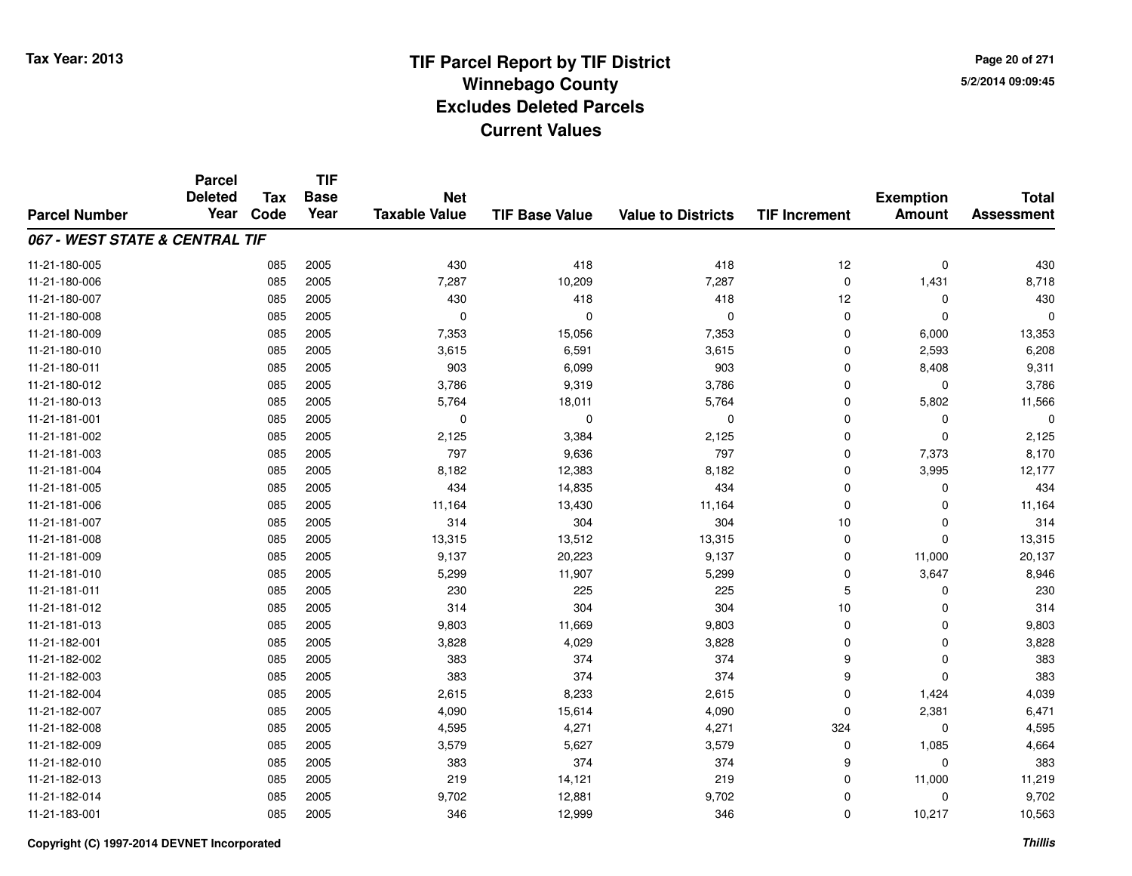# **TIF Parcel Report by TIF District Tax Year: 2013 Winnebago Countyy** 5/2/2014 09:09:45 **Excludes Deleted ParcelsCurrent Values**

**Page 20 of 2715/2/2014 09:09:45**

|                                | <b>Parcel</b><br><b>Deleted</b> | <b>Tax</b> | <b>TIF</b><br><b>Base</b> | <b>Net</b>           |                       |                           |                      | <b>Exemption</b> | <b>Total</b>      |
|--------------------------------|---------------------------------|------------|---------------------------|----------------------|-----------------------|---------------------------|----------------------|------------------|-------------------|
| <b>Parcel Number</b>           | Year                            | Code       | Year                      | <b>Taxable Value</b> | <b>TIF Base Value</b> | <b>Value to Districts</b> | <b>TIF Increment</b> | <b>Amount</b>    | <b>Assessment</b> |
| 067 - WEST STATE & CENTRAL TIF |                                 |            |                           |                      |                       |                           |                      |                  |                   |
| 11-21-180-005                  |                                 | 085        | 2005                      | 430                  | 418                   | 418                       | 12                   | $\mathbf 0$      | 430               |
| 11-21-180-006                  |                                 | 085        | 2005                      | 7,287                | 10,209                | 7,287                     | 0                    | 1,431            | 8,718             |
| 11-21-180-007                  |                                 | 085        | 2005                      | 430                  | 418                   | 418                       | 12                   | $\mathbf 0$      | 430               |
| 11-21-180-008                  |                                 | 085        | 2005                      | $\mathbf 0$          | $\mathbf 0$           | $\mathbf{0}$              | 0                    | $\mathbf 0$      | 0                 |
| 11-21-180-009                  |                                 | 085        | 2005                      | 7,353                | 15,056                | 7,353                     | $\mathbf 0$          | 6,000            | 13,353            |
| 11-21-180-010                  |                                 | 085        | 2005                      | 3,615                | 6,591                 | 3,615                     | 0                    | 2,593            | 6,208             |
| 11-21-180-011                  |                                 | 085        | 2005                      | 903                  | 6,099                 | 903                       | $\mathbf 0$          | 8,408            | 9,311             |
| 11-21-180-012                  |                                 | 085        | 2005                      | 3,786                | 9,319                 | 3,786                     | 0                    | 0                | 3,786             |
| 11-21-180-013                  |                                 | 085        | 2005                      | 5,764                | 18,011                | 5,764                     | $\mathbf 0$          | 5,802            | 11,566            |
| 11-21-181-001                  |                                 | 085        | 2005                      | 0                    | 0                     | $\mathbf 0$               | 0                    | 0                | 0                 |
| 11-21-181-002                  |                                 | 085        | 2005                      | 2,125                | 3,384                 | 2,125                     | $\mathbf 0$          | $\mathbf 0$      | 2,125             |
| 11-21-181-003                  |                                 | 085        | 2005                      | 797                  | 9,636                 | 797                       | 0                    | 7,373            | 8,170             |
| 11-21-181-004                  |                                 | 085        | 2005                      | 8,182                | 12,383                | 8,182                     | $\mathbf 0$          | 3,995            | 12,177            |
| 11-21-181-005                  |                                 | 085        | 2005                      | 434                  | 14,835                | 434                       | 0                    | 0                | 434               |
| 11-21-181-006                  |                                 | 085        | 2005                      | 11,164               | 13,430                | 11,164                    | $\mathbf 0$          | $\Omega$         | 11,164            |
| 11-21-181-007                  |                                 | 085        | 2005                      | 314                  | 304                   | 304                       | 10                   | 0                | 314               |
| 11-21-181-008                  |                                 | 085        | 2005                      | 13,315               | 13,512                | 13,315                    | $\mathbf 0$          | $\Omega$         | 13,315            |
| 11-21-181-009                  |                                 | 085        | 2005                      | 9,137                | 20,223                | 9,137                     | 0                    | 11,000           | 20,137            |
| 11-21-181-010                  |                                 | 085        | 2005                      | 5,299                | 11,907                | 5,299                     | 0                    | 3,647            | 8,946             |
| 11-21-181-011                  |                                 | 085        | 2005                      | 230                  | 225                   | 225                       | 5                    | 0                | 230               |
| 11-21-181-012                  |                                 | 085        | 2005                      | 314                  | 304                   | 304                       | 10                   | 0                | 314               |
| 11-21-181-013                  |                                 | 085        | 2005                      | 9,803                | 11,669                | 9,803                     | 0                    | 0                | 9,803             |
| 11-21-182-001                  |                                 | 085        | 2005                      | 3,828                | 4,029                 | 3,828                     | $\mathbf 0$          | $\mathbf 0$      | 3,828             |
| 11-21-182-002                  |                                 | 085        | 2005                      | 383                  | 374                   | 374                       | 9                    | $\mathbf 0$      | 383               |
| 11-21-182-003                  |                                 | 085        | 2005                      | 383                  | 374                   | 374                       | 9                    | $\Omega$         | 383               |
| 11-21-182-004                  |                                 | 085        | 2005                      | 2,615                | 8,233                 | 2,615                     | 0                    | 1,424            | 4,039             |
| 11-21-182-007                  |                                 | 085        | 2005                      | 4,090                | 15,614                | 4,090                     | $\mathbf 0$          | 2,381            | 6,471             |
| 11-21-182-008                  |                                 | 085        | 2005                      | 4,595                | 4,271                 | 4,271                     | 324                  | 0                | 4,595             |
| 11-21-182-009                  |                                 | 085        | 2005                      | 3,579                | 5,627                 | 3,579                     | 0                    | 1,085            | 4,664             |
| 11-21-182-010                  |                                 | 085        | 2005                      | 383                  | 374                   | 374                       | 9                    | 0                | 383               |
| 11-21-182-013                  |                                 | 085        | 2005                      | 219                  | 14,121                | 219                       | 0                    | 11,000           | 11,219            |
| 11-21-182-014                  |                                 | 085        | 2005                      | 9,702                | 12,881                | 9,702                     | 0                    | 0                | 9,702             |
| 11-21-183-001                  |                                 | 085        | 2005                      | 346                  | 12,999                | 346                       | $\mathbf 0$          | 10,217           | 10,563            |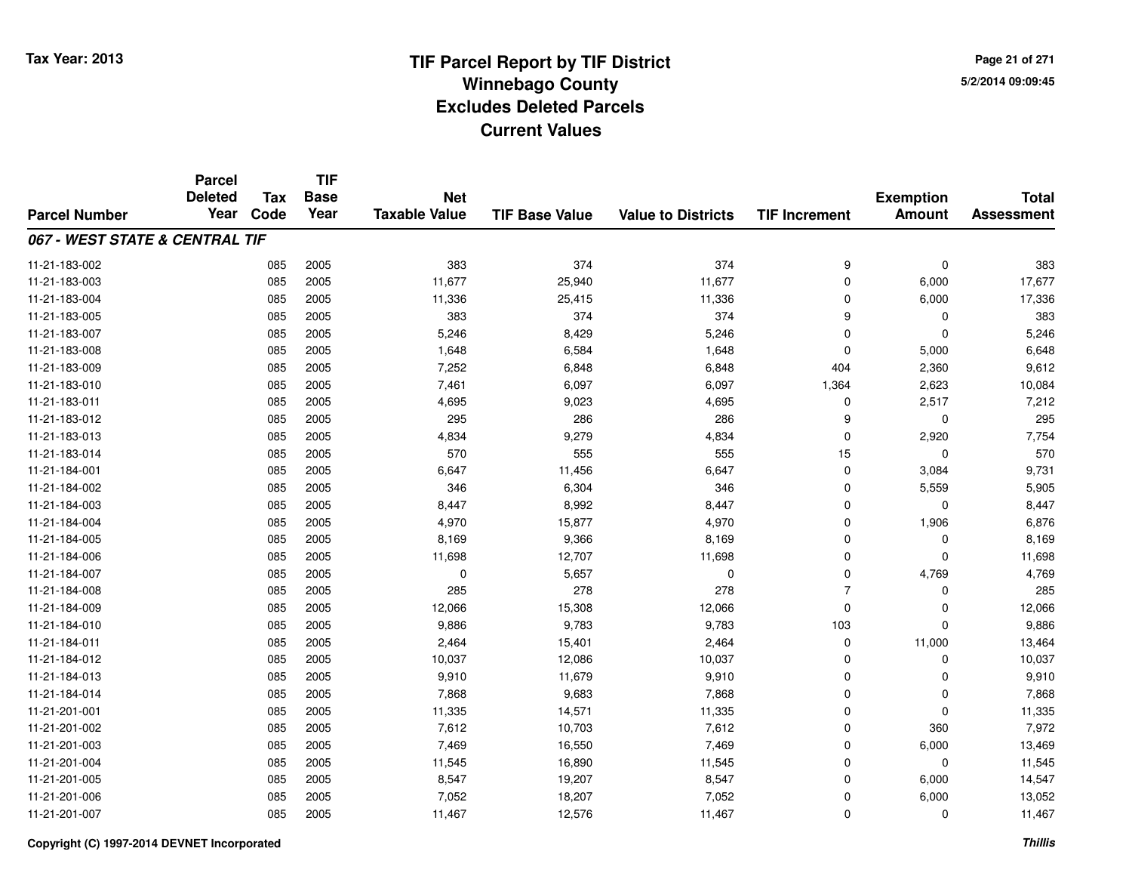**Page 21 of 2715/2/2014 09:09:45**

|                                | <b>Parcel</b><br><b>Deleted</b> | <b>Tax</b> | <b>TIF</b><br><b>Base</b> | <b>Net</b>           |                       |                           |                      | <b>Exemption</b> | <b>Total</b>      |
|--------------------------------|---------------------------------|------------|---------------------------|----------------------|-----------------------|---------------------------|----------------------|------------------|-------------------|
| <b>Parcel Number</b>           | Year                            | Code       | Year                      | <b>Taxable Value</b> | <b>TIF Base Value</b> | <b>Value to Districts</b> | <b>TIF Increment</b> | <b>Amount</b>    | <b>Assessment</b> |
| 067 - WEST STATE & CENTRAL TIF |                                 |            |                           |                      |                       |                           |                      |                  |                   |
| 11-21-183-002                  |                                 | 085        | 2005                      | 383                  | 374                   | 374                       | 9                    | 0                | 383               |
| 11-21-183-003                  |                                 | 085        | 2005                      | 11,677               | 25,940                | 11,677                    | $\mathbf 0$          | 6,000            | 17,677            |
| 11-21-183-004                  |                                 | 085        | 2005                      | 11,336               | 25,415                | 11,336                    | 0                    | 6,000            | 17,336            |
| 11-21-183-005                  |                                 | 085        | 2005                      | 383                  | 374                   | 374                       | 9                    | 0                | 383               |
| 11-21-183-007                  |                                 | 085        | 2005                      | 5,246                | 8,429                 | 5,246                     | 0                    | $\mathbf 0$      | 5,246             |
| 11-21-183-008                  |                                 | 085        | 2005                      | 1,648                | 6,584                 | 1,648                     | 0                    | 5,000            | 6,648             |
| 11-21-183-009                  |                                 | 085        | 2005                      | 7,252                | 6,848                 | 6,848                     | 404                  | 2,360            | 9,612             |
| 11-21-183-010                  |                                 | 085        | 2005                      | 7,461                | 6,097                 | 6,097                     | 1,364                | 2,623            | 10,084            |
| 11-21-183-011                  |                                 | 085        | 2005                      | 4,695                | 9,023                 | 4,695                     | 0                    | 2,517            | 7,212             |
| 11-21-183-012                  |                                 | 085        | 2005                      | 295                  | 286                   | 286                       | 9                    | 0                | 295               |
| 11-21-183-013                  |                                 | 085        | 2005                      | 4,834                | 9,279                 | 4,834                     | 0                    | 2,920            | 7,754             |
| 11-21-183-014                  |                                 | 085        | 2005                      | 570                  | 555                   | 555                       | 15                   | $\mathbf 0$      | 570               |
| 11-21-184-001                  |                                 | 085        | 2005                      | 6,647                | 11,456                | 6,647                     | 0                    | 3,084            | 9,731             |
| 11-21-184-002                  |                                 | 085        | 2005                      | 346                  | 6,304                 | 346                       | 0                    | 5,559            | 5,905             |
| 11-21-184-003                  |                                 | 085        | 2005                      | 8,447                | 8,992                 | 8,447                     | 0                    | $\mathbf 0$      | 8,447             |
| 11-21-184-004                  |                                 | 085        | 2005                      | 4,970                | 15,877                | 4,970                     | 0                    | 1,906            | 6,876             |
| 11-21-184-005                  |                                 | 085        | 2005                      | 8,169                | 9,366                 | 8,169                     | 0                    | 0                | 8,169             |
| 11-21-184-006                  |                                 | 085        | 2005                      | 11,698               | 12,707                | 11,698                    | 0                    | $\mathbf 0$      | 11,698            |
| 11-21-184-007                  |                                 | 085        | 2005                      | 0                    | 5,657                 | 0                         | 0                    | 4,769            | 4,769             |
| 11-21-184-008                  |                                 | 085        | 2005                      | 285                  | 278                   | 278                       | $\overline{7}$       | $\mathbf 0$      | 285               |
| 11-21-184-009                  |                                 | 085        | 2005                      | 12,066               | 15,308                | 12,066                    | 0                    | 0                | 12,066            |
| 11-21-184-010                  |                                 | 085        | 2005                      | 9,886                | 9,783                 | 9,783                     | 103                  | $\Omega$         | 9,886             |
| 11-21-184-011                  |                                 | 085        | 2005                      | 2,464                | 15,401                | 2,464                     | 0                    | 11,000           | 13,464            |
| 11-21-184-012                  |                                 | 085        | 2005                      | 10,037               | 12,086                | 10,037                    | 0                    | $\mathbf 0$      | 10,037            |
| 11-21-184-013                  |                                 | 085        | 2005                      | 9,910                | 11,679                | 9,910                     | 0                    | 0                | 9,910             |
| 11-21-184-014                  |                                 | 085        | 2005                      | 7,868                | 9,683                 | 7,868                     | 0                    | $\mathbf 0$      | 7,868             |
| 11-21-201-001                  |                                 | 085        | 2005                      | 11,335               | 14,571                | 11,335                    | 0                    | $\mathbf 0$      | 11,335            |
| 11-21-201-002                  |                                 | 085        | 2005                      | 7,612                | 10,703                | 7,612                     | 0                    | 360              | 7,972             |
| 11-21-201-003                  |                                 | 085        | 2005                      | 7,469                | 16,550                | 7,469                     | 0                    | 6,000            | 13,469            |
| 11-21-201-004                  |                                 | 085        | 2005                      | 11,545               | 16,890                | 11,545                    | 0                    | 0                | 11,545            |
| 11-21-201-005                  |                                 | 085        | 2005                      | 8,547                | 19,207                | 8,547                     | 0                    | 6,000            | 14,547            |
| 11-21-201-006                  |                                 | 085        | 2005                      | 7,052                | 18,207                | 7,052                     | 0                    | 6,000            | 13,052            |
| 11-21-201-007                  |                                 | 085        | 2005                      | 11,467               | 12,576                | 11,467                    | 0                    | $\Omega$         | 11,467            |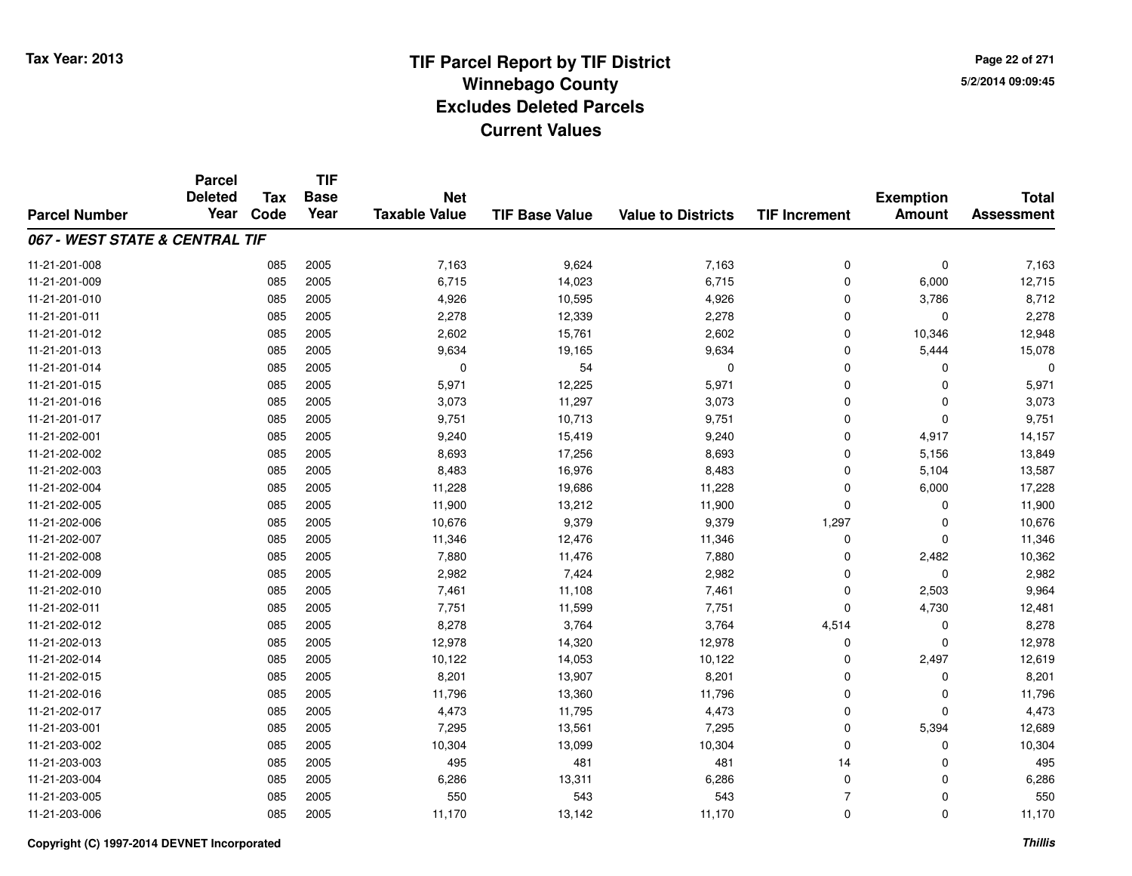**Page 22 of 2715/2/2014 09:09:45**

|                                | <b>Parcel</b>          |                    | <b>TIF</b>          |                                    |                       |                           |                      |                  |                   |
|--------------------------------|------------------------|--------------------|---------------------|------------------------------------|-----------------------|---------------------------|----------------------|------------------|-------------------|
|                                | <b>Deleted</b><br>Year | <b>Tax</b><br>Code | <b>Base</b><br>Year | <b>Net</b><br><b>Taxable Value</b> |                       |                           |                      | <b>Exemption</b> | <b>Total</b>      |
| <b>Parcel Number</b>           |                        |                    |                     |                                    | <b>TIF Base Value</b> | <b>Value to Districts</b> | <b>TIF Increment</b> | <b>Amount</b>    | <b>Assessment</b> |
| 067 - WEST STATE & CENTRAL TIF |                        |                    |                     |                                    |                       |                           |                      |                  |                   |
| 11-21-201-008                  |                        | 085                | 2005                | 7,163                              | 9,624                 | 7,163                     | 0                    | $\mathbf 0$      | 7,163             |
| 11-21-201-009                  |                        | 085                | 2005                | 6,715                              | 14,023                | 6,715                     | $\mathbf 0$          | 6,000            | 12,715            |
| 11-21-201-010                  |                        | 085                | 2005                | 4,926                              | 10,595                | 4,926                     | 0                    | 3,786            | 8,712             |
| 11-21-201-011                  |                        | 085                | 2005                | 2,278                              | 12,339                | 2,278                     | 0                    | $\Omega$         | 2,278             |
| 11-21-201-012                  |                        | 085                | 2005                | 2,602                              | 15,761                | 2,602                     | 0                    | 10,346           | 12,948            |
| 11-21-201-013                  |                        | 085                | 2005                | 9,634                              | 19,165                | 9,634                     | 0                    | 5,444            | 15,078            |
| 11-21-201-014                  |                        | 085                | 2005                | 0                                  | 54                    | $\mathbf 0$               | 0                    | $\Omega$         | 0                 |
| 11-21-201-015                  |                        | 085                | 2005                | 5,971                              | 12,225                | 5,971                     | $\mathbf 0$          | $\Omega$         | 5,971             |
| 11-21-201-016                  |                        | 085                | 2005                | 3,073                              | 11,297                | 3,073                     | 0                    | $\mathbf 0$      | 3,073             |
| 11-21-201-017                  |                        | 085                | 2005                | 9,751                              | 10,713                | 9,751                     | 0                    | $\Omega$         | 9,751             |
| 11-21-202-001                  |                        | 085                | 2005                | 9,240                              | 15,419                | 9,240                     | 0                    | 4,917            | 14,157            |
| 11-21-202-002                  |                        | 085                | 2005                | 8,693                              | 17,256                | 8,693                     | 0                    | 5,156            | 13,849            |
| 11-21-202-003                  |                        | 085                | 2005                | 8,483                              | 16,976                | 8,483                     | 0                    | 5,104            | 13,587            |
| 11-21-202-004                  |                        | 085                | 2005                | 11,228                             | 19,686                | 11,228                    | 0                    | 6,000            | 17,228            |
| 11-21-202-005                  |                        | 085                | 2005                | 11,900                             | 13,212                | 11,900                    | 0                    | 0                | 11,900            |
| 11-21-202-006                  |                        | 085                | 2005                | 10,676                             | 9,379                 | 9,379                     | 1,297                | 0                | 10,676            |
| 11-21-202-007                  |                        | 085                | 2005                | 11,346                             | 12,476                | 11,346                    | 0                    | 0                | 11,346            |
| 11-21-202-008                  |                        | 085                | 2005                | 7,880                              | 11,476                | 7,880                     | 0                    | 2,482            | 10,362            |
| 11-21-202-009                  |                        | 085                | 2005                | 2,982                              | 7,424                 | 2,982                     | 0                    | $\mathbf 0$      | 2,982             |
| 11-21-202-010                  |                        | 085                | 2005                | 7,461                              | 11,108                | 7,461                     | 0                    | 2,503            | 9,964             |
| 11-21-202-011                  |                        | 085                | 2005                | 7,751                              | 11,599                | 7,751                     | 0                    | 4,730            | 12,481            |
| 11-21-202-012                  |                        | 085                | 2005                | 8,278                              | 3,764                 | 3,764                     | 4,514                | 0                | 8,278             |
| 11-21-202-013                  |                        | 085                | 2005                | 12,978                             | 14,320                | 12,978                    | 0                    | $\mathbf 0$      | 12,978            |
| 11-21-202-014                  |                        | 085                | 2005                | 10,122                             | 14,053                | 10,122                    | 0                    | 2,497            | 12,619            |
| 11-21-202-015                  |                        | 085                | 2005                | 8,201                              | 13,907                | 8,201                     | 0                    | 0                | 8,201             |
| 11-21-202-016                  |                        | 085                | 2005                | 11,796                             | 13,360                | 11,796                    | 0                    | $\mathbf 0$      | 11,796            |
| 11-21-202-017                  |                        | 085                | 2005                | 4,473                              | 11,795                | 4,473                     | 0                    | $\Omega$         | 4,473             |
| 11-21-203-001                  |                        | 085                | 2005                | 7,295                              | 13,561                | 7,295                     | 0                    | 5,394            | 12,689            |
| 11-21-203-002                  |                        | 085                | 2005                | 10,304                             | 13,099                | 10,304                    | 0                    | 0                | 10,304            |
| 11-21-203-003                  |                        | 085                | 2005                | 495                                | 481                   | 481                       | 14                   | 0                | 495               |
| 11-21-203-004                  |                        | 085                | 2005                | 6,286                              | 13,311                | 6,286                     | 0                    | $\Omega$         | 6,286             |
| 11-21-203-005                  |                        | 085                | 2005                | 550                                | 543                   | 543                       | $\overline{7}$       | 0                | 550               |
| 11-21-203-006                  |                        | 085                | 2005                | 11,170                             | 13,142                | 11,170                    | 0                    | $\Omega$         | 11,170            |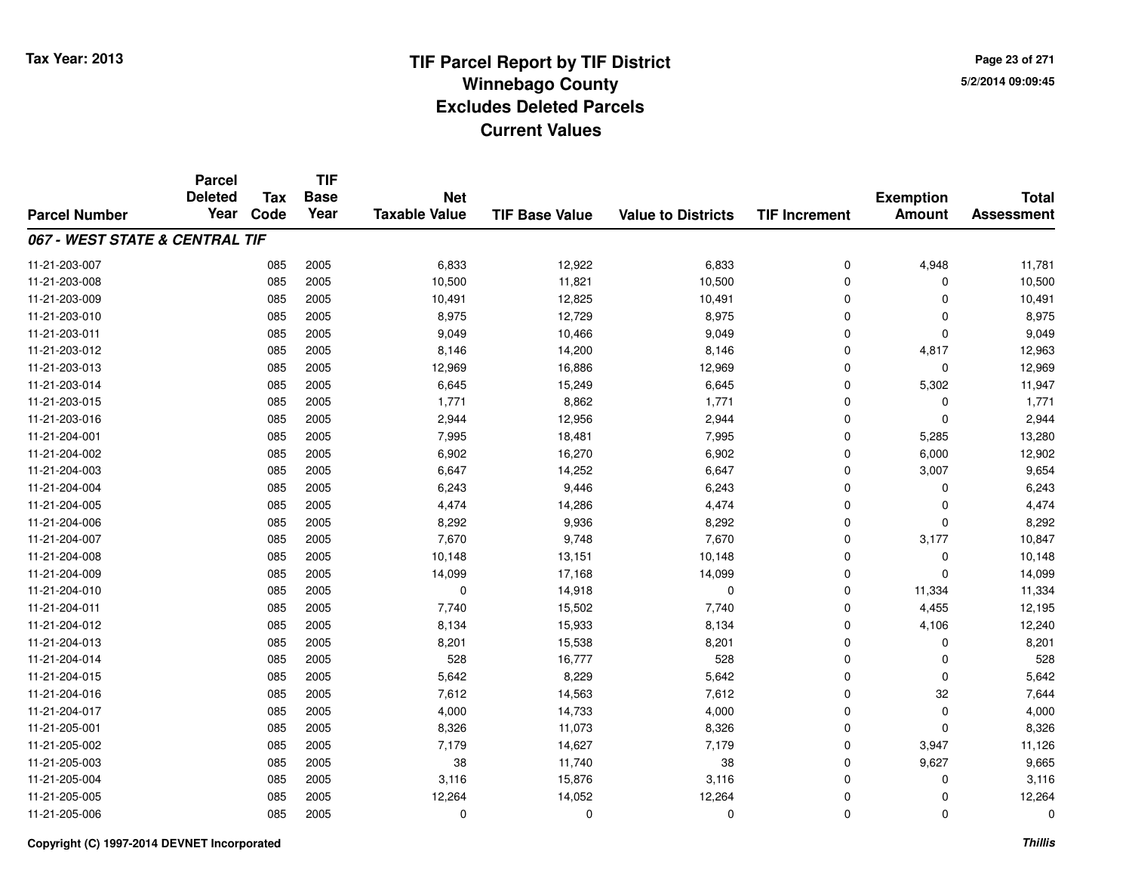**Page 23 of 2715/2/2014 09:09:45**

|                                | <b>Parcel</b>          |                    | <b>TIF</b>          |                                    |                       |                           |                      |                                   |                                   |
|--------------------------------|------------------------|--------------------|---------------------|------------------------------------|-----------------------|---------------------------|----------------------|-----------------------------------|-----------------------------------|
| <b>Parcel Number</b>           | <b>Deleted</b><br>Year | <b>Tax</b><br>Code | <b>Base</b><br>Year | <b>Net</b><br><b>Taxable Value</b> | <b>TIF Base Value</b> | <b>Value to Districts</b> | <b>TIF Increment</b> | <b>Exemption</b><br><b>Amount</b> | <b>Total</b><br><b>Assessment</b> |
|                                |                        |                    |                     |                                    |                       |                           |                      |                                   |                                   |
| 067 - WEST STATE & CENTRAL TIF |                        |                    |                     |                                    |                       |                           |                      |                                   |                                   |
| 11-21-203-007                  |                        | 085                | 2005                | 6,833                              | 12,922                | 6,833                     | 0                    | 4,948                             | 11,781                            |
| 11-21-203-008                  |                        | 085                | 2005                | 10,500                             | 11,821                | 10,500                    | 0                    | 0                                 | 10,500                            |
| 11-21-203-009                  |                        | 085                | 2005                | 10,491                             | 12,825                | 10,491                    | 0                    | $\Omega$                          | 10,491                            |
| 11-21-203-010                  |                        | 085                | 2005                | 8,975                              | 12,729                | 8,975                     | 0                    | 0                                 | 8,975                             |
| 11-21-203-011                  |                        | 085                | 2005                | 9,049                              | 10,466                | 9,049                     | $\mathbf 0$          | $\Omega$                          | 9,049                             |
| 11-21-203-012                  |                        | 085                | 2005                | 8,146                              | 14,200                | 8,146                     | 0                    | 4,817                             | 12,963                            |
| 11-21-203-013                  |                        | 085                | 2005                | 12,969                             | 16,886                | 12,969                    | 0                    | $\Omega$                          | 12,969                            |
| 11-21-203-014                  |                        | 085                | 2005                | 6,645                              | 15,249                | 6,645                     | 0                    | 5,302                             | 11,947                            |
| 11-21-203-015                  |                        | 085                | 2005                | 1,771                              | 8,862                 | 1,771                     | 0                    | $\Omega$                          | 1,771                             |
| 11-21-203-016                  |                        | 085                | 2005                | 2,944                              | 12,956                | 2,944                     | 0                    | $\Omega$                          | 2,944                             |
| 11-21-204-001                  |                        | 085                | 2005                | 7,995                              | 18,481                | 7,995                     | $\mathbf 0$          | 5,285                             | 13,280                            |
| 11-21-204-002                  |                        | 085                | 2005                | 6,902                              | 16,270                | 6,902                     | 0                    | 6,000                             | 12,902                            |
| 11-21-204-003                  |                        | 085                | 2005                | 6,647                              | 14,252                | 6,647                     | $\mathbf 0$          | 3,007                             | 9,654                             |
| 11-21-204-004                  |                        | 085                | 2005                | 6,243                              | 9,446                 | 6,243                     | 0                    | 0                                 | 6,243                             |
| 11-21-204-005                  |                        | 085                | 2005                | 4,474                              | 14,286                | 4,474                     | 0                    | 0                                 | 4,474                             |
| 11-21-204-006                  |                        | 085                | 2005                | 8,292                              | 9,936                 | 8,292                     | 0                    | 0                                 | 8,292                             |
| 11-21-204-007                  |                        | 085                | 2005                | 7,670                              | 9,748                 | 7,670                     | 0                    | 3,177                             | 10,847                            |
| 11-21-204-008                  |                        | 085                | 2005                | 10,148                             | 13,151                | 10,148                    | 0                    | 0                                 | 10,148                            |
| 11-21-204-009                  |                        | 085                | 2005                | 14,099                             | 17,168                | 14,099                    | 0                    | $\Omega$                          | 14,099                            |
| 11-21-204-010                  |                        | 085                | 2005                | 0                                  | 14,918                | 0                         | 0                    | 11,334                            | 11,334                            |
| 11-21-204-011                  |                        | 085                | 2005                | 7,740                              | 15,502                | 7,740                     | 0                    | 4,455                             | 12,195                            |
| 11-21-204-012                  |                        | 085                | 2005                | 8,134                              | 15,933                | 8,134                     | 0                    | 4,106                             | 12,240                            |
| 11-21-204-013                  |                        | 085                | 2005                | 8,201                              | 15,538                | 8,201                     | 0                    | 0                                 | 8,201                             |
| 11-21-204-014                  |                        | 085                | 2005                | 528                                | 16,777                | 528                       | 0                    | 0                                 | 528                               |
| 11-21-204-015                  |                        | 085                | 2005                | 5,642                              | 8,229                 | 5,642                     | 0                    | $\Omega$                          | 5,642                             |
| 11-21-204-016                  |                        | 085                | 2005                | 7,612                              | 14,563                | 7,612                     | 0                    | 32                                | 7,644                             |
| 11-21-204-017                  |                        | 085                | 2005                | 4,000                              | 14,733                | 4,000                     | 0                    | $\mathbf 0$                       | 4,000                             |
| 11-21-205-001                  |                        | 085                | 2005                | 8,326                              | 11,073                | 8,326                     | 0                    | $\Omega$                          | 8,326                             |
| 11-21-205-002                  |                        | 085                | 2005                | 7,179                              | 14,627                | 7,179                     | 0                    | 3,947                             | 11,126                            |
| 11-21-205-003                  |                        | 085                | 2005                | 38                                 | 11,740                | 38                        | 0                    | 9,627                             | 9,665                             |
| 11-21-205-004                  |                        | 085                | 2005                | 3,116                              | 15,876                | 3,116                     | 0                    | 0                                 | 3,116                             |
| 11-21-205-005                  |                        | 085                | 2005                | 12,264                             | 14,052                | 12,264                    | 0                    | 0                                 | 12,264                            |
| 11-21-205-006                  |                        | 085                | 2005                | 0                                  | 0                     | $\Omega$                  | 0                    | $\Omega$                          | 0                                 |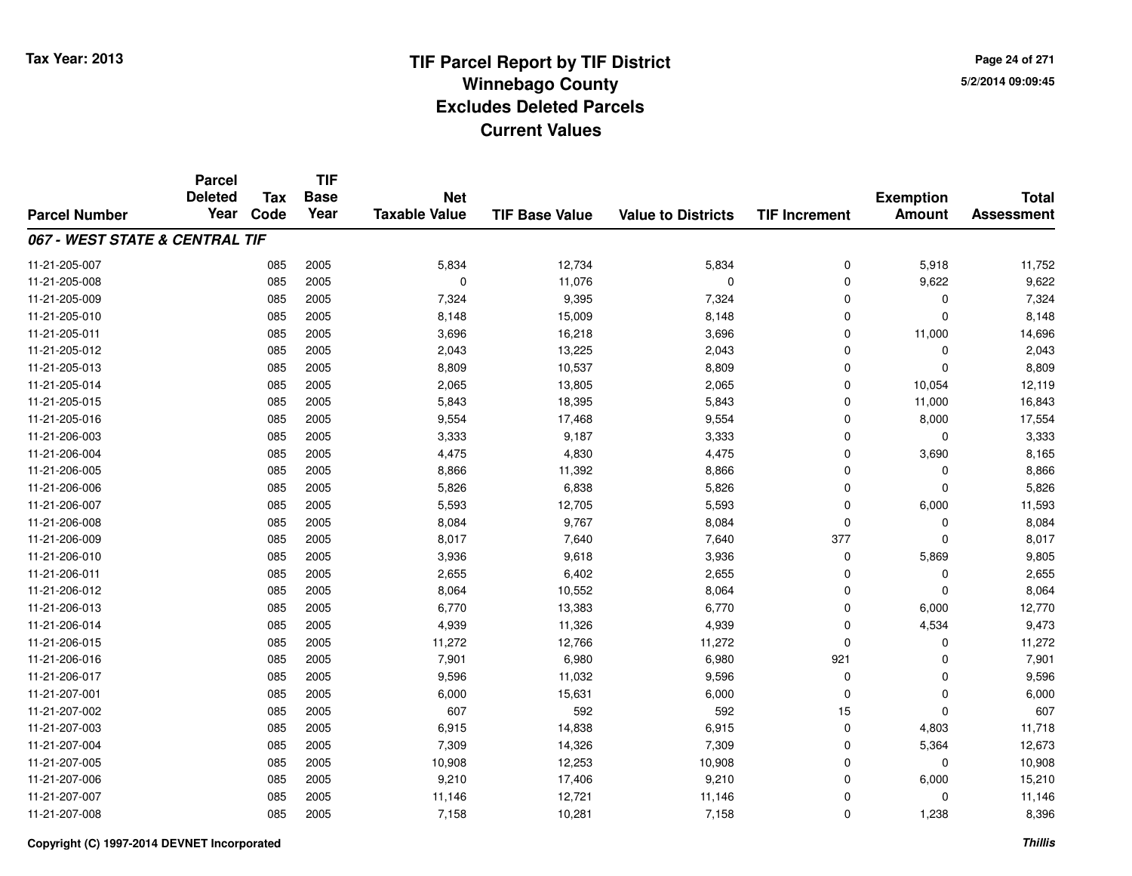**Page 24 of 2715/2/2014 09:09:45**

|                                | <b>Parcel</b> | <b>Tax</b> | <b>TIF</b><br><b>Deleted</b><br><b>Base</b><br><b>Net</b> |                      | <b>Exemption</b>      | <b>Total</b>              |                      |               |                   |
|--------------------------------|---------------|------------|-----------------------------------------------------------|----------------------|-----------------------|---------------------------|----------------------|---------------|-------------------|
| <b>Parcel Number</b>           | Year          | Code       | Year                                                      | <b>Taxable Value</b> | <b>TIF Base Value</b> | <b>Value to Districts</b> | <b>TIF Increment</b> | <b>Amount</b> | <b>Assessment</b> |
| 067 - WEST STATE & CENTRAL TIF |               |            |                                                           |                      |                       |                           |                      |               |                   |
| 11-21-205-007                  |               | 085        | 2005                                                      | 5,834                | 12,734                | 5,834                     | $\mathbf 0$          | 5,918         | 11,752            |
| 11-21-205-008                  |               | 085        | 2005                                                      | $\mathbf 0$          | 11,076                | $\mathbf 0$               | $\mathbf 0$          | 9,622         | 9,622             |
| 11-21-205-009                  |               | 085        | 2005                                                      | 7,324                | 9,395                 | 7,324                     | $\Omega$             | 0             | 7,324             |
| 11-21-205-010                  |               | 085        | 2005                                                      | 8,148                | 15,009                | 8,148                     | $\mathbf 0$          | $\Omega$      | 8,148             |
| 11-21-205-011                  |               | 085        | 2005                                                      | 3,696                | 16,218                | 3,696                     | $\Omega$             | 11,000        | 14,696            |
| 11-21-205-012                  |               | 085        | 2005                                                      | 2,043                | 13,225                | 2,043                     | $\mathbf 0$          | 0             | 2,043             |
| 11-21-205-013                  |               | 085        | 2005                                                      | 8,809                | 10,537                | 8,809                     | $\mathbf 0$          | $\Omega$      | 8,809             |
| 11-21-205-014                  |               | 085        | 2005                                                      | 2,065                | 13,805                | 2,065                     | $\mathbf 0$          | 10,054        | 12,119            |
| 11-21-205-015                  |               | 085        | 2005                                                      | 5,843                | 18,395                | 5,843                     | $\mathbf 0$          | 11,000        | 16,843            |
| 11-21-205-016                  |               | 085        | 2005                                                      | 9,554                | 17,468                | 9,554                     | $\mathbf 0$          | 8,000         | 17,554            |
| 11-21-206-003                  |               | 085        | 2005                                                      | 3,333                | 9,187                 | 3,333                     | $\Omega$             | $\mathbf{0}$  | 3,333             |
| 11-21-206-004                  |               | 085        | 2005                                                      | 4,475                | 4,830                 | 4,475                     | $\mathbf 0$          | 3,690         | 8,165             |
| 11-21-206-005                  |               | 085        | 2005                                                      | 8,866                | 11,392                | 8,866                     | $\Omega$             | $\Omega$      | 8,866             |
| 11-21-206-006                  |               | 085        | 2005                                                      | 5,826                | 6,838                 | 5,826                     | 0                    | 0             | 5,826             |
| 11-21-206-007                  |               | 085        | 2005                                                      | 5,593                | 12,705                | 5,593                     | $\mathbf 0$          | 6,000         | 11,593            |
| 11-21-206-008                  |               | 085        | 2005                                                      | 8,084                | 9,767                 | 8,084                     | 0                    | 0             | 8,084             |
| 11-21-206-009                  |               | 085        | 2005                                                      | 8,017                | 7,640                 | 7,640                     | 377                  | $\Omega$      | 8,017             |
| 11-21-206-010                  |               | 085        | 2005                                                      | 3,936                | 9,618                 | 3,936                     | 0                    | 5,869         | 9,805             |
| 11-21-206-011                  |               | 085        | 2005                                                      | 2,655                | 6,402                 | 2,655                     | $\mathbf 0$          | $\Omega$      | 2,655             |
| 11-21-206-012                  |               | 085        | 2005                                                      | 8,064                | 10,552                | 8,064                     | 0                    | 0             | 8,064             |
| 11-21-206-013                  |               | 085        | 2005                                                      | 6,770                | 13,383                | 6,770                     | $\mathbf 0$          | 6,000         | 12,770            |
| 11-21-206-014                  |               | 085        | 2005                                                      | 4,939                | 11,326                | 4,939                     | 0                    | 4,534         | 9,473             |
| 11-21-206-015                  |               | 085        | 2005                                                      | 11,272               | 12,766                | 11,272                    | $\mathbf 0$          | $\mathbf 0$   | 11,272            |
| 11-21-206-016                  |               | 085        | 2005                                                      | 7,901                | 6,980                 | 6,980                     | 921                  | $\mathbf 0$   | 7,901             |
| 11-21-206-017                  |               | 085        | 2005                                                      | 9,596                | 11,032                | 9,596                     | $\mathbf 0$          | $\mathbf 0$   | 9,596             |
| 11-21-207-001                  |               | 085        | 2005                                                      | 6,000                | 15,631                | 6,000                     | $\mathbf 0$          | $\mathbf 0$   | 6,000             |
| 11-21-207-002                  |               | 085        | 2005                                                      | 607                  | 592                   | 592                       | 15                   | $\Omega$      | 607               |
| 11-21-207-003                  |               | 085        | 2005                                                      | 6,915                | 14,838                | 6,915                     | $\mathbf 0$          | 4,803         | 11,718            |
| 11-21-207-004                  |               | 085        | 2005                                                      | 7,309                | 14,326                | 7,309                     | $\mathbf 0$          | 5,364         | 12,673            |
| 11-21-207-005                  |               | 085        | 2005                                                      | 10,908               | 12,253                | 10,908                    | 0                    | $\mathbf 0$   | 10,908            |
| 11-21-207-006                  |               | 085        | 2005                                                      | 9,210                | 17,406                | 9,210                     | $\mathbf 0$          | 6,000         | 15,210            |
| 11-21-207-007                  |               | 085        | 2005                                                      | 11,146               | 12,721                | 11,146                    | $\mathbf 0$          | $\Omega$      | 11,146            |
| 11-21-207-008                  |               | 085        | 2005                                                      | 7,158                | 10,281                | 7,158                     | $\Omega$             | 1,238         | 8,396             |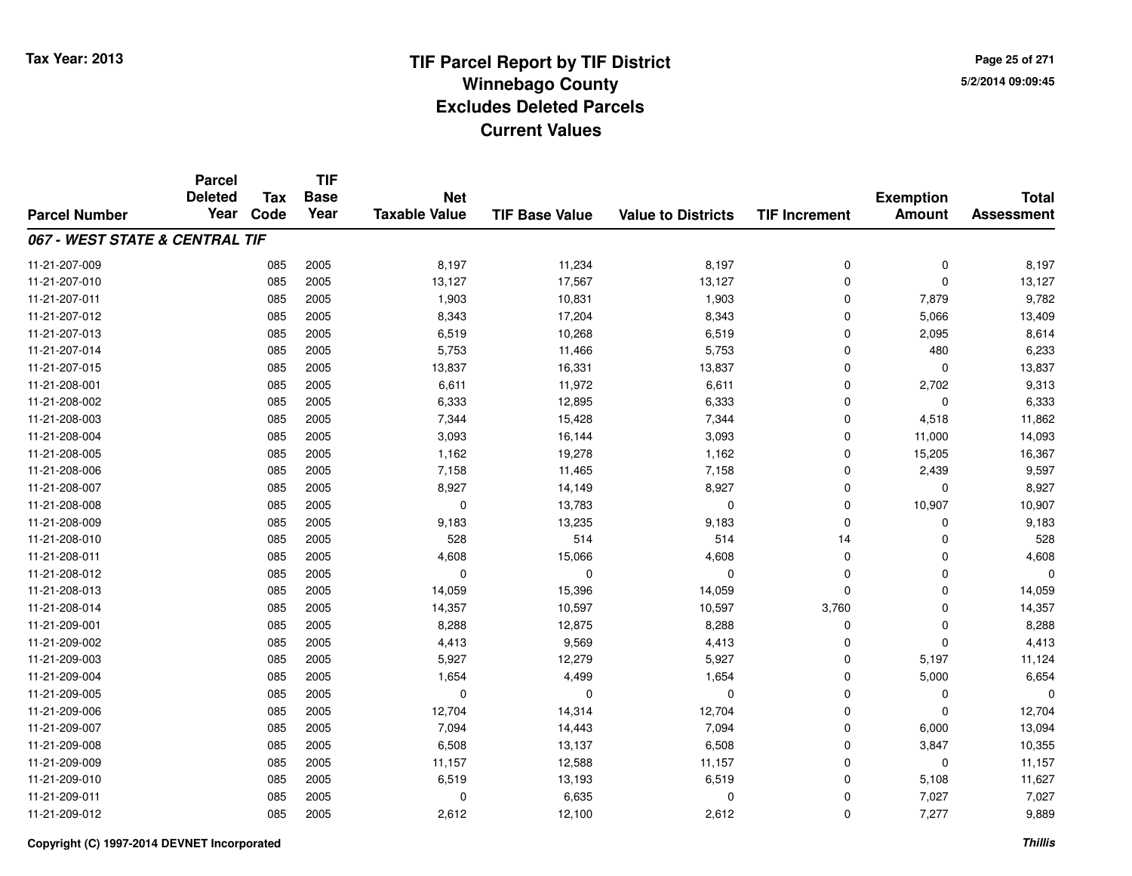**Page 25 of 2715/2/2014 09:09:45**

|                                | <b>Parcel</b><br><b>Deleted</b> | <b>Tax</b> | <b>TIF</b><br><b>Base</b> | <b>Net</b>           |                       |                           |                      | <b>Exemption</b> | <b>Total</b>      |
|--------------------------------|---------------------------------|------------|---------------------------|----------------------|-----------------------|---------------------------|----------------------|------------------|-------------------|
| <b>Parcel Number</b>           | Year                            | Code       | Year                      | <b>Taxable Value</b> | <b>TIF Base Value</b> | <b>Value to Districts</b> | <b>TIF Increment</b> | <b>Amount</b>    | <b>Assessment</b> |
| 067 - WEST STATE & CENTRAL TIF |                                 |            |                           |                      |                       |                           |                      |                  |                   |
| 11-21-207-009                  |                                 | 085        | 2005                      | 8,197                | 11,234                | 8,197                     | 0                    | $\mathbf 0$      | 8,197             |
| 11-21-207-010                  |                                 | 085        | 2005                      | 13,127               | 17,567                | 13,127                    | 0                    | $\mathbf 0$      | 13,127            |
| 11-21-207-011                  |                                 | 085        | 2005                      | 1,903                | 10,831                | 1,903                     | 0                    | 7,879            | 9,782             |
| 11-21-207-012                  |                                 | 085        | 2005                      | 8,343                | 17,204                | 8,343                     | 0                    | 5,066            | 13,409            |
| 11-21-207-013                  |                                 | 085        | 2005                      | 6,519                | 10,268                | 6,519                     | $\mathbf 0$          | 2,095            | 8,614             |
| 11-21-207-014                  |                                 | 085        | 2005                      | 5,753                | 11,466                | 5,753                     | 0                    | 480              | 6,233             |
| 11-21-207-015                  |                                 | 085        | 2005                      | 13,837               | 16,331                | 13,837                    | 0                    | $\mathbf{0}$     | 13,837            |
| 11-21-208-001                  |                                 | 085        | 2005                      | 6,611                | 11,972                | 6,611                     | 0                    | 2,702            | 9,313             |
| 11-21-208-002                  |                                 | 085        | 2005                      | 6,333                | 12,895                | 6,333                     | 0                    | $\Omega$         | 6,333             |
| 11-21-208-003                  |                                 | 085        | 2005                      | 7,344                | 15,428                | 7,344                     | 0                    | 4,518            | 11,862            |
| 11-21-208-004                  |                                 | 085        | 2005                      | 3,093                | 16,144                | 3,093                     | $\mathbf 0$          | 11,000           | 14,093            |
| 11-21-208-005                  |                                 | 085        | 2005                      | 1,162                | 19,278                | 1,162                     | 0                    | 15,205           | 16,367            |
| 11-21-208-006                  |                                 | 085        | 2005                      | 7,158                | 11,465                | 7,158                     | 0                    | 2,439            | 9,597             |
| 11-21-208-007                  |                                 | 085        | 2005                      | 8,927                | 14,149                | 8,927                     | 0                    | 0                | 8,927             |
| 11-21-208-008                  |                                 | 085        | 2005                      | 0                    | 13,783                | 0                         | 0                    | 10,907           | 10,907            |
| 11-21-208-009                  |                                 | 085        | 2005                      | 9,183                | 13,235                | 9,183                     | 0                    | 0                | 9,183             |
| 11-21-208-010                  |                                 | 085        | 2005                      | 528                  | 514                   | 514                       | 14                   | $\Omega$         | 528               |
| 11-21-208-011                  |                                 | 085        | 2005                      | 4,608                | 15,066                | 4,608                     | 0                    | 0                | 4,608             |
| 11-21-208-012                  |                                 | 085        | 2005                      | $\mathbf 0$          | $\mathbf 0$           | $\mathbf 0$               | $\mathbf 0$          | $\mathbf 0$      | $\Omega$          |
| 11-21-208-013                  |                                 | 085        | 2005                      | 14,059               | 15,396                | 14,059                    | 0                    | 0                | 14,059            |
| 11-21-208-014                  |                                 | 085        | 2005                      | 14,357               | 10,597                | 10,597                    | 3,760                | 0                | 14,357            |
| 11-21-209-001                  |                                 | 085        | 2005                      | 8,288                | 12,875                | 8,288                     | 0                    | 0                | 8,288             |
| 11-21-209-002                  |                                 | 085        | 2005                      | 4,413                | 9,569                 | 4,413                     | 0                    | $\mathbf 0$      | 4,413             |
| 11-21-209-003                  |                                 | 085        | 2005                      | 5,927                | 12,279                | 5,927                     | 0                    | 5,197            | 11,124            |
| 11-21-209-004                  |                                 | 085        | 2005                      | 1,654                | 4,499                 | 1,654                     | 0                    | 5,000            | 6,654             |
| 11-21-209-005                  |                                 | 085        | 2005                      | 0                    | 0                     | 0                         | 0                    | 0                | 0                 |
| 11-21-209-006                  |                                 | 085        | 2005                      | 12,704               | 14,314                | 12,704                    | 0                    | $\Omega$         | 12,704            |
| 11-21-209-007                  |                                 | 085        | 2005                      | 7,094                | 14,443                | 7,094                     | 0                    | 6,000            | 13,094            |
| 11-21-209-008                  |                                 | 085        | 2005                      | 6,508                | 13,137                | 6,508                     | 0                    | 3,847            | 10,355            |
| 11-21-209-009                  |                                 | 085        | 2005                      | 11,157               | 12,588                | 11,157                    | 0                    | $\mathbf 0$      | 11,157            |
| 11-21-209-010                  |                                 | 085        | 2005                      | 6,519                | 13,193                | 6,519                     | 0                    | 5,108            | 11,627            |
| 11-21-209-011                  |                                 | 085        | 2005                      | 0                    | 6,635                 | 0                         | 0                    | 7,027            | 7,027             |
| 11-21-209-012                  |                                 | 085        | 2005                      | 2,612                | 12,100                | 2,612                     | 0                    | 7,277            | 9,889             |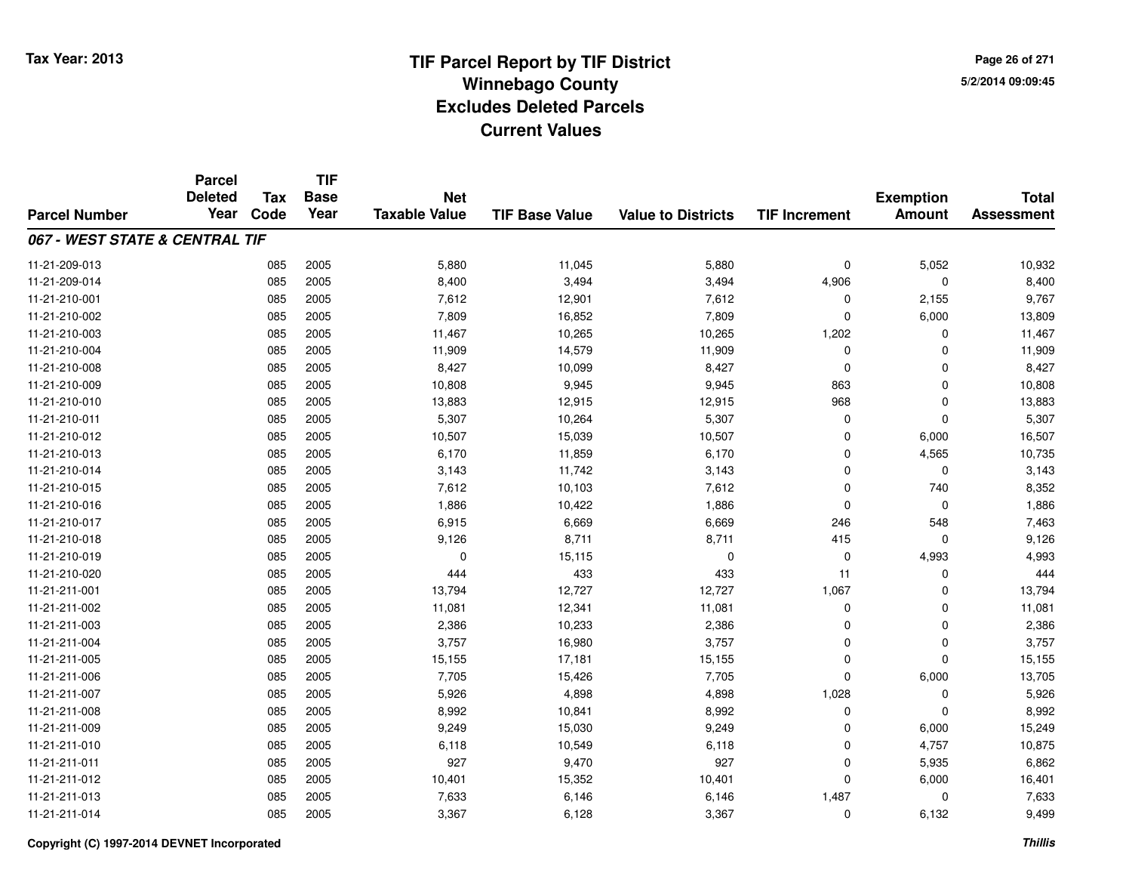**Page 26 of 2715/2/2014 09:09:45**

|                                | <b>Parcel</b><br><b>Deleted</b> | <b>Tax</b> | <b>TIF</b><br><b>Base</b> | <b>Net</b>           |                       |                           |                      | <b>Exemption</b> | <b>Total</b>      |
|--------------------------------|---------------------------------|------------|---------------------------|----------------------|-----------------------|---------------------------|----------------------|------------------|-------------------|
| <b>Parcel Number</b>           | Year                            | Code       | Year                      | <b>Taxable Value</b> | <b>TIF Base Value</b> | <b>Value to Districts</b> | <b>TIF Increment</b> | <b>Amount</b>    | <b>Assessment</b> |
| 067 - WEST STATE & CENTRAL TIF |                                 |            |                           |                      |                       |                           |                      |                  |                   |
| 11-21-209-013                  |                                 | 085        | 2005                      | 5,880                | 11,045                | 5,880                     | $\mathbf 0$          | 5,052            | 10,932            |
| 11-21-209-014                  |                                 | 085        | 2005                      | 8,400                | 3,494                 | 3,494                     | 4,906                | $\mathbf 0$      | 8,400             |
| 11-21-210-001                  |                                 | 085        | 2005                      | 7,612                | 12,901                | 7,612                     | 0                    | 2,155            | 9,767             |
| 11-21-210-002                  |                                 | 085        | 2005                      | 7,809                | 16,852                | 7,809                     | 0                    | 6,000            | 13,809            |
| 11-21-210-003                  |                                 | 085        | 2005                      | 11,467               | 10,265                | 10,265                    | 1,202                | $\mathbf 0$      | 11,467            |
| 11-21-210-004                  |                                 | 085        | 2005                      | 11,909               | 14,579                | 11,909                    | 0                    | $\mathbf 0$      | 11,909            |
| 11-21-210-008                  |                                 | 085        | 2005                      | 8,427                | 10,099                | 8,427                     | $\mathbf 0$          | $\mathbf 0$      | 8,427             |
| 11-21-210-009                  |                                 | 085        | 2005                      | 10,808               | 9,945                 | 9,945                     | 863                  | $\mathbf 0$      | 10,808            |
| 11-21-210-010                  |                                 | 085        | 2005                      | 13,883               | 12,915                | 12,915                    | 968                  | $\mathbf 0$      | 13,883            |
| 11-21-210-011                  |                                 | 085        | 2005                      | 5,307                | 10,264                | 5,307                     | $\mathbf 0$          | $\mathbf 0$      | 5,307             |
| 11-21-210-012                  |                                 | 085        | 2005                      | 10,507               | 15,039                | 10,507                    | $\Omega$             | 6,000            | 16,507            |
| 11-21-210-013                  |                                 | 085        | 2005                      | 6,170                | 11,859                | 6,170                     | $\mathbf 0$          | 4,565            | 10,735            |
| 11-21-210-014                  |                                 | 085        | 2005                      | 3,143                | 11,742                | 3,143                     | $\Omega$             | $\mathbf 0$      | 3,143             |
| 11-21-210-015                  |                                 | 085        | 2005                      | 7,612                | 10,103                | 7,612                     | 0                    | 740              | 8,352             |
| 11-21-210-016                  |                                 | 085        | 2005                      | 1,886                | 10,422                | 1,886                     | $\mathbf 0$          | 0                | 1,886             |
| 11-21-210-017                  |                                 | 085        | 2005                      | 6,915                | 6,669                 | 6,669                     | 246                  | 548              | 7,463             |
| 11-21-210-018                  |                                 | 085        | 2005                      | 9,126                | 8,711                 | 8,711                     | 415                  | $\mathbf 0$      | 9,126             |
| 11-21-210-019                  |                                 | 085        | 2005                      | 0                    | 15,115                | 0                         | $\mathbf 0$          | 4,993            | 4,993             |
| 11-21-210-020                  |                                 | 085        | 2005                      | 444                  | 433                   | 433                       | 11                   | $\mathbf 0$      | 444               |
| 11-21-211-001                  |                                 | 085        | 2005                      | 13,794               | 12,727                | 12,727                    | 1,067                | 0                | 13,794            |
| 11-21-211-002                  |                                 | 085        | 2005                      | 11,081               | 12,341                | 11,081                    | $\mathbf 0$          | $\mathbf 0$      | 11,081            |
| 11-21-211-003                  |                                 | 085        | 2005                      | 2,386                | 10,233                | 2,386                     | 0                    | 0                | 2,386             |
| 11-21-211-004                  |                                 | 085        | 2005                      | 3,757                | 16,980                | 3,757                     | $\mathbf 0$          | $\mathbf 0$      | 3,757             |
| 11-21-211-005                  |                                 | 085        | 2005                      | 15,155               | 17,181                | 15,155                    | $\mathbf 0$          | $\mathbf 0$      | 15,155            |
| 11-21-211-006                  |                                 | 085        | 2005                      | 7,705                | 15,426                | 7,705                     | $\Omega$             | 6,000            | 13,705            |
| 11-21-211-007                  |                                 | 085        | 2005                      | 5,926                | 4,898                 | 4,898                     | 1,028                | $\mathbf 0$      | 5,926             |
| 11-21-211-008                  |                                 | 085        | 2005                      | 8,992                | 10,841                | 8,992                     | $\mathbf 0$          | $\mathbf 0$      | 8,992             |
| 11-21-211-009                  |                                 | 085        | 2005                      | 9,249                | 15,030                | 9,249                     | 0                    | 6,000            | 15,249            |
| 11-21-211-010                  |                                 | 085        | 2005                      | 6,118                | 10,549                | 6,118                     | $\Omega$             | 4,757            | 10,875            |
| 11-21-211-011                  |                                 | 085        | 2005                      | 927                  | 9,470                 | 927                       | 0                    | 5,935            | 6,862             |
| 11-21-211-012                  |                                 | 085        | 2005                      | 10,401               | 15,352                | 10,401                    | $\Omega$             | 6,000            | 16,401            |
| 11-21-211-013                  |                                 | 085        | 2005                      | 7,633                | 6,146                 | 6,146                     | 1,487                | 0                | 7,633             |
| 11-21-211-014                  |                                 | 085        | 2005                      | 3,367                | 6,128                 | 3,367                     | $\Omega$             | 6,132            | 9,499             |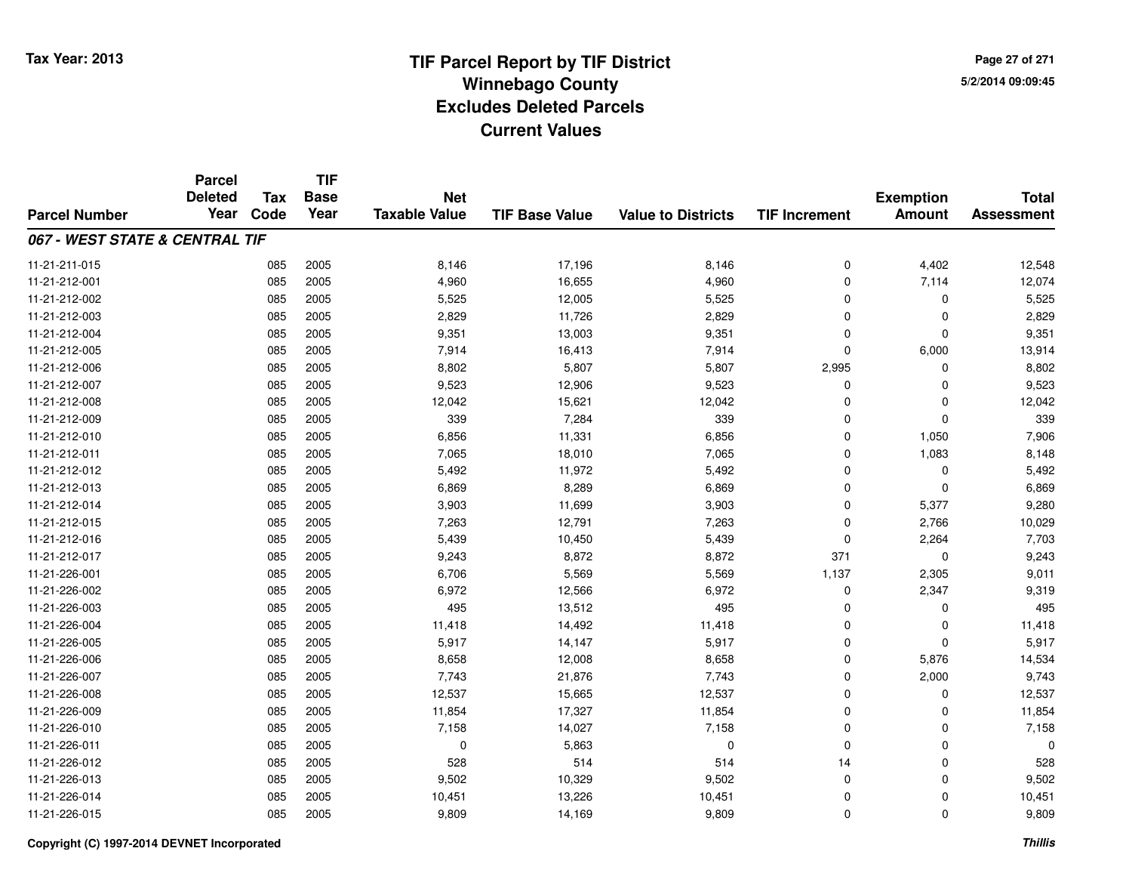**Page 27 of 2715/2/2014 09:09:45**

|                                | <b>Parcel</b><br><b>Deleted</b> | <b>Tax</b> | <b>TIF</b><br><b>Base</b> | <b>Net</b>           |                       |                           |                      |                                   | <b>Total</b>      |
|--------------------------------|---------------------------------|------------|---------------------------|----------------------|-----------------------|---------------------------|----------------------|-----------------------------------|-------------------|
| <b>Parcel Number</b>           | Year                            | Code       | Year                      | <b>Taxable Value</b> | <b>TIF Base Value</b> | <b>Value to Districts</b> | <b>TIF Increment</b> | <b>Exemption</b><br><b>Amount</b> | <b>Assessment</b> |
| 067 - WEST STATE & CENTRAL TIF |                                 |            |                           |                      |                       |                           |                      |                                   |                   |
| 11-21-211-015                  |                                 | 085        | 2005                      | 8,146                | 17,196                | 8,146                     | 0                    | 4,402                             | 12,548            |
| 11-21-212-001                  |                                 | 085        | 2005                      | 4,960                | 16,655                | 4,960                     | 0                    | 7,114                             | 12,074            |
| 11-21-212-002                  |                                 | 085        | 2005                      | 5,525                | 12,005                | 5,525                     | 0                    | 0                                 | 5,525             |
| 11-21-212-003                  |                                 | 085        | 2005                      | 2,829                | 11,726                | 2,829                     | 0                    | $\Omega$                          | 2,829             |
| 11-21-212-004                  |                                 | 085        | 2005                      | 9,351                | 13,003                | 9,351                     | 0                    | $\Omega$                          | 9,351             |
| 11-21-212-005                  |                                 | 085        | 2005                      | 7,914                | 16,413                | 7,914                     | 0                    | 6,000                             | 13,914            |
| 11-21-212-006                  |                                 | 085        | 2005                      | 8,802                | 5,807                 | 5,807                     | 2,995                | $\Omega$                          | 8,802             |
| 11-21-212-007                  |                                 | 085        | 2005                      | 9,523                | 12,906                | 9,523                     | $\mathbf 0$          | $\Omega$                          | 9,523             |
| 11-21-212-008                  |                                 | 085        | 2005                      | 12,042               | 15,621                | 12,042                    | $\mathbf 0$          | $\mathbf 0$                       | 12,042            |
| 11-21-212-009                  |                                 | 085        | 2005                      | 339                  | 7,284                 | 339                       | $\mathbf 0$          | $\Omega$                          | 339               |
| 11-21-212-010                  |                                 | 085        | 2005                      | 6,856                | 11,331                | 6,856                     | 0                    | 1,050                             | 7,906             |
| 11-21-212-011                  |                                 | 085        | 2005                      | 7,065                | 18,010                | 7,065                     | 0                    | 1,083                             | 8,148             |
| 11-21-212-012                  |                                 | 085        | 2005                      | 5,492                | 11,972                | 5,492                     | $\mathbf 0$          | $\Omega$                          | 5,492             |
| 11-21-212-013                  |                                 | 085        | 2005                      | 6,869                | 8,289                 | 6,869                     | 0                    | $\mathbf 0$                       | 6,869             |
| 11-21-212-014                  |                                 | 085        | 2005                      | 3,903                | 11,699                | 3,903                     | 0                    | 5,377                             | 9,280             |
| 11-21-212-015                  |                                 | 085        | 2005                      | 7,263                | 12,791                | 7,263                     | 0                    | 2,766                             | 10,029            |
| 11-21-212-016                  |                                 | 085        | 2005                      | 5,439                | 10,450                | 5,439                     | 0                    | 2,264                             | 7,703             |
| 11-21-212-017                  |                                 | 085        | 2005                      | 9,243                | 8,872                 | 8,872                     | 371                  | $\mathbf 0$                       | 9,243             |
| 11-21-226-001                  |                                 | 085        | 2005                      | 6,706                | 5,569                 | 5,569                     | 1,137                | 2,305                             | 9,011             |
| 11-21-226-002                  |                                 | 085        | 2005                      | 6,972                | 12,566                | 6,972                     | 0                    | 2,347                             | 9,319             |
| 11-21-226-003                  |                                 | 085        | 2005                      | 495                  | 13,512                | 495                       | 0                    | 0                                 | 495               |
| 11-21-226-004                  |                                 | 085        | 2005                      | 11,418               | 14,492                | 11,418                    | 0                    | $\mathbf 0$                       | 11,418            |
| 11-21-226-005                  |                                 | 085        | 2005                      | 5,917                | 14,147                | 5,917                     | 0                    | $\mathbf 0$                       | 5,917             |
| 11-21-226-006                  |                                 | 085        | 2005                      | 8,658                | 12,008                | 8,658                     | 0                    | 5,876                             | 14,534            |
| 11-21-226-007                  |                                 | 085        | 2005                      | 7,743                | 21,876                | 7,743                     | 0                    | 2,000                             | 9,743             |
| 11-21-226-008                  |                                 | 085        | 2005                      | 12,537               | 15,665                | 12,537                    | 0                    | $\mathbf 0$                       | 12,537            |
| 11-21-226-009                  |                                 | 085        | 2005                      | 11,854               | 17,327                | 11,854                    | 0                    | $\mathbf 0$                       | 11,854            |
| 11-21-226-010                  |                                 | 085        | 2005                      | 7,158                | 14,027                | 7,158                     | 0                    | 0                                 | 7,158             |
| 11-21-226-011                  |                                 | 085        | 2005                      | 0                    | 5,863                 | $\mathbf 0$               | 0                    | $\mathbf 0$                       | 0                 |
| 11-21-226-012                  |                                 | 085        | 2005                      | 528                  | 514                   | 514                       | 14                   | 0                                 | 528               |
| 11-21-226-013                  |                                 | 085        | 2005                      | 9,502                | 10,329                | 9,502                     | 0                    | $\Omega$                          | 9,502             |
| 11-21-226-014                  |                                 | 085        | 2005                      | 10,451               | 13,226                | 10,451                    | 0                    | $\Omega$                          | 10,451            |
| 11-21-226-015                  |                                 | 085        | 2005                      | 9,809                | 14,169                | 9,809                     | 0                    | $\Omega$                          | 9,809             |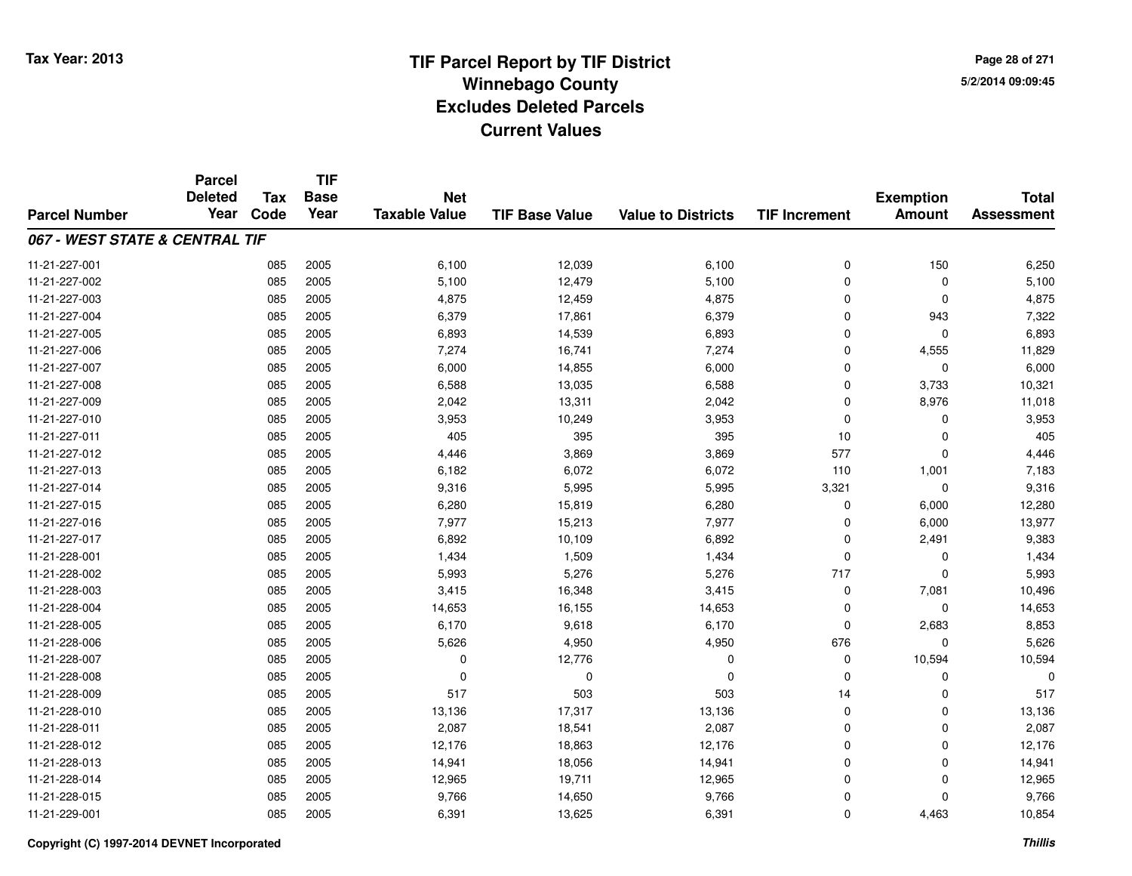**Page 28 of 2715/2/2014 09:09:45**

|                                | <b>Parcel</b><br><b>Deleted</b> | <b>Tax</b> | <b>TIF</b><br><b>Base</b> | <b>Net</b>           |                       |                           |                      |                                   | <b>Total</b>      |
|--------------------------------|---------------------------------|------------|---------------------------|----------------------|-----------------------|---------------------------|----------------------|-----------------------------------|-------------------|
| <b>Parcel Number</b>           | Year                            | Code       | Year                      | <b>Taxable Value</b> | <b>TIF Base Value</b> | <b>Value to Districts</b> | <b>TIF Increment</b> | <b>Exemption</b><br><b>Amount</b> | <b>Assessment</b> |
| 067 - WEST STATE & CENTRAL TIF |                                 |            |                           |                      |                       |                           |                      |                                   |                   |
| 11-21-227-001                  |                                 | 085        | 2005                      | 6,100                | 12,039                | 6,100                     | $\mathbf 0$          | 150                               | 6,250             |
| 11-21-227-002                  |                                 | 085        | 2005                      | 5,100                | 12,479                | 5,100                     | $\mathbf 0$          | $\mathbf 0$                       | 5,100             |
| 11-21-227-003                  |                                 | 085        | 2005                      | 4,875                | 12,459                | 4,875                     | $\Omega$             | $\Omega$                          | 4,875             |
| 11-21-227-004                  |                                 | 085        | 2005                      | 6,379                | 17,861                | 6,379                     | $\Omega$             | 943                               | 7,322             |
| 11-21-227-005                  |                                 | 085        | 2005                      | 6,893                | 14,539                | 6,893                     | $\Omega$             | $\Omega$                          | 6,893             |
| 11-21-227-006                  |                                 | 085        | 2005                      | 7,274                | 16,741                | 7,274                     | 0                    | 4,555                             | 11,829            |
| 11-21-227-007                  |                                 | 085        | 2005                      | 6,000                | 14,855                | 6,000                     | $\Omega$             | $\mathbf 0$                       | 6,000             |
| 11-21-227-008                  |                                 | 085        | 2005                      | 6,588                | 13,035                | 6,588                     | $\mathbf 0$          | 3,733                             | 10,321            |
| 11-21-227-009                  |                                 | 085        | 2005                      | 2,042                | 13,311                | 2,042                     | $\Omega$             | 8,976                             | 11,018            |
| 11-21-227-010                  |                                 | 085        | 2005                      | 3,953                | 10,249                | 3,953                     | $\mathbf 0$          | $\Omega$                          | 3,953             |
| 11-21-227-011                  |                                 | 085        | 2005                      | 405                  | 395                   | 395                       | 10                   | $\Omega$                          | 405               |
| 11-21-227-012                  |                                 | 085        | 2005                      | 4,446                | 3,869                 | 3,869                     | 577                  | 0                                 | 4,446             |
| 11-21-227-013                  |                                 | 085        | 2005                      | 6,182                | 6,072                 | 6,072                     | 110                  | 1,001                             | 7,183             |
| 11-21-227-014                  |                                 | 085        | 2005                      | 9,316                | 5,995                 | 5,995                     | 3,321                | 0                                 | 9,316             |
| 11-21-227-015                  |                                 | 085        | 2005                      | 6,280                | 15,819                | 6,280                     | 0                    | 6,000                             | 12,280            |
| 11-21-227-016                  |                                 | 085        | 2005                      | 7,977                | 15,213                | 7,977                     | 0                    | 6,000                             | 13,977            |
| 11-21-227-017                  |                                 | 085        | 2005                      | 6,892                | 10,109                | 6,892                     | $\Omega$             | 2,491                             | 9,383             |
| 11-21-228-001                  |                                 | 085        | 2005                      | 1,434                | 1,509                 | 1,434                     | $\mathbf 0$          | 0                                 | 1,434             |
| 11-21-228-002                  |                                 | 085        | 2005                      | 5,993                | 5,276                 | 5,276                     | 717                  | $\Omega$                          | 5,993             |
| 11-21-228-003                  |                                 | 085        | 2005                      | 3,415                | 16,348                | 3,415                     | 0                    | 7,081                             | 10,496            |
| 11-21-228-004                  |                                 | 085        | 2005                      | 14,653               | 16,155                | 14,653                    | 0                    | 0                                 | 14,653            |
| 11-21-228-005                  |                                 | 085        | 2005                      | 6,170                | 9,618                 | 6,170                     | $\mathbf 0$          | 2,683                             | 8,853             |
| 11-21-228-006                  |                                 | 085        | 2005                      | 5,626                | 4,950                 | 4,950                     | 676                  | 0                                 | 5,626             |
| 11-21-228-007                  |                                 | 085        | 2005                      | 0                    | 12,776                | 0                         | 0                    | 10,594                            | 10,594            |
| 11-21-228-008                  |                                 | 085        | 2005                      | 0                    | $\mathbf 0$           | $\mathbf 0$               | $\mathbf 0$          | $\mathbf 0$                       |                   |
| 11-21-228-009                  |                                 | 085        | 2005                      | 517                  | 503                   | 503                       | 14                   | $\Omega$                          | 517               |
| 11-21-228-010                  |                                 | 085        | 2005                      | 13,136               | 17,317                | 13,136                    | $\mathbf 0$          | $\Omega$                          | 13,136            |
| 11-21-228-011                  |                                 | 085        | 2005                      | 2,087                | 18,541                | 2,087                     | 0                    | $\Omega$                          | 2,087             |
| 11-21-228-012                  |                                 | 085        | 2005                      | 12,176               | 18,863                | 12,176                    | $\Omega$             | 0                                 | 12,176            |
| 11-21-228-013                  |                                 | 085        | 2005                      | 14,941               | 18,056                | 14,941                    | $\mathbf 0$          | 0                                 | 14,941            |
| 11-21-228-014                  |                                 | 085        | 2005                      | 12,965               | 19,711                | 12,965                    | $\Omega$             | 0                                 | 12,965            |
| 11-21-228-015                  |                                 | 085        | 2005                      | 9,766                | 14,650                | 9,766                     | $\mathbf 0$          | $\Omega$                          | 9,766             |
| 11-21-229-001                  |                                 | 085        | 2005                      | 6,391                | 13,625                | 6,391                     | $\Omega$             | 4,463                             | 10,854            |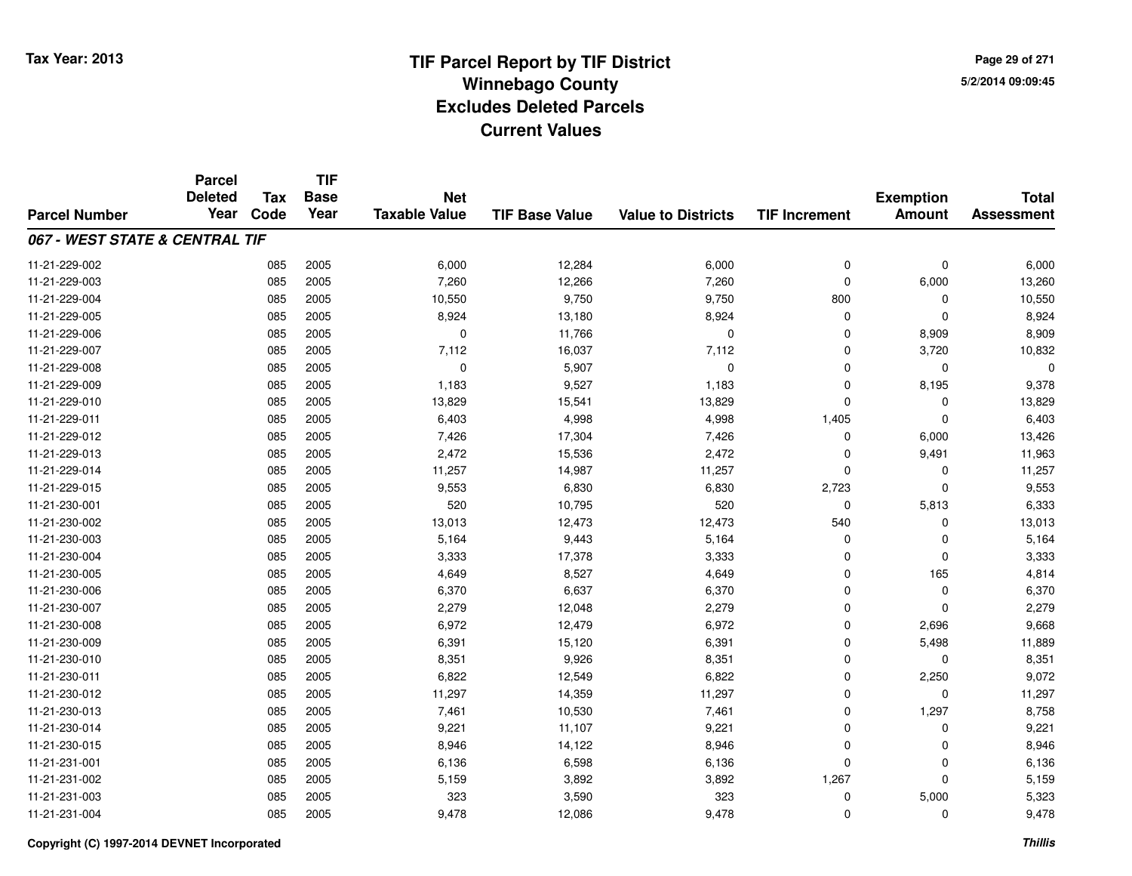**Page 29 of 2715/2/2014 09:09:45**

|                                | <b>Parcel</b><br><b>Deleted</b> | <b>Tax</b> | <b>TIF</b><br><b>Base</b> | <b>Net</b>           |                       |                           |                      | <b>Exemption</b> | <b>Total</b><br><b>Assessment</b> |
|--------------------------------|---------------------------------|------------|---------------------------|----------------------|-----------------------|---------------------------|----------------------|------------------|-----------------------------------|
| <b>Parcel Number</b>           | Year                            | Code       | Year                      | <b>Taxable Value</b> | <b>TIF Base Value</b> | <b>Value to Districts</b> | <b>TIF Increment</b> | <b>Amount</b>    |                                   |
| 067 - WEST STATE & CENTRAL TIF |                                 |            |                           |                      |                       |                           |                      |                  |                                   |
| 11-21-229-002                  |                                 | 085        | 2005                      | 6,000                | 12,284                | 6,000                     | $\mathbf 0$          | $\mathbf 0$      | 6,000                             |
| 11-21-229-003                  |                                 | 085        | 2005                      | 7,260                | 12,266                | 7,260                     | $\mathbf 0$          | 6,000            | 13,260                            |
| 11-21-229-004                  |                                 | 085        | 2005                      | 10,550               | 9,750                 | 9,750                     | 800                  | 0                | 10,550                            |
| 11-21-229-005                  |                                 | 085        | 2005                      | 8,924                | 13,180                | 8,924                     | 0                    | $\Omega$         | 8,924                             |
| 11-21-229-006                  |                                 | 085        | 2005                      | $\mathbf 0$          | 11,766                | $\mathbf 0$               | $\Omega$             | 8,909            | 8,909                             |
| 11-21-229-007                  |                                 | 085        | 2005                      | 7,112                | 16,037                | 7,112                     | 0                    | 3,720            | 10,832                            |
| 11-21-229-008                  |                                 | 085        | 2005                      | $\mathbf 0$          | 5,907                 | $\mathbf 0$               | $\Omega$             | 0                | $\Omega$                          |
| 11-21-229-009                  |                                 | 085        | 2005                      | 1,183                | 9,527                 | 1,183                     | $\mathbf 0$          | 8,195            | 9,378                             |
| 11-21-229-010                  |                                 | 085        | 2005                      | 13,829               | 15,541                | 13,829                    | $\Omega$             | 0                | 13,829                            |
| 11-21-229-011                  |                                 | 085        | 2005                      | 6,403                | 4,998                 | 4,998                     | 1,405                | $\mathbf 0$      | 6,403                             |
| 11-21-229-012                  |                                 | 085        | 2005                      | 7,426                | 17,304                | 7,426                     | $\Omega$             | 6,000            | 13,426                            |
| 11-21-229-013                  |                                 | 085        | 2005                      | 2,472                | 15,536                | 2,472                     | $\Omega$             | 9,491            | 11,963                            |
| 11-21-229-014                  |                                 | 085        | 2005                      | 11,257               | 14,987                | 11,257                    | $\Omega$             | 0                | 11,257                            |
| 11-21-229-015                  |                                 | 085        | 2005                      | 9,553                | 6,830                 | 6,830                     | 2,723                | 0                | 9,553                             |
| 11-21-230-001                  |                                 | 085        | 2005                      | 520                  | 10,795                | 520                       | 0                    | 5,813            | 6,333                             |
| 11-21-230-002                  |                                 | 085        | 2005                      | 13,013               | 12,473                | 12,473                    | 540                  | 0                | 13,013                            |
| 11-21-230-003                  |                                 | 085        | 2005                      | 5,164                | 9,443                 | 5,164                     | 0                    | 0                | 5,164                             |
| 11-21-230-004                  |                                 | 085        | 2005                      | 3,333                | 17,378                | 3,333                     | 0                    | 0                | 3,333                             |
| 11-21-230-005                  |                                 | 085        | 2005                      | 4,649                | 8,527                 | 4,649                     | $\mathbf 0$          | 165              | 4,814                             |
| 11-21-230-006                  |                                 | 085        | 2005                      | 6,370                | 6,637                 | 6,370                     | 0                    | $\mathbf 0$      | 6,370                             |
| 11-21-230-007                  |                                 | 085        | 2005                      | 2,279                | 12,048                | 2,279                     | $\mathbf 0$          | $\mathbf 0$      | 2,279                             |
| 11-21-230-008                  |                                 | 085        | 2005                      | 6,972                | 12,479                | 6,972                     | $\mathbf 0$          | 2,696            | 9,668                             |
| 11-21-230-009                  |                                 | 085        | 2005                      | 6,391                | 15,120                | 6,391                     | $\mathbf 0$          | 5,498            | 11,889                            |
| 11-21-230-010                  |                                 | 085        | 2005                      | 8,351                | 9,926                 | 8,351                     | $\mathbf 0$          | $\mathbf 0$      | 8,351                             |
| 11-21-230-011                  |                                 | 085        | 2005                      | 6,822                | 12,549                | 6,822                     | $\mathbf 0$          | 2,250            | 9,072                             |
| 11-21-230-012                  |                                 | 085        | 2005                      | 11,297               | 14,359                | 11,297                    | $\mathbf 0$          | $\mathbf 0$      | 11,297                            |
| 11-21-230-013                  |                                 | 085        | 2005                      | 7,461                | 10,530                | 7,461                     | $\mathbf 0$          | 1,297            | 8,758                             |
| 11-21-230-014                  |                                 | 085        | 2005                      | 9,221                | 11,107                | 9,221                     | $\mathbf 0$          | $\mathbf 0$      | 9,221                             |
| 11-21-230-015                  |                                 | 085        | 2005                      | 8,946                | 14,122                | 8,946                     | $\mathbf 0$          | 0                | 8,946                             |
| 11-21-231-001                  |                                 | 085        | 2005                      | 6,136                | 6,598                 | 6,136                     | $\Omega$             | 0                | 6,136                             |
| 11-21-231-002                  |                                 | 085        | 2005                      | 5,159                | 3,892                 | 3,892                     | 1,267                | $\Omega$         | 5,159                             |
| 11-21-231-003                  |                                 | 085        | 2005                      | 323                  | 3,590                 | 323                       | 0                    | 5,000            | 5,323                             |
| 11-21-231-004                  |                                 | 085        | 2005                      | 9,478                | 12,086                | 9,478                     | $\Omega$             | $\Omega$         | 9,478                             |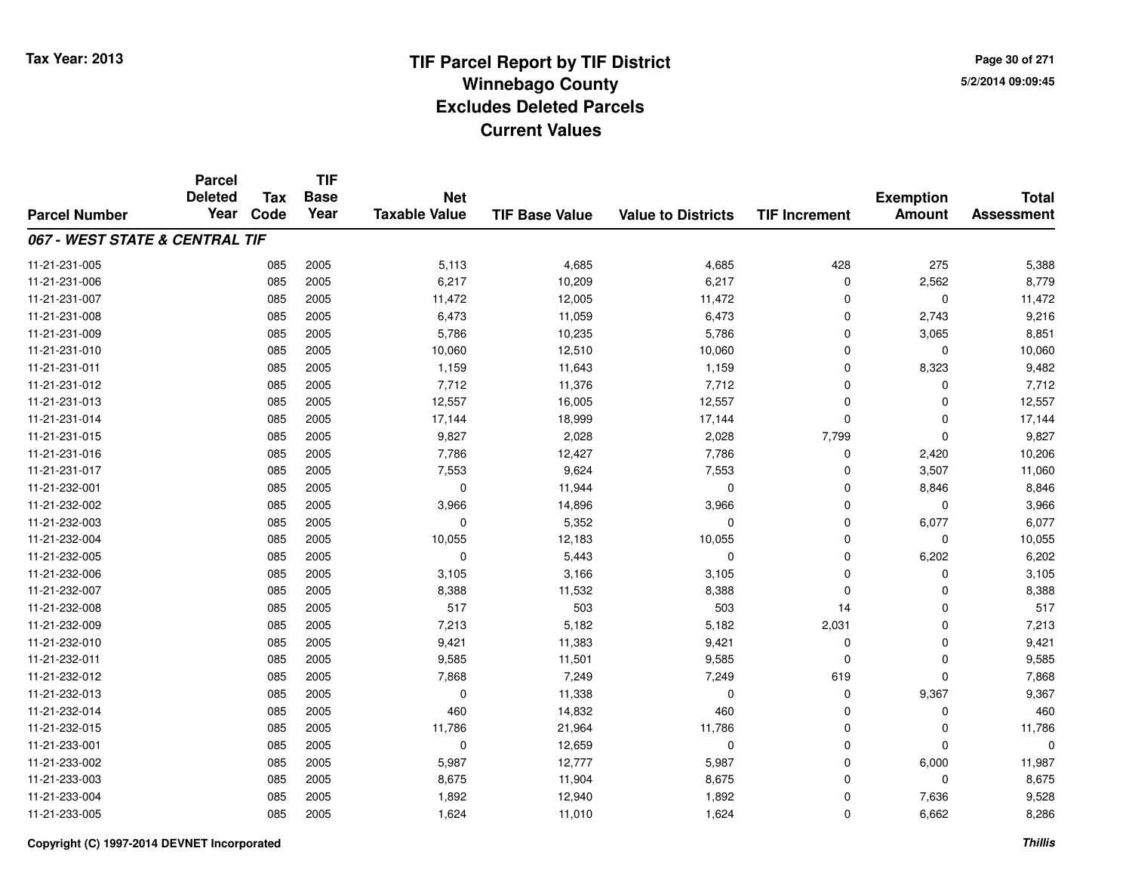**Page 30 of 2715/2/2014 09:09:45**

|                                | <b>Parcel</b><br><b>Deleted</b> | <b>Tax</b> | <b>TIF</b><br><b>Base</b> | <b>Net</b>           |                       |                           |                      | <b>Exemption</b> | <b>Total</b>      |
|--------------------------------|---------------------------------|------------|---------------------------|----------------------|-----------------------|---------------------------|----------------------|------------------|-------------------|
| <b>Parcel Number</b>           | Year                            | Code       | Year                      | <b>Taxable Value</b> | <b>TIF Base Value</b> | <b>Value to Districts</b> | <b>TIF Increment</b> | <b>Amount</b>    | <b>Assessment</b> |
| 067 - WEST STATE & CENTRAL TIF |                                 |            |                           |                      |                       |                           |                      |                  |                   |
| 11-21-231-005                  |                                 | 085        | 2005                      | 5,113                | 4,685                 | 4,685                     | 428                  | 275              | 5,388             |
| 11-21-231-006                  |                                 | 085        | 2005                      | 6,217                | 10,209                | 6,217                     | $\mathbf 0$          | 2,562            | 8,779             |
| 11-21-231-007                  |                                 | 085        | 2005                      | 11,472               | 12,005                | 11,472                    | 0                    | 0                | 11,472            |
| 11-21-231-008                  |                                 | 085        | 2005                      | 6,473                | 11,059                | 6,473                     | $\Omega$             | 2,743            | 9,216             |
| 11-21-231-009                  |                                 | 085        | 2005                      | 5,786                | 10,235                | 5,786                     | $\mathbf 0$          | 3,065            | 8,851             |
| 11-21-231-010                  |                                 | 085        | 2005                      | 10,060               | 12,510                | 10,060                    | $\Omega$             | $\mathbf 0$      | 10,060            |
| 11-21-231-011                  |                                 | 085        | 2005                      | 1,159                | 11,643                | 1,159                     | $\mathbf 0$          | 8,323            | 9,482             |
| 11-21-231-012                  |                                 | 085        | 2005                      | 7,712                | 11,376                | 7,712                     | $\Omega$             | $\mathbf 0$      | 7,712             |
| 11-21-231-013                  |                                 | 085        | 2005                      | 12,557               | 16,005                | 12,557                    | $\mathbf 0$          | $\mathbf 0$      | 12,557            |
| 11-21-231-014                  |                                 | 085        | 2005                      | 17,144               | 18,999                | 17,144                    | $\Omega$             | $\mathbf 0$      | 17,144            |
| 11-21-231-015                  |                                 | 085        | 2005                      | 9,827                | 2,028                 | 2,028                     | 7,799                | $\mathbf 0$      | 9,827             |
| 11-21-231-016                  |                                 | 085        | 2005                      | 7,786                | 12,427                | 7,786                     | 0                    | 2,420            | 10,206            |
| 11-21-231-017                  |                                 | 085        | 2005                      | 7,553                | 9,624                 | 7,553                     | $\Omega$             | 3,507            | 11,060            |
| 11-21-232-001                  |                                 | 085        | 2005                      | 0                    | 11,944                | 0                         | 0                    | 8,846            | 8,846             |
| 11-21-232-002                  |                                 | 085        | 2005                      | 3,966                | 14,896                | 3,966                     | $\mathbf 0$          | 0                | 3,966             |
| 11-21-232-003                  |                                 | 085        | 2005                      | 0                    | 5,352                 | 0                         | $\mathbf 0$          | 6,077            | 6,077             |
| 11-21-232-004                  |                                 | 085        | 2005                      | 10,055               | 12,183                | 10,055                    | $\mathbf 0$          | $\mathbf 0$      | 10,055            |
| 11-21-232-005                  |                                 | 085        | 2005                      | $\mathbf 0$          | 5,443                 | $\pmb{0}$                 | $\mathbf 0$          | 6,202            | 6,202             |
| 11-21-232-006                  |                                 | 085        | 2005                      | 3,105                | 3,166                 | 3,105                     | $\mathbf 0$          | 0                | 3,105             |
| 11-21-232-007                  |                                 | 085        | 2005                      | 8,388                | 11,532                | 8,388                     | $\mathbf 0$          | $\mathbf 0$      | 8,388             |
| 11-21-232-008                  |                                 | 085        | 2005                      | 517                  | 503                   | 503                       | 14                   | 0                | 517               |
| 11-21-232-009                  |                                 | 085        | 2005                      | 7,213                | 5,182                 | 5,182                     | 2,031                | $\mathbf 0$      | 7,213             |
| 11-21-232-010                  |                                 | 085        | 2005                      | 9,421                | 11,383                | 9,421                     | 0                    | $\mathbf 0$      | 9,421             |
| 11-21-232-011                  |                                 | 085        | 2005                      | 9,585                | 11,501                | 9,585                     | $\Omega$             | $\mathbf 0$      | 9,585             |
| 11-21-232-012                  |                                 | 085        | 2005                      | 7,868                | 7,249                 | 7,249                     | 619                  | $\mathbf 0$      | 7,868             |
| 11-21-232-013                  |                                 | 085        | 2005                      | $\mathbf 0$          | 11,338                | $\mathbf 0$               | $\mathbf 0$          | 9,367            | 9,367             |
| 11-21-232-014                  |                                 | 085        | 2005                      | 460                  | 14,832                | 460                       | $\mathbf 0$          | $\mathbf 0$      | 460               |
| 11-21-232-015                  |                                 | 085        | 2005                      | 11,786               | 21,964                | 11,786                    | 0                    | 0                | 11,786            |
| 11-21-233-001                  |                                 | 085        | 2005                      | $\mathbf 0$          | 12,659                | $\mathbf 0$               | $\mathbf 0$          | $\mathbf 0$      | 0                 |
| 11-21-233-002                  |                                 | 085        | 2005                      | 5,987                | 12,777                | 5,987                     | $\mathbf 0$          | 6,000            | 11,987            |
| 11-21-233-003                  |                                 | 085        | 2005                      | 8,675                | 11,904                | 8,675                     | $\Omega$             | $\mathbf 0$      | 8,675             |
| 11-21-233-004                  |                                 | 085        | 2005                      | 1,892                | 12,940                | 1,892                     | $\Omega$             | 7,636            | 9,528             |
| 11-21-233-005                  |                                 | 085        | 2005                      | 1,624                | 11,010                | 1,624                     | $\Omega$             | 6,662            | 8,286             |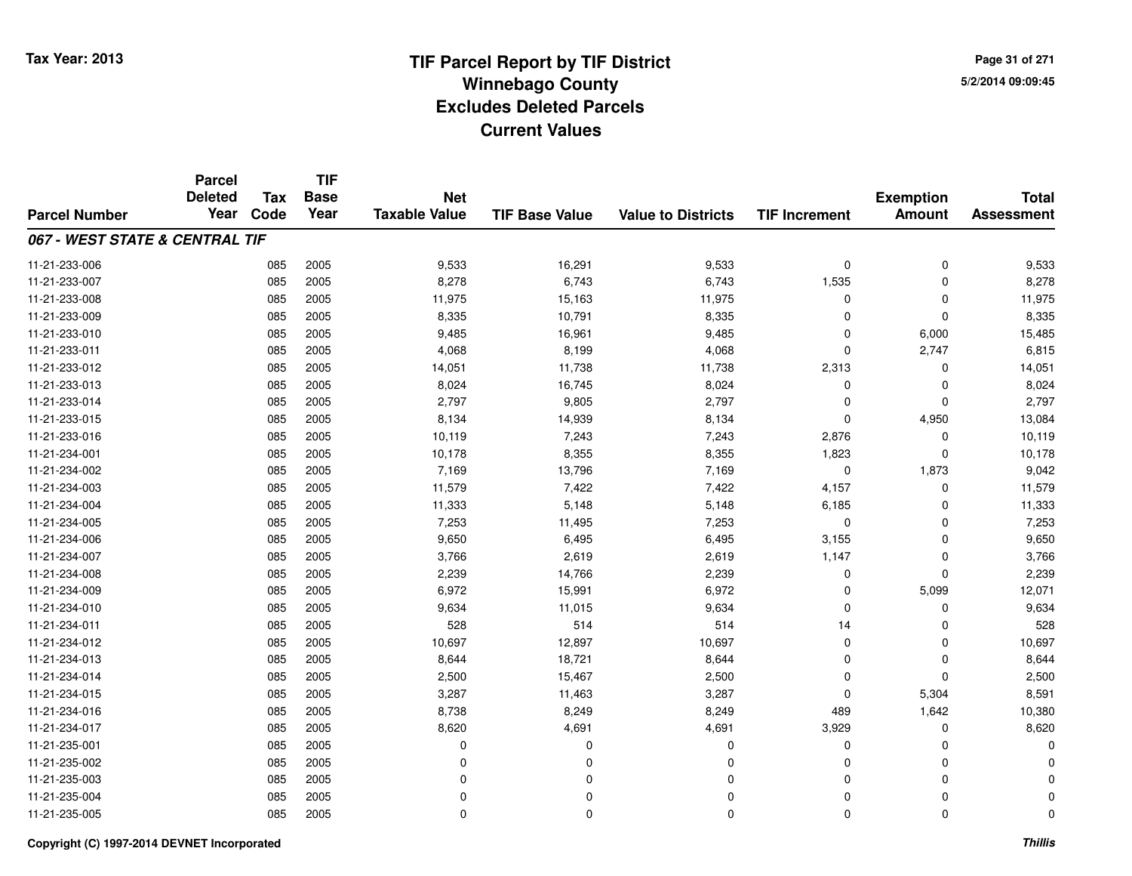**Page 31 of 2715/2/2014 09:09:45**

|                                | <b>Parcel</b><br><b>Deleted</b> | <b>Tax</b> | <b>TIF</b><br><b>Base</b> | <b>Net</b>           |                       |                           |                      |                                   | <b>Total</b>      |
|--------------------------------|---------------------------------|------------|---------------------------|----------------------|-----------------------|---------------------------|----------------------|-----------------------------------|-------------------|
| <b>Parcel Number</b>           | Year                            | Code       | Year                      | <b>Taxable Value</b> | <b>TIF Base Value</b> | <b>Value to Districts</b> | <b>TIF Increment</b> | <b>Exemption</b><br><b>Amount</b> | <b>Assessment</b> |
| 067 - WEST STATE & CENTRAL TIF |                                 |            |                           |                      |                       |                           |                      |                                   |                   |
| 11-21-233-006                  |                                 | 085        | 2005                      | 9,533                | 16,291                | 9,533                     | $\mathbf 0$          | $\mathbf 0$                       | 9,533             |
| 11-21-233-007                  |                                 | 085        | 2005                      | 8,278                | 6,743                 | 6,743                     | 1,535                | 0                                 | 8,278             |
| 11-21-233-008                  |                                 | 085        | 2005                      | 11,975               | 15,163                | 11,975                    | 0                    | $\Omega$                          | 11,975            |
| 11-21-233-009                  |                                 | 085        | 2005                      | 8,335                | 10,791                | 8,335                     | $\Omega$             | $\Omega$                          | 8,335             |
| 11-21-233-010                  |                                 | 085        | 2005                      | 9,485                | 16,961                | 9,485                     | $\Omega$             | 6,000                             | 15,485            |
| 11-21-233-011                  |                                 | 085        | 2005                      | 4,068                | 8,199                 | 4,068                     | $\mathbf 0$          | 2,747                             | 6,815             |
| 11-21-233-012                  |                                 | 085        | 2005                      | 14,051               | 11,738                | 11,738                    | 2,313                | 0                                 | 14,051            |
| 11-21-233-013                  |                                 | 085        | 2005                      | 8,024                | 16,745                | 8,024                     | 0                    | 0                                 | 8,024             |
| 11-21-233-014                  |                                 | 085        | 2005                      | 2,797                | 9,805                 | 2,797                     | $\Omega$             | $\Omega$                          | 2,797             |
| 11-21-233-015                  |                                 | 085        | 2005                      | 8,134                | 14,939                | 8,134                     | $\mathbf 0$          | 4,950                             | 13,084            |
| 11-21-233-016                  |                                 | 085        | 2005                      | 10,119               | 7,243                 | 7,243                     | 2,876                | $\Omega$                          | 10,119            |
| 11-21-234-001                  |                                 | 085        | 2005                      | 10,178               | 8,355                 | 8,355                     | 1,823                | 0                                 | 10,178            |
| 11-21-234-002                  |                                 | 085        | 2005                      | 7,169                | 13,796                | 7,169                     | $\mathbf 0$          | 1,873                             | 9,042             |
| 11-21-234-003                  |                                 | 085        | 2005                      | 11,579               | 7,422                 | 7,422                     | 4,157                | 0                                 | 11,579            |
| 11-21-234-004                  |                                 | 085        | 2005                      | 11,333               | 5,148                 | 5,148                     | 6,185                | 0                                 | 11,333            |
| 11-21-234-005                  |                                 | 085        | 2005                      | 7,253                | 11,495                | 7,253                     | 0                    | 0                                 | 7,253             |
| 11-21-234-006                  |                                 | 085        | 2005                      | 9,650                | 6,495                 | 6,495                     | 3,155                | 0                                 | 9,650             |
| 11-21-234-007                  |                                 | 085        | 2005                      | 3,766                | 2,619                 | 2,619                     | 1,147                | $\mathbf 0$                       | 3,766             |
| 11-21-234-008                  |                                 | 085        | 2005                      | 2,239                | 14,766                | 2,239                     | $\mathbf 0$          | $\Omega$                          | 2,239             |
| 11-21-234-009                  |                                 | 085        | 2005                      | 6,972                | 15,991                | 6,972                     | 0                    | 5,099                             | 12,071            |
| 11-21-234-010                  |                                 | 085        | 2005                      | 9,634                | 11,015                | 9,634                     | $\mathbf 0$          | 0                                 | 9,634             |
| 11-21-234-011                  |                                 | 085        | 2005                      | 528                  | 514                   | 514                       | 14                   | 0                                 | 528               |
| 11-21-234-012                  |                                 | 085        | 2005                      | 10,697               | 12,897                | 10,697                    | $\mathbf 0$          | 0                                 | 10,697            |
| 11-21-234-013                  |                                 | 085        | 2005                      | 8,644                | 18,721                | 8,644                     | $\mathbf 0$          | $\mathbf 0$                       | 8,644             |
| 11-21-234-014                  |                                 | 085        | 2005                      | 2,500                | 15,467                | 2,500                     | $\Omega$             | $\mathbf 0$                       | 2,500             |
| 11-21-234-015                  |                                 | 085        | 2005                      | 3,287                | 11,463                | 3,287                     | $\mathbf 0$          | 5,304                             | 8,591             |
| 11-21-234-016                  |                                 | 085        | 2005                      | 8,738                | 8,249                 | 8,249                     | 489                  | 1,642                             | 10,380            |
| 11-21-234-017                  |                                 | 085        | 2005                      | 8,620                | 4,691                 | 4,691                     | 3,929                | $\mathbf 0$                       | 8,620             |
| 11-21-235-001                  |                                 | 085        | 2005                      | 0                    | $\Omega$              | 0                         | 0                    | $\Omega$                          |                   |
| 11-21-235-002                  |                                 | 085        | 2005                      | 0                    | 0                     | $\Omega$                  | 0                    | $\Omega$                          |                   |
| 11-21-235-003                  |                                 | 085        | 2005                      | 0                    | $\Omega$              | $\Omega$                  | $\Omega$             | $\Omega$                          |                   |
| 11-21-235-004                  |                                 | 085        | 2005                      | 0                    | 0                     | $\Omega$                  | 0                    | $\Omega$                          |                   |
| 11-21-235-005                  |                                 | 085        | 2005                      | $\mathbf 0$          | $\mathbf 0$           | $\Omega$                  | $\Omega$             | $\mathbf{0}$                      | 0                 |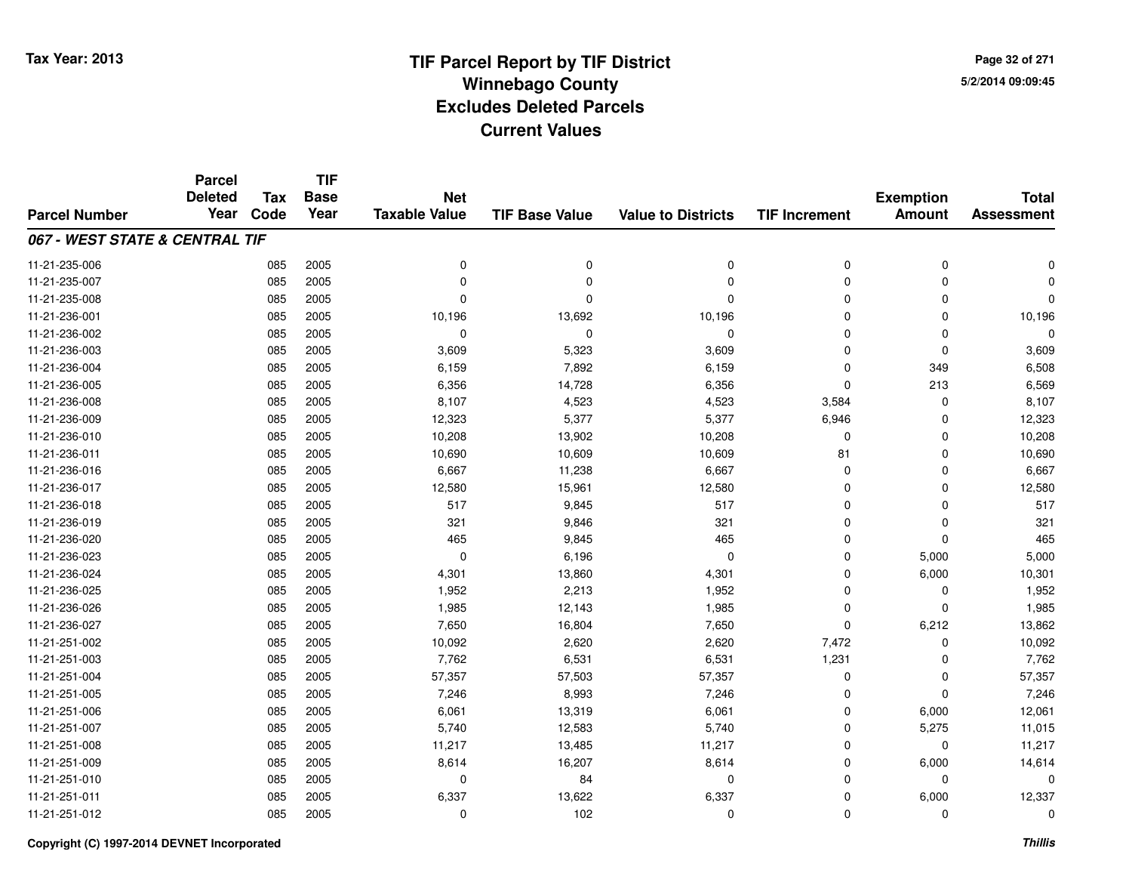# **TIF Parcel Report by TIF District Tax Year: 2013 Winnebago Countyy** 5/2/2014 09:09:45 **Excludes Deleted ParcelsCurrent Values**

**Page 32 of 2715/2/2014 09:09:45**

|                                | <b>Parcel</b>          |      | <b>TIF</b><br><b>Base</b><br><b>Tax</b><br><b>Net</b> |                      |                       | <b>Total</b>              |                      |                                   |                   |
|--------------------------------|------------------------|------|-------------------------------------------------------|----------------------|-----------------------|---------------------------|----------------------|-----------------------------------|-------------------|
| <b>Parcel Number</b>           | <b>Deleted</b><br>Year | Code | Year                                                  | <b>Taxable Value</b> | <b>TIF Base Value</b> | <b>Value to Districts</b> | <b>TIF Increment</b> | <b>Exemption</b><br><b>Amount</b> | <b>Assessment</b> |
| 067 - WEST STATE & CENTRAL TIF |                        |      |                                                       |                      |                       |                           |                      |                                   |                   |
| 11-21-235-006                  |                        | 085  | 2005                                                  | 0                    | $\pmb{0}$             | 0                         | 0                    | $\mathbf 0$                       | ŋ                 |
| 11-21-235-007                  |                        | 085  | 2005                                                  | $\Omega$             | $\Omega$              | $\Omega$                  | 0                    | $\mathbf 0$                       |                   |
| 11-21-235-008                  |                        | 085  | 2005                                                  | $\Omega$             | $\Omega$              | $\Omega$                  | $\mathbf 0$          | $\Omega$                          | $\Omega$          |
| 11-21-236-001                  |                        | 085  | 2005                                                  | 10,196               | 13,692                | 10,196                    | 0                    | $\Omega$                          | 10,196            |
| 11-21-236-002                  |                        | 085  | 2005                                                  | $\mathbf 0$          | $\Omega$              | $\mathbf 0$               | 0                    | $\Omega$                          | $\Omega$          |
| 11-21-236-003                  |                        | 085  | 2005                                                  | 3,609                | 5,323                 | 3,609                     | 0                    | $\mathbf 0$                       | 3,609             |
| 11-21-236-004                  |                        | 085  | 2005                                                  | 6,159                | 7,892                 | 6,159                     | $\mathbf 0$          | 349                               | 6,508             |
| 11-21-236-005                  |                        | 085  | 2005                                                  | 6,356                | 14,728                | 6,356                     | 0                    | 213                               | 6,569             |
| 11-21-236-008                  |                        | 085  | 2005                                                  | 8,107                | 4,523                 | 4,523                     | 3,584                | $\Omega$                          | 8,107             |
| 11-21-236-009                  |                        | 085  | 2005                                                  | 12,323               | 5,377                 | 5,377                     | 6,946                | $\Omega$                          | 12,323            |
| 11-21-236-010                  |                        | 085  | 2005                                                  | 10,208               | 13,902                | 10,208                    | $\mathbf 0$          | $\Omega$                          | 10,208            |
| 11-21-236-011                  |                        | 085  | 2005                                                  | 10,690               | 10,609                | 10,609                    | 81                   | $\Omega$                          | 10,690            |
| 11-21-236-016                  |                        | 085  | 2005                                                  | 6,667                | 11,238                | 6,667                     | $\mathbf 0$          | $\Omega$                          | 6,667             |
| 11-21-236-017                  |                        | 085  | 2005                                                  | 12,580               | 15,961                | 12,580                    | 0                    | 0                                 | 12,580            |
| 11-21-236-018                  |                        | 085  | 2005                                                  | 517                  | 9,845                 | 517                       | 0                    | $\Omega$                          | 517               |
| 11-21-236-019                  |                        | 085  | 2005                                                  | 321                  | 9,846                 | 321                       | 0                    | 0                                 | 321               |
| 11-21-236-020                  |                        | 085  | 2005                                                  | 465                  | 9,845                 | 465                       | $\mathbf 0$          | $\mathbf 0$                       | 465               |
| 11-21-236-023                  |                        | 085  | 2005                                                  | 0                    | 6,196                 | 0                         | 0                    | 5,000                             | 5,000             |
| 11-21-236-024                  |                        | 085  | 2005                                                  | 4,301                | 13,860                | 4,301                     | 0                    | 6,000                             | 10,301            |
| 11-21-236-025                  |                        | 085  | 2005                                                  | 1,952                | 2,213                 | 1,952                     | 0                    | 0                                 | 1,952             |
| 11-21-236-026                  |                        | 085  | 2005                                                  | 1,985                | 12,143                | 1,985                     | 0                    | $\mathbf{0}$                      | 1,985             |
| 11-21-236-027                  |                        | 085  | 2005                                                  | 7,650                | 16,804                | 7,650                     | 0                    | 6,212                             | 13,862            |
| 11-21-251-002                  |                        | 085  | 2005                                                  | 10,092               | 2,620                 | 2,620                     | 7,472                | $\mathbf 0$                       | 10,092            |
| 11-21-251-003                  |                        | 085  | 2005                                                  | 7,762                | 6,531                 | 6,531                     | 1,231                | 0                                 | 7,762             |
| 11-21-251-004                  |                        | 085  | 2005                                                  | 57,357               | 57,503                | 57,357                    | 0                    | $\mathbf 0$                       | 57,357            |
| 11-21-251-005                  |                        | 085  | 2005                                                  | 7,246                | 8,993                 | 7,246                     | 0                    | $\mathbf{0}$                      | 7,246             |
| 11-21-251-006                  |                        | 085  | 2005                                                  | 6,061                | 13,319                | 6,061                     | 0                    | 6,000                             | 12,061            |
| 11-21-251-007                  |                        | 085  | 2005                                                  | 5,740                | 12,583                | 5,740                     | 0                    | 5,275                             | 11,015            |
| 11-21-251-008                  |                        | 085  | 2005                                                  | 11,217               | 13,485                | 11,217                    | 0                    | $\mathbf 0$                       | 11,217            |
| 11-21-251-009                  |                        | 085  | 2005                                                  | 8,614                | 16,207                | 8,614                     | 0                    | 6,000                             | 14,614            |
| 11-21-251-010                  |                        | 085  | 2005                                                  | 0                    | 84                    | 0                         | $\mathbf 0$          | 0                                 | $\Omega$          |
| 11-21-251-011                  |                        | 085  | 2005                                                  | 6,337                | 13,622                | 6,337                     | 0                    | 6,000                             | 12,337            |
| 11-21-251-012                  |                        | 085  | 2005                                                  | $\Omega$             | 102                   | $\Omega$                  | 0                    | $\Omega$                          | $\mathbf 0$       |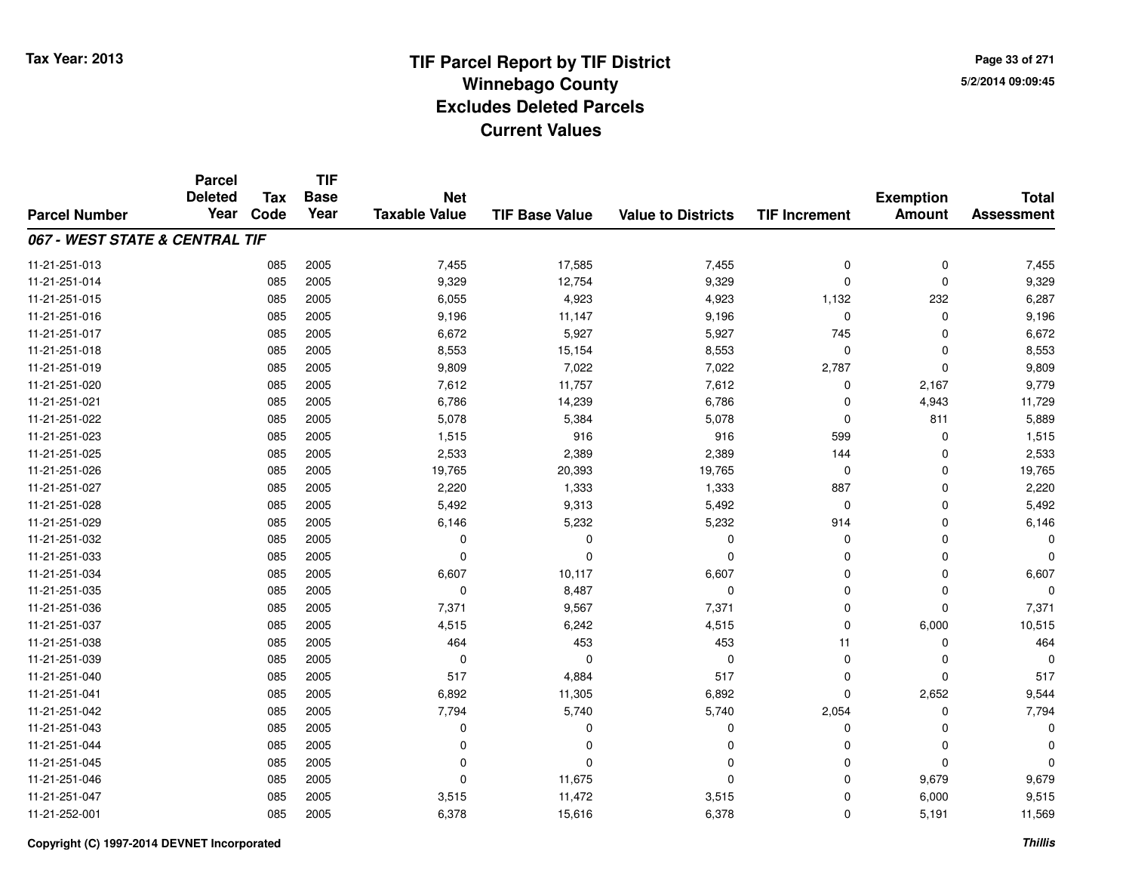**TIF**

**Parcel**

**Page 33 of 2715/2/2014 09:09:45**

#### **TIF Base ValueParcel NumberTotal AssessmentExemption Amount Value to Districts TIF Increment Base YearTax Code Deleted YearNet Taxable Value067 - WEST STATE & CENTRAL TIF**11-21-251-0133 085 2005 7,455 17,585 7,455 0 0 7,455 11-21-251-014 <sup>085</sup> 9,329 <sup>2005</sup> 12,754 9,329 <sup>0</sup> <sup>0</sup> 9,329 11-21-251-015 <sup>085</sup> 6,055 <sup>2005</sup> 4,923 4,923 1,132 <sup>232</sup> 6,287 11-21-251-016 <sup>085</sup> 9,196 <sup>2005</sup> 11,147 9,196 <sup>0</sup> <sup>0</sup> 9,196 11-21-251-017 <sup>085</sup> 6,672 <sup>2005</sup> 5,927 5,927 <sup>745</sup> <sup>0</sup> 6,672 11-21-251-018 <sup>085</sup> 8,553 <sup>2005</sup> 15,154 8,553 <sup>0</sup> <sup>0</sup> 8,553 11-21-251-019 <sup>085</sup> 9,809 <sup>2005</sup> 7,022 7,022 2,787 <sup>0</sup> 9,809 11-21-251-020 <sup>085</sup> 7,612 <sup>2005</sup> 11,757 7,612 <sup>0</sup> 2,167 9,779 11-21-251-0211 085 2005 6,786 14,239 6,786 0 4,943 11,729 11-21-251-022 <sup>085</sup> 5,078 <sup>2005</sup> 5,384 5,078 <sup>0</sup> <sup>811</sup> 5,889 11-21-251-0233 085 2005 1,515 916 916 599 0 1,515 11-21-251-025 <sup>085</sup> 2,533 <sup>2005</sup> 2,389 2,389 <sup>144</sup> <sup>0</sup> 2,533 11-21-251-0266 085 2005 19,765 20,393 19,765 0 0 19,765 11-21-251-027 <sup>085</sup> 2,220 <sup>2005</sup> 1,333 1,333 <sup>887</sup> <sup>0</sup> 2,220 11-21-251-0288 085 2005 5,492 9,313 5,492 0 0 5,492 11-21-251-0299 085 2005 6,146 5,232 5,232 914 0 6,146 11-21-251-032 <sup>085</sup> <sup>0</sup> <sup>2005</sup> <sup>0</sup> <sup>0</sup> <sup>0</sup> <sup>0</sup> <sup>0</sup> 11-21-251-033 <sup>085</sup> <sup>0</sup> <sup>2005</sup> <sup>0</sup> <sup>0</sup> <sup>0</sup> <sup>0</sup> <sup>0</sup> 11-21-251-0344 085 2005 6,607 10,117 6,607 0 0 6,607 11-21-251-035 <sup>085</sup> <sup>0</sup> <sup>2005</sup> 8,487 <sup>0</sup> <sup>0</sup> <sup>0</sup> <sup>0</sup> 11-21-251-036 <sup>085</sup> 7,371 <sup>2005</sup> 9,567 7,371 <sup>0</sup> <sup>0</sup> 7,371 11-21-251-0377 085 2005 4,515 6,242 4,515 0 6,000 10,515 11-21-251-0388 085 2005 464 453 453 11 0 464 11-21-251-039 <sup>085</sup> <sup>0</sup> <sup>2005</sup> <sup>0</sup> <sup>0</sup> <sup>0</sup> <sup>0</sup> <sup>0</sup> 11-21-251-0400 085 2005 517 4,884 517 0 0 517 11-21-251-0411 085 2005 6,892 11,305 6,892 0 2,652 9,544 11-21-251-042 <sup>085</sup> 7,794 <sup>2005</sup> 5,740 5,740 2,054 <sup>0</sup> 7,794 11-21-251-043 <sup>085</sup> <sup>0</sup> <sup>2005</sup> <sup>0</sup> <sup>0</sup> <sup>0</sup> <sup>0</sup> <sup>0</sup> 11-21-251-044 <sup>085</sup> <sup>0</sup> <sup>2005</sup> <sup>0</sup> <sup>0</sup> <sup>0</sup> <sup>0</sup> <sup>0</sup> 11-21-251-045 <sup>085</sup> <sup>0</sup> <sup>2005</sup> <sup>0</sup> <sup>0</sup> <sup>0</sup> <sup>0</sup> <sup>0</sup> 11-21-251-046 <sup>085</sup> <sup>0</sup> <sup>2005</sup> 11,675 <sup>0</sup> <sup>0</sup> 9,679 9,679 11-21-251-047 <sup>085</sup> 3,515 <sup>2005</sup> 11,472 3,515 <sup>0</sup> 6,000 9,515 11-21-252-0011 085 2005 6,378 15,616 6,378 0 5,191 11,569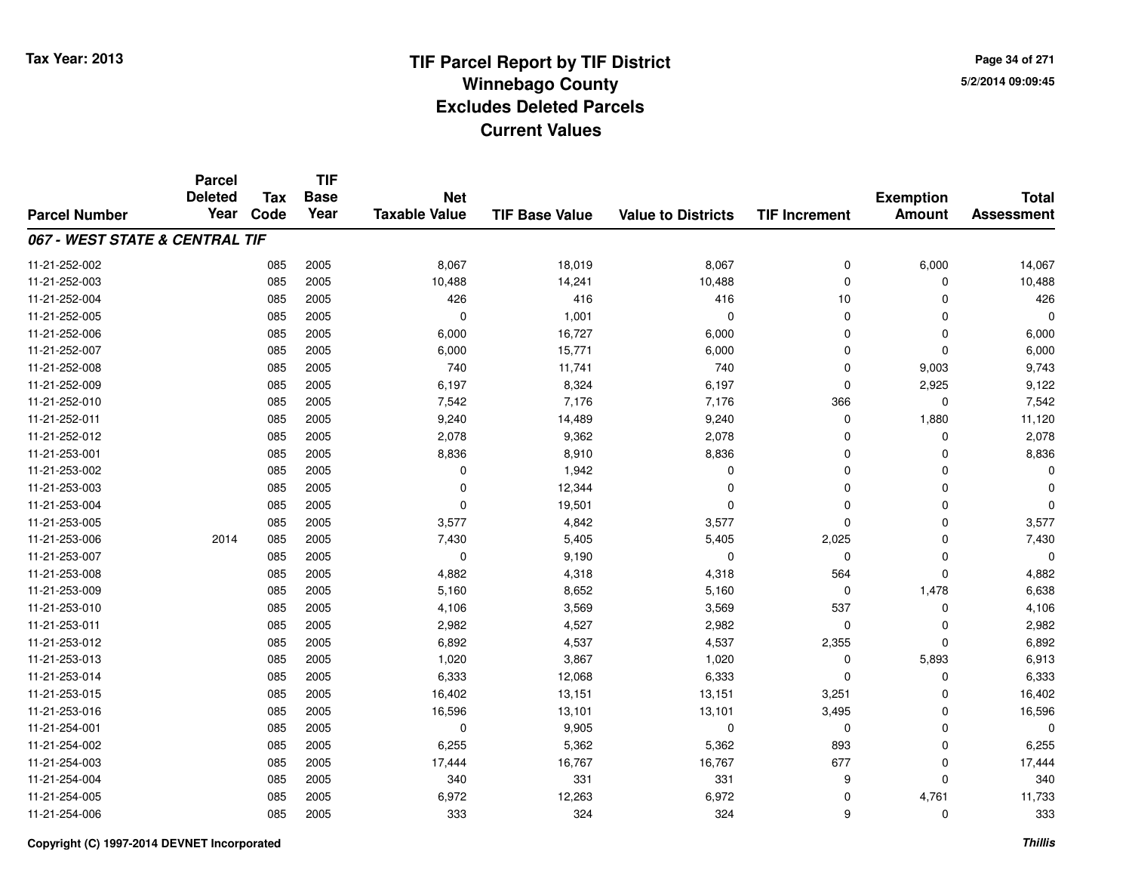**Page 34 of 2715/2/2014 09:09:45**

#### **TIF Base ValueParcel NumberTotal AssessmentExemption Amount Value to Districts TIF IncrementTIF Base YearTax CodeParcel Deleted YearNet Taxable Value067 - WEST STATE & CENTRAL TIF**11-21-252-0022 085 2005 8,067 18,019 8,067 0 6,000 14,067 11-21-252-0033 085 2005 10,488 14,241 10,488 0 0 10,488 11-21-252-004 <sup>085</sup> <sup>426</sup> <sup>2005</sup> <sup>416</sup> <sup>416</sup> <sup>10</sup> <sup>0</sup> <sup>426</sup> 11-21-252-005 <sup>085</sup> <sup>0</sup> <sup>2005</sup> 1,001 <sup>0</sup> <sup>0</sup> <sup>0</sup> <sup>0</sup> 11-21-252-006 <sup>085</sup> 6,000 <sup>2005</sup> 16,727 6,000 <sup>0</sup> <sup>0</sup> 6,000 11-21-252-007 <sup>085</sup> 6,000 <sup>2005</sup> 15,771 6,000 <sup>0</sup> <sup>0</sup> 6,000 11-21-252-008 <sup>085</sup> <sup>740</sup> <sup>2005</sup> 11,741 <sup>740</sup> <sup>0</sup> 9,003 9,743 11-21-252-0099 085 2005 6,197 8,324 6,197 0 2,925 9,122 11-21-252-0100 085 2005 7,542 7,176 7,176 366 0 7,542 11-21-252-011 <sup>085</sup> 9,240 <sup>2005</sup> 14,489 9,240 <sup>0</sup> 1,880 11,120 11-21-252-0122 085 2005 2,078 9,362 2,078 0 0 2,078 11-21-253-0011 085 2005 8,836 8,910 8,836 0 8,836 11-21-253-002 $2$  085 2005 0 0  $1,942$  0 0 0 0 0 11-21-253-0033 085 2005 0 12,344 0 0 0 0 11-21-253-004 <sup>085</sup> <sup>0</sup> <sup>2005</sup> 19,501 <sup>0</sup> <sup>0</sup> <sup>0</sup> <sup>0</sup> 11-21-253-005 <sup>085</sup> 3,577 <sup>2005</sup> 4,842 3,577 <sup>0</sup> <sup>0</sup> 3,577 11-21-253-006 <sup>2014</sup> <sup>085</sup> <sup>2005</sup> 7,430 5,405 5,405 2,025 <sup>0</sup> 7,430 11-21-253-007 $7$  085 2005 0 0 9,190 0 0 0 0 0 0 0 11-21-253-0088 085 2005 4,882 4,318 4,318 564 0 4,882 11-21-253-0099 085 2005 5,160 8,652 5,160 0 1,478 6,638 11-21-253-0100 085 2005 4,106 3,569 3,569 537 0 4,106 11-21-253-0111 085 2005 2,982 4,527 2,982 0 0 2,982 11-21-253-012 <sup>085</sup> 6,892 <sup>2005</sup> 4,537 4,537 2,355 <sup>0</sup> 6,892 11-21-253-0133 085 2005 1,020 3,867 1,020 0 5,893 6,913 11-21-253-0144 085 2005 6,333 12,068 6,333 0 6,333 11-21-253-015 <sup>085</sup> 16,402 <sup>2005</sup> 13,151 13,151 3,251 <sup>0</sup> 16,402 11-21-253-0166 085 2005 16,596 13,101 13,101 3,495 0 16,596 11-21-254-0011 085 2005 0 9,905 0 0 0 0 11-21-254-002 <sup>085</sup> 6,255 <sup>2005</sup> 5,362 5,362 <sup>893</sup> <sup>0</sup> 6,255 11-21-254-0033 085 2005 17,444 16,767 16,767 677 0 17,444 11-21-254-004 <sup>085</sup> <sup>340</sup> <sup>2005</sup> <sup>331</sup> <sup>331</sup> <sup>9</sup> <sup>0</sup> <sup>340</sup> 11-21-254-005 <sup>085</sup> 6,972 <sup>2005</sup> 12,263 6,972 <sup>0</sup> 4,761 11,733 11-21-254-006<sup>085</sup> <sup>333</sup> <sup>2005</sup> <sup>324</sup> <sup>324</sup> <sup>9</sup> <sup>0</sup> <sup>333</sup>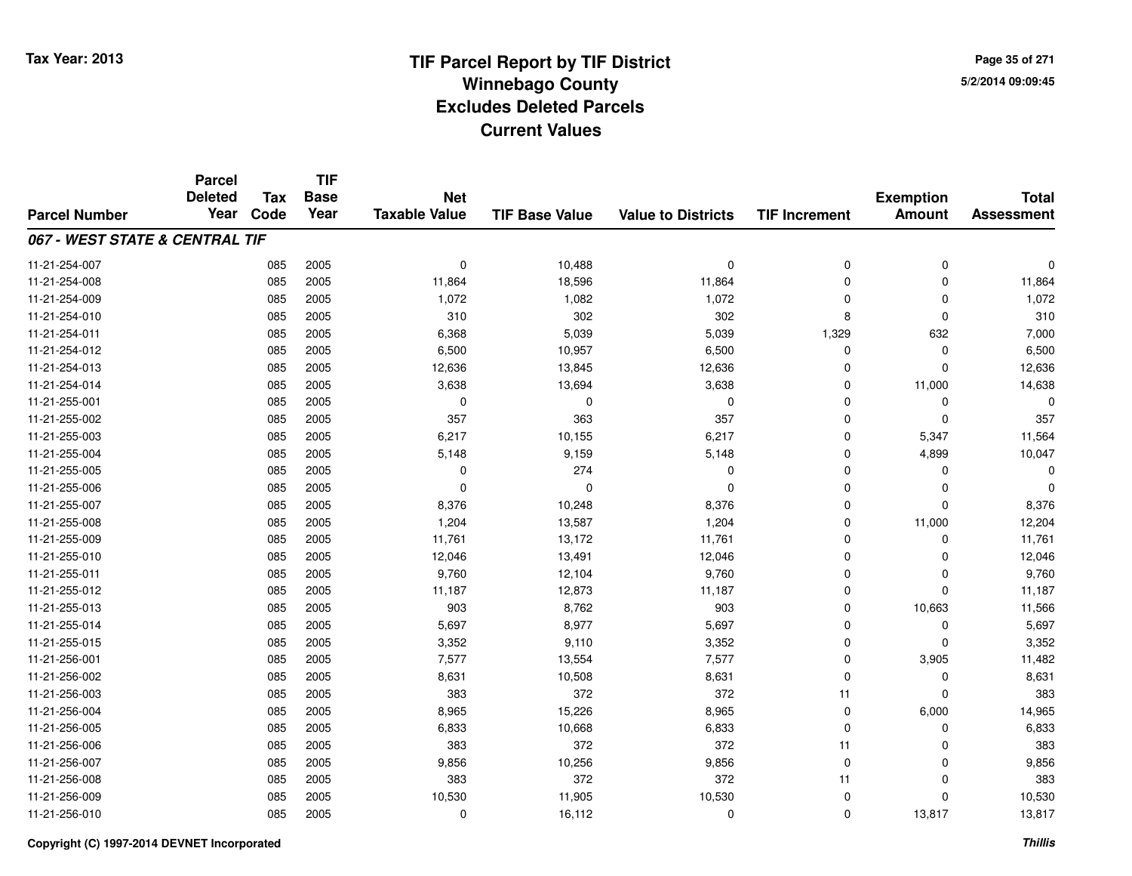**TIF**

**Parcel**

**Page 35 of 2715/2/2014 09:09:45**

#### **TIF Base ValueParcel NumberTotal AssessmentExemption Amount Value to Districts TIF Increment Base YearTax Code Deleted YearNet Taxable Value067 - WEST STATE & CENTRAL TIF**11-21-254-007 <sup>085</sup> <sup>0</sup> <sup>2005</sup> 10,488 <sup>0</sup> <sup>0</sup> <sup>0</sup> <sup>0</sup> 11-21-254-0088 085 2005 11,864 18,596 11,864 0 0 11,864 11-21-254-0099 085 2005 1,072 1,082 1,072 0 0 1,072 11-21-254-0100 085 2005 310 302 8 0 310 11-21-254-011 <sup>085</sup> 6,368 <sup>2005</sup> 5,039 5,039 1,329 <sup>632</sup> 7,000 11-21-254-0122 085 2005 6,500 10,957 6,500 0 0 6,500 11-21-254-0133 085 2005 12,636 13,845 12,636 0 12,636 11-21-254-0144 085 2005 3,638 13,694 3,638 0 11,000 14,638 11-21-255-001 <sup>085</sup> <sup>0</sup> <sup>2005</sup> <sup>0</sup> <sup>0</sup> <sup>0</sup> <sup>0</sup> <sup>0</sup> 11-21-255-002 <sup>085</sup> <sup>357</sup> <sup>2005</sup> <sup>363</sup> <sup>357</sup> <sup>0</sup> <sup>0</sup> <sup>357</sup> 11-21-255-0033 085 2005 6,217 10,155 6,217 0 5,347 11,564 11-21-255-004 <sup>085</sup> 5,148 <sup>2005</sup> 9,159 5,148 <sup>0</sup> 4,899 10,047 11-21-255-005 <sup>085</sup> <sup>0</sup> <sup>2005</sup> <sup>274</sup> <sup>0</sup> <sup>0</sup> <sup>0</sup> <sup>0</sup> 11-21-255-006 <sup>085</sup> <sup>0</sup> <sup>2005</sup> <sup>0</sup> <sup>0</sup> <sup>0</sup> <sup>0</sup> <sup>0</sup> 11-21-255-007 <sup>085</sup> 8,376 <sup>2005</sup> 10,248 8,376 <sup>0</sup> <sup>0</sup> 8,376 11-21-255-0088 085 2005 1,204 13,587 1,204 0 11,000 12,204 11-21-255-0099 085 2005 11,761 13,172 11,761 0 0 11,761 11-21-255-0100 085 2005 12,046 13,491 12,046 0 0 12,046 11-21-255-011 <sup>085</sup> 9,760 <sup>2005</sup> 12,104 9,760 <sup>0</sup> <sup>0</sup> 9,760 11-21-255-012 <sup>085</sup> 11,187 <sup>2005</sup> 12,873 11,187 <sup>0</sup> <sup>0</sup> 11,187 11-21-255-0133 085 2005 903 8,762 903 0 10,663 11,566 11-21-255-0144 2005 2005 2005 5,697 2007 8,977 5,697 5,697 0 0 0 5,697 11-21-255-015 <sup>085</sup> 3,352 <sup>2005</sup> 9,110 3,352 <sup>0</sup> <sup>0</sup> 3,352 11-21-256-0011 085 2005 7,577 13,554 7,577 0 3,905 11,482 11-21-256-0022 085 2005 8,631 10,508 8,631 0 8,631 11-21-256-003 <sup>085</sup> <sup>383</sup> <sup>2005</sup> <sup>372</sup> <sup>372</sup> <sup>11</sup> <sup>0</sup> <sup>383</sup> 11-21-256-004 <sup>085</sup> 8,965 <sup>2005</sup> 15,226 8,965 <sup>0</sup> 6,000 14,965 11-21-256-0055 085 2005 6,833 10,668 6,833 0 0 6,833 11-21-256-006 <sup>085</sup> <sup>383</sup> <sup>2005</sup> <sup>372</sup> <sup>372</sup> <sup>11</sup> <sup>0</sup> <sup>383</sup> 11-21-256-007 <sup>085</sup> 9,856 <sup>2005</sup> 10,256 9,856 <sup>0</sup> <sup>0</sup> 9,856 11-21-256-008 <sup>085</sup> <sup>383</sup> <sup>2005</sup> <sup>372</sup> <sup>372</sup> <sup>11</sup> <sup>0</sup> <sup>383</sup> 11-21-256-0099 085 2005 10,530 11,905 10,530 0 0 10,530 11-21-256-0100 085 2005 0 16,112 0 13,817 13,817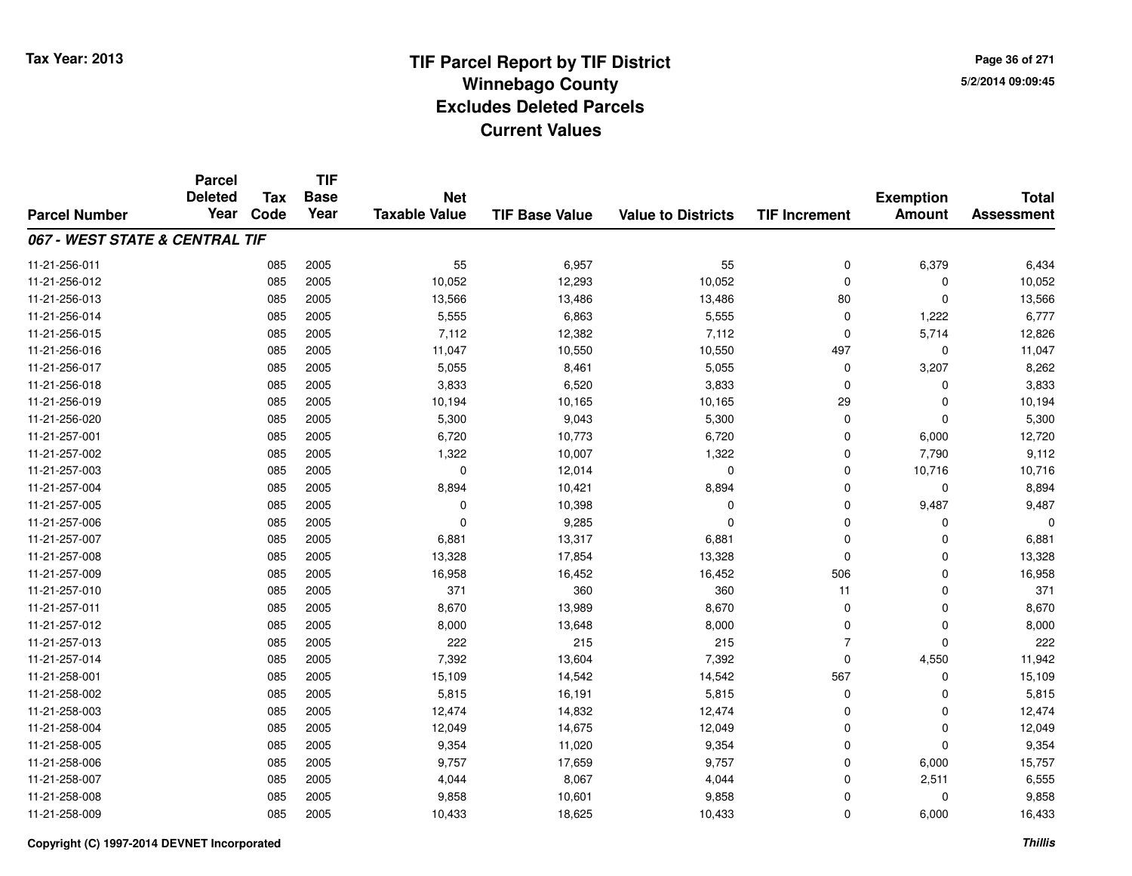**Page 36 of 2715/2/2014 09:09:45**

|                                | <b>Parcel</b> | <b>TIF</b><br><b>Deleted</b><br><b>Tax</b><br><b>Base</b><br><b>Net</b> |      |                      | <b>Exemption</b>      | <b>Total</b>              |                      |               |                   |
|--------------------------------|---------------|-------------------------------------------------------------------------|------|----------------------|-----------------------|---------------------------|----------------------|---------------|-------------------|
| <b>Parcel Number</b>           | Year          | Code                                                                    | Year | <b>Taxable Value</b> | <b>TIF Base Value</b> | <b>Value to Districts</b> | <b>TIF Increment</b> | <b>Amount</b> | <b>Assessment</b> |
| 067 - WEST STATE & CENTRAL TIF |               |                                                                         |      |                      |                       |                           |                      |               |                   |
| 11-21-256-011                  |               | 085                                                                     | 2005 | 55                   | 6,957                 | 55                        | 0                    | 6,379         | 6,434             |
| 11-21-256-012                  |               | 085                                                                     | 2005 | 10,052               | 12,293                | 10,052                    | $\mathbf 0$          | $\Omega$      | 10,052            |
| 11-21-256-013                  |               | 085                                                                     | 2005 | 13,566               | 13,486                | 13,486                    | 80                   | 0             | 13,566            |
| 11-21-256-014                  |               | 085                                                                     | 2005 | 5,555                | 6,863                 | 5,555                     | $\mathbf 0$          | 1,222         | 6,777             |
| 11-21-256-015                  |               | 085                                                                     | 2005 | 7,112                | 12,382                | 7,112                     | $\mathbf 0$          | 5,714         | 12,826            |
| 11-21-256-016                  |               | 085                                                                     | 2005 | 11,047               | 10,550                | 10,550                    | 497                  | $\mathbf 0$   | 11,047            |
| 11-21-256-017                  |               | 085                                                                     | 2005 | 5,055                | 8,461                 | 5,055                     | $\mathbf 0$          | 3,207         | 8,262             |
| 11-21-256-018                  |               | 085                                                                     | 2005 | 3,833                | 6,520                 | 3,833                     | $\mathbf 0$          | $\Omega$      | 3,833             |
| 11-21-256-019                  |               | 085                                                                     | 2005 | 10,194               | 10,165                | 10,165                    | 29                   | $\mathbf 0$   | 10,194            |
| 11-21-256-020                  |               | 085                                                                     | 2005 | 5,300                | 9,043                 | 5,300                     | $\mathbf 0$          | 0             | 5,300             |
| 11-21-257-001                  |               | 085                                                                     | 2005 | 6,720                | 10,773                | 6,720                     | $\mathbf 0$          | 6,000         | 12,720            |
| 11-21-257-002                  |               | 085                                                                     | 2005 | 1,322                | 10,007                | 1,322                     | 0                    | 7,790         | 9,112             |
| 11-21-257-003                  |               | 085                                                                     | 2005 | $\mathbf 0$          | 12,014                | $\mathbf 0$               | $\Omega$             | 10,716        | 10,716            |
| 11-21-257-004                  |               | 085                                                                     | 2005 | 8,894                | 10,421                | 8,894                     | $\mathbf 0$          | $\mathbf 0$   | 8,894             |
| 11-21-257-005                  |               | 085                                                                     | 2005 | $\mathbf 0$          | 10,398                | 0                         | $\mathbf 0$          | 9,487         | 9,487             |
| 11-21-257-006                  |               | 085                                                                     | 2005 | 0                    | 9,285                 | 0                         | $\mathbf 0$          | $\Omega$      |                   |
| 11-21-257-007                  |               | 085                                                                     | 2005 | 6,881                | 13,317                | 6,881                     | $\mathbf 0$          | $\Omega$      | 6,881             |
| 11-21-257-008                  |               | 085                                                                     | 2005 | 13,328               | 17,854                | 13,328                    | $\mathbf 0$          | $\Omega$      | 13,328            |
| 11-21-257-009                  |               | 085                                                                     | 2005 | 16,958               | 16,452                | 16,452                    | 506                  | 0             | 16,958            |
| 11-21-257-010                  |               | 085                                                                     | 2005 | 371                  | 360                   | 360                       | 11                   | $\mathbf 0$   | 371               |
| 11-21-257-011                  |               | 085                                                                     | 2005 | 8,670                | 13,989                | 8,670                     | $\mathbf 0$          | $\mathbf 0$   | 8,670             |
| 11-21-257-012                  |               | 085                                                                     | 2005 | 8,000                | 13,648                | 8,000                     | $\mathbf 0$          | $\mathbf 0$   | 8,000             |
| 11-21-257-013                  |               | 085                                                                     | 2005 | 222                  | 215                   | 215                       | $\overline{7}$       | $\mathbf{0}$  | 222               |
| 11-21-257-014                  |               | 085                                                                     | 2005 | 7,392                | 13,604                | 7,392                     | $\mathbf 0$          | 4,550         | 11,942            |
| 11-21-258-001                  |               | 085                                                                     | 2005 | 15,109               | 14,542                | 14,542                    | 567                  | $\mathbf 0$   | 15,109            |
| 11-21-258-002                  |               | 085                                                                     | 2005 | 5,815                | 16,191                | 5,815                     | $\mathbf 0$          | $\Omega$      | 5,815             |
| 11-21-258-003                  |               | 085                                                                     | 2005 | 12,474               | 14,832                | 12,474                    | $\mathbf 0$          | $\mathbf 0$   | 12,474            |
| 11-21-258-004                  |               | 085                                                                     | 2005 | 12,049               | 14,675                | 12,049                    | $\mathbf 0$          | 0             | 12,049            |
| 11-21-258-005                  |               | 085                                                                     | 2005 | 9,354                | 11,020                | 9,354                     | $\mathbf 0$          | $\mathbf{0}$  | 9,354             |
| 11-21-258-006                  |               | 085                                                                     | 2005 | 9,757                | 17,659                | 9,757                     | $\mathbf 0$          | 6,000         | 15,757            |
| 11-21-258-007                  |               | 085                                                                     | 2005 | 4,044                | 8,067                 | 4,044                     | $\Omega$             | 2,511         | 6,555             |
| 11-21-258-008                  |               | 085                                                                     | 2005 | 9,858                | 10,601                | 9,858                     | $\mathbf 0$          | $\Omega$      | 9,858             |
| 11-21-258-009                  |               | 085                                                                     | 2005 | 10,433               | 18,625                | 10,433                    | $\Omega$             | 6,000         | 16,433            |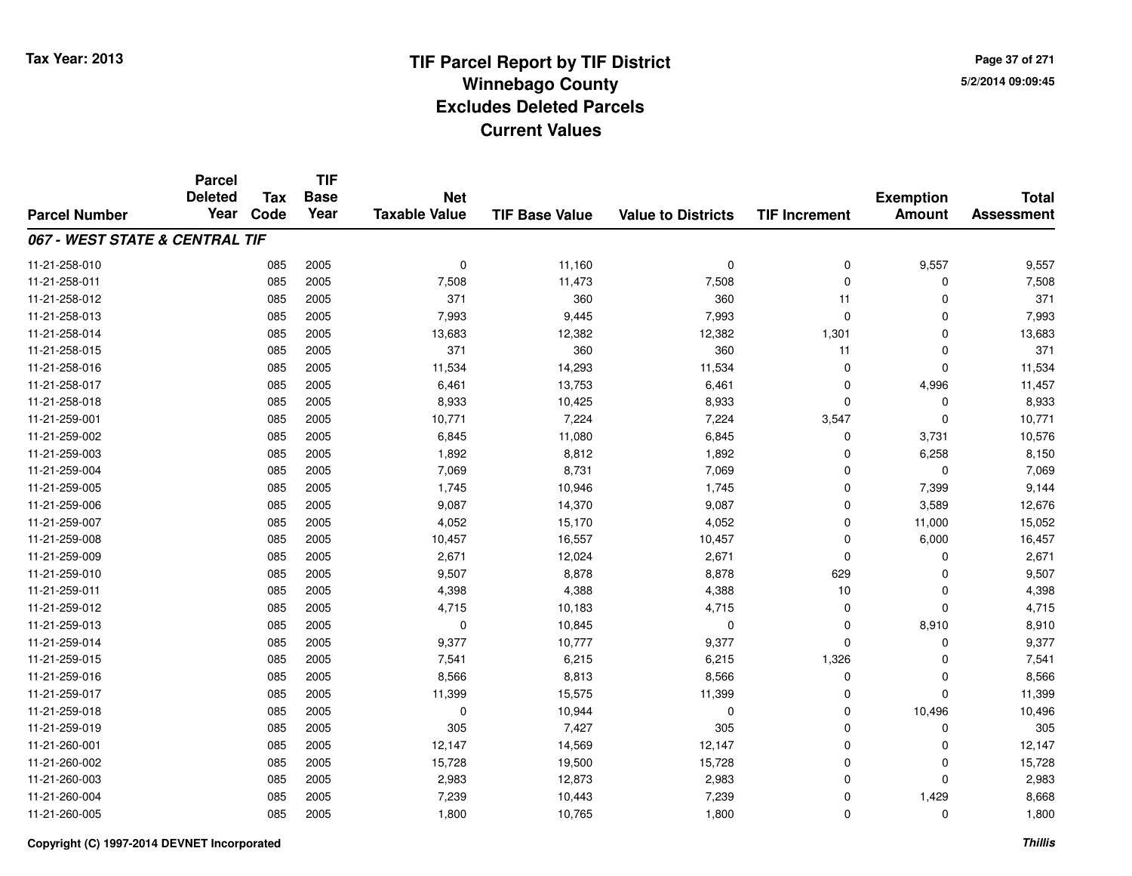**TIF**

**Parcel**

**Page 37 of 2715/2/2014 09:09:45**

#### **TIF Base ValueParcel NumberTotal AssessmentExemption Amount Value to Districts TIF Increment Base YearTax Code Deleted YearNet Taxable Value067 - WEST STATE & CENTRAL TIF**11-21-258-0100 085 2005 0 11,160 0 0 9,557 9,557 11-21-258-0111 085 2005 7,508 11,473 7,508 0 7,508 11-21-258-012 <sup>085</sup> <sup>371</sup> <sup>2005</sup> <sup>360</sup> <sup>360</sup> <sup>11</sup> <sup>0</sup> <sup>371</sup> 11-21-258-0133 085 2005 7,993 9,445 7,993 0 7,993 11-21-258-014 <sup>085</sup> 13,683 <sup>2005</sup> 12,382 12,382 1,301 <sup>0</sup> 13,683 11-21-258-015 <sup>085</sup> <sup>371</sup> <sup>2005</sup> <sup>360</sup> <sup>360</sup> <sup>11</sup> <sup>0</sup> <sup>371</sup> 11-21-258-0166 085 2005 11,534 14,293 11,534 0 0 11,534 11-21-258-017 <sup>085</sup> 6,461 <sup>2005</sup> 13,753 6,461 <sup>0</sup> 4,996 11,457 11-21-258-018 <sup>085</sup> 8,933 <sup>2005</sup> 10,425 8,933 <sup>0</sup> <sup>0</sup> 8,933 11-21-259-0011 085 2005 10,771 7,224 7,224 3,547 0 10,771 11-21-259-0022 085 2005 6,845 11,080 6,845 0 3,731 10,576 11-21-259-0033 085 2005 1,892 8,812 1,892 0 6,258 8,150 11-21-259-0044 085 2005 7,069 8,731 7,069 0 7,069 11-21-259-005 <sup>085</sup> 1,745 <sup>2005</sup> 10,946 1,745 <sup>0</sup> 7,399 9,144 11-21-259-006 <sup>085</sup> 9,087 <sup>2005</sup> 14,370 9,087 <sup>0</sup> 3,589 12,676 11-21-259-007 <sup>085</sup> 4,052 <sup>2005</sup> 15,170 4,052 <sup>0</sup> 11,000 15,052 11-21-259-0088 085 2005 10,457 16,557 10,457 0 6,000 16,457 11-21-259-0099 085 2005 2,671 12,024 2,671 0 0 2,671 11-21-259-010 <sup>085</sup> 9,507 <sup>2005</sup> 8,878 8,878 <sup>629</sup> <sup>0</sup> 9,507 11-21-259-0111 085 2005 4,398 4,388 10 0 4,398 11-21-259-0122 085 2005 4,715 10,183 4,715 0 0 4,715 11-21-259-0133 085 2005 0 10,845 0 0 8,910 8,910 11-21-259-014 <sup>085</sup> 9,377 <sup>2005</sup> 10,777 9,377 <sup>0</sup> <sup>0</sup> 9,377 11-21-259-015 <sup>085</sup> 7,541 <sup>2005</sup> 6,215 6,215 1,326 <sup>0</sup> 7,541 11-21-259-0166 085 2005 8,566 8,813 8,566 0 0 8,566 11-21-259-017 <sup>085</sup> 11,399 <sup>2005</sup> 15,575 11,399 <sup>0</sup> <sup>0</sup> 11,399 11-21-259-0188 085 2005 0 10,944 0 0 10,496 10,496 11-21-259-0199 085 2005 305 7,427 305 0 0 305 11-21-260-0011 085 2005 12,147 14,569 12,147 0 0 12,147 11-21-260-0022 085 2005 15,728 19,500 15,728 0 0 15,728 11-21-260-0033 085 2005 2,983 12,873 2,983 0 0 2,983 11-21-260-004 <sup>085</sup> 7,239 <sup>2005</sup> 10,443 7,239 <sup>0</sup> 1,429 8,668 11-21-260-005<sup>085</sup> 1,800 <sup>2005</sup> 10,765 1,800 <sup>0</sup> <sup>0</sup> 1,800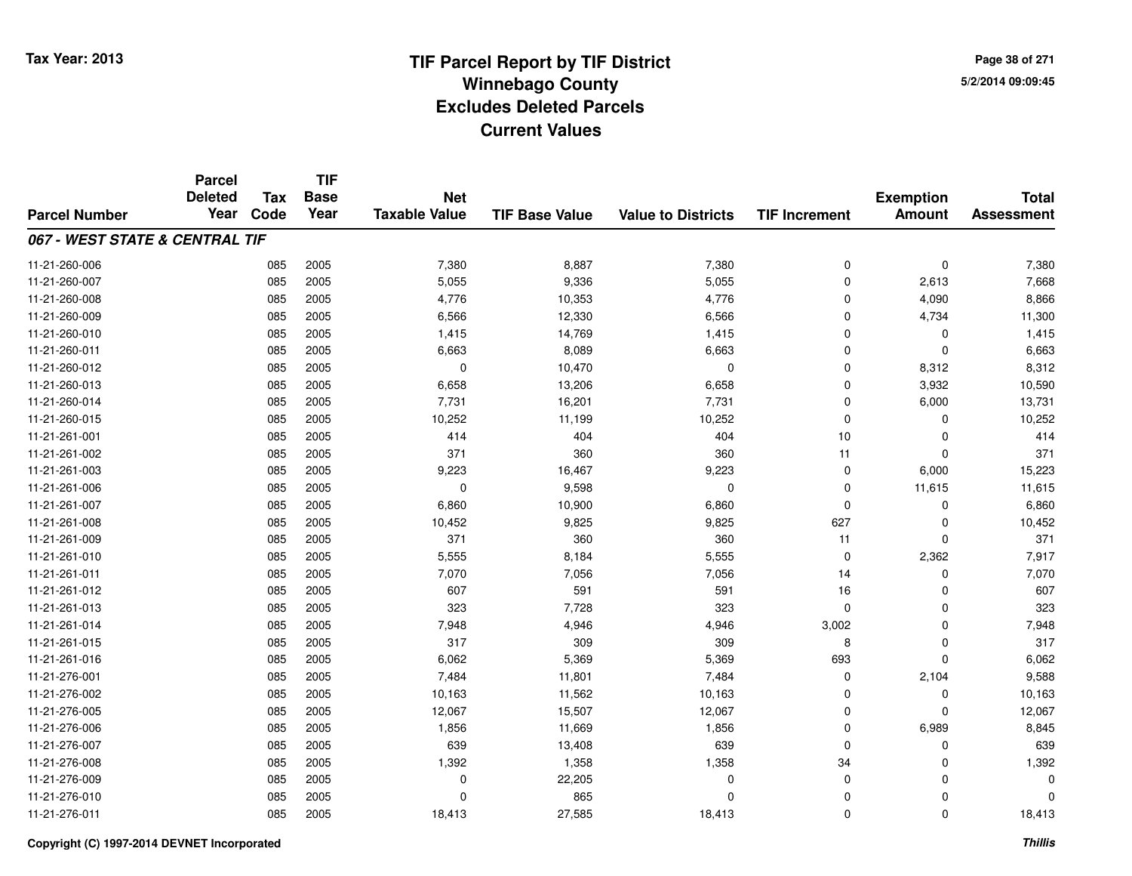**Page 38 of 2715/2/2014 09:09:45**

|                                | <b>Parcel</b>          |                    | <b>TIF</b>          |                                    |                       |                           |                      |                                   |                                   |
|--------------------------------|------------------------|--------------------|---------------------|------------------------------------|-----------------------|---------------------------|----------------------|-----------------------------------|-----------------------------------|
| <b>Parcel Number</b>           | <b>Deleted</b><br>Year | <b>Tax</b><br>Code | <b>Base</b><br>Year | <b>Net</b><br><b>Taxable Value</b> | <b>TIF Base Value</b> | <b>Value to Districts</b> | <b>TIF Increment</b> | <b>Exemption</b><br><b>Amount</b> | <b>Total</b><br><b>Assessment</b> |
|                                |                        |                    |                     |                                    |                       |                           |                      |                                   |                                   |
| 067 - WEST STATE & CENTRAL TIF |                        |                    |                     |                                    |                       |                           |                      |                                   |                                   |
| 11-21-260-006                  |                        | 085                | 2005                | 7,380                              | 8,887                 | 7,380                     | 0                    | $\mathbf 0$                       | 7,380                             |
| 11-21-260-007                  |                        | 085                | 2005                | 5,055                              | 9,336                 | 5,055                     | 0                    | 2,613                             | 7,668                             |
| 11-21-260-008                  |                        | 085                | 2005                | 4,776                              | 10,353                | 4,776                     | 0                    | 4,090                             | 8,866                             |
| 11-21-260-009                  |                        | 085                | 2005                | 6,566                              | 12,330                | 6,566                     | 0                    | 4,734                             | 11,300                            |
| 11-21-260-010                  |                        | 085                | 2005                | 1,415                              | 14,769                | 1,415                     | $\mathbf 0$          | 0                                 | 1,415                             |
| 11-21-260-011                  |                        | 085                | 2005                | 6,663                              | 8,089                 | 6,663                     | 0                    | $\Omega$                          | 6,663                             |
| 11-21-260-012                  |                        | 085                | 2005                | $\mathbf 0$                        | 10,470                | $\mathbf 0$               | 0                    | 8,312                             | 8,312                             |
| 11-21-260-013                  |                        | 085                | 2005                | 6,658                              | 13,206                | 6,658                     | 0                    | 3,932                             | 10,590                            |
| 11-21-260-014                  |                        | 085                | 2005                | 7,731                              | 16,201                | 7,731                     | 0                    | 6,000                             | 13,731                            |
| 11-21-260-015                  |                        | 085                | 2005                | 10,252                             | 11,199                | 10,252                    | 0                    | 0                                 | 10,252                            |
| 11-21-261-001                  |                        | 085                | 2005                | 414                                | 404                   | 404                       | 10                   | $\Omega$                          | 414                               |
| 11-21-261-002                  |                        | 085                | 2005                | 371                                | 360                   | 360                       | 11                   | 0                                 | 371                               |
| 11-21-261-003                  |                        | 085                | 2005                | 9,223                              | 16,467                | 9,223                     | 0                    | 6,000                             | 15,223                            |
| 11-21-261-006                  |                        | 085                | 2005                | 0                                  | 9,598                 | 0                         | 0                    | 11,615                            | 11,615                            |
| 11-21-261-007                  |                        | 085                | 2005                | 6,860                              | 10,900                | 6,860                     | $\mathbf 0$          | 0                                 | 6,860                             |
| 11-21-261-008                  |                        | 085                | 2005                | 10,452                             | 9,825                 | 9,825                     | 627                  | 0                                 | 10,452                            |
| 11-21-261-009                  |                        | 085                | 2005                | 371                                | 360                   | 360                       | 11                   | $\Omega$                          | 371                               |
| 11-21-261-010                  |                        | 085                | 2005                | 5,555                              | 8,184                 | 5,555                     | 0                    | 2,362                             | 7,917                             |
| 11-21-261-011                  |                        | 085                | 2005                | 7,070                              | 7,056                 | 7,056                     | 14                   | $\mathbf 0$                       | 7,070                             |
| 11-21-261-012                  |                        | 085                | 2005                | 607                                | 591                   | 591                       | 16                   | 0                                 | 607                               |
| 11-21-261-013                  |                        | 085                | 2005                | 323                                | 7,728                 | 323                       | 0                    | 0                                 | 323                               |
| 11-21-261-014                  |                        | 085                | 2005                | 7,948                              | 4,946                 | 4,946                     | 3,002                | 0                                 | 7,948                             |
| 11-21-261-015                  |                        | 085                | 2005                | 317                                | 309                   | 309                       | 8                    | 0                                 | 317                               |
| 11-21-261-016                  |                        | 085                | 2005                | 6,062                              | 5,369                 | 5,369                     | 693                  | $\mathbf 0$                       | 6,062                             |
| 11-21-276-001                  |                        | 085                | 2005                | 7,484                              | 11,801                | 7,484                     | 0                    | 2,104                             | 9,588                             |
| 11-21-276-002                  |                        | 085                | 2005                | 10,163                             | 11,562                | 10,163                    | 0                    | 0                                 | 10,163                            |
| 11-21-276-005                  |                        | 085                | 2005                | 12,067                             | 15,507                | 12,067                    | 0                    | $\Omega$                          | 12,067                            |
| 11-21-276-006                  |                        | 085                | 2005                | 1,856                              | 11,669                | 1,856                     | 0                    | 6,989                             | 8,845                             |
| 11-21-276-007                  |                        | 085                | 2005                | 639                                | 13,408                | 639                       | $\mathbf 0$          | 0                                 | 639                               |
| 11-21-276-008                  |                        | 085                | 2005                | 1,392                              | 1,358                 | 1,358                     | 34                   | 0                                 | 1,392                             |
| 11-21-276-009                  |                        | 085                | 2005                | 0                                  | 22,205                | 0                         | 0                    | $\Omega$                          | 0                                 |
| 11-21-276-010                  |                        | 085                | 2005                | $\Omega$                           | 865                   | $\Omega$                  | 0                    | 0                                 | $\Omega$                          |
| 11-21-276-011                  |                        | 085                | 2005                | 18,413                             | 27,585                | 18,413                    | 0                    | $\Omega$                          | 18,413                            |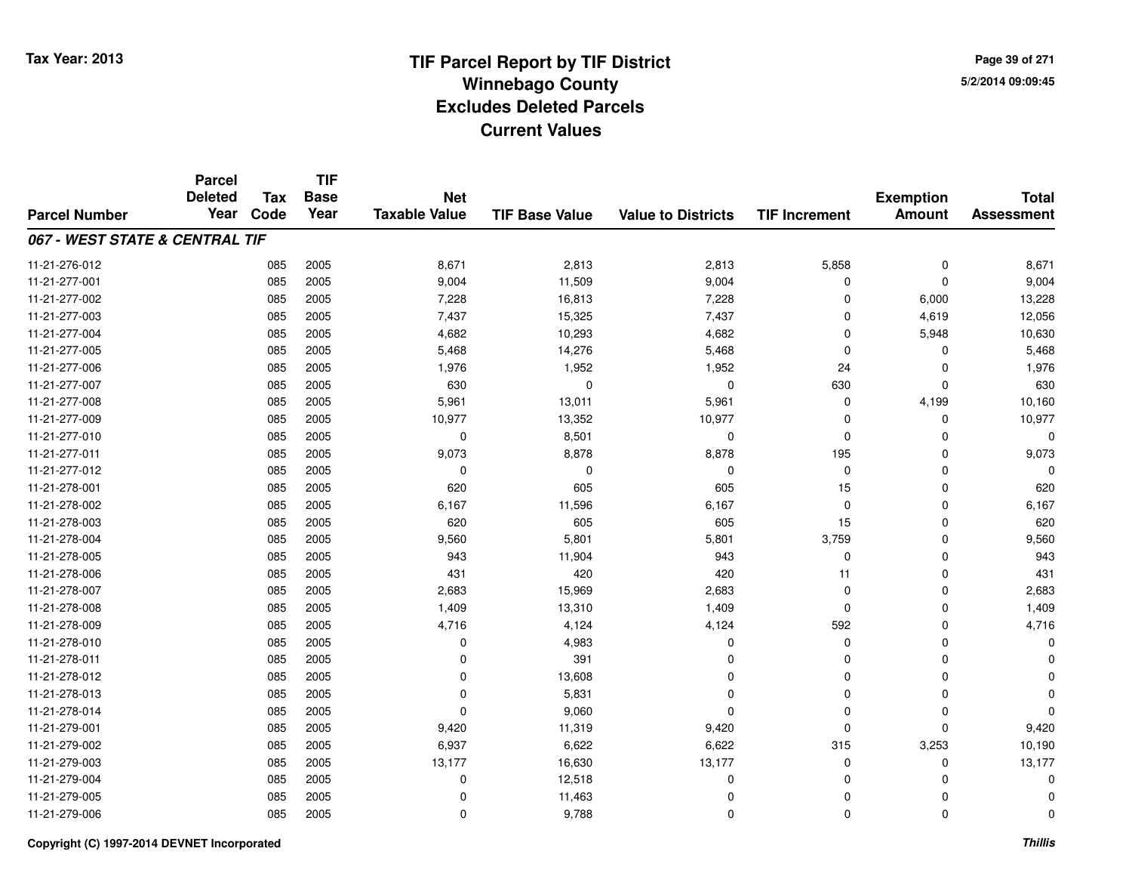**Page 39 of 2715/2/2014 09:09:45**

|                                | <b>Parcel</b><br><b>Deleted</b> | <b>Tax</b> | <b>TIF</b><br><b>Base</b> | <b>Net</b>           |                       |                           |                      |                                   | <b>Total</b>      |
|--------------------------------|---------------------------------|------------|---------------------------|----------------------|-----------------------|---------------------------|----------------------|-----------------------------------|-------------------|
| <b>Parcel Number</b>           | Year                            | Code       | Year                      | <b>Taxable Value</b> | <b>TIF Base Value</b> | <b>Value to Districts</b> | <b>TIF Increment</b> | <b>Exemption</b><br><b>Amount</b> | <b>Assessment</b> |
| 067 - WEST STATE & CENTRAL TIF |                                 |            |                           |                      |                       |                           |                      |                                   |                   |
| 11-21-276-012                  |                                 | 085        | 2005                      | 8,671                | 2,813                 | 2,813                     | 5,858                | $\mathbf 0$                       | 8,671             |
| 11-21-277-001                  |                                 | 085        | 2005                      | 9,004                | 11,509                | 9,004                     | 0                    | $\mathbf 0$                       | 9,004             |
| 11-21-277-002                  |                                 | 085        | 2005                      | 7,228                | 16,813                | 7,228                     | $\Omega$             | 6,000                             | 13,228            |
| 11-21-277-003                  |                                 | 085        | 2005                      | 7,437                | 15,325                | 7,437                     | $\Omega$             | 4,619                             | 12,056            |
| 11-21-277-004                  |                                 | 085        | 2005                      | 4,682                | 10,293                | 4,682                     | $\Omega$             | 5,948                             | 10,630            |
| 11-21-277-005                  |                                 | 085        | 2005                      | 5,468                | 14,276                | 5,468                     | $\Omega$             | 0                                 | 5,468             |
| 11-21-277-006                  |                                 | 085        | 2005                      | 1,976                | 1,952                 | 1,952                     | 24                   | $\mathbf 0$                       | 1,976             |
| 11-21-277-007                  |                                 | 085        | 2005                      | 630                  | $\mathbf 0$           | $\mathbf 0$               | 630                  | $\mathbf 0$                       | 630               |
| 11-21-277-008                  |                                 | 085        | 2005                      | 5,961                | 13,011                | 5,961                     | $\mathbf 0$          | 4,199                             | 10,160            |
| 11-21-277-009                  |                                 | 085        | 2005                      | 10,977               | 13,352                | 10,977                    | $\Omega$             | $\mathbf 0$                       | 10,977            |
| 11-21-277-010                  |                                 | 085        | 2005                      | 0                    | 8,501                 | $\mathbf 0$               | $\Omega$             | $\Omega$                          |                   |
| 11-21-277-011                  |                                 | 085        | 2005                      | 9,073                | 8,878                 | 8,878                     | 195                  | $\mathbf 0$                       | 9,073             |
| 11-21-277-012                  |                                 | 085        | 2005                      | $\mathbf 0$          | 0                     | $\mathbf 0$               | $\mathbf 0$          | $\Omega$                          |                   |
| 11-21-278-001                  |                                 | 085        | 2005                      | 620                  | 605                   | 605                       | 15                   | $\mathbf 0$                       | 620               |
| 11-21-278-002                  |                                 | 085        | 2005                      | 6,167                | 11,596                | 6,167                     | $\mathbf 0$          | $\mathbf 0$                       | 6,167             |
| 11-21-278-003                  |                                 | 085        | 2005                      | 620                  | 605                   | 605                       | 15                   | 0                                 | 620               |
| 11-21-278-004                  |                                 | 085        | 2005                      | 9,560                | 5,801                 | 5,801                     | 3,759                | $\mathbf 0$                       | 9,560             |
| 11-21-278-005                  |                                 | 085        | 2005                      | 943                  | 11,904                | 943                       | 0                    | 0                                 | 943               |
| 11-21-278-006                  |                                 | 085        | 2005                      | 431                  | 420                   | 420                       | 11                   | $\mathbf 0$                       | 431               |
| 11-21-278-007                  |                                 | 085        | 2005                      | 2,683                | 15,969                | 2,683                     | 0                    | $\mathbf 0$                       | 2,683             |
| 11-21-278-008                  |                                 | 085        | 2005                      | 1,409                | 13,310                | 1,409                     | $\mathbf 0$          | $\mathbf 0$                       | 1,409             |
| 11-21-278-009                  |                                 | 085        | 2005                      | 4,716                | 4,124                 | 4,124                     | 592                  | 0                                 | 4,716             |
| 11-21-278-010                  |                                 | 085        | 2005                      | 0                    | 4,983                 | $\mathbf 0$               | $\mathbf 0$          | $\mathbf 0$                       |                   |
| 11-21-278-011                  |                                 | 085        | 2005                      | 0                    | 391                   | $\mathbf 0$               | 0                    | $\mathbf 0$                       |                   |
| 11-21-278-012                  |                                 | 085        | 2005                      | 0                    | 13,608                | $\mathbf{0}$              | $\Omega$             | $\mathbf 0$                       |                   |
| 11-21-278-013                  |                                 | 085        | 2005                      | 0                    | 5,831                 | $\mathbf 0$               | $\mathbf 0$          | $\mathbf 0$                       |                   |
| 11-21-278-014                  |                                 | 085        | 2005                      | $\mathbf 0$          | 9,060                 | $\mathbf{0}$              | $\Omega$             | $\mathbf 0$                       |                   |
| 11-21-279-001                  |                                 | 085        | 2005                      | 9,420                | 11,319                | 9,420                     | $\Omega$             | $\mathbf 0$                       | 9,420             |
| 11-21-279-002                  |                                 | 085        | 2005                      | 6,937                | 6,622                 | 6,622                     | 315                  | 3,253                             | 10,190            |
| 11-21-279-003                  |                                 | 085        | 2005                      | 13,177               | 16,630                | 13,177                    | 0                    | 0                                 | 13,177            |
| 11-21-279-004                  |                                 | 085        | 2005                      | 0                    | 12,518                | $\mathbf 0$               | $\Omega$             | $\mathbf 0$                       |                   |
| 11-21-279-005                  |                                 | 085        | 2005                      | 0                    | 11,463                | $\mathbf 0$               | 0                    | $\Omega$                          |                   |
| 11-21-279-006                  |                                 | 085        | 2005                      | $\mathbf 0$          | 9,788                 | $\mathbf{0}$              | $\Omega$             | $\mathbf 0$                       | $\Omega$          |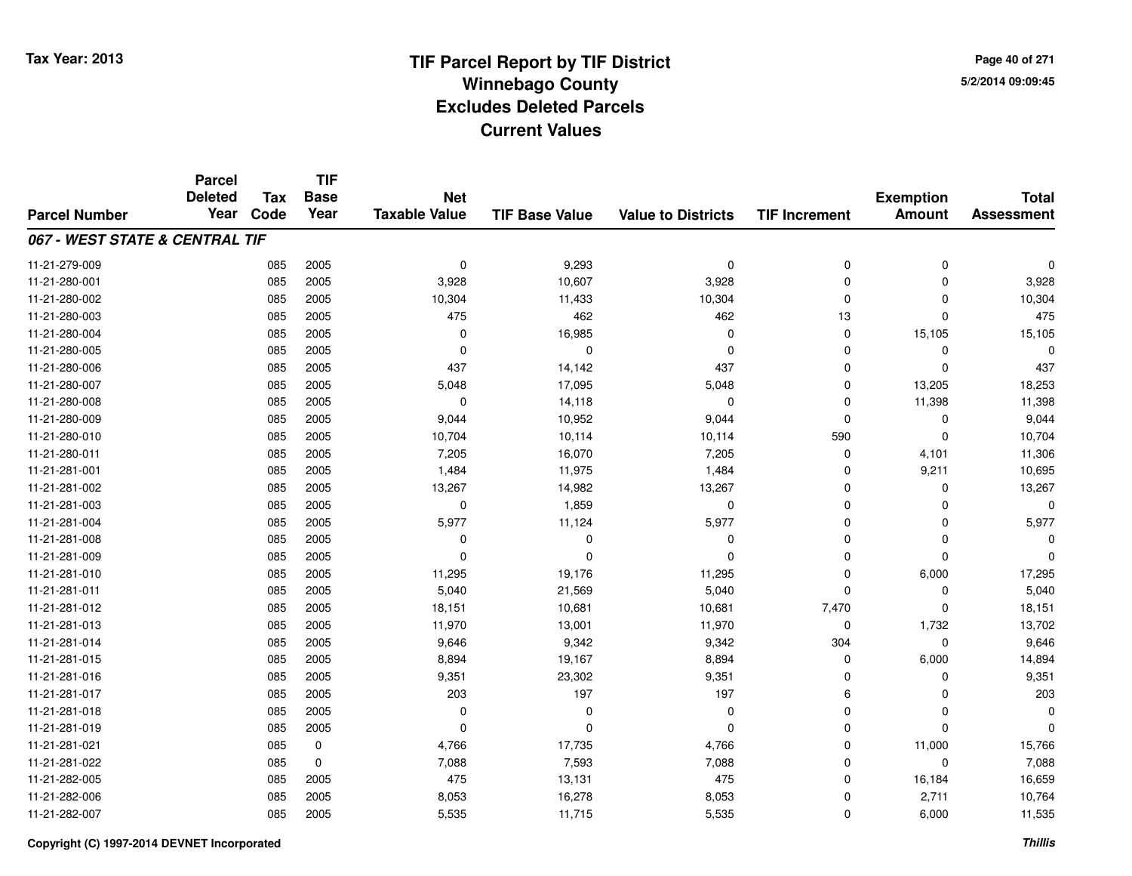**TIF**

**Parcel**

**Page 40 of 2715/2/2014 09:09:45**

#### **TIF Base ValueParcel NumberTotal AssessmentExemption Amount Value to Districts TIF Increment Base YearTax Code Deleted YearNet Taxable Value067 - WEST STATE & CENTRAL TIF**11-21-279-0099 085 2005 0 9,293 0 0 0 0 11-21-280-0011 085 2005 3,928 10,607 3,928 0 0 3,928 11-21-280-0022 085 2005 10,304 11,433 10,304 10,304 0 0 0 10,304 11-21-280-0033 085 2005 475 462 462 13 0 475 11-21-280-0044 085 2005 0 16,985 0 0 15,105 15,105 11-21-280-005 <sup>085</sup> <sup>0</sup> <sup>2005</sup> <sup>0</sup> <sup>0</sup> <sup>0</sup> <sup>0</sup> <sup>0</sup> 11-21-280-006 <sup>085</sup> <sup>437</sup> <sup>2005</sup> 14,142 <sup>437</sup> <sup>0</sup> <sup>0</sup> <sup>437</sup> 11-21-280-007 <sup>085</sup> 5,048 <sup>2005</sup> 17,095 5,048 <sup>0</sup> 13,205 18,253 11-21-280-008 <sup>085</sup> <sup>0</sup> <sup>2005</sup> 14,118 <sup>0</sup> <sup>0</sup> 11,398 11,398 11-21-280-009 <sup>085</sup> 9,044 <sup>2005</sup> 10,952 9,044 <sup>0</sup> <sup>0</sup> 9,044 11-21-280-010 <sup>085</sup> 10,704 <sup>2005</sup> 10,114 10,114 <sup>590</sup> <sup>0</sup> 10,704 11-21-280-0111 085 2005 7,205 16,070 7,205 0 4,101 11,306 11-21-281-0011 085 2005 1,484 11,975 1,484 0 9,211 10,695 11-21-281-0022 085 2005 13,267 14,982 13,267 0 0 13,267 11-21-281-0033 085 2005 0 1,859 0 0 0 0 11-21-281-004 <sup>085</sup> 5,977 <sup>2005</sup> 11,124 5,977 <sup>0</sup> <sup>0</sup> 5,977 11-21-281-008 <sup>085</sup> <sup>0</sup> <sup>2005</sup> <sup>0</sup> <sup>0</sup> <sup>0</sup> <sup>0</sup> <sup>0</sup> 11-21-281-009 <sup>085</sup> <sup>0</sup> <sup>2005</sup> <sup>0</sup> <sup>0</sup> <sup>0</sup> <sup>0</sup> <sup>0</sup> 11-21-281-010 <sup>085</sup> 11,295 <sup>2005</sup> 19,176 11,295 <sup>0</sup> 6,000 17,295 11-21-281-0111 085 2005 5,040 21,569 5,040 0 0 5,040 11-21-281-0122 085 2005 18,151 10,681 10,681 7,470 0 18,151 11-21-281-013 <sup>085</sup> 11,970 <sup>2005</sup> 13,001 11,970 <sup>0</sup> 1,732 13,702 11-21-281-014 <sup>085</sup> 9,646 <sup>2005</sup> 9,342 9,342 <sup>304</sup> <sup>0</sup> 9,646 11-21-281-015 <sup>085</sup> 8,894 <sup>2005</sup> 19,167 8,894 <sup>0</sup> 6,000 14,894 11-21-281-0166 085 2005 9,351 23,302 9,351 0 0 9,351 11-21-281-017 <sup>085</sup> <sup>203</sup> <sup>2005</sup> <sup>197</sup> <sup>197</sup> <sup>6</sup> <sup>0</sup> <sup>203</sup> 11-21-281-018 <sup>085</sup> <sup>0</sup> <sup>2005</sup> <sup>0</sup> <sup>0</sup> <sup>0</sup> <sup>0</sup> <sup>0</sup> 11-21-281-019 <sup>085</sup> <sup>0</sup> <sup>2005</sup> <sup>0</sup> <sup>0</sup> <sup>0</sup> <sup>0</sup> <sup>0</sup> 11-21-281-0211 085 0 4,766 17,735 4,766 0 11,000 15,766 11-21-281-0222 085 0 7,088 7,593 7,088 0 0 7,088 11-21-282-005 <sup>085</sup> <sup>475</sup> <sup>2005</sup> 13,131 <sup>475</sup> <sup>0</sup> 16,184 16,659 11-21-282-006 <sup>085</sup> 8,053 <sup>2005</sup> 16,278 8,053 <sup>0</sup> 2,711 10,764 11-21-282-007<sup>085</sup> 5,535 <sup>2005</sup> 11,715 5,535 <sup>0</sup> 6,000 11,535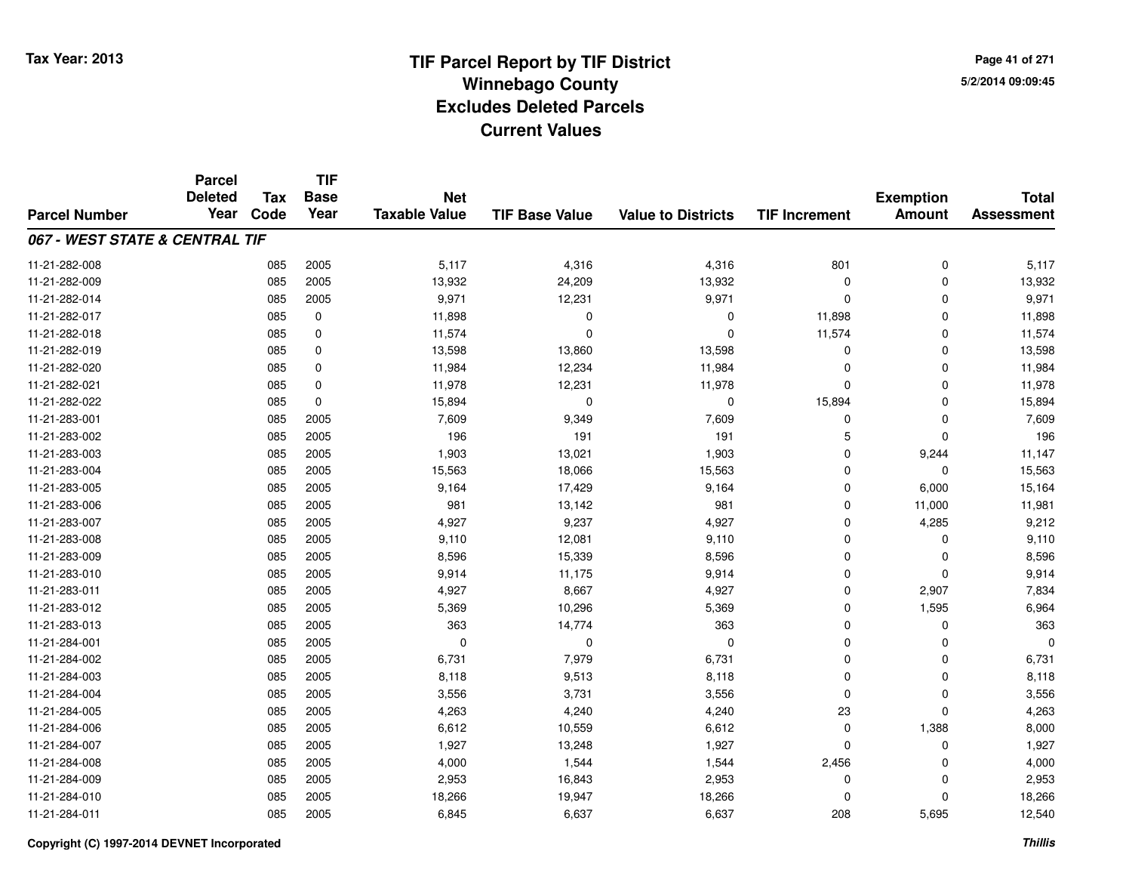**TIF**

**Parcel**

**Page 41 of 2715/2/2014 09:09:45**

#### **TIF Base ValueParcel NumberTotal AssessmentExemption Amount Value to Districts TIF Increment Base YearTax Code Deleted YearNet Taxable Value067 - WEST STATE & CENTRAL TIF**11-21-282-008 <sup>085</sup> 5,117 <sup>2005</sup> 4,316 4,316 <sup>801</sup> <sup>0</sup> 5,117 11-21-282-0099 085 2005 13,932 24,209 13,932 0 0 13,932 11-21-282-014 <sup>085</sup> 9,971 <sup>2005</sup> 12,231 9,971 <sup>0</sup> <sup>0</sup> 9,971 11-21-282-0177 085 0 11,898 0 0 11,898 0 11,898 11-21-282-018 <sup>085</sup> 11,574 <sup>0</sup> <sup>0</sup> <sup>0</sup> 11,574 <sup>0</sup> 11,574 11-21-282-0199 085 0 13,598 13,860 13,598 0 13,598 11-21-282-0200 085 0 11,984 12,234 11,984 0 0 11,984 11-21-282-0211 085 0 11,978 12,231 11,978 0 11,978 11-21-282-022 <sup>085</sup> 15,894 <sup>0</sup> <sup>0</sup> <sup>0</sup> 15,894 <sup>0</sup> 15,894 11-21-283-0011 085 2005 7,609 9,349 7,609 0 7,609 11-21-283-002 <sup>085</sup> <sup>196</sup> <sup>2005</sup> <sup>191</sup> <sup>191</sup> <sup>5</sup> <sup>0</sup> <sup>196</sup> 11-21-283-0033 085 2005 1,903 13,021 1,903 0 9,244 11,147 11-21-283-0044 085 2005 15,563 18,066 15,563 0 15,563 11-21-283-005 <sup>085</sup> 9,164 <sup>2005</sup> 17,429 9,164 <sup>0</sup> 6,000 15,164 11-21-283-006 <sup>085</sup> <sup>981</sup> <sup>2005</sup> 13,142 <sup>981</sup> <sup>0</sup> 11,000 11,981 11-21-283-007 <sup>085</sup> 4,927 <sup>2005</sup> 9,237 4,927 <sup>0</sup> 4,285 9,212 11-21-283-008 <sup>085</sup> 9,110 <sup>2005</sup> 12,081 9,110 <sup>0</sup> <sup>0</sup> 9,110 11-21-283-0099 085 2005 8,596 15,339 8,596 0 0 8,596 11-21-283-010 <sup>085</sup> 9,914 <sup>2005</sup> 11,175 9,914 <sup>0</sup> <sup>0</sup> 9,914 11-21-283-0111 085 2005 4,927 8,667 4,927 0 2,907 7,834 11-21-283-0122 085 2005 5,369 10,296 5,369 0 1,595 6,964 11-21-283-0133 085 2005 363 14,774 363 0 0 363 11-21-284-001 <sup>085</sup> <sup>0</sup> <sup>2005</sup> <sup>0</sup> <sup>0</sup> <sup>0</sup> <sup>0</sup> <sup>0</sup> 11-21-284-0022 085 2005 6,731 7,979 6,731 0 0 6,731 11-21-284-003 <sup>085</sup> 8,118 <sup>2005</sup> 9,513 8,118 <sup>0</sup> <sup>0</sup> 8,118 11-21-284-004 <sup>085</sup> 3,556 <sup>2005</sup> 3,731 3,556 <sup>0</sup> <sup>0</sup> 3,556 11-21-284-005 <sup>085</sup> 4,263 <sup>2005</sup> 4,240 4,240 <sup>23</sup> <sup>0</sup> 4,263 11-21-284-0066 085 2005 6,612 10,559 6,612 0 1,388 8,000 11-21-284-0077 085 2005 1,927 13,248 1,927 0 0 1,927 11-21-284-008 <sup>085</sup> 4,000 <sup>2005</sup> 1,544 1,544 2,456 <sup>0</sup> 4,000 11-21-284-0099 085 2005 2,953 16,843 2,953 0 2,953 11-21-284-0100 085 2005 18,266 19,947 18,266 0 0 18,266 11-21-284-0111 085 2005 6,845 6,637 6,637 208 5,695 12,540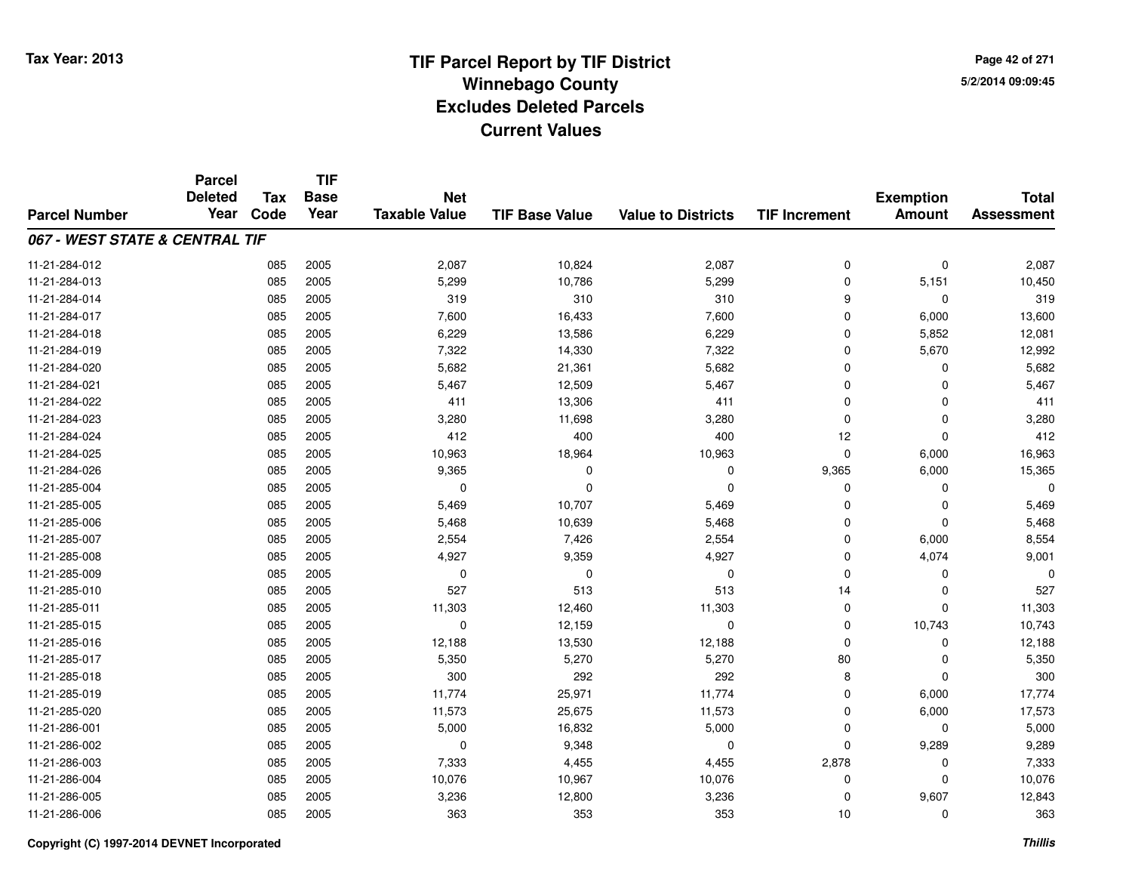**Page 42 of 2715/2/2014 09:09:45**

|                                | <b>Parcel</b><br><b>Deleted</b> | <b>Tax</b> | <b>TIF</b><br><b>Base</b> | <b>Net</b>           |                       |                           |                      | <b>Exemption</b> | <b>Total</b>      |
|--------------------------------|---------------------------------|------------|---------------------------|----------------------|-----------------------|---------------------------|----------------------|------------------|-------------------|
| <b>Parcel Number</b>           | Year                            | Code       | Year                      | <b>Taxable Value</b> | <b>TIF Base Value</b> | <b>Value to Districts</b> | <b>TIF Increment</b> | <b>Amount</b>    | <b>Assessment</b> |
| 067 - WEST STATE & CENTRAL TIF |                                 |            |                           |                      |                       |                           |                      |                  |                   |
| 11-21-284-012                  |                                 | 085        | 2005                      | 2,087                | 10,824                | 2,087                     | $\mathbf 0$          | $\mathbf 0$      | 2,087             |
| 11-21-284-013                  |                                 | 085        | 2005                      | 5,299                | 10,786                | 5,299                     | $\mathbf 0$          | 5,151            | 10,450            |
| 11-21-284-014                  |                                 | 085        | 2005                      | 319                  | 310                   | 310                       | 9                    | $\mathbf 0$      | 319               |
| 11-21-284-017                  |                                 | 085        | 2005                      | 7,600                | 16,433                | 7,600                     | 0                    | 6,000            | 13,600            |
| 11-21-284-018                  |                                 | 085        | 2005                      | 6,229                | 13,586                | 6,229                     | $\Omega$             | 5,852            | 12,081            |
| 11-21-284-019                  |                                 | 085        | 2005                      | 7,322                | 14,330                | 7,322                     | $\mathbf 0$          | 5,670            | 12,992            |
| 11-21-284-020                  |                                 | 085        | 2005                      | 5,682                | 21,361                | 5,682                     | $\Omega$             | $\mathbf 0$      | 5,682             |
| 11-21-284-021                  |                                 | 085        | 2005                      | 5,467                | 12,509                | 5,467                     | $\Omega$             | $\mathbf 0$      | 5,467             |
| 11-21-284-022                  |                                 | 085        | 2005                      | 411                  | 13,306                | 411                       | $\Omega$             | $\mathbf 0$      | 411               |
| 11-21-284-023                  |                                 | 085        | 2005                      | 3,280                | 11,698                | 3,280                     | $\Omega$             | $\mathbf 0$      | 3,280             |
| 11-21-284-024                  |                                 | 085        | 2005                      | 412                  | 400                   | 400                       | 12                   | $\Omega$         | 412               |
| 11-21-284-025                  |                                 | 085        | 2005                      | 10,963               | 18,964                | 10,963                    | $\mathbf 0$          | 6,000            | 16,963            |
| 11-21-284-026                  |                                 | 085        | 2005                      | 9,365                | $\Omega$              | $\mathbf 0$               | 9,365                | 6,000            | 15,365            |
| 11-21-285-004                  |                                 | 085        | 2005                      | 0                    | 0                     | 0                         | 0                    | 0                | O                 |
| 11-21-285-005                  |                                 | 085        | 2005                      | 5,469                | 10,707                | 5,469                     | $\Omega$             | $\mathbf 0$      | 5,469             |
| 11-21-285-006                  |                                 | 085        | 2005                      | 5,468                | 10,639                | 5,468                     | 0                    | $\mathbf 0$      | 5,468             |
| 11-21-285-007                  |                                 | 085        | 2005                      | 2,554                | 7,426                 | 2,554                     | $\Omega$             | 6,000            | 8,554             |
| 11-21-285-008                  |                                 | 085        | 2005                      | 4,927                | 9,359                 | 4,927                     | $\mathbf 0$          | 4,074            | 9,001             |
| 11-21-285-009                  |                                 | 085        | 2005                      | $\mathbf 0$          | $\mathbf 0$           | $\mathbf 0$               | $\Omega$             | 0                |                   |
| 11-21-285-010                  |                                 | 085        | 2005                      | 527                  | 513                   | 513                       | 14                   | 0                | 527               |
| 11-21-285-011                  |                                 | 085        | 2005                      | 11,303               | 12,460                | 11,303                    | $\mathbf 0$          | $\mathbf 0$      | 11,303            |
| 11-21-285-015                  |                                 | 085        | 2005                      | 0                    | 12,159                | 0                         | 0                    | 10,743           | 10,743            |
| 11-21-285-016                  |                                 | 085        | 2005                      | 12,188               | 13,530                | 12,188                    | $\Omega$             | $\mathbf 0$      | 12,188            |
| 11-21-285-017                  |                                 | 085        | 2005                      | 5,350                | 5,270                 | 5,270                     | 80                   | 0                | 5,350             |
| 11-21-285-018                  |                                 | 085        | 2005                      | 300                  | 292                   | 292                       | 8                    | $\mathbf 0$      | 300               |
| 11-21-285-019                  |                                 | 085        | 2005                      | 11,774               | 25,971                | 11,774                    | $\mathbf 0$          | 6,000            | 17,774            |
| 11-21-285-020                  |                                 | 085        | 2005                      | 11,573               | 25,675                | 11,573                    | $\Omega$             | 6,000            | 17,573            |
| 11-21-286-001                  |                                 | 085        | 2005                      | 5,000                | 16,832                | 5,000                     | 0                    | 0                | 5,000             |
| 11-21-286-002                  |                                 | 085        | 2005                      | 0                    | 9,348                 | $\mathbf 0$               | $\Omega$             | 9,289            | 9,289             |
| 11-21-286-003                  |                                 | 085        | 2005                      | 7,333                | 4,455                 | 4,455                     | 2,878                | 0                | 7,333             |
| 11-21-286-004                  |                                 | 085        | 2005                      | 10,076               | 10,967                | 10,076                    | 0                    | $\mathbf 0$      | 10,076            |
| 11-21-286-005                  |                                 | 085        | 2005                      | 3,236                | 12,800                | 3,236                     | $\Omega$             | 9,607            | 12,843            |
| 11-21-286-006                  |                                 | 085        | 2005                      | 363                  | 353                   | 353                       | 10                   | $\mathbf 0$      | 363               |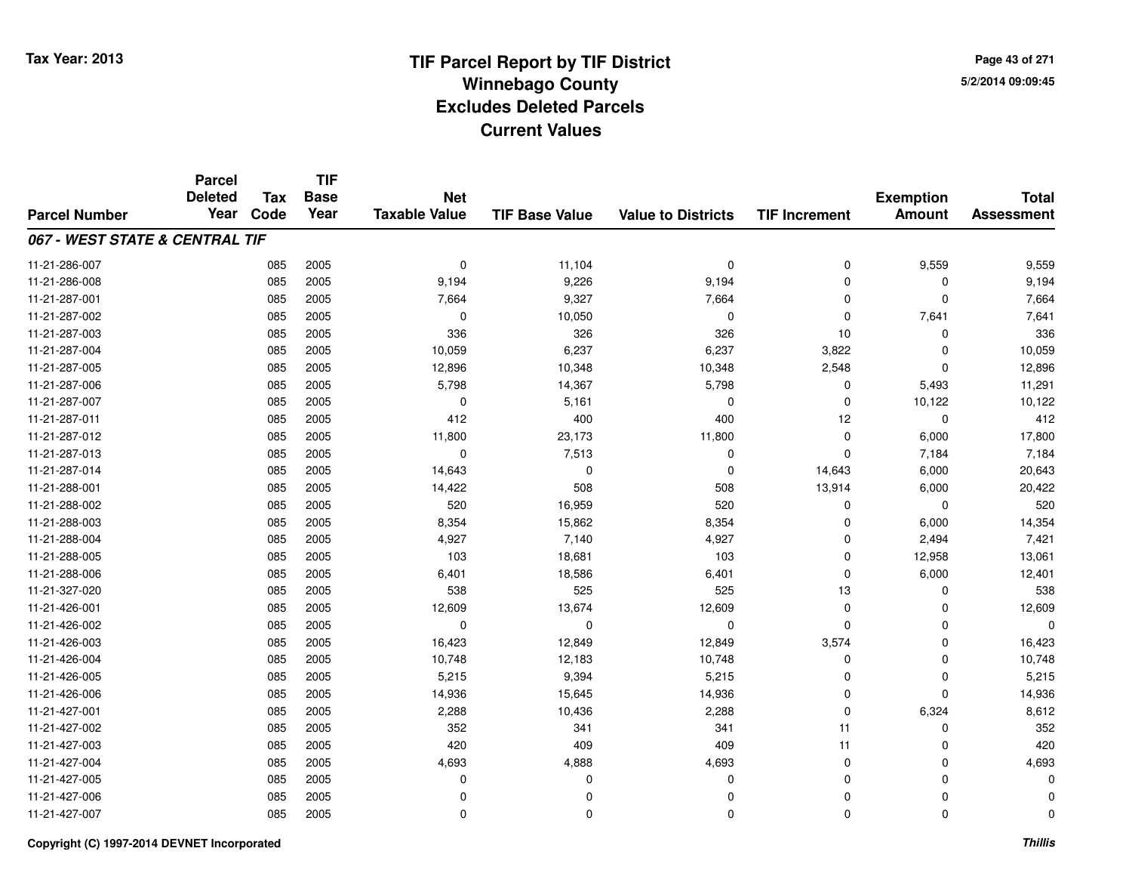**TIF**

**Parcel**

**Page 43 of 2715/2/2014 09:09:45**

#### **TIF Base ValueParcel NumberTotal AssessmentExemption Amount Value to Districts TIF Increment Base YearTax Code Deleted YearNet Taxable Value067 - WEST STATE & CENTRAL TIF**11-21-286-007 <sup>085</sup> <sup>0</sup> <sup>2005</sup> 11,104 <sup>0</sup> <sup>0</sup> 9,559 9,559 11-21-286-008 <sup>085</sup> 9,194 <sup>2005</sup> 9,226 9,194 <sup>0</sup> <sup>0</sup> 9,194 11-21-287-0011 085 2005 7,664 9,327 7,664 0 7,664 11-21-287-0022 085 2005 0 10,050 0 7,641 7,641 11-21-287-003 <sup>085</sup> <sup>336</sup> <sup>2005</sup> <sup>326</sup> <sup>326</sup> <sup>10</sup> <sup>0</sup> <sup>336</sup> 11-21-287-004 <sup>085</sup> 10,059 <sup>2005</sup> 6,237 6,237 3,822 <sup>0</sup> 10,059 11-21-287-005 <sup>085</sup> 12,896 <sup>2005</sup> 10,348 10,348 2,548 <sup>0</sup> 12,896 11-21-287-006 <sup>085</sup> 5,798 <sup>2005</sup> 14,367 5,798 <sup>0</sup> 5,493 11,291 11-21-287-0077 085 2005 0 5,161 0 0 10,122 10,122 11-21-287-0111 085 2005 412 400 400 12 0 412 11-21-287-012 <sup>085</sup> 11,800 <sup>2005</sup> 23,173 11,800 <sup>0</sup> 6,000 17,800 11-21-287-0133 085 2005 0 7,513 0 7,184 7,184 11-21-287-014 <sup>085</sup> 14,643 <sup>2005</sup> <sup>0</sup> <sup>0</sup> 14,643 6,000 20,643 11-21-288-0011 085 2005 14,422 508 508 13,914 6,000 20,422 11-21-288-0022 085 2005 520 16,959 520 0 0 520 11-21-288-0033 085 2005 8,354 15,862 8,354 0 6,000 14,354 11-21-288-0044 085 2005 4,927 7,140 4,927 0 2,494 7,421 11-21-288-0055 085 2005 103 18,681 103 0 12,958 13,061 11-21-288-006 <sup>085</sup> 6,401 <sup>2005</sup> 18,586 6,401 <sup>0</sup> 6,000 12,401 11-21-327-0200 085 2005 538 525 525 13 0 538 11-21-426-0011 085 2005 12,609 13,674 12,609 0 0 12,609 11-21-426-002 <sup>085</sup> <sup>0</sup> <sup>2005</sup> <sup>0</sup> <sup>0</sup> <sup>0</sup> <sup>0</sup> <sup>0</sup> 11-21-426-0033 085 2005 16,423 12,849 1,849 3,574 0 16,423 11-21-426-004 <sup>085</sup> 10,748 <sup>2005</sup> 12,183 10,748 <sup>0</sup> <sup>0</sup> 10,748 11-21-426-0055 085 2005 5,215 9,394 5,215 0 0 5,215 11-21-426-0066 085 2005 14,936 15,645 14,936 0 0 14,936 11-21-427-0011 085 2005 2,288 10,436 2,288 0 6,324 8,612 11-21-427-002 <sup>085</sup> <sup>352</sup> <sup>2005</sup> <sup>341</sup> <sup>341</sup> <sup>11</sup> <sup>0</sup> <sup>352</sup> 11-21-427-003 <sup>085</sup> <sup>420</sup> <sup>2005</sup> <sup>409</sup> <sup>409</sup> <sup>11</sup> <sup>0</sup> <sup>420</sup> 11-21-427-0044 085 2005 4,693 4,888 4,693 0 4,693 11-21-427-005 <sup>085</sup> <sup>0</sup> <sup>2005</sup> <sup>0</sup> <sup>0</sup> <sup>0</sup> <sup>0</sup> <sup>0</sup> 11-21-427-006 <sup>085</sup> <sup>0</sup> <sup>2005</sup> <sup>0</sup> <sup>0</sup> <sup>0</sup> <sup>0</sup> <sup>0</sup> 11-21-427-007<sup>085</sup> <sup>0</sup> <sup>2005</sup> <sup>0</sup> <sup>0</sup> <sup>0</sup> <sup>0</sup> <sup>0</sup>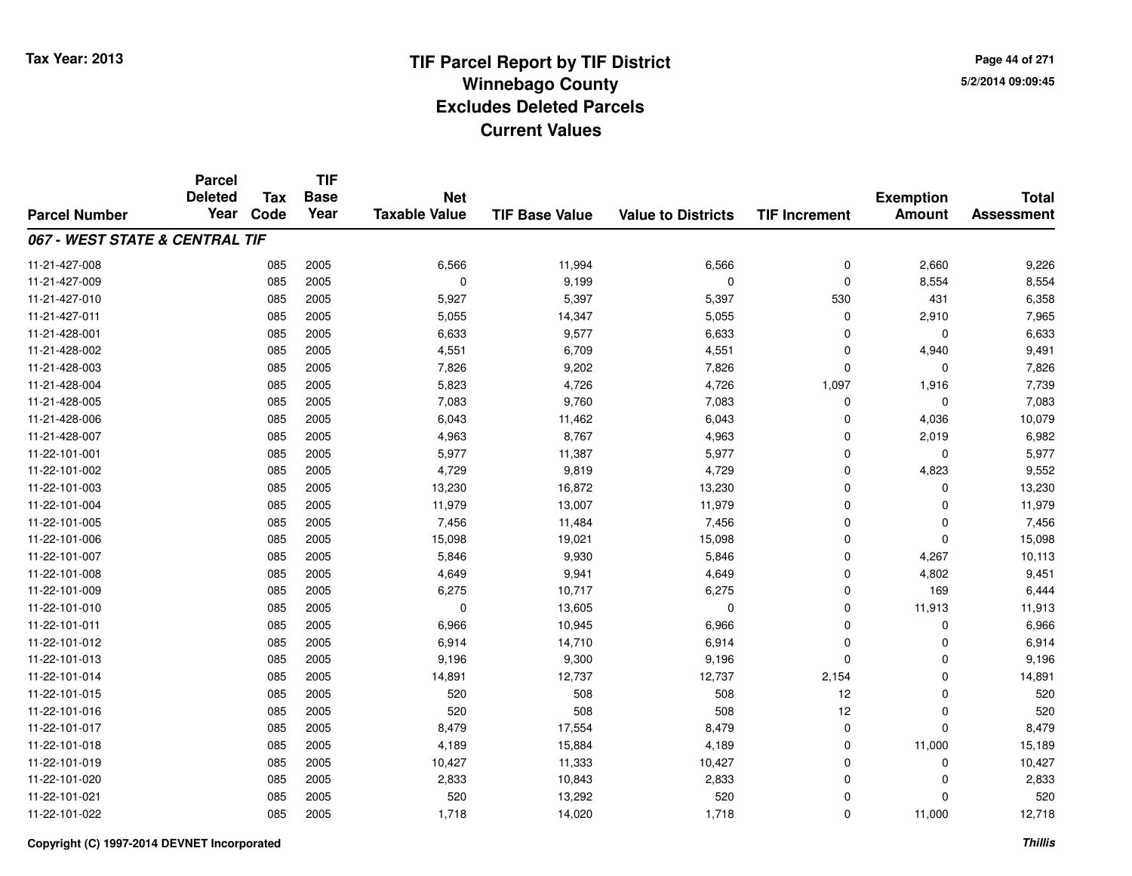**Page 44 of 2715/2/2014 09:09:45**

|                                | <b>Parcel</b><br><b>Deleted</b> | <b>Tax</b> | <b>TIF</b><br><b>Base</b> | <b>Net</b>           |                       |                           |                      | <b>Exemption</b> | <b>Total</b>      |
|--------------------------------|---------------------------------|------------|---------------------------|----------------------|-----------------------|---------------------------|----------------------|------------------|-------------------|
| <b>Parcel Number</b>           | Year                            | Code       | Year                      | <b>Taxable Value</b> | <b>TIF Base Value</b> | <b>Value to Districts</b> | <b>TIF Increment</b> | <b>Amount</b>    | <b>Assessment</b> |
| 067 - WEST STATE & CENTRAL TIF |                                 |            |                           |                      |                       |                           |                      |                  |                   |
| 11-21-427-008                  |                                 | 085        | 2005                      | 6,566                | 11,994                | 6,566                     | $\mathbf 0$          | 2,660            | 9,226             |
| 11-21-427-009                  |                                 | 085        | 2005                      | $\mathbf 0$          | 9,199                 | $\pmb{0}$                 | $\mathbf 0$          | 8,554            | 8,554             |
| 11-21-427-010                  |                                 | 085        | 2005                      | 5,927                | 5,397                 | 5,397                     | 530                  | 431              | 6,358             |
| 11-21-427-011                  |                                 | 085        | 2005                      | 5,055                | 14,347                | 5,055                     | 0                    | 2,910            | 7,965             |
| 11-21-428-001                  |                                 | 085        | 2005                      | 6,633                | 9,577                 | 6,633                     | $\Omega$             | $\mathbf 0$      | 6,633             |
| 11-21-428-002                  |                                 | 085        | 2005                      | 4,551                | 6,709                 | 4,551                     | 0                    | 4,940            | 9,491             |
| 11-21-428-003                  |                                 | 085        | 2005                      | 7,826                | 9,202                 | 7,826                     | $\Omega$             | $\mathbf 0$      | 7,826             |
| 11-21-428-004                  |                                 | 085        | 2005                      | 5,823                | 4,726                 | 4,726                     | 1,097                | 1,916            | 7,739             |
| 11-21-428-005                  |                                 | 085        | 2005                      | 7,083                | 9,760                 | 7,083                     | $\mathbf 0$          | $\mathbf 0$      | 7,083             |
| 11-21-428-006                  |                                 | 085        | 2005                      | 6,043                | 11,462                | 6,043                     | $\Omega$             | 4,036            | 10,079            |
| 11-21-428-007                  |                                 | 085        | 2005                      | 4,963                | 8,767                 | 4,963                     | $\Omega$             | 2,019            | 6,982             |
| 11-22-101-001                  |                                 | 085        | 2005                      | 5,977                | 11,387                | 5,977                     | $\mathbf 0$          | 0                | 5,977             |
| 11-22-101-002                  |                                 | 085        | 2005                      | 4,729                | 9,819                 | 4,729                     | $\mathbf 0$          | 4,823            | 9,552             |
| 11-22-101-003                  |                                 | 085        | 2005                      | 13,230               | 16,872                | 13,230                    | 0                    | 0                | 13,230            |
| 11-22-101-004                  |                                 | 085        | 2005                      | 11,979               | 13,007                | 11,979                    | $\Omega$             | $\mathbf 0$      | 11,979            |
| 11-22-101-005                  |                                 | 085        | 2005                      | 7,456                | 11,484                | 7,456                     | 0                    | 0                | 7,456             |
| 11-22-101-006                  |                                 | 085        | 2005                      | 15,098               | 19,021                | 15,098                    | $\Omega$             | $\mathbf 0$      | 15,098            |
| 11-22-101-007                  |                                 | 085        | 2005                      | 5,846                | 9,930                 | 5,846                     | $\mathbf 0$          | 4,267            | 10,113            |
| 11-22-101-008                  |                                 | 085        | 2005                      | 4,649                | 9,941                 | 4,649                     | $\mathbf 0$          | 4,802            | 9,451             |
| 11-22-101-009                  |                                 | 085        | 2005                      | 6,275                | 10,717                | 6,275                     | $\mathbf 0$          | 169              | 6,444             |
| 11-22-101-010                  |                                 | 085        | 2005                      | $\mathbf 0$          | 13,605                | 0                         | $\mathbf 0$          | 11,913           | 11,913            |
| 11-22-101-011                  |                                 | 085        | 2005                      | 6,966                | 10,945                | 6,966                     | $\mathbf 0$          | 0                | 6,966             |
| 11-22-101-012                  |                                 | 085        | 2005                      | 6,914                | 14,710                | 6,914                     | $\mathbf 0$          | $\mathbf 0$      | 6,914             |
| 11-22-101-013                  |                                 | 085        | 2005                      | 9,196                | 9,300                 | 9,196                     | $\mathbf 0$          | $\mathbf 0$      | 9,196             |
| 11-22-101-014                  |                                 | 085        | 2005                      | 14,891               | 12,737                | 12,737                    | 2,154                | $\mathbf 0$      | 14,891            |
| 11-22-101-015                  |                                 | 085        | 2005                      | 520                  | 508                   | 508                       | 12                   | $\mathbf 0$      | 520               |
| 11-22-101-016                  |                                 | 085        | 2005                      | 520                  | 508                   | 508                       | 12                   | $\mathbf 0$      | 520               |
| 11-22-101-017                  |                                 | 085        | 2005                      | 8,479                | 17,554                | 8,479                     | $\mathbf 0$          | $\mathbf 0$      | 8,479             |
| 11-22-101-018                  |                                 | 085        | 2005                      | 4,189                | 15,884                | 4,189                     | $\mathbf 0$          | 11,000           | 15,189            |
| 11-22-101-019                  |                                 | 085        | 2005                      | 10,427               | 11,333                | 10,427                    | 0                    | 0                | 10,427            |
| 11-22-101-020                  |                                 | 085        | 2005                      | 2,833                | 10,843                | 2,833                     | $\Omega$             | $\mathbf 0$      | 2,833             |
| 11-22-101-021                  |                                 | 085        | 2005                      | 520                  | 13,292                | 520                       | 0                    | $\mathbf 0$      | 520               |
| 11-22-101-022                  |                                 | 085        | 2005                      | 1,718                | 14,020                | 1,718                     | $\Omega$             | 11,000           | 12,718            |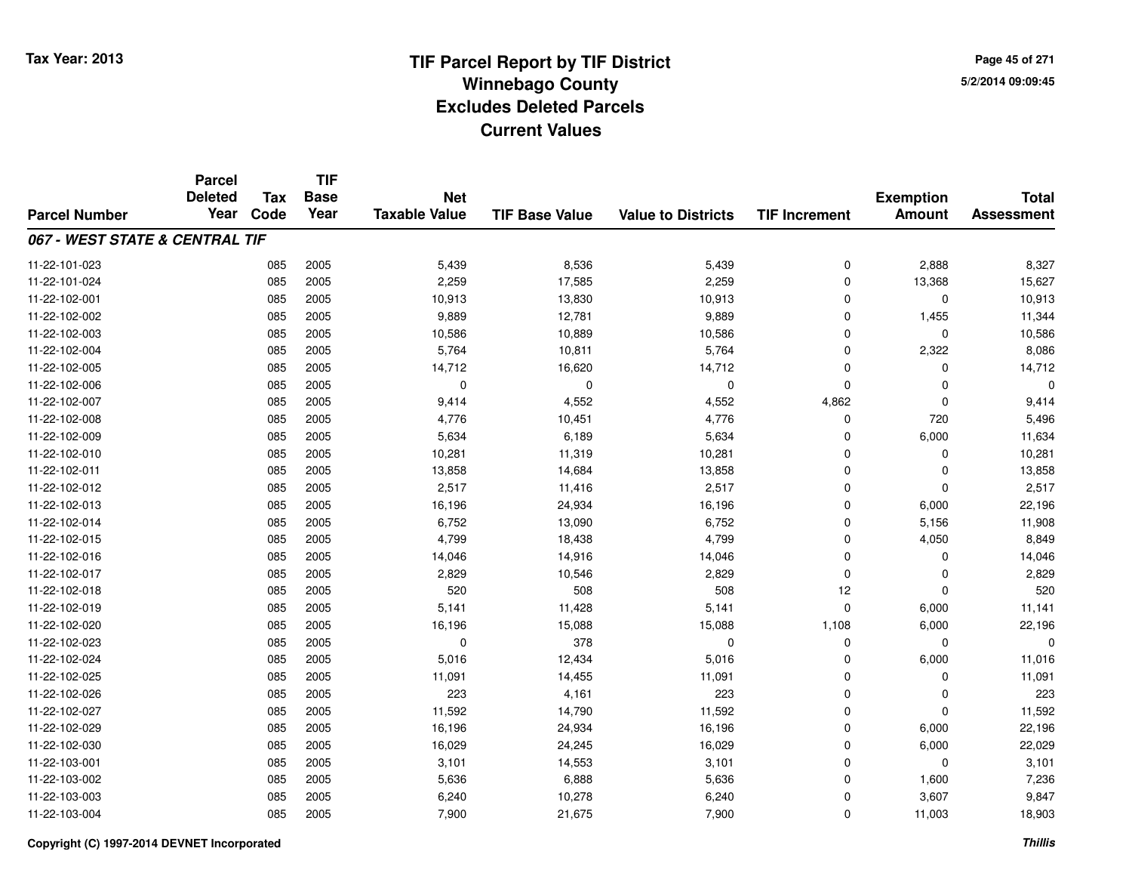**Page 45 of 2715/2/2014 09:09:45**

|                                | <b>Parcel</b><br><b>Deleted</b> | <b>Tax</b> | <b>TIF</b><br><b>Base</b> | <b>Net</b>           |                       |                           |                      | <b>Exemption</b> | <b>Total</b>      |
|--------------------------------|---------------------------------|------------|---------------------------|----------------------|-----------------------|---------------------------|----------------------|------------------|-------------------|
| <b>Parcel Number</b>           | Year                            | Code       | Year                      | <b>Taxable Value</b> | <b>TIF Base Value</b> | <b>Value to Districts</b> | <b>TIF Increment</b> | <b>Amount</b>    | <b>Assessment</b> |
| 067 - WEST STATE & CENTRAL TIF |                                 |            |                           |                      |                       |                           |                      |                  |                   |
| 11-22-101-023                  |                                 | 085        | 2005                      | 5,439                | 8,536                 | 5,439                     | $\mathbf 0$          | 2,888            | 8,327             |
| 11-22-101-024                  |                                 | 085        | 2005                      | 2,259                | 17,585                | 2,259                     | $\mathbf 0$          | 13,368           | 15,627            |
| 11-22-102-001                  |                                 | 085        | 2005                      | 10,913               | 13,830                | 10,913                    | $\mathbf 0$          | $\mathbf 0$      | 10,913            |
| 11-22-102-002                  |                                 | 085        | 2005                      | 9,889                | 12,781                | 9,889                     | $\mathbf 0$          | 1,455            | 11,344            |
| 11-22-102-003                  |                                 | 085        | 2005                      | 10,586               | 10,889                | 10,586                    | $\mathbf 0$          | $\mathbf 0$      | 10,586            |
| 11-22-102-004                  |                                 | 085        | 2005                      | 5,764                | 10,811                | 5,764                     | $\mathbf 0$          | 2,322            | 8,086             |
| 11-22-102-005                  |                                 | 085        | 2005                      | 14,712               | 16,620                | 14,712                    | $\Omega$             | $\mathbf 0$      | 14,712            |
| 11-22-102-006                  |                                 | 085        | 2005                      | $\mathbf 0$          | $\mathbf 0$           | $\mathbf 0$               | $\mathbf 0$          | 0                |                   |
| 11-22-102-007                  |                                 | 085        | 2005                      | 9,414                | 4,552                 | 4,552                     | 4,862                | $\mathbf 0$      | 9,414             |
| 11-22-102-008                  |                                 | 085        | 2005                      | 4,776                | 10,451                | 4,776                     | $\mathbf 0$          | 720              | 5,496             |
| 11-22-102-009                  |                                 | 085        | 2005                      | 5,634                | 6,189                 | 5,634                     | $\Omega$             | 6,000            | 11,634            |
| 11-22-102-010                  |                                 | 085        | 2005                      | 10,281               | 11,319                | 10,281                    | 0                    | 0                | 10,281            |
| 11-22-102-011                  |                                 | 085        | 2005                      | 13,858               | 14,684                | 13,858                    | $\Omega$             | $\mathbf 0$      | 13,858            |
| 11-22-102-012                  |                                 | 085        | 2005                      | 2,517                | 11,416                | 2,517                     | 0                    | $\mathbf 0$      | 2,517             |
| 11-22-102-013                  |                                 | 085        | 2005                      | 16,196               | 24,934                | 16,196                    | $\mathbf 0$          | 6,000            | 22,196            |
| 11-22-102-014                  |                                 | 085        | 2005                      | 6,752                | 13,090                | 6,752                     | $\mathbf 0$          | 5,156            | 11,908            |
| 11-22-102-015                  |                                 | 085        | 2005                      | 4,799                | 18,438                | 4,799                     | $\Omega$             | 4,050            | 8,849             |
| 11-22-102-016                  |                                 | 085        | 2005                      | 14,046               | 14,916                | 14,046                    | $\mathbf 0$          | 0                | 14,046            |
| 11-22-102-017                  |                                 | 085        | 2005                      | 2,829                | 10,546                | 2,829                     | $\Omega$             | $\mathbf 0$      | 2,829             |
| 11-22-102-018                  |                                 | 085        | 2005                      | 520                  | 508                   | 508                       | 12                   | $\mathbf 0$      | 520               |
| 11-22-102-019                  |                                 | 085        | 2005                      | 5,141                | 11,428                | 5,141                     | $\mathbf 0$          | 6,000            | 11,141            |
| 11-22-102-020                  |                                 | 085        | 2005                      | 16,196               | 15,088                | 15,088                    | 1,108                | 6,000            | 22,196            |
| 11-22-102-023                  |                                 | 085        | 2005                      | $\mathbf 0$          | 378                   | $\mathbf 0$               | $\mathbf 0$          | $\mathbf 0$      | $\Omega$          |
| 11-22-102-024                  |                                 | 085        | 2005                      | 5,016                | 12,434                | 5,016                     | $\mathbf 0$          | 6,000            | 11,016            |
| 11-22-102-025                  |                                 | 085        | 2005                      | 11,091               | 14,455                | 11,091                    | $\mathbf 0$          | $\mathbf 0$      | 11,091            |
| 11-22-102-026                  |                                 | 085        | 2005                      | 223                  | 4,161                 | 223                       | $\mathbf 0$          | $\mathbf 0$      | 223               |
| 11-22-102-027                  |                                 | 085        | 2005                      | 11,592               | 14,790                | 11,592                    | $\mathbf 0$          | $\mathbf 0$      | 11,592            |
| 11-22-102-029                  |                                 | 085        | 2005                      | 16,196               | 24,934                | 16,196                    | $\mathbf 0$          | 6,000            | 22,196            |
| 11-22-102-030                  |                                 | 085        | 2005                      | 16,029               | 24,245                | 16,029                    | $\mathbf 0$          | 6,000            | 22,029            |
| 11-22-103-001                  |                                 | 085        | 2005                      | 3,101                | 14,553                | 3,101                     | 0                    | 0                | 3,101             |
| 11-22-103-002                  |                                 | 085        | 2005                      | 5,636                | 6,888                 | 5,636                     | $\Omega$             | 1,600            | 7,236             |
| 11-22-103-003                  |                                 | 085        | 2005                      | 6,240                | 10,278                | 6,240                     | 0                    | 3,607            | 9,847             |
| 11-22-103-004                  |                                 | 085        | 2005                      | 7,900                | 21,675                | 7,900                     | $\Omega$             | 11,003           | 18,903            |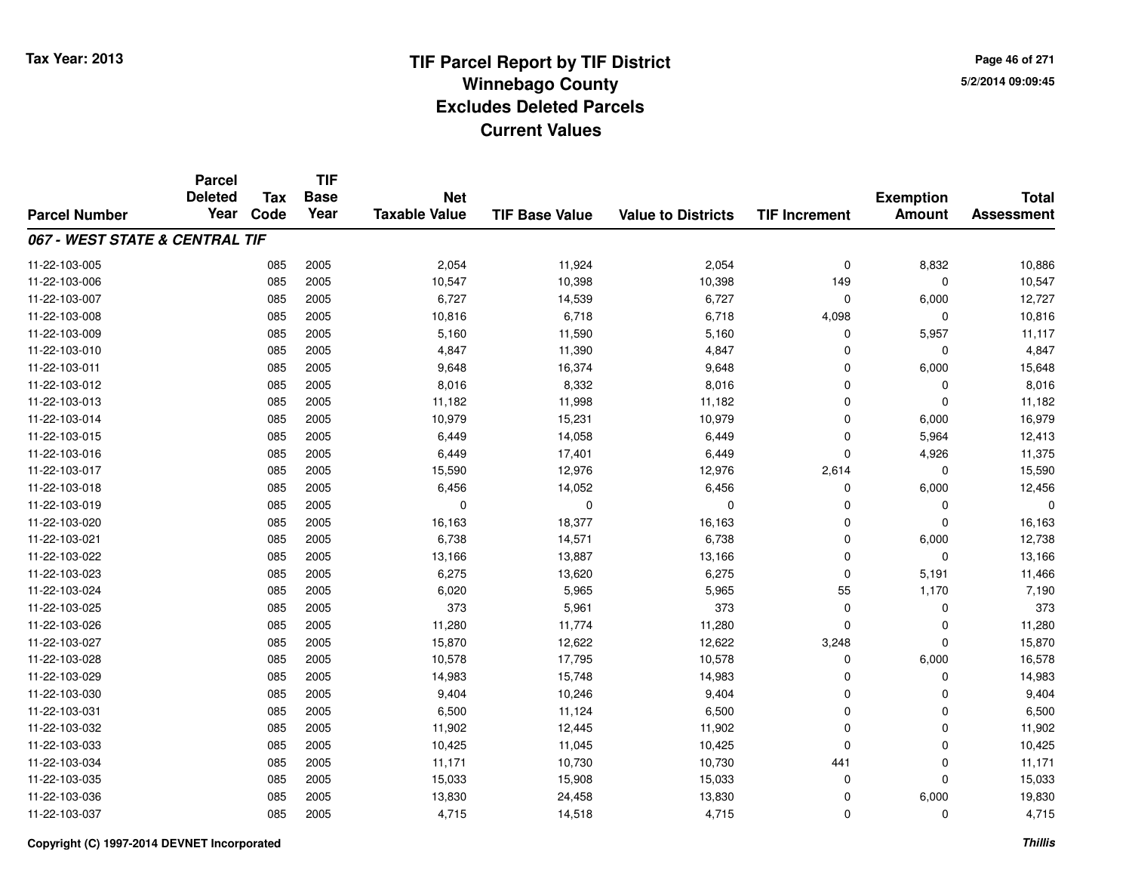**Page 46 of 2715/2/2014 09:09:45**

|                                | <b>Parcel</b><br><b>Deleted</b> | <b>Tax</b> | <b>TIF</b><br><b>Base</b> | <b>Net</b>           |                       |                           |                      | <b>Exemption</b> | <b>Total</b>      |
|--------------------------------|---------------------------------|------------|---------------------------|----------------------|-----------------------|---------------------------|----------------------|------------------|-------------------|
| <b>Parcel Number</b>           | Year                            | Code       | Year                      | <b>Taxable Value</b> | <b>TIF Base Value</b> | <b>Value to Districts</b> | <b>TIF Increment</b> | <b>Amount</b>    | <b>Assessment</b> |
| 067 - WEST STATE & CENTRAL TIF |                                 |            |                           |                      |                       |                           |                      |                  |                   |
| 11-22-103-005                  |                                 | 085        | 2005                      | 2,054                | 11,924                | 2,054                     | $\mathbf 0$          | 8,832            | 10,886            |
| 11-22-103-006                  |                                 | 085        | 2005                      | 10,547               | 10,398                | 10,398                    | 149                  | $\mathbf 0$      | 10,547            |
| 11-22-103-007                  |                                 | 085        | 2005                      | 6,727                | 14,539                | 6,727                     | $\mathbf 0$          | 6,000            | 12,727            |
| 11-22-103-008                  |                                 | 085        | 2005                      | 10,816               | 6,718                 | 6,718                     | 4,098                | 0                | 10,816            |
| 11-22-103-009                  |                                 | 085        | 2005                      | 5,160                | 11,590                | 5,160                     | 0                    | 5,957            | 11,117            |
| 11-22-103-010                  |                                 | 085        | 2005                      | 4,847                | 11,390                | 4,847                     | 0                    | $\mathbf 0$      | 4,847             |
| 11-22-103-011                  |                                 | 085        | 2005                      | 9,648                | 16,374                | 9,648                     | $\Omega$             | 6,000            | 15,648            |
| 11-22-103-012                  |                                 | 085        | 2005                      | 8,016                | 8,332                 | 8,016                     | $\mathbf 0$          | 0                | 8,016             |
| 11-22-103-013                  |                                 | 085        | 2005                      | 11,182               | 11,998                | 11,182                    | $\Omega$             | $\mathbf 0$      | 11,182            |
| 11-22-103-014                  |                                 | 085        | 2005                      | 10,979               | 15,231                | 10,979                    | $\Omega$             | 6,000            | 16,979            |
| 11-22-103-015                  |                                 | 085        | 2005                      | 6,449                | 14,058                | 6,449                     | $\Omega$             | 5,964            | 12,413            |
| 11-22-103-016                  |                                 | 085        | 2005                      | 6,449                | 17,401                | 6,449                     | $\Omega$             | 4,926            | 11,375            |
| 11-22-103-017                  |                                 | 085        | 2005                      | 15,590               | 12,976                | 12,976                    | 2,614                | $\mathbf 0$      | 15,590            |
| 11-22-103-018                  |                                 | 085        | 2005                      | 6,456                | 14,052                | 6,456                     | 0                    | 6,000            | 12,456            |
| 11-22-103-019                  |                                 | 085        | 2005                      | 0                    | $\mathbf 0$           | 0                         | $\Omega$             | $\mathbf 0$      | O                 |
| 11-22-103-020                  |                                 | 085        | 2005                      | 16,163               | 18,377                | 16,163                    | 0                    | 0                | 16,163            |
| 11-22-103-021                  |                                 | 085        | 2005                      | 6,738                | 14,571                | 6,738                     | $\Omega$             | 6,000            | 12,738            |
| 11-22-103-022                  |                                 | 085        | 2005                      | 13,166               | 13,887                | 13,166                    | $\mathbf 0$          | $\mathbf 0$      | 13,166            |
| 11-22-103-023                  |                                 | 085        | 2005                      | 6,275                | 13,620                | 6,275                     | $\mathbf 0$          | 5,191            | 11,466            |
| 11-22-103-024                  |                                 | 085        | 2005                      | 6,020                | 5,965                 | 5,965                     | 55                   | 1,170            | 7,190             |
| 11-22-103-025                  |                                 | 085        | 2005                      | 373                  | 5,961                 | 373                       | $\mathbf 0$          | $\mathbf 0$      | 373               |
| 11-22-103-026                  |                                 | 085        | 2005                      | 11,280               | 11,774                | 11,280                    | 0                    | 0                | 11,280            |
| 11-22-103-027                  |                                 | 085        | 2005                      | 15,870               | 12,622                | 12,622                    | 3,248                | $\mathbf 0$      | 15,870            |
| 11-22-103-028                  |                                 | 085        | 2005                      | 10,578               | 17,795                | 10,578                    | 0                    | 6,000            | 16,578            |
| 11-22-103-029                  |                                 | 085        | 2005                      | 14,983               | 15,748                | 14,983                    | $\mathbf 0$          | $\mathbf 0$      | 14,983            |
| 11-22-103-030                  |                                 | 085        | 2005                      | 9,404                | 10,246                | 9,404                     | $\mathbf 0$          | $\mathbf 0$      | 9,404             |
| 11-22-103-031                  |                                 | 085        | 2005                      | 6,500                | 11,124                | 6,500                     | $\mathbf 0$          | $\mathbf 0$      | 6,500             |
| 11-22-103-032                  |                                 | 085        | 2005                      | 11,902               | 12,445                | 11,902                    | $\mathbf 0$          | $\mathbf 0$      | 11,902            |
| 11-22-103-033                  |                                 | 085        | 2005                      | 10,425               | 11,045                | 10,425                    | $\Omega$             | $\mathbf 0$      | 10,425            |
| 11-22-103-034                  |                                 | 085        | 2005                      | 11,171               | 10,730                | 10,730                    | 441                  | 0                | 11,171            |
| 11-22-103-035                  |                                 | 085        | 2005                      | 15,033               | 15,908                | 15,033                    | 0                    | $\mathbf 0$      | 15,033            |
| 11-22-103-036                  |                                 | 085        | 2005                      | 13,830               | 24,458                | 13,830                    | 0                    | 6,000            | 19,830            |
| 11-22-103-037                  |                                 | 085        | 2005                      | 4,715                | 14,518                | 4,715                     | $\Omega$             | $\mathbf 0$      | 4,715             |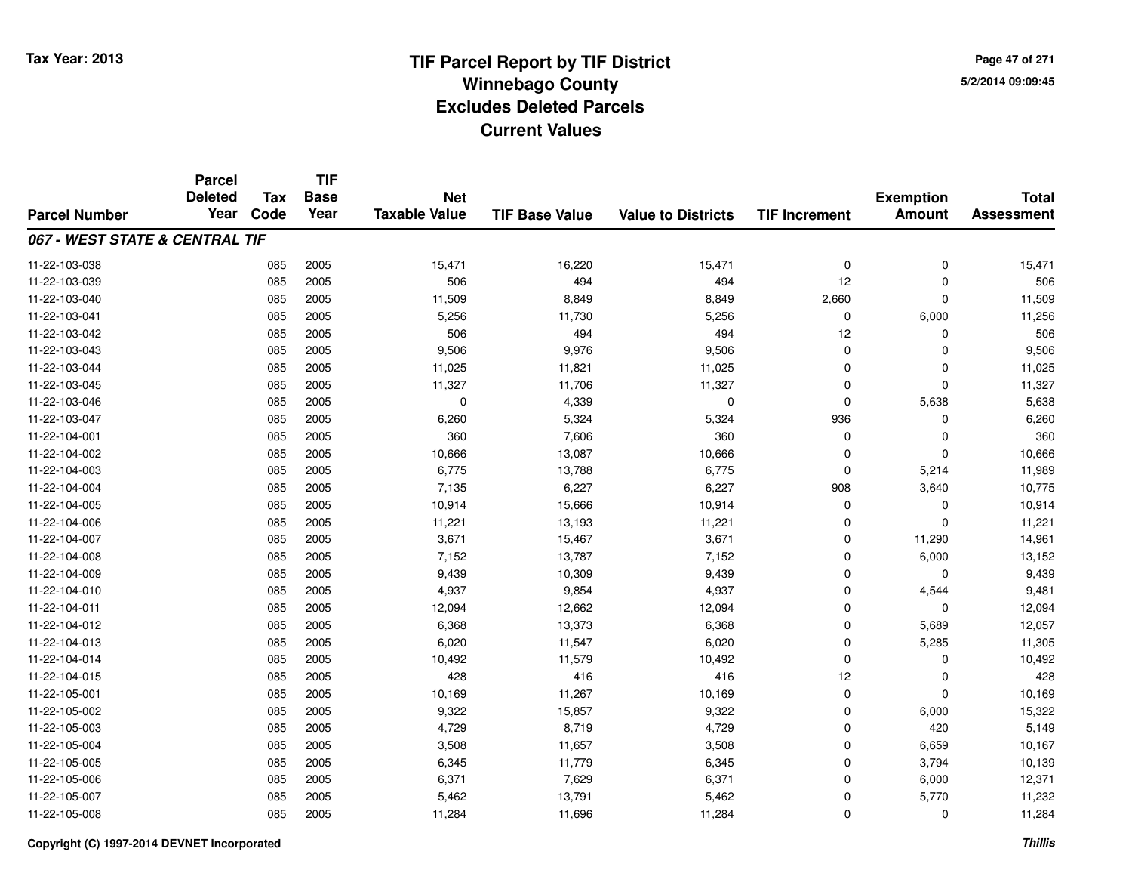**TIF**

**Parcel**

**Page 47 of 2715/2/2014 09:09:45**

#### **TIF Base ValueParcel NumberTotal AssessmentExemption Amount Value to Districts TIF Increment Base YearTax Code Deleted YearNet Taxable Value067 - WEST STATE & CENTRAL TIF**11-22-103-0388 15,471 16,220 15,471 16,220 15,471 0 0 0 15,471 15,471 15,471 15,471 0 0 0 15,471 15,471 0 0 15,471 15,471 1 11-22-103-0399 085 2005 506 494 494 12 0 506 11-22-103-0400 085 2005 11,509 8,849 8,849 2,660 0 11,509 11-22-103-0411 085 2005 5,256 11,730 5,256 0 6,000 11,256 11-22-103-042 <sup>085</sup> <sup>506</sup> <sup>2005</sup> <sup>494</sup> <sup>494</sup> <sup>12</sup> <sup>0</sup> <sup>506</sup> 11-22-103-0433 085 2005 9,506 9,976 9,506 0 0 9,506 11-22-103-0444 085 2005 11,025 11,821 11,025 0 11,025 11-22-103-045 <sup>085</sup> 11,327 <sup>2005</sup> 11,706 11,327 <sup>0</sup> <sup>0</sup> 11,327 11-22-103-046 <sup>085</sup> <sup>0</sup> <sup>2005</sup> 4,339 <sup>0</sup> <sup>0</sup> 5,638 5,638 11-22-103-047 <sup>085</sup> 6,260 <sup>2005</sup> 5,324 5,324 <sup>936</sup> <sup>0</sup> 6,260 11-22-104-0011 085 2005 360 7,606 360 0 0 360 11-22-104-0022 085 2005 10,666 13,087 10,666 0 0 10,666 11-22-104-0033 085 2005 6,775 13,788 6,775 0 5,214 11,989 11-22-104-004 <sup>085</sup> 7,135 <sup>2005</sup> 6,227 6,227 <sup>908</sup> 3,640 10,775 11-22-104-005 <sup>085</sup> 10,914 <sup>2005</sup> 15,666 10,914 <sup>0</sup> <sup>0</sup> 10,914 11-22-104-0066 085 2005 11,221 13,193 11,221 0 0 11,221 11-22-104-007 <sup>085</sup> 3,671 <sup>2005</sup> 15,467 3,671 <sup>0</sup> 11,290 14,961 11-22-104-0088 085 2005 7,152 13,787 7,152 0 6,000 13,152 11-22-104-009 <sup>085</sup> 9,439 <sup>2005</sup> 10,309 9,439 <sup>0</sup> <sup>0</sup> 9,439 11-22-104-0100 085 2005 4,937 9,854 4,937 0 4,544 9,481 11-22-104-0111 085 2005 12,094 12,662 12,094 0 0 12,094 11-22-104-0122 085 2005 6,368 13,373 6,368 0 5,689 12,057 11-22-104-0133 085 2005 6,020 11,547 6,020 0 5,285 11,305 11-22-104-014 <sup>085</sup> 10,492 <sup>2005</sup> 11,579 10,492 <sup>0</sup> <sup>0</sup> 10,492 11-22-104-015 <sup>085</sup> <sup>428</sup> <sup>2005</sup> <sup>416</sup> <sup>416</sup> <sup>12</sup> <sup>0</sup> <sup>428</sup> 11-22-105-0011 085 2005 10,169 11,267 10,169 0 0 10,169 11-22-105-002 <sup>085</sup> 9,322 <sup>2005</sup> 15,857 9,322 <sup>0</sup> 6,000 15,322 11-22-105-0033 085 2005 4,729 8,719 4,729 0 420 5,149 11-22-105-004 <sup>085</sup> 3,508 <sup>2005</sup> 11,657 3,508 <sup>0</sup> 6,659 10,167 11-22-105-005 <sup>085</sup> 6,345 <sup>2005</sup> 11,779 6,345 <sup>0</sup> 3,794 10,139 11-22-105-0066 085 2005 6,371 7,629 6,371 0 6,000 12,371 11-22-105-007 <sup>085</sup> 5,462 <sup>2005</sup> 13,791 5,462 <sup>0</sup> 5,770 11,232 11-22-105-008<sup>085</sup> 11,284 <sup>2005</sup> 11,696 11,284 <sup>0</sup> <sup>0</sup> 11,284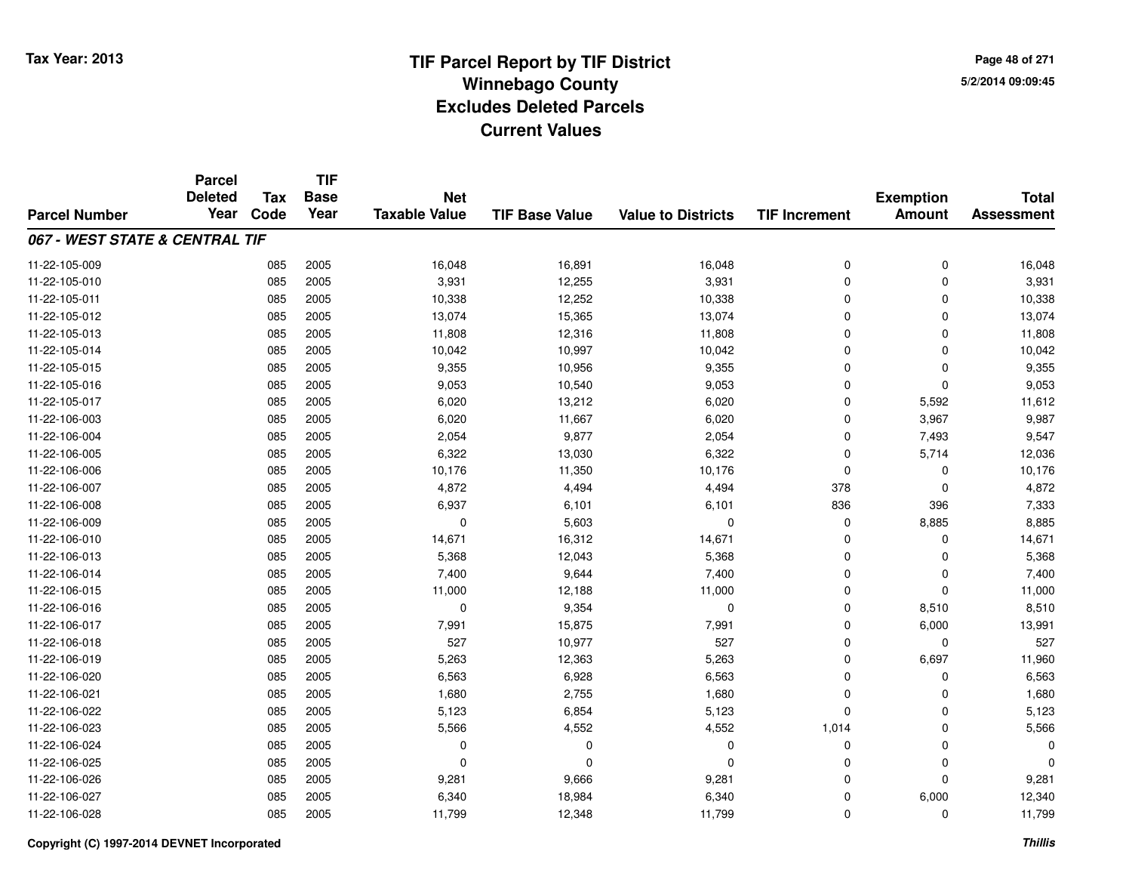**Page 48 of 2715/2/2014 09:09:45**

|                                | <b>Parcel</b><br><b>Deleted</b> | Tax  | <b>TIF</b><br><b>Base</b> | <b>Net</b>           |                       |                           |                      |                                   | <b>Total</b>      |
|--------------------------------|---------------------------------|------|---------------------------|----------------------|-----------------------|---------------------------|----------------------|-----------------------------------|-------------------|
| <b>Parcel Number</b>           | Year                            | Code | Year                      | <b>Taxable Value</b> | <b>TIF Base Value</b> | <b>Value to Districts</b> | <b>TIF Increment</b> | <b>Exemption</b><br><b>Amount</b> | <b>Assessment</b> |
| 067 - WEST STATE & CENTRAL TIF |                                 |      |                           |                      |                       |                           |                      |                                   |                   |
| 11-22-105-009                  |                                 | 085  | 2005                      | 16,048               | 16,891                | 16,048                    | 0                    | 0                                 | 16,048            |
| 11-22-105-010                  |                                 | 085  | 2005                      | 3,931                | 12,255                | 3,931                     | 0                    | $\mathbf 0$                       | 3,931             |
| 11-22-105-011                  |                                 | 085  | 2005                      | 10,338               | 12,252                | 10,338                    | 0                    | $\mathbf 0$                       | 10,338            |
| 11-22-105-012                  |                                 | 085  | 2005                      | 13,074               | 15,365                | 13,074                    | 0                    | 0                                 | 13,074            |
| 11-22-105-013                  |                                 | 085  | 2005                      | 11,808               | 12,316                | 11,808                    | 0                    | $\Omega$                          | 11,808            |
| 11-22-105-014                  |                                 | 085  | 2005                      | 10,042               | 10,997                | 10,042                    | 0                    | 0                                 | 10,042            |
| 11-22-105-015                  |                                 | 085  | 2005                      | 9,355                | 10,956                | 9,355                     | 0                    | $\mathbf 0$                       | 9,355             |
| 11-22-105-016                  |                                 | 085  | 2005                      | 9,053                | 10,540                | 9,053                     | 0                    | $\Omega$                          | 9,053             |
| 11-22-105-017                  |                                 | 085  | 2005                      | 6,020                | 13,212                | 6,020                     | 0                    | 5,592                             | 11,612            |
| 11-22-106-003                  |                                 | 085  | 2005                      | 6,020                | 11,667                | 6,020                     | 0                    | 3,967                             | 9,987             |
| 11-22-106-004                  |                                 | 085  | 2005                      | 2,054                | 9,877                 | 2,054                     | 0                    | 7,493                             | 9,547             |
| 11-22-106-005                  |                                 | 085  | 2005                      | 6,322                | 13,030                | 6,322                     | 0                    | 5,714                             | 12,036            |
| 11-22-106-006                  |                                 | 085  | 2005                      | 10,176               | 11,350                | 10,176                    | 0                    | 0                                 | 10,176            |
| 11-22-106-007                  |                                 | 085  | 2005                      | 4,872                | 4,494                 | 4,494                     | 378                  | $\mathbf 0$                       | 4,872             |
| 11-22-106-008                  |                                 | 085  | 2005                      | 6,937                | 6,101                 | 6,101                     | 836                  | 396                               | 7,333             |
| 11-22-106-009                  |                                 | 085  | 2005                      | 0                    | 5,603                 | $\Omega$                  | 0                    | 8,885                             | 8,885             |
| 11-22-106-010                  |                                 | 085  | 2005                      | 14,671               | 16,312                | 14,671                    | 0                    | 0                                 | 14,671            |
| 11-22-106-013                  |                                 | 085  | 2005                      | 5,368                | 12,043                | 5,368                     | 0                    | 0                                 | 5,368             |
| 11-22-106-014                  |                                 | 085  | 2005                      | 7,400                | 9,644                 | 7,400                     | 0                    | $\mathbf 0$                       | 7,400             |
| 11-22-106-015                  |                                 | 085  | 2005                      | 11,000               | 12,188                | 11,000                    | 0                    | $\mathbf 0$                       | 11,000            |
| 11-22-106-016                  |                                 | 085  | 2005                      | 0                    | 9,354                 | 0                         | 0                    | 8,510                             | 8,510             |
| 11-22-106-017                  |                                 | 085  | 2005                      | 7,991                | 15,875                | 7,991                     | 0                    | 6,000                             | 13,991            |
| 11-22-106-018                  |                                 | 085  | 2005                      | 527                  | 10,977                | 527                       | 0                    | $\mathbf 0$                       | 527               |
| 11-22-106-019                  |                                 | 085  | 2005                      | 5,263                | 12,363                | 5,263                     | 0                    | 6,697                             | 11,960            |
| 11-22-106-020                  |                                 | 085  | 2005                      | 6,563                | 6,928                 | 6,563                     | 0                    | $\mathbf 0$                       | 6,563             |
| 11-22-106-021                  |                                 | 085  | 2005                      | 1,680                | 2,755                 | 1,680                     | 0                    | $\mathbf 0$                       | 1,680             |
| 11-22-106-022                  |                                 | 085  | 2005                      | 5,123                | 6,854                 | 5,123                     | 0                    | $\Omega$                          | 5,123             |
| 11-22-106-023                  |                                 | 085  | 2005                      | 5,566                | 4,552                 | 4,552                     | 1,014                | 0                                 | 5,566             |
| 11-22-106-024                  |                                 | 085  | 2005                      | 0                    | $\mathbf 0$           | 0                         | 0                    | $\mathbf 0$                       | $\Omega$          |
| 11-22-106-025                  |                                 | 085  | 2005                      | 0                    | 0                     | $\Omega$                  | 0                    | 0                                 | $\Omega$          |
| 11-22-106-026                  |                                 | 085  | 2005                      | 9,281                | 9,666                 | 9,281                     | 0                    | $\Omega$                          | 9,281             |
| 11-22-106-027                  |                                 | 085  | 2005                      | 6,340                | 18,984                | 6,340                     | 0                    | 6,000                             | 12,340            |
| 11-22-106-028                  |                                 | 085  | 2005                      | 11,799               | 12,348                | 11,799                    | 0                    | $\Omega$                          | 11,799            |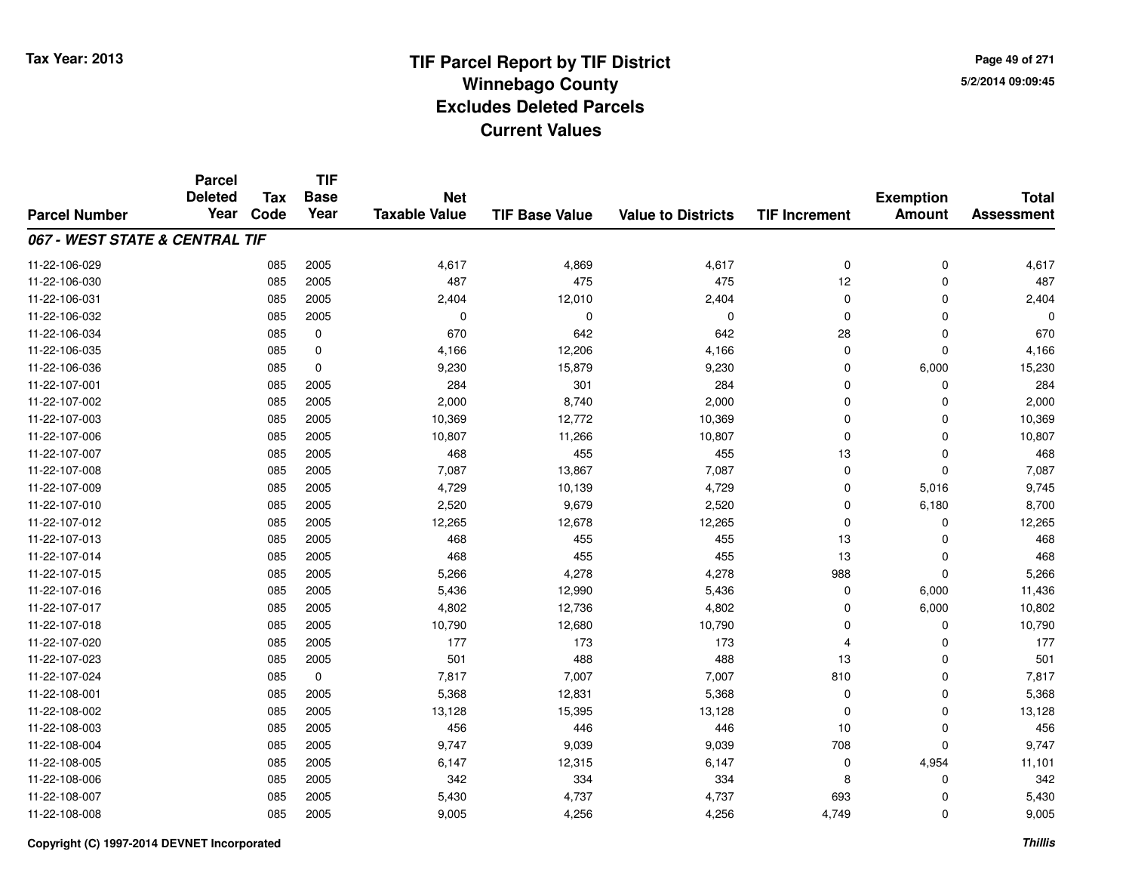**TIF**

**Parcel**

**Page 49 of 2715/2/2014 09:09:45**

#### **TIF Base ValueParcel NumberTotal AssessmentExemption Amount Value to Districts TIF Increment Base YearTax Code Deleted YearNet Taxable Value067 - WEST STATE & CENTRAL TIF**11-22-106-0299 085 2005 4,617 4,869 4,617 0 0 4,617 11-22-106-0300 085 2005 487 475 475 12 0 487 11-22-106-0311 085 2005 2,404 12,010 2,404 0 0 2,404 11-22-106-032 <sup>085</sup> <sup>0</sup> <sup>2005</sup> <sup>0</sup> <sup>0</sup> <sup>0</sup> <sup>0</sup> <sup>0</sup> 11-22-106-0344 085 0 670 642 642 28 0 670 11-22-106-0355 085 0 4,166 12,206 4,166 0 0 4,166 11-22-106-036 <sup>085</sup> 9,230 <sup>0</sup> 15,879 9,230 <sup>0</sup> 6,000 15,230 11-22-107-0011 085 2005 284 301 284 0 0 284 11-22-107-0022 085 2005 2,000 8,740 2,000 0 2,000 11-22-107-0033 085 2005 10,369 12,772 10,369 0 0 10,369 11-22-107-006 <sup>085</sup> 10,807 <sup>2005</sup> 11,266 10,807 <sup>0</sup> <sup>0</sup> 10,807 11-22-107-007 <sup>085</sup> <sup>468</sup> <sup>2005</sup> <sup>455</sup> <sup>455</sup> <sup>13</sup> <sup>0</sup> <sup>468</sup> 11-22-107-008 <sup>085</sup> 7,087 <sup>2005</sup> 13,867 7,087 <sup>0</sup> <sup>0</sup> 7,087 11-22-107-0099 085 2005 4,729 10,139 4,729 0 5,016 9,745 11-22-107-0100 085 2005 2,520 9,679 2,520 0 6,180 8,700 11-22-107-0122 085 2005 12,265 12,678 12,265 0 0 12,265 11-22-107-0133 085 2005 468 455 455 13 0 468 11-22-107-014 <sup>085</sup> <sup>468</sup> <sup>2005</sup> <sup>455</sup> <sup>455</sup> <sup>13</sup> <sup>0</sup> <sup>468</sup> 11-22-107-015 <sup>085</sup> 5,266 <sup>2005</sup> 4,278 4,278 <sup>988</sup> <sup>0</sup> 5,266 11-22-107-0166 085 2005 5,436 12,990 5,436 0 6,000 11,436 11-22-107-0177 085 2005 4,802 12,736 4,802 0 6,000 10,802 11-22-107-018 <sup>085</sup> 10,790 <sup>2005</sup> 12,680 10,790 <sup>0</sup> <sup>0</sup> 10,790 11-22-107-020 <sup>085</sup> <sup>177</sup> <sup>2005</sup> <sup>173</sup> <sup>173</sup> <sup>4</sup> <sup>0</sup> <sup>177</sup> 11-22-107-0233 085 2005 501 488 488 13 0 501 11-22-107-0244 085 0 7,817 7,007 7,007 810 0 7,817 11-22-108-0011 085 2005 5,368 12,831 5,368 0 5,368 11-22-108-0022 085 2005 13,128 15,395 13,128 0 0 13,128 11-22-108-003 <sup>085</sup> <sup>456</sup> <sup>2005</sup> <sup>446</sup> <sup>446</sup> <sup>10</sup> <sup>0</sup> <sup>456</sup> 11-22-108-004 <sup>085</sup> 9,747 <sup>2005</sup> 9,039 9,039 <sup>708</sup> <sup>0</sup> 9,747 11-22-108-005 <sup>085</sup> 6,147 <sup>2005</sup> 12,315 6,147 <sup>0</sup> 4,954 11,101 11-22-108-006 <sup>085</sup> <sup>342</sup> <sup>2005</sup> <sup>334</sup> <sup>334</sup> <sup>8</sup> <sup>0</sup> <sup>342</sup> 11-22-108-007 <sup>085</sup> 5,430 <sup>2005</sup> 4,737 4,737 <sup>693</sup> <sup>0</sup> 5,430 11-22-108-008<sup>085</sup> 9,005 <sup>2005</sup> 4,256 4,256 4,749 <sup>0</sup> 9,005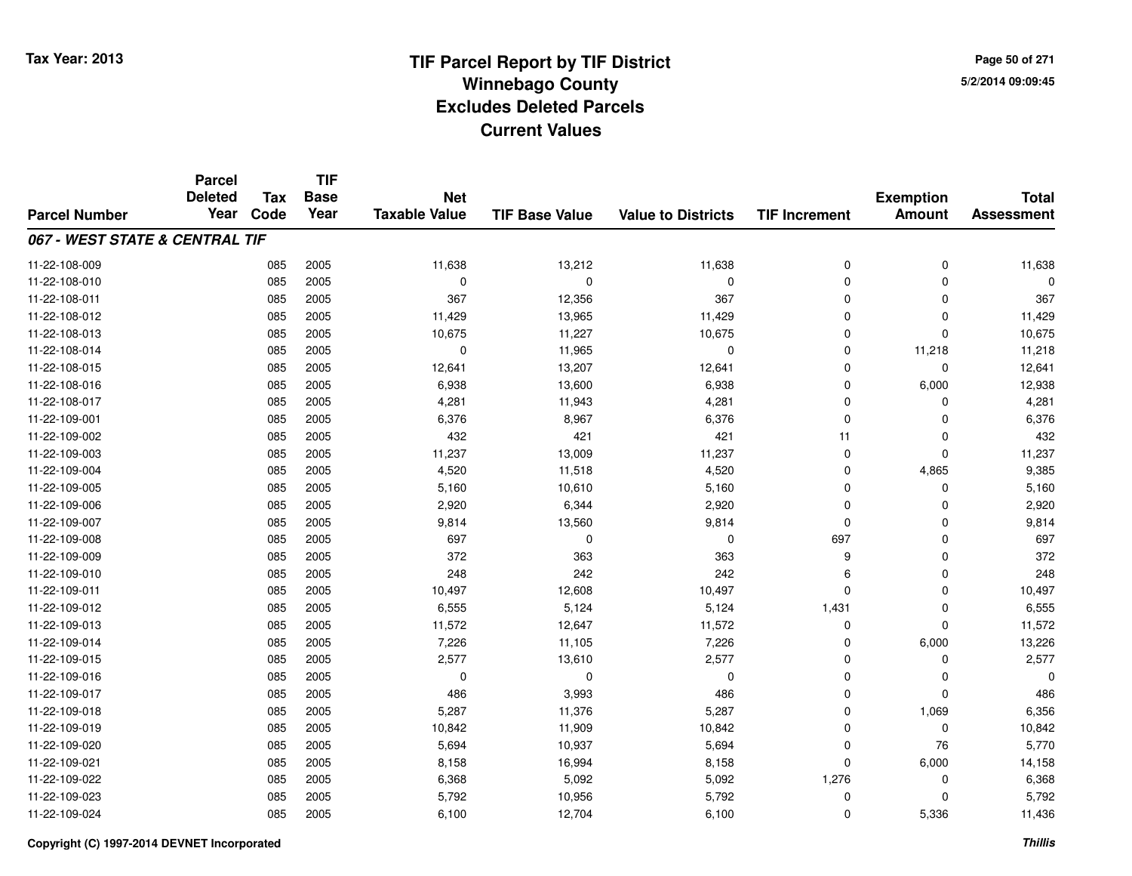**Page 50 of 2715/2/2014 09:09:45**

|                                | <b>Parcel</b>  |            | <b>TIF</b>  |                      |                       |                           |                      |                  |                   |
|--------------------------------|----------------|------------|-------------|----------------------|-----------------------|---------------------------|----------------------|------------------|-------------------|
|                                | <b>Deleted</b> | <b>Tax</b> | <b>Base</b> | <b>Net</b>           |                       |                           |                      | <b>Exemption</b> | <b>Total</b>      |
| <b>Parcel Number</b>           | Year           | Code       | Year        | <b>Taxable Value</b> | <b>TIF Base Value</b> | <b>Value to Districts</b> | <b>TIF Increment</b> | <b>Amount</b>    | <b>Assessment</b> |
| 067 - WEST STATE & CENTRAL TIF |                |            |             |                      |                       |                           |                      |                  |                   |
| 11-22-108-009                  |                | 085        | 2005        | 11,638               | 13,212                | 11,638                    | 0                    | 0                | 11,638            |
| 11-22-108-010                  |                | 085        | 2005        | $\mathbf 0$          | $\Omega$              | $\mathbf 0$               | $\mathbf 0$          | $\Omega$         | $\Omega$          |
| 11-22-108-011                  |                | 085        | 2005        | 367                  | 12,356                | 367                       | 0                    | $\Omega$         | 367               |
| 11-22-108-012                  |                | 085        | 2005        | 11,429               | 13,965                | 11,429                    | $\mathbf 0$          | $\Omega$         | 11,429            |
| 11-22-108-013                  |                | 085        | 2005        | 10,675               | 11,227                | 10,675                    | 0                    | $\Omega$         | 10,675            |
| 11-22-108-014                  |                | 085        | 2005        | $\mathbf 0$          | 11,965                | $\mathbf 0$               | $\mathbf 0$          | 11,218           | 11,218            |
| 11-22-108-015                  |                | 085        | 2005        | 12,641               | 13,207                | 12,641                    | $\mathbf 0$          | $\mathbf 0$      | 12,641            |
| 11-22-108-016                  |                | 085        | 2005        | 6,938                | 13,600                | 6,938                     | $\mathbf 0$          | 6,000            | 12,938            |
| 11-22-108-017                  |                | 085        | 2005        | 4,281                | 11,943                | 4,281                     | 0                    | 0                | 4,281             |
| 11-22-109-001                  |                | 085        | 2005        | 6,376                | 8,967                 | 6,376                     | $\mathbf 0$          | $\Omega$         | 6,376             |
| 11-22-109-002                  |                | 085        | 2005        | 432                  | 421                   | 421                       | 11                   | $\Omega$         | 432               |
| 11-22-109-003                  |                | 085        | 2005        | 11,237               | 13,009                | 11,237                    | 0                    | 0                | 11,237            |
| 11-22-109-004                  |                | 085        | 2005        | 4,520                | 11,518                | 4,520                     | $\mathbf 0$          | 4,865            | 9,385             |
| 11-22-109-005                  |                | 085        | 2005        | 5,160                | 10,610                | 5,160                     | 0                    | 0                | 5,160             |
| 11-22-109-006                  |                | 085        | 2005        | 2,920                | 6,344                 | 2,920                     | 0                    | $\Omega$         | 2,920             |
| 11-22-109-007                  |                | 085        | 2005        | 9,814                | 13,560                | 9,814                     | $\mathbf 0$          | 0                | 9,814             |
| 11-22-109-008                  |                | 085        | 2005        | 697                  | 0                     | $\mathbf 0$               | 697                  | $\mathbf 0$      | 697               |
| 11-22-109-009                  |                | 085        | 2005        | 372                  | 363                   | 363                       | 9                    | $\mathbf 0$      | 372               |
| 11-22-109-010                  |                | 085        | 2005        | 248                  | 242                   | 242                       | 6                    | 0                | 248               |
| 11-22-109-011                  |                | 085        | 2005        | 10,497               | 12,608                | 10,497                    | $\mathbf 0$          | $\mathbf 0$      | 10,497            |
| 11-22-109-012                  |                | 085        | 2005        | 6,555                | 5,124                 | 5,124                     | 1,431                | 0                | 6,555             |
| 11-22-109-013                  |                | 085        | 2005        | 11,572               | 12,647                | 11,572                    | $\mathbf 0$          | $\Omega$         | 11,572            |
| 11-22-109-014                  |                | 085        | 2005        | 7,226                | 11,105                | 7,226                     | 0                    | 6,000            | 13,226            |
| 11-22-109-015                  |                | 085        | 2005        | 2,577                | 13,610                | 2,577                     | $\mathbf 0$          | $\mathbf 0$      | 2,577             |
| 11-22-109-016                  |                | 085        | 2005        | 0                    | $\mathbf 0$           | $\mathbf 0$               | 0                    | 0                | $\Omega$          |
| 11-22-109-017                  |                | 085        | 2005        | 486                  | 3,993                 | 486                       | 0                    | $\Omega$         | 486               |
| 11-22-109-018                  |                | 085        | 2005        | 5,287                | 11,376                | 5,287                     | $\mathbf 0$          | 1,069            | 6,356             |
| 11-22-109-019                  |                | 085        | 2005        | 10,842               | 11,909                | 10,842                    | 0                    | $\mathbf 0$      | 10,842            |
| 11-22-109-020                  |                | 085        | 2005        | 5,694                | 10,937                | 5,694                     | 0                    | 76               | 5,770             |
| 11-22-109-021                  |                | 085        | 2005        | 8,158                | 16,994                | 8,158                     | 0                    | 6,000            | 14,158            |
| 11-22-109-022                  |                | 085        | 2005        | 6,368                | 5,092                 | 5,092                     | 1,276                | 0                | 6,368             |
| 11-22-109-023                  |                | 085        | 2005        | 5,792                | 10,956                | 5,792                     | 0                    | $\Omega$         | 5,792             |
| 11-22-109-024                  |                | 085        | 2005        | 6,100                | 12,704                | 6,100                     | $\mathbf 0$          | 5,336            | 11,436            |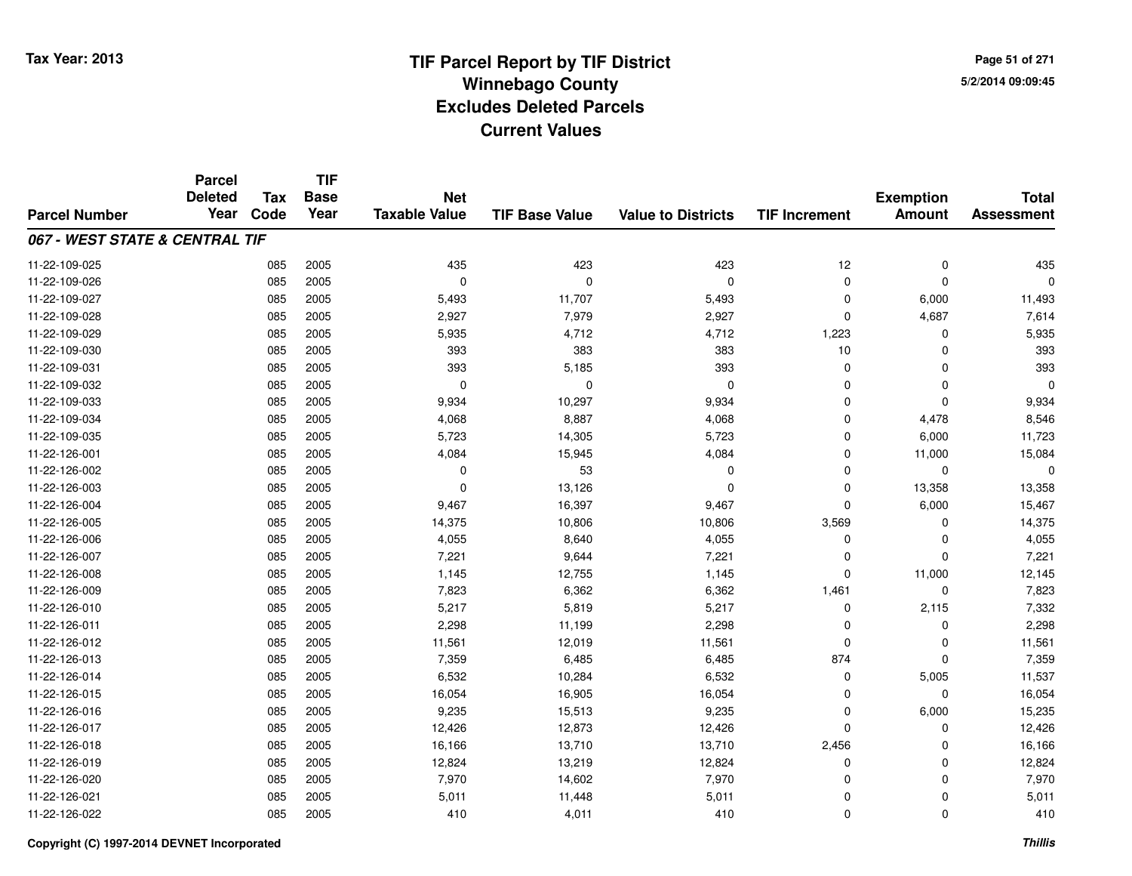**TIF**

**Parcel**

**Page 51 of 2715/2/2014 09:09:45**

#### **TIF Base ValueParcel NumberTotal AssessmentExemption Amount Value to Districts TIF Increment Base YearTax Code Deleted YearNet Taxable Value067 - WEST STATE & CENTRAL TIF**11-22-109-025 <sup>085</sup> <sup>435</sup> <sup>2005</sup> <sup>423</sup> <sup>423</sup> <sup>12</sup> <sup>0</sup> <sup>435</sup> 11-22-109-026 <sup>085</sup> <sup>0</sup> <sup>2005</sup> <sup>0</sup> <sup>0</sup> <sup>0</sup> <sup>0</sup> <sup>0</sup> 11-22-109-027 <sup>085</sup> 5,493 <sup>2005</sup> 11,707 5,493 <sup>0</sup> 6,000 11,493 11-22-109-0288 085 2005 2,927 7,979 2,927 0 4,687 7,614 11-22-109-0299 085 2005 5,935 4,712 4,712 1,223 0 5,935 11-22-109-030 <sup>085</sup> <sup>393</sup> <sup>2005</sup> <sup>383</sup> <sup>383</sup> <sup>10</sup> <sup>0</sup> <sup>393</sup> 11-22-109-0311 085 2005 393 5,185 393 0 0 393 11-22-109-032 <sup>085</sup> <sup>0</sup> <sup>2005</sup> <sup>0</sup> <sup>0</sup> <sup>0</sup> <sup>0</sup> <sup>0</sup> 11-22-109-033 <sup>085</sup> 9,934 <sup>2005</sup> 10,297 9,934 <sup>0</sup> <sup>0</sup> 9,934 11-22-109-0344 085 2005 4,068 8,887 4,068 0 4,478 8,546 11-22-109-035 <sup>085</sup> 5,723 <sup>2005</sup> 14,305 5,723 <sup>0</sup> 6,000 11,723 11-22-126-0011 085 2005 4,084 15,945 4,084 0 11,000 15,084 11-22-126-002 <sup>085</sup> <sup>0</sup> <sup>2005</sup> <sup>53</sup> <sup>0</sup> <sup>0</sup> <sup>0</sup> <sup>0</sup> 11-22-126-0033 085 2005 0 13,126 0 0 13,358 13,358 11-22-126-004 <sup>085</sup> 9,467 <sup>2005</sup> 16,397 9,467 <sup>0</sup> 6,000 15,467 11-22-126-005 <sup>085</sup> 14,375 <sup>2005</sup> 10,806 10,806 3,569 <sup>0</sup> 14,375 11-22-126-0066 085 2005 4,055 8,640 4,055 0 0 4,055 11-22-126-0077 085 2005 7,221 9,644 7,221 0 7,221 11-22-126-0088 085 2005 1,145 12,755 1,145 0 11,000 12,145 11-22-126-0099 085 2005 7,823 6,362 6,362 1,461 0 7,823 11-22-126-0100 085 2005 5,217 5,819 5,217 0 2,115 7,332 11-22-126-0111 085 2005 2,298 11,199 2,298 0 0 2,298 11-22-126-0122 085 2005 11,561 12,019 11,561 0 11,561 11-22-126-0133 085 2005 7,359 6,485 6,485 874 0 7,359 11-22-126-014 <sup>085</sup> 6,532 <sup>2005</sup> 10,284 6,532 <sup>0</sup> 5,005 11,537 11-22-126-0155 085 2005 16,054 16,905 16,054 0 0 16,054 11-22-126-016 <sup>085</sup> 9,235 <sup>2005</sup> 15,513 9,235 <sup>0</sup> 6,000 15,235 11-22-126-017 <sup>085</sup> 12,426 <sup>2005</sup> 12,873 12,426 <sup>0</sup> <sup>0</sup> 12,426 11-22-126-018 <sup>085</sup> 16,166 <sup>2005</sup> 13,710 13,710 2,456 <sup>0</sup> 16,166 11-22-126-0199 085 2005 12,824 13,219 12,824 0 0 12,824 11-22-126-0200 085 2005 7,970 14,602 7,970 0 0 7,970 11-22-126-0211 085 2005 5,011 11,448 5,011 0 0 5,011 11-22-126-0222 085 2005 410 4,011 410 0 0 410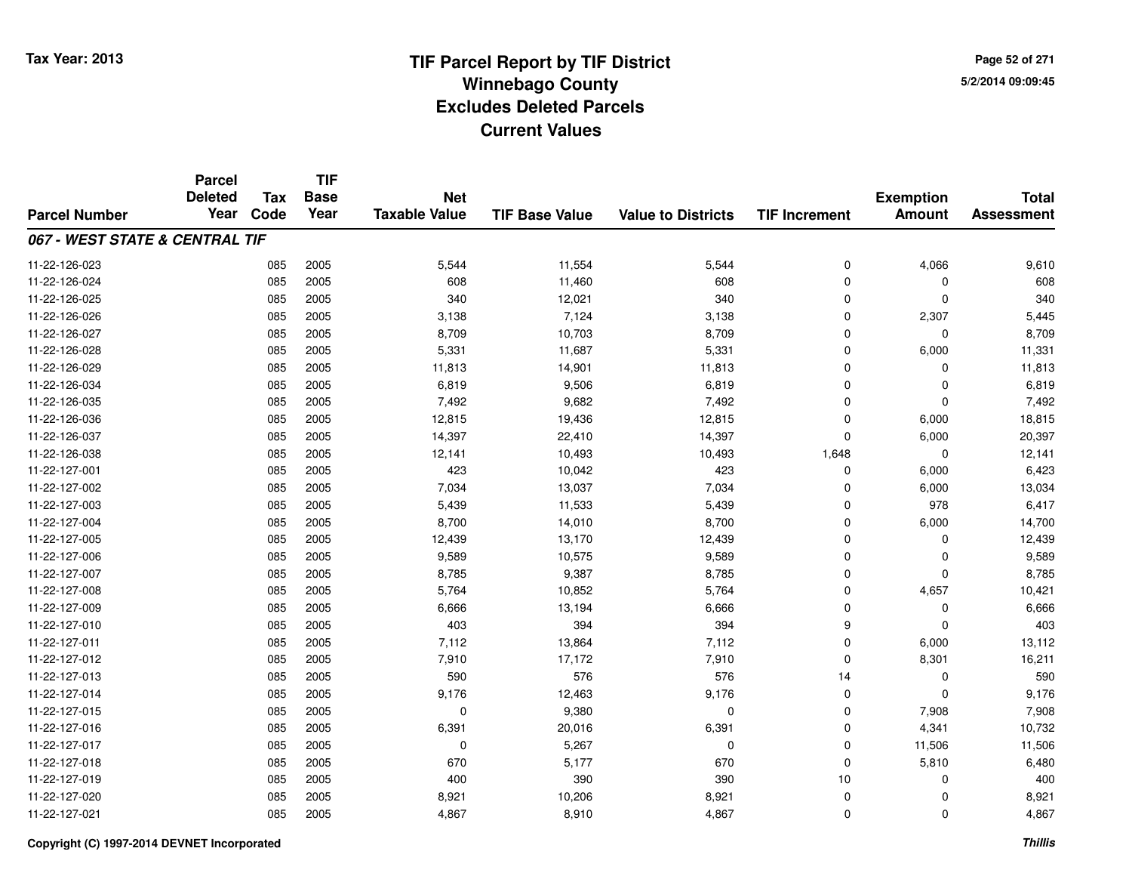**TIF**

**Parcel**

**Page 52 of 2715/2/2014 09:09:45**

#### **TIF Base ValueParcel NumberTotal AssessmentExemption Amount Value to Districts TIF Increment Base YearTax Code Deleted YearNet Taxable Value067 - WEST STATE & CENTRAL TIF**11-22-126-0233 085 2005 5,544 11,554 5,544 0 4,066 9,610 11-22-126-0244 085 2005 608 11,460 608 0 0 608 11-22-126-025 <sup>085</sup> <sup>340</sup> <sup>2005</sup> 12,021 <sup>340</sup> <sup>0</sup> <sup>0</sup> <sup>340</sup> 11-22-126-026 <sup>085</sup> 3,138 <sup>2005</sup> 7,124 3,138 <sup>0</sup> 2,307 5,445 11-22-126-027 <sup>085</sup> 8,709 <sup>2005</sup> 10,703 8,709 <sup>0</sup> <sup>0</sup> 8,709 11-22-126-028 <sup>085</sup> 5,331 <sup>2005</sup> 11,687 5,331 <sup>0</sup> 6,000 11,331 11-22-126-0299 085 2005 11,813 14,901 11,813 0 0 11,813 11-22-126-0344 085 2005 6,819 9,506 6,819 0 0 6,819 11-22-126-035 <sup>085</sup> 7,492 <sup>2005</sup> 9,682 7,492 <sup>0</sup> <sup>0</sup> 7,492 11-22-126-0366 085 2005 12,815 19,436 12,815 0 6,000 18,815 11-22-126-037 <sup>085</sup> 14,397 <sup>2005</sup> 22,410 14,397 <sup>0</sup> 6,000 20,397 11-22-126-0388 085 2005 12,141 10,493 10,493 1,648 0 12,141 11-22-127-0011 085 2005 423 10,042 423 0 6,000 6,423 11-22-127-0022 085 2005 7,034 13,037 7,034 0 6,000 13,034 11-22-127-003 <sup>085</sup> 5,439 <sup>2005</sup> 11,533 5,439 <sup>0</sup> <sup>978</sup> 6,417 11-22-127-004 <sup>085</sup> 8,700 <sup>2005</sup> 14,010 8,700 <sup>0</sup> 6,000 14,700 11-22-127-005 <sup>085</sup> 12,439 <sup>2005</sup> 13,170 12,439 <sup>0</sup> <sup>0</sup> 12,439 11-22-127-0066 085 2005 9,589 10,575 9,589 0 0 9,589 11-22-127-007 <sup>085</sup> 8,785 <sup>2005</sup> 9,387 8,785 <sup>0</sup> <sup>0</sup> 8,785 11-22-127-008 <sup>085</sup> 5,764 <sup>2005</sup> 10,852 5,764 <sup>0</sup> 4,657 10,421 11-22-127-0099 085 2005 6,666 13,194 6,666 0 0 6,666 11-22-127-010 <sup>085</sup> <sup>403</sup> <sup>2005</sup> <sup>394</sup> <sup>394</sup> <sup>9</sup> <sup>0</sup> <sup>403</sup> 11-22-127-0111 085 2005 7,112 13,864 7,112 0 6,000 13,112 11-22-127-0122 085 2005 7,910 17,172 7,910 0 8,301 16,211 11-22-127-013 <sup>085</sup> <sup>590</sup> <sup>2005</sup> <sup>576</sup> <sup>576</sup> <sup>14</sup> <sup>0</sup> <sup>590</sup> 11-22-127-014 <sup>085</sup> 9,176 <sup>2005</sup> 12,463 9,176 <sup>0</sup> <sup>0</sup> 9,176 11-22-127-015 <sup>085</sup> <sup>0</sup> <sup>2005</sup> 9,380 <sup>0</sup> <sup>0</sup> 7,908 7,908 11-22-127-016 <sup>085</sup> 6,391 <sup>2005</sup> 20,016 6,391 <sup>0</sup> 4,341 10,732 11-22-127-017 <sup>085</sup> <sup>0</sup> <sup>2005</sup> 5,267 <sup>0</sup> <sup>0</sup> 11,506 11,506 11-22-127-0188 085 2005 670 5,177 670 0 5,810 6,480 11-22-127-0199 085 2005 400 390 390 10 0 400 11-22-127-0200 085 2005 8,921 10,206 8,921 0 0 8,921 11-22-127-0211 085 2005 4,867 8,910 4,867 0 0 4,867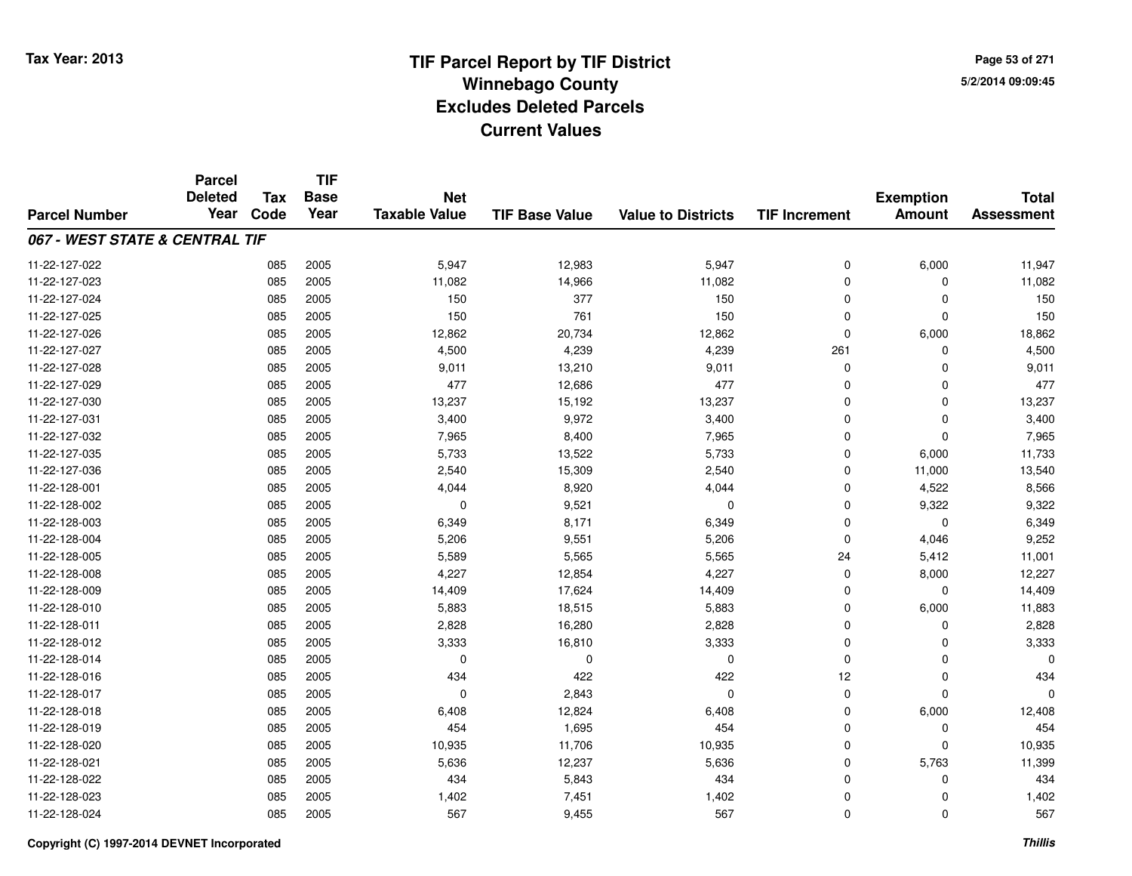**TIF**

**Parcel**

**Page 53 of 2715/2/2014 09:09:45**

#### **TIF Base ValueParcel NumberTotal AssessmentExemption Amount Value to Districts TIF Increment Base YearTax Code Deleted YearNet Taxable Value067 - WEST STATE & CENTRAL TIF**11-22-127-0222 085 2005 5,947 12,983 5,947 0 6,000 11,947 11-22-127-0233 085 2005 11,082 14,966 11,082 0 11,082 11-22-127-0244 2005 2005 150 150 377 150 150 0 0 0 150 11-22-127-0255 085 2005 150 761 150 0 0 150 11-22-127-026 <sup>085</sup> 12,862 <sup>2005</sup> 20,734 12,862 <sup>0</sup> 6,000 18,862 11-22-127-027 <sup>085</sup> 4,500 <sup>2005</sup> 4,239 4,239 <sup>261</sup> <sup>0</sup> 4,500 11-22-127-028 <sup>085</sup> 9,011 <sup>2005</sup> 13,210 9,011 <sup>0</sup> <sup>0</sup> 9,011 11-22-127-0299 085 2005 477 12,686 477 0 0 477 11-22-127-0300 085 2005 13,237 15,192 13,237 0 0 13,237 11-22-127-0311 085 2005 3,400 9,972 3,400 0 0 3,400 11-22-127-0322 085 2005 7,965 8,400 7,965 0 7,965 11-22-127-035 <sup>085</sup> 5,733 <sup>2005</sup> 13,522 5,733 <sup>0</sup> 6,000 11,733 11-22-127-036 <sup>085</sup> 2,540 <sup>2005</sup> 15,309 2,540 <sup>0</sup> 11,000 13,540 11-22-128-0011 085 2005 4,044 8,920 4,044 0 4,522 8,566 11-22-128-0022 085 2005 0 9,521 0 0 9,322 9,322 11-22-128-0033 085 2005 6,349 8,171 6,349 0 0 6,349 11-22-128-004 <sup>085</sup> 5,206 <sup>2005</sup> 9,551 5,206 <sup>0</sup> 4,046 9,252 11-22-128-005 <sup>085</sup> 5,589 <sup>2005</sup> 5,565 5,565 <sup>24</sup> 5,412 11,001 11-22-128-0088 085 2005 4,227 12,854 4,227 0 8,000 12,227 11-22-128-0099 085 2005 14,409 17,624 14,409 0 0 14,409 11-22-128-0100 085 2005 5,883 18,515 5,883 0 6,000 11,883 11-22-128-0111 085 2005 2,828 16,280 2,828 0 0 2,828 11-22-128-0122 085 2005 3,333 16,810 3,333 0 3,333 11-22-128-014 <sup>085</sup> <sup>0</sup> <sup>2005</sup> <sup>0</sup> <sup>0</sup> <sup>0</sup> <sup>0</sup> <sup>0</sup> 11-22-128-016 <sup>085</sup> <sup>434</sup> <sup>2005</sup> <sup>422</sup> <sup>422</sup> <sup>12</sup> <sup>0</sup> <sup>434</sup> 11-22-128-017 <sup>085</sup> <sup>0</sup> <sup>2005</sup> 2,843 <sup>0</sup> <sup>0</sup> <sup>0</sup> <sup>0</sup> 11-22-128-0188 085 2005 6,408 12,824 6,408 0 6,000 12,408 11-22-128-0199 085 2005 454 1,695 454 0 0 454 11-22-128-020 <sup>085</sup> 10,935 <sup>2005</sup> 11,706 10,935 <sup>0</sup> <sup>0</sup> 10,935 11-22-128-0211 085 2005 5,636 12,237 5,636 0 5,763 11,399 11-22-128-0222 085 2005 434 5,843 434 0 0 434 11-22-128-0233 085 2005 1,402 7,451 1,402 0 0 1,402 11-22-128-024<sup>085</sup> <sup>567</sup> <sup>2005</sup> 9,455 <sup>567</sup> <sup>0</sup> <sup>0</sup> <sup>567</sup>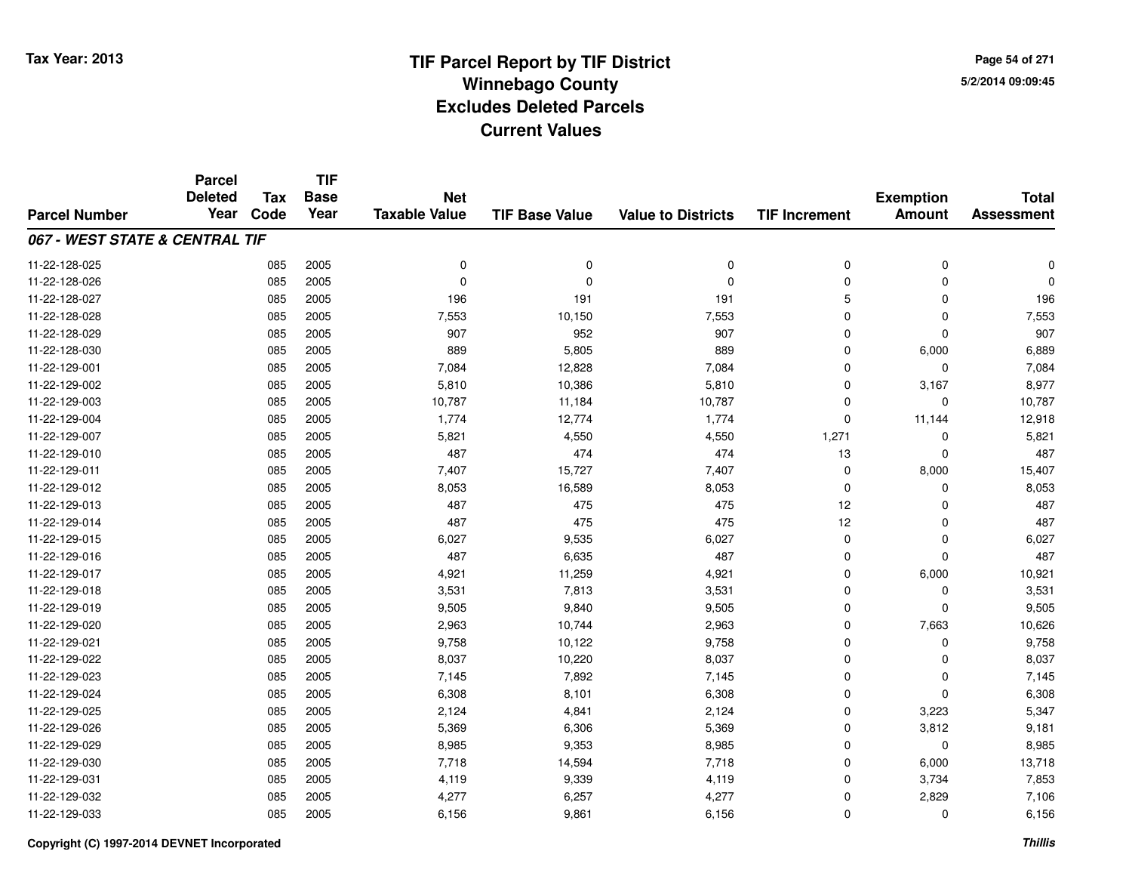**Page 54 of 2715/2/2014 09:09:45**

|                                | <b>Parcel</b><br><b>Deleted</b> | <b>Tax</b> | <b>TIF</b><br><b>Base</b> | <b>Net</b>           |                       |                           |                      | <b>Exemption</b> | <b>Total</b>      |
|--------------------------------|---------------------------------|------------|---------------------------|----------------------|-----------------------|---------------------------|----------------------|------------------|-------------------|
| <b>Parcel Number</b>           | Year                            | Code       | Year                      | <b>Taxable Value</b> | <b>TIF Base Value</b> | <b>Value to Districts</b> | <b>TIF Increment</b> | <b>Amount</b>    | <b>Assessment</b> |
| 067 - WEST STATE & CENTRAL TIF |                                 |            |                           |                      |                       |                           |                      |                  |                   |
| 11-22-128-025                  |                                 | 085        | 2005                      | 0                    | $\mathbf 0$           | 0                         | 0                    | 0                | $\Omega$          |
| 11-22-128-026                  |                                 | 085        | 2005                      | $\Omega$             | $\Omega$              | $\Omega$                  | 0                    | 0                | $\Omega$          |
| 11-22-128-027                  |                                 | 085        | 2005                      | 196                  | 191                   | 191                       | 5                    | 0                | 196               |
| 11-22-128-028                  |                                 | 085        | 2005                      | 7,553                | 10,150                | 7,553                     | 0                    | 0                | 7,553             |
| 11-22-128-029                  |                                 | 085        | 2005                      | 907                  | 952                   | 907                       | 0                    | $\Omega$         | 907               |
| 11-22-128-030                  |                                 | 085        | 2005                      | 889                  | 5,805                 | 889                       | 0                    | 6,000            | 6,889             |
| 11-22-129-001                  |                                 | 085        | 2005                      | 7,084                | 12,828                | 7,084                     | 0                    | $\mathbf 0$      | 7,084             |
| 11-22-129-002                  |                                 | 085        | 2005                      | 5,810                | 10,386                | 5,810                     | $\mathbf 0$          | 3,167            | 8,977             |
| 11-22-129-003                  |                                 | 085        | 2005                      | 10,787               | 11,184                | 10,787                    | 0                    | $\mathbf 0$      | 10,787            |
| 11-22-129-004                  |                                 | 085        | 2005                      | 1,774                | 12,774                | 1,774                     | $\mathbf 0$          | 11,144           | 12,918            |
| 11-22-129-007                  |                                 | 085        | 2005                      | 5,821                | 4,550                 | 4,550                     | 1,271                | $\Omega$         | 5,821             |
| 11-22-129-010                  |                                 | 085        | 2005                      | 487                  | 474                   | 474                       | 13                   | 0                | 487               |
| 11-22-129-011                  |                                 | 085        | 2005                      | 7,407                | 15,727                | 7,407                     | 0                    | 8,000            | 15,407            |
| 11-22-129-012                  |                                 | 085        | 2005                      | 8,053                | 16,589                | 8,053                     | 0                    | 0                | 8,053             |
| 11-22-129-013                  |                                 | 085        | 2005                      | 487                  | 475                   | 475                       | 12                   | $\Omega$         | 487               |
| 11-22-129-014                  |                                 | 085        | 2005                      | 487                  | 475                   | 475                       | 12                   | 0                | 487               |
| 11-22-129-015                  |                                 | 085        | 2005                      | 6,027                | 9,535                 | 6,027                     | 0                    | $\mathbf 0$      | 6,027             |
| 11-22-129-016                  |                                 | 085        | 2005                      | 487                  | 6,635                 | 487                       | 0                    | $\mathbf 0$      | 487               |
| 11-22-129-017                  |                                 | 085        | 2005                      | 4,921                | 11,259                | 4,921                     | 0                    | 6,000            | 10,921            |
| 11-22-129-018                  |                                 | 085        | 2005                      | 3,531                | 7,813                 | 3,531                     | 0                    | $\mathbf 0$      | 3,531             |
| 11-22-129-019                  |                                 | 085        | 2005                      | 9,505                | 9,840                 | 9,505                     | 0                    | $\mathbf 0$      | 9,505             |
| 11-22-129-020                  |                                 | 085        | 2005                      | 2,963                | 10,744                | 2,963                     | 0                    | 7,663            | 10,626            |
| 11-22-129-021                  |                                 | 085        | 2005                      | 9,758                | 10,122                | 9,758                     | 0                    | 0                | 9,758             |
| 11-22-129-022                  |                                 | 085        | 2005                      | 8,037                | 10,220                | 8,037                     | 0                    | $\mathbf 0$      | 8,037             |
| 11-22-129-023                  |                                 | 085        | 2005                      | 7,145                | 7,892                 | 7,145                     | 0                    | $\mathbf 0$      | 7,145             |
| 11-22-129-024                  |                                 | 085        | 2005                      | 6,308                | 8,101                 | 6,308                     | 0                    | $\Omega$         | 6,308             |
| 11-22-129-025                  |                                 | 085        | 2005                      | 2,124                | 4,841                 | 2,124                     | 0                    | 3,223            | 5,347             |
| 11-22-129-026                  |                                 | 085        | 2005                      | 5,369                | 6,306                 | 5,369                     | 0                    | 3,812            | 9,181             |
| 11-22-129-029                  |                                 | 085        | 2005                      | 8,985                | 9,353                 | 8,985                     | 0                    | $\mathbf 0$      | 8,985             |
| 11-22-129-030                  |                                 | 085        | 2005                      | 7,718                | 14,594                | 7,718                     | 0                    | 6,000            | 13,718            |
| 11-22-129-031                  |                                 | 085        | 2005                      | 4,119                | 9,339                 | 4,119                     | 0                    | 3,734            | 7,853             |
| 11-22-129-032                  |                                 | 085        | 2005                      | 4,277                | 6,257                 | 4,277                     | 0                    | 2,829            | 7,106             |
| 11-22-129-033                  |                                 | 085        | 2005                      | 6,156                | 9,861                 | 6,156                     | 0                    | $\Omega$         | 6,156             |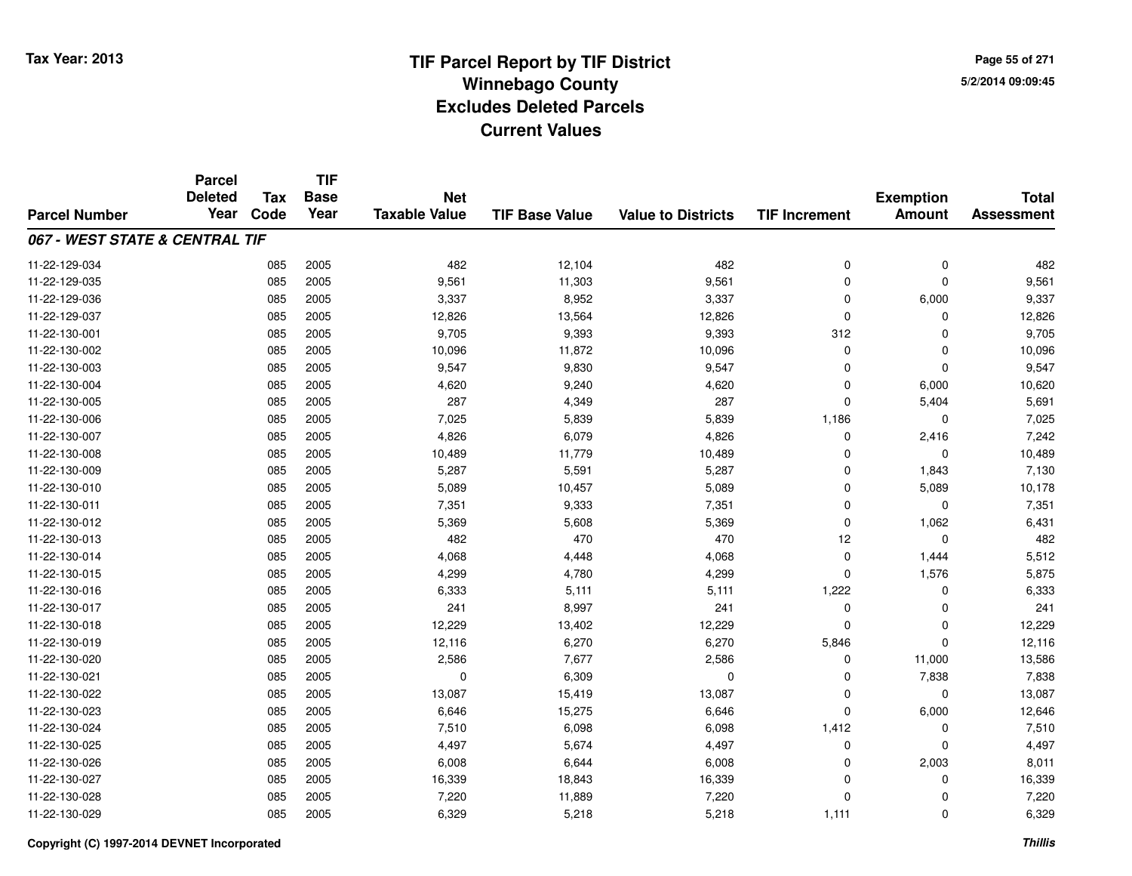**Page 55 of 2715/2/2014 09:09:45**

|                                | <b>Parcel</b><br><b>Deleted</b> | <b>Tax</b> | <b>TIF</b><br><b>Base</b> | <b>Net</b>           |                       |                           |                      | <b>Exemption</b> | <b>Total</b>      |
|--------------------------------|---------------------------------|------------|---------------------------|----------------------|-----------------------|---------------------------|----------------------|------------------|-------------------|
| <b>Parcel Number</b>           | Year                            | Code       | Year                      | <b>Taxable Value</b> | <b>TIF Base Value</b> | <b>Value to Districts</b> | <b>TIF Increment</b> | <b>Amount</b>    | <b>Assessment</b> |
| 067 - WEST STATE & CENTRAL TIF |                                 |            |                           |                      |                       |                           |                      |                  |                   |
| 11-22-129-034                  |                                 | 085        | 2005                      | 482                  | 12,104                | 482                       | $\mathbf 0$          | $\mathbf 0$      | 482               |
| 11-22-129-035                  |                                 | 085        | 2005                      | 9,561                | 11,303                | 9,561                     | $\mathbf 0$          | $\mathbf 0$      | 9,561             |
| 11-22-129-036                  |                                 | 085        | 2005                      | 3,337                | 8,952                 | 3,337                     | $\Omega$             | 6,000            | 9,337             |
| 11-22-129-037                  |                                 | 085        | 2005                      | 12,826               | 13,564                | 12,826                    | $\mathbf 0$          | $\mathbf 0$      | 12,826            |
| 11-22-130-001                  |                                 | 085        | 2005                      | 9,705                | 9,393                 | 9,393                     | 312                  | $\mathbf 0$      | 9,705             |
| 11-22-130-002                  |                                 | 085        | 2005                      | 10,096               | 11,872                | 10,096                    | $\mathbf 0$          | 0                | 10,096            |
| 11-22-130-003                  |                                 | 085        | 2005                      | 9,547                | 9,830                 | 9,547                     | $\Omega$             | $\mathbf 0$      | 9,547             |
| 11-22-130-004                  |                                 | 085        | 2005                      | 4,620                | 9,240                 | 4,620                     | $\mathbf 0$          | 6,000            | 10,620            |
| 11-22-130-005                  |                                 | 085        | 2005                      | 287                  | 4,349                 | 287                       | $\Omega$             | 5,404            | 5,691             |
| 11-22-130-006                  |                                 | 085        | 2005                      | 7,025                | 5,839                 | 5,839                     | 1,186                | 0                | 7,025             |
| 11-22-130-007                  |                                 | 085        | 2005                      | 4,826                | 6,079                 | 4,826                     | $\Omega$             | 2,416            | 7,242             |
| 11-22-130-008                  |                                 | 085        | 2005                      | 10,489               | 11,779                | 10,489                    | 0                    | $\mathbf 0$      | 10,489            |
| 11-22-130-009                  |                                 | 085        | 2005                      | 5,287                | 5,591                 | 5,287                     | $\Omega$             | 1,843            | 7,130             |
| 11-22-130-010                  |                                 | 085        | 2005                      | 5,089                | 10,457                | 5,089                     | 0                    | 5,089            | 10,178            |
| 11-22-130-011                  |                                 | 085        | 2005                      | 7,351                | 9,333                 | 7,351                     | 0                    | 0                | 7,351             |
| 11-22-130-012                  |                                 | 085        | 2005                      | 5,369                | 5,608                 | 5,369                     | $\mathbf 0$          | 1,062            | 6,431             |
| 11-22-130-013                  |                                 | 085        | 2005                      | 482                  | 470                   | 470                       | 12                   | $\mathbf 0$      | 482               |
| 11-22-130-014                  |                                 | 085        | 2005                      | 4,068                | 4,448                 | 4,068                     | $\mathbf 0$          | 1,444            | 5,512             |
| 11-22-130-015                  |                                 | 085        | 2005                      | 4,299                | 4,780                 | 4,299                     | $\mathbf 0$          | 1,576            | 5,875             |
| 11-22-130-016                  |                                 | 085        | 2005                      | 6,333                | 5,111                 | 5,111                     | 1,222                | 0                | 6,333             |
| 11-22-130-017                  |                                 | 085        | 2005                      | 241                  | 8,997                 | 241                       | $\mathbf 0$          | 0                | 241               |
| 11-22-130-018                  |                                 | 085        | 2005                      | 12,229               | 13,402                | 12,229                    | 0                    | 0                | 12,229            |
| 11-22-130-019                  |                                 | 085        | 2005                      | 12,116               | 6,270                 | 6,270                     | 5,846                | $\mathbf 0$      | 12,116            |
| 11-22-130-020                  |                                 | 085        | 2005                      | 2,586                | 7,677                 | 2,586                     | 0                    | 11,000           | 13,586            |
| 11-22-130-021                  |                                 | 085        | 2005                      | $\mathbf 0$          | 6,309                 | $\mathbf 0$               | $\mathbf 0$          | 7,838            | 7,838             |
| 11-22-130-022                  |                                 | 085        | 2005                      | 13,087               | 15,419                | 13,087                    | $\mathbf 0$          | $\mathbf 0$      | 13,087            |
| 11-22-130-023                  |                                 | 085        | 2005                      | 6,646                | 15,275                | 6,646                     | $\Omega$             | 6,000            | 12,646            |
| 11-22-130-024                  |                                 | 085        | 2005                      | 7,510                | 6,098                 | 6,098                     | 1,412                | 0                | 7,510             |
| 11-22-130-025                  |                                 | 085        | 2005                      | 4,497                | 5,674                 | 4,497                     | 0                    | $\mathbf 0$      | 4,497             |
| 11-22-130-026                  |                                 | 085        | 2005                      | 6,008                | 6,644                 | 6,008                     | 0                    | 2,003            | 8,011             |
| 11-22-130-027                  |                                 | 085        | 2005                      | 16,339               | 18,843                | 16,339                    | $\Omega$             | 0                | 16,339            |
| 11-22-130-028                  |                                 | 085        | 2005                      | 7,220                | 11,889                | 7,220                     | $\Omega$             | 0                | 7,220             |
| 11-22-130-029                  |                                 | 085        | 2005                      | 6,329                | 5,218                 | 5,218                     | 1,111                | $\mathbf 0$      | 6,329             |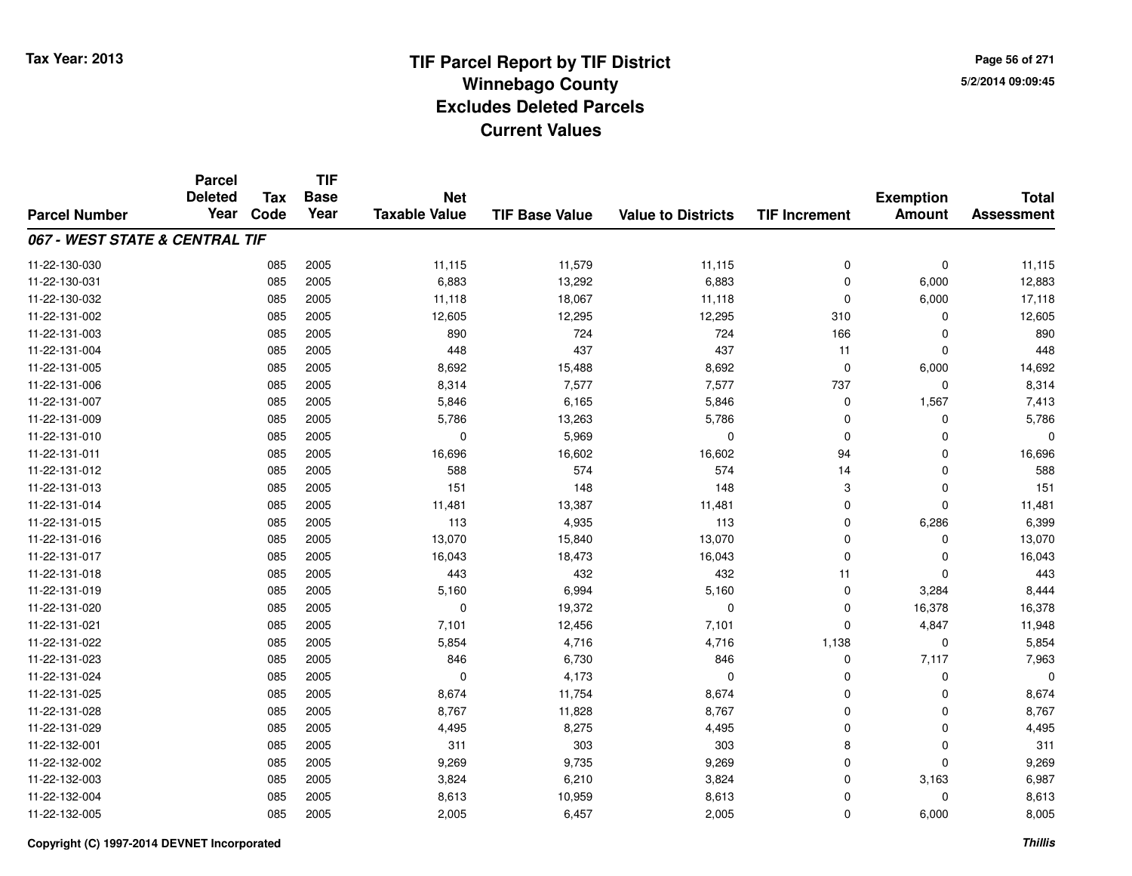**Page 56 of 2715/2/2014 09:09:45**

|                                | <b>Parcel</b><br><b>Deleted</b> | <b>Tax</b> | <b>TIF</b><br><b>Base</b> | <b>Net</b>           |                       |                           |                      | <b>Exemption</b> | <b>Total</b>      |
|--------------------------------|---------------------------------|------------|---------------------------|----------------------|-----------------------|---------------------------|----------------------|------------------|-------------------|
| <b>Parcel Number</b>           | Year                            | Code       | Year                      | <b>Taxable Value</b> | <b>TIF Base Value</b> | <b>Value to Districts</b> | <b>TIF Increment</b> | <b>Amount</b>    | <b>Assessment</b> |
| 067 - WEST STATE & CENTRAL TIF |                                 |            |                           |                      |                       |                           |                      |                  |                   |
| 11-22-130-030                  |                                 | 085        | 2005                      | 11,115               | 11,579                | 11,115                    | 0                    | $\mathbf 0$      | 11,115            |
| 11-22-130-031                  |                                 | 085        | 2005                      | 6,883                | 13,292                | 6,883                     | $\Omega$             | 6,000            | 12,883            |
| 11-22-130-032                  |                                 | 085        | 2005                      | 11,118               | 18,067                | 11,118                    | $\mathbf 0$          | 6,000            | 17,118            |
| 11-22-131-002                  |                                 | 085        | 2005                      | 12,605               | 12,295                | 12,295                    | 310                  | $\mathbf 0$      | 12,605            |
| 11-22-131-003                  |                                 | 085        | 2005                      | 890                  | 724                   | 724                       | 166                  | 0                | 890               |
| 11-22-131-004                  |                                 | 085        | 2005                      | 448                  | 437                   | 437                       | 11                   | $\mathbf 0$      | 448               |
| 11-22-131-005                  |                                 | 085        | 2005                      | 8,692                | 15,488                | 8,692                     | $\mathbf 0$          | 6,000            | 14,692            |
| 11-22-131-006                  |                                 | 085        | 2005                      | 8,314                | 7,577                 | 7,577                     | 737                  | $\mathbf 0$      | 8,314             |
| 11-22-131-007                  |                                 | 085        | 2005                      | 5,846                | 6,165                 | 5,846                     | $\mathbf 0$          | 1,567            | 7,413             |
| 11-22-131-009                  |                                 | 085        | 2005                      | 5,786                | 13,263                | 5,786                     | 0                    | $\mathbf 0$      | 5,786             |
| 11-22-131-010                  |                                 | 085        | 2005                      | $\mathbf 0$          | 5,969                 | $\mathbf 0$               | $\mathbf 0$          | $\Omega$         |                   |
| 11-22-131-011                  |                                 | 085        | 2005                      | 16,696               | 16,602                | 16,602                    | 94                   | $\mathbf 0$      | 16,696            |
| 11-22-131-012                  |                                 | 085        | 2005                      | 588                  | 574                   | 574                       | 14                   | $\mathbf 0$      | 588               |
| 11-22-131-013                  |                                 | 085        | 2005                      | 151                  | 148                   | 148                       | 3                    | 0                | 151               |
| 11-22-131-014                  |                                 | 085        | 2005                      | 11,481               | 13,387                | 11,481                    | $\mathbf 0$          | $\mathbf 0$      | 11,481            |
| 11-22-131-015                  |                                 | 085        | 2005                      | 113                  | 4,935                 | 113                       | $\mathbf 0$          | 6,286            | 6,399             |
| 11-22-131-016                  |                                 | 085        | 2005                      | 13,070               | 15,840                | 13,070                    | $\mathbf 0$          | $\mathbf 0$      | 13,070            |
| 11-22-131-017                  |                                 | 085        | 2005                      | 16,043               | 18,473                | 16,043                    | $\mathbf 0$          | $\mathbf 0$      | 16,043            |
| 11-22-131-018                  |                                 | 085        | 2005                      | 443                  | 432                   | 432                       | 11                   | $\mathbf 0$      | 443               |
| 11-22-131-019                  |                                 | 085        | 2005                      | 5,160                | 6,994                 | 5,160                     | $\mathbf 0$          | 3,284            | 8,444             |
| 11-22-131-020                  |                                 | 085        | 2005                      | $\mathbf 0$          | 19,372                | $\pmb{0}$                 | 0                    | 16,378           | 16,378            |
| 11-22-131-021                  |                                 | 085        | 2005                      | 7,101                | 12,456                | 7,101                     | $\Omega$             | 4,847            | 11,948            |
| 11-22-131-022                  |                                 | 085        | 2005                      | 5,854                | 4,716                 | 4,716                     | 1,138                | $\mathbf 0$      | 5,854             |
| 11-22-131-023                  |                                 | 085        | 2005                      | 846                  | 6,730                 | 846                       | $\mathbf 0$          | 7,117            | 7,963             |
| 11-22-131-024                  |                                 | 085        | 2005                      | $\mathbf 0$          | 4,173                 | $\mathbf 0$               | $\mathbf 0$          | $\mathbf 0$      | $\Omega$          |
| 11-22-131-025                  |                                 | 085        | 2005                      | 8,674                | 11,754                | 8,674                     | $\mathbf 0$          | $\mathbf 0$      | 8,674             |
| 11-22-131-028                  |                                 | 085        | 2005                      | 8,767                | 11,828                | 8,767                     | $\mathbf 0$          | $\mathbf 0$      | 8,767             |
| 11-22-131-029                  |                                 | 085        | 2005                      | 4,495                | 8,275                 | 4,495                     | $\mathbf 0$          | $\mathbf 0$      | 4,495             |
| 11-22-132-001                  |                                 | 085        | 2005                      | 311                  | 303                   | 303                       | 8                    | $\mathbf 0$      | 311               |
| 11-22-132-002                  |                                 | 085        | 2005                      | 9,269                | 9,735                 | 9,269                     | $\mathbf 0$          | $\mathbf 0$      | 9,269             |
| 11-22-132-003                  |                                 | 085        | 2005                      | 3,824                | 6,210                 | 3,824                     | $\Omega$             | 3,163            | 6,987             |
| 11-22-132-004                  |                                 | 085        | 2005                      | 8,613                | 10,959                | 8,613                     | $\Omega$             | $\mathbf 0$      | 8,613             |
| 11-22-132-005                  |                                 | 085        | 2005                      | 2,005                | 6,457                 | 2,005                     | $\Omega$             | 6,000            | 8,005             |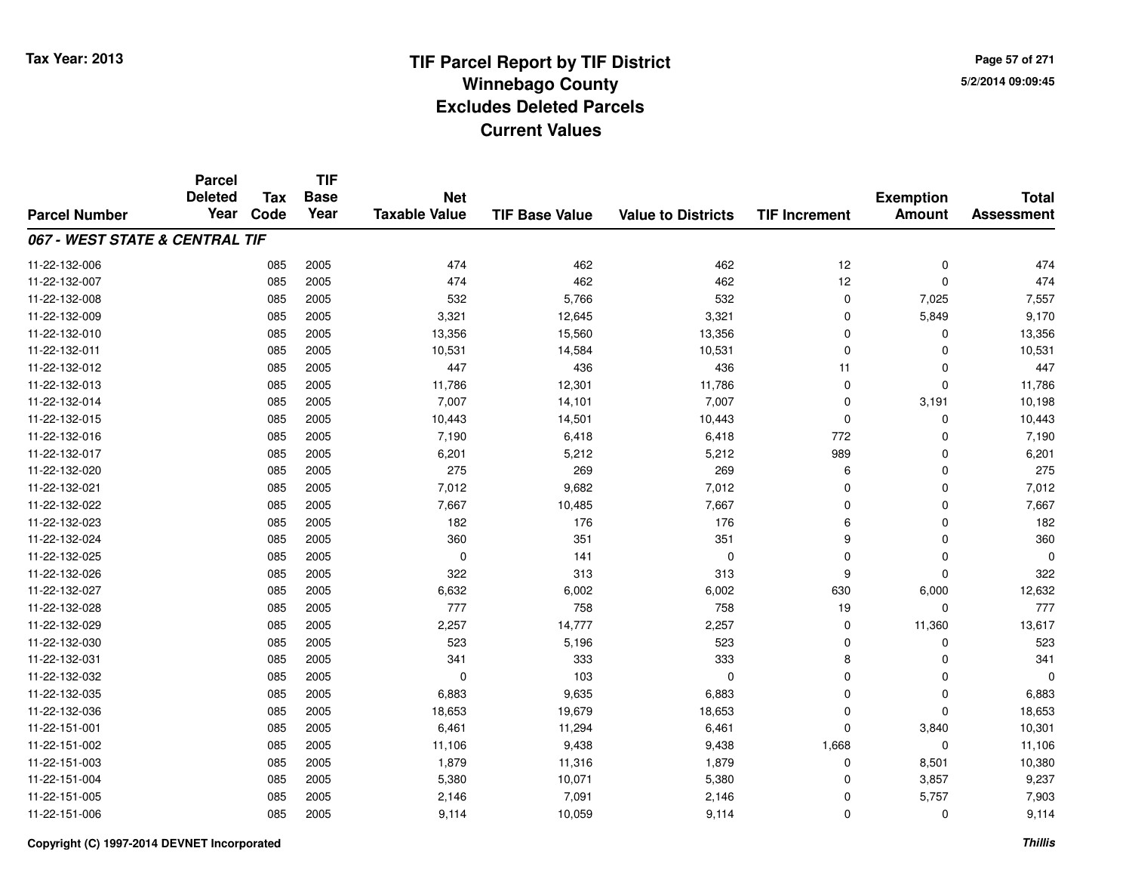**Page 57 of 2715/2/2014 09:09:45**

|                                | <b>Parcel</b><br><b>Deleted</b> | <b>Tax</b> | <b>TIF</b><br><b>Base</b> | <b>Net</b>           |                       |                           |                      | <b>Exemption</b> | <b>Total</b>      |
|--------------------------------|---------------------------------|------------|---------------------------|----------------------|-----------------------|---------------------------|----------------------|------------------|-------------------|
| <b>Parcel Number</b>           | Year                            | Code       | Year                      | <b>Taxable Value</b> | <b>TIF Base Value</b> | <b>Value to Districts</b> | <b>TIF Increment</b> | <b>Amount</b>    | <b>Assessment</b> |
| 067 - WEST STATE & CENTRAL TIF |                                 |            |                           |                      |                       |                           |                      |                  |                   |
| 11-22-132-006                  |                                 | 085        | 2005                      | 474                  | 462                   | 462                       | 12                   | $\mathbf 0$      | 474               |
| 11-22-132-007                  |                                 | 085        | 2005                      | 474                  | 462                   | 462                       | 12                   | $\mathbf 0$      | 474               |
| 11-22-132-008                  |                                 | 085        | 2005                      | 532                  | 5,766                 | 532                       | 0                    | 7,025            | 7,557             |
| 11-22-132-009                  |                                 | 085        | 2005                      | 3,321                | 12,645                | 3,321                     | $\mathbf 0$          | 5,849            | 9,170             |
| 11-22-132-010                  |                                 | 085        | 2005                      | 13,356               | 15,560                | 13,356                    | $\Omega$             | $\Omega$         | 13,356            |
| 11-22-132-011                  |                                 | 085        | 2005                      | 10,531               | 14,584                | 10,531                    | $\mathbf 0$          | 0                | 10,531            |
| 11-22-132-012                  |                                 | 085        | 2005                      | 447                  | 436                   | 436                       | 11                   | 0                | 447               |
| 11-22-132-013                  |                                 | 085        | 2005                      | 11,786               | 12,301                | 11,786                    | $\mathbf 0$          | $\mathbf 0$      | 11,786            |
| 11-22-132-014                  |                                 | 085        | 2005                      | 7,007                | 14,101                | 7,007                     | $\Omega$             | 3,191            | 10,198            |
| 11-22-132-015                  |                                 | 085        | 2005                      | 10,443               | 14,501                | 10,443                    | $\mathbf 0$          | 0                | 10,443            |
| 11-22-132-016                  |                                 | 085        | 2005                      | 7,190                | 6,418                 | 6,418                     | 772                  | $\Omega$         | 7,190             |
| 11-22-132-017                  |                                 | 085        | 2005                      | 6,201                | 5,212                 | 5,212                     | 989                  | 0                | 6,201             |
| 11-22-132-020                  |                                 | 085        | 2005                      | 275                  | 269                   | 269                       | 6                    | $\Omega$         | 275               |
| 11-22-132-021                  |                                 | 085        | 2005                      | 7,012                | 9,682                 | 7,012                     | 0                    | 0                | 7,012             |
| 11-22-132-022                  |                                 | 085        | 2005                      | 7,667                | 10,485                | 7,667                     | $\Omega$             | 0                | 7,667             |
| 11-22-132-023                  |                                 | 085        | 2005                      | 182                  | 176                   | 176                       | 6                    | 0                | 182               |
| 11-22-132-024                  |                                 | 085        | 2005                      | 360                  | 351                   | 351                       | 9                    | $\mathbf 0$      | 360               |
| 11-22-132-025                  |                                 | 085        | 2005                      | $\mathbf 0$          | 141                   | $\mathbf 0$               | $\mathbf 0$          | $\mathbf 0$      | ∩                 |
| 11-22-132-026                  |                                 | 085        | 2005                      | 322                  | 313                   | 313                       | 9                    | $\mathbf 0$      | 322               |
| 11-22-132-027                  |                                 | 085        | 2005                      | 6,632                | 6,002                 | 6,002                     | 630                  | 6,000            | 12,632            |
| 11-22-132-028                  |                                 | 085        | 2005                      | 777                  | 758                   | 758                       | 19                   | $\mathbf 0$      | 777               |
| 11-22-132-029                  |                                 | 085        | 2005                      | 2,257                | 14,777                | 2,257                     | 0                    | 11,360           | 13,617            |
| 11-22-132-030                  |                                 | 085        | 2005                      | 523                  | 5,196                 | 523                       | $\mathbf 0$          | $\mathbf 0$      | 523               |
| 11-22-132-031                  |                                 | 085        | 2005                      | 341                  | 333                   | 333                       | 8                    | $\mathbf 0$      | 341               |
| 11-22-132-032                  |                                 | 085        | 2005                      | $\mathbf 0$          | 103                   | $\mathbf 0$               | $\mathbf 0$          | $\mathbf 0$      | $\Omega$          |
| 11-22-132-035                  |                                 | 085        | 2005                      | 6,883                | 9,635                 | 6,883                     | $\mathbf 0$          | $\mathbf 0$      | 6,883             |
| 11-22-132-036                  |                                 | 085        | 2005                      | 18,653               | 19,679                | 18,653                    | $\Omega$             | $\Omega$         | 18,653            |
| 11-22-151-001                  |                                 | 085        | 2005                      | 6,461                | 11,294                | 6,461                     | $\Omega$             | 3,840            | 10,301            |
| 11-22-151-002                  |                                 | 085        | 2005                      | 11,106               | 9,438                 | 9,438                     | 1,668                | $\mathbf 0$      | 11,106            |
| 11-22-151-003                  |                                 | 085        | 2005                      | 1,879                | 11,316                | 1,879                     | 0                    | 8,501            | 10,380            |
| 11-22-151-004                  |                                 | 085        | 2005                      | 5,380                | 10,071                | 5,380                     | 0                    | 3,857            | 9,237             |
| 11-22-151-005                  |                                 | 085        | 2005                      | 2,146                | 7,091                 | 2,146                     | 0                    | 5,757            | 7,903             |
| 11-22-151-006                  |                                 | 085        | 2005                      | 9,114                | 10,059                | 9,114                     | $\Omega$             | 0                | 9,114             |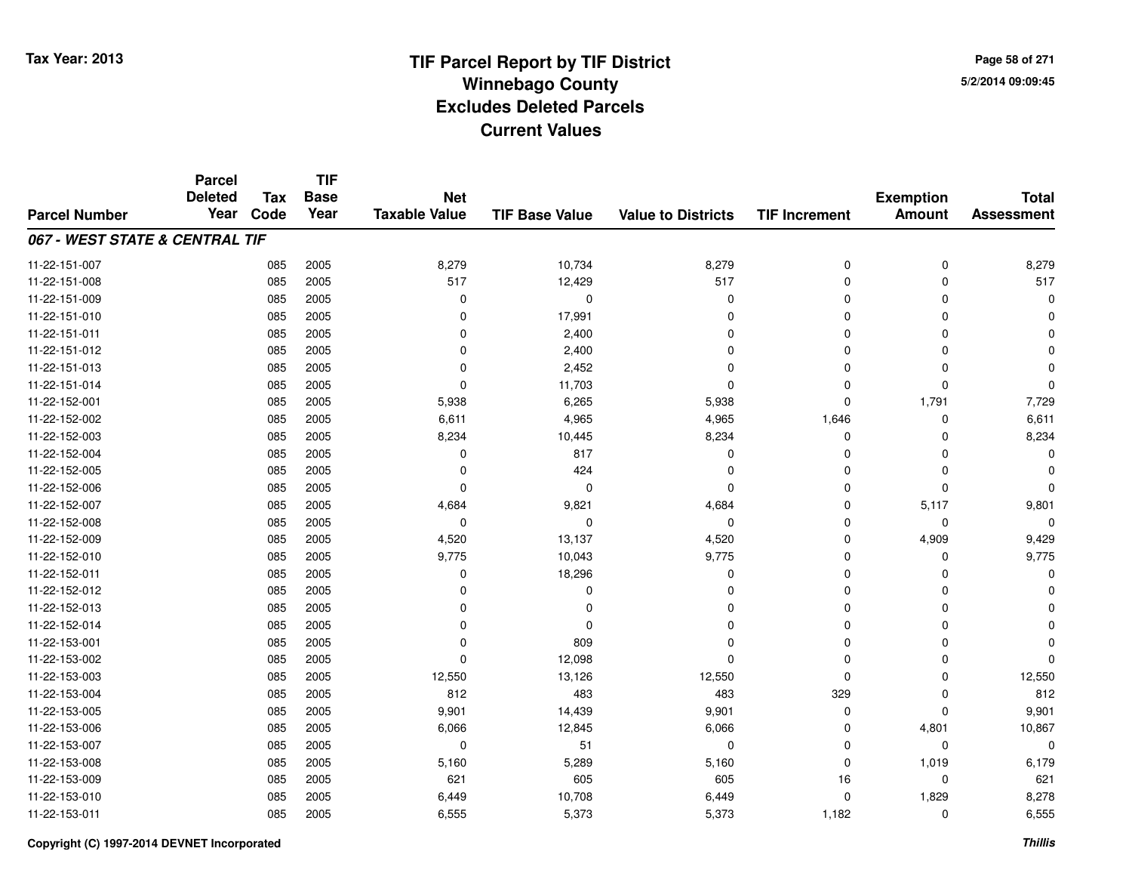**TIF**

**Parcel**

**Page 58 of 2715/2/2014 09:09:45**

#### **TIF Base ValueParcel NumberTotal AssessmentExemption Amount Value to Districts TIF Increment Base YearTax Code Deleted YearNet Taxable Value067 - WEST STATE & CENTRAL TIF**11-22-151-007 <sup>085</sup> 8,279 <sup>2005</sup> 10,734 8,279 <sup>0</sup> <sup>0</sup> 8,279 11-22-151-0088 085 2005 517 12,429 517 0 0 517 11-22-151-009 <sup>085</sup> <sup>0</sup> <sup>2005</sup> <sup>0</sup> <sup>0</sup> <sup>0</sup> <sup>0</sup> <sup>0</sup> 11-22-151-010 <sup>085</sup> <sup>0</sup> <sup>2005</sup> 17,991 <sup>0</sup> <sup>0</sup> <sup>0</sup> <sup>0</sup> 11-22-151-011 <sup>085</sup> <sup>0</sup> <sup>2005</sup> 2,400 <sup>0</sup> <sup>0</sup> <sup>0</sup> <sup>0</sup> 11-22-151-012 <sup>085</sup> <sup>0</sup> <sup>2005</sup> 2,400 <sup>0</sup> <sup>0</sup> <sup>0</sup> <sup>0</sup> 11-22-151-0133 085 2005 0 2,452 0 0 0 0 11-22-151-014 $\frac{4}{100}$   $\frac{6}{5}$   $\frac{1}{2005}$   $\frac{1}{200}$   $\frac{1}{200}$   $\frac{1}{200}$   $\frac{1}{200}$   $\frac{1}{200}$   $\frac{1}{200}$   $\frac{1}{200}$   $\frac{1}{200}$   $\frac{1}{200}$   $\frac{1}{200}$   $\frac{1}{200}$   $\frac{1}{200}$   $\frac{1}{200}$   $\frac{1}{200}$   $\frac{1}{200}$   $\frac{1}{$ 11-22-152-0011 085 2005 5,938 6,265 5,938 0 1,791 7,729 11-22-152-0022 085 2005 6,611 4,965 4,965 1,646 0 6,611 11-22-152-003 <sup>085</sup> 8,234 <sup>2005</sup> 10,445 8,234 <sup>0</sup> <sup>0</sup> 8,234 11-22-152-0044 2005 2005 10 2006 17 2017 2017 10 2018 17 2018 17 2018 17 2018 17 2018 17 2018 1 11-22-152-005 <sup>085</sup> <sup>0</sup> <sup>2005</sup> <sup>424</sup> <sup>0</sup> <sup>0</sup> <sup>0</sup> <sup>0</sup> 11-22-152-006 <sup>085</sup> <sup>0</sup> <sup>2005</sup> <sup>0</sup> <sup>0</sup> <sup>0</sup> <sup>0</sup> <sup>0</sup> 11-22-152-007 <sup>085</sup> 4,684 <sup>2005</sup> 9,821 4,684 <sup>0</sup> 5,117 9,801 11-22-152-008 <sup>085</sup> <sup>0</sup> <sup>2005</sup> <sup>0</sup> <sup>0</sup> <sup>0</sup> <sup>0</sup> <sup>0</sup> 11-22-152-0099 085 2005 4,520 13,137 4,520 0 4,909 9,429 11-22-152-010 <sup>085</sup> 9,775 <sup>2005</sup> 10,043 9,775 <sup>0</sup> <sup>0</sup> 9,775 11-22-152-0111 085 2005 0 18,296 0 0 0 0 11-22-152-012 <sup>085</sup> <sup>0</sup> <sup>2005</sup> <sup>0</sup> <sup>0</sup> <sup>0</sup> <sup>0</sup> <sup>0</sup> 11-22-152-013 <sup>085</sup> <sup>0</sup> <sup>2005</sup> <sup>0</sup> <sup>0</sup> <sup>0</sup> <sup>0</sup> <sup>0</sup> 11-22-152-014 <sup>085</sup> <sup>0</sup> <sup>2005</sup> <sup>0</sup> <sup>0</sup> <sup>0</sup> <sup>0</sup> <sup>0</sup> 11-22-153-0011 085 2005 0 809 0 0 0 0 11-22-153-002 <sup>085</sup> <sup>0</sup> <sup>2005</sup> 12,098 <sup>0</sup> <sup>0</sup> <sup>0</sup> <sup>0</sup> 11-22-153-0033 085 2005 12,550 13,126 12,550 0 12,550 11-22-153-004 <sup>085</sup> <sup>812</sup> <sup>2005</sup> <sup>483</sup> <sup>483</sup> <sup>329</sup> <sup>0</sup> <sup>812</sup> 11-22-153-005 <sup>085</sup> 9,901 <sup>2005</sup> 14,439 9,901 <sup>0</sup> <sup>0</sup> 9,901 11-22-153-0066 085 2005 6,066 12,845 6,066 0 4,801 10,867 11-22-153-007 <sup>085</sup> <sup>0</sup> <sup>2005</sup> <sup>51</sup> <sup>0</sup> <sup>0</sup> <sup>0</sup> <sup>0</sup> 11-22-153-008 <sup>085</sup> 5,160 <sup>2005</sup> 5,289 5,160 <sup>0</sup> 1,019 6,179 11-22-153-0099 085 2005 621 605 605 16 0 621 11-22-153-0100 085 2005 6,449 10,708 6,449 0 1,829 8,278 11-22-153-0111 085 2005 6,555 5,373 5,373 1,182 0 6,555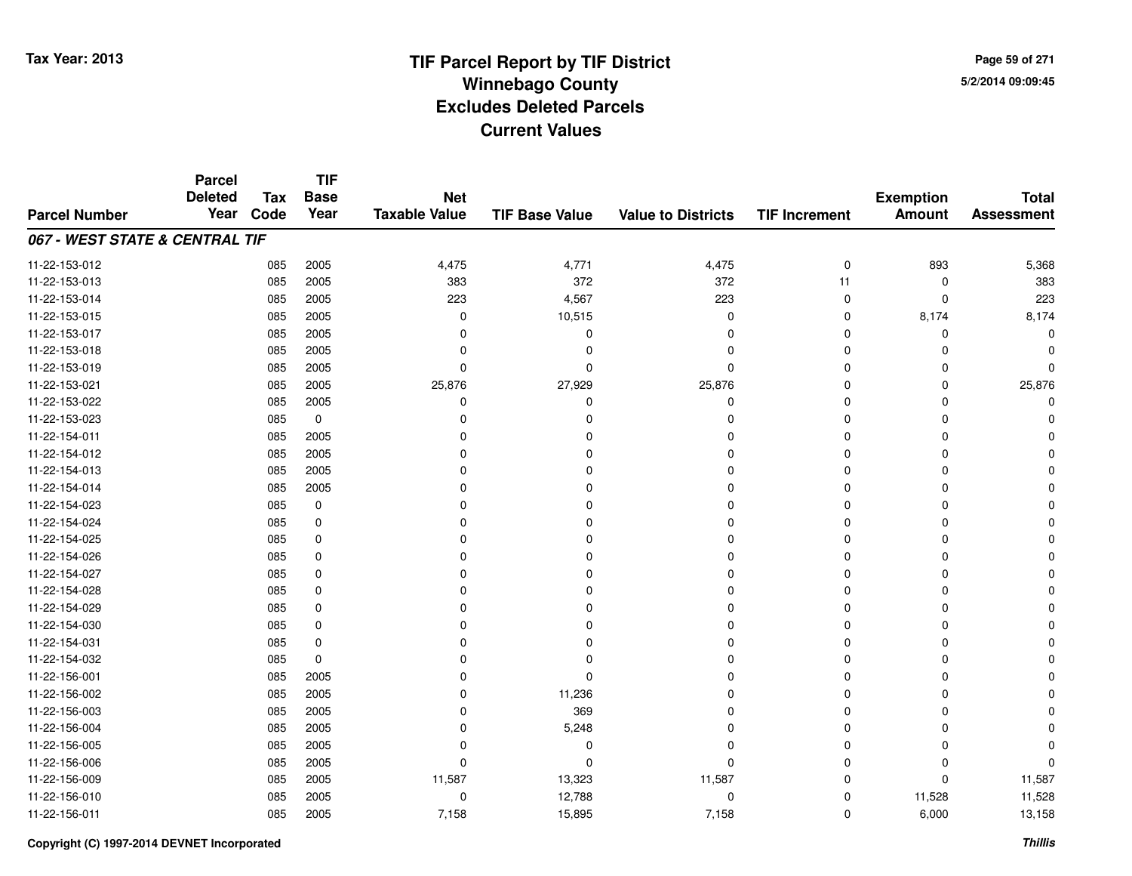**Page 59 of 2715/2/2014 09:09:45**

#### **TIF Base ValueParcel NumberTotal AssessmentExemption Amount Value to Districts TIF IncrementTIF Base YearTax CodeParcel Deleted YearNet Taxable Value067 - WEST STATE & CENTRAL TIF**11-22-153-012 <sup>085</sup> 4,475 <sup>2005</sup> 4,771 4,475 <sup>0</sup> <sup>893</sup> 5,368 11-22-153-013 <sup>085</sup> <sup>383</sup> <sup>2005</sup> <sup>372</sup> <sup>372</sup> <sup>11</sup> <sup>0</sup> <sup>383</sup> 11-22-153-014 <sup>085</sup> <sup>223</sup> <sup>2005</sup> 4,567 <sup>223</sup> <sup>0</sup> <sup>0</sup> <sup>223</sup> 11-22-153-015 <sup>085</sup> <sup>0</sup> <sup>2005</sup> 10,515 <sup>0</sup> <sup>0</sup> 8,174 8,174 11-22-153-017 <sup>085</sup> <sup>0</sup> <sup>2005</sup> <sup>0</sup> <sup>0</sup> <sup>0</sup> <sup>0</sup> <sup>0</sup> 11-22-153-018 <sup>085</sup> <sup>0</sup> <sup>2005</sup> <sup>0</sup> <sup>0</sup> <sup>0</sup> <sup>0</sup> <sup>0</sup> 11-22-153-019 <sup>085</sup> <sup>0</sup> <sup>2005</sup> <sup>0</sup> <sup>0</sup> <sup>0</sup> <sup>0</sup> <sup>0</sup> 11-22-153-0211 085 2005 25,876 27,929 25,876 0 25,876 11-22-153-022 <sup>085</sup> <sup>0</sup> <sup>2005</sup> <sup>0</sup> <sup>0</sup> <sup>0</sup> <sup>0</sup> <sup>0</sup> 11-22-153-023 <sup>085</sup> <sup>0</sup> <sup>0</sup> <sup>0</sup> <sup>0</sup> <sup>0</sup> <sup>0</sup> <sup>0</sup> 11-22-154-011 <sup>085</sup> <sup>0</sup> <sup>2005</sup> <sup>0</sup> <sup>0</sup> <sup>0</sup> <sup>0</sup> <sup>0</sup> 11-22-154-012 <sup>085</sup> <sup>0</sup> <sup>2005</sup> <sup>0</sup> <sup>0</sup> <sup>0</sup> <sup>0</sup> <sup>0</sup> 11-22-154-013 <sup>085</sup> <sup>0</sup> <sup>2005</sup> <sup>0</sup> <sup>0</sup> <sup>0</sup> <sup>0</sup> <sup>0</sup> 11-22-154-014 <sup>085</sup> <sup>0</sup> <sup>2005</sup> <sup>0</sup> <sup>0</sup> <sup>0</sup> <sup>0</sup> <sup>0</sup> 11-22-154-023 <sup>085</sup> <sup>0</sup> <sup>0</sup> <sup>0</sup> <sup>0</sup> <sup>0</sup> <sup>0</sup> <sup>0</sup> 11-22-154-024 <sup>085</sup> <sup>0</sup> <sup>0</sup> <sup>0</sup> <sup>0</sup> <sup>0</sup> <sup>0</sup> <sup>0</sup> 11-22-154-025 <sup>085</sup> <sup>0</sup> <sup>0</sup> <sup>0</sup> <sup>0</sup> <sup>0</sup> <sup>0</sup> <sup>0</sup> 11-22-154-026 <sup>085</sup> <sup>0</sup> <sup>0</sup> <sup>0</sup> <sup>0</sup> <sup>0</sup> <sup>0</sup> <sup>0</sup> 11-22-154-027 <sup>085</sup> <sup>0</sup> <sup>0</sup> <sup>0</sup> <sup>0</sup> <sup>0</sup> <sup>0</sup> <sup>0</sup> 11-22-154-028 <sup>085</sup> <sup>0</sup> <sup>0</sup> <sup>0</sup> <sup>0</sup> <sup>0</sup> <sup>0</sup> <sup>0</sup> 11-22-154-029 <sup>085</sup> <sup>0</sup> <sup>0</sup> <sup>0</sup> <sup>0</sup> <sup>0</sup> <sup>0</sup> <sup>0</sup> 11-22-154-030 <sup>085</sup> <sup>0</sup> <sup>0</sup> <sup>0</sup> <sup>0</sup> <sup>0</sup> <sup>0</sup> <sup>0</sup> 11-22-154-031 <sup>085</sup> <sup>0</sup> <sup>0</sup> <sup>0</sup> <sup>0</sup> <sup>0</sup> <sup>0</sup> <sup>0</sup> 11-22-154-032 <sup>085</sup> <sup>0</sup> <sup>0</sup> <sup>0</sup> <sup>0</sup> <sup>0</sup> <sup>0</sup> <sup>0</sup> 11-22-156-001 <sup>085</sup> <sup>0</sup> <sup>2005</sup> <sup>0</sup> <sup>0</sup> <sup>0</sup> <sup>0</sup> <sup>0</sup> 11-22-156-0022 085 2005 0 11,236 0 0 0 0 11-22-156-0033 085 2005 0 369 0 0 0 0 11-22-156-004 $\frac{4}{10}$  085 2005 0 0 5,248 0 0 0 0 0 0 0 11-22-156-005 <sup>085</sup> <sup>0</sup> <sup>2005</sup> <sup>0</sup> <sup>0</sup> <sup>0</sup> <sup>0</sup> <sup>0</sup> 11-22-156-006 <sup>085</sup> <sup>0</sup> <sup>2005</sup> <sup>0</sup> <sup>0</sup> <sup>0</sup> <sup>0</sup> <sup>0</sup> 11-22-156-0099 085 2005 11,587 13,323 11,587 0 0 11,587 11-22-156-0100 085 2005 0 12,788 0 11,528 11,528 11-22-156-0111 085 2005 7,158 15,895 7,158 0 6,000 13,158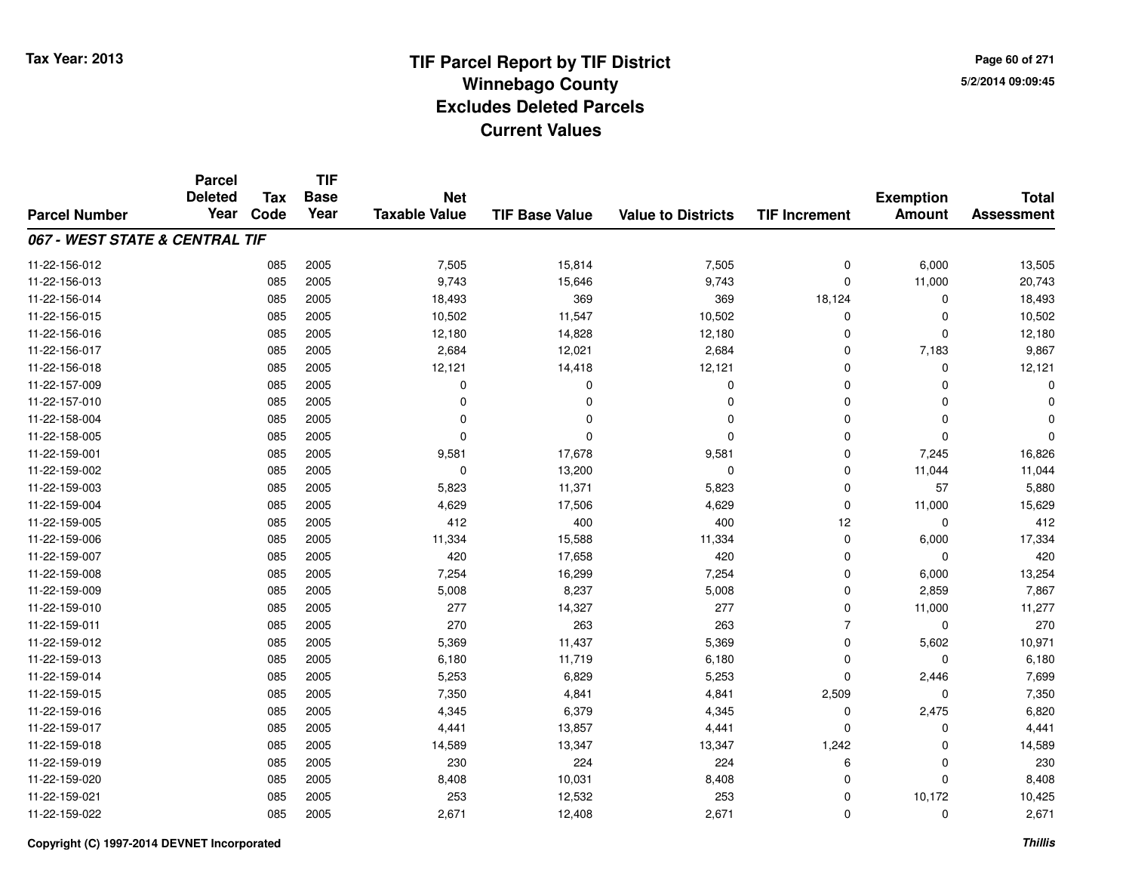**TIF**

**Parcel**

**Page 60 of 2715/2/2014 09:09:45**

#### **TIF Base ValueParcel NumberTotal AssessmentExemption Amount Value to Districts TIF Increment Base YearTax Code Deleted YearNet Taxable Value067 - WEST STATE & CENTRAL TIF**11-22-156-0122 085 2005 7,505 15,814 7,505 0 6,000 13,505 11-22-156-013 <sup>085</sup> 9,743 <sup>2005</sup> 15,646 9,743 <sup>0</sup> 11,000 20,743 11-22-156-014 <sup>085</sup> 18,493 <sup>2005</sup> <sup>369</sup> <sup>369</sup> 18,124 <sup>0</sup> 18,493 11-22-156-015 <sup>085</sup> 10,502 <sup>2005</sup> 11,547 10,502 <sup>0</sup> <sup>0</sup> 10,502 11-22-156-016 <sup>085</sup> 12,180 <sup>2005</sup> 14,828 12,180 <sup>0</sup> <sup>0</sup> 12,180 11-22-156-017 <sup>085</sup> 2,684 <sup>2005</sup> 12,021 2,684 <sup>0</sup> 7,183 9,867 11-22-156-018 <sup>085</sup> 12,121 <sup>2005</sup> 14,418 12,121 <sup>0</sup> <sup>0</sup> 12,121 11-22-157-009 <sup>085</sup> <sup>0</sup> <sup>2005</sup> <sup>0</sup> <sup>0</sup> <sup>0</sup> <sup>0</sup> <sup>0</sup> 11-22-157-010 <sup>085</sup> <sup>0</sup> <sup>2005</sup> <sup>0</sup> <sup>0</sup> <sup>0</sup> <sup>0</sup> <sup>0</sup> 11-22-158-004 <sup>085</sup> <sup>0</sup> <sup>2005</sup> <sup>0</sup> <sup>0</sup> <sup>0</sup> <sup>0</sup> <sup>0</sup> 11-22-158-005 <sup>085</sup> <sup>0</sup> <sup>2005</sup> <sup>0</sup> <sup>0</sup> <sup>0</sup> <sup>0</sup> <sup>0</sup> 11-22-159-0011 085 2005 9,581 17,678 9,581 0 7,245 16,826 11-22-159-002 <sup>085</sup> <sup>0</sup> <sup>2005</sup> 13,200 <sup>0</sup> <sup>0</sup> 11,044 11,044 11-22-159-003 <sup>085</sup> 5,823 <sup>2005</sup> 11,371 5,823 <sup>0</sup> <sup>57</sup> 5,880 11-22-159-004 <sup>085</sup> 4,629 <sup>2005</sup> 17,506 4,629 <sup>0</sup> 11,000 15,629 11-22-159-005 <sup>085</sup> <sup>412</sup> <sup>2005</sup> <sup>400</sup> <sup>400</sup> <sup>12</sup> <sup>0</sup> <sup>412</sup> 11-22-159-006 <sup>085</sup> 11,334 <sup>2005</sup> 15,588 11,334 <sup>0</sup> 6,000 17,334 11-22-159-007 <sup>085</sup> <sup>420</sup> <sup>2005</sup> 17,658 <sup>420</sup> <sup>0</sup> <sup>0</sup> <sup>420</sup> 11-22-159-0088 085 2005 7,254 16,299 7,254 0 6,000 13,254 11-22-159-0099 085 2005 5,008 8,237 5,008 0 2,859 7,867 11-22-159-0100 085 2005 277 14,327 277 0 11,000 11,277 11-22-159-0111 085 2005 270 263 263 7 0 270 11-22-159-0122 085 2005 5,369 11,437 5,369 0 5,602 10,971 11-22-159-0133 085 2005 6,180 11,719 6,180 0 0 6,180 11-22-159-0144 085 2005 5,253 6,829 5,253 0 2,446 7,699 11-22-159-015 <sup>085</sup> 7,350 <sup>2005</sup> 4,841 4,841 2,509 <sup>0</sup> 7,350 11-22-159-0166 085 2005 4,345 6,379 4,345 0 2,475 6,820 11-22-159-0177 085 2005 4,441 13,857 4,441 0 4,441 11-22-159-018 <sup>085</sup> 14,589 <sup>2005</sup> 13,347 13,347 1,242 <sup>0</sup> 14,589 11-22-159-0199 085 2005 230 224 224 6 0 230 11-22-159-0200 085 2005 8,408 10,031 8,408 0 0 8,408 11-22-159-0211 085 2005 253 12,532 253 0 10,172 10,425 11-22-159-0222 085 2005 2,671 12,408 2,671 0 2,671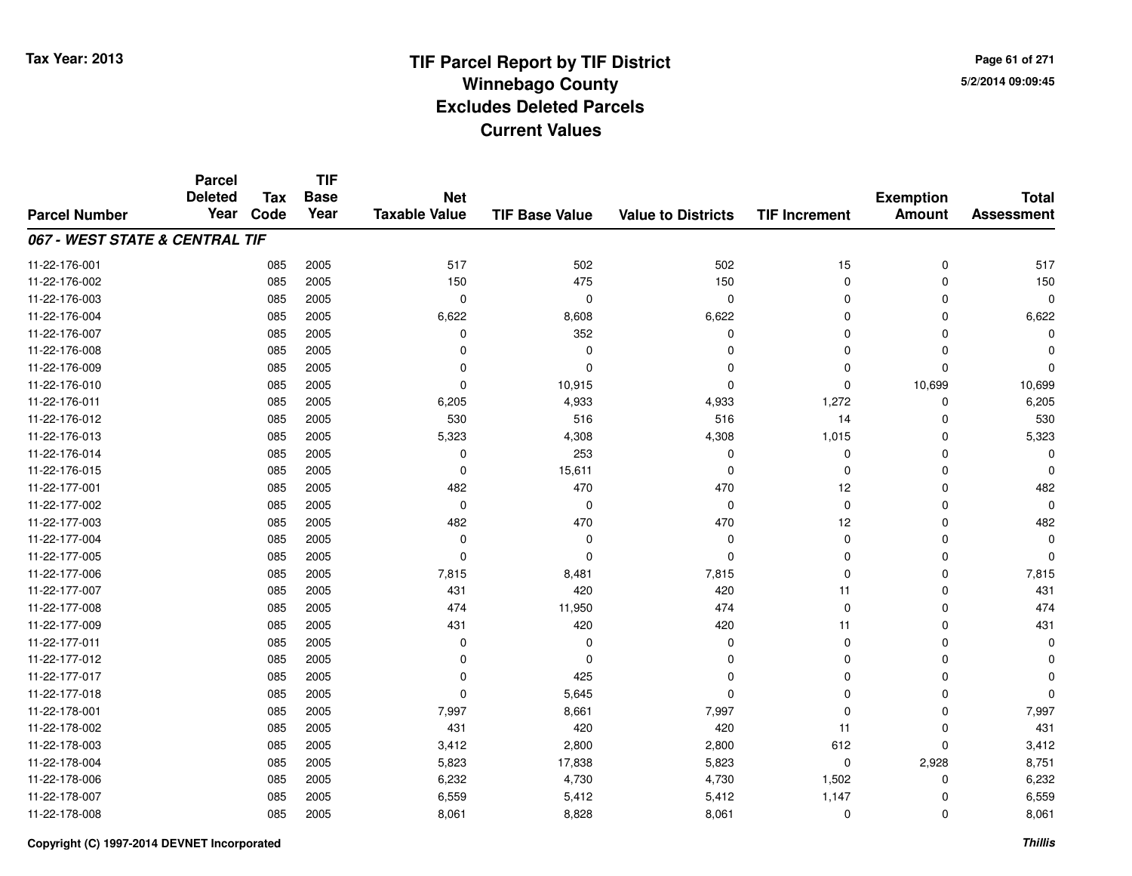**TIF**

**Parcel**

**Page 61 of 2715/2/2014 09:09:45**

#### **TIF Base ValueParcel NumberTotal AssessmentExemption Amount Value to Districts TIF Increment Base YearTax Code Deleted YearNet Taxable Value067 - WEST STATE & CENTRAL TIF**11-22-176-0011 085 2005 517 502 502 15 0 517 11-22-176-0022 085 2005 150 475 150 0 0 150 11-22-176-003 <sup>085</sup> <sup>0</sup> <sup>2005</sup> <sup>0</sup> <sup>0</sup> <sup>0</sup> <sup>0</sup> <sup>0</sup> 11-22-176-0044 085 2005 6,622 8,608 6,622 0 0 6,622 11-22-176-007 <sup>085</sup> <sup>0</sup> <sup>2005</sup> <sup>352</sup> <sup>0</sup> <sup>0</sup> <sup>0</sup> <sup>0</sup> 11-22-176-008 <sup>085</sup> <sup>0</sup> <sup>2005</sup> <sup>0</sup> <sup>0</sup> <sup>0</sup> <sup>0</sup> <sup>0</sup> 11-22-176-009 <sup>085</sup> <sup>0</sup> <sup>2005</sup> <sup>0</sup> <sup>0</sup> <sup>0</sup> <sup>0</sup> <sup>0</sup> 11-22-176-0100 085 2005 0 10,915 0 10,699 10,699 11-22-176-0111 085 2005 6,205 4,933 4,933 1,272 0 6,205 11-22-176-012 <sup>085</sup> <sup>530</sup> <sup>2005</sup> <sup>516</sup> <sup>516</sup> <sup>14</sup> <sup>0</sup> <sup>530</sup> 11-22-176-0133 085 2005 5,323 4,308 4,308 1,015 0 5,323 11-22-176-014 <sup>085</sup> <sup>0</sup> <sup>2005</sup> <sup>253</sup> <sup>0</sup> <sup>0</sup> <sup>0</sup> <sup>0</sup> 11-22-176-0155 085 2005 0 15,611 0 0 0 0 11-22-177-001 <sup>085</sup> <sup>482</sup> <sup>2005</sup> <sup>470</sup> <sup>470</sup> <sup>12</sup> <sup>0</sup> <sup>482</sup> 11-22-177-002 <sup>085</sup> <sup>0</sup> <sup>2005</sup> <sup>0</sup> <sup>0</sup> <sup>0</sup> <sup>0</sup> <sup>0</sup> 11-22-177-003 <sup>085</sup> <sup>482</sup> <sup>2005</sup> <sup>470</sup> <sup>470</sup> <sup>12</sup> <sup>0</sup> <sup>482</sup> 11-22-177-004 <sup>085</sup> <sup>0</sup> <sup>2005</sup> <sup>0</sup> <sup>0</sup> <sup>0</sup> <sup>0</sup> <sup>0</sup> 11-22-177-005 <sup>085</sup> <sup>0</sup> <sup>2005</sup> <sup>0</sup> <sup>0</sup> <sup>0</sup> <sup>0</sup> <sup>0</sup> 11-22-177-0066 085 2005 7,815 8,481 7,815 0 7,815 11-22-177-007 <sup>085</sup> <sup>431</sup> <sup>2005</sup> <sup>420</sup> <sup>420</sup> <sup>11</sup> <sup>0</sup> <sup>431</sup> 11-22-177-008 <sup>085</sup> <sup>474</sup> <sup>2005</sup> 11,950 <sup>474</sup> <sup>0</sup> <sup>0</sup> <sup>474</sup> 11-22-177-0099 085 2005 431 420 420 11 0 431 11-22-177-011 <sup>085</sup> <sup>0</sup> <sup>2005</sup> <sup>0</sup> <sup>0</sup> <sup>0</sup> <sup>0</sup> <sup>0</sup> 11-22-177-012 <sup>085</sup> <sup>0</sup> <sup>2005</sup> <sup>0</sup> <sup>0</sup> <sup>0</sup> <sup>0</sup> <sup>0</sup> 11-22-177-017 <sup>085</sup> <sup>0</sup> <sup>2005</sup> <sup>425</sup> <sup>0</sup> <sup>0</sup> <sup>0</sup> <sup>0</sup> 11-22-177-0188 085 2005 0 5,645 0 0 0 0 11-22-178-0011 085 2005 7,997 8,661 7,997 0 0 7,997 11-22-178-002 <sup>085</sup> <sup>431</sup> <sup>2005</sup> <sup>420</sup> <sup>420</sup> <sup>11</sup> <sup>0</sup> <sup>431</sup> 11-22-178-003 <sup>085</sup> 3,412 <sup>2005</sup> 2,800 2,800 <sup>612</sup> <sup>0</sup> 3,412 11-22-178-004 <sup>085</sup> 5,823 <sup>2005</sup> 17,838 5,823 <sup>0</sup> 2,928 8,751 11-22-178-0066 085 2005 6,232 4,730 4,730 1,502 0 6,232 11-22-178-007 <sup>085</sup> 6,559 <sup>2005</sup> 5,412 5,412 1,147 <sup>0</sup> 6,559 11-22-178-0088 085 2005 8,061 8,828 8,061 0 8,061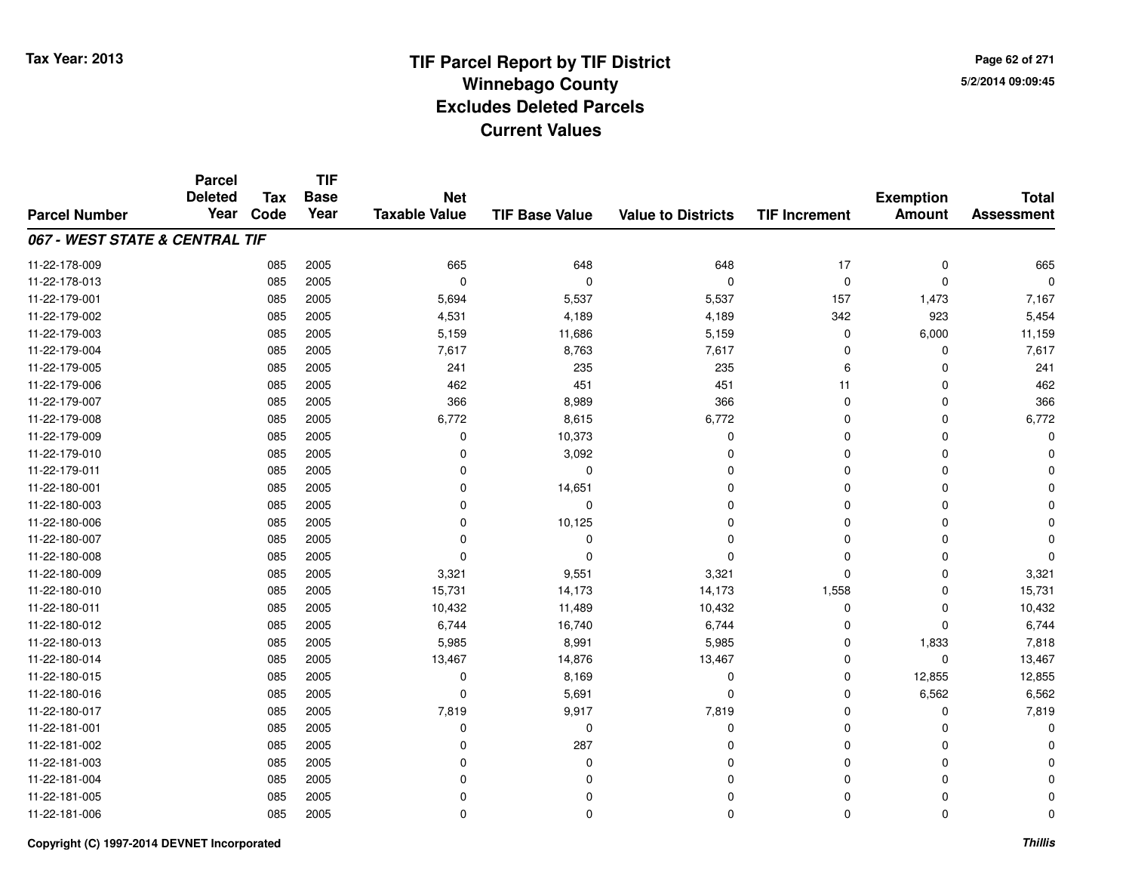**Page 62 of 2715/2/2014 09:09:45**

#### **TIF Base ValueParcel NumberTotal AssessmentExemption Amount Value to Districts TIF IncrementTIF Base YearTax CodeParcel Deleted YearNet Taxable Value067 - WEST STATE & CENTRAL TIF**11-22-178-0099 085 2005 665 648 648 17 0 665 11-22-178-013 <sup>085</sup> <sup>0</sup> <sup>2005</sup> <sup>0</sup> <sup>0</sup> <sup>0</sup> <sup>0</sup> <sup>0</sup> 11-22-179-001 <sup>085</sup> 5,694 <sup>2005</sup> 5,537 5,537 <sup>157</sup> 1,473 7,167 11-22-179-002 <sup>085</sup> 4,531 <sup>2005</sup> 4,189 4,189 <sup>342</sup> <sup>923</sup> 5,454 11-22-179-0033 085 2005 5,159 11,686 5,159 0 6,000 11,159 11-22-179-0044 085 2005 7,617 8,763 7,617 0 0 7,617 11-22-179-005 <sup>085</sup> <sup>241</sup> <sup>2005</sup> <sup>235</sup> <sup>235</sup> <sup>6</sup> <sup>0</sup> <sup>241</sup> 11-22-179-0066 085 2005 462 451 451 11 0 462 11-22-179-007 <sup>085</sup> <sup>366</sup> <sup>2005</sup> 8,989 <sup>366</sup> <sup>0</sup> <sup>0</sup> <sup>366</sup> 11-22-179-0088 085 2005 6,772 8,615 6,772 0 0 6,772 11-22-179-0099 085 2005 0 10,373 0 0 0 0 11-22-179-010 <sup>085</sup> <sup>0</sup> <sup>2005</sup> 3,092 <sup>0</sup> <sup>0</sup> <sup>0</sup> <sup>0</sup> 11-22-179-011 <sup>085</sup> <sup>0</sup> <sup>2005</sup> <sup>0</sup> <sup>0</sup> <sup>0</sup> <sup>0</sup> <sup>0</sup> 11-22-180-0011 085 2005 0 14,651 0 0 0 0 11-22-180-003 <sup>085</sup> <sup>0</sup> <sup>2005</sup> <sup>0</sup> <sup>0</sup> <sup>0</sup> <sup>0</sup> <sup>0</sup> 11-22-180-0066 085 2005 0 10,125 0 0 0 0 11-22-180-007 <sup>085</sup> <sup>0</sup> <sup>2005</sup> <sup>0</sup> <sup>0</sup> <sup>0</sup> <sup>0</sup> <sup>0</sup> 11-22-180-008 <sup>085</sup> <sup>0</sup> <sup>2005</sup> <sup>0</sup> <sup>0</sup> <sup>0</sup> <sup>0</sup> <sup>0</sup> 11-22-180-0099 085 2005 3,321 9,551 3,321 0 3,321 11-22-180-0100 085 2005 15,731 14,173 14,173 1,558 0 15,731 11-22-180-0111 085 2005 10,432 11,489 10,432 0 0 10,432 11-22-180-0122 085 2005 6,744 16,740 6,744 0 0 6,744 11-22-180-0133 085 2005 5,985 8,991 5,985 0 1,833 7,818 11-22-180-014 <sup>085</sup> 13,467 <sup>2005</sup> 14,876 13,467 <sup>0</sup> <sup>0</sup> 13,467 11-22-180-0155 085 2005 0 8,169 0 0 12,855 12,855 11-22-180-0166 085 2005 0 5,691 0 0 6,562 6,562 11-22-180-0177 085 2005 7,819 9,917 7,819 0 0 7,819 11-22-181-001 <sup>085</sup> <sup>0</sup> <sup>2005</sup> <sup>0</sup> <sup>0</sup> <sup>0</sup> <sup>0</sup> <sup>0</sup> 11-22-181-0022 085 2005 0 287 0 0 0 0 11-22-181-003 <sup>085</sup> <sup>0</sup> <sup>2005</sup> <sup>0</sup> <sup>0</sup> <sup>0</sup> <sup>0</sup> <sup>0</sup> 11-22-181-004 <sup>085</sup> <sup>0</sup> <sup>2005</sup> <sup>0</sup> <sup>0</sup> <sup>0</sup> <sup>0</sup> <sup>0</sup> 11-22-181-005 <sup>085</sup> <sup>0</sup> <sup>2005</sup> <sup>0</sup> <sup>0</sup> <sup>0</sup> <sup>0</sup> <sup>0</sup> 11-22-181-006<sup>085</sup> <sup>0</sup> <sup>2005</sup> <sup>0</sup> <sup>0</sup> <sup>0</sup> <sup>0</sup> <sup>0</sup>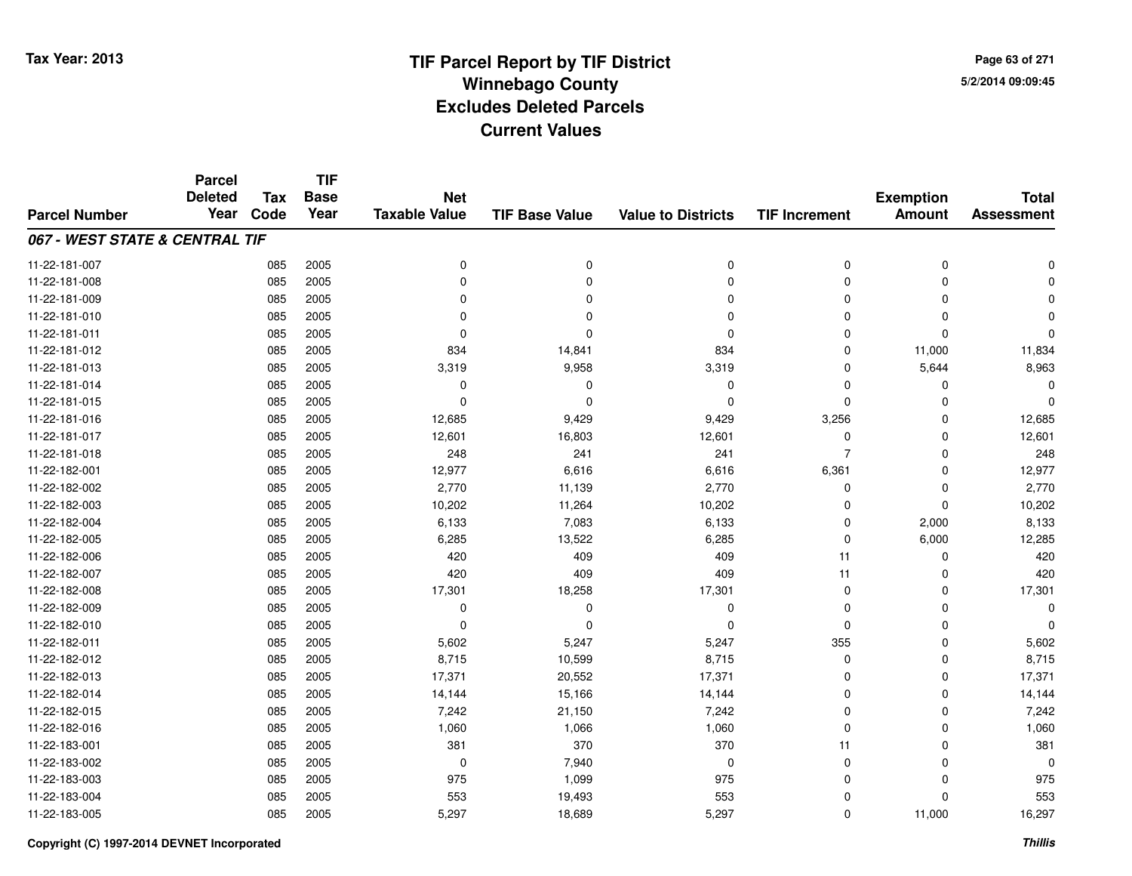**TIF**

**Parcel**

**Page 63 of 2715/2/2014 09:09:45**

| <b>Parcel Number</b>           | <b>Deleted</b><br>Year | <b>Tax</b><br>Code | <b>Base</b><br>Year | <b>Net</b><br><b>Taxable Value</b> | <b>TIF Base Value</b> | <b>Value to Districts</b> | <b>TIF Increment</b> | <b>Exemption</b><br><b>Amount</b> | <b>Total</b><br><b>Assessment</b> |
|--------------------------------|------------------------|--------------------|---------------------|------------------------------------|-----------------------|---------------------------|----------------------|-----------------------------------|-----------------------------------|
| 067 - WEST STATE & CENTRAL TIF |                        |                    |                     |                                    |                       |                           |                      |                                   |                                   |
| 11-22-181-007                  |                        | 085                | 2005                | $\mathbf 0$                        | 0                     | 0                         | 0                    | 0                                 |                                   |
| 11-22-181-008                  |                        | 085                | 2005                | $\Omega$                           | $\Omega$              | $\Omega$                  | 0                    | $\Omega$                          |                                   |
| 11-22-181-009                  |                        | 085                | 2005                | $\Omega$                           | O                     | $\Omega$                  | 0                    | $\Omega$                          |                                   |
| 11-22-181-010                  |                        | 085                | 2005                | $\Omega$                           | $\Omega$              | $\Omega$                  | 0                    | $\Omega$                          |                                   |
| 11-22-181-011                  |                        | 085                | 2005                | $\Omega$                           | $\Omega$              | $\Omega$                  | $\mathbf 0$          | $\mathbf 0$                       | $\Omega$                          |
| 11-22-181-012                  |                        | 085                | 2005                | 834                                | 14,841                | 834                       | $\mathbf 0$          | 11,000                            | 11,834                            |
| 11-22-181-013                  |                        | 085                | 2005                | 3,319                              | 9,958                 | 3,319                     | $\mathbf 0$          | 5,644                             | 8,963                             |
| 11-22-181-014                  |                        | 085                | 2005                | 0                                  | 0                     | $\Omega$                  | $\mathbf 0$          | $\Omega$                          | O                                 |
| 11-22-181-015                  |                        | 085                | 2005                | 0                                  | $\Omega$              | $\Omega$                  | $\mathbf 0$          | $\Omega$                          | $\Omega$                          |
| 11-22-181-016                  |                        | 085                | 2005                | 12,685                             | 9,429                 | 9,429                     | 3,256                | $\Omega$                          | 12,685                            |
| 11-22-181-017                  |                        | 085                | 2005                | 12,601                             | 16,803                | 12,601                    | 0                    | $\Omega$                          | 12,601                            |
| 11-22-181-018                  |                        | 085                | 2005                | 248                                | 241                   | 241                       | $\overline{7}$       | $\Omega$                          | 248                               |
| 11-22-182-001                  |                        | 085                | 2005                | 12,977                             | 6,616                 | 6,616                     | 6,361                | 0                                 | 12,977                            |
| 11-22-182-002                  |                        | 085                | 2005                | 2,770                              | 11,139                | 2,770                     | 0                    | $\mathbf 0$                       | 2,770                             |
| 11-22-182-003                  |                        | 085                | 2005                | 10,202                             | 11,264                | 10,202                    | 0                    | 0                                 | 10,202                            |
| 11-22-182-004                  |                        | 085                | 2005                | 6,133                              | 7,083                 | 6,133                     | 0                    | 2,000                             | 8,133                             |
| 11-22-182-005                  |                        | 085                | 2005                | 6,285                              | 13,522                | 6,285                     | 0                    | 6,000                             | 12,285                            |
| 11-22-182-006                  |                        | 085                | 2005                | 420                                | 409                   | 409                       | 11                   | 0                                 | 420                               |
| 11-22-182-007                  |                        | 085                | 2005                | 420                                | 409                   | 409                       | 11                   | $\Omega$                          | 420                               |
| 11-22-182-008                  |                        | 085                | 2005                | 17,301                             | 18,258                | 17,301                    | $\mathbf 0$          | $\Omega$                          | 17,301                            |
| 11-22-182-009                  |                        | 085                | 2005                | $\mathbf 0$                        | $\Omega$              | 0                         | 0                    | $\Omega$                          | 0                                 |
| 11-22-182-010                  |                        | 085                | 2005                | $\Omega$                           | $\Omega$              | $\Omega$                  | $\mathbf 0$          | $\Omega$                          | $\Omega$                          |
| 11-22-182-011                  |                        | 085                | 2005                | 5,602                              | 5,247                 | 5,247                     | 355                  | $\Omega$                          | 5,602                             |
| 11-22-182-012                  |                        | 085                | 2005                | 8,715                              | 10,599                | 8,715                     | 0                    | $\Omega$                          | 8,715                             |
| 11-22-182-013                  |                        | 085                | 2005                | 17,371                             | 20,552                | 17,371                    | 0                    | $\Omega$                          | 17,371                            |
| 11-22-182-014                  |                        | 085                | 2005                | 14,144                             | 15,166                | 14,144                    | 0                    | $\Omega$                          | 14,144                            |
| 11-22-182-015                  |                        | 085                | 2005                | 7,242                              | 21,150                | 7,242                     | $\mathbf 0$          | $\Omega$                          | 7,242                             |
| 11-22-182-016                  |                        | 085                | 2005                | 1,060                              | 1,066                 | 1,060                     | $\mathbf 0$          | $\Omega$                          | 1,060                             |
| 11-22-183-001                  |                        | 085                | 2005                | 381                                | 370                   | 370                       | 11                   | $\Omega$                          | 381                               |
| 11-22-183-002                  |                        | 085                | 2005                | 0                                  | 7,940                 | $\Omega$                  | 0                    | 0                                 | $\mathbf 0$                       |
| 11-22-183-003                  |                        | 085                | 2005                | 975                                | 1,099                 | 975                       | 0                    | $\Omega$                          | 975                               |
| 11-22-183-004                  |                        | 085                | 2005                | 553                                | 19,493                | 553                       | 0                    | $\Omega$                          | 553                               |
| 11-22-183-005                  |                        | 085                | 2005                | 5,297                              | 18,689                | 5,297                     | 0                    | 11,000                            | 16,297                            |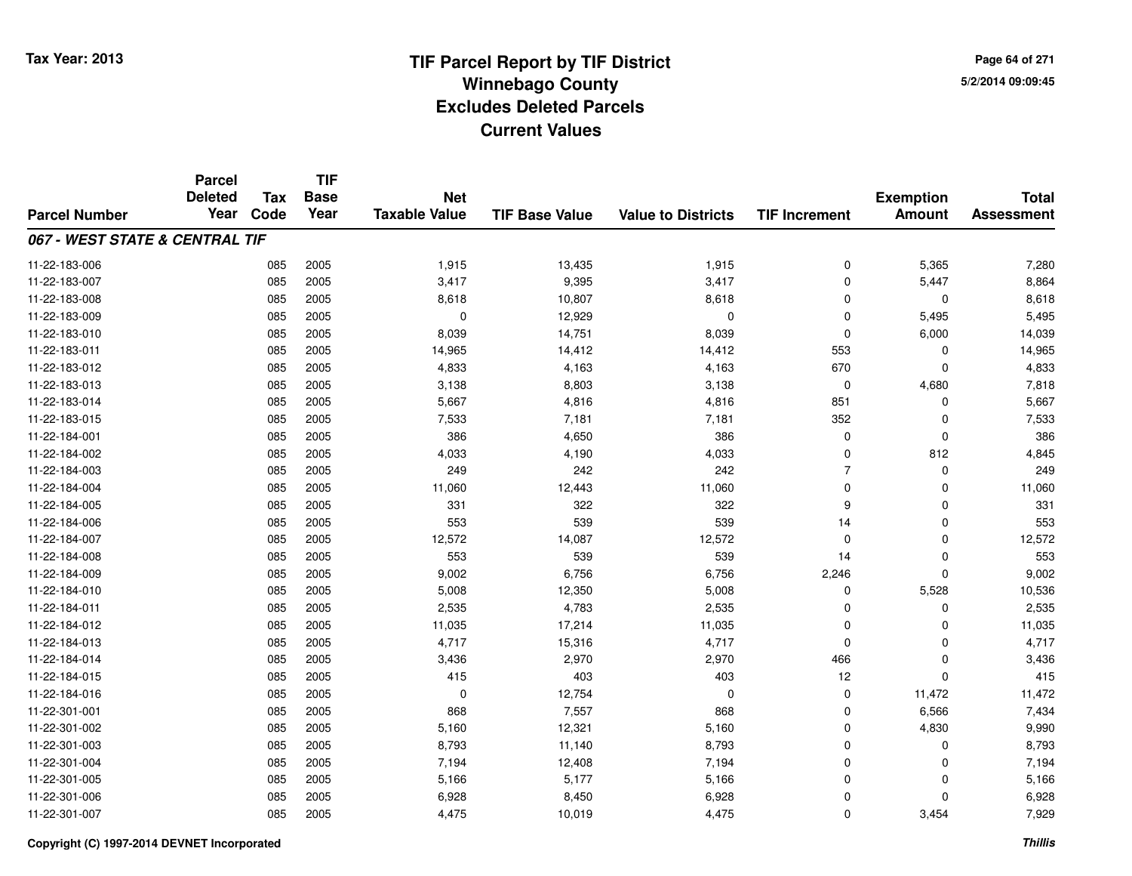**TIF**

**Parcel**

**Page 64 of 2715/2/2014 09:09:45**

#### **TIF Base ValueParcel NumberTotal AssessmentExemption Amount Value to Districts TIF Increment Base YearTax Code Deleted YearNet Taxable Value067 - WEST STATE & CENTRAL TIF**11-22-183-0066 085 2005 1,915 13,435 1,915 0 5,365 7,280 11-22-183-007 <sup>085</sup> 3,417 <sup>2005</sup> 9,395 3,417 <sup>0</sup> 5,447 8,864 11-22-183-0088 085 2005 8,618 10,807 8,618 0 0 8,618 11-22-183-0099 085 2005 0 12,929 0 5,495 5,495 11-22-183-0100 085 2005 8,039 14,751 8,039 0 6,000 14,039 11-22-183-0111 085 2005 14,965 14,412 14,412 553 0 14,965 11-22-183-0122 085 2005 4,833 4,163 4,163 670 0 4,833 11-22-183-0133 085 2005 3,138 8,803 3,138 0 4,680 7,818 11-22-183-014 <sup>085</sup> 5,667 <sup>2005</sup> 4,816 4,816 <sup>851</sup> <sup>0</sup> 5,667 11-22-183-015 <sup>085</sup> 7,533 <sup>2005</sup> 7,181 7,181 <sup>352</sup> <sup>0</sup> 7,533 11-22-184-0011 085 2005 386 4,650 386 0 0 386 11-22-184-0022 085 2005 4,033 4,190 4,033 0 812 4,845 11-22-184-003 <sup>085</sup> <sup>249</sup> <sup>2005</sup> <sup>242</sup> <sup>242</sup> <sup>7</sup> <sup>0</sup> <sup>249</sup> 11-22-184-004 <sup>085</sup> 11,060 <sup>2005</sup> 12,443 11,060 <sup>0</sup> <sup>0</sup> 11,060 11-22-184-005 <sup>085</sup> <sup>331</sup> <sup>2005</sup> <sup>322</sup> <sup>322</sup> <sup>9</sup> <sup>0</sup> <sup>331</sup> 11-22-184-006 <sup>085</sup> <sup>553</sup> <sup>2005</sup> <sup>539</sup> <sup>539</sup> <sup>14</sup> <sup>0</sup> <sup>553</sup> 11-22-184-007 <sup>085</sup> 12,572 <sup>2005</sup> 14,087 12,572 <sup>0</sup> <sup>0</sup> 12,572 11-22-184-008 <sup>085</sup> <sup>553</sup> <sup>2005</sup> <sup>539</sup> <sup>539</sup> <sup>14</sup> <sup>0</sup> <sup>553</sup> 11-22-184-009 <sup>085</sup> 9,002 <sup>2005</sup> 6,756 6,756 2,246 <sup>0</sup> 9,002 11-22-184-0100 085 2005 5,008 12,350 5,008 0 5,528 10,536 11-22-184-0111 085 2005 2,535 4,783 2,535 0 2,535 11-22-184-012 <sup>085</sup> 11,035 <sup>2005</sup> 17,214 11,035 <sup>0</sup> <sup>0</sup> 11,035 11-22-184-0133 085 2005 4,717 15,316 4,717 0 0 4,717 11-22-184-014 <sup>085</sup> 3,436 <sup>2005</sup> 2,970 2,970 <sup>466</sup> <sup>0</sup> 3,436 11-22-184-015 <sup>085</sup> <sup>415</sup> <sup>2005</sup> <sup>403</sup> <sup>403</sup> <sup>12</sup> <sup>0</sup> <sup>415</sup> 11-22-184-016 <sup>085</sup> <sup>0</sup> <sup>2005</sup> 12,754 <sup>0</sup> <sup>0</sup> 11,472 11,472 11-22-301-0011 085 2005 868 7<sub>,</sub>557 868 0 6,566 7,434 11-22-301-0022 085 2005 5,160 12,321 5,160 0 4,830 9,990 11-22-301-003 <sup>085</sup> 8,793 <sup>2005</sup> 11,140 8,793 <sup>0</sup> <sup>0</sup> 8,793 11-22-301-004 <sup>085</sup> 7,194 <sup>2005</sup> 12,408 7,194 <sup>0</sup> <sup>0</sup> 7,194 11-22-301-005 <sup>085</sup> 5,166 <sup>2005</sup> 5,177 5,166 <sup>0</sup> <sup>0</sup> 5,166 11-22-301-0066 085 2005 6,928 8,450 6,928 0 0 6,928 11-22-301-007<sup>085</sup> 4,475 <sup>2005</sup> 10,019 4,475 <sup>0</sup> 3,454 7,929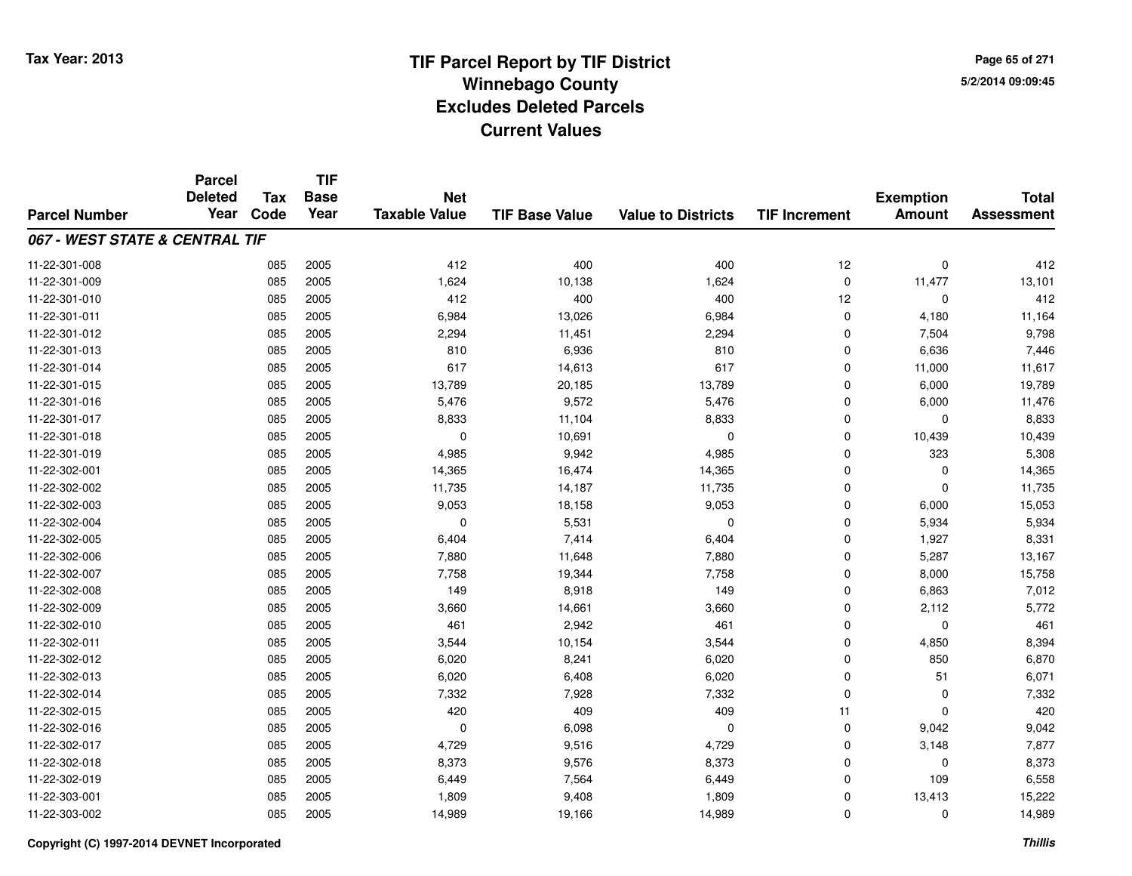**TIF**

**Parcel**

**Page 65 of 2715/2/2014 09:09:45**

#### **TIF Base ValueParcel NumberTotal AssessmentExemption Amount Value to Districts TIF Increment Base YearTax Code Deleted YearNet Taxable Value067 - WEST STATE & CENTRAL TIF**11-22-301-008 <sup>085</sup> <sup>412</sup> <sup>2005</sup> <sup>400</sup> <sup>400</sup> <sup>12</sup> <sup>0</sup> <sup>412</sup> 11-22-301-0099 085 2005 1,624 10,138 1,624 0 11,477 13,101 11-22-301-0100 085 2005 412 400 400 12 0 412 11-22-301-0111 085 2005 6,984 13,026 6,984 0 4,180 11,164 11-22-301-0122 085 2005 2,294 11,451 2,294 0 7,504 9,798 11-22-301-0133 085 2005 810 6,936 810 0 6,636 7,446 11-22-301-014 <sup>085</sup> <sup>617</sup> <sup>2005</sup> 14,613 <sup>617</sup> <sup>0</sup> 11,000 11,617 11-22-301-015 <sup>085</sup> 13,789 <sup>2005</sup> 20,185 13,789 <sup>0</sup> 6,000 19,789 11-22-301-016 <sup>085</sup> 5,476 <sup>2005</sup> 9,572 5,476 <sup>0</sup> 6,000 11,476 11-22-301-0177 085 2005 8,833 11,104 8,833 0 8,833 11-22-301-0188 085 2005 0 10,691 0 0 10,439 10,439 11-22-301-0199 085 2005 4,985 9,942 4,985 0 323 5,308 11-22-302-0011 085 2005 14,365 16,474 14,365 0 0 14,365 11-22-302-002 <sup>085</sup> 11,735 <sup>2005</sup> 14,187 11,735 <sup>0</sup> <sup>0</sup> 11,735 11-22-302-0033 085 2005 9,053 18,158 9,053 0 6,000 15,053 11-22-302-004 <sup>085</sup> <sup>0</sup> <sup>2005</sup> 5,531 <sup>0</sup> <sup>0</sup> 5,934 5,934 11-22-302-005 <sup>085</sup> 6,404 <sup>2005</sup> 7,414 6,404 <sup>0</sup> 1,927 8,331 11-22-302-006 <sup>085</sup> 7,880 <sup>2005</sup> 11,648 7,880 <sup>0</sup> 5,287 13,167 11-22-302-007 <sup>085</sup> 7,758 <sup>2005</sup> 19,344 7,758 <sup>0</sup> 8,000 15,758 11-22-302-0088 085 2005 149 8,918 149 0 6,863 7,012 11-22-302-0099 085 2005 3,660 14,661 3,660 0 2,112 5,772 11-22-302-0100 085 2005 461 2,942 461 0 0 461 11-22-302-0111 085 2005 3,544 10,154 3,544 0 4,850 8,394 11-22-302-0122 085 2005 6,020 8,241 6,020 0 850 6,870 11-22-302-0133 085 2005 6,020 6,408 6,020 0 51 6,071 11-22-302-014 <sup>085</sup> 7,332 <sup>2005</sup> 7,928 7,332 <sup>0</sup> <sup>0</sup> 7,332 11-22-302-015 <sup>085</sup> <sup>420</sup> <sup>2005</sup> <sup>409</sup> <sup>409</sup> <sup>11</sup> <sup>0</sup> <sup>420</sup> 11-22-302-016 <sup>085</sup> <sup>0</sup> <sup>2005</sup> 6,098 <sup>0</sup> <sup>0</sup> 9,042 9,042 11-22-302-017 <sup>085</sup> 4,729 <sup>2005</sup> 9,516 4,729 <sup>0</sup> 3,148 7,877 11-22-302-018 <sup>085</sup> 8,373 <sup>2005</sup> 9,576 8,373 <sup>0</sup> <sup>0</sup> 8,373 11-22-302-0199 085 2005 6,449 7,564 6,449 0 109 6,558 11-22-303-0011 085 2005 1,809 9,408 1,809 0 13,413 15,222 11-22-303-0022 085 2005 14,989 19,166 14,989 0 14,989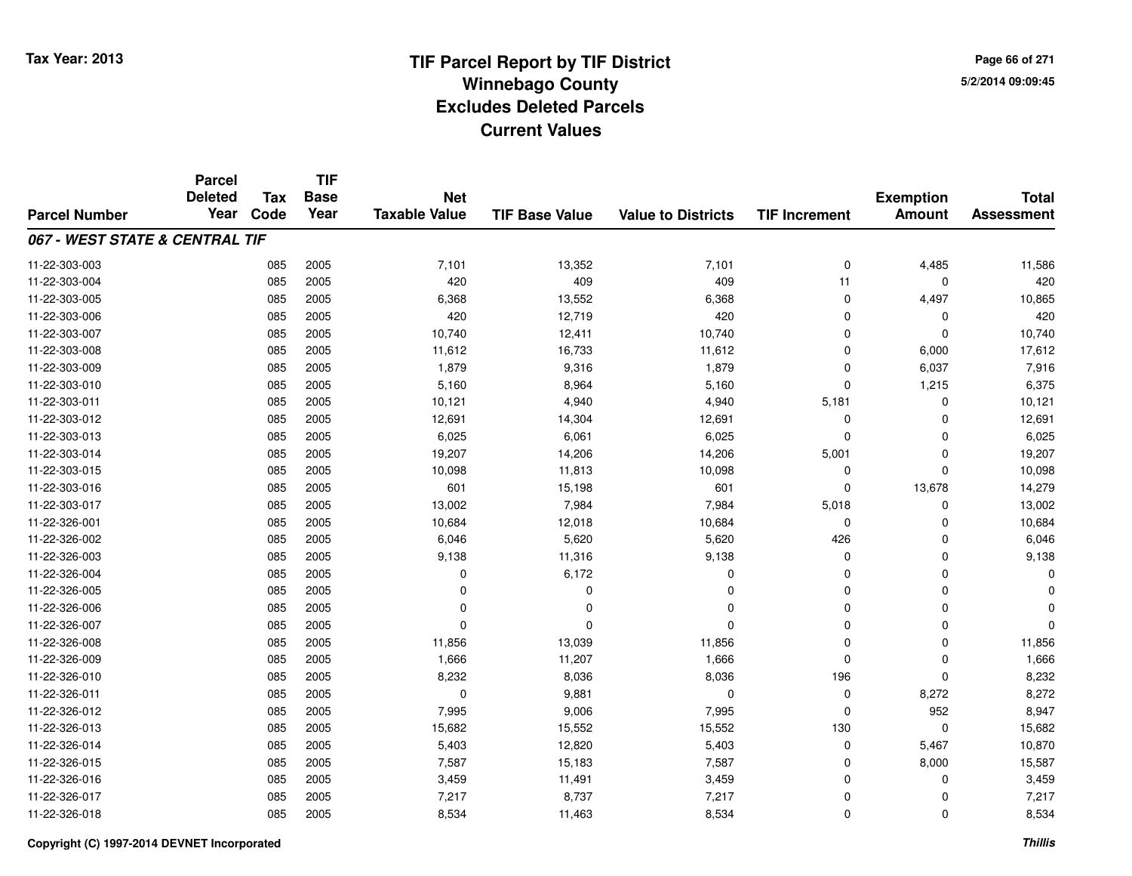**TIF**

**Parcel**

**Page 66 of 2715/2/2014 09:09:45**

#### **TIF Base ValueParcel NumberTotal AssessmentExemption Amount Value to Districts TIF Increment Base YearTax Code Deleted YearNet Taxable Value067 - WEST STATE & CENTRAL TIF**11-22-303-0033 085 2005 7,101 13,352 7,101 0 4,485 11,586 11-22-303-004 <sup>085</sup> <sup>420</sup> <sup>2005</sup> <sup>409</sup> <sup>409</sup> <sup>11</sup> <sup>0</sup> <sup>420</sup> 11-22-303-005 <sup>085</sup> 6,368 <sup>2005</sup> 13,552 6,368 <sup>0</sup> 4,497 10,865 11-22-303-006 <sup>085</sup> <sup>420</sup> <sup>2005</sup> 12,719 <sup>420</sup> <sup>0</sup> <sup>0</sup> <sup>420</sup> 11-22-303-007 <sup>085</sup> 10,740 <sup>2005</sup> 12,411 10,740 <sup>0</sup> <sup>0</sup> 10,740 11-22-303-0088 085 2005 11,612 16,733 11,612 0 6,000 17,612 11-22-303-0099 085 2005 1,879 9,316 1,879 0 6,037 7,916 11-22-303-0100 085 2005 5,160 8,964 5,160 0 1,215 6,375 11-22-303-0111 085 2005 10,121 4,940 4,940 5,181 0 10,121 11-22-303-0122 085 2005 12,691 14,304 12,691 0 12,691 11-22-303-0133 085 2005 6,025 6,061 6,025 0 6,025 11-22-303-014 <sup>085</sup> 19,207 <sup>2005</sup> 14,206 14,206 5,001 <sup>0</sup> 19,207 11-22-303-015 <sup>085</sup> 10,098 <sup>2005</sup> 11,813 10,098 <sup>0</sup> <sup>0</sup> 10,098 11-22-303-0166 085 2005 601 15,198 601 0 13,678 14,279 11-22-303-017 <sup>085</sup> 13,002 <sup>2005</sup> 7,984 7,984 5,018 <sup>0</sup> 13,002 11-22-326-0011 085 2005 10,684 12,018 10,684 0 0 10,684 11-22-326-0022 085 2005 6,046 5,620 5,620 426 0 6,046 11-22-326-003 <sup>085</sup> 9,138 <sup>2005</sup> 11,316 9,138 <sup>0</sup> <sup>0</sup> 9,138 11-22-326-004 $\frac{4}{100}$   $\frac{6}{100}$   $\frac{6}{172}$   $\frac{6}{172}$   $\frac{6}{172}$   $\frac{1}{100}$   $\frac{1}{100}$   $\frac{1}{100}$   $\frac{1}{100}$   $\frac{1}{100}$   $\frac{1}{100}$   $\frac{1}{100}$   $\frac{1}{100}$   $\frac{1}{100}$   $\frac{1}{100}$   $\frac{1}{100}$   $\frac{1}{100}$   $\frac{1}{100}$   $\frac{1$ 11-22-326-005 <sup>085</sup> <sup>0</sup> <sup>2005</sup> <sup>0</sup> <sup>0</sup> <sup>0</sup> <sup>0</sup> <sup>0</sup> 11-22-326-006 <sup>085</sup> <sup>0</sup> <sup>2005</sup> <sup>0</sup> <sup>0</sup> <sup>0</sup> <sup>0</sup> <sup>0</sup> 11-22-326-007 <sup>085</sup> <sup>0</sup> <sup>2005</sup> <sup>0</sup> <sup>0</sup> <sup>0</sup> <sup>0</sup> <sup>0</sup> 11-22-326-008 <sup>085</sup> 11,856 <sup>2005</sup> 13,039 11,856 <sup>0</sup> <sup>0</sup> 11,856 11-22-326-0099 085 2005 1,666 11,207 1,666 0 0 1,666 11-22-326-0100 085 2005 8,232 8,036 8,036 196 0 8,232 11-22-326-0111 085 2005 0 9,881 0 0 8,272 8,272 11-22-326-0122 085 2005 7,995 9,006 7,995 0 952 8,947 11-22-326-013 <sup>085</sup> 15,682 <sup>2005</sup> 15,552 15,552 <sup>130</sup> <sup>0</sup> 15,682 11-22-326-014 <sup>085</sup> 5,403 <sup>2005</sup> 12,820 5,403 <sup>0</sup> 5,467 10,870 11-22-326-015 <sup>085</sup> 7,587 <sup>2005</sup> 15,183 7,587 <sup>0</sup> 8,000 15,587 11-22-326-0166 085 2005 3,459 11,491 3,459 0 0 3,459 11-22-326-017 <sup>085</sup> 7,217 <sup>2005</sup> 8,737 7,217 <sup>0</sup> <sup>0</sup> 7,217 11-22-326-0188 085 2005 8,534 11,463 8,534 0 0 8,534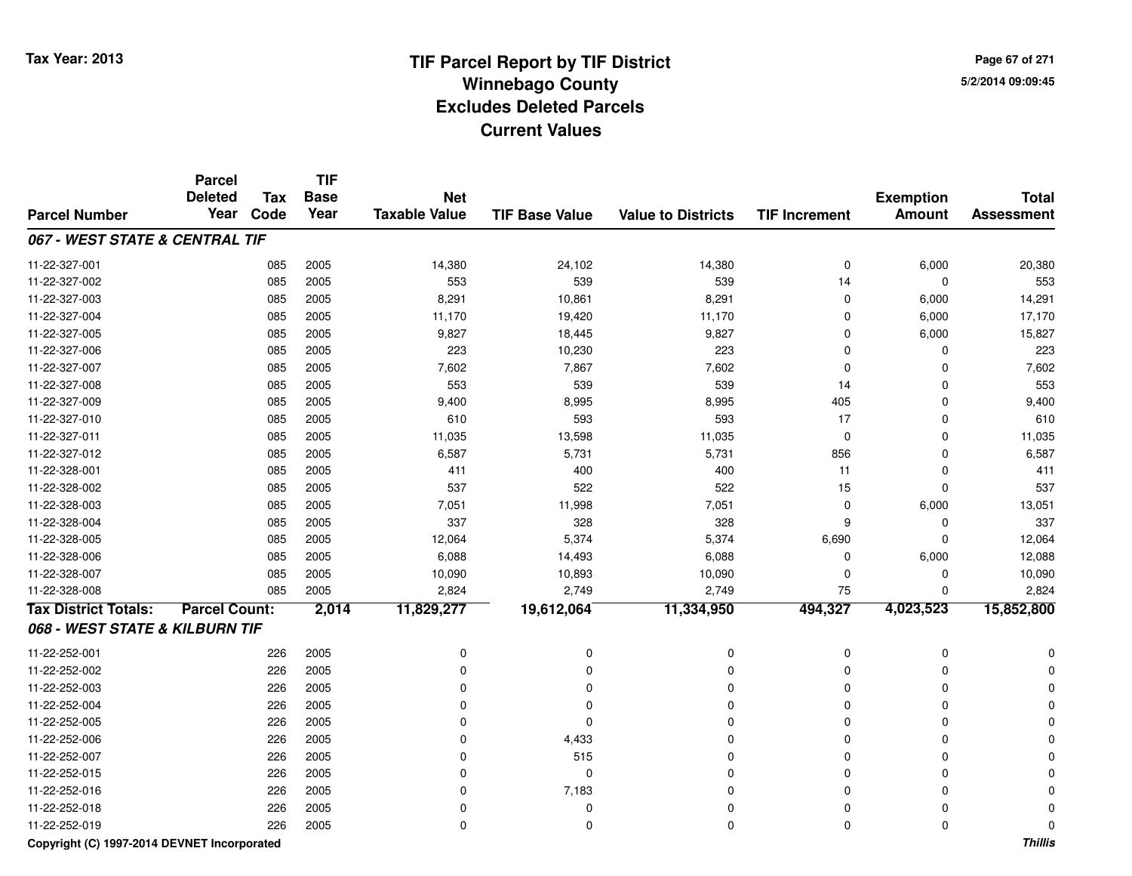**Page 67 of 2715/2/2014 09:09:45**

|                                | <b>Parcel</b><br><b>Deleted</b> | <b>Tax</b> | <b>TIF</b><br><b>Base</b> | <b>Net</b>           |                       |                           |                      | <b>Exemption</b> | <b>Total</b>      |
|--------------------------------|---------------------------------|------------|---------------------------|----------------------|-----------------------|---------------------------|----------------------|------------------|-------------------|
| <b>Parcel Number</b>           | Year                            | Code       | Year                      | <b>Taxable Value</b> | <b>TIF Base Value</b> | <b>Value to Districts</b> | <b>TIF Increment</b> | <b>Amount</b>    | <b>Assessment</b> |
| 067 - WEST STATE & CENTRAL TIF |                                 |            |                           |                      |                       |                           |                      |                  |                   |
| 11-22-327-001                  |                                 | 085        | 2005                      | 14,380               | 24,102                | 14,380                    | $\mathbf 0$          | 6,000            | 20,380            |
| 11-22-327-002                  |                                 | 085        | 2005                      | 553                  | 539                   | 539                       | 14                   | 0                | 553               |
| 11-22-327-003                  |                                 | 085        | 2005                      | 8,291                | 10,861                | 8,291                     | $\mathbf 0$          | 6,000            | 14,291            |
| 11-22-327-004                  |                                 | 085        | 2005                      | 11,170               | 19,420                | 11,170                    | $\mathbf 0$          | 6,000            | 17,170            |
| 11-22-327-005                  |                                 | 085        | 2005                      | 9,827                | 18,445                | 9,827                     | $\mathbf 0$          | 6,000            | 15,827            |
| 11-22-327-006                  |                                 | 085        | 2005                      | 223                  | 10,230                | 223                       | 0                    | 0                | 223               |
| 11-22-327-007                  |                                 | 085        | 2005                      | 7,602                | 7,867                 | 7,602                     | $\mathbf 0$          | 0                | 7,602             |
| 11-22-327-008                  |                                 | 085        | 2005                      | 553                  | 539                   | 539                       | 14                   | 0                | 553               |
| 11-22-327-009                  |                                 | 085        | 2005                      | 9,400                | 8,995                 | 8,995                     | 405                  | $\mathbf 0$      | 9,400             |
| 11-22-327-010                  |                                 | 085        | 2005                      | 610                  | 593                   | 593                       | 17                   | 0                | 610               |
| 11-22-327-011                  |                                 | 085        | 2005                      | 11,035               | 13,598                | 11,035                    | $\mathbf 0$          | 0                | 11,035            |
| 11-22-327-012                  |                                 | 085        | 2005                      | 6,587                | 5,731                 | 5,731                     | 856                  | 0                | 6,587             |
| 11-22-328-001                  |                                 | 085        | 2005                      | 411                  | 400                   | 400                       | 11                   | 0                | 411               |
| 11-22-328-002                  |                                 | 085        | 2005                      | 537                  | 522                   | 522                       | 15                   | 0                | 537               |
| 11-22-328-003                  |                                 | 085        | 2005                      | 7,051                | 11,998                | 7,051                     | $\mathbf 0$          | 6,000            | 13,051            |
| 11-22-328-004                  |                                 | 085        | 2005                      | 337                  | 328                   | 328                       | 9                    | $\mathbf 0$      | 337               |
| 11-22-328-005                  |                                 | 085        | 2005                      | 12,064               | 5,374                 | 5,374                     | 6,690                | 0                | 12,064            |
| 11-22-328-006                  |                                 | 085        | 2005                      | 6,088                | 14,493                | 6,088                     | 0                    | 6,000            | 12,088            |
| 11-22-328-007                  |                                 | 085        | 2005                      | 10,090               | 10,893                | 10,090                    | 0                    | 0                | 10,090            |
| 11-22-328-008                  |                                 | 085        | 2005                      | 2,824                | 2,749                 | 2,749                     | 75                   | $\Omega$         | 2,824             |
| <b>Tax District Totals:</b>    | <b>Parcel Count:</b>            |            | 2,014                     | 11,829,277           | 19,612,064            | 11,334,950                | 494,327              | 4,023,523        | 15,852,800        |
| 068 - WEST STATE & KILBURN TIF |                                 |            |                           |                      |                       |                           |                      |                  |                   |
| 11-22-252-001                  |                                 | 226        | 2005                      | 0                    | 0                     | 0                         | $\mathbf 0$          | $\mathbf 0$      |                   |
| 11-22-252-002                  |                                 | 226        | 2005                      | $\Omega$             | 0                     | $\Omega$                  | $\mathbf 0$          | $\Omega$         |                   |
| 11-22-252-003                  |                                 | 226        | 2005                      | $\Omega$             | 0                     | O                         | 0                    | $\Omega$         |                   |
| 11-22-252-004                  |                                 | 226        | 2005                      | 0                    | 0                     | 0                         | $\mathbf 0$          | 0                |                   |
| 11-22-252-005                  |                                 | 226        | 2005                      | $\mathbf 0$          | 0                     | 0                         | $\mathbf 0$          | 0                |                   |
| 11-22-252-006                  |                                 | 226        | 2005                      | 0                    | 4,433                 | 0                         | $\mathbf 0$          | 0                |                   |
| 11-22-252-007                  |                                 | 226        | 2005                      | $\mathbf 0$          | 515                   | 0                         | $\mathbf 0$          | 0                |                   |
| 11-22-252-015                  |                                 | 226        | 2005                      | $\mathbf 0$          | 0                     | $\mathbf 0$               | $\mathbf 0$          | $\mathbf 0$      |                   |
| 11-22-252-016                  |                                 | 226        | 2005                      | $\Omega$             | 7,183                 | $\mathbf 0$               | $\mathbf 0$          | $\Omega$         |                   |
| 11-22-252-018                  |                                 | 226        | 2005                      | $\Omega$             | 0                     | 0                         | $\mathbf 0$          | 0                |                   |
| 11-22-252-019                  |                                 | 226        | 2005                      | 0                    | 0                     | $\Omega$                  | $\mathbf 0$          | 0                | 0                 |

**Copyright (C) 1997-2014 DEVNET Incorporated**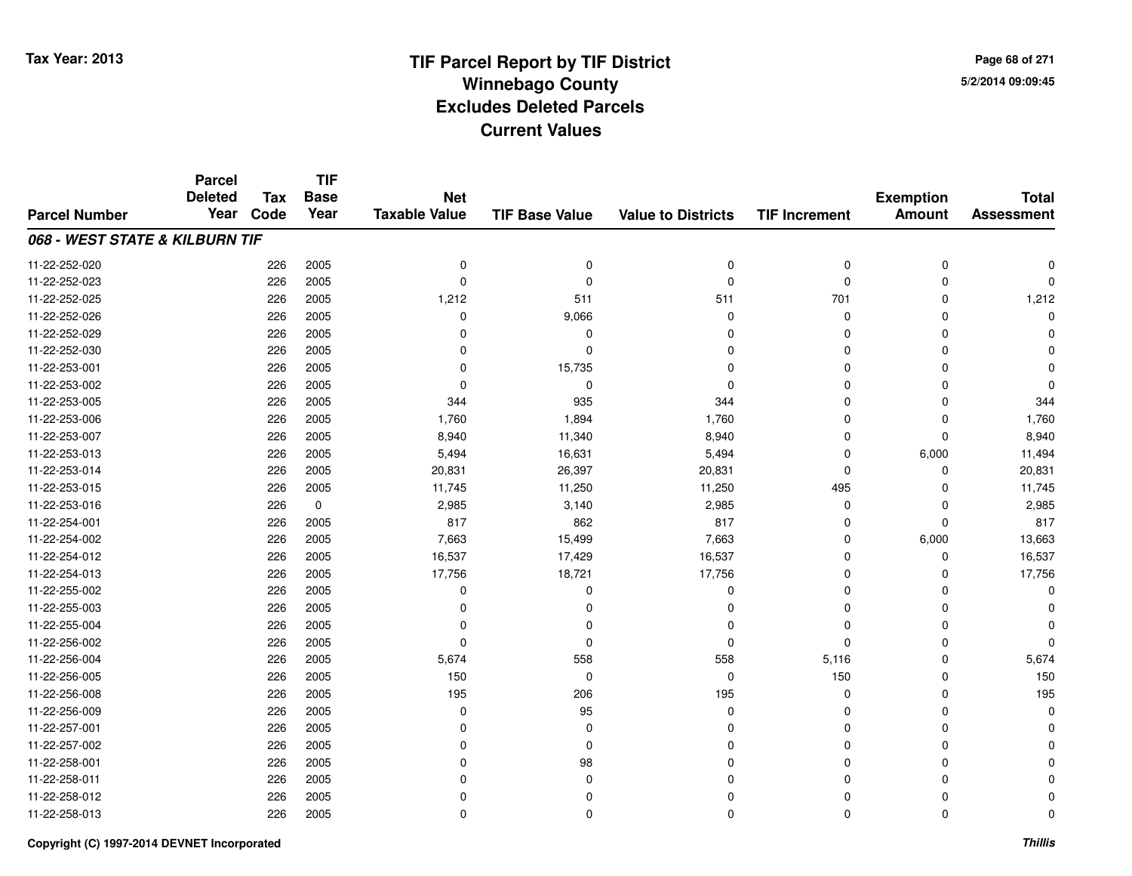**TIF**

**Parcel**

**Page 68 of 2715/2/2014 09:09:45**

#### **TIF Base ValueParcel NumberTotal AssessmentExemption Amount Value to Districts TIF Increment Base YearTax Code Deleted YearNet Taxable Value068 - WEST STATE & KILBURN TIF**11-22-252-020 <sup>226</sup> <sup>0</sup> <sup>2005</sup> <sup>0</sup> <sup>0</sup> <sup>0</sup> <sup>0</sup> <sup>0</sup> 11-22-252-023 <sup>226</sup> <sup>0</sup> <sup>2005</sup> <sup>0</sup> <sup>0</sup> <sup>0</sup> <sup>0</sup> <sup>0</sup> 11-22-252-0255 226 2005 1,212 511 511 701 0 1,212 11-22-252-026 <sup>226</sup> <sup>0</sup> <sup>2005</sup> 9,066 <sup>0</sup> <sup>0</sup> <sup>0</sup> <sup>0</sup> 11-22-252-029 <sup>226</sup> <sup>0</sup> <sup>2005</sup> <sup>0</sup> <sup>0</sup> <sup>0</sup> <sup>0</sup> <sup>0</sup> 11-22-252-030 <sup>226</sup> <sup>0</sup> <sup>2005</sup> <sup>0</sup> <sup>0</sup> <sup>0</sup> <sup>0</sup> <sup>0</sup> 11-22-253-001 <sup>226</sup> <sup>0</sup> <sup>2005</sup> 15,735 <sup>0</sup> <sup>0</sup> <sup>0</sup> <sup>0</sup> 11-22-253-002 <sup>226</sup> <sup>0</sup> <sup>2005</sup> <sup>0</sup> <sup>0</sup> <sup>0</sup> <sup>0</sup> <sup>0</sup> 11-22-253-005 <sup>226</sup> <sup>344</sup> <sup>2005</sup> <sup>935</sup> <sup>344</sup> <sup>0</sup> <sup>0</sup> <sup>344</sup> 11-22-253-006 <sup>226</sup> 1,760 <sup>2005</sup> 1,894 1,760 <sup>0</sup> <sup>0</sup> 1,760 11-22-253-0077 226 2005 8,940 11,340 8,940 0 0 8,940 11-22-253-0133 226 2005 5,494 16,631 5,494 0 6,000 11,494 11-22-253-0144 226 2005 22,631 26,397 20,831 26,397 20,831 0 0 0 20,831 11-22-253-015 <sup>226</sup> 11,745 <sup>2005</sup> 11,250 11,250 <sup>495</sup> <sup>0</sup> 11,745 11-22-253-0166 226 0 2,985 3,140 2,985 0 0 2,985 11-22-254-0011 226 2005 817 862 817 0 0 817 11-22-254-002 <sup>226</sup> 7,663 <sup>2005</sup> 15,499 7,663 <sup>0</sup> 6,000 13,663 11-22-254-012 <sup>226</sup> 16,537 <sup>2005</sup> 17,429 16,537 <sup>0</sup> <sup>0</sup> 16,537 11-22-254-0133 226 2005 17,756 18,721 17,756 0 0 17,756 11-22-255-002 <sup>226</sup> <sup>0</sup> <sup>2005</sup> <sup>0</sup> <sup>0</sup> <sup>0</sup> <sup>0</sup> <sup>0</sup> 11-22-255-003 <sup>226</sup> <sup>0</sup> <sup>2005</sup> <sup>0</sup> <sup>0</sup> <sup>0</sup> <sup>0</sup> <sup>0</sup> 11-22-255-004 <sup>226</sup> <sup>0</sup> <sup>2005</sup> <sup>0</sup> <sup>0</sup> <sup>0</sup> <sup>0</sup> <sup>0</sup> 11-22-256-002 <sup>226</sup> <sup>0</sup> <sup>2005</sup> <sup>0</sup> <sup>0</sup> <sup>0</sup> <sup>0</sup> <sup>0</sup> 11-22-256-004 <sup>226</sup> 5,674 <sup>2005</sup> <sup>558</sup> <sup>558</sup> 5,116 <sup>0</sup> 5,674 11-22-256-005 <sup>226</sup> <sup>150</sup> <sup>2005</sup> <sup>0</sup> <sup>0</sup> <sup>150</sup> <sup>0</sup> <sup>150</sup> 11-22-256-0088 226 2005 195 206 195 0 0 195 11-22-256-009 <sup>226</sup> <sup>0</sup> <sup>2005</sup> <sup>95</sup> <sup>0</sup> <sup>0</sup> <sup>0</sup> <sup>0</sup> 11-22-257-001 <sup>226</sup> <sup>0</sup> <sup>2005</sup> <sup>0</sup> <sup>0</sup> <sup>0</sup> <sup>0</sup> <sup>0</sup> 11-22-257-002 <sup>226</sup> <sup>0</sup> <sup>2005</sup> <sup>0</sup> <sup>0</sup> <sup>0</sup> <sup>0</sup> <sup>0</sup> 11-22-258-001 <sup>226</sup> <sup>0</sup> <sup>2005</sup> <sup>98</sup> <sup>0</sup> <sup>0</sup> <sup>0</sup> <sup>0</sup> 11-22-258-011 <sup>226</sup> <sup>0</sup> <sup>2005</sup> <sup>0</sup> <sup>0</sup> <sup>0</sup> <sup>0</sup> <sup>0</sup> 11-22-258-012 <sup>226</sup> <sup>0</sup> <sup>2005</sup> <sup>0</sup> <sup>0</sup> <sup>0</sup> <sup>0</sup> <sup>0</sup> 11-22-258-013<sup>226</sup> <sup>0</sup> <sup>2005</sup> <sup>0</sup> <sup>0</sup> <sup>0</sup> <sup>0</sup> <sup>0</sup>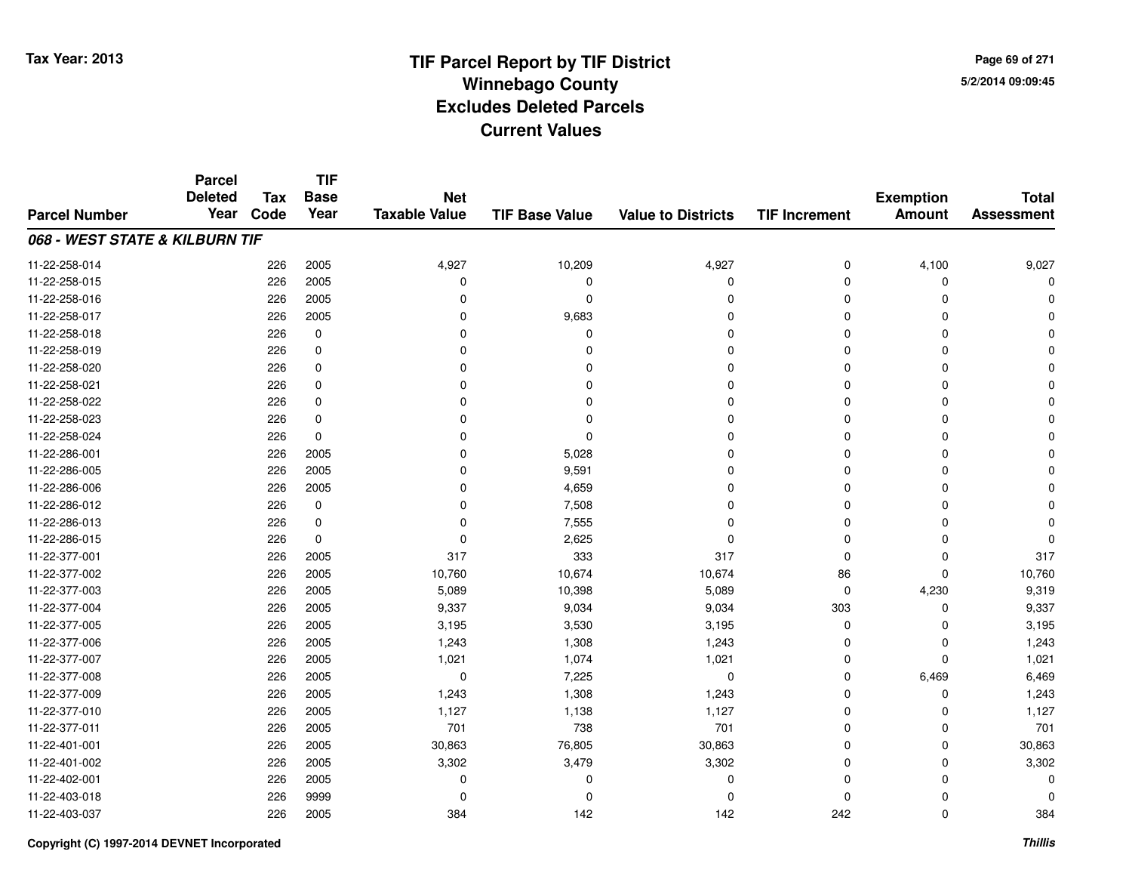**TIF**

**Parcel**

**Page 69 of 2715/2/2014 09:09:45**

#### **TIF Base ValueParcel NumberTotal AssessmentExemption Amount Value to Districts TIF Increment Base YearTax Code Deleted YearNet Taxable Value068 - WEST STATE & KILBURN TIF**11-22-258-0144 226 2005 4,927 10,209 4,927 4,927 1,100 9,027 11-22-258-015 <sup>226</sup> <sup>0</sup> <sup>2005</sup> <sup>0</sup> <sup>0</sup> <sup>0</sup> <sup>0</sup> <sup>0</sup> 11-22-258-016 <sup>226</sup> <sup>0</sup> <sup>2005</sup> <sup>0</sup> <sup>0</sup> <sup>0</sup> <sup>0</sup> <sup>0</sup> 11-22-258-0177 226 2005 0 9,683 0 0 0 0 11-22-258-018 <sup>226</sup> <sup>0</sup> <sup>0</sup> <sup>0</sup> <sup>0</sup> <sup>0</sup> <sup>0</sup> <sup>0</sup> 11-22-258-019 <sup>226</sup> <sup>0</sup> <sup>0</sup> <sup>0</sup> <sup>0</sup> <sup>0</sup> <sup>0</sup> <sup>0</sup> 11-22-258-020 <sup>226</sup> <sup>0</sup> <sup>0</sup> <sup>0</sup> <sup>0</sup> <sup>0</sup> <sup>0</sup> <sup>0</sup> 11-22-258-021 <sup>226</sup> <sup>0</sup> <sup>0</sup> <sup>0</sup> <sup>0</sup> <sup>0</sup> <sup>0</sup> <sup>0</sup> 11-22-258-022 <sup>226</sup> <sup>0</sup> <sup>0</sup> <sup>0</sup> <sup>0</sup> <sup>0</sup> <sup>0</sup> <sup>0</sup> 11-22-258-023 <sup>226</sup> <sup>0</sup> <sup>0</sup> <sup>0</sup> <sup>0</sup> <sup>0</sup> <sup>0</sup> <sup>0</sup> 11-22-258-0244 226 0 0 0 0 0 0 0 0 0 0 0 11-22-286-0011 and  $226$  2005 and  $226$  2005 between  $226$  2005 between  $226$  2005 between  $226$  2005 between  $226$  2005 between  $226$  2005 between  $226$  2005 between  $226$  2005 between  $226$  2012 between  $226$  2012 between  $226$  2012 11-22-286-0055 226 2005 0 9,591 0 0 0 0 11-22-286-006 <sup>226</sup> <sup>0</sup> <sup>2005</sup> 4,659 <sup>0</sup> <sup>0</sup> <sup>0</sup> <sup>0</sup> 11-22-286-0122 226 0 0 7,508 0 0 0 0 11-22-286-0133 226 0 0 7,555 0 0 0 0 11-22-286-0155 226 0 0 2,625 0 0 0 0 11-22-377-0011 226 2005 317 333 317 0 0 317 11-22-377-002 <sup>226</sup> 10,760 <sup>2005</sup> 10,674 10,674 <sup>86</sup> <sup>0</sup> 10,760 11-22-377-0033 226 2005 5,089 10,398 5,089 0 4,230 9,319 11-22-377-004 <sup>226</sup> 9,337 <sup>2005</sup> 9,034 9,034 <sup>303</sup> <sup>0</sup> 9,337 11-22-377-005 <sup>226</sup> 3,195 <sup>2005</sup> 3,530 3,195 <sup>0</sup> <sup>0</sup> 3,195 11-22-377-0066 226 2005 1,243 1,308 1,243 0 1,243 11-22-377-0077 226 2005 1,021 1,074 1,021 0 0 1,021 11-22-377-0088 226 2005 0 7,225 0 0 6,469 6,469 11-22-377-0099 226 2005 1,243 1,308 1,243 0 1,243 11-22-377-010 <sup>226</sup> 1,127 <sup>2005</sup> 1,138 1,127 <sup>0</sup> <sup>0</sup> 1,127 11-22-377-0111 226 2005 701 738 701 0 701 11-22-401-0011 226 2005 30,863 76,805 30,863 0 30,863 11-22-401-0022 26 2005 3,302 3,479 3,302 3,479 3,302 0 0 3,302 11-22-402-001 <sup>226</sup> <sup>0</sup> <sup>2005</sup> <sup>0</sup> <sup>0</sup> <sup>0</sup> <sup>0</sup> <sup>0</sup> 11-22-403-018 <sup>226</sup> <sup>0</sup> <sup>9999</sup> <sup>0</sup> <sup>0</sup> <sup>0</sup> <sup>0</sup> <sup>0</sup> 11-22-403-037<sup>226</sup> <sup>384</sup> <sup>2005</sup> <sup>142</sup> <sup>142</sup> <sup>242</sup> <sup>0</sup> <sup>384</sup>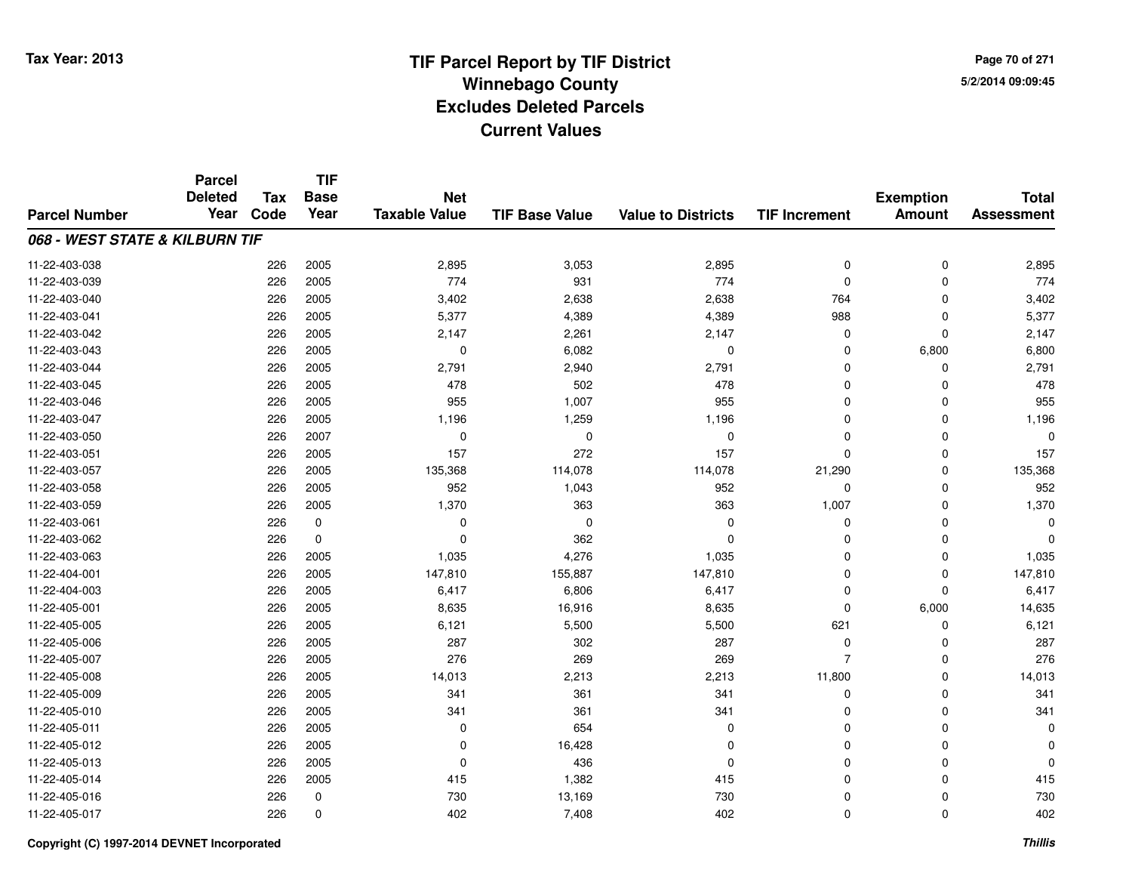**Page 70 of 2715/2/2014 09:09:45**

|                                | <b>Parcel</b><br><b>Deleted</b> | <b>Tax</b> | <b>TIF</b>          |                                    |                       |                           |                      |                                   |                                   |
|--------------------------------|---------------------------------|------------|---------------------|------------------------------------|-----------------------|---------------------------|----------------------|-----------------------------------|-----------------------------------|
| <b>Parcel Number</b>           | Year                            | Code       | <b>Base</b><br>Year | <b>Net</b><br><b>Taxable Value</b> | <b>TIF Base Value</b> | <b>Value to Districts</b> | <b>TIF Increment</b> | <b>Exemption</b><br><b>Amount</b> | <b>Total</b><br><b>Assessment</b> |
| 068 - WEST STATE & KILBURN TIF |                                 |            |                     |                                    |                       |                           |                      |                                   |                                   |
|                                |                                 |            |                     |                                    |                       |                           |                      |                                   |                                   |
| 11-22-403-038                  |                                 | 226        | 2005                | 2,895                              | 3,053                 | 2,895                     | 0                    | 0                                 | 2,895                             |
| 11-22-403-039                  |                                 | 226        | 2005                | 774                                | 931                   | 774                       | $\mathbf 0$          | $\mathbf 0$                       | 774                               |
| 11-22-403-040                  |                                 | 226        | 2005                | 3,402                              | 2,638                 | 2,638                     | 764                  | 0                                 | 3,402                             |
| 11-22-403-041                  |                                 | 226        | 2005                | 5,377                              | 4,389                 | 4,389                     | 988                  | $\mathbf 0$                       | 5,377                             |
| 11-22-403-042                  |                                 | 226        | 2005                | 2,147                              | 2,261                 | 2,147                     | 0                    | $\mathbf 0$                       | 2,147                             |
| 11-22-403-043                  |                                 | 226        | 2005                | 0                                  | 6,082                 | $\mathbf 0$               | $\Omega$             | 6,800                             | 6,800                             |
| 11-22-403-044                  |                                 | 226        | 2005                | 2,791                              | 2,940                 | 2,791                     | $\Omega$             | $\mathbf 0$                       | 2,791                             |
| 11-22-403-045                  |                                 | 226        | 2005                | 478                                | 502                   | 478                       | $\Omega$             | $\Omega$                          | 478                               |
| 11-22-403-046                  |                                 | 226        | 2005                | 955                                | 1,007                 | 955                       | $\Omega$             | $\mathbf 0$                       | 955                               |
| 11-22-403-047                  |                                 | 226        | 2005                | 1,196                              | 1,259                 | 1,196                     | $\Omega$             | 0                                 | 1,196                             |
| 11-22-403-050                  |                                 | 226        | 2007                | $\mathbf 0$                        | 0                     | $\mathbf 0$               | $\Omega$             | $\Omega$                          |                                   |
| 11-22-403-051                  |                                 | 226        | 2005                | 157                                | 272                   | 157                       | $\Omega$             | 0                                 | 157                               |
| 11-22-403-057                  |                                 | 226        | 2005                | 135,368                            | 114,078               | 114,078                   | 21,290               | 0                                 | 135,368                           |
| 11-22-403-058                  |                                 | 226        | 2005                | 952                                | 1,043                 | 952                       | 0                    | 0                                 | 952                               |
| 11-22-403-059                  |                                 | 226        | 2005                | 1,370                              | 363                   | 363                       | 1,007                | $\mathbf 0$                       | 1,370                             |
| 11-22-403-061                  |                                 | 226        | $\pmb{0}$           | 0                                  | 0                     | 0                         | 0                    | 0                                 |                                   |
| 11-22-403-062                  |                                 | 226        | 0                   | $\Omega$                           | 362                   | $\mathbf 0$               | 0                    | 0                                 |                                   |
| 11-22-403-063                  |                                 | 226        | 2005                | 1,035                              | 4,276                 | 1,035                     | 0                    | $\mathbf 0$                       | 1,035                             |
| 11-22-404-001                  |                                 | 226        | 2005                | 147,810                            | 155,887               | 147,810                   | 0                    | 0                                 | 147,810                           |
| 11-22-404-003                  |                                 | 226        | 2005                | 6,417                              | 6,806                 | 6,417                     | $\mathbf 0$          | $\mathbf 0$                       | 6,417                             |
| 11-22-405-001                  |                                 | 226        | 2005                | 8,635                              | 16,916                | 8,635                     | $\mathbf 0$          | 6,000                             | 14,635                            |
| 11-22-405-005                  |                                 | 226        | 2005                | 6,121                              | 5,500                 | 5,500                     | 621                  | $\mathbf 0$                       | 6,121                             |
| 11-22-405-006                  |                                 | 226        | 2005                | 287                                | 302                   | 287                       | 0                    | $\mathbf 0$                       | 287                               |
| 11-22-405-007                  |                                 | 226        | 2005                | 276                                | 269                   | 269                       | $\overline{7}$       | $\mathbf 0$                       | 276                               |
| 11-22-405-008                  |                                 | 226        | 2005                | 14,013                             | 2,213                 | 2,213                     | 11,800               | $\mathbf 0$                       | 14,013                            |
| 11-22-405-009                  |                                 | 226        | 2005                | 341                                | 361                   | 341                       | $\mathbf 0$          | $\mathbf 0$                       | 341                               |
| 11-22-405-010                  |                                 | 226        | 2005                | 341                                | 361                   | 341                       | $\mathbf 0$          | $\mathbf 0$                       | 341                               |
| 11-22-405-011                  |                                 | 226        | 2005                | 0                                  | 654                   | 0                         | $\Omega$             | $\mathbf 0$                       |                                   |
| 11-22-405-012                  |                                 | 226        | 2005                | 0                                  | 16,428                | 0                         | $\Omega$             | $\mathbf 0$                       |                                   |
| 11-22-405-013                  |                                 | 226        | 2005                | 0                                  | 436                   | 0                         | $\Omega$             | $\Omega$                          |                                   |
| 11-22-405-014                  |                                 | 226        | 2005                | 415                                | 1,382                 | 415                       | $\Omega$             | $\mathbf 0$                       | 415                               |
| 11-22-405-016                  |                                 | 226        | $\mathbf 0$         | 730                                | 13,169                | 730                       | $\Omega$             | $\mathbf 0$                       | 730                               |
| 11-22-405-017                  |                                 | 226        | $\mathbf 0$         | 402                                | 7,408                 | 402                       | $\Omega$             | $\mathbf 0$                       | 402                               |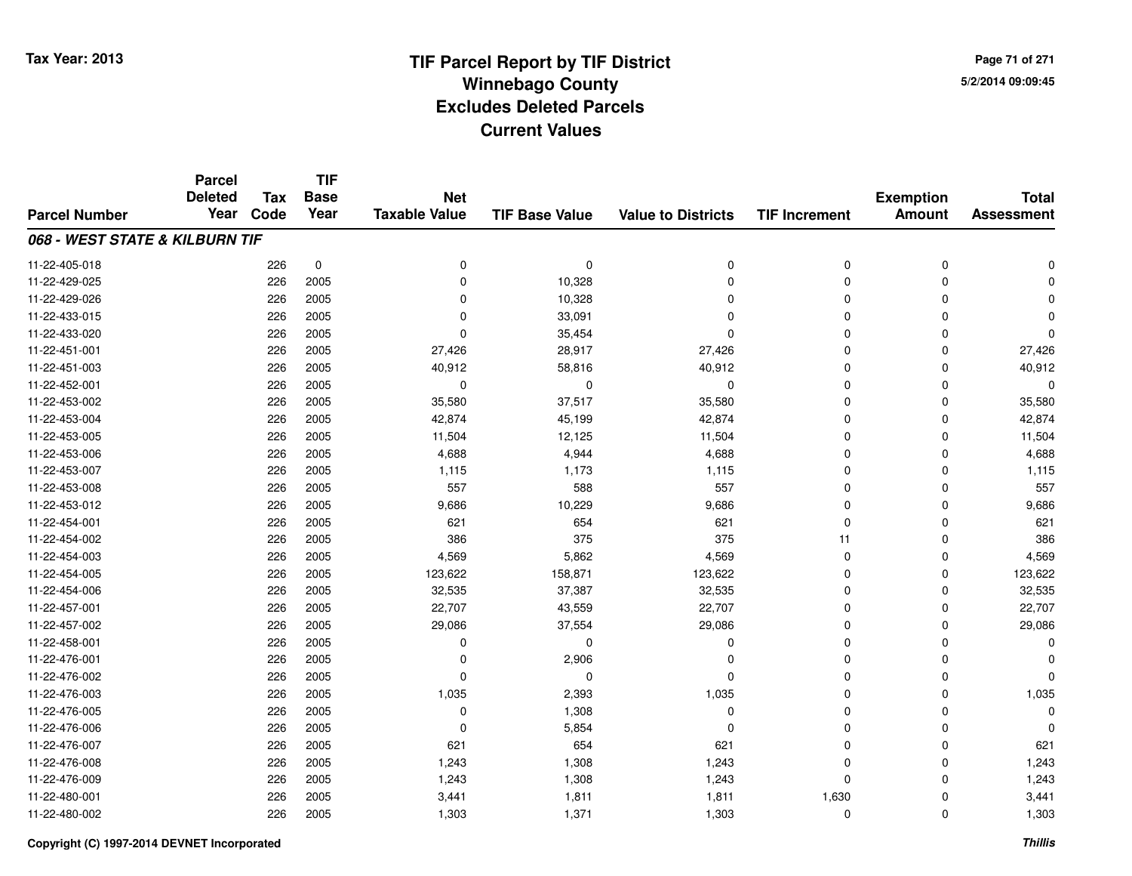**TIF**

**Parcel**

**Page 71 of 2715/2/2014 09:09:45**

#### **TIF Base ValueParcel NumberTotal AssessmentExemption Amount Value to Districts TIF Increment Base YearTax Code Deleted YearNet Taxable Value068 - WEST STATE & KILBURN TIF**11-22-405-018 <sup>226</sup> <sup>0</sup> <sup>0</sup> <sup>0</sup> <sup>0</sup> <sup>0</sup> <sup>0</sup> <sup>0</sup> 11-22-429-025 <sup>226</sup> <sup>0</sup> <sup>2005</sup> 10,328 <sup>0</sup> <sup>0</sup> <sup>0</sup> <sup>0</sup> 11-22-429-0266 226 2005 0 10,328 0 0 0 0 11-22-433-015 <sup>226</sup> <sup>0</sup> <sup>2005</sup> 33,091 <sup>0</sup> <sup>0</sup> <sup>0</sup> <sup>0</sup> 11-22-433-020 <sup>226</sup> <sup>0</sup> <sup>2005</sup> 35,454 <sup>0</sup> <sup>0</sup> <sup>0</sup> <sup>0</sup> 11-22-451-0011 226 2005 27,426 28,917 27,426 0 0 27,426 11-22-451-0033 226 2005 40,912 58,816 40,912 0 0 40,912 11-22-452-001 <sup>226</sup> <sup>0</sup> <sup>2005</sup> <sup>0</sup> <sup>0</sup> <sup>0</sup> <sup>0</sup> <sup>0</sup> 11-22-453-0022 226 2005 35,580 37,517 35,580 0 0 35,580 11-22-453-0044 226 2005 42,874 45,199 42,874 45,199 42,874 0 0 0 42,874 11-22-453-005 <sup>226</sup> 11,504 <sup>2005</sup> 12,125 11,504 <sup>0</sup> <sup>0</sup> 11,504 11-22-453-0066 226 2005 4,688 4,944 4,688 0 0 4,688 11-22-453-007 <sup>226</sup> 1,115 <sup>2005</sup> 1,173 1,115 <sup>0</sup> <sup>0</sup> 1,115 11-22-453-008 <sup>226</sup> <sup>557</sup> <sup>2005</sup> <sup>588</sup> <sup>557</sup> <sup>0</sup> <sup>0</sup> <sup>557</sup> 11-22-453-0122 226 2005 9,686 10,229 9,686 0 0 9,686 11-22-454-0011 226 2005 621 654 621 0 0 621 11-22-454-0022 226 2005 386 375 375 11 0 386 11-22-454-0033 226 2005 4,569 5,862 4,569 0 0 4,569 11-22-454-0055 226 2005 123,622 158,871 123,622 0 0 123,622 11-22-454-0066 226 2005 32,535 37,387 32,535 0 0 32,535 11-22-457-0011 226 2005 22,707 43,559 22,707 0 0 22,707 11-22-457-0022 226 2005 29,086 37,554 29,086 0 0 29,086 11-22-458-001 <sup>226</sup> <sup>0</sup> <sup>2005</sup> <sup>0</sup> <sup>0</sup> <sup>0</sup> <sup>0</sup> <sup>0</sup> 11-22-476-0011 226 2005 0 2,906 0 0 0 0 11-22-476-002 <sup>226</sup> <sup>0</sup> <sup>2005</sup> <sup>0</sup> <sup>0</sup> <sup>0</sup> <sup>0</sup> <sup>0</sup> 11-22-476-0033 226 2005 1,035 2,393 1,035 0 1,035 11-22-476-005 <sup>226</sup> <sup>0</sup> <sup>2005</sup> 1,308 <sup>0</sup> <sup>0</sup> <sup>0</sup> <sup>0</sup> 11-22-476-006 <sup>226</sup> <sup>0</sup> <sup>2005</sup> 5,854 <sup>0</sup> <sup>0</sup> <sup>0</sup> <sup>0</sup> 11-22-476-007 <sup>226</sup> <sup>621</sup> <sup>2005</sup> <sup>654</sup> <sup>621</sup> <sup>0</sup> <sup>0</sup> <sup>621</sup> 11-22-476-0088 226 2005 1,243 1,308 1,243 0 0 1,243 11-22-476-0099 226 2005 1,243 1,308 1,243 0 1,243 11-22-480-0011 226 2005 3,441 1,811 1,811 1,630 0 3,441 11-22-480-002<sup>226</sup> 1,303 <sup>2005</sup> 1,371 1,303 <sup>0</sup> <sup>0</sup> 1,303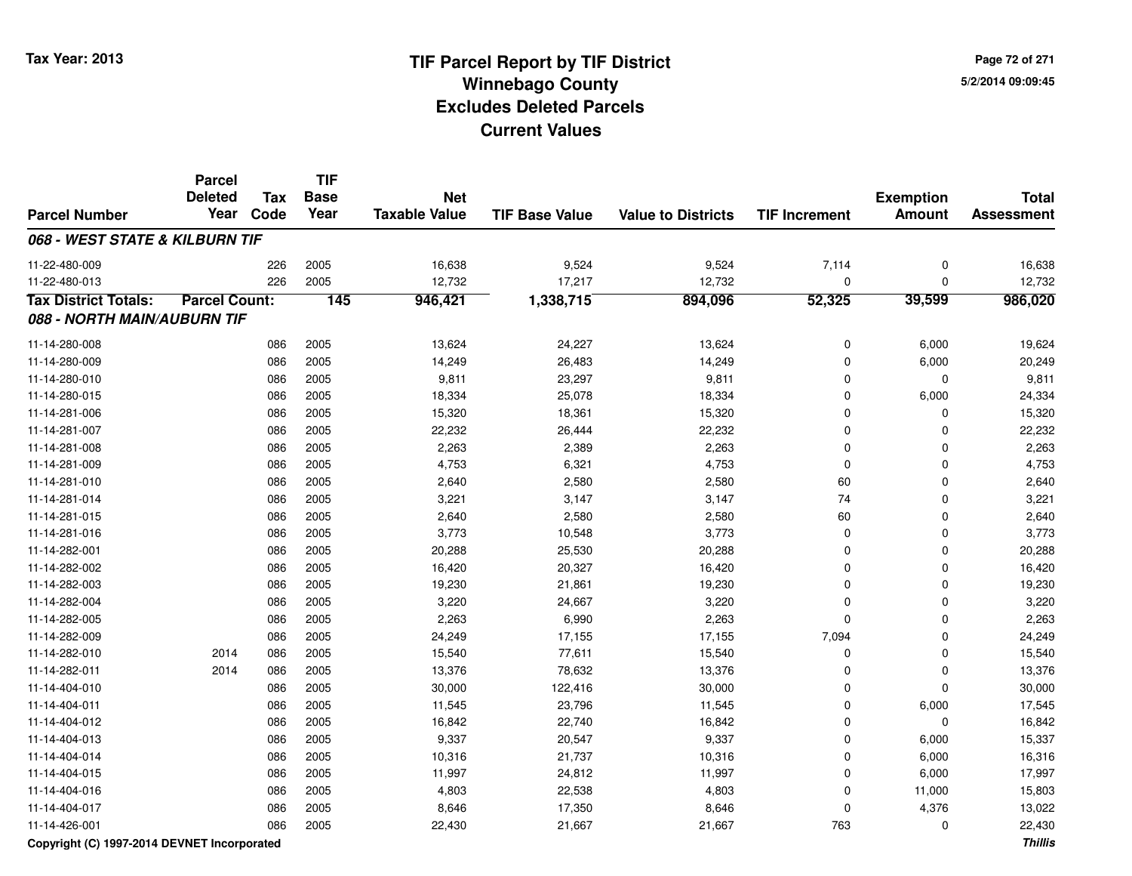**TIF**

**Parcel**

**Page 72 of 2715/2/2014 09:09:45**

#### **TIF Base ValueParcel NumberTotal AssessmentExemption Amount Value to Districts TIF Increment Base YearTax Code Deleted YearNet Taxable Value068 - WEST STATE & KILBURN TIF**11-22-480-0099 226 2005 16,638 9,524 9,524 7,114 0 16,638 11-22-480-0133 226 2005 12,732 17,217 12,732 0 0 12,732 **Tax District Totals: Parcel Count: <sup>145</sup> 946,421 1,338,715 894,096 52,325 39,599 986,020 088 - NORTH MAIN/AUBURN TIF**11-14-280-0088 086 2005 13,624 24,227 13,624 0 6,000 19,624 11-14-280-0099 086 2005 14,249 26,483 14,249 0 6,000 20,249 11-14-280-0100 086 2005 9,811 23,297 9,811 0 0 9,811 11-14-280-015 <sup>086</sup> 18,334 <sup>2005</sup> 25,078 18,334 <sup>0</sup> 6,000 24,334 11-14-281-006 <sup>086</sup> 15,320 <sup>2005</sup> 18,361 15,320 <sup>0</sup> <sup>0</sup> 15,320 11-14-281-007 <sup>086</sup> 22,232 <sup>2005</sup> 26,444 22,232 <sup>0</sup> <sup>0</sup> 22,232 11-14-281-0088 086 2005 2,263 2,389 2,263 0 2,263 11-14-281-0099 086 2005 4,753 6,321 4,753 0 0 4,753 11-14-281-0100 086 2005 2,640 2,580 2,580 60 0 2,640 11-14-281-014 <sup>086</sup> 3,221 <sup>2005</sup> 3,147 3,147 <sup>74</sup> <sup>0</sup> 3,221 11-14-281-0155 086 2005 2,640 2,580 2,580 60 0 2,640 11-14-281-016 <sup>086</sup> 3,773 <sup>2005</sup> 10,548 3,773 <sup>0</sup> <sup>0</sup> 3,773 11-14-282-0011 086 2005 20,288 25,530 20,288 0 20,288 11-14-282-0022 086 2005 16,420 20,327 16,420 0 0 16,420 11-14-282-0033 086 2005 19,230 21,861 19,230 0 0 19,230 11-14-282-0044 086 2005 3,220 24,667 3,220 0 0 3,220 11-14-282-0055 086 2005 2,263 6,990 2,263 0 0 2,263 11-14-282-0099 086 2005 24,249 17,155 17,155 7,094 0 24,249 11-14-282-0100 2014 086 2005 15,540 77,611 15,540 0 0 15,540 11-14-282-0111 2014 086 2005 13,376 78,632 13,376 0 0 13,376 11-14-404-010 <sup>086</sup> 30,000 <sup>2005</sup> 122,416 30,000 <sup>0</sup> <sup>0</sup> 30,000 11-14-404-0111 086 2005 11,545 23,796 11,545 0 6,000 17,545 11-14-404-0122 2 086 2005 16,842 22,740 16,842 0 0 16,842 11-14-404-013 <sup>086</sup> 9,337 <sup>2005</sup> 20,547 9,337 <sup>0</sup> 6,000 15,337 11-14-404-014 <sup>086</sup> 10,316 <sup>2005</sup> 21,737 10,316 <sup>0</sup> 6,000 16,316 11-14-404-015 <sup>086</sup> 11,997 <sup>2005</sup> 24,812 11,997 <sup>0</sup> 6,000 17,997 11-14-404-016 <sup>086</sup> 4,803 <sup>2005</sup> 22,538 4,803 <sup>0</sup> 11,000 15,803 11-14-404-017 <sup>086</sup> 8,646 <sup>2005</sup> 17,350 8,646 <sup>0</sup> 4,376 13,022 11-14-426-0011 086 2005 22,430 21,667 21,667 763 0 22,430

### **Copyright (C) 1997-2014 DEVNET Incorporated**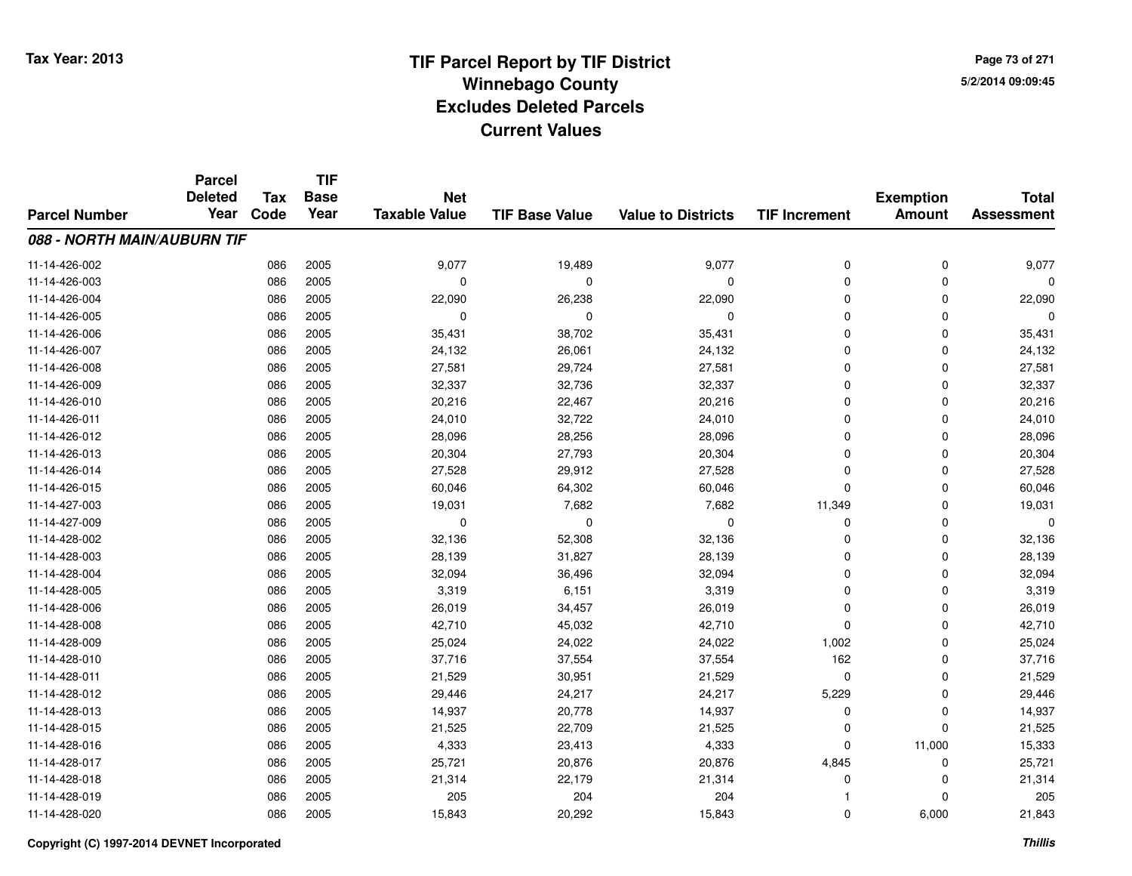**Page 73 of 2715/2/2014 09:09:45**

|                             | <b>Parcel</b>  |            | <b>TIF</b>  |                      |                       |                           |                      |                  |                   |
|-----------------------------|----------------|------------|-------------|----------------------|-----------------------|---------------------------|----------------------|------------------|-------------------|
|                             | <b>Deleted</b> | <b>Tax</b> | <b>Base</b> | <b>Net</b>           |                       |                           |                      | <b>Exemption</b> | <b>Total</b>      |
| <b>Parcel Number</b>        | Year           | Code       | Year        | <b>Taxable Value</b> | <b>TIF Base Value</b> | <b>Value to Districts</b> | <b>TIF Increment</b> | <b>Amount</b>    | <b>Assessment</b> |
| 088 - NORTH MAIN/AUBURN TIF |                |            |             |                      |                       |                           |                      |                  |                   |
| 11-14-426-002               |                | 086        | 2005        | 9,077                | 19,489                | 9,077                     | 0                    | 0                | 9,077             |
| 11-14-426-003               |                | 086        | 2005        | $\mathbf 0$          | $\Omega$              | 0                         | 0                    | $\mathbf 0$      | $\Omega$          |
| 11-14-426-004               |                | 086        | 2005        | 22,090               | 26,238                | 22,090                    | 0                    | 0                | 22,090            |
| 11-14-426-005               |                | 086        | 2005        | 0                    | $\Omega$              | 0                         | 0                    | $\mathbf 0$      | $\Omega$          |
| 11-14-426-006               |                | 086        | 2005        | 35,431               | 38,702                | 35,431                    | 0                    | 0                | 35,431            |
| 11-14-426-007               |                | 086        | 2005        | 24,132               | 26,061                | 24,132                    | 0                    | $\mathbf 0$      | 24,132            |
| 11-14-426-008               |                | 086        | 2005        | 27,581               | 29,724                | 27,581                    | 0                    | $\mathbf 0$      | 27,581            |
| 11-14-426-009               |                | 086        | 2005        | 32,337               | 32,736                | 32,337                    | 0                    | $\mathbf 0$      | 32,337            |
| 11-14-426-010               |                | 086        | 2005        | 20,216               | 22,467                | 20,216                    | 0                    | 0                | 20,216            |
| 11-14-426-011               |                | 086        | 2005        | 24,010               | 32,722                | 24,010                    | 0                    | $\mathbf 0$      | 24,010            |
| 11-14-426-012               |                | 086        | 2005        | 28,096               | 28,256                | 28,096                    | $\Omega$             | 0                | 28,096            |
| 11-14-426-013               |                | 086        | 2005        | 20,304               | 27,793                | 20,304                    | 0                    | 0                | 20,304            |
| 11-14-426-014               |                | 086        | 2005        | 27,528               | 29,912                | 27,528                    | 0                    | $\mathbf 0$      | 27,528            |
| 11-14-426-015               |                | 086        | 2005        | 60,046               | 64,302                | 60,046                    | 0                    | 0                | 60,046            |
| 11-14-427-003               |                | 086        | 2005        | 19,031               | 7,682                 | 7,682                     | 11,349               | $\mathbf 0$      | 19,031            |
| 11-14-427-009               |                | 086        | 2005        | 0                    | 0                     | 0                         | 0                    | 0                | $\Omega$          |
| 11-14-428-002               |                | 086        | 2005        | 32,136               | 52,308                | 32,136                    | 0                    | 0                | 32,136            |
| 11-14-428-003               |                | 086        | 2005        | 28,139               | 31,827                | 28,139                    | 0                    | 0                | 28,139            |
| 11-14-428-004               |                | 086        | 2005        | 32,094               | 36,496                | 32,094                    | 0                    | 0                | 32,094            |
| 11-14-428-005               |                | 086        | 2005        | 3,319                | 6,151                 | 3,319                     | 0                    | 0                | 3,319             |
| 11-14-428-006               |                | 086        | 2005        | 26,019               | 34,457                | 26,019                    | 0                    | 0                | 26,019            |
| 11-14-428-008               |                | 086        | 2005        | 42,710               | 45,032                | 42,710                    | 0                    | 0                | 42,710            |
| 11-14-428-009               |                | 086        | 2005        | 25,024               | 24,022                | 24,022                    | 1,002                | 0                | 25,024            |
| 11-14-428-010               |                | 086        | 2005        | 37,716               | 37,554                | 37,554                    | 162                  | $\mathbf 0$      | 37,716            |
| 11-14-428-011               |                | 086        | 2005        | 21,529               | 30,951                | 21,529                    | 0                    | 0                | 21,529            |
| 11-14-428-012               |                | 086        | 2005        | 29,446               | 24,217                | 24,217                    | 5,229                | 0                | 29,446            |
| 11-14-428-013               |                | 086        | 2005        | 14,937               | 20,778                | 14,937                    | 0                    | $\pmb{0}$        | 14,937            |
| 11-14-428-015               |                | 086        | 2005        | 21,525               | 22,709                | 21,525                    | 0                    | $\mathbf 0$      | 21,525            |
| 11-14-428-016               |                | 086        | 2005        | 4,333                | 23,413                | 4,333                     | 0                    | 11,000           | 15,333            |
| 11-14-428-017               |                | 086        | 2005        | 25,721               | 20,876                | 20,876                    | 4,845                | 0                | 25,721            |
| 11-14-428-018               |                | 086        | 2005        | 21,314               | 22,179                | 21,314                    | 0                    | 0                | 21,314            |
| 11-14-428-019               |                | 086        | 2005        | 205                  | 204                   | 204                       |                      | $\mathbf 0$      | 205               |
| 11-14-428-020               |                | 086        | 2005        | 15,843               | 20,292                | 15,843                    | 0                    | 6,000            | 21,843            |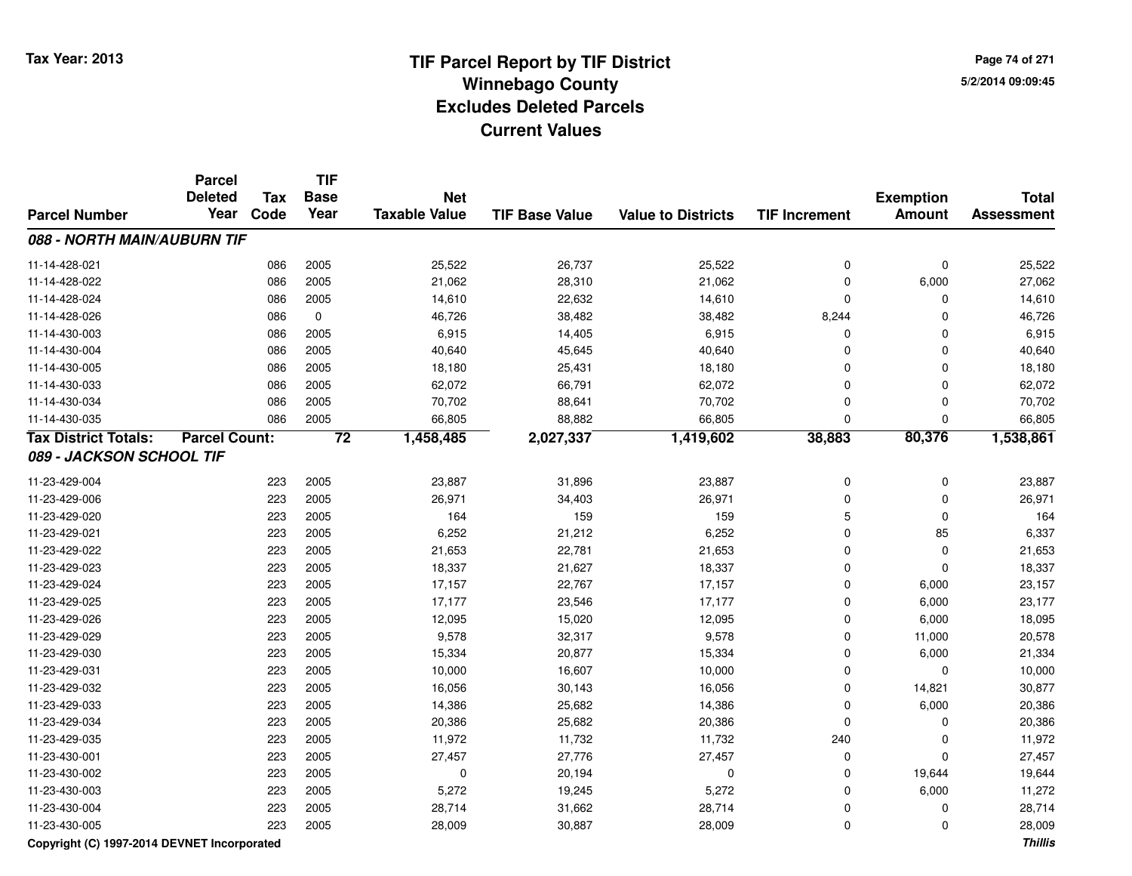**Page 74 of 2715/2/2014 09:09:45**

|                                             | <b>Parcel</b><br><b>Deleted</b> | <b>Tax</b> | <b>TIF</b><br><b>Base</b> | <b>Net</b>           |                       |                           |                      | <b>Exemption</b> | <b>Total</b>      |
|---------------------------------------------|---------------------------------|------------|---------------------------|----------------------|-----------------------|---------------------------|----------------------|------------------|-------------------|
| <b>Parcel Number</b>                        | Year                            | Code       | Year                      | <b>Taxable Value</b> | <b>TIF Base Value</b> | <b>Value to Districts</b> | <b>TIF Increment</b> | Amount           | <b>Assessment</b> |
| 088 - NORTH MAIN/AUBURN TIF                 |                                 |            |                           |                      |                       |                           |                      |                  |                   |
| 11-14-428-021                               |                                 | 086        | 2005                      | 25,522               | 26,737                | 25,522                    | $\pmb{0}$            | $\mathbf 0$      | 25,522            |
| 11-14-428-022                               |                                 | 086        | 2005                      | 21,062               | 28,310                | 21,062                    | $\mathbf 0$          | 6,000            | 27,062            |
| 11-14-428-024                               |                                 | 086        | 2005                      | 14,610               | 22,632                | 14,610                    | $\mathbf 0$          | 0                | 14,610            |
| 11-14-428-026                               |                                 | 086        | $\mathbf 0$               | 46,726               | 38,482                | 38,482                    | 8,244                | 0                | 46,726            |
| 11-14-430-003                               |                                 | 086        | 2005                      | 6,915                | 14,405                | 6,915                     | $\mathbf 0$          | 0                | 6,915             |
| 11-14-430-004                               |                                 | 086        | 2005                      | 40,640               | 45,645                | 40,640                    | $\mathbf 0$          | $\Omega$         | 40,640            |
| 11-14-430-005                               |                                 | 086        | 2005                      | 18,180               | 25,431                | 18,180                    | $\Omega$             | $\Omega$         | 18,180            |
| 11-14-430-033                               |                                 | 086        | 2005                      | 62,072               | 66,791                | 62,072                    | $\Omega$             | $\Omega$         | 62,072            |
| 11-14-430-034                               |                                 | 086        | 2005                      | 70,702               | 88,641                | 70,702                    | $\mathbf 0$          | 0                | 70,702            |
| 11-14-430-035                               |                                 | 086        | 2005                      | 66,805               | 88,882                | 66,805                    | $\mathbf 0$          | 0                | 66,805            |
| <b>Tax District Totals:</b>                 | <b>Parcel Count:</b>            |            | $\overline{72}$           | 1,458,485            | 2,027,337             | 1,419,602                 | 38,883               | 80,376           | 1,538,861         |
| 089 - JACKSON SCHOOL TIF                    |                                 |            |                           |                      |                       |                           |                      |                  |                   |
| 11-23-429-004                               |                                 | 223        | 2005                      | 23,887               | 31,896                | 23,887                    | $\boldsymbol{0}$     | 0                | 23,887            |
| 11-23-429-006                               |                                 | 223        | 2005                      | 26,971               | 34,403                | 26,971                    | $\pmb{0}$            | $\mathbf 0$      | 26,971            |
| 11-23-429-020                               |                                 | 223        | 2005                      | 164                  | 159                   | 159                       | 5                    | $\Omega$         | 164               |
| 11-23-429-021                               |                                 | 223        | 2005                      | 6,252                | 21,212                | 6,252                     | $\mathbf 0$          | 85               | 6,337             |
| 11-23-429-022                               |                                 | 223        | 2005                      | 21,653               | 22,781                | 21,653                    | $\mathbf 0$          | $\mathbf 0$      | 21,653            |
| 11-23-429-023                               |                                 | 223        | 2005                      | 18,337               | 21,627                | 18,337                    | $\Omega$             | $\Omega$         | 18,337            |
| 11-23-429-024                               |                                 | 223        | 2005                      | 17,157               | 22,767                | 17,157                    | $\mathbf 0$          | 6,000            | 23,157            |
| 11-23-429-025                               |                                 | 223        | 2005                      | 17,177               | 23,546                | 17,177                    | $\mathbf 0$          | 6,000            | 23,177            |
| 11-23-429-026                               |                                 | 223        | 2005                      | 12,095               | 15,020                | 12,095                    | $\mathbf 0$          | 6,000            | 18,095            |
| 11-23-429-029                               |                                 | 223        | 2005                      | 9,578                | 32,317                | 9,578                     | $\pmb{0}$            | 11,000           | 20,578            |
| 11-23-429-030                               |                                 | 223        | 2005                      | 15,334               | 20,877                | 15,334                    | $\mathbf 0$          | 6,000            | 21,334            |
| 11-23-429-031                               |                                 | 223        | 2005                      | 10,000               | 16,607                | 10,000                    | $\mathbf 0$          | 0                | 10,000            |
| 11-23-429-032                               |                                 | 223        | 2005                      | 16,056               | 30,143                | 16,056                    | $\mathbf 0$          | 14,821           | 30,877            |
| 11-23-429-033                               |                                 | 223        | 2005                      | 14,386               | 25,682                | 14,386                    | $\mathbf 0$          | 6,000            | 20,386            |
| 11-23-429-034                               |                                 | 223        | 2005                      | 20,386               | 25,682                | 20,386                    | $\mathbf 0$          | 0                | 20,386            |
| 11-23-429-035                               |                                 | 223        | 2005                      | 11,972               | 11,732                | 11,732                    | 240                  | 0                | 11,972            |
| 11-23-430-001                               |                                 | 223        | 2005                      | 27,457               | 27,776                | 27,457                    | $\mathbf 0$          | $\mathbf 0$      | 27,457            |
| 11-23-430-002                               |                                 | 223        | 2005                      | 0                    | 20,194                | 0                         | $\mathbf 0$          | 19,644           | 19,644            |
| 11-23-430-003                               |                                 | 223        | 2005                      | 5,272                | 19,245                | 5,272                     | $\mathbf 0$          | 6,000            | 11,272            |
| 11-23-430-004                               |                                 | 223        | 2005                      | 28,714               | 31,662                | 28,714                    | 0                    | 0                | 28,714            |
| 11-23-430-005                               |                                 | 223        | 2005                      | 28,009               | 30,887                | 28,009                    | $\mathbf 0$          | 0                | 28,009            |
| Copyright (C) 1997-2014 DEVNET Incorporated |                                 |            |                           |                      |                       |                           |                      |                  | <b>Thillis</b>    |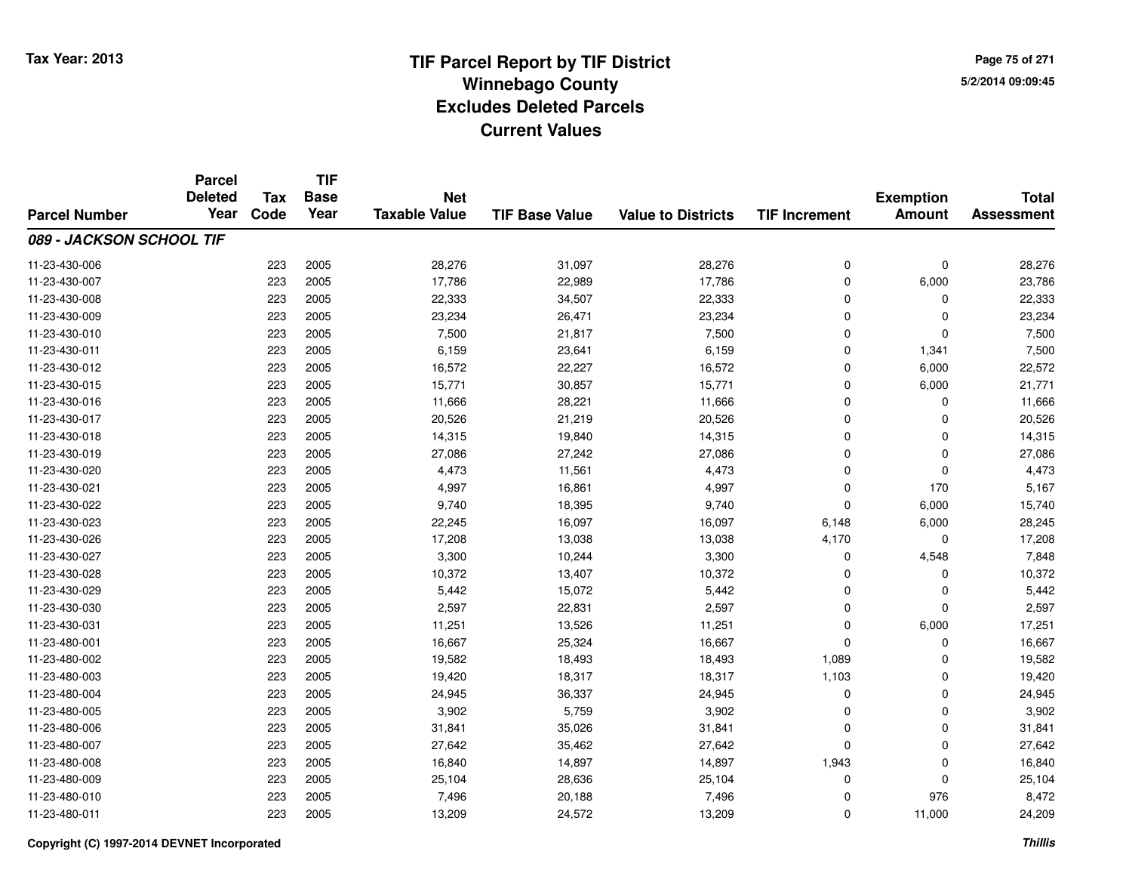**Page 75 of 2715/2/2014 09:09:45**

|                          | <b>Parcel</b><br><b>Deleted</b> | <b>Tax</b> | <b>TIF</b><br><b>Base</b> | <b>Net</b>           |                       |                           |                      | <b>Exemption</b> | <b>Total</b>      |
|--------------------------|---------------------------------|------------|---------------------------|----------------------|-----------------------|---------------------------|----------------------|------------------|-------------------|
| <b>Parcel Number</b>     | Year                            | Code       | Year                      | <b>Taxable Value</b> | <b>TIF Base Value</b> | <b>Value to Districts</b> | <b>TIF Increment</b> | <b>Amount</b>    | <b>Assessment</b> |
| 089 - JACKSON SCHOOL TIF |                                 |            |                           |                      |                       |                           |                      |                  |                   |
| 11-23-430-006            |                                 | 223        | 2005                      | 28,276               | 31,097                | 28,276                    | $\mathbf 0$          | $\mathbf 0$      | 28,276            |
| 11-23-430-007            |                                 | 223        | 2005                      | 17,786               | 22,989                | 17,786                    | $\mathbf 0$          | 6,000            | 23,786            |
| 11-23-430-008            |                                 | 223        | 2005                      | 22,333               | 34,507                | 22,333                    | $\Omega$             | $\Omega$         | 22,333            |
| 11-23-430-009            |                                 | 223        | 2005                      | 23,234               | 26,471                | 23,234                    | $\mathbf 0$          | 0                | 23,234            |
| 11-23-430-010            |                                 | 223        | 2005                      | 7,500                | 21,817                | 7,500                     | $\Omega$             | $\Omega$         | 7,500             |
| 11-23-430-011            |                                 | 223        | 2005                      | 6,159                | 23,641                | 6,159                     | $\mathbf 0$          | 1,341            | 7,500             |
| 11-23-430-012            |                                 | 223        | 2005                      | 16,572               | 22,227                | 16,572                    | $\mathbf 0$          | 6,000            | 22,572            |
| 11-23-430-015            |                                 | 223        | 2005                      | 15,771               | 30,857                | 15,771                    | $\mathbf 0$          | 6,000            | 21,771            |
| 11-23-430-016            |                                 | 223        | 2005                      | 11,666               | 28,221                | 11,666                    | $\Omega$             | 0                | 11,666            |
| 11-23-430-017            |                                 | 223        | 2005                      | 20,526               | 21,219                | 20,526                    | $\Omega$             | $\Omega$         | 20,526            |
| 11-23-430-018            |                                 | 223        | 2005                      | 14,315               | 19,840                | 14,315                    | $\Omega$             | $\Omega$         | 14,315            |
| 11-23-430-019            |                                 | 223        | 2005                      | 27,086               | 27,242                | 27,086                    | $\Omega$             | 0                | 27,086            |
| 11-23-430-020            |                                 | 223        | 2005                      | 4,473                | 11,561                | 4,473                     | $\Omega$             | $\mathbf 0$      | 4,473             |
| 11-23-430-021            |                                 | 223        | 2005                      | 4,997                | 16,861                | 4,997                     | 0                    | 170              | 5,167             |
| 11-23-430-022            |                                 | 223        | 2005                      | 9,740                | 18,395                | 9,740                     | $\mathbf 0$          | 6,000            | 15,740            |
| 11-23-430-023            |                                 | 223        | 2005                      | 22,245               | 16,097                | 16,097                    | 6,148                | 6,000            | 28,245            |
| 11-23-430-026            |                                 | 223        | 2005                      | 17,208               | 13,038                | 13,038                    | 4,170                | 0                | 17,208            |
| 11-23-430-027            |                                 | 223        | 2005                      | 3,300                | 10,244                | 3,300                     | 0                    | 4,548            | 7,848             |
| 11-23-430-028            |                                 | 223        | 2005                      | 10,372               | 13,407                | 10,372                    | $\mathbf 0$          | 0                | 10,372            |
| 11-23-430-029            |                                 | 223        | 2005                      | 5,442                | 15,072                | 5,442                     | 0                    | $\mathbf 0$      | 5,442             |
| 11-23-430-030            |                                 | 223        | 2005                      | 2,597                | 22,831                | 2,597                     | $\mathbf 0$          | $\mathbf{0}$     | 2,597             |
| 11-23-430-031            |                                 | 223        | 2005                      | 11,251               | 13,526                | 11,251                    | $\mathbf 0$          | 6,000            | 17,251            |
| 11-23-480-001            |                                 | 223        | 2005                      | 16,667               | 25,324                | 16,667                    | $\mathbf 0$          | $\mathbf 0$      | 16,667            |
| 11-23-480-002            |                                 | 223        | 2005                      | 19,582               | 18,493                | 18,493                    | 1,089                | $\mathbf 0$      | 19,582            |
| 11-23-480-003            |                                 | 223        | 2005                      | 19,420               | 18,317                | 18,317                    | 1,103                | $\mathbf 0$      | 19,420            |
| 11-23-480-004            |                                 | 223        | 2005                      | 24,945               | 36,337                | 24,945                    | 0                    | $\mathbf 0$      | 24,945            |
| 11-23-480-005            |                                 | 223        | 2005                      | 3,902                | 5,759                 | 3,902                     | $\Omega$             | $\mathbf{0}$     | 3,902             |
| 11-23-480-006            |                                 | 223        | 2005                      | 31,841               | 35,026                | 31,841                    | $\mathbf 0$          | 0                | 31,841            |
| 11-23-480-007            |                                 | 223        | 2005                      | 27,642               | 35,462                | 27,642                    | $\Omega$             | 0                | 27,642            |
| 11-23-480-008            |                                 | 223        | 2005                      | 16,840               | 14,897                | 14,897                    | 1,943                | 0                | 16,840            |
| 11-23-480-009            |                                 | 223        | 2005                      | 25,104               | 28,636                | 25,104                    | $\mathbf 0$          | $\Omega$         | 25,104            |
| 11-23-480-010            |                                 | 223        | 2005                      | 7,496                | 20,188                | 7,496                     | 0                    | 976              | 8,472             |
| 11-23-480-011            |                                 | 223        | 2005                      | 13,209               | 24,572                | 13,209                    | $\Omega$             | 11,000           | 24,209            |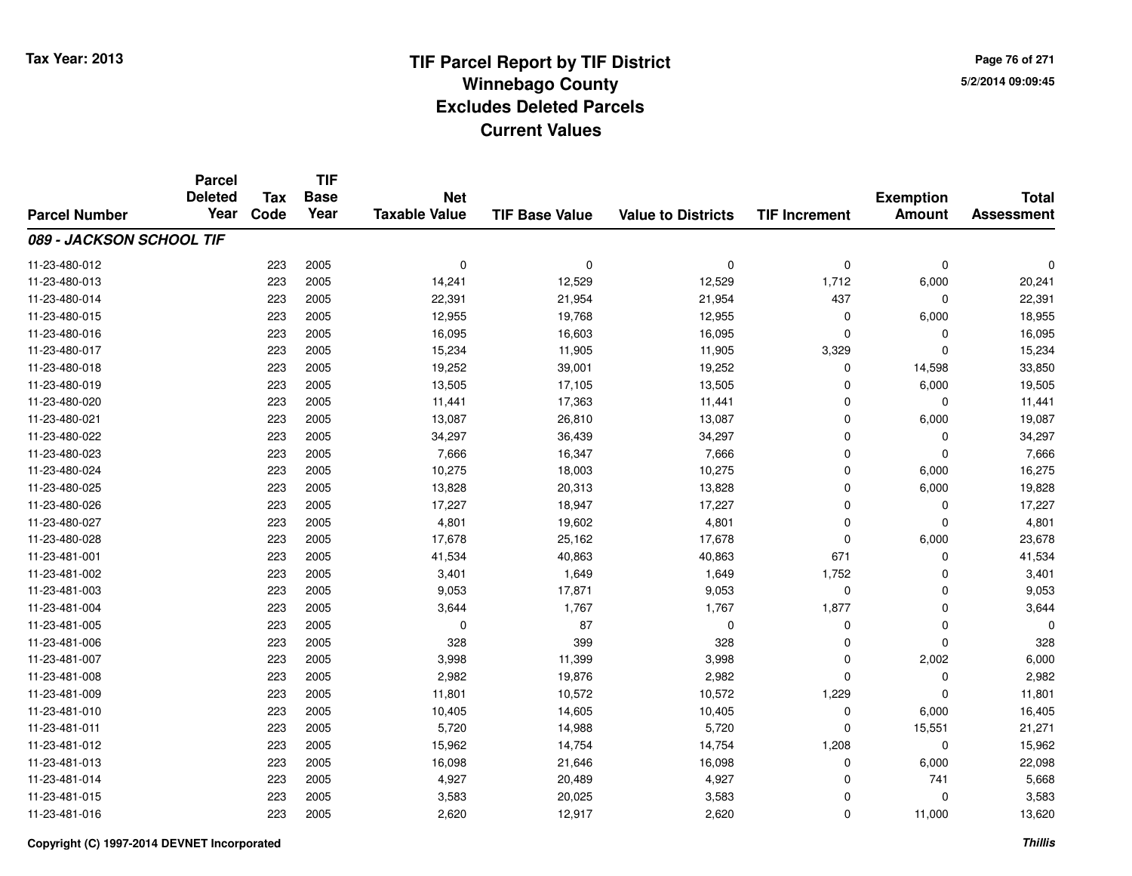**Page 76 of 2715/2/2014 09:09:45**

|                          | <b>Parcel</b><br><b>Deleted</b> | <b>Tax</b> | <b>TIF</b><br><b>Base</b> | <b>Net</b>           |                       |                           |                      | <b>Exemption</b> | <b>Total</b>      |
|--------------------------|---------------------------------|------------|---------------------------|----------------------|-----------------------|---------------------------|----------------------|------------------|-------------------|
| <b>Parcel Number</b>     | Year                            | Code       | Year                      | <b>Taxable Value</b> | <b>TIF Base Value</b> | <b>Value to Districts</b> | <b>TIF Increment</b> | <b>Amount</b>    | <b>Assessment</b> |
| 089 - JACKSON SCHOOL TIF |                                 |            |                           |                      |                       |                           |                      |                  |                   |
| 11-23-480-012            |                                 | 223        | 2005                      | $\mathbf 0$          | $\mathbf 0$           | $\mathbf 0$               | $\mathbf 0$          | $\mathbf 0$      | O                 |
| 11-23-480-013            |                                 | 223        | 2005                      | 14,241               | 12,529                | 12,529                    | 1,712                | 6,000            | 20,241            |
| 11-23-480-014            |                                 | 223        | 2005                      | 22,391               | 21,954                | 21,954                    | 437                  | 0                | 22,391            |
| 11-23-480-015            |                                 | 223        | 2005                      | 12,955               | 19,768                | 12,955                    | $\Omega$             | 6,000            | 18,955            |
| 11-23-480-016            |                                 | 223        | 2005                      | 16,095               | 16,603                | 16,095                    | $\Omega$             | 0                | 16,095            |
| 11-23-480-017            |                                 | 223        | 2005                      | 15,234               | 11,905                | 11,905                    | 3,329                | $\mathbf 0$      | 15,234            |
| 11-23-480-018            |                                 | 223        | 2005                      | 19,252               | 39,001                | 19,252                    | $\mathbf 0$          | 14,598           | 33,850            |
| 11-23-480-019            |                                 | 223        | 2005                      | 13,505               | 17,105                | 13,505                    | $\Omega$             | 6,000            | 19,505            |
| 11-23-480-020            |                                 | 223        | 2005                      | 11,441               | 17,363                | 11,441                    | $\mathbf 0$          | $\mathbf 0$      | 11,441            |
| 11-23-480-021            |                                 | 223        | 2005                      | 13,087               | 26,810                | 13,087                    | $\mathbf 0$          | 6,000            | 19,087            |
| 11-23-480-022            |                                 | 223        | 2005                      | 34,297               | 36,439                | 34,297                    | $\Omega$             | $\mathbf 0$      | 34,297            |
| 11-23-480-023            |                                 | 223        | 2005                      | 7,666                | 16,347                | 7,666                     | 0                    | $\mathbf 0$      | 7,666             |
| 11-23-480-024            |                                 | 223        | 2005                      | 10,275               | 18,003                | 10,275                    | $\Omega$             | 6,000            | 16,275            |
| 11-23-480-025            |                                 | 223        | 2005                      | 13,828               | 20,313                | 13,828                    | $\mathbf 0$          | 6,000            | 19,828            |
| 11-23-480-026            |                                 | 223        | 2005                      | 17,227               | 18,947                | 17,227                    | $\mathbf 0$          | 0                | 17,227            |
| 11-23-480-027            |                                 | 223        | 2005                      | 4,801                | 19,602                | 4,801                     | $\mathbf 0$          | $\mathbf 0$      | 4,801             |
| 11-23-480-028            |                                 | 223        | 2005                      | 17,678               | 25,162                | 17,678                    | $\mathbf 0$          | 6,000            | 23,678            |
| 11-23-481-001            |                                 | 223        | 2005                      | 41,534               | 40,863                | 40,863                    | 671                  | $\mathbf 0$      | 41,534            |
| 11-23-481-002            |                                 | 223        | 2005                      | 3,401                | 1,649                 | 1,649                     | 1,752                | 0                | 3,401             |
| 11-23-481-003            |                                 | 223        | 2005                      | 9,053                | 17,871                | 9,053                     | $\mathbf 0$          | $\mathbf 0$      | 9,053             |
| 11-23-481-004            |                                 | 223        | 2005                      | 3,644                | 1,767                 | 1,767                     | 1,877                | $\mathbf 0$      | 3,644             |
| 11-23-481-005            |                                 | 223        | 2005                      | $\mathbf 0$          | 87                    | $\pmb{0}$                 | $\mathbf 0$          | $\mathbf 0$      |                   |
| 11-23-481-006            |                                 | 223        | 2005                      | 328                  | 399                   | 328                       | 0                    | $\mathbf 0$      | 328               |
| 11-23-481-007            |                                 | 223        | 2005                      | 3,998                | 11,399                | 3,998                     | $\mathbf 0$          | 2,002            | 6,000             |
| 11-23-481-008            |                                 | 223        | 2005                      | 2,982                | 19,876                | 2,982                     | $\Omega$             | $\mathbf 0$      | 2,982             |
| 11-23-481-009            |                                 | 223        | 2005                      | 11,801               | 10,572                | 10,572                    | 1,229                | $\mathbf 0$      | 11,801            |
| 11-23-481-010            |                                 | 223        | 2005                      | 10,405               | 14,605                | 10,405                    | $\mathbf 0$          | 6,000            | 16,405            |
| 11-23-481-011            |                                 | 223        | 2005                      | 5,720                | 14,988                | 5,720                     | $\Omega$             | 15,551           | 21,271            |
| 11-23-481-012            |                                 | 223        | 2005                      | 15,962               | 14,754                | 14,754                    | 1,208                | $\mathbf 0$      | 15,962            |
| 11-23-481-013            |                                 | 223        | 2005                      | 16,098               | 21,646                | 16,098                    | 0                    | 6,000            | 22,098            |
| 11-23-481-014            |                                 | 223        | 2005                      | 4,927                | 20,489                | 4,927                     | $\Omega$             | 741              | 5,668             |
| 11-23-481-015            |                                 | 223        | 2005                      | 3,583                | 20,025                | 3,583                     | $\Omega$             | $\mathbf 0$      | 3,583             |
| 11-23-481-016            |                                 | 223        | 2005                      | 2,620                | 12,917                | 2,620                     | $\Omega$             | 11,000           | 13,620            |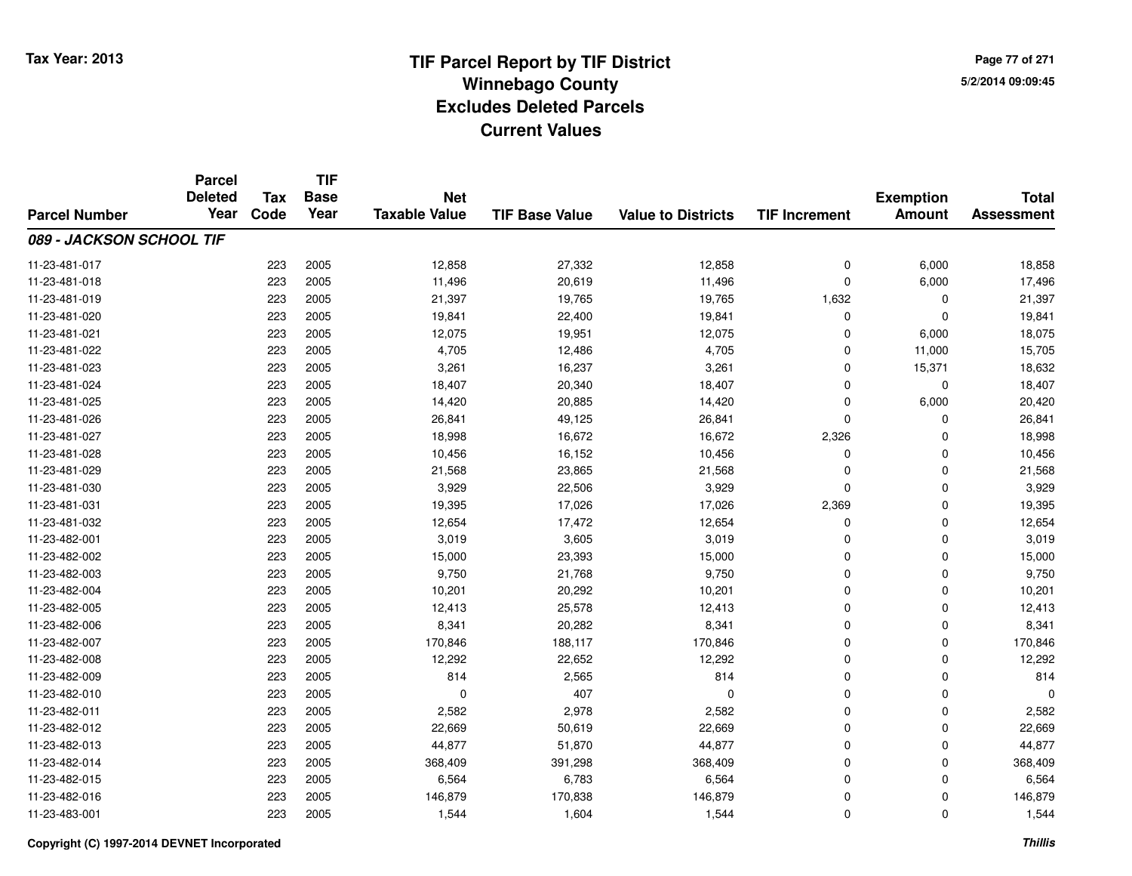**Page 77 of 2715/2/2014 09:09:45**

|                          | <b>Parcel</b><br><b>Deleted</b> | <b>Tax</b> | <b>TIF</b><br><b>Base</b> | <b>Net</b>           |                       |                           |                      | <b>Exemption</b> | <b>Total</b>      |
|--------------------------|---------------------------------|------------|---------------------------|----------------------|-----------------------|---------------------------|----------------------|------------------|-------------------|
| <b>Parcel Number</b>     | Year                            | Code       | Year                      | <b>Taxable Value</b> | <b>TIF Base Value</b> | <b>Value to Districts</b> | <b>TIF Increment</b> | <b>Amount</b>    | <b>Assessment</b> |
| 089 - JACKSON SCHOOL TIF |                                 |            |                           |                      |                       |                           |                      |                  |                   |
| 11-23-481-017            |                                 | 223        | 2005                      | 12,858               | 27,332                | 12,858                    | $\mathbf 0$          | 6,000            | 18,858            |
| 11-23-481-018            |                                 | 223        | 2005                      | 11,496               | 20,619                | 11,496                    | $\mathbf 0$          | 6,000            | 17,496            |
| 11-23-481-019            |                                 | 223        | 2005                      | 21,397               | 19,765                | 19,765                    | 1,632                | $\mathbf 0$      | 21,397            |
| 11-23-481-020            |                                 | 223        | 2005                      | 19,841               | 22,400                | 19,841                    | 0                    | $\mathbf 0$      | 19,841            |
| 11-23-481-021            |                                 | 223        | 2005                      | 12,075               | 19,951                | 12,075                    | $\Omega$             | 6,000            | 18,075            |
| 11-23-481-022            |                                 | 223        | 2005                      | 4,705                | 12,486                | 4,705                     | $\mathbf 0$          | 11,000           | 15,705            |
| 11-23-481-023            |                                 | 223        | 2005                      | 3,261                | 16,237                | 3,261                     | $\Omega$             | 15,371           | 18,632            |
| 11-23-481-024            |                                 | 223        | 2005                      | 18,407               | 20,340                | 18,407                    | $\mathbf 0$          | 0                | 18,407            |
| 11-23-481-025            |                                 | 223        | 2005                      | 14,420               | 20,885                | 14,420                    | $\Omega$             | 6,000            | 20,420            |
| 11-23-481-026            |                                 | 223        | 2005                      | 26,841               | 49,125                | 26,841                    | $\Omega$             | $\mathbf 0$      | 26,841            |
| 11-23-481-027            |                                 | 223        | 2005                      | 18,998               | 16,672                | 16,672                    | 2,326                | $\Omega$         | 18,998            |
| 11-23-481-028            |                                 | 223        | 2005                      | 10,456               | 16,152                | 10,456                    | 0                    | $\mathbf 0$      | 10,456            |
| 11-23-481-029            |                                 | 223        | 2005                      | 21,568               | 23,865                | 21,568                    | $\Omega$             | $\mathbf 0$      | 21,568            |
| 11-23-481-030            |                                 | 223        | 2005                      | 3,929                | 22,506                | 3,929                     | $\Omega$             | $\mathbf 0$      | 3,929             |
| 11-23-481-031            |                                 | 223        | 2005                      | 19,395               | 17,026                | 17,026                    | 2,369                | $\mathbf 0$      | 19,395            |
| 11-23-481-032            |                                 | 223        | 2005                      | 12,654               | 17,472                | 12,654                    | 0                    | 0                | 12,654            |
| 11-23-482-001            |                                 | 223        | 2005                      | 3,019                | 3,605                 | 3,019                     | $\Omega$             | $\mathbf 0$      | 3,019             |
| 11-23-482-002            |                                 | 223        | 2005                      | 15,000               | 23,393                | 15,000                    | $\mathbf 0$          | $\mathbf 0$      | 15,000            |
| 11-23-482-003            |                                 | 223        | 2005                      | 9,750                | 21,768                | 9,750                     | $\Omega$             | $\mathbf 0$      | 9,750             |
| 11-23-482-004            |                                 | 223        | 2005                      | 10,201               | 20,292                | 10,201                    | 0                    | $\mathbf 0$      | 10,201            |
| 11-23-482-005            |                                 | 223        | 2005                      | 12,413               | 25,578                | 12,413                    | $\mathbf 0$          | $\mathbf 0$      | 12,413            |
| 11-23-482-006            |                                 | 223        | 2005                      | 8,341                | 20,282                | 8,341                     | 0                    | 0                | 8,341             |
| 11-23-482-007            |                                 | 223        | 2005                      | 170,846              | 188,117               | 170,846                   | $\mathbf 0$          | $\mathbf 0$      | 170,846           |
| 11-23-482-008            |                                 | 223        | 2005                      | 12,292               | 22,652                | 12,292                    | $\mathbf 0$          | $\mathbf 0$      | 12,292            |
| 11-23-482-009            |                                 | 223        | 2005                      | 814                  | 2,565                 | 814                       | $\Omega$             | $\mathbf 0$      | 814               |
| 11-23-482-010            |                                 | 223        | 2005                      | 0                    | 407                   | $\mathbf 0$               | $\mathbf 0$          | $\mathbf 0$      |                   |
| 11-23-482-011            |                                 | 223        | 2005                      | 2,582                | 2,978                 | 2,582                     | $\mathbf 0$          | $\mathbf 0$      | 2,582             |
| 11-23-482-012            |                                 | 223        | 2005                      | 22,669               | 50,619                | 22,669                    | $\mathbf 0$          | 0                | 22,669            |
| 11-23-482-013            |                                 | 223        | 2005                      | 44,877               | 51,870                | 44,877                    | $\Omega$             | $\mathbf 0$      | 44,877            |
| 11-23-482-014            |                                 | 223        | 2005                      | 368,409              | 391,298               | 368,409                   | 0                    | 0                | 368,409           |
| 11-23-482-015            |                                 | 223        | 2005                      | 6,564                | 6,783                 | 6,564                     | $\Omega$             | $\mathbf 0$      | 6,564             |
| 11-23-482-016            |                                 | 223        | 2005                      | 146,879              | 170,838               | 146,879                   | 0                    | $\mathbf 0$      | 146,879           |
| 11-23-483-001            |                                 | 223        | 2005                      | 1,544                | 1,604                 | 1,544                     | $\Omega$             | $\mathbf 0$      | 1,544             |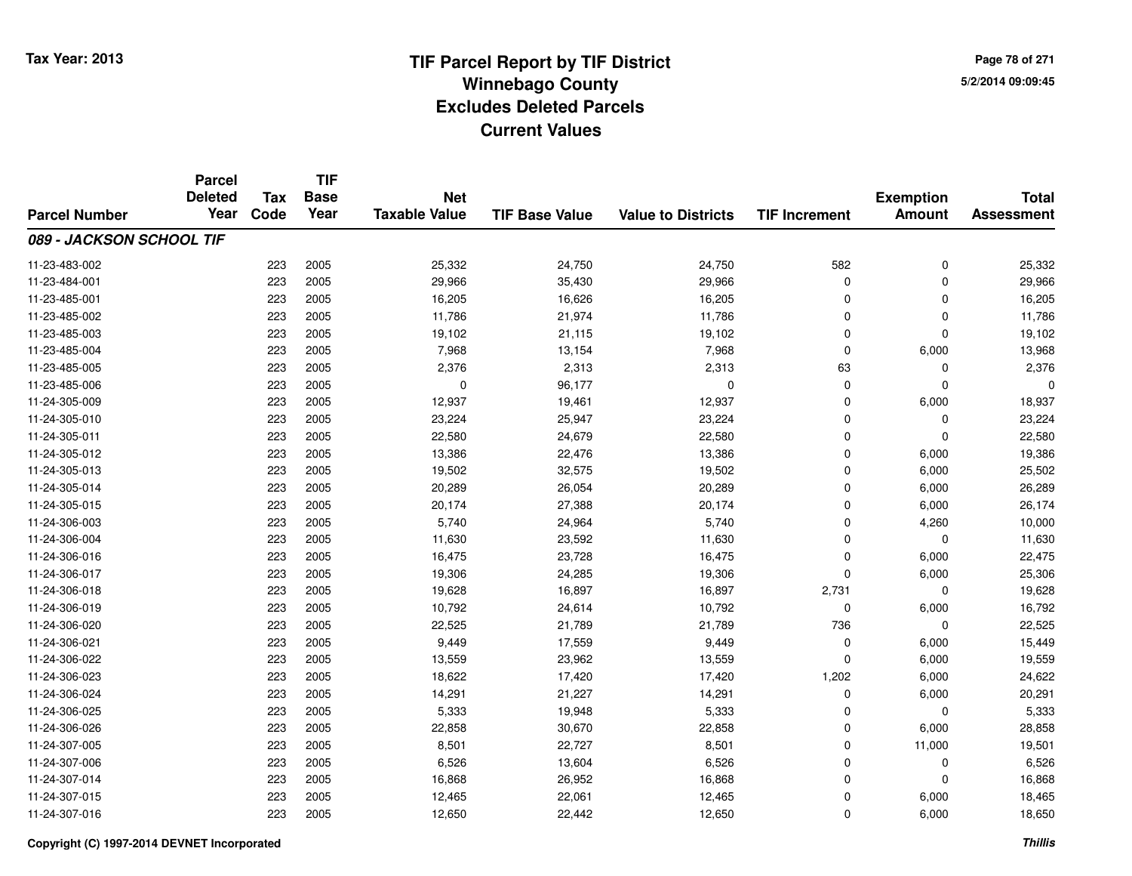**Page 78 of 2715/2/2014 09:09:45**

|                          | <b>Parcel</b><br><b>Deleted</b> | <b>Tax</b> | <b>TIF</b><br><b>Base</b> | <b>Net</b>           |                       |                           |                      | <b>Exemption</b> | <b>Total</b>      |
|--------------------------|---------------------------------|------------|---------------------------|----------------------|-----------------------|---------------------------|----------------------|------------------|-------------------|
| <b>Parcel Number</b>     | Year                            | Code       | Year                      | <b>Taxable Value</b> | <b>TIF Base Value</b> | <b>Value to Districts</b> | <b>TIF Increment</b> | <b>Amount</b>    | <b>Assessment</b> |
| 089 - JACKSON SCHOOL TIF |                                 |            |                           |                      |                       |                           |                      |                  |                   |
| 11-23-483-002            |                                 | 223        | 2005                      | 25,332               | 24,750                | 24,750                    | 582                  | $\mathbf 0$      | 25,332            |
| 11-23-484-001            |                                 | 223        | 2005                      | 29,966               | 35,430                | 29,966                    | $\mathbf 0$          | $\mathbf 0$      | 29,966            |
| 11-23-485-001            |                                 | 223        | 2005                      | 16,205               | 16,626                | 16,205                    | $\Omega$             | $\mathbf 0$      | 16,205            |
| 11-23-485-002            |                                 | 223        | 2005                      | 11,786               | 21,974                | 11,786                    | 0                    | 0                | 11,786            |
| 11-23-485-003            |                                 | 223        | 2005                      | 19,102               | 21,115                | 19,102                    | $\Omega$             | $\Omega$         | 19,102            |
| 11-23-485-004            |                                 | 223        | 2005                      | 7,968                | 13,154                | 7,968                     | $\Omega$             | 6,000            | 13,968            |
| 11-23-485-005            |                                 | 223        | 2005                      | 2,376                | 2,313                 | 2,313                     | 63                   | $\mathbf 0$      | 2,376             |
| 11-23-485-006            |                                 | 223        | 2005                      | 0                    | 96,177                | $\mathbf 0$               | $\mathbf 0$          | $\mathbf 0$      |                   |
| 11-24-305-009            |                                 | 223        | 2005                      | 12,937               | 19,461                | 12,937                    | $\Omega$             | 6,000            | 18,937            |
| 11-24-305-010            |                                 | 223        | 2005                      | 23,224               | 25,947                | 23,224                    | $\mathbf 0$          | 0                | 23,224            |
| 11-24-305-011            |                                 | 223        | 2005                      | 22,580               | 24,679                | 22,580                    | $\Omega$             | $\Omega$         | 22,580            |
| 11-24-305-012            |                                 | 223        | 2005                      | 13,386               | 22,476                | 13,386                    | $\Omega$             | 6,000            | 19,386            |
| 11-24-305-013            |                                 | 223        | 2005                      | 19,502               | 32,575                | 19,502                    | $\Omega$             | 6,000            | 25,502            |
| 11-24-305-014            |                                 | 223        | 2005                      | 20,289               | 26,054                | 20,289                    | 0                    | 6,000            | 26,289            |
| 11-24-305-015            |                                 | 223        | 2005                      | 20,174               | 27,388                | 20,174                    | $\mathbf 0$          | 6,000            | 26,174            |
| 11-24-306-003            |                                 | 223        | 2005                      | 5,740                | 24,964                | 5,740                     | $\mathbf 0$          | 4,260            | 10,000            |
| 11-24-306-004            |                                 | 223        | 2005                      | 11,630               | 23,592                | 11,630                    | $\Omega$             | 0                | 11,630            |
| 11-24-306-016            |                                 | 223        | 2005                      | 16,475               | 23,728                | 16,475                    | $\mathbf 0$          | 6,000            | 22,475            |
| 11-24-306-017            |                                 | 223        | 2005                      | 19,306               | 24,285                | 19,306                    | $\Omega$             | 6,000            | 25,306            |
| 11-24-306-018            |                                 | 223        | 2005                      | 19,628               | 16,897                | 16,897                    | 2,731                | 0                | 19,628            |
| 11-24-306-019            |                                 | 223        | 2005                      | 10,792               | 24,614                | 10,792                    | $\mathbf 0$          | 6,000            | 16,792            |
| 11-24-306-020            |                                 | 223        | 2005                      | 22,525               | 21,789                | 21,789                    | 736                  | 0                | 22,525            |
| 11-24-306-021            |                                 | 223        | 2005                      | 9,449                | 17,559                | 9,449                     | $\mathbf 0$          | 6,000            | 15,449            |
| 11-24-306-022            |                                 | 223        | 2005                      | 13,559               | 23,962                | 13,559                    | $\mathbf 0$          | 6,000            | 19,559            |
| 11-24-306-023            |                                 | 223        | 2005                      | 18,622               | 17,420                | 17,420                    | 1,202                | 6,000            | 24,622            |
| 11-24-306-024            |                                 | 223        | 2005                      | 14,291               | 21,227                | 14,291                    | $\mathbf 0$          | 6,000            | 20,291            |
| 11-24-306-025            |                                 | 223        | 2005                      | 5,333                | 19,948                | 5,333                     | $\mathbf 0$          | $\mathbf 0$      | 5,333             |
| 11-24-306-026            |                                 | 223        | 2005                      | 22,858               | 30,670                | 22,858                    | 0                    | 6,000            | 28,858            |
| 11-24-307-005            |                                 | 223        | 2005                      | 8,501                | 22,727                | 8,501                     | $\mathbf 0$          | 11,000           | 19,501            |
| 11-24-307-006            |                                 | 223        | 2005                      | 6,526                | 13,604                | 6,526                     | 0                    | 0                | 6,526             |
| 11-24-307-014            |                                 | 223        | 2005                      | 16,868               | 26,952                | 16,868                    | $\Omega$             | $\mathbf 0$      | 16,868            |
| 11-24-307-015            |                                 | 223        | 2005                      | 12,465               | 22,061                | 12,465                    | 0                    | 6,000            | 18,465            |
| 11-24-307-016            |                                 | 223        | 2005                      | 12,650               | 22,442                | 12,650                    | $\Omega$             | 6,000            | 18,650            |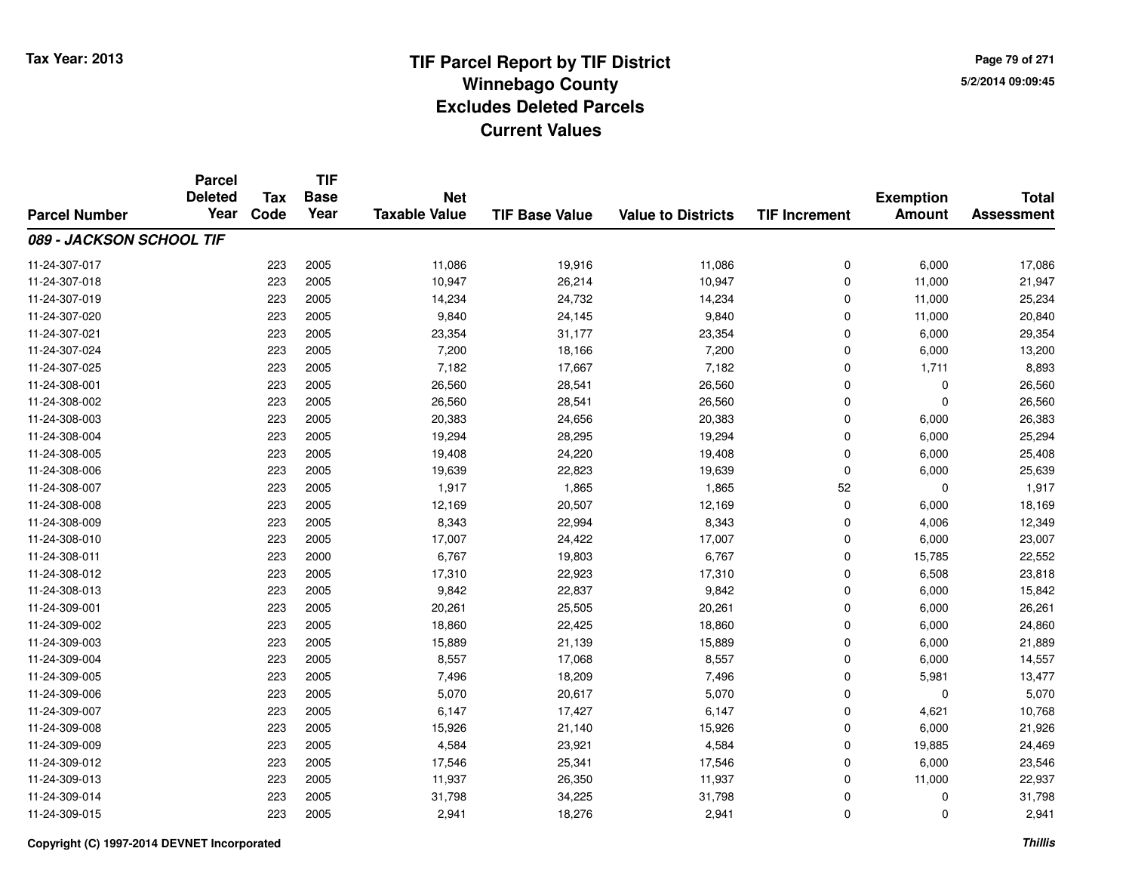**Page 79 of 2715/2/2014 09:09:45**

|                          | <b>Parcel</b><br><b>Deleted</b> | <b>Tax</b> | <b>TIF</b><br><b>Base</b> | <b>Net</b>           |                       |                           |                      | <b>Exemption</b> | <b>Total</b>      |
|--------------------------|---------------------------------|------------|---------------------------|----------------------|-----------------------|---------------------------|----------------------|------------------|-------------------|
| <b>Parcel Number</b>     | Year                            | Code       | Year                      | <b>Taxable Value</b> | <b>TIF Base Value</b> | <b>Value to Districts</b> | <b>TIF Increment</b> | <b>Amount</b>    | <b>Assessment</b> |
| 089 - JACKSON SCHOOL TIF |                                 |            |                           |                      |                       |                           |                      |                  |                   |
| 11-24-307-017            |                                 | 223        | 2005                      | 11,086               | 19,916                | 11,086                    | $\mathbf 0$          | 6,000            | 17,086            |
| 11-24-307-018            |                                 | 223        | 2005                      | 10,947               | 26,214                | 10,947                    | $\mathbf 0$          | 11,000           | 21,947            |
| 11-24-307-019            |                                 | 223        | 2005                      | 14,234               | 24,732                | 14,234                    | $\Omega$             | 11,000           | 25,234            |
| 11-24-307-020            |                                 | 223        | 2005                      | 9,840                | 24,145                | 9,840                     | $\mathbf 0$          | 11,000           | 20,840            |
| 11-24-307-021            |                                 | 223        | 2005                      | 23,354               | 31,177                | 23,354                    | $\mathbf 0$          | 6,000            | 29,354            |
| 11-24-307-024            |                                 | 223        | 2005                      | 7,200                | 18,166                | 7,200                     | $\mathbf 0$          | 6,000            | 13,200            |
| 11-24-307-025            |                                 | 223        | 2005                      | 7,182                | 17,667                | 7,182                     | 0                    | 1,711            | 8,893             |
| 11-24-308-001            |                                 | 223        | 2005                      | 26,560               | 28,541                | 26,560                    | $\mathbf 0$          | 0                | 26,560            |
| 11-24-308-002            |                                 | 223        | 2005                      | 26,560               | 28,541                | 26,560                    | $\Omega$             | $\mathbf 0$      | 26,560            |
| 11-24-308-003            |                                 | 223        | 2005                      | 20,383               | 24,656                | 20,383                    | $\mathbf 0$          | 6,000            | 26,383            |
| 11-24-308-004            |                                 | 223        | 2005                      | 19,294               | 28,295                | 19,294                    | 0                    | 6,000            | 25,294            |
| 11-24-308-005            |                                 | 223        | 2005                      | 19,408               | 24,220                | 19,408                    | 0                    | 6,000            | 25,408            |
| 11-24-308-006            |                                 | 223        | 2005                      | 19,639               | 22,823                | 19,639                    | $\mathbf 0$          | 6,000            | 25,639            |
| 11-24-308-007            |                                 | 223        | 2005                      | 1,917                | 1,865                 | 1,865                     | 52                   | 0                | 1,917             |
| 11-24-308-008            |                                 | 223        | 2005                      | 12,169               | 20,507                | 12,169                    | 0                    | 6,000            | 18,169            |
| 11-24-308-009            |                                 | 223        | 2005                      | 8,343                | 22,994                | 8,343                     | $\mathbf 0$          | 4,006            | 12,349            |
| 11-24-308-010            |                                 | 223        | 2005                      | 17,007               | 24,422                | 17,007                    | $\mathbf 0$          | 6,000            | 23,007            |
| 11-24-308-011            |                                 | 223        | 2000                      | 6,767                | 19,803                | 6,767                     | $\mathbf 0$          | 15,785           | 22,552            |
| 11-24-308-012            |                                 | 223        | 2005                      | 17,310               | 22,923                | 17,310                    | $\mathbf 0$          | 6,508            | 23,818            |
| 11-24-308-013            |                                 | 223        | 2005                      | 9,842                | 22,837                | 9,842                     | $\mathbf 0$          | 6,000            | 15,842            |
| 11-24-309-001            |                                 | 223        | 2005                      | 20,261               | 25,505                | 20,261                    | $\mathbf 0$          | 6,000            | 26,261            |
| 11-24-309-002            |                                 | 223        | 2005                      | 18,860               | 22,425                | 18,860                    | $\mathbf 0$          | 6,000            | 24,860            |
| 11-24-309-003            |                                 | 223        | 2005                      | 15,889               | 21,139                | 15,889                    | $\mathbf 0$          | 6,000            | 21,889            |
| 11-24-309-004            |                                 | 223        | 2005                      | 8,557                | 17,068                | 8,557                     | $\mathbf 0$          | 6,000            | 14,557            |
| 11-24-309-005            |                                 | 223        | 2005                      | 7,496                | 18,209                | 7,496                     | $\mathbf 0$          | 5,981            | 13,477            |
| 11-24-309-006            |                                 | 223        | 2005                      | 5,070                | 20,617                | 5,070                     | $\mathbf 0$          | 0                | 5,070             |
| 11-24-309-007            |                                 | 223        | 2005                      | 6,147                | 17,427                | 6,147                     | $\mathbf 0$          | 4,621            | 10,768            |
| 11-24-309-008            |                                 | 223        | 2005                      | 15,926               | 21,140                | 15,926                    | $\mathbf 0$          | 6,000            | 21,926            |
| 11-24-309-009            |                                 | 223        | 2005                      | 4,584                | 23,921                | 4,584                     | $\mathbf 0$          | 19,885           | 24,469            |
| 11-24-309-012            |                                 | 223        | 2005                      | 17,546               | 25,341                | 17,546                    | $\mathbf 0$          | 6,000            | 23,546            |
| 11-24-309-013            |                                 | 223        | 2005                      | 11,937               | 26,350                | 11,937                    | $\mathbf 0$          | 11,000           | 22,937            |
| 11-24-309-014            |                                 | 223        | 2005                      | 31,798               | 34,225                | 31,798                    | 0                    | 0                | 31,798            |
| 11-24-309-015            |                                 | 223        | 2005                      | 2,941                | 18,276                | 2,941                     | $\Omega$             | $\mathbf 0$      | 2,941             |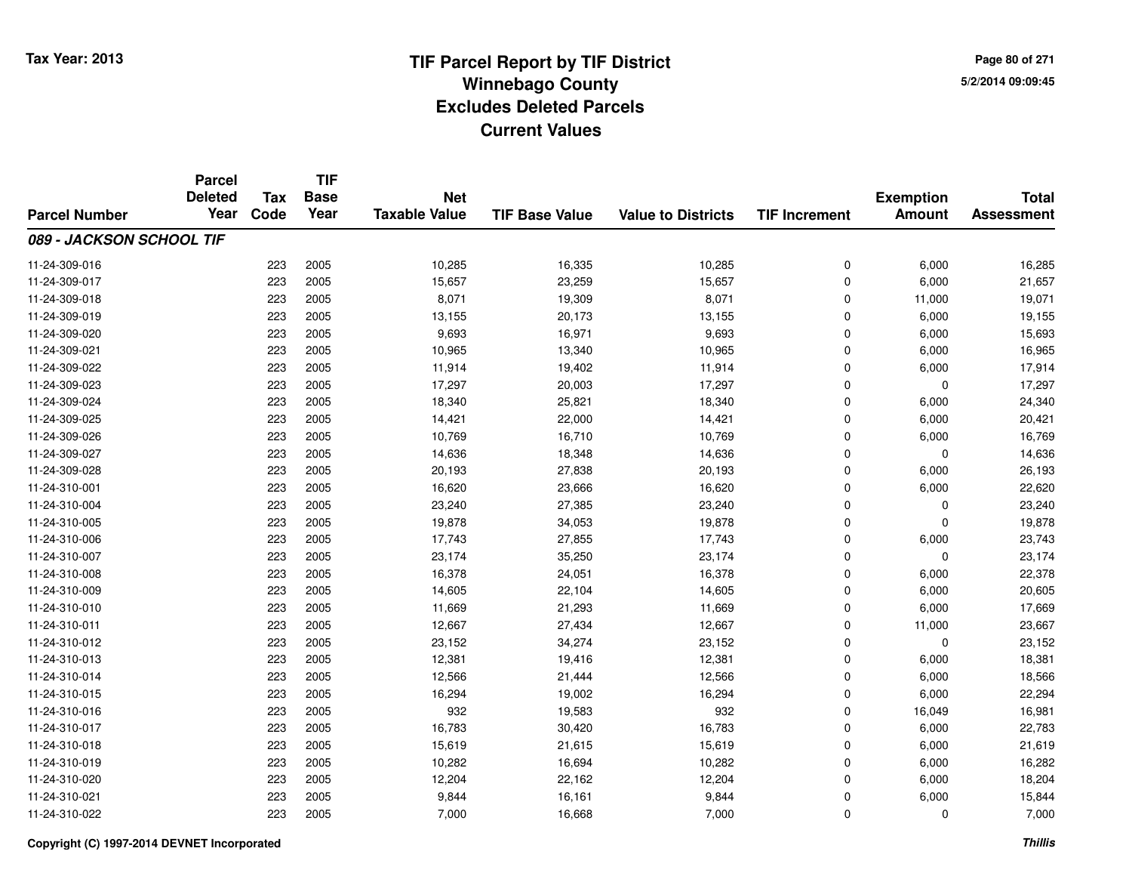**TIF**

**Parcel**

**Page 80 of 2715/2/2014 09:09:45**

#### **TIF Base ValueParcel NumberTotal AssessmentExemption Amount Value to Districts TIF Increment Base YearTax Code Deleted YearNet Taxable Value089 - JACKSON SCHOOL TIF**11-24-309-0166 223 2005 10,285 16,335 10,285 0 6,000 16,285 11-24-309-017 <sup>223</sup> 15,657 <sup>2005</sup> 23,259 15,657 <sup>0</sup> 6,000 21,657 11-24-309-018 <sup>223</sup> 8,071 <sup>2005</sup> 19,309 8,071 <sup>0</sup> 11,000 19,071 11-24-309-019 <sup>223</sup> 13,155 <sup>2005</sup> 20,173 13,155 <sup>0</sup> 6,000 19,155 11-24-309-0200 223 2005 9,693 16,971 9,693 0 6,000 15,693 11-24-309-0211 223 2005 10,965 13,340 10,965 0 6,000 16,965 11-24-309-022 <sup>223</sup> 11,914 <sup>2005</sup> 19,402 11,914 <sup>0</sup> 6,000 17,914 11-24-309-023 <sup>223</sup> 17,297 <sup>2005</sup> 20,003 17,297 <sup>0</sup> <sup>0</sup> 17,297 11-24-309-024 <sup>223</sup> 18,340 <sup>2005</sup> 25,821 18,340 <sup>0</sup> 6,000 24,340 11-24-309-025 <sup>223</sup> 14,421 <sup>2005</sup> 22,000 14,421 <sup>0</sup> 6,000 20,421 11-24-309-026 <sup>223</sup> 10,769 <sup>2005</sup> 16,710 10,769 <sup>0</sup> 6,000 16,769 11-24-309-027 <sup>223</sup> 14,636 <sup>2005</sup> 18,348 14,636 <sup>0</sup> <sup>0</sup> 14,636 11-24-309-028 <sup>223</sup> 20,193 <sup>2005</sup> 27,838 20,193 <sup>0</sup> 6,000 26,193 11-24-310-0011 223 2005 16,620 23,666 16,620 0 6,000 22,620 11-24-310-0044 223 2005 223,240 27,385 23,240 23,240 23,240 0 0 23,240 11-24-310-005 <sup>223</sup> 19,878 <sup>2005</sup> 34,053 19,878 <sup>0</sup> <sup>0</sup> 19,878 11-24-310-006 <sup>223</sup> 17,743 <sup>2005</sup> 27,855 17,743 <sup>0</sup> 6,000 23,743 11-24-310-007 <sup>223</sup> 23,174 <sup>2005</sup> 35,250 23,174 <sup>0</sup> <sup>0</sup> 23,174 11-24-310-0088 223 2005 16,378 24,051 16,378 0 6,000 22,378 11-24-310-0099 223 2005 14,605 22,104 14,605 0 6,000 20,605 11-24-310-0100 223 2005 11,669 21,293 11,669 0 6,000 17,669 11-24-310-0111 223 2005 12,667 27,434 12,667 0 11,000 23,667 11-24-310-0122 23 2005 223 2005 23,152 34,274 23,152 33,152 0 0 0 23,152 11-24-310-0133 223 2005 12,381 19,416 12,381 0 6,000 18,381 11-24-310-014 <sup>223</sup> 12,566 <sup>2005</sup> 21,444 12,566 <sup>0</sup> 6,000 18,566 11-24-310-0155 223 2005 16,294 19,002 16,294 0 6,000 22,294 11-24-310-0166 223 2005 932 19,583 932 0 16,049 16,981 11-24-310-017 <sup>223</sup> 16,783 <sup>2005</sup> 30,420 16,783 <sup>0</sup> 6,000 22,783 11-24-310-0188 223 2005 15,619 21,615 15,619 0 6,000 21,619 11-24-310-0199 223 2005 10,282 16,694 10,282 0 6,000 16,282 11-24-310-0200 223 2005 12,204 22,162 12,204 0 6,000 18,204 11-24-310-0211 223 2005 9,844 16,161 9,844 0 6,000 15,844 11-24-310-022<sup>223</sup> 7,000 <sup>2005</sup> 16,668 7,000 <sup>0</sup> <sup>0</sup> 7,000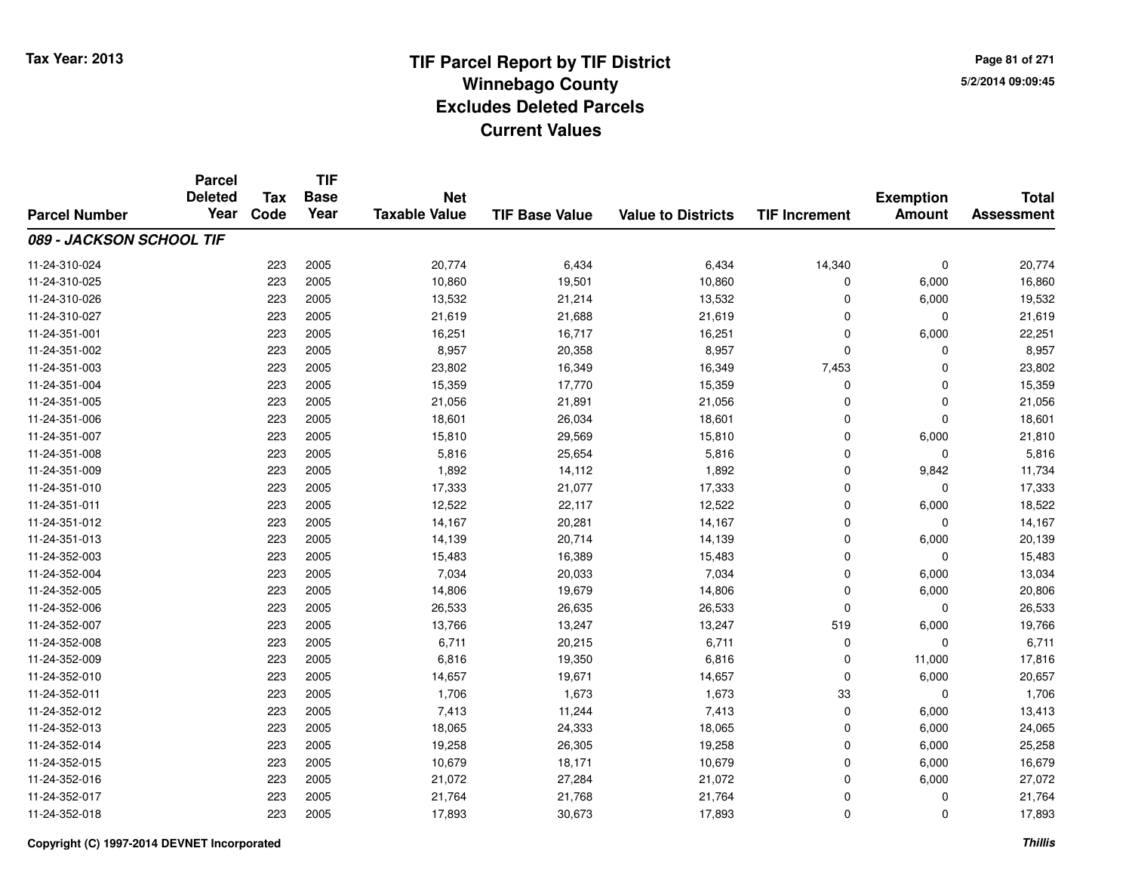**Page 81 of 2715/2/2014 09:09:45**

|                          | <b>Parcel</b><br><b>Deleted</b> | Tax  | <b>TIF</b><br><b>Base</b> | <b>Net</b>           |                       |                           |                      | <b>Exemption</b> | <b>Total</b>      |
|--------------------------|---------------------------------|------|---------------------------|----------------------|-----------------------|---------------------------|----------------------|------------------|-------------------|
| <b>Parcel Number</b>     | Year                            | Code | Year                      | <b>Taxable Value</b> | <b>TIF Base Value</b> | <b>Value to Districts</b> | <b>TIF Increment</b> | <b>Amount</b>    | <b>Assessment</b> |
| 089 - JACKSON SCHOOL TIF |                                 |      |                           |                      |                       |                           |                      |                  |                   |
| 11-24-310-024            |                                 | 223  | 2005                      | 20,774               | 6,434                 | 6,434                     | 14,340               | $\mathbf 0$      | 20,774            |
| 11-24-310-025            |                                 | 223  | 2005                      | 10,860               | 19,501                | 10,860                    | 0                    | 6,000            | 16,860            |
| 11-24-310-026            |                                 | 223  | 2005                      | 13,532               | 21,214                | 13,532                    | $\Omega$             | 6,000            | 19,532            |
| 11-24-310-027            |                                 | 223  | 2005                      | 21,619               | 21,688                | 21,619                    | 0                    | $\mathbf 0$      | 21,619            |
| 11-24-351-001            |                                 | 223  | 2005                      | 16,251               | 16,717                | 16,251                    | $\Omega$             | 6,000            | 22,251            |
| 11-24-351-002            |                                 | 223  | 2005                      | 8,957                | 20,358                | 8,957                     | $\mathbf 0$          | $\mathbf 0$      | 8,957             |
| 11-24-351-003            |                                 | 223  | 2005                      | 23,802               | 16,349                | 16,349                    | 7,453                | $\mathbf 0$      | 23,802            |
| 11-24-351-004            |                                 | 223  | 2005                      | 15,359               | 17,770                | 15,359                    | 0                    | $\mathbf 0$      | 15,359            |
| 11-24-351-005            |                                 | 223  | 2005                      | 21,056               | 21,891                | 21,056                    | $\Omega$             | $\mathbf 0$      | 21,056            |
| 11-24-351-006            |                                 | 223  | 2005                      | 18,601               | 26,034                | 18,601                    | $\Omega$             | $\mathbf 0$      | 18,601            |
| 11-24-351-007            |                                 | 223  | 2005                      | 15,810               | 29,569                | 15,810                    | $\Omega$             | 6,000            | 21,810            |
| 11-24-351-008            |                                 | 223  | 2005                      | 5,816                | 25,654                | 5,816                     | $\mathbf 0$          | $\mathbf 0$      | 5,816             |
| 11-24-351-009            |                                 | 223  | 2005                      | 1,892                | 14,112                | 1,892                     | $\Omega$             | 9,842            | 11,734            |
| 11-24-351-010            |                                 | 223  | 2005                      | 17,333               | 21,077                | 17,333                    | 0                    | $\mathbf 0$      | 17,333            |
| 11-24-351-011            |                                 | 223  | 2005                      | 12,522               | 22,117                | 12,522                    | $\mathbf 0$          | 6,000            | 18,522            |
| 11-24-351-012            |                                 | 223  | 2005                      | 14,167               | 20,281                | 14,167                    | $\mathbf 0$          | 0                | 14,167            |
| 11-24-351-013            |                                 | 223  | 2005                      | 14,139               | 20,714                | 14,139                    | $\mathbf 0$          | 6,000            | 20,139            |
| 11-24-352-003            |                                 | 223  | 2005                      | 15,483               | 16,389                | 15,483                    | $\mathbf 0$          | 0                | 15,483            |
| 11-24-352-004            |                                 | 223  | 2005                      | 7,034                | 20,033                | 7,034                     | $\mathbf 0$          | 6,000            | 13,034            |
| 11-24-352-005            |                                 | 223  | 2005                      | 14,806               | 19,679                | 14,806                    | $\mathbf 0$          | 6,000            | 20,806            |
| 11-24-352-006            |                                 | 223  | 2005                      | 26,533               | 26,635                | 26,533                    | $\Omega$             | $\mathbf 0$      | 26,533            |
| 11-24-352-007            |                                 | 223  | 2005                      | 13,766               | 13,247                | 13,247                    | 519                  | 6,000            | 19,766            |
| 11-24-352-008            |                                 | 223  | 2005                      | 6,711                | 20,215                | 6,711                     | $\mathbf 0$          | 0                | 6,711             |
| 11-24-352-009            |                                 | 223  | 2005                      | 6,816                | 19,350                | 6,816                     | $\mathbf 0$          | 11,000           | 17,816            |
| 11-24-352-010            |                                 | 223  | 2005                      | 14,657               | 19,671                | 14,657                    | $\Omega$             | 6,000            | 20,657            |
| 11-24-352-011            |                                 | 223  | 2005                      | 1,706                | 1,673                 | 1,673                     | 33                   | 0                | 1,706             |
| 11-24-352-012            |                                 | 223  | 2005                      | 7,413                | 11,244                | 7,413                     | $\mathbf 0$          | 6,000            | 13,413            |
| 11-24-352-013            |                                 | 223  | 2005                      | 18,065               | 24,333                | 18,065                    | $\mathbf 0$          | 6,000            | 24,065            |
| 11-24-352-014            |                                 | 223  | 2005                      | 19,258               | 26,305                | 19,258                    | $\mathbf 0$          | 6,000            | 25,258            |
| 11-24-352-015            |                                 | 223  | 2005                      | 10,679               | 18,171                | 10,679                    | $\mathbf 0$          | 6,000            | 16,679            |
| 11-24-352-016            |                                 | 223  | 2005                      | 21,072               | 27,284                | 21,072                    | $\Omega$             | 6,000            | 27,072            |
| 11-24-352-017            |                                 | 223  | 2005                      | 21,764               | 21,768                | 21,764                    | 0                    | 0                | 21,764            |
| 11-24-352-018            |                                 | 223  | 2005                      | 17,893               | 30,673                | 17,893                    | $\Omega$             | $\mathbf 0$      | 17,893            |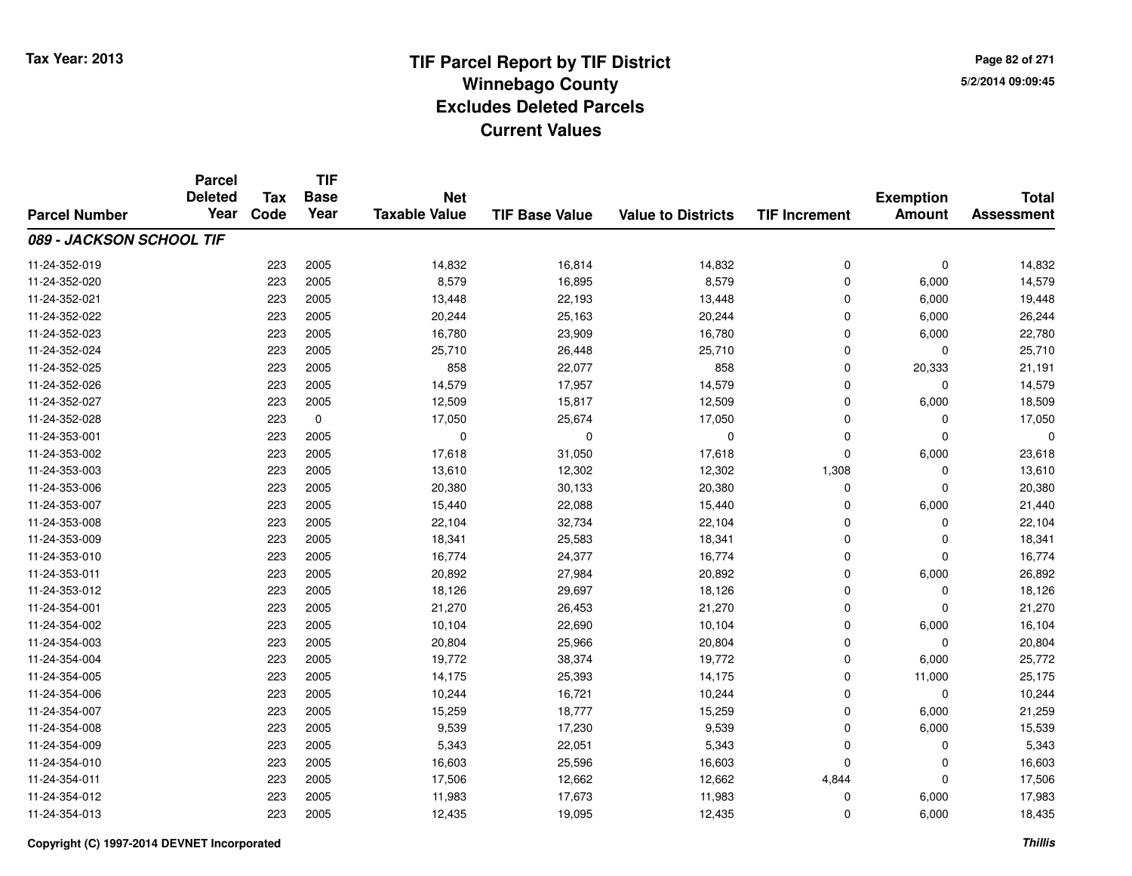**TIF**

**Parcel**

**Page 82 of 2715/2/2014 09:09:45**

#### **TIF Base ValueParcel NumberTotal AssessmentExemption Amount Value to Districts TIF Increment Base YearTax Code Deleted YearNet Taxable Value089 - JACKSON SCHOOL TIF**11-24-352-0199 223 2005 14,832 16,814 14,832 0 0 14,832 11-24-352-0200 223 2005 8,579 16,895 8,579 0 6,000 14,579 11-24-352-0211 223 2005 13,448 22,193 13,448 0 6,000 19,448 11-24-352-0222 223 2005 20,244 25,163 20,244 0 6,000 26,244 11-24-352-023 <sup>223</sup> 16,780 <sup>2005</sup> 23,909 16,780 <sup>0</sup> 6,000 22,780 11-24-352-0244 223 2005 225,710 26,448 25,710 26,448 25,710 0 0 25,710 11-24-352-025 <sup>223</sup> <sup>858</sup> <sup>2005</sup> 22,077 <sup>858</sup> <sup>0</sup> 20,333 21,191 11-24-352-0266 223 2005 14,579 17,957 14,579 0 0 14,579 11-24-352-027 <sup>223</sup> 12,509 <sup>2005</sup> 15,817 12,509 <sup>0</sup> 6,000 18,509 11-24-352-028 <sup>223</sup> 17,050 <sup>0</sup> 25,674 17,050 <sup>0</sup> <sup>0</sup> 17,050 11-24-353-001 <sup>223</sup> <sup>0</sup> <sup>2005</sup> <sup>0</sup> <sup>0</sup> <sup>0</sup> <sup>0</sup> <sup>0</sup> 11-24-353-002 <sup>223</sup> 17,618 <sup>2005</sup> 31,050 17,618 <sup>0</sup> 6,000 23,618 11-24-353-0033 223 2005 13,610 12,302 1<sub>2,</sub>302 1,308 0 13,610 11-24-353-006 <sup>223</sup> 20,380 <sup>2005</sup> 30,133 20,380 <sup>0</sup> <sup>0</sup> 20,380 11-24-353-007 <sup>223</sup> 15,440 <sup>2005</sup> 22,088 15,440 <sup>0</sup> 6,000 21,440 11-24-353-008 <sup>223</sup> 22,104 <sup>2005</sup> 32,734 22,104 <sup>0</sup> <sup>0</sup> 22,104 11-24-353-0099 223 2005 18,341 25,583 18,341 0 0 18,341 11-24-353-0100 223 2005 16,774 24,377 16,774 0 0 16,774 11-24-353-0111 223 2005 20,892 27,984 20,892 0 6,000 26,892 11-24-353-0122 223 2005 18,126 29,697 18,126 0 0 18,126 11-24-354-0011 223 2005 21,270 26,453 21,270 0 0 21,270 11-24-354-0022 23 2005 10,104 22,690 10,104 10,104 0 6,000 16,104 11-24-354-0033 223 2005 20,804 25,966 20,804 0 0 20,804 11-24-354-004 <sup>223</sup> 19,772 <sup>2005</sup> 38,374 19,772 <sup>0</sup> 6,000 25,772 11-24-354-005 <sup>223</sup> 14,175 <sup>2005</sup> 25,393 14,175 <sup>0</sup> 11,000 25,175 11-24-354-006 <sup>223</sup> 10,244 <sup>2005</sup> 16,721 10,244 <sup>0</sup> <sup>0</sup> 10,244 11-24-354-007 <sup>223</sup> 15,259 <sup>2005</sup> 18,777 15,259 <sup>0</sup> 6,000 21,259 11-24-354-008 <sup>223</sup> 9,539 <sup>2005</sup> 17,230 9,539 <sup>0</sup> 6,000 15,539 11-24-354-0099 223 2005 5,343 22,051 5,343 0 0 5,343 11-24-354-0100 223 2005 16,603 25,596 16,603 0 0 16,603 11-24-354-0111 223 2005 17,506 12,662 12,662 4,844 0 17,506 11-24-354-01223 2005 11,983 11,983 17,673 11,983 11,983 0 6,000 17,983 11-24-354-0133 223 2005 12,435 19,095 12,435 0 6,000 18,435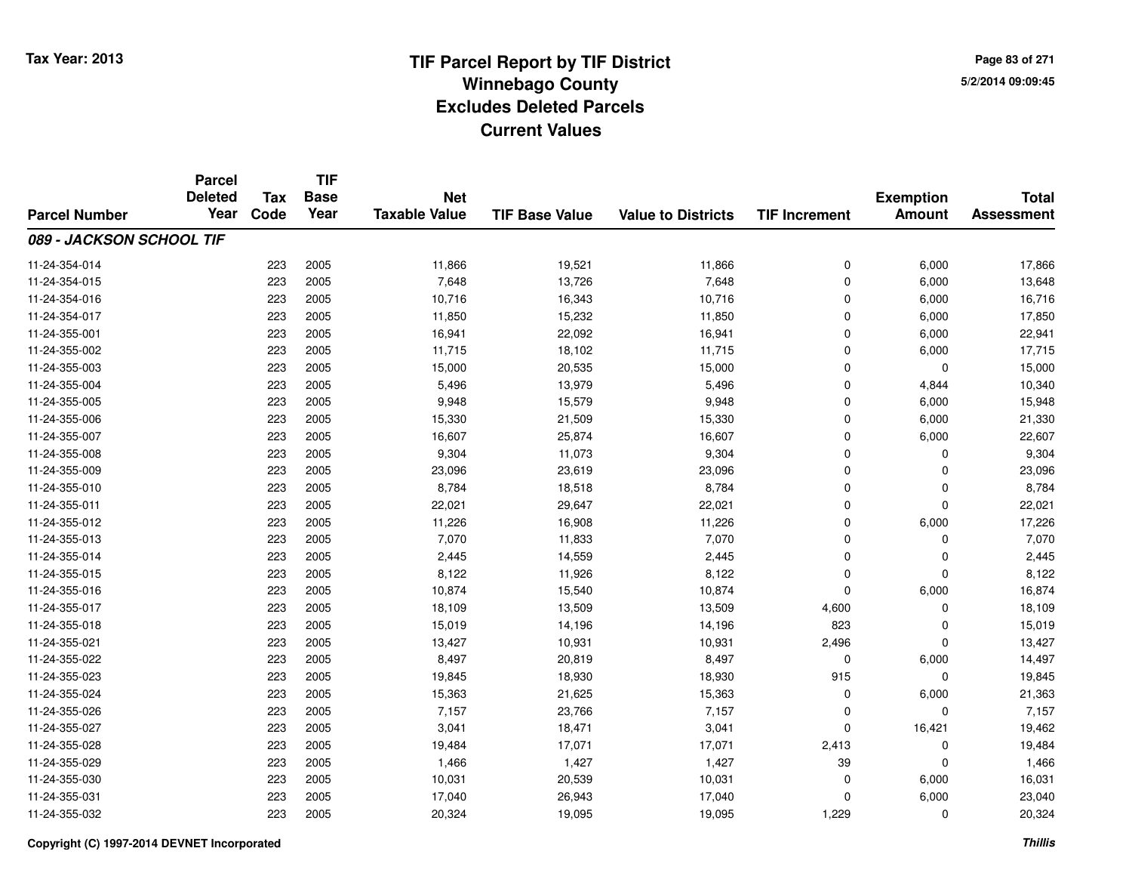**TIF**

**Parcel**

**Page 83 of 2715/2/2014 09:09:45**

#### **TIF Base ValueParcel NumberTotal AssessmentExemption Amount Value to Districts TIF Increment Base YearTax Code Deleted YearNet Taxable Value089 - JACKSON SCHOOL TIF**11-24-354-0144 223 2005 11,866 19,521 11,866 0 6,000 17,866 11-24-354-0155 223 2005 7,648 13,726 7,648 0 6,000 13,648 11-24-354-016 <sup>223</sup> 10,716 <sup>2005</sup> 16,343 10,716 <sup>0</sup> 6,000 16,716 11-24-354-017 <sup>223</sup> 11,850 <sup>2005</sup> 15,232 11,850 <sup>0</sup> 6,000 17,850 11-24-355-0011 223 2005 16,941 22,092 16,941 0 6,000 22,941 11-24-355-002 <sup>223</sup> 11,715 <sup>2005</sup> 18,102 11,715 <sup>0</sup> 6,000 17,715 11-24-355-003 <sup>223</sup> 15,000 <sup>2005</sup> 20,535 15,000 <sup>0</sup> <sup>0</sup> 15,000 11-24-355-004 <sup>223</sup> 5,496 <sup>2005</sup> 13,979 5,496 <sup>0</sup> 4,844 10,340 11-24-355-005 <sup>223</sup> 9,948 <sup>2005</sup> 15,579 9,948 <sup>0</sup> 6,000 15,948 11-24-355-006 <sup>223</sup> 15,330 <sup>2005</sup> 21,509 15,330 <sup>0</sup> 6,000 21,330 11-24-355-007 <sup>223</sup> 16,607 <sup>2005</sup> 25,874 16,607 <sup>0</sup> 6,000 22,607 11-24-355-008 <sup>223</sup> 9,304 <sup>2005</sup> 11,073 9,304 <sup>0</sup> <sup>0</sup> 9,304 11-24-355-009 <sup>223</sup> 23,096 <sup>2005</sup> 23,619 23,096 <sup>0</sup> <sup>0</sup> 23,096 11-24-355-0100 223 2005 8,784 18,518 8,784 0 0 8,784 11-24-355-0111 223 2005 22,021 29,647 22,021 0 0 22,021 11-24-355-0122 23 2005 11,226 16,908 11,226 16,908 16,908 11,226 0 6,000 17,226 11-24-355-013 <sup>223</sup> 7,070 <sup>2005</sup> 11,833 7,070 <sup>0</sup> <sup>0</sup> 7,070 11-24-355-0144 223 2005 2,445 14,559 2,445 0 0 2,445 11-24-355-015 <sup>223</sup> 8,122 <sup>2005</sup> 11,926 8,122 <sup>0</sup> <sup>0</sup> 8,122 11-24-355-016 <sup>223</sup> 10,874 <sup>2005</sup> 15,540 10,874 <sup>0</sup> 6,000 16,874 11-24-355-017 <sup>223</sup> 18,109 <sup>2005</sup> 13,509 13,509 4,600 <sup>0</sup> 18,109 11-24-355-018 <sup>223</sup> 15,019 <sup>2005</sup> 14,196 14,196 <sup>823</sup> <sup>0</sup> 15,019 11-24-355-0211 223 2005 13,427 10,931 10,931 2,496 0 13,427 11-24-355-0222 223 2005 8,497 20,819 8,497 0 6,000 14,497 11-24-355-0233 223 2005 19,845 18,930 18,930 915 0 19,845 11-24-355-024 <sup>223</sup> 15,363 <sup>2005</sup> 21,625 15,363 <sup>0</sup> 6,000 21,363 11-24-355-026 <sup>223</sup> 7,157 <sup>2005</sup> 23,766 7,157 <sup>0</sup> <sup>0</sup> 7,157 11-24-355-027 <sup>223</sup> 3,041 <sup>2005</sup> 18,471 3,041 <sup>0</sup> 16,421 19,462 11-24-355-028 <sup>223</sup> 19,484 <sup>2005</sup> 17,071 17,071 2,413 <sup>0</sup> 19,484 11-24-355-0299 223 2005 1,466 1,427 1,427 39 0 1,466 11-24-355-0300 223 2005 10,031 20,539 10,031 0 6,000 16,031 11-24-355-0311 223 2005 17,040 26,943 17,040 0 6,000 23,040 11-24-355-032<sup>223</sup> 20,324 <sup>2005</sup> 19,095 19,095 1,229 <sup>0</sup> 20,324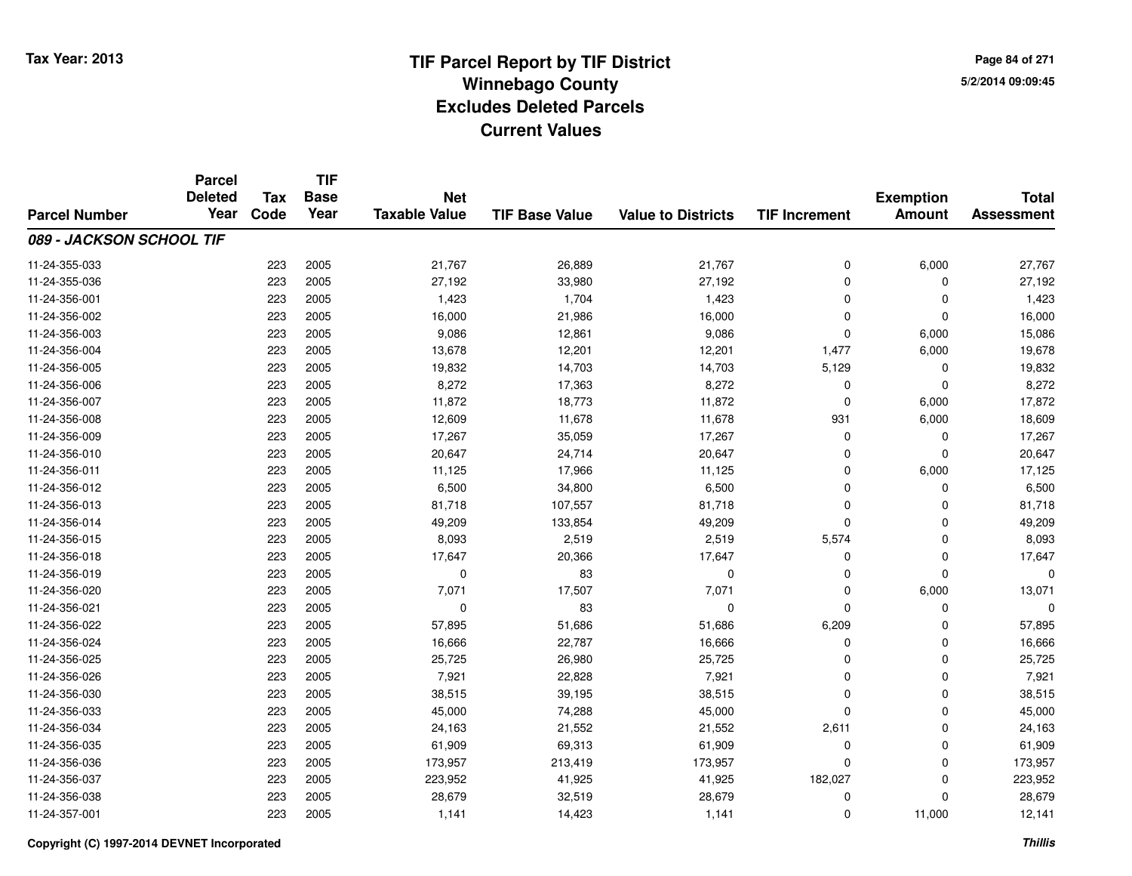**TIF**

**Parcel**

**Page 84 of 2715/2/2014 09:09:45**

#### **TIF Base ValueParcel NumberTotal AssessmentExemption Amount Value to Districts TIF Increment Base YearTax Code Deleted YearNet Taxable Value089 - JACKSON SCHOOL TIF**11-24-355-0333 223 2005 21,767 26,889 21,767 0 6,000 27,767 11-24-355-036 <sup>223</sup> 27,192 <sup>2005</sup> 33,980 27,192 <sup>0</sup> <sup>0</sup> 27,192 11-24-356-0011 223 2005 1,423 1,704 1,423 0 0 1,423 11-24-356-002 <sup>223</sup> 16,000 <sup>2005</sup> 21,986 16,000 <sup>0</sup> <sup>0</sup> 16,000 11-24-356-0033 223 2005 9,086 12,861 9,086 0 6,000 15,086 11-24-356-0044 223 2005 13,678 12,201 12,201 1,477 6,000 19,678 11-24-356-005 <sup>223</sup> 19,832 <sup>2005</sup> 14,703 14,703 5,129 <sup>0</sup> 19,832 11-24-356-006 <sup>223</sup> 8,272 <sup>2005</sup> 17,363 8,272 <sup>0</sup> <sup>0</sup> 8,272 11-24-356-007 <sup>223</sup> 11,872 <sup>2005</sup> 18,773 11,872 <sup>0</sup> 6,000 17,872 11-24-356-008 <sup>223</sup> 12,609 <sup>2005</sup> 11,678 11,678 <sup>931</sup> 6,000 18,609 11-24-356-0099 223 2005 17,267 35,059 17,267 0 0 17,267 11-24-356-0100 223 2005 20,647 24,714 20,647 0 0 20,647 11-24-356-0111 223 2005 11,125 17,966 11,125 0 6,000 17,125 11-24-356-0122 223 2005 6,500 34,800 6,500 0 0 6,500 11-24-356-013 <sup>223</sup> 81,718 <sup>2005</sup> 107,557 81,718 <sup>0</sup> <sup>0</sup> 81,718 11-24-356-014 <sup>223</sup> 49,209 <sup>2005</sup> 133,854 49,209 <sup>0</sup> <sup>0</sup> 49,209 11-24-356-015 <sup>223</sup> 8,093 <sup>2005</sup> 2,519 2,519 5,574 <sup>0</sup> 8,093 11-24-356-018 <sup>223</sup> 17,647 <sup>2005</sup> 20,366 17,647 <sup>0</sup> <sup>0</sup> 17,647 11-24-356-019 <sup>223</sup> <sup>0</sup> <sup>2005</sup> <sup>83</sup> <sup>0</sup> <sup>0</sup> <sup>0</sup> <sup>0</sup> 11-24-356-0200 223 2005 7,071 17,507 7,071 0 6,000 13,071 11-24-356-021 <sup>223</sup> <sup>0</sup> <sup>2005</sup> <sup>83</sup> <sup>0</sup> <sup>0</sup> <sup>0</sup> <sup>0</sup> 11-24-356-022 <sup>223</sup> 57,895 <sup>2005</sup> 51,686 51,686 6,209 <sup>0</sup> 57,895 11-24-356-024 <sup>223</sup> 16,666 <sup>2005</sup> 22,787 16,666 <sup>0</sup> <sup>0</sup> 16,666 11-24-356-025 <sup>223</sup> 25,725 <sup>2005</sup> 26,980 25,725 <sup>0</sup> <sup>0</sup> 25,725 11-24-356-0266 223 2005 7,921 22,828 7,921 0 0 7,921 11-24-356-0300 223 2005 38,515 39,195 38,515 0 0 38,515 11-24-356-033 <sup>223</sup> 45,000 <sup>2005</sup> 74,288 45,000 <sup>0</sup> <sup>0</sup> 45,000 11-24-356-034 <sup>223</sup> 24,163 <sup>2005</sup> 21,552 21,552 2,611 <sup>0</sup> 24,163 11-24-356-0355 223 2005 61,909 69,313 61,909 0 0 61,909 11-24-356-0366 223 2005 173,957 213,419 173,957 0 0 173,957 11-24-356-037 <sup>223</sup> 223,952 <sup>2005</sup> 41,925 41,925 182,027 <sup>0</sup> 223,952 11-24-356-038 <sup>223</sup> 28,679 <sup>2005</sup> 32,519 28,679 <sup>0</sup> <sup>0</sup> 28,679 11-24-357-0011 223 2005 1,141 14,423 1,141 0 11,000 12,141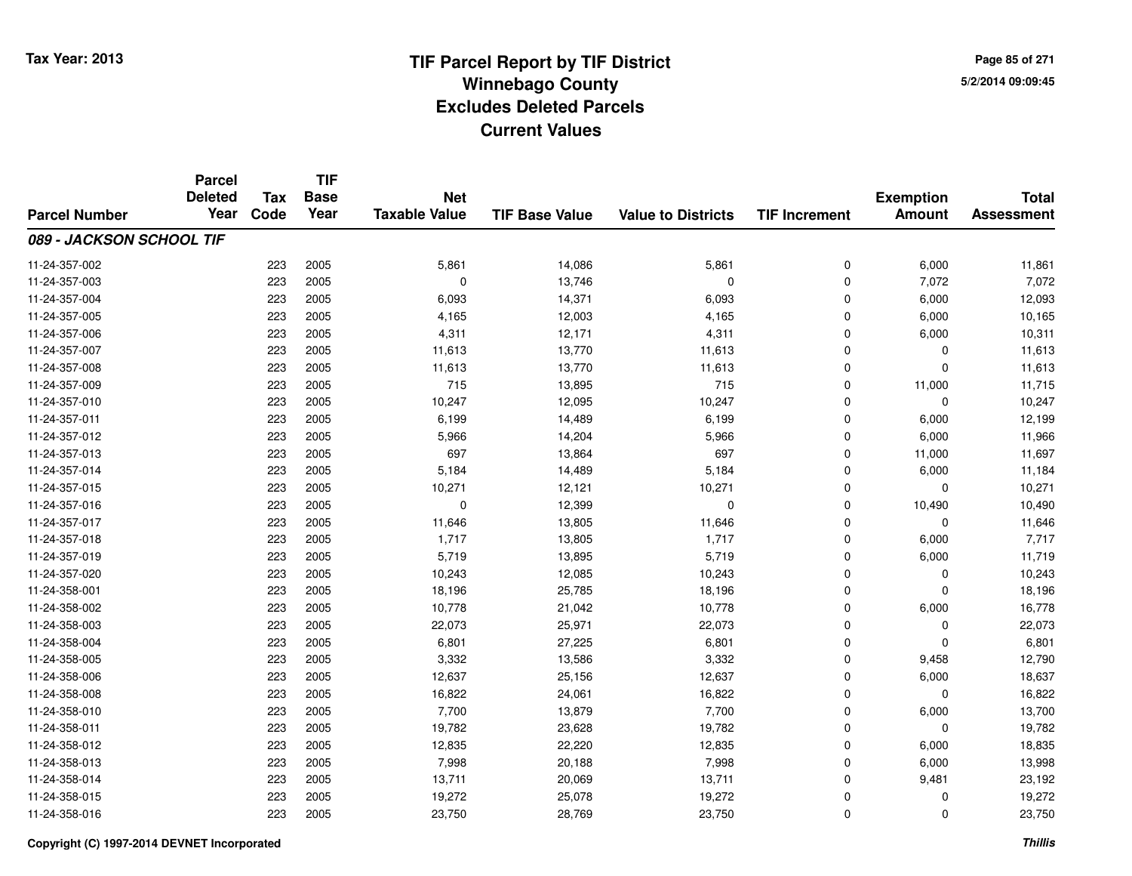**TIF**

**Parcel**

**Page 85 of 2715/2/2014 09:09:45**

#### **TIF Base ValueParcel NumberTotal AssessmentExemption Amount Value to Districts TIF Increment Base YearTax Code Deleted YearNet Taxable Value089 - JACKSON SCHOOL TIF**11-24-357-002 <sup>223</sup> 5,861 <sup>2005</sup> 14,086 5,861 <sup>0</sup> 6,000 11,861 11-24-357-003 <sup>223</sup> <sup>0</sup> <sup>2005</sup> 13,746 <sup>0</sup> <sup>0</sup> 7,072 7,072 11-24-357-004 <sup>223</sup> 6,093 <sup>2005</sup> 14,371 6,093 <sup>0</sup> 6,000 12,093 11-24-357-005 <sup>223</sup> 4,165 <sup>2005</sup> 12,003 4,165 <sup>0</sup> 6,000 10,165 11-24-357-006 <sup>223</sup> 4,311 <sup>2005</sup> 12,171 4,311 <sup>0</sup> 6,000 10,311 11-24-357-007 <sup>223</sup> 11,613 <sup>2005</sup> 13,770 11,613 <sup>0</sup> <sup>0</sup> 11,613 11-24-357-008 <sup>223</sup> 11,613 <sup>2005</sup> 13,770 11,613 <sup>0</sup> <sup>0</sup> 11,613 11-24-357-0099 223 2005 715 13,895 715 0 11,000 11,715 11-24-357-0100 223 2005 10,247 12,095 10,247 0 0 10,247 11-24-357-0111 223 2005 6,199 14,489 6,199 0 6,000 12,199 11-24-357-012 <sup>223</sup> 5,966 <sup>2005</sup> 14,204 5,966 <sup>0</sup> 6,000 11,966 11-24-357-0133 223 2005 697 13,864 697 0 11,000 11,697 11-24-357-014 <sup>223</sup> 5,184 <sup>2005</sup> 14,489 5,184 <sup>0</sup> 6,000 11,184 11-24-357-015 <sup>223</sup> 10,271 <sup>2005</sup> 12,121 10,271 <sup>0</sup> <sup>0</sup> 10,271 11-24-357-016 <sup>223</sup> <sup>0</sup> <sup>2005</sup> 12,399 <sup>0</sup> <sup>0</sup> 10,490 10,490 11-24-357-0177 223 2005 11,646 13,805 11,646 0 0 11,646 11-24-357-018 <sup>223</sup> 1,717 <sup>2005</sup> 13,805 1,717 <sup>0</sup> 6,000 7,717 11-24-357-0199 223 2005 5,719 13,895 5,719 0 6,000 11,719 11-24-357-0200 223 2005 10,243 12,085 10,243 0 0 10,243 11-24-358-0011 223 2005 18,196 25,785 18,196 0 0 18,196 11-24-358-002 <sup>223</sup> 10,778 <sup>2005</sup> 21,042 10,778 <sup>0</sup> 6,000 16,778 11-24-358-003 <sup>223</sup> 22,073 <sup>2005</sup> 25,971 22,073 <sup>0</sup> <sup>0</sup> 22,073 11-24-358-004 <sup>223</sup> 6,801 <sup>2005</sup> 27,225 6,801 <sup>0</sup> <sup>0</sup> 6,801 11-24-358-005 <sup>223</sup> 3,332 <sup>2005</sup> 13,586 3,332 <sup>0</sup> 9,458 12,790 11-24-358-006 <sup>223</sup> 12,637 <sup>2005</sup> 25,156 12,637 <sup>0</sup> 6,000 18,637 11-24-358-0088 223 2005 16,822 24,061 16,822 0 0 16,822 11-24-358-0100 223 2005 7,700 13,879 7,700 0 6,000 13,700 11-24-358-0111 223 2005 19,782 23,628 19,782 0 0 19,782 11-24-358-0122 223 2005 12,835 22,220 12,835 0 6,000 18,835 11-24-358-013 <sup>223</sup> 7,998 <sup>2005</sup> 20,188 7,998 <sup>0</sup> 6,000 13,998 11-24-358-014 <sup>223</sup> 13,711 <sup>2005</sup> 20,069 13,711 <sup>0</sup> 9,481 23,192 11-24-358-015 <sup>223</sup> 19,272 <sup>2005</sup> 25,078 19,272 <sup>0</sup> <sup>0</sup> 19,272 11-24-358-016<sup>223</sup> 23,750 <sup>2005</sup> 28,769 23,750 <sup>0</sup> <sup>0</sup> 23,750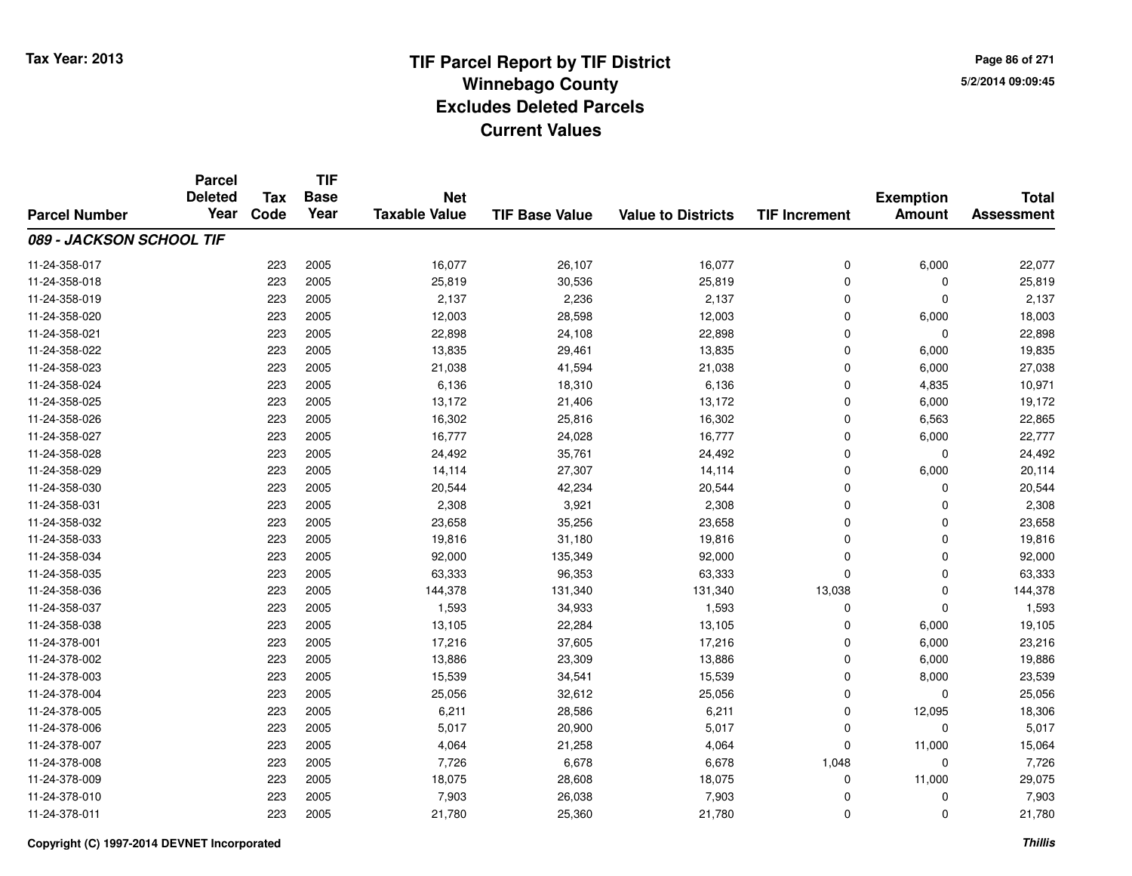**TIF**

**Parcel**

**Page 86 of 2715/2/2014 09:09:45**

#### **TIF Base ValueParcel NumberTotal AssessmentExemption Amount Value to Districts TIF Increment Base YearTax Code Deleted YearNet Taxable Value089 - JACKSON SCHOOL TIF**11-24-358-017 <sup>223</sup> 16,077 <sup>2005</sup> 26,107 16,077 <sup>0</sup> 6,000 22,077 11-24-358-018 <sup>223</sup> 25,819 <sup>2005</sup> 30,536 25,819 <sup>0</sup> <sup>0</sup> 25,819 11-24-358-019 <sup>223</sup> 2,137 <sup>2005</sup> 2,236 2,137 <sup>0</sup> <sup>0</sup> 2,137 11-24-358-0200 223 2005 12,003 28,598 12,003 0 6,000 18,003 11-24-358-0211 223 2005 22,898 24,108 22,898 0 22,898 11-24-358-0222 223 2005 13,835 29,461 13,835 0 6,000 19,835 11-24-358-0233 223 2005 21,038 41,594 21,038 0 6,000 27,038 11-24-358-024 <sup>223</sup> 6,136 <sup>2005</sup> 18,310 6,136 <sup>0</sup> 4,835 10,971 11-24-358-025 <sup>223</sup> 13,172 <sup>2005</sup> 21,406 13,172 <sup>0</sup> 6,000 19,172 11-24-358-0266 223 2005 16,302 25,816 16,302 0 6,563 22,865 11-24-358-027 <sup>223</sup> 16,777 <sup>2005</sup> 24,028 16,777 <sup>0</sup> 6,000 22,777 11-24-358-028 <sup>223</sup> 24,492 <sup>2005</sup> 35,761 24,492 <sup>0</sup> <sup>0</sup> 24,492 11-24-358-0299 223 2005 14,114 27,307 14,114 0 6,000 20,114 11-24-358-0300 223 2005 20,544 42,234 20,544 0 0 20,544 11-24-358-0311 223 2005 2,308 3,921 2,308 0 0 2,308 11-24-358-0322 223 2005 23,658 35,256 23,658 0 0 23,658 11-24-358-0333 223 2005 19,816 31,180 19,816 0 0 19,816 11-24-358-034 <sup>223</sup> 92,000 <sup>2005</sup> 135,349 92,000 <sup>0</sup> <sup>0</sup> 92,000 11-24-358-035 <sup>223</sup> 63,333 <sup>2005</sup> 96,353 63,333 <sup>0</sup> <sup>0</sup> 63,333 11-24-358-036 <sup>223</sup> 144,378 <sup>2005</sup> 131,340 131,340 13,038 <sup>0</sup> 144,378 11-24-358-037 <sup>223</sup> 1,593 <sup>2005</sup> 34,933 1,593 <sup>0</sup> <sup>0</sup> 1,593 11-24-358-038 <sup>223</sup> 13,105 <sup>2005</sup> 22,284 13,105 <sup>0</sup> 6,000 19,105 11-24-378-0011 223 2005 17,216 37,605 17,216 0 6,000 23,216 11-24-378-002 <sup>223</sup> 13,886 <sup>2005</sup> 23,309 13,886 <sup>0</sup> 6,000 19,886 11-24-378-003 $3$  223 2005 15,539 34,541 15,539 36,000 8,000 23,539 11-24-378-004 <sup>223</sup> 25,056 <sup>2005</sup> 32,612 25,056 <sup>0</sup> <sup>0</sup> 25,056 11-24-378-0055 223 2005 6,211 28,586 6,211 0 12,095 18,306 11-24-378-006 <sup>223</sup> 5,017 <sup>2005</sup> 20,900 5,017 <sup>0</sup> <sup>0</sup> 5,017 11-24-378-007 <sup>223</sup> 4,064 <sup>2005</sup> 21,258 4,064 <sup>0</sup> 11,000 15,064 11-24-378-008 <sup>223</sup> 7,726 <sup>2005</sup> 6,678 6,678 1,048 <sup>0</sup> 7,726 11-24-378-009 <sup>223</sup> 18,075 <sup>2005</sup> 28,608 18,075 <sup>0</sup> 11,000 29,075 11-24-378-0100 223 2005 7,903 26,038 7,903 0 7,903 11-24-378-0111 223 2005 21,780 25,360 21,780 0 0 21,780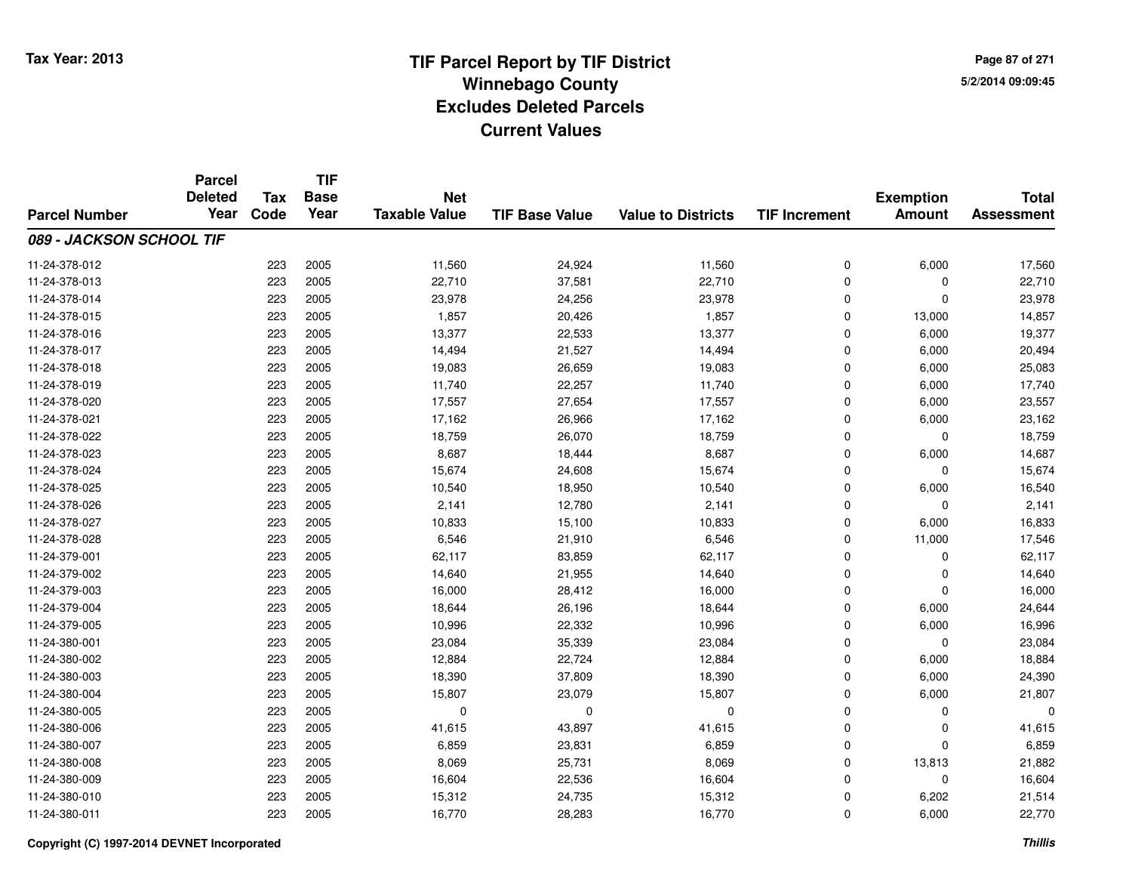**TIF**

**Parcel**

**Page 87 of 2715/2/2014 09:09:45**

#### **TIF Base ValueParcel NumberTotal AssessmentExemption Amount Value to Districts TIF Increment Base YearTax Code Deleted YearNet Taxable Value089 - JACKSON SCHOOL TIF**11-24-378-012 <sup>223</sup> 11,560 <sup>2005</sup> 24,924 11,560 <sup>0</sup> 6,000 17,560 11-24-378-013 $3$  223 2005 22,710 37,581 22,710 22,710  $29.710$  0 0 22,710 11-24-378-0144 223 2005 223,978 24,256 23,978 23,978 23,978 0 0 0 23,978 11-24-378-015 <sup>223</sup> 1,857 <sup>2005</sup> 20,426 1,857 <sup>0</sup> 13,000 14,857 11-24-378-016 <sup>223</sup> 13,377 <sup>2005</sup> 22,533 13,377 <sup>0</sup> 6,000 19,377 11-24-378-017 <sup>223</sup> 14,494 <sup>2005</sup> 21,527 14,494 <sup>0</sup> 6,000 20,494 11-24-378-0188 223 2005 19,083 26,659 19,083 0 6,000 25,083 11-24-378-019 <sup>223</sup> 11,740 <sup>2005</sup> 22,257 11,740 <sup>0</sup> 6,000 17,740 11-24-378-0200 223 2005 17,557 27,654 17,557 0 6,000 23,557 11-24-378-0211 223 2005 17,162 26,966 17,162 0 6,000 23,162 11-24-378-022 <sup>223</sup> 18,759 <sup>2005</sup> 26,070 18,759 <sup>0</sup> <sup>0</sup> 18,759 11-24-378-0233 223 2005 8,687 18,444 8,687 0 6,000 14,687 11-24-378-0244 223 2005 15,674 24,608 15,674 24,608 15,674 0 0 0 15,674 11-24-378-025 <sup>223</sup> 10,540 <sup>2005</sup> 18,950 10,540 <sup>0</sup> 6,000 16,540 11-24-378-0266 223 2005 2,141 12,780 2,141 0 0 2,141 11-24-378-0277 223 2005 10,833 15,100 10,833 0 6,000 16,833 11-24-378-0288 223 2005 6,546 21,910 6,546 0 11,000 17,546 11-24-379-0011 223 2005 62,117 83,859 62,117 0 0 62,117 11-24-379-0022 223 2005 14,640 21,955 14,640 0 0 14,640 11-24-379-0033 223 2005 16,000 28,412 16,000 0 0 16,000 11-24-379-0044 223 2005 18,644 26,196 18,644 26,196 18,644 0 6,000 24,644 11-24-379-005 <sup>223</sup> 10,996 <sup>2005</sup> 22,332 10,996 <sup>0</sup> 6,000 16,996 11-24-380-0011 223 2005 23,084 35,339 23,084 0 0 23,084 11-24-380-0022 23 2005 12,884 22,724 12,884 25 22,724 12,884 0 6,000 18,884 11-24-380-0033 223 2005 18,390 37,809 18,390 0 6,000 24,390 11-24-380-004 <sup>223</sup> 15,807 <sup>2005</sup> 23,079 15,807 <sup>0</sup> 6,000 21,807 11-24-380-005 <sup>223</sup> <sup>0</sup> <sup>2005</sup> <sup>0</sup> <sup>0</sup> <sup>0</sup> <sup>0</sup> <sup>0</sup> 11-24-380-0066 223 2005 41,615 43,897 41,615 0 0 41,615 11-24-380-007 <sup>223</sup> 6,859 <sup>2005</sup> 23,831 6,859 <sup>0</sup> <sup>0</sup> 6,859 11-24-380-008 <sup>223</sup> 8,069 <sup>2005</sup> 25,731 8,069 <sup>0</sup> 13,813 21,882 11-24-380-0099 223 2005 16,604 22,536 16,604 0 0 16,604 11-24-380-0100 223 2005 15,312 24,735 15,312 0 6,202 21,514 11-24-380-0111 223 2005 16,770 28,283 16,770 0 6,000 22,770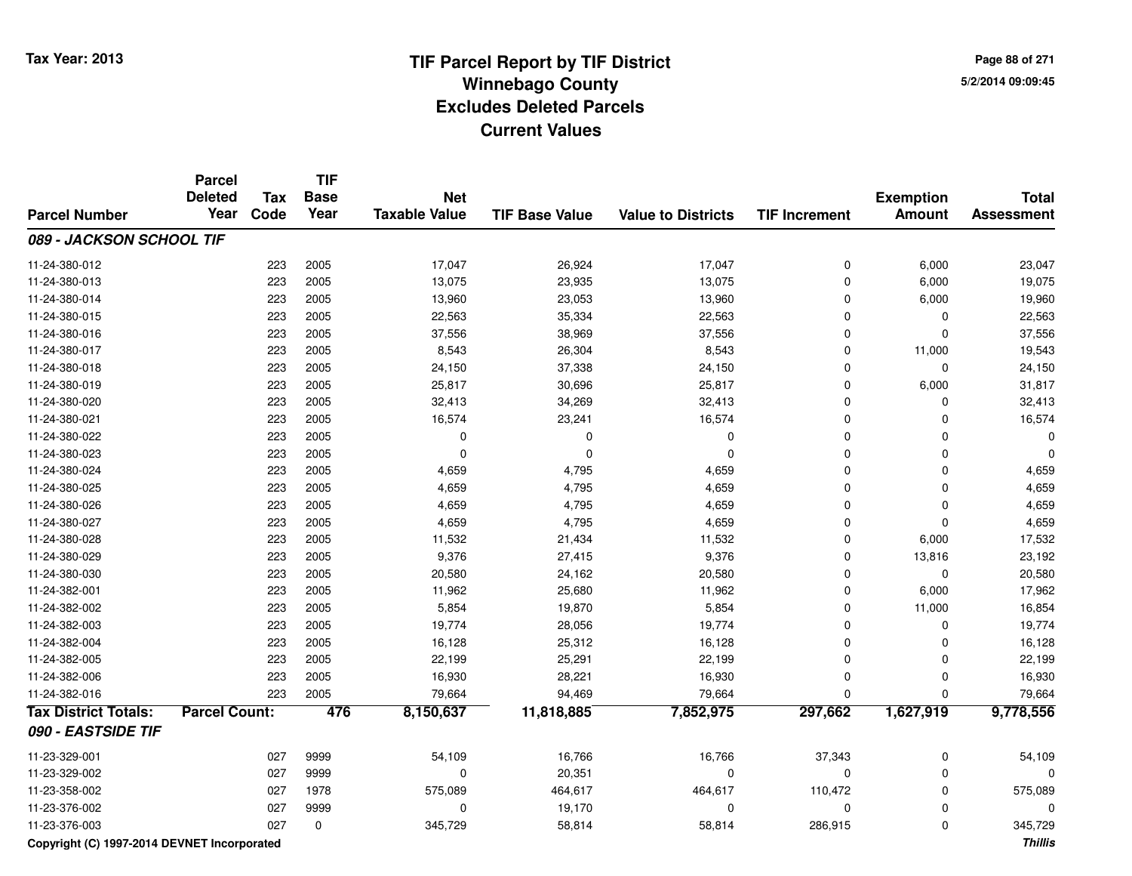**Page 88 of 2715/2/2014 09:09:45**

#### **TIF Base ValueParcel NumberTotal AssessmentExemption Amount Value to Districts TIF IncrementTIF Base YearTax CodeParcel Deleted YearNet Taxable Value089 - JACKSON SCHOOL TIF**11-24-380-0122 223 2005 17,047 26,924 17,047 0 6,000 23,047 11-24-380-013 <sup>223</sup> 13,075 <sup>2005</sup> 23,935 13,075 <sup>0</sup> 6,000 19,075 11-24-380-014 <sup>223</sup> 13,960 <sup>2005</sup> 23,053 13,960 <sup>0</sup> 6,000 19,960 11-24-380-015 <sup>223</sup> 22,563 <sup>2005</sup> 35,334 22,563 <sup>0</sup> <sup>0</sup> 22,563 11-24-380-0166 223 2005 37,556 38,969 37,556 0 0 37,556 11-24-380-017 <sup>223</sup> 8,543 <sup>2005</sup> 26,304 8,543 <sup>0</sup> 11,000 19,543 11-24-380-018 <sup>223</sup> 24,150 <sup>2005</sup> 37,338 24,150 <sup>0</sup> <sup>0</sup> 24,150 11-24-380-0199 223 2005 25,817 30,696 25,817 0 6,000 31,817 11-24-380-0200 223 2005 32,413 34,269 32,413 0 0 32,413 11-24-380-0211 223 2005 16,574 23,241 16,574 0 0 16,574 11-24-380-022 <sup>223</sup> <sup>0</sup> <sup>2005</sup> <sup>0</sup> <sup>0</sup> <sup>0</sup> <sup>0</sup> <sup>0</sup> 11-24-380-023 <sup>223</sup> <sup>0</sup> <sup>2005</sup> <sup>0</sup> <sup>0</sup> <sup>0</sup> <sup>0</sup> <sup>0</sup> 11-24-380-0244 223 2005 4,659 4,795 4,659 0 4,659 11-24-380-025 <sup>223</sup> 4,659 <sup>2005</sup> 4,795 4,659 <sup>0</sup> <sup>0</sup> 4,659 11-24-380-0266 223 2005 4,659 4,795 4,659 0 4,659 11-24-380-027 <sup>223</sup> 4,659 <sup>2005</sup> 4,795 4,659 <sup>0</sup> <sup>0</sup> 4,659 11-24-380-028 <sup>223</sup> 11,532 <sup>2005</sup> 21,434 11,532 <sup>0</sup> 6,000 17,532 11-24-380-029 <sup>223</sup> 9,376 <sup>2005</sup> 27,415 9,376 <sup>0</sup> 13,816 23,192 11-24-380-0300 223 2005 20,580 24,162 20,580 0 0 20,580 11-24-382-0011 223 2005 11,962 25,680 11,962 0 6,000 17,962 11-24-382-002 <sup>223</sup> 5,854 <sup>2005</sup> 19,870 5,854 <sup>0</sup> 11,000 16,854 11-24-382-003 <sup>223</sup> 19,774 <sup>2005</sup> 28,056 19,774 <sup>0</sup> <sup>0</sup> 19,774 11-24-382-004 <sup>223</sup> 16,128 <sup>2005</sup> 25,312 16,128 <sup>0</sup> <sup>0</sup> 16,128 11-24-382-005 <sup>223</sup> 22,199 <sup>2005</sup> 25,291 22,199 <sup>0</sup> <sup>0</sup> 22,199 11-24-382-006 <sup>223</sup> 16,930 <sup>2005</sup> 28,221 16,930 <sup>0</sup> <sup>0</sup> 16,930 11-24-382-0166 223 2005 79,664 94,469 79,664 0 0 79,664 **Tax District Totals: Parcel Count: <sup>476</sup> 8,150,637 11,818,885 7,852,975 297,662 1,627,919 9,778,556 090 - EASTSIDE TIF**11-23-329-0011 027 9999 54,109 16,766 16,766 37,343 0 54,109 11-23-329-0022 027 9999 0 20,351 0 0 0 0 11-23-358-002 <sup>027</sup> 575,089 <sup>1978</sup> 464,617 464,617 110,472 <sup>0</sup> 575,089 11-23-376-0022 and the contract of the contract of the contract of the contract of the contract of  $\sim$  0 contract of  $\sim$  0 contract of  $\sim$  0 contract of  $\sim$  0 contract of  $\sim$  0 contract of  $\sim$  0 contract of  $\sim$  0 contract of  $\$ 11-23-376-0033 027 0 345,729 58,814 58,814 286,915 0 345,729

**Copyright (C) 1997-2014 DEVNET Incorporated**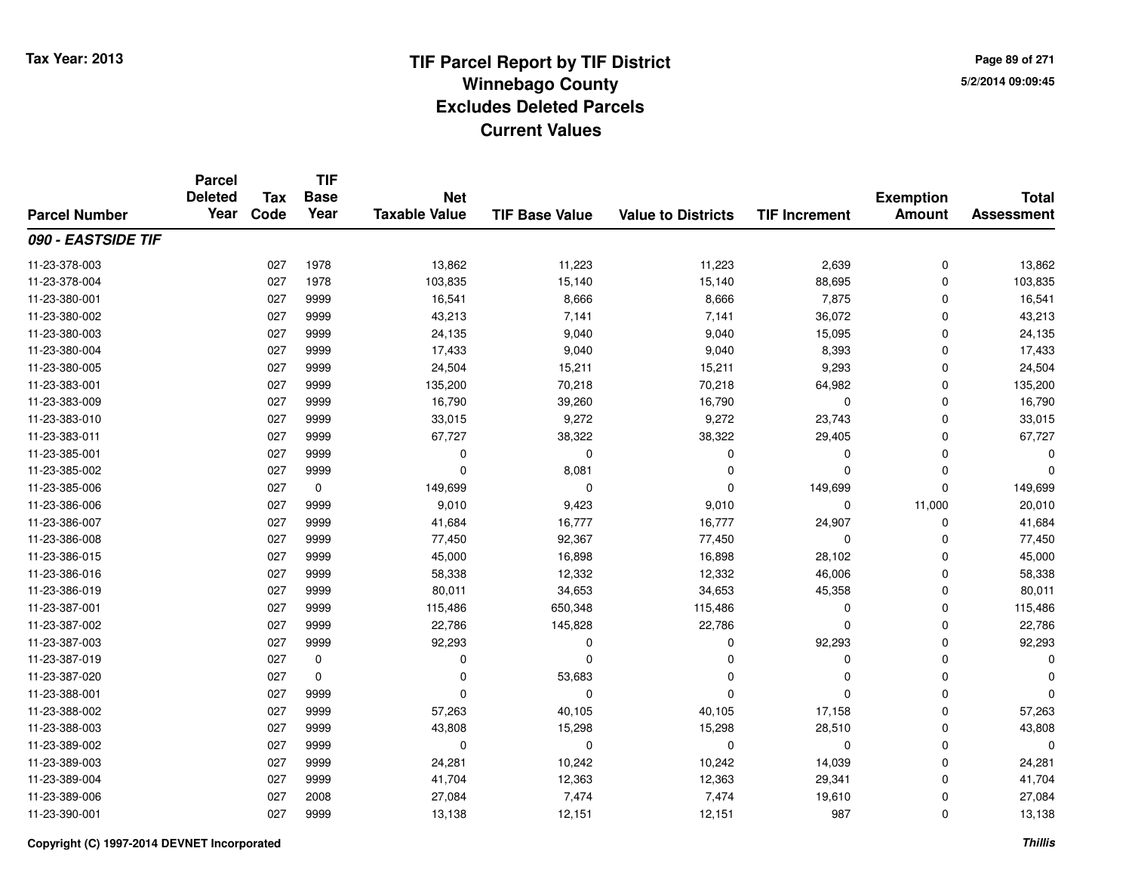**TIF**

**Parcel**

**Page 89 of 2715/2/2014 09:09:45**

#### **TIF Base ValueParcel NumberTotal AssessmentExemption Amount Value to Districts TIF Increment Base YearTax Code Deleted YearNet Taxable Value090 - EASTSIDE TIF**11-23-378-0033 027 1978 13,862 11,223 1,223 2,639 0 13,862 11-23-378-0044 15,140 103,835 1978 103,835 15,140 15,140 15,140 88,695 0 103,835 11-23-380-0011 027 9999 16,541 8,666 8,666 7,875 0 16,541 11-23-380-002 <sup>027</sup> 43,213 <sup>9999</sup> 7,141 7,141 36,072 <sup>0</sup> 43,213 11-23-380-003 <sup>027</sup> 24,135 <sup>9999</sup> 9,040 9,040 15,095 <sup>0</sup> 24,135 11-23-380-004 <sup>027</sup> 17,433 <sup>9999</sup> 9,040 9,040 8,393 <sup>0</sup> 17,433 11-23-380-0055 027 9999 24,504 15,211 15,211 9,293 0 24,504 11-23-383-001 <sup>027</sup> 135,200 <sup>9999</sup> 70,218 70,218 64,982 <sup>0</sup> 135,200 11-23-383-0099 027 9999 16,790 39,260 16,790 0 0 16,790 11-23-383-010 <sup>027</sup> 33,015 <sup>9999</sup> 9,272 9,272 23,743 <sup>0</sup> 33,015 11-23-383-0111 027 9999 67,727 38,322 38,322 29,405 0 67,727 11-23-385-001 <sup>027</sup> <sup>0</sup> <sup>9999</sup> <sup>0</sup> <sup>0</sup> <sup>0</sup> <sup>0</sup> <sup>0</sup> 11-23-385-002 $2$  027 9999 0 0 8,081 0 0 0 0 0 0 11-23-385-0066 027 0 149,699 0 0 149,699 0 149,699 11-23-386-006 <sup>027</sup> 9,010 <sup>9999</sup> 9,423 9,010 <sup>0</sup> 11,000 20,010 11-23-386-007 <sup>027</sup> 41,684 <sup>9999</sup> 16,777 16,777 24,907 <sup>0</sup> 41,684 11-23-386-008 <sup>027</sup> 77,450 <sup>9999</sup> 92,367 77,450 <sup>0</sup> <sup>0</sup> 77,450 11-23-386-0155 027 9999 45,000 16,898 16,898 28,102 0 45,000 11-23-386-0166 027 9999 58,338 12,332 12,332 46,006 0 58,338 11-23-386-019 <sup>027</sup> 80,011 <sup>9999</sup> 34,653 34,653 45,358 <sup>0</sup> 80,011 11-23-387-0011 027 9999 115,486 650,348 115,486 0 115,486 11-23-387-0022 027 9999 22,786 145,828 22,786 0 0 22,786 11-23-387-0033 027 9999 92,293 0 0 92,293 0 92,293 11-23-387-019 <sup>027</sup> <sup>0</sup> <sup>0</sup> <sup>0</sup> <sup>0</sup> <sup>0</sup> <sup>0</sup> <sup>0</sup> 11-23-387-020 $0$  027 0 0  $0$  53,683 0 0 0 0 0 0 0 11-23-388-001 <sup>027</sup> <sup>0</sup> <sup>9999</sup> <sup>0</sup> <sup>0</sup> <sup>0</sup> <sup>0</sup> <sup>0</sup> 11-23-388-002 <sup>027</sup> 57,263 <sup>9999</sup> 40,105 40,105 17,158 <sup>0</sup> 57,263 11-23-388-0033 027 9999 43,808 15,298 15,298 28,510 0 43,808 11-23-389-002 <sup>027</sup> <sup>0</sup> <sup>9999</sup> <sup>0</sup> <sup>0</sup> <sup>0</sup> <sup>0</sup> <sup>0</sup> 11-23-389-0033 027 9999 24,281 10,242 10,242 14,039 0 24,281 11-23-389-004 <sup>027</sup> 41,704 <sup>9999</sup> 12,363 12,363 29,341 <sup>0</sup> 41,704 11-23-389-006 <sup>027</sup> 27,084 <sup>2008</sup> 7,474 7,474 19,610 <sup>0</sup> 27,084 11-23-390-0011 027 9999 13,138 12,151 12,151 987 0 13,138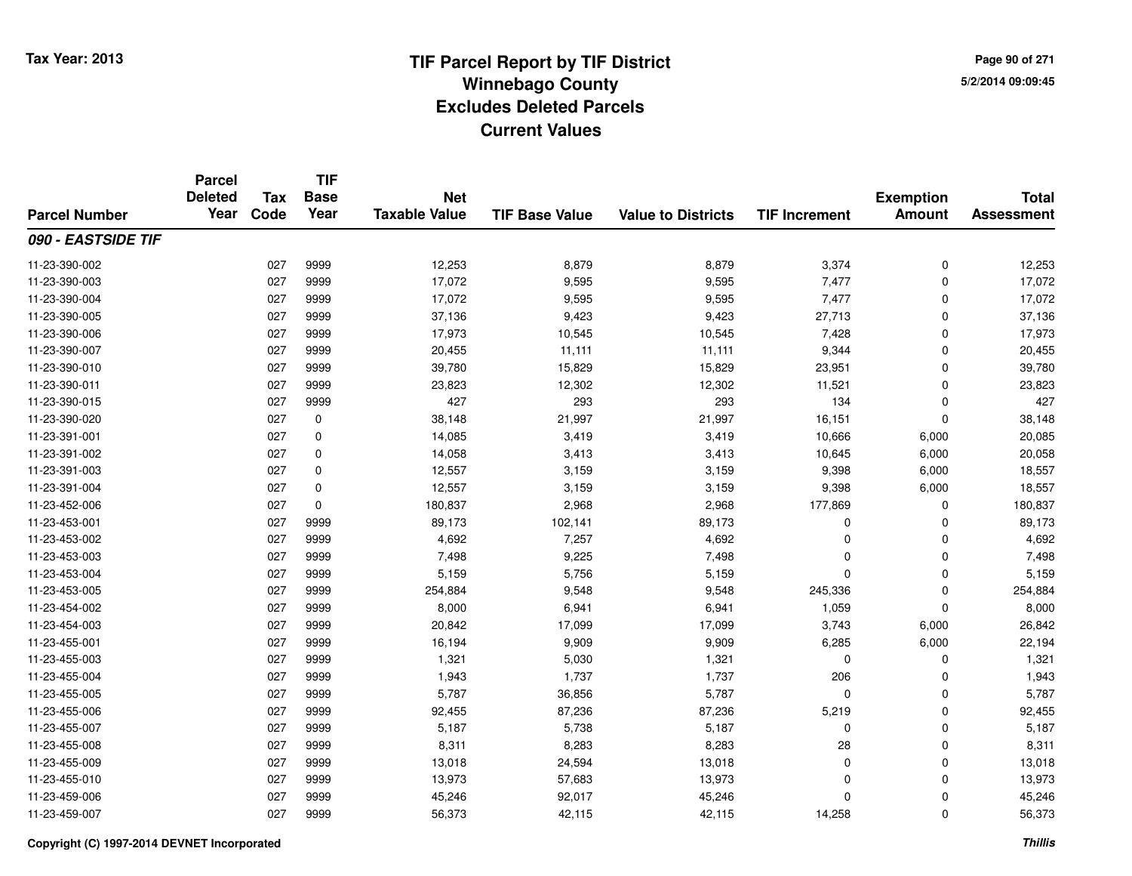**TIF**

**Parcel**

**Page 90 of 2715/2/2014 09:09:45**

#### **TIF Base ValueParcel NumberTotal AssessmentExemption Amount Value to Districts TIF Increment Base YearTax Code Deleted YearNet Taxable Value090 - EASTSIDE TIF**11-23-390-002 <sup>027</sup> 12,253 <sup>9999</sup> 8,879 8,879 3,374 <sup>0</sup> 12,253 11-23-390-003 <sup>027</sup> 17,072 <sup>9999</sup> 9,595 9,595 7,477 <sup>0</sup> 17,072 11-23-390-004 <sup>027</sup> 17,072 <sup>9999</sup> 9,595 9,595 7,477 <sup>0</sup> 17,072 11-23-390-005 <sup>027</sup> 37,136 <sup>9999</sup> 9,423 9,423 27,713 <sup>0</sup> 37,136 11-23-390-0066 027 9999 17,973 10,545 10,545 7,428 0 17,973 11-23-390-007 <sup>027</sup> 20,455 <sup>9999</sup> 11,111 11,111 9,344 <sup>0</sup> 20,455 11-23-390-0100 027 9999 39,780 15,829 15,829 23,951 0 39,780 11-23-390-0111 027 9999 23,823 12,302 12,302 11,521 0 23,823 11-23-390-015 <sup>027</sup> <sup>427</sup> <sup>9999</sup> <sup>293</sup> <sup>293</sup> <sup>134</sup> <sup>0</sup> <sup>427</sup> 11-23-390-0200 027 0 38,148 21,997 21,997 16,151 0 38,148 11-23-391-0011 027 0 14,085 3,419 3,419 10,666 6,000 20,085 11-23-391-0022 027 0 14,058 3,413 3,413 10,645 6,000 20,058 11-23-391-0033 027 0 12,557 3,159 3,159 9,398 6,000 18,557 11-23-391-004 <sup>027</sup> 12,557 <sup>0</sup> 3,159 3,159 9,398 6,000 18,557 11-23-452-0066 027 0 180,837 2,968 2,968 177,869 0 180,837 11-23-453-0011 027 9999 89,173 102,141 89,173 0 0 89,173 11-23-453-0022 027 9999 4,692 7,257 4,692 0 0 4,692 11-23-453-0033 027 9999 7,498 9,225 7,498 0 7,498 11-23-453-004 <sup>027</sup> 5,159 <sup>9999</sup> 5,756 5,159 <sup>0</sup> <sup>0</sup> 5,159 11-23-453-0055 027 9999 254,884 9,548 9,548 245,336 0 254,884 11-23-454-0022 027 9999 8,000 6,941 6,941 1,059 0 8,000 11-23-454-0033 027 9999 20,842 17,099 17,099 3,743 6,000 26,842 11-23-455-001 <sup>027</sup> 16,194 <sup>9999</sup> 9,909 9,909 6,285 6,000 22,194 11-23-455-0033 027 9999 1,321 5,030 1,321 0 0 1,321 11-23-455-0044 027 9999 1,943 1,737 1,737 206 0 1,943 11-23-455-005 <sup>027</sup> 5,787 <sup>9999</sup> 36,856 5,787 <sup>0</sup> <sup>0</sup> 5,787 11-23-455-006 <sup>027</sup> 92,455 <sup>9999</sup> 87,236 87,236 5,219 <sup>0</sup> 92,455 11-23-455-007 <sup>027</sup> 5,187 <sup>9999</sup> 5,738 5,187 <sup>0</sup> <sup>0</sup> 5,187 11-23-455-008 <sup>027</sup> 8,311 <sup>9999</sup> 8,283 8,283 <sup>28</sup> <sup>0</sup> 8,311 11-23-455-0099 027 9999 13,018 24,594 13,018 0 0 13,018 11-23-455-010 <sup>027</sup> 13,973 <sup>9999</sup> 57,683 13,973 <sup>0</sup> <sup>0</sup> 13,973 11-23-459-0066 027 9999 45,246 92,017 45,246 0 0 45,246 11-23-459-007<sup>027</sup> 56,373 <sup>9999</sup> 42,115 42,115 14,258 <sup>0</sup> 56,373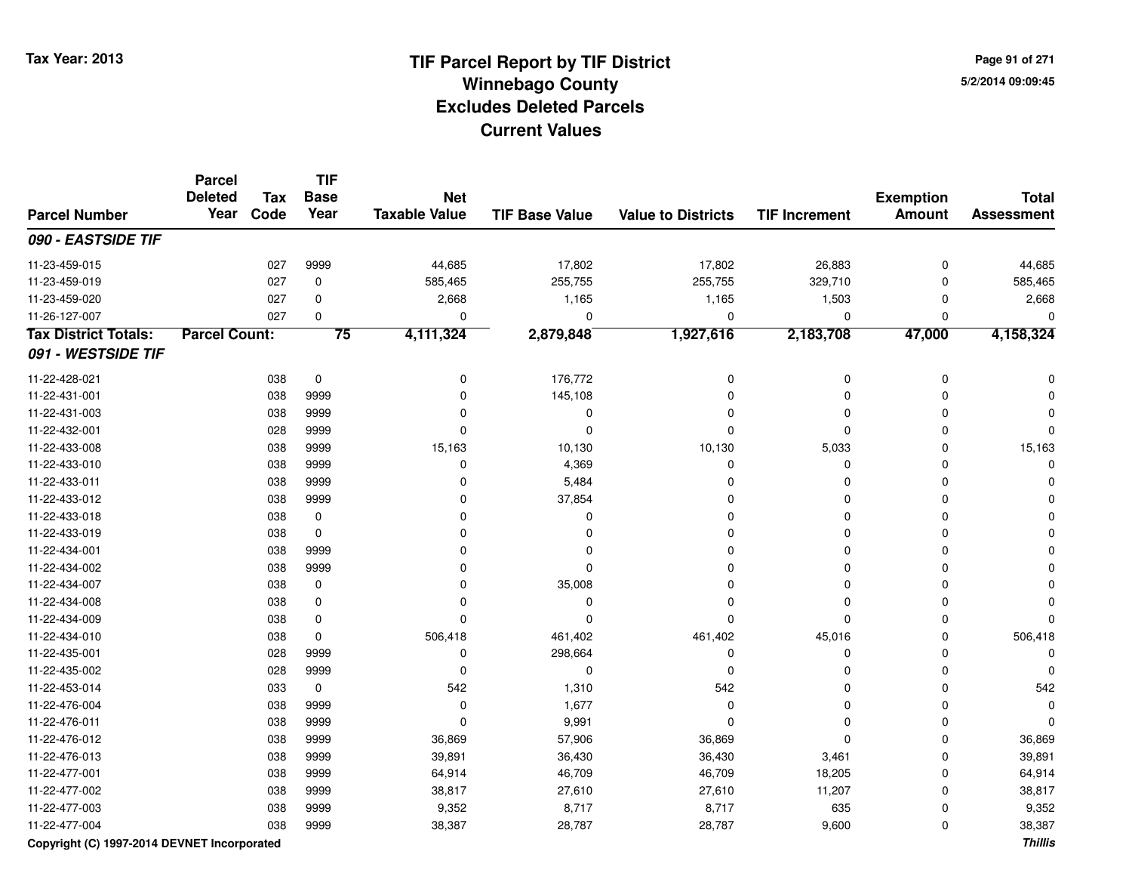**TIF**

**Parcel**

**Page 91 of 2715/2/2014 09:09:45**

#### **TIF Base ValueParcel NumberTotal AssessmentExemption Amount Value to Districts TIF Increment Base YearTax Code Deleted YearNet Taxable Value090 - EASTSIDE TIF**11-23-459-0155 027 9999 44,685 17,802 17,802 26,883 0 44,685 11-23-459-0199 027 0 585,465 255,755 255,755 329,710 0 585,465 11-23-459-0200 027 0 2,668 1,165 1,165 1,503 0 2,668 11-26-127-007 <sup>027</sup> <sup>0</sup> <sup>0</sup> <sup>0</sup> <sup>0</sup> <sup>0</sup> <sup>0</sup> <sup>0</sup> **Tax District Totals: Parcel Count: <sup>75</sup> 4,111,324 2,879,848 1,927,616 2,183,708 47,000 4,158,324 091 - WESTSIDE TIF**11-22-428-0211 038 0 0 176,772 0 0 11-22-431-0011 038 9999 0 145,108 0 0 0 0 11-22-431-003 <sup>038</sup> <sup>0</sup> <sup>9999</sup> <sup>0</sup> <sup>0</sup> <sup>0</sup> <sup>0</sup> <sup>0</sup> 11-22-432-001 <sup>028</sup> <sup>0</sup> <sup>9999</sup> <sup>0</sup> <sup>0</sup> <sup>0</sup> <sup>0</sup> <sup>0</sup> 11-22-433-008 <sup>038</sup> 15,163 <sup>9999</sup> 10,130 10,130 5,033 <sup>0</sup> 15,163 11-22-433-010 $0$  038 9999 0  $0$  4,369 0 0 0 0  $0$ 11-22-433-0111 and the contract of the contract of the contract of the contract of the contract of  $\sim$  0 contract of  $\sim$  0 contract of  $\sim$  0 contract of  $\sim$  0 contract of  $\sim$  0 contract of  $\sim$  0 contract of  $\sim$  0 contract of  $\$ 11-22-433-012 <sup>038</sup> <sup>0</sup> <sup>9999</sup> 37,854 <sup>0</sup> <sup>0</sup> <sup>0</sup> <sup>0</sup> 11-22-433-018 <sup>038</sup> <sup>0</sup> <sup>0</sup> <sup>0</sup> <sup>0</sup> <sup>0</sup> <sup>0</sup> <sup>0</sup> 11-22-433-019 <sup>038</sup> <sup>0</sup> <sup>0</sup> <sup>0</sup> <sup>0</sup> <sup>0</sup> <sup>0</sup> <sup>0</sup> 11-22-434-001 <sup>038</sup> <sup>0</sup> <sup>9999</sup> <sup>0</sup> <sup>0</sup> <sup>0</sup> <sup>0</sup> <sup>0</sup> 11-22-434-002 <sup>038</sup> <sup>0</sup> <sup>9999</sup> <sup>0</sup> <sup>0</sup> <sup>0</sup> <sup>0</sup> <sup>0</sup> 11-22-434-007 $7$  038 0 0 0 35,008 0 0 0 0 0 0 11-22-434-008 <sup>038</sup> <sup>0</sup> <sup>0</sup> <sup>0</sup> <sup>0</sup> <sup>0</sup> <sup>0</sup> <sup>0</sup> 11-22-434-009 <sup>038</sup> <sup>0</sup> <sup>0</sup> <sup>0</sup> <sup>0</sup> <sup>0</sup> <sup>0</sup> <sup>0</sup> 11-22-434-010 <sup>038</sup> 506,418 <sup>0</sup> 461,402 461,402 45,016 <sup>0</sup> 506,418 11-22-435-0011 028 9999 0 298,664 0 0 0 0 11-22-435-002 <sup>028</sup> <sup>0</sup> <sup>9999</sup> <sup>0</sup> <sup>0</sup> <sup>0</sup> <sup>0</sup> <sup>0</sup> 11-22-453-014 <sup>033</sup> <sup>542</sup> <sup>0</sup> 1,310 <sup>542</sup> <sup>0</sup> <sup>0</sup> <sup>542</sup> 11-22-476-004 <sup>038</sup> <sup>0</sup> <sup>9999</sup> 1,677 <sup>0</sup> <sup>0</sup> <sup>0</sup> <sup>0</sup> 11-22-476-0111 038 9999 0 9,991 0 0 0 0 11-22-476-012 <sup>038</sup> 36,869 <sup>9999</sup> 57,906 36,869 <sup>0</sup> <sup>0</sup> 36,869 11-22-476-0133 038 9999 39,891 36,430 36,430 3,461 0 39,891 11-22-477-0011 038 9999 64,914 46,709 46,709 18,205 0 64,914 11-22-477-002 <sup>038</sup> 38,817 <sup>9999</sup> 27,610 27,610 11,207 <sup>0</sup> 38,817 11-22-477-0033 038 9999 9,352 8,717 8,717 635 0 9,352 11-22-477-004<sup>038</sup> 38,387 <sup>9999</sup> 28,787 28,787 9,600 <sup>0</sup> 38,387

### **Copyright (C) 1997-2014 DEVNET Incorporated**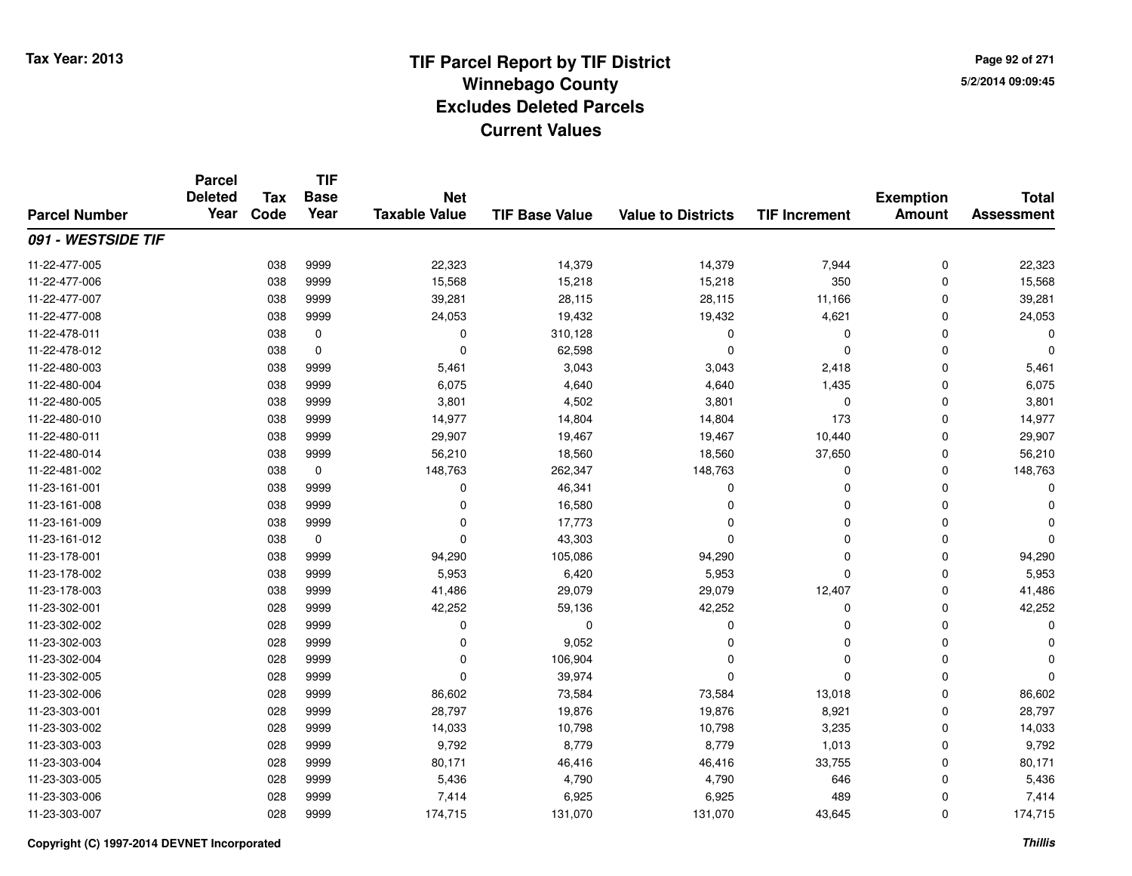**Page 92 of 2715/2/2014 09:09:45**

|                      | <b>Parcel</b><br><b>Deleted</b> | <b>Tax</b> | <b>TIF</b><br><b>Base</b> | <b>Net</b>           |                       |                           |                      | <b>Exemption</b> | <b>Total</b>      |
|----------------------|---------------------------------|------------|---------------------------|----------------------|-----------------------|---------------------------|----------------------|------------------|-------------------|
| <b>Parcel Number</b> | Year                            | Code       | Year                      | <b>Taxable Value</b> | <b>TIF Base Value</b> | <b>Value to Districts</b> | <b>TIF Increment</b> | <b>Amount</b>    | <b>Assessment</b> |
| 091 - WESTSIDE TIF   |                                 |            |                           |                      |                       |                           |                      |                  |                   |
| 11-22-477-005        |                                 | 038        | 9999                      | 22,323               | 14,379                | 14,379                    | 7,944                | 0                | 22,323            |
| 11-22-477-006        |                                 | 038        | 9999                      | 15,568               | 15,218                | 15,218                    | 350                  | $\Omega$         | 15,568            |
| 11-22-477-007        |                                 | 038        | 9999                      | 39,281               | 28,115                | 28,115                    | 11,166               | $\mathbf 0$      | 39,281            |
| 11-22-477-008        |                                 | 038        | 9999                      | 24,053               | 19,432                | 19,432                    | 4,621                | $\Omega$         | 24,053            |
| 11-22-478-011        |                                 | 038        | 0                         | 0                    | 310,128               | 0                         | 0                    | $\Omega$         |                   |
| 11-22-478-012        |                                 | 038        | $\mathbf 0$               | $\mathbf 0$          | 62,598                | $\mathbf 0$               | $\mathbf 0$          | $\Omega$         | U                 |
| 11-22-480-003        |                                 | 038        | 9999                      | 5,461                | 3,043                 | 3,043                     | 2,418                | $\Omega$         | 5,461             |
| 11-22-480-004        |                                 | 038        | 9999                      | 6,075                | 4,640                 | 4,640                     | 1,435                | $\Omega$         | 6,075             |
| 11-22-480-005        |                                 | 038        | 9999                      | 3,801                | 4,502                 | 3,801                     | $\mathbf 0$          | $\mathbf 0$      | 3,801             |
| 11-22-480-010        |                                 | 038        | 9999                      | 14,977               | 14,804                | 14,804                    | 173                  | $\Omega$         | 14,977            |
| 11-22-480-011        |                                 | 038        | 9999                      | 29,907               | 19,467                | 19,467                    | 10,440               | $\Omega$         | 29,907            |
| 11-22-480-014        |                                 | 038        | 9999                      | 56,210               | 18,560                | 18,560                    | 37,650               | $\mathbf 0$      | 56,210            |
| 11-22-481-002        |                                 | 038        | 0                         | 148,763              | 262,347               | 148,763                   | 0                    | $\mathbf 0$      | 148,763           |
| 11-23-161-001        |                                 | 038        | 9999                      | 0                    | 46,341                | 0                         | 0                    | $\Omega$         |                   |
| 11-23-161-008        |                                 | 038        | 9999                      | $\mathbf 0$          | 16,580                | $\Omega$                  | $\Omega$             | $\Omega$         |                   |
| 11-23-161-009        |                                 | 038        | 9999                      | 0                    | 17,773                | $\Omega$                  | 0                    | 0                |                   |
| 11-23-161-012        |                                 | 038        | 0                         | $\mathbf 0$          | 43,303                | $\Omega$                  | $\Omega$             | $\Omega$         |                   |
| 11-23-178-001        |                                 | 038        | 9999                      | 94,290               | 105,086               | 94,290                    | 0                    | $\Omega$         | 94,290            |
| 11-23-178-002        |                                 | 038        | 9999                      | 5,953                | 6,420                 | 5,953                     | $\mathbf 0$          | $\mathbf 0$      | 5,953             |
| 11-23-178-003        |                                 | 038        | 9999                      | 41,486               | 29,079                | 29,079                    | 12,407               | 0                | 41,486            |
| 11-23-302-001        |                                 | 028        | 9999                      | 42,252               | 59,136                | 42,252                    | $\mathbf 0$          | $\mathbf 0$      | 42,252            |
| 11-23-302-002        |                                 | 028        | 9999                      | $\mathbf 0$          | $\mathbf 0$           | 0                         | $\Omega$             | $\Omega$         |                   |
| 11-23-302-003        |                                 | 028        | 9999                      | 0                    | 9,052                 | 0                         | $\Omega$             | $\Omega$         |                   |
| 11-23-302-004        |                                 | 028        | 9999                      | $\mathbf 0$          | 106,904               | $\Omega$                  | $\Omega$             | $\Omega$         |                   |
| 11-23-302-005        |                                 | 028        | 9999                      | $\mathbf 0$          | 39,974                | $\mathbf 0$               | $\mathbf 0$          | $\Omega$         |                   |
| 11-23-302-006        |                                 | 028        | 9999                      | 86,602               | 73,584                | 73,584                    | 13,018               | $\Omega$         | 86,602            |
| 11-23-303-001        |                                 | 028        | 9999                      | 28,797               | 19,876                | 19,876                    | 8,921                | $\mathbf 0$      | 28,797            |
| 11-23-303-002        |                                 | 028        | 9999                      | 14,033               | 10,798                | 10,798                    | 3,235                | $\Omega$         | 14,033            |
| 11-23-303-003        |                                 | 028        | 9999                      | 9,792                | 8,779                 | 8,779                     | 1,013                | $\mathbf 0$      | 9,792             |
| 11-23-303-004        |                                 | 028        | 9999                      | 80,171               | 46,416                | 46,416                    | 33,755               | $\mathbf 0$      | 80,171            |
| 11-23-303-005        |                                 | 028        | 9999                      | 5,436                | 4,790                 | 4,790                     | 646                  | $\Omega$         | 5,436             |
| 11-23-303-006        |                                 | 028        | 9999                      | 7,414                | 6,925                 | 6,925                     | 489                  | $\Omega$         | 7,414             |
| 11-23-303-007        |                                 | 028        | 9999                      | 174,715              | 131,070               | 131,070                   | 43,645               | $\Omega$         | 174,715           |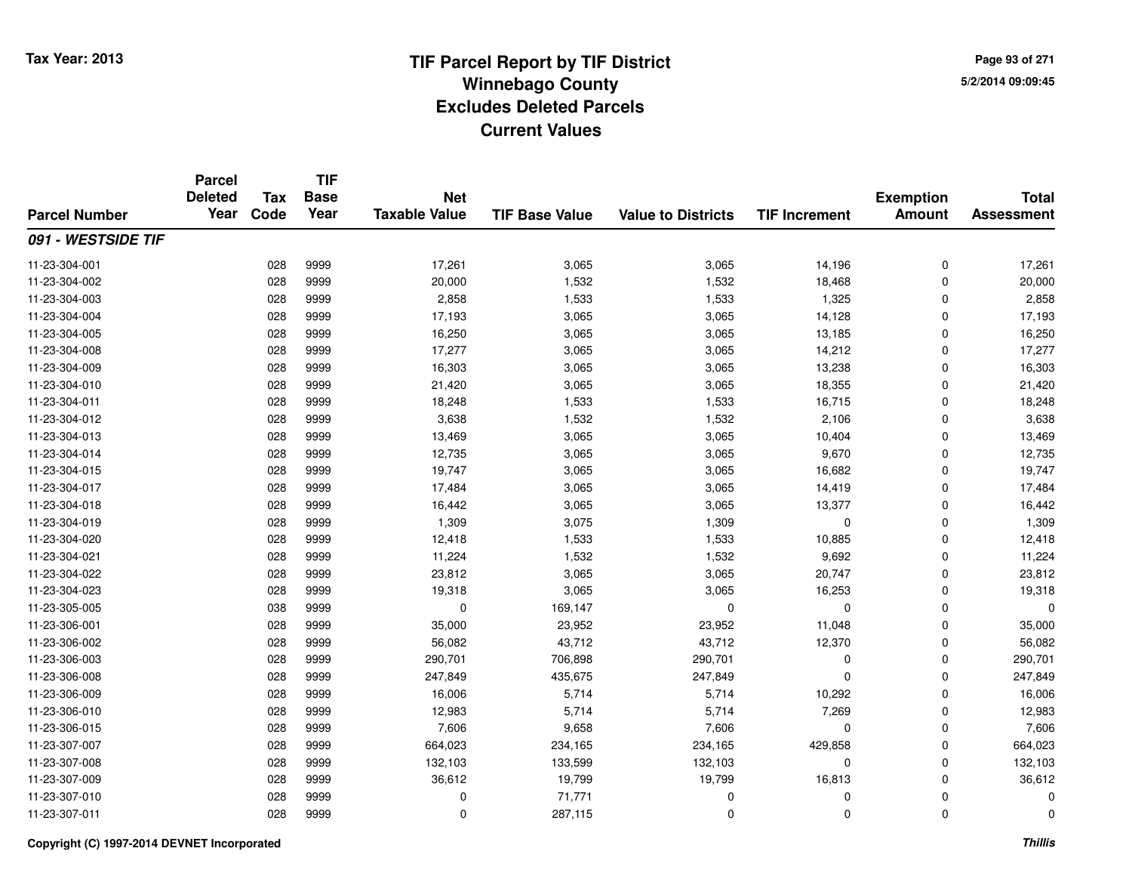**TIF**

**Parcel**

**Page 93 of 2715/2/2014 09:09:45**

#### **TIF Base ValueParcel NumberTotal AssessmentExemption Amount Value to Districts TIF Increment Base YearTax Code Deleted YearNet Taxable Value091 - WESTSIDE TIF**11-23-304-0011 028 9999 17,261 3,065 3,065 14,196 0 17,261 11-23-304-0022 028 9999 20,000 1,532 1,532 18,468 0 20,000 11-23-304-0033 028 9999 2,858 1,533 1,533 1,325 0 2,858 11-23-304-004 <sup>028</sup> 17,193 <sup>9999</sup> 3,065 3,065 14,128 <sup>0</sup> 17,193 11-23-304-0055 028 9999 16,250 3,065 3,065 13,185 0 16,250 11-23-304-008 <sup>028</sup> 17,277 <sup>9999</sup> 3,065 3,065 14,212 <sup>0</sup> 17,277 11-23-304-0099 028 9999 16,303 3,065 3,065 13,238 0 16,303 11-23-304-0100 028 9999 21,420 3,065 3,065 18,355 0 21,420 11-23-304-0111 028 9999 18,248 1,533 1,533 16,715 0 18,248 11-23-304-012 <sup>028</sup> 3,638 <sup>9999</sup> 1,532 1,532 2,106 <sup>0</sup> 3,638 11-23-304-0133 028 9999 13,469 3,065 3,065 10,404 0 13,469 11-23-304-014 <sup>028</sup> 12,735 <sup>9999</sup> 3,065 3,065 9,670 <sup>0</sup> 12,735 11-23-304-015 <sup>028</sup> 19,747 <sup>9999</sup> 3,065 3,065 16,682 <sup>0</sup> 19,747 11-23-304-017 <sup>028</sup> 17,484 <sup>9999</sup> 3,065 3,065 14,419 <sup>0</sup> 17,484 11-23-304-0188 028 9999 16,442 3,065 3,065 13,377 0 16,442 11-23-304-0199 028 9999 1,309 3,075 1,309 0 0 1,309 11-23-304-0200 028 9999 12,418 1,533 1,533 10,885 0 12,418 11-23-304-0211 028 9999 11,224 1,532 1,532 9,692 0 11,224 11-23-304-022 <sup>028</sup> 23,812 <sup>9999</sup> 3,065 3,065 20,747 <sup>0</sup> 23,812 11-23-304-0233 028 9999 19,318 3,065 3,065 16,253 0 19,318 11-23-305-0055 038 9999 0 169,147 0 0 0 0 11-23-306-0011 028 9999 35,000 23,952 23,952 11,048 0 35,000 11-23-306-002 <sup>028</sup> 56,082 <sup>9999</sup> 43,712 43,712 12,370 <sup>0</sup> 56,082 11-23-306-0033 028 9999 290,701 706,898 290,701 0 290,701 11-23-306-008 <sup>028</sup> 247,849 <sup>9999</sup> 435,675 247,849 <sup>0</sup> <sup>0</sup> 247,849 11-23-306-009 <sup>028</sup> 16,006 <sup>9999</sup> 5,714 5,714 10,292 <sup>0</sup> 16,006 11-23-306-0100 028 9999 12,983 5,714 5,714 7,269 0 12,983 11-23-306-0155 028 9999 7,606 9,658 7,606 0 7,606 11-23-307-007 <sup>028</sup> 664,023 <sup>9999</sup> 234,165 234,165 429,858 <sup>0</sup> 664,023 11-23-307-008 <sup>028</sup> 132,103 <sup>9999</sup> 133,599 132,103 <sup>0</sup> <sup>0</sup> 132,103 11-23-307-0099 028 9999 36,612 19,799 19,799 16,813 0 36,612 11-23-307-010 <sup>028</sup> <sup>0</sup> <sup>9999</sup> 71,771 <sup>0</sup> <sup>0</sup> <sup>0</sup> <sup>0</sup> 11-23-307-0111 028 9999 0 287,115 0 0 0 0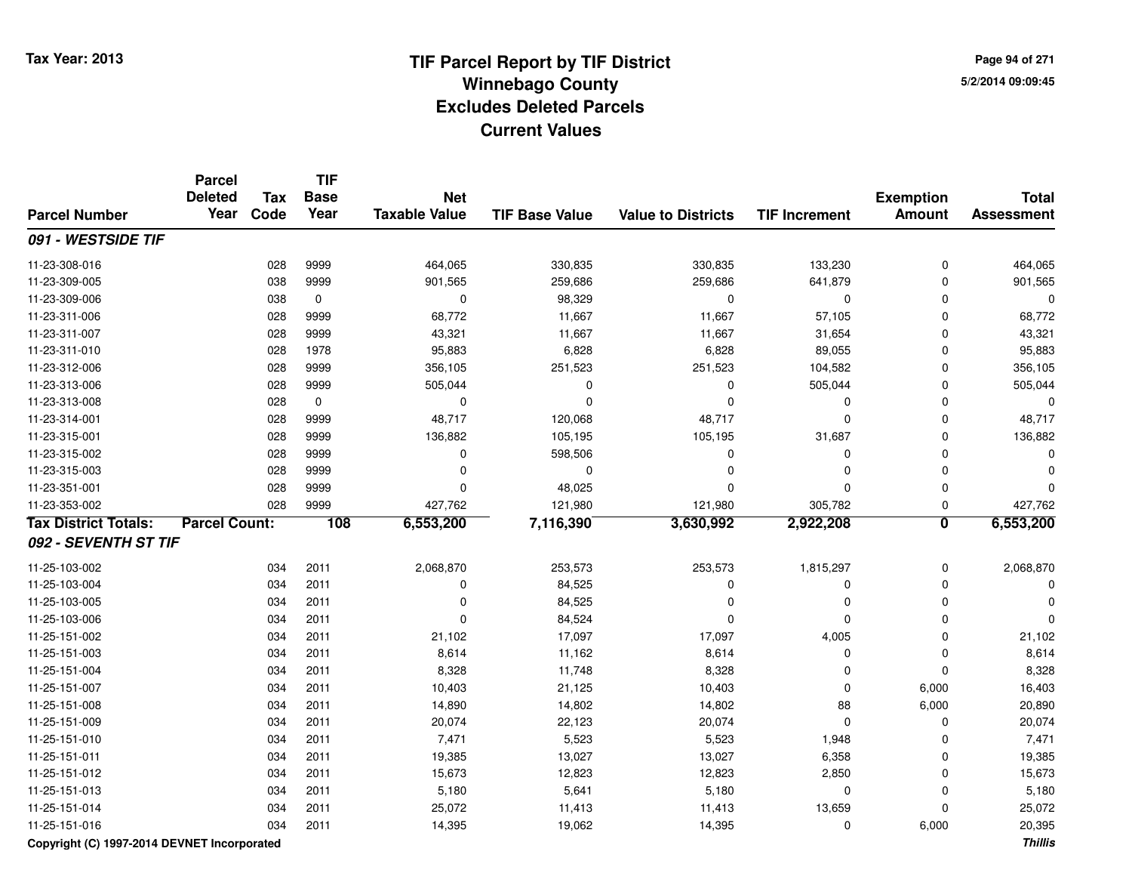**Page 94 of 2715/2/2014 09:09:45**

|                                             | <b>Parcel</b><br><b>Deleted</b><br>Year | <b>Tax</b> | <b>TIF</b><br><b>Base</b> | <b>Net</b>           |                       |                           |                      | <b>Exemption</b>        | <b>Total</b>      |
|---------------------------------------------|-----------------------------------------|------------|---------------------------|----------------------|-----------------------|---------------------------|----------------------|-------------------------|-------------------|
| <b>Parcel Number</b>                        |                                         | Code       | Year                      | <b>Taxable Value</b> | <b>TIF Base Value</b> | <b>Value to Districts</b> | <b>TIF Increment</b> | <b>Amount</b>           | <b>Assessment</b> |
| 091 - WESTSIDE TIF                          |                                         |            |                           |                      |                       |                           |                      |                         |                   |
| 11-23-308-016                               |                                         | 028        | 9999                      | 464,065              | 330,835               | 330,835                   | 133,230              | $\mathbf 0$             | 464,065           |
| 11-23-309-005                               |                                         | 038        | 9999                      | 901,565              | 259,686               | 259,686                   | 641,879              | $\mathbf 0$             | 901,565           |
| 11-23-309-006                               |                                         | 038        | $\mathbf 0$               | 0                    | 98,329                | $\mathbf 0$               | $\mathbf 0$          | $\mathbf 0$             | $\mathbf 0$       |
| 11-23-311-006                               |                                         | 028        | 9999                      | 68,772               | 11,667                | 11,667                    | 57,105               | 0                       | 68,772            |
| 11-23-311-007                               |                                         | 028        | 9999                      | 43,321               | 11,667                | 11,667                    | 31,654               | $\mathbf 0$             | 43,321            |
| 11-23-311-010                               |                                         | 028        | 1978                      | 95,883               | 6,828                 | 6,828                     | 89,055               | $\mathbf 0$             | 95,883            |
| 11-23-312-006                               |                                         | 028        | 9999                      | 356,105              | 251,523               | 251,523                   | 104,582              | 0                       | 356,105           |
| 11-23-313-006                               |                                         | 028        | 9999                      | 505,044              | 0                     | $\mathbf 0$               | 505,044              | $\Omega$                | 505,044           |
| 11-23-313-008                               |                                         | 028        | $\mathbf 0$               | 0                    | $\Omega$              | $\mathbf 0$               | $\mathbf 0$          | 0                       | $\Omega$          |
| 11-23-314-001                               |                                         | 028        | 9999                      | 48,717               | 120,068               | 48,717                    | $\Omega$             | $\Omega$                | 48,717            |
| 11-23-315-001                               |                                         | 028        | 9999                      | 136,882              | 105,195               | 105,195                   | 31,687               | 0                       | 136,882           |
| 11-23-315-002                               |                                         | 028        | 9999                      | $\mathbf 0$          | 598,506               | $\mathbf 0$               | 0                    | $\Omega$                | 0                 |
| 11-23-315-003                               |                                         | 028        | 9999                      | $\mathbf 0$          | 0                     | $\mathbf 0$               | $\mathbf 0$          | $\mathbf 0$             |                   |
| 11-23-351-001                               |                                         | 028        | 9999                      | $\mathbf 0$          | 48,025                | $\mathbf 0$               | $\Omega$             | 0                       | ŋ                 |
| 11-23-353-002                               |                                         | 028        | 9999                      | 427,762              | 121,980               | 121,980                   | 305,782              | 0                       | 427,762           |
| <b>Tax District Totals:</b>                 | <b>Parcel Count:</b>                    |            | 108                       | 6,553,200            | 7,116,390             | 3,630,992                 | 2,922,208            | $\overline{\mathbf{0}}$ | 6,553,200         |
| 092 - SEVENTH ST TIF                        |                                         |            |                           |                      |                       |                           |                      |                         |                   |
| 11-25-103-002                               |                                         | 034        | 2011                      | 2,068,870            | 253,573               | 253,573                   | 1,815,297            | 0                       | 2,068,870         |
| 11-25-103-004                               |                                         | 034        | 2011                      | 0                    | 84,525                | $\mathbf 0$               | $\Omega$             | 0                       | $\Omega$          |
| 11-25-103-005                               |                                         | 034        | 2011                      | $\mathbf 0$          | 84,525                | $\mathbf 0$               | $\Omega$             | $\Omega$                | $\Omega$          |
| 11-25-103-006                               |                                         | 034        | 2011                      | $\mathbf 0$          | 84,524                | $\mathbf 0$               | $\Omega$             | $\Omega$                | $\mathbf 0$       |
| 11-25-151-002                               |                                         | 034        | 2011                      | 21,102               | 17,097                | 17,097                    | 4,005                | 0                       | 21,102            |
| 11-25-151-003                               |                                         | 034        | 2011                      | 8,614                | 11,162                | 8,614                     | $\mathbf 0$          | $\mathbf 0$             | 8,614             |
| 11-25-151-004                               |                                         | 034        | 2011                      | 8,328                | 11,748                | 8,328                     | 0                    | $\mathbf 0$             | 8,328             |
| 11-25-151-007                               |                                         | 034        | 2011                      | 10,403               | 21,125                | 10,403                    | 0                    | 6,000                   | 16,403            |
| 11-25-151-008                               |                                         | 034        | 2011                      | 14,890               | 14,802                | 14,802                    | 88                   | 6,000                   | 20,890            |
| 11-25-151-009                               |                                         | 034        | 2011                      | 20,074               | 22,123                | 20,074                    | $\Omega$             | $\mathbf 0$             | 20,074            |
| 11-25-151-010                               |                                         | 034        | 2011                      | 7,471                | 5,523                 | 5,523                     | 1,948                | $\Omega$                | 7,471             |
| 11-25-151-011                               |                                         | 034        | 2011                      | 19,385               | 13,027                | 13,027                    | 6,358                | $\mathbf 0$             | 19,385            |
| 11-25-151-012                               |                                         | 034        | 2011                      | 15,673               | 12,823                | 12,823                    | 2,850                | $\mathbf 0$             | 15,673            |
| 11-25-151-013                               |                                         | 034        | 2011                      | 5,180                | 5,641                 | 5,180                     | $\mathbf 0$          | $\mathbf 0$             | 5,180             |
| 11-25-151-014                               |                                         | 034        | 2011                      | 25,072               | 11,413                | 11,413                    | 13,659               | $\mathbf 0$             | 25,072            |
| 11-25-151-016                               |                                         | 034        | 2011                      | 14,395               | 19,062                | 14,395                    | 0                    | 6,000                   | 20,395            |
| Copyright (C) 1997-2014 DEVNET Incorporated |                                         |            |                           |                      |                       |                           |                      |                         | <b>Thillis</b>    |

**Thillis**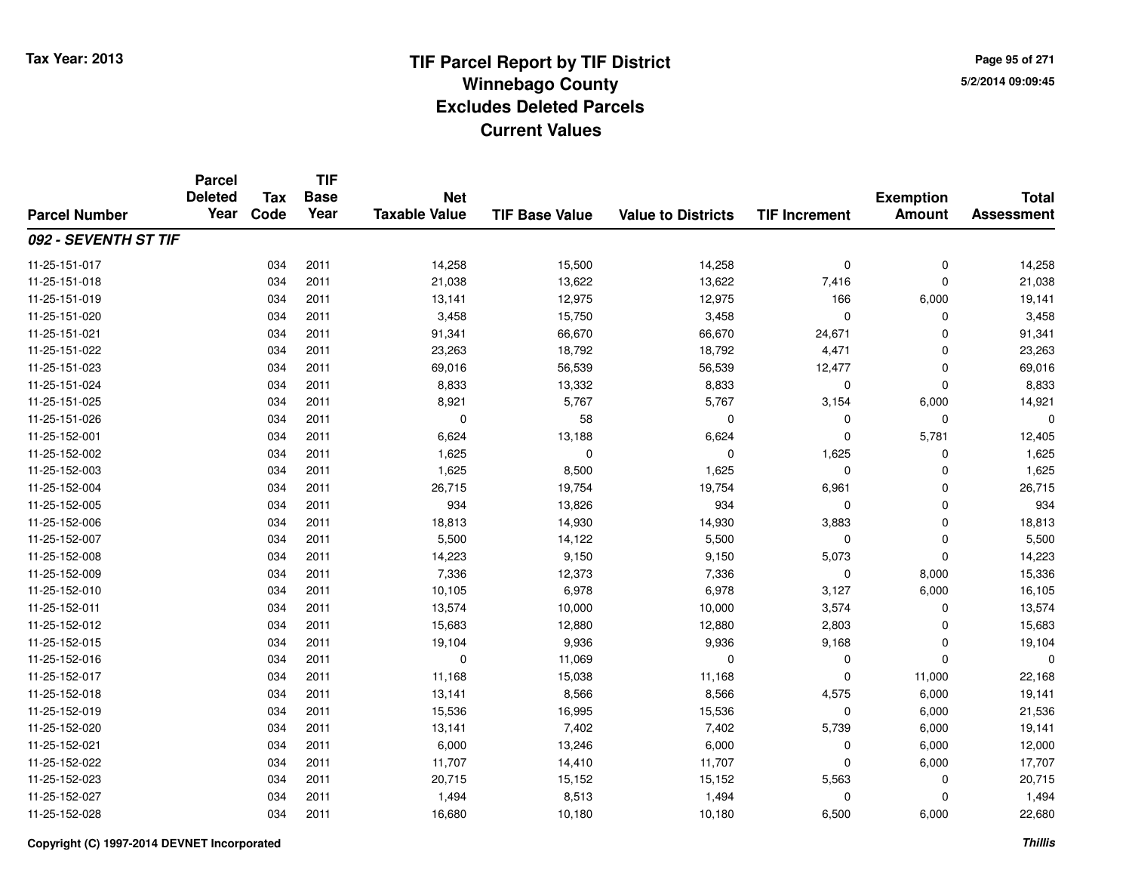**Page 95 of 2715/2/2014 09:09:45**

|                      | <b>Parcel</b><br><b>Deleted</b> | <b>Tax</b> | <b>TIF</b><br><b>Base</b> | <b>Net</b>           |                       |                           |                      | <b>Exemption</b> | <b>Total</b>      |
|----------------------|---------------------------------|------------|---------------------------|----------------------|-----------------------|---------------------------|----------------------|------------------|-------------------|
| <b>Parcel Number</b> | Year                            | Code       | Year                      | <b>Taxable Value</b> | <b>TIF Base Value</b> | <b>Value to Districts</b> | <b>TIF Increment</b> | <b>Amount</b>    | <b>Assessment</b> |
| 092 - SEVENTH ST TIF |                                 |            |                           |                      |                       |                           |                      |                  |                   |
| 11-25-151-017        |                                 | 034        | 2011                      | 14,258               | 15,500                | 14,258                    | 0                    | $\pmb{0}$        | 14,258            |
| 11-25-151-018        |                                 | 034        | 2011                      | 21,038               | 13,622                | 13,622                    | 7,416                | $\mathbf 0$      | 21,038            |
| 11-25-151-019        |                                 | 034        | 2011                      | 13,141               | 12,975                | 12,975                    | 166                  | 6,000            | 19,141            |
| 11-25-151-020        |                                 | 034        | 2011                      | 3,458                | 15,750                | 3,458                     | $\mathbf 0$          | $\mathbf 0$      | 3,458             |
| 11-25-151-021        |                                 | 034        | 2011                      | 91,341               | 66,670                | 66,670                    | 24,671               | $\mathbf 0$      | 91,341            |
| 11-25-151-022        |                                 | 034        | 2011                      | 23,263               | 18,792                | 18,792                    | 4,471                | $\mathbf 0$      | 23,263            |
| 11-25-151-023        |                                 | 034        | 2011                      | 69,016               | 56,539                | 56,539                    | 12,477               | $\mathbf 0$      | 69,016            |
| 11-25-151-024        |                                 | 034        | 2011                      | 8,833                | 13,332                | 8,833                     | $\mathbf 0$          | $\mathbf 0$      | 8,833             |
| 11-25-151-025        |                                 | 034        | 2011                      | 8,921                | 5,767                 | 5,767                     | 3,154                | 6,000            | 14,921            |
| 11-25-151-026        |                                 | 034        | 2011                      | $\mathbf 0$          | 58                    | $\mathbf 0$               | 0                    | $\mathbf 0$      | $\Omega$          |
| 11-25-152-001        |                                 | 034        | 2011                      | 6,624                | 13,188                | 6,624                     | $\Omega$             | 5,781            | 12,405            |
| 11-25-152-002        |                                 | 034        | 2011                      | 1,625                | $\mathbf 0$           | 0                         | 1,625                | 0                | 1,625             |
| 11-25-152-003        |                                 | 034        | 2011                      | 1,625                | 8,500                 | 1,625                     | $\mathbf 0$          | $\mathbf 0$      | 1,625             |
| 11-25-152-004        |                                 | 034        | 2011                      | 26,715               | 19,754                | 19,754                    | 6,961                | $\mathbf 0$      | 26,715            |
| 11-25-152-005        |                                 | 034        | 2011                      | 934                  | 13,826                | 934                       | 0                    | $\mathbf 0$      | 934               |
| 11-25-152-006        |                                 | 034        | 2011                      | 18,813               | 14,930                | 14,930                    | 3,883                | $\pmb{0}$        | 18,813            |
| 11-25-152-007        |                                 | 034        | 2011                      | 5,500                | 14,122                | 5,500                     | $\mathbf 0$          | $\mathbf 0$      | 5,500             |
| 11-25-152-008        |                                 | 034        | 2011                      | 14,223               | 9,150                 | 9,150                     | 5,073                | $\mathbf 0$      | 14,223            |
| 11-25-152-009        |                                 | 034        | 2011                      | 7,336                | 12,373                | 7,336                     | $\mathbf 0$          | 8,000            | 15,336            |
| 11-25-152-010        |                                 | 034        | 2011                      | 10,105               | 6,978                 | 6,978                     | 3,127                | 6,000            | 16,105            |
| 11-25-152-011        |                                 | 034        | 2011                      | 13,574               | 10,000                | 10,000                    | 3,574                | $\mathbf 0$      | 13,574            |
| 11-25-152-012        |                                 | 034        | 2011                      | 15,683               | 12,880                | 12,880                    | 2,803                | $\mathbf 0$      | 15,683            |
| 11-25-152-015        |                                 | 034        | 2011                      | 19,104               | 9,936                 | 9,936                     | 9,168                | $\mathbf 0$      | 19,104            |
| 11-25-152-016        |                                 | 034        | 2011                      | $\mathbf 0$          | 11,069                | $\mathbf 0$               | $\mathbf 0$          | $\mathbf 0$      | $\Omega$          |
| 11-25-152-017        |                                 | 034        | 2011                      | 11,168               | 15,038                | 11,168                    | $\mathbf 0$          | 11,000           | 22,168            |
| 11-25-152-018        |                                 | 034        | 2011                      | 13,141               | 8,566                 | 8,566                     | 4,575                | 6,000            | 19,141            |
| 11-25-152-019        |                                 | 034        | 2011                      | 15,536               | 16,995                | 15,536                    | $\mathbf 0$          | 6,000            | 21,536            |
| 11-25-152-020        |                                 | 034        | 2011                      | 13,141               | 7,402                 | 7,402                     | 5,739                | 6,000            | 19,141            |
| 11-25-152-021        |                                 | 034        | 2011                      | 6,000                | 13,246                | 6,000                     | $\mathbf 0$          | 6,000            | 12,000            |
| 11-25-152-022        |                                 | 034        | 2011                      | 11,707               | 14,410                | 11,707                    | $\Omega$             | 6,000            | 17,707            |
| 11-25-152-023        |                                 | 034        | 2011                      | 20,715               | 15,152                | 15,152                    | 5,563                | $\mathbf 0$      | 20,715            |
| 11-25-152-027        |                                 | 034        | 2011                      | 1,494                | 8,513                 | 1,494                     | 0                    | $\mathbf 0$      | 1,494             |
| 11-25-152-028        |                                 | 034        | 2011                      | 16,680               | 10,180                | 10,180                    | 6,500                | 6,000            | 22,680            |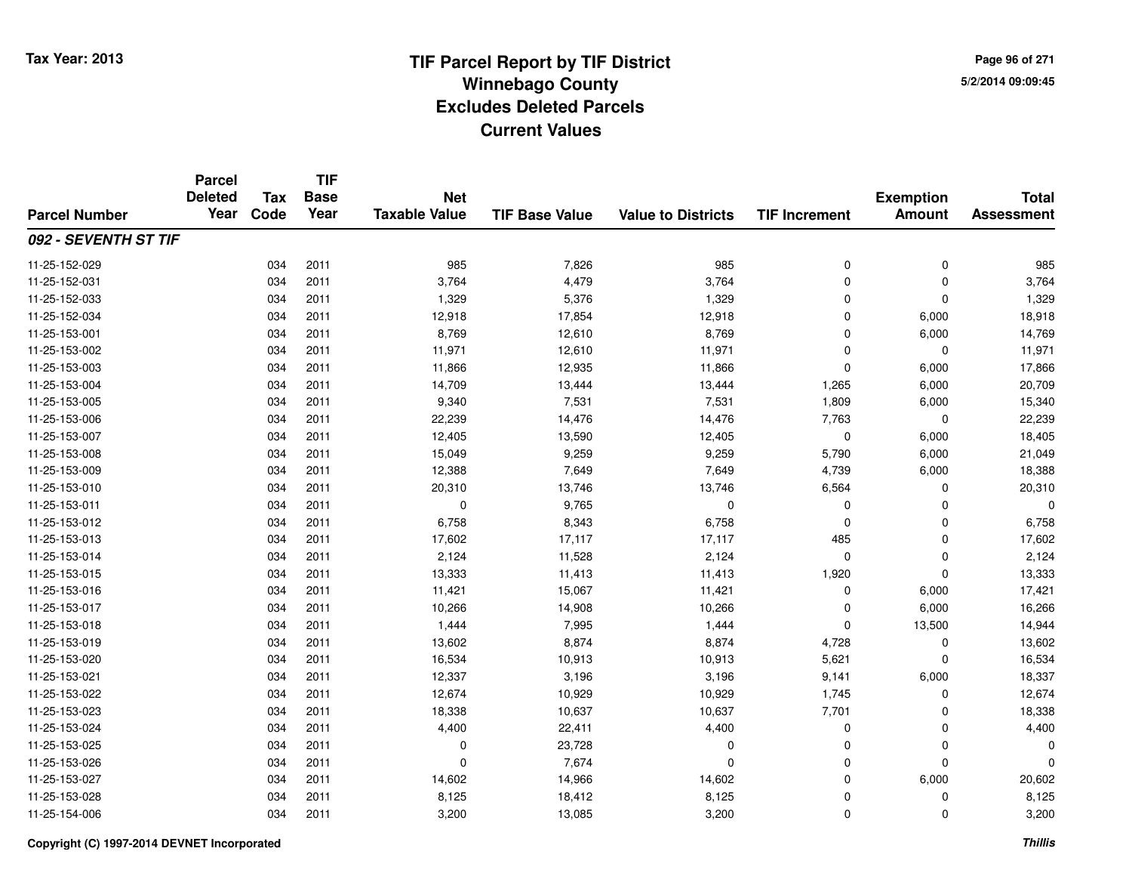**TIF**

**Parcel**

**Page 96 of 2715/2/2014 09:09:45**

| <b>Parcel Number</b> | <b>Deleted</b><br>Year | Tax<br>Code | <b>Base</b><br>Year | <b>Net</b><br><b>Taxable Value</b> | <b>TIF Base Value</b> | <b>Value to Districts</b> | <b>TIF Increment</b> | <b>Exemption</b><br><b>Amount</b> | <b>Total</b><br><b>Assessment</b> |
|----------------------|------------------------|-------------|---------------------|------------------------------------|-----------------------|---------------------------|----------------------|-----------------------------------|-----------------------------------|
| 092 - SEVENTH ST TIF |                        |             |                     |                                    |                       |                           |                      |                                   |                                   |
| 11-25-152-029        |                        | 034         | 2011                | 985                                | 7,826                 | 985                       | 0                    | $\pmb{0}$                         | 985                               |
| 11-25-152-031        |                        | 034         | 2011                | 3,764                              | 4,479                 | 3,764                     | 0                    | $\mathbf 0$                       | 3,764                             |
| 11-25-152-033        |                        | 034         | 2011                | 1,329                              | 5,376                 | 1,329                     | $\mathbf 0$          | $\mathbf 0$                       | 1,329                             |
| 11-25-152-034        |                        | 034         | 2011                | 12,918                             | 17,854                | 12,918                    | $\Omega$             | 6,000                             | 18,918                            |
| 11-25-153-001        |                        | 034         | 2011                | 8,769                              | 12,610                | 8,769                     | $\Omega$             | 6,000                             | 14,769                            |
| 11-25-153-002        |                        | 034         | 2011                | 11,971                             | 12,610                | 11,971                    | $\Omega$             | $\mathbf 0$                       | 11,971                            |
| 11-25-153-003        |                        | 034         | 2011                | 11,866                             | 12,935                | 11,866                    | $\Omega$             | 6,000                             | 17,866                            |
| 11-25-153-004        |                        | 034         | 2011                | 14,709                             | 13,444                | 13,444                    | 1,265                | 6,000                             | 20,709                            |
| 11-25-153-005        |                        | 034         | 2011                | 9,340                              | 7,531                 | 7,531                     | 1,809                | 6,000                             | 15,340                            |
| 11-25-153-006        |                        | 034         | 2011                | 22,239                             | 14,476                | 14,476                    | 7,763                | 0                                 | 22,239                            |
| 11-25-153-007        |                        | 034         | 2011                | 12,405                             | 13,590                | 12,405                    | 0                    | 6,000                             | 18,405                            |
| 11-25-153-008        |                        | 034         | 2011                | 15,049                             | 9,259                 | 9,259                     | 5,790                | 6,000                             | 21,049                            |
| 11-25-153-009        |                        | 034         | 2011                | 12,388                             | 7,649                 | 7,649                     | 4,739                | 6,000                             | 18,388                            |
| 11-25-153-010        |                        | 034         | 2011                | 20,310                             | 13,746                | 13,746                    | 6,564                | 0                                 | 20,310                            |
| 11-25-153-011        |                        | 034         | 2011                | 0                                  | 9,765                 | 0                         | 0                    | $\mathbf 0$                       |                                   |
| 11-25-153-012        |                        | 034         | 2011                | 6,758                              | 8,343                 | 6,758                     | 0                    | 0                                 | 6,758                             |
| 11-25-153-013        |                        | 034         | 2011                | 17,602                             | 17,117                | 17,117                    | 485                  | 0                                 | 17,602                            |
| 11-25-153-014        |                        | 034         | 2011                | 2,124                              | 11,528                | 2,124                     | $\mathbf 0$          | $\mathbf 0$                       | 2,124                             |
| 11-25-153-015        |                        | 034         | 2011                | 13,333                             | 11,413                | 11,413                    | 1,920                | $\Omega$                          | 13,333                            |
| 11-25-153-016        |                        | 034         | 2011                | 11,421                             | 15,067                | 11,421                    | $\Omega$             | 6,000                             | 17,421                            |
| 11-25-153-017        |                        | 034         | 2011                | 10,266                             | 14,908                | 10,266                    | $\Omega$             | 6,000                             | 16,266                            |
| 11-25-153-018        |                        | 034         | 2011                | 1,444                              | 7,995                 | 1,444                     | $\Omega$             | 13,500                            | 14,944                            |
| 11-25-153-019        |                        | 034         | 2011                | 13,602                             | 8,874                 | 8,874                     | 4,728                | 0                                 | 13,602                            |
| 11-25-153-020        |                        | 034         | 2011                | 16,534                             | 10,913                | 10,913                    | 5,621                | $\mathbf 0$                       | 16,534                            |
| 11-25-153-021        |                        | 034         | 2011                | 12,337                             | 3,196                 | 3,196                     | 9,141                | 6,000                             | 18,337                            |
| 11-25-153-022        |                        | 034         | 2011                | 12,674                             | 10,929                | 10,929                    | 1,745                | $\mathbf 0$                       | 12,674                            |
| 11-25-153-023        |                        | 034         | 2011                | 18,338                             | 10,637                | 10,637                    | 7,701                | $\Omega$                          | 18,338                            |
| 11-25-153-024        |                        | 034         | 2011                | 4,400                              | 22,411                | 4,400                     | 0                    | $\mathbf 0$                       | 4,400                             |
| 11-25-153-025        |                        | 034         | 2011                | $\mathbf 0$                        | 23,728                | 0                         | $\mathbf 0$          | $\mathbf 0$                       |                                   |
| 11-25-153-026        |                        | 034         | 2011                | $\Omega$                           | 7,674                 | $\mathbf 0$               | $\mathbf 0$          | $\mathbf 0$                       |                                   |
| 11-25-153-027        |                        | 034         | 2011                | 14,602                             | 14,966                | 14,602                    | $\mathbf 0$          | 6,000                             | 20,602                            |
| 11-25-153-028        |                        | 034         | 2011                | 8,125                              | 18,412                | 8,125                     | $\mathbf 0$          | $\mathbf 0$                       | 8,125                             |
| 11-25-154-006        |                        | 034         | 2011                | 3,200                              | 13,085                | 3,200                     | 0                    | 0                                 | 3,200                             |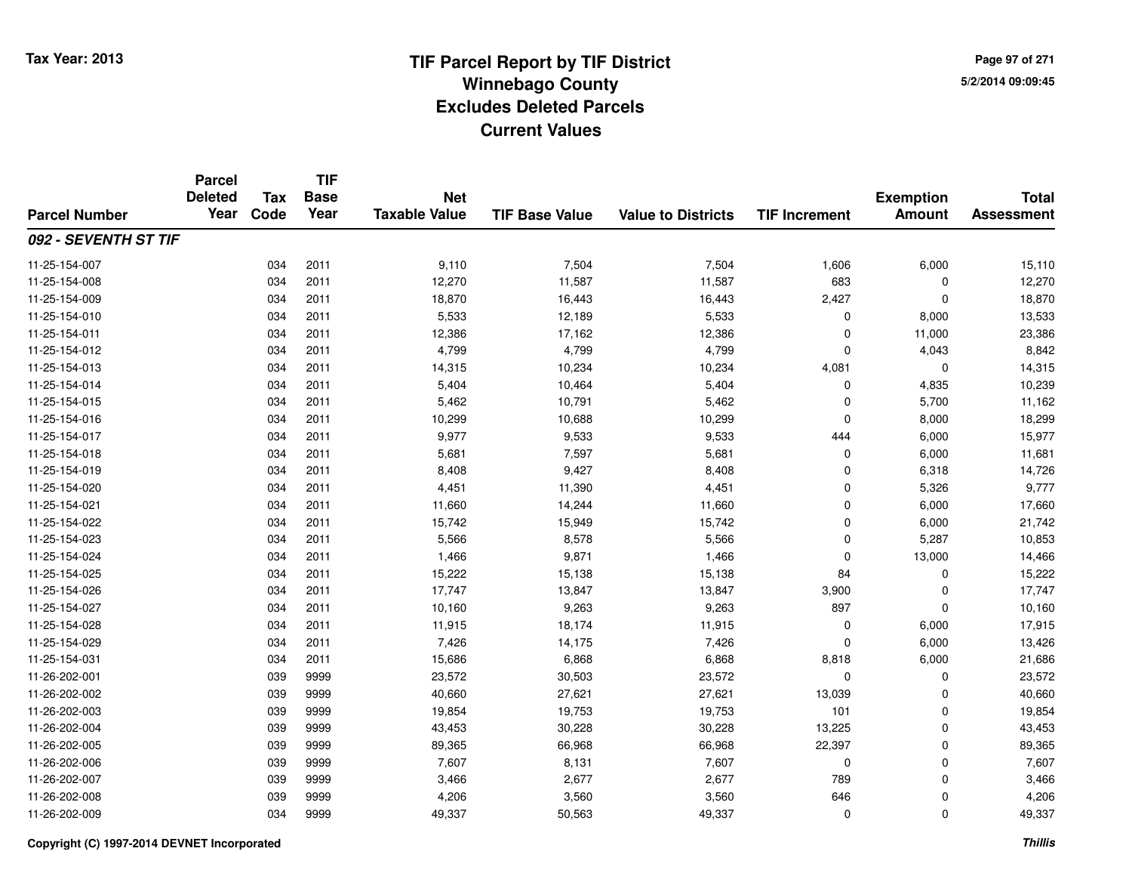**TIF**

**Parcel**

**Page 97 of 2715/2/2014 09:09:45**

| <b>Parcel Number</b> | <b>Deleted</b><br>Year | Tax<br>Code | <b>Base</b><br>Year | <b>Net</b><br><b>Taxable Value</b> | <b>TIF Base Value</b> | <b>Value to Districts</b> | <b>TIF Increment</b> | <b>Exemption</b><br><b>Amount</b> | <b>Total</b><br><b>Assessment</b> |
|----------------------|------------------------|-------------|---------------------|------------------------------------|-----------------------|---------------------------|----------------------|-----------------------------------|-----------------------------------|
| 092 - SEVENTH ST TIF |                        |             |                     |                                    |                       |                           |                      |                                   |                                   |
| 11-25-154-007        |                        | 034         | 2011                | 9,110                              | 7,504                 | 7,504                     | 1,606                | 6,000                             | 15,110                            |
| 11-25-154-008        |                        | 034         | 2011                | 12,270                             | 11,587                | 11,587                    | 683                  | 0                                 | 12,270                            |
| 11-25-154-009        |                        | 034         | 2011                | 18,870                             | 16,443                | 16,443                    | 2,427                | 0                                 | 18,870                            |
| 11-25-154-010        |                        | 034         | 2011                | 5,533                              | 12,189                | 5,533                     | 0                    | 8,000                             | 13,533                            |
| 11-25-154-011        |                        | 034         | 2011                | 12,386                             | 17,162                | 12,386                    | $\mathbf 0$          | 11,000                            | 23,386                            |
| 11-25-154-012        |                        | 034         | 2011                | 4,799                              | 4,799                 | 4,799                     | $\mathbf 0$          | 4,043                             | 8,842                             |
| 11-25-154-013        |                        | 034         | 2011                | 14,315                             | 10,234                | 10,234                    | 4,081                | $\mathbf 0$                       | 14,315                            |
| 11-25-154-014        |                        | 034         | 2011                | 5,404                              | 10,464                | 5,404                     | 0                    | 4,835                             | 10,239                            |
| 11-25-154-015        |                        | 034         | 2011                | 5,462                              | 10,791                | 5,462                     | 0                    | 5,700                             | 11,162                            |
| 11-25-154-016        |                        | 034         | 2011                | 10,299                             | 10,688                | 10,299                    | $\mathbf 0$          | 8,000                             | 18,299                            |
| 11-25-154-017        |                        | 034         | 2011                | 9,977                              | 9,533                 | 9,533                     | 444                  | 6,000                             | 15,977                            |
| 11-25-154-018        |                        | 034         | 2011                | 5,681                              | 7,597                 | 5,681                     | $\mathbf 0$          | 6,000                             | 11,681                            |
| 11-25-154-019        |                        | 034         | 2011                | 8,408                              | 9,427                 | 8,408                     | $\mathbf 0$          | 6,318                             | 14,726                            |
| 11-25-154-020        |                        | 034         | 2011                | 4,451                              | 11,390                | 4,451                     | $\mathbf 0$          | 5,326                             | 9,777                             |
| 11-25-154-021        |                        | 034         | 2011                | 11,660                             | 14,244                | 11,660                    | $\mathbf 0$          | 6,000                             | 17,660                            |
| 11-25-154-022        |                        | 034         | 2011                | 15,742                             | 15,949                | 15,742                    | $\mathbf 0$          | 6,000                             | 21,742                            |
| 11-25-154-023        |                        | 034         | 2011                | 5,566                              | 8,578                 | 5,566                     | 0                    | 5,287                             | 10,853                            |
| 11-25-154-024        |                        | 034         | 2011                | 1,466                              | 9,871                 | 1,466                     | 0                    | 13,000                            | 14,466                            |
| 11-25-154-025        |                        | 034         | 2011                | 15,222                             | 15,138                | 15,138                    | 84                   | $\mathbf 0$                       | 15,222                            |
| 11-25-154-026        |                        | 034         | 2011                | 17,747                             | 13,847                | 13,847                    | 3,900                | $\mathbf 0$                       | 17,747                            |
| 11-25-154-027        |                        | 034         | 2011                | 10,160                             | 9,263                 | 9,263                     | 897                  | $\mathbf 0$                       | 10,160                            |
| 11-25-154-028        |                        | 034         | 2011                | 11,915                             | 18,174                | 11,915                    | 0                    | 6,000                             | 17,915                            |
| 11-25-154-029        |                        | 034         | 2011                | 7,426                              | 14,175                | 7,426                     | 0                    | 6,000                             | 13,426                            |
| 11-25-154-031        |                        | 034         | 2011                | 15,686                             | 6,868                 | 6,868                     | 8,818                | 6,000                             | 21,686                            |
| 11-26-202-001        |                        | 039         | 9999                | 23,572                             | 30,503                | 23,572                    | 0                    | 0                                 | 23,572                            |
| 11-26-202-002        |                        | 039         | 9999                | 40,660                             | 27,621                | 27,621                    | 13,039               | $\Omega$                          | 40,660                            |
| 11-26-202-003        |                        | 039         | 9999                | 19,854                             | 19,753                | 19,753                    | 101                  | $\Omega$                          | 19,854                            |
| 11-26-202-004        |                        | 039         | 9999                | 43,453                             | 30,228                | 30,228                    | 13,225               | $\mathbf 0$                       | 43,453                            |
| 11-26-202-005        |                        | 039         | 9999                | 89,365                             | 66,968                | 66,968                    | 22,397               | $\mathbf 0$                       | 89,365                            |
| 11-26-202-006        |                        | 039         | 9999                | 7,607                              | 8,131                 | 7,607                     | $\mathbf 0$          | $\mathbf 0$                       | 7,607                             |
| 11-26-202-007        |                        | 039         | 9999                | 3,466                              | 2,677                 | 2,677                     | 789                  | $\mathbf 0$                       | 3,466                             |
| 11-26-202-008        |                        | 039         | 9999                | 4,206                              | 3,560                 | 3,560                     | 646                  | $\mathbf 0$                       | 4,206                             |
| 11-26-202-009        |                        | 034         | 9999                | 49,337                             | 50,563                | 49,337                    | $\mathbf 0$          | $\mathbf 0$                       | 49,337                            |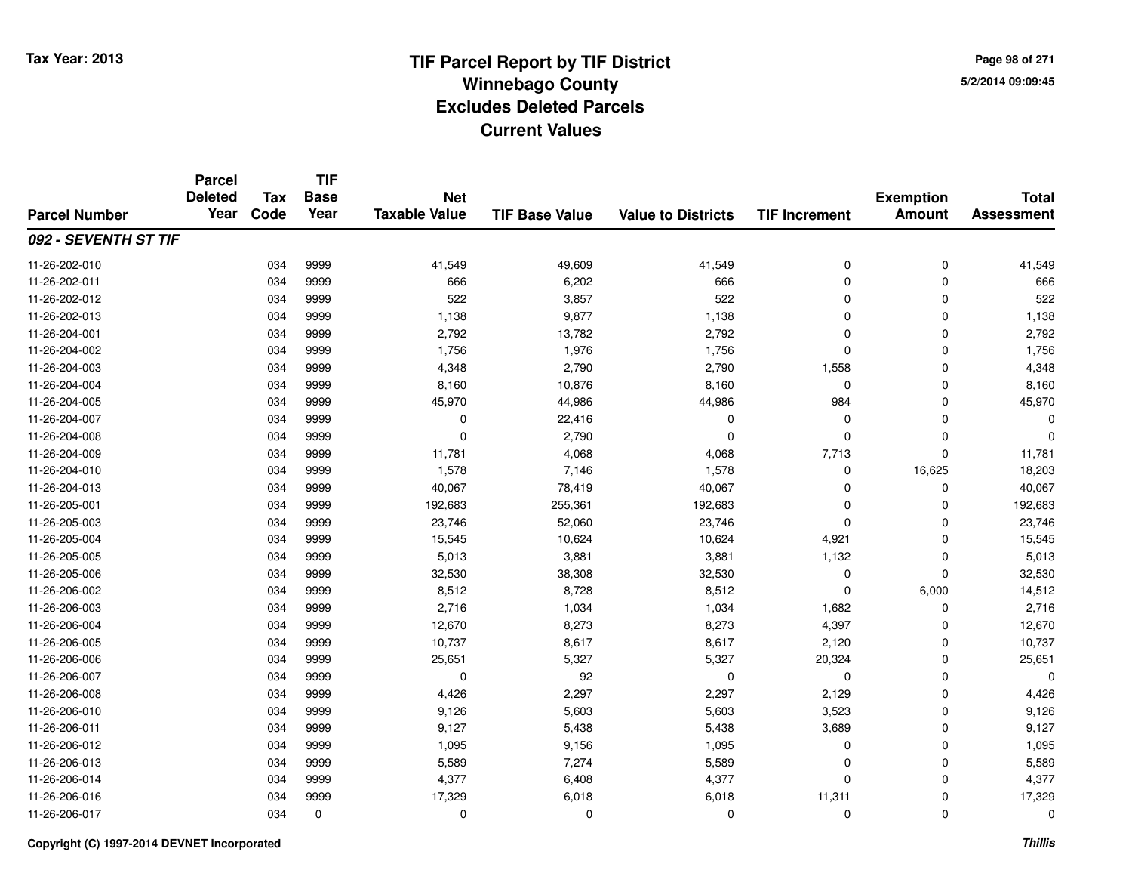**TIF**

**Parcel**

**Page 98 of 2715/2/2014 09:09:45**

#### **TIF Base ValueParcel NumberTotal AssessmentExemption Amount Value to Districts TIF Increment Base YearTax Code Deleted YearNet Taxable Value092 - SEVENTH ST TIF**11-26-202-0100 034 9999 41,549 49,609 41,549 0 0 41,549 11-26-202-0111 034 9999 666 6,202 666 0 0 666 11-26-202-012 <sup>034</sup> <sup>522</sup> <sup>9999</sup> 3,857 <sup>522</sup> <sup>0</sup> <sup>0</sup> <sup>522</sup> 11-26-202-0133 034 9999 1,138 9,877 1,138 0 0 1,138 11-26-204-0011 034 9999 2,792 13,782 2,792 0 0 2,792 11-26-204-0022 034 9999 1,756 1,776 0 1,756 11-26-204-0033 034 9999 4,348 2,790 2,790 1,558 0 4,348 11-26-204-004 <sup>034</sup> 8,160 <sup>9999</sup> 10,876 8,160 <sup>0</sup> <sup>0</sup> 8,160 11-26-204-005 <sup>034</sup> 45,970 <sup>9999</sup> 44,986 44,986 <sup>984</sup> <sup>0</sup> 45,970 11-26-204-007 <sup>034</sup> <sup>0</sup> <sup>9999</sup> 22,416 <sup>0</sup> <sup>0</sup> <sup>0</sup> <sup>0</sup> 11-26-204-008 <sup>034</sup> <sup>0</sup> <sup>9999</sup> 2,790 <sup>0</sup> <sup>0</sup> <sup>0</sup> <sup>0</sup> 11-26-204-009 <sup>034</sup> 11,781 <sup>9999</sup> 4,068 4,068 7,713 <sup>0</sup> 11,781 11-26-204-0100 034 9999 1,578 7,146 1,578 0 16,625 18,203 11-26-204-0133 034 9999 40,067 78,419 40,067 0 0 40,067 11-26-205-0011 034 9999 192,683 255,361 192,683 0 192,683 11-26-205-0033 034 9999 23,746 52,060 23,746 0 0 23,746 11-26-205-0044 034 9999 15,545 10,624 10,624 4,921 0 15,545 11-26-205-005 <sup>034</sup> 5,013 <sup>9999</sup> 3,881 3,881 1,132 <sup>0</sup> 5,013 11-26-205-006 <sup>034</sup> 32,530 <sup>9999</sup> 38,308 32,530 <sup>0</sup> <sup>0</sup> 32,530 11-26-206-002 <sup>034</sup> 8,512 <sup>9999</sup> 8,728 8,512 <sup>0</sup> 6,000 14,512 11-26-206-0033 034 9999 2,716 1,034 1,034 1,682 0 2,716 11-26-206-004 <sup>034</sup> 12,670 <sup>9999</sup> 8,273 8,273 4,397 <sup>0</sup> 12,670 11-26-206-005 <sup>034</sup> 10,737 <sup>9999</sup> 8,617 8,617 2,120 <sup>0</sup> 10,737 11-26-206-006 <sup>034</sup> 25,651 <sup>9999</sup> 5,327 5,327 20,324 <sup>0</sup> 25,651 11-26-206-007 <sup>034</sup> <sup>0</sup> <sup>9999</sup> <sup>92</sup> <sup>0</sup> <sup>0</sup> <sup>0</sup> <sup>0</sup> 11-26-206-008 <sup>034</sup> 4,426 <sup>9999</sup> 2,297 2,297 2,129 <sup>0</sup> 4,426 11-26-206-0100 034 9999 9,126 5,603 5,603 3,523 0 9,126 11-26-206-011 <sup>034</sup> 9,127 <sup>9999</sup> 5,438 5,438 3,689 <sup>0</sup> 9,127 11-26-206-012 <sup>034</sup> 1,095 <sup>9999</sup> 9,156 1,095 <sup>0</sup> <sup>0</sup> 1,095 11-26-206-013 <sup>034</sup> 5,589 <sup>9999</sup> 7,274 5,589 <sup>0</sup> <sup>0</sup> 5,589 11-26-206-014 <sup>034</sup> 4,377 <sup>9999</sup> 6,408 4,377 <sup>0</sup> <sup>0</sup> 4,377 11-26-206-0166 034 9999 17,329 6,018 6,018 11,311 0 17,329 11-26-206-017<sup>034</sup> <sup>0</sup> <sup>0</sup> <sup>0</sup> <sup>0</sup> <sup>0</sup> <sup>0</sup> <sup>0</sup>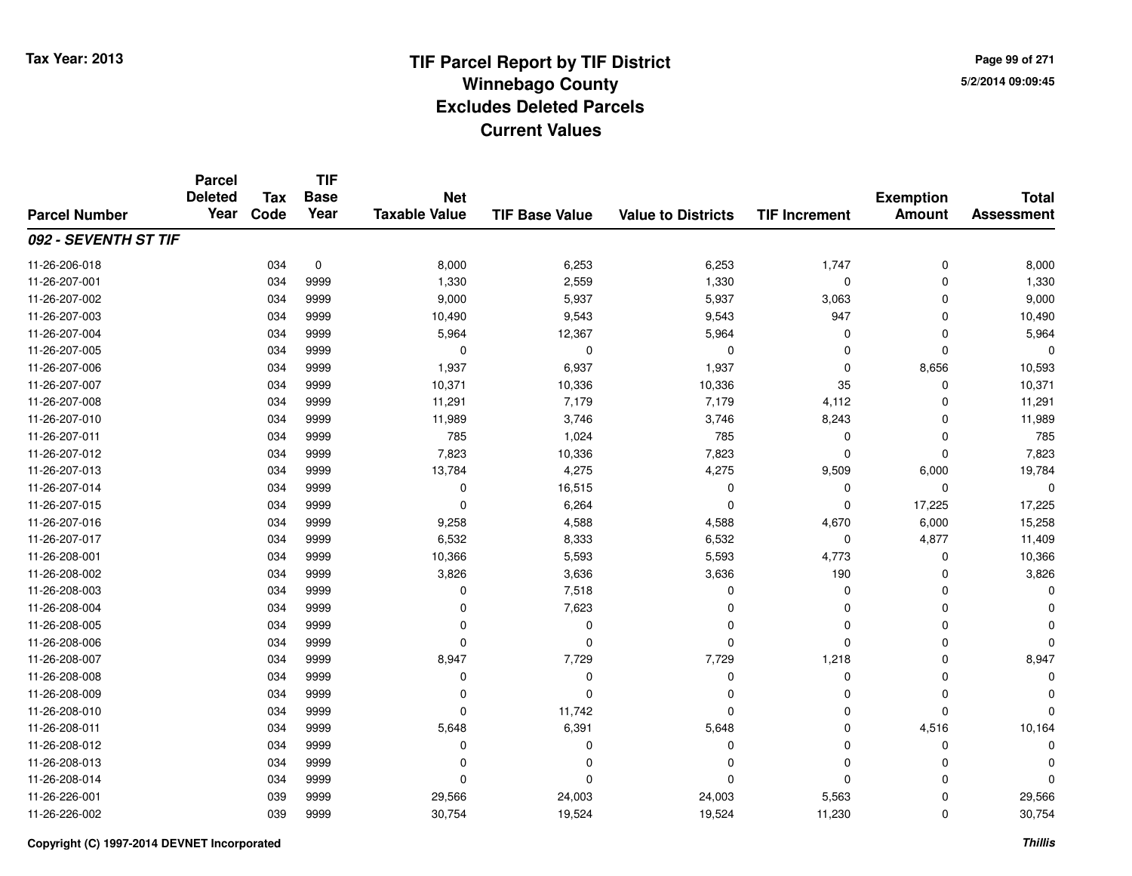**Page 99 of 2715/2/2014 09:09:45**

#### **TIF Base ValueParcel NumberTotal AssessmentExemption Amount Value to Districts TIF IncrementTIF Base YearTax CodeParcel Deleted YearNet Taxable Value092 - SEVENTH ST TIF**11-26-206-0188 034 0 8,000 6,253 6,253 1,747 0 8,000 11-26-207-0011 034 9999 1,330 2,559 1,330 0 0 1,330 11-26-207-002 <sup>034</sup> 9,000 <sup>9999</sup> 5,937 5,937 3,063 <sup>0</sup> 9,000 11-26-207-003 <sup>034</sup> 10,490 <sup>9999</sup> 9,543 9,543 <sup>947</sup> <sup>0</sup> 10,490 11-26-207-004 <sup>034</sup> 5,964 <sup>9999</sup> 12,367 5,964 <sup>0</sup> <sup>0</sup> 5,964 11-26-207-005 <sup>034</sup> <sup>0</sup> <sup>9999</sup> <sup>0</sup> <sup>0</sup> <sup>0</sup> <sup>0</sup> <sup>0</sup> 11-26-207-0066 034 9999 1,937 6,937 1,937 0 8,656 10,593 11-26-207-007 <sup>034</sup> 10,371 <sup>9999</sup> 10,336 10,336 <sup>35</sup> <sup>0</sup> 10,371 11-26-207-008 <sup>034</sup> 11,291 <sup>9999</sup> 7,179 7,179 4,112 <sup>0</sup> 11,291 11-26-207-010 <sup>034</sup> 11,989 <sup>9999</sup> 3,746 3,746 8,243 <sup>0</sup> 11,989 11-26-207-0111 034 9999 785 1,024 785 0 0 785 11-26-207-0122 034 9999 7,823 10,336 7,823 0 7,823 11-26-207-013 <sup>034</sup> 13,784 <sup>9999</sup> 4,275 4,275 9,509 6,000 19,784 11-26-207-014 $4$  034 9999 0 0 16,515 0 0 0 0 0 0 0 11-26-207-0155 034 9999 0 6,264 0 0 17,225 17,225 11-26-207-016 <sup>034</sup> 9,258 <sup>9999</sup> 4,588 4,588 4,670 6,000 15,258 11-26-207-017 <sup>034</sup> 6,532 <sup>9999</sup> 8,333 6,532 <sup>0</sup> 4,877 11,409 11-26-208-001 <sup>034</sup> 10,366 <sup>9999</sup> 5,593 5,593 4,773 <sup>0</sup> 10,366 11-26-208-0022 034 9999 3,826 3,636 3,636 190 0 3,826 11-26-208-0033 034 9999 0 7,518 0 0 0 0 11-26-208-004 <sup>034</sup> <sup>0</sup> <sup>9999</sup> 7,623 <sup>0</sup> <sup>0</sup> <sup>0</sup> <sup>0</sup> 11-26-208-005 <sup>034</sup> <sup>0</sup> <sup>9999</sup> <sup>0</sup> <sup>0</sup> <sup>0</sup> <sup>0</sup> <sup>0</sup> 11-26-208-006 <sup>034</sup> <sup>0</sup> <sup>9999</sup> <sup>0</sup> <sup>0</sup> <sup>0</sup> <sup>0</sup> <sup>0</sup> 11-26-208-007 <sup>034</sup> 8,947 <sup>9999</sup> 7,729 7,729 1,218 <sup>0</sup> 8,947 11-26-208-008 <sup>034</sup> <sup>0</sup> <sup>9999</sup> <sup>0</sup> <sup>0</sup> <sup>0</sup> <sup>0</sup> <sup>0</sup> 11-26-208-009 <sup>034</sup> <sup>0</sup> <sup>9999</sup> <sup>0</sup> <sup>0</sup> <sup>0</sup> <sup>0</sup> <sup>0</sup> 11-26-208-010 <sup>034</sup> <sup>0</sup> <sup>9999</sup> 11,742 <sup>0</sup> <sup>0</sup> <sup>0</sup> <sup>0</sup> 11-26-208-0111 034 9999 5,648 6,391 5,648 0 4,516 10,164 11-26-208-012 <sup>034</sup> <sup>0</sup> <sup>9999</sup> <sup>0</sup> <sup>0</sup> <sup>0</sup> <sup>0</sup> <sup>0</sup> 11-26-208-013 <sup>034</sup> <sup>0</sup> <sup>9999</sup> <sup>0</sup> <sup>0</sup> <sup>0</sup> <sup>0</sup> <sup>0</sup> 11-26-208-014 <sup>034</sup> <sup>0</sup> <sup>9999</sup> <sup>0</sup> <sup>0</sup> <sup>0</sup> <sup>0</sup> <sup>0</sup> 11-26-226-001 <sup>039</sup> 29,566 <sup>9999</sup> 24,003 24,003 5,563 <sup>0</sup> 29,566 11-26-226-002<sup>039</sup> 30,754 <sup>9999</sup> 19,524 19,524 11,230 <sup>0</sup> 30,754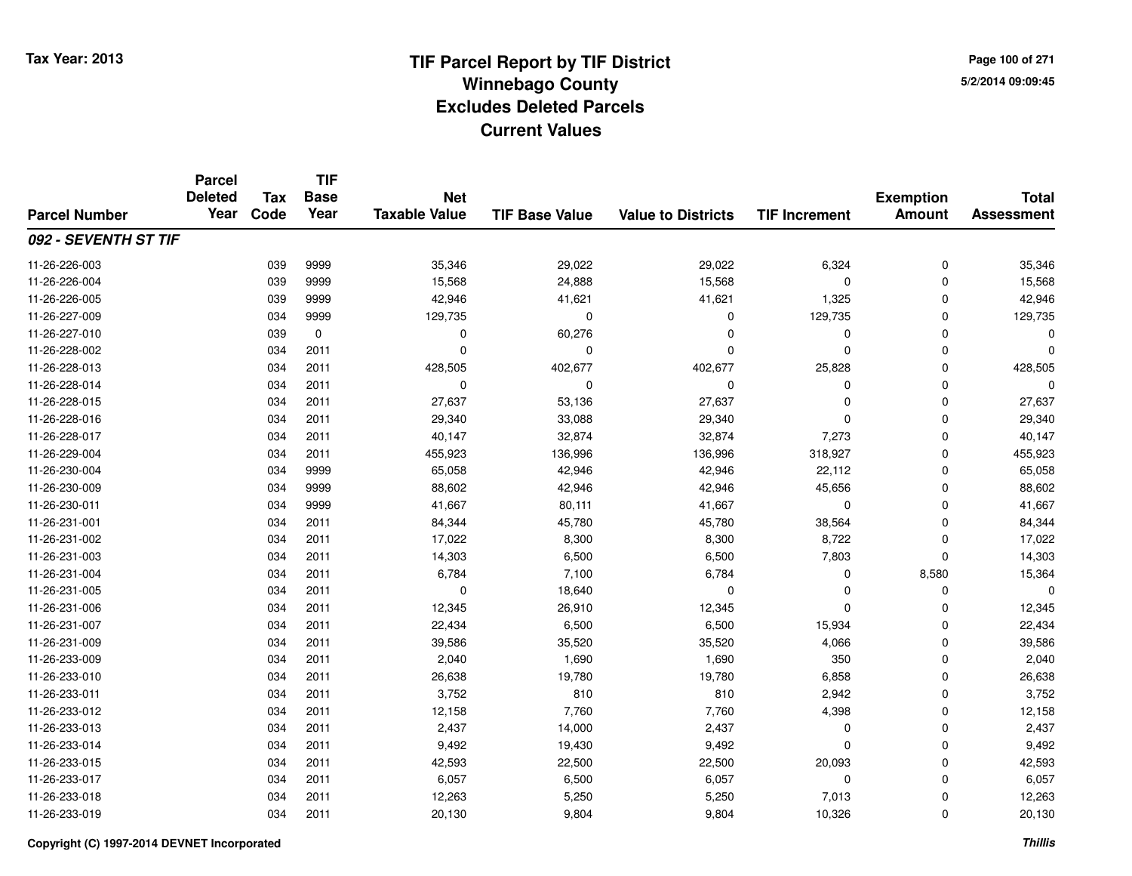**Page 100 of 2715/2/2014 09:09:45**

#### **TIF Base ValueParcel NumberTotal AssessmentExemption Amount Value to Districts TIF IncrementTIF Base YearTax CodeParcel Deleted YearNet Taxable Value092 - SEVENTH ST TIF**11-26-226-0033 039 9999 35,346 29,022 29,022 6,324 0 35,346 11-26-226-004 <sup>039</sup> 15,568 <sup>9999</sup> 24,888 15,568 <sup>0</sup> <sup>0</sup> 15,568 11-26-226-005 <sup>039</sup> 42,946 <sup>9999</sup> 41,621 41,621 1,325 <sup>0</sup> 42,946 11-26-227-0099 034 9999 129,735 0 0 129,735 0 129,735 11-26-227-010 <sup>039</sup> <sup>0</sup> <sup>0</sup> 60,276 <sup>0</sup> <sup>0</sup> <sup>0</sup> <sup>0</sup> 11-26-228-002 <sup>034</sup> <sup>0</sup> <sup>2011</sup> <sup>0</sup> <sup>0</sup> <sup>0</sup> <sup>0</sup> <sup>0</sup> 11-26-228-0133 034 2011 428,505 402,677 402,677 25,828 0 428,505 11-26-228-014 <sup>034</sup> <sup>0</sup> <sup>2011</sup> <sup>0</sup> <sup>0</sup> <sup>0</sup> <sup>0</sup> <sup>0</sup> 11-26-228-015 <sup>034</sup> 27,637 <sup>2011</sup> 53,136 27,637 <sup>0</sup> <sup>0</sup> 27,637 11-26-228-016 <sup>034</sup> 29,340 <sup>2011</sup> 33,088 29,340 <sup>0</sup> <sup>0</sup> 29,340 11-26-228-017 <sup>034</sup> 40,147 <sup>2011</sup> 32,874 32,874 7,273 <sup>0</sup> 40,147 11-26-229-004 <sup>034</sup> 455,923 <sup>2011</sup> 136,996 136,996 318,927 <sup>0</sup> 455,923 11-26-230-004 <sup>034</sup> 65,058 <sup>9999</sup> 42,946 42,946 22,112 <sup>0</sup> 65,058 11-26-230-009 <sup>034</sup> 88,602 <sup>9999</sup> 42,946 42,946 45,656 <sup>0</sup> 88,602 11-26-230-0111 034 9999 41,667 80,111 41,667 0 0 41,667 11-26-231-0011 034 2011 84,344 45,780 45,780 38,564 0 84,344 11-26-231-002 <sup>034</sup> 17,022 <sup>2011</sup> 8,300 8,300 8,722 <sup>0</sup> 17,022 11-26-231-0033 034 2011 14,303 6,500 6,500 7,803 0 14,303 11-26-231-004 <sup>034</sup> 6,784 <sup>2011</sup> 7,100 6,784 <sup>0</sup> 8,580 15,364 11-26-231-005 <sup>034</sup> <sup>0</sup> <sup>2011</sup> 18,640 <sup>0</sup> <sup>0</sup> <sup>0</sup> <sup>0</sup> 11-26-231-0066 034 2011 12,345 26,910 12,345 0 0 12,345 11-26-231-007 <sup>034</sup> 22,434 <sup>2011</sup> 6,500 6,500 15,934 <sup>0</sup> 22,434 11-26-231-009 <sup>034</sup> 39,586 <sup>2011</sup> 35,520 35,520 4,066 <sup>0</sup> 39,586 11-26-233-0099 034 2011 2,040 1,690 1,690 350 0 2,040 11-26-233-0100 034 2011 26,638 19,780 19,780 6,858 0 26,638 11-26-233-011 <sup>034</sup> 3,752 <sup>2011</sup> <sup>810</sup> <sup>810</sup> 2,942 <sup>0</sup> 3,752 11-26-233-012 <sup>034</sup> 12,158 <sup>2011</sup> 7,760 7,760 4,398 <sup>0</sup> 12,158 11-26-233-0133 29 2011 2,437 2010 2,437 2012 3,437 2,437 2,437 2,437 2,437 2,437 0 2,437 0 2,437 2,437 0 2,437 2,437 2,437 2,437 2,437 2,437 2,437 2,437 2,437 2,437 2,437 2,437 2,437 2,437 2,437 2,437 2,437 2,437 2,437 2,437 2,437 2,4 11-26-233-014 <sup>034</sup> 9,492 <sup>2011</sup> 19,430 9,492 <sup>0</sup> <sup>0</sup> 9,492 11-26-233-015 <sup>034</sup> 42,593 <sup>2011</sup> 22,500 22,500 20,093 <sup>0</sup> 42,593 11-26-233-017 <sup>034</sup> 6,057 <sup>2011</sup> 6,500 6,057 <sup>0</sup> <sup>0</sup> 6,057 11-26-233-018 <sup>034</sup> 12,263 <sup>2011</sup> 5,250 5,250 7,013 <sup>0</sup> 12,263 11-26-233-019<sup>034</sup> 20,130 <sup>2011</sup> 9,804 9,804 10,326 <sup>0</sup> 20,130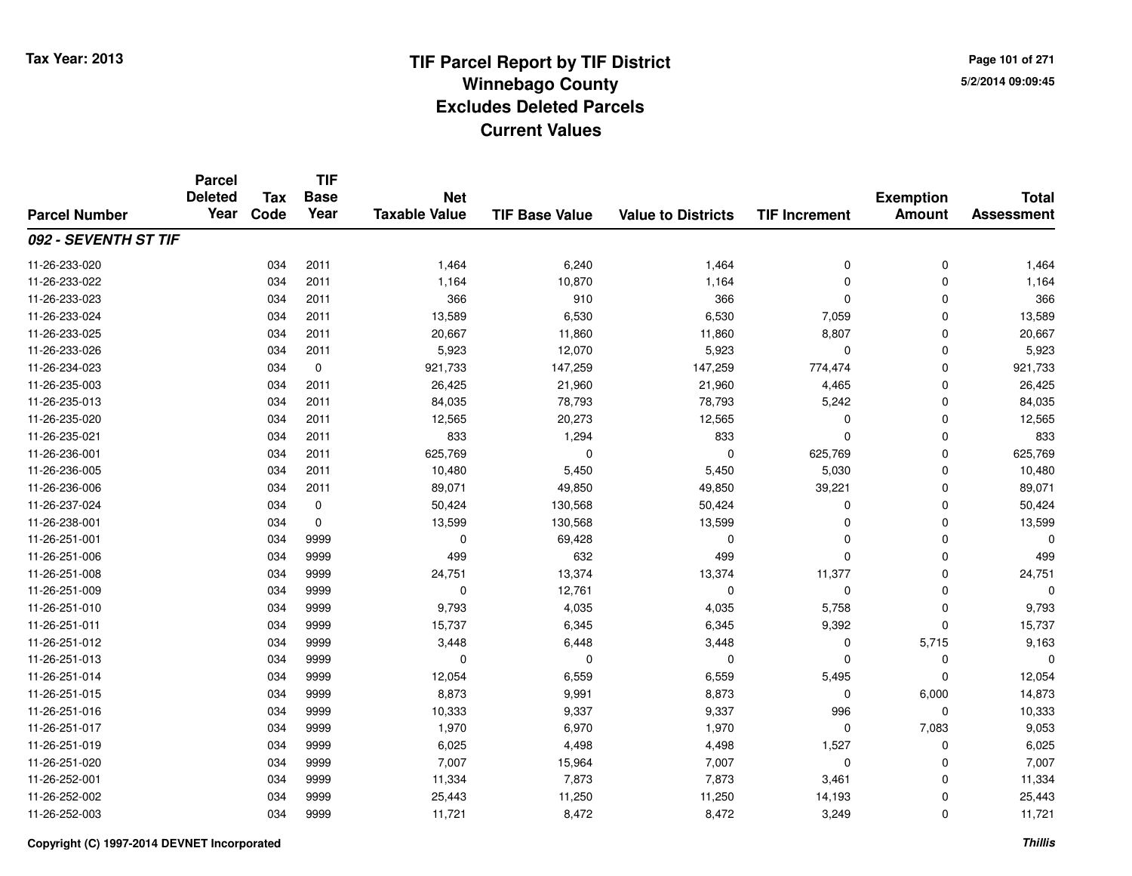**TIF**

**Parcel**

**Page 101 of 2715/2/2014 09:09:45**

#### **TIF Base ValueParcel NumberTotal AssessmentExemption Amount Value to Districts TIF Increment Base YearTax Code Deleted YearNet Taxable Value092 - SEVENTH ST TIF**11-26-233-0200 034 2011 1,464 6,240 1,464 0 0 1,464 11-26-233-0222 1,164 2011 1,164 10,870 1,164 1,164 0 0 0 1,164 11-26-233-0233 034 2011 366 910 366 0 0 366 11-26-233-024 <sup>034</sup> 13,589 <sup>2011</sup> 6,530 6,530 7,059 <sup>0</sup> 13,589 11-26-233-025 <sup>034</sup> 20,667 <sup>2011</sup> 11,860 11,860 8,807 <sup>0</sup> 20,667 11-26-233-026 <sup>034</sup> 5,923 <sup>2011</sup> 12,070 5,923 <sup>0</sup> <sup>0</sup> 5,923 11-26-234-023 <sup>034</sup> 921,733 <sup>0</sup> 147,259 147,259 774,474 <sup>0</sup> 921,733 11-26-235-0033 034 2011 26,425 21,960 21,960 4,465 0 26,425 11-26-235-013 <sup>034</sup> 84,035 <sup>2011</sup> 78,793 78,793 5,242 <sup>0</sup> 84,035 11-26-235-0200 034 2011 12,565 20,273 12,565 0 0 12,565 11-26-235-0211 034 2011 833 1,294 833 0 0 833 11-26-236-0011 034 2011 625,769 0 625,769 0 625,769 11-26-236-005 <sup>034</sup> 10,480 <sup>2011</sup> 5,450 5,450 5,030 <sup>0</sup> 10,480 11-26-236-006 <sup>034</sup> 89,071 <sup>2011</sup> 49,850 49,850 39,221 <sup>0</sup> 89,071 11-26-237-0244 50,424 50,424 50,424 50,424 50,568 50,424 50,424 0 0 50,424 11-26-238-0011 034 0 13,599 130,568 13,599 0 0 13,599 11-26-251-0011 034 9999 0 69,428 0 0 0 0 11-26-251-0066 034 9999 499 632 499 0 0 499 11-26-251-008 <sup>034</sup> 24,751 <sup>9999</sup> 13,374 13,374 11,377 <sup>0</sup> 24,751 11-26-251-0099 034 9999 0 12,761 0 0 0 0 11-26-251-010 <sup>034</sup> 9,793 <sup>9999</sup> 4,035 4,035 5,758 <sup>0</sup> 9,793 11-26-251-011 <sup>034</sup> 15,737 <sup>9999</sup> 6,345 6,345 9,392 <sup>0</sup> 15,737 11-26-251-0122 034 9999 3,448 6,448 3,448 0 5,715 9,163 11-26-251-013 <sup>034</sup> <sup>0</sup> <sup>9999</sup> <sup>0</sup> <sup>0</sup> <sup>0</sup> <sup>0</sup> <sup>0</sup> 11-26-251-014 <sup>034</sup> 12,054 <sup>9999</sup> 6,559 6,559 5,495 <sup>0</sup> 12,054 11-26-251-015 <sup>034</sup> 8,873 <sup>9999</sup> 9,991 8,873 <sup>0</sup> 6,000 14,873 11-26-251-0166 034 9999 10,333 9,337 9,337 996 0 10,333 11-26-251-017 <sup>034</sup> 1,970 <sup>9999</sup> 6,970 1,970 <sup>0</sup> 7,083 9,053 11-26-251-019 <sup>034</sup> 6,025 <sup>9999</sup> 4,498 4,498 1,527 <sup>0</sup> 6,025 11-26-251-020 <sup>034</sup> 7,007 <sup>9999</sup> 15,964 7,007 <sup>0</sup> <sup>0</sup> 7,007 11-26-252-0011 034 9999 11,334 7,873 7,873 3,461 0 11,334 11-26-252-0022 034 9999 25,443 11,250 11,250 14,193 0 25,443 11-26-252-0033 034 9999 11,721 8,472 8,472 3,249 0 11,721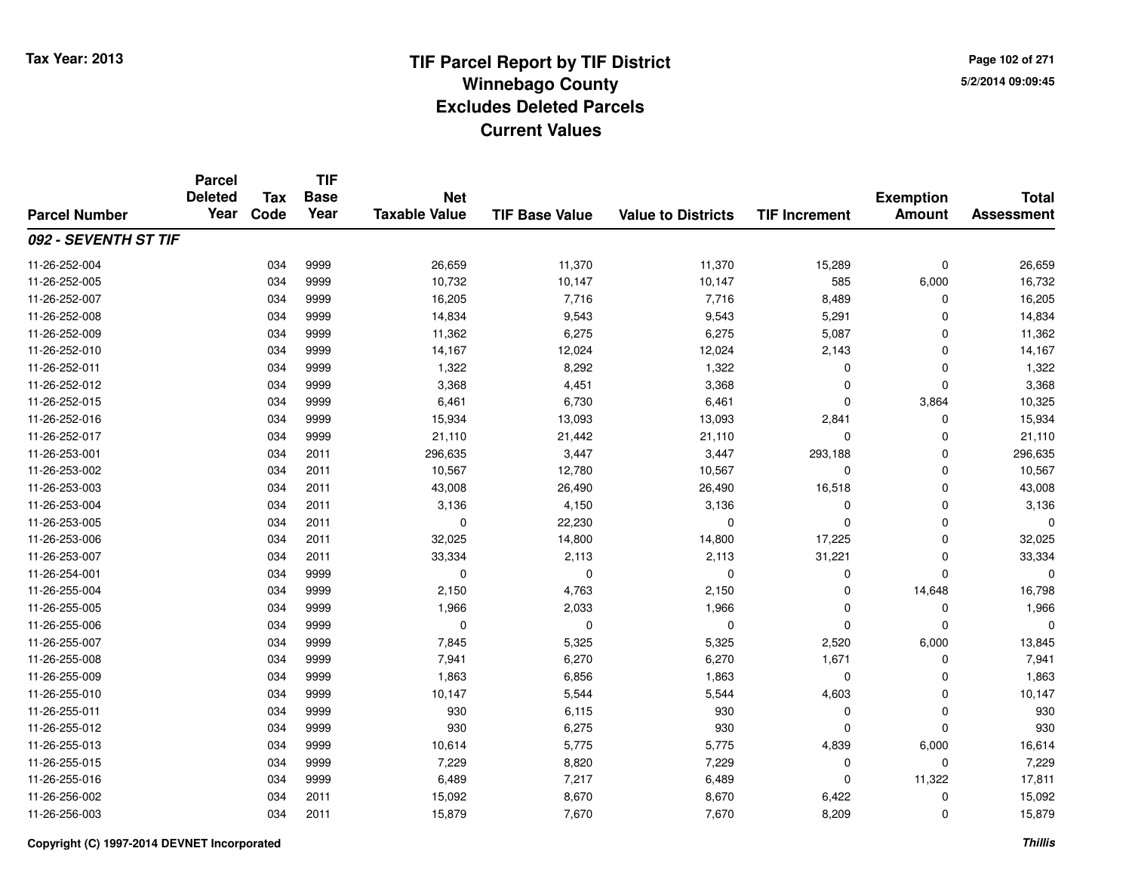**Page 102 of 2715/2/2014 09:09:45**

|                      | <b>Parcel</b><br><b>Deleted</b><br>Year | <b>Tax</b><br>Code | <b>TIF</b><br><b>Base</b><br>Year | <b>Net</b><br><b>Taxable Value</b> | <b>TIF Base Value</b> | <b>Value to Districts</b> | <b>TIF Increment</b> | <b>Exemption</b><br><b>Amount</b> | <b>Total</b><br><b>Assessment</b> |
|----------------------|-----------------------------------------|--------------------|-----------------------------------|------------------------------------|-----------------------|---------------------------|----------------------|-----------------------------------|-----------------------------------|
| <b>Parcel Number</b> |                                         |                    |                                   |                                    |                       |                           |                      |                                   |                                   |
| 092 - SEVENTH ST TIF |                                         |                    |                                   |                                    |                       |                           |                      |                                   |                                   |
| 11-26-252-004        |                                         | 034                | 9999                              | 26,659                             | 11,370                | 11,370                    | 15,289               | $\mathbf 0$                       | 26,659                            |
| 11-26-252-005        |                                         | 034                | 9999                              | 10,732                             | 10,147                | 10,147                    | 585                  | 6,000                             | 16,732                            |
| 11-26-252-007        |                                         | 034                | 9999                              | 16,205                             | 7,716                 | 7,716                     | 8,489                | 0                                 | 16,205                            |
| 11-26-252-008        |                                         | 034                | 9999                              | 14,834                             | 9,543                 | 9,543                     | 5,291                | $\Omega$                          | 14,834                            |
| 11-26-252-009        |                                         | 034                | 9999                              | 11,362                             | 6,275                 | 6,275                     | 5,087                | $\mathbf 0$                       | 11,362                            |
| 11-26-252-010        |                                         | 034                | 9999                              | 14,167                             | 12,024                | 12,024                    | 2,143                | $\mathbf 0$                       | 14,167                            |
| 11-26-252-011        |                                         | 034                | 9999                              | 1,322                              | 8,292                 | 1,322                     | $\Omega$             | $\mathbf 0$                       | 1,322                             |
| 11-26-252-012        |                                         | 034                | 9999                              | 3,368                              | 4,451                 | 3,368                     | $\Omega$             | $\Omega$                          | 3,368                             |
| 11-26-252-015        |                                         | 034                | 9999                              | 6,461                              | 6,730                 | 6,461                     | $\mathbf 0$          | 3,864                             | 10,325                            |
| 11-26-252-016        |                                         | 034                | 9999                              | 15,934                             | 13,093                | 13,093                    | 2,841                | $\Omega$                          | 15,934                            |
| 11-26-252-017        |                                         | 034                | 9999                              | 21,110                             | 21,442                | 21,110                    | $\Omega$             | $\Omega$                          | 21,110                            |
| 11-26-253-001        |                                         | 034                | 2011                              | 296,635                            | 3,447                 | 3,447                     | 293,188              | 0                                 | 296,635                           |
| 11-26-253-002        |                                         | 034                | 2011                              | 10,567                             | 12,780                | 10,567                    | $\mathbf 0$          | $\mathbf 0$                       | 10,567                            |
| 11-26-253-003        |                                         | 034                | 2011                              | 43,008                             | 26,490                | 26,490                    | 16,518               | $\mathbf 0$                       | 43,008                            |
| 11-26-253-004        |                                         | 034                | 2011                              | 3,136                              | 4,150                 | 3,136                     | $\mathbf 0$          | $\mathbf 0$                       | 3,136                             |
| 11-26-253-005        |                                         | 034                | 2011                              | 0                                  | 22,230                | $\mathbf 0$               | $\Omega$             | $\mathbf 0$                       |                                   |
| 11-26-253-006        |                                         | 034                | 2011                              | 32,025                             | 14,800                | 14,800                    | 17,225               | $\mathbf 0$                       | 32,025                            |
| 11-26-253-007        |                                         | 034                | 2011                              | 33,334                             | 2,113                 | 2,113                     | 31,221               | $\mathbf 0$                       | 33,334                            |
| 11-26-254-001        |                                         | 034                | 9999                              | $\mathbf 0$                        | 0                     | $\mathbf 0$               | $\mathbf 0$          | 0                                 | ∩                                 |
| 11-26-255-004        |                                         | 034                | 9999                              | 2,150                              | 4,763                 | 2,150                     | $\mathbf 0$          | 14,648                            | 16,798                            |
| 11-26-255-005        |                                         | 034                | 9999                              | 1,966                              | 2,033                 | 1,966                     | $\Omega$             | $\mathbf 0$                       | 1,966                             |
| 11-26-255-006        |                                         | 034                | 9999                              | $\mathbf 0$                        | $\mathbf 0$           | $\mathbf 0$               | $\Omega$             | $\mathbf 0$                       | $\Omega$                          |
| 11-26-255-007        |                                         | 034                | 9999                              | 7,845                              | 5,325                 | 5,325                     | 2,520                | 6,000                             | 13,845                            |
| 11-26-255-008        |                                         | 034                | 9999                              | 7,941                              | 6,270                 | 6,270                     | 1,671                | $\mathbf 0$                       | 7,941                             |
| 11-26-255-009        |                                         | 034                | 9999                              | 1,863                              | 6,856                 | 1,863                     | 0                    | $\mathbf 0$                       | 1,863                             |
| 11-26-255-010        |                                         | 034                | 9999                              | 10,147                             | 5,544                 | 5,544                     | 4,603                | $\mathbf 0$                       | 10,147                            |
| 11-26-255-011        |                                         | 034                | 9999                              | 930                                | 6,115                 | 930                       | $\mathbf 0$          | $\mathbf 0$                       | 930                               |
| 11-26-255-012        |                                         | 034                | 9999                              | 930                                | 6,275                 | 930                       | $\Omega$             | $\Omega$                          | 930                               |
| 11-26-255-013        |                                         | 034                | 9999                              | 10,614                             | 5,775                 | 5,775                     | 4,839                | 6,000                             | 16,614                            |
| 11-26-255-015        |                                         | 034                | 9999                              | 7,229                              | 8,820                 | 7,229                     | 0                    | 0                                 | 7,229                             |
| 11-26-255-016        |                                         | 034                | 9999                              | 6,489                              | 7,217                 | 6,489                     | $\Omega$             | 11,322                            | 17,811                            |
| 11-26-256-002        |                                         | 034                | 2011                              | 15,092                             | 8,670                 | 8,670                     | 6,422                | $\mathbf 0$                       | 15,092                            |
| 11-26-256-003        |                                         | 034                | 2011                              | 15,879                             | 7,670                 | 7,670                     | 8,209                | $\mathbf{0}$                      | 15,879                            |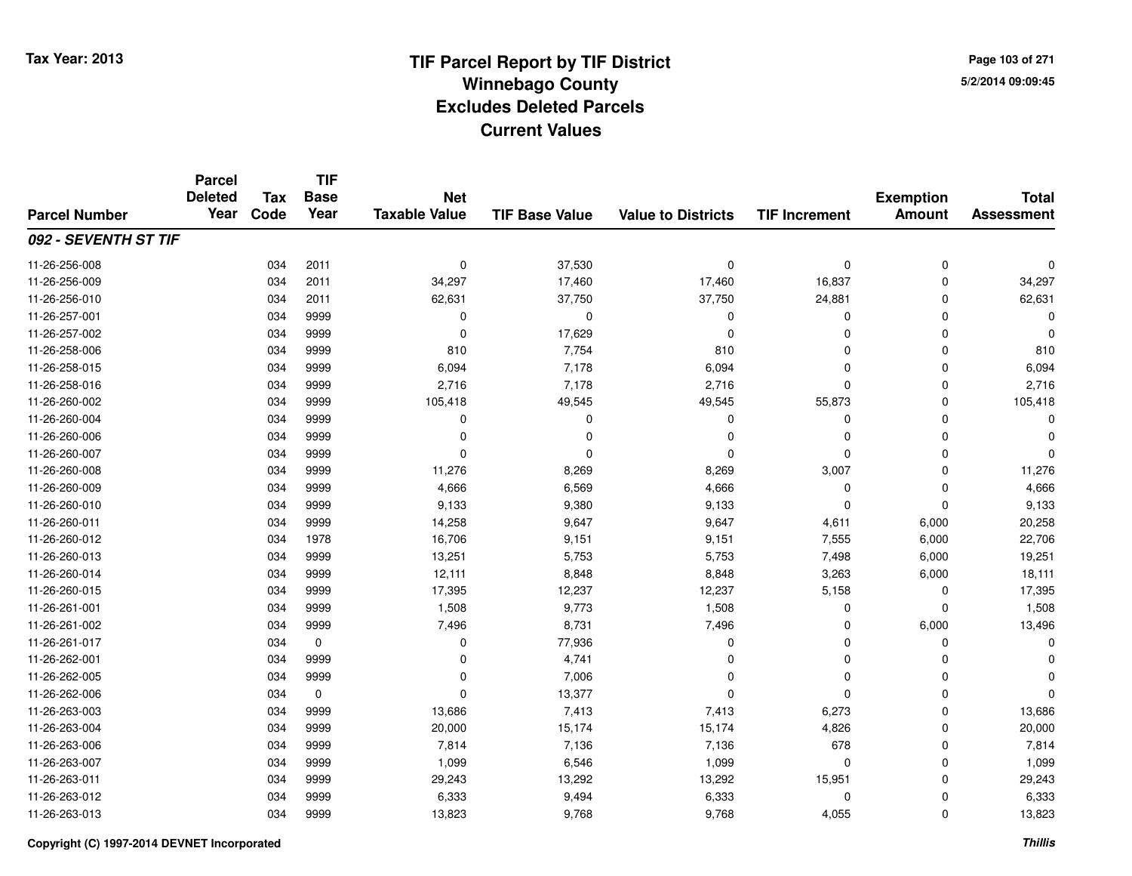**TIF**

**Parcel**

**Page 103 of 2715/2/2014 09:09:45**

#### **TIF Base ValueParcel NumberTotal AssessmentExemption Amount Value to Districts TIF Increment Base YearTax Code Deleted YearNet Taxable Value092 - SEVENTH ST TIF**11-26-256-0088 034 2011 0 37,530 0 0 0 0 11-26-256-009 <sup>034</sup> 34,297 <sup>2011</sup> 17,460 17,460 16,837 <sup>0</sup> 34,297 11-26-256-0100 034 2011 62,631 37,750 37,750 24,881 0 62,631 11-26-257-001 <sup>034</sup> <sup>0</sup> <sup>9999</sup> <sup>0</sup> <sup>0</sup> <sup>0</sup> <sup>0</sup> <sup>0</sup> 11-26-257-002 $2$  034 9999 0 0  $17,629$  0 0 0 0 0 11-26-258-0066 034 9999 810 7,754 810 0 0 810 11-26-258-015 <sup>034</sup> 6,094 <sup>9999</sup> 7,178 6,094 <sup>0</sup> <sup>0</sup> 6,094 11-26-258-0166 034 9999 2,716 7,178 2,716 0 0 2,716 11-26-260-0022 034 9999 105,418 49,545 49,545 55,873 0 105,418 11-26-260-004 <sup>034</sup> <sup>0</sup> <sup>9999</sup> <sup>0</sup> <sup>0</sup> <sup>0</sup> <sup>0</sup> <sup>0</sup> 11-26-260-006 <sup>034</sup> <sup>0</sup> <sup>9999</sup> <sup>0</sup> <sup>0</sup> <sup>0</sup> <sup>0</sup> <sup>0</sup> 11-26-260-007 <sup>034</sup> <sup>0</sup> <sup>9999</sup> <sup>0</sup> <sup>0</sup> <sup>0</sup> <sup>0</sup> <sup>0</sup> 11-26-260-0088 034 9999 11,276 8,269 8,269 3,007 0 11,276 11-26-260-0099 034 9999 4,666 6,569 4,666 0 0 4,666 11-26-260-010 <sup>034</sup> 9,133 <sup>9999</sup> 9,380 9,133 <sup>0</sup> <sup>0</sup> 9,133 11-26-260-0111 034 9999 14,258 9,647 9,647 4,611 6,000 20,258 11-26-260-012 <sup>034</sup> 16,706 <sup>1978</sup> 9,151 9,151 7,555 6,000 22,706 11-26-260-013 <sup>034</sup> 13,251 <sup>9999</sup> 5,753 5,753 7,498 6,000 19,251 11-26-260-014 <sup>034</sup> 12,111 <sup>9999</sup> 8,848 8,848 3,263 6,000 18,111 11-26-260-015 <sup>034</sup> 17,395 <sup>9999</sup> 12,237 12,237 5,158 <sup>0</sup> 17,395 11-26-261-0011 034 9999 1,508 9,773 1,508 0 0 1,508 11-26-261-0022 034 9999 7,496 8,731 7,496 0 6,000 13,496 11-26-261-017 <sup>034</sup> <sup>0</sup> <sup>0</sup> 77,936 <sup>0</sup> <sup>0</sup> <sup>0</sup> <sup>0</sup> 11-26-262-0011 and the contract of the contract of the contract of the contract of the contract of  $\alpha$  of  $\alpha$  of  $\alpha$  of  $\alpha$  of  $\alpha$  of  $\alpha$  of  $\alpha$  of  $\alpha$  of  $\alpha$  of  $\alpha$  of  $\alpha$  of  $\alpha$  of  $\alpha$  of  $\alpha$  of  $\alpha$  of  $\alpha$  of  $\alpha$  of 11-26-262-005 $5$  034 9999 0 0  $7,006$  0 0 0 0 0 11-26-262-006 <sup>034</sup> <sup>0</sup> <sup>0</sup> 13,377 <sup>0</sup> <sup>0</sup> <sup>0</sup> <sup>0</sup> 11-26-263-0033 034 9999 13,686 7,413 7,413 6,273 0 13,686 11-26-263-004 <sup>034</sup> 20,000 <sup>9999</sup> 15,174 15,174 4,826 <sup>0</sup> 20,000 11-26-263-0066 034 9999 7,814 7,136 7,136 678 0 7,814 11-26-263-007 <sup>034</sup> 1,099 <sup>9999</sup> 6,546 1,099 <sup>0</sup> <sup>0</sup> 1,099 11-26-263-0111 034 9999 29,243 13,292 13,292 15,951 0 29,243 11-26-263-0122 034 9999 6,333 9,494 6,333 0 0 6,333 11-26-263-0133 034 9999 13,823 9,768 9,768 4,055 0 13,823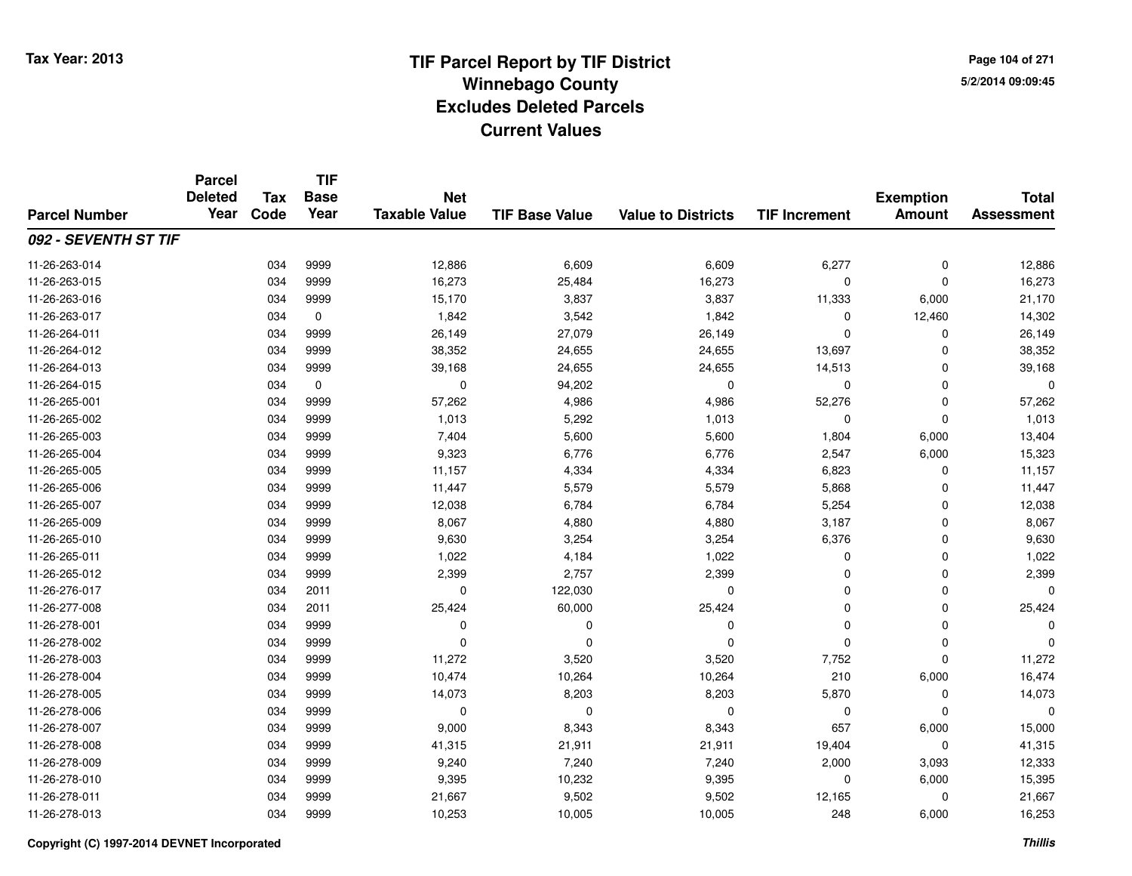**Page 104 of 2715/2/2014 09:09:45**

#### **TIF Base ValueParcel NumberTotal AssessmentExemption Amount Value to Districts TIF IncrementTIF Base YearTax CodeParcel Deleted YearNet Taxable Value092 - SEVENTH ST TIF**11-26-263-014 <sup>034</sup> 12,886 <sup>9999</sup> 6,609 6,609 6,277 <sup>0</sup> 12,886 11-26-263-015 <sup>034</sup> 16,273 <sup>9999</sup> 25,484 16,273 <sup>0</sup> <sup>0</sup> 16,273 11-26-263-016 <sup>034</sup> 15,170 <sup>9999</sup> 3,837 3,837 11,333 6,000 21,170 11-26-263-0177 034 0 1,842 3,542 1,842 0 12,460 14,302 11-26-264-0111 034 9999 26,149 27,079 26,149 0 26,149 11-26-264-012 <sup>034</sup> 38,352 <sup>9999</sup> 24,655 24,655 13,697 <sup>0</sup> 38,352 11-26-264-013 <sup>034</sup> 39,168 <sup>9999</sup> 24,655 24,655 14,513 <sup>0</sup> 39,168 11-26-264-015 $5$  034 0 0 0 94,202 0 0 0 0 0 11-26-265-001 <sup>034</sup> 57,262 <sup>9999</sup> 4,986 4,986 52,276 <sup>0</sup> 57,262 11-26-265-0022 034 9999 1,013 5,292 1,013 0 0 1,013 11-26-265-003 <sup>034</sup> 7,404 <sup>9999</sup> 5,600 5,600 1,804 6,000 13,404 11-26-265-004 <sup>034</sup> 9,323 <sup>9999</sup> 6,776 6,776 2,547 6,000 15,323 11-26-265-005 <sup>034</sup> 11,157 <sup>9999</sup> 4,334 4,334 6,823 <sup>0</sup> 11,157 11-26-265-006 <sup>034</sup> 11,447 <sup>9999</sup> 5,579 5,579 5,868 <sup>0</sup> 11,447 11-26-265-007 <sup>034</sup> 12,038 <sup>9999</sup> 6,784 6,784 5,254 <sup>0</sup> 12,038 11-26-265-0099 034 9999 8,067 4,880 4,880 3,187 0 8,067 11-26-265-010 <sup>034</sup> 9,630 <sup>9999</sup> 3,254 3,254 6,376 <sup>0</sup> 9,630 11-26-265-0111 034 9999 1,022 4,184 1,022 0 0 1,022 11-26-265-0122 034 9999 2,399 2,757 2,399 0 2,399 11-26-276-0177 034 2011 0 122,030 0 0 0 0 11-26-277-008 <sup>034</sup> 25,424 <sup>2011</sup> 60,000 25,424 <sup>0</sup> <sup>0</sup> 25,424 11-26-278-001 <sup>034</sup> <sup>0</sup> <sup>9999</sup> <sup>0</sup> <sup>0</sup> <sup>0</sup> <sup>0</sup> <sup>0</sup> 11-26-278-002 <sup>034</sup> <sup>0</sup> <sup>9999</sup> <sup>0</sup> <sup>0</sup> <sup>0</sup> <sup>0</sup> <sup>0</sup> 11-26-278-0033 034 9999 11,272 3,520 3,520 7,752 0 11,272 11-26-278-0044 10,264 10,264 10,264 10,264 10,264 210 210 6,000 16,474 11-26-278-005 <sup>034</sup> 14,073 <sup>9999</sup> 8,203 8,203 5,870 <sup>0</sup> 14,073 11-26-278-006 <sup>034</sup> <sup>0</sup> <sup>9999</sup> <sup>0</sup> <sup>0</sup> <sup>0</sup> <sup>0</sup> <sup>0</sup> 11-26-278-007 <sup>034</sup> 9,000 <sup>9999</sup> 8,343 8,343 <sup>657</sup> 6,000 15,000 11-26-278-008 <sup>034</sup> 41,315 <sup>9999</sup> 21,911 21,911 19,404 <sup>0</sup> 41,315 11-26-278-009 <sup>034</sup> 9,240 <sup>9999</sup> 7,240 7,240 2,000 3,093 12,333 11-26-278-010 <sup>034</sup> 9,395 <sup>9999</sup> 10,232 9,395 <sup>0</sup> 6,000 15,395 11-26-278-0111 034 9999 21,667 9,502 9,502 12,165 0 21,667 11-26-278-013<sup>034</sup> 10,253 <sup>9999</sup> 10,005 10,005 <sup>248</sup> 6,000 16,253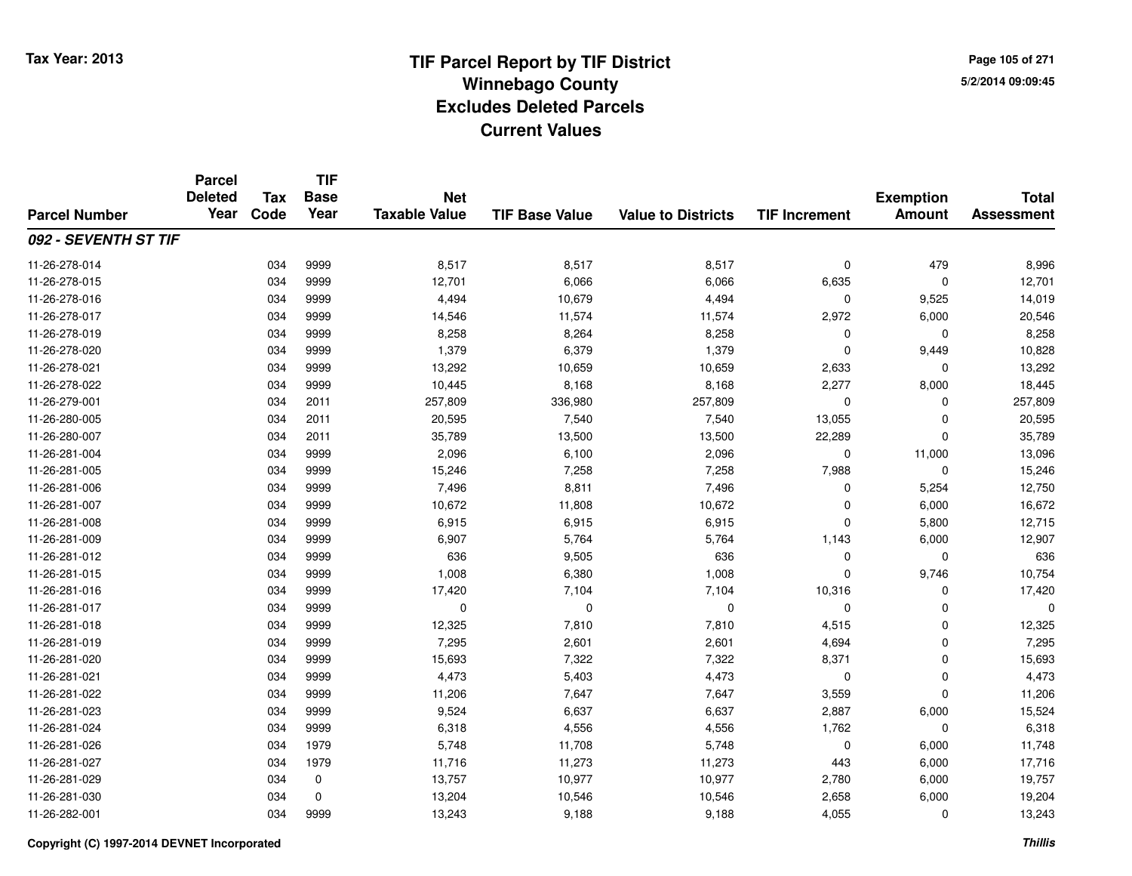**Page 105 of 2715/2/2014 09:09:45**

#### **TIF Base ValueParcel NumberTotal AssessmentExemption Amount Value to Districts TIF IncrementTIF Base YearTax CodeParcel Deleted YearNet Taxable Value092 - SEVENTH ST TIF**11-26-278-014 <sup>034</sup> 8,517 <sup>9999</sup> 8,517 8,517 <sup>0</sup> <sup>479</sup> 8,996 11-26-278-0155 034 9999 12,701 6,066 6,066 6,635 0 12,701 11-26-278-0166 034 9999 4,494 10,679 4,494 0 9,525 14,019 11-26-278-017 <sup>034</sup> 14,546 <sup>9999</sup> 11,574 11,574 2,972 6,000 20,546 11-26-278-0199 034 9999 8,258 8,264 8,258 0 0 8,258 11-26-278-0200 034 9999 1,379 6,379 1,379 0 9,449 10,828 11-26-278-0211 034 9999 13,292 10,659 10,659 2,633 0 13,292 11-26-278-022 <sup>034</sup> 10,445 <sup>9999</sup> 8,168 8,168 2,277 8,000 18,445 11-26-279-0011 034 2011 257,809 336,980 257,809 0 257,809 11-26-280-005 <sup>034</sup> 20,595 <sup>2011</sup> 7,540 7,540 13,055 <sup>0</sup> 20,595 11-26-280-007 <sup>034</sup> 35,789 <sup>2011</sup> 13,500 13,500 22,289 <sup>0</sup> 35,789 11-26-281-004 <sup>034</sup> 2,096 <sup>9999</sup> 6,100 2,096 <sup>0</sup> 11,000 13,096 11-26-281-0055 034 9999 15,246 7,258 7,258 7,988 0 15,246 11-26-281-006 <sup>034</sup> 7,496 <sup>9999</sup> 8,811 7,496 <sup>0</sup> 5,254 12,750 11-26-281-007 <sup>034</sup> 10,672 <sup>9999</sup> 11,808 10,672 <sup>0</sup> 6,000 16,672 11-26-281-008 <sup>034</sup> 6,915 <sup>9999</sup> 6,915 6,915 <sup>0</sup> 5,800 12,715 11-26-281-009 <sup>034</sup> 6,907 <sup>9999</sup> 5,764 5,764 1,143 6,000 12,907 11-26-281-0122 034 9999 636 9,505 636 0 0 636 11-26-281-015 <sup>034</sup> 1,008 <sup>9999</sup> 6,380 1,008 <sup>0</sup> 9,746 10,754 11-26-281-016 <sup>034</sup> 17,420 <sup>9999</sup> 7,104 7,104 10,316 <sup>0</sup> 17,420 11-26-281-017 <sup>034</sup> <sup>0</sup> <sup>9999</sup> <sup>0</sup> <sup>0</sup> <sup>0</sup> <sup>0</sup> <sup>0</sup> 11-26-281-018 <sup>034</sup> 12,325 <sup>9999</sup> 7,810 7,810 4,515 <sup>0</sup> 12,325 11-26-281-0199 034 9999 7,295 2,601 2,601 4,694 0 7,295 11-26-281-020034 9999 15,693 15,693 7,322 7,322 7,322 8,371 0 15,693 11-26-281-0211 034 9999 4,473 5,403 4,473 0 0 4,473 11-26-281-022 <sup>034</sup> 11,206 <sup>9999</sup> 7,647 7,647 3,559 <sup>0</sup> 11,206 11-26-281-0233 034 9999 9,524 6,637 6,637 2,887 6,000 15,524 11-26-281-024 <sup>034</sup> 6,318 <sup>9999</sup> 4,556 4,556 1,762 <sup>0</sup> 6,318 11-26-281-026 <sup>034</sup> 5,748 <sup>1979</sup> 11,708 5,748 <sup>0</sup> 6,000 11,748 11-26-281-027 <sup>034</sup> 11,716 <sup>1979</sup> 11,273 11,273 <sup>443</sup> 6,000 17,716 11-26-281-029 <sup>034</sup> 13,757 <sup>0</sup> 10,977 10,977 2,780 6,000 19,757 11-26-281-030 <sup>034</sup> 13,204 <sup>0</sup> 10,546 10,546 2,658 6,000 19,204 11-26-282-0011 034 9999 13,243 9,188 9,188 4,055 0 13,243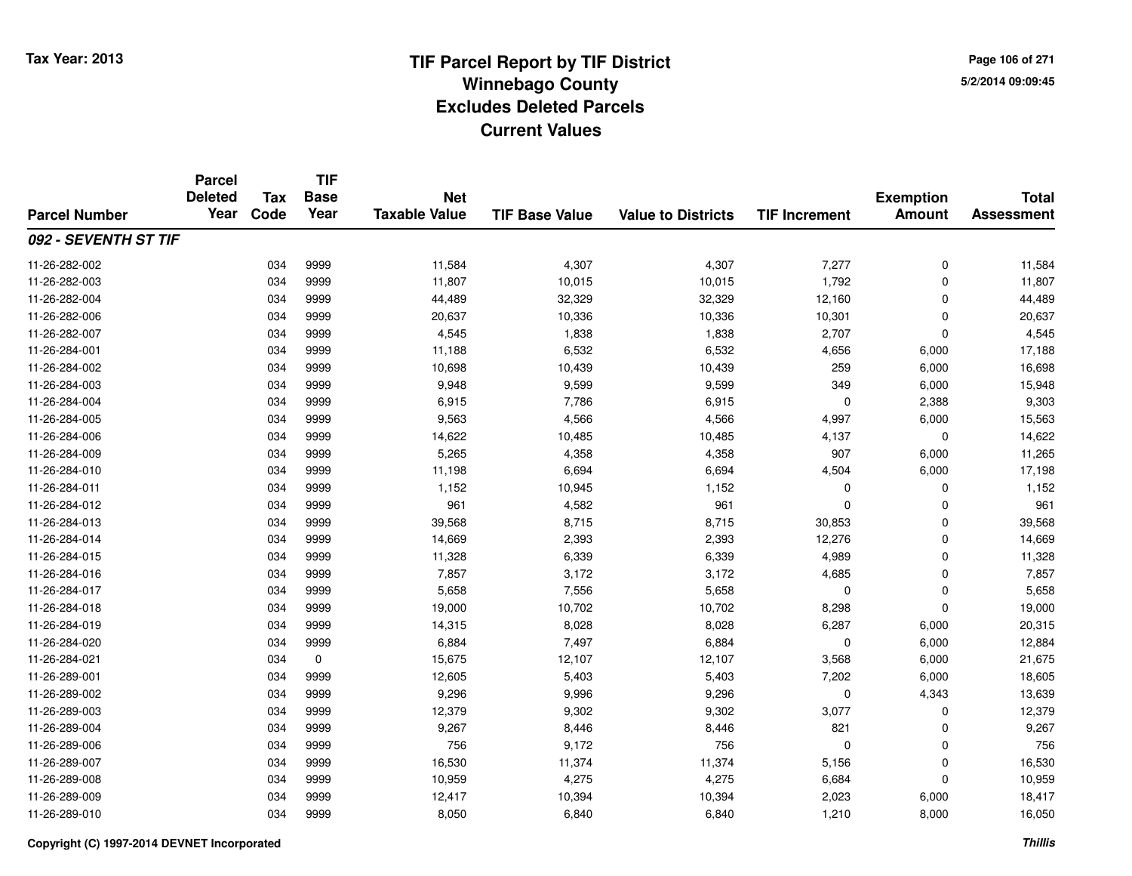**Page 106 of 2715/2/2014 09:09:45**

#### **TIF Base ValueParcel NumberTotal AssessmentExemption Amount Value to Districts TIF IncrementTIF Base YearTax CodeParcel Deleted YearNet Taxable Value092 - SEVENTH ST TIF**11-26-282-002 <sup>034</sup> 11,584 <sup>9999</sup> 4,307 4,307 7,277 <sup>0</sup> 11,584 11-26-282-003 <sup>034</sup> 11,807 <sup>9999</sup> 10,015 10,015 1,792 <sup>0</sup> 11,807 11-26-282-004 <sup>034</sup> 44,489 <sup>9999</sup> 32,329 32,329 12,160 <sup>0</sup> 44,489 11-26-282-006 <sup>034</sup> 20,637 <sup>9999</sup> 10,336 10,336 10,301 <sup>0</sup> 20,637 11-26-282-007 <sup>034</sup> 4,545 <sup>9999</sup> 1,838 1,838 2,707 <sup>0</sup> 4,545 11-26-284-0011 034 9999 11,188 6,532 6,532 4,656 6,000 17,188 11-26-284-002 <sup>034</sup> 10,698 <sup>9999</sup> 10,439 10,439 <sup>259</sup> 6,000 16,698 11-26-284-0033 034 9999 9,948 9,599 9,599 349 6,000 15,948 11-26-284-004 <sup>034</sup> 6,915 <sup>9999</sup> 7,786 6,915 <sup>0</sup> 2,388 9,303 11-26-284-005 <sup>034</sup> 9,563 <sup>9999</sup> 4,566 4,566 4,997 6,000 15,563 11-26-284-006 <sup>034</sup> 14,622 <sup>9999</sup> 10,485 10,485 4,137 <sup>0</sup> 14,622 11-26-284-0099 034 9999 5,265 4,358 4,358 907 6,000 11,265 11-26-284-010 <sup>034</sup> 11,198 <sup>9999</sup> 6,694 6,694 4,504 6,000 17,198 11-26-284-0111 034 9999 1,152 10,945 1,152 0 0 1,152 11-26-284-012 <sup>034</sup> <sup>961</sup> <sup>9999</sup> 4,582 <sup>961</sup> <sup>0</sup> <sup>0</sup> <sup>961</sup> 11-26-284-0133 034 9999 39,568 8,715 8,715 30,853 0 39,568 11-26-284-014 <sup>034</sup> 14,669 <sup>9999</sup> 2,393 2,393 12,276 <sup>0</sup> 14,669 11-26-284-015 <sup>034</sup> 11,328 <sup>9999</sup> 6,339 6,339 4,989 <sup>0</sup> 11,328 11-26-284-016 <sup>034</sup> 7,857 <sup>9999</sup> 3,172 3,172 4,685 <sup>0</sup> 7,857 11-26-284-017 <sup>034</sup> 5,658 <sup>9999</sup> 7,556 5,658 <sup>0</sup> <sup>0</sup> 5,658 11-26-284-018 <sup>034</sup> 19,000 <sup>9999</sup> 10,702 10,702 8,298 <sup>0</sup> 19,000 11-26-284-0199 034 9999 14,315 8,028 8,028 6,287 6,000 20,315 11-26-284-020 <sup>034</sup> 6,884 <sup>9999</sup> 7,497 6,884 <sup>0</sup> 6,000 12,884 11-26-284-0211 034 0 15,675 12,107 12,107 3,568 6,000 21,675 11-26-289-0011 034 9999 12,605 5,403 5,403 7,202 6,000 18,605 11-26-289-002 <sup>034</sup> 9,296 <sup>9999</sup> 9,996 9,296 <sup>0</sup> 4,343 13,639 11-26-289-003 <sup>034</sup> 12,379 <sup>9999</sup> 9,302 9,302 3,077 <sup>0</sup> 12,379 11-26-289-004 <sup>034</sup> 9,267 <sup>9999</sup> 8,446 8,446 <sup>821</sup> <sup>0</sup> 9,267 11-26-289-0066 034 9999 756 9,172 756 0 0 756 11-26-289-007 <sup>034</sup> 16,530 <sup>9999</sup> 11,374 11,374 5,156 <sup>0</sup> 16,530 11-26-289-008 <sup>034</sup> 10,959 <sup>9999</sup> 4,275 4,275 6,684 <sup>0</sup> 10,959 11-26-289-0099 034 9999 12,417 10,394 10,394 2,023 6,000 18,417 11-26-289-010<sup>034</sup> 8,050 <sup>9999</sup> 6,840 6,840 1,210 8,000 16,050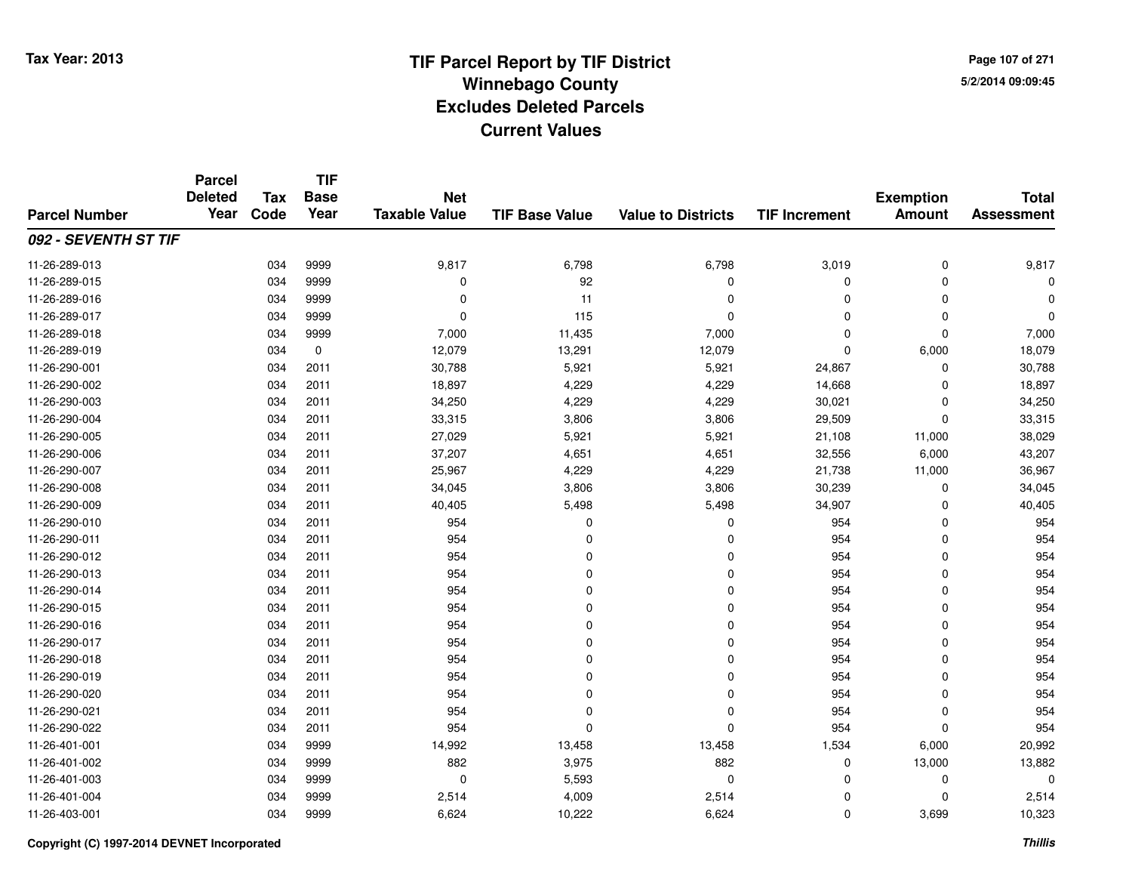**TIF**

**Parcel**

**Page 107 of 2715/2/2014 09:09:45**

#### **TIF Base ValueParcel NumberTotal AssessmentExemption Amount Value to Districts TIF Increment Base YearTax Code Deleted YearNet Taxable Value092 - SEVENTH ST TIF**11-26-289-0133 034 9999 9,817 6,798 6,798 3,019 0 9,817 11-26-289-015 <sup>034</sup> <sup>0</sup> <sup>9999</sup> <sup>92</sup> <sup>0</sup> <sup>0</sup> <sup>0</sup> <sup>0</sup> 11-26-289-016 <sup>034</sup> <sup>0</sup> <sup>9999</sup> <sup>11</sup> <sup>0</sup> <sup>0</sup> <sup>0</sup> <sup>0</sup> 11-26-289-017 <sup>034</sup> <sup>0</sup> <sup>9999</sup> <sup>115</sup> <sup>0</sup> <sup>0</sup> <sup>0</sup> <sup>0</sup> 11-26-289-018 <sup>034</sup> 7,000 <sup>9999</sup> 11,435 7,000 <sup>0</sup> <sup>0</sup> 7,000 11-26-289-0199 034 0 12,079 13,291 12,079 0 6,000 18,079 11-26-290-001 <sup>034</sup> 30,788 <sup>2011</sup> 5,921 5,921 24,867 <sup>0</sup> 30,788 11-26-290-002 <sup>034</sup> 18,897 <sup>2011</sup> 4,229 4,229 14,668 <sup>0</sup> 18,897 11-26-290-0033 034 2011 34,250 4,229 4,229 30,021 0 34,250 11-26-290-004 <sup>034</sup> 33,315 <sup>2011</sup> 3,806 3,806 29,509 <sup>0</sup> 33,315 11-26-290-005 <sup>034</sup> 27,029 <sup>2011</sup> 5,921 5,921 21,108 11,000 38,029 11-26-290-0066 034 2011 37,207 4,651 4,651 32,556 6,000 43,207 11-26-290-007 <sup>034</sup> 25,967 <sup>2011</sup> 4,229 4,229 21,738 11,000 36,967 11-26-290-0088 034 2011 34,045 3,806 3,806 30,239 0 34,045 11-26-290-009 <sup>034</sup> 40,405 <sup>2011</sup> 5,498 5,498 34,907 <sup>0</sup> 40,405 11-26-290-010 <sup>034</sup> <sup>954</sup> <sup>2011</sup> <sup>0</sup> <sup>0</sup> <sup>954</sup> <sup>0</sup> <sup>954</sup> 11-26-290-0111 034 2011 954 0 0 954 0 954 11-26-290-012 <sup>034</sup> <sup>954</sup> <sup>2011</sup> <sup>0</sup> <sup>0</sup> <sup>954</sup> <sup>0</sup> <sup>954</sup> 11-26-290-013 <sup>034</sup> <sup>954</sup> <sup>2011</sup> <sup>0</sup> <sup>0</sup> <sup>954</sup> <sup>0</sup> <sup>954</sup> 11-26-290-014 <sup>034</sup> <sup>954</sup> <sup>2011</sup> <sup>0</sup> <sup>0</sup> <sup>954</sup> <sup>0</sup> <sup>954</sup> 11-26-290-015 <sup>034</sup> <sup>954</sup> <sup>2011</sup> <sup>0</sup> <sup>0</sup> <sup>954</sup> <sup>0</sup> <sup>954</sup> 11-26-290-016 <sup>034</sup> <sup>954</sup> <sup>2011</sup> <sup>0</sup> <sup>0</sup> <sup>954</sup> <sup>0</sup> <sup>954</sup> 11-26-290-017 <sup>034</sup> <sup>954</sup> <sup>2011</sup> <sup>0</sup> <sup>0</sup> <sup>954</sup> <sup>0</sup> <sup>954</sup> 11-26-290-018 <sup>034</sup> <sup>954</sup> <sup>2011</sup> <sup>0</sup> <sup>0</sup> <sup>954</sup> <sup>0</sup> <sup>954</sup> 11-26-290-019 <sup>034</sup> <sup>954</sup> <sup>2011</sup> <sup>0</sup> <sup>0</sup> <sup>954</sup> <sup>0</sup> <sup>954</sup> 11-26-290-020 <sup>034</sup> <sup>954</sup> <sup>2011</sup> <sup>0</sup> <sup>0</sup> <sup>954</sup> <sup>0</sup> <sup>954</sup> 11-26-290-021 <sup>034</sup> <sup>954</sup> <sup>2011</sup> <sup>0</sup> <sup>0</sup> <sup>954</sup> <sup>0</sup> <sup>954</sup> 11-26-290-022 <sup>034</sup> <sup>954</sup> <sup>2011</sup> <sup>0</sup> <sup>0</sup> <sup>954</sup> <sup>0</sup> <sup>954</sup> 11-26-401-0011 034 9999 14,992 13,458 13,458 1,534 6,000 20,992 11-26-401-002 <sup>034</sup> <sup>882</sup> <sup>9999</sup> 3,975 <sup>882</sup> <sup>0</sup> 13,000 13,882 11-26-401-003 $3$  034 9999 0 0 5,593 0 0 0 0 0 0 11-26-401-0044 034 9999 2,514 4,009 2,514 0 0 2,514 11-26-403-001

1 034 9999 6,624 10,222 6,624 0 3,699 10,323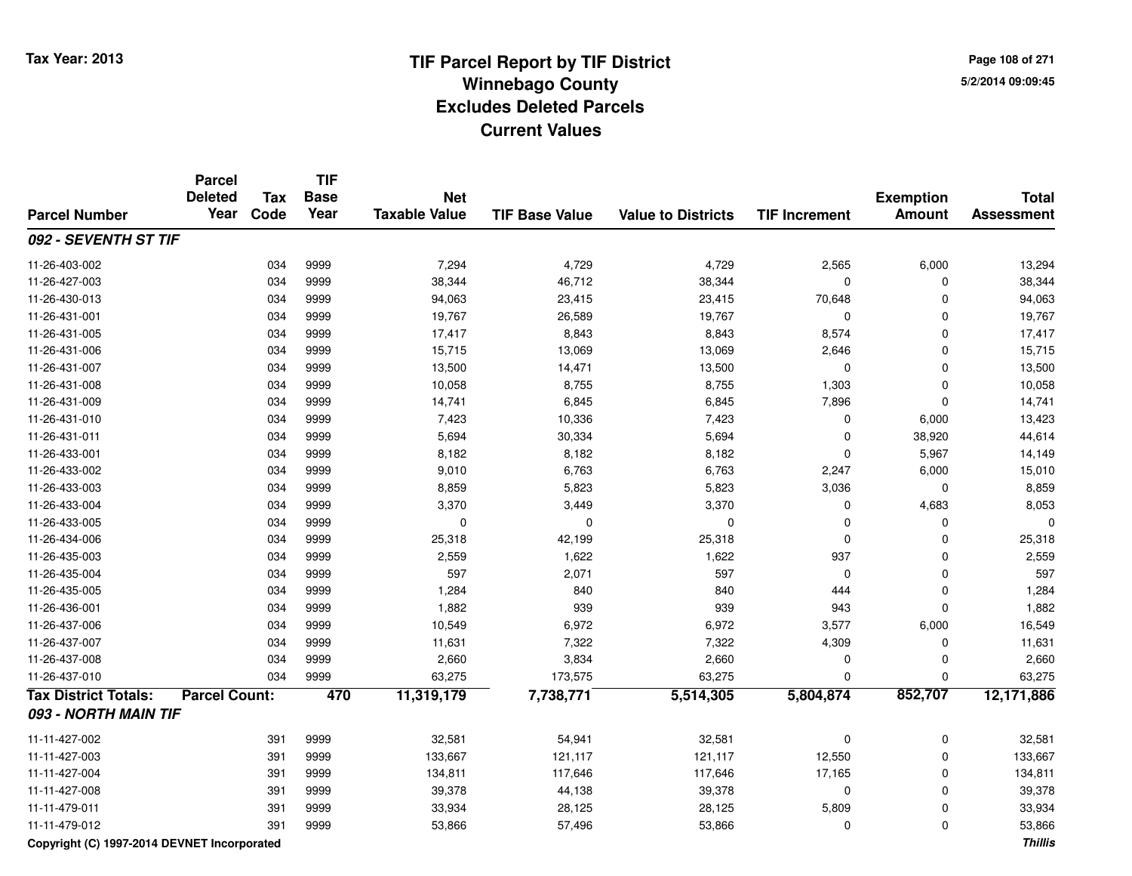**Page 108 of 2715/2/2014 09:09:45**

#### **TIF Base ValueParcel NumberTotal AssessmentExemption Amount Value to Districts TIF IncrementTIF Base YearTax CodeParcel Deleted YearNet Taxable Value092 - SEVENTH ST TIF**11-26-403-002 <sup>034</sup> 7,294 <sup>9999</sup> 4,729 4,729 2,565 6,000 13,294 11-26-427-0033 034 9999 38,344 46,712 38,344 0 0 38,344 11-26-430-013 <sup>034</sup> 94,063 <sup>9999</sup> 23,415 23,415 70,648 <sup>0</sup> 94,063 11-26-431-0011 034 9999 19,767 26,589 19,767 0 0 19,767 11-26-431-005 <sup>034</sup> 17,417 <sup>9999</sup> 8,843 8,843 8,574 <sup>0</sup> 17,417 11-26-431-0066 034 9999 15,715 13,069 13,069 2,646 0 15,715 11-26-431-007 <sup>034</sup> 13,500 <sup>9999</sup> 14,471 13,500 <sup>0</sup> <sup>0</sup> 13,500 11-26-431-008 <sup>034</sup> 10,058 <sup>9999</sup> 8,755 8,755 1,303 <sup>0</sup> 10,058 11-26-431-0099 034 9999 14,741 6,845 6,845 7,896 0 14,741 11-26-431-0100 034 9999 7,423 10,336 7,423 0 6,000 13,423 11-26-431-0111 034 9999 5,694 30,334 5,694 0 38,920 44,614 11-26-433-0011 034 9999 8,182 8,182 8,182 0 5,967 14,149 11-26-433-002 <sup>034</sup> 9,010 <sup>9999</sup> 6,763 6,763 2,247 6,000 15,010 11-26-433-003 <sup>034</sup> 8,859 <sup>9999</sup> 5,823 5,823 3,036 <sup>0</sup> 8,859 11-26-433-0044 3,370 334 3999 3,370 3,449 3,370 3,449 3,370 3,449 3,5370 3,5370 3,5370 3,5370 3,053 11-26-433-005 <sup>034</sup> <sup>0</sup> <sup>9999</sup> <sup>0</sup> <sup>0</sup> <sup>0</sup> <sup>0</sup> <sup>0</sup> 11-26-434-006 <sup>034</sup> 25,318 <sup>9999</sup> 42,199 25,318 <sup>0</sup> <sup>0</sup> 25,318 11-26-435-0033 034 9999 2,559 1,622 1,622 937 0 2,559 11-26-435-004 <sup>034</sup> <sup>597</sup> <sup>9999</sup> 2,071 <sup>597</sup> <sup>0</sup> <sup>0</sup> <sup>597</sup> 11-26-435-005 <sup>034</sup> 1,284 <sup>9999</sup> <sup>840</sup> <sup>840</sup> <sup>444</sup> <sup>0</sup> 1,284 11-26-436-0011 034 9999 1,882 939 939 943 0 1,882 11-26-437-0066 034 9999 10,549 6,972 6,972 3,577 6,000 16,549 11-26-437-007 <sup>034</sup> 11,631 <sup>9999</sup> 7,322 7,322 4,309 <sup>0</sup> 11,631 11-26-437-0088 034 9999 2,660 3,834 2,660 0 2,660 11-26-437-010 <sup>034</sup> 63,275 <sup>9999</sup> 173,575 63,275 <sup>0</sup> <sup>0</sup> 63,275 **Tax District Totals: Parcel Count: <sup>470</sup> 11,319,179 7,738,771 5,514,305 5,804,874 852,707 12,171,886 093 - NORTH MAIN TIF**11-11-427-002 <sup>391</sup> 32,581 <sup>9999</sup> 54,941 32,581 <sup>0</sup> <sup>0</sup> 32,581 11-11-427-003 <sup>391</sup> 133,667 <sup>9999</sup> 121,117 121,117 12,550 <sup>0</sup> 133,667 11-11-427-004 <sup>391</sup> 134,811 <sup>9999</sup> 117,646 117,646 17,165 <sup>0</sup> 134,811 11-11-427-008 <sup>391</sup> 39,378 <sup>9999</sup> 44,138 39,378 <sup>0</sup> <sup>0</sup> 39,378 11-11-479-011 <sup>391</sup> 33,934 <sup>9999</sup> 28,125 28,125 5,809 <sup>0</sup> 33,934 11-11-479-012 <sup>391</sup> 53,866 <sup>9999</sup> 57,496 53,866 <sup>0</sup> <sup>0</sup> 53,866 **Copyright (C) 1997-2014 DEVNET Incorporated**

**Thillis**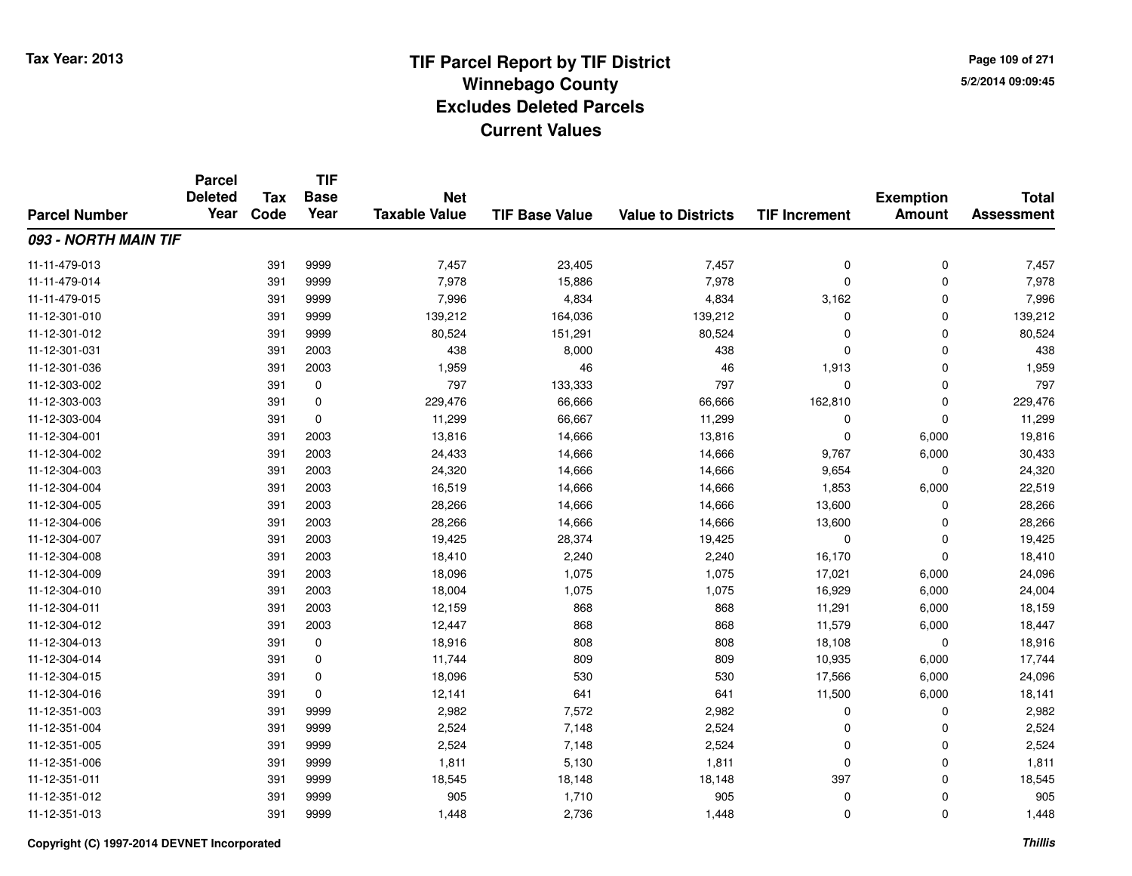**TIF**

**Parcel**

**Page 109 of 2715/2/2014 09:09:45**

#### **TIF Base ValueParcel NumberTotal AssessmentExemption Amount Value to Districts TIF Increment Base YearTax Code Deleted YearNet Taxable Value093 - NORTH MAIN TIF**11-11-479-013 <sup>391</sup> 7,457 <sup>9999</sup> 23,405 7,457 <sup>0</sup> <sup>0</sup> 7,457 11-11-479-014 <sup>391</sup> 7,978 <sup>9999</sup> 15,886 7,978 <sup>0</sup> <sup>0</sup> 7,978 11-11-479-015 <sup>391</sup> 7,996 <sup>9999</sup> 4,834 4,834 3,162 <sup>0</sup> 7,996 11-12-301-0100 391 9999 139,212 164,036 139,212 0 0 139,212 11-12-301-012 <sup>391</sup> 80,524 <sup>9999</sup> 151,291 80,524 <sup>0</sup> <sup>0</sup> 80,524 11-12-301-0311 391 2003 438 8,000 438 0 0 438 11-12-301-036 <sup>391</sup> 1,959 <sup>2003</sup> <sup>46</sup> <sup>46</sup> 1,913 <sup>0</sup> 1,959 11-12-303-002 <sup>391</sup> <sup>797</sup> <sup>0</sup> 133,333 <sup>797</sup> <sup>0</sup> <sup>0</sup> <sup>797</sup> 11-12-303-003 <sup>391</sup> 229,476 <sup>0</sup> 66,666 66,666 162,810 <sup>0</sup> 229,476 11-12-303-0044 391 0 11,299 66,667 11,299 0 0 11,299 11-12-304-0011 391 2003 13,816 14,666 13,816 0 6,000 19,816 11-12-304-0022 391 2003 24,433 14,666 14,666 9,767 6,000 30,433 11-12-304-003 <sup>391</sup> 24,320 <sup>2003</sup> 14,666 14,666 9,654 <sup>0</sup> 24,320 11-12-304-004 <sup>391</sup> 16,519 <sup>2003</sup> 14,666 14,666 1,853 6,000 22,519 11-12-304-005 <sup>391</sup> 28,266 <sup>2003</sup> 14,666 14,666 13,600 <sup>0</sup> 28,266 11-12-304-006 <sup>391</sup> 28,266 <sup>2003</sup> 14,666 14,666 13,600 <sup>0</sup> 28,266 11-12-304-007 <sup>391</sup> 19,425 <sup>2003</sup> 28,374 19,425 <sup>0</sup> <sup>0</sup> 19,425 11-12-304-008 <sup>391</sup> 18,410 <sup>2003</sup> 2,240 2,240 16,170 <sup>0</sup> 18,410 11-12-304-009 <sup>391</sup> 18,096 <sup>2003</sup> 1,075 1,075 17,021 6,000 24,096 11-12-304-0100 1,075 18,000 18,004 1,075 1,075 1,075 1,075 1,075 6,000 24,004 11-12-304-011 <sup>391</sup> 12,159 <sup>2003</sup> <sup>868</sup> <sup>868</sup> 11,291 6,000 18,159 11-12-304-012 <sup>391</sup> 12,447 <sup>2003</sup> <sup>868</sup> <sup>868</sup> 11,579 6,000 18,447 11-12-304-013 <sup>391</sup> 18,916 <sup>0</sup> <sup>808</sup> <sup>808</sup> 18,108 <sup>0</sup> 18,916 11-12-304-014 <sup>391</sup> 11,744 <sup>0</sup> <sup>809</sup> <sup>809</sup> 10,935 6,000 17,744 11-12-304-015 <sup>391</sup> 18,096 <sup>0</sup> <sup>530</sup> <sup>530</sup> 17,566 6,000 24,096 11-12-304-016 <sup>391</sup> 12,141 <sup>0</sup> <sup>641</sup> <sup>641</sup> 11,500 6,000 18,141 11-12-351-003 <sup>391</sup> 2,982 <sup>9999</sup> 7,572 2,982 <sup>0</sup> <sup>0</sup> 2,982 11-12-351-004 <sup>391</sup> 2,524 <sup>9999</sup> 7,148 2,524 <sup>0</sup> <sup>0</sup> 2,524 11-12-351-005 <sup>391</sup> 2,524 <sup>9999</sup> 7,148 2,524 <sup>0</sup> <sup>0</sup> 2,524 11-12-351-006 <sup>391</sup> 1,811 <sup>9999</sup> 5,130 1,811 <sup>0</sup> <sup>0</sup> 1,811 11-12-351-0111 391 9999 18,545 18,148 18,148 397 0 18,545 11-12-351-012 <sup>391</sup> <sup>905</sup> <sup>9999</sup> 1,710 <sup>905</sup> <sup>0</sup> <sup>0</sup> <sup>905</sup> 11-12-351-013<sup>391</sup> 1,448 <sup>9999</sup> 2,736 1,448 <sup>0</sup> <sup>0</sup> 1,448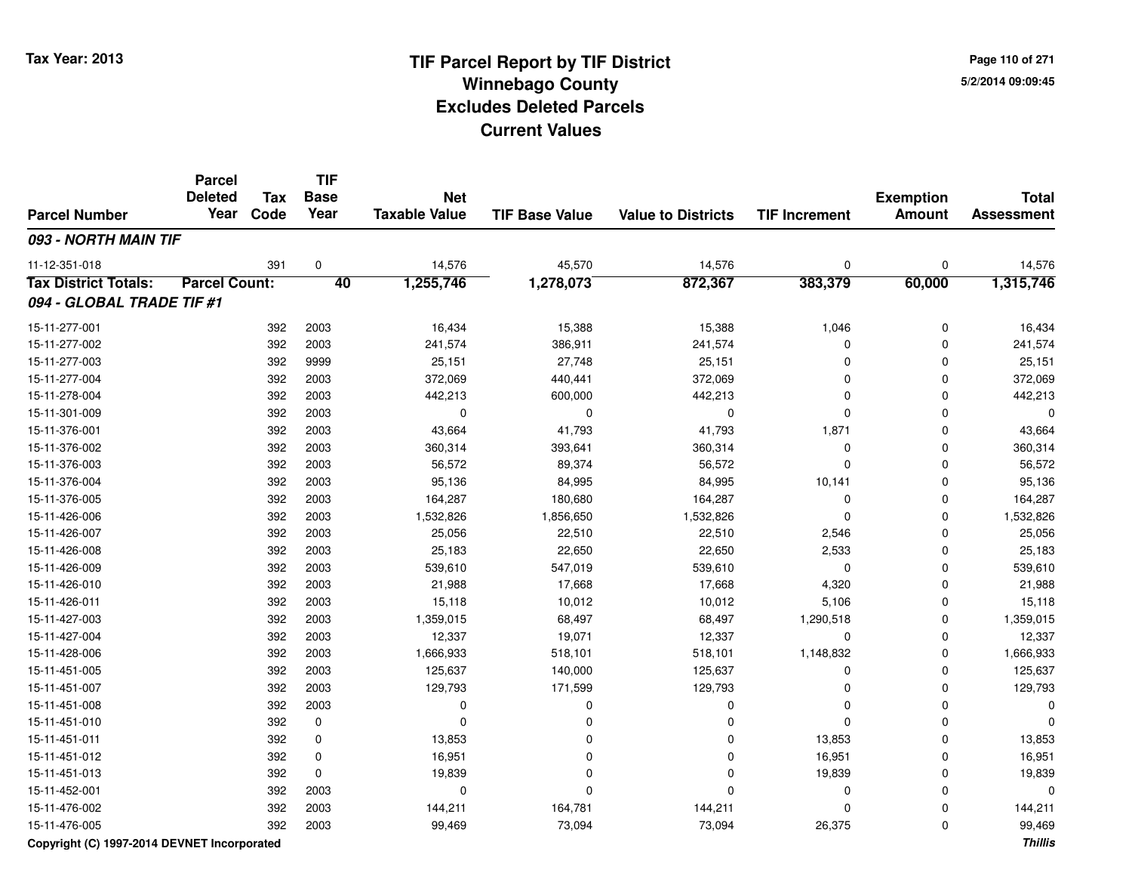**Page 110 of 2715/2/2014 09:09:45**

#### **TIF Base ValueParcel NumberTotal AssessmentExemption Amount Value to Districts TIF IncrementTIF Base YearTax CodeParcel Deleted YearNet Taxable Value093 - NORTH MAIN TIF**11-12-351-0188 391 0 14,576 45,570 14,576 0 0 14,576 **Tax District Totals: Parcel Count: <sup>40</sup> 1,255,746 1,278,073 872,367 383,379 60,000 1,315,746 094 - GLOBAL TRADE TIF #1**15-11-277-0011 392 2003 16,434 15,388 15,388 1,046 0 16,434 15-11-277-0022 392 2003 241,574 386,911 241,574 0 0 241,574 15-11-277-003 <sup>392</sup> 25,151 <sup>9999</sup> 27,748 25,151 <sup>0</sup> <sup>0</sup> 25,151 15-11-277-004 <sup>392</sup> 372,069 <sup>2003</sup> 440,441 372,069 <sup>0</sup> <sup>0</sup> 372,069 15-11-278-0044 392 2003 442,213 600,000 442,213 0 0 442,213 15-11-301-009 <sup>392</sup> <sup>0</sup> <sup>2003</sup> <sup>0</sup> <sup>0</sup> <sup>0</sup> <sup>0</sup> <sup>0</sup> 15-11-376-0011 392 2003 43,664 41,793 41,793 1,871 0 43,664 15-11-376-0022 392 2003 360,314 393,641 360,314 0 0 360,314 15-11-376-003 <sup>392</sup> 56,572 <sup>2003</sup> 89,374 56,572 <sup>0</sup> <sup>0</sup> 56,572 15-11-376-004 <sup>392</sup> 95,136 <sup>2003</sup> 84,995 84,995 10,141 <sup>0</sup> 95,136 15-11-376-0055 392 2003 164,287 180,680 164,287 0 0 164,287 15-11-426-0066 392 2003 1,532,826 1,856,650 1,532,826 1,532,826 15-11-426-007 <sup>392</sup> 25,056 <sup>2003</sup> 22,510 22,510 2,546 <sup>0</sup> 25,056 15-11-426-008 <sup>392</sup> 25,183 <sup>2003</sup> 22,650 22,650 2,533 <sup>0</sup> 25,183 15-11-426-009 <sup>392</sup> 539,610 <sup>2003</sup> 547,019 539,610 <sup>0</sup> <sup>0</sup> 539,610 15-11-426-0100 392 2003 21,988 17,668 17,668 4,320 0 21,988 15-11-426-0111 392 2003 15,118 10,012 10,012 5,106 0 15,118 15-11-427-003 <sup>392</sup> 1,359,015 <sup>2003</sup> 68,497 68,497 1,290,518 <sup>0</sup> 1,359,015 15-11-427-004 <sup>392</sup> 12,337 <sup>2003</sup> 19,071 12,337 <sup>0</sup> <sup>0</sup> 12,337 15-11-428-0066 392 2003 1,666,933 518,101 518,101 1,148,832 0 1,666,933 15-11-451-005 <sup>392</sup> 125,637 <sup>2003</sup> 140,000 125,637 <sup>0</sup> <sup>0</sup> 125,637 15-11-451-007 <sup>392</sup> 129,793 <sup>2003</sup> 171,599 129,793 <sup>0</sup> <sup>0</sup> 129,793 15-11-451-008 <sup>392</sup> <sup>0</sup> <sup>2003</sup> <sup>0</sup> <sup>0</sup> <sup>0</sup> <sup>0</sup> <sup>0</sup> 15-11-451-010 <sup>392</sup> <sup>0</sup> <sup>0</sup> <sup>0</sup> <sup>0</sup> <sup>0</sup> <sup>0</sup> <sup>0</sup> 15-11-451-0111 392 0 13,853 0 0 13,853 0 13,853 15-11-451-0122 392 0 16,951 0 0 16,951 0 16,951 15-11-451-013 <sup>392</sup> 19,839 <sup>0</sup> <sup>0</sup> <sup>0</sup> 19,839 <sup>0</sup> 19,839 15-11-452-001 <sup>392</sup> <sup>0</sup> <sup>2003</sup> <sup>0</sup> <sup>0</sup> <sup>0</sup> <sup>0</sup> <sup>0</sup> 15-11-476-0022 392 2003 144,211 164,781 144,211 0 0 144,211 15-11-476-005<sup>392</sup> 99,469 <sup>2003</sup> 73,094 73,094 26,375 <sup>0</sup> 99,469

**Copyright (C) 1997-2014 DEVNET Incorporated**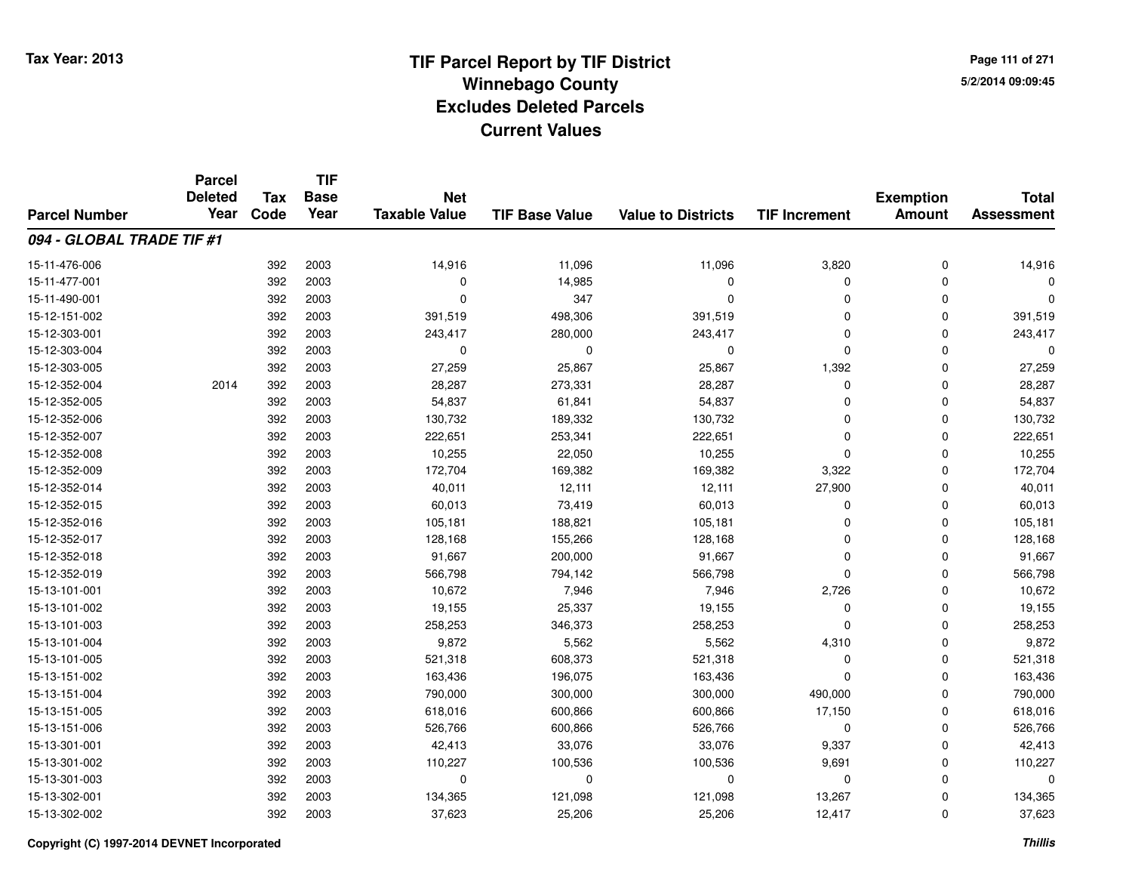**Page 111 of 2715/2/2014 09:09:45**

|                           | <b>Parcel</b>          |      | <b>TIF</b><br><b>Base</b><br><b>Tax</b><br>Year | <b>Net</b><br><b>Taxable Value</b><br><b>TIF Base Value</b><br><b>Value to Districts</b> |          |          |                      |                                   |                                   |
|---------------------------|------------------------|------|-------------------------------------------------|------------------------------------------------------------------------------------------|----------|----------|----------------------|-----------------------------------|-----------------------------------|
| <b>Parcel Number</b>      | <b>Deleted</b><br>Year | Code |                                                 |                                                                                          |          |          | <b>TIF Increment</b> | <b>Exemption</b><br><b>Amount</b> | <b>Total</b><br><b>Assessment</b> |
|                           |                        |      |                                                 |                                                                                          |          |          |                      |                                   |                                   |
| 094 - GLOBAL TRADE TIF #1 |                        |      |                                                 |                                                                                          |          |          |                      |                                   |                                   |
| 15-11-476-006             |                        | 392  | 2003                                            | 14,916                                                                                   | 11,096   | 11,096   | 3,820                | 0                                 | 14,916                            |
| 15-11-477-001             |                        | 392  | 2003                                            | $\Omega$                                                                                 | 14,985   | $\Omega$ | 0                    | 0                                 | O                                 |
| 15-11-490-001             |                        | 392  | 2003                                            | $\Omega$                                                                                 | 347      | $\Omega$ | 0                    | 0                                 | $\Omega$                          |
| 15-12-151-002             |                        | 392  | 2003                                            | 391,519                                                                                  | 498,306  | 391,519  | 0                    | $\Omega$                          | 391,519                           |
| 15-12-303-001             |                        | 392  | 2003                                            | 243,417                                                                                  | 280,000  | 243,417  | 0                    | $\Omega$                          | 243,417                           |
| 15-12-303-004             |                        | 392  | 2003                                            | $\Omega$                                                                                 | $\Omega$ | $\Omega$ | 0                    | $\Omega$                          | $\Omega$                          |
| 15-12-303-005             |                        | 392  | 2003                                            | 27,259                                                                                   | 25,867   | 25,867   | 1,392                | $\Omega$                          | 27,259                            |
| 15-12-352-004             | 2014                   | 392  | 2003                                            | 28,287                                                                                   | 273,331  | 28,287   | 0                    | $\Omega$                          | 28,287                            |
| 15-12-352-005             |                        | 392  | 2003                                            | 54,837                                                                                   | 61,841   | 54,837   | 0                    | $\Omega$                          | 54,837                            |
| 15-12-352-006             |                        | 392  | 2003                                            | 130,732                                                                                  | 189,332  | 130,732  | 0                    | $\Omega$                          | 130,732                           |
| 15-12-352-007             |                        | 392  | 2003                                            | 222,651                                                                                  | 253,341  | 222,651  | $\Omega$             | $\Omega$                          | 222,651                           |
| 15-12-352-008             |                        | 392  | 2003                                            | 10,255                                                                                   | 22,050   | 10,255   | 0                    | $\Omega$                          | 10,255                            |
| 15-12-352-009             |                        | 392  | 2003                                            | 172,704                                                                                  | 169,382  | 169,382  | 3,322                | $\Omega$                          | 172,704                           |
| 15-12-352-014             |                        | 392  | 2003                                            | 40,011                                                                                   | 12,111   | 12,111   | 27,900               | 0                                 | 40,011                            |
| 15-12-352-015             |                        | 392  | 2003                                            | 60,013                                                                                   | 73,419   | 60,013   | 0                    | $\Omega$                          | 60,013                            |
| 15-12-352-016             |                        | 392  | 2003                                            | 105,181                                                                                  | 188,821  | 105,181  | 0                    | 0                                 | 105,181                           |
| 15-12-352-017             |                        | 392  | 2003                                            | 128,168                                                                                  | 155,266  | 128,168  | 0                    | $\Omega$                          | 128,168                           |
| 15-12-352-018             |                        | 392  | 2003                                            | 91,667                                                                                   | 200,000  | 91,667   | 0                    | $\mathbf 0$                       | 91,667                            |
| 15-12-352-019             |                        | 392  | 2003                                            | 566,798                                                                                  | 794,142  | 566,798  | 0                    | 0                                 | 566,798                           |
| 15-13-101-001             |                        | 392  | 2003                                            | 10,672                                                                                   | 7,946    | 7,946    | 2,726                | 0                                 | 10,672                            |
| 15-13-101-002             |                        | 392  | 2003                                            | 19,155                                                                                   | 25,337   | 19,155   | 0                    | 0                                 | 19,155                            |
| 15-13-101-003             |                        | 392  | 2003                                            | 258,253                                                                                  | 346,373  | 258,253  | $\Omega$             | 0                                 | 258,253                           |
| 15-13-101-004             |                        | 392  | 2003                                            | 9,872                                                                                    | 5,562    | 5,562    | 4,310                | $\mathbf 0$                       | 9,872                             |
| 15-13-101-005             |                        | 392  | 2003                                            | 521,318                                                                                  | 608,373  | 521,318  | 0                    | $\mathbf 0$                       | 521,318                           |
| 15-13-151-002             |                        | 392  | 2003                                            | 163,436                                                                                  | 196,075  | 163,436  | 0                    | $\mathbf 0$                       | 163,436                           |
| 15-13-151-004             |                        | 392  | 2003                                            | 790,000                                                                                  | 300,000  | 300,000  | 490,000              | $\Omega$                          | 790,000                           |
| 15-13-151-005             |                        | 392  | 2003                                            | 618,016                                                                                  | 600,866  | 600,866  | 17,150               | $\mathbf 0$                       | 618,016                           |
| 15-13-151-006             |                        | 392  | 2003                                            | 526,766                                                                                  | 600,866  | 526,766  | 0                    | 0                                 | 526,766                           |
| 15-13-301-001             |                        | 392  | 2003                                            | 42,413                                                                                   | 33,076   | 33,076   | 9,337                | $\mathbf 0$                       | 42,413                            |
| 15-13-301-002             |                        | 392  | 2003                                            | 110,227                                                                                  | 100,536  | 100,536  | 9,691                | 0                                 | 110,227                           |
| 15-13-301-003             |                        | 392  | 2003                                            | 0                                                                                        | $\Omega$ | $\Omega$ | 0                    | $\Omega$                          | $\Omega$                          |
| 15-13-302-001             |                        | 392  | 2003                                            | 134,365                                                                                  | 121,098  | 121,098  | 13,267               | 0                                 | 134,365                           |
| 15-13-302-002             |                        | 392  | 2003                                            | 37,623                                                                                   | 25,206   | 25,206   | 12,417               | $\Omega$                          | 37,623                            |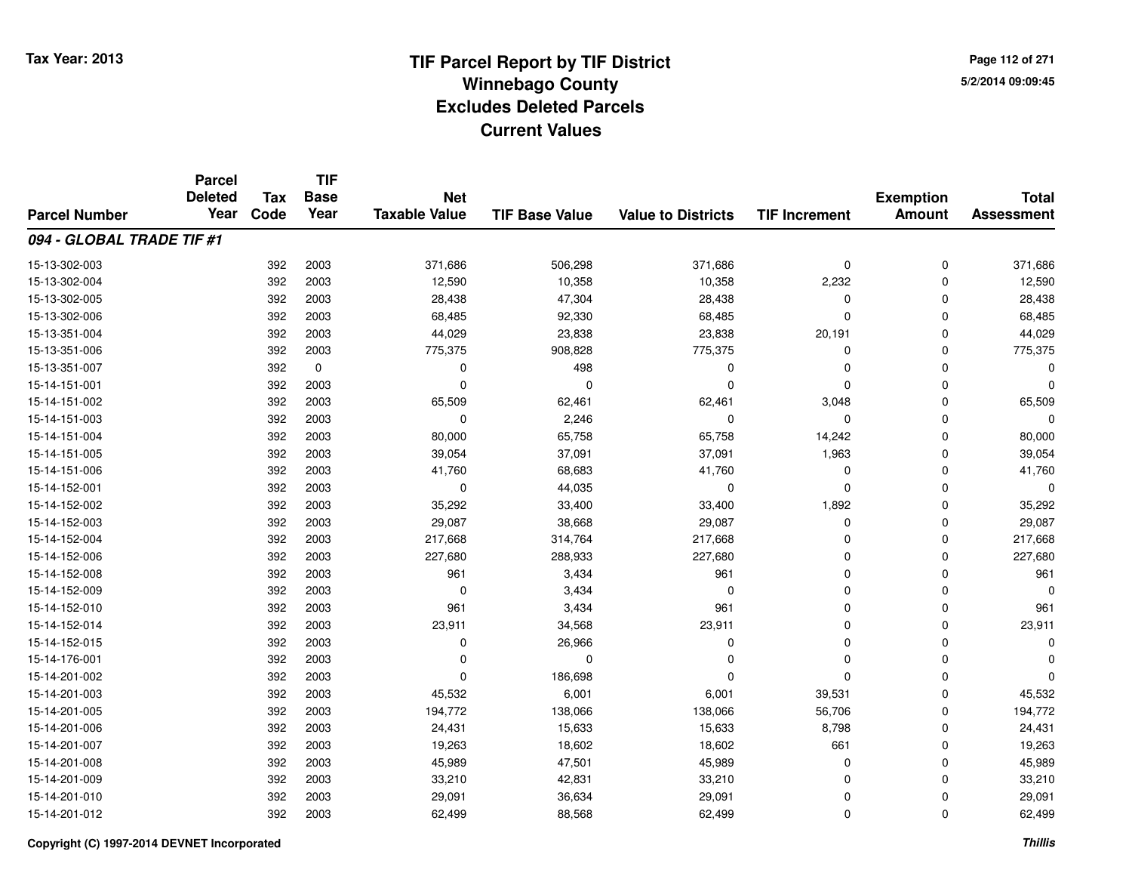**Page 112 of 2715/2/2014 09:09:45**

|                           | <b>Parcel</b><br><b>Deleted</b> | <b>Tax</b> | <b>TIF</b><br><b>Base</b> | <b>Net</b>           |                       |                           |                      | <b>Exemption</b> | <b>Total</b>      |
|---------------------------|---------------------------------|------------|---------------------------|----------------------|-----------------------|---------------------------|----------------------|------------------|-------------------|
| <b>Parcel Number</b>      | Year                            | Code       | Year                      | <b>Taxable Value</b> | <b>TIF Base Value</b> | <b>Value to Districts</b> | <b>TIF Increment</b> | <b>Amount</b>    | <b>Assessment</b> |
| 094 - GLOBAL TRADE TIF #1 |                                 |            |                           |                      |                       |                           |                      |                  |                   |
| 15-13-302-003             |                                 | 392        | 2003                      | 371,686              | 506,298               | 371,686                   | 0                    | 0                | 371,686           |
| 15-13-302-004             |                                 | 392        | 2003                      | 12,590               | 10,358                | 10,358                    | 2,232                | 0                | 12,590            |
| 15-13-302-005             |                                 | 392        | 2003                      | 28,438               | 47,304                | 28,438                    | 0                    | 0                | 28,438            |
| 15-13-302-006             |                                 | 392        | 2003                      | 68,485               | 92,330                | 68,485                    | 0                    | 0                | 68,485            |
| 15-13-351-004             |                                 | 392        | 2003                      | 44,029               | 23,838                | 23,838                    | 20,191               | $\Omega$         | 44,029            |
| 15-13-351-006             |                                 | 392        | 2003                      | 775,375              | 908,828               | 775,375                   | 0                    | 0                | 775,375           |
| 15-13-351-007             |                                 | 392        | $\mathbf 0$               | $\Omega$             | 498                   | 0                         | 0                    | $\Omega$         | $\Omega$          |
| 15-14-151-001             |                                 | 392        | 2003                      | $\Omega$             | $\Omega$              | $\Omega$                  | 0                    | $\Omega$         | 0                 |
| 15-14-151-002             |                                 | 392        | 2003                      | 65,509               | 62,461                | 62,461                    | 3,048                | $\Omega$         | 65,509            |
| 15-14-151-003             |                                 | 392        | 2003                      | $\mathbf 0$          | 2,246                 | $\Omega$                  | 0                    | $\Omega$         | $\Omega$          |
| 15-14-151-004             |                                 | 392        | 2003                      | 80,000               | 65,758                | 65,758                    | 14,242               | $\Omega$         | 80,000            |
| 15-14-151-005             |                                 | 392        | 2003                      | 39,054               | 37,091                | 37,091                    | 1,963                | $\Omega$         | 39,054            |
| 15-14-151-006             |                                 | 392        | 2003                      | 41,760               | 68,683                | 41,760                    | 0                    | $\Omega$         | 41,760            |
| 15-14-152-001             |                                 | 392        | 2003                      | 0                    | 44,035                | $\mathbf 0$               | 0                    | $\Omega$         | 0                 |
| 15-14-152-002             |                                 | 392        | 2003                      | 35,292               | 33,400                | 33,400                    | 1,892                | $\Omega$         | 35,292            |
| 15-14-152-003             |                                 | 392        | 2003                      | 29,087               | 38,668                | 29,087                    | 0                    | 0                | 29,087            |
| 15-14-152-004             |                                 | 392        | 2003                      | 217,668              | 314,764               | 217,668                   | 0                    | $\Omega$         | 217,668           |
| 15-14-152-006             |                                 | 392        | 2003                      | 227,680              | 288,933               | 227,680                   | 0                    | 0                | 227,680           |
| 15-14-152-008             |                                 | 392        | 2003                      | 961                  | 3,434                 | 961                       | 0                    | $\Omega$         | 961               |
| 15-14-152-009             |                                 | 392        | 2003                      | 0                    | 3,434                 | 0                         | 0                    | 0                | n                 |
| 15-14-152-010             |                                 | 392        | 2003                      | 961                  | 3,434                 | 961                       | 0                    | $\mathbf 0$      | 961               |
| 15-14-152-014             |                                 | 392        | 2003                      | 23,911               | 34,568                | 23,911                    | 0                    | 0                | 23,911            |
| 15-14-152-015             |                                 | 392        | 2003                      | $\mathbf 0$          | 26,966                | $\mathbf 0$               | 0                    | $\mathbf 0$      | $\Omega$          |
| 15-14-176-001             |                                 | 392        | 2003                      | 0                    | 0                     | 0                         | 0                    | $\mathbf 0$      |                   |
| 15-14-201-002             |                                 | 392        | 2003                      | $\Omega$             | 186,698               | $\Omega$                  | 0                    | $\Omega$         |                   |
| 15-14-201-003             |                                 | 392        | 2003                      | 45,532               | 6,001                 | 6,001                     | 39,531               | $\mathbf 0$      | 45,532            |
| 15-14-201-005             |                                 | 392        | 2003                      | 194,772              | 138,066               | 138,066                   | 56,706               | $\mathbf 0$      | 194,772           |
| 15-14-201-006             |                                 | 392        | 2003                      | 24,431               | 15,633                | 15,633                    | 8,798                | 0                | 24,431            |
| 15-14-201-007             |                                 | 392        | 2003                      | 19,263               | 18,602                | 18,602                    | 661                  | 0                | 19,263            |
| 15-14-201-008             |                                 | 392        | 2003                      | 45,989               | 47,501                | 45,989                    | 0                    | 0                | 45,989            |
| 15-14-201-009             |                                 | 392        | 2003                      | 33,210               | 42,831                | 33,210                    | 0                    | $\Omega$         | 33,210            |
| 15-14-201-010             |                                 | 392        | 2003                      | 29,091               | 36,634                | 29,091                    | 0                    | 0                | 29,091            |
| 15-14-201-012             |                                 | 392        | 2003                      | 62,499               | 88,568                | 62,499                    | 0                    | $\Omega$         | 62,499            |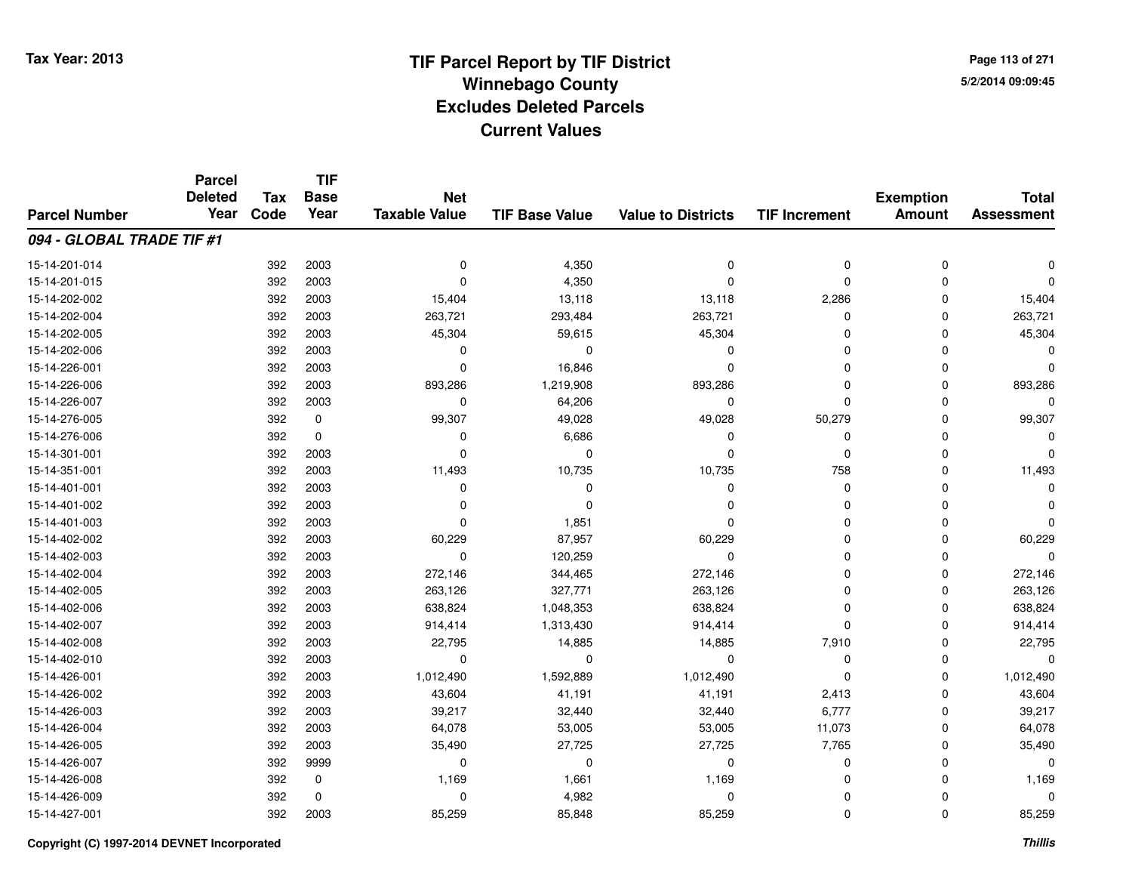**Page 113 of 2715/2/2014 09:09:45**

#### **TIF Base ValueParcel NumberTotal AssessmentExemption Amount Value to Districts TIF IncrementTIF Base YearTax CodeParcel Deleted YearNet Taxable Value094 - GLOBAL TRADE TIF #1**15-14-201-014 $\frac{4}{10}$  392 2003 0  $\frac{4}{350}$  4,350 0 0 0 0 0 0 15-14-201-0155 and the contract of the contract of the contract of the contract of the contract of  $\alpha$  of  $\alpha$  of  $\alpha$  of  $\alpha$  of  $\alpha$  of  $\alpha$  of  $\alpha$  of  $\alpha$  of  $\alpha$  of  $\alpha$  of  $\alpha$  of  $\alpha$  of  $\alpha$  of  $\alpha$  of  $\alpha$  of  $\alpha$  of  $\alpha$  of 15-14-202-002 <sup>392</sup> 15,404 <sup>2003</sup> 13,118 13,118 2,286 <sup>0</sup> 15,404 15-14-202-004 <sup>392</sup> 263,721 <sup>2003</sup> 293,484 263,721 <sup>0</sup> <sup>0</sup> 263,721 15-14-202-005 <sup>392</sup> 45,304 <sup>2003</sup> 59,615 45,304 <sup>0</sup> <sup>0</sup> 45,304 15-14-202-006 <sup>392</sup> <sup>0</sup> <sup>2003</sup> <sup>0</sup> <sup>0</sup> <sup>0</sup> <sup>0</sup> <sup>0</sup> 15-14-226-0011 392 2003 0 16,846 0 0 0 0 15-14-226-006 <sup>392</sup> 893,286 <sup>2003</sup> 1,219,908 893,286 <sup>0</sup> <sup>0</sup> 893,286 15-14-226-007 <sup>392</sup> <sup>0</sup> <sup>2003</sup> 64,206 <sup>0</sup> <sup>0</sup> <sup>0</sup> <sup>0</sup> 15-14-276-005 <sup>392</sup> 99,307 <sup>0</sup> 49,028 49,028 50,279 <sup>0</sup> 99,307 15-14-276-0066 392 0 0 6,686 0 0 0 0 15-14-301-001 <sup>392</sup> <sup>0</sup> <sup>2003</sup> <sup>0</sup> <sup>0</sup> <sup>0</sup> <sup>0</sup> <sup>0</sup> 15-14-351-0011 392 2003 11,493 10,735 10,735 758 0 11,493 15-14-401-001 <sup>392</sup> <sup>0</sup> <sup>2003</sup> <sup>0</sup> <sup>0</sup> <sup>0</sup> <sup>0</sup> <sup>0</sup> 15-14-401-002 <sup>392</sup> <sup>0</sup> <sup>2003</sup> <sup>0</sup> <sup>0</sup> <sup>0</sup> <sup>0</sup> <sup>0</sup> 15-14-401-003 <sup>392</sup> <sup>0</sup> <sup>2003</sup> 1,851 <sup>0</sup> <sup>0</sup> <sup>0</sup> <sup>0</sup> 15-14-402-0022 392 2003 60,229 87,957 60,229 0 0 60,229 15-14-402-003 <sup>392</sup> <sup>0</sup> <sup>2003</sup> 120,259 <sup>0</sup> <sup>0</sup> <sup>0</sup> <sup>0</sup> 15-14-402-004 <sup>392</sup> 272,146 <sup>2003</sup> 344,465 272,146 <sup>0</sup> <sup>0</sup> 272,146 15-14-402-005 <sup>392</sup> 263,126 <sup>2003</sup> 327,771 263,126 <sup>0</sup> <sup>0</sup> 263,126 15-14-402-0066 392 2003 638,824 1,048,353 638,824 0 0 638,824 15-14-402-007 <sup>392</sup> 914,414 <sup>2003</sup> 1,313,430 914,414 <sup>0</sup> <sup>0</sup> 914,414 15-14-402-008 <sup>392</sup> 22,795 <sup>2003</sup> 14,885 14,885 7,910 <sup>0</sup> 22,795 15-14-402-010 <sup>392</sup> <sup>0</sup> <sup>2003</sup> <sup>0</sup> <sup>0</sup> <sup>0</sup> <sup>0</sup> <sup>0</sup> 15-14-426-0011 392 2003 1,012,490 1,592,889 1,012,490 0 0 1,012,490 15-14-426-002 <sup>392</sup> 43,604 <sup>2003</sup> 41,191 41,191 2,413 <sup>0</sup> 43,604 15-14-426-003 <sup>392</sup> 39,217 <sup>2003</sup> 32,440 32,440 6,777 <sup>0</sup> 39,217 15-14-426-004 <sup>392</sup> 64,078 <sup>2003</sup> 53,005 53,005 11,073 <sup>0</sup> 64,078 15-14-426-005 <sup>392</sup> 35,490 <sup>2003</sup> 27,725 27,725 7,765 <sup>0</sup> 35,490 15-14-426-007 <sup>392</sup> <sup>0</sup> <sup>9999</sup> <sup>0</sup> <sup>0</sup> <sup>0</sup> <sup>0</sup> <sup>0</sup> 15-14-426-0088 392 0 1,169 1,661 1,169 0 0 1,169 15-14-426-0099 392 0 0 4,982 0 0 0 0 15-14-427-0011 392 2003 85,259 85,848 85,259 0 0 85,259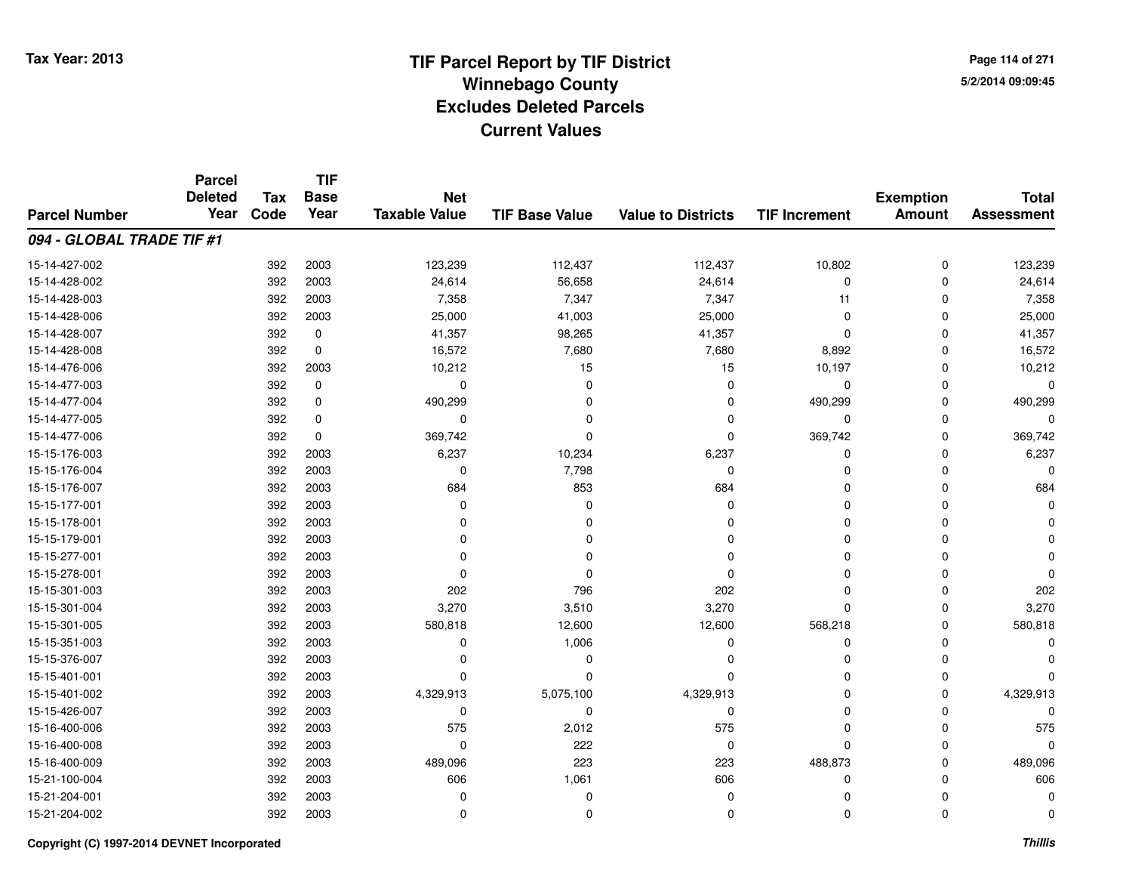**TIF**

**Parcel**

**Page 114 of 2715/2/2014 09:09:45**

| <b>Parcel Number</b>      | <b>Deleted</b><br>Year | <b>Tax</b><br>Code | .<br><b>Base</b><br>Year | <b>Net</b><br><b>Taxable Value</b> | <b>TIF Base Value</b> | <b>Value to Districts</b> | <b>TIF Increment</b> | <b>Exemption</b><br><b>Amount</b> | <b>Total</b><br><b>Assessment</b> |
|---------------------------|------------------------|--------------------|--------------------------|------------------------------------|-----------------------|---------------------------|----------------------|-----------------------------------|-----------------------------------|
| 094 - GLOBAL TRADE TIF #1 |                        |                    |                          |                                    |                       |                           |                      |                                   |                                   |
| 15-14-427-002             |                        | 392                | 2003                     | 123,239                            | 112,437               | 112,437                   | 10,802               | $\pmb{0}$                         | 123,239                           |
| 15-14-428-002             |                        | 392                | 2003                     | 24,614                             | 56,658                | 24,614                    | $\Omega$             | $\mathbf 0$                       | 24,614                            |
| 15-14-428-003             |                        | 392                | 2003                     | 7,358                              | 7,347                 | 7,347                     | 11                   | 0                                 | 7,358                             |
| 15-14-428-006             |                        | 392                | 2003                     | 25,000                             | 41,003                | 25,000                    | $\Omega$             | 0                                 | 25,000                            |
| 15-14-428-007             |                        | 392                | 0                        | 41,357                             | 98,265                | 41,357                    | $\Omega$             | $\Omega$                          | 41,357                            |
| 15-14-428-008             |                        | 392                | $\mathbf 0$              | 16,572                             | 7,680                 | 7,680                     | 8,892                | $\Omega$                          | 16,572                            |
| 15-14-476-006             |                        | 392                | 2003                     | 10,212                             | 15                    | 15                        | 10,197               | $\Omega$                          | 10,212                            |
| 15-14-477-003             |                        | 392                | 0                        | 0                                  | O                     | $\Omega$                  | $\mathbf 0$          | $\Omega$                          |                                   |
| 15-14-477-004             |                        | 392                | 0                        | 490,299                            | 0                     | $\Omega$                  | 490,299              | 0                                 | 490,299                           |
| 15-14-477-005             |                        | 392                | 0                        | 0                                  | $\Omega$              | $\Omega$                  | 0                    | $\Omega$                          |                                   |
| 15-14-477-006             |                        | 392                | 0                        | 369,742                            | $\Omega$              | $\mathbf 0$               | 369,742              | $\Omega$                          | 369,742                           |
| 15-15-176-003             |                        | 392                | 2003                     | 6,237                              | 10,234                | 6,237                     | $\Omega$             | $\Omega$                          | 6,237                             |
| 15-15-176-004             |                        | 392                | 2003                     | 0                                  | 7,798                 | $\mathbf 0$               | $\Omega$             | $\Omega$                          |                                   |
| 15-15-176-007             |                        | 392                | 2003                     | 684                                | 853                   | 684                       | $\Omega$             | $\Omega$                          | 684                               |
| 15-15-177-001             |                        | 392                | 2003                     | O                                  | O                     | $\Omega$                  | O                    | O                                 |                                   |
| 15-15-178-001             |                        | 392                | 2003                     | U                                  | O                     | n                         | $\Omega$             | $\Omega$                          |                                   |
| 15-15-179-001             |                        | 392                | 2003                     |                                    | n                     | O                         | $\Omega$             | $\Omega$                          |                                   |
| 15-15-277-001             |                        | 392                | 2003                     |                                    | O                     | n                         | $\Omega$             | $\Omega$                          |                                   |
| 15-15-278-001             |                        | 392                | 2003                     | ∩                                  |                       | $\Omega$                  | $\Omega$             | $\Omega$                          |                                   |
| 15-15-301-003             |                        | 392                | 2003                     | 202                                | 796                   | 202                       | $\Omega$             | $\Omega$                          | 202                               |
| 15-15-301-004             |                        | 392                | 2003                     | 3,270                              | 3,510                 | 3,270                     | $\Omega$             | $\Omega$                          | 3,270                             |
| 15-15-301-005             |                        | 392                | 2003                     | 580,818                            | 12,600                | 12,600                    | 568,218              | $\Omega$                          | 580,818                           |
| 15-15-351-003             |                        | 392                | 2003                     | 0                                  | 1,006                 | 0                         | $\Omega$             | $\Omega$                          |                                   |
| 15-15-376-007             |                        | 392                | 2003                     | 0                                  | 0                     | $\Omega$                  | $\Omega$             | $\Omega$                          |                                   |
| 15-15-401-001             |                        | 392                | 2003                     | O                                  | $\Omega$              | $\Omega$                  | $\Omega$             | $\Omega$                          |                                   |
| 15-15-401-002             |                        | 392                | 2003                     | 4,329,913                          | 5,075,100             | 4,329,913                 | $\Omega$             | $\Omega$                          | 4,329,913                         |
| 15-15-426-007             |                        | 392                | 2003                     | $\mathbf 0$                        | $\Omega$              | $\mathbf 0$               | $\Omega$             | $\Omega$                          |                                   |
| 15-16-400-006             |                        | 392                | 2003                     | 575                                | 2,012                 | 575                       | $\Omega$             | $\Omega$                          | 575                               |
| 15-16-400-008             |                        | 392                | 2003                     | $\Omega$                           | 222                   | $\mathbf 0$               | $\Omega$             | O                                 |                                   |
| 15-16-400-009             |                        | 392                | 2003                     | 489,096                            | 223                   | 223                       | 488,873              | $\Omega$                          | 489,096                           |
| 15-21-100-004             |                        | 392                | 2003                     | 606                                | 1,061                 | 606                       | 0                    | $\Omega$                          | 606                               |
| 15-21-204-001             |                        | 392                | 2003                     |                                    | $\Omega$              | $\Omega$                  | $\Omega$             | 0                                 |                                   |
| 15-21-204-002             |                        | 392                | 2003                     | 0                                  | 0                     | $\mathbf 0$               | $\Omega$             | $\mathbf 0$                       |                                   |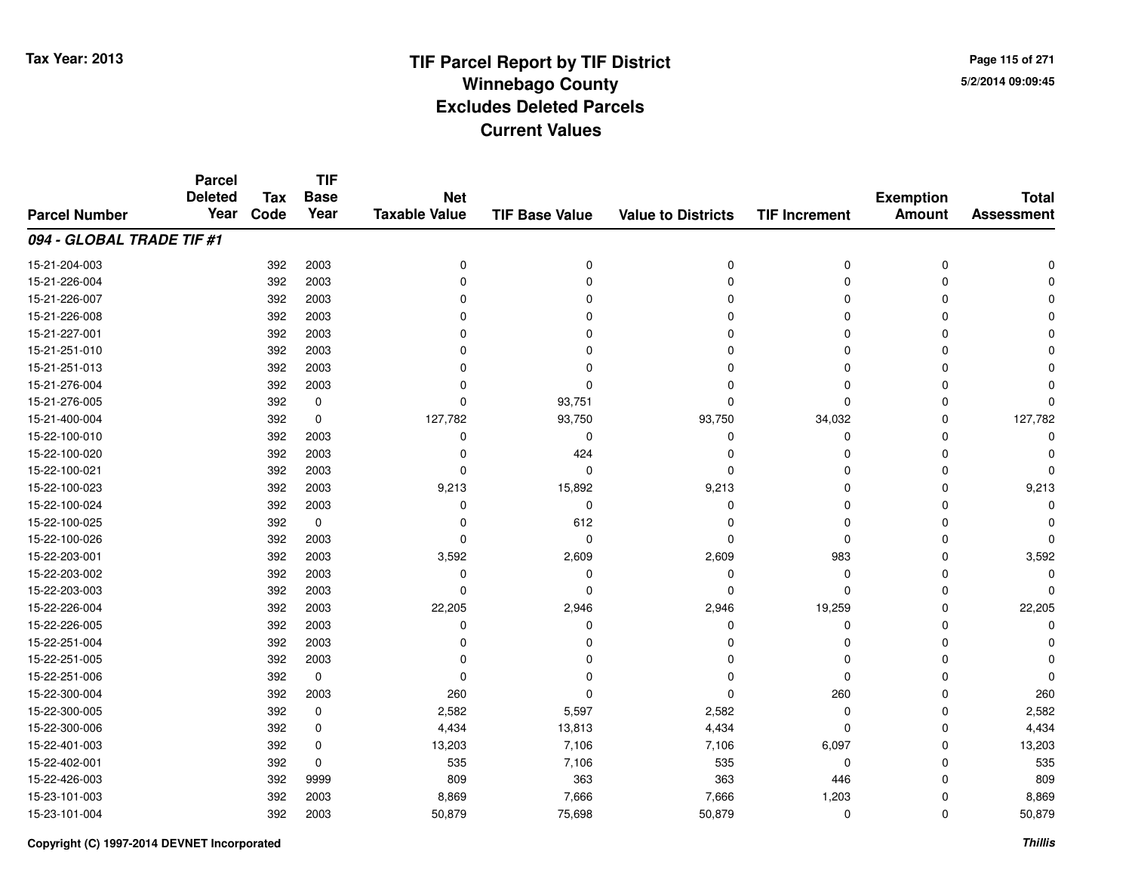**TIF**

**Parcel**

**Page 115 of 2715/2/2014 09:09:45**

| <b>Parcel Number</b>      | <b>Deleted</b><br>Year | <b>Tax</b><br>Code | <b>Base</b><br>Year | <b>Net</b><br><b>Taxable Value</b> | <b>TIF Base Value</b> | <b>Value to Districts</b> | <b>TIF Increment</b> | <b>Exemption</b><br><b>Amount</b> | <b>Total</b><br><b>Assessment</b> |
|---------------------------|------------------------|--------------------|---------------------|------------------------------------|-----------------------|---------------------------|----------------------|-----------------------------------|-----------------------------------|
| 094 - GLOBAL TRADE TIF #1 |                        |                    |                     |                                    |                       |                           |                      |                                   |                                   |
| 15-21-204-003             |                        | 392                | 2003                | 0                                  | 0                     | $\mathbf 0$               | $\mathbf 0$          | $\mathbf 0$                       |                                   |
| 15-21-226-004             |                        | 392                | 2003                | $\Omega$                           | O                     | 0                         | 0                    | 0                                 |                                   |
| 15-21-226-007             |                        | 392                | 2003                | 0                                  |                       |                           | $\Omega$             |                                   |                                   |
| 15-21-226-008             |                        | 392                | 2003                |                                    |                       | O                         | $\Omega$             |                                   |                                   |
| 15-21-227-001             |                        | 392                | 2003                | ŋ                                  |                       | O                         | $\Omega$             | n                                 |                                   |
| 15-21-251-010             |                        | 392                | 2003                |                                    |                       | O                         | $\Omega$             |                                   |                                   |
| 15-21-251-013             |                        | 392                | 2003                |                                    |                       | O                         | $\Omega$             |                                   |                                   |
| 15-21-276-004             |                        | 392                | 2003                | ŋ                                  | O                     | O                         | $\Omega$             | ∩                                 |                                   |
| 15-21-276-005             |                        | 392                | 0                   | $\Omega$                           | 93,751                | $\Omega$                  | $\mathbf 0$          | O                                 |                                   |
| 15-21-400-004             |                        | 392                | 0                   | 127,782                            | 93,750                | 93,750                    | 34,032               | $\Omega$                          | 127,782                           |
| 15-22-100-010             |                        | 392                | 2003                | 0                                  | $\Omega$              | $\mathbf 0$               | $\mathbf 0$          | O                                 |                                   |
| 15-22-100-020             |                        | 392                | 2003                | 0                                  | 424                   | 0                         | 0                    | n                                 |                                   |
| 15-22-100-021             |                        | 392                | 2003                | 0                                  | 0                     | $\mathbf 0$               | 0                    | n                                 |                                   |
| 15-22-100-023             |                        | 392                | 2003                | 9,213                              | 15,892                | 9,213                     | 0                    | 0                                 | 9,213                             |
| 15-22-100-024             |                        | 392                | 2003                | 0                                  | $\Omega$              | $\Omega$                  | $\Omega$             | n                                 |                                   |
| 15-22-100-025             |                        | 392                | $\mathbf 0$         | O                                  | 612                   | $\Omega$                  | $\Omega$             |                                   |                                   |
| 15-22-100-026             |                        | 392                | 2003                | $\Omega$                           | $\Omega$              | $\Omega$                  | $\Omega$             | ∩                                 |                                   |
| 15-22-203-001             |                        | 392                | 2003                | 3,592                              | 2,609                 | 2,609                     | 983                  | O                                 | 3,592                             |
| 15-22-203-002             |                        | 392                | 2003                | $\Omega$                           | $\Omega$              | $\mathbf 0$               | $\mathbf 0$          | O                                 |                                   |
| 15-22-203-003             |                        | 392                | 2003                | 0                                  | 0                     | $\Omega$                  | 0                    | O                                 |                                   |
| 15-22-226-004             |                        | 392                | 2003                | 22,205                             | 2,946                 | 2,946                     | 19,259               | 0                                 | 22,205                            |
| 15-22-226-005             |                        | 392                | 2003                | ŋ                                  | n                     | $\Omega$                  | 0                    | n                                 |                                   |
| 15-22-251-004             |                        | 392                | 2003                | ŋ                                  |                       | n                         | $\Omega$             |                                   |                                   |
| 15-22-251-005             |                        | 392                | 2003                |                                    |                       |                           | $\Omega$             |                                   |                                   |
| 15-22-251-006             |                        | 392                | $\mathbf 0$         | $\Omega$                           |                       | O                         | $\Omega$             |                                   |                                   |
| 15-22-300-004             |                        | 392                | 2003                | 260                                | ∩                     | $\Omega$                  | 260                  | $\Omega$                          | 260                               |
| 15-22-300-005             |                        | 392                | 0                   | 2,582                              | 5,597                 | 2,582                     | $\mathbf 0$          | O                                 | 2,582                             |
| 15-22-300-006             |                        | 392                | 0                   | 4,434                              | 13,813                | 4,434                     | $\mathbf 0$          | O                                 | 4,434                             |
| 15-22-401-003             |                        | 392                | 0                   | 13,203                             | 7,106                 | 7,106                     | 6,097                |                                   | 13,203                            |
| 15-22-402-001             |                        | 392                | $\mathbf 0$         | 535                                | 7,106                 | 535                       | 0                    | O                                 | 535                               |
| 15-22-426-003             |                        | 392                | 9999                | 809                                | 363                   | 363                       | 446                  | O                                 | 809                               |
| 15-23-101-003             |                        | 392                | 2003                | 8,869                              | 7,666                 | 7,666                     | 1,203                |                                   | 8,869                             |
| 15-23-101-004             |                        | 392                | 2003                | 50,879                             | 75,698                | 50,879                    | $\mathbf 0$          | $\mathbf 0$                       | 50,879                            |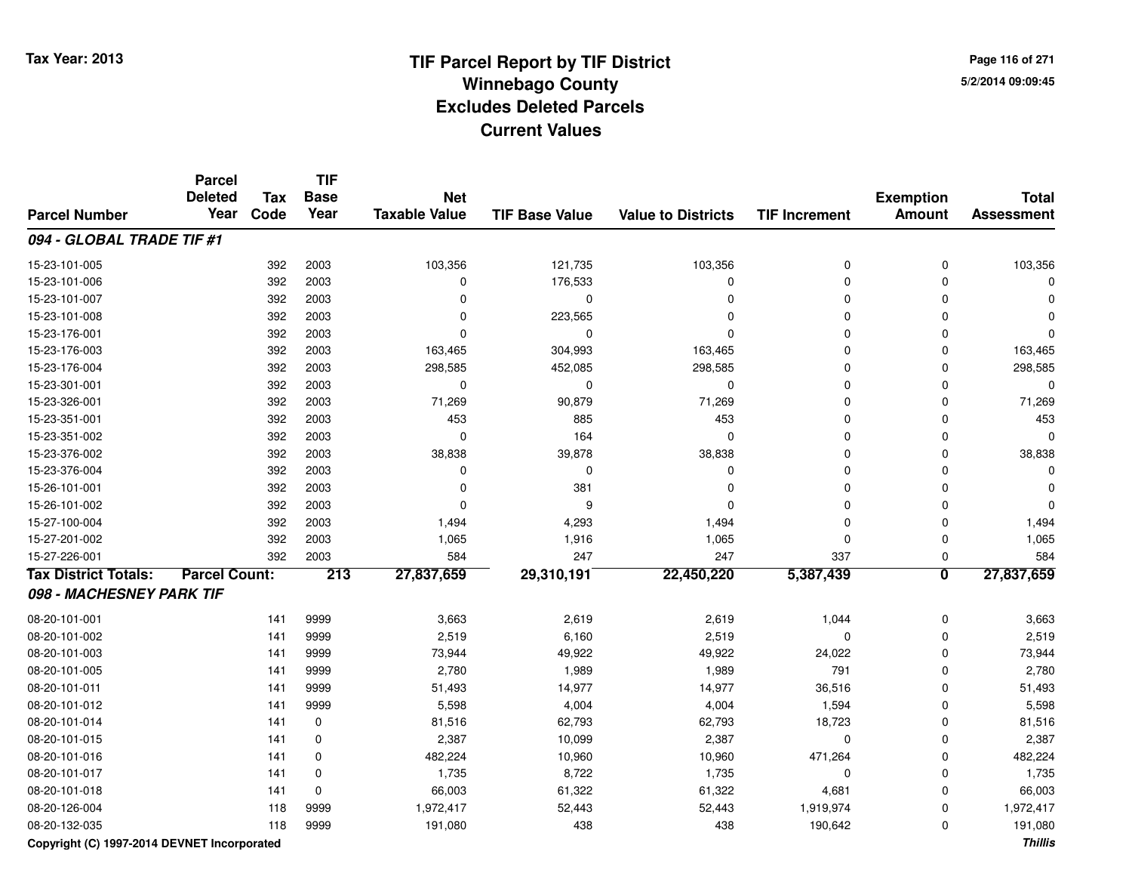**Page 116 of 2715/2/2014 09:09:45**

#### **TIF Base ValueParcel NumberTotal AssessmentExemption Amount Value to Districts TIF IncrementTIF Base YearTax CodeParcel Deleted YearNet Taxable Value094 - GLOBAL TRADE TIF #1**15-23-101-005 <sup>392</sup> 103,356 <sup>2003</sup> 121,735 103,356 <sup>0</sup> <sup>0</sup> 103,356 15-23-101-006 <sup>392</sup> <sup>0</sup> <sup>2003</sup> 176,533 <sup>0</sup> <sup>0</sup> <sup>0</sup> <sup>0</sup> 15-23-101-007 <sup>392</sup> <sup>0</sup> <sup>2003</sup> <sup>0</sup> <sup>0</sup> <sup>0</sup> <sup>0</sup> <sup>0</sup> 15-23-101-0088 392 2003 0 223,565 0 0 0 0 15-23-176-001 <sup>392</sup> <sup>0</sup> <sup>2003</sup> <sup>0</sup> <sup>0</sup> <sup>0</sup> <sup>0</sup> <sup>0</sup> 15-23-176-003 <sup>392</sup> 163,465 <sup>2003</sup> 304,993 163,465 <sup>0</sup> <sup>0</sup> 163,465 15-23-176-004 <sup>392</sup> 298,585 <sup>2003</sup> 452,085 298,585 <sup>0</sup> <sup>0</sup> 298,585 15-23-301-001 <sup>392</sup> <sup>0</sup> <sup>2003</sup> <sup>0</sup> <sup>0</sup> <sup>0</sup> <sup>0</sup> <sup>0</sup> 15-23-326-0011 392 2003 71,269 90,879 71,269 0 0 71,269 15-23-351-0011 392 2003 453 885 453 0 0 453 15-23-351-0022 2 2003 0 2003 0 2009 0 2009 0 2010 0 2020 0 2020 0 2020 0 2020 0 2020 0 2020 0 2020 0 2020 0 2020 0 2020 0 20 15-23-376-002 <sup>392</sup> 38,838 <sup>2003</sup> 39,878 38,838 <sup>0</sup> <sup>0</sup> 38,838 15-23-376-004 <sup>392</sup> <sup>0</sup> <sup>2003</sup> <sup>0</sup> <sup>0</sup> <sup>0</sup> <sup>0</sup> <sup>0</sup> 15-26-101-0011 392 2003 0 381 0 0 0 0 15-26-101-002 <sup>392</sup> <sup>0</sup> <sup>2003</sup> <sup>9</sup> <sup>0</sup> <sup>0</sup> <sup>0</sup> <sup>0</sup> 15-27-100-004 <sup>392</sup> 1,494 <sup>2003</sup> 4,293 1,494 <sup>0</sup> <sup>0</sup> 1,494 15-27-201-0022 2 392 2003 1,065 1,916 1,065 0 0 1,065 15-27-226-001 <sup>392</sup> <sup>584</sup> <sup>2003</sup> <sup>247</sup> <sup>247</sup> <sup>337</sup> <sup>0</sup> <sup>584</sup> **Tax District Totals: Parcel Count: <sup>213</sup> 27,837,659 29,310,191 22,450,220 5,387,439 <sup>0</sup> 27,837,659 098 - MACHESNEY PARK TIF**08-20-101-0011 141 9999 3,663 2,619 2,619 1,044 0 3,663 08-20-101-0022 141 9999 2,519 6,160 2,519 0 0 2,519 08-20-101-0033 141 9999 73,944 49,922 49,922 24,022 0 73,944 08-20-101-005 <sup>141</sup> 2,780 <sup>9999</sup> 1,989 1,989 <sup>791</sup> <sup>0</sup> 2,780 08-20-101-011 <sup>141</sup> 51,493 <sup>9999</sup> 14,977 14,977 36,516 <sup>0</sup> 51,493 08-20-101-012 <sup>141</sup> 5,598 <sup>9999</sup> 4,004 4,004 1,594 <sup>0</sup> 5,598 08-20-101-0144 141 0 81,516 62,793 62,793 18,723 0 81,516 08-20-101-015 <sup>141</sup> 2,387 <sup>0</sup> 10,099 2,387 <sup>0</sup> <sup>0</sup> 2,387 08-20-101-016 <sup>141</sup> 482,224 <sup>0</sup> 10,960 10,960 471,264 <sup>0</sup> 482,224 08-20-101-017 <sup>141</sup> 1,735 <sup>0</sup> 8,722 1,735 <sup>0</sup> <sup>0</sup> 1,735 08-20-101-0188 141 0 66,003 61,322 61,322 4,681 0 66,003 08-20-126-0044 118 9999 1,972,417 52,443 52,443 1,919,974 0 1,972,417 08-20-132-035<sup>118</sup> 191,080 <sup>9999</sup> <sup>438</sup> <sup>438</sup> 190,642 <sup>0</sup> 191,080

**Copyright (C) 1997-2014 DEVNET Incorporated**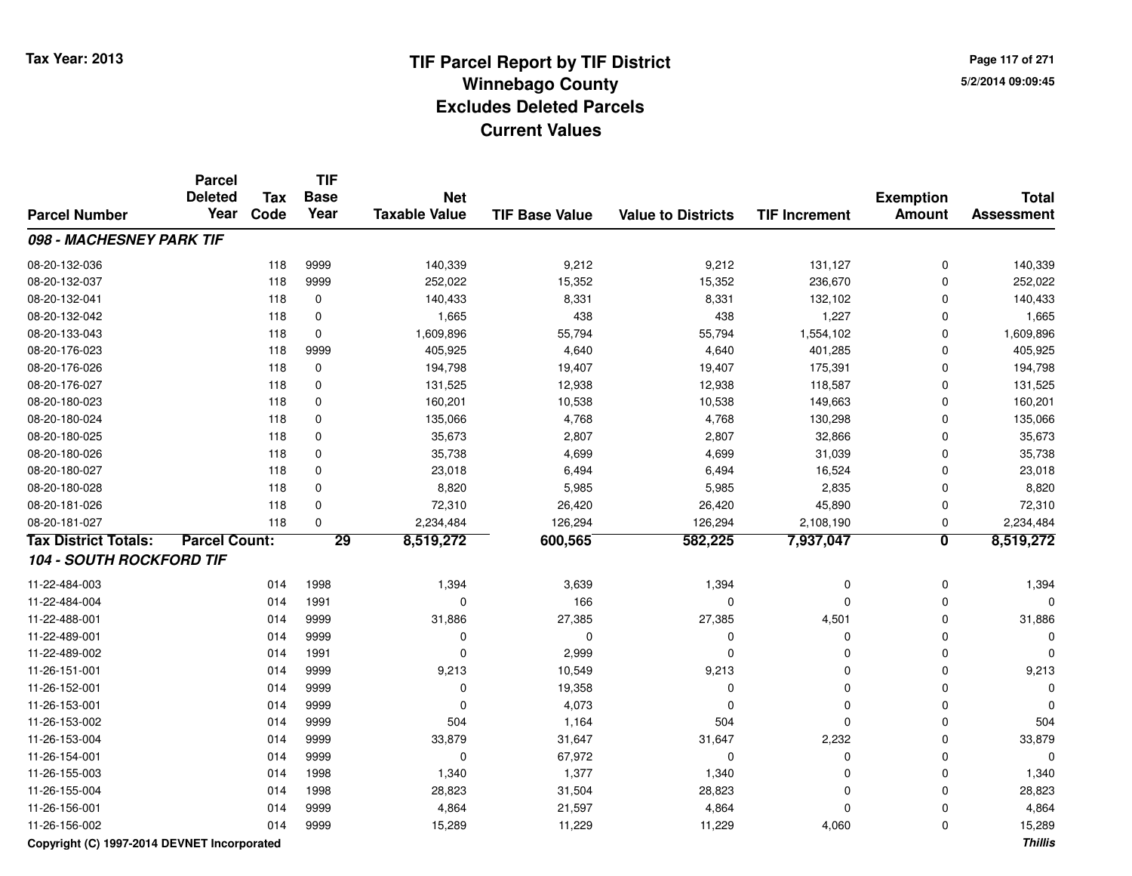**Page 117 of 2715/2/2014 09:09:45**

|                                 | <b>Parcel</b>        |            | <b>TIF</b>  |                      |                       |                           |                      |                         |                   |
|---------------------------------|----------------------|------------|-------------|----------------------|-----------------------|---------------------------|----------------------|-------------------------|-------------------|
|                                 | <b>Deleted</b>       | <b>Tax</b> | <b>Base</b> | <b>Net</b>           |                       |                           |                      | <b>Exemption</b>        | <b>Total</b>      |
| <b>Parcel Number</b>            | Year                 | Code       | Year        | <b>Taxable Value</b> | <b>TIF Base Value</b> | <b>Value to Districts</b> | <b>TIF Increment</b> | <b>Amount</b>           | <b>Assessment</b> |
| 098 - MACHESNEY PARK TIF        |                      |            |             |                      |                       |                           |                      |                         |                   |
| 08-20-132-036                   |                      | 118        | 9999        | 140,339              | 9,212                 | 9,212                     | 131,127              | $\mathbf 0$             | 140,339           |
| 08-20-132-037                   |                      | 118        | 9999        | 252,022              | 15,352                | 15,352                    | 236,670              | 0                       | 252,022           |
| 08-20-132-041                   |                      | 118        | $\mathbf 0$ | 140,433              | 8,331                 | 8,331                     | 132,102              | $\Omega$                | 140,433           |
| 08-20-132-042                   |                      | 118        | $\mathbf 0$ | 1,665                | 438                   | 438                       | 1,227                | $\Omega$                | 1,665             |
| 08-20-133-043                   |                      | 118        | $\mathbf 0$ | 1,609,896            | 55,794                | 55,794                    | 1,554,102            | 0                       | 1,609,896         |
| 08-20-176-023                   |                      | 118        | 9999        | 405,925              | 4,640                 | 4,640                     | 401,285              | 0                       | 405,925           |
| 08-20-176-026                   |                      | 118        | 0           | 194,798              | 19,407                | 19,407                    | 175,391              | $\Omega$                | 194,798           |
| 08-20-176-027                   |                      | 118        | 0           | 131,525              | 12,938                | 12,938                    | 118,587              | $\Omega$                | 131,525           |
| 08-20-180-023                   |                      | 118        | $\mathbf 0$ | 160,201              | 10,538                | 10,538                    | 149,663              | $\Omega$                | 160,201           |
| 08-20-180-024                   |                      | 118        | 0           | 135,066              | 4,768                 | 4,768                     | 130,298              | $\Omega$                | 135,066           |
| 08-20-180-025                   |                      | 118        | $\mathbf 0$ | 35,673               | 2,807                 | 2,807                     | 32,866               | $\mathbf 0$             | 35,673            |
| 08-20-180-026                   |                      | 118        | 0           | 35,738               | 4,699                 | 4,699                     | 31,039               | $\mathbf 0$             | 35,738            |
| 08-20-180-027                   |                      | 118        | 0           | 23,018               | 6,494                 | 6,494                     | 16,524               | $\mathbf 0$             | 23,018            |
| 08-20-180-028                   |                      | 118        | $\mathbf 0$ | 8,820                | 5,985                 | 5,985                     | 2,835                | $\mathbf 0$             | 8,820             |
| 08-20-181-026                   |                      | 118        | $\mathbf 0$ | 72,310               | 26,420                | 26,420                    | 45,890               | $\mathbf 0$             | 72,310            |
| 08-20-181-027                   |                      | 118        | $\Omega$    | 2,234,484            | 126,294               | 126,294                   | 2,108,190            | 0                       | 2,234,484         |
| <b>Tax District Totals:</b>     | <b>Parcel Count:</b> |            | 29          | 8,519,272            | 600,565               | 582,225                   | 7,937,047            | $\overline{\mathbf{0}}$ | 8,519,272         |
| <b>104 - SOUTH ROCKFORD TIF</b> |                      |            |             |                      |                       |                           |                      |                         |                   |
| 11-22-484-003                   |                      | 014        | 1998        | 1,394                | 3,639                 | 1,394                     | 0                    | $\mathbf 0$             | 1,394             |
| 11-22-484-004                   |                      | 014        | 1991        | $\mathbf 0$          | 166                   | 0                         | 0                    | $\Omega$                | O                 |
| 11-22-488-001                   |                      | 014        | 9999        | 31,886               | 27,385                | 27,385                    | 4,501                | $\Omega$                | 31,886            |
| 11-22-489-001                   |                      | 014        | 9999        | 0                    | $\Omega$              | $\Omega$                  | $\mathbf 0$          | $\Omega$                |                   |
| 11-22-489-002                   |                      | 014        | 1991        | $\mathbf 0$          | 2,999                 | $\Omega$                  | $\mathbf 0$          | $\Omega$                | O                 |
| 11-26-151-001                   |                      | 014        | 9999        | 9,213                | 10,549                | 9,213                     | $\mathbf 0$          | $\Omega$                | 9,213             |
| 11-26-152-001                   |                      | 014        | 9999        | 0                    | 19,358                | $\Omega$                  | 0                    | $\Omega$                |                   |
| 11-26-153-001                   |                      | 014        | 9999        | $\mathbf 0$          | 4,073                 | 0                         | 0                    | 0                       |                   |
| 11-26-153-002                   |                      | 014        | 9999        | 504                  | 1,164                 | 504                       | 0                    | 0                       | 504               |
| 11-26-153-004                   |                      | 014        | 9999        | 33,879               | 31,647                | 31,647                    | 2,232                | 0                       | 33,879            |
| 11-26-154-001                   |                      | 014        | 9999        | $\mathbf 0$          | 67,972                | 0                         | 0                    | $\mathbf 0$             | $\Omega$          |
| 11-26-155-003                   |                      | 014        | 1998        | 1,340                | 1,377                 | 1,340                     | 0                    | $\mathbf 0$             | 1,340             |
| 11-26-155-004                   |                      | 014        | 1998        | 28,823               | 31,504                | 28,823                    | 0                    | $\Omega$                | 28,823            |
| 11-26-156-001                   |                      | 014        | 9999        | 4,864                | 21,597                | 4,864                     | 0                    | $\Omega$                | 4,864             |
| 11-26-156-002                   |                      | 014        | 9999        | 15,289               | 11,229                | 11,229                    | 4,060                | $\Omega$                | 15,289            |

**Copyright (C) 1997-2014 DEVNET Incorporated**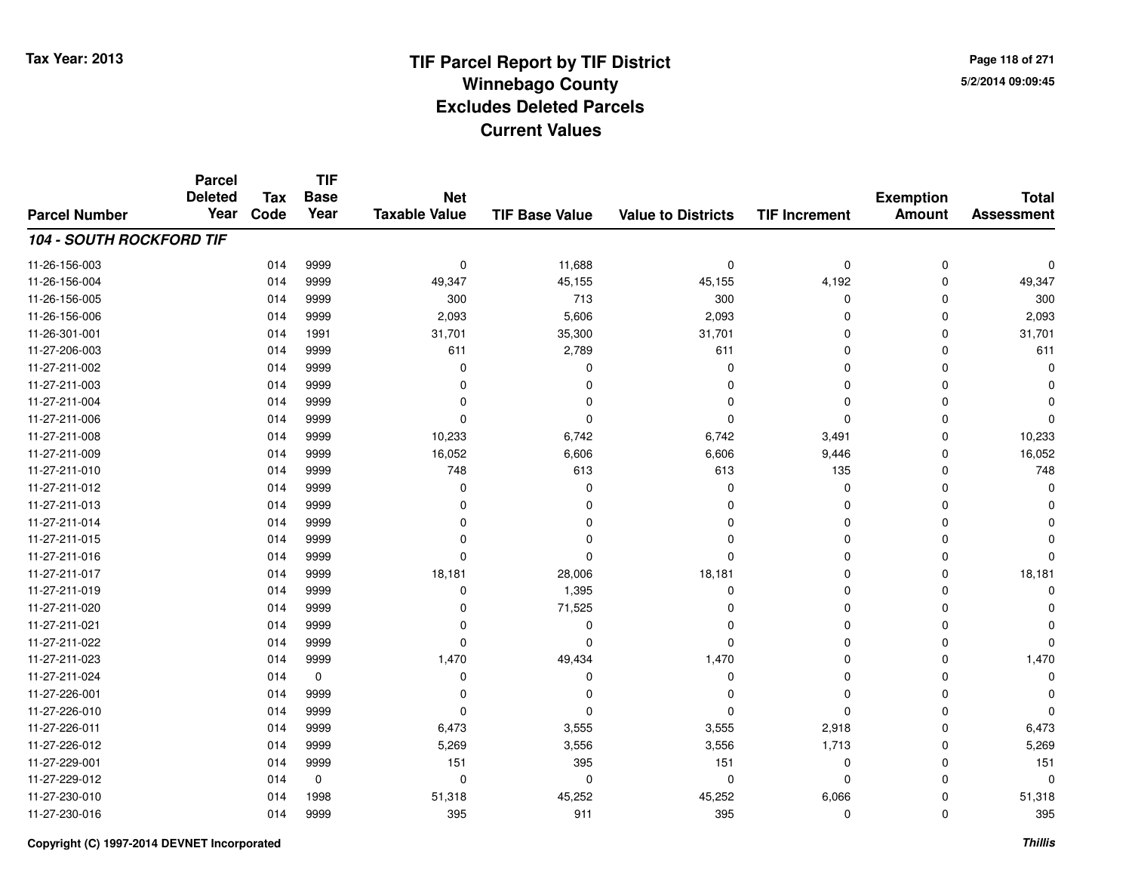**Page 118 of 2715/2/2014 09:09:45**

#### **TIF Base ValueParcel NumberTotal AssessmentExemption Amount Value to Districts TIF IncrementTIF Base YearTax CodeParcel Deleted YearNet Taxable Value104 - SOUTH ROCKFORD TIF**11-26-156-0033 014 9999 0 11,688 0 0 0 0 11-26-156-004 <sup>014</sup> 49,347 <sup>9999</sup> 45,155 45,155 4,192 <sup>0</sup> 49,347 11-26-156-005 <sup>014</sup> <sup>300</sup> <sup>9999</sup> <sup>713</sup> <sup>300</sup> <sup>0</sup> <sup>0</sup> <sup>300</sup> 11-26-156-006 <sup>014</sup> 2,093 <sup>9999</sup> 5,606 2,093 <sup>0</sup> <sup>0</sup> 2,093 11-26-301-0011 014 1991 31,701 35,300 31,701 0 0 31,701 11-27-206-0033 014 9999 611 2,789 611 0 0 611 11-27-211-002 <sup>014</sup> <sup>0</sup> <sup>9999</sup> <sup>0</sup> <sup>0</sup> <sup>0</sup> <sup>0</sup> <sup>0</sup> 11-27-211-003 <sup>014</sup> <sup>0</sup> <sup>9999</sup> <sup>0</sup> <sup>0</sup> <sup>0</sup> <sup>0</sup> <sup>0</sup> 11-27-211-004 <sup>014</sup> <sup>0</sup> <sup>9999</sup> <sup>0</sup> <sup>0</sup> <sup>0</sup> <sup>0</sup> <sup>0</sup> 11-27-211-006 <sup>014</sup> <sup>0</sup> <sup>9999</sup> <sup>0</sup> <sup>0</sup> <sup>0</sup> <sup>0</sup> <sup>0</sup> 11-27-211-008 <sup>014</sup> 10,233 <sup>9999</sup> 6,742 6,742 3,491 <sup>0</sup> 10,233 11-27-211-0099 014 9999 16,052 6,606 6,606 9,446 0 16,052 11-27-211-0100 014 9999 748 613 613 135 0 748 11-27-211-012 <sup>014</sup> <sup>0</sup> <sup>9999</sup> <sup>0</sup> <sup>0</sup> <sup>0</sup> <sup>0</sup> <sup>0</sup> 11-27-211-013 <sup>014</sup> <sup>0</sup> <sup>9999</sup> <sup>0</sup> <sup>0</sup> <sup>0</sup> <sup>0</sup> <sup>0</sup> 11-27-211-014 <sup>014</sup> <sup>0</sup> <sup>9999</sup> <sup>0</sup> <sup>0</sup> <sup>0</sup> <sup>0</sup> <sup>0</sup> 11-27-211-015 <sup>014</sup> <sup>0</sup> <sup>9999</sup> <sup>0</sup> <sup>0</sup> <sup>0</sup> <sup>0</sup> <sup>0</sup> 11-27-211-016 <sup>014</sup> <sup>0</sup> <sup>9999</sup> <sup>0</sup> <sup>0</sup> <sup>0</sup> <sup>0</sup> <sup>0</sup> 11-27-211-017 <sup>014</sup> 18,181 <sup>9999</sup> 28,006 18,181 <sup>0</sup> <sup>0</sup> 18,181 11-27-211-0199 014 9999 0 1,395 0 0 0 0 11-27-211-0200 014 9999 0 71,525 0 0 0 0 11-27-211-021 <sup>014</sup> <sup>0</sup> <sup>9999</sup> <sup>0</sup> <sup>0</sup> <sup>0</sup> <sup>0</sup> <sup>0</sup> 11-27-211-022 <sup>014</sup> <sup>0</sup> <sup>9999</sup> <sup>0</sup> <sup>0</sup> <sup>0</sup> <sup>0</sup> <sup>0</sup> 11-27-211-0233 014 9999 1,470 49,434 1,470 0 0 1,470 11-27-211-024 <sup>014</sup> <sup>0</sup> <sup>0</sup> <sup>0</sup> <sup>0</sup> <sup>0</sup> <sup>0</sup> <sup>0</sup> 11-27-226-001 <sup>014</sup> <sup>0</sup> <sup>9999</sup> <sup>0</sup> <sup>0</sup> <sup>0</sup> <sup>0</sup> <sup>0</sup> 11-27-226-010 <sup>014</sup> <sup>0</sup> <sup>9999</sup> <sup>0</sup> <sup>0</sup> <sup>0</sup> <sup>0</sup> <sup>0</sup> 11-27-226-0111 014 9999 6,473 3,555 3,555 2,918 0 6,473 11-27-226-012 <sup>014</sup> 5,269 <sup>9999</sup> 3,556 3,556 1,713 <sup>0</sup> 5,269 11-27-229-0011 014 9999 151 395 151 0 0 151 11-27-229-012 <sup>014</sup> <sup>0</sup> <sup>0</sup> <sup>0</sup> <sup>0</sup> <sup>0</sup> <sup>0</sup> <sup>0</sup> 11-27-230-0100 014 1998 51,318 45,252 45,252 6,066 0 51,318 11-27-230-016<sup>014</sup> <sup>395</sup> <sup>9999</sup> <sup>911</sup> <sup>395</sup> <sup>0</sup> <sup>0</sup> <sup>395</sup>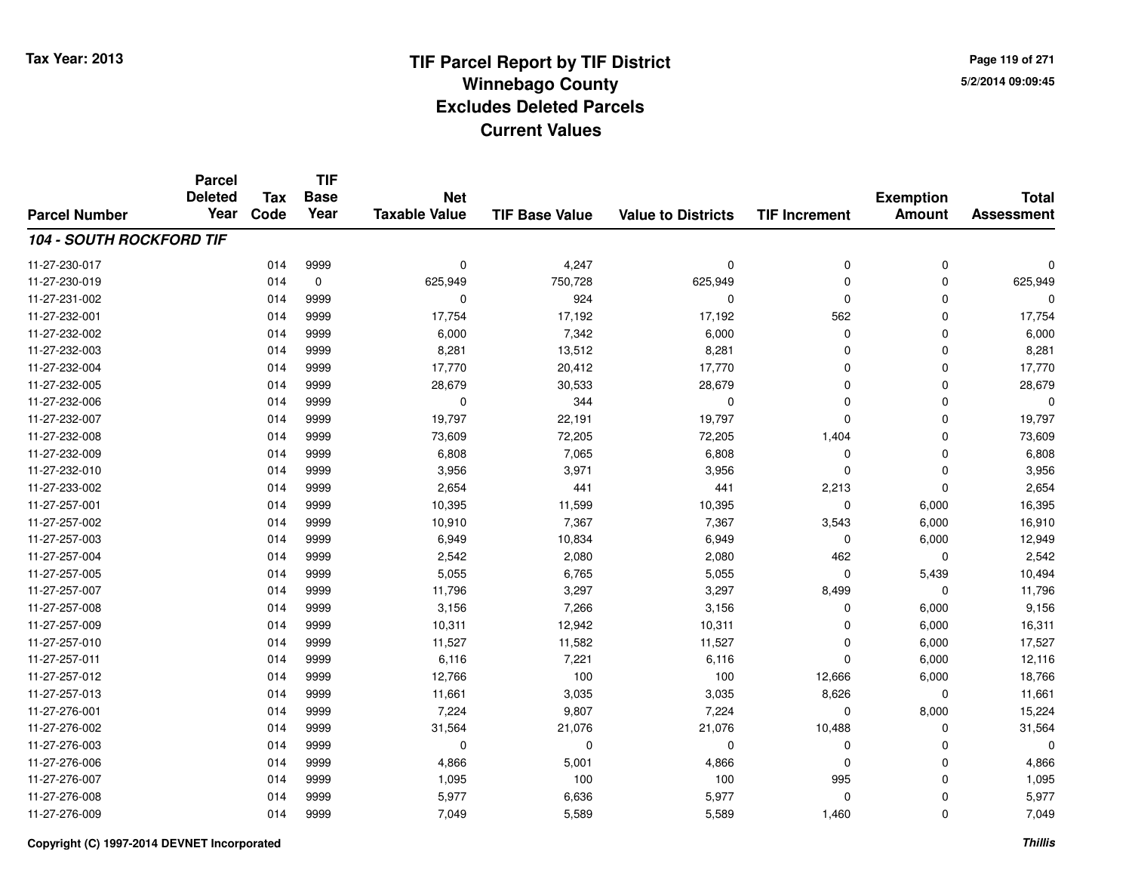**Page 119 of 2715/2/2014 09:09:45**

#### **TIF Base ValueParcel NumberTotal AssessmentExemption Amount Value to Districts TIF IncrementTIF Base YearTax CodeParcel Deleted YearNet Taxable Value104 - SOUTH ROCKFORD TIF**11-27-230-017 $7$  014 9999 0 0 4,247 0 0 0 0 0 0 11-27-230-0199 014 0 625,949 750,728 625,949 0 625,949 11-27-231-0022 014 9999 0 924 0 0 0 0 11-27-232-001 <sup>014</sup> 17,754 <sup>9999</sup> 17,192 17,192 <sup>562</sup> <sup>0</sup> 17,754 11-27-232-0022 014 9999 6,000 7,342 6,000 0 6,000 11-27-232-0033 014 9999 8,281 13,512 8,281 0 0 8,281 11-27-232-0044 17,770 20,412 17,770 20,412 17,770 0 0 0 17,770 11-27-232-005 <sup>014</sup> 28,679 <sup>9999</sup> 30,533 28,679 <sup>0</sup> <sup>0</sup> 28,679 11-27-232-006 <sup>014</sup> <sup>0</sup> <sup>9999</sup> <sup>344</sup> <sup>0</sup> <sup>0</sup> <sup>0</sup> <sup>0</sup> 11-27-232-007 <sup>014</sup> 19,797 <sup>9999</sup> 22,191 19,797 <sup>0</sup> <sup>0</sup> 19,797 11-27-232-008 <sup>014</sup> 73,609 <sup>9999</sup> 72,205 72,205 1,404 <sup>0</sup> 73,609 11-27-232-0099 014 9999 6,808 7,065 6,808 0 0 6,808 11-27-232-0100 014 9999 3,956 3,971 3,956 0 0 3,956 11-27-233-0022 014 9999 2,654 441 441 2,213 0 2,654 11-27-257-0011 014 9999 10,395 11,599 10,395 0 6,000 16,395 11-27-257-0022 014 9999 10,910 7,367 7,367 3,543 6,000 16,910 11-27-257-0033 014 9999 6,949 10,834 6,949 0 6,000 12,949 11-27-257-0044 014 9999 2,542 2,080 2,080 462 0 2,542 11-27-257-0055 014 9999 5,055 6,765 5,055 0 5,439 10,494 11-27-257-007 <sup>014</sup> 11,796 <sup>9999</sup> 3,297 3,297 8,499 <sup>0</sup> 11,796 11-27-257-0088 014 9999 3,156 7,266 3,156 0 6,000 9,156 11-27-257-0099 014 9999 10,311 12,942 10,311 0 6,000 16,311 11-27-257-0100 014 9999 11,527 11,582 11,527 0 6,000 17,527 11-27-257-0111 014 9999 6,116 7,221 6,116 0 6,000 12,116 11-27-257-012 <sup>014</sup> 12,766 <sup>9999</sup> <sup>100</sup> <sup>100</sup> 12,666 6,000 18,766 11-27-257-0133 014 9999 11,661 3,035 3,035 8,626 0 11,661 11-27-276-0011 014 9999 7,224 9,807 7,224 0 8,000 15,224 11-27-276-002 <sup>014</sup> 31,564 <sup>9999</sup> 21,076 21,076 10,488 <sup>0</sup> 31,564 11-27-276-003 <sup>014</sup> <sup>0</sup> <sup>9999</sup> <sup>0</sup> <sup>0</sup> <sup>0</sup> <sup>0</sup> <sup>0</sup> 11-27-276-0066 014 9999 4,866 5,001 4,866 0 4,866 11-27-276-0077 014 9999 1,095 100 100 995 0 1,095 11-27-276-008 <sup>014</sup> 5,977 <sup>9999</sup> 6,636 5,977 <sup>0</sup> <sup>0</sup> 5,977 11-27-276-0099 014 9999 7,049 5,589 5,589 1,460 0 7,049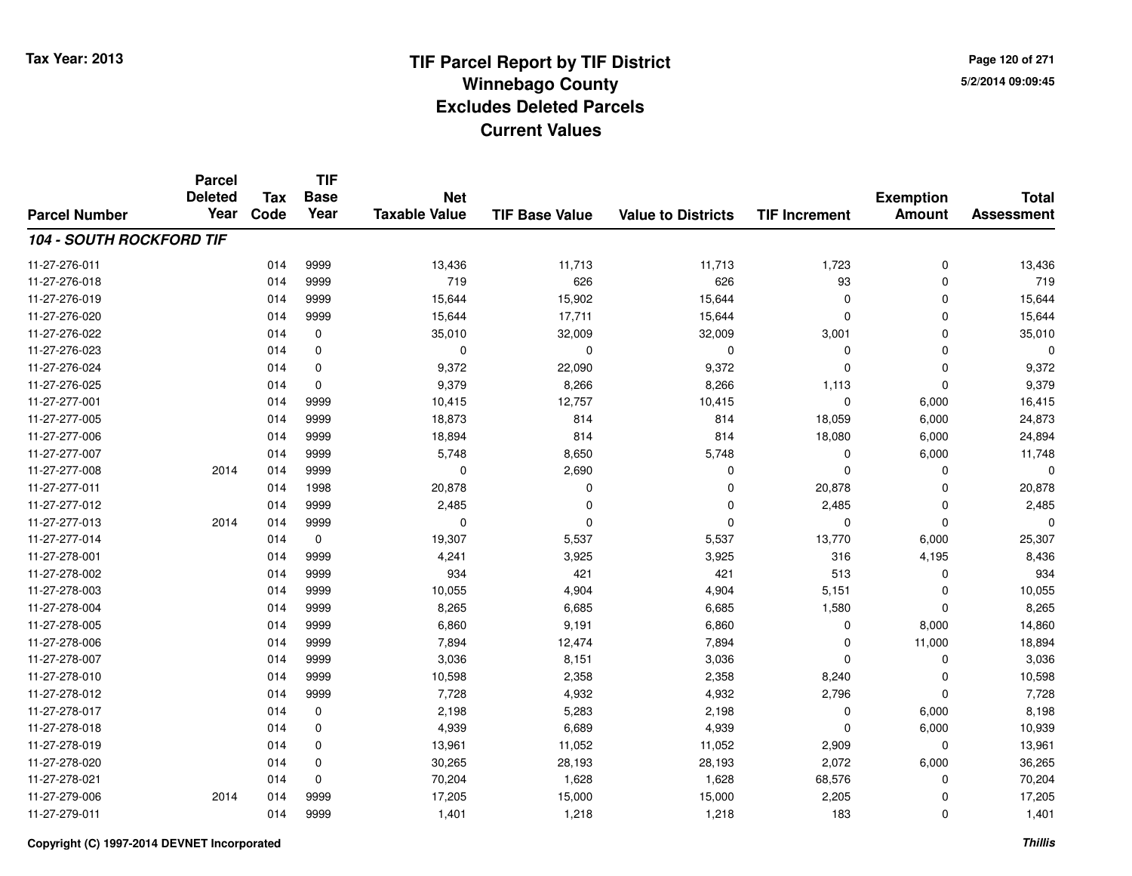**Page 120 of 2715/2/2014 09:09:45**

#### **TIF Base ValueParcel NumberTotal AssessmentExemption Amount Value to Districts TIF IncrementTIF Base YearTax CodeParcel Deleted YearNet Taxable Value104 - SOUTH ROCKFORD TIF**11-27-276-011 <sup>014</sup> 13,436 <sup>9999</sup> 11,713 11,713 1,723 <sup>0</sup> 13,436 11-27-276-0188 014 9999 719 626 626 93 0 719 11-27-276-0199 014 9999 15,644 15,902 15,644 0 0 15,644 11-27-276-0200 014 9999 15,644 17,711 15,644 0 0 15,644 11-27-276-0222 014 0 35,010 32,009 3,0009 3,001 0 35,010 11-27-276-023 <sup>014</sup> <sup>0</sup> <sup>0</sup> <sup>0</sup> <sup>0</sup> <sup>0</sup> <sup>0</sup> <sup>0</sup> 11-27-276-024 <sup>014</sup> 9,372 <sup>0</sup> 22,090 9,372 <sup>0</sup> <sup>0</sup> 9,372 11-27-276-0255 014 0 9,379 8,266 8,266 1,113 0 9,379 11-27-277-0011 014 9999 10,415 12,757 10,415 0 6,000 16,415 11-27-277-005 <sup>014</sup> 18,873 <sup>9999</sup> <sup>814</sup> <sup>814</sup> 18,059 6,000 24,873 11-27-277-006 <sup>014</sup> 18,894 <sup>9999</sup> <sup>814</sup> <sup>814</sup> 18,080 6,000 24,894 11-27-277-007 <sup>014</sup> 5,748 <sup>9999</sup> 8,650 5,748 <sup>0</sup> 6,000 11,748 11-27-277-008 <sup>2014</sup> <sup>014</sup> <sup>9999</sup> <sup>0</sup> 2,690 <sup>0</sup> <sup>0</sup> <sup>0</sup> <sup>0</sup> 11-27-277-0111 014 1998 20,878 0 0 20,878 0 20,878 11-27-277-0122 014 9999 2,485 0 2,485 0 2,485 11-27-277-013 <sup>2014</sup> <sup>014</sup> <sup>9999</sup> <sup>0</sup> <sup>0</sup> <sup>0</sup> <sup>0</sup> <sup>0</sup> <sup>0</sup> 11-27-277-0144 13,770 6,000 19,307 5,537 5,537 5,537 5,537 6,000 25,307 11-27-278-0011 014 9999 4,241 3,925 3,925 316 4,195 8,436 11-27-278-002 <sup>014</sup> <sup>934</sup> <sup>9999</sup> <sup>421</sup> <sup>421</sup> <sup>513</sup> <sup>0</sup> <sup>934</sup> 11-27-278-0033 014 9999 10,055 4,904 4,904 5,151 0 10,055 11-27-278-004 <sup>014</sup> 8,265 <sup>9999</sup> 6,685 6,685 1,580 <sup>0</sup> 8,265 11-27-278-0055 014 9999 6,860 9,191 6,860 0 8,000 14,860 11-27-278-006 <sup>014</sup> 7,894 <sup>9999</sup> 12,474 7,894 <sup>0</sup> 11,000 18,894 11-27-278-0077 014 9999 3,036 8,151 3,036 0 0 3,036 11-27-278-0100 014 9999 10,598 2,358 2,358 8,240 0 10,598 11-27-278-0122 014 9999 7,728 4,932 4,932 2,796 0 7,728 11-27-278-0177 014 0 2,198 5,283 2,198 0 6,000 8,198 11-27-278-0188 014 0 4,939 6,689 4,939 0 6,000 10,939 11-27-278-0199 014 0 13,961 11,052 11,052 2,909 0 13,961 11-27-278-0200 014 0 30,265 28,193 28,193 2,072 6,000 36,265 11-27-278-0211 014 0 70,204 1,628 1,628 68,576 0 70,204 11-27-279-006 <sup>2014</sup> <sup>014</sup> <sup>9999</sup> 17,205 15,000 15,000 2,205 <sup>0</sup> 17,205 11-27-279-0111 014 9999 1,401 1,218 1,218 183 0 1,401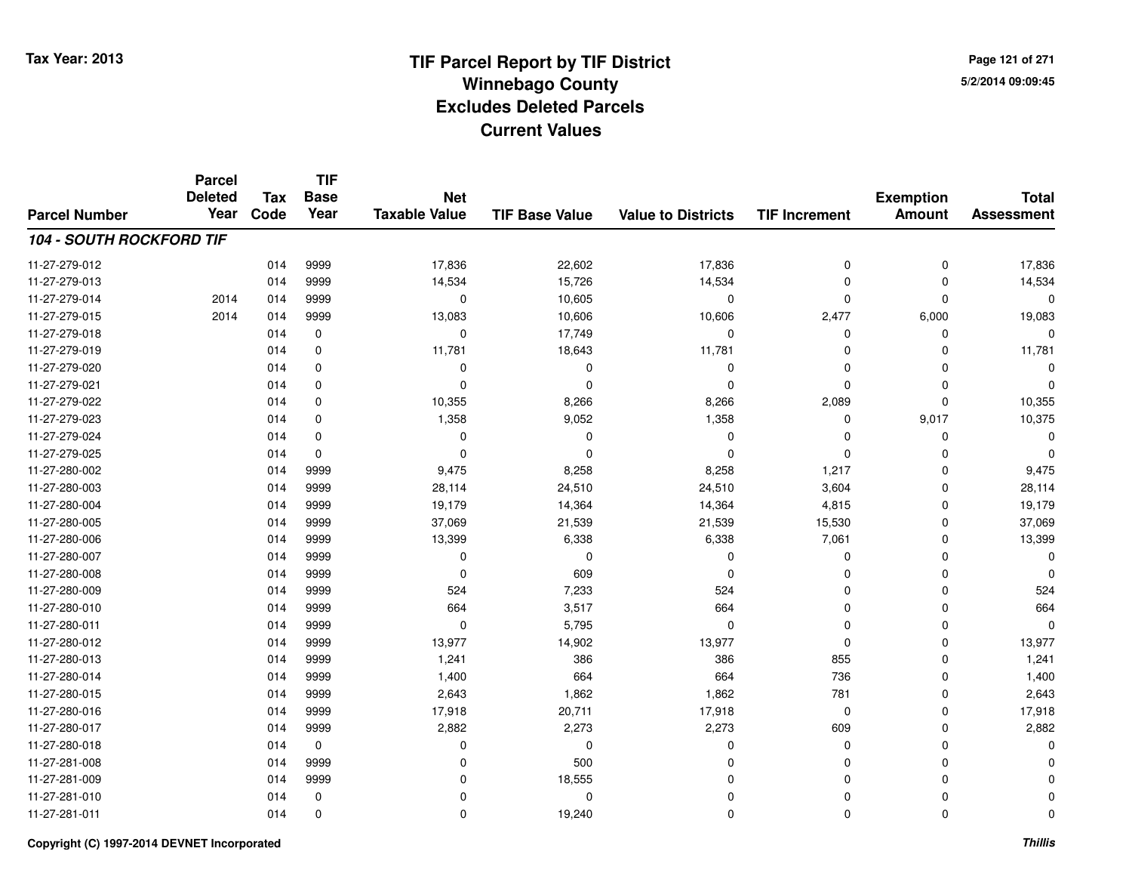**TIF**

**Parcel**

**Page 121 of 2715/2/2014 09:09:45**

#### **TIF Base ValueParcel NumberTotal AssessmentExemption Amount Value to Districts TIF Increment Base YearTax Code Deleted YearNet Taxable Value104 - SOUTH ROCKFORD TIF**11-27-279-0122 014 9999 17,836 22,602 17,836 0 0 17,836 11-27-279-0133 014 9999 14,534 15,726 14,534 0 0 14,534 11-27-279-014 <sup>2014</sup> <sup>014</sup> <sup>9999</sup> <sup>0</sup> 10,605 <sup>0</sup> <sup>0</sup> <sup>0</sup> <sup>0</sup> 11-27-279-015 <sup>2014</sup> <sup>014</sup> <sup>9999</sup> 13,083 10,606 10,606 2,477 6,000 19,083 11-27-279-018 <sup>014</sup> <sup>0</sup> <sup>0</sup> 17,749 <sup>0</sup> <sup>0</sup> <sup>0</sup> <sup>0</sup> 11-27-279-0199 014 0 11,781 18,643 11,781 0 0 11,781 11-27-279-020 <sup>014</sup> <sup>0</sup> <sup>0</sup> <sup>0</sup> <sup>0</sup> <sup>0</sup> <sup>0</sup> <sup>0</sup> 11-27-279-021 <sup>014</sup> <sup>0</sup> <sup>0</sup> <sup>0</sup> <sup>0</sup> <sup>0</sup> <sup>0</sup> <sup>0</sup> 11-27-279-022 <sup>014</sup> 10,355 <sup>0</sup> 8,266 8,266 2,089 <sup>0</sup> 10,355 11-27-279-0233 014 0 1,358 9,052 1,358 0 9,017 10,375 11-27-279-024 <sup>014</sup> <sup>0</sup> <sup>0</sup> <sup>0</sup> <sup>0</sup> <sup>0</sup> <sup>0</sup> <sup>0</sup> 11-27-279-025 <sup>014</sup> <sup>0</sup> <sup>0</sup> <sup>0</sup> <sup>0</sup> <sup>0</sup> <sup>0</sup> <sup>0</sup> 11-27-280-002 <sup>014</sup> 9,475 <sup>9999</sup> 8,258 8,258 1,217 <sup>0</sup> 9,475 11-27-280-0033 014 9999 28,114 24,510 24,510 3,604 0 28,114 11-27-280-004 <sup>014</sup> 19,179 <sup>9999</sup> 14,364 14,364 4,815 <sup>0</sup> 19,179 11-27-280-005 <sup>014</sup> 37,069 <sup>9999</sup> 21,539 21,539 15,530 <sup>0</sup> 37,069 11-27-280-0066 014 9999 13,399 6,338 6,338 7,061 0 13,399 11-27-280-007 <sup>014</sup> <sup>0</sup> <sup>9999</sup> <sup>0</sup> <sup>0</sup> <sup>0</sup> <sup>0</sup> <sup>0</sup> 11-27-280-008 <sup>014</sup> <sup>0</sup> <sup>9999</sup> <sup>609</sup> <sup>0</sup> <sup>0</sup> <sup>0</sup> <sup>0</sup> 11-27-280-0099 014 9999 524 7,233 524 0 0 524 11-27-280-0100 014 9999 664 3,517 664 0 0 664 11-27-280-0111 and the contract of the contract of the contract of the contract of the contract of  $\sim$  0 contract of  $\sim$  0 contract of  $\sim$  0 contract of  $\sim$  0 contract of  $\sim$  0 contract of  $\sim$  0 contract of  $\sim$  0 contract of  $\$ 11-27-280-0122 014 9999 13,977 14,902 13,977 0 0 13,977 11-27-280-0133 014 9999 1,241 386 386 855 0 1,241 11-27-280-0144 014 9999 1,400 664 664 736 0 1,400 11-27-280-0155 014 9999 2,643 1,862 1,862 781 0 2,643 11-27-280-0166 014 9999 17,918 20,711 17,918 0 0 17,918 11-27-280-0177 014 9999 2,882 2,273 2,273 609 0 2,882 11-27-280-018 <sup>014</sup> <sup>0</sup> <sup>0</sup> <sup>0</sup> <sup>0</sup> <sup>0</sup> <sup>0</sup> <sup>0</sup> 11-27-281-008 <sup>014</sup> <sup>0</sup> <sup>9999</sup> <sup>500</sup> <sup>0</sup> <sup>0</sup> <sup>0</sup> <sup>0</sup> 11-27-281-009 <sup>014</sup> <sup>0</sup> <sup>9999</sup> 18,555 <sup>0</sup> <sup>0</sup> <sup>0</sup> <sup>0</sup> 11-27-281-010 <sup>014</sup> <sup>0</sup> <sup>0</sup> <sup>0</sup> <sup>0</sup> <sup>0</sup> <sup>0</sup> <sup>0</sup> 11-27-281-011<sup>014</sup> <sup>0</sup> <sup>0</sup> 19,240 <sup>0</sup> <sup>0</sup> <sup>0</sup> <sup>0</sup>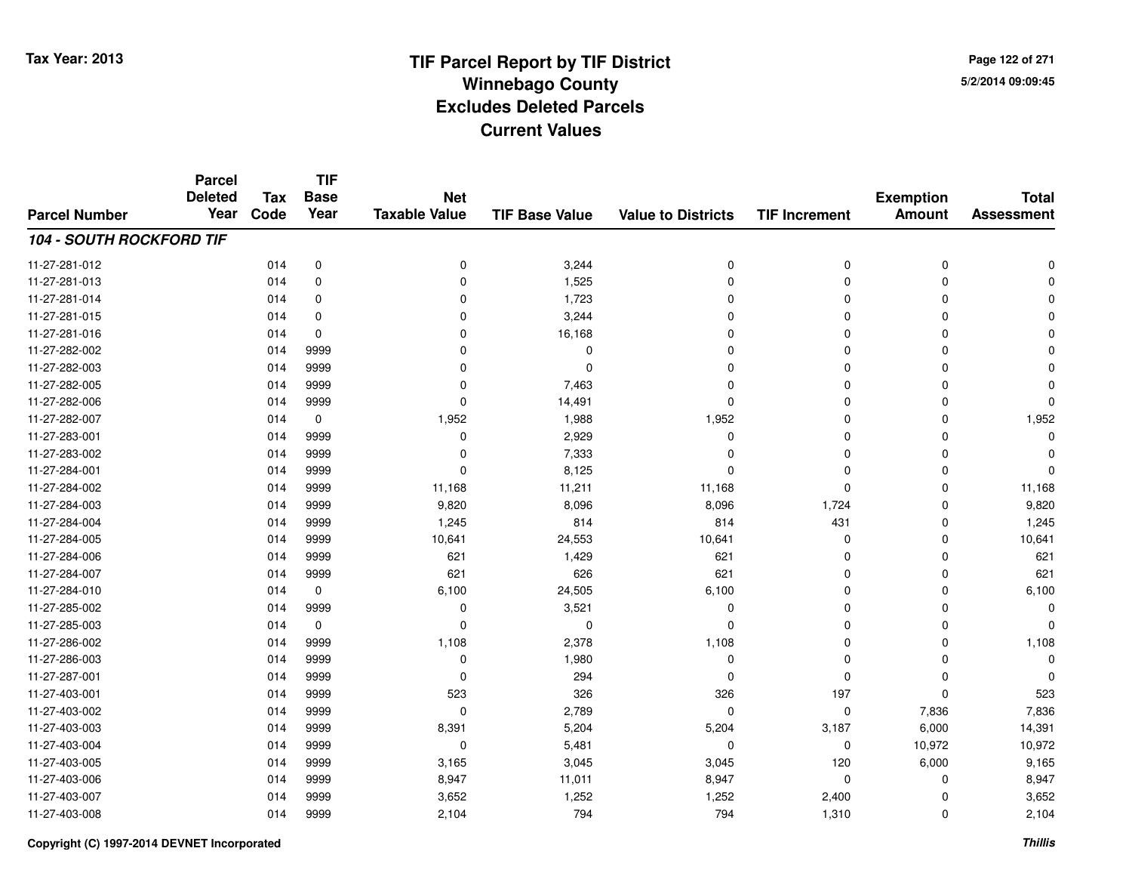**Page 122 of 2715/2/2014 09:09:45**

|                                 | <b>Parcel</b><br><b>Deleted</b> | <b>Tax</b> | <b>TIF</b><br><b>Base</b> | <b>Net</b>           |                       |                           |                      | <b>Exemption</b> | <b>Total</b>      |
|---------------------------------|---------------------------------|------------|---------------------------|----------------------|-----------------------|---------------------------|----------------------|------------------|-------------------|
| <b>Parcel Number</b>            | Year                            | Code       | Year                      | <b>Taxable Value</b> | <b>TIF Base Value</b> | <b>Value to Districts</b> | <b>TIF Increment</b> | <b>Amount</b>    | <b>Assessment</b> |
| <b>104 - SOUTH ROCKFORD TIF</b> |                                 |            |                           |                      |                       |                           |                      |                  |                   |
| 11-27-281-012                   |                                 | 014        | $\mathbf 0$               | 0                    | 3,244                 | 0                         | 0                    | $\mathbf 0$      | U                 |
| 11-27-281-013                   |                                 | 014        | 0                         | 0                    | 1,525                 | $\Omega$                  | 0                    | $\mathbf 0$      |                   |
| 11-27-281-014                   |                                 | 014        | $\mathbf 0$               | 0                    | 1,723                 | $\Omega$                  | $\mathbf 0$          | $\Omega$         |                   |
| 11-27-281-015                   |                                 | 014        | 0                         | 0                    | 3,244                 | $\Omega$                  | 0                    | $\Omega$         |                   |
| 11-27-281-016                   |                                 | 014        | $\mathbf 0$               | 0                    | 16,168                | $\Omega$                  | $\mathbf 0$          | $\Omega$         |                   |
| 11-27-282-002                   |                                 | 014        | 9999                      | 0                    | 0                     | $\Omega$                  | 0                    | $\Omega$         |                   |
| 11-27-282-003                   |                                 | 014        | 9999                      | 0                    | $\Omega$              | $\Omega$                  | $\mathbf 0$          | $\Omega$         |                   |
| 11-27-282-005                   |                                 | 014        | 9999                      | 0                    | 7,463                 | $\Omega$                  | 0                    | $\Omega$         |                   |
| 11-27-282-006                   |                                 | 014        | 9999                      | $\Omega$             | 14,491                | $\Omega$                  | 0                    | $\Omega$         | $\Omega$          |
| 11-27-282-007                   |                                 | 014        | 0                         | 1,952                | 1,988                 | 1,952                     | $\mathbf 0$          | $\Omega$         | 1,952             |
| 11-27-283-001                   |                                 | 014        | 9999                      | 0                    | 2,929                 | $\mathbf 0$               | $\Omega$             | $\Omega$         | $\Omega$          |
| 11-27-283-002                   |                                 | 014        | 9999                      | 0                    | 7,333                 | $\Omega$                  | 0                    | $\Omega$         |                   |
| 11-27-284-001                   |                                 | 014        | 9999                      | $\mathbf 0$          | 8,125                 | $\Omega$                  | $\Omega$             | $\Omega$         | $\Omega$          |
| 11-27-284-002                   |                                 | 014        | 9999                      | 11,168               | 11,211                | 11,168                    | 0                    | 0                | 11,168            |
| 11-27-284-003                   |                                 | 014        | 9999                      | 9,820                | 8,096                 | 8,096                     | 1,724                | $\Omega$         | 9,820             |
| 11-27-284-004                   |                                 | 014        | 9999                      | 1,245                | 814                   | 814                       | 431                  | 0                | 1,245             |
| 11-27-284-005                   |                                 | 014        | 9999                      | 10,641               | 24,553                | 10,641                    | 0                    | 0                | 10,641            |
| 11-27-284-006                   |                                 | 014        | 9999                      | 621                  | 1,429                 | 621                       | 0                    | 0                | 621               |
| 11-27-284-007                   |                                 | 014        | 9999                      | 621                  | 626                   | 621                       | 0                    | $\mathbf 0$      | 621               |
| 11-27-284-010                   |                                 | 014        | $\mathbf 0$               | 6,100                | 24,505                | 6,100                     | 0                    | 0                | 6,100             |
| 11-27-285-002                   |                                 | 014        | 9999                      | 0                    | 3,521                 | 0                         | 0                    | 0                | $\Omega$          |
| 11-27-285-003                   |                                 | 014        | 0                         | 0                    | 0                     | 0                         | 0                    | 0                | n                 |
| 11-27-286-002                   |                                 | 014        | 9999                      | 1,108                | 2,378                 | 1,108                     | $\mathbf 0$          | 0                | 1,108             |
| 11-27-286-003                   |                                 | 014        | 9999                      | 0                    | 1,980                 | 0                         | 0                    | 0                | $\Omega$          |
| 11-27-287-001                   |                                 | 014        | 9999                      | $\mathbf 0$          | 294                   | $\Omega$                  | 0                    | $\Omega$         |                   |
| 11-27-403-001                   |                                 | 014        | 9999                      | 523                  | 326                   | 326                       | 197                  | $\Omega$         | 523               |
| 11-27-403-002                   |                                 | 014        | 9999                      | 0                    | 2,789                 | $\Omega$                  | 0                    | 7,836            | 7,836             |
| 11-27-403-003                   |                                 | 014        | 9999                      | 8,391                | 5,204                 | 5,204                     | 3,187                | 6,000            | 14,391            |
| 11-27-403-004                   |                                 | 014        | 9999                      | 0                    | 5,481                 | 0                         | 0                    | 10,972           | 10,972            |
| 11-27-403-005                   |                                 | 014        | 9999                      | 3,165                | 3,045                 | 3,045                     | 120                  | 6,000            | 9,165             |
| 11-27-403-006                   |                                 | 014        | 9999                      | 8,947                | 11,011                | 8,947                     | 0                    | 0                | 8,947             |
| 11-27-403-007                   |                                 | 014        | 9999                      | 3,652                | 1,252                 | 1,252                     | 2,400                | 0                | 3,652             |
| 11-27-403-008                   |                                 | 014        | 9999                      | 2,104                | 794                   | 794                       | 1,310                | $\Omega$         | 2,104             |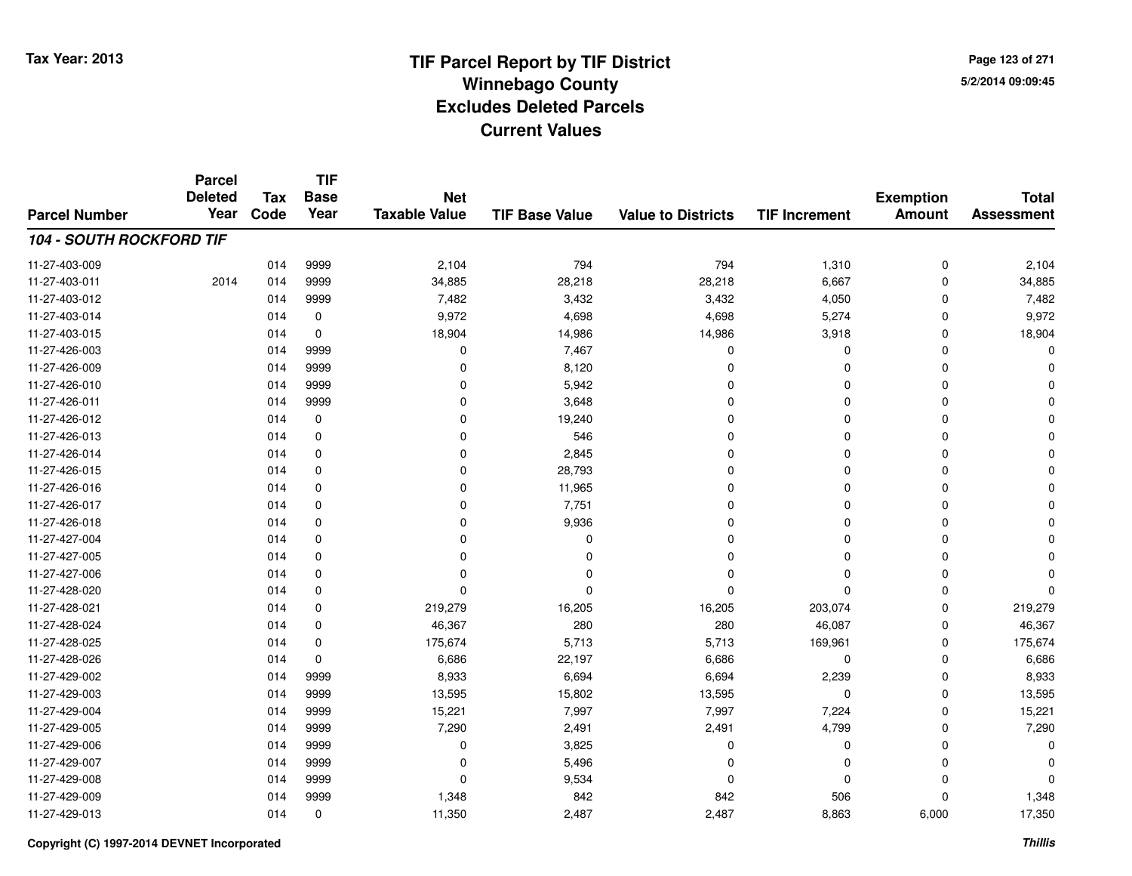**Page 123 of 2715/2/2014 09:09:45**

#### **TIF Base ValueParcel NumberTotal AssessmentExemption Amount Value to Districts TIF IncrementTIF Base YearTax CodeParcel Deleted YearNet Taxable Value104 - SOUTH ROCKFORD TIF**11-27-403-0099 014 9999 2,104 794 794 1,310 0 2,104 11-27-403-0111 2014 014 9999 34,885 28,218 28,218 6,667 0 34,885 11-27-403-0122 3,432 3,432 3,432 3,432 4,050 3,050 0 7,482 11-27-403-014 <sup>014</sup> 9,972 <sup>0</sup> 4,698 4,698 5,274 <sup>0</sup> 9,972 11-27-403-0155 014 0 18,904 14,986 14,986 3,918 0 18,904 11-27-426-0033 014 9999 0 7,467 0 0 0 0 11-27-426-009 <sup>014</sup> <sup>0</sup> <sup>9999</sup> 8,120 <sup>0</sup> <sup>0</sup> <sup>0</sup> <sup>0</sup> 11-27-426-010 <sup>014</sup> <sup>0</sup> <sup>9999</sup> 5,942 <sup>0</sup> <sup>0</sup> <sup>0</sup> <sup>0</sup> 11-27-426-0111 and the contract of the contract of the contract of the contract of the contract of  $\alpha$  of  $\alpha$  of  $\alpha$  of  $\alpha$  of  $\alpha$  of  $\alpha$  of  $\alpha$  of  $\alpha$  of  $\alpha$  of  $\alpha$  of  $\alpha$  of  $\alpha$  of  $\alpha$  of  $\alpha$  of  $\alpha$  of  $\alpha$  of  $\alpha$  of 11-27-426-0122 014 0 0 19,240 0 0 11-27-426-0133 014 0 0 0 546 0 0 0 0 0 0 11-27-426-014 <sup>014</sup> <sup>0</sup> <sup>0</sup> 2,845 <sup>0</sup> <sup>0</sup> <sup>0</sup> <sup>0</sup> 11-27-426-0155 014 0 0 28,793 0 0 0 0 11-27-426-0166 014 0 0 11,965 0 0 0 11-27-426-0177 014 0 0 7,751 0 0 11-27-426-018 <sup>014</sup> <sup>0</sup> <sup>0</sup> 9,936 <sup>0</sup> <sup>0</sup> <sup>0</sup> <sup>0</sup> 11-27-427-004 <sup>014</sup> <sup>0</sup> <sup>0</sup> <sup>0</sup> <sup>0</sup> <sup>0</sup> <sup>0</sup> <sup>0</sup> 11-27-427-005 <sup>014</sup> <sup>0</sup> <sup>0</sup> <sup>0</sup> <sup>0</sup> <sup>0</sup> <sup>0</sup> <sup>0</sup> 11-27-427-006 <sup>014</sup> <sup>0</sup> <sup>0</sup> <sup>0</sup> <sup>0</sup> <sup>0</sup> <sup>0</sup> <sup>0</sup> 11-27-428-020 <sup>014</sup> <sup>0</sup> <sup>0</sup> <sup>0</sup> <sup>0</sup> <sup>0</sup> <sup>0</sup> <sup>0</sup> 11-27-428-0211 014 0 219,279 16,205 16,205 203,074 0 219,279 11-27-428-024 <sup>014</sup> 46,367 <sup>0</sup> <sup>280</sup> <sup>280</sup> 46,087 <sup>0</sup> 46,367 11-27-428-0255 014 0 175,674 5,713 5,713 169,961 0 175,674 11-27-428-0266 014 0 6,686 22,197 6,686 0 0 6,686 11-27-429-002 <sup>014</sup> 8,933 <sup>9999</sup> 6,694 6,694 2,239 <sup>0</sup> 8,933 11-27-429-0033 014 9999 13,595 15,802 13,595 0 0 13,595 11-27-429-004 <sup>014</sup> 15,221 <sup>9999</sup> 7,997 7,997 7,224 <sup>0</sup> 15,221 11-27-429-0055 014 9999 7,290 2,491 2,491 4,799 0 7,290 11-27-429-006 <sup>014</sup> <sup>0</sup> <sup>9999</sup> 3,825 <sup>0</sup> <sup>0</sup> <sup>0</sup> <sup>0</sup> 11-27-429-007 $7$  014 9999 0 0 5,496 0 0 0 0 0 0 11-27-429-0088 014 9999 0 9,534 0 0 0 0 11-27-429-0099 014 9999 1,348 842 842 506 0 1,348 11-27-429-0133 014 0 11,350 2,487 2,487 8,863 6,000 17,350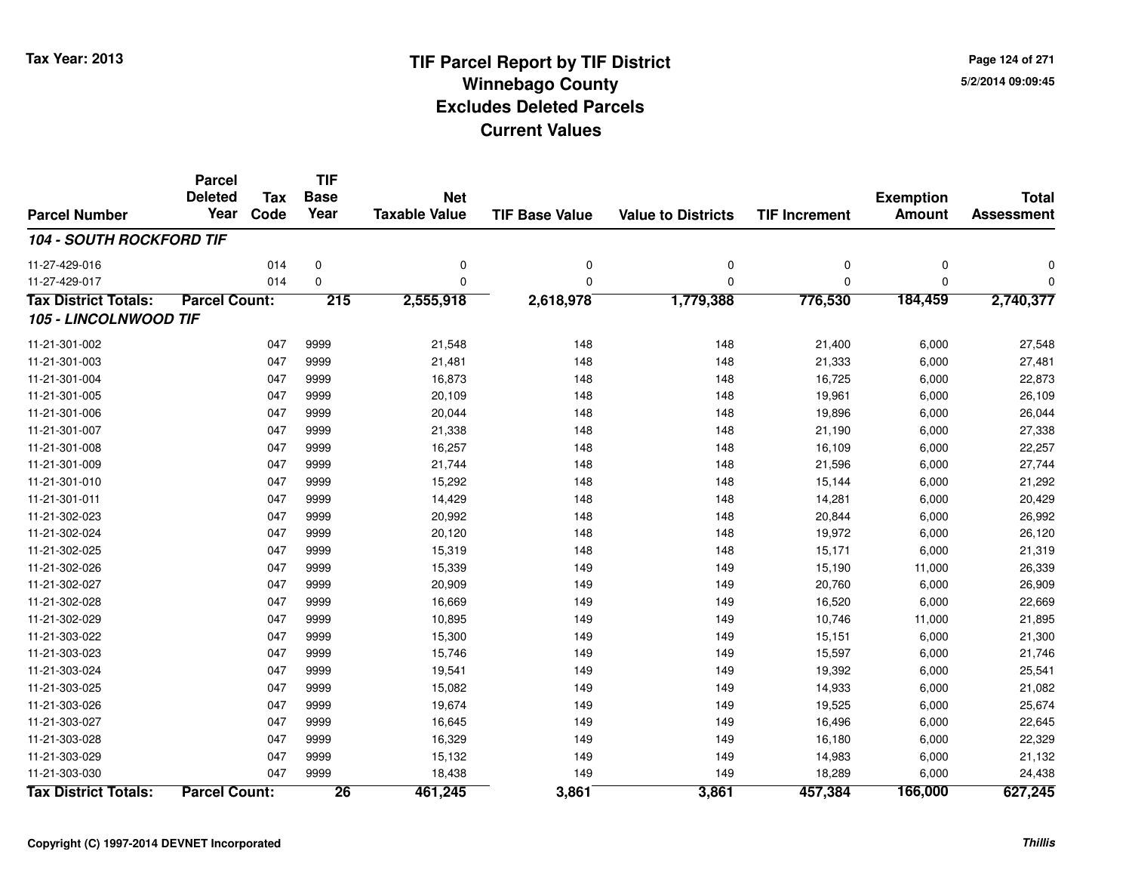**Page 124 of 2715/2/2014 09:09:45**

#### **TIF Base ValueParcel NumberTotal AssessmentExemption Amount Value to Districts TIF IncrementTIF Base YearTax CodeParcel Deleted YearNet Taxable Value104 - SOUTH ROCKFORD TIF**11-27-429-016 <sup>014</sup> <sup>0</sup> <sup>0</sup> <sup>0</sup> <sup>0</sup> <sup>0</sup> <sup>0</sup> <sup>0</sup> 11-27-429-017 <sup>014</sup> <sup>0</sup> <sup>0</sup> <sup>0</sup> <sup>0</sup> <sup>0</sup> <sup>0</sup> <sup>0</sup> **Tax District Totals: Parcel Count: <sup>215</sup> 2,555,918 2,618,978 1,779,388 776,530 184,459 2,740,377 105 - LINCOLNWOOD TIF**11-21-301-0022 047 9999 21,548 148 148 21,400 6,000 27,548 11-21-301-0033 047 9999 21,481 148 148 21,333 6,000 27,481 11-21-301-004 <sup>047</sup> 16,873 <sup>9999</sup> <sup>148</sup> <sup>148</sup> 16,725 6,000 22,873 11-21-301-005 <sup>047</sup> 20,109 <sup>9999</sup> <sup>148</sup> <sup>148</sup> 19,961 6,000 26,109 11-21-301-0066 047 9999 20,044 148 148 19,896 6,000 26,044 11-21-301-007 <sup>047</sup> 21,338 <sup>9999</sup> <sup>148</sup> <sup>148</sup> 21,190 6,000 27,338 11-21-301-008 <sup>047</sup> 16,257 <sup>9999</sup> <sup>148</sup> <sup>148</sup> 16,109 6,000 22,257 11-21-301-009 <sup>047</sup> 21,744 <sup>9999</sup> <sup>148</sup> <sup>148</sup> 21,596 6,000 27,744 11-21-301-010 <sup>047</sup> 15,292 <sup>9999</sup> <sup>148</sup> <sup>148</sup> 15,144 6,000 21,292 11-21-301-011 <sup>047</sup> 14,429 <sup>9999</sup> <sup>148</sup> <sup>148</sup> 14,281 6,000 20,429 11-21-302-023 <sup>047</sup> 20,992 <sup>9999</sup> <sup>148</sup> <sup>148</sup> 20,844 6,000 26,992 11-21-302-024 <sup>047</sup> 20,120 <sup>9999</sup> <sup>148</sup> <sup>148</sup> 19,972 6,000 26,120 11-21-302-025 <sup>047</sup> 15,319 <sup>9999</sup> <sup>148</sup> <sup>148</sup> 15,171 6,000 21,319 11-21-302-0266 047 9999 15,339 149 149 15,190 11,000 26,339 11-21-302-027 <sup>047</sup> 20,909 <sup>9999</sup> <sup>149</sup> <sup>149</sup> 20,760 6,000 26,909 11-21-302-028 <sup>047</sup> 16,669 <sup>9999</sup> <sup>149</sup> <sup>149</sup> 16,520 6,000 22,669 11-21-302-0299 047 9999 10,895 149 149 10,746 11,000 21,895 11-21-303-022 <sup>047</sup> 15,300 <sup>9999</sup> <sup>149</sup> <sup>149</sup> 15,151 6,000 21,300 11-21-303-0233 047 9999 15,746 149 149 15,597 6,000 21,746 11-21-303-024 <sup>047</sup> 19,541 <sup>9999</sup> <sup>149</sup> <sup>149</sup> 19,392 6,000 25,541 11-21-303-025 <sup>047</sup> 15,082 <sup>9999</sup> <sup>149</sup> <sup>149</sup> 14,933 6,000 21,082 11-21-303-026 <sup>047</sup> 19,674 <sup>9999</sup> <sup>149</sup> <sup>149</sup> 19,525 6,000 25,674 11-21-303-027 <sup>047</sup> 16,645 <sup>9999</sup> <sup>149</sup> <sup>149</sup> 16,496 6,000 22,645 11-21-303-028 <sup>047</sup> 16,329 <sup>9999</sup> <sup>149</sup> <sup>149</sup> 16,180 6,000 22,329 11-21-303-029 <sup>047</sup> 15,132 <sup>9999</sup> <sup>149</sup> <sup>149</sup> 14,983 6,000 21,132 11-21-303-030 <sup>047</sup> 18,438 <sup>9999</sup> <sup>149</sup> <sup>149</sup> 18,289 6,000 24,438 **Tax District Totals: Parcel Count: <sup>26</sup>461,245 3,861 3,861 457,384 166,000 627,245**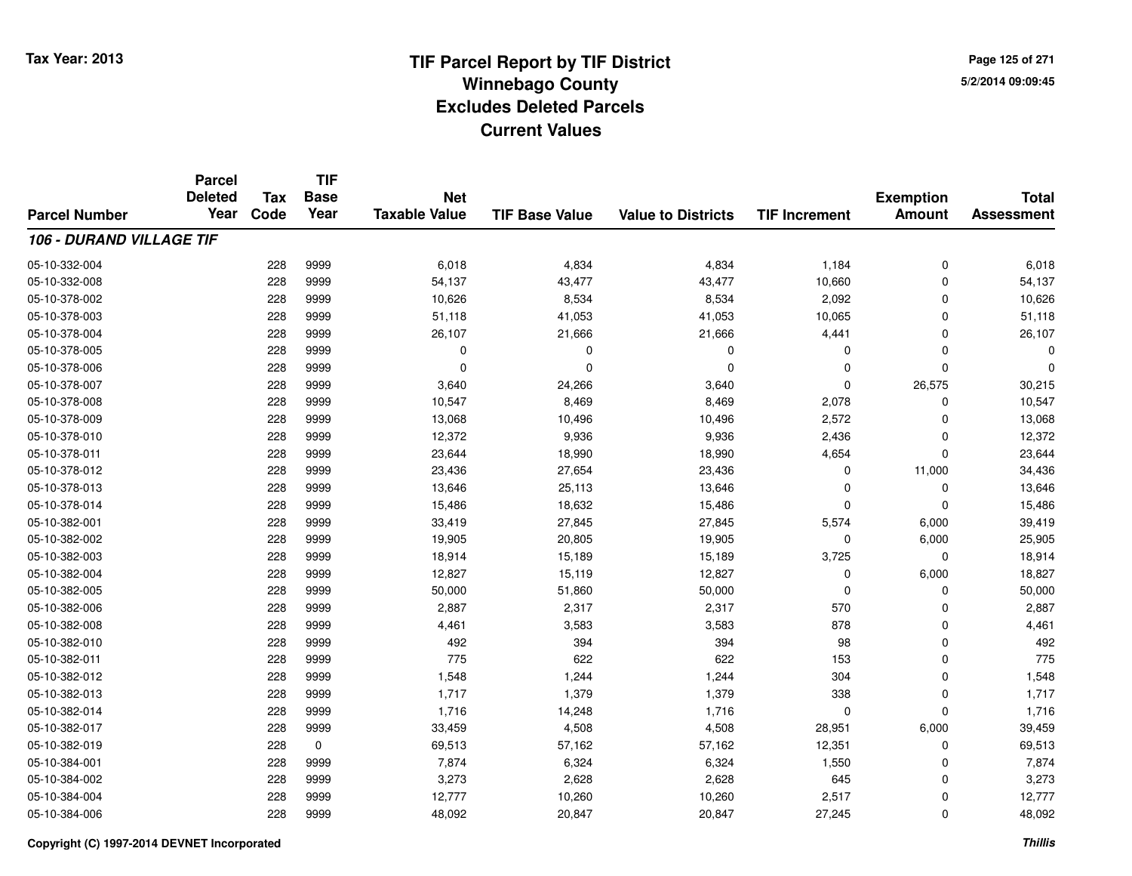**Page 125 of 2715/2/2014 09:09:45**

|                                 | <b>Parcel</b>          |            | <b>TIF</b>  | <b>Net</b><br><b>Taxable Value</b><br><b>TIF Base Value</b><br><b>Value to Districts</b> |          |             |                      |                  |                   |
|---------------------------------|------------------------|------------|-------------|------------------------------------------------------------------------------------------|----------|-------------|----------------------|------------------|-------------------|
|                                 | <b>Deleted</b><br>Year | <b>Tax</b> | <b>Base</b> |                                                                                          |          |             |                      | <b>Exemption</b> | <b>Total</b>      |
| <b>Parcel Number</b>            |                        | Code       | Year        |                                                                                          |          |             | <b>TIF Increment</b> | <b>Amount</b>    | <b>Assessment</b> |
| <b>106 - DURAND VILLAGE TIF</b> |                        |            |             |                                                                                          |          |             |                      |                  |                   |
| 05-10-332-004                   |                        | 228        | 9999        | 6,018                                                                                    | 4,834    | 4,834       | 1,184                | $\mathbf 0$      | 6,018             |
| 05-10-332-008                   |                        | 228        | 9999        | 54,137                                                                                   | 43,477   | 43,477      | 10,660               | $\mathbf 0$      | 54,137            |
| 05-10-378-002                   |                        | 228        | 9999        | 10,626                                                                                   | 8,534    | 8,534       | 2,092                | 0                | 10,626            |
| 05-10-378-003                   |                        | 228        | 9999        | 51,118                                                                                   | 41,053   | 41,053      | 10,065               | $\mathbf 0$      | 51,118            |
| 05-10-378-004                   |                        | 228        | 9999        | 26,107                                                                                   | 21,666   | 21,666      | 4,441                | $\mathbf 0$      | 26,107            |
| 05-10-378-005                   |                        | 228        | 9999        | 0                                                                                        | $\Omega$ | $\mathbf 0$ | $\Omega$             | $\mathbf 0$      |                   |
| 05-10-378-006                   |                        | 228        | 9999        | 0                                                                                        | $\Omega$ | $\mathbf 0$ | $\Omega$             | $\mathbf 0$      |                   |
| 05-10-378-007                   |                        | 228        | 9999        | 3,640                                                                                    | 24,266   | 3,640       | $\Omega$             | 26,575           | 30,215            |
| 05-10-378-008                   |                        | 228        | 9999        | 10,547                                                                                   | 8,469    | 8,469       | 2,078                | $\mathbf 0$      | 10,547            |
| 05-10-378-009                   |                        | 228        | 9999        | 13,068                                                                                   | 10,496   | 10,496      | 2,572                | 0                | 13,068            |
| 05-10-378-010                   |                        | 228        | 9999        | 12,372                                                                                   | 9,936    | 9,936       | 2,436                | $\mathbf 0$      | 12,372            |
| 05-10-378-011                   |                        | 228        | 9999        | 23,644                                                                                   | 18,990   | 18,990      | 4,654                | 0                | 23,644            |
| 05-10-378-012                   |                        | 228        | 9999        | 23,436                                                                                   | 27,654   | 23,436      | $\Omega$             | 11,000           | 34,436            |
| 05-10-378-013                   |                        | 228        | 9999        | 13,646                                                                                   | 25,113   | 13,646      | $\Omega$             | $\mathbf 0$      | 13,646            |
| 05-10-378-014                   |                        | 228        | 9999        | 15,486                                                                                   | 18,632   | 15,486      | $\Omega$             | $\mathbf 0$      | 15,486            |
| 05-10-382-001                   |                        | 228        | 9999        | 33,419                                                                                   | 27,845   | 27,845      | 5,574                | 6,000            | 39,419            |
| 05-10-382-002                   |                        | 228        | 9999        | 19,905                                                                                   | 20,805   | 19,905      | 0                    | 6,000            | 25,905            |
| 05-10-382-003                   |                        | 228        | 9999        | 18,914                                                                                   | 15,189   | 15,189      | 3,725                | $\mathbf 0$      | 18,914            |
| 05-10-382-004                   |                        | 228        | 9999        | 12,827                                                                                   | 15,119   | 12,827      | 0                    | 6,000            | 18,827            |
| 05-10-382-005                   |                        | 228        | 9999        | 50,000                                                                                   | 51,860   | 50,000      | $\mathbf 0$          | $\mathbf 0$      | 50,000            |
| 05-10-382-006                   |                        | 228        | 9999        | 2,887                                                                                    | 2,317    | 2,317       | 570                  | $\mathbf 0$      | 2,887             |
| 05-10-382-008                   |                        | 228        | 9999        | 4,461                                                                                    | 3,583    | 3,583       | 878                  | $\mathbf 0$      | 4,461             |
| 05-10-382-010                   |                        | 228        | 9999        | 492                                                                                      | 394      | 394         | 98                   | $\mathbf 0$      | 492               |
| 05-10-382-011                   |                        | 228        | 9999        | 775                                                                                      | 622      | 622         | 153                  | $\mathbf 0$      | 775               |
| 05-10-382-012                   |                        | 228        | 9999        | 1,548                                                                                    | 1,244    | 1,244       | 304                  | $\mathbf 0$      | 1,548             |
| 05-10-382-013                   |                        | 228        | 9999        | 1,717                                                                                    | 1,379    | 1,379       | 338                  | $\mathbf 0$      | 1,717             |
| 05-10-382-014                   |                        | 228        | 9999        | 1,716                                                                                    | 14,248   | 1,716       | $\mathbf 0$          | $\mathbf 0$      | 1,716             |
| 05-10-382-017                   |                        | 228        | 9999        | 33,459                                                                                   | 4,508    | 4,508       | 28,951               | 6,000            | 39,459            |
| 05-10-382-019                   |                        | 228        | $\mathbf 0$ | 69,513                                                                                   | 57,162   | 57,162      | 12,351               | $\mathbf 0$      | 69,513            |
| 05-10-384-001                   |                        | 228        | 9999        | 7,874                                                                                    | 6,324    | 6,324       | 1,550                | $\mathbf 0$      | 7,874             |
| 05-10-384-002                   |                        | 228        | 9999        | 3,273                                                                                    | 2,628    | 2,628       | 645                  | $\mathbf 0$      | 3,273             |
| 05-10-384-004                   |                        | 228        | 9999        | 12,777                                                                                   | 10,260   | 10,260      | 2,517                | $\mathbf 0$      | 12,777            |
| 05-10-384-006                   |                        | 228        | 9999        | 48,092                                                                                   | 20,847   | 20,847      | 27,245               | $\mathbf 0$      | 48,092            |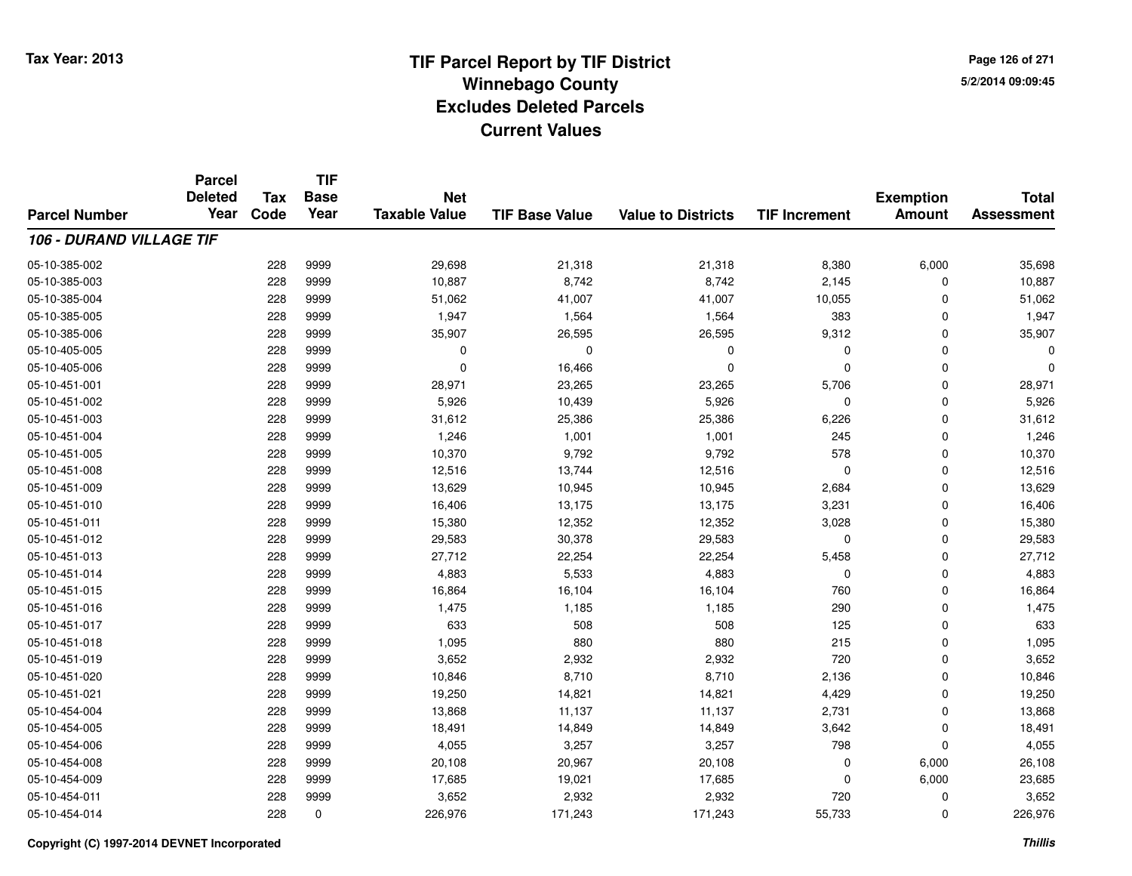**Page 126 of 2715/2/2014 09:09:45**

|                                 | <b>Parcel</b>          |                    | <b>TIF</b>          | <b>Net</b><br><b>Taxable Value</b> |                       |                           |                      |                                   | <b>Total</b>      |
|---------------------------------|------------------------|--------------------|---------------------|------------------------------------|-----------------------|---------------------------|----------------------|-----------------------------------|-------------------|
|                                 | <b>Deleted</b><br>Year | <b>Tax</b><br>Code | <b>Base</b><br>Year |                                    | <b>TIF Base Value</b> |                           |                      | <b>Exemption</b><br><b>Amount</b> |                   |
| <b>Parcel Number</b>            |                        |                    |                     |                                    |                       | <b>Value to Districts</b> | <b>TIF Increment</b> |                                   | <b>Assessment</b> |
| <b>106 - DURAND VILLAGE TIF</b> |                        |                    |                     |                                    |                       |                           |                      |                                   |                   |
| 05-10-385-002                   |                        | 228                | 9999                | 29,698                             | 21,318                | 21,318                    | 8,380                | 6,000                             | 35,698            |
| 05-10-385-003                   |                        | 228                | 9999                | 10,887                             | 8,742                 | 8,742                     | 2,145                | $\mathbf 0$                       | 10,887            |
| 05-10-385-004                   |                        | 228                | 9999                | 51,062                             | 41,007                | 41,007                    | 10,055               | 0                                 | 51,062            |
| 05-10-385-005                   |                        | 228                | 9999                | 1,947                              | 1,564                 | 1,564                     | 383                  | $\mathbf 0$                       | 1,947             |
| 05-10-385-006                   |                        | 228                | 9999                | 35,907                             | 26,595                | 26,595                    | 9,312                | $\mathbf 0$                       | 35,907            |
| 05-10-405-005                   |                        | 228                | 9999                | 0                                  | $\Omega$              | $\mathbf 0$               | $\Omega$             | $\mathbf 0$                       |                   |
| 05-10-405-006                   |                        | 228                | 9999                | $\mathbf 0$                        | 16,466                | $\mathbf 0$               | $\Omega$             | $\mathbf 0$                       |                   |
| 05-10-451-001                   |                        | 228                | 9999                | 28,971                             | 23,265                | 23,265                    | 5,706                | $\mathbf 0$                       | 28,971            |
| 05-10-451-002                   |                        | 228                | 9999                | 5,926                              | 10,439                | 5,926                     | $\mathbf 0$          | $\mathbf 0$                       | 5,926             |
| 05-10-451-003                   |                        | 228                | 9999                | 31,612                             | 25,386                | 25,386                    | 6,226                | $\mathbf 0$                       | 31,612            |
| 05-10-451-004                   |                        | 228                | 9999                | 1,246                              | 1,001                 | 1,001                     | 245                  | $\mathbf 0$                       | 1,246             |
| 05-10-451-005                   |                        | 228                | 9999                | 10,370                             | 9,792                 | 9,792                     | 578                  | 0                                 | 10,370            |
| 05-10-451-008                   |                        | 228                | 9999                | 12,516                             | 13,744                | 12,516                    | $\mathbf 0$          | $\mathbf 0$                       | 12,516            |
| 05-10-451-009                   |                        | 228                | 9999                | 13,629                             | 10,945                | 10,945                    | 2,684                | $\mathbf 0$                       | 13,629            |
| 05-10-451-010                   |                        | 228                | 9999                | 16,406                             | 13,175                | 13,175                    | 3,231                | $\mathbf 0$                       | 16,406            |
| 05-10-451-011                   |                        | 228                | 9999                | 15,380                             | 12,352                | 12,352                    | 3,028                | $\mathbf 0$                       | 15,380            |
| 05-10-451-012                   |                        | 228                | 9999                | 29,583                             | 30,378                | 29,583                    | 0                    | $\mathbf 0$                       | 29,583            |
| 05-10-451-013                   |                        | 228                | 9999                | 27,712                             | 22,254                | 22,254                    | 5,458                | $\mathbf 0$                       | 27,712            |
| 05-10-451-014                   |                        | 228                | 9999                | 4,883                              | 5,533                 | 4,883                     | 0                    | $\mathbf 0$                       | 4,883             |
| 05-10-451-015                   |                        | 228                | 9999                | 16,864                             | 16,104                | 16,104                    | 760                  | $\mathbf 0$                       | 16,864            |
| 05-10-451-016                   |                        | 228                | 9999                | 1,475                              | 1,185                 | 1,185                     | 290                  | $\mathbf 0$                       | 1,475             |
| 05-10-451-017                   |                        | 228                | 9999                | 633                                | 508                   | 508                       | 125                  | $\mathbf 0$                       | 633               |
| 05-10-451-018                   |                        | 228                | 9999                | 1,095                              | 880                   | 880                       | 215                  | $\mathbf 0$                       | 1,095             |
| 05-10-451-019                   |                        | 228                | 9999                | 3,652                              | 2,932                 | 2,932                     | 720                  | $\mathbf 0$                       | 3,652             |
| 05-10-451-020                   |                        | 228                | 9999                | 10,846                             | 8,710                 | 8,710                     | 2,136                | $\mathbf 0$                       | 10,846            |
| 05-10-451-021                   |                        | 228                | 9999                | 19,250                             | 14,821                | 14,821                    | 4,429                | $\mathbf 0$                       | 19,250            |
| 05-10-454-004                   |                        | 228                | 9999                | 13,868                             | 11,137                | 11,137                    | 2,731                | $\mathbf 0$                       | 13,868            |
| 05-10-454-005                   |                        | 228                | 9999                | 18,491                             | 14,849                | 14,849                    | 3,642                | $\mathbf 0$                       | 18,491            |
| 05-10-454-006                   |                        | 228                | 9999                | 4,055                              | 3,257                 | 3,257                     | 798                  | $\mathbf 0$                       | 4,055             |
| 05-10-454-008                   |                        | 228                | 9999                | 20,108                             | 20,967                | 20,108                    | 0                    | 6,000                             | 26,108            |
| 05-10-454-009                   |                        | 228                | 9999                | 17,685                             | 19,021                | 17,685                    | $\Omega$             | 6,000                             | 23,685            |
| 05-10-454-011                   |                        | 228                | 9999                | 3,652                              | 2,932                 | 2,932                     | 720                  | $\mathbf 0$                       | 3,652             |
| 05-10-454-014                   |                        | 228                | $\mathbf 0$         | 226,976                            | 171,243               | 171,243                   | 55,733               | $\mathbf 0$                       | 226,976           |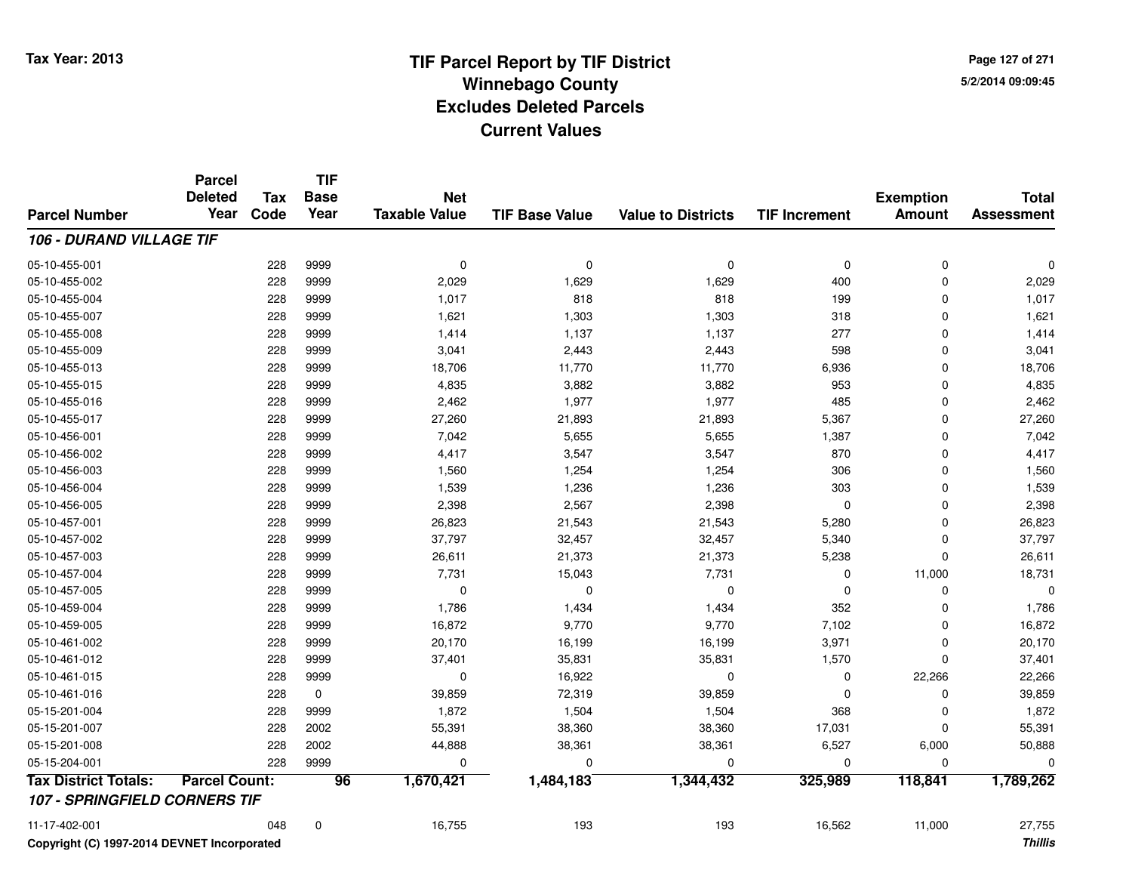**Page 127 of 2715/2/2014 09:09:45**

#### **TIF Base ValueParcel NumberTotal AssessmentExemption Amount Value to Districts TIF IncrementTIF Base YearTax CodeParcel Deleted YearNet Taxable Value106 - DURAND VILLAGE TIF**05-10-455-001 <sup>228</sup> <sup>0</sup> <sup>9999</sup> <sup>0</sup> <sup>0</sup> <sup>0</sup> <sup>0</sup> <sup>0</sup> 05-10-455-0022 228 9999 2,029 1,629 1,629 400 0 2,029 05-10-455-004 <sup>228</sup> 1,017 <sup>9999</sup> <sup>818</sup> <sup>818</sup> <sup>199</sup> <sup>0</sup> 1,017 05-10-455-007 <sup>228</sup> 1,621 <sup>9999</sup> 1,303 1,303 <sup>318</sup> <sup>0</sup> 1,621 05-10-455-008 <sup>228</sup> 1,414 <sup>9999</sup> 1,137 1,137 <sup>277</sup> <sup>0</sup> 1,414 05-10-455-0099 228 9999 3,041 2,443 2,443 598 0 3,041 05-10-455-013 <sup>228</sup> 18,706 <sup>9999</sup> 11,770 11,770 6,936 <sup>0</sup> 18,706 05-10-455-015 <sup>228</sup> 4,835 <sup>9999</sup> 3,882 3,882 <sup>953</sup> <sup>0</sup> 4,835 05-10-455-0166 228 9999 2,462 1,977 1,977 485 0 2,462 05-10-455-017 <sup>228</sup> 27,260 <sup>9999</sup> 21,893 21,893 5,367 <sup>0</sup> 27,260 05-10-456-0011 228 9999 7,042 5,655 5,655 1,387 0 7,042 05-10-456-002 <sup>228</sup> 4,417 <sup>9999</sup> 3,547 3,547 <sup>870</sup> <sup>0</sup> 4,417 05-10-456-0033 228 9999 1,560 1,254 1,254 306 0 1,560 05-10-456-0044 228 9999 1,539 1,236 1,236 303 0 1,539 05-10-456-0055 228 9999 2,398 2,567 2,398 0 0 2,398 05-10-457-001 <sup>228</sup> 26,823 <sup>9999</sup> 21,543 21,543 5,280 <sup>0</sup> 26,823 05-10-457-002 <sup>228</sup> 37,797 <sup>9999</sup> 32,457 32,457 5,340 <sup>0</sup> 37,797 05-10-457-003 <sup>228</sup> 26,611 <sup>9999</sup> 21,373 21,373 5,238 <sup>0</sup> 26,611 05-10-457-004 <sup>228</sup> 7,731 <sup>9999</sup> 15,043 7,731 <sup>0</sup> 11,000 18,731 05-10-457-005 <sup>228</sup> <sup>0</sup> <sup>9999</sup> <sup>0</sup> <sup>0</sup> <sup>0</sup> <sup>0</sup> <sup>0</sup> 05-10-459-0044 228 9999 1,786 1,434 1,434 352 0 1,786 05-10-459-005 <sup>228</sup> 16,872 <sup>9999</sup> 9,770 9,770 7,102 <sup>0</sup> 16,872 05-10-461-002 <sup>228</sup> 20,170 <sup>9999</sup> 16,199 16,199 3,971 <sup>0</sup> 20,170 05-10-461-012 <sup>228</sup> 37,401 <sup>9999</sup> 35,831 35,831 1,570 <sup>0</sup> 37,401 05-10-461-0155 228 9999 0 16,922 0 0 22,266 22,266 05-10-461-0166 228 0 39,859 72,319 39,859 0 0 39,859 05-15-201-0044 228 9999 1,872 1,504 1,504 368 0 1,872 05-15-201-007 <sup>228</sup> 55,391 <sup>2002</sup> 38,360 38,360 17,031 <sup>0</sup> 55,391 05-15-201-0088 228 2002 44,888 38,361 38,361 6,527 6,000 50,888 05-15-204-001 <sup>228</sup> <sup>0</sup> <sup>9999</sup> <sup>0</sup> <sup>0</sup> <sup>0</sup> <sup>0</sup> <sup>0</sup> **Tax District Totals: Parcel Count: <sup>96</sup> 1,670,421 1,484,183 1,344,432 325,989 118,841 1,789,262 107 - SPRINGFIELD CORNERS TIF**11-17-402-0011 048 0 16,755 193 193 16,562 11,000 27,755

**Copyright (C) 1997-2014 DEVNET Incorporated**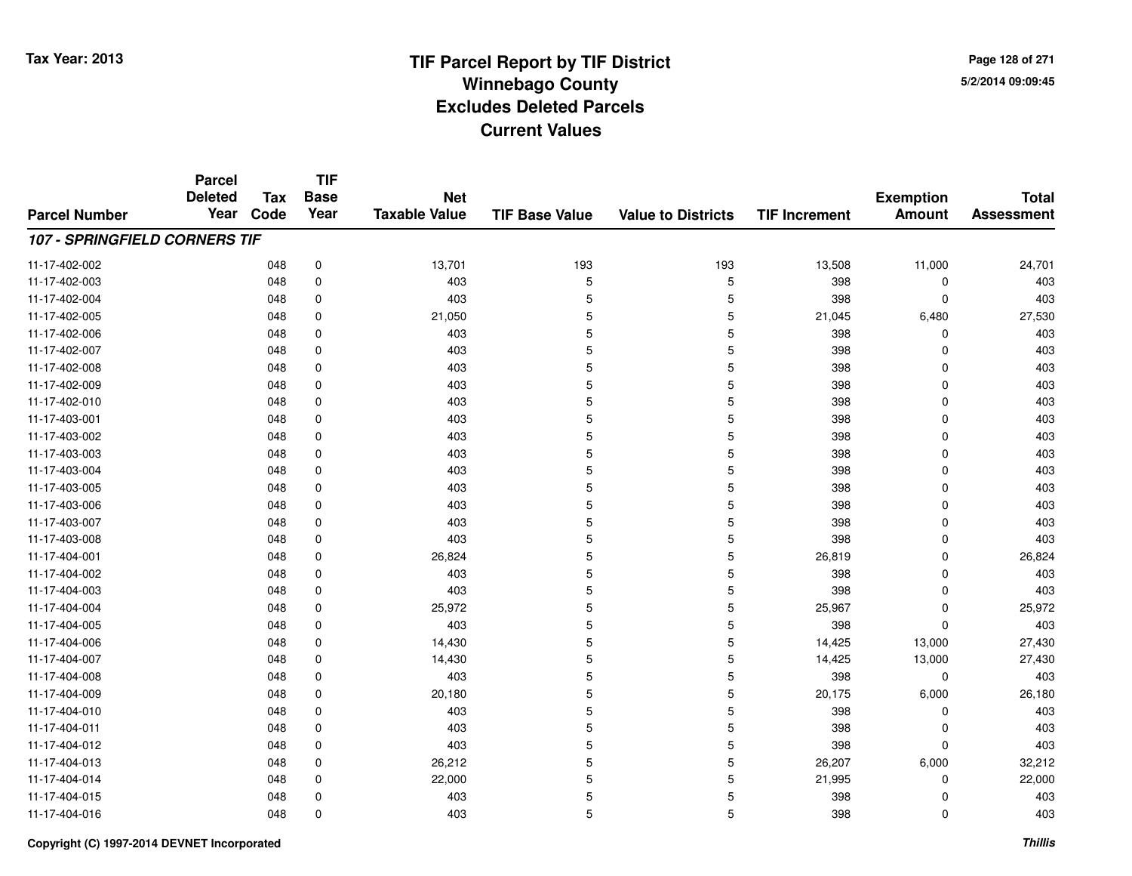**Page 128 of 2715/2/2014 09:09:45**

#### **TIF Base ValueParcel NumberTotal AssessmentExemption Amount Value to Districts TIF IncrementTIF Base YearTax CodeParcel Deleted YearNet Taxable Value107 - SPRINGFIELD CORNERS TIF**11-17-402-002 <sup>048</sup> 13,701 <sup>0</sup> <sup>193</sup> <sup>193</sup> 13,508 11,000 24,701 11-17-402-0033 048 0 403 5 5 398 0 403 11-17-402-0044 5 398 0 403 403 5 5 398 0 403 11-17-402-005 <sup>048</sup> 21,050 <sup>0</sup> <sup>5</sup> <sup>5</sup> 21,045 6,480 27,530 11-17-402-006 <sup>048</sup> <sup>403</sup> <sup>0</sup> <sup>5</sup> <sup>5</sup> <sup>398</sup> <sup>0</sup> <sup>403</sup> 11-17-402-007 <sup>048</sup> <sup>403</sup> <sup>0</sup> <sup>5</sup> <sup>5</sup> <sup>398</sup> <sup>0</sup> <sup>403</sup> 11-17-402-008 <sup>048</sup> <sup>403</sup> <sup>0</sup> <sup>5</sup> <sup>5</sup> <sup>398</sup> <sup>0</sup> <sup>403</sup> 11-17-402-009 <sup>048</sup> <sup>403</sup> <sup>0</sup> <sup>5</sup> <sup>5</sup> <sup>398</sup> <sup>0</sup> <sup>403</sup> 11-17-402-0100 048 0 403 5 5 398 0 403 11-17-403-0011 048 0 403 5 5 398 0 403 11-17-403-002 <sup>048</sup> <sup>403</sup> <sup>0</sup> <sup>5</sup> <sup>5</sup> <sup>398</sup> <sup>0</sup> <sup>403</sup> 11-17-403-0033 048 0 403 5 5 398 0 403 11-17-403-0044 5 398 0 403 403 5 5 398 0 403 11-17-403-005 <sup>048</sup> <sup>403</sup> <sup>0</sup> <sup>5</sup> <sup>5</sup> <sup>398</sup> <sup>0</sup> <sup>403</sup> 11-17-403-006 <sup>048</sup> <sup>403</sup> <sup>0</sup> <sup>5</sup> <sup>5</sup> <sup>398</sup> <sup>0</sup> <sup>403</sup> 11-17-403-007 <sup>048</sup> <sup>403</sup> <sup>0</sup> <sup>5</sup> <sup>5</sup> <sup>398</sup> <sup>0</sup> <sup>403</sup> 11-17-403-008 <sup>048</sup> <sup>403</sup> <sup>0</sup> <sup>5</sup> <sup>5</sup> <sup>398</sup> <sup>0</sup> <sup>403</sup> 11-17-404-0011 048 0 26,824 5 5 26,819 0 26,824 11-17-404-002 <sup>048</sup> <sup>403</sup> <sup>0</sup> <sup>5</sup> <sup>5</sup> <sup>398</sup> <sup>0</sup> <sup>403</sup> 11-17-404-0033 048 0 403 5 5 398 0 403 11-17-404-0044 25,972 5 25,972 5 25,972 5 25,972 5 25,972 5 25,972 5 25,972 5 25,972 6 25,972 11-17-404-005 <sup>048</sup> <sup>403</sup> <sup>0</sup> <sup>5</sup> <sup>5</sup> <sup>398</sup> <sup>0</sup> <sup>403</sup> 11-17-404-006 <sup>048</sup> 14,430 <sup>0</sup> <sup>5</sup> <sup>5</sup> 14,425 13,000 27,430 11-17-404-007 <sup>048</sup> 14,430 <sup>0</sup> <sup>5</sup> <sup>5</sup> 14,425 13,000 27,430 11-17-404-008 <sup>048</sup> <sup>403</sup> <sup>0</sup> <sup>5</sup> <sup>5</sup> <sup>398</sup> <sup>0</sup> <sup>403</sup> 11-17-404-0099 048 0 20,180 5 5 20,175 6,000 26,180 11-17-404-0100 048 0 403 5 5 398 0 403 11-17-404-0111 048 0 403 5 5 398 0 403 11-17-404-012 <sup>048</sup> <sup>403</sup> <sup>0</sup> <sup>5</sup> <sup>5</sup> <sup>398</sup> <sup>0</sup> <sup>403</sup> 11-17-404-013 $3$  6,000  $0^{48}$  0  $26,212$  5  $26,207$  6,000  $32,212$ 11-17-404-014 $\frac{4}{5}$  and  $\frac{6}{5}$  21,995 cm  $\frac{22,000}{5}$  5 cm  $\frac{21,995}{5}$  0 22,000 11-17-404-015 <sup>048</sup> <sup>403</sup> <sup>0</sup> <sup>5</sup> <sup>5</sup> <sup>398</sup> <sup>0</sup> <sup>403</sup> 11-17-404-016<sup>048</sup> <sup>403</sup> <sup>0</sup> <sup>5</sup> <sup>5</sup> <sup>398</sup> <sup>0</sup> <sup>403</sup>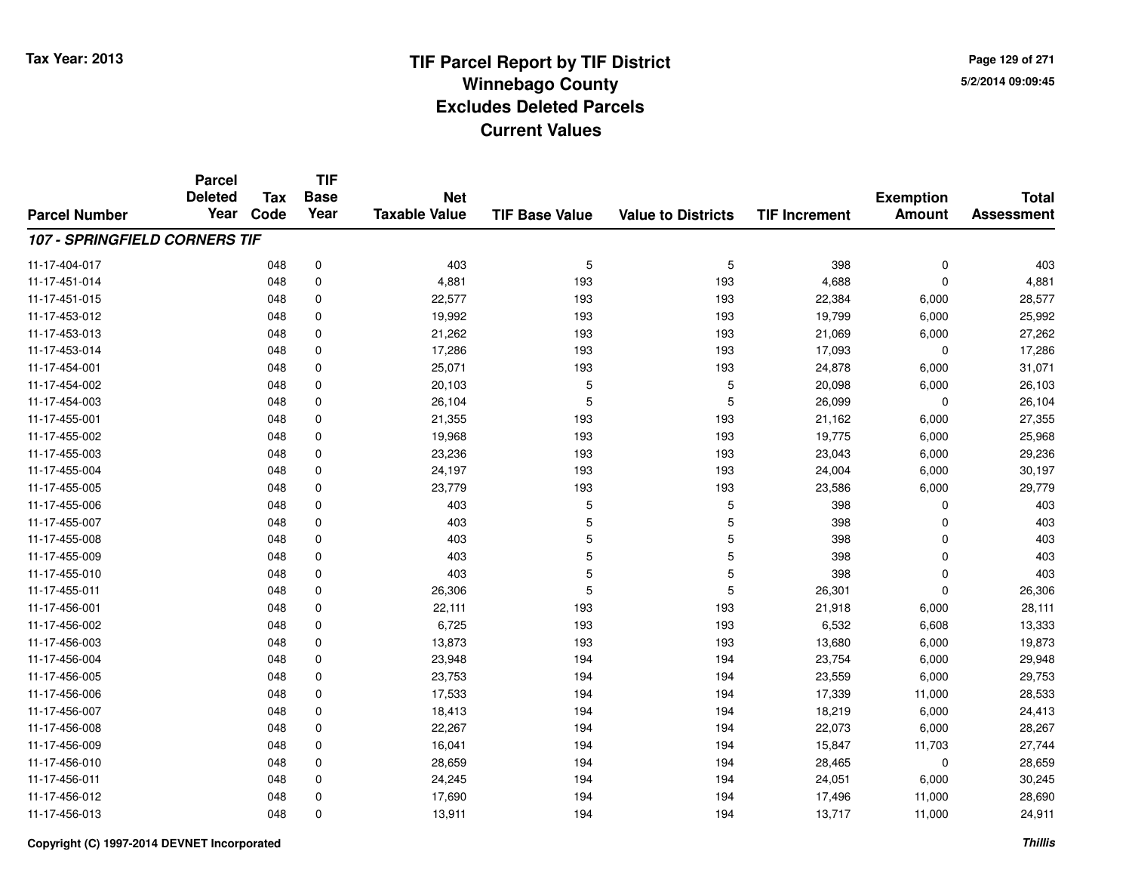**Page 129 of 2715/2/2014 09:09:45**

#### **TIF Base ValueParcel NumberTotal AssessmentExemption Amount Value to Districts TIF IncrementTIF Base YearTax CodeParcel Deleted YearNet Taxable Value107 - SPRINGFIELD CORNERS TIF**11-17-404-017 <sup>048</sup> <sup>403</sup> <sup>0</sup> <sup>5</sup> <sup>5</sup> <sup>398</sup> <sup>0</sup> <sup>403</sup> 11-17-451-0144 048 0 4,881 193 193 4,688 0 4,881 11-17-451-015 <sup>048</sup> 22,577 <sup>0</sup> <sup>193</sup> <sup>193</sup> 22,384 6,000 28,577 11-17-453-012 <sup>048</sup> 19,992 <sup>0</sup> <sup>193</sup> <sup>193</sup> 19,799 6,000 25,992 11-17-453-0133 048 0 21,262 193 193 21,069 6,000 27,262 11-17-453-0144 048 0 17,286 193 193 17,093 0 17,286 11-17-454-0011 048 0 25,071 193 193 24,878 6,000 31,071 11-17-454-0022 048 0 20,103 5 5 20,098 6,000 26,103 11-17-454-0033 048 0 26,104 5 5 26,099 0 26,104 11-17-455-0011 048 0 21,355 193 193 21,162 6,000 27,355 11-17-455-002 <sup>048</sup> 19,968 <sup>0</sup> <sup>193</sup> <sup>193</sup> 19,775 6,000 25,968 11-17-455-0033 048 0 23,236 193 193 23,043 6,000 29,236 11-17-455-0044 24,004 24,197 193 193 193 24,004 6,000 30,197 11-17-455-0055 048 0 23,779 193 193 23,586 6,000 29,779 11-17-455-006 <sup>048</sup> <sup>403</sup> <sup>0</sup> <sup>5</sup> <sup>5</sup> <sup>398</sup> <sup>0</sup> <sup>403</sup> 11-17-455-007 <sup>048</sup> <sup>403</sup> <sup>0</sup> <sup>5</sup> <sup>5</sup> <sup>398</sup> <sup>0</sup> <sup>403</sup> 11-17-455-008 <sup>048</sup> <sup>403</sup> <sup>0</sup> <sup>5</sup> <sup>5</sup> <sup>398</sup> <sup>0</sup> <sup>403</sup> 11-17-455-009 <sup>048</sup> <sup>403</sup> <sup>0</sup> <sup>5</sup> <sup>5</sup> <sup>398</sup> <sup>0</sup> <sup>403</sup> 11-17-455-0100 048 0 403 5 5 398 0 403 11-17-455-0111 048 0 26,306 5 5 26,301 0 26,306 11-17-456-0011 048 0 22,111 193 193 21,918 6,000 28,111 11-17-456-002 <sup>048</sup> 6,725 <sup>0</sup> <sup>193</sup> <sup>193</sup> 6,532 6,608 13,333 11-17-456-003 <sup>048</sup> 13,873 <sup>0</sup> <sup>193</sup> <sup>193</sup> 13,680 6,000 19,873 11-17-456-004 <sup>048</sup> 23,948 <sup>0</sup> <sup>194</sup> <sup>194</sup> 23,754 6,000 29,948 11-17-456-005 <sup>048</sup> 23,753 <sup>0</sup> <sup>194</sup> <sup>194</sup> 23,559 6,000 29,753 11-17-456-0066 048 0 17,533 194 194 17,339 11,000 28,533 11-17-456-007 <sup>048</sup> 18,413 <sup>0</sup> <sup>194</sup> <sup>194</sup> 18,219 6,000 24,413 11-17-456-0088 048 0 22,267 194 194 22,073 6,000 28,267 11-17-456-0099 048 0 16,041 194 194 15,847 11,703 27,744 11-17-456-0100 048 0 28,659 194 194 28,465 0 28,659 11-17-456-0111 048 0 24,245 194 194 24,051 6,000 30,245 11-17-456-012 <sup>048</sup> 17,690 <sup>0</sup> <sup>194</sup> <sup>194</sup> 17,496 11,000 28,690 11-17-456-013<sup>048</sup> 13,911 <sup>0</sup> <sup>194</sup> <sup>194</sup> 13,717 11,000 24,911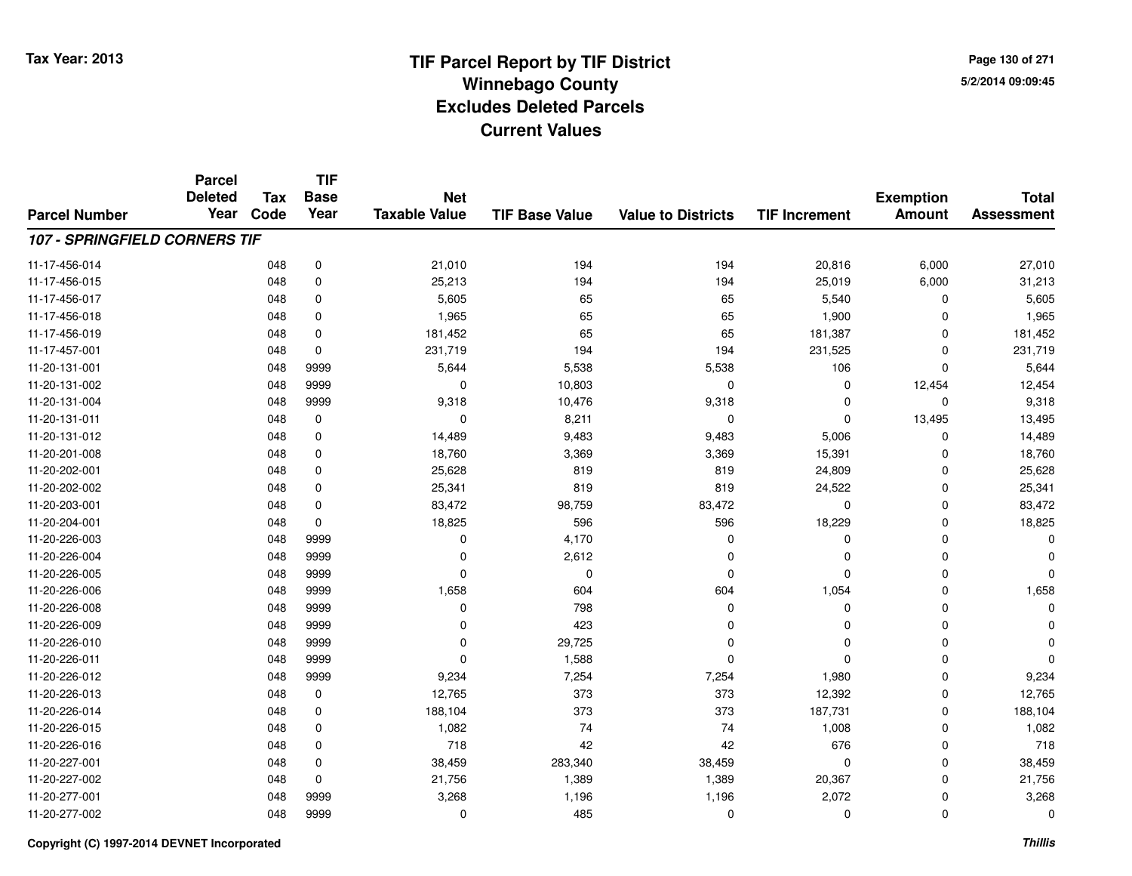**Page 130 of 2715/2/2014 09:09:45**

#### **TIF Base ValueParcel NumberTotal AssessmentExemption Amount Value to Districts TIF IncrementTIF Base YearTax CodeParcel Deleted YearNet Taxable Value107 - SPRINGFIELD CORNERS TIF**11-17-456-014 <sup>048</sup> 21,010 <sup>0</sup> <sup>194</sup> <sup>194</sup> 20,816 6,000 27,010 11-17-456-0155 048 0 25,213 194 194 25,019 6,000 31,213 11-17-456-017 <sup>048</sup> 5,605 <sup>0</sup> <sup>65</sup> <sup>65</sup> 5,540 <sup>0</sup> 5,605 11-17-456-0188 048 0 1,965 65 65 1,900 0 1,965 11-17-456-0199 048 0 181,452 65 65 181,387 0 181,452 11-17-457-0011 048 0 231,719 194 194 231,525 0 231,719 11-20-131-0011 048 9999 5,644 5,538 5,538 106 0 5,644 11-20-131-0022 048 9999 0 10,803 0 12,454 12,454 11-20-131-004 <sup>048</sup> 9,318 <sup>9999</sup> 10,476 9,318 <sup>0</sup> <sup>0</sup> 9,318 11-20-131-0111 048 0 0 8,211 0 0 13,495 13,495 11-20-131-0122 048 0 14,489 9,483 9,483 5,006 0 14,489 11-20-201-0088 048 0 18,760 3,369 3,369 15,391 0 18,760 11-20-202-0011 048 0 25,628 819 819 24,809 0 25,628 11-20-202-0022 048 0 25,341 819 819 24,522 0 25,341 11-20-203-0011 048 0 83,472 98,759 83,472 0 0 83,472 11-20-204-0011 048 0 18,825 596 596 18,229 0 18,825 11-20-226-0033 and the contract of the contract of the contract of the contract of the contract of  $\alpha$  of  $\alpha$  of  $\alpha$  of  $\alpha$  of  $\alpha$  of  $\alpha$  of  $\alpha$  of  $\alpha$  of  $\alpha$  of  $\alpha$  of  $\alpha$  of  $\alpha$  of  $\alpha$  of  $\alpha$  of  $\alpha$  of  $\alpha$  of  $\alpha$  of 11-20-226-004 <sup>048</sup> <sup>0</sup> <sup>9999</sup> 2,612 <sup>0</sup> <sup>0</sup> <sup>0</sup> <sup>0</sup> 11-20-226-005 <sup>048</sup> <sup>0</sup> <sup>9999</sup> <sup>0</sup> <sup>0</sup> <sup>0</sup> <sup>0</sup> <sup>0</sup> 11-20-226-0066 048 9999 1,658 604 604 1,054 0 1,658 11-20-226-008 <sup>048</sup> <sup>0</sup> <sup>9999</sup> <sup>798</sup> <sup>0</sup> <sup>0</sup> <sup>0</sup> <sup>0</sup> 11-20-226-009 <sup>048</sup> <sup>0</sup> <sup>9999</sup> <sup>423</sup> <sup>0</sup> <sup>0</sup> <sup>0</sup> <sup>0</sup> 11-20-226-0100 048 9999 0 29,725 0 0 0 0 11-20-226-0111 048 9999 0 1,588 0 0 0 0 11-20-226-012 <sup>048</sup> 9,234 <sup>9999</sup> 7,254 7,254 1,980 <sup>0</sup> 9,234 11-20-226-0133 048 0 12,765 373 373 12,392 0 12,765 11-20-226-0144 187,731 0 188,104 188,104 373 373 373 373 373 373 373 374 38,104 11-20-226-015 <sup>048</sup> 1,082 <sup>0</sup> <sup>74</sup> <sup>74</sup> 1,008 <sup>0</sup> 1,082 11-20-226-0166 048 0 718 42 42 676 0 718 11-20-227-0011 048 0 38,459 283,340 38,459 0 38,459 11-20-227-0022 048 0 21,756 1,389 1,389 20,367 0 21,756 11-20-277-0011 048 9999 3,268 1,196 1,196 2,072 0 3,268 11-20-277-0022 048 9999 0 485 0 0 0 0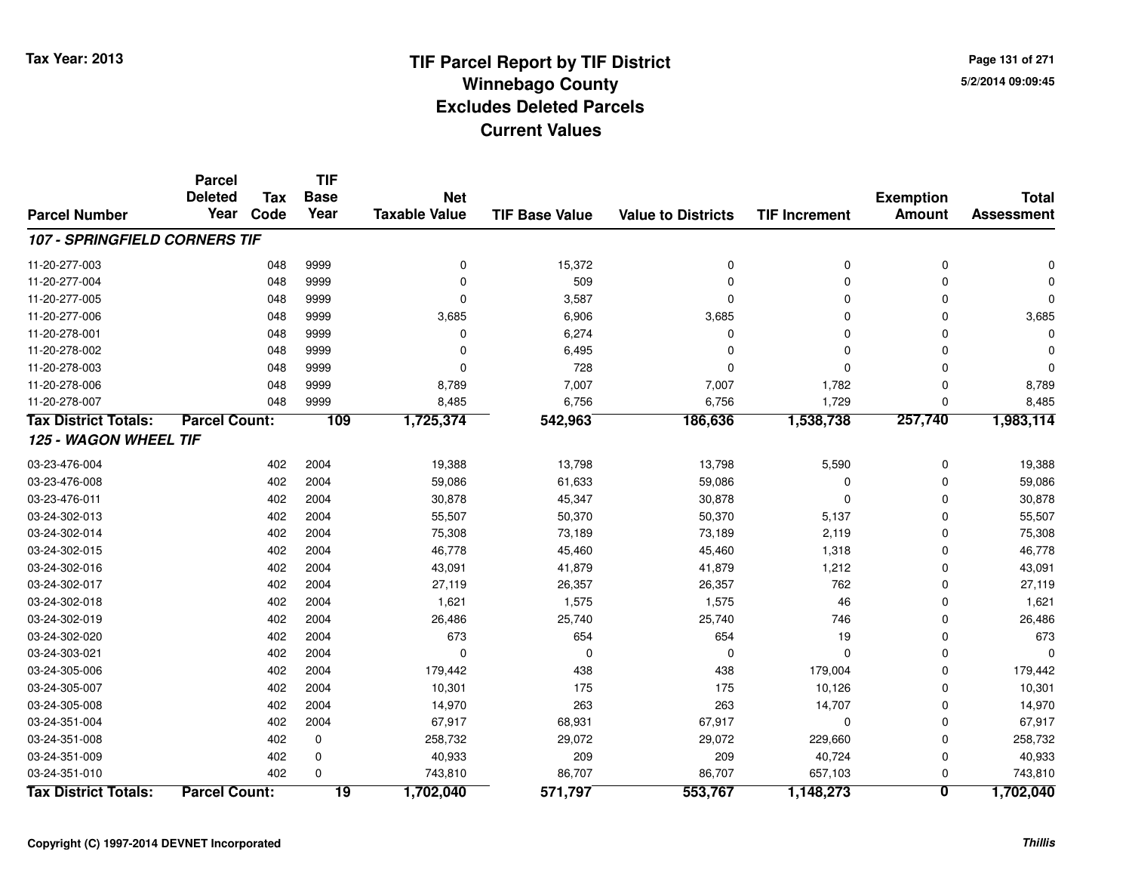**Page 131 of 2715/2/2014 09:09:45**

|                                      | <b>Parcel</b>        |            | <b>TIF</b>      |                      |                       |                           |                      |                         |                   |
|--------------------------------------|----------------------|------------|-----------------|----------------------|-----------------------|---------------------------|----------------------|-------------------------|-------------------|
|                                      | <b>Deleted</b>       | <b>Tax</b> | <b>Base</b>     | <b>Net</b>           |                       |                           |                      | <b>Exemption</b>        | <b>Total</b>      |
| <b>Parcel Number</b>                 | Year                 | Code       | Year            | <b>Taxable Value</b> | <b>TIF Base Value</b> | <b>Value to Districts</b> | <b>TIF Increment</b> | <b>Amount</b>           | <b>Assessment</b> |
| <b>107 - SPRINGFIELD CORNERS TIF</b> |                      |            |                 |                      |                       |                           |                      |                         |                   |
| 11-20-277-003                        |                      | 048        | 9999            | $\mathbf 0$          | 15,372                | $\mathbf 0$               | 0                    | 0                       | 0                 |
| 11-20-277-004                        |                      | 048        | 9999            | $\overline{0}$       | 509                   | $\mathbf 0$               | 0                    | $\Omega$                |                   |
| 11-20-277-005                        |                      | 048        | 9999            | $\Omega$             | 3,587                 | $\mathbf 0$               | 0                    | $\mathbf 0$             | $\Omega$          |
| 11-20-277-006                        |                      | 048        | 9999            | 3,685                | 6,906                 | 3,685                     | 0                    | $\Omega$                | 3,685             |
| 11-20-278-001                        |                      | 048        | 9999            | $\mathbf 0$          | 6,274                 | 0                         | 0                    | $\Omega$                | O                 |
| 11-20-278-002                        |                      | 048        | 9999            | $\Omega$             | 6,495                 | 0                         | 0                    | $\Omega$                |                   |
| 11-20-278-003                        |                      | 048        | 9999            | $\Omega$             | 728                   | $\Omega$                  | 0                    | $\Omega$                | $\Omega$          |
| 11-20-278-006                        |                      | 048        | 9999            | 8,789                | 7,007                 | 7,007                     | 1,782                | $\mathbf 0$             | 8,789             |
| 11-20-278-007                        |                      | 048        | 9999            | 8,485                | 6,756                 | 6,756                     | 1,729                | $\Omega$                | 8,485             |
| <b>Tax District Totals:</b>          | <b>Parcel Count:</b> |            | 109             | 1,725,374            | 542,963               | 186,636                   | 1,538,738            | 257,740                 | 1,983,114         |
| 125 - WAGON WHEEL TIF                |                      |            |                 |                      |                       |                           |                      |                         |                   |
| 03-23-476-004                        |                      | 402        | 2004            | 19,388               | 13,798                | 13,798                    | 5,590                | 0                       | 19,388            |
| 03-23-476-008                        |                      | 402        | 2004            | 59,086               | 61,633                | 59,086                    | 0                    | $\Omega$                | 59,086            |
| 03-23-476-011                        |                      | 402        | 2004            | 30,878               | 45,347                | 30,878                    | 0                    | $\Omega$                | 30,878            |
| 03-24-302-013                        |                      | 402        | 2004            | 55,507               | 50,370                | 50,370                    | 5,137                | $\Omega$                | 55,507            |
| 03-24-302-014                        |                      | 402        | 2004            | 75,308               | 73,189                | 73,189                    | 2,119                | 0                       | 75,308            |
| 03-24-302-015                        |                      | 402        | 2004            | 46,778               | 45,460                | 45,460                    | 1,318                | $\Omega$                | 46,778            |
| 03-24-302-016                        |                      | 402        | 2004            | 43,091               | 41,879                | 41,879                    | 1,212                | $\Omega$                | 43,091            |
| 03-24-302-017                        |                      | 402        | 2004            | 27,119               | 26,357                | 26,357                    | 762                  | $\Omega$                | 27,119            |
| 03-24-302-018                        |                      | 402        | 2004            | 1,621                | 1,575                 | 1,575                     | 46                   | $\Omega$                | 1,621             |
| 03-24-302-019                        |                      | 402        | 2004            | 26,486               | 25,740                | 25,740                    | 746                  | $\Omega$                | 26,486            |
| 03-24-302-020                        |                      | 402        | 2004            | 673                  | 654                   | 654                       | 19                   | $\Omega$                | 673               |
| 03-24-303-021                        |                      | 402        | 2004            | $\mathbf 0$          | $\mathbf 0$           | $\mathbf 0$               | 0                    | $\mathbf 0$             | $\Omega$          |
| 03-24-305-006                        |                      | 402        | 2004            | 179,442              | 438                   | 438                       | 179,004              | $\Omega$                | 179,442           |
| 03-24-305-007                        |                      | 402        | 2004            | 10,301               | 175                   | 175                       | 10,126               | $\Omega$                | 10,301            |
| 03-24-305-008                        |                      | 402        | 2004            | 14,970               | 263                   | 263                       | 14,707               | $\Omega$                | 14,970            |
| 03-24-351-004                        |                      | 402        | 2004            | 67,917               | 68,931                | 67,917                    | $\mathbf 0$          | 0                       | 67,917            |
| 03-24-351-008                        |                      | 402        | 0               | 258,732              | 29,072                | 29,072                    | 229,660              | 0                       | 258,732           |
| 03-24-351-009                        |                      | 402        | 0               | 40,933               | 209                   | 209                       | 40,724               | 0                       | 40,933            |
| 03-24-351-010                        |                      | 402        | $\Omega$        | 743,810              | 86,707                | 86,707                    | 657,103              | 0                       | 743,810           |
| <b>Tax District Totals:</b>          | <b>Parcel Count:</b> |            | $\overline{19}$ | 1,702,040            | 571,797               | 553,767                   | 1,148,273            | $\overline{\mathbf{0}}$ | 1,702,040         |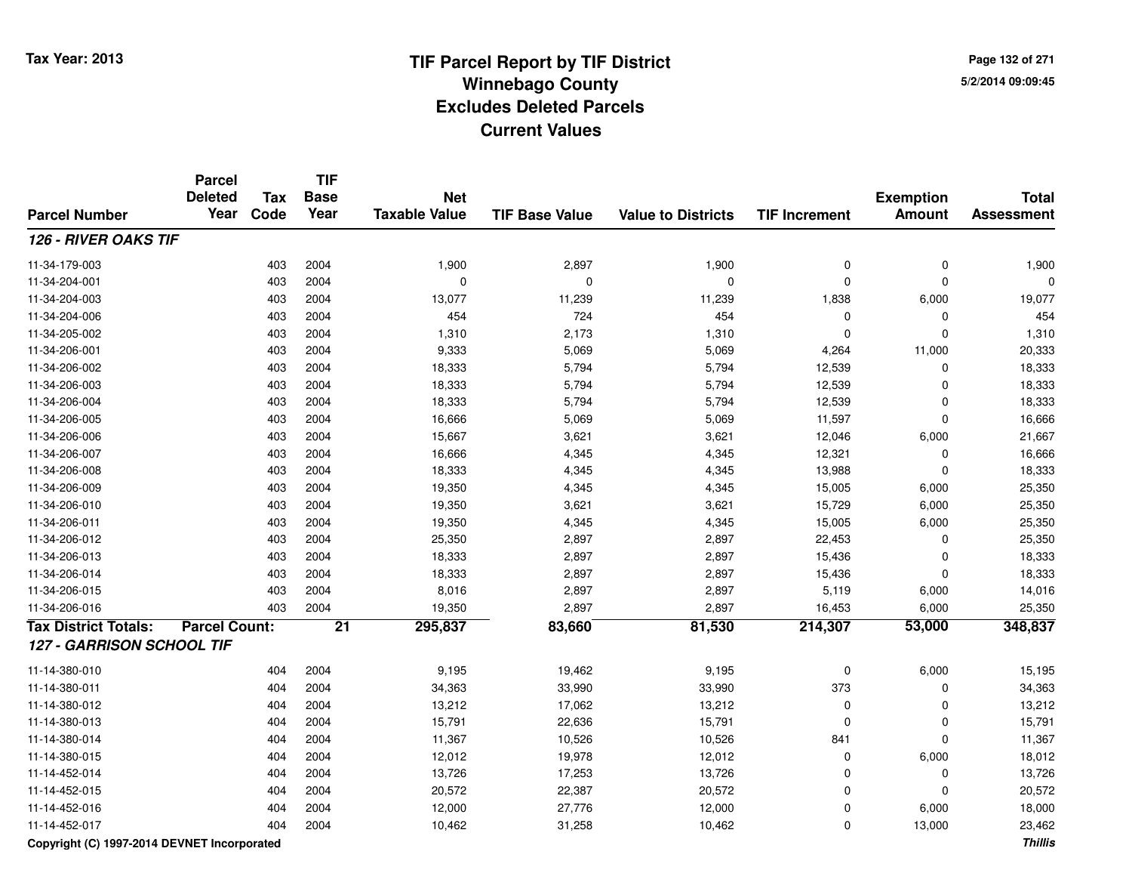**Page 132 of 2715/2/2014 09:09:45**

#### **TIF Base ValueParcel NumberTotal AssessmentExemption Amount Value to Districts TIF IncrementTIF Base YearTax CodeParcel Deleted YearNet Taxable Value126 - RIVER OAKS TIF**11-34-179-0033 403 2004 1,900 2,897 1,900 0 0 1,900 11-34-204-001 <sup>403</sup> <sup>0</sup> <sup>2004</sup> <sup>0</sup> <sup>0</sup> <sup>0</sup> <sup>0</sup> <sup>0</sup> 11-34-204-0033 11,239 19,077 13,077 11,239 11,239 1,838 6,000 19,077 11-34-204-0066 403 2004 454 724 454 0 0 454 11-34-205-0022 403 2004 1,310 2,173 1,310 0 0 1,310 11-34-206-0011 403 2004 9,333 5,069 5,069 4,264 11,000 20,333 11-34-206-002 <sup>403</sup> 18,333 <sup>2004</sup> 5,794 5,794 12,539 <sup>0</sup> 18,333 11-34-206-003 <sup>403</sup> 18,333 <sup>2004</sup> 5,794 5,794 12,539 <sup>0</sup> 18,333 11-34-206-004 <sup>403</sup> 18,333 <sup>2004</sup> 5,794 5,794 12,539 <sup>0</sup> 18,333 11-34-206-005 <sup>403</sup> 16,666 <sup>2004</sup> 5,069 5,069 11,597 <sup>0</sup> 16,666 11-34-206-0066 403 2004 15,667 3,621 3,621 12,046 6,000 21,667 11-34-206-007 <sup>403</sup> 16,666 <sup>2004</sup> 4,345 4,345 12,321 <sup>0</sup> 16,666 11-34-206-008 <sup>403</sup> 18,333 <sup>2004</sup> 4,345 4,345 13,988 <sup>0</sup> 18,333 11-34-206-009 <sup>403</sup> 19,350 <sup>2004</sup> 4,345 4,345 15,005 6,000 25,350 11-34-206-0100 403 2004 19,350 3,621 3,621 15,729 6,000 25,350 11-34-206-0111 403 2004 19,350 4,345 4,345 15,005 6,000 25,350 11-34-206-012 <sup>403</sup> 25,350 <sup>2004</sup> 2,897 2,897 22,453 <sup>0</sup> 25,350 11-34-206-013 <sup>403</sup> 18,333 <sup>2004</sup> 2,897 2,897 15,436 <sup>0</sup> 18,333 11-34-206-014 <sup>403</sup> 18,333 <sup>2004</sup> 2,897 2,897 15,436 <sup>0</sup> 18,333 11-34-206-015 <sup>403</sup> 8,016 <sup>2004</sup> 2,897 2,897 5,119 6,000 14,016 11-34-206-016 <sup>403</sup> 19,350 <sup>2004</sup> 2,897 2,897 16,453 6,000 25,350 **Tax District Totals: Parcel Count: <sup>21</sup> 295,837 83,660 81,530 214,307 53,000 348,837 127 - GARRISON SCHOOL TIF**11-14-380-0100 404 2004 9,195 19,462 9,195 0 6,000 15,195 11-14-380-0111 404 2004 34,363 33,990 3,990 373 0 34,363 11-14-380-0122 2 404 2004 13,212 17,062 13,212 0 0 13,212 11-14-380-0133 404 2004 15,791 22,636 15,791 0 15,791 11-14-380-014 <sup>404</sup> 11,367 <sup>2004</sup> 10,526 10,526 <sup>841</sup> <sup>0</sup> 11,367 11-14-380-015 <sup>404</sup> 12,012 <sup>2004</sup> 19,978 12,012 <sup>0</sup> 6,000 18,012 11-14-452-014 <sup>404</sup> 13,726 <sup>2004</sup> 17,253 13,726 <sup>0</sup> <sup>0</sup> 13,726 11-14-452-015 <sup>404</sup> 20,572 <sup>2004</sup> 22,387 20,572 <sup>0</sup> <sup>0</sup> 20,572 11-14-452-016 <sup>404</sup> 12,000 <sup>2004</sup> 27,776 12,000 <sup>0</sup> 6,000 18,000 11-14-452-017<sup>404</sup> 10,462 <sup>2004</sup> 31,258 10,462 <sup>0</sup> 13,000 23,462

**Copyright (C) 1997-2014 DEVNET Incorporated**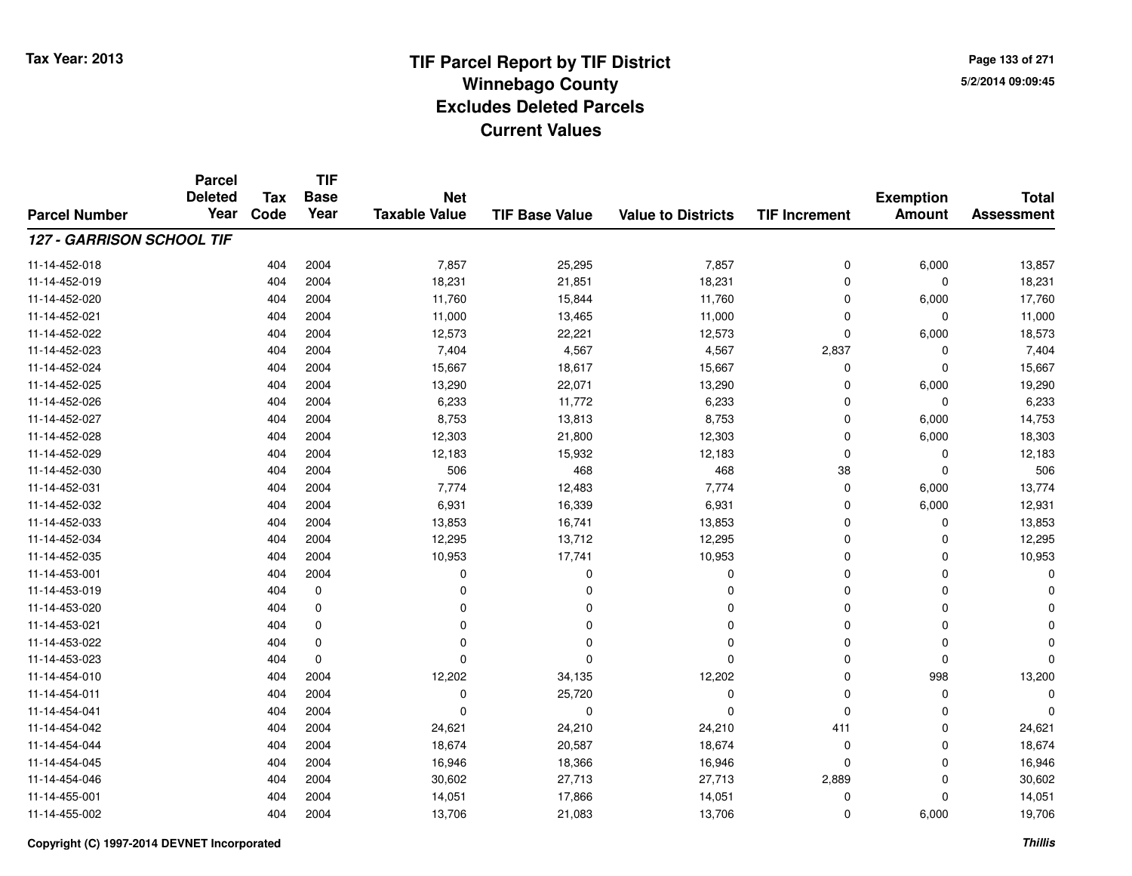**Page 133 of 2715/2/2014 09:09:45**

#### **TIF Base ValueParcel NumberTotal AssessmentExemption Amount Value to Districts TIF IncrementTIF Base YearTax CodeParcel Deleted YearNet Taxable Value127 - GARRISON SCHOOL TIF**11-14-452-0188 404 2004 7,857 25,295 7,857 0 6,000 13,857 11-14-452-0199 404 2004 18,231 21,851 18,231 0 0 18,231 11-14-452-0200 404 2004 11,760 15,844 11,760 0 6,000 17,760 11-14-452-021 <sup>404</sup> 11,000 <sup>2004</sup> 13,465 11,000 <sup>0</sup> <sup>0</sup> 11,000 11-14-452-0222 404 2004 12,573 22,221 12,573 0 6,000 18,573 11-14-452-023 <sup>404</sup> 7,404 <sup>2004</sup> 4,567 4,567 2,837 <sup>0</sup> 7,404 11-14-452-0244 15,667 15,667 15,667 16,687 18,617 15,667 15,667 0 0 0 15,667 11-14-452-025 <sup>404</sup> 13,290 <sup>2004</sup> 22,071 13,290 <sup>0</sup> 6,000 19,290 11-14-452-026 <sup>404</sup> 6,233 <sup>2004</sup> 11,772 6,233 <sup>0</sup> <sup>0</sup> 6,233 11-14-452-027 <sup>404</sup> 8,753 <sup>2004</sup> 13,813 8,753 <sup>0</sup> 6,000 14,753 11-14-452-028 <sup>404</sup> 12,303 <sup>2004</sup> 21,800 12,303 <sup>0</sup> 6,000 18,303 11-14-452-029 <sup>404</sup> 12,183 <sup>2004</sup> 15,932 12,183 <sup>0</sup> <sup>0</sup> 12,183 11-14-452-0300 404 2004 506 468 468 38 0 506 11-14-452-0311 1 404 2004 7,774 12,483 7,774 0 6,000 13,774 11-14-452-0322 404 2004 6,931 16,339 6,931 0 6,000 12,931 11-14-452-0333 404 2004 13,853 16,741 13,853 0 0 13,853 11-14-452-0344 404 2004 12,295 13,712 12,295 0 0 12,295 11-14-452-0355 26 26 26 27 27 28 2904 2004 2004 2004 10,953 2004 10,953 2004 10,953 2004 10,953 2004 10,953 2004 2004 10,953 11-14-453-001 <sup>404</sup> <sup>0</sup> <sup>2004</sup> <sup>0</sup> <sup>0</sup> <sup>0</sup> <sup>0</sup> <sup>0</sup> 11-14-453-019 <sup>404</sup> <sup>0</sup> <sup>0</sup> <sup>0</sup> <sup>0</sup> <sup>0</sup> <sup>0</sup> <sup>0</sup> 11-14-453-020 <sup>404</sup> <sup>0</sup> <sup>0</sup> <sup>0</sup> <sup>0</sup> <sup>0</sup> <sup>0</sup> <sup>0</sup> 11-14-453-021 <sup>404</sup> <sup>0</sup> <sup>0</sup> <sup>0</sup> <sup>0</sup> <sup>0</sup> <sup>0</sup> <sup>0</sup> 11-14-453-022 <sup>404</sup> <sup>0</sup> <sup>0</sup> <sup>0</sup> <sup>0</sup> <sup>0</sup> <sup>0</sup> <sup>0</sup> 11-14-453-023 <sup>404</sup> <sup>0</sup> <sup>0</sup> <sup>0</sup> <sup>0</sup> <sup>0</sup> <sup>0</sup> <sup>0</sup> 11-14-454-0100 404 2004 12,202 34,135 12,202 0 998 13,200 11-14-454-0111 and the contract of the contract of the contract of the contract of the contract of  $26.720$  and  $200$  of  $0$  of  $0$  of  $0$  of  $0$  of  $0$  of  $0$  of  $0$  of  $0$  of  $0$  of  $0$  of  $0$  of  $0$  of  $0$  of  $0$  of  $0$  of  $0$  of 11-14-454-041 <sup>404</sup> <sup>0</sup> <sup>2004</sup> <sup>0</sup> <sup>0</sup> <sup>0</sup> <sup>0</sup> <sup>0</sup> 11-14-454-0422 404 2004 24,621 24,210 24,210 411 0 24,621 11-14-454-0444 18,674 18,674 2004 18,674 20,587 18,674 18,674 0 0 0 18,674 11-14-454-0455 404 2004 16,946 18,366 16,946 0 0 16,946 11-14-454-046 <sup>404</sup> 30,602 <sup>2004</sup> 27,713 27,713 2,889 <sup>0</sup> 30,602 11-14-455-0011 404 2004 14,051 17,866 14,051 0 14,051 11-14-455-0022 404 2004 13,706 21,083 13,706 0 6,000 19,706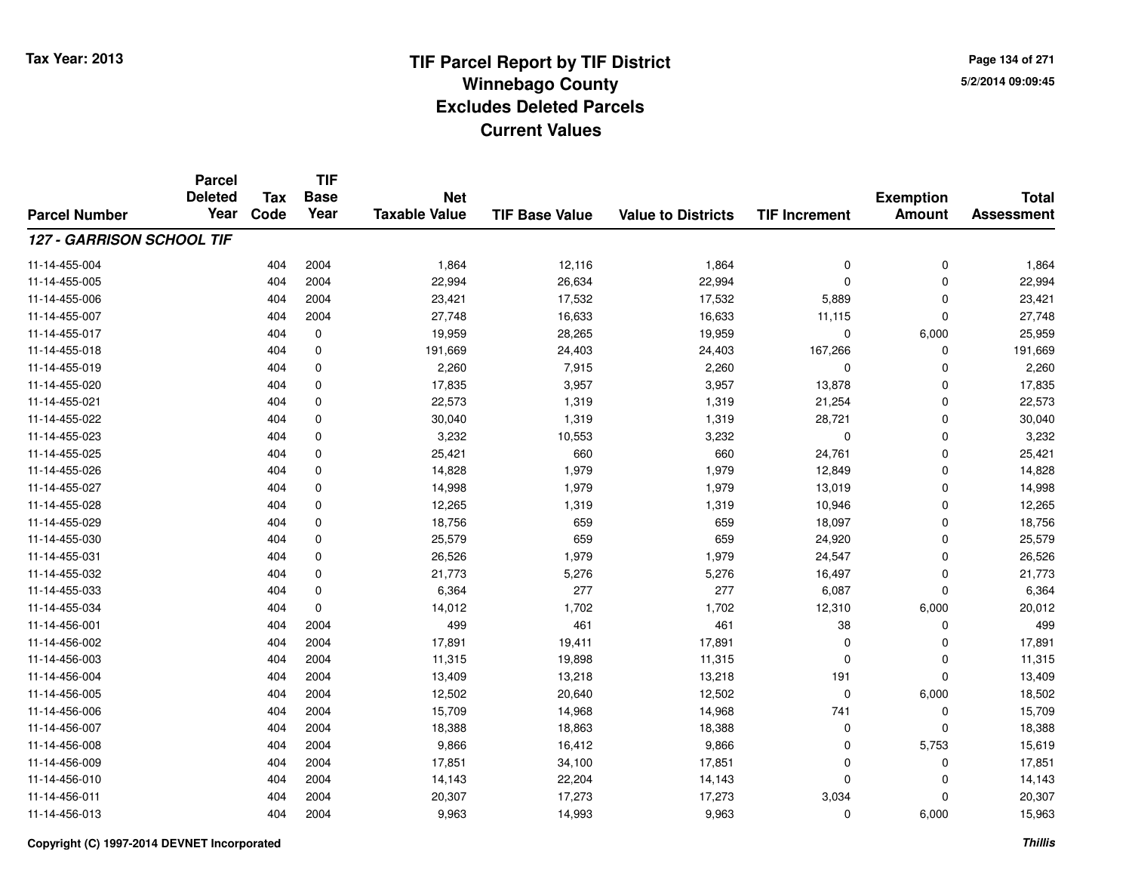**Page 134 of 2715/2/2014 09:09:45**

#### **TIF Base ValueParcel NumberTotal AssessmentExemption Amount Value to Districts TIF IncrementTIF Base YearTax CodeParcel Deleted YearNet Taxable Value127 - GARRISON SCHOOL TIF**11-14-455-004 <sup>404</sup> 1,864 <sup>2004</sup> 12,116 1,864 <sup>0</sup> <sup>0</sup> 1,864 11-14-455-005 <sup>404</sup> 22,994 <sup>2004</sup> 26,634 22,994 <sup>0</sup> <sup>0</sup> 22,994 11-14-455-0066 404 2004 23,421 17,532 17,532 5,889 0 23,421 11-14-455-007 <sup>404</sup> 27,748 <sup>2004</sup> 16,633 16,633 11,115 <sup>0</sup> 27,748 11-14-455-0177 404 0 19,959 28,265 19,959 0 6,000 25,959 11-14-455-018 <sup>404</sup> 191,669 <sup>0</sup> 24,403 24,403 167,266 <sup>0</sup> 191,669 11-14-455-0199 404 0 2,260 7,915 2,260 0 0 2,260 11-14-455-0200 404 0 17,835 3,957 3,957 13,878 0 17,835 11-14-455-0211 404 0 22,573 1,319 1,319 21,254 0 22,573 11-14-455-022 <sup>404</sup> 30,040 <sup>0</sup> 1,319 1,319 28,721 <sup>0</sup> 30,040 11-14-455-023 <sup>404</sup> 3,232 <sup>0</sup> 10,553 3,232 <sup>0</sup> <sup>0</sup> 3,232 11-14-455-0255 404 0 25,421 660 660 24,761 0 25,421 11-14-455-0266 404 0 14,828 1,979 1,979 12,849 0 14,828 11-14-455-027 <sup>404</sup> 14,998 <sup>0</sup> 1,979 1,979 13,019 <sup>0</sup> 14,998 11-14-455-0288 404 0 12,265 1,319 1,319 10,946 0 12,265 11-14-455-0299 404 0 18,756 659 659 18,097 0 18,756 11-14-455-0300 404 0 25,579 659 659 24,920 0 25,579 11-14-455-0311 404 0 26,526 1,979 1,979 24,547 0 26,526 11-14-455-032 <sup>404</sup> 21,773 <sup>0</sup> 5,276 5,276 16,497 <sup>0</sup> 21,773 11-14-455-0333 404 0 6,364 277 277 6,087 0 6,364 11-14-455-0344 1.702 1.702 1.702 1.702 1.702 1.7310 6,000 20,012 11-14-456-0011 404 2004 499 461 461 38 0 499 11-14-456-0022 404 2004 17,891 19,411 17,891 0 17,891 11-14-456-0033 404 2004 11,315 19,898 11,315 0 0 11,315 11-14-456-004 <sup>404</sup> 13,409 <sup>2004</sup> 13,218 13,218 <sup>191</sup> <sup>0</sup> 13,409 11-14-456-005 <sup>404</sup> 12,502 <sup>2004</sup> 20,640 12,502 <sup>0</sup> 6,000 18,502 11-14-456-006 <sup>404</sup> 15,709 <sup>2004</sup> 14,968 14,968 <sup>741</sup> <sup>0</sup> 15,709 11-14-456-007 <sup>404</sup> 18,388 <sup>2004</sup> 18,863 18,388 <sup>0</sup> <sup>0</sup> 18,388 11-14-456-0088 404 2004 9,866 16,412 9,866 0 5,753 15,619 11-14-456-009 <sup>404</sup> 17,851 <sup>2004</sup> 34,100 17,851 <sup>0</sup> <sup>0</sup> 17,851 11-14-456-0100 404 2004 14,143 22,204 14,143 0 0 14,143 11-14-456-011 <sup>404</sup> 20,307 <sup>2004</sup> 17,273 17,273 3,034 <sup>0</sup> 20,307 11-14-456-0133 404 2004 9,963 14,993 9,963 0 6,000 15,963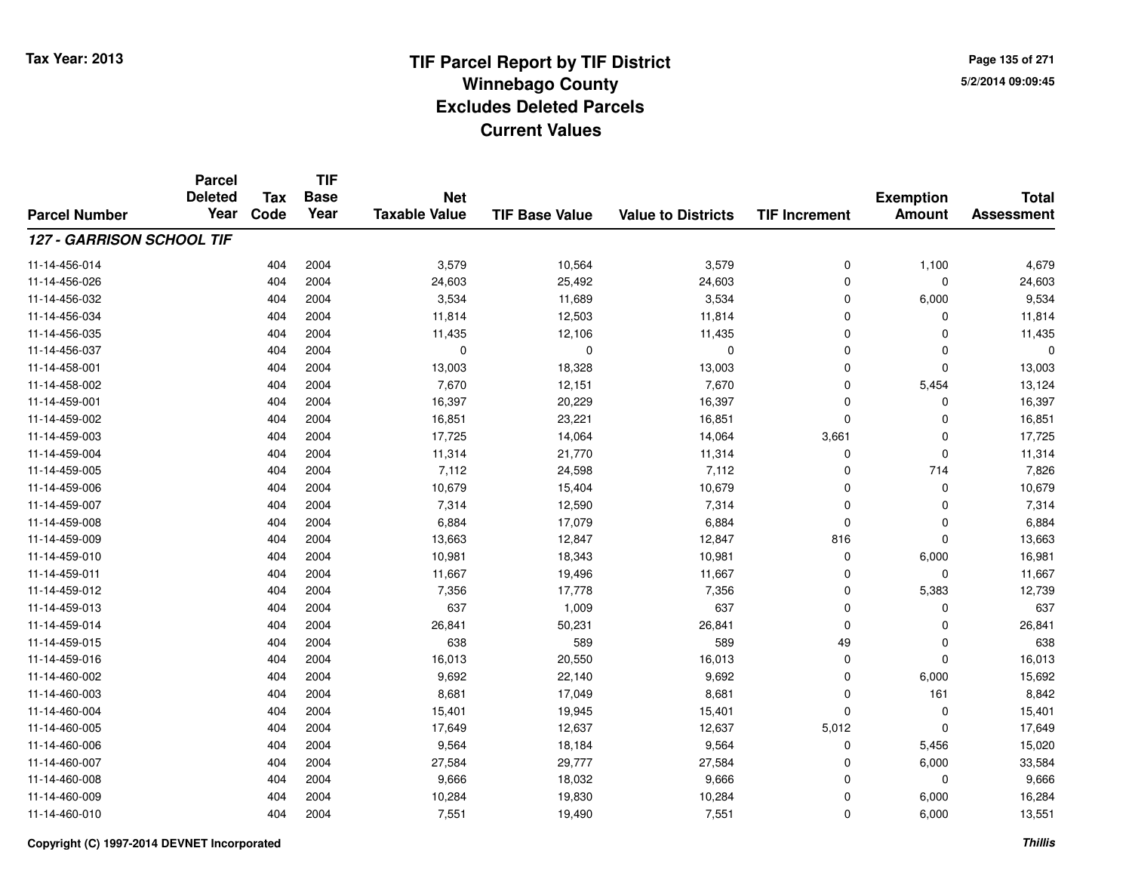**Page 135 of 2715/2/2014 09:09:45**

#### **TIF Base ValueParcel NumberTotal AssessmentExemption Amount Value to Districts TIF IncrementTIF Base YearTax CodeParcel Deleted YearNet Taxable Value127 - GARRISON SCHOOL TIF**11-14-456-014 <sup>404</sup> 3,579 <sup>2004</sup> 10,564 3,579 <sup>0</sup> 1,100 4,679 11-14-456-026 <sup>404</sup> 24,603 <sup>2004</sup> 25,492 24,603 <sup>0</sup> <sup>0</sup> 24,603 11-14-456-0322 404 2004 3,534 11,689 3,534 0 6,000 9,534 11-14-456-0344 11,814 2004 11,814 12,503 11,814 0 0 0 11,814 11-14-456-035 <sup>404</sup> 11,435 <sup>2004</sup> 12,106 11,435 <sup>0</sup> <sup>0</sup> 11,435 11-14-456-037 <sup>404</sup> <sup>0</sup> <sup>2004</sup> <sup>0</sup> <sup>0</sup> <sup>0</sup> <sup>0</sup> <sup>0</sup> 11-14-458-0011 404 2004 13,003 18,328 13,003 0 13,003 11-14-458-0022 2 404 2004 7,670 12,151 7,670 0 5,454 13,124 11-14-459-0011 404 2004 16,397 20,229 16,397 0 0 16,397 11-14-459-0022 404 2004 16,851 23,221 16,851 0 16,851 11-14-459-0033 404 2004 17,725 14,064 14,064 3,661 0 17,725 11-14-459-0044 11,314 11,314 2004 11,314 21,770 11,314 11,314 0 0 0 11,314 11-14-459-0055 404 2004 7,112 24,598 7,112 0 714 7,826 11-14-459-0066 404 2004 10,679 15,404 10,679 0 0 10,679 11-14-459-007 <sup>404</sup> 7,314 <sup>2004</sup> 12,590 7,314 <sup>0</sup> <sup>0</sup> 7,314 11-14-459-0088 404 2004 6,884 17,079 6,884 0 0 6,884 11-14-459-0099 404 2004 13,663 12,847 13,847 816 0 13,663 11-14-459-0100 404 2004 10,981 18,343 10,981 0 6,000 16,981 11-14-459-0111 404 2004 11,667 19,496 11,667 0 11,667 11-14-459-012 <sup>404</sup> 7,356 <sup>2004</sup> 17,778 7,356 <sup>0</sup> 5,383 12,739 11-14-459-0133 404 2004 637 1,009 637 0 0 637 11-14-459-0144 2004 2004 26,841 50,231 26,841 50,231 26,841 0 0 0 26,841 11-14-459-015 <sup>404</sup> <sup>638</sup> <sup>2004</sup> <sup>589</sup> <sup>589</sup> <sup>49</sup> <sup>0</sup> <sup>638</sup> 11-14-459-016 <sup>404</sup> 16,013 <sup>2004</sup> 20,550 16,013 <sup>0</sup> <sup>0</sup> 16,013 11-14-460-0022 3 15,692 15,692 22,140 9,692 22,140 9,692 2 5,000 15,692 11-14-460-0033 404 2004 8,681 17,049 8,681 0 161 8,842 11-14-460-0044 15,401 2004 15,401 19,945 15,401 19,945 15,401 0 0 0 15,401 11-14-460-0055 404 2004 17,649 12,637 12,637 5,012 0 17,649 11-14-460-0066 404 2004 9,564 18,184 9,564 0 5,456 15,020 11-14-460-007 <sup>404</sup> 27,584 <sup>2004</sup> 29,777 27,584 <sup>0</sup> 6,000 33,584 11-14-460-0088 404 2004 9,666 18,032 9,666 0 0 9,666 11-14-460-0099 404 2004 10,284 19,830 10,284 0 6,000 16,284 11-14-460-0100 404 2004 7,551 19,490 7,551 0 6,000 13,551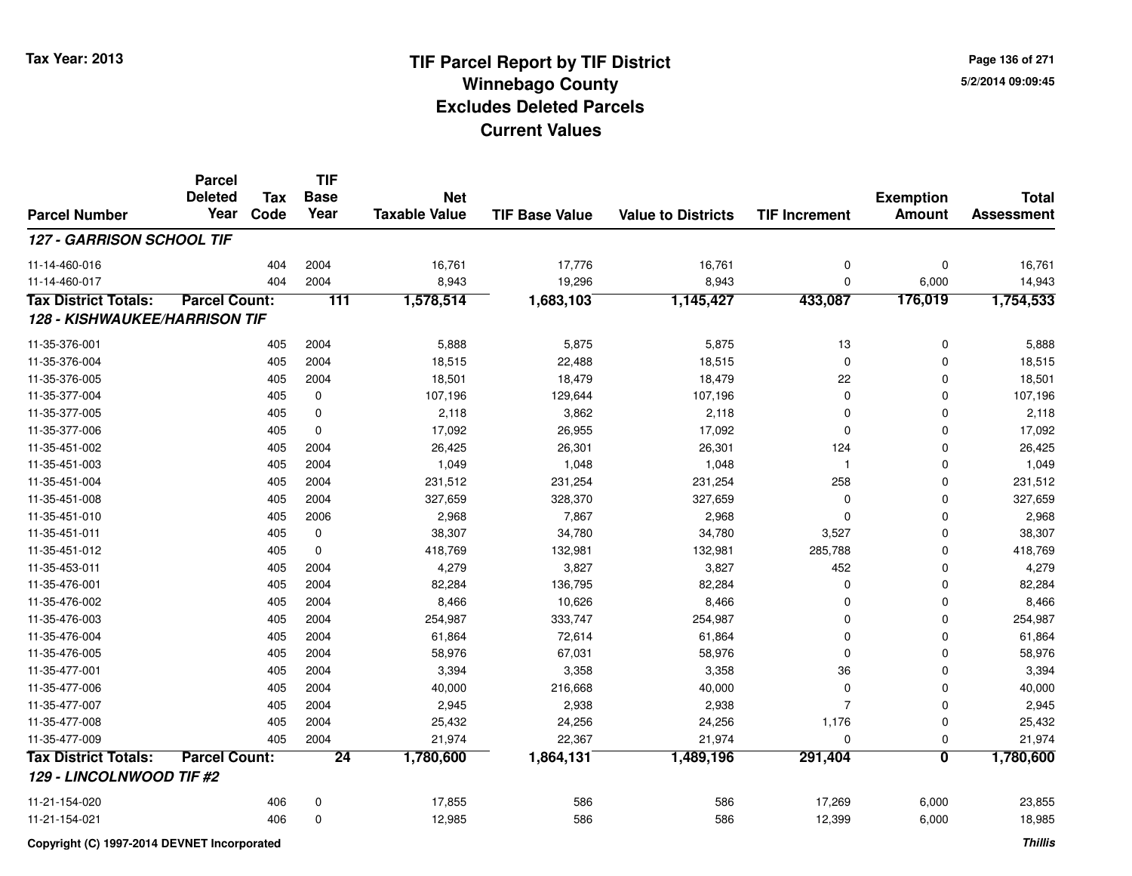**Page 136 of 2715/2/2014 09:09:45**

#### **TIF Base ValueParcel NumberTotal AssessmentExemption Amount Value to Districts TIF IncrementTIF Base YearTax CodeParcel Deleted YearNet Taxable Value127 - GARRISON SCHOOL TIF**11-14-460-0166 404 2004 16,761 17,776 16,761 0 0 16,761 11-14-460-0177 404 2004 8,943 19,296 8,943 0 6,000 14,943 **Tax District Totals: Parcel Count: <sup>111</sup> 1,578,514 1,683,103 1,145,427 433,087 176,019 1,754,533 128 - KISHWAUKEE/HARRISON TIF**11-35-376-0011 405 2004 5,888 5,875 5,875 13 0 5,888 11-35-376-0044 405 2004 18,515 22,488 18,515 0 0 18,515 11-35-376-005 <sup>405</sup> 18,501 <sup>2004</sup> 18,479 18,479 <sup>22</sup> <sup>0</sup> 18,501 11-35-377-0044 405 0 107,196 129,644 107,196 0 0 107,196 11-35-377-0055 405 0 2,118 3,862 2,118 0 0 2,118 11-35-377-0066 405 0 17,092 26,955 17,092 0 0 17,092 11-35-451-0022 405 2004 26,425 26,301 26,301 124 0 26,425 11-35-451-0033 405 2004 1,049 1,048 1,048 1 0 1,049 11-35-451-0044 405 2004 231,512 231,254 231,254 258 0 231,512 11-35-451-008 <sup>405</sup> 327,659 <sup>2004</sup> 328,370 327,659 <sup>0</sup> <sup>0</sup> 327,659 11-35-451-0100 405 2006 2,968 7,867 2,968 0 0 2,968 11-35-451-0111 405 0 38,307 34,780 34,780 3,527 0 38,307 11-35-451-0122 405 0 418,769 132,981 132,981 285,788 0 418,769 11-35-453-0111 405 2004 4,279 3,827 3,827 452 0 4,279 11-35-476-0011 405 2004 82,284 136,795 82,284 0 0 82,284 11-35-476-0022 405 2004 8,466 10,626 8,466 0 0 8,466 11-35-476-0033 405 2004 254,987 333,747 254,987 0 254,987 11-35-476-0044 405 2004 61,864 72,614 61,864 0 0 61,864 11-35-476-005 <sup>405</sup> 58,976 <sup>2004</sup> 67,031 58,976 <sup>0</sup> <sup>0</sup> 58,976 11-35-477-0011 405 2004 3,394 3,358 3,358 36 0 3,394 11-35-477-006 <sup>405</sup> 40,000 <sup>2004</sup> 216,668 40,000 <sup>0</sup> <sup>0</sup> 40,000 11-35-477-0077 405 2004 2,945 2,938 7 0 2,945 11-35-477-008 <sup>405</sup> 25,432 <sup>2004</sup> 24,256 24,256 1,176 <sup>0</sup> 25,432 11-35-477-009 <sup>405</sup> 21,974 <sup>2004</sup> 22,367 21,974 <sup>0</sup> <sup>0</sup> 21,974 **Tax District Totals: Parcel Count: <sup>24</sup> 1,780,600 1,864,131 1,489,196 291,404 <sup>0</sup> 1,780,600 129 - LINCOLNWOOD TIF #2**11-21-154-0200 406 0 17,855 586 586 17,269 6,000 23,855 11-21-154-0211 406 0 12,985 586 586 12,399 6,000 18,985

**Copyright (C) 1997-2014 DEVNET Incorporated**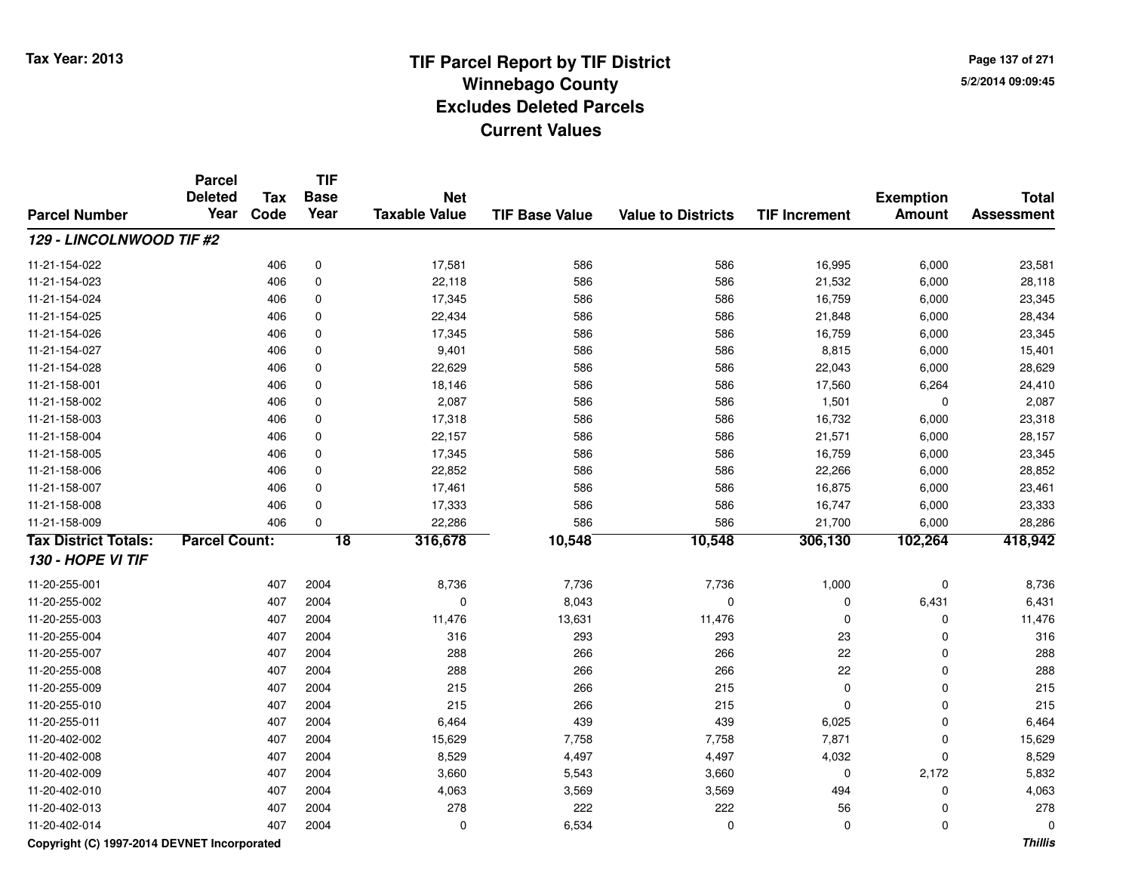**Page 137 of 2715/2/2014 09:09:45**

#### **TIF Base ValueParcel NumberTotal AssessmentExemption Amount Value to Districts TIF IncrementTIF Base YearTax CodeParcel Deleted YearNet Taxable Value129 - LINCOLNWOOD TIF #2**11-21-154-0222 406 0 17,581 586 586 16,995 6,000 23,581 11-21-154-0233 406 0 22,118 586 586 21,532 6,000 28,118 11-21-154-0244 406 0 17,345 586 586 16,759 6,000 23,345 11-21-154-025 <sup>406</sup> 22,434 <sup>0</sup> <sup>586</sup> <sup>586</sup> 21,848 6,000 28,434 11-21-154-0266 406 0 17,345 586 586 16,759 6,000 23,345 11-21-154-0277 406 0 9,401 586 586 8,815 6,000 15,401 11-21-154-028 <sup>406</sup> 22,629 <sup>0</sup> <sup>586</sup> <sup>586</sup> 22,043 6,000 28,629 11-21-158-0011 406 0 18,146 586 586 17,560 6,264 24,410 11-21-158-0022 406 0 2,087 586 586 1,501 0 2,087 11-21-158-0033 406 0 17,318 586 586 16,732 6,000 23,318 11-21-158-0044 21,571 6,000 28,157 586 586 586 21,571 6,000 28,157 11-21-158-0055 406 0 17,345 586 586 16,759 6,000 23,345 11-21-158-0066 406 0 22,852 586 586 22,266 6,000 28,852 11-21-158-0077 406 0 17,461 586 586 16,875 6,000 23,461 11-21-158-008 <sup>406</sup> 17,333 <sup>0</sup> <sup>586</sup> <sup>586</sup> 16,747 6,000 23,333 11-21-158-009 <sup>406</sup> 22,286 <sup>0</sup> <sup>586</sup> <sup>586</sup> 21,700 6,000 28,286 **Tax District Totals: Parcel Count: <sup>18</sup> 316,678 10,548 10,548 306,130 102,264 418,942 130 - HOPE VI TIF**11-20-255-0011 407 2004 8,736 7,736 7,736 1,000 0 8,736 11-20-255-0022 407 2004 0 8,043 0 0 6,431 6,431 11-20-255-0033 407 2004 11,476 13,631 11,476 0 0 11,476 11-20-255-004 <sup>407</sup> <sup>316</sup> <sup>2004</sup> <sup>293</sup> <sup>293</sup> <sup>23</sup> <sup>0</sup> <sup>316</sup> 11-20-255-007 <sup>407</sup> <sup>288</sup> <sup>2004</sup> <sup>266</sup> <sup>266</sup> <sup>22</sup> <sup>0</sup> <sup>288</sup> 11-20-255-008 <sup>407</sup> <sup>288</sup> <sup>2004</sup> <sup>266</sup> <sup>266</sup> <sup>22</sup> <sup>0</sup> <sup>288</sup> 11-20-255-0099 407 2004 215 266 215 0 0 215 11-20-255-0100 407 2004 215 266 215 0 0 215 11-20-255-0111 407 2004 6,464 439 439 6,025 0 6,464 11-20-402-002 <sup>407</sup> 15,629 <sup>2004</sup> 7,758 7,758 7,871 <sup>0</sup> 15,629 11-20-402-0088 407 2004 8,529 4,497 4,032 8,529 11-20-402-0099 407 2004 3,660 5,543 3,660 0 2,172 5,832 11-20-402-0100 407 2004 4,063 3,569 3,569 494 0 4,063 11-20-402-0133 407 2004 278 222 222 56 0 278 11-20-402-014<sup>407</sup> <sup>0</sup> <sup>2004</sup> 6,534 <sup>0</sup> <sup>0</sup> <sup>0</sup> <sup>0</sup>

### **Copyright (C) 1997-2014 DEVNET Incorporated**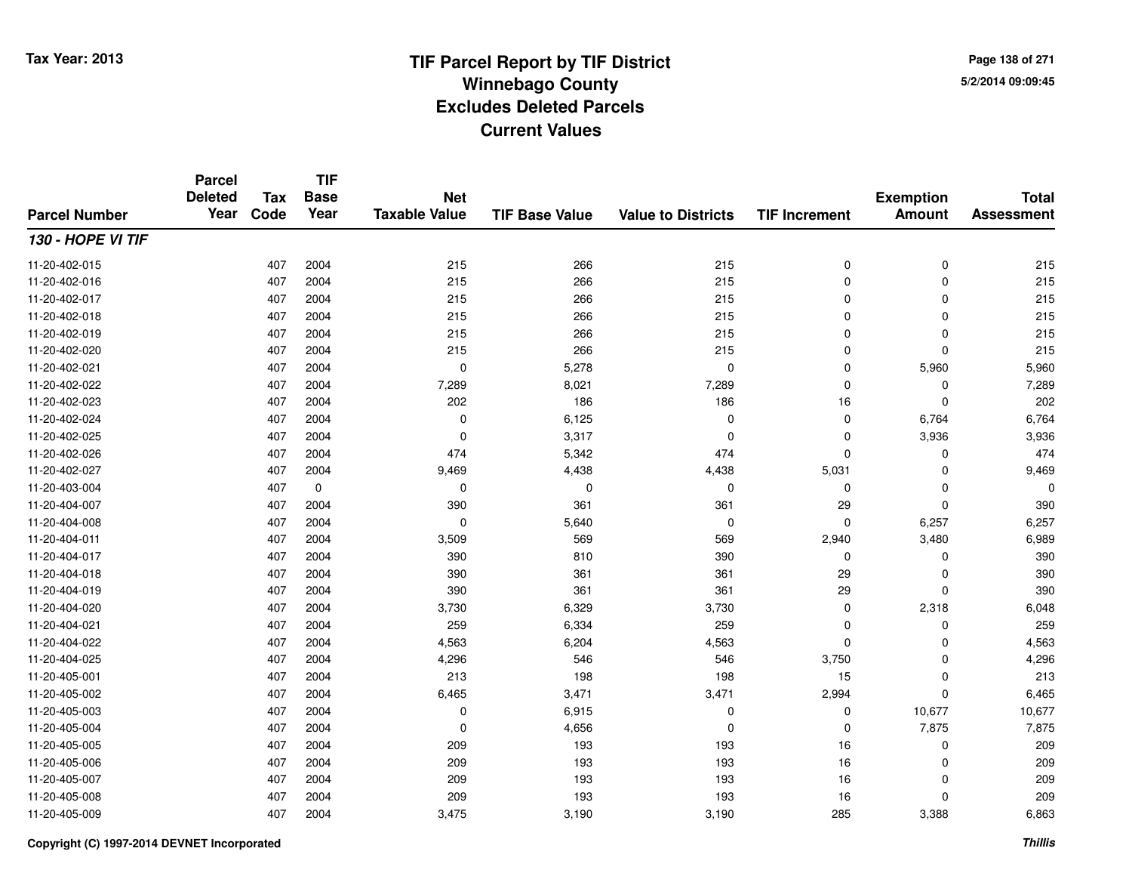**TIF**

**Parcel**

**Page 138 of 2715/2/2014 09:09:45**

#### **TIF Base ValueParcel NumberTotal AssessmentExemption Amount Value to Districts TIF Increment Base YearTax Code Deleted YearNet Taxable Value130 - HOPE VI TIF**11-20-402-0155 407 2004 215 266 215 0 0 215 11-20-402-0166 407 2004 215 266 215 0 0 215 11-20-402-0177 407 2004 215 266 215 0 0 215 11-20-402-0188 407 2004 215 266 215 0 0 215 11-20-402-0199 407 2004 215 266 215 0 0 215 11-20-402-0200 407 2004 215 266 215 0 0 215 11-20-402-0211 407 2004 0 5,278 0 0 5,960 5,960 11-20-402-0222 2 407 2004 7,289 8,021 7,289 0 7,289 11-20-402-0233 407 2004 202 186 186 16 0 202 11-20-402-024 <sup>407</sup> <sup>0</sup> <sup>2004</sup> 6,125 <sup>0</sup> <sup>0</sup> 6,764 6,764 11-20-402-0255 407 2004 0 3,317 0 0 3,936 3,936 11-20-402-026 <sup>407</sup> <sup>474</sup> <sup>2004</sup> 5,342 <sup>474</sup> <sup>0</sup> <sup>0</sup> <sup>474</sup> 11-20-402-027 <sup>407</sup> 9,469 <sup>2004</sup> 4,438 4,438 5,031 <sup>0</sup> 9,469 11-20-403-004 <sup>407</sup> <sup>0</sup> <sup>0</sup> <sup>0</sup> <sup>0</sup> <sup>0</sup> <sup>0</sup> <sup>0</sup> 11-20-404-007 <sup>407</sup> <sup>390</sup> <sup>2004</sup> <sup>361</sup> <sup>361</sup> <sup>29</sup> <sup>0</sup> <sup>390</sup> 11-20-404-0088 407 2004 0 5,640 0 0 6,257 6,257 11-20-404-0111 407 2004 3,509 569 569 2,940 3,480 6,989 11-20-404-017 <sup>407</sup> <sup>390</sup> <sup>2004</sup> <sup>810</sup> <sup>390</sup> <sup>0</sup> <sup>0</sup> <sup>390</sup> 11-20-404-018 <sup>407</sup> <sup>390</sup> <sup>2004</sup> <sup>361</sup> <sup>361</sup> <sup>29</sup> <sup>0</sup> <sup>390</sup> 11-20-404-0199 407 2004 390 361 361 29 0 390 11-20-404-0200 407 2004 3,730 6,329 3,730 0 2,318 6,048 11-20-404-0211 407 2004 259 6,334 259 0 0 259 11-20-404-0222 407 2004 4,563 6,204 4,563 0 0 4,563 11-20-404-025 <sup>407</sup> 4,296 <sup>2004</sup> <sup>546</sup> <sup>546</sup> 3,750 <sup>0</sup> 4,296 11-20-405-0011 407 2004 213 198 198 15 0 213 11-20-405-0022 407 2004 6,465 3,471 3,471 2,994 0 6,465 11-20-405-0033 407 2004 0 6,915 0 0 10,677 10,677 11-20-405-0044 407 2004 0 4,656 0 0 7,875 7,875 11-20-405-0055 407 2004 209 193 193 16 0 209 11-20-405-0066 407 2004 209 193 193 16 0 209 11-20-405-007 <sup>407</sup> <sup>209</sup> <sup>2004</sup> <sup>193</sup> <sup>193</sup> <sup>16</sup> <sup>0</sup> <sup>209</sup> 11-20-405-008 <sup>407</sup> <sup>209</sup> <sup>2004</sup> <sup>193</sup> <sup>193</sup> <sup>16</sup> <sup>0</sup> <sup>209</sup> 11-20-405-0099 407 2004 3,475 3,190 3,190 285 3,388 6,863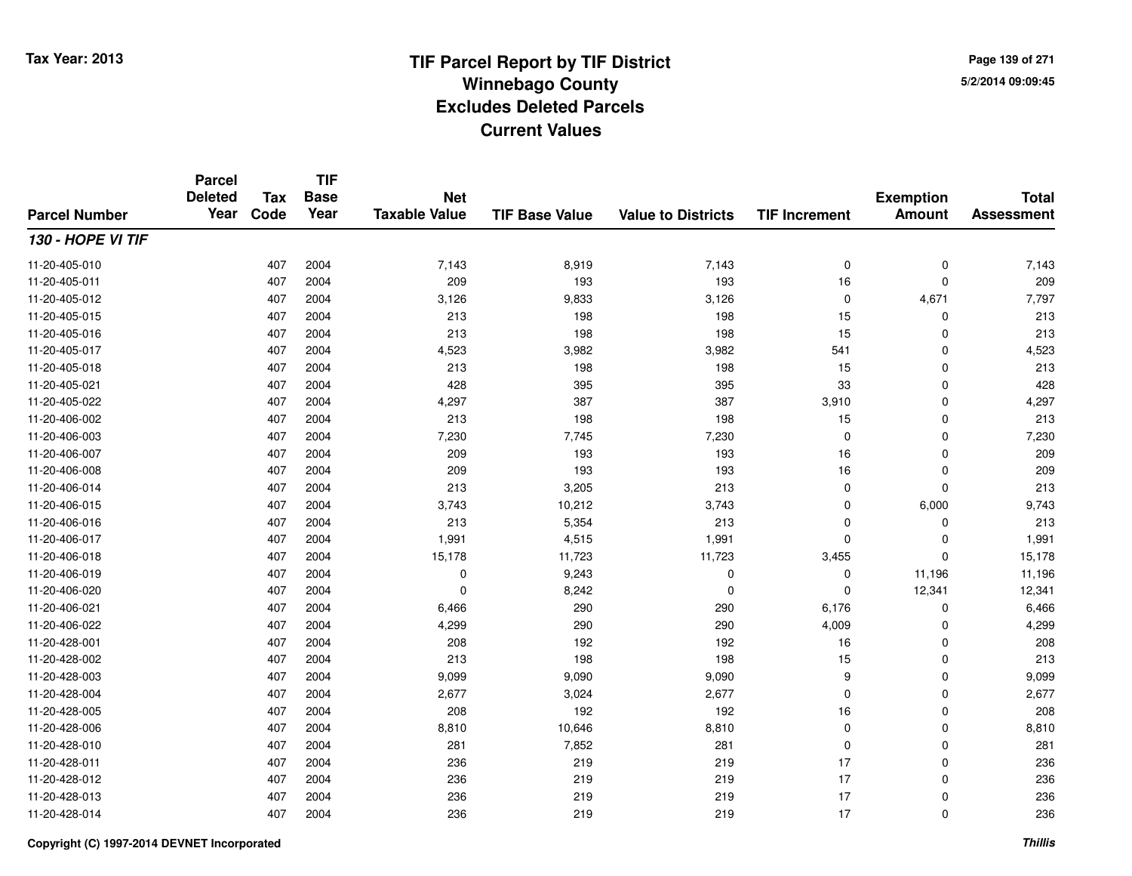**TIF**

**Parcel**

**Page 139 of 2715/2/2014 09:09:45**

#### **TIF Base ValueParcel NumberTotal AssessmentExemption Amount Value to Districts TIF Increment Base YearTax Code Deleted YearNet Taxable Value130 - HOPE VI TIF**11-20-405-0100 407 2004 7,143 8,919 7,143 0 0 7,143 11-20-405-0111 407 2004 209 193 193 16 0 209 11-20-405-0122 3,126 2004 3,126 3,126 3,533 3,126 3,126 3,126 2 4,671 7,797 11-20-405-015 <sup>407</sup> <sup>213</sup> <sup>2004</sup> <sup>198</sup> <sup>198</sup> <sup>15</sup> <sup>0</sup> <sup>213</sup> 11-20-405-0166 407 2004 213 198 198 15 0 213 11-20-405-017 <sup>407</sup> 4,523 <sup>2004</sup> 3,982 3,982 <sup>541</sup> <sup>0</sup> 4,523 11-20-405-018 <sup>407</sup> <sup>213</sup> <sup>2004</sup> <sup>198</sup> <sup>198</sup> <sup>15</sup> <sup>0</sup> <sup>213</sup> 11-20-405-021 <sup>407</sup> <sup>428</sup> <sup>2004</sup> <sup>395</sup> <sup>395</sup> <sup>33</sup> <sup>0</sup> <sup>428</sup> 11-20-405-0222 407 2004 4,297 387 387 3,910 0 4,297 11-20-406-0022 407 2004 213 198 198 15 0 213 11-20-406-0033 407 2004 7,230 7,745 7,230 0 7,230 11-20-406-007 <sup>407</sup> <sup>209</sup> <sup>2004</sup> <sup>193</sup> <sup>193</sup> <sup>16</sup> <sup>0</sup> <sup>209</sup> 11-20-406-008 <sup>407</sup> <sup>209</sup> <sup>2004</sup> <sup>193</sup> <sup>193</sup> <sup>16</sup> <sup>0</sup> <sup>209</sup> 11-20-406-014 <sup>407</sup> <sup>213</sup> <sup>2004</sup> 3,205 <sup>213</sup> <sup>0</sup> <sup>0</sup> <sup>213</sup> 11-20-406-015 <sup>407</sup> 3,743 <sup>2004</sup> 10,212 3,743 <sup>0</sup> 6,000 9,743 11-20-406-016 <sup>407</sup> <sup>213</sup> <sup>2004</sup> 5,354 <sup>213</sup> <sup>0</sup> <sup>0</sup> <sup>213</sup> 11-20-406-0177 407 2004 1,991 4,515 1,991 0 0 1,991 11-20-406-018 <sup>407</sup> 15,178 <sup>2004</sup> 11,723 11,723 3,455 <sup>0</sup> 15,178 11-20-406-0199 407 2004 0 9,243 0 0 11,196 11,196 11-20-406-0200 407 2004 0 8,242 0 0 12,341 12,341 11-20-406-0211 407 2004 6,466 290 290 6,176 0 6,466 11-20-406-0222 2 2 2 3 407 2004 290 290 290 290 290 290 4,009 0 4,299 4,299 11-20-428-0011 407 2004 208 192 192 16 0 208 11-20-428-0022 407 2004 213 198 198 15 0 213 11-20-428-003 <sup>407</sup> 9,099 <sup>2004</sup> 9,090 9,090 <sup>9</sup> <sup>0</sup> 9,099 11-20-428-0044 2,677 2004 2,677 3,024 2,677 3,024 2,677 0 0 0 2,677 11-20-428-0055 407 2004 208 192 192 16 0 208 11-20-428-006 <sup>407</sup> 8,810 <sup>2004</sup> 10,646 8,810 <sup>0</sup> <sup>0</sup> 8,810 11-20-428-0100 407 2004 281 7,852 281 0 0 281 11-20-428-0111 407 2004 236 219 219 17 0 236 11-20-428-012 <sup>407</sup> <sup>236</sup> <sup>2004</sup> <sup>219</sup> <sup>219</sup> <sup>17</sup> <sup>0</sup> <sup>236</sup> 11-20-428-0133 407 2004 236 219 219 17 0 236 11-20-428-014<sup>407</sup> <sup>236</sup> <sup>2004</sup> <sup>219</sup> <sup>219</sup> <sup>17</sup> <sup>0</sup> <sup>236</sup>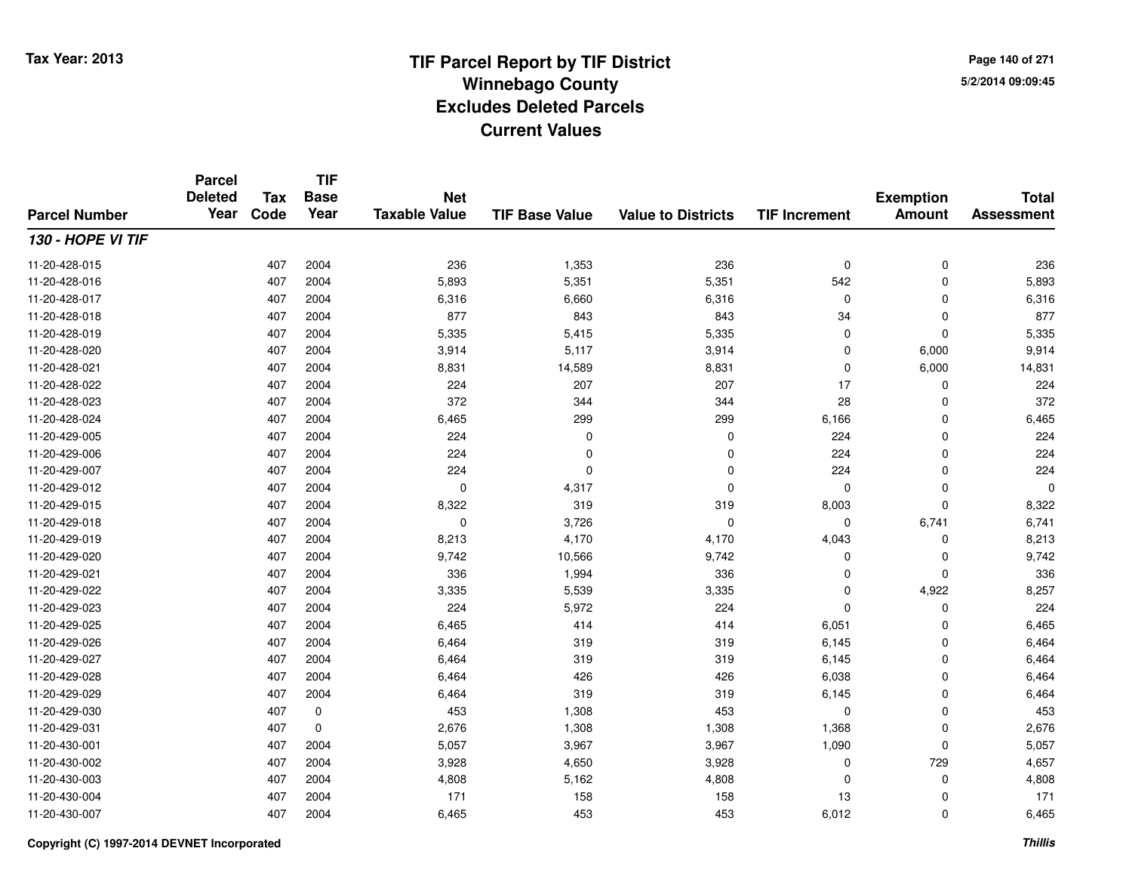**TIF**

**Parcel**

**Page 140 of 2715/2/2014 09:09:45**

#### **TIF Base ValueParcel NumberTotal AssessmentExemption Amount Value to Districts TIF Increment Base YearTax Code Deleted YearNet Taxable Value130 - HOPE VI TIF**11-20-428-0155 407 2004 236 1,353 236 0 0 236 11-20-428-0166 407 2004 5,893 5,351 5,351 542 0 5,893 11-20-428-0177 407 2004 6,316 6,660 6,316 0 0 6,316 11-20-428-018 <sup>407</sup> <sup>877</sup> <sup>2004</sup> <sup>843</sup> <sup>843</sup> <sup>34</sup> <sup>0</sup> <sup>877</sup> 11-20-428-0199 407 2004 5,335 5,415 5,335 0 0 5,335 11-20-428-0200 407 2004 3,914 5,117 3,914 0 6,000 9,914 11-20-428-0211 407 2004 8,831 14,589 8,831 0 6,000 14,831 11-20-428-022 <sup>407</sup> <sup>224</sup> <sup>2004</sup> <sup>207</sup> <sup>207</sup> <sup>17</sup> <sup>0</sup> <sup>224</sup> 11-20-428-023 <sup>407</sup> <sup>372</sup> <sup>2004</sup> <sup>344</sup> <sup>344</sup> <sup>28</sup> <sup>0</sup> <sup>372</sup> 11-20-428-024 <sup>407</sup> 6,465 <sup>2004</sup> <sup>299</sup> <sup>299</sup> 6,166 <sup>0</sup> 6,465 11-20-429-005 <sup>407</sup> <sup>224</sup> <sup>2004</sup> <sup>0</sup> <sup>0</sup> <sup>224</sup> <sup>0</sup> <sup>224</sup> 11-20-429-006 <sup>407</sup> <sup>224</sup> <sup>2004</sup> <sup>0</sup> <sup>0</sup> <sup>224</sup> <sup>0</sup> <sup>224</sup> 11-20-429-0077 407 2004 224 0 0 224 0 224 11-20-429-012 $2$  2004 0  $\frac{4}{317}$  0  $\frac{4}{317}$  0 0 0 0 0 0 11-20-429-015 <sup>407</sup> 8,322 <sup>2004</sup> <sup>319</sup> <sup>319</sup> 8,003 <sup>0</sup> 8,322 11-20-429-0188 407 2004 0 3,726 0 0 6,741 6,741 11-20-429-0199 407 2004 8,213 4,170 4,170 4,043 0 8,213 11-20-429-020 $\frac{1}{40}$  and  $\frac{1}{407}$  2004  $\frac{1}{42}$  9,742  $\frac{1}{40}$  9,742  $\frac{1}{42}$  9,742  $\frac{1}{40}$  0  $\frac{1}{40}$  9,742  $\frac{1}{40}$ 11-20-429-0211 407 2004 336 1,994 336 0 0 336 11-20-429-0222 2 2 3,335 3,335 3,335 3,335 3,335 3,335 3,335 3,335 3,335 4,922 3,335 3 4,922 4,922 4,922 3,257 4,922 4,922 3,257 11-20-429-0233 407 2004 224 5,972 224 0 0 224 11-20-429-0255 407 2004 6,465 414 414 6,051 0 6,465 11-20-429-026 <sup>407</sup> 6,464 <sup>2004</sup> <sup>319</sup> <sup>319</sup> 6,145 <sup>0</sup> 6,464 11-20-429-027 <sup>407</sup> 6,464 <sup>2004</sup> <sup>319</sup> <sup>319</sup> 6,145 <sup>0</sup> 6,464 11-20-429-0288 407 2004 6,464 426 426 6,038 0 6,464 11-20-429-0299 407 2004 6,464 319 319 6,145 0 6,464 11-20-429-0300 407 0 453 1,308 453 0 0 453 11-20-429-0311 407 0 2,676 1,308 1,308 1,368 0 2,676 11-20-430-0011 1 2004 5,057 3,967 3,967 3,967 3,967 3,967 3,967 3,967 3,967 5,057 3,967 5,057 3,967 5,057 3,090 1,090 5,057 11-20-430-0022 2 2 2 3,928 4,657 3,928 4,650 3,928 3,928 5 4,657 4,657 4,657 4,657 4,657 4,657 4,657 4,657 4,657 4,657 4,657 11-20-430-0033 407 2004 4,808 5,162 4,808 0 0 4,808 11-20-430-004 <sup>407</sup> <sup>171</sup> <sup>2004</sup> <sup>158</sup> <sup>158</sup> <sup>13</sup> <sup>0</sup> <sup>171</sup> 11-20-430-007<sup>407</sup> 6,465 <sup>2004</sup> <sup>453</sup> <sup>453</sup> 6,012 <sup>0</sup> 6,465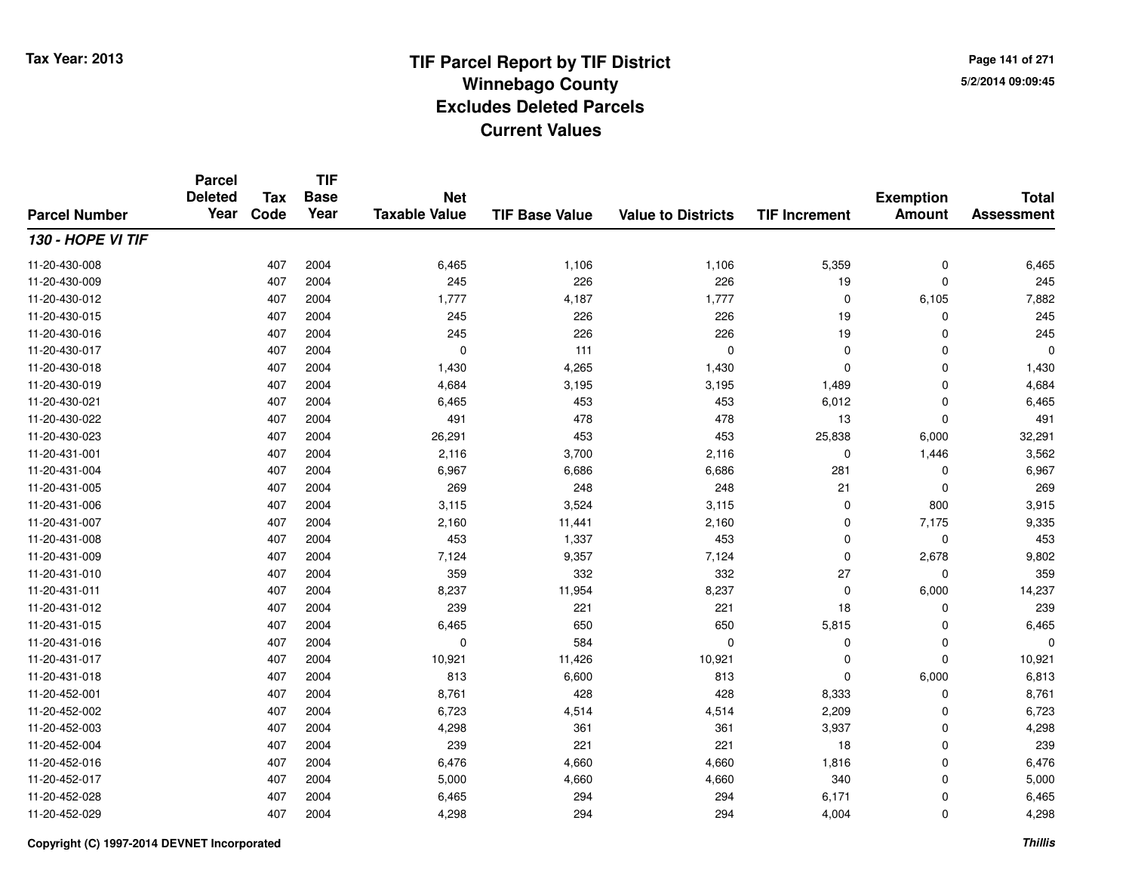**Page 141 of 2715/2/2014 09:09:45**

#### **TIF Base ValueParcel NumberTotal AssessmentExemption Amount Value to Districts TIF IncrementTIF Base YearTax CodeParcel Deleted YearNet Taxable Value130 - HOPE VI TIF**11-20-430-0088 407 2004 6,465 1,106 1,106 5,359 0 6,465 11-20-430-0099 407 2004 245 226 226 19 0 245 11-20-430-012 <sup>407</sup> 1,777 <sup>2004</sup> 4,187 1,777 <sup>0</sup> 6,105 7,882 11-20-430-015 <sup>407</sup> <sup>245</sup> <sup>2004</sup> <sup>226</sup> <sup>226</sup> <sup>19</sup> <sup>0</sup> <sup>245</sup> 11-20-430-0166 407 2004 245 226 226 19 0 245 11-20-430-017 <sup>407</sup> <sup>0</sup> <sup>2004</sup> <sup>111</sup> <sup>0</sup> <sup>0</sup> <sup>0</sup> <sup>0</sup> 11-20-430-0188 407 2004 1,430 4,265 1,430 0 0 1,430 11-20-430-0199 407 2004 4,684 3,195 3,195 1,489 0 4,684 11-20-430-0211 407 2004 6,465 453 453 6,012 0 6,465 11-20-430-022 <sup>407</sup> <sup>491</sup> <sup>2004</sup> <sup>478</sup> <sup>478</sup> <sup>13</sup> <sup>0</sup> <sup>491</sup> 11-20-430-0233 407 2004 26,291 453 453 25,838 6,000 32,291 11-20-431-0011 407 2004 2,116 3,700 2,116 0 1,446 3,562 11-20-431-004 <sup>407</sup> 6,967 <sup>2004</sup> 6,686 6,686 <sup>281</sup> <sup>0</sup> 6,967 11-20-431-005 <sup>407</sup> <sup>269</sup> <sup>2004</sup> <sup>248</sup> <sup>248</sup> <sup>21</sup> <sup>0</sup> <sup>269</sup> 11-20-431-0066 407 2004 3,115 3,524 3,115 0 800 3,915 11-20-431-007 <sup>407</sup> 2,160 <sup>2004</sup> 11,441 2,160 <sup>0</sup> 7,175 9,335 11-20-431-008 <sup>407</sup> <sup>453</sup> <sup>2004</sup> 1,337 <sup>453</sup> <sup>0</sup> <sup>0</sup> <sup>453</sup> 11-20-431-0099 407 2004 7,124 9,357 7,124 0 2,678 9,802 11-20-431-0100 407 2004 359 332 332 27 0 359 11-20-431-0111 407 2004 8,237 11,954 8,237 0 6,000 14,237 11-20-431-012 <sup>407</sup> <sup>239</sup> <sup>2004</sup> <sup>221</sup> <sup>221</sup> <sup>18</sup> <sup>0</sup> <sup>239</sup> 11-20-431-0155 407 2004 6,465 650 650 5,815 0 6,465 11-20-431-016 <sup>407</sup> <sup>0</sup> <sup>2004</sup> <sup>584</sup> <sup>0</sup> <sup>0</sup> <sup>0</sup> <sup>0</sup> 11-20-431-017 <sup>407</sup> 10,921 <sup>2004</sup> 11,426 10,921 <sup>0</sup> <sup>0</sup> 10,921 11-20-431-0188 407 2004 813 6,600 813 0 6,000 6,813 11-20-452-0011 407 2004 8,761 428 428 8,333 0 8,761 11-20-452-0022 407 2004 6,723 4,514 4,514 2,209 0 6,723 11-20-452-0033 407 2004 4,298 361 361 3,937 0 4,298 11-20-452-004 <sup>407</sup> <sup>239</sup> <sup>2004</sup> <sup>221</sup> <sup>221</sup> <sup>18</sup> <sup>0</sup> <sup>239</sup> 11-20-452-016 <sup>407</sup> 6,476 <sup>2004</sup> 4,660 4,660 1,816 <sup>0</sup> 6,476 11-20-452-017 <sup>407</sup> 5,000 <sup>2004</sup> 4,660 4,660 <sup>340</sup> <sup>0</sup> 5,000 11-20-452-0288 407 2004 6,465 294 294 6,171 0 6,465 11-20-452-029<sup>407</sup> 4,298 <sup>2004</sup> <sup>294</sup> <sup>294</sup> 4,004 <sup>0</sup> 4,298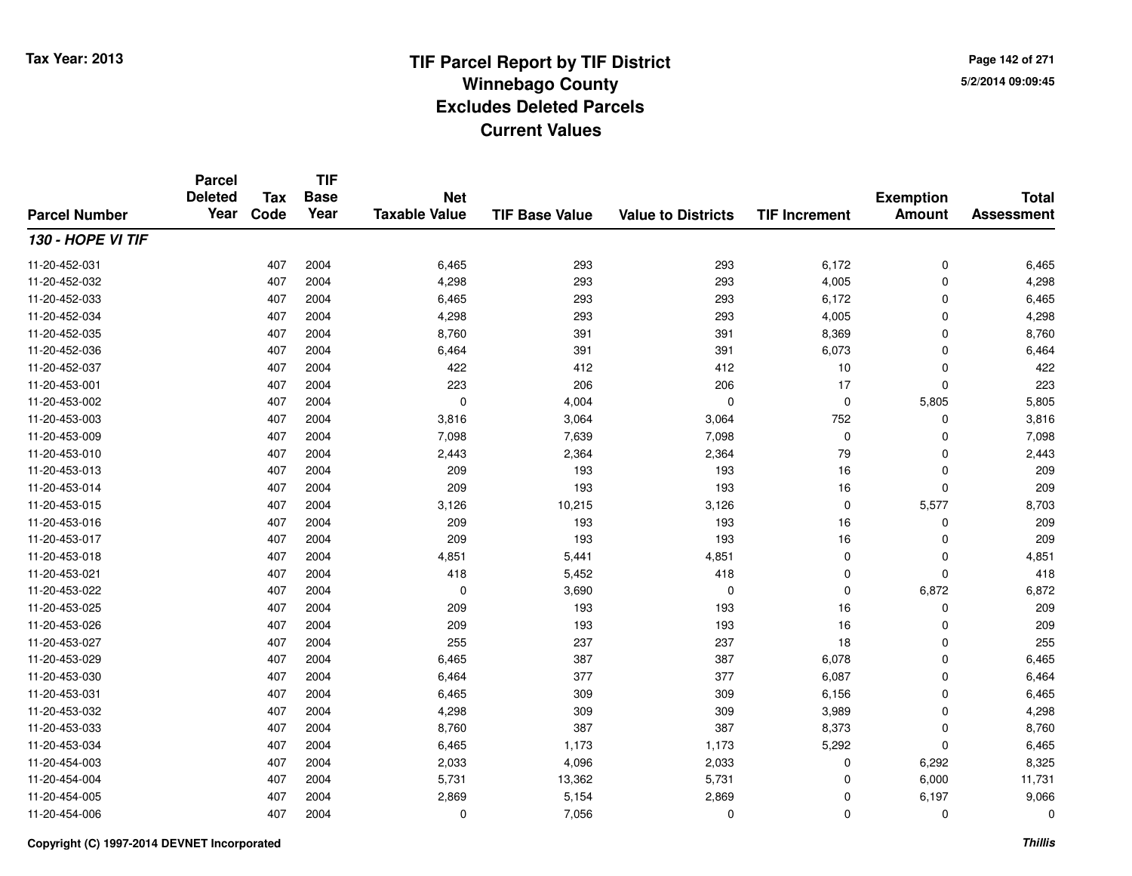**Page 142 of 2715/2/2014 09:09:45**

#### **TIF Base ValueParcel NumberTotal AssessmentExemption Amount Value to Districts TIF IncrementTIF Base YearTax CodeParcel Deleted YearNet Taxable Value130 - HOPE VI TIF**11-20-452-0311 407 2004 6,465 293 293 6,172 0 6,465 11-20-452-0322 2 2 2 3 407 2004 293 293 293 293 293 4,005 0 4,298 4,298 11-20-452-0333 407 2004 6,465 293 293 6,172 0 6,465 11-20-452-0344 293 2004 2004 2004 4,298 293 293 293 293 4,005 0 4,298 11-20-452-035 <sup>407</sup> 8,760 <sup>2004</sup> <sup>391</sup> <sup>391</sup> 8,369 <sup>0</sup> 8,760 11-20-452-036 <sup>407</sup> 6,464 <sup>2004</sup> <sup>391</sup> <sup>391</sup> 6,073 <sup>0</sup> 6,464 11-20-452-0377 407 2004 422 412 412 10 0 422 11-20-453-0011 407 2004 223 206 206 17 0 223 11-20-453-002 <sup>407</sup> <sup>0</sup> <sup>2004</sup> 4,004 <sup>0</sup> <sup>0</sup> 5,805 5,805 11-20-453-0033 407 2004 3,816 3,064 3,064 752 0 3,816 11-20-453-0099 407 2004 7,098 7,639 7,098 0 7,098 11-20-453-0100 407 2004 2,443 2,364 2,364 79 0 2,443 11-20-453-0133 407 2004 209 193 193 16 0 209 11-20-453-014 <sup>407</sup> <sup>209</sup> <sup>2004</sup> <sup>193</sup> <sup>193</sup> <sup>16</sup> <sup>0</sup> <sup>209</sup> 11-20-453-015 <sup>407</sup> 3,126 <sup>2004</sup> 10,215 3,126 <sup>0</sup> 5,577 8,703 11-20-453-0166 407 2004 209 193 193 16 0 209 11-20-453-017 <sup>407</sup> <sup>209</sup> <sup>2004</sup> <sup>193</sup> <sup>193</sup> <sup>16</sup> <sup>0</sup> <sup>209</sup> 11-20-453-0188 407 2004 4,851 5,441 4,851 0 4,851 11-20-453-0211 407 2004 418 5,452 418 0 0 418 11-20-453-0222 407 2004 0 3,690 0 0 6,872 6,872 11-20-453-0255 407 2004 209 193 193 16 0 209 11-20-453-0266 407 2004 209 193 193 16 0 209 11-20-453-027 <sup>407</sup> <sup>255</sup> <sup>2004</sup> <sup>237</sup> <sup>237</sup> <sup>18</sup> <sup>0</sup> <sup>255</sup> 11-20-453-0299 407 2004 6,465 387 387 6,078 0 6,465 11-20-453-0300 407 2004 6,464 377 377 6,087 0 6,464 11-20-453-0311 407 2004 6,465 309 309 6,156 0 6,465 11-20-453-0322 407 2004 4,298 309 309 3,989 0 4,298 11-20-453-0333 407 2004 8,760 387 387 8,373 0 8,760 11-20-453-034 <sup>407</sup> 6,465 <sup>2004</sup> 1,173 1,173 5,292 <sup>0</sup> 6,465 11-20-454-0033 407 2004 2,033 4,096 2,033 0 6,292 8,325 11-20-454-004 <sup>407</sup> 5,731 <sup>2004</sup> 13,362 5,731 <sup>0</sup> 6,000 11,731 11-20-454-0055 407 2004 2,869 5,154 2,869 0 6,197 9,066 11-20-454-006<sup>407</sup> <sup>0</sup> <sup>2004</sup> 7,056 <sup>0</sup> <sup>0</sup> <sup>0</sup> <sup>0</sup>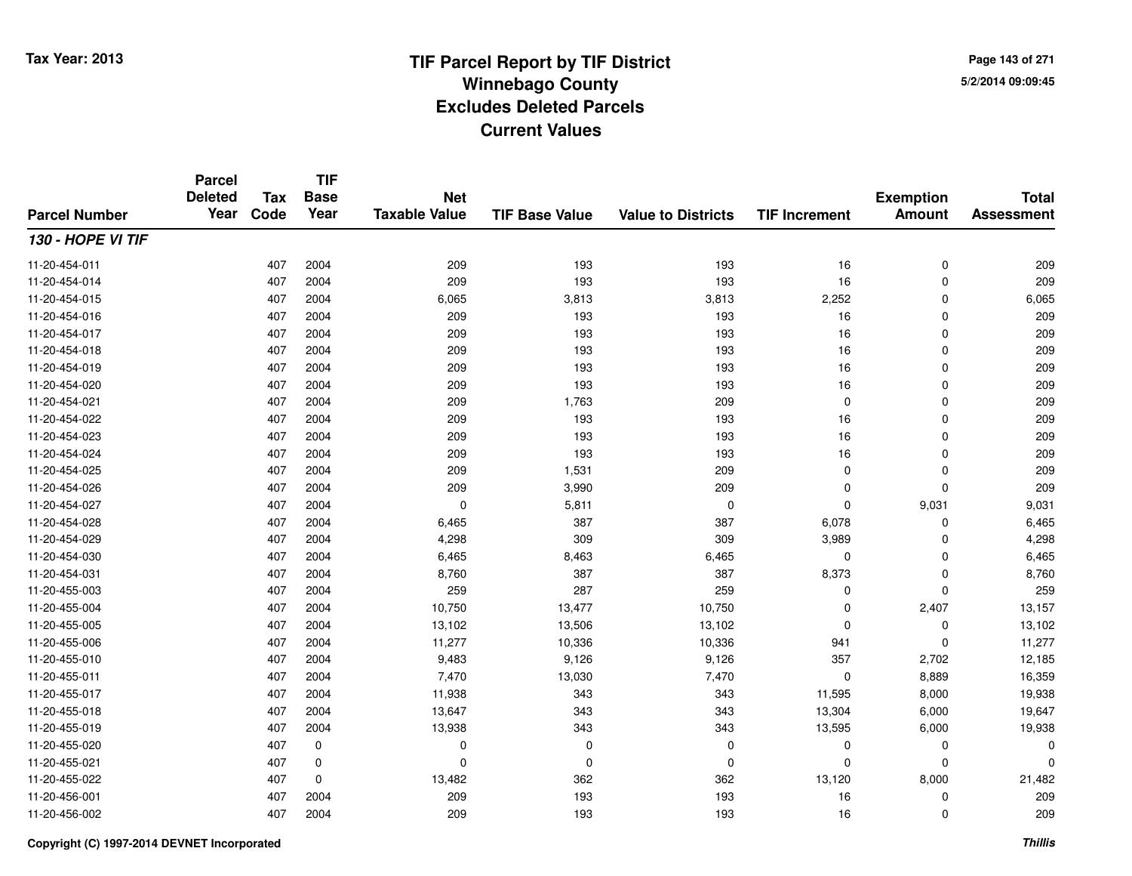**TIF**

**Parcel**

**Page 143 of 2715/2/2014 09:09:45**

#### **TIF Base ValueParcel NumberTotal AssessmentExemption Amount Value to Districts TIF Increment Base YearTax Code Deleted YearNet Taxable Value130 - HOPE VI TIF**11-20-454-0111 407 2004 209 193 193 16 0 209 11-20-454-014 <sup>407</sup> <sup>209</sup> <sup>2004</sup> <sup>193</sup> <sup>193</sup> <sup>16</sup> <sup>0</sup> <sup>209</sup> 11-20-454-015 <sup>407</sup> 6,065 <sup>2004</sup> 3,813 3,813 2,252 <sup>0</sup> 6,065 11-20-454-0166 407 2004 209 193 193 16 0 209 11-20-454-017 <sup>407</sup> <sup>209</sup> <sup>2004</sup> <sup>193</sup> <sup>193</sup> <sup>16</sup> <sup>0</sup> <sup>209</sup> 11-20-454-018 <sup>407</sup> <sup>209</sup> <sup>2004</sup> <sup>193</sup> <sup>193</sup> <sup>16</sup> <sup>0</sup> <sup>209</sup> 11-20-454-0199 407 2004 209 193 193 16 0 209 11-20-454-0200 407 2004 209 193 193 16 0 209 11-20-454-0211 407 2004 209 1,763 209 0 0 209 11-20-454-022 <sup>407</sup> <sup>209</sup> <sup>2004</sup> <sup>193</sup> <sup>193</sup> <sup>16</sup> <sup>0</sup> <sup>209</sup> 11-20-454-0233 407 2004 209 193 193 16 0 209 11-20-454-024 <sup>407</sup> <sup>209</sup> <sup>2004</sup> <sup>193</sup> <sup>193</sup> <sup>16</sup> <sup>0</sup> <sup>209</sup> 11-20-454-025 <sup>407</sup> <sup>209</sup> <sup>2004</sup> 1,531 <sup>209</sup> <sup>0</sup> <sup>0</sup> <sup>209</sup> 11-20-454-026 <sup>407</sup> <sup>209</sup> <sup>2004</sup> 3,990 <sup>209</sup> <sup>0</sup> <sup>0</sup> <sup>209</sup> 11-20-454-027 <sup>407</sup> <sup>0</sup> <sup>2004</sup> 5,811 <sup>0</sup> <sup>0</sup> 9,031 9,031 11-20-454-0288 407 2004 6,465 387 387 6,078 0 6,465 11-20-454-0299 407 2004 4,298 309 309 3,989 0 4,298 11-20-454-0300 407 2004 6,465 8,463 6,465 0 0 6,465 11-20-454-0311 407 2004 8,760 387 387 8,373 0 8,760 11-20-455-0033 407 2004 259 287 259 0 0 259 11-20-455-004 <sup>407</sup> 10,750 <sup>2004</sup> 13,477 10,750 <sup>0</sup> 2,407 13,157 11-20-455-005 <sup>407</sup> 13,102 <sup>2004</sup> 13,506 13,102 <sup>0</sup> <sup>0</sup> 13,102 11-20-455-006 <sup>407</sup> 11,277 <sup>2004</sup> 10,336 10,336 <sup>941</sup> <sup>0</sup> 11,277 11-20-455-0100 407 2004 9,483 9,126 9,126 357 2,702 12,185 11-20-455-0111 407 2004 7,470 13,030 7,470 0 8,889 16,359 11-20-455-017 <sup>407</sup> 11,938 <sup>2004</sup> <sup>343</sup> <sup>343</sup> 11,595 8,000 19,938 11-20-455-018 <sup>407</sup> 13,647 <sup>2004</sup> <sup>343</sup> <sup>343</sup> 13,304 6,000 19,647 11-20-455-019 <sup>407</sup> 13,938 <sup>2004</sup> <sup>343</sup> <sup>343</sup> 13,595 6,000 19,938 11-20-455-020 <sup>407</sup> <sup>0</sup> <sup>0</sup> <sup>0</sup> <sup>0</sup> <sup>0</sup> <sup>0</sup> <sup>0</sup> 11-20-455-021 <sup>407</sup> <sup>0</sup> <sup>0</sup> <sup>0</sup> <sup>0</sup> <sup>0</sup> <sup>0</sup> <sup>0</sup> 11-20-455-022 <sup>407</sup> 13,482 <sup>0</sup> <sup>362</sup> <sup>362</sup> 13,120 8,000 21,482 11-20-456-0011 407 2004 209 193 193 16 0 209 11-20-456-002<sup>407</sup> <sup>209</sup> <sup>2004</sup> <sup>193</sup> <sup>193</sup> <sup>16</sup> <sup>0</sup> <sup>209</sup>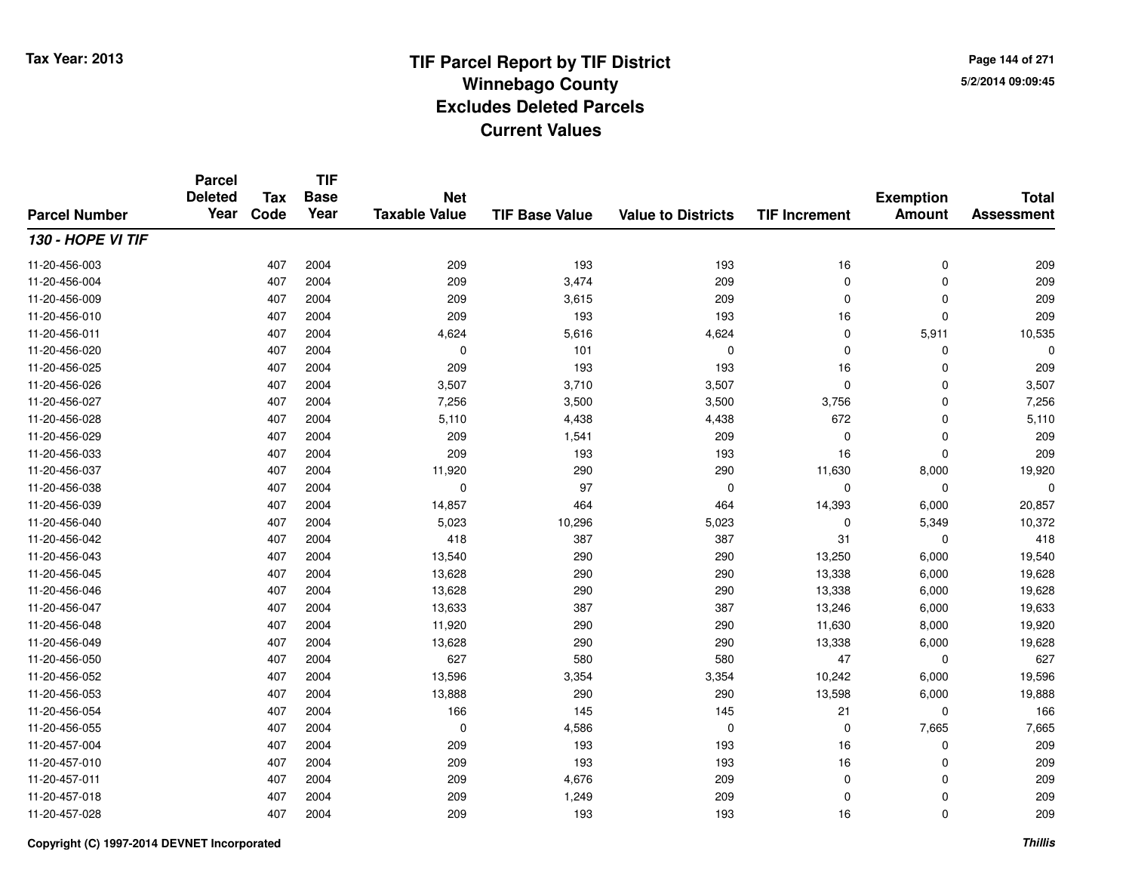**Page 144 of 2715/2/2014 09:09:45**

#### **TIF Base ValueParcel NumberTotal AssessmentExemption Amount Value to Districts TIF IncrementTIF Base YearTax CodeParcel Deleted YearNet Taxable Value130 - HOPE VI TIF**11-20-456-0033 407 2004 209 193 193 16 0 209 11-20-456-004 <sup>407</sup> <sup>209</sup> <sup>2004</sup> 3,474 <sup>209</sup> <sup>0</sup> <sup>0</sup> <sup>209</sup> 11-20-456-0099 407 2004 209 3,615 209 0 0 209 11-20-456-0100 407 2004 209 193 193 16 0 209 11-20-456-0111 407 2004 4,624 5,616 4,624 0 5,911 10,535 11-20-456-020 <sup>407</sup> <sup>0</sup> <sup>2004</sup> <sup>101</sup> <sup>0</sup> <sup>0</sup> <sup>0</sup> <sup>0</sup> 11-20-456-0255 407 2004 209 193 193 16 0 209 11-20-456-026 <sup>407</sup> 3,507 <sup>2004</sup> 3,710 3,507 <sup>0</sup> <sup>0</sup> 3,507 11-20-456-027 <sup>407</sup> 7,256 <sup>2004</sup> 3,500 3,500 3,756 <sup>0</sup> 7,256 11-20-456-0288 407 2004 5,110 4,438 4,438 672 0 5,110 11-20-456-0299 407 2004 209 1,541 209 0 0 209 11-20-456-0333 407 2004 209 193 193 16 0 209 11-20-456-037 <sup>407</sup> 11,920 <sup>2004</sup> <sup>290</sup> <sup>290</sup> 11,630 8,000 19,920 11-20-456-038 <sup>407</sup> <sup>0</sup> <sup>2004</sup> <sup>97</sup> <sup>0</sup> <sup>0</sup> <sup>0</sup> <sup>0</sup> 11-20-456-0399 407 2004 14,857 464 464 14,393 6,000 20,857 11-20-456-0400 407 2004 5,023 10,296 5,023 0 5,349 10,372 11-20-456-0422 407 2004 418 387 387 31 0 418 11-20-456-043 <sup>407</sup> 13,540 <sup>2004</sup> <sup>290</sup> <sup>290</sup> 13,250 6,000 19,540 11-20-456-045 <sup>407</sup> 13,628 <sup>2004</sup> <sup>290</sup> <sup>290</sup> 13,338 6,000 19,628 11-20-456-046 <sup>407</sup> 13,628 <sup>2004</sup> <sup>290</sup> <sup>290</sup> 13,338 6,000 19,628 11-20-456-047 <sup>407</sup> 13,633 <sup>2004</sup> <sup>387</sup> <sup>387</sup> 13,246 6,000 19,633 11-20-456-048 <sup>407</sup> 11,920 <sup>2004</sup> <sup>290</sup> <sup>290</sup> 11,630 8,000 19,920 11-20-456-049 <sup>407</sup> 13,628 <sup>2004</sup> <sup>290</sup> <sup>290</sup> 13,338 6,000 19,628 11-20-456-0500 407 2004 627 580 580 47 0 627 11-20-456-0522 407 2004 13,596 3,354 3,354 10,242 6,000 19,596 11-20-456-053 <sup>407</sup> 13,888 <sup>2004</sup> <sup>290</sup> <sup>290</sup> 13,598 6,000 19,888 11-20-456-0544 407 2004 166 145 145 21 0 166 11-20-456-0555 407 2004 0 4,586 0 0 7,665 7,665 11-20-457-004 <sup>407</sup> <sup>209</sup> <sup>2004</sup> <sup>193</sup> <sup>193</sup> <sup>16</sup> <sup>0</sup> <sup>209</sup> 11-20-457-0100 407 2004 209 193 193 16 0 209 11-20-457-0111 407 2004 209 4,676 209 0 0 209 11-20-457-018 <sup>407</sup> <sup>209</sup> <sup>2004</sup> 1,249 <sup>209</sup> <sup>0</sup> <sup>0</sup> <sup>209</sup> 11-20-457-028<sup>407</sup> <sup>209</sup> <sup>2004</sup> <sup>193</sup> <sup>193</sup> <sup>16</sup> <sup>0</sup> <sup>209</sup>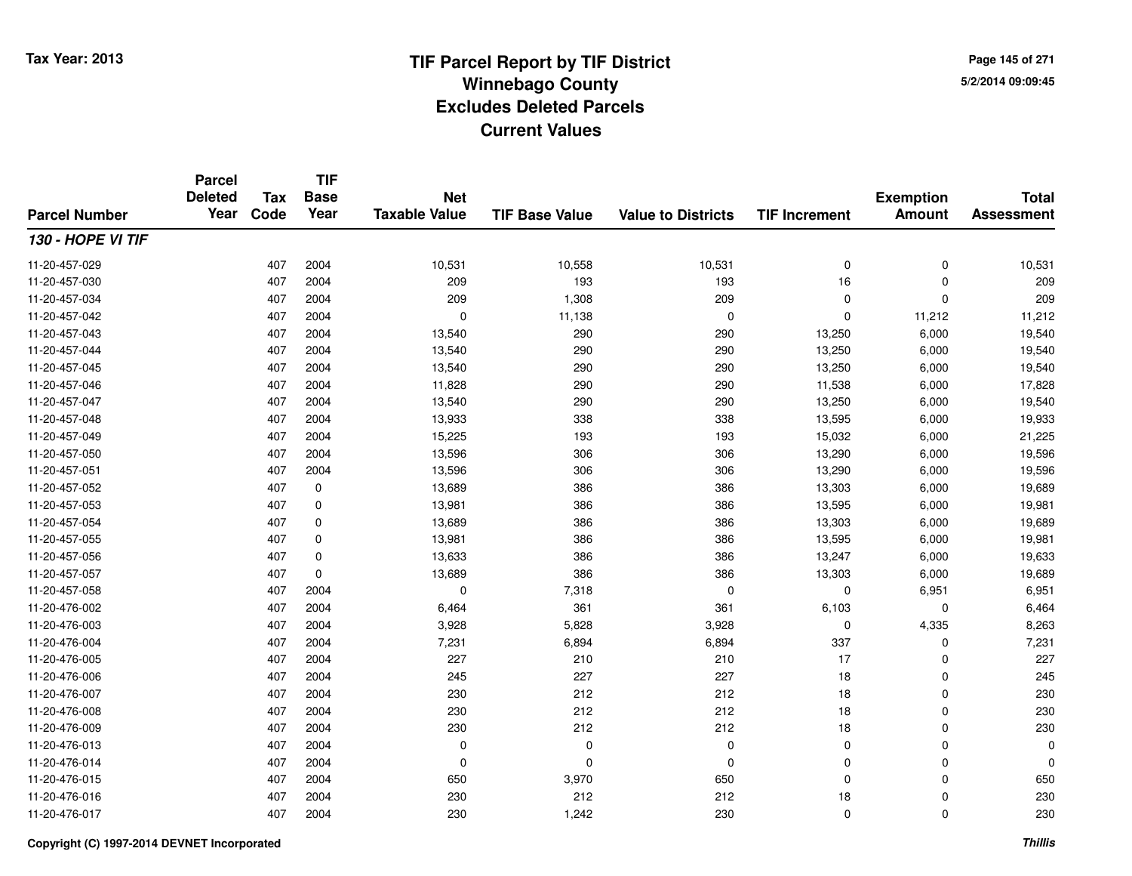**TIF**

**Parcel**

**Page 145 of 2715/2/2014 09:09:45**

### **TIF Base ValueParcel NumberTotal AssessmentExemption Amount Value to Districts TIF Increment Base YearTax Code Deleted YearNet Taxable Value130 - HOPE VI TIF**11-20-457-0299 407 2004 10,531 10,558 10,531 0 10,531 11-20-457-0300 407 2004 209 193 193 16 0 209 11-20-457-034 <sup>407</sup> <sup>209</sup> <sup>2004</sup> 1,308 <sup>209</sup> <sup>0</sup> <sup>0</sup> <sup>209</sup> 11-20-457-042 <sup>407</sup> <sup>0</sup> <sup>2004</sup> 11,138 <sup>0</sup> <sup>0</sup> 11,212 11,212 11-20-457-043 <sup>407</sup> 13,540 <sup>2004</sup> <sup>290</sup> <sup>290</sup> 13,250 6,000 19,540 11-20-457-044 <sup>407</sup> 13,540 <sup>2004</sup> <sup>290</sup> <sup>290</sup> 13,250 6,000 19,540 11-20-457-045 <sup>407</sup> 13,540 <sup>2004</sup> <sup>290</sup> <sup>290</sup> 13,250 6,000 19,540 11-20-457-046 <sup>407</sup> 11,828 <sup>2004</sup> <sup>290</sup> <sup>290</sup> 11,538 6,000 17,828 11-20-457-047 <sup>407</sup> 13,540 <sup>2004</sup> <sup>290</sup> <sup>290</sup> 13,250 6,000 19,540 11-20-457-048 <sup>407</sup> 13,933 <sup>2004</sup> <sup>338</sup> <sup>338</sup> 13,595 6,000 19,933 11-20-457-0499 407 2004 15,225 193 193 15,032 6,000 21,225 11-20-457-0500 407 2004 13,596 306 306 13,290 6,000 19,596 11-20-457-0511 407 2004 13,596 306 306 13,290 6,000 19,596 11-20-457-052 <sup>407</sup> 13,689 <sup>0</sup> <sup>386</sup> <sup>386</sup> 13,303 6,000 19,689 11-20-457-0533 407 0 13,981 386 386 13,595 6,000 19,981 11-20-457-0544 407 0 13,689 386 386 13,303 6,000 19,689 11-20-457-0555 407 0 13,981 386 386 13,595 6,000 19,981 11-20-457-0566 407 0 13,633 386 386 13,247 6,000 19,633 11-20-457-057 <sup>407</sup> 13,689 <sup>0</sup> <sup>386</sup> <sup>386</sup> 13,303 6,000 19,689 11-20-457-0588 407 2004 0 7,318 0 0 6,951 6,951 11-20-476-0022 407 2004 6,464 361 361 6,103 0 6,464 11-20-476-0033 407 2004 3,928 5,828 3,928 0 4,335 8,263 11-20-476-004 <sup>407</sup> 7,231 <sup>2004</sup> 6,894 6,894 <sup>337</sup> <sup>0</sup> 7,231 11-20-476-005 <sup>407</sup> <sup>227</sup> <sup>2004</sup> <sup>210</sup> <sup>210</sup> <sup>17</sup> <sup>0</sup> <sup>227</sup> 11-20-476-0066 407 2004 245 227 227 18 0 245 11-20-476-007 <sup>407</sup> <sup>230</sup> <sup>2004</sup> <sup>212</sup> <sup>212</sup> <sup>18</sup> <sup>0</sup> <sup>230</sup> 11-20-476-008 <sup>407</sup> <sup>230</sup> <sup>2004</sup> <sup>212</sup> <sup>212</sup> <sup>18</sup> <sup>0</sup> <sup>230</sup> 11-20-476-0099 407 2004 230 212 212 18 0 230 11-20-476-013 <sup>407</sup> <sup>0</sup> <sup>2004</sup> <sup>0</sup> <sup>0</sup> <sup>0</sup> <sup>0</sup> <sup>0</sup> 11-20-476-014 <sup>407</sup> <sup>0</sup> <sup>2004</sup> <sup>0</sup> <sup>0</sup> <sup>0</sup> <sup>0</sup> <sup>0</sup> 11-20-476-015 <sup>407</sup> <sup>650</sup> <sup>2004</sup> 3,970 <sup>650</sup> <sup>0</sup> <sup>0</sup> <sup>650</sup> 11-20-476-016 <sup>407</sup> <sup>230</sup> <sup>2004</sup> <sup>212</sup> <sup>212</sup> <sup>18</sup> <sup>0</sup> <sup>230</sup> 11-20-476-017<sup>407</sup> <sup>230</sup> <sup>2004</sup> 1,242 <sup>230</sup> <sup>0</sup> <sup>0</sup> <sup>230</sup>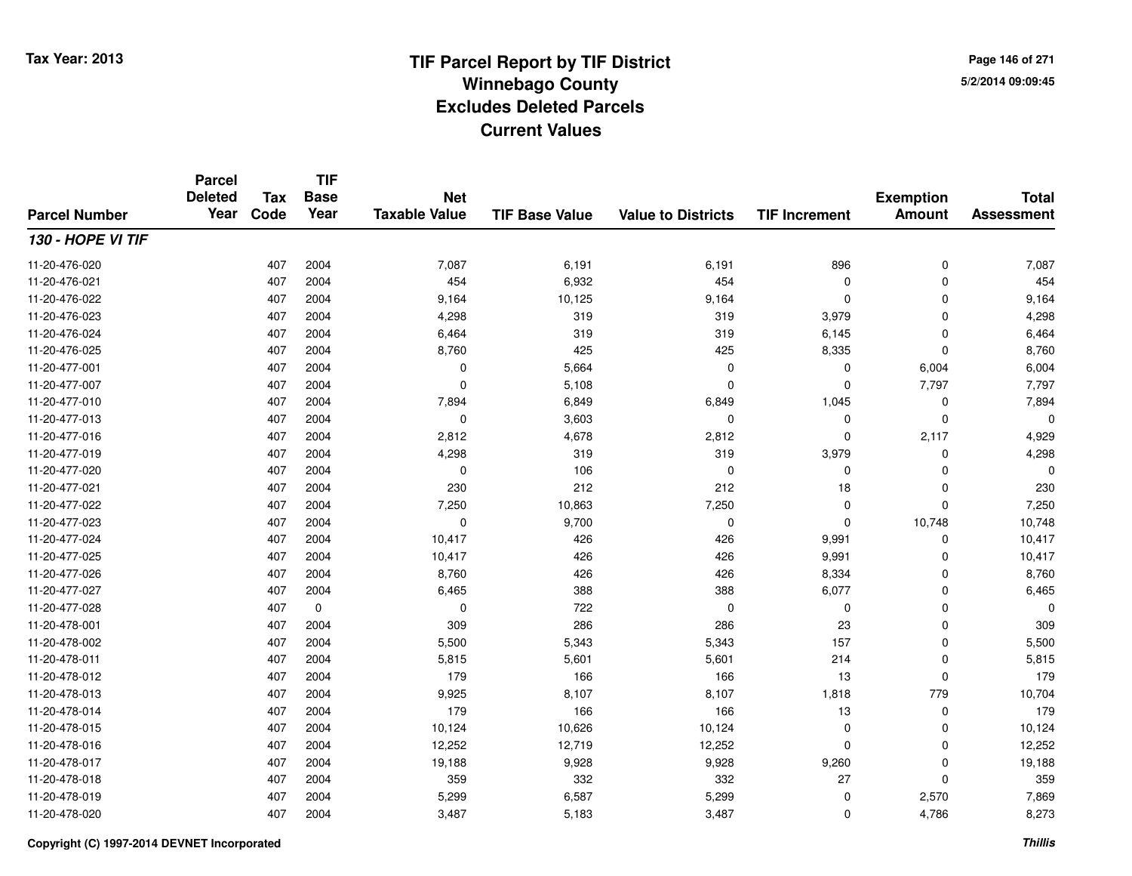**TIF**

**Parcel**

**Page 146 of 2715/2/2014 09:09:45**

### **TIF Base ValueParcel NumberTotal AssessmentExemption Amount Value to Districts TIF Increment Base YearTax Code Deleted YearNet Taxable Value130 - HOPE VI TIF**11-20-476-0200 407 2004 7,087 6,191 6,191 896 0 7,087 11-20-476-0211 407 2004 454 6,932 454 0 0 454 11-20-476-0222 407 2004 9,164 10,125 9,164 0 0 9,164 11-20-476-0233 407 2004 4,298 319 319 3,979 0 4,298 11-20-476-024 <sup>407</sup> 6,464 <sup>2004</sup> <sup>319</sup> <sup>319</sup> 6,145 <sup>0</sup> 6,464 11-20-476-025 <sup>407</sup> 8,760 <sup>2004</sup> <sup>425</sup> <sup>425</sup> 8,335 <sup>0</sup> 8,760 11-20-477-0011 1 2004 1 2004 0 5,664 0 5,004 6,004 6,004 6,004 11-20-477-007 <sup>407</sup> <sup>0</sup> <sup>2004</sup> 5,108 <sup>0</sup> <sup>0</sup> 7,797 7,797 11-20-477-0100 407 2004 7,894 6,849 6,849 1,045 0 7,894 11-20-477-013 <sup>407</sup> <sup>0</sup> <sup>2004</sup> 3,603 <sup>0</sup> <sup>0</sup> <sup>0</sup> <sup>0</sup> 11-20-477-0166 407 2004 2,812 4,678 2,812 0 2,117 4,929 11-20-477-0199 407 2004 4,298 319 319 3,979 0 4,298 11-20-477-020 <sup>407</sup> <sup>0</sup> <sup>2004</sup> <sup>106</sup> <sup>0</sup> <sup>0</sup> <sup>0</sup> <sup>0</sup> 11-20-477-0211 407 2004 230 212 212 18 0 230 11-20-477-0222 407 2004 7,250 10,863 7,250 0 7,250 11-20-477-0233 407 2004 0 9,700 0 0 10,748 10,748 11-20-477-024 <sup>407</sup> 10,417 <sup>2004</sup> <sup>426</sup> <sup>426</sup> 9,991 <sup>0</sup> 10,417 11-20-477-025 <sup>407</sup> 10,417 <sup>2004</sup> <sup>426</sup> <sup>426</sup> 9,991 <sup>0</sup> 10,417 11-20-477-026 <sup>407</sup> 8,760 <sup>2004</sup> <sup>426</sup> <sup>426</sup> 8,334 <sup>0</sup> 8,760 11-20-477-027 <sup>407</sup> 6,465 <sup>2004</sup> <sup>388</sup> <sup>388</sup> 6,077 <sup>0</sup> 6,465 11-20-477-0288 407 0 0 722 0 0 0 0 0 11-20-478-0011 407 2004 309 286 286 23 0 309 11-20-478-0022 407 2004 5,500 5,343 5,343 157 0 5,500 11-20-478-0111 407 2004 5,815 5,601 5,601 214 0 5,815 11-20-478-0122 407 2004 179 166 166 13 0 179 11-20-478-013 <sup>407</sup> 9,925 <sup>2004</sup> 8,107 8,107 1,818 <sup>779</sup> 10,704 11-20-478-0144 407 2004 179 166 166 13 0 179 11-20-478-015 <sup>407</sup> 10,124 <sup>2004</sup> 10,626 10,124 <sup>0</sup> <sup>0</sup> 10,124 11-20-478-0166 407 2004 12,252 12,719 12,252 0 0 12,252 11-20-478-017 <sup>407</sup> 19,188 <sup>2004</sup> 9,928 9,928 9,260 <sup>0</sup> 19,188 11-20-478-018 <sup>407</sup> <sup>359</sup> <sup>2004</sup> <sup>332</sup> <sup>332</sup> <sup>27</sup> <sup>0</sup> <sup>359</sup> 11-20-478-0199 407 2004 5,299 6,587 5,299 0 2,570 7,869 11-20-478-020<sup>407</sup> 3,487 <sup>2004</sup> 5,183 3,487 <sup>0</sup> 4,786 8,273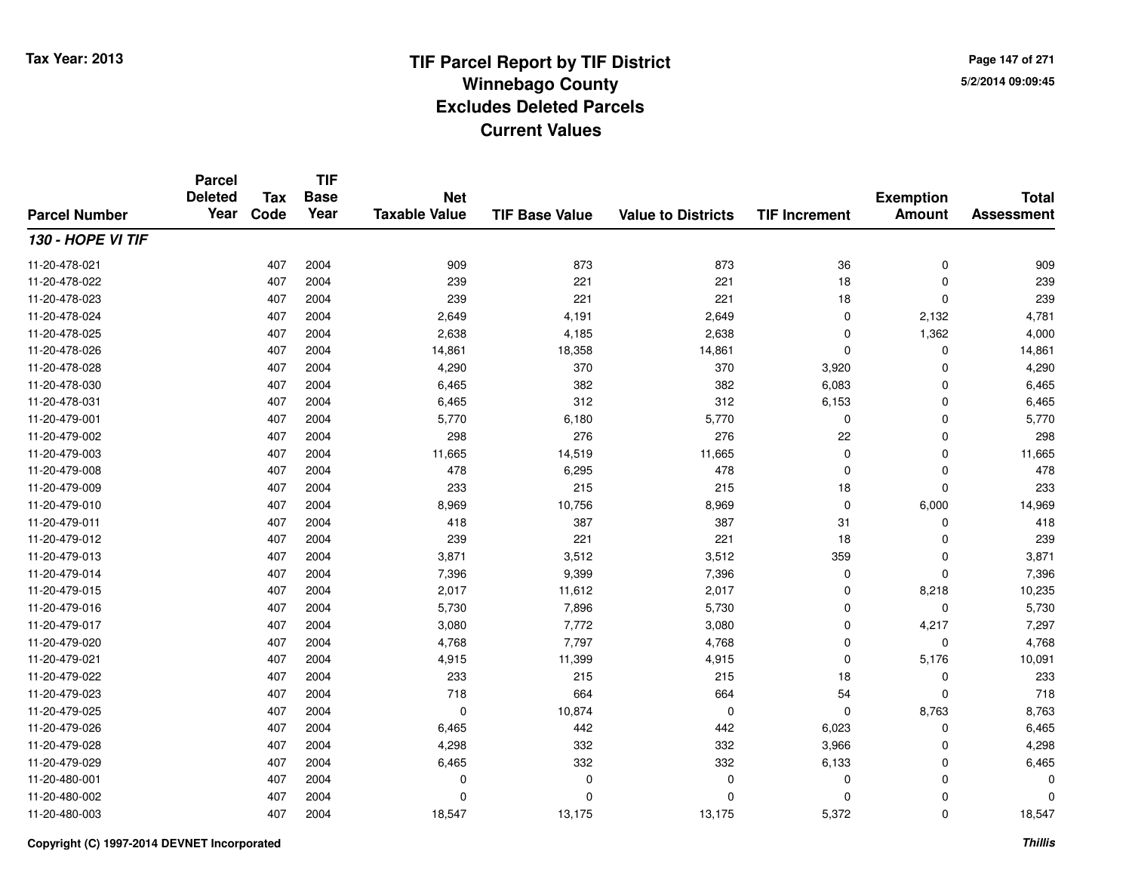**TIF**

**Parcel**

**Page 147 of 2715/2/2014 09:09:45**

### **TIF Base ValueParcel NumberTotal AssessmentExemption Amount Value to Districts TIF Increment Base YearTax Code Deleted YearNet Taxable Value130 - HOPE VI TIF**11-20-478-021 <sup>407</sup> <sup>909</sup> <sup>2004</sup> <sup>873</sup> <sup>873</sup> <sup>36</sup> <sup>0</sup> <sup>909</sup> 11-20-478-022 <sup>407</sup> <sup>239</sup> <sup>2004</sup> <sup>221</sup> <sup>221</sup> <sup>18</sup> <sup>0</sup> <sup>239</sup> 11-20-478-0233 407 2004 239 221 221 18 0 239 11-20-478-024 <sup>407</sup> 2,649 <sup>2004</sup> 4,191 2,649 <sup>0</sup> 2,132 4,781 11-20-478-025 <sup>407</sup> 2,638 <sup>2004</sup> 4,185 2,638 <sup>0</sup> 1,362 4,000 11-20-478-0266 407 2004 14,861 18,358 14,861 0 14,861 11-20-478-0288 407 2004 4,290 370 370 3,920 0 4,290 11-20-478-0300 407 2004 6,465 382 382 6,083 0 6,465 11-20-478-0311 407 2004 6,465 312 312 6,153 0 6,465 11-20-479-0011 1 2004 5,770 6,180 5,770 6,180 5,770 0 0 0 5,777 11-20-479-002 <sup>407</sup> <sup>298</sup> <sup>2004</sup> <sup>276</sup> <sup>276</sup> <sup>22</sup> <sup>0</sup> <sup>298</sup> 11-20-479-0033 407 2004 11,665 14,519 11,665 0 0 11,665 11-20-479-0088 407 2004 478 6,295 478 0 0 478 11-20-479-0099 407 2004 233 215 215 18 0 233 11-20-479-0100 407 2004 8,969 10,756 8,969 0 6,000 14,969 11-20-479-0111 407 2004 418 387 387 31 0 418 11-20-479-012 <sup>407</sup> <sup>239</sup> <sup>2004</sup> <sup>221</sup> <sup>221</sup> <sup>18</sup> <sup>0</sup> <sup>239</sup> 11-20-479-0133 407 2004 3,871 3,512 3,512 359 0 3,871 11-20-479-0144 407 2004 7,396 9,399 7,396 0 7,396 11-20-479-0155 407 2004 2,017 11,612 2,017 0 8,218 10,235 11-20-479-016 <sup>407</sup> 5,730 <sup>2004</sup> 7,896 5,730 <sup>0</sup> <sup>0</sup> 5,730 11-20-479-017 <sup>407</sup> 3,080 <sup>2004</sup> 7,772 3,080 <sup>0</sup> 4,217 7,297 11-20-479-0200 407 2004 4,768 7,797 4,768 0 0 4,768 11-20-479-0211 407 2004 4,915 11,399 4,915 0 5,176 10,091 11-20-479-022 <sup>407</sup> <sup>233</sup> <sup>2004</sup> <sup>215</sup> <sup>215</sup> <sup>18</sup> <sup>0</sup> <sup>233</sup> 11-20-479-0233 407 2004 718 664 664 54 0 718 11-20-479-025 <sup>407</sup> <sup>0</sup> <sup>2004</sup> 10,874 <sup>0</sup> <sup>0</sup> 8,763 8,763 11-20-479-0266 407 2004 6,465 442 442 6,023 0 6,465 11-20-479-0288 407 2004 4,298 332 332 3,966 0 4,298 11-20-479-0299 407 2004 6,465 332 332 6,133 0 6,465 11-20-480-001 <sup>407</sup> <sup>0</sup> <sup>2004</sup> <sup>0</sup> <sup>0</sup> <sup>0</sup> <sup>0</sup> <sup>0</sup> 11-20-480-002 <sup>407</sup> <sup>0</sup> <sup>2004</sup> <sup>0</sup> <sup>0</sup> <sup>0</sup> <sup>0</sup> <sup>0</sup> 11-20-480-003<sup>407</sup> 18,547 <sup>2004</sup> 13,175 13,175 5,372 <sup>0</sup> 18,547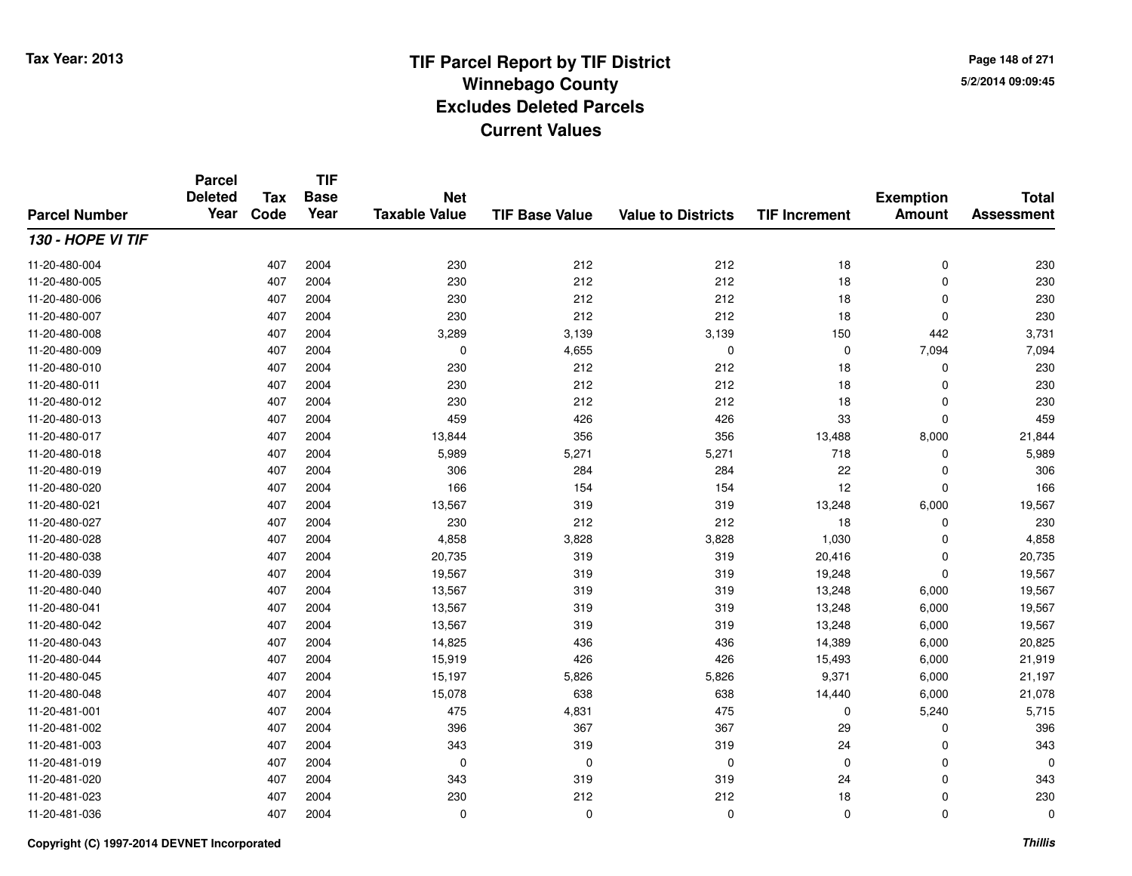**TIF**

**Parcel**

**Page 148 of 2715/2/2014 09:09:45**

### **TIF Base ValueParcel NumberTotal AssessmentExemption Amount Value to Districts TIF Increment Base YearTax Code Deleted YearNet Taxable Value130 - HOPE VI TIF**11-20-480-004 <sup>407</sup> <sup>230</sup> <sup>2004</sup> <sup>212</sup> <sup>212</sup> <sup>18</sup> <sup>0</sup> <sup>230</sup> 11-20-480-005 <sup>407</sup> <sup>230</sup> <sup>2004</sup> <sup>212</sup> <sup>212</sup> <sup>18</sup> <sup>0</sup> <sup>230</sup> 11-20-480-006 <sup>407</sup> <sup>230</sup> <sup>2004</sup> <sup>212</sup> <sup>212</sup> <sup>18</sup> <sup>0</sup> <sup>230</sup> 11-20-480-007 <sup>407</sup> <sup>230</sup> <sup>2004</sup> <sup>212</sup> <sup>212</sup> <sup>18</sup> <sup>0</sup> <sup>230</sup> 11-20-480-0088 407 2004 3,289 3,139 3,139 150 442 3,731 11-20-480-0099 407 2004 0 4,655 0 7,094 7,094 11-20-480-0100 407 2004 230 212 212 18 0 230 11-20-480-0111 407 2004 230 212 212 18 0 230 11-20-480-012 <sup>407</sup> <sup>230</sup> <sup>2004</sup> <sup>212</sup> <sup>212</sup> <sup>18</sup> <sup>0</sup> <sup>230</sup> 11-20-480-0133 407 2004 459 426 426 33 0 459 11-20-480-017 <sup>407</sup> 13,844 <sup>2004</sup> <sup>356</sup> <sup>356</sup> 13,488 8,000 21,844 11-20-480-018 <sup>407</sup> 5,989 <sup>2004</sup> 5,271 5,271 <sup>718</sup> <sup>0</sup> 5,989 11-20-480-0199 407 2004 306 284 284 22 0 306 11-20-480-0200 407 2004 166 154 154 12 0 166 11-20-480-0211 407 2004 13,567 319 319 13,248 6,000 19,567 11-20-480-027 <sup>407</sup> <sup>230</sup> <sup>2004</sup> <sup>212</sup> <sup>212</sup> <sup>18</sup> <sup>0</sup> <sup>230</sup> 11-20-480-0288 407 2004 4,858 3,828 3,828 1,030 0 4,858 11-20-480-038 <sup>407</sup> 20,735 <sup>2004</sup> <sup>319</sup> <sup>319</sup> 20,416 <sup>0</sup> 20,735 11-20-480-0399 407 2004 19,567 319 319 19,248 0 19,567 11-20-480-0400 407 2004 13,567 319 319 13,248 6,000 19,567 11-20-480-0411 407 2004 13,567 319 319 13,248 6,000 19,567 11-20-480-042 <sup>407</sup> 13,567 <sup>2004</sup> <sup>319</sup> <sup>319</sup> 13,248 6,000 19,567 11-20-480-0433 407 2004 14,825 436 436 14,389 6,000 20,825 11-20-480-044 <sup>407</sup> 15,919 <sup>2004</sup> <sup>426</sup> <sup>426</sup> 15,493 6,000 21,919 11-20-480-045 <sup>407</sup> 15,197 <sup>2004</sup> 5,826 5,826 9,371 6,000 21,197 11-20-480-048 <sup>407</sup> 15,078 <sup>2004</sup> <sup>638</sup> <sup>638</sup> 14,440 6,000 21,078 11-20-481-0011 407 2004 475 4,831 475 0 5,240 5,715 11-20-481-002 <sup>407</sup> <sup>396</sup> <sup>2004</sup> <sup>367</sup> <sup>367</sup> <sup>29</sup> <sup>0</sup> <sup>396</sup> 11-20-481-003 <sup>407</sup> <sup>343</sup> <sup>2004</sup> <sup>319</sup> <sup>319</sup> <sup>24</sup> <sup>0</sup> <sup>343</sup> 11-20-481-019 <sup>407</sup> <sup>0</sup> <sup>2004</sup> <sup>0</sup> <sup>0</sup> <sup>0</sup> <sup>0</sup> <sup>0</sup> 11-20-481-0200 407 2004 343 319 319 24 0 343 11-20-481-0233 407 2004 230 212 212 18 0 230 11-20-481-036<sup>407</sup> <sup>0</sup> <sup>2004</sup> <sup>0</sup> <sup>0</sup> <sup>0</sup> <sup>0</sup> <sup>0</sup>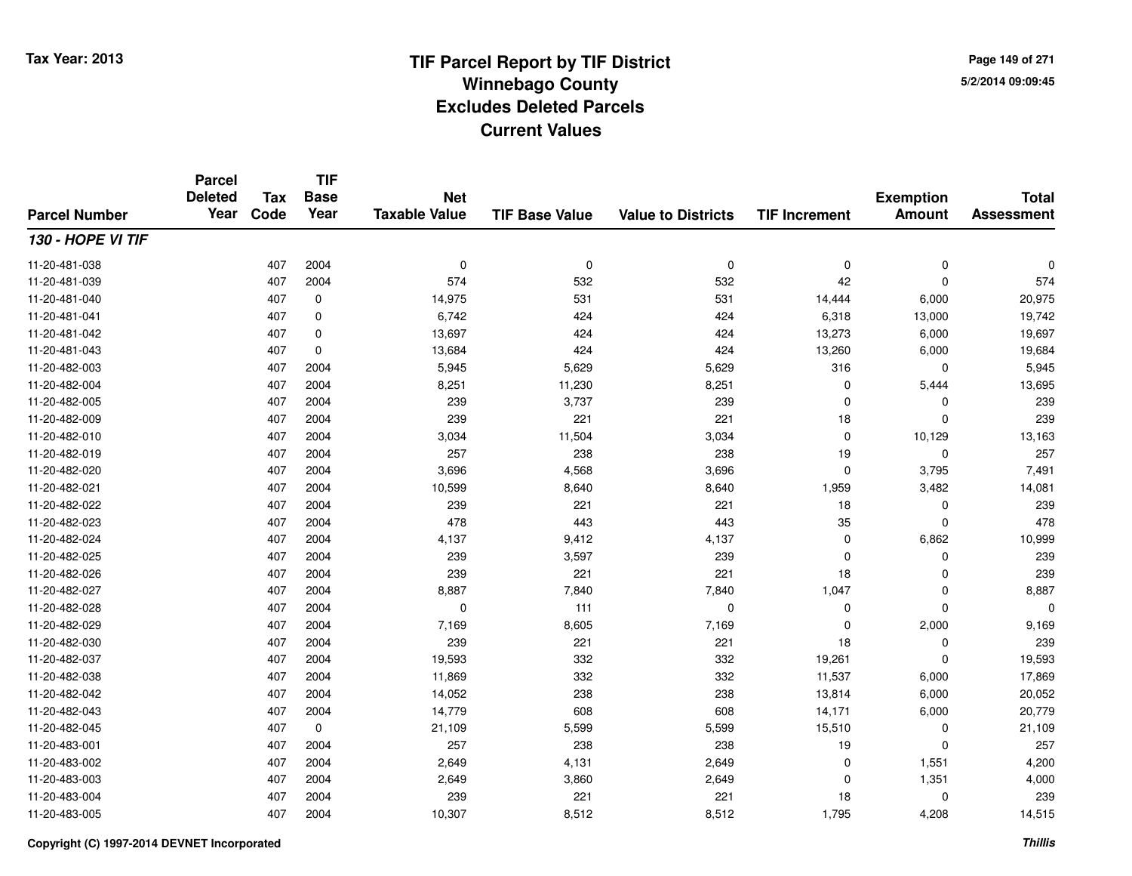**Page 149 of 2715/2/2014 09:09:45**

### **TIF Base ValueParcel NumberTotal AssessmentExemption Amount Value to Districts TIF IncrementTIF Base YearTax CodeParcel Deleted YearNet Taxable Value130 - HOPE VI TIF**11-20-481-038 <sup>407</sup> <sup>0</sup> <sup>2004</sup> <sup>0</sup> <sup>0</sup> <sup>0</sup> <sup>0</sup> <sup>0</sup> 11-20-481-0399 407 2004 574 532 532 42 0 574 11-20-481-0400 407 0 14,975 531 531 14,444 6,000 20,975 11-20-481-0411 407 0 6,742 424 424 6,318 13,000 19,742 11-20-481-0422 13,273 6,000 19,697 13,697 424 424 424 424 424 425 4273 6,000 19,697 11-20-481-0433 407 0 13,684 424 424 13,260 6,000 19,684 11-20-482-0033 407 2004 5,945 5,629 5,629 316 0 5,945 11-20-482-004 <sup>407</sup> 8,251 <sup>2004</sup> 11,230 8,251 <sup>0</sup> 5,444 13,695 11-20-482-005 <sup>407</sup> <sup>239</sup> <sup>2004</sup> 3,737 <sup>239</sup> <sup>0</sup> <sup>0</sup> <sup>239</sup> 11-20-482-0099 407 2004 239 221 221 18 0 239 11-20-482-0100 407 2004 3,034 11,504 3,034 0 10,129 13,163 11-20-482-0199 407 2004 257 238 238 19 0 257 11-20-482-0200 407 2004 3,696 4,568 3,696 0 3,795 7,491 11-20-482-0211 407 2004 10,599 8,640 8,640 1,959 3,482 14,081 11-20-482-022 <sup>407</sup> <sup>239</sup> <sup>2004</sup> <sup>221</sup> <sup>221</sup> <sup>18</sup> <sup>0</sup> <sup>239</sup> 11-20-482-023 <sup>407</sup> <sup>478</sup> <sup>2004</sup> <sup>443</sup> <sup>443</sup> <sup>35</sup> <sup>0</sup> <sup>478</sup> 11-20-482-024 <sup>407</sup> 4,137 <sup>2004</sup> 9,412 4,137 <sup>0</sup> 6,862 10,999 11-20-482-025 <sup>407</sup> <sup>239</sup> <sup>2004</sup> 3,597 <sup>239</sup> <sup>0</sup> <sup>0</sup> <sup>239</sup> 11-20-482-0266 407 2004 239 221 221 18 0 239 11-20-482-027 <sup>407</sup> 8,887 <sup>2004</sup> 7,840 7,840 1,047 <sup>0</sup> 8,887 11-20-482-028 <sup>407</sup> <sup>0</sup> <sup>2004</sup> <sup>111</sup> <sup>0</sup> <sup>0</sup> <sup>0</sup> <sup>0</sup> 11-20-482-0299 407 2004 7,169 8,605 7,169 0 2,000 9,169 11-20-482-0300 407 2004 239 221 221 18 0 239 11-20-482-037 <sup>407</sup> 19,593 <sup>2004</sup> <sup>332</sup> <sup>332</sup> 19,261 <sup>0</sup> 19,593 11-20-482-038 <sup>407</sup> 11,869 <sup>2004</sup> <sup>332</sup> <sup>332</sup> 11,537 6,000 17,869 11-20-482-042 <sup>407</sup> 14,052 <sup>2004</sup> <sup>238</sup> <sup>238</sup> 13,814 6,000 20,052 11-20-482-043 <sup>407</sup> 14,779 <sup>2004</sup> <sup>608</sup> <sup>608</sup> 14,171 6,000 20,779 11-20-482-0455 407 0 21,109 5,599 5,599 15,510 0 21,109 11-20-483-001 <sup>407</sup> <sup>257</sup> <sup>2004</sup> <sup>238</sup> <sup>238</sup> <sup>19</sup> <sup>0</sup> <sup>257</sup> 11-20-483-0022 407 2004 2,649 4,131 2,649 0 1,551 4,200 11-20-483-0033 407 2004 2,649 3,860 2,649 0 1,351 4,000 11-20-483-004 <sup>407</sup> <sup>239</sup> <sup>2004</sup> <sup>221</sup> <sup>221</sup> <sup>18</sup> <sup>0</sup> <sup>239</sup> 11-20-483-0055 407 2004 10,307 8,512 8,512 1,795 4,208 14,515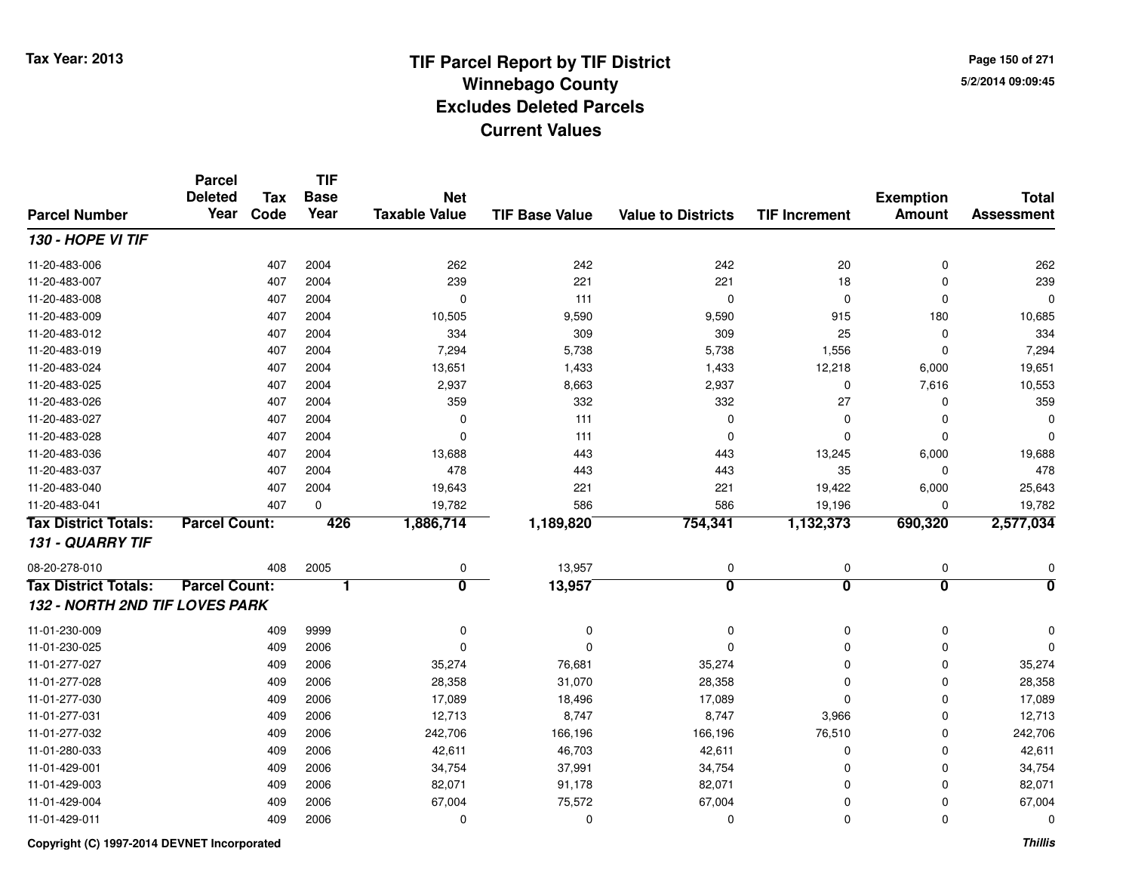**Page 150 of 2715/2/2014 09:09:45**

### **TIF Base ValueParcel NumberTotal AssessmentExemption Amount Value to Districts TIF IncrementTIF Base YearTax CodeParcel Deleted YearNet Taxable Value130 - HOPE VI TIF**11-20-483-006 <sup>407</sup> <sup>262</sup> <sup>2004</sup> <sup>242</sup> <sup>242</sup> <sup>20</sup> <sup>0</sup> <sup>262</sup> 11-20-483-007 <sup>407</sup> <sup>239</sup> <sup>2004</sup> <sup>221</sup> <sup>221</sup> <sup>18</sup> <sup>0</sup> <sup>239</sup> 11-20-483-008 <sup>407</sup> <sup>0</sup> <sup>2004</sup> <sup>111</sup> <sup>0</sup> <sup>0</sup> <sup>0</sup> <sup>0</sup> 11-20-483-0099 407 2004 10,505 9,590 9,590 915 180 10,685 11-20-483-012 <sup>407</sup> <sup>334</sup> <sup>2004</sup> <sup>309</sup> <sup>309</sup> <sup>25</sup> <sup>0</sup> <sup>334</sup> 11-20-483-0199 407 2004 7,294 5,738 5,738 1,556 0 7,294 11-20-483-024 <sup>407</sup> 13,651 <sup>2004</sup> 1,433 1,433 12,218 6,000 19,651 11-20-483-0255 407 2004 2,937 8,663 2,937 0 7,616 10,553 11-20-483-026 <sup>407</sup> <sup>359</sup> <sup>2004</sup> <sup>332</sup> <sup>332</sup> <sup>27</sup> <sup>0</sup> <sup>359</sup> 11-20-483-027 <sup>407</sup> <sup>0</sup> <sup>2004</sup> <sup>111</sup> <sup>0</sup> <sup>0</sup> <sup>0</sup> <sup>0</sup> 11-20-483-028 <sup>407</sup> <sup>0</sup> <sup>2004</sup> <sup>111</sup> <sup>0</sup> <sup>0</sup> <sup>0</sup> <sup>0</sup> 11-20-483-036 <sup>407</sup> 13,688 <sup>2004</sup> <sup>443</sup> <sup>443</sup> 13,245 6,000 19,688 11-20-483-037 <sup>407</sup> <sup>478</sup> <sup>2004</sup> <sup>443</sup> <sup>443</sup> <sup>35</sup> <sup>0</sup> <sup>478</sup> 11-20-483-0400 407 2004 19,643 221 221 19,422 6,000 25,643 11-20-483-0411 407 0 19,782 586 586 19,196 0 19,782 **Tax District Totals: Parcel Count: <sup>426</sup> 1,886,714 1,189,820 754,341 1,132,373 690,320 2,577,034 131 - QUARRY TIF**08-20-278-0100 408 2005 0 13,957 0 0 0 0 **Tax District Totals: Parcel Count: <sup>1</sup> <sup>0</sup> 13,957 <sup>0</sup> <sup>0</sup> <sup>0</sup> <sup>0</sup> 132 - NORTH 2ND TIF LOVES PARK**11-01-230-009 <sup>409</sup> <sup>0</sup> <sup>9999</sup> <sup>0</sup> <sup>0</sup> <sup>0</sup> <sup>0</sup> <sup>0</sup> 11-01-230-025 <sup>409</sup> <sup>0</sup> <sup>2006</sup> <sup>0</sup> <sup>0</sup> <sup>0</sup> <sup>0</sup> <sup>0</sup> 11-01-277-027 <sup>409</sup> 35,274 <sup>2006</sup> 76,681 35,274 <sup>0</sup> <sup>0</sup> 35,274 11-01-277-028 <sup>409</sup> 28,358 <sup>2006</sup> 31,070 28,358 <sup>0</sup> <sup>0</sup> 28,358 11-01-277-0300 409 2006 17,089 18,496 17,089 0 0 17,089 11-01-277-0311 409 2006 12,713 8,747 8,747 3,966 0 12,713 11-01-277-0322 409 2006 242,706 166,196 166,196 76,510 0 242,706 11-01-280-0333 409 2006 42,611 46,703 42,611 0 42,611 11-01-429-0011 409 2006 34,754 37,991 34,754 0 0 34,754 11-01-429-003 <sup>409</sup> 82,071 <sup>2006</sup> 91,178 82,071 <sup>0</sup> <sup>0</sup> 82,071 11-01-429-004 <sup>409</sup> 67,004 <sup>2006</sup> 75,572 67,004 <sup>0</sup> <sup>0</sup> 67,004 11-01-429-011<sup>409</sup> <sup>0</sup> <sup>2006</sup> <sup>0</sup> <sup>0</sup> <sup>0</sup> <sup>0</sup> <sup>0</sup>

**Copyright (C) 1997-2014 DEVNET Incorporated**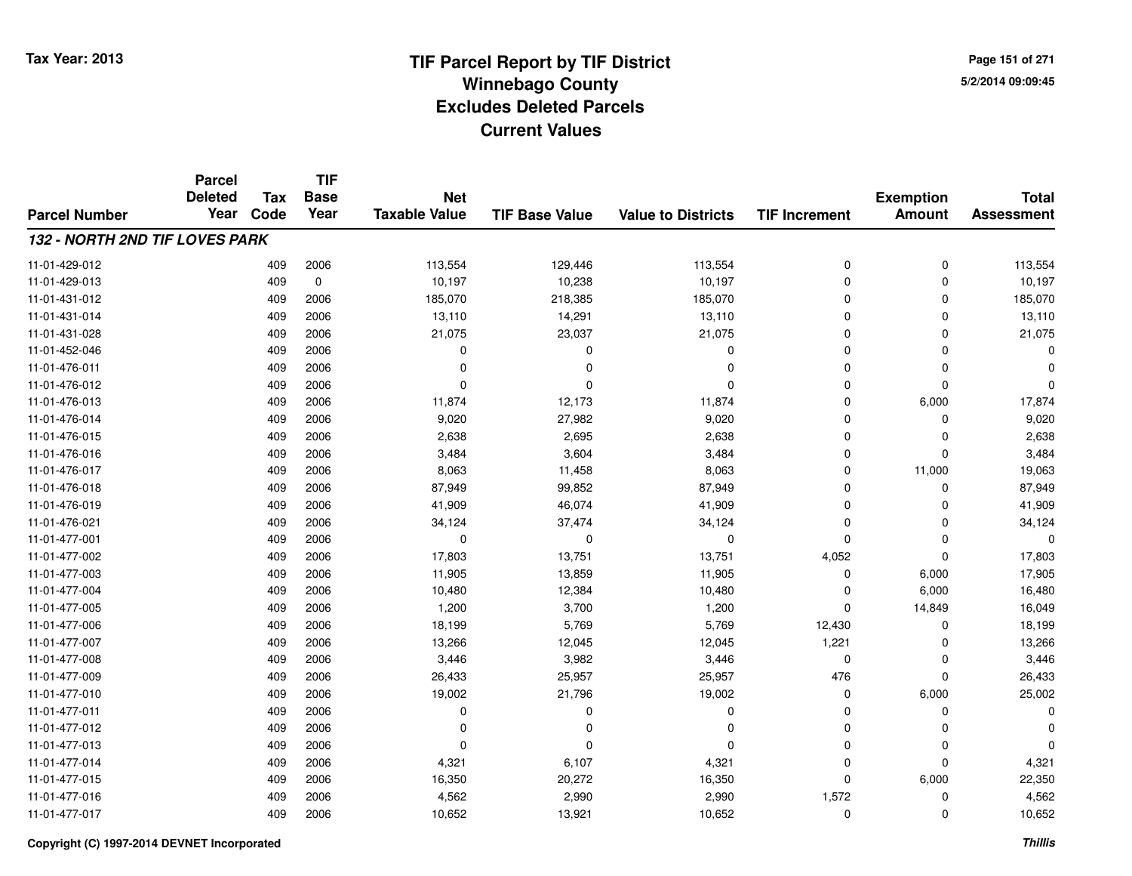**Page 151 of 2715/2/2014 09:09:45**

|                                       | <b>Parcel</b><br><b>Deleted</b> | <b>Tax</b> | <b>TIF</b><br><b>Base</b> | <b>Net</b>           |                       |                           |                      | <b>Exemption</b> | <b>Total</b>      |
|---------------------------------------|---------------------------------|------------|---------------------------|----------------------|-----------------------|---------------------------|----------------------|------------------|-------------------|
| <b>Parcel Number</b>                  | Year                            | Code       | Year                      | <b>Taxable Value</b> | <b>TIF Base Value</b> | <b>Value to Districts</b> | <b>TIF Increment</b> | <b>Amount</b>    | <b>Assessment</b> |
| <b>132 - NORTH 2ND TIF LOVES PARK</b> |                                 |            |                           |                      |                       |                           |                      |                  |                   |
| 11-01-429-012                         |                                 | 409        | 2006                      | 113,554              | 129,446               | 113,554                   | 0                    | 0                | 113,554           |
| 11-01-429-013                         |                                 | 409        | $\mathbf 0$               | 10,197               | 10,238                | 10,197                    | 0                    | $\mathbf 0$      | 10,197            |
| 11-01-431-012                         |                                 | 409        | 2006                      | 185,070              | 218,385               | 185,070                   | 0                    | 0                | 185,070           |
| 11-01-431-014                         |                                 | 409        | 2006                      | 13,110               | 14,291                | 13,110                    | 0                    | $\mathbf 0$      | 13,110            |
| 11-01-431-028                         |                                 | 409        | 2006                      | 21,075               | 23,037                | 21,075                    | 0                    | $\Omega$         | 21,075            |
| 11-01-452-046                         |                                 | 409        | 2006                      | 0                    | 0                     | 0                         | 0                    | $\Omega$         |                   |
| 11-01-476-011                         |                                 | 409        | 2006                      | $\Omega$             | $\Omega$              | $\Omega$                  | 0                    | $\mathbf 0$      |                   |
| 11-01-476-012                         |                                 | 409        | 2006                      | $\Omega$             | $\Omega$              | $\Omega$                  | 0                    | $\mathbf 0$      | ŋ                 |
| 11-01-476-013                         |                                 | 409        | 2006                      | 11,874               | 12,173                | 11,874                    | 0                    | 6,000            | 17,874            |
| 11-01-476-014                         |                                 | 409        | 2006                      | 9,020                | 27,982                | 9,020                     | 0                    | $\mathbf 0$      | 9,020             |
| 11-01-476-015                         |                                 | 409        | 2006                      | 2,638                | 2,695                 | 2,638                     | 0                    | 0                | 2,638             |
| 11-01-476-016                         |                                 | 409        | 2006                      | 3,484                | 3,604                 | 3,484                     | 0                    | $\mathbf 0$      | 3,484             |
| 11-01-476-017                         |                                 | 409        | 2006                      | 8,063                | 11,458                | 8,063                     | 0                    | 11,000           | 19,063            |
| 11-01-476-018                         |                                 | 409        | 2006                      | 87,949               | 99,852                | 87,949                    | 0                    | 0                | 87,949            |
| 11-01-476-019                         |                                 | 409        | 2006                      | 41,909               | 46,074                | 41,909                    | 0                    | $\Omega$         | 41,909            |
| 11-01-476-021                         |                                 | 409        | 2006                      | 34,124               | 37,474                | 34,124                    | 0                    | 0                | 34,124            |
| 11-01-477-001                         |                                 | 409        | 2006                      | $\mathbf 0$          | 0                     | 0                         | 0                    | 0                | $\Omega$          |
| 11-01-477-002                         |                                 | 409        | 2006                      | 17,803               | 13,751                | 13,751                    | 4,052                | $\mathbf 0$      | 17,803            |
| 11-01-477-003                         |                                 | 409        | 2006                      | 11,905               | 13,859                | 11,905                    | 0                    | 6,000            | 17,905            |
| 11-01-477-004                         |                                 | 409        | 2006                      | 10,480               | 12,384                | 10,480                    | 0                    | 6,000            | 16,480            |
| 11-01-477-005                         |                                 | 409        | 2006                      | 1,200                | 3,700                 | 1,200                     | 0                    | 14,849           | 16,049            |
| 11-01-477-006                         |                                 | 409        | 2006                      | 18,199               | 5,769                 | 5,769                     | 12,430               | $\mathbf 0$      | 18,199            |
| 11-01-477-007                         |                                 | 409        | 2006                      | 13,266               | 12,045                | 12,045                    | 1,221                | 0                | 13,266            |
| 11-01-477-008                         |                                 | 409        | 2006                      | 3,446                | 3,982                 | 3,446                     | 0                    | $\mathbf 0$      | 3,446             |
| 11-01-477-009                         |                                 | 409        | 2006                      | 26,433               | 25,957                | 25,957                    | 476                  | $\mathbf 0$      | 26,433            |
| 11-01-477-010                         |                                 | 409        | 2006                      | 19,002               | 21,796                | 19,002                    | 0                    | 6,000            | 25,002            |
| 11-01-477-011                         |                                 | 409        | 2006                      | 0                    | $\Omega$              | $\mathbf 0$               | 0                    | $\mathbf 0$      | $\Omega$          |
| 11-01-477-012                         |                                 | 409        | 2006                      | 0                    | $\Omega$              | $\Omega$                  | 0                    | 0                |                   |
| 11-01-477-013                         |                                 | 409        | 2006                      | 0                    | $\Omega$              | $\Omega$                  | 0                    | $\mathbf 0$      | $\Omega$          |
| 11-01-477-014                         |                                 | 409        | 2006                      | 4,321                | 6,107                 | 4,321                     | 0                    | $\mathbf 0$      | 4,321             |
| 11-01-477-015                         |                                 | 409        | 2006                      | 16,350               | 20,272                | 16,350                    | 0                    | 6,000            | 22,350            |
| 11-01-477-016                         |                                 | 409        | 2006                      | 4,562                | 2,990                 | 2,990                     | 1,572                | 0                | 4,562             |
| 11-01-477-017                         |                                 | 409        | 2006                      | 10,652               | 13,921                | 10,652                    | 0                    | $\Omega$         | 10,652            |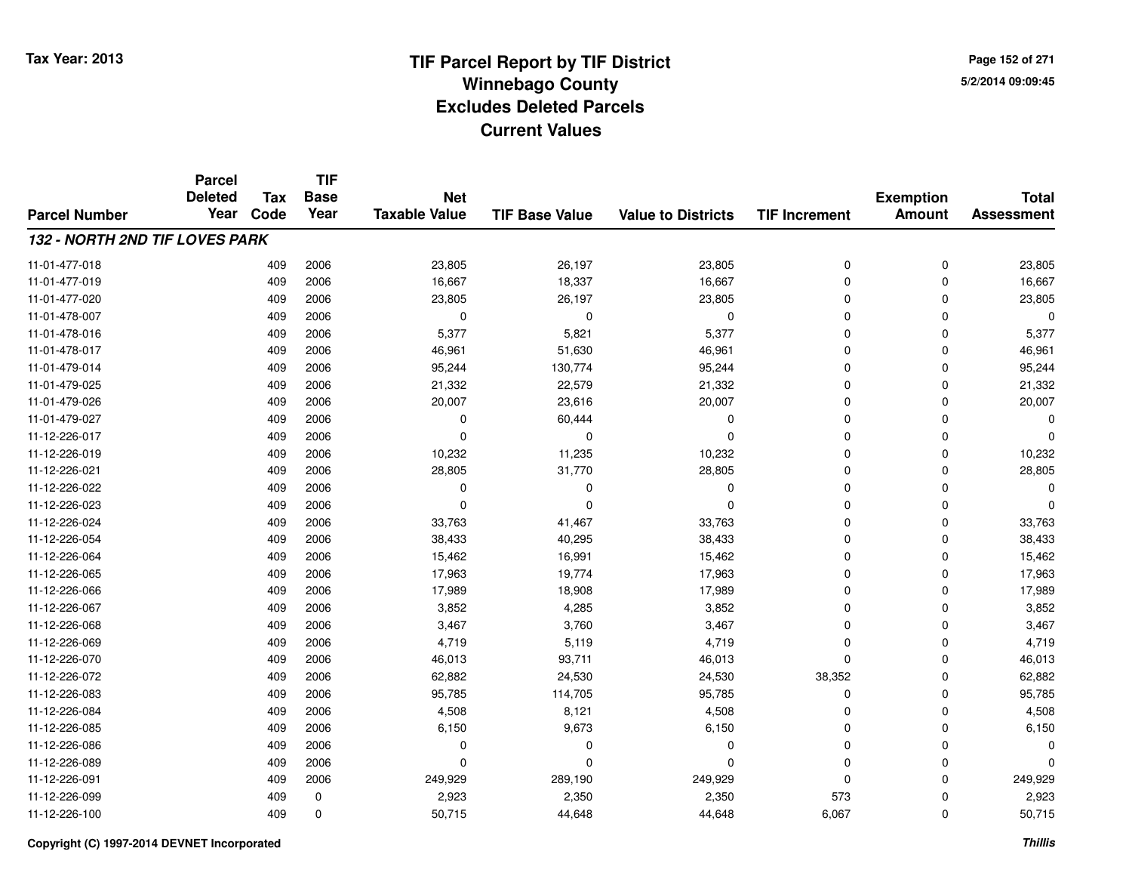**TIF**

**Parcel**

**Page 152 of 2715/2/2014 09:09:45**

### **TIF Base ValueParcel NumberTotal AssessmentExemption Amount Value to Districts TIF Increment Base YearTax Code Deleted YearNet Taxable Value132 - NORTH 2ND TIF LOVES PARK**11-01-477-018 <sup>409</sup> 23,805 <sup>2006</sup> 26,197 23,805 <sup>0</sup> <sup>0</sup> 23,805 11-01-477-0199 409 2006 16,667 18,337 16,667 0 0 16,667 11-01-477-0200 409 2006 23,805 26,197 23,805 0 0 23,805 11-01-478-007 <sup>409</sup> <sup>0</sup> <sup>2006</sup> <sup>0</sup> <sup>0</sup> <sup>0</sup> <sup>0</sup> <sup>0</sup> 11-01-478-016 <sup>409</sup> 5,377 <sup>2006</sup> 5,821 5,377 <sup>0</sup> <sup>0</sup> 5,377 11-01-478-017 <sup>409</sup> 46,961 <sup>2006</sup> 51,630 46,961 <sup>0</sup> <sup>0</sup> 46,961 11-01-479-014 <sup>409</sup> 95,244 <sup>2006</sup> 130,774 95,244 <sup>0</sup> <sup>0</sup> 95,244 11-01-479-025 <sup>409</sup> 21,332 <sup>2006</sup> 22,579 21,332 <sup>0</sup> <sup>0</sup> 21,332 11-01-479-026 <sup>409</sup> 20,007 <sup>2006</sup> 23,616 20,007 <sup>0</sup> <sup>0</sup> 20,007 11-01-479-027 $7$  0 2006 0 0 60,444 0 0 0 0 0 0 0 0 11-12-226-017 <sup>409</sup> <sup>0</sup> <sup>2006</sup> <sup>0</sup> <sup>0</sup> <sup>0</sup> <sup>0</sup> <sup>0</sup> 11-12-226-0199 409 2006 10,232 11,235 10,232 0 0 10,232 11-12-226-0211 409 2006 28,805 31,770 28,805 0 28,805 11-12-226-022 <sup>409</sup> <sup>0</sup> <sup>2006</sup> <sup>0</sup> <sup>0</sup> <sup>0</sup> <sup>0</sup> <sup>0</sup> 11-12-226-023 <sup>409</sup> <sup>0</sup> <sup>2006</sup> <sup>0</sup> <sup>0</sup> <sup>0</sup> <sup>0</sup> <sup>0</sup> 11-12-226-024 <sup>409</sup> 33,763 <sup>2006</sup> 41,467 33,763 <sup>0</sup> <sup>0</sup> 33,763 11-12-226-054 <sup>409</sup> 38,433 <sup>2006</sup> 40,295 38,433 <sup>0</sup> <sup>0</sup> 38,433 11-12-226-064 <sup>409</sup> 15,462 <sup>2006</sup> 16,991 15,462 <sup>0</sup> <sup>0</sup> 15,462 11-12-226-065 <sup>409</sup> 17,963 <sup>2006</sup> 19,774 17,963 <sup>0</sup> <sup>0</sup> 17,963 11-12-226-0666 409 2006 17,989 18,908 17,989 0 0 17,989 11-12-226-0677 409 2006 3,852 4,285 3,852 0 0 3,852 11-12-226-0688 409 2006 3,467 3,760 3,467 0 0 3,467 11-12-226-0699 409 2006 4,719 5,119 4,719 0 0 4,719 11-12-226-0700 409 2006 46,013 93,711 46,013 0 0 46,013 11-12-226-0722 2 2 2 38,352 2006 2006 24,530 24,530 24,530 38,352 0 38,352 3 38,352 24 38,352 24 4,530 24,530 24,530 24,530 11-12-226-0833 409 2006 95,785 114,705 95,785 0 0 95,785 11-12-226-0844 2006 409 2006 4,508 8,121 4,508 3 4,508 0 0 0 4,508 11-12-226-0855 409 2006 6,150 9,673 6,150 0 0 6,150 11-12-226-086 <sup>409</sup> <sup>0</sup> <sup>2006</sup> <sup>0</sup> <sup>0</sup> <sup>0</sup> <sup>0</sup> <sup>0</sup> 11-12-226-089 <sup>409</sup> <sup>0</sup> <sup>2006</sup> <sup>0</sup> <sup>0</sup> <sup>0</sup> <sup>0</sup> <sup>0</sup> 11-12-226-0911 409 2006 249,929 289,190 249,929 0 249,929 11-12-226-0999 409 0 2,923 2,350 2,350 573 0 2,923 11-12-226-1000 409 0 50,715 44,648 44,648 6,067 0 50,715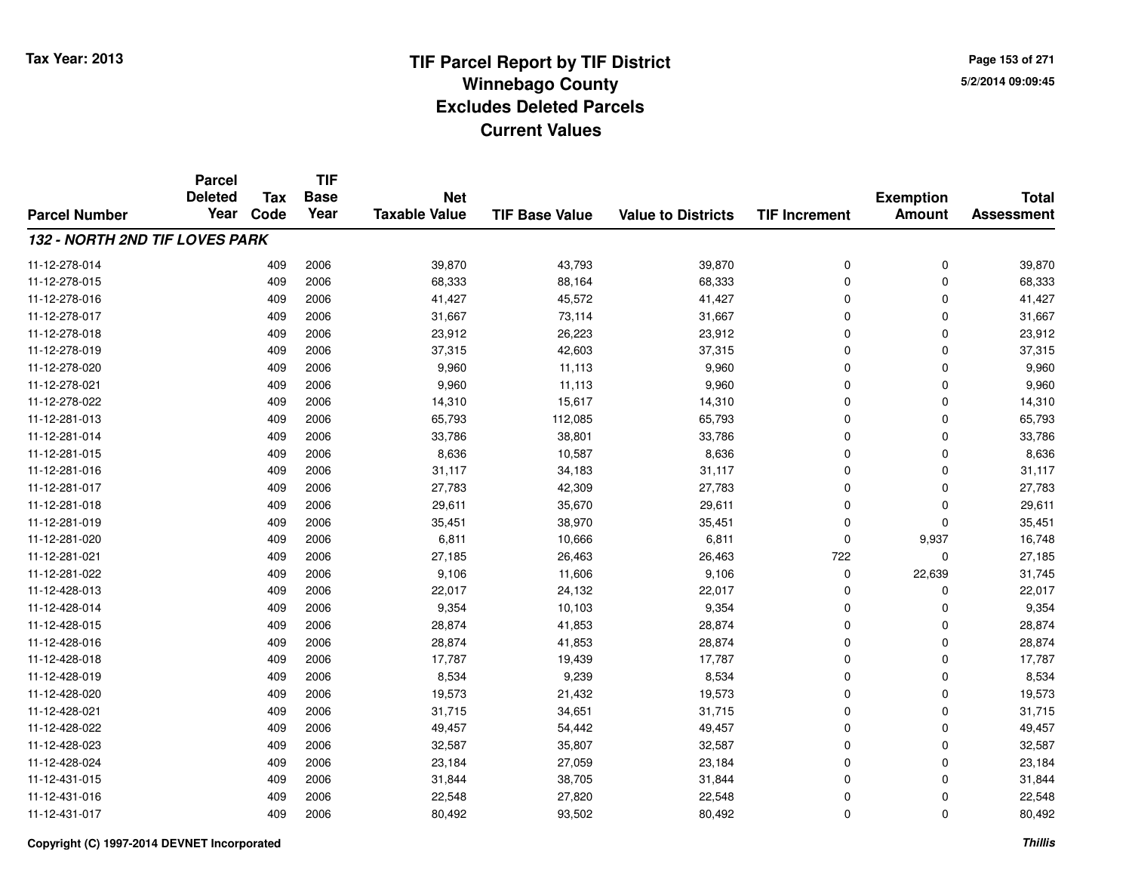**Page 153 of 2715/2/2014 09:09:45**

|                                | <b>Parcel</b><br><b>Deleted</b> | <b>Tax</b> | <b>TIF</b><br><b>Base</b> | <b>Net</b>           |                       |                           |                      | <b>Exemption</b> | <b>Total</b>      |
|--------------------------------|---------------------------------|------------|---------------------------|----------------------|-----------------------|---------------------------|----------------------|------------------|-------------------|
| <b>Parcel Number</b>           | Year                            | Code       | Year                      | <b>Taxable Value</b> | <b>TIF Base Value</b> | <b>Value to Districts</b> | <b>TIF Increment</b> | <b>Amount</b>    | <b>Assessment</b> |
| 132 - NORTH 2ND TIF LOVES PARK |                                 |            |                           |                      |                       |                           |                      |                  |                   |
| 11-12-278-014                  |                                 | 409        | 2006                      | 39,870               | 43,793                | 39,870                    | 0                    | 0                | 39,870            |
| 11-12-278-015                  |                                 | 409        | 2006                      | 68,333               | 88,164                | 68,333                    | 0                    | 0                | 68,333            |
| 11-12-278-016                  |                                 | 409        | 2006                      | 41,427               | 45,572                | 41,427                    | 0                    | $\mathbf 0$      | 41,427            |
| 11-12-278-017                  |                                 | 409        | 2006                      | 31,667               | 73,114                | 31,667                    | 0                    | 0                | 31,667            |
| 11-12-278-018                  |                                 | 409        | 2006                      | 23,912               | 26,223                | 23,912                    | $\mathbf 0$          | $\mathbf 0$      | 23,912            |
| 11-12-278-019                  |                                 | 409        | 2006                      | 37,315               | 42,603                | 37,315                    | 0                    | 0                | 37,315            |
| 11-12-278-020                  |                                 | 409        | 2006                      | 9,960                | 11,113                | 9,960                     | 0                    | $\mathbf 0$      | 9,960             |
| 11-12-278-021                  |                                 | 409        | 2006                      | 9,960                | 11,113                | 9,960                     | 0                    | $\Omega$         | 9,960             |
| 11-12-278-022                  |                                 | 409        | 2006                      | 14,310               | 15,617                | 14,310                    | 0                    | $\Omega$         | 14,310            |
| 11-12-281-013                  |                                 | 409        | 2006                      | 65,793               | 112,085               | 65,793                    | 0                    | $\Omega$         | 65,793            |
| 11-12-281-014                  |                                 | 409        | 2006                      | 33,786               | 38,801                | 33,786                    | $\mathbf 0$          | $\Omega$         | 33,786            |
| 11-12-281-015                  |                                 | 409        | 2006                      | 8,636                | 10,587                | 8,636                     | $\mathbf 0$          | $\Omega$         | 8,636             |
| 11-12-281-016                  |                                 | 409        | 2006                      | 31,117               | 34,183                | 31,117                    | $\mathbf 0$          | $\mathbf 0$      | 31,117            |
| 11-12-281-017                  |                                 | 409        | 2006                      | 27,783               | 42,309                | 27,783                    | 0                    | 0                | 27,783            |
| 11-12-281-018                  |                                 | 409        | 2006                      | 29,611               | 35,670                | 29,611                    | $\mathbf 0$          | $\Omega$         | 29,611            |
| 11-12-281-019                  |                                 | 409        | 2006                      | 35,451               | 38,970                | 35,451                    | 0                    | 0                | 35,451            |
| 11-12-281-020                  |                                 | 409        | 2006                      | 6,811                | 10,666                | 6,811                     | 0                    | 9,937            | 16,748            |
| 11-12-281-021                  |                                 | 409        | 2006                      | 27,185               | 26,463                | 26,463                    | 722                  | $\mathbf 0$      | 27,185            |
| 11-12-281-022                  |                                 | 409        | 2006                      | 9,106                | 11,606                | 9,106                     | 0                    | 22,639           | 31,745            |
| 11-12-428-013                  |                                 | 409        | 2006                      | 22,017               | 24,132                | 22,017                    | 0                    | 0                | 22,017            |
| 11-12-428-014                  |                                 | 409        | 2006                      | 9,354                | 10,103                | 9,354                     | 0                    | 0                | 9,354             |
| 11-12-428-015                  |                                 | 409        | 2006                      | 28,874               | 41,853                | 28,874                    | 0                    | 0                | 28,874            |
| 11-12-428-016                  |                                 | 409        | 2006                      | 28,874               | 41,853                | 28,874                    | 0                    | 0                | 28,874            |
| 11-12-428-018                  |                                 | 409        | 2006                      | 17,787               | 19,439                | 17,787                    | 0                    | $\mathbf 0$      | 17,787            |
| 11-12-428-019                  |                                 | 409        | 2006                      | 8,534                | 9,239                 | 8,534                     | 0                    | $\mathbf 0$      | 8,534             |
| 11-12-428-020                  |                                 | 409        | 2006                      | 19,573               | 21,432                | 19,573                    | 0                    | $\mathbf 0$      | 19,573            |
| 11-12-428-021                  |                                 | 409        | 2006                      | 31,715               | 34,651                | 31,715                    | 0                    | $\mathbf 0$      | 31,715            |
| 11-12-428-022                  |                                 | 409        | 2006                      | 49,457               | 54,442                | 49,457                    | 0                    | 0                | 49,457            |
| 11-12-428-023                  |                                 | 409        | 2006                      | 32,587               | 35,807                | 32,587                    | 0                    | $\Omega$         | 32,587            |
| 11-12-428-024                  |                                 | 409        | 2006                      | 23,184               | 27,059                | 23,184                    | 0                    | 0                | 23,184            |
| 11-12-431-015                  |                                 | 409        | 2006                      | 31,844               | 38,705                | 31,844                    | 0                    | $\Omega$         | 31,844            |
| 11-12-431-016                  |                                 | 409        | 2006                      | 22,548               | 27,820                | 22,548                    | 0                    | 0                | 22,548            |
| 11-12-431-017                  |                                 | 409        | 2006                      | 80,492               | 93,502                | 80,492                    | 0                    | $\Omega$         | 80,492            |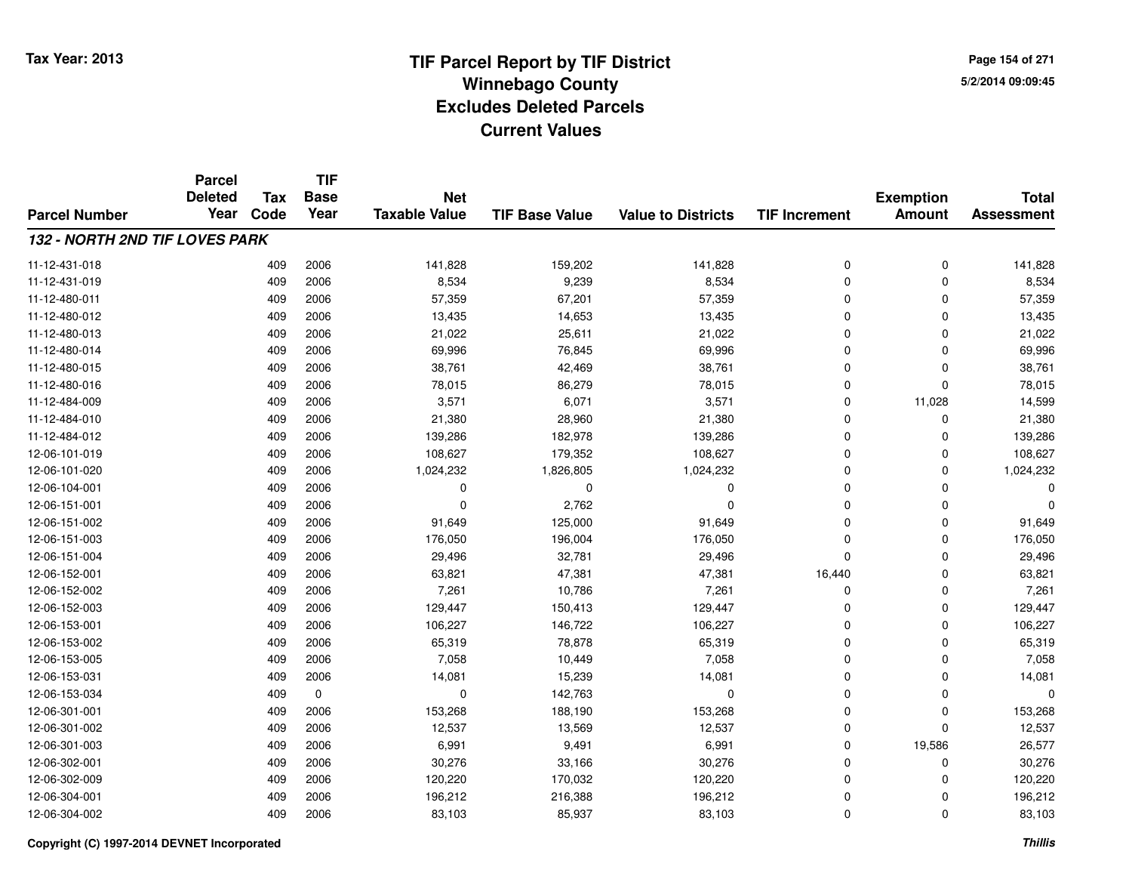**Page 154 of 2715/2/2014 09:09:45**

|                                       | <b>Parcel</b><br><b>Deleted</b> | <b>Tax</b> | <b>TIF</b><br><b>Base</b> | <b>Net</b>           |                       |                           |                      |                                   | <b>Total</b>      |
|---------------------------------------|---------------------------------|------------|---------------------------|----------------------|-----------------------|---------------------------|----------------------|-----------------------------------|-------------------|
| <b>Parcel Number</b>                  | Year                            | Code       | Year                      | <b>Taxable Value</b> | <b>TIF Base Value</b> | <b>Value to Districts</b> | <b>TIF Increment</b> | <b>Exemption</b><br><b>Amount</b> | <b>Assessment</b> |
| <b>132 - NORTH 2ND TIF LOVES PARK</b> |                                 |            |                           |                      |                       |                           |                      |                                   |                   |
| 11-12-431-018                         |                                 | 409        | 2006                      | 141,828              | 159,202               | 141,828                   | 0                    | 0                                 | 141,828           |
| 11-12-431-019                         |                                 | 409        | 2006                      | 8,534                | 9,239                 | 8,534                     | $\Omega$             | $\Omega$                          | 8,534             |
| 11-12-480-011                         |                                 | 409        | 2006                      | 57,359               | 67,201                | 57,359                    | 0                    | $\mathbf 0$                       | 57,359            |
| 11-12-480-012                         |                                 | 409        | 2006                      | 13,435               | 14,653                | 13,435                    | $\Omega$             | $\Omega$                          | 13,435            |
| 11-12-480-013                         |                                 | 409        | 2006                      | 21,022               | 25,611                | 21,022                    | 0                    | $\mathbf 0$                       | 21,022            |
| 11-12-480-014                         |                                 | 409        | 2006                      | 69,996               | 76,845                | 69,996                    | $\Omega$             | $\Omega$                          | 69,996            |
| 11-12-480-015                         |                                 | 409        | 2006                      | 38,761               | 42,469                | 38,761                    | $\Omega$             | $\mathbf 0$                       | 38,761            |
| 11-12-480-016                         |                                 | 409        | 2006                      | 78,015               | 86,279                | 78,015                    | $\Omega$             | $\Omega$                          | 78,015            |
| 11-12-484-009                         |                                 | 409        | 2006                      | 3,571                | 6,071                 | 3,571                     | $\mathbf 0$          | 11,028                            | 14,599            |
| 11-12-484-010                         |                                 | 409        | 2006                      | 21,380               | 28,960                | 21,380                    | $\Omega$             | $\Omega$                          | 21,380            |
| 11-12-484-012                         |                                 | 409        | 2006                      | 139,286              | 182,978               | 139,286                   | $\Omega$             | $\Omega$                          | 139,286           |
| 12-06-101-019                         |                                 | 409        | 2006                      | 108,627              | 179,352               | 108,627                   | 0                    | 0                                 | 108,627           |
| 12-06-101-020                         |                                 | 409        | 2006                      | 1,024,232            | 1,826,805             | 1,024,232                 | $\Omega$             | $\Omega$                          | 1,024,232         |
| 12-06-104-001                         |                                 | 409        | 2006                      | 0                    | $\mathbf 0$           | 0                         | 0                    | $\Omega$                          |                   |
| 12-06-151-001                         |                                 | 409        | 2006                      | $\mathbf 0$          | 2,762                 | $\Omega$                  | $\Omega$             | $\Omega$                          |                   |
| 12-06-151-002                         |                                 | 409        | 2006                      | 91,649               | 125,000               | 91,649                    | $\mathbf 0$          | 0                                 | 91,649            |
| 12-06-151-003                         |                                 | 409        | 2006                      | 176,050              | 196,004               | 176,050                   | $\Omega$             | $\Omega$                          | 176,050           |
| 12-06-151-004                         |                                 | 409        | 2006                      | 29,496               | 32,781                | 29,496                    | $\mathbf 0$          | $\Omega$                          | 29,496            |
| 12-06-152-001                         |                                 | 409        | 2006                      | 63,821               | 47,381                | 47,381                    | 16,440               | $\mathbf 0$                       | 63,821            |
| 12-06-152-002                         |                                 | 409        | 2006                      | 7,261                | 10,786                | 7,261                     | $\mathbf 0$          | 0                                 | 7,261             |
| 12-06-152-003                         |                                 | 409        | 2006                      | 129,447              | 150,413               | 129,447                   | 0                    | 0                                 | 129,447           |
| 12-06-153-001                         |                                 | 409        | 2006                      | 106,227              | 146,722               | 106,227                   | 0                    | $\mathbf 0$                       | 106,227           |
| 12-06-153-002                         |                                 | 409        | 2006                      | 65,319               | 78,878                | 65,319                    | 0                    | 0                                 | 65,319            |
| 12-06-153-005                         |                                 | 409        | 2006                      | 7,058                | 10,449                | 7,058                     | $\Omega$             | $\Omega$                          | 7,058             |
| 12-06-153-031                         |                                 | 409        | 2006                      | 14,081               | 15,239                | 14,081                    | 0                    | $\Omega$                          | 14,081            |
| 12-06-153-034                         |                                 | 409        | $\mathbf 0$               | 0                    | 142,763               | $\mathbf 0$               | $\Omega$             | $\Omega$                          | $\Omega$          |
| 12-06-301-001                         |                                 | 409        | 2006                      | 153,268              | 188,190               | 153,268                   | 0                    | $\mathbf 0$                       | 153,268           |
| 12-06-301-002                         |                                 | 409        | 2006                      | 12,537               | 13,569                | 12,537                    | $\Omega$             | $\Omega$                          | 12,537            |
| 12-06-301-003                         |                                 | 409        | 2006                      | 6,991                | 9,491                 | 6,991                     | 0                    | 19,586                            | 26,577            |
| 12-06-302-001                         |                                 | 409        | 2006                      | 30,276               | 33,166                | 30,276                    | 0                    | $\mathbf 0$                       | 30,276            |
| 12-06-302-009                         |                                 | 409        | 2006                      | 120,220              | 170,032               | 120,220                   | $\Omega$             | $\Omega$                          | 120,220           |
| 12-06-304-001                         |                                 | 409        | 2006                      | 196,212              | 216,388               | 196,212                   | 0                    | $\Omega$                          | 196,212           |
| 12-06-304-002                         |                                 | 409        | 2006                      | 83,103               | 85,937                | 83,103                    | $\mathbf 0$          | $\Omega$                          | 83,103            |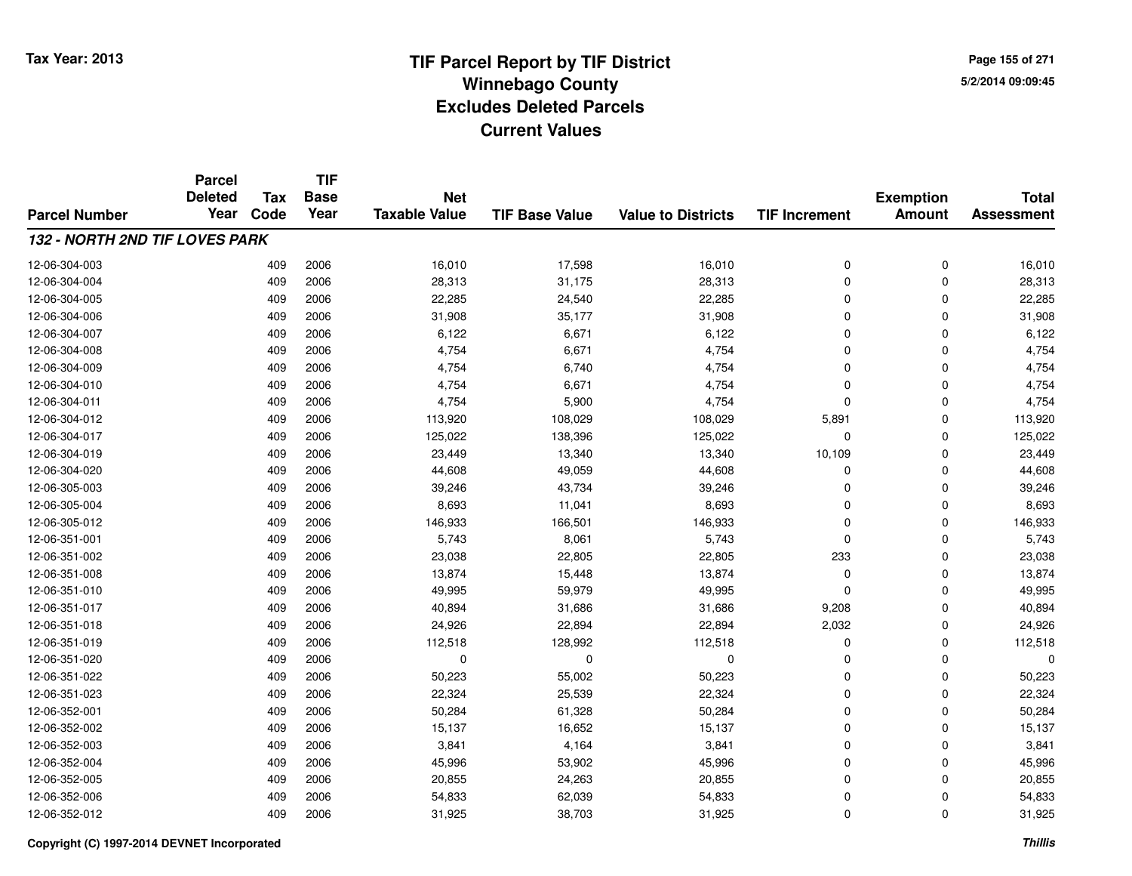**Page 155 of 2715/2/2014 09:09:45**

|                                | <b>Parcel</b><br><b>Deleted</b> | <b>Tax</b> | <b>TIF</b><br><b>Base</b> | <b>Net</b>           |                       |                           |                      | <b>Exemption</b> | <b>Total</b>      |
|--------------------------------|---------------------------------|------------|---------------------------|----------------------|-----------------------|---------------------------|----------------------|------------------|-------------------|
| <b>Parcel Number</b>           | Year                            | Code       | Year                      | <b>Taxable Value</b> | <b>TIF Base Value</b> | <b>Value to Districts</b> | <b>TIF Increment</b> | <b>Amount</b>    | <b>Assessment</b> |
| 132 - NORTH 2ND TIF LOVES PARK |                                 |            |                           |                      |                       |                           |                      |                  |                   |
| 12-06-304-003                  |                                 | 409        | 2006                      | 16,010               | 17,598                | 16,010                    | 0                    | 0                | 16,010            |
| 12-06-304-004                  |                                 | 409        | 2006                      | 28,313               | 31,175                | 28,313                    | 0                    | $\Omega$         | 28,313            |
| 12-06-304-005                  |                                 | 409        | 2006                      | 22,285               | 24,540                | 22,285                    | $\mathbf 0$          | $\Omega$         | 22,285            |
| 12-06-304-006                  |                                 | 409        | 2006                      | 31,908               | 35,177                | 31,908                    | 0                    | $\Omega$         | 31,908            |
| 12-06-304-007                  |                                 | 409        | 2006                      | 6,122                | 6,671                 | 6,122                     | $\mathbf 0$          | $\Omega$         | 6,122             |
| 12-06-304-008                  |                                 | 409        | 2006                      | 4,754                | 6,671                 | 4,754                     | 0                    | $\Omega$         | 4,754             |
| 12-06-304-009                  |                                 | 409        | 2006                      | 4,754                | 6,740                 | 4,754                     | 0                    | $\Omega$         | 4,754             |
| 12-06-304-010                  |                                 | 409        | 2006                      | 4,754                | 6,671                 | 4,754                     | 0                    | $\Omega$         | 4,754             |
| 12-06-304-011                  |                                 | 409        | 2006                      | 4,754                | 5,900                 | 4,754                     | 0                    | $\Omega$         | 4,754             |
| 12-06-304-012                  |                                 | 409        | 2006                      | 113,920              | 108,029               | 108,029                   | 5,891                | $\mathbf 0$      | 113,920           |
| 12-06-304-017                  |                                 | 409        | 2006                      | 125,022              | 138,396               | 125,022                   | $\mathbf 0$          | $\Omega$         | 125,022           |
| 12-06-304-019                  |                                 | 409        | 2006                      | 23,449               | 13,340                | 13,340                    | 10,109               | 0                | 23,449            |
| 12-06-304-020                  |                                 | 409        | 2006                      | 44,608               | 49,059                | 44,608                    | 0                    | $\Omega$         | 44,608            |
| 12-06-305-003                  |                                 | 409        | 2006                      | 39,246               | 43,734                | 39,246                    | 0                    | 0                | 39,246            |
| 12-06-305-004                  |                                 | 409        | 2006                      | 8,693                | 11,041                | 8,693                     | $\mathbf 0$          | 0                | 8,693             |
| 12-06-305-012                  |                                 | 409        | 2006                      | 146,933              | 166,501               | 146,933                   | 0                    | 0                | 146,933           |
| 12-06-351-001                  |                                 | 409        | 2006                      | 5,743                | 8,061                 | 5,743                     | 0                    | $\Omega$         | 5,743             |
| 12-06-351-002                  |                                 | 409        | 2006                      | 23,038               | 22,805                | 22,805                    | 233                  | $\Omega$         | 23,038            |
| 12-06-351-008                  |                                 | 409        | 2006                      | 13,874               | 15,448                | 13,874                    | 0                    | $\Omega$         | 13,874            |
| 12-06-351-010                  |                                 | 409        | 2006                      | 49,995               | 59,979                | 49,995                    | 0                    | $\Omega$         | 49,995            |
| 12-06-351-017                  |                                 | 409        | 2006                      | 40,894               | 31,686                | 31,686                    | 9,208                | $\Omega$         | 40,894            |
| 12-06-351-018                  |                                 | 409        | 2006                      | 24,926               | 22,894                | 22,894                    | 2,032                | 0                | 24,926            |
| 12-06-351-019                  |                                 | 409        | 2006                      | 112,518              | 128,992               | 112,518                   | 0                    | $\mathbf 0$      | 112,518           |
| 12-06-351-020                  |                                 | 409        | 2006                      | 0                    | 0                     | 0                         | 0                    | 0                | 0                 |
| 12-06-351-022                  |                                 | 409        | 2006                      | 50,223               | 55,002                | 50,223                    | 0                    | $\Omega$         | 50,223            |
| 12-06-351-023                  |                                 | 409        | 2006                      | 22,324               | 25,539                | 22,324                    | 0                    | $\mathbf 0$      | 22,324            |
| 12-06-352-001                  |                                 | 409        | 2006                      | 50,284               | 61,328                | 50,284                    | 0                    | $\Omega$         | 50,284            |
| 12-06-352-002                  |                                 | 409        | 2006                      | 15,137               | 16,652                | 15,137                    | 0                    | $\Omega$         | 15,137            |
| 12-06-352-003                  |                                 | 409        | 2006                      | 3,841                | 4,164                 | 3,841                     | 0                    | $\Omega$         | 3,841             |
| 12-06-352-004                  |                                 | 409        | 2006                      | 45,996               | 53,902                | 45,996                    | 0                    | $\Omega$         | 45,996            |
| 12-06-352-005                  |                                 | 409        | 2006                      | 20,855               | 24,263                | 20,855                    | 0                    | $\Omega$         | 20,855            |
| 12-06-352-006                  |                                 | 409        | 2006                      | 54,833               | 62,039                | 54,833                    | 0                    | $\Omega$         | 54,833            |
| 12-06-352-012                  |                                 | 409        | 2006                      | 31,925               | 38,703                | 31,925                    | 0                    | $\mathbf 0$      | 31,925            |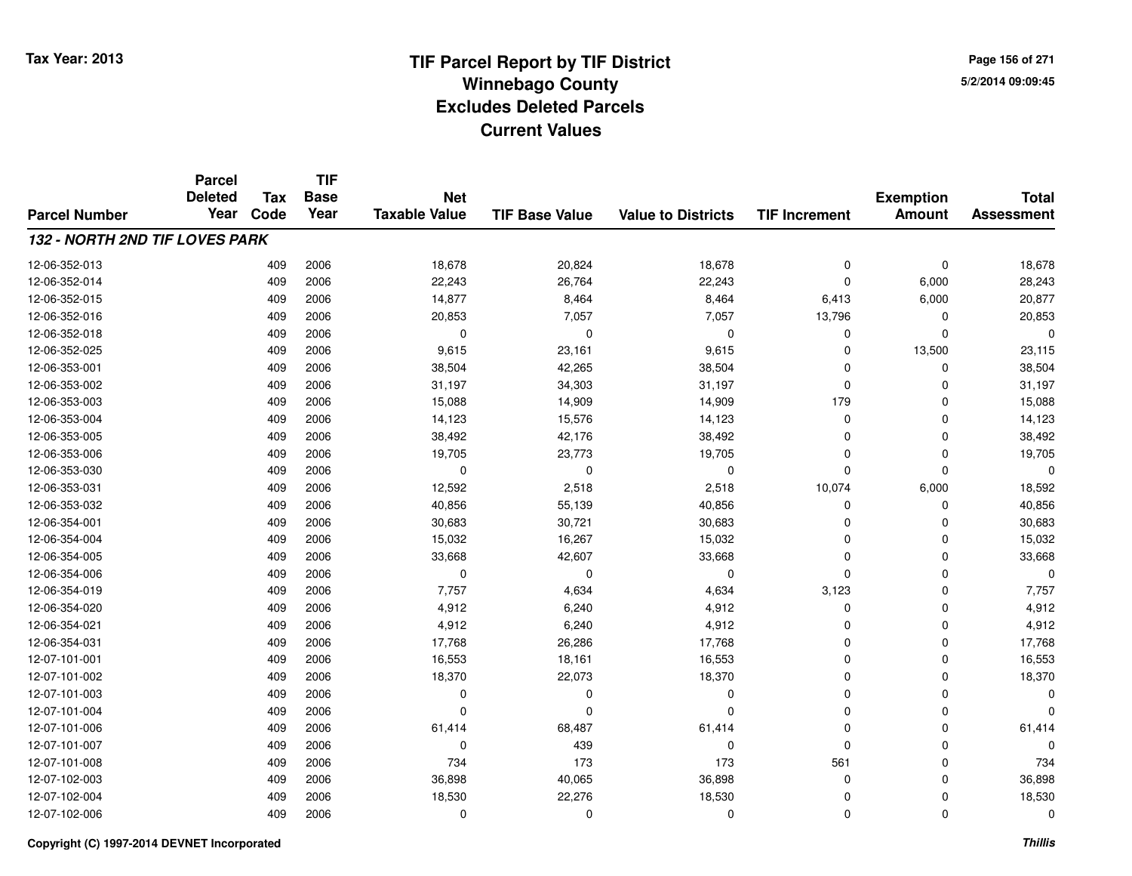**Page 156 of 2715/2/2014 09:09:45**

### **TIF Base ValueParcel NumberTotal AssessmentExemption Amount Value to Districts TIF IncrementTIF Base YearTax CodeParcel Deleted YearNet Taxable Value132 - NORTH 2ND TIF LOVES PARK**12-06-352-0133 409 2006 18,678 20,824 18,678 0 0 18,678 12-06-352-014 <sup>409</sup> 22,243 <sup>2006</sup> 26,764 22,243 <sup>0</sup> 6,000 28,243 12-06-352-015 <sup>409</sup> 14,877 <sup>2006</sup> 8,464 8,464 6,413 6,000 20,877 12-06-352-016 <sup>409</sup> 20,853 <sup>2006</sup> 7,057 7,057 13,796 <sup>0</sup> 20,853 12-06-352-018 <sup>409</sup> <sup>0</sup> <sup>2006</sup> <sup>0</sup> <sup>0</sup> <sup>0</sup> <sup>0</sup> <sup>0</sup> 12-06-352-0255 409 2006 9,615 23,161 9,615 0 13,500 23,115 12-06-353-0011 409 2006 38,504 42,265 38,504 0 0 38,504 12-06-353-0022 409 2006 31,197 34,303 31,197 0 0 31,197 12-06-353-0033 409 2006 15,088 14,909 14,909 179 0 15,088 12-06-353-004 <sup>409</sup> 14,123 <sup>2006</sup> 15,576 14,123 <sup>0</sup> <sup>0</sup> 14,123 12-06-353-005 <sup>409</sup> 38,492 <sup>2006</sup> 42,176 38,492 <sup>0</sup> <sup>0</sup> 38,492 12-06-353-006 <sup>409</sup> 19,705 <sup>2006</sup> 23,773 19,705 <sup>0</sup> <sup>0</sup> 19,705 12-06-353-030 <sup>409</sup> <sup>0</sup> <sup>2006</sup> <sup>0</sup> <sup>0</sup> <sup>0</sup> <sup>0</sup> <sup>0</sup> 12-06-353-0311 409 2006 12,592 2,518 2,518 10,074 6,000 18,592 12-06-353-0322 409 2006 40,856 55,139 40,856 0 40,856 12-06-354-0011 409 2006 30,683 30,721 30,683 0 30,683 12-06-354-004 <sup>409</sup> 15,032 <sup>2006</sup> 16,267 15,032 <sup>0</sup> <sup>0</sup> 15,032 12-06-354-0055 409 2006 33,668 42,607 33,668 0 33,668 12-06-354-006 <sup>409</sup> <sup>0</sup> <sup>2006</sup> <sup>0</sup> <sup>0</sup> <sup>0</sup> <sup>0</sup> <sup>0</sup> 12-06-354-019 <sup>409</sup> 7,757 <sup>2006</sup> 4,634 4,634 3,123 <sup>0</sup> 7,757 12-06-354-0200 409 2006 4,912 6,240 4,912 0 0 4,912 12-06-354-0211 409 2006 4,912 6,240 4,912 0 0 4,912 12-06-354-0311 409 2006 17,768 26,286 17,768 0 0 17,768 12-07-101-0011 409 2006 16,553 18,161 16,553 0 16,553 12-07-101-0022 409 2006 18,370 22,073 18,370 0 0 18,370 12-07-101-003 <sup>409</sup> <sup>0</sup> <sup>2006</sup> <sup>0</sup> <sup>0</sup> <sup>0</sup> <sup>0</sup> <sup>0</sup> 12-07-101-004 <sup>409</sup> <sup>0</sup> <sup>2006</sup> <sup>0</sup> <sup>0</sup> <sup>0</sup> <sup>0</sup> <sup>0</sup> 12-07-101-006 <sup>409</sup> 61,414 <sup>2006</sup> 68,487 61,414 <sup>0</sup> <sup>0</sup> 61,414 12-07-101-007 <sup>409</sup> <sup>0</sup> <sup>2006</sup> <sup>439</sup> <sup>0</sup> <sup>0</sup> <sup>0</sup> <sup>0</sup> 12-07-101-008 <sup>409</sup> <sup>734</sup> <sup>2006</sup> <sup>173</sup> <sup>173</sup> <sup>561</sup> <sup>0</sup> <sup>734</sup> 12-07-102-0033 409 2006 36,898 40,065 36,898 0 0 36,898 12-07-102-004 <sup>409</sup> 18,530 <sup>2006</sup> 22,276 18,530 <sup>0</sup> <sup>0</sup> 18,530 12-07-102-006<sup>409</sup> <sup>0</sup> <sup>2006</sup> <sup>0</sup> <sup>0</sup> <sup>0</sup> <sup>0</sup> <sup>0</sup>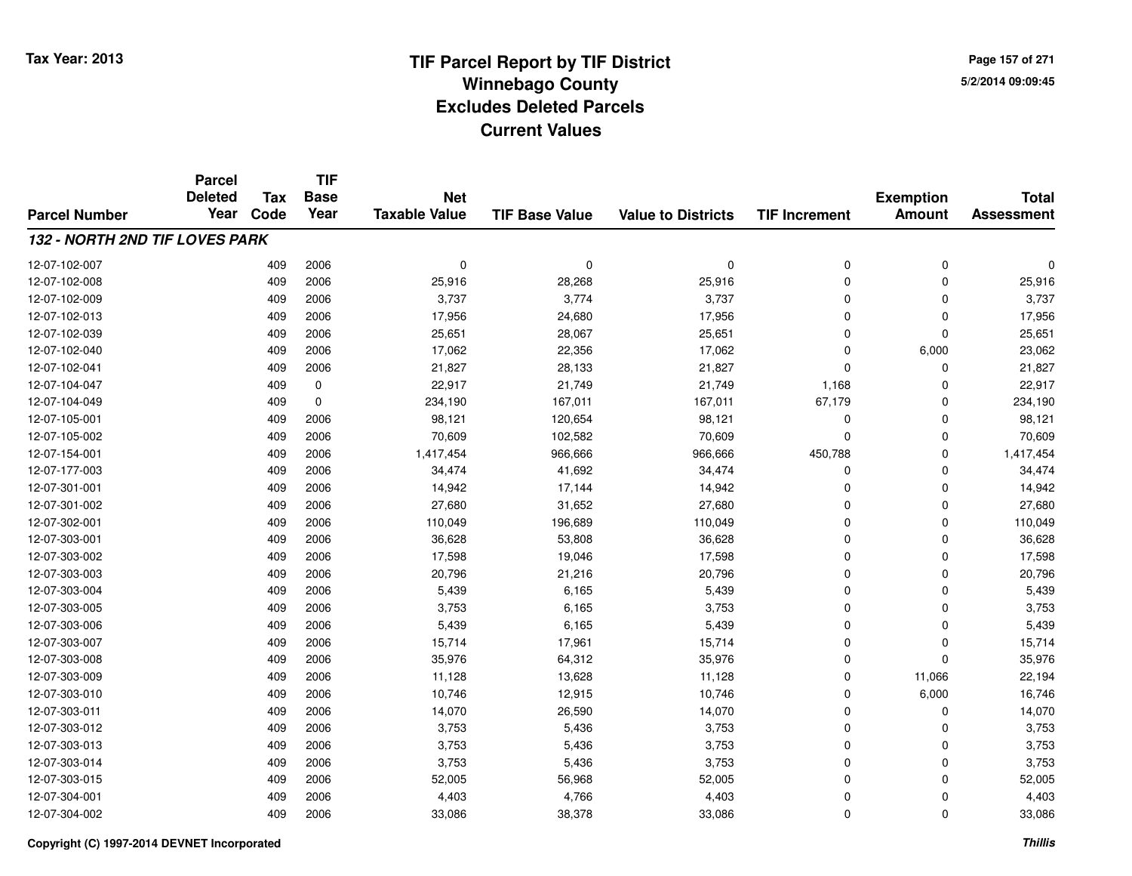**Page 157 of 2715/2/2014 09:09:45**

|                                       | <b>Parcel</b>          | <b>Tax</b> | <b>TIF</b><br><b>Base</b> | <b>Net</b>           |                       | <b>Exemption</b>          | <b>Total</b>         |               |                   |
|---------------------------------------|------------------------|------------|---------------------------|----------------------|-----------------------|---------------------------|----------------------|---------------|-------------------|
| <b>Parcel Number</b>                  | <b>Deleted</b><br>Year | Code       | Year                      | <b>Taxable Value</b> | <b>TIF Base Value</b> | <b>Value to Districts</b> | <b>TIF Increment</b> | <b>Amount</b> | <b>Assessment</b> |
| <b>132 - NORTH 2ND TIF LOVES PARK</b> |                        |            |                           |                      |                       |                           |                      |               |                   |
|                                       |                        |            |                           |                      |                       |                           |                      |               |                   |
| 12-07-102-007                         |                        | 409        | 2006                      | 0                    | 0                     | $\mathbf 0$               | 0                    | $\mathbf 0$   |                   |
| 12-07-102-008                         |                        | 409        | 2006                      | 25,916               | 28,268                | 25,916                    | $\Omega$             | $\mathbf 0$   | 25,916            |
| 12-07-102-009                         |                        | 409        | 2006                      | 3,737                | 3,774                 | 3,737                     | $\Omega$             | 0             | 3,737             |
| 12-07-102-013                         |                        | 409        | 2006                      | 17,956               | 24,680                | 17,956                    | $\Omega$             | $\mathbf 0$   | 17,956            |
| 12-07-102-039                         |                        | 409        | 2006                      | 25,651               | 28,067                | 25,651                    | $\Omega$             | $\mathbf 0$   | 25,651            |
| 12-07-102-040                         |                        | 409        | 2006                      | 17,062               | 22,356                | 17,062                    | $\Omega$             | 6,000         | 23,062            |
| 12-07-102-041                         |                        | 409        | 2006                      | 21,827               | 28,133                | 21,827                    | $\Omega$             | $\mathbf 0$   | 21,827            |
| 12-07-104-047                         |                        | 409        | 0                         | 22,917               | 21,749                | 21,749                    | 1,168                | 0             | 22,917            |
| 12-07-104-049                         |                        | 409        | 0                         | 234,190              | 167,011               | 167,011                   | 67,179               | 0             | 234,190           |
| 12-07-105-001                         |                        | 409        | 2006                      | 98,121               | 120,654               | 98,121                    | 0                    | 0             | 98,121            |
| 12-07-105-002                         |                        | 409        | 2006                      | 70,609               | 102,582               | 70,609                    | $\Omega$             | $\Omega$      | 70,609            |
| 12-07-154-001                         |                        | 409        | 2006                      | 1,417,454            | 966,666               | 966,666                   | 450,788              | 0             | 1,417,454         |
| 12-07-177-003                         |                        | 409        | 2006                      | 34,474               | 41,692                | 34,474                    | 0                    | 0             | 34,474            |
| 12-07-301-001                         |                        | 409        | 2006                      | 14,942               | 17,144                | 14,942                    | $\Omega$             | $\mathbf 0$   | 14,942            |
| 12-07-301-002                         |                        | 409        | 2006                      | 27,680               | 31,652                | 27,680                    | $\Omega$             | $\mathbf 0$   | 27,680            |
| 12-07-302-001                         |                        | 409        | 2006                      | 110,049              | 196,689               | 110,049                   | $\mathbf 0$          | $\mathbf 0$   | 110,049           |
| 12-07-303-001                         |                        | 409        | 2006                      | 36,628               | 53,808                | 36,628                    | $\Omega$             | 0             | 36,628            |
| 12-07-303-002                         |                        | 409        | 2006                      | 17,598               | 19,046                | 17,598                    | $\mathbf 0$          | $\mathbf 0$   | 17,598            |
| 12-07-303-003                         |                        | 409        | 2006                      | 20,796               | 21,216                | 20,796                    | 0                    | $\mathbf 0$   | 20,796            |
| 12-07-303-004                         |                        | 409        | 2006                      | 5,439                | 6,165                 | 5,439                     | $\mathbf 0$          | $\mathbf 0$   | 5,439             |
| 12-07-303-005                         |                        | 409        | 2006                      | 3,753                | 6,165                 | 3,753                     | $\mathbf 0$          | $\mathbf 0$   | 3,753             |
| 12-07-303-006                         |                        | 409        | 2006                      | 5,439                | 6,165                 | 5,439                     | $\mathbf 0$          | $\mathbf 0$   | 5,439             |
| 12-07-303-007                         |                        | 409        | 2006                      | 15,714               | 17,961                | 15,714                    | $\mathbf 0$          | $\mathbf 0$   | 15,714            |
| 12-07-303-008                         |                        | 409        | 2006                      | 35,976               | 64,312                | 35,976                    | $\Omega$             | $\mathbf 0$   | 35,976            |
| 12-07-303-009                         |                        | 409        | 2006                      | 11,128               | 13,628                | 11,128                    | $\mathbf 0$          | 11,066        | 22,194            |
| 12-07-303-010                         |                        | 409        | 2006                      | 10,746               | 12,915                | 10,746                    | $\mathbf 0$          | 6,000         | 16,746            |
| 12-07-303-011                         |                        | 409        | 2006                      | 14,070               | 26,590                | 14,070                    | $\mathbf 0$          | $\mathbf 0$   | 14,070            |
| 12-07-303-012                         |                        | 409        | 2006                      | 3,753                | 5,436                 | 3,753                     | $\mathbf 0$          | $\Omega$      | 3,753             |
| 12-07-303-013                         |                        | 409        | 2006                      | 3,753                | 5,436                 | 3,753                     | $\mathbf 0$          | $\Omega$      | 3,753             |
| 12-07-303-014                         |                        | 409        | 2006                      | 3,753                | 5,436                 | 3,753                     | $\mathbf 0$          | 0             | 3,753             |
| 12-07-303-015                         |                        | 409        | 2006                      | 52,005               | 56,968                | 52,005                    | $\Omega$             | $\mathbf 0$   | 52,005            |
| 12-07-304-001                         |                        | 409        | 2006                      | 4,403                | 4,766                 | 4,403                     | 0                    | $\mathbf 0$   | 4,403             |
| 12-07-304-002                         |                        | 409        | 2006                      | 33,086               | 38,378                | 33,086                    | $\Omega$             | $\mathbf 0$   | 33,086            |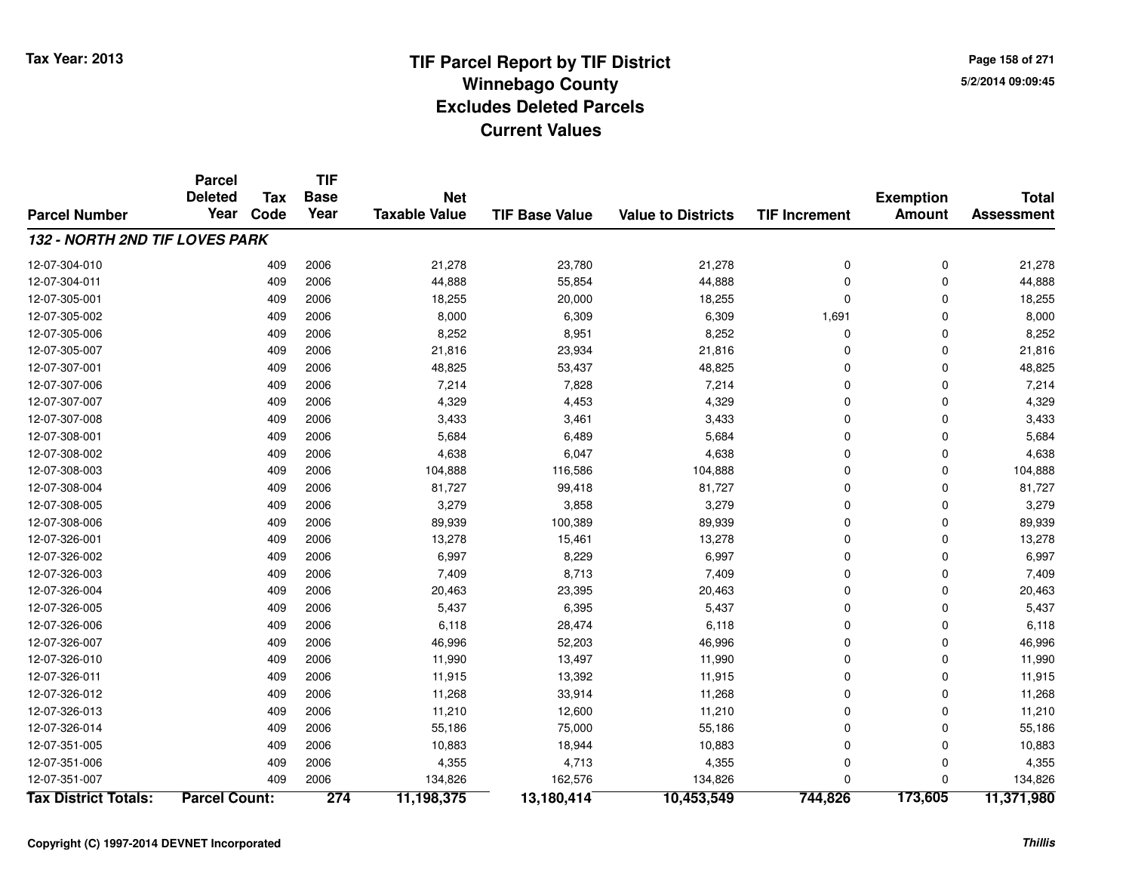**Page 158 of 2715/2/2014 09:09:45**

|                                | <b>Parcel</b>        |            | <b>TIF</b>  |                      |                       |                           |                      |                  |                   |
|--------------------------------|----------------------|------------|-------------|----------------------|-----------------------|---------------------------|----------------------|------------------|-------------------|
|                                | <b>Deleted</b>       | <b>Tax</b> | <b>Base</b> | <b>Net</b>           |                       |                           |                      | <b>Exemption</b> | <b>Total</b>      |
| <b>Parcel Number</b>           | Year                 | Code       | Year        | <b>Taxable Value</b> | <b>TIF Base Value</b> | <b>Value to Districts</b> | <b>TIF Increment</b> | <b>Amount</b>    | <b>Assessment</b> |
| 132 - NORTH 2ND TIF LOVES PARK |                      |            |             |                      |                       |                           |                      |                  |                   |
| 12-07-304-010                  |                      | 409        | 2006        | 21,278               | 23,780                | 21,278                    | 0                    | $\mathbf 0$      | 21,278            |
| 12-07-304-011                  |                      | 409        | 2006        | 44,888               | 55,854                | 44,888                    | 0                    | $\mathbf 0$      | 44,888            |
| 12-07-305-001                  |                      | 409        | 2006        | 18,255               | 20,000                | 18,255                    | 0                    | $\Omega$         | 18,255            |
| 12-07-305-002                  |                      | 409        | 2006        | 8,000                | 6,309                 | 6,309                     | 1,691                | $\Omega$         | 8,000             |
| 12-07-305-006                  |                      | 409        | 2006        | 8,252                | 8,951                 | 8,252                     | 0                    | $\Omega$         | 8,252             |
| 12-07-305-007                  |                      | 409        | 2006        | 21,816               | 23,934                | 21,816                    | 0                    | $\Omega$         | 21,816            |
| 12-07-307-001                  |                      | 409        | 2006        | 48,825               | 53,437                | 48,825                    | 0                    | $\Omega$         | 48,825            |
| 12-07-307-006                  |                      | 409        | 2006        | 7,214                | 7,828                 | 7,214                     | 0                    | $\mathbf 0$      | 7,214             |
| 12-07-307-007                  |                      | 409        | 2006        | 4,329                | 4,453                 | 4,329                     | 0                    | $\mathbf 0$      | 4,329             |
| 12-07-307-008                  |                      | 409        | 2006        | 3,433                | 3,461                 | 3,433                     | 0                    | $\Omega$         | 3,433             |
| 12-07-308-001                  |                      | 409        | 2006        | 5,684                | 6,489                 | 5,684                     | 0                    | $\Omega$         | 5,684             |
| 12-07-308-002                  |                      | 409        | 2006        | 4,638                | 6,047                 | 4,638                     | 0                    | $\mathbf 0$      | 4,638             |
| 12-07-308-003                  |                      | 409        | 2006        | 104,888              | 116,586               | 104,888                   | 0                    | $\mathbf 0$      | 104,888           |
| 12-07-308-004                  |                      | 409        | 2006        | 81,727               | 99,418                | 81,727                    | 0                    | $\Omega$         | 81,727            |
| 12-07-308-005                  |                      | 409        | 2006        | 3,279                | 3,858                 | 3,279                     | 0                    | $\mathbf 0$      | 3,279             |
| 12-07-308-006                  |                      | 409        | 2006        | 89,939               | 100,389               | 89,939                    | 0                    | $\mathbf 0$      | 89,939            |
| 12-07-326-001                  |                      | 409        | 2006        | 13,278               | 15,461                | 13,278                    | 0                    | $\mathbf 0$      | 13,278            |
| 12-07-326-002                  |                      | 409        | 2006        | 6,997                | 8,229                 | 6,997                     | 0                    | 0                | 6,997             |
| 12-07-326-003                  |                      | 409        | 2006        | 7,409                | 8,713                 | 7,409                     | 0                    | $\Omega$         | 7,409             |
| 12-07-326-004                  |                      | 409        | 2006        | 20,463               | 23,395                | 20,463                    | 0                    | $\Omega$         | 20,463            |
| 12-07-326-005                  |                      | 409        | 2006        | 5,437                | 6,395                 | 5,437                     | 0                    | $\mathbf 0$      | 5,437             |
| 12-07-326-006                  |                      | 409        | 2006        | 6,118                | 28,474                | 6,118                     | 0                    | 0                | 6,118             |
| 12-07-326-007                  |                      | 409        | 2006        | 46,996               | 52,203                | 46,996                    | 0                    | 0                | 46,996            |
| 12-07-326-010                  |                      | 409        | 2006        | 11,990               | 13,497                | 11,990                    | 0                    | $\Omega$         | 11,990            |
| 12-07-326-011                  |                      | 409        | 2006        | 11,915               | 13,392                | 11,915                    | 0                    | $\Omega$         | 11,915            |
| 12-07-326-012                  |                      | 409        | 2006        | 11,268               | 33,914                | 11,268                    | 0                    | $\Omega$         | 11,268            |
| 12-07-326-013                  |                      | 409        | 2006        | 11,210               | 12,600                | 11,210                    | 0                    | $\Omega$         | 11,210            |
| 12-07-326-014                  |                      | 409        | 2006        | 55,186               | 75,000                | 55,186                    | 0                    | $\Omega$         | 55,186            |
| 12-07-351-005                  |                      | 409        | 2006        | 10,883               | 18,944                | 10,883                    | 0                    | $\Omega$         | 10,883            |
| 12-07-351-006                  |                      | 409        | 2006        | 4,355                | 4,713                 | 4,355                     | 0                    | 0                | 4,355             |
| 12-07-351-007                  |                      | 409        | 2006        | 134,826              | 162,576               | 134,826                   | 0                    | $\Omega$         | 134,826           |
| <b>Tax District Totals:</b>    | <b>Parcel Count:</b> |            | 274         | 11,198,375           | 13,180,414            | 10,453,549                | 744,826              | 173,605          | 11,371,980        |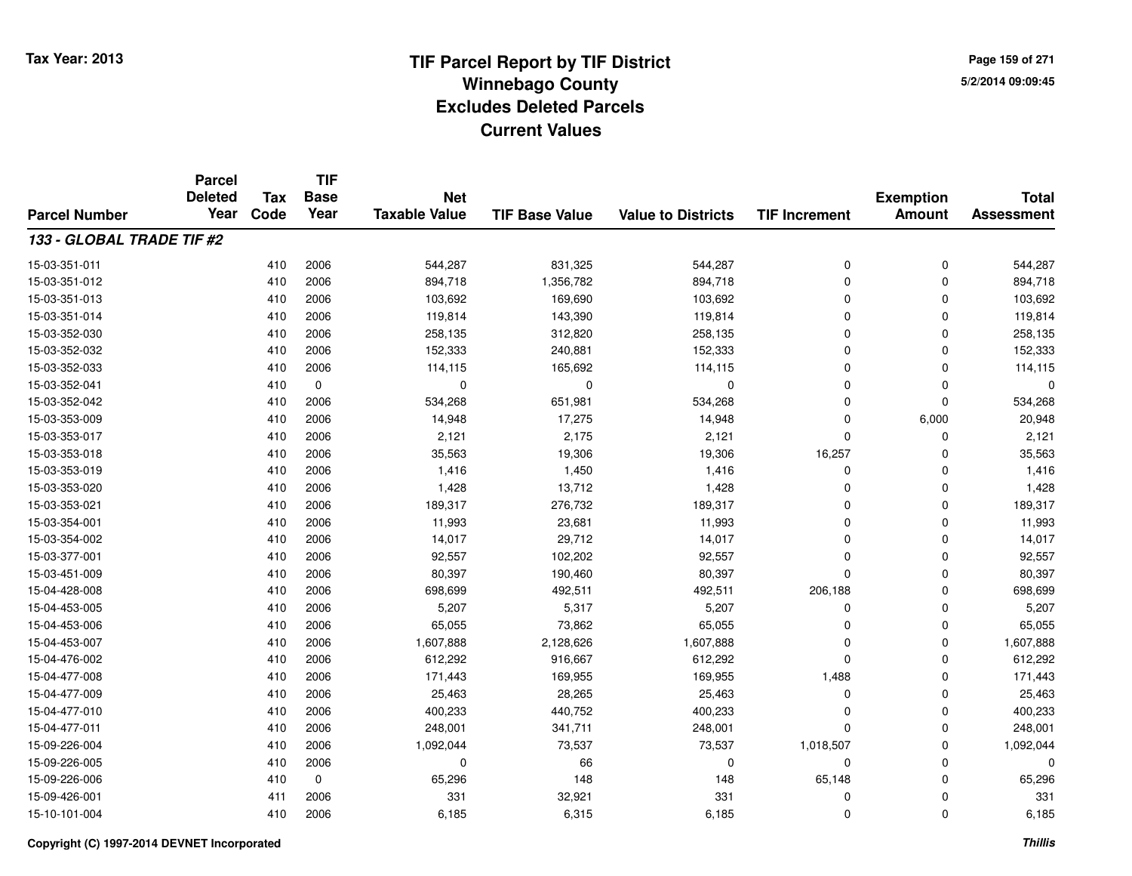**Page 159 of 2715/2/2014 09:09:45**

|                           | <b>Parcel</b><br><b>Deleted</b> | <b>Tax</b> | <b>TIF</b><br><b>Base</b> | <b>Net</b>           |                       |                           |                      | <b>Exemption</b> | <b>Total</b>      |
|---------------------------|---------------------------------|------------|---------------------------|----------------------|-----------------------|---------------------------|----------------------|------------------|-------------------|
| <b>Parcel Number</b>      | Year                            | Code       | Year                      | <b>Taxable Value</b> | <b>TIF Base Value</b> | <b>Value to Districts</b> | <b>TIF Increment</b> | <b>Amount</b>    | <b>Assessment</b> |
| 133 - GLOBAL TRADE TIF #2 |                                 |            |                           |                      |                       |                           |                      |                  |                   |
| 15-03-351-011             |                                 | 410        | 2006                      | 544,287              | 831,325               | 544,287                   | 0                    | $\mathbf 0$      | 544,287           |
| 15-03-351-012             |                                 | 410        | 2006                      | 894,718              | 1,356,782             | 894,718                   | $\Omega$             | $\Omega$         | 894,718           |
| 15-03-351-013             |                                 | 410        | 2006                      | 103,692              | 169,690               | 103,692                   | $\Omega$             | 0                | 103,692           |
| 15-03-351-014             |                                 | 410        | 2006                      | 119,814              | 143,390               | 119,814                   | $\Omega$             | $\Omega$         | 119,814           |
| 15-03-352-030             |                                 | 410        | 2006                      | 258,135              | 312,820               | 258,135                   | $\Omega$             | 0                | 258,135           |
| 15-03-352-032             |                                 | 410        | 2006                      | 152,333              | 240,881               | 152,333                   | $\Omega$             | $\Omega$         | 152,333           |
| 15-03-352-033             |                                 | 410        | 2006                      | 114,115              | 165,692               | 114,115                   | $\Omega$             | $\Omega$         | 114,115           |
| 15-03-352-041             |                                 | 410        | $\mathbf 0$               | $\mathbf 0$          | $\mathbf 0$           | $\mathbf 0$               | $\Omega$             | $\Omega$         | O                 |
| 15-03-352-042             |                                 | 410        | 2006                      | 534,268              | 651,981               | 534,268                   | $\Omega$             | $\mathbf 0$      | 534,268           |
| 15-03-353-009             |                                 | 410        | 2006                      | 14,948               | 17,275                | 14,948                    | $\Omega$             | 6,000            | 20,948            |
| 15-03-353-017             |                                 | 410        | 2006                      | 2,121                | 2,175                 | 2,121                     | $\Omega$             | $\Omega$         | 2,121             |
| 15-03-353-018             |                                 | 410        | 2006                      | 35,563               | 19,306                | 19,306                    | 16,257               | 0                | 35,563            |
| 15-03-353-019             |                                 | 410        | 2006                      | 1,416                | 1,450                 | 1,416                     | $\mathbf 0$          | $\Omega$         | 1,416             |
| 15-03-353-020             |                                 | 410        | 2006                      | 1,428                | 13,712                | 1,428                     | $\Omega$             | 0                | 1,428             |
| 15-03-353-021             |                                 | 410        | 2006                      | 189,317              | 276,732               | 189,317                   | $\Omega$             | $\mathbf 0$      | 189,317           |
| 15-03-354-001             |                                 | 410        | 2006                      | 11,993               | 23,681                | 11,993                    | $\Omega$             | 0                | 11,993            |
| 15-03-354-002             |                                 | 410        | 2006                      | 14,017               | 29,712                | 14,017                    | $\Omega$             | $\Omega$         | 14,017            |
| 15-03-377-001             |                                 | 410        | 2006                      | 92,557               | 102,202               | 92,557                    | $\mathbf 0$          | 0                | 92,557            |
| 15-03-451-009             |                                 | 410        | 2006                      | 80,397               | 190,460               | 80,397                    | $\Omega$             | 0                | 80,397            |
| 15-04-428-008             |                                 | 410        | 2006                      | 698,699              | 492,511               | 492,511                   | 206,188              | $\mathbf 0$      | 698,699           |
| 15-04-453-005             |                                 | 410        | 2006                      | 5,207                | 5,317                 | 5,207                     | $\mathbf 0$          | 0                | 5,207             |
| 15-04-453-006             |                                 | 410        | 2006                      | 65,055               | 73,862                | 65,055                    | $\Omega$             | $\mathbf 0$      | 65,055            |
| 15-04-453-007             |                                 | 410        | 2006                      | 1,607,888            | 2,128,626             | 1,607,888                 | $\mathbf 0$          | $\mathbf 0$      | 1,607,888         |
| 15-04-476-002             |                                 | 410        | 2006                      | 612,292              | 916,667               | 612,292                   | $\Omega$             | $\mathbf 0$      | 612,292           |
| 15-04-477-008             |                                 | 410        | 2006                      | 171,443              | 169,955               | 169,955                   | 1,488                | $\mathbf 0$      | 171,443           |
| 15-04-477-009             |                                 | 410        | 2006                      | 25,463               | 28,265                | 25,463                    | $\mathbf 0$          | 0                | 25,463            |
| 15-04-477-010             |                                 | 410        | 2006                      | 400,233              | 440,752               | 400,233                   | $\mathbf 0$          | $\mathbf 0$      | 400,233           |
| 15-04-477-011             |                                 | 410        | 2006                      | 248,001              | 341,711               | 248,001                   | $\Omega$             | $\Omega$         | 248,001           |
| 15-09-226-004             |                                 | 410        | 2006                      | 1,092,044            | 73,537                | 73,537                    | 1,018,507            | 0                | 1,092,044         |
| 15-09-226-005             |                                 | 410        | 2006                      | 0                    | 66                    | 0                         | $\mathbf 0$          | 0                |                   |
| 15-09-226-006             |                                 | 410        | $\mathbf 0$               | 65,296               | 148                   | 148                       | 65,148               | 0                | 65,296            |
| 15-09-426-001             |                                 | 411        | 2006                      | 331                  | 32,921                | 331                       | 0                    | $\Omega$         | 331               |
| 15-10-101-004             |                                 | 410        | 2006                      | 6,185                | 6,315                 | 6,185                     | $\Omega$             | $\mathbf 0$      | 6,185             |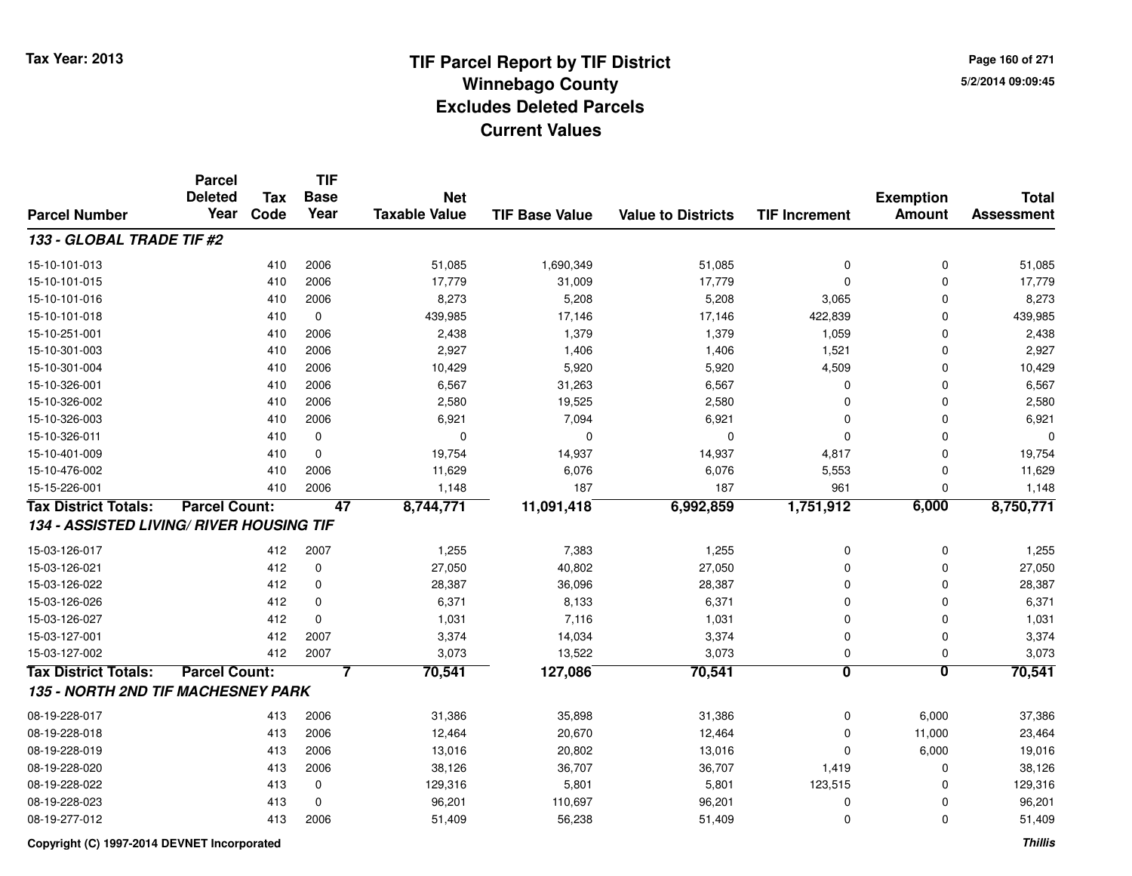**Page 160 of 2715/2/2014 09:09:45**

|                                                 | <b>Parcel</b><br><b>Deleted</b> | Tax  | <b>TIF</b><br><b>Base</b> | <b>Net</b>           |                       |                           |                         | <b>Exemption</b>        | <b>Total</b>      |
|-------------------------------------------------|---------------------------------|------|---------------------------|----------------------|-----------------------|---------------------------|-------------------------|-------------------------|-------------------|
| <b>Parcel Number</b>                            | Year                            | Code | Year                      | <b>Taxable Value</b> | <b>TIF Base Value</b> | <b>Value to Districts</b> | <b>TIF Increment</b>    | <b>Amount</b>           | <b>Assessment</b> |
| 133 - GLOBAL TRADE TIF #2                       |                                 |      |                           |                      |                       |                           |                         |                         |                   |
| 15-10-101-013                                   |                                 | 410  | 2006                      | 51,085               | 1,690,349             | 51,085                    | 0                       | $\mathbf 0$             | 51,085            |
| 15-10-101-015                                   |                                 | 410  | 2006                      | 17,779               | 31,009                | 17,779                    | $\mathbf 0$             | $\Omega$                | 17,779            |
| 15-10-101-016                                   |                                 | 410  | 2006                      | 8,273                | 5,208                 | 5,208                     | 3,065                   | $\Omega$                | 8,273             |
| 15-10-101-018                                   |                                 | 410  | $\mathbf 0$               | 439,985              | 17,146                | 17,146                    | 422,839                 | $\Omega$                | 439,985           |
| 15-10-251-001                                   |                                 | 410  | 2006                      | 2,438                | 1,379                 | 1,379                     | 1,059                   | $\Omega$                | 2,438             |
| 15-10-301-003                                   |                                 | 410  | 2006                      | 2,927                | 1,406                 | 1,406                     | 1,521                   | $\Omega$                | 2,927             |
| 15-10-301-004                                   |                                 | 410  | 2006                      | 10,429               | 5,920                 | 5,920                     | 4,509                   | $\Omega$                | 10,429            |
| 15-10-326-001                                   |                                 | 410  | 2006                      | 6,567                | 31,263                | 6,567                     | 0                       | $\Omega$                | 6,567             |
| 15-10-326-002                                   |                                 | 410  | 2006                      | 2,580                | 19,525                | 2,580                     | 0                       | $\Omega$                | 2,580             |
| 15-10-326-003                                   |                                 | 410  | 2006                      | 6,921                | 7,094                 | 6,921                     | 0                       | $\Omega$                | 6,921             |
| 15-10-326-011                                   |                                 | 410  | $\mathbf 0$               | $\Omega$             | 0                     | 0                         | $\mathbf 0$             | $\Omega$                | $\Omega$          |
| 15-10-401-009                                   |                                 | 410  | $\mathbf 0$               | 19,754               | 14,937                | 14,937                    | 4,817                   | $\mathbf 0$             | 19,754            |
| 15-10-476-002                                   |                                 | 410  | 2006                      | 11,629               | 6,076                 | 6,076                     | 5,553                   | 0                       | 11,629            |
| 15-15-226-001                                   |                                 | 410  | 2006                      | 1,148                | 187                   | 187                       | 961                     | 0                       | 1,148             |
| <b>Tax District Totals:</b>                     | <b>Parcel Count:</b>            |      | 47                        | 8,744,771            | 11,091,418            | 6,992,859                 | 1,751,912               | 6,000                   | 8,750,771         |
| <b>134 - ASSISTED LIVING/ RIVER HOUSING TIF</b> |                                 |      |                           |                      |                       |                           |                         |                         |                   |
| 15-03-126-017                                   |                                 | 412  | 2007                      | 1,255                | 7,383                 | 1,255                     | 0                       | $\mathbf 0$             | 1,255             |
| 15-03-126-021                                   |                                 | 412  | $\mathbf 0$               | 27,050               | 40,802                | 27,050                    | 0                       | $\mathbf 0$             | 27,050            |
| 15-03-126-022                                   |                                 | 412  | $\mathbf 0$               | 28,387               | 36,096                | 28,387                    | 0                       | $\Omega$                | 28,387            |
| 15-03-126-026                                   |                                 | 412  | $\mathbf 0$               | 6,371                | 8,133                 | 6,371                     | 0                       | $\Omega$                | 6,371             |
| 15-03-126-027                                   |                                 | 412  | $\mathbf 0$               | 1,031                | 7,116                 | 1,031                     | 0                       | $\overline{0}$          | 1,031             |
| 15-03-127-001                                   |                                 | 412  | 2007                      | 3,374                | 14,034                | 3,374                     | $\mathbf 0$             | $\overline{0}$          | 3,374             |
| 15-03-127-002                                   |                                 | 412  | 2007                      | 3,073                | 13,522                | 3,073                     | 0                       | $\mathbf 0$             | 3,073             |
| <b>Tax District Totals:</b>                     | <b>Parcel Count:</b>            |      | 7                         | 70,541               | 127,086               | 70,541                    | $\overline{\mathbf{0}}$ | $\overline{\mathbf{0}}$ | 70,541            |
| 135 - NORTH 2ND TIF MACHESNEY PARK              |                                 |      |                           |                      |                       |                           |                         |                         |                   |
| 08-19-228-017                                   |                                 | 413  | 2006                      | 31,386               | 35,898                | 31,386                    | 0                       | 6,000                   | 37,386            |
| 08-19-228-018                                   |                                 | 413  | 2006                      | 12,464               | 20,670                | 12,464                    | 0                       | 11,000                  | 23,464            |
| 08-19-228-019                                   |                                 | 413  | 2006                      | 13,016               | 20,802                | 13,016                    | 0                       | 6,000                   | 19,016            |
| 08-19-228-020                                   |                                 | 413  | 2006                      | 38,126               | 36,707                | 36,707                    | 1,419                   | $\mathbf 0$             | 38,126            |
| 08-19-228-022                                   |                                 | 413  | $\mathbf 0$               | 129,316              | 5,801                 | 5,801                     | 123,515                 | $\mathbf 0$             | 129,316           |
| 08-19-228-023                                   |                                 | 413  | $\Omega$                  | 96,201               | 110,697               | 96,201                    | 0                       | $\Omega$                | 96,201            |
| 08-19-277-012                                   |                                 | 413  | 2006                      | 51,409               | 56,238                | 51,409                    | $\mathbf 0$             | $\Omega$                | 51,409            |

**Copyright (C) 1997-2014 DEVNET Incorporated**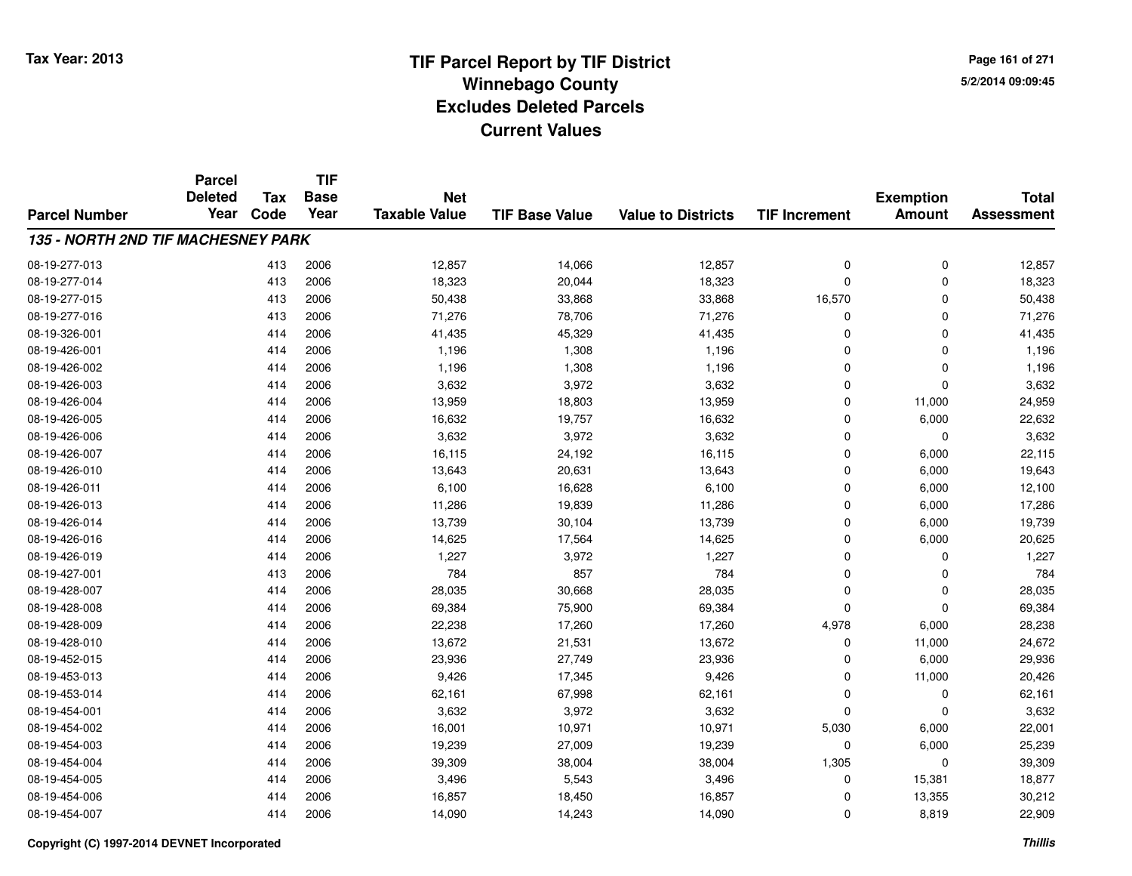**Page 161 of 2715/2/2014 09:09:45**

|                                    | <b>Parcel</b><br><b>Deleted</b> | <b>Tax</b> | <b>TIF</b><br><b>Base</b> | <b>Net</b>           |                       |                           |                      | <b>Exemption</b> | <b>Total</b>      |
|------------------------------------|---------------------------------|------------|---------------------------|----------------------|-----------------------|---------------------------|----------------------|------------------|-------------------|
| <b>Parcel Number</b>               | Year                            | Code       | Year                      | <b>Taxable Value</b> | <b>TIF Base Value</b> | <b>Value to Districts</b> | <b>TIF Increment</b> | <b>Amount</b>    | <b>Assessment</b> |
| 135 - NORTH 2ND TIF MACHESNEY PARK |                                 |            |                           |                      |                       |                           |                      |                  |                   |
| 08-19-277-013                      |                                 | 413        | 2006                      | 12,857               | 14,066                | 12,857                    | $\mathbf 0$          | $\mathbf 0$      | 12,857            |
| 08-19-277-014                      |                                 | 413        | 2006                      | 18,323               | 20,044                | 18,323                    | $\Omega$             | $\mathbf 0$      | 18,323            |
| 08-19-277-015                      |                                 | 413        | 2006                      | 50,438               | 33,868                | 33,868                    | 16,570               | $\mathbf{0}$     | 50,438            |
| 08-19-277-016                      |                                 | 413        | 2006                      | 71,276               | 78,706                | 71,276                    | 0                    | 0                | 71,276            |
| 08-19-326-001                      |                                 | 414        | 2006                      | 41,435               | 45,329                | 41,435                    | $\Omega$             | $\mathbf{0}$     | 41,435            |
| 08-19-426-001                      |                                 | 414        | 2006                      | 1,196                | 1,308                 | 1,196                     | $\Omega$             | 0                | 1,196             |
| 08-19-426-002                      |                                 | 414        | 2006                      | 1,196                | 1,308                 | 1,196                     | $\Omega$             | $\mathbf{0}$     | 1,196             |
| 08-19-426-003                      |                                 | 414        | 2006                      | 3,632                | 3,972                 | 3,632                     | $\Omega$             | $\mathbf{0}$     | 3,632             |
| 08-19-426-004                      |                                 | 414        | 2006                      | 13,959               | 18,803                | 13,959                    | $\Omega$             | 11,000           | 24,959            |
| 08-19-426-005                      |                                 | 414        | 2006                      | 16,632               | 19,757                | 16,632                    | $\Omega$             | 6,000            | 22,632            |
| 08-19-426-006                      |                                 | 414        | 2006                      | 3,632                | 3,972                 | 3,632                     | $\Omega$             | $\mathbf{0}$     | 3,632             |
| 08-19-426-007                      |                                 | 414        | 2006                      | 16,115               | 24,192                | 16,115                    | $\Omega$             | 6,000            | 22,115            |
| 08-19-426-010                      |                                 | 414        | 2006                      | 13,643               | 20,631                | 13,643                    | $\Omega$             | 6,000            | 19,643            |
| 08-19-426-011                      |                                 | 414        | 2006                      | 6,100                | 16,628                | 6,100                     | $\Omega$             | 6,000            | 12,100            |
| 08-19-426-013                      |                                 | 414        | 2006                      | 11,286               | 19,839                | 11,286                    | $\Omega$             | 6,000            | 17,286            |
| 08-19-426-014                      |                                 | 414        | 2006                      | 13,739               | 30,104                | 13,739                    | $\mathbf 0$          | 6,000            | 19,739            |
| 08-19-426-016                      |                                 | 414        | 2006                      | 14,625               | 17,564                | 14,625                    | $\Omega$             | 6,000            | 20,625            |
| 08-19-426-019                      |                                 | 414        | 2006                      | 1,227                | 3,972                 | 1,227                     | $\mathbf 0$          | 0                | 1,227             |
| 08-19-427-001                      |                                 | 413        | 2006                      | 784                  | 857                   | 784                       | $\Omega$             | 0                | 784               |
| 08-19-428-007                      |                                 | 414        | 2006                      | 28,035               | 30,668                | 28,035                    | 0                    | $\mathbf 0$      | 28,035            |
| 08-19-428-008                      |                                 | 414        | 2006                      | 69,384               | 75,900                | 69,384                    | $\Omega$             | $\mathbf 0$      | 69,384            |
| 08-19-428-009                      |                                 | 414        | 2006                      | 22,238               | 17,260                | 17,260                    | 4,978                | 6,000            | 28,238            |
| 08-19-428-010                      |                                 | 414        | 2006                      | 13,672               | 21,531                | 13,672                    | $\mathbf 0$          | 11,000           | 24,672            |
| 08-19-452-015                      |                                 | 414        | 2006                      | 23,936               | 27,749                | 23,936                    | $\mathbf 0$          | 6,000            | 29,936            |
| 08-19-453-013                      |                                 | 414        | 2006                      | 9,426                | 17,345                | 9,426                     | $\mathbf 0$          | 11,000           | 20,426            |
| 08-19-453-014                      |                                 | 414        | 2006                      | 62,161               | 67,998                | 62,161                    | $\mathbf 0$          | 0                | 62,161            |
| 08-19-454-001                      |                                 | 414        | 2006                      | 3,632                | 3,972                 | 3,632                     | $\Omega$             | $\mathbf 0$      | 3,632             |
| 08-19-454-002                      |                                 | 414        | 2006                      | 16,001               | 10,971                | 10,971                    | 5,030                | 6,000            | 22,001            |
| 08-19-454-003                      |                                 | 414        | 2006                      | 19,239               | 27,009                | 19,239                    | $\Omega$             | 6,000            | 25,239            |
| 08-19-454-004                      |                                 | 414        | 2006                      | 39,309               | 38,004                | 38,004                    | 1,305                | $\mathbf 0$      | 39,309            |
| 08-19-454-005                      |                                 | 414        | 2006                      | 3,496                | 5,543                 | 3,496                     | 0                    | 15,381           | 18,877            |
| 08-19-454-006                      |                                 | 414        | 2006                      | 16,857               | 18,450                | 16,857                    | 0                    | 13,355           | 30,212            |
| 08-19-454-007                      |                                 | 414        | 2006                      | 14,090               | 14,243                | 14,090                    | $\Omega$             | 8,819            | 22,909            |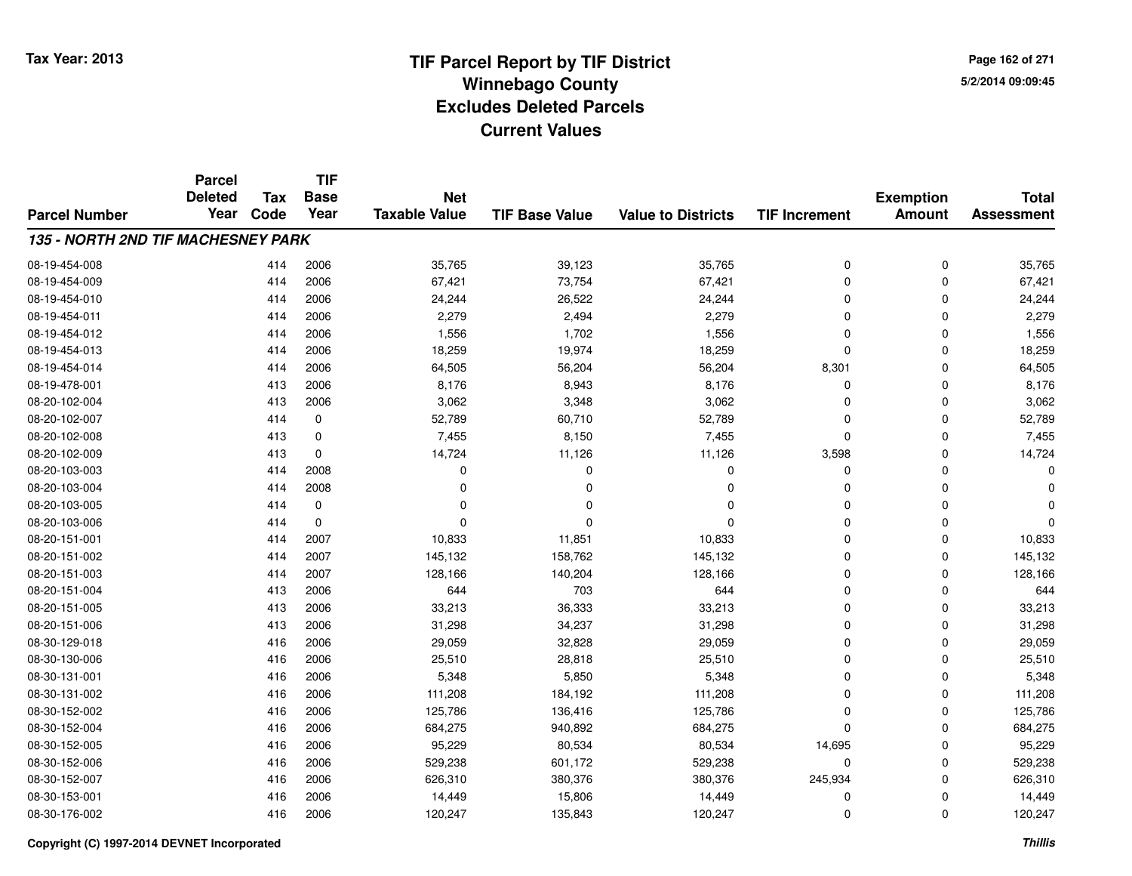**Page 162 of 2715/2/2014 09:09:45**

|                                    | <b>Parcel</b><br><b>Deleted</b> | <b>Tax</b> | <b>TIF</b><br><b>Base</b> | <b>Net</b>           |                       |                           |                      | <b>Exemption</b> | <b>Total</b>      |
|------------------------------------|---------------------------------|------------|---------------------------|----------------------|-----------------------|---------------------------|----------------------|------------------|-------------------|
| <b>Parcel Number</b>               | Year                            | Code       | Year                      | <b>Taxable Value</b> | <b>TIF Base Value</b> | <b>Value to Districts</b> | <b>TIF Increment</b> | <b>Amount</b>    | <b>Assessment</b> |
| 135 - NORTH 2ND TIF MACHESNEY PARK |                                 |            |                           |                      |                       |                           |                      |                  |                   |
| 08-19-454-008                      |                                 | 414        | 2006                      | 35,765               | 39,123                | 35,765                    | 0                    | 0                | 35,765            |
| 08-19-454-009                      |                                 | 414        | 2006                      | 67,421               | 73,754                | 67,421                    | 0                    | $\mathbf 0$      | 67,421            |
| 08-19-454-010                      |                                 | 414        | 2006                      | 24,244               | 26,522                | 24,244                    | $\mathbf 0$          | $\Omega$         | 24,244            |
| 08-19-454-011                      |                                 | 414        | 2006                      | 2,279                | 2,494                 | 2,279                     | 0                    | $\Omega$         | 2,279             |
| 08-19-454-012                      |                                 | 414        | 2006                      | 1,556                | 1,702                 | 1,556                     | 0                    | $\Omega$         | 1,556             |
| 08-19-454-013                      |                                 | 414        | 2006                      | 18,259               | 19,974                | 18,259                    | $\mathbf 0$          | 0                | 18,259            |
| 08-19-454-014                      |                                 | 414        | 2006                      | 64,505               | 56,204                | 56,204                    | 8,301                | $\Omega$         | 64,505            |
| 08-19-478-001                      |                                 | 413        | 2006                      | 8,176                | 8,943                 | 8,176                     | 0                    | $\Omega$         | 8,176             |
| 08-20-102-004                      |                                 | 413        | 2006                      | 3,062                | 3,348                 | 3,062                     | $\mathbf 0$          | $\Omega$         | 3,062             |
| 08-20-102-007                      |                                 | 414        | 0                         | 52,789               | 60,710                | 52,789                    | $\mathbf 0$          | $\Omega$         | 52,789            |
| 08-20-102-008                      |                                 | 413        | $\mathbf 0$               | 7,455                | 8,150                 | 7,455                     | 0                    | $\Omega$         | 7,455             |
| 08-20-102-009                      |                                 | 413        | 0                         | 14,724               | 11,126                | 11,126                    | 3,598                | $\Omega$         | 14,724            |
| 08-20-103-003                      |                                 | 414        | 2008                      | $\Omega$             | $\Omega$              | $\Omega$                  | $\mathbf 0$          | $\Omega$         | ŋ                 |
| 08-20-103-004                      |                                 | 414        | 2008                      | $\Omega$             | $\Omega$              | 0                         | 0                    | $\Omega$         |                   |
| 08-20-103-005                      |                                 | 414        | $\mathbf 0$               | O                    | n                     | $\Omega$                  | 0                    | $\Omega$         |                   |
| 08-20-103-006                      |                                 | 414        | 0                         | 0                    |                       | $\Omega$                  | 0                    | 0                | ŋ                 |
| 08-20-151-001                      |                                 | 414        | 2007                      | 10,833               | 11,851                | 10,833                    | $\mathbf 0$          | $\Omega$         | 10,833            |
| 08-20-151-002                      |                                 | 414        | 2007                      | 145,132              | 158,762               | 145,132                   | 0                    | 0                | 145,132           |
| 08-20-151-003                      |                                 | 414        | 2007                      | 128,166              | 140,204               | 128,166                   | $\mathbf 0$          | $\Omega$         | 128,166           |
| 08-20-151-004                      |                                 | 413        | 2006                      | 644                  | 703                   | 644                       | 0                    | 0                | 644               |
| 08-20-151-005                      |                                 | 413        | 2006                      | 33,213               | 36,333                | 33,213                    | 0                    | 0                | 33,213            |
| 08-20-151-006                      |                                 | 413        | 2006                      | 31,298               | 34,237                | 31,298                    | 0                    | 0                | 31,298            |
| 08-30-129-018                      |                                 | 416        | 2006                      | 29,059               | 32,828                | 29,059                    | 0                    | $\mathbf 0$      | 29,059            |
| 08-30-130-006                      |                                 | 416        | 2006                      | 25,510               | 28,818                | 25,510                    | 0                    | $\mathbf 0$      | 25,510            |
| 08-30-131-001                      |                                 | 416        | 2006                      | 5,348                | 5,850                 | 5,348                     | $\overline{0}$       | $\Omega$         | 5,348             |
| 08-30-131-002                      |                                 | 416        | 2006                      | 111,208              | 184,192               | 111,208                   | 0                    | $\mathbf 0$      | 111,208           |
| 08-30-152-002                      |                                 | 416        | 2006                      | 125,786              | 136,416               | 125,786                   | 0                    | $\Omega$         | 125,786           |
| 08-30-152-004                      |                                 | 416        | 2006                      | 684,275              | 940,892               | 684,275                   | $\mathbf 0$          | 0                | 684,275           |
| 08-30-152-005                      |                                 | 416        | 2006                      | 95,229               | 80,534                | 80,534                    | 14,695               | 0                | 95,229            |
| 08-30-152-006                      |                                 | 416        | 2006                      | 529,238              | 601,172               | 529,238                   | 0                    | 0                | 529,238           |
| 08-30-152-007                      |                                 | 416        | 2006                      | 626,310              | 380,376               | 380,376                   | 245,934              | $\Omega$         | 626,310           |
| 08-30-153-001                      |                                 | 416        | 2006                      | 14,449               | 15,806                | 14,449                    | 0                    | 0                | 14,449            |
| 08-30-176-002                      |                                 | 416        | 2006                      | 120,247              | 135,843               | 120,247                   | 0                    | $\Omega$         | 120,247           |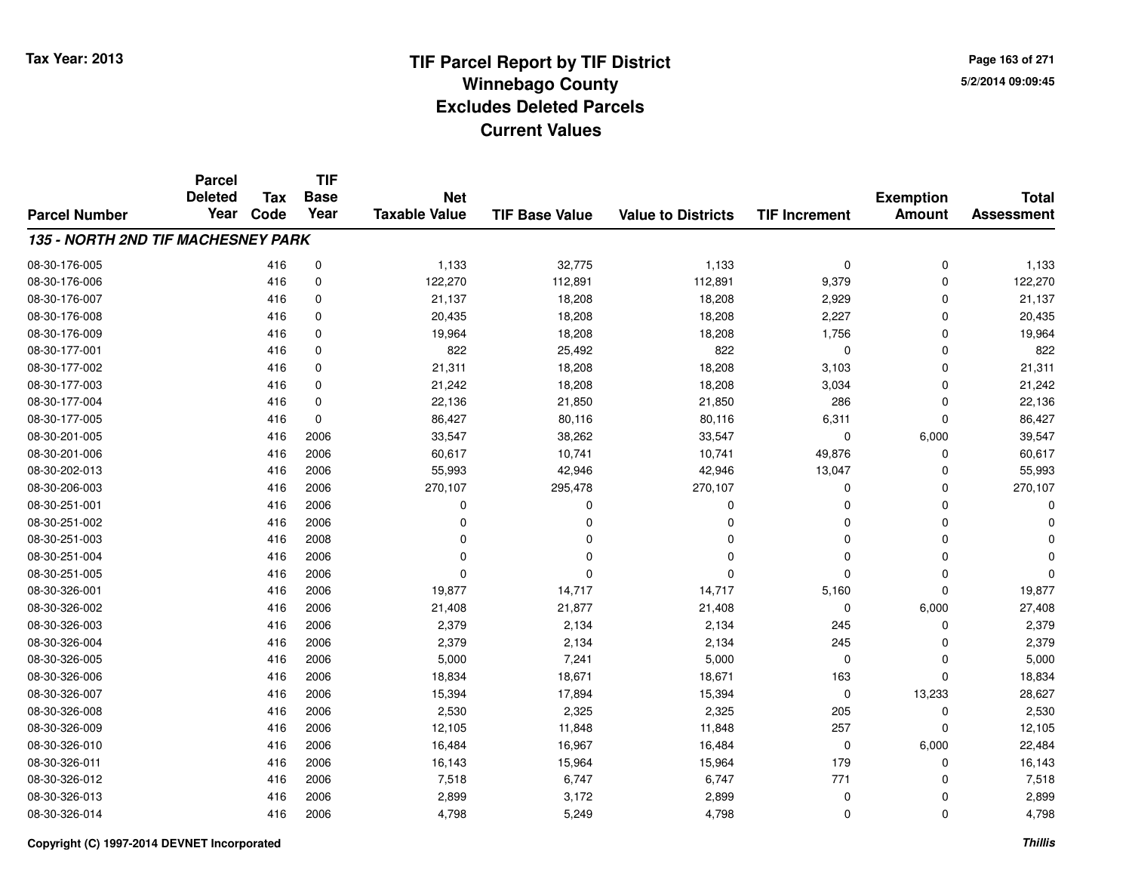**TIF**

**Parcel**

**Page 163 of 2715/2/2014 09:09:45**

| <b>Parcel Number</b>               | <b>Deleted</b><br>Year | Tax<br>Code | <b>Base</b><br>Year | <b>Net</b><br><b>Taxable Value</b> | <b>TIF Base Value</b> | <b>Value to Districts</b> | <b>TIF Increment</b> | <b>Exemption</b><br><b>Amount</b> | <b>Total</b><br><b>Assessment</b> |
|------------------------------------|------------------------|-------------|---------------------|------------------------------------|-----------------------|---------------------------|----------------------|-----------------------------------|-----------------------------------|
| 135 - NORTH 2ND TIF MACHESNEY PARK |                        |             |                     |                                    |                       |                           |                      |                                   |                                   |
| 08-30-176-005                      |                        | 416         | 0                   | 1,133                              | 32,775                | 1,133                     | 0                    | $\mathbf 0$                       | 1,133                             |
| 08-30-176-006                      |                        | 416         | 0                   | 122,270                            | 112,891               | 112,891                   | 9,379                | $\mathbf 0$                       | 122,270                           |
| 08-30-176-007                      |                        | 416         | 0                   | 21,137                             | 18,208                | 18,208                    | 2,929                | $\Omega$                          | 21,137                            |
| 08-30-176-008                      |                        | 416         | 0                   | 20,435                             | 18,208                | 18,208                    | 2,227                | $\Omega$                          | 20,435                            |
| 08-30-176-009                      |                        | 416         | $\mathbf 0$         | 19,964                             | 18,208                | 18,208                    | 1,756                | $\Omega$                          | 19,964                            |
| 08-30-177-001                      |                        | 416         | $\mathbf 0$         | 822                                | 25,492                | 822                       | $\mathbf 0$          | $\Omega$                          | 822                               |
| 08-30-177-002                      |                        | 416         | $\mathbf 0$         | 21,311                             | 18,208                | 18,208                    | 3,103                | $\mathbf 0$                       | 21,311                            |
| 08-30-177-003                      |                        | 416         | $\mathbf 0$         | 21,242                             | 18,208                | 18,208                    | 3,034                | $\mathbf 0$                       | 21,242                            |
| 08-30-177-004                      |                        | 416         | $\mathbf 0$         | 22,136                             | 21,850                | 21,850                    | 286                  | $\Omega$                          | 22,136                            |
| 08-30-177-005                      |                        | 416         | $\mathbf 0$         | 86,427                             | 80,116                | 80,116                    | 6,311                | $\Omega$                          | 86,427                            |
| 08-30-201-005                      |                        | 416         | 2006                | 33,547                             | 38,262                | 33,547                    | 0                    | 6,000                             | 39,547                            |
| 08-30-201-006                      |                        | 416         | 2006                | 60,617                             | 10,741                | 10,741                    | 49,876               | $\Omega$                          | 60,617                            |
| 08-30-202-013                      |                        | 416         | 2006                | 55,993                             | 42,946                | 42,946                    | 13,047               | $\Omega$                          | 55,993                            |
| 08-30-206-003                      |                        | 416         | 2006                | 270,107                            | 295,478               | 270,107                   | 0                    | $\Omega$                          | 270,107                           |
| 08-30-251-001                      |                        | 416         | 2006                | $\Omega$                           | $\Omega$              | 0                         | 0                    | $\Omega$                          |                                   |
| 08-30-251-002                      |                        | 416         | 2006                | O                                  | 0                     | $\Omega$                  | 0                    | $\Omega$                          |                                   |
| 08-30-251-003                      |                        | 416         | 2008                | ŋ                                  | O                     | $\Omega$                  | 0                    | $\Omega$                          |                                   |
| 08-30-251-004                      |                        | 416         | 2006                | ŋ                                  | O                     | $\Omega$                  | 0                    | 0                                 |                                   |
| 08-30-251-005                      |                        | 416         | 2006                | $\Omega$                           | $\Omega$              | $\Omega$                  | $\Omega$             | $\Omega$                          | O                                 |
| 08-30-326-001                      |                        | 416         | 2006                | 19,877                             | 14,717                | 14,717                    | 5,160                | $\Omega$                          | 19,877                            |
| 08-30-326-002                      |                        | 416         | 2006                | 21,408                             | 21,877                | 21,408                    | 0                    | 6,000                             | 27,408                            |
| 08-30-326-003                      |                        | 416         | 2006                | 2,379                              | 2,134                 | 2,134                     | 245                  | $\Omega$                          | 2,379                             |
| 08-30-326-004                      |                        | 416         | 2006                | 2,379                              | 2,134                 | 2,134                     | 245                  | $\Omega$                          | 2,379                             |
| 08-30-326-005                      |                        | 416         | 2006                | 5,000                              | 7,241                 | 5,000                     | 0                    | $\Omega$                          | 5,000                             |
| 08-30-326-006                      |                        | 416         | 2006                | 18,834                             | 18,671                | 18,671                    | 163                  | $\Omega$                          | 18,834                            |
| 08-30-326-007                      |                        | 416         | 2006                | 15,394                             | 17,894                | 15,394                    | 0                    | 13,233                            | 28,627                            |
| 08-30-326-008                      |                        | 416         | 2006                | 2,530                              | 2,325                 | 2,325                     | 205                  | $\Omega$                          | 2,530                             |
| 08-30-326-009                      |                        | 416         | 2006                | 12,105                             | 11,848                | 11,848                    | 257                  | $\Omega$                          | 12,105                            |
| 08-30-326-010                      |                        | 416         | 2006                | 16,484                             | 16,967                | 16,484                    | 0                    | 6,000                             | 22,484                            |
| 08-30-326-011                      |                        | 416         | 2006                | 16,143                             | 15,964                | 15,964                    | 179                  | $\Omega$                          | 16,143                            |
| 08-30-326-012                      |                        | 416         | 2006                | 7,518                              | 6,747                 | 6,747                     | 771                  | O                                 | 7,518                             |
| 08-30-326-013                      |                        | 416         | 2006                | 2,899                              | 3,172                 | 2,899                     | 0                    |                                   | 2,899                             |
| 08-30-326-014                      |                        | 416         | 2006                | 4,798                              | 5,249                 | 4,798                     | 0                    | $\mathbf 0$                       | 4,798                             |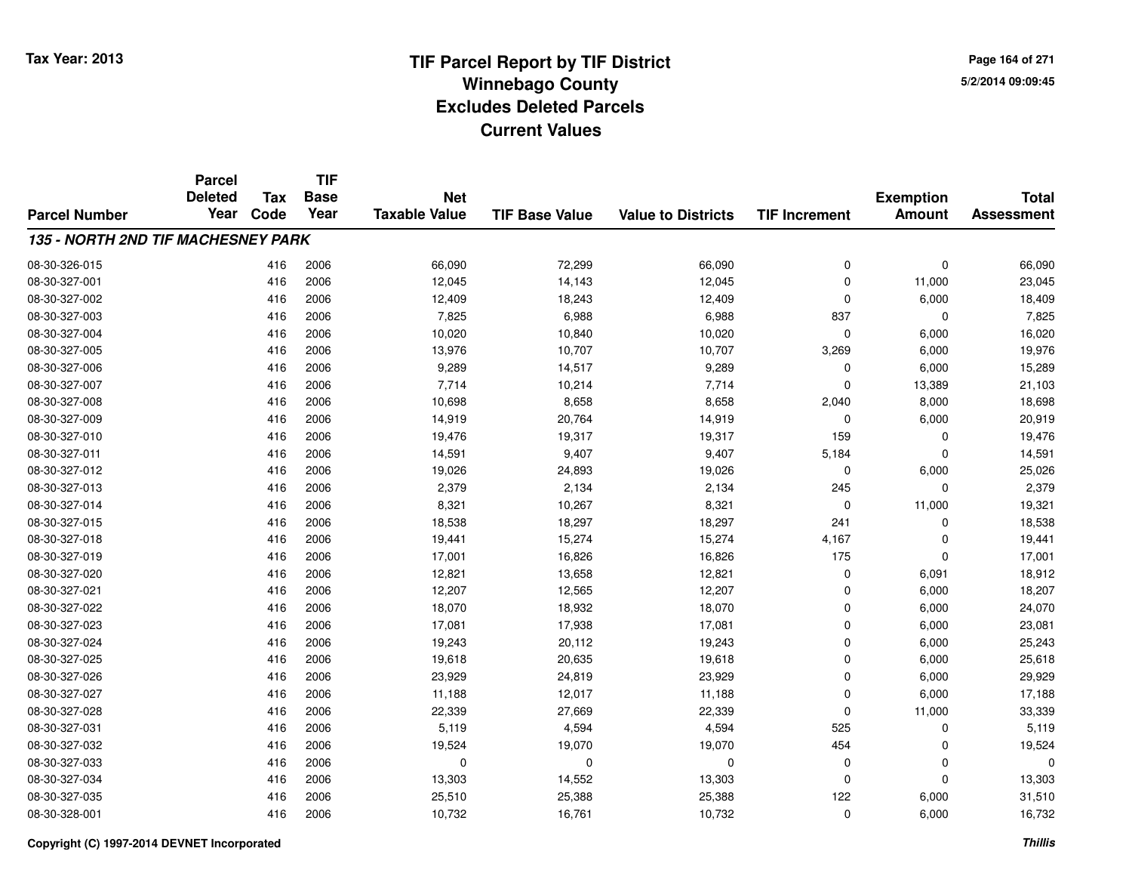**Page 164 of 2715/2/2014 09:09:45**

|                                           | <b>Parcel</b> | <b>Tax</b> | <b>TIF</b><br><b>Deleted</b><br><b>Base</b><br><b>Net</b> |                      |                       | <b>Total</b>              |                      |                                   |                   |
|-------------------------------------------|---------------|------------|-----------------------------------------------------------|----------------------|-----------------------|---------------------------|----------------------|-----------------------------------|-------------------|
| <b>Parcel Number</b>                      | Year          | Code       | Year                                                      | <b>Taxable Value</b> | <b>TIF Base Value</b> | <b>Value to Districts</b> | <b>TIF Increment</b> | <b>Exemption</b><br><b>Amount</b> | <b>Assessment</b> |
|                                           |               |            |                                                           |                      |                       |                           |                      |                                   |                   |
| <b>135 - NORTH 2ND TIF MACHESNEY PARK</b> |               |            |                                                           |                      |                       |                           |                      |                                   |                   |
| 08-30-326-015                             |               | 416        | 2006                                                      | 66,090               | 72,299                | 66,090                    | 0                    | $\mathbf 0$                       | 66,090            |
| 08-30-327-001                             |               | 416        | 2006                                                      | 12,045               | 14,143                | 12,045                    | $\Omega$             | 11,000                            | 23,045            |
| 08-30-327-002                             |               | 416        | 2006                                                      | 12,409               | 18,243                | 12,409                    | $\Omega$             | 6,000                             | 18,409            |
| 08-30-327-003                             |               | 416        | 2006                                                      | 7,825                | 6,988                 | 6,988                     | 837                  | $\mathbf{0}$                      | 7,825             |
| 08-30-327-004                             |               | 416        | 2006                                                      | 10,020               | 10,840                | 10,020                    | $\mathbf 0$          | 6,000                             | 16,020            |
| 08-30-327-005                             |               | 416        | 2006                                                      | 13,976               | 10,707                | 10,707                    | 3,269                | 6,000                             | 19,976            |
| 08-30-327-006                             |               | 416        | 2006                                                      | 9,289                | 14,517                | 9,289                     | $\mathbf 0$          | 6,000                             | 15,289            |
| 08-30-327-007                             |               | 416        | 2006                                                      | 7,714                | 10,214                | 7,714                     | $\Omega$             | 13,389                            | 21,103            |
| 08-30-327-008                             |               | 416        | 2006                                                      | 10,698               | 8,658                 | 8,658                     | 2,040                | 8,000                             | 18,698            |
| 08-30-327-009                             |               | 416        | 2006                                                      | 14,919               | 20,764                | 14,919                    | 0                    | 6,000                             | 20,919            |
| 08-30-327-010                             |               | 416        | 2006                                                      | 19,476               | 19,317                | 19,317                    | 159                  | $\mathbf 0$                       | 19,476            |
| 08-30-327-011                             |               | 416        | 2006                                                      | 14,591               | 9,407                 | 9,407                     | 5,184                | 0                                 | 14,591            |
| 08-30-327-012                             |               | 416        | 2006                                                      | 19,026               | 24,893                | 19,026                    | $\Omega$             | 6,000                             | 25,026            |
| 08-30-327-013                             |               | 416        | 2006                                                      | 2,379                | 2,134                 | 2,134                     | 245                  | 0                                 | 2,379             |
| 08-30-327-014                             |               | 416        | 2006                                                      | 8,321                | 10,267                | 8,321                     | $\mathbf 0$          | 11,000                            | 19,321            |
| 08-30-327-015                             |               | 416        | 2006                                                      | 18,538               | 18,297                | 18,297                    | 241                  | $\mathbf 0$                       | 18,538            |
| 08-30-327-018                             |               | 416        | 2006                                                      | 19,441               | 15,274                | 15,274                    | 4,167                | $\mathbf 0$                       | 19,441            |
| 08-30-327-019                             |               | 416        | 2006                                                      | 17,001               | 16,826                | 16,826                    | 175                  | $\mathbf 0$                       | 17,001            |
| 08-30-327-020                             |               | 416        | 2006                                                      | 12,821               | 13,658                | 12,821                    | 0                    | 6,091                             | 18,912            |
| 08-30-327-021                             |               | 416        | 2006                                                      | 12,207               | 12,565                | 12,207                    | $\mathbf 0$          | 6,000                             | 18,207            |
| 08-30-327-022                             |               | 416        | 2006                                                      | 18,070               | 18,932                | 18,070                    | $\mathbf 0$          | 6,000                             | 24,070            |
| 08-30-327-023                             |               | 416        | 2006                                                      | 17,081               | 17,938                | 17,081                    | $\Omega$             | 6,000                             | 23,081            |
| 08-30-327-024                             |               | 416        | 2006                                                      | 19,243               | 20,112                | 19,243                    | $\mathbf 0$          | 6,000                             | 25,243            |
| 08-30-327-025                             |               | 416        | 2006                                                      | 19,618               | 20,635                | 19,618                    | $\mathbf 0$          | 6,000                             | 25,618            |
| 08-30-327-026                             |               | 416        | 2006                                                      | 23,929               | 24,819                | 23,929                    | $\mathbf 0$          | 6,000                             | 29,929            |
| 08-30-327-027                             |               | 416        | 2006                                                      | 11,188               | 12,017                | 11,188                    | $\Omega$             | 6,000                             | 17,188            |
| 08-30-327-028                             |               | 416        | 2006                                                      | 22,339               | 27,669                | 22,339                    | $\mathbf 0$          | 11,000                            | 33,339            |
| 08-30-327-031                             |               | 416        | 2006                                                      | 5,119                | 4,594                 | 4,594                     | 525                  | $\mathbf 0$                       | 5,119             |
| 08-30-327-032                             |               | 416        | 2006                                                      | 19,524               | 19,070                | 19,070                    | 454                  | $\mathbf 0$                       | 19,524            |
| 08-30-327-033                             |               | 416        | 2006                                                      | 0                    | 0                     | $\mathbf 0$               | 0                    | 0                                 | $\Omega$          |
| 08-30-327-034                             |               | 416        | 2006                                                      | 13,303               | 14,552                | 13,303                    | $\Omega$             | $\Omega$                          | 13,303            |
| 08-30-327-035                             |               | 416        | 2006                                                      | 25,510               | 25,388                | 25,388                    | 122                  | 6,000                             | 31,510            |
| 08-30-328-001                             |               | 416        | 2006                                                      | 10,732               | 16,761                | 10,732                    | $\Omega$             | 6,000                             | 16,732            |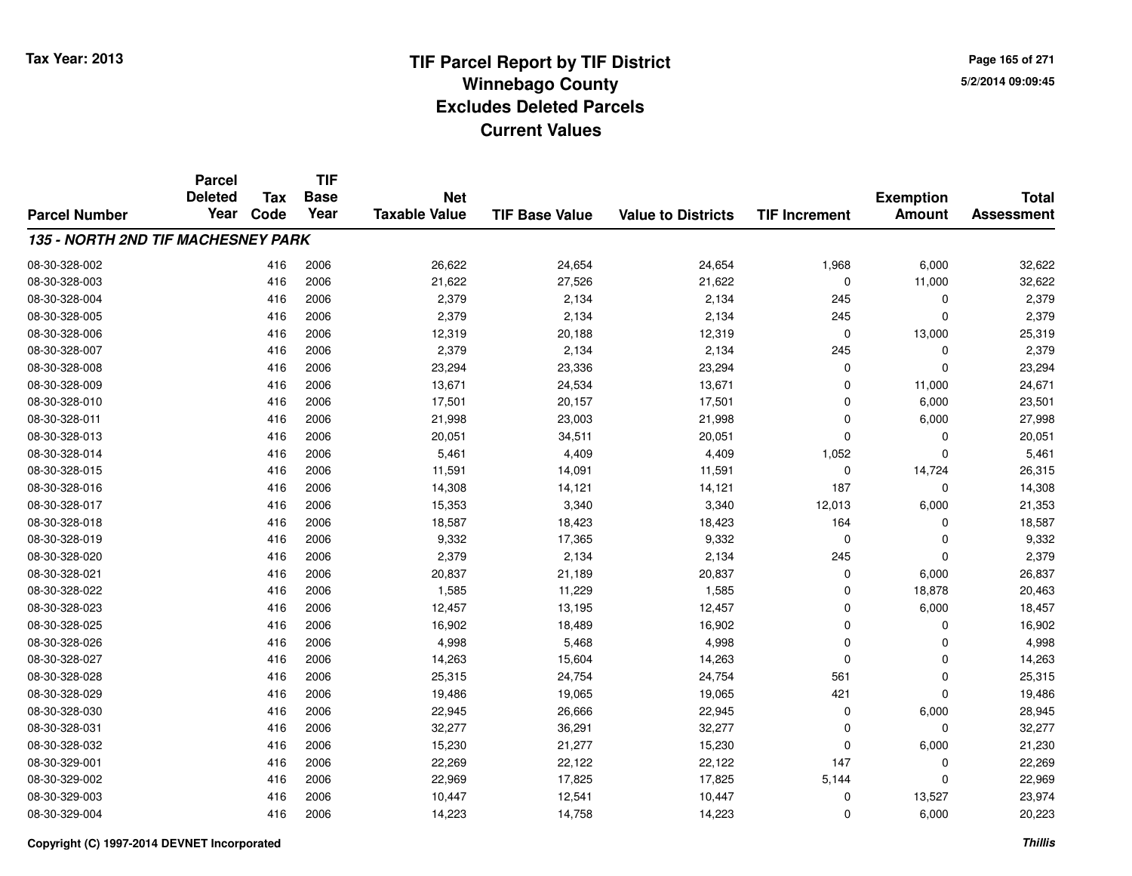**Page 165 of 2715/2/2014 09:09:45**

|                                           | <b>Parcel</b>          | <b>Tax</b><br>Code | <b>TIF</b>          | <b>Net</b><br><b>Taxable Value</b> |                       |                           | <b>TIF Increment</b> | <b>Exemption</b><br><b>Amount</b> | <b>Total</b><br><b>Assessment</b> |
|-------------------------------------------|------------------------|--------------------|---------------------|------------------------------------|-----------------------|---------------------------|----------------------|-----------------------------------|-----------------------------------|
| <b>Parcel Number</b>                      | <b>Deleted</b><br>Year |                    | <b>Base</b><br>Year |                                    | <b>TIF Base Value</b> | <b>Value to Districts</b> |                      |                                   |                                   |
|                                           |                        |                    |                     |                                    |                       |                           |                      |                                   |                                   |
| <b>135 - NORTH 2ND TIF MACHESNEY PARK</b> |                        |                    |                     |                                    |                       |                           |                      |                                   |                                   |
| 08-30-328-002                             |                        | 416                | 2006                | 26,622                             | 24,654                | 24,654                    | 1,968                | 6,000                             | 32,622                            |
| 08-30-328-003                             |                        | 416                | 2006                | 21,622                             | 27,526                | 21,622                    | $\mathbf 0$          | 11,000                            | 32,622                            |
| 08-30-328-004                             |                        | 416                | 2006                | 2,379                              | 2,134                 | 2,134                     | 245                  | 0                                 | 2,379                             |
| 08-30-328-005                             |                        | 416                | 2006                | 2,379                              | 2,134                 | 2,134                     | 245                  | $\Omega$                          | 2,379                             |
| 08-30-328-006                             |                        | 416                | 2006                | 12,319                             | 20,188                | 12,319                    | 0                    | 13,000                            | 25,319                            |
| 08-30-328-007                             |                        | 416                | 2006                | 2,379                              | 2,134                 | 2,134                     | 245                  | $\mathbf 0$                       | 2,379                             |
| 08-30-328-008                             |                        | 416                | 2006                | 23,294                             | 23,336                | 23,294                    | $\mathbf 0$          | $\Omega$                          | 23,294                            |
| 08-30-328-009                             |                        | 416                | 2006                | 13,671                             | 24,534                | 13,671                    | $\mathbf 0$          | 11,000                            | 24,671                            |
| 08-30-328-010                             |                        | 416                | 2006                | 17,501                             | 20,157                | 17,501                    | 0                    | 6,000                             | 23,501                            |
| 08-30-328-011                             |                        | 416                | 2006                | 21,998                             | 23,003                | 21,998                    | $\mathbf 0$          | 6,000                             | 27,998                            |
| 08-30-328-013                             |                        | 416                | 2006                | 20,051                             | 34,511                | 20,051                    | $\Omega$             | $\Omega$                          | 20,051                            |
| 08-30-328-014                             |                        | 416                | 2006                | 5,461                              | 4,409                 | 4,409                     | 1,052                | $\Omega$                          | 5,461                             |
| 08-30-328-015                             |                        | 416                | 2006                | 11,591                             | 14,091                | 11,591                    | $\mathbf 0$          | 14,724                            | 26,315                            |
| 08-30-328-016                             |                        | 416                | 2006                | 14,308                             | 14,121                | 14,121                    | 187                  | 0                                 | 14,308                            |
| 08-30-328-017                             |                        | 416                | 2006                | 15,353                             | 3,340                 | 3,340                     | 12,013               | 6,000                             | 21,353                            |
| 08-30-328-018                             |                        | 416                | 2006                | 18,587                             | 18,423                | 18,423                    | 164                  | 0                                 | 18,587                            |
| 08-30-328-019                             |                        | 416                | 2006                | 9,332                              | 17,365                | 9,332                     | 0                    | $\Omega$                          | 9,332                             |
| 08-30-328-020                             |                        | 416                | 2006                | 2,379                              | 2,134                 | 2,134                     | 245                  | $\Omega$                          | 2,379                             |
| 08-30-328-021                             |                        | 416                | 2006                | 20,837                             | 21,189                | 20,837                    | 0                    | 6,000                             | 26,837                            |
| 08-30-328-022                             |                        | 416                | 2006                | 1,585                              | 11,229                | 1,585                     | 0                    | 18,878                            | 20,463                            |
| 08-30-328-023                             |                        | 416                | 2006                | 12,457                             | 13,195                | 12,457                    | 0                    | 6,000                             | 18,457                            |
| 08-30-328-025                             |                        | 416                | 2006                | 16,902                             | 18,489                | 16,902                    | $\mathbf 0$          | $\Omega$                          | 16,902                            |
| 08-30-328-026                             |                        | 416                | 2006                | 4,998                              | 5,468                 | 4,998                     | $\mathbf 0$          | 0                                 | 4,998                             |
| 08-30-328-027                             |                        | 416                | 2006                | 14,263                             | 15,604                | 14,263                    | $\mathbf 0$          | $\Omega$                          | 14,263                            |
| 08-30-328-028                             |                        | 416                | 2006                | 25,315                             | 24,754                | 24,754                    | 561                  | $\mathbf 0$                       | 25,315                            |
| 08-30-328-029                             |                        | 416                | 2006                | 19,486                             | 19,065                | 19,065                    | 421                  | $\Omega$                          | 19,486                            |
| 08-30-328-030                             |                        | 416                | 2006                | 22,945                             | 26,666                | 22,945                    | 0                    | 6,000                             | 28,945                            |
| 08-30-328-031                             |                        | 416                | 2006                | 32,277                             | 36,291                | 32,277                    | 0                    | $\Omega$                          | 32,277                            |
| 08-30-328-032                             |                        | 416                | 2006                | 15,230                             | 21,277                | 15,230                    | 0                    | 6,000                             | 21,230                            |
| 08-30-329-001                             |                        | 416                | 2006                | 22,269                             | 22,122                | 22,122                    | 147                  | $\Omega$                          | 22,269                            |
| 08-30-329-002                             |                        | 416                | 2006                | 22,969                             | 17,825                | 17,825                    | 5,144                | $\Omega$                          | 22,969                            |
| 08-30-329-003                             |                        | 416                | 2006                | 10,447                             | 12,541                | 10,447                    | 0                    | 13,527                            | 23,974                            |
| 08-30-329-004                             |                        | 416                | 2006                | 14,223                             | 14,758                | 14,223                    | $\mathbf 0$          | 6,000                             | 20,223                            |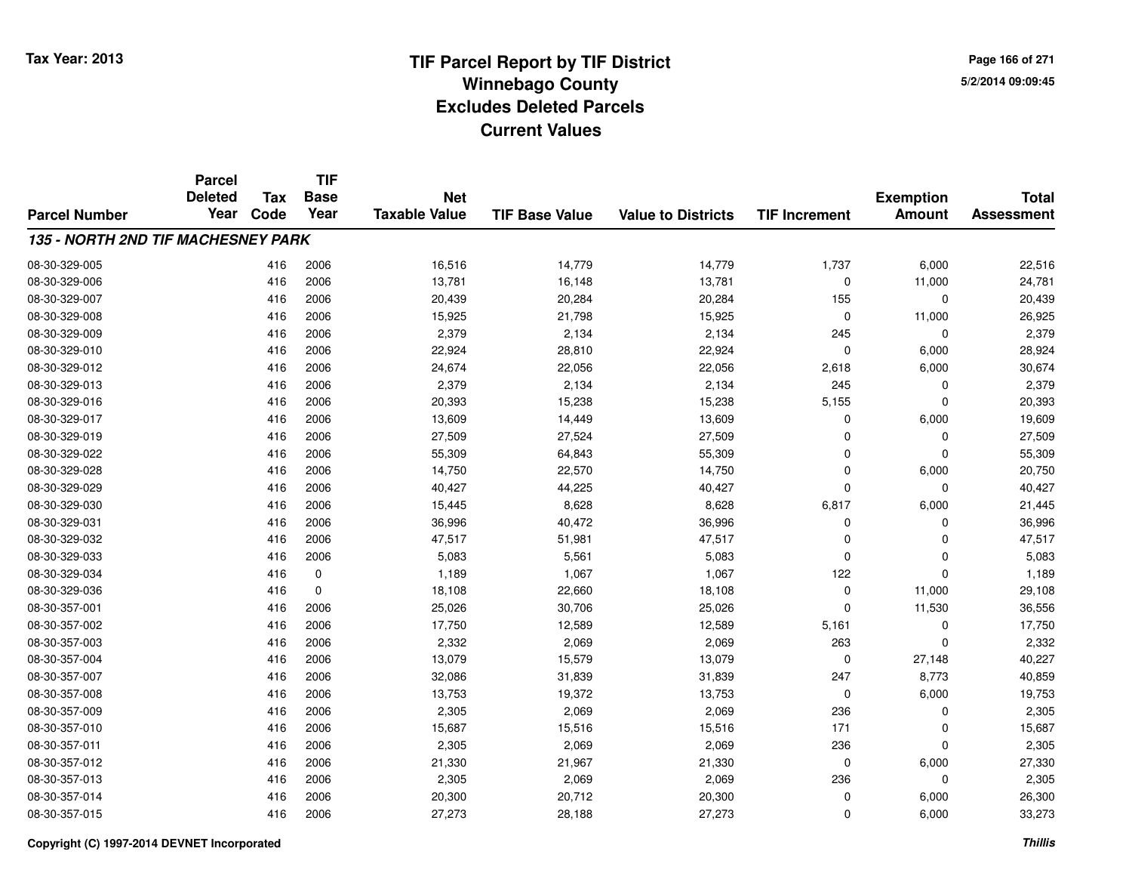**Page 166 of 2715/2/2014 09:09:45**

|                                           | <b>Parcel</b>          |                    | <b>TIF</b>          |                                    |                       |                           |                      |                                   |                                   |
|-------------------------------------------|------------------------|--------------------|---------------------|------------------------------------|-----------------------|---------------------------|----------------------|-----------------------------------|-----------------------------------|
| <b>Parcel Number</b>                      | <b>Deleted</b><br>Year | <b>Tax</b><br>Code | <b>Base</b><br>Year | <b>Net</b><br><b>Taxable Value</b> | <b>TIF Base Value</b> | <b>Value to Districts</b> | <b>TIF Increment</b> | <b>Exemption</b><br><b>Amount</b> | <b>Total</b><br><b>Assessment</b> |
|                                           |                        |                    |                     |                                    |                       |                           |                      |                                   |                                   |
| <b>135 - NORTH 2ND TIF MACHESNEY PARK</b> |                        |                    |                     |                                    |                       |                           |                      |                                   |                                   |
| 08-30-329-005                             |                        | 416                | 2006                | 16,516                             | 14,779                | 14,779                    | 1,737                | 6,000                             | 22,516                            |
| 08-30-329-006                             |                        | 416                | 2006                | 13,781                             | 16,148                | 13,781                    | $\Omega$             | 11,000                            | 24,781                            |
| 08-30-329-007                             |                        | 416                | 2006                | 20,439                             | 20,284                | 20,284                    | 155                  | $\mathbf 0$                       | 20,439                            |
| 08-30-329-008                             |                        | 416                | 2006                | 15,925                             | 21,798                | 15,925                    | $\mathbf 0$          | 11,000                            | 26,925                            |
| 08-30-329-009                             |                        | 416                | 2006                | 2,379                              | 2,134                 | 2,134                     | 245                  | 0                                 | 2,379                             |
| 08-30-329-010                             |                        | 416                | 2006                | 22,924                             | 28,810                | 22,924                    | $\Omega$             | 6,000                             | 28,924                            |
| 08-30-329-012                             |                        | 416                | 2006                | 24,674                             | 22,056                | 22,056                    | 2,618                | 6,000                             | 30,674                            |
| 08-30-329-013                             |                        | 416                | 2006                | 2,379                              | 2,134                 | 2,134                     | 245                  | 0                                 | 2,379                             |
| 08-30-329-016                             |                        | 416                | 2006                | 20,393                             | 15,238                | 15,238                    | 5,155                | $\mathbf 0$                       | 20,393                            |
| 08-30-329-017                             |                        | 416                | 2006                | 13,609                             | 14,449                | 13,609                    | $\Omega$             | 6,000                             | 19,609                            |
| 08-30-329-019                             |                        | 416                | 2006                | 27,509                             | 27,524                | 27,509                    | $\Omega$             | $\Omega$                          | 27,509                            |
| 08-30-329-022                             |                        | 416                | 2006                | 55,309                             | 64,843                | 55,309                    | $\Omega$             | 0                                 | 55,309                            |
| 08-30-329-028                             |                        | 416                | 2006                | 14,750                             | 22,570                | 14,750                    | $\Omega$             | 6,000                             | 20,750                            |
| 08-30-329-029                             |                        | 416                | 2006                | 40,427                             | 44,225                | 40,427                    | $\Omega$             | $\mathbf 0$                       | 40,427                            |
| 08-30-329-030                             |                        | 416                | 2006                | 15,445                             | 8,628                 | 8,628                     | 6,817                | 6,000                             | 21,445                            |
| 08-30-329-031                             |                        | 416                | 2006                | 36,996                             | 40,472                | 36,996                    | 0                    | $\mathbf 0$                       | 36,996                            |
| 08-30-329-032                             |                        | 416                | 2006                | 47,517                             | 51,981                | 47,517                    | $\mathbf 0$          | $\mathbf 0$                       | 47,517                            |
| 08-30-329-033                             |                        | 416                | 2006                | 5,083                              | 5,561                 | 5,083                     | $\mathbf 0$          | $\mathbf 0$                       | 5,083                             |
| 08-30-329-034                             |                        | 416                | 0                   | 1,189                              | 1,067                 | 1,067                     | 122                  | $\mathbf 0$                       | 1,189                             |
| 08-30-329-036                             |                        | 416                | 0                   | 18,108                             | 22,660                | 18,108                    | $\mathbf 0$          | 11,000                            | 29,108                            |
| 08-30-357-001                             |                        | 416                | 2006                | 25,026                             | 30,706                | 25,026                    | $\Omega$             | 11,530                            | 36,556                            |
| 08-30-357-002                             |                        | 416                | 2006                | 17,750                             | 12,589                | 12,589                    | 5,161                | $\mathbf 0$                       | 17,750                            |
| 08-30-357-003                             |                        | 416                | 2006                | 2,332                              | 2,069                 | 2,069                     | 263                  | $\mathbf 0$                       | 2,332                             |
| 08-30-357-004                             |                        | 416                | 2006                | 13,079                             | 15,579                | 13,079                    | $\mathbf 0$          | 27,148                            | 40,227                            |
| 08-30-357-007                             |                        | 416                | 2006                | 32,086                             | 31,839                | 31,839                    | 247                  | 8,773                             | 40,859                            |
| 08-30-357-008                             |                        | 416                | 2006                | 13,753                             | 19,372                | 13,753                    | $\mathbf 0$          | 6,000                             | 19,753                            |
| 08-30-357-009                             |                        | 416                | 2006                | 2,305                              | 2,069                 | 2,069                     | 236                  | $\mathbf 0$                       | 2,305                             |
| 08-30-357-010                             |                        | 416                | 2006                | 15,687                             | 15,516                | 15,516                    | 171                  | $\mathbf 0$                       | 15,687                            |
| 08-30-357-011                             |                        | 416                | 2006                | 2,305                              | 2,069                 | 2,069                     | 236                  | $\mathbf 0$                       | 2,305                             |
| 08-30-357-012                             |                        | 416                | 2006                | 21,330                             | 21,967                | 21,330                    | $\mathbf 0$          | 6,000                             | 27,330                            |
| 08-30-357-013                             |                        | 416                | 2006                | 2,305                              | 2,069                 | 2,069                     | 236                  | $\mathbf 0$                       | 2,305                             |
| 08-30-357-014                             |                        | 416                | 2006                | 20,300                             | 20,712                | 20,300                    | 0                    | 6,000                             | 26,300                            |
| 08-30-357-015                             |                        | 416                | 2006                | 27,273                             | 28,188                | 27,273                    | $\Omega$             | 6,000                             | 33,273                            |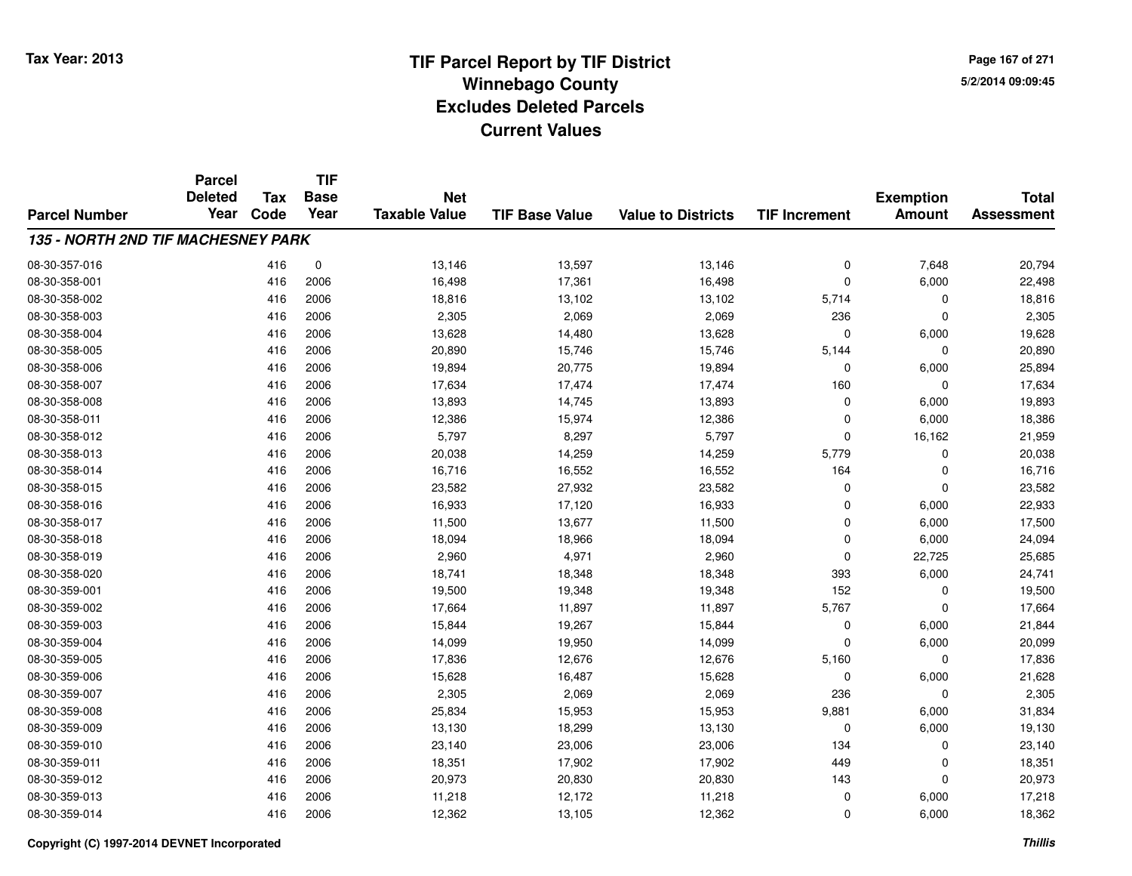**TIF**

**Parcel**

**Page 167 of 2715/2/2014 09:09:45**

| <b>Parcel Number</b>               | <b>Deleted</b><br>Year | Tax<br>Code | <b>Base</b><br>Year | <b>Net</b><br><b>Taxable Value</b> | <b>TIF Base Value</b> | <b>Value to Districts</b> | <b>TIF Increment</b> | <b>Exemption</b><br><b>Amount</b> | <b>Total</b><br><b>Assessment</b> |
|------------------------------------|------------------------|-------------|---------------------|------------------------------------|-----------------------|---------------------------|----------------------|-----------------------------------|-----------------------------------|
| 135 - NORTH 2ND TIF MACHESNEY PARK |                        |             |                     |                                    |                       |                           |                      |                                   |                                   |
| 08-30-357-016                      |                        | 416         | 0                   | 13,146                             | 13,597                | 13,146                    | $\mathbf 0$          | 7,648                             | 20,794                            |
| 08-30-358-001                      |                        | 416         | 2006                | 16,498                             | 17,361                | 16,498                    | $\mathbf 0$          | 6,000                             | 22,498                            |
| 08-30-358-002                      |                        | 416         | 2006                | 18,816                             | 13,102                | 13,102                    | 5,714                | 0                                 | 18,816                            |
| 08-30-358-003                      |                        | 416         | 2006                | 2,305                              | 2,069                 | 2,069                     | 236                  | $\mathbf 0$                       | 2,305                             |
| 08-30-358-004                      |                        | 416         | 2006                | 13,628                             | 14,480                | 13,628                    | $\Omega$             | 6,000                             | 19,628                            |
| 08-30-358-005                      |                        | 416         | 2006                | 20,890                             | 15,746                | 15,746                    | 5,144                | $\mathbf 0$                       | 20,890                            |
| 08-30-358-006                      |                        | 416         | 2006                | 19,894                             | 20,775                | 19,894                    | $\Omega$             | 6,000                             | 25,894                            |
| 08-30-358-007                      |                        | 416         | 2006                | 17,634                             | 17,474                | 17,474                    | 160                  | 0                                 | 17,634                            |
| 08-30-358-008                      |                        | 416         | 2006                | 13,893                             | 14,745                | 13,893                    | $\Omega$             | 6,000                             | 19,893                            |
| 08-30-358-011                      |                        | 416         | 2006                | 12,386                             | 15,974                | 12,386                    | $\Omega$             | 6,000                             | 18,386                            |
| 08-30-358-012                      |                        | 416         | 2006                | 5,797                              | 8,297                 | 5,797                     | $\Omega$             | 16,162                            | 21,959                            |
| 08-30-358-013                      |                        | 416         | 2006                | 20,038                             | 14,259                | 14,259                    | 5,779                | $\mathbf 0$                       | 20,038                            |
| 08-30-358-014                      |                        | 416         | 2006                | 16,716                             | 16,552                | 16,552                    | 164                  | $\mathbf 0$                       | 16,716                            |
| 08-30-358-015                      |                        | 416         | 2006                | 23,582                             | 27,932                | 23,582                    | $\Omega$             | $\mathbf 0$                       | 23,582                            |
| 08-30-358-016                      |                        | 416         | 2006                | 16,933                             | 17,120                | 16,933                    | $\Omega$             | 6,000                             | 22,933                            |
| 08-30-358-017                      |                        | 416         | 2006                | 11,500                             | 13,677                | 11,500                    | $\Omega$             | 6,000                             | 17,500                            |
| 08-30-358-018                      |                        | 416         | 2006                | 18,094                             | 18,966                | 18,094                    | $\Omega$             | 6,000                             | 24,094                            |
| 08-30-358-019                      |                        | 416         | 2006                | 2,960                              | 4,971                 | 2,960                     | 0                    | 22,725                            | 25,685                            |
| 08-30-358-020                      |                        | 416         | 2006                | 18,741                             | 18,348                | 18,348                    | 393                  | 6,000                             | 24,741                            |
| 08-30-359-001                      |                        | 416         | 2006                | 19,500                             | 19,348                | 19,348                    | 152                  | $\mathbf 0$                       | 19,500                            |
| 08-30-359-002                      |                        | 416         | 2006                | 17,664                             | 11,897                | 11,897                    | 5,767                | $\mathbf 0$                       | 17,664                            |
| 08-30-359-003                      |                        | 416         | 2006                | 15,844                             | 19,267                | 15,844                    | 0                    | 6,000                             | 21,844                            |
| 08-30-359-004                      |                        | 416         | 2006                | 14,099                             | 19,950                | 14,099                    | $\Omega$             | 6,000                             | 20,099                            |
| 08-30-359-005                      |                        | 416         | 2006                | 17,836                             | 12,676                | 12,676                    | 5,160                | $\mathbf 0$                       | 17,836                            |
| 08-30-359-006                      |                        | 416         | 2006                | 15,628                             | 16,487                | 15,628                    | 0                    | 6,000                             | 21,628                            |
| 08-30-359-007                      |                        | 416         | 2006                | 2,305                              | 2,069                 | 2,069                     | 236                  | $\mathbf 0$                       | 2,305                             |
| 08-30-359-008                      |                        | 416         | 2006                | 25,834                             | 15,953                | 15,953                    | 9,881                | 6,000                             | 31,834                            |
| 08-30-359-009                      |                        | 416         | 2006                | 13,130                             | 18,299                | 13,130                    | $\Omega$             | 6,000                             | 19,130                            |
| 08-30-359-010                      |                        | 416         | 2006                | 23,140                             | 23,006                | 23,006                    | 134                  | $\mathbf 0$                       | 23,140                            |
| 08-30-359-011                      |                        | 416         | 2006                | 18,351                             | 17,902                | 17,902                    | 449                  | $\mathbf 0$                       | 18,351                            |
| 08-30-359-012                      |                        | 416         | 2006                | 20,973                             | 20,830                | 20,830                    | 143                  | $\mathbf 0$                       | 20,973                            |
| 08-30-359-013                      |                        | 416         | 2006                | 11,218                             | 12,172                | 11,218                    | 0                    | 6,000                             | 17,218                            |
| 08-30-359-014                      |                        | 416         | 2006                | 12,362                             | 13,105                | 12,362                    | $\Omega$             | 6,000                             | 18,362                            |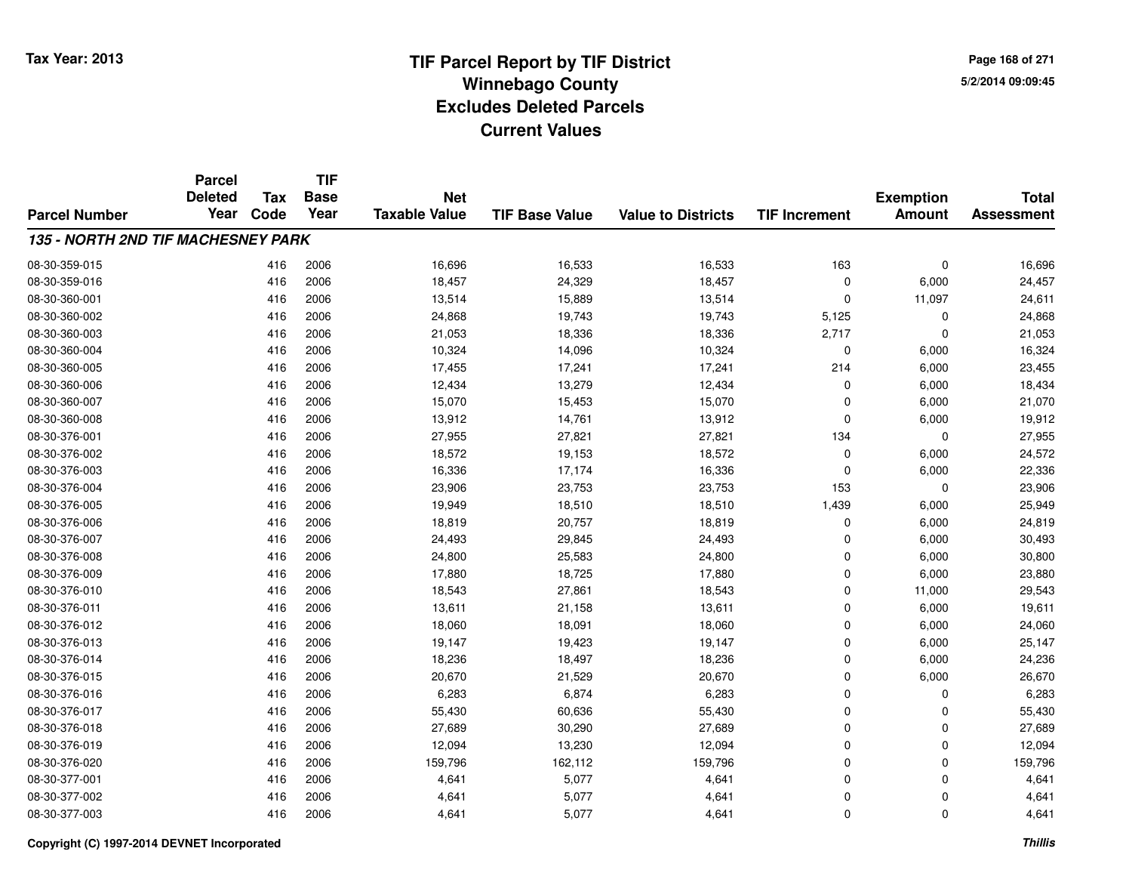**Page 168 of 2715/2/2014 09:09:45**

|                                           | <b>Parcel</b>          |                    | <b>TIF</b><br><b>Base</b><br>Year | <b>Net</b><br><b>Taxable Value</b> | <b>TIF Base Value</b> | <b>Value to Districts</b> | <b>TIF Increment</b> | <b>Exemption</b><br><b>Amount</b> | <b>Total</b><br><b>Assessment</b> |
|-------------------------------------------|------------------------|--------------------|-----------------------------------|------------------------------------|-----------------------|---------------------------|----------------------|-----------------------------------|-----------------------------------|
| <b>Parcel Number</b>                      | <b>Deleted</b><br>Year | <b>Tax</b><br>Code |                                   |                                    |                       |                           |                      |                                   |                                   |
|                                           |                        |                    |                                   |                                    |                       |                           |                      |                                   |                                   |
| <b>135 - NORTH 2ND TIF MACHESNEY PARK</b> |                        |                    |                                   |                                    |                       |                           |                      |                                   |                                   |
| 08-30-359-015                             |                        | 416                | 2006                              | 16,696                             | 16,533                | 16,533                    | 163                  | 0                                 | 16,696                            |
| 08-30-359-016                             |                        | 416                | 2006                              | 18,457                             | 24,329                | 18,457                    | 0                    | 6,000                             | 24,457                            |
| 08-30-360-001                             |                        | 416                | 2006                              | 13,514                             | 15,889                | 13,514                    | 0                    | 11,097                            | 24,611                            |
| 08-30-360-002                             |                        | 416                | 2006                              | 24,868                             | 19,743                | 19,743                    | 5,125                | 0                                 | 24,868                            |
| 08-30-360-003                             |                        | 416                | 2006                              | 21,053                             | 18,336                | 18,336                    | 2,717                | $\Omega$                          | 21,053                            |
| 08-30-360-004                             |                        | 416                | 2006                              | 10,324                             | 14,096                | 10,324                    | 0                    | 6,000                             | 16,324                            |
| 08-30-360-005                             |                        | 416                | 2006                              | 17,455                             | 17,241                | 17,241                    | 214                  | 6,000                             | 23,455                            |
| 08-30-360-006                             |                        | 416                | 2006                              | 12,434                             | 13,279                | 12,434                    | 0                    | 6,000                             | 18,434                            |
| 08-30-360-007                             |                        | 416                | 2006                              | 15,070                             | 15,453                | 15,070                    | $\mathbf 0$          | 6,000                             | 21,070                            |
| 08-30-360-008                             |                        | 416                | 2006                              | 13,912                             | 14,761                | 13,912                    | 0                    | 6,000                             | 19,912                            |
| 08-30-376-001                             |                        | 416                | 2006                              | 27,955                             | 27,821                | 27,821                    | 134                  | $\Omega$                          | 27,955                            |
| 08-30-376-002                             |                        | 416                | 2006                              | 18,572                             | 19,153                | 18,572                    | 0                    | 6,000                             | 24,572                            |
| 08-30-376-003                             |                        | 416                | 2006                              | 16,336                             | 17,174                | 16,336                    | $\mathbf 0$          | 6,000                             | 22,336                            |
| 08-30-376-004                             |                        | 416                | 2006                              | 23,906                             | 23,753                | 23,753                    | 153                  | $\Omega$                          | 23,906                            |
| 08-30-376-005                             |                        | 416                | 2006                              | 19,949                             | 18,510                | 18,510                    | 1,439                | 6,000                             | 25,949                            |
| 08-30-376-006                             |                        | 416                | 2006                              | 18,819                             | 20,757                | 18,819                    | 0                    | 6,000                             | 24,819                            |
| 08-30-376-007                             |                        | 416                | 2006                              | 24,493                             | 29,845                | 24,493                    | 0                    | 6,000                             | 30,493                            |
| 08-30-376-008                             |                        | 416                | 2006                              | 24,800                             | 25,583                | 24,800                    | 0                    | 6,000                             | 30,800                            |
| 08-30-376-009                             |                        | 416                | 2006                              | 17,880                             | 18,725                | 17,880                    | 0                    | 6,000                             | 23,880                            |
| 08-30-376-010                             |                        | 416                | 2006                              | 18,543                             | 27,861                | 18,543                    | 0                    | 11,000                            | 29,543                            |
| 08-30-376-011                             |                        | 416                | 2006                              | 13,611                             | 21,158                | 13,611                    | 0                    | 6,000                             | 19,611                            |
| 08-30-376-012                             |                        | 416                | 2006                              | 18,060                             | 18,091                | 18,060                    | 0                    | 6,000                             | 24,060                            |
| 08-30-376-013                             |                        | 416                | 2006                              | 19,147                             | 19,423                | 19,147                    | 0                    | 6,000                             | 25,147                            |
| 08-30-376-014                             |                        | 416                | 2006                              | 18,236                             | 18,497                | 18,236                    | 0                    | 6,000                             | 24,236                            |
| 08-30-376-015                             |                        | 416                | 2006                              | 20,670                             | 21,529                | 20,670                    | 0                    | 6,000                             | 26,670                            |
| 08-30-376-016                             |                        | 416                | 2006                              | 6,283                              | 6,874                 | 6,283                     | 0                    | $\Omega$                          | 6,283                             |
| 08-30-376-017                             |                        | 416                | 2006                              | 55,430                             | 60,636                | 55,430                    | 0                    | $\Omega$                          | 55,430                            |
| 08-30-376-018                             |                        | 416                | 2006                              | 27,689                             | 30,290                | 27,689                    | 0                    | $\Omega$                          | 27,689                            |
| 08-30-376-019                             |                        | 416                | 2006                              | 12,094                             | 13,230                | 12,094                    | 0                    | $\Omega$                          | 12,094                            |
| 08-30-376-020                             |                        | 416                | 2006                              | 159,796                            | 162,112               | 159,796                   | 0                    | $\Omega$                          | 159,796                           |
| 08-30-377-001                             |                        | 416                | 2006                              | 4,641                              | 5,077                 | 4,641                     | 0                    | $\Omega$                          | 4,641                             |
| 08-30-377-002                             |                        | 416                | 2006                              | 4,641                              | 5,077                 | 4,641                     | 0                    | $\Omega$                          | 4,641                             |
| 08-30-377-003                             |                        | 416                | 2006                              | 4,641                              | 5,077                 | 4,641                     | 0                    | $\Omega$                          | 4,641                             |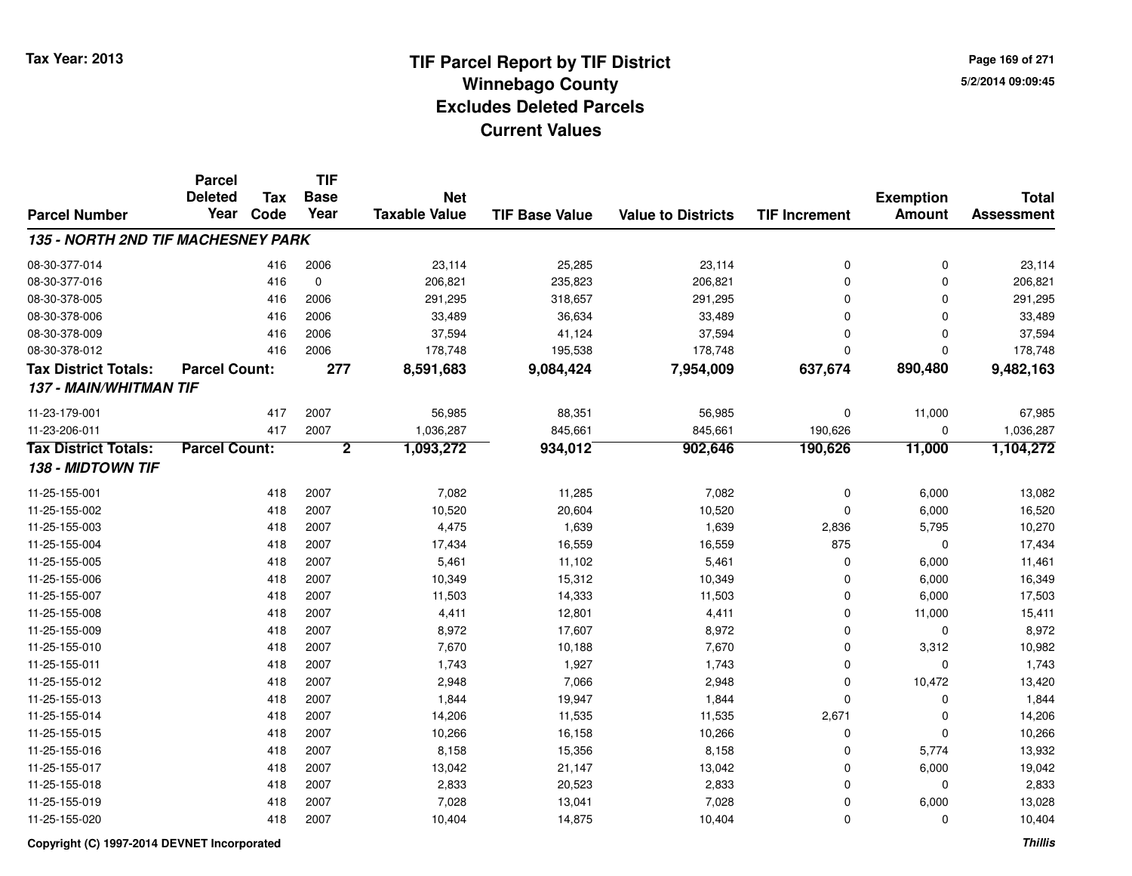**TIF**

**Parcel**

**Page 169 of 2715/2/2014 09:09:45**

| <b>Parcel Number</b>               | <b>Deleted</b><br>Year | <b>Tax</b><br>Code | <b>Base</b><br>Year | <b>Net</b><br><b>Taxable Value</b> | <b>TIF Base Value</b> | <b>Value to Districts</b> | <b>TIF Increment</b> | <b>Exemption</b><br>Amount | <b>Total</b><br><b>Assessment</b> |
|------------------------------------|------------------------|--------------------|---------------------|------------------------------------|-----------------------|---------------------------|----------------------|----------------------------|-----------------------------------|
| 135 - NORTH 2ND TIF MACHESNEY PARK |                        |                    |                     |                                    |                       |                           |                      |                            |                                   |
| 08-30-377-014                      |                        | 416                | 2006                | 23,114                             | 25,285                | 23,114                    | $\mathbf 0$          | 0                          | 23,114                            |
| 08-30-377-016                      |                        | 416                | $\mathbf 0$         | 206,821                            | 235,823               | 206,821                   | $\Omega$             | 0                          | 206,821                           |
| 08-30-378-005                      |                        | 416                | 2006                | 291,295                            | 318,657               | 291,295                   | $\Omega$             | $\mathbf 0$                | 291,295                           |
| 08-30-378-006                      |                        | 416                | 2006                | 33,489                             | 36,634                | 33,489                    | $\Omega$             | $\mathbf 0$                | 33,489                            |
| 08-30-378-009                      |                        | 416                | 2006                | 37,594                             | 41,124                | 37,594                    | $\mathbf 0$          | $\mathbf 0$                | 37,594                            |
| 08-30-378-012                      |                        | 416                | 2006                | 178,748                            | 195,538               | 178,748                   | $\mathbf 0$          | $\mathbf 0$                | 178,748                           |
| <b>Tax District Totals:</b>        | <b>Parcel Count:</b>   |                    | 277                 | 8,591,683                          | 9,084,424             | 7,954,009                 | 637,674              | 890,480                    | 9,482,163                         |
| 137 - MAIN/WHITMAN TIF             |                        |                    |                     |                                    |                       |                           |                      |                            |                                   |
| 11-23-179-001                      |                        | 417                | 2007                | 56,985                             | 88,351                | 56,985                    | 0                    | 11,000                     | 67,985                            |
| 11-23-206-011                      |                        | 417                | 2007                | 1,036,287                          | 845,661               | 845,661                   | 190,626              | 0                          | 1,036,287                         |
| <b>Tax District Totals:</b>        | <b>Parcel Count:</b>   |                    | $\overline{2}$      | 1,093,272                          | 934,012               | 902,646                   | 190,626              | 11,000                     | 1,104,272                         |
| 138 - MIDTOWN TIF                  |                        |                    |                     |                                    |                       |                           |                      |                            |                                   |
| 11-25-155-001                      |                        | 418                | 2007                | 7,082                              | 11,285                | 7,082                     | 0                    | 6,000                      | 13,082                            |
| 11-25-155-002                      |                        | 418                | 2007                | 10,520                             | 20,604                | 10,520                    | $\Omega$             | 6,000                      | 16,520                            |
| 11-25-155-003                      |                        | 418                | 2007                | 4,475                              | 1,639                 | 1,639                     | 2,836                | 5,795                      | 10,270                            |
| 11-25-155-004                      |                        | 418                | 2007                | 17,434                             | 16,559                | 16,559                    | 875                  | $\Omega$                   | 17,434                            |
| 11-25-155-005                      |                        | 418                | 2007                | 5,461                              | 11,102                | 5,461                     | 0                    | 6,000                      | 11,461                            |
| 11-25-155-006                      |                        | 418                | 2007                | 10,349                             | 15,312                | 10,349                    | $\Omega$             | 6,000                      | 16,349                            |
| 11-25-155-007                      |                        | 418                | 2007                | 11,503                             | 14,333                | 11,503                    | $\mathbf 0$          | 6,000                      | 17,503                            |
| 11-25-155-008                      |                        | 418                | 2007                | 4,411                              | 12,801                | 4,411                     | $\mathbf 0$          | 11,000                     | 15,411                            |
| 11-25-155-009                      |                        | 418                | 2007                | 8,972                              | 17,607                | 8,972                     | $\mathbf 0$          | 0                          | 8,972                             |
| 11-25-155-010                      |                        | 418                | 2007                | 7,670                              | 10,188                | 7,670                     | $\mathbf 0$          | 3,312                      | 10,982                            |
| 11-25-155-011                      |                        | 418                | 2007                | 1,743                              | 1,927                 | 1,743                     | $\Omega$             | $\mathbf 0$                | 1,743                             |
| 11-25-155-012                      |                        | 418                | 2007                | 2,948                              | 7,066                 | 2,948                     | $\mathbf 0$          | 10,472                     | 13,420                            |
| 11-25-155-013                      |                        | 418                | 2007                | 1,844                              | 19,947                | 1,844                     | $\mathbf 0$          | 0                          | 1,844                             |
| 11-25-155-014                      |                        | 418                | 2007                | 14,206                             | 11,535                | 11,535                    | 2,671                | 0                          | 14,206                            |
| 11-25-155-015                      |                        | 418                | 2007                | 10,266                             | 16,158                | 10,266                    | $\Omega$             | 0                          | 10,266                            |
| 11-25-155-016                      |                        | 418                | 2007                | 8,158                              | 15,356                | 8,158                     | $\Omega$             | 5,774                      | 13,932                            |
| 11-25-155-017                      |                        | 418                | 2007                | 13,042                             | 21,147                | 13,042                    | $\mathbf 0$          | 6,000                      | 19,042                            |
| 11-25-155-018                      |                        | 418                | 2007                | 2,833                              | 20,523                | 2,833                     | 0                    | 0                          | 2,833                             |
| 11-25-155-019                      |                        | 418                | 2007                | 7,028                              | 13,041                | 7,028                     | 0                    | 6,000                      | 13,028                            |
| 11-25-155-020                      |                        | 418                | 2007                | 10,404                             | 14,875                | 10,404                    | $\mathbf 0$          | 0                          | 10,404                            |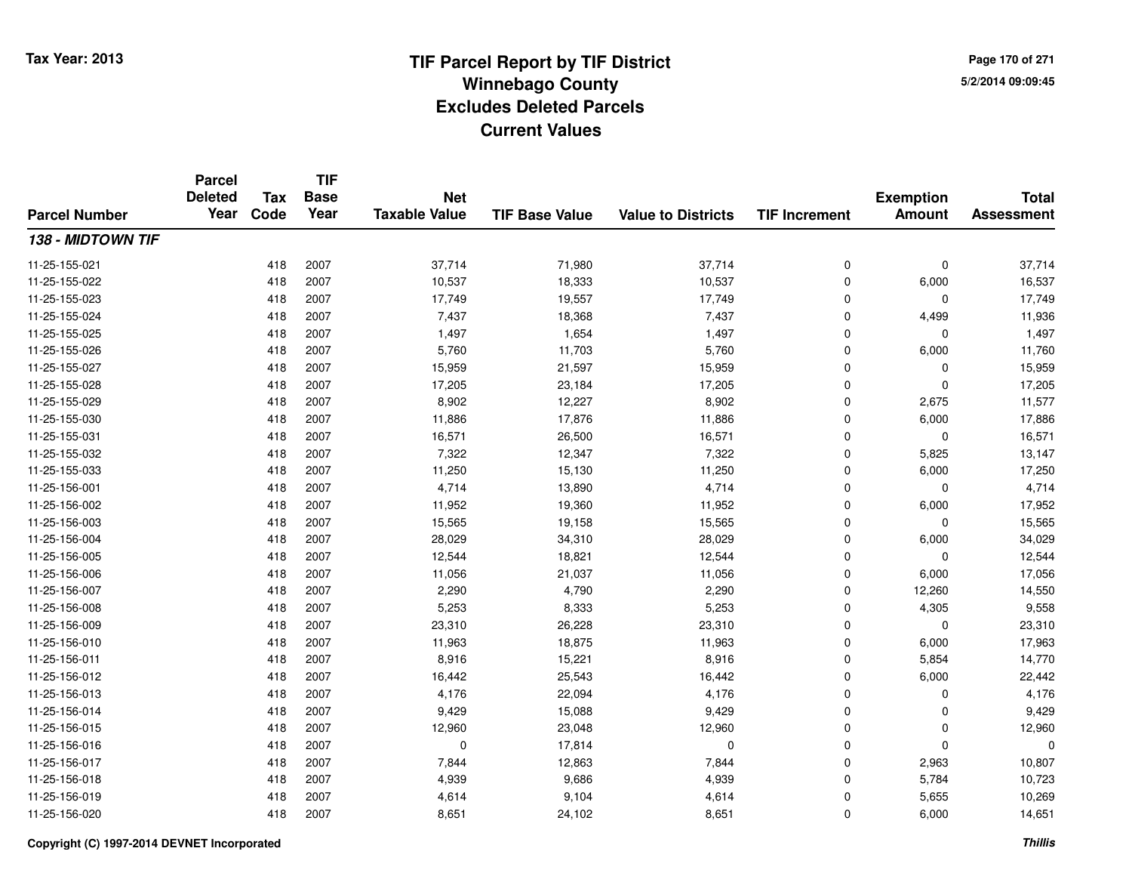**Page 170 of 2715/2/2014 09:09:45**

### **TIF Base ValueParcel NumberTotal AssessmentExemption Amount Value to Districts TIF IncrementTIF Base YearTax CodeParcel Deleted YearNet Taxable Value138 - MIDTOWN TIF**11-25-155-0211 418 2007 37,714 71,980 37,714 0 0 37,714 11-25-155-0222 418 2007 10,537 18,333 10,537 0 6,000 16,537 11-25-155-023 <sup>418</sup> 17,749 <sup>2007</sup> 19,557 17,749 <sup>0</sup> <sup>0</sup> 17,749 11-25-155-024 <sup>418</sup> 7,437 <sup>2007</sup> 18,368 7,437 <sup>0</sup> 4,499 11,936 11-25-155-025 <sup>418</sup> 1,497 <sup>2007</sup> 1,654 1,497 <sup>0</sup> <sup>0</sup> 1,497 11-25-155-026 <sup>418</sup> 5,760 <sup>2007</sup> 11,703 5,760 <sup>0</sup> 6,000 11,760 11-25-155-027 <sup>418</sup> 15,959 <sup>2007</sup> 21,597 15,959 <sup>0</sup> <sup>0</sup> 15,959 11-25-155-028 <sup>418</sup> 17,205 <sup>2007</sup> 23,184 17,205 <sup>0</sup> <sup>0</sup> 17,205 11-25-155-0299 418 2007 8,902 12,227 8,902 0 2,675 11,577 11-25-155-0300 418 2007 11,886 17,876 11,886 0 6,000 17,886 11-25-155-0311 418 2007 16,571 26,500 16,571 0 0 16,571 11-25-155-0322 418 2007 7,322 12,347 7,322 0 5,825 13,147 11-25-155-033 <sup>418</sup> 11,250 <sup>2007</sup> 15,130 11,250 <sup>0</sup> 6,000 17,250 11-25-156-0011 418 2007 4,714 13,890 4,714 0 0 4,714 11-25-156-002 <sup>418</sup> 11,952 <sup>2007</sup> 19,360 11,952 <sup>0</sup> 6,000 17,952 11-25-156-0033 418 2007 15,565 19,158 15,565 0 0 15,565 11-25-156-004 <sup>418</sup> 28,029 <sup>2007</sup> 34,310 28,029 <sup>0</sup> 6,000 34,029 11-25-156-005 <sup>418</sup> 12,544 <sup>2007</sup> 18,821 12,544 <sup>0</sup> <sup>0</sup> 12,544 11-25-156-006 <sup>418</sup> 11,056 <sup>2007</sup> 21,037 11,056 <sup>0</sup> 6,000 17,056 11-25-156-007 <sup>418</sup> 2,290 <sup>2007</sup> 4,790 2,290 <sup>0</sup> 12,260 14,550 11-25-156-008 <sup>418</sup> 5,253 <sup>2007</sup> 8,333 5,253 <sup>0</sup> 4,305 9,558 11-25-156-009 <sup>418</sup> 23,310 <sup>2007</sup> 26,228 23,310 <sup>0</sup> <sup>0</sup> 23,310 11-25-156-0100 418 2007 11,963 18,875 11,963 0 6,000 17,963 11-25-156-0111 418 2007 8,916 15,221 8,916 0 5,854 14,770 11-25-156-0122 418 2007 16,442 25,543 16,442 0 6,000 22,442 11-25-156-0133 418 2007 4,176 22,094 4,176 0 0 4,176 11-25-156-0144 2007 2007 2007 9,429 15,088 9,429 9,429 0 0 0 9,429 11-25-156-015 <sup>418</sup> 12,960 <sup>2007</sup> 23,048 12,960 <sup>0</sup> <sup>0</sup> 12,960 11-25-156-016 <sup>418</sup> <sup>0</sup> <sup>2007</sup> 17,814 <sup>0</sup> <sup>0</sup> <sup>0</sup> <sup>0</sup> 11-25-156-017 <sup>418</sup> 7,844 <sup>2007</sup> 12,863 7,844 <sup>0</sup> 2,963 10,807 11-25-156-0188 418 2007 4,939 9,686 4,939 0 5,784 10,723 11-25-156-0199 418 2007 4,614 9,104 4,614 0 5,655 10,269 11-25-156-0200 418 2007 8,651 24,102 8,651 0 6,000 14,651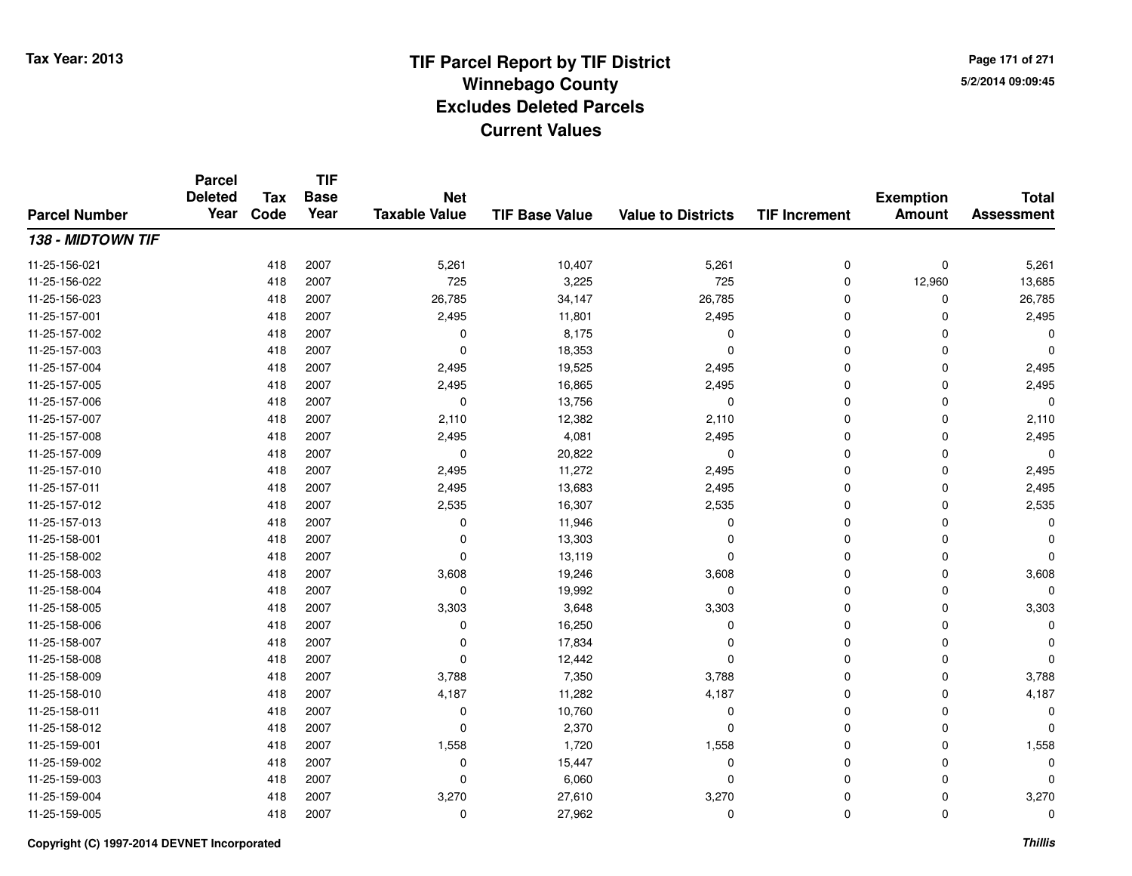**TIF**

**Parcel**

**Page 171 of 2715/2/2014 09:09:45**

### **TIF Base ValueParcel NumberTotal AssessmentExemption Amount Value to Districts TIF Increment Base YearTax Code Deleted YearNet Taxable Value138 - MIDTOWN TIF**11-25-156-0211 418 2007 5,261 10,407 5,261 0 5,261 11-25-156-022 <sup>418</sup> <sup>725</sup> <sup>2007</sup> 3,225 <sup>725</sup> <sup>0</sup> 12,960 13,685 11-25-156-0233 418 2007 26,785 34,147 26,785 0 0 26,785 11-25-157-0011 418 2007 2,495 11,801 2,495 0 0 2,495 11-25-157-002 <sup>418</sup> <sup>0</sup> <sup>2007</sup> 8,175 <sup>0</sup> <sup>0</sup> <sup>0</sup> <sup>0</sup> 11-25-157-0033 and the set of the contract of the contract of the contract of the contract of  $\sim$  0 cm  $\sim$  0 cm  $\sim$  0 cm  $\sim$  0 cm  $\sim$  0 cm  $\sim$  0 cm  $\sim$  0 cm  $\sim$  0 cm  $\sim$  0 cm  $\sim$  0 cm  $\sim$  0 cm  $\sim$  0 cm  $\sim$  0 cm  $\sim$  0 cm 11-25-157-004 <sup>418</sup> 2,495 <sup>2007</sup> 19,525 2,495 <sup>0</sup> <sup>0</sup> 2,495 11-25-157-0055 418 2007 2,495 16,865 2,495 0 0 2,495 11-25-157-006 <sup>418</sup> <sup>0</sup> <sup>2007</sup> 13,756 <sup>0</sup> <sup>0</sup> <sup>0</sup> <sup>0</sup> 11-25-157-007 $7$  2,110 2007 2,110 2,12,382 2,110 2,110 2,110 0 0 2,110 11-25-157-008 <sup>418</sup> 2,495 <sup>2007</sup> 4,081 2,495 <sup>0</sup> <sup>0</sup> 2,495 11-25-157-009 <sup>418</sup> <sup>0</sup> <sup>2007</sup> 20,822 <sup>0</sup> <sup>0</sup> <sup>0</sup> <sup>0</sup> 11-25-157-0100 2,495 2007 2,495 2007 2,495 2,495 2,495 2,495 2,495 2,495 0 2,495 0 2,495 0 2,495 0 2,495 0 2,495  $\mu$ 11-25-157-0111 418 2007 2,495 13,683 2,495 0 0 2,495 11-25-157-0122 418 2007 2,535 16,307 2,535 0 0 2,535 11-25-157-013 <sup>418</sup> <sup>0</sup> <sup>2007</sup> 11,946 <sup>0</sup> <sup>0</sup> <sup>0</sup> <sup>0</sup> 11-25-158-0011 and the contract of the contract of the contract of the contract of the contract of  $13,303$  contract of  $0$  contract of  $0$  contract of  $0$  contract of  $0$  contract of  $0$  contract of  $0$  contract of  $0$  contract of  $0$ 11-25-158-0022 418 2007 0 13,119 0 0 0 0 11-25-158-003 $3$  3 2007 2007 3,608 3,608 3,608 3,608 3,608 3,608 3,608 3,608 11-25-158-004 <sup>418</sup> <sup>0</sup> <sup>2007</sup> 19,992 <sup>0</sup> <sup>0</sup> <sup>0</sup> <sup>0</sup> 11-25-158-005 <sup>418</sup> 3,303 <sup>2007</sup> 3,648 3,303 <sup>0</sup> <sup>0</sup> 3,303 11-25-158-006 <sup>418</sup> <sup>0</sup> <sup>2007</sup> 16,250 <sup>0</sup> <sup>0</sup> <sup>0</sup> <sup>0</sup> 11-25-158-007 $7$  and  $418$  2007 and the contract of the contract of the contract of the contract of  $17,834$  and  $0$  and  $0$  and  $0$  and  $0$  and  $0$  and  $0$  and  $0$  and  $0$  and  $0$  and  $0$  and  $0$  and  $0$  and  $0$  and  $0$  and  $0$  and 11-25-158-0088 418 2007 0 12,442 0 0 0 0 11-25-158-0099 418 2007 3,788 7,350 3,788 0 0 3,788 11-25-158-0100 418 2007 4,187 11,282 4,187 0 0 4,187 11-25-158-0111 and the contract of the contract of the contract of the contract of the contract of  $10,760$  and  $0$  of  $0$  of  $0$  of  $0$  of  $0$  of  $0$  of  $0$  of  $0$  of  $0$  of  $0$  of  $0$  of  $0$  of  $0$  of  $0$  of  $0$  of  $0$  of  $0$  of  $0$ 11-25-158-012 <sup>418</sup> <sup>0</sup> <sup>2007</sup> 2,370 <sup>0</sup> <sup>0</sup> <sup>0</sup> <sup>0</sup> 11-25-159-0011 418 2007 1,558 1,720 1,558 0 0 1,558 11-25-159-002 <sup>418</sup> <sup>0</sup> <sup>2007</sup> 15,447 <sup>0</sup> <sup>0</sup> <sup>0</sup> <sup>0</sup> 11-25-159-003 <sup>418</sup> <sup>0</sup> <sup>2007</sup> 6,060 <sup>0</sup> <sup>0</sup> <sup>0</sup> <sup>0</sup> 11-25-159-004 <sup>418</sup> 3,270 <sup>2007</sup> 27,610 3,270 <sup>0</sup> <sup>0</sup> 3,270 11-25-159-005<sup>418</sup> <sup>0</sup> <sup>2007</sup> 27,962 <sup>0</sup> <sup>0</sup> <sup>0</sup> <sup>0</sup>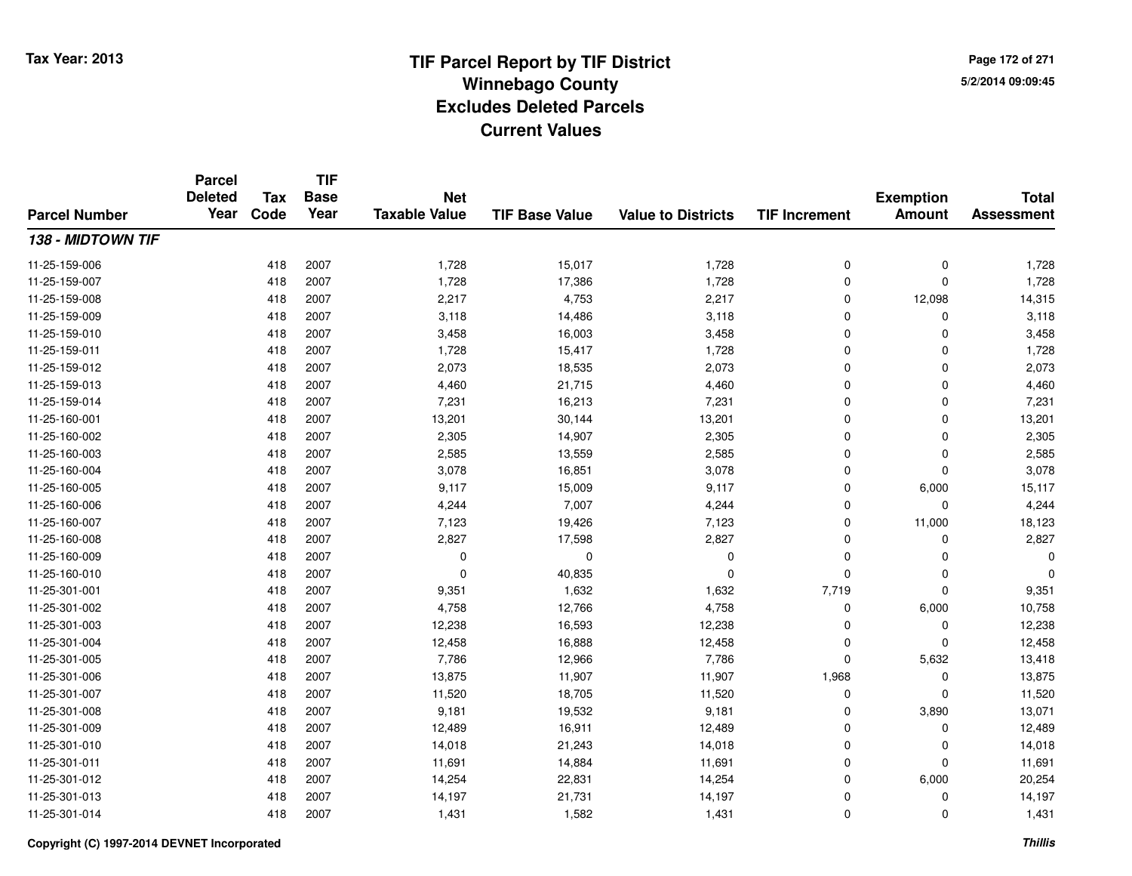**TIF**

**Parcel**

**Page 172 of 2715/2/2014 09:09:45**

### **TIF Base ValueParcel NumberTotal AssessmentExemption Amount Value to Districts TIF Increment Base YearTax Code Deleted YearNet Taxable Value138 - MIDTOWN TIF**11-25-159-006 <sup>418</sup> 1,728 <sup>2007</sup> 15,017 1,728 <sup>0</sup> <sup>0</sup> 1,728 11-25-159-007 <sup>418</sup> 1,728 <sup>2007</sup> 17,386 1,728 <sup>0</sup> <sup>0</sup> 1,728 11-25-159-0088 418 2007 2,217 4,753 2,217 0 12,098 14,315 11-25-159-0099 418 2007 3,118 14,486 3,118 0 0 3,118 11-25-159-0100 418 2007 3,458 16,003 3,458 0 0 3,458 11-25-159-0111 418 2007 1,728 15,417 1,728 0 0 1,728 11-25-159-0122 418 2007 2,073 18,535 2,073 0 0 2,073 11-25-159-013 $3$  2007 2007 4,460 21,715 4,460 21,716 4,460 21,715 4,460 21,4460 21,4460 21,4460 21,4460 21,4460 21,4460 21,4460 2007 4,460 21,715 4,460 2007 21,460 2007 21,460 21,450 21,450 21,450 21,450 21,450 21,450 21,450 21,450 21 11-25-159-0144 2007 16,213 2007 7,231 16,213 7,231 7,231 0 0 0 7,231 11-25-160-0011 418 2007 13,201 30,144 13,201 0 0 13,201 11-25-160-0022 418 2007 2,305 14,907 2,305 0 0 2,305 11-25-160-003 $3$  2007 2,585 2,585 2,585 2,585 2,585 2,585 2,585 2,585 2,585 2,585 2,585 2,585 2,585 2,585 2,585  $\,$ 11-25-160-0044 2007 2007 3,078 16,851 3,078 3,078 3,078 0 0 0 3,078 11-25-160-005 <sup>418</sup> 9,117 <sup>2007</sup> 15,009 9,117 <sup>0</sup> 6,000 15,117 11-25-160-0066 418 2007 4,244 7,007 4,244 0 4,244 11-25-160-007 <sup>418</sup> 7,123 <sup>2007</sup> 19,426 7,123 <sup>0</sup> 11,000 18,123 11-25-160-0088 418 2007 2,827 17,598 2,827 0 0 2,827 11-25-160-009 <sup>418</sup> <sup>0</sup> <sup>2007</sup> <sup>0</sup> <sup>0</sup> <sup>0</sup> <sup>0</sup> <sup>0</sup> 11-25-160-010 <sup>418</sup> <sup>0</sup> <sup>2007</sup> 40,835 <sup>0</sup> <sup>0</sup> <sup>0</sup> <sup>0</sup> 11-25-301-0011 418 2007 9,351 1,632 1,632 7,719 0 9,351 11-25-301-0022 418 2007 4,758 12,766 4,758 0 6,000 10,758 11-25-301-0033 418 2007 12,238 16,593 12,238 0 0 12,238 11-25-301-0044 18 2007 12,458 16,888 16,888 12,458 0 0 0 12,458 11-25-301-005 <sup>418</sup> 7,786 <sup>2007</sup> 12,966 7,786 <sup>0</sup> 5,632 13,418 11-25-301-006 <sup>418</sup> 13,875 <sup>2007</sup> 11,907 11,907 1,968 <sup>0</sup> 13,875 11-25-301-007 <sup>418</sup> 11,520 <sup>2007</sup> 18,705 11,520 <sup>0</sup> <sup>0</sup> 11,520 11-25-301-008 <sup>418</sup> 9,181 <sup>2007</sup> 19,532 9,181 <sup>0</sup> 3,890 13,071 11-25-301-0099 418 2007 12,489 16,911 12,489 0 0 12,489 11-25-301-0100 418 2007 14,018 21,243 14,018 0 0 14,018 11-25-301-0111 418 2007 11,691 14,884 11,691 0 0 11,691 11-25-301-0122 418 2007 14,254 22,831 14,254 0 6,000 20,254 11-25-301-013 <sup>418</sup> 14,197 <sup>2007</sup> 21,731 14,197 <sup>0</sup> <sup>0</sup> 14,197 11-25-301-014<sup>418</sup> 1,431 <sup>2007</sup> 1,582 1,431 <sup>0</sup> <sup>0</sup> 1,431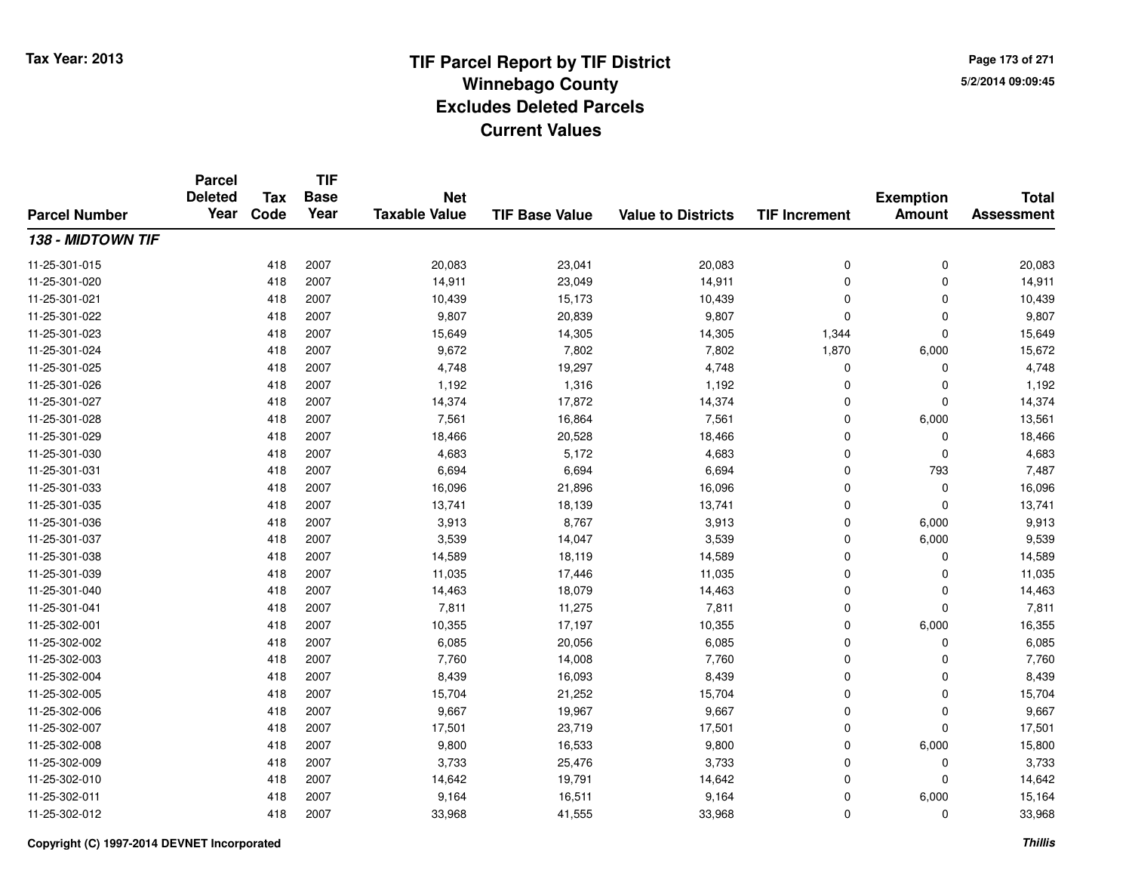**TIF**

**Parcel**

**Page 173 of 2715/2/2014 09:09:45**

### **TIF Base ValueParcel NumberTotal AssessmentExemption Amount Value to Districts TIF Increment Base YearTax Code Deleted YearNet Taxable Value138 - MIDTOWN TIF**11-25-301-015 <sup>418</sup> 20,083 <sup>2007</sup> 23,041 20,083 <sup>0</sup> <sup>0</sup> 20,083 11-25-301-0200 418 2007 14,911 23,049 14,911 0 0 14,911 11-25-301-0211 418 2007 10,439 15,173 10,439 0 0 10,439 11-25-301-0222 418 2007 9,807 20,839 9,807 0 0 9,807 11-25-301-0233 418 2007 15,649 14,305 14,305 1,344 0 15,649 11-25-301-024 <sup>418</sup> 9,672 <sup>2007</sup> 7,802 7,802 1,870 6,000 15,672 11-25-301-025 <sup>418</sup> 4,748 <sup>2007</sup> 19,297 4,748 <sup>0</sup> <sup>0</sup> 4,748 11-25-301-026 <sup>418</sup> 1,192 <sup>2007</sup> 1,316 1,192 <sup>0</sup> <sup>0</sup> 1,192 11-25-301-027 <sup>418</sup> 14,374 <sup>2007</sup> 17,872 14,374 <sup>0</sup> <sup>0</sup> 14,374 11-25-301-0288 418 2007 7,561 16,864 7,561 0 6,000 13,561 11-25-301-0299 418 2007 18,466 20,528 18,466 0 0 18,466 11-25-301-0300 418 2007 4,683 5,172 4,683 0 0 4,683 11-25-301-0311 418 2007 6,694 6,694 6,694 0 793 7,487 11-25-301-0333 418 2007 16,096 21,896 16,096 0 0 16,096 11-25-301-035 <sup>418</sup> 13,741 <sup>2007</sup> 18,139 13,741 <sup>0</sup> <sup>0</sup> 13,741 11-25-301-036 <sup>418</sup> 3,913 <sup>2007</sup> 8,767 3,913 <sup>0</sup> 6,000 9,913 11-25-301-037 <sup>418</sup> 3,539 <sup>2007</sup> 14,047 3,539 <sup>0</sup> 6,000 9,539 11-25-301-038 <sup>418</sup> 14,589 <sup>2007</sup> 18,119 14,589 <sup>0</sup> <sup>0</sup> 14,589 11-25-301-0399 418 2007 11,035 17,446 11,035 0 11,035 11-25-301-0400 418 2007 14,463 18,079 14,463 0 0 14,463 11-25-301-0411 418 2007 7,811 11,275 7,811 0 0 7,811 11-25-302-0011 418 2007 10,355 17,197 10,355 0 6,000 16,355 11-25-302-0022 418 2007 6,085 20,056 6,085 0 6,085 11-25-302-0033 418 2007 7,760 14,008 7,760 0 0 7,760 11-25-302-0044 2007 2007 2007 8,439 16,093 8,439 8,439 0 0 0 8,439 11-25-302-005 <sup>418</sup> 15,704 <sup>2007</sup> 21,252 15,704 <sup>0</sup> <sup>0</sup> 15,704 11-25-302-0066 418 2007 9,667 19,967 9,667 0 0 9,667 11-25-302-007 <sup>418</sup> 17,501 <sup>2007</sup> 23,719 17,501 <sup>0</sup> <sup>0</sup> 17,501 11-25-302-008 <sup>418</sup> 9,800 <sup>2007</sup> 16,533 9,800 <sup>0</sup> 6,000 15,800 11-25-302-009 <sup>418</sup> 3,733 <sup>2007</sup> 25,476 3,733 <sup>0</sup> <sup>0</sup> 3,733 11-25-302-0100 418 2007 14,642 19,791 14,642 0 0 14,642 11-25-302-0111 418 2007 9,164 16,511 9,164 0 6,000 15,164 11-25-302-0122 418 2007 33,968 41,555 33,968 0 0 33,968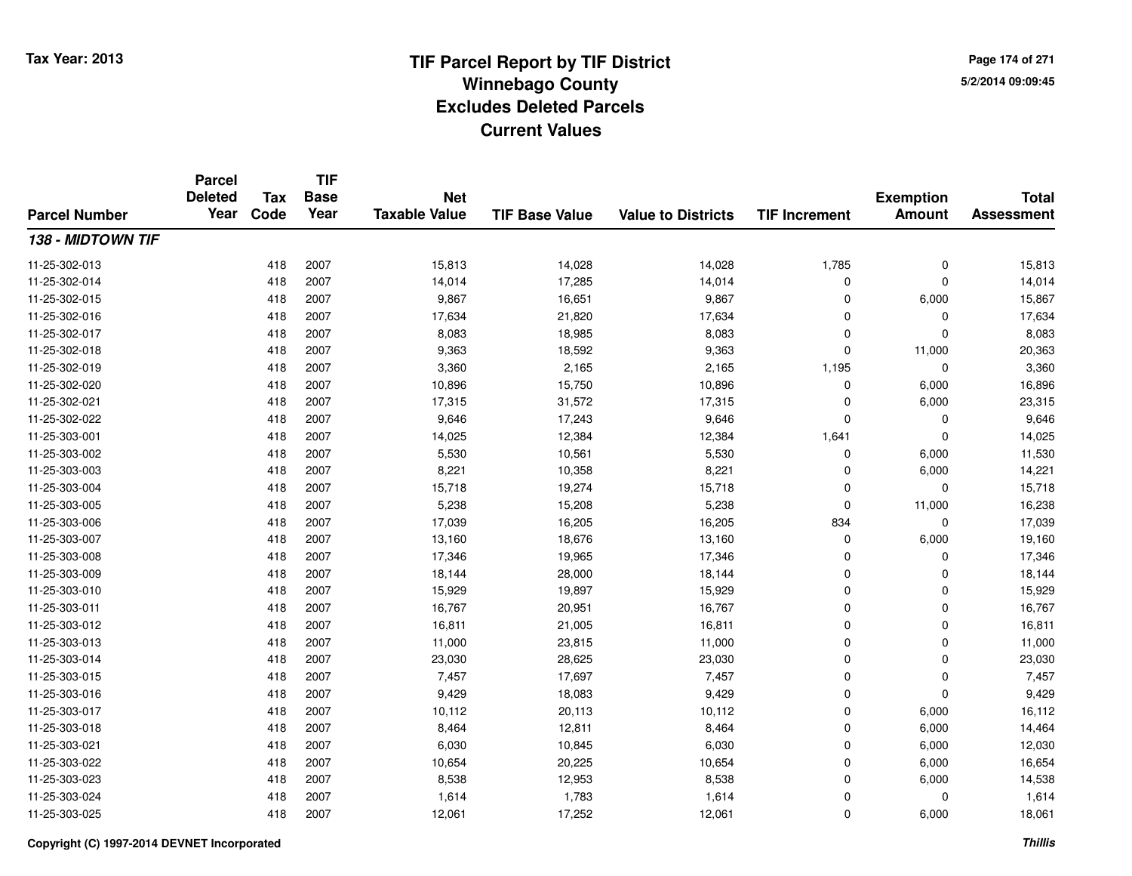**TIF**

**Parcel**

**Page 174 of 2715/2/2014 09:09:45**

### **TIF Base ValueParcel NumberTotal AssessmentExemption Amount Value to Districts TIF Increment Base YearTax Code Deleted YearNet Taxable Value138 - MIDTOWN TIF**11-25-302-0133 418 2007 15,813 14,028 14,028 1,785 0 15,813 11-25-302-0144 418 2007 14,014 17,285 14,014 0 0 14,014 11-25-302-0155 418 2007 9,867 16,651 9,867 0 6,000 15,867 11-25-302-016 <sup>418</sup> 17,634 <sup>2007</sup> 21,820 17,634 <sup>0</sup> <sup>0</sup> 17,634 11-25-302-017 <sup>418</sup> 8,083 <sup>2007</sup> 18,985 8,083 <sup>0</sup> <sup>0</sup> 8,083 11-25-302-018 <sup>418</sup> 9,363 <sup>2007</sup> 18,592 9,363 <sup>0</sup> 11,000 20,363 11-25-302-0199 418 2007 3,360 2,165 2,165 1,195 0 3,360 11-25-302-0200 418 2007 10,896 15,750 10,896 0 6,000 16,896 11-25-302-0211 418 2007 17,315 31,572 17,315 0 6,000 23,315 11-25-302-0222 418 2007 9,646 17,243 9,646 0 0 9,646 11-25-303-0011 418 2007 14,025 12,384 12,384 1,641 0 14,025 11-25-303-0022 418 2007 5,530 10,561 5,530 0 6,000 11,530 11-25-303-0033 418 2007 8,221 10,358 8,221 0 6,000 14,221 11-25-303-004 <sup>418</sup> 15,718 <sup>2007</sup> 19,274 15,718 <sup>0</sup> <sup>0</sup> 15,718 11-25-303-005 <sup>418</sup> 5,238 <sup>2007</sup> 15,208 5,238 <sup>0</sup> 11,000 16,238 11-25-303-006 <sup>418</sup> 17,039 <sup>2007</sup> 16,205 16,205 <sup>834</sup> <sup>0</sup> 17,039 11-25-303-007 <sup>418</sup> 13,160 <sup>2007</sup> 18,676 13,160 <sup>0</sup> 6,000 19,160 11-25-303-008 <sup>418</sup> 17,346 <sup>2007</sup> 19,965 17,346 <sup>0</sup> <sup>0</sup> 17,346 11-25-303-0099 418 2007 18,144 28,000 18,144 0 0 18,144 11-25-303-0100 418 2007 15,929 19,897 15,929 0 0 15,929 11-25-303-0111 418 2007 16,767 20,951 16,767 0 0 16,767 11-25-303-0122 418 2007 16,811 21,005 16,811 0 0 16,811 11-25-303-0133 418 2007 11,000 23,815 11,000 0 0 11,000 11-25-303-0144 23,030 23,030 23,030 23,030 28,625 23,030 23,030 0 0 23,030 11-25-303-015 <sup>418</sup> 7,457 <sup>2007</sup> 17,697 7,457 <sup>0</sup> <sup>0</sup> 7,457 11-25-303-016 <sup>418</sup> 9,429 <sup>2007</sup> 18,083 9,429 <sup>0</sup> <sup>0</sup> 9,429 11-25-303-017 <sup>418</sup> 10,112 <sup>2007</sup> 20,113 10,112 <sup>0</sup> 6,000 16,112 11-25-303-0188 418 2007 8,464 12,811 8,464 0 6,000 14,464 11-25-303-0211 418 2007 6,030 10,845 6,030 0 6,000 12,030 11-25-303-0222 418 2007 10,654 20,225 10,654 0 6,000 16,654 11-25-303-0233 418 2007 8,538 12,953 8,538 0 6,000 14,538 11-25-303-0244 418 2007 1,614 1,783 1,614 0 0 1,614 11-25-303-025<sup>418</sup> 12,061 <sup>2007</sup> 17,252 12,061 <sup>0</sup> 6,000 18,061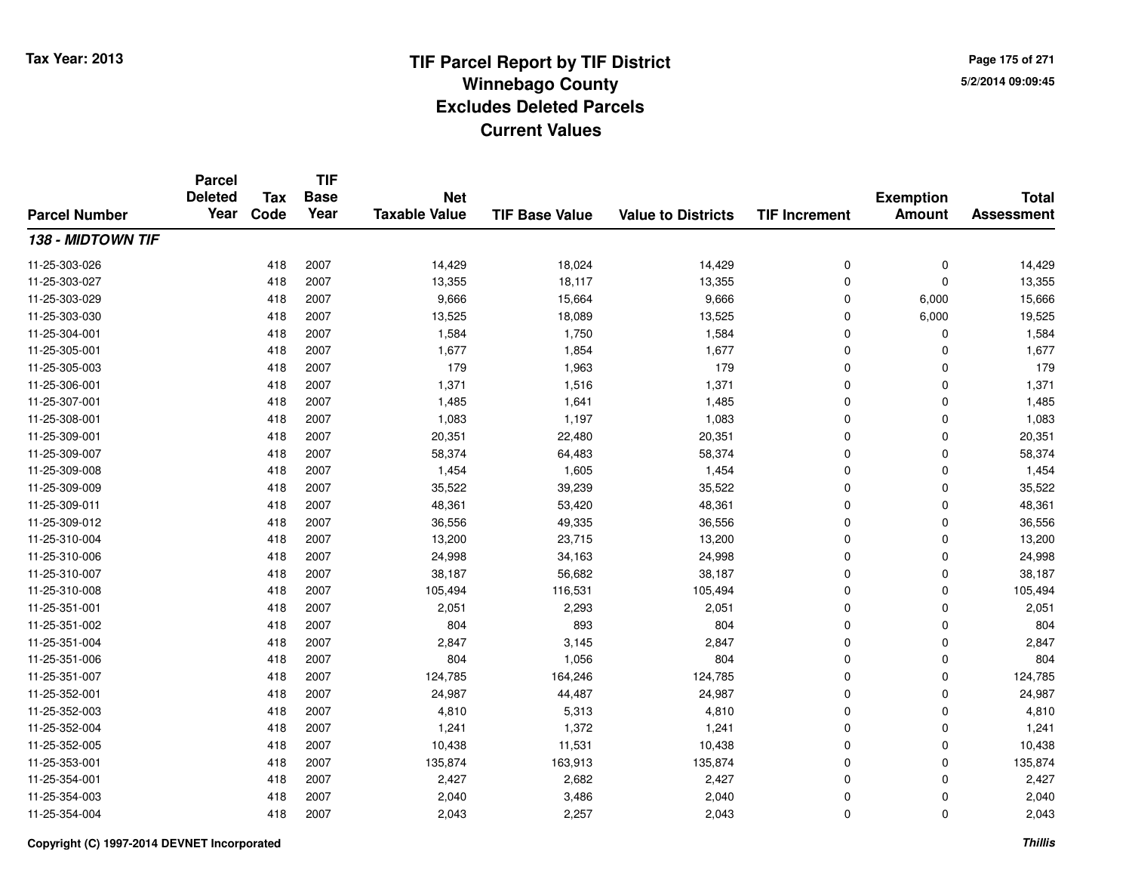**TIF**

**Parcel**

**Page 175 of 2715/2/2014 09:09:45**

### **TIF Base ValueParcel NumberTotal AssessmentExemption Amount Value to Districts TIF Increment Base YearTax Code Deleted YearNet Taxable Value138 - MIDTOWN TIF**11-25-303-026 <sup>418</sup> 14,429 <sup>2007</sup> 18,024 14,429 <sup>0</sup> <sup>0</sup> 14,429 11-25-303-027 <sup>418</sup> 13,355 <sup>2007</sup> 18,117 13,355 <sup>0</sup> <sup>0</sup> 13,355 11-25-303-0299 418 2007 9,666 15,664 9,666 0 6,000 15,666 11-25-303-0300 418 2007 13,525 18,089 13,525 0 6,000 19,525 11-25-304-0011 418 2007 1,584 1,750 1,584 0 0 1,584 11-25-305-0011 418 2007 1,677 1,854 1,677 0 0 1,677 11-25-305-0033 418 2007 179 1,963 179 0 0 179 11-25-306-0011 418 2007 1,371 1,516 1,371 0 0 1,371 11-25-307-0011 418 2007 1,485 1,641 1,485 0 0 1,485 11-25-308-0011 418 2007 1,083 1,197 1,083 0 0 1,083 11-25-309-0011 418 2007 20,351 22,480 20,351 0 0 20,351 11-25-309-007 <sup>418</sup> 58,374 <sup>2007</sup> 64,483 58,374 <sup>0</sup> <sup>0</sup> 58,374 11-25-309-008 <sup>418</sup> 1,454 <sup>2007</sup> 1,605 1,454 <sup>0</sup> <sup>0</sup> 1,454 11-25-309-0099 418 2007 35,522 39,239 35,522 0 0 35,522 11-25-309-0111 418 2007 48,361 53,420 48,361 0 0 48,361 11-25-309-0122 418 2007 36,556 49,335 36,556 0 0 36,556 11-25-310-004 <sup>418</sup> 13,200 <sup>2007</sup> 23,715 13,200 <sup>0</sup> <sup>0</sup> 13,200 11-25-310-006 <sup>418</sup> 24,998 <sup>2007</sup> 34,163 24,998 <sup>0</sup> <sup>0</sup> 24,998 11-25-310-007 <sup>418</sup> 38,187 <sup>2007</sup> 56,682 38,187 <sup>0</sup> <sup>0</sup> 38,187 11-25-310-0088 418 2007 105,494 116,531 105,494 0 105,494 11-25-351-0011 418 2007 2,051 2,293 2,051 0 2,051 11-25-351-002 <sup>418</sup> <sup>804</sup> <sup>2007</sup> <sup>893</sup> <sup>804</sup> <sup>0</sup> <sup>0</sup> <sup>804</sup> 11-25-351-0044 2007 2,847 2007 2,847 3,145 2,847 3,145 2,847 0 0 0 2,847 11-25-351-006 <sup>418</sup> <sup>804</sup> <sup>2007</sup> 1,056 <sup>804</sup> <sup>0</sup> <sup>0</sup> <sup>804</sup> 11-25-351-007 <sup>418</sup> 124,785 <sup>2007</sup> 164,246 124,785 <sup>0</sup> <sup>0</sup> 124,785 11-25-352-0011 418 2007 24,987 44,487 24,987 0 0 24,987 11-25-352-0033 418 2007 4,810 5,313 4,810 0 0 4,810 11-25-352-0044 418 2007 1,241 1,372 1,241 0 0 1,241 11-25-352-005 <sup>418</sup> 10,438 <sup>2007</sup> 11,531 10,438 <sup>0</sup> <sup>0</sup> 10,438 11-25-353-0011 418 2007 135,874 163,913 135,874 0 135,874 11-25-354-0011 418 2007 2,427 2,682 2,427 0 0 2,427 11-25-354-003 $3$  2007 2,040 2,040 3,486 2,040 2,040 0 0 2,040 11-25-354-0044 418 2007 2,043 2,257 2,043 0 0 2,043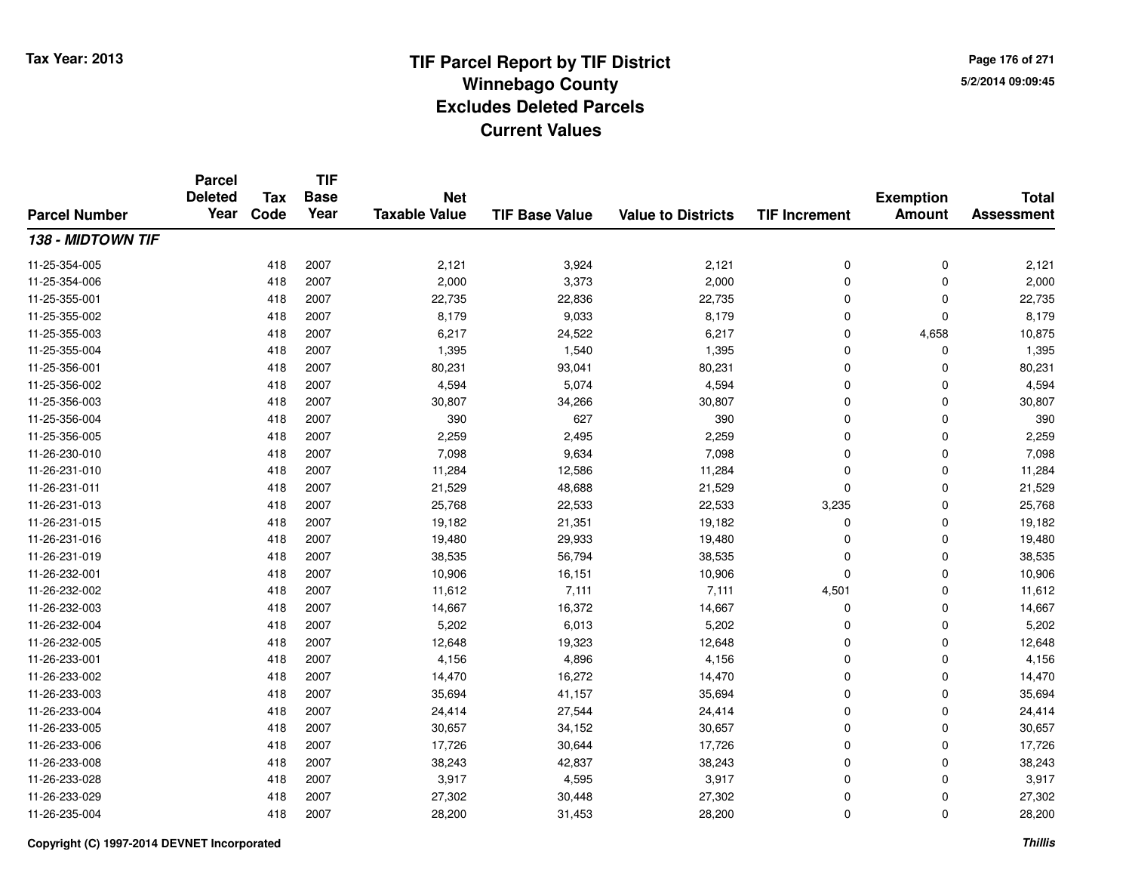**TIF**

**Parcel**

**Page 176 of 2715/2/2014 09:09:45**

### **TIF Base ValueParcel NumberTotal AssessmentExemption Amount Value to Districts TIF Increment Base YearTax Code Deleted YearNet Taxable Value138 - MIDTOWN TIF**11-25-354-005 <sup>418</sup> 2,121 <sup>2007</sup> 3,924 2,121 <sup>0</sup> <sup>0</sup> 2,121 11-25-354-006 <sup>418</sup> 2,000 <sup>2007</sup> 3,373 2,000 <sup>0</sup> <sup>0</sup> 2,000 11-25-355-0011 418 2007 22,735 22,836 22,735 0 22,735 11-25-355-0022 418 2007 8,179 9,033 8,179 0 0 8,179 11-25-355-0033 418 2007 6,217 24,522 6,217 0 4,658 10,875 11-25-355-004 <sup>418</sup> 1,395 <sup>2007</sup> 1,540 1,395 <sup>0</sup> <sup>0</sup> 1,395 11-25-356-0011 418 2007 80,231 93,041 80,231 0 0 80,231 11-25-356-0022 418 2007 4,594 5,074 4,594 0 0 4,594 11-25-356-0033 418 2007 30,807 34,266 30,807 0 0 30,807 11-25-356-004 <sup>418</sup> <sup>390</sup> <sup>2007</sup> <sup>627</sup> <sup>390</sup> <sup>0</sup> <sup>0</sup> <sup>390</sup> 11-25-356-0055 418 2007 2,259 2,495 2,259 0 0 2,259 11-26-230-0100 418 2007 7,098 9,634 7,098 0 7,098 11-26-231-0100 418 2007 11,284 12,586 11,284 0 0 11,284 11-26-231-0111 418 2007 21,529 48,688 21,529 0 0 21,529 11-26-231-013 <sup>418</sup> 25,768 <sup>2007</sup> 22,533 22,533 3,235 <sup>0</sup> 25,768 11-26-231-015 <sup>418</sup> 19,182 <sup>2007</sup> 21,351 19,182 <sup>0</sup> <sup>0</sup> 19,182 11-26-231-016 <sup>418</sup> 19,480 <sup>2007</sup> 29,933 19,480 <sup>0</sup> <sup>0</sup> 19,480 11-26-231-0199 418 2007 38,535 56,794 38,535 0 0 38,535 11-26-232-0011 418 2007 10,906 16,151 10,906 0 0 10,906 11-26-232-0022 11,612 2007 11,612 7,111 7,111 7,111 4,501 0 11,612 11-26-232-0033 418 2007 14,667 16,372 14,667 0 0 14,667 11-26-232-004 <sup>418</sup> 5,202 <sup>2007</sup> 6,013 5,202 <sup>0</sup> <sup>0</sup> 5,202 11-26-232-0055 418 2007 12,648 19,323 12,648 0 0 12,648 11-26-233-0011 418 2007 4,156 4,896 4,156 0 0 4,156 11-26-233-0022 418 2007 14,470 16,272 14,470 0 0 14,470 11-26-233-0033 418 2007 35,694 41,157 35,694 0 0 35,694 11-26-233-0044 24,418 2007 24,414 27,544 24,414 24,414 0 0 0 24,414 11-26-233-005 <sup>418</sup> 30,657 <sup>2007</sup> 34,152 30,657 <sup>0</sup> <sup>0</sup> 30,657 11-26-233-006 <sup>418</sup> 17,726 <sup>2007</sup> 30,644 17,726 <sup>0</sup> <sup>0</sup> 17,726 11-26-233-0088 418 2007 38,243 42,837 38,243 0 0 38,243 11-26-233-0288 418 2007 3,917 4,595 3,917 0 0 3,917 11-26-233-029 <sup>418</sup> 27,302 <sup>2007</sup> 30,448 27,302 <sup>0</sup> <sup>0</sup> 27,302 11-26-235-0044 28,200 28,200 28,200 31,453 28,200 3 28,200 0 0 28,200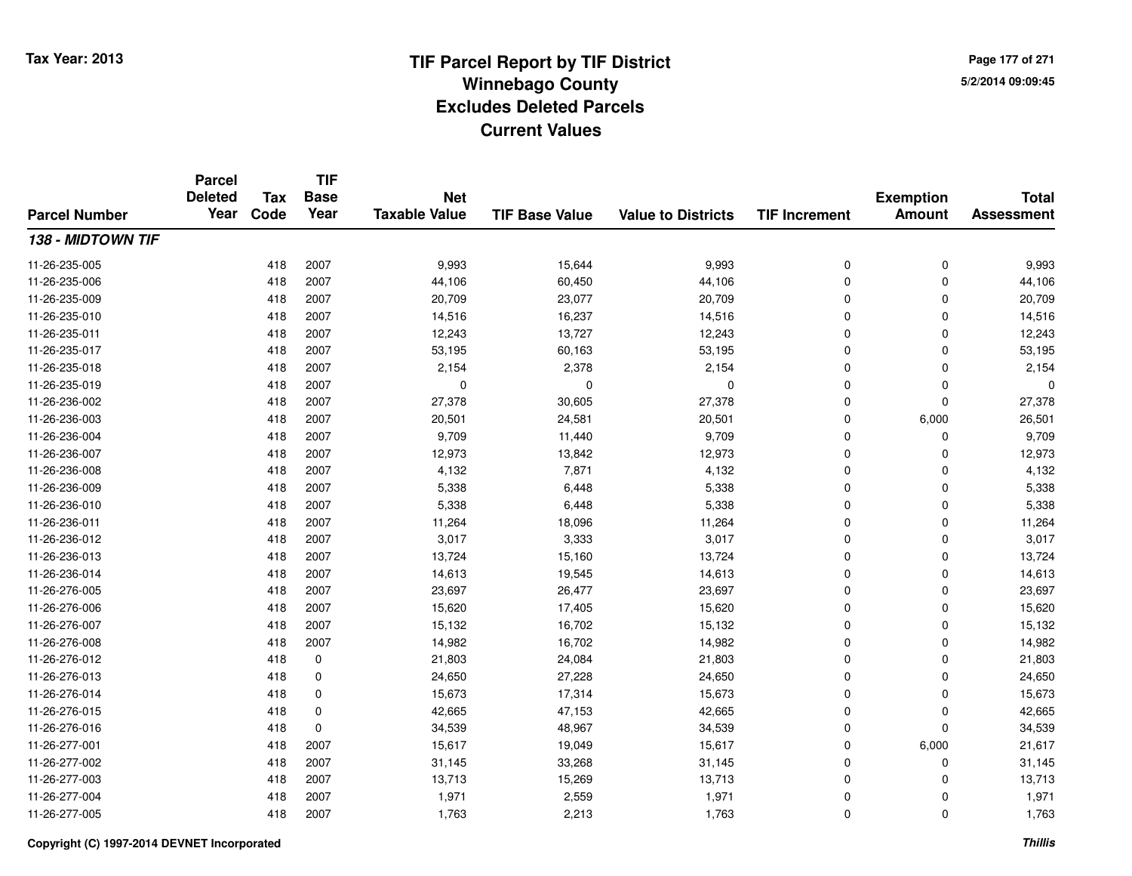**TIF**

**Parcel**

**Page 177 of 2715/2/2014 09:09:45**

### **TIF Base ValueParcel NumberTotal AssessmentExemption Amount Value to Districts TIF Increment Base YearTax Code Deleted YearNet Taxable Value138 - MIDTOWN TIF**11-26-235-0055 29,993 2007 2007 2007 9,993 2010 15,644 2010 9,993 2010 10 0 9,993 2011 15,993 2011 15,993 2011 15,993 2011 1 11-26-235-006 <sup>418</sup> 44,106 <sup>2007</sup> 60,450 44,106 <sup>0</sup> <sup>0</sup> 44,106 11-26-235-009 <sup>418</sup> 20,709 <sup>2007</sup> 23,077 20,709 <sup>0</sup> <sup>0</sup> 20,709 11-26-235-0100 418 2007 14,516 16,237 14,516 0 0 14,516 11-26-235-0111 418 2007 12,243 13,727 12,243 0 0 12,243 11-26-235-017 <sup>418</sup> 53,195 <sup>2007</sup> 60,163 53,195 <sup>0</sup> <sup>0</sup> 53,195 11-26-235-018 <sup>418</sup> 2,154 <sup>2007</sup> 2,378 2,154 <sup>0</sup> <sup>0</sup> 2,154 11-26-235-019 <sup>418</sup> <sup>0</sup> <sup>2007</sup> <sup>0</sup> <sup>0</sup> <sup>0</sup> <sup>0</sup> <sup>0</sup> 11-26-236-0022 2 2 2 30,605 27,378 30,605 27,378 0 27,378 0 27,378 11-26-236-0033 418 2007 20,501 24,581 20,501 0 6,000 26,501 11-26-236-004 <sup>418</sup> 9,709 <sup>2007</sup> 11,440 9,709 <sup>0</sup> <sup>0</sup> 9,709 11-26-236-007 <sup>418</sup> 12,973 <sup>2007</sup> 13,842 12,973 <sup>0</sup> <sup>0</sup> 12,973 11-26-236-0088 418 2007 4,132 7,871 4,132 0 0 4,132 11-26-236-0099 418 2007 5,338 6,448 5,338 0 0 5,338 11-26-236-0100 418 2007 5,338 6,448 5,338 0 0 5,338 11-26-236-0111 418 2007 11,264 18,096 11,264 0 0 11,264 11-26-236-0122 418 2007 3,017 3,333 3,017 0 0 3,017 11-26-236-0133 418 2007 13,724 15,160 13,724 0 0 13,724 11-26-236-014 <sup>418</sup> 14,613 <sup>2007</sup> 19,545 14,613 <sup>0</sup> <sup>0</sup> 14,613 11-26-276-005 <sup>418</sup> 23,697 <sup>2007</sup> 26,477 23,697 <sup>0</sup> <sup>0</sup> 23,697 11-26-276-006 <sup>418</sup> 15,620 <sup>2007</sup> 17,405 15,620 <sup>0</sup> <sup>0</sup> 15,620 11-26-276-007 <sup>418</sup> 15,132 <sup>2007</sup> 16,702 15,132 <sup>0</sup> <sup>0</sup> 15,132 11-26-276-0088 418 2007 14,982 16,702 14,982 0 0 14,982 11-26-276-0122 418 0 21,803 24,084 21,803 0 0 21,803 11-26-276-013 $3$  3 24,650  $24,650$  27,228  $24,650$   $24,650$   $24,650$ 11-26-276-014 <sup>418</sup> 15,673 <sup>0</sup> 17,314 15,673 <sup>0</sup> <sup>0</sup> 15,673 11-26-276-0155 418 0 42,665 47,153 42,665 0 42,665 11-26-276-0166 418 0 34,539 48,967 34,539 0 0 34,539 11-26-277-0011 418 2007 15,617 19,049 15,617 0 6,000 21,617 11-26-277-0022 418 2007 31,145 33,268 31,145 0 0 31,145 11-26-277-0033 418 2007 13,713 15,269 13,713 0 0 13,713 11-26-277-004 <sup>418</sup> 1,971 <sup>2007</sup> 2,559 1,971 <sup>0</sup> <sup>0</sup> 1,971 11-26-277-005<sup>418</sup> 1,763 <sup>2007</sup> 2,213 1,763 <sup>0</sup> <sup>0</sup> 1,763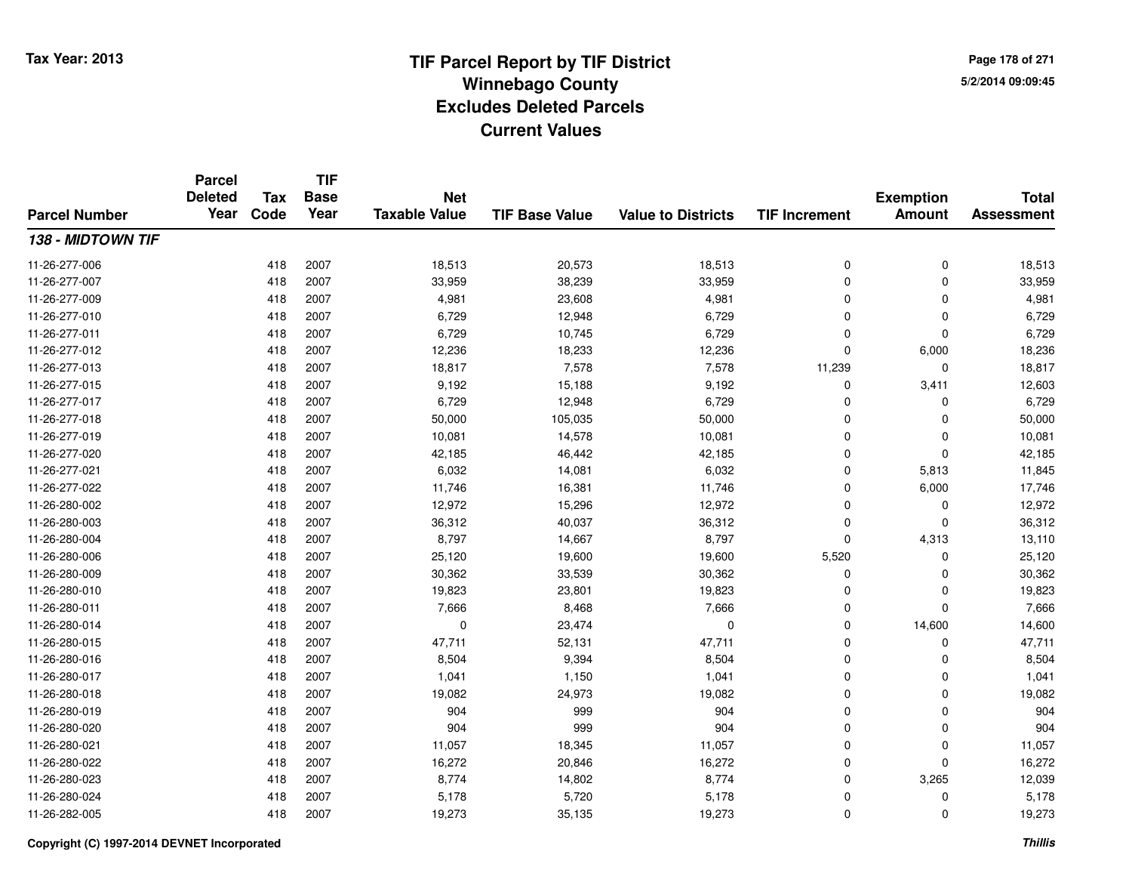**TIF**

**Parcel**

**Page 178 of 2715/2/2014 09:09:45**

### **TIF Base ValueParcel NumberTotal AssessmentExemption Amount Value to Districts TIF Increment Base YearTax Code Deleted YearNet Taxable Value138 - MIDTOWN TIF**11-26-277-006 <sup>418</sup> 18,513 <sup>2007</sup> 20,573 18,513 <sup>0</sup> <sup>0</sup> 18,513 11-26-277-007 <sup>418</sup> 33,959 <sup>2007</sup> 38,239 33,959 <sup>0</sup> <sup>0</sup> 33,959 11-26-277-0099 418 2007 4,981 23,608 4,981 0 4,981 11-26-277-0100 418 2007 6,729 12,948 6,729 0 0 6,729 11-26-277-0111 418 2007 6,729 10,745 6,729 0 0 6,729 11-26-277-0122 418 2007 12,236 18,233 12,236 0 6,000 18,236 11-26-277-013 <sup>418</sup> 18,817 <sup>2007</sup> 7,578 7,578 11,239 <sup>0</sup> 18,817 11-26-277-015 <sup>418</sup> 9,192 <sup>2007</sup> 15,188 9,192 <sup>0</sup> 3,411 12,603 11-26-277-017 <sup>418</sup> 6,729 <sup>2007</sup> 12,948 6,729 <sup>0</sup> <sup>0</sup> 6,729 11-26-277-018 <sup>418</sup> 50,000 <sup>2007</sup> 105,035 50,000 <sup>0</sup> <sup>0</sup> 50,000 11-26-277-0199 418 2007 10,081 14,578 10,081 0 0 10,081 11-26-277-0200 418 2007 42,185 46,442 42,185 0 0 42,185 11-26-277-0211 418 2007 6,032 14,081 6,032 0 5,813 11,845 11-26-277-0222 418 2007 11,746 16,381 11,746 0 6,000 17,746 11-26-280-0022 418 2007 12,972 15,296 12,972 0 0 12,972 11-26-280-0033 418 2007 36,312 40,037 36,312 0 0 36,312 11-26-280-004 <sup>418</sup> 8,797 <sup>2007</sup> 14,667 8,797 <sup>0</sup> 4,313 13,110 11-26-280-006 <sup>418</sup> 25,120 <sup>2007</sup> 19,600 19,600 5,520 <sup>0</sup> 25,120 11-26-280-009 <sup>418</sup> 30,362 <sup>2007</sup> 33,539 30,362 <sup>0</sup> <sup>0</sup> 30,362 11-26-280-0100 418 2007 19,823 23,801 19,823 0 0 19,823 11-26-280-0111 418 2007 7,666 8,468 7,666 0 7,666 11-26-280-0144 23,474 0 2007 14,600 14,600 14,600 14,600 11-26-280-015 <sup>418</sup> 47,711 <sup>2007</sup> 52,131 47,711 <sup>0</sup> <sup>0</sup> 47,711 11-26-280-016 <sup>418</sup> 8,504 <sup>2007</sup> 9,394 8,504 <sup>0</sup> <sup>0</sup> 8,504 11-26-280-017 <sup>418</sup> 1,041 <sup>2007</sup> 1,150 1,041 <sup>0</sup> <sup>0</sup> 1,041 11-26-280-018 <sup>418</sup> 19,082 <sup>2007</sup> 24,973 19,082 <sup>0</sup> <sup>0</sup> 19,082 11-26-280-019 <sup>418</sup> <sup>904</sup> <sup>2007</sup> <sup>999</sup> <sup>904</sup> <sup>0</sup> <sup>0</sup> <sup>904</sup> 11-26-280-020 <sup>418</sup> <sup>904</sup> <sup>2007</sup> <sup>999</sup> <sup>904</sup> <sup>0</sup> <sup>0</sup> <sup>904</sup> 11-26-280-0211 418 2007 11,057 18,345 11,057 0 0 11,057 11-26-280-0222 2 418 2007 16,272 20,846 16,272 0 0 16,272 11-26-280-0233 418 2007 8,774 14,802 8,774 0 3,265 12,039 11-26-280-024 <sup>418</sup> 5,178 <sup>2007</sup> 5,720 5,178 <sup>0</sup> <sup>0</sup> 5,178 11-26-282-005<sup>418</sup> 19,273 <sup>2007</sup> 35,135 19,273 <sup>0</sup> <sup>0</sup> 19,273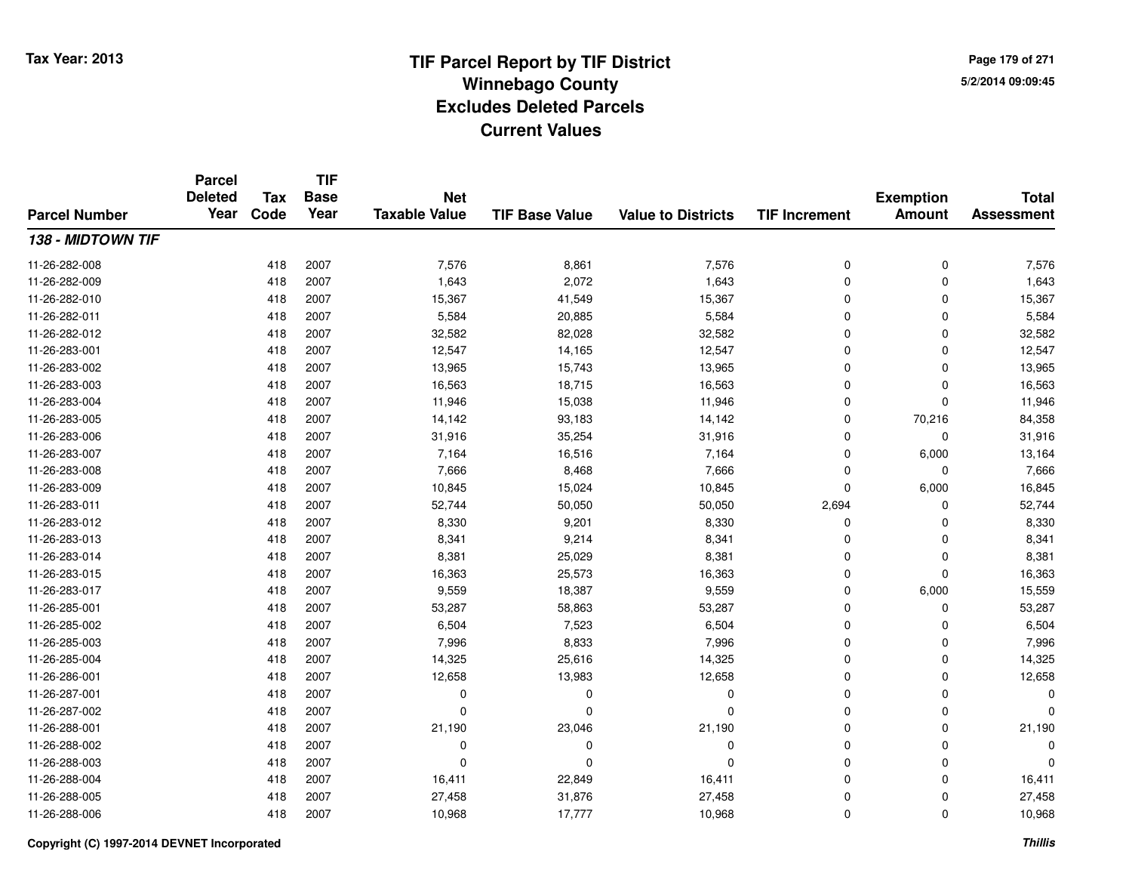**TIF**

**Parcel**

**Page 179 of 2715/2/2014 09:09:45**

### **TIF Base ValueParcel NumberTotal AssessmentExemption Amount Value to Districts TIF Increment Base YearTax Code Deleted YearNet Taxable Value138 - MIDTOWN TIF**11-26-282-008 <sup>418</sup> 7,576 <sup>2007</sup> 8,861 7,576 <sup>0</sup> <sup>0</sup> 7,576 11-26-282-0099 418 2007 1,643 2,072 1,643 0 0 1,643 11-26-282-0100 418 2007 15,367 41,549 15,367 0 0 15,367 11-26-282-0111 418 2007 5,584 20,885 5,584 0 0 5,584 11-26-282-0122 418 2007 32,582 82,028 32,582 0 0 32,582 11-26-283-0011 418 2007 12,547 14,165 12,547 0 0 12,547 11-26-283-002 <sup>418</sup> 13,965 <sup>2007</sup> 15,743 13,965 <sup>0</sup> <sup>0</sup> 13,965 11-26-283-0033 418 2007 16,563 18,715 16,563 0 0 16,563 11-26-283-0044 418 2007 11,946 15,038 11,946 0 0 11,946 11-26-283-0055 418 2007 14,142 93,183 14,142 0 70,216 84,358 11-26-283-006 <sup>418</sup> 31,916 <sup>2007</sup> 35,254 31,916 <sup>0</sup> <sup>0</sup> 31,916 11-26-283-007 <sup>418</sup> 7,164 <sup>2007</sup> 16,516 7,164 <sup>0</sup> 6,000 13,164 11-26-283-0088 418 2007 7,666 8,468 7,666 0 0 7,666 11-26-283-0099 418 2007 10,845 15,024 10,845 0 6,000 16,845 11-26-283-011 <sup>418</sup> 52,744 <sup>2007</sup> 50,050 50,050 2,694 <sup>0</sup> 52,744 11-26-283-0122 418 2007 8,330 9,201 8,330 0 0 8,330 11-26-283-0133 418 2007 8,341 9,214 8,341 0 0 8,341 11-26-283-0144 26,029 8,381 2007 8,381 25,029 8,381 8,381 25,029 8,381 26,029 8,381 2012 11-26-283-015 <sup>418</sup> 16,363 <sup>2007</sup> 25,573 16,363 <sup>0</sup> <sup>0</sup> 16,363 11-26-283-017 <sup>418</sup> 9,559 <sup>2007</sup> 18,387 9,559 <sup>0</sup> 6,000 15,559 11-26-285-0011 418 2007 53,287 58,863 53,287 0 0 53,287 11-26-285-0022 418 2007 6,504 7,523 6,504 0 0 6,504 11-26-285-0033 418 2007 7,996 8,833 7,996 0 7,996 11-26-285-0044 418 2007 14,325 25,616 14,325 0 0 14,325 11-26-286-0011 418 2007 12,658 13,983 12,658 0 0 12,658 11-26-287-001 <sup>418</sup> <sup>0</sup> <sup>2007</sup> <sup>0</sup> <sup>0</sup> <sup>0</sup> <sup>0</sup> <sup>0</sup> 11-26-287-002 <sup>418</sup> <sup>0</sup> <sup>2007</sup> <sup>0</sup> <sup>0</sup> <sup>0</sup> <sup>0</sup> <sup>0</sup> 11-26-288-0011 418 2007 21,190 23,046 21,190 0 0 21,190 11-26-288-002 <sup>418</sup> <sup>0</sup> <sup>2007</sup> <sup>0</sup> <sup>0</sup> <sup>0</sup> <sup>0</sup> <sup>0</sup> 11-26-288-003 <sup>418</sup> <sup>0</sup> <sup>2007</sup> <sup>0</sup> <sup>0</sup> <sup>0</sup> <sup>0</sup> <sup>0</sup> 11-26-288-004 <sup>418</sup> 16,411 <sup>2007</sup> 22,849 16,411 <sup>0</sup> <sup>0</sup> 16,411 11-26-288-005 <sup>418</sup> 27,458 <sup>2007</sup> 31,876 27,458 <sup>0</sup> <sup>0</sup> 27,458 11-26-288-006<sup>418</sup> 10,968 <sup>2007</sup> 17,777 10,968 <sup>0</sup> <sup>0</sup> 10,968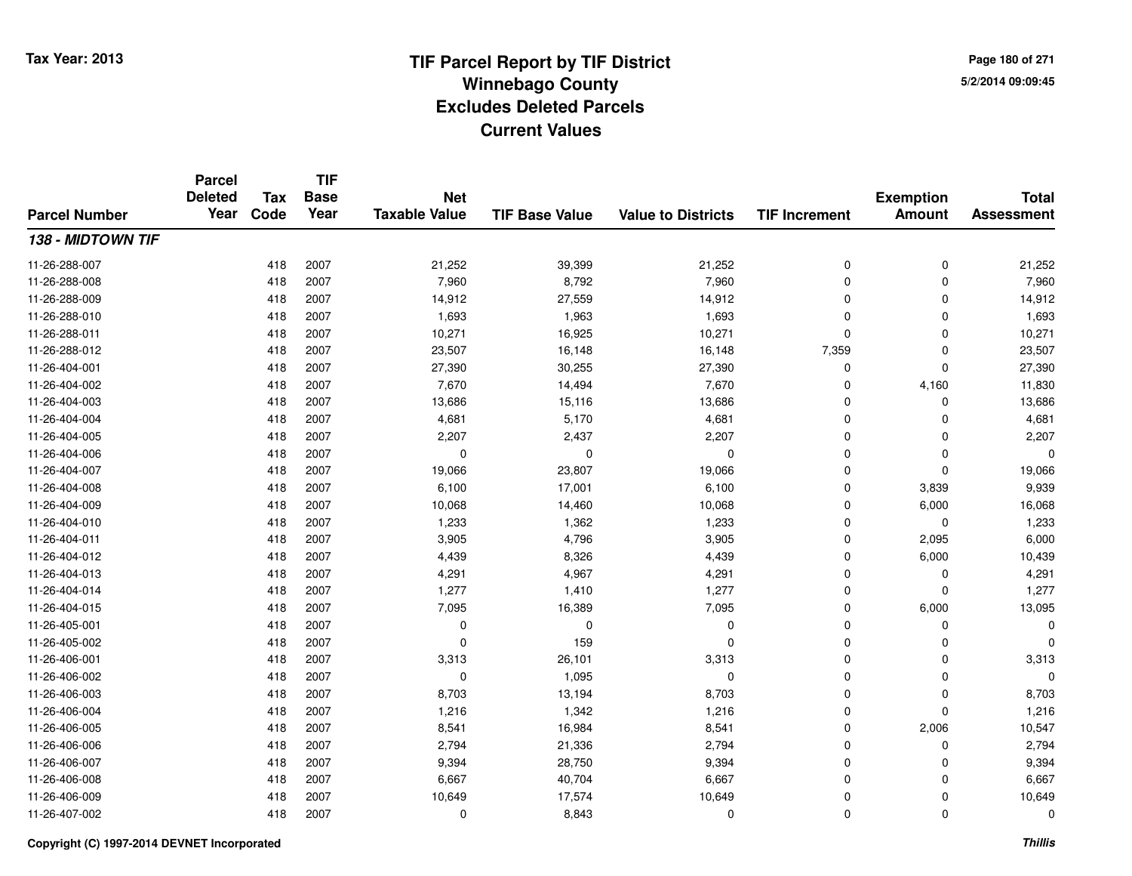**TIF**

**Parcel**

**Page 180 of 2715/2/2014 09:09:45**

### **TIF Base ValueParcel NumberTotal AssessmentExemption Amount Value to Districts TIF Increment Base YearTax Code Deleted YearNet Taxable Value138 - MIDTOWN TIF**11-26-288-007 <sup>418</sup> 21,252 <sup>2007</sup> 39,399 21,252 <sup>0</sup> <sup>0</sup> 21,252 11-26-288-008 <sup>418</sup> 7,960 <sup>2007</sup> 8,792 7,960 <sup>0</sup> <sup>0</sup> 7,960 11-26-288-0099 418 2007 14,912 27,559 14,912 0 0 14,912 11-26-288-0100 418 2007 1,693 1,963 1,693 0 0 1,693 11-26-288-0111 418 2007 10,271 16,925 10,271 0 0 10,271 11-26-288-0122 418 2007 23,507 16,148 16,148 7,359 0 23,507 11-26-404-0011 418 2007 27,390 30,255 27,390 0 0 27,390 11-26-404-002 <sup>418</sup> 7,670 <sup>2007</sup> 14,494 7,670 <sup>0</sup> 4,160 11,830 11-26-404-0033 418 2007 13,686 15,116 13,686 0 0 13,686 11-26-404-0044 418 2007 4,681 5,170 4,681 0 4,681 11-26-404-005 <sup>418</sup> 2,207 <sup>2007</sup> 2,437 2,207 <sup>0</sup> <sup>0</sup> 2,207 11-26-404-006 <sup>418</sup> <sup>0</sup> <sup>2007</sup> <sup>0</sup> <sup>0</sup> <sup>0</sup> <sup>0</sup> <sup>0</sup> 11-26-404-007 <sup>418</sup> 19,066 <sup>2007</sup> 23,807 19,066 <sup>0</sup> <sup>0</sup> 19,066 11-26-404-008 <sup>418</sup> 6,100 <sup>2007</sup> 17,001 6,100 <sup>0</sup> 3,839 9,939 11-26-404-0099 418 2007 10,068 14,460 10,068 0 6,000 16,068 11-26-404-0100 418 2007 1,233 1,362 1,233 0 0 1,233 11-26-404-0111 418 2007 3,905 4,796 3,905 0 2,095 6,000 11-26-404-0122 418 2007 4,439 8,326 4,439 0 6,000 10,439 11-26-404-0133 418 2007 4,291 4,967 4,291 0 0 4,291 11-26-404-014 <sup>418</sup> 1,277 <sup>2007</sup> 1,410 1,277 <sup>0</sup> <sup>0</sup> 1,277 11-26-404-015 <sup>418</sup> 7,095 <sup>2007</sup> 16,389 7,095 <sup>0</sup> 6,000 13,095 11-26-405-001 <sup>418</sup> <sup>0</sup> <sup>2007</sup> <sup>0</sup> <sup>0</sup> <sup>0</sup> <sup>0</sup> <sup>0</sup> 11-26-405-0022 418 2007 0 159 0 0 0 0 11-26-406-0011 418 2007 3,313 26,101 3,313 0 0 3,313 11-26-406-002 <sup>418</sup> <sup>0</sup> <sup>2007</sup> 1,095 <sup>0</sup> <sup>0</sup> <sup>0</sup> <sup>0</sup> 11-26-406-003 <sup>418</sup> 8,703 <sup>2007</sup> 13,194 8,703 <sup>0</sup> <sup>0</sup> 8,703 11-26-406-0044 418 2007 1,216 1,342 1,216 0 0 1,216 11-26-406-005 <sup>418</sup> 8,541 <sup>2007</sup> 16,984 8,541 <sup>0</sup> 2,006 10,547 11-26-406-006 <sup>418</sup> 2,794 <sup>2007</sup> 21,336 2,794 <sup>0</sup> <sup>0</sup> 2,794 11-26-406-007 <sup>418</sup> 9,394 <sup>2007</sup> 28,750 9,394 <sup>0</sup> <sup>0</sup> 9,394 11-26-406-0088 418 2007 6,667 40,704 6,667 0 0 6,667 11-26-406-0099 418 2007 10,649 17,574 10,649 0 0 10,649 11-26-407-002<sup>418</sup> <sup>0</sup> <sup>2007</sup> 8,843 <sup>0</sup> <sup>0</sup> <sup>0</sup> <sup>0</sup>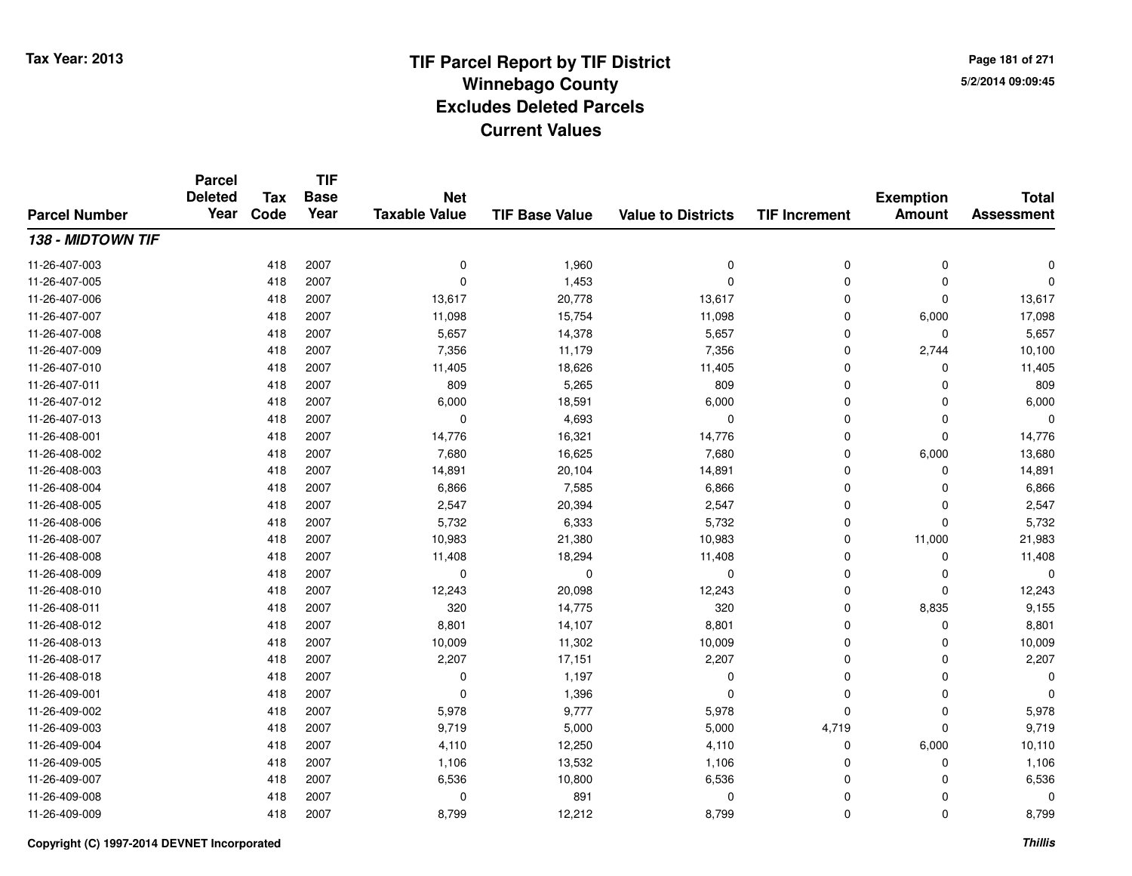**TIF**

**Parcel**

**Page 181 of 2715/2/2014 09:09:45**

#### **TIF Base ValueParcel NumberTotal AssessmentExemption Amount Value to Districts TIF Increment Base YearTax Code Deleted YearNet Taxable Value138 - MIDTOWN TIF**11-26-407-003 <sup>418</sup> <sup>0</sup> <sup>2007</sup> 1,960 <sup>0</sup> <sup>0</sup> <sup>0</sup> <sup>0</sup> 11-26-407-005 <sup>418</sup> <sup>0</sup> <sup>2007</sup> 1,453 <sup>0</sup> <sup>0</sup> <sup>0</sup> <sup>0</sup> 11-26-407-006 <sup>418</sup> 13,617 <sup>2007</sup> 20,778 13,617 <sup>0</sup> <sup>0</sup> 13,617 11-26-407-007 <sup>418</sup> 11,098 <sup>2007</sup> 15,754 11,098 <sup>0</sup> 6,000 17,098 11-26-407-008 <sup>418</sup> 5,657 <sup>2007</sup> 14,378 5,657 <sup>0</sup> <sup>0</sup> 5,657 11-26-407-009 <sup>418</sup> 7,356 <sup>2007</sup> 11,179 7,356 <sup>0</sup> 2,744 10,100 11-26-407-0100 418 2007 11,405 18,626 11,405 0 0 11,405 11-26-407-0111 418 2007 809 5,265 809 0 0 809 11-26-407-0122 418 2007 6,000 18,591 6,000 0 0 6,000 11-26-407-013 <sup>418</sup> <sup>0</sup> <sup>2007</sup> 4,693 <sup>0</sup> <sup>0</sup> <sup>0</sup> <sup>0</sup> 11-26-408-0011 418 2007 14,776 16,321 14,776 0 0 14,776 11-26-408-0022 418 2007 7,680 16,625 7,680 0 6,000 13,680 11-26-408-0033 418 2007 14,891 20,104 14,891 0 14,891 11-26-408-0044 418 2007 6,866 7,585 6,866 0 0 6,866 11-26-408-005 <sup>418</sup> 2,547 <sup>2007</sup> 20,394 2,547 <sup>0</sup> <sup>0</sup> 2,547 11-26-408-006 <sup>418</sup> 5,732 <sup>2007</sup> 6,333 5,732 <sup>0</sup> <sup>0</sup> 5,732 11-26-408-007 <sup>418</sup> 10,983 <sup>2007</sup> 21,380 10,983 <sup>0</sup> 11,000 21,983 11-26-408-008 <sup>418</sup> 11,408 <sup>2007</sup> 18,294 11,408 <sup>0</sup> <sup>0</sup> 11,408 11-26-408-009 <sup>418</sup> <sup>0</sup> <sup>2007</sup> <sup>0</sup> <sup>0</sup> <sup>0</sup> <sup>0</sup> <sup>0</sup> 11-26-408-0100 418 2007 12,243 20,098 12,243 0 0 12,243 11-26-408-0111 418 2007 320 14,775 320 0 8,835 9,155 11-26-408-0122 418 2007 8,801 14,107 8,801 0 8,801 11-26-408-0133 418 2007 10,009 11,302 10,009 0 0 10,009 11-26-408-0177 418 2007 2,207 17,151 2,207 0 0 2,207 11-26-408-0188 418 2007 0 1,197 0 0 0 0 11-26-409-0011 and the contract of the contract of the contract of the contract of the contract of  $1,396$  and  $0$  of  $0$  of  $0$  of  $0$  of  $0$  of  $0$  of  $0$  of  $0$  of  $0$  of  $0$  of  $0$  of  $0$  of  $0$  of  $0$  of  $0$  of  $0$  of  $0$  of  $0$  11-26-409-0022 418 2007 5,978 9,777 5,978 0 0 5,978 11-26-409-003 <sup>418</sup> 9,719 <sup>2007</sup> 5,000 5,000 4,719 <sup>0</sup> 9,719 11-26-409-004 <sup>418</sup> 4,110 <sup>2007</sup> 12,250 4,110 <sup>0</sup> 6,000 10,110 11-26-409-005 <sup>418</sup> 1,106 <sup>2007</sup> 13,532 1,106 <sup>0</sup> <sup>0</sup> 1,106 11-26-409-007 <sup>418</sup> 6,536 <sup>2007</sup> 10,800 6,536 <sup>0</sup> <sup>0</sup> 6,536 11-26-409-0088 418 2007 0 891 0 0 0 0 11-26-409-009<sup>418</sup> 8,799 <sup>2007</sup> 12,212 8,799 <sup>0</sup> <sup>0</sup> 8,799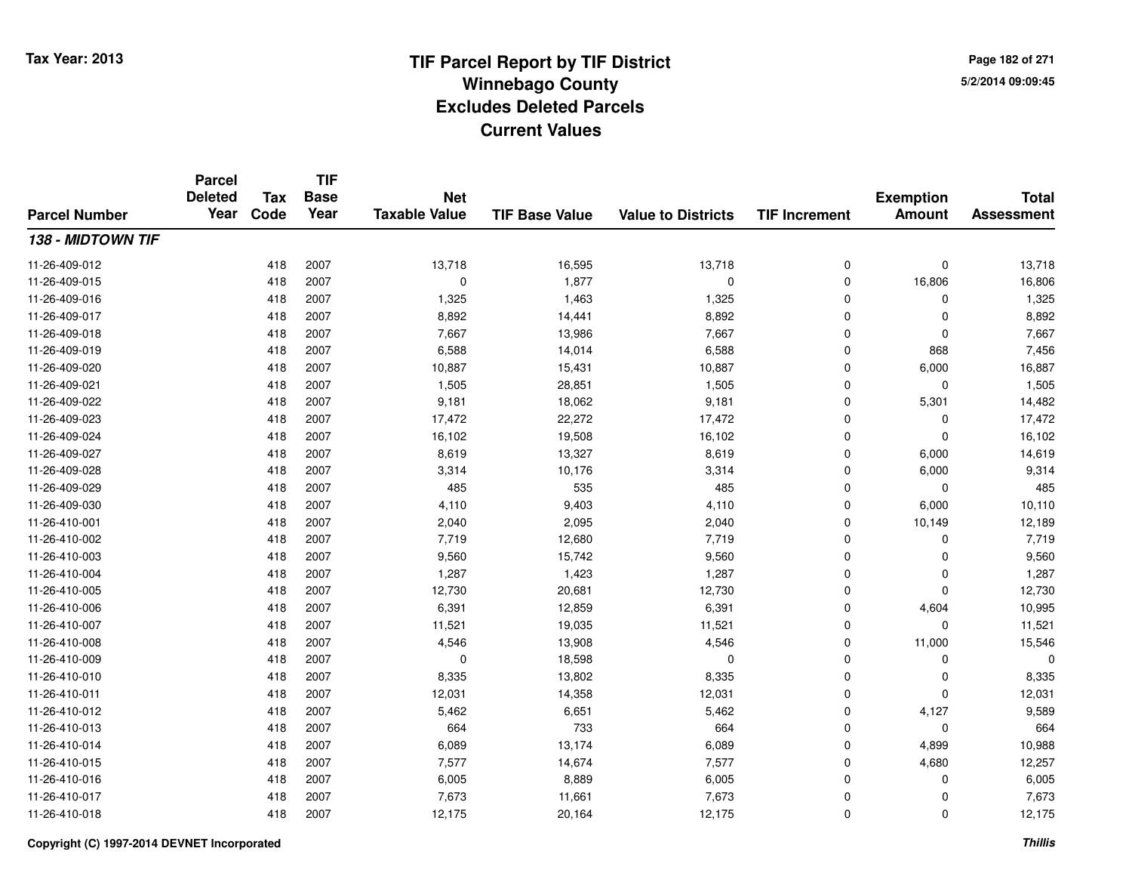**TIF**

**Parcel**

**Page 182 of 2715/2/2014 09:09:45**

#### **TIF Base ValueParcel NumberTotal AssessmentExemption Amount Value to Districts TIF Increment Base YearTax Code Deleted YearNet Taxable Value138 - MIDTOWN TIF**11-26-409-0122 418 2007 13,718 16,595 13,718 0 0 13,718 11-26-409-015 <sup>418</sup> <sup>0</sup> <sup>2007</sup> 1,877 <sup>0</sup> <sup>0</sup> 16,806 16,806 11-26-409-0166 418 2007 1,325 1,463 1,325 0 0 1,325 11-26-409-0177 418 2007 8,892 14,441 8,892 0 0 8,892 11-26-409-0188 418 2007 7,667 13,986 7,667 0 0 7,667 11-26-409-0199 418 2007 6,588 14,014 6,588 0 868 7,456 11-26-409-0200 418 2007 10,887 15,431 10,887 0 6,000 16,887 11-26-409-0211 418 2007 1,505 28,851 1,505 0 0 1,505 11-26-409-022 <sup>418</sup> 9,181 <sup>2007</sup> 18,062 9,181 <sup>0</sup> 5,301 14,482 11-26-409-023 <sup>418</sup> 17,472 <sup>2007</sup> 22,272 17,472 <sup>0</sup> <sup>0</sup> 17,472 11-26-409-024 <sup>418</sup> 16,102 <sup>2007</sup> 19,508 16,102 <sup>0</sup> <sup>0</sup> 16,102 11-26-409-027 <sup>418</sup> 8,619 <sup>2007</sup> 13,327 8,619 <sup>0</sup> 6,000 14,619 11-26-409-0288 418 2007 3,314 10,176 3,314 0 6,000 9,314 11-26-409-0299 418 2007 485 535 485 0 0 485 11-26-409-0300 418 2007 4,110 9,403 4,110 0 6,000 10,110 11-26-410-0011 418 2007 2,040 2,095 2,040 0 10,149 12,189 11-26-410-0022 418 2007 7,719 12,680 7,719 0 0 7,719 11-26-410-003 $3$  2007 2007 9,560 2007 3,560 3,560 9,560 2010 9,560 0 0 9,560 11-26-410-004 <sup>418</sup> 1,287 <sup>2007</sup> 1,423 1,287 <sup>0</sup> <sup>0</sup> 1,287 11-26-410-005 <sup>418</sup> 12,730 <sup>2007</sup> 20,681 12,730 <sup>0</sup> <sup>0</sup> 12,730 11-26-410-0066 418 2007 6,391 12,859 6,391 0 4,604 10,995 11-26-410-007 <sup>418</sup> 11,521 <sup>2007</sup> 19,035 11,521 <sup>0</sup> <sup>0</sup> 11,521 11-26-410-0088 418 2007 4,546 13,908 4,546 0 11,000 15,546 11-26-410-0099 418 2007 0 18,598 0 0 0 0 11-26-410-0100 418 2007 8,335 13,802 8,335 0 0 8,335 11-26-410-0111 418 2007 12,031 14,358 12,031 0 0 12,031 11-26-410-0122 418 2007 5,462 6,651 5,462 0 4,127 9,589 11-26-410-0133 418 2007 664 733 664 0 0 664 11-26-410-014 <sup>418</sup> 6,089 <sup>2007</sup> 13,174 6,089 <sup>0</sup> 4,899 10,988 11-26-410-015 <sup>418</sup> 7,577 <sup>2007</sup> 14,674 7,577 <sup>0</sup> 4,680 12,257 11-26-410-0166 418 2007 6,005 8,889 6,005 0 0 6,005 11-26-410-017 <sup>418</sup> 7,673 <sup>2007</sup> 11,661 7,673 <sup>0</sup> <sup>0</sup> 7,673 11-26-410-018<sup>418</sup> 12,175 <sup>2007</sup> 20,164 12,175 <sup>0</sup> <sup>0</sup> 12,175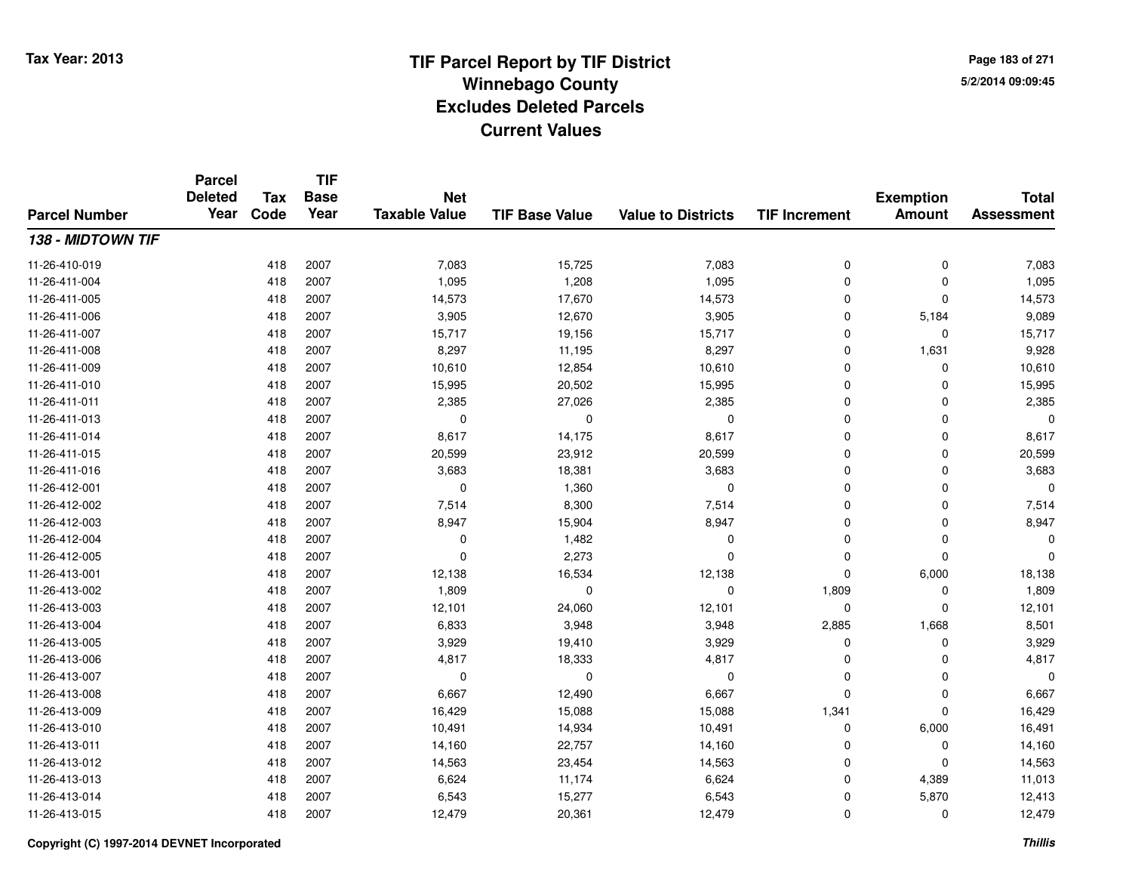**TIF**

**Parcel**

**Page 183 of 2715/2/2014 09:09:45**

#### **TIF Base ValueParcel NumberTotal AssessmentExemption Amount Value to Districts TIF Increment Base YearTax Code Deleted YearNet Taxable Value138 - MIDTOWN TIF**11-26-410-0199 418 2007 7,083 15,725 7,083 0 7,083 11-26-411-0044 418 2007 1,095 1,208 1,095 0 0 1,095 11-26-411-005 <sup>418</sup> 14,573 <sup>2007</sup> 17,670 14,573 <sup>0</sup> <sup>0</sup> 14,573 11-26-411-006 <sup>418</sup> 3,905 <sup>2007</sup> 12,670 3,905 <sup>0</sup> 5,184 9,089 11-26-411-007 <sup>418</sup> 15,717 <sup>2007</sup> 19,156 15,717 <sup>0</sup> <sup>0</sup> 15,717 11-26-411-0088 418 2007 8,297 11,195 8,297 0 1,631 9,928 11-26-411-0099 418 2007 10,610 12,854 10,610 0 0 10,610 11-26-411-0100 418 2007 15,995 20,502 15,995 0 0 15,995 11-26-411-0111 418 2007 2,385 27,026 2,385 0 2,385 11-26-411-013 <sup>418</sup> <sup>0</sup> <sup>2007</sup> <sup>0</sup> <sup>0</sup> <sup>0</sup> <sup>0</sup> <sup>0</sup> 11-26-411-014 <sup>418</sup> 8,617 <sup>2007</sup> 14,175 8,617 <sup>0</sup> <sup>0</sup> 8,617 11-26-411-0155 418 2007 20,599 23,912 20,599 0 0 20,599 11-26-411-0166 418 2007 3,683 18,381 3,683 0 3,683 11-26-412-0011 and the contract of the contract of the contract of the contract of the contract of  $1,360$  and  $0$  of  $0$  of  $0$  of  $0$  of  $0$  of  $0$  of  $0$  of  $0$  of  $0$  of  $0$  of  $0$  of  $0$  of  $0$  of  $0$  of  $0$  of  $0$  of  $0$  of  $0$  11-26-412-0022 418 2007 7,514 8,300 7,514 0 0 7,514 11-26-412-003 $3$  2007 2007 8,947 15,904 8,947 8,947 0 0 0 8,947 11-26-412-004 <sup>418</sup> <sup>0</sup> <sup>2007</sup> 1,482 <sup>0</sup> <sup>0</sup> <sup>0</sup> <sup>0</sup> 11-26-412-005 <sup>418</sup> <sup>0</sup> <sup>2007</sup> 2,273 <sup>0</sup> <sup>0</sup> <sup>0</sup> <sup>0</sup> 11-26-413-0011 418 2007 12,138 16,534 12,138 0 6,000 18,138 11-26-413-0022 418 2007 1,809 0 0 1,809 0 1,809 11-26-413-0033 418 2007 12,101 24,060 12,101 0 0 12,101 11-26-413-004 <sup>418</sup> 6,833 <sup>2007</sup> 3,948 3,948 2,885 1,668 8,501 11-26-413-005 <sup>418</sup> 3,929 <sup>2007</sup> 19,410 3,929 <sup>0</sup> <sup>0</sup> 3,929 11-26-413-006 <sup>418</sup> 4,817 <sup>2007</sup> 18,333 4,817 <sup>0</sup> <sup>0</sup> 4,817 11-26-413-007 <sup>418</sup> <sup>0</sup> <sup>2007</sup> <sup>0</sup> <sup>0</sup> <sup>0</sup> <sup>0</sup> <sup>0</sup> 11-26-413-0088 418 2007 6,667 12,490 6,667 0 0 6,667 11-26-413-0099 418 2007 16,429 15,088 15,088 1,341 0 16,429 11-26-413-0100 418 2007 10,491 14,934 10,491 0 6,000 16,491 11-26-413-0111 418 2007 14,160 22,757 14,160 0 0 14,160 11-26-413-0122 418 2007 14,563 23,454 14,563 0 0 14,563 11-26-413-0133 418 2007 6,624 11,174 6,624 0 4,389 11,013 11-26-413-014 <sup>418</sup> 6,543 <sup>2007</sup> 15,277 6,543 <sup>0</sup> 5,870 12,413 11-26-413-015<sup>418</sup> 12,479 <sup>2007</sup> 20,361 12,479 <sup>0</sup> <sup>0</sup> 12,479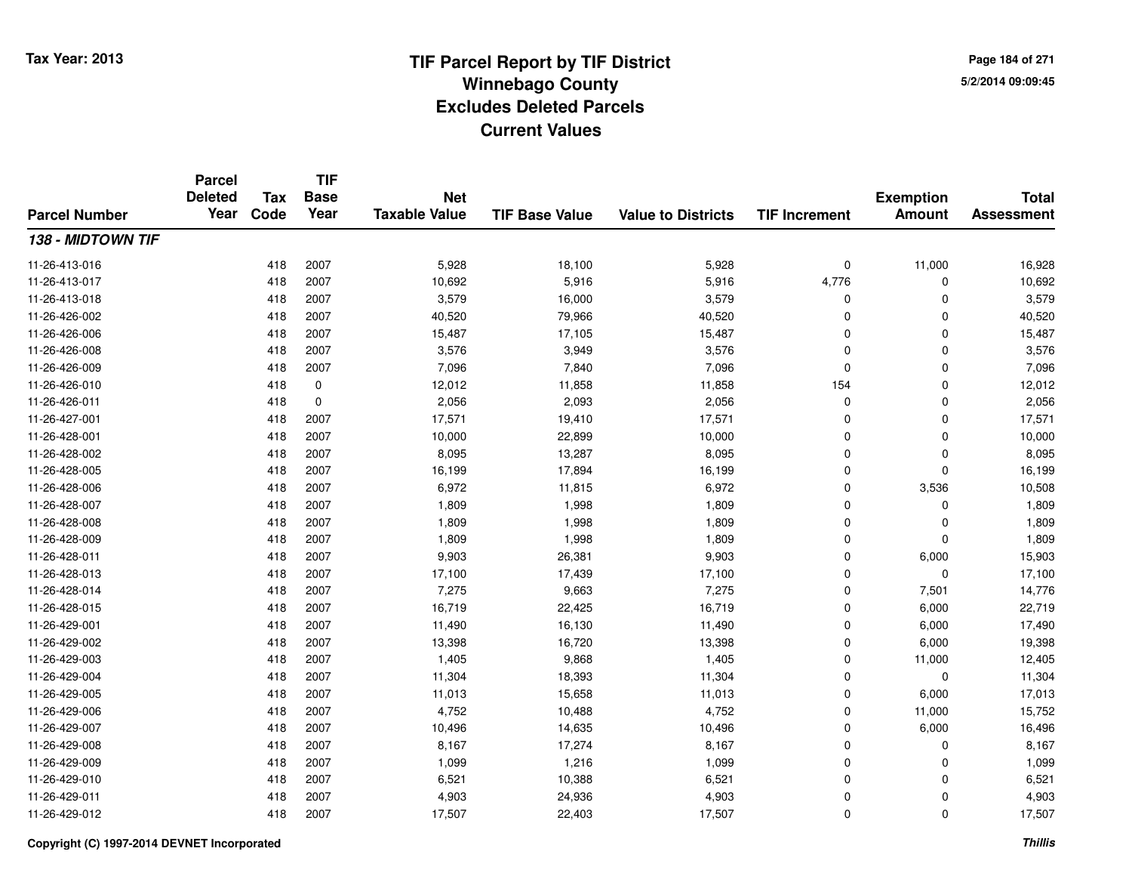**TIF**

**Parcel**

**Page 184 of 2715/2/2014 09:09:45**

#### **TIF Base ValueParcel NumberTotal AssessmentExemption Amount Value to Districts TIF Increment Base YearTax Code Deleted YearNet Taxable Value138 - MIDTOWN TIF**11-26-413-0166 418 2007 5,928 18,100 5,928 0 11,000 16,928 11-26-413-017 <sup>418</sup> 10,692 <sup>2007</sup> 5,916 5,916 4,776 <sup>0</sup> 10,692 11-26-413-0188 418 2007 3,579 16,000 3,579 0 0 3,579 11-26-426-0022 418 2007 40,520 79,966 40,520 0 0 40,520 11-26-426-006 <sup>418</sup> 15,487 <sup>2007</sup> 17,105 15,487 <sup>0</sup> <sup>0</sup> 15,487 11-26-426-0088 418 2007 3,576 3,949 3,576 0 0 3,576 11-26-426-0099 418 2007 7,096 7,840 7,096 0 7,096 11-26-426-0100 418 0 12,012 11,858 1,858 154 0 12,012 11-26-426-0111 418 0 2,056 2,093 2,056 0 0 2,056 11-26-427-0011 418 2007 17,571 19,410 17,571 0 0 17,571 11-26-428-0011 418 2007 10,000 22,899 10,000 0 0 10,000 11-26-428-0022 418 2007 8,095 13,287 8,095 0 0 8,095 11-26-428-0055 418 2007 16,199 17,894 16,199 0 0 16,199 11-26-428-0066 418 2007 6,972 11,815 6,972 0 3,536 10,508 11-26-428-007 <sup>418</sup> 1,809 <sup>2007</sup> 1,998 1,809 <sup>0</sup> <sup>0</sup> 1,809 11-26-428-0088 418 2007 1,809 1,998 1,809 0 0 1,809 11-26-428-0099 418 2007 1,809 1,998 1,809 0 0 1,809 11-26-428-0111 418 2007 9,903 26,381 9,903 0 6,000 15,903 11-26-428-013 <sup>418</sup> 17,100 <sup>2007</sup> 17,439 17,100 <sup>0</sup> <sup>0</sup> 17,100 11-26-428-014 <sup>418</sup> 7,275 <sup>2007</sup> 9,663 7,275 <sup>0</sup> 7,501 14,776 11-26-428-015 <sup>418</sup> 16,719 <sup>2007</sup> 22,425 16,719 <sup>0</sup> 6,000 22,719 11-26-429-0011 418 2007 11,490 16,130 11,490 0 6,000 17,490 11-26-429-0022 2 2 2 3 418 2007 13,398 16,720 16,720 13,398 0 6,000 19,398 11-26-429-0033 418 2007 1,405 9,868 1,405 0 11,000 12,405 11-26-429-004 <sup>418</sup> 11,304 <sup>2007</sup> 18,393 11,304 <sup>0</sup> <sup>0</sup> 11,304 11-26-429-005 <sup>418</sup> 11,013 <sup>2007</sup> 15,658 11,013 <sup>0</sup> 6,000 17,013 11-26-429-006 <sup>418</sup> 4,752 <sup>2007</sup> 10,488 4,752 <sup>0</sup> 11,000 15,752 11-26-429-007 <sup>418</sup> 10,496 <sup>2007</sup> 14,635 10,496 <sup>0</sup> 6,000 16,496 11-26-429-008 <sup>418</sup> 8,167 <sup>2007</sup> 17,274 8,167 <sup>0</sup> <sup>0</sup> 8,167 11-26-429-009 <sup>418</sup> 1,099 <sup>2007</sup> 1,216 1,099 <sup>0</sup> <sup>0</sup> 1,099 11-26-429-0100 418 2007 6,521 10,388 6,521 0 0 6,521 11-26-429-0111 418 2007 4,903 24,936 4,903 0 0 4,903 11-26-429-0122 418 2007 17,507 22,403 17,507 0 0 17,507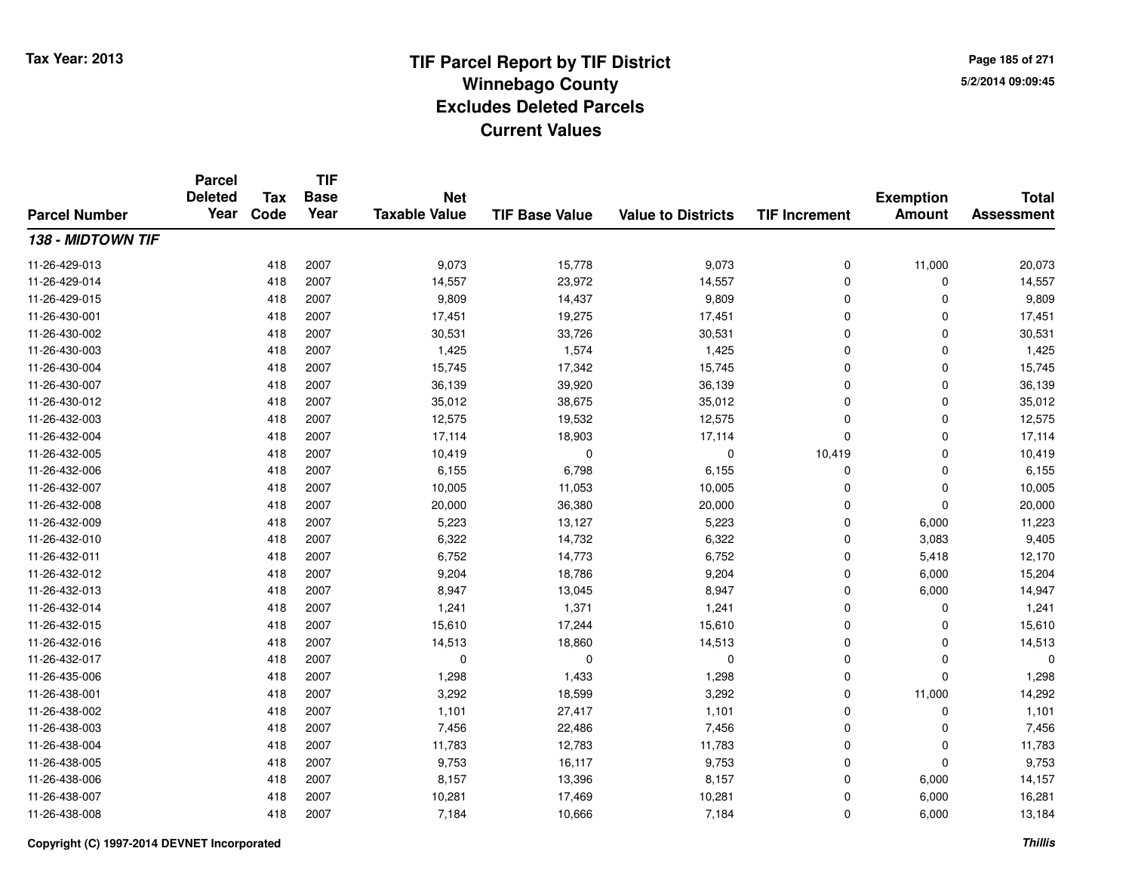**TIF**

**Parcel**

**Page 185 of 2715/2/2014 09:09:45**

#### **TIF Base ValueParcel NumberTotal AssessmentExemption Amount Value to Districts TIF Increment Base YearTax Code Deleted YearNet Taxable Value138 - MIDTOWN TIF**11-26-429-013 <sup>418</sup> 9,073 <sup>2007</sup> 15,778 9,073 <sup>0</sup> 11,000 20,073 11-26-429-014 <sup>418</sup> 14,557 <sup>2007</sup> 23,972 14,557 <sup>0</sup> <sup>0</sup> 14,557 11-26-429-015 <sup>418</sup> 9,809 <sup>2007</sup> 14,437 9,809 <sup>0</sup> <sup>0</sup> 9,809 11-26-430-0011 418 2007 17,451 19,275 17,451 0 0 17,451 11-26-430-0022 418 2007 30,531 33,726 30,531 0 0 30,531 11-26-430-0033 418 2007 1,425 1,574 1,425 0 0 1,425 11-26-430-004 <sup>418</sup> 15,745 <sup>2007</sup> 17,342 15,745 <sup>0</sup> <sup>0</sup> 15,745 11-26-430-007 <sup>418</sup> 36,139 <sup>2007</sup> 39,920 36,139 <sup>0</sup> <sup>0</sup> 36,139 11-26-430-0122 418 2007 35,012 38,675 35,012 0 0 35,012 11-26-432-0033 418 2007 12,575 19,532 12,575 0 0 12,575 11-26-432-004 <sup>418</sup> 17,114 <sup>2007</sup> 18,903 17,114 <sup>0</sup> <sup>0</sup> 17,114 11-26-432-005 <sup>418</sup> 10,419 <sup>2007</sup> <sup>0</sup> <sup>0</sup> 10,419 <sup>0</sup> 10,419 11-26-432-0066 418 2007 6,155 6,798 6,155 0 0 6,155 11-26-432-007 <sup>418</sup> 10,005 <sup>2007</sup> 11,053 10,005 <sup>0</sup> <sup>0</sup> 10,005 11-26-432-008 <sup>418</sup> 20,000 <sup>2007</sup> 36,380 20,000 <sup>0</sup> <sup>0</sup> 20,000 11-26-432-0099 418 2007 5,223 13,127 5,223 0 6,000 11,223 11-26-432-0100 418 2007 6,322 14,732 6,322 0 3,083 9,405 11-26-432-011 <sup>418</sup> 6,752 <sup>2007</sup> 14,773 6,752 <sup>0</sup> 5,418 12,170 11-26-432-0122 2 418 2007 9,204 18,786 9,204 0 6,000 15,204 11-26-432-0133 418 2007 8,947 13,045 8,947 0 6,000 14,947 11-26-432-014 <sup>418</sup> 1,241 <sup>2007</sup> 1,371 1,241 <sup>0</sup> <sup>0</sup> 1,241 11-26-432-015 <sup>418</sup> 15,610 <sup>2007</sup> 17,244 15,610 <sup>0</sup> <sup>0</sup> 15,610 11-26-432-0166 418 2007 14,513 18,860 14,513 0 0 14,513 11-26-432-017 <sup>418</sup> <sup>0</sup> <sup>2007</sup> <sup>0</sup> <sup>0</sup> <sup>0</sup> <sup>0</sup> <sup>0</sup> 11-26-435-0066 418 2007 1,298 1,433 1,298 0 1,298 11-26-438-0011 418 2007 3,292 18,599 3,292 0 11,000 14,292 11-26-438-002 <sup>418</sup> 1,101 <sup>2007</sup> 27,417 1,101 <sup>0</sup> <sup>0</sup> 1,101 11-26-438-0033 418 2007 7,456 22,486 7,456 0 0 7,456 11-26-438-004 <sup>418</sup> 11,783 <sup>2007</sup> 12,783 11,783 <sup>0</sup> <sup>0</sup> 11,783 11-26-438-005 <sup>418</sup> 9,753 <sup>2007</sup> 16,117 9,753 <sup>0</sup> <sup>0</sup> 9,753 11-26-438-006 <sup>418</sup> 8,157 <sup>2007</sup> 13,396 8,157 <sup>0</sup> 6,000 14,157 11-26-438-007 <sup>418</sup> 10,281 <sup>2007</sup> 17,469 10,281 <sup>0</sup> 6,000 16,281 11-26-438-0088 418 2007 7,184 10,666 7,184 0 6,000 13,184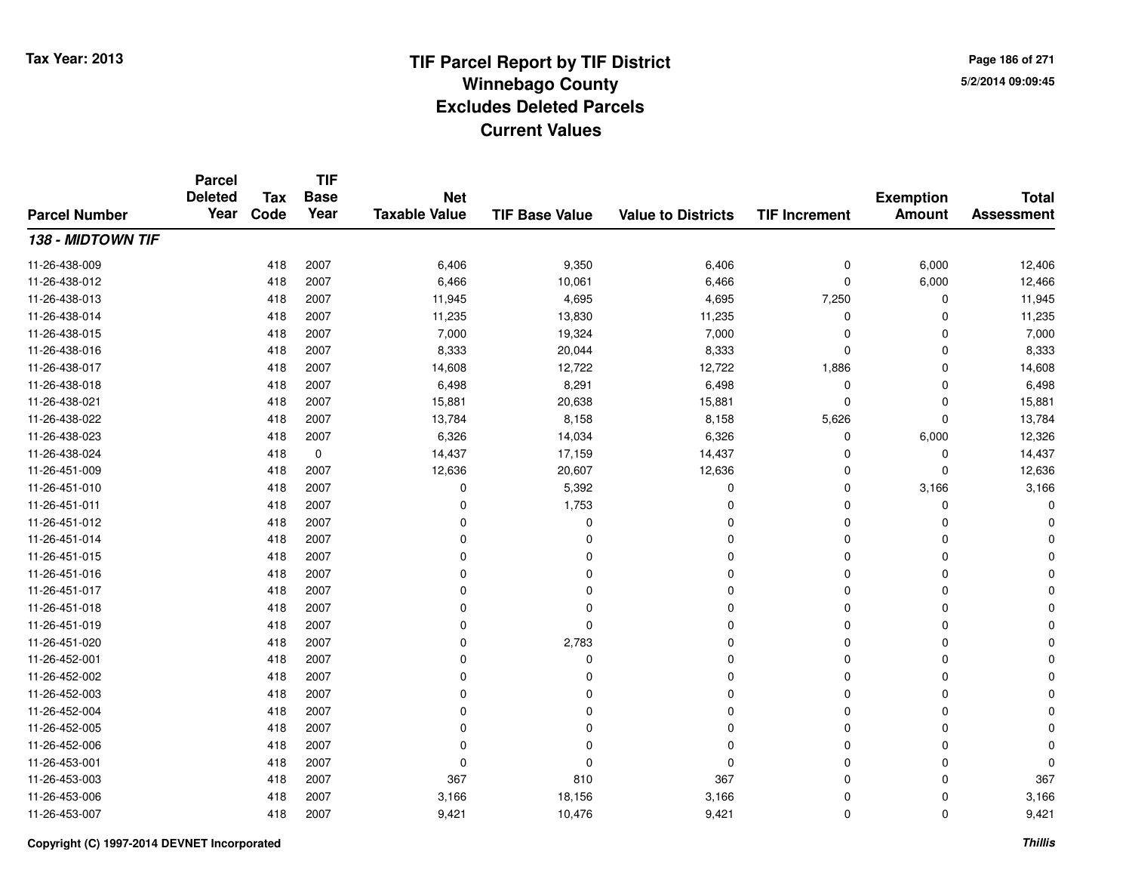**Page 186 of 2715/2/2014 09:09:45**

#### **TIF Base ValueParcel NumberTotal AssessmentExemption Amount Value to Districts TIF IncrementTIF Base YearTax CodeParcel Deleted YearNet Taxable Value138 - MIDTOWN TIF**11-26-438-0099 418 2007 6,406 9,350 6,406 0 6,000 12,406 11-26-438-0122 418 2007 6,466 10,061 6,466 0 6,000 12,466 11-26-438-0133 418 2007 11,945 4,695 4,695 7,250 0 11,945 11-26-438-0144 418 2007 11,235 13,830 11,235 0 0 11,235 11-26-438-015 <sup>418</sup> 7,000 <sup>2007</sup> 19,324 7,000 <sup>0</sup> <sup>0</sup> 7,000 11-26-438-016 <sup>418</sup> 8,333 <sup>2007</sup> 20,044 8,333 <sup>0</sup> <sup>0</sup> 8,333 11-26-438-017 <sup>418</sup> 14,608 <sup>2007</sup> 12,722 12,722 1,886 <sup>0</sup> 14,608 11-26-438-0188 418 2007 6,498 8,291 6,498 0 0 6,498 11-26-438-0211 418 2007 15,881 20,638 15,881 0 0 15,881 11-26-438-022 <sup>418</sup> 13,784 <sup>2007</sup> 8,158 8,158 5,626 <sup>0</sup> 13,784 11-26-438-0233 418 2007 6,326 14,034 6,326 0 6,000 12,326 11-26-438-024 <sup>418</sup> 14,437 <sup>0</sup> 17,159 14,437 <sup>0</sup> <sup>0</sup> 14,437 11-26-451-0099 418 2007 12,636 20,607 12,636 0 0 12,636 11-26-451-0100 418 2007 0 5,392 0 0 3,166 3,166 11-26-451-0111 and  $\frac{1}{418}$  2007 and  $\frac{1}{80}$  0 and  $\frac{1}{1753}$  control  $\frac{1}{80}$  0 control 0 control 0 control 0 control 0 control 0 control 0 control 0 control 0 control 0 control 0 control 0 control 0 control 0 control 0 con 11-26-451-012 <sup>418</sup> <sup>0</sup> <sup>2007</sup> <sup>0</sup> <sup>0</sup> <sup>0</sup> <sup>0</sup> <sup>0</sup> 11-26-451-014 <sup>418</sup> <sup>0</sup> <sup>2007</sup> <sup>0</sup> <sup>0</sup> <sup>0</sup> <sup>0</sup> <sup>0</sup> 11-26-451-015 <sup>418</sup> <sup>0</sup> <sup>2007</sup> <sup>0</sup> <sup>0</sup> <sup>0</sup> <sup>0</sup> <sup>0</sup> 11-26-451-016 <sup>418</sup> <sup>0</sup> <sup>2007</sup> <sup>0</sup> <sup>0</sup> <sup>0</sup> <sup>0</sup> <sup>0</sup> 11-26-451-017 <sup>418</sup> <sup>0</sup> <sup>2007</sup> <sup>0</sup> <sup>0</sup> <sup>0</sup> <sup>0</sup> <sup>0</sup> 11-26-451-018 <sup>418</sup> <sup>0</sup> <sup>2007</sup> <sup>0</sup> <sup>0</sup> <sup>0</sup> <sup>0</sup> <sup>0</sup> 11-26-451-019 <sup>418</sup> <sup>0</sup> <sup>2007</sup> <sup>0</sup> <sup>0</sup> <sup>0</sup> <sup>0</sup> <sup>0</sup> 11-26-451-020 <sup>418</sup> <sup>0</sup> <sup>2007</sup> 2,783 <sup>0</sup> <sup>0</sup> <sup>0</sup> <sup>0</sup> 11-26-452-001 <sup>418</sup> <sup>0</sup> <sup>2007</sup> <sup>0</sup> <sup>0</sup> <sup>0</sup> <sup>0</sup> <sup>0</sup> 11-26-452-002 <sup>418</sup> <sup>0</sup> <sup>2007</sup> <sup>0</sup> <sup>0</sup> <sup>0</sup> <sup>0</sup> <sup>0</sup> 11-26-452-003 <sup>418</sup> <sup>0</sup> <sup>2007</sup> <sup>0</sup> <sup>0</sup> <sup>0</sup> <sup>0</sup> <sup>0</sup> 11-26-452-004 <sup>418</sup> <sup>0</sup> <sup>2007</sup> <sup>0</sup> <sup>0</sup> <sup>0</sup> <sup>0</sup> <sup>0</sup> 11-26-452-005 <sup>418</sup> <sup>0</sup> <sup>2007</sup> <sup>0</sup> <sup>0</sup> <sup>0</sup> <sup>0</sup> <sup>0</sup> 11-26-452-006 <sup>418</sup> <sup>0</sup> <sup>2007</sup> <sup>0</sup> <sup>0</sup> <sup>0</sup> <sup>0</sup> <sup>0</sup> 11-26-453-001 <sup>418</sup> <sup>0</sup> <sup>2007</sup> <sup>0</sup> <sup>0</sup> <sup>0</sup> <sup>0</sup> <sup>0</sup> 11-26-453-0033 418 2007 367 810 367 0 0 367 11-26-453-0066 418 2007 3,166 18,156 3,166 0 0 3,166 11-26-453-007<sup>418</sup> 9,421 <sup>2007</sup> 10,476 9,421 <sup>0</sup> <sup>0</sup> 9,421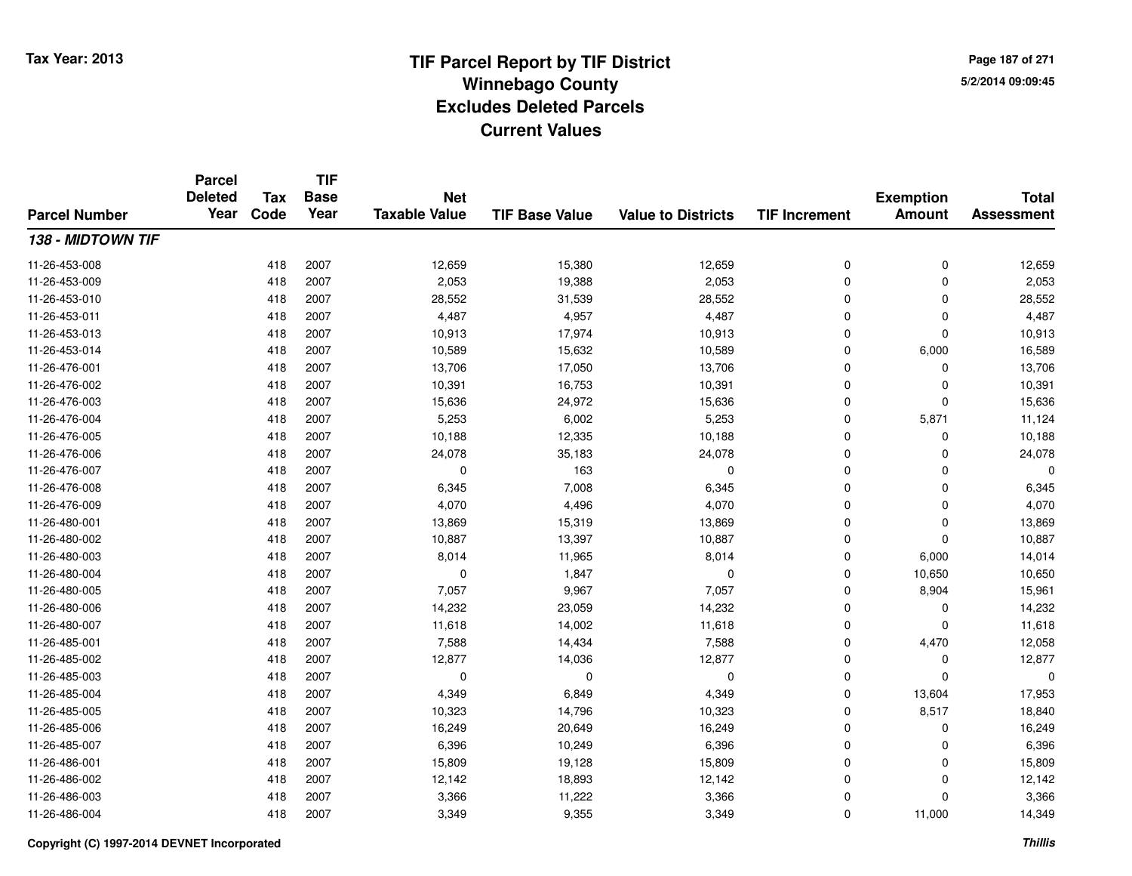**TIF**

**Parcel**

**Page 187 of 2715/2/2014 09:09:45**

#### **TIF Base ValueParcel NumberTotal AssessmentExemption Amount Value to Districts TIF Increment Base YearTax Code Deleted YearNet Taxable Value138 - MIDTOWN TIF**11-26-453-008 <sup>418</sup> 12,659 <sup>2007</sup> 15,380 12,659 <sup>0</sup> <sup>0</sup> 12,659 11-26-453-009 <sup>418</sup> 2,053 <sup>2007</sup> 19,388 2,053 <sup>0</sup> <sup>0</sup> 2,053 11-26-453-0100 418 2007 28,552 31,539 28,552 0 0 28,552 11-26-453-0111 418 2007 4,487 4,957 4,487 0 0 4,487 11-26-453-013 <sup>418</sup> 10,913 <sup>2007</sup> 17,974 10,913 <sup>0</sup> <sup>0</sup> 10,913 11-26-453-0144 418 2007 10,589 15,632 10,589 0 6,000 16,589 11-26-476-0011 418 2007 13,706 17,050 13,706 0 0 13,706 11-26-476-0022 418 2007 10,391 16,753 10,391 0 0 10,391 11-26-476-0033 418 2007 15,636 24,972 15,636 0 0 15,636 11-26-476-004 <sup>418</sup> 5,253 <sup>2007</sup> 6,002 5,253 <sup>0</sup> 5,871 11,124 11-26-476-005 <sup>418</sup> 10,188 <sup>2007</sup> 12,335 10,188 <sup>0</sup> <sup>0</sup> 10,188 11-26-476-006 <sup>418</sup> 24,078 <sup>2007</sup> 35,183 24,078 <sup>0</sup> <sup>0</sup> 24,078 11-26-476-0077 418 2007 0 163 0 0 0 0 11-26-476-0088 418 2007 6,345 7,008 6,345 0 0 6,345 11-26-476-0099 418 2007 4,070 4,496 4,070 0 0 4,070 11-26-480-0011 418 2007 13,869 15,319 13,869 0 0 13,869 11-26-480-0022 2 418 2007 10,887 13,397 10,887 0 0 10,887 11-26-480-0033 418 2007 8,014 11,965 8,014 0 6,000 14,014 11-26-480-0044 2007 0 10,650 10,650 10,650 11-26-480-0055 418 2007 7,057 9,967 7,057 0 8,904 15,961 11-26-480-0066 418 2007 14,232 23,059 14,232 0 0 14,232 11-26-480-0077 418 2007 11,618 14,002 11,618 0 0 11,618 11-26-485-0011 418 2007 7,588 14,434 7,588 0 4,470 12,058 11-26-485-0022 418 2007 12,877 14,036 12,877 0 0 12,877 11-26-485-003 <sup>418</sup> <sup>0</sup> <sup>2007</sup> <sup>0</sup> <sup>0</sup> <sup>0</sup> <sup>0</sup> <sup>0</sup> 11-26-485-004 <sup>418</sup> 4,349 <sup>2007</sup> 6,849 4,349 <sup>0</sup> 13,604 17,953 11-26-485-005 <sup>418</sup> 10,323 <sup>2007</sup> 14,796 10,323 <sup>0</sup> 8,517 18,840 11-26-485-0066 418 2007 16,249 20,649 16,249 0 0 16,249 11-26-485-007 <sup>418</sup> 6,396 <sup>2007</sup> 10,249 6,396 <sup>0</sup> <sup>0</sup> 6,396 11-26-486-0011 418 2007 15,809 19,128 15,809 0 0 15,809 11-26-486-0022 418 2007 12,142 18,893 12,142 0 0 12,142 11-26-486-003 $3$  3 2007 2007 3,366 2011,222 3,366 3 3,366 2011 3,366 3 3,366 2011, 3,366 3 3,366 3 418 11-26-486-004<sup>418</sup> 3,349 <sup>2007</sup> 9,355 3,349 <sup>0</sup> 11,000 14,349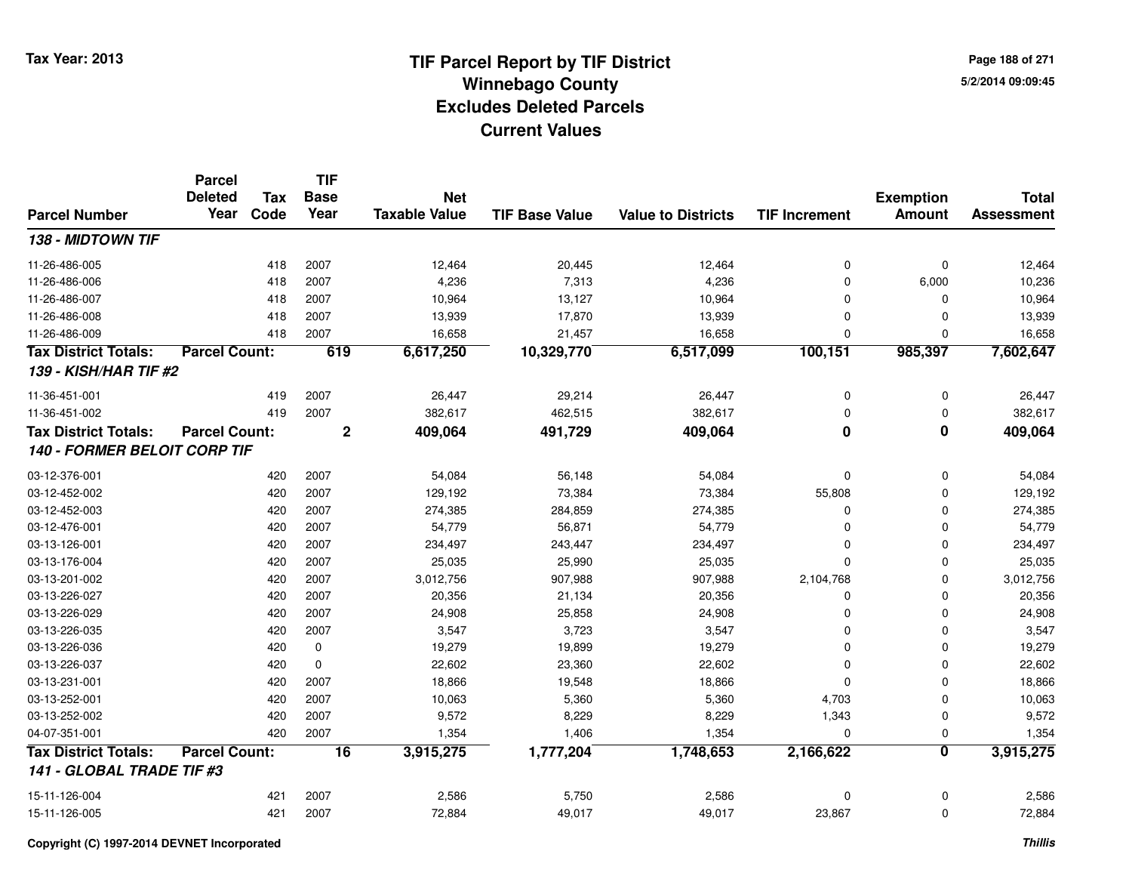**Page 188 of 2715/2/2014 09:09:45**

|                              | <b>Parcel</b>          |                    | <b>TIF</b>          |                                    |                       |                           |                         |                                   |                                   |
|------------------------------|------------------------|--------------------|---------------------|------------------------------------|-----------------------|---------------------------|-------------------------|-----------------------------------|-----------------------------------|
| <b>Parcel Number</b>         | <b>Deleted</b><br>Year | <b>Tax</b><br>Code | <b>Base</b><br>Year | <b>Net</b><br><b>Taxable Value</b> | <b>TIF Base Value</b> | <b>Value to Districts</b> | <b>TIF Increment</b>    | <b>Exemption</b><br><b>Amount</b> | <b>Total</b><br><b>Assessment</b> |
|                              |                        |                    |                     |                                    |                       |                           |                         |                                   |                                   |
| 138 - MIDTOWN TIF            |                        |                    |                     |                                    |                       |                           |                         |                                   |                                   |
| 11-26-486-005                |                        | 418                | 2007                | 12,464                             | 20,445                | 12,464                    | 0                       | $\mathbf 0$                       | 12,464                            |
| 11-26-486-006                |                        | 418                | 2007                | 4,236                              | 7,313                 | 4,236                     | 0                       | 6,000                             | 10,236                            |
| 11-26-486-007                |                        | 418                | 2007                | 10,964                             | 13,127                | 10,964                    | 0                       | 0                                 | 10,964                            |
| 11-26-486-008                |                        | 418                | 2007                | 13,939                             | 17,870                | 13,939                    | 0                       | $\Omega$                          | 13,939                            |
| 11-26-486-009                |                        | 418                | 2007                | 16,658                             | 21,457                | 16,658                    | 0                       | $\mathbf{0}$                      | 16,658                            |
| <b>Tax District Totals:</b>  | <b>Parcel Count:</b>   |                    | 619                 | 6,617,250                          | 10,329,770            | 6,517,099                 | 100,151                 | 985,397                           | 7,602,647                         |
| <b>139 - KISH/HAR TIF #2</b> |                        |                    |                     |                                    |                       |                           |                         |                                   |                                   |
| 11-36-451-001                |                        | 419                | 2007                | 26,447                             | 29,214                | 26,447                    | 0                       | 0                                 | 26,447                            |
| 11-36-451-002                |                        | 419                | 2007                | 382,617                            | 462,515               | 382,617                   | 0                       | $\mathbf 0$                       | 382,617                           |
| <b>Tax District Totals:</b>  | <b>Parcel Count:</b>   |                    | $\overline{2}$      | 409,064                            | 491,729               | 409,064                   | $\overline{\mathbf{0}}$ | $\overline{\mathbf{0}}$           | 409,064                           |
| 140 - FORMER BELOIT CORP TIF |                        |                    |                     |                                    |                       |                           |                         |                                   |                                   |
| 03-12-376-001                |                        | 420                | 2007                | 54,084                             | 56,148                | 54,084                    | 0                       | 0                                 | 54,084                            |
| 03-12-452-002                |                        | 420                | 2007                | 129,192                            | 73,384                | 73,384                    | 55,808                  | 0                                 | 129,192                           |
| 03-12-452-003                |                        | 420                | 2007                | 274,385                            | 284,859               | 274,385                   | 0                       | $\Omega$                          | 274,385                           |
| 03-12-476-001                |                        | 420                | 2007                | 54,779                             | 56,871                | 54,779                    | 0                       | 0                                 | 54,779                            |
| 03-13-126-001                |                        | 420                | 2007                | 234,497                            | 243,447               | 234,497                   | 0                       | 0                                 | 234,497                           |
| 03-13-176-004                |                        | 420                | 2007                | 25,035                             | 25,990                | 25,035                    | 0                       | 0                                 | 25,035                            |
| 03-13-201-002                |                        | 420                | 2007                | 3,012,756                          | 907,988               | 907,988                   | 2,104,768               | $\mathbf 0$                       | 3,012,756                         |
| 03-13-226-027                |                        | 420                | 2007                | 20,356                             | 21,134                | 20,356                    | 0                       | $\Omega$                          | 20,356                            |
| 03-13-226-029                |                        | 420                | 2007                | 24,908                             | 25,858                | 24,908                    | 0                       | 0                                 | 24,908                            |
| 03-13-226-035                |                        | 420                | 2007                | 3,547                              | 3,723                 | 3,547                     | 0                       | 0                                 | 3,547                             |
| 03-13-226-036                |                        | 420                | 0                   | 19,279                             | 19,899                | 19,279                    | 0                       | $\Omega$                          | 19,279                            |
| 03-13-226-037                |                        | 420                | $\mathbf 0$         | 22,602                             | 23,360                | 22,602                    | $\mathbf 0$             | $\Omega$                          | 22,602                            |
| 03-13-231-001                |                        | 420                | 2007                | 18,866                             | 19,548                | 18,866                    | $\Omega$                | $\Omega$                          | 18,866                            |
| 03-13-252-001                |                        | 420                | 2007                | 10,063                             | 5,360                 | 5,360                     | 4,703                   | $\Omega$                          | 10,063                            |
| 03-13-252-002                |                        | 420                | 2007                | 9,572                              | 8,229                 | 8,229                     | 1,343                   | $\mathbf 0$                       | 9,572                             |
| 04-07-351-001                |                        | 420                | 2007                | 1,354                              | 1,406                 | 1,354                     | $\mathbf 0$             | 0                                 | 1,354                             |
| <b>Tax District Totals:</b>  | <b>Parcel Count:</b>   |                    | $\overline{16}$     | 3,915,275                          | 1,777,204             | 1,748,653                 | 2,166,622               | 0                                 | 3,915,275                         |
| 141 - GLOBAL TRADE TIF #3    |                        |                    |                     |                                    |                       |                           |                         |                                   |                                   |
| 15-11-126-004                |                        | 421                | 2007                | 2,586                              | 5,750                 | 2,586                     | 0                       | $\mathbf 0$                       | 2,586                             |
| 15-11-126-005                |                        | 421                | 2007                | 72,884                             | 49,017                | 49,017                    | 23,867                  | $\mathbf 0$                       | 72,884                            |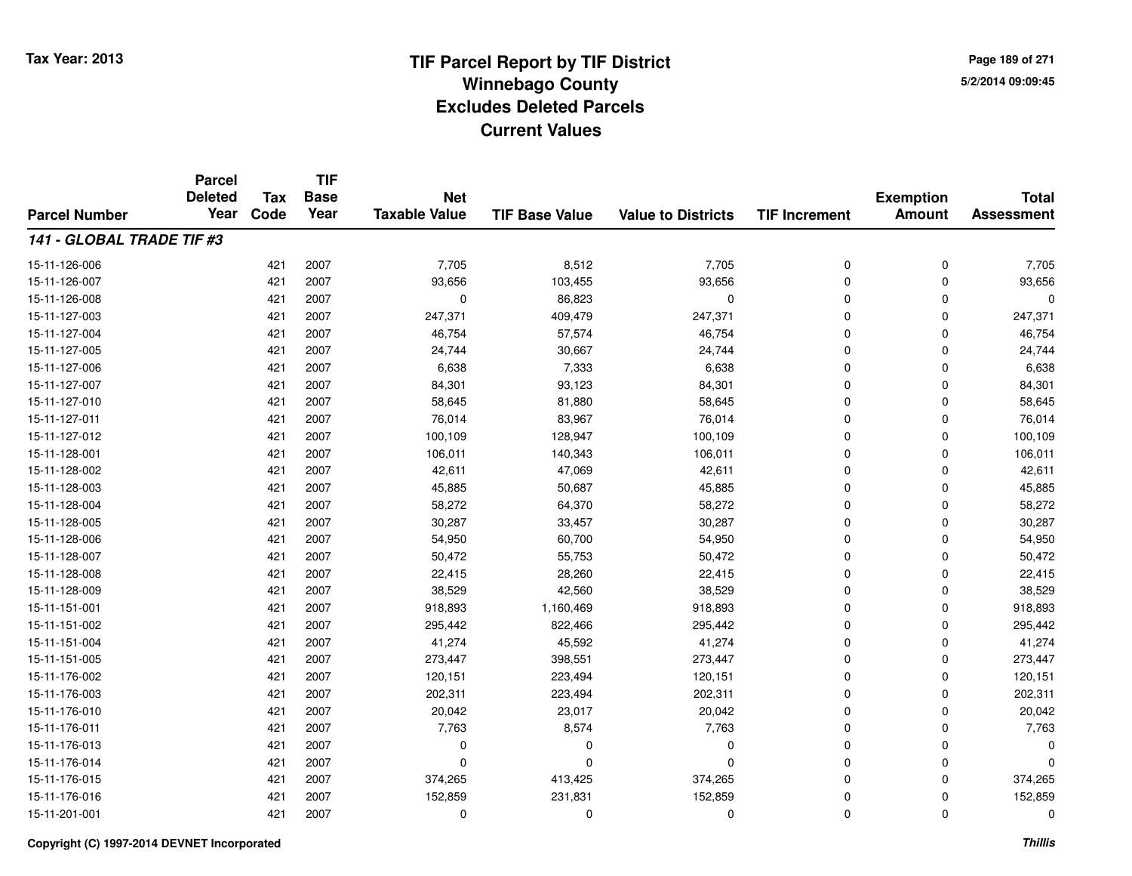**TIF**

**Parcel**

**Page 189 of 2715/2/2014 09:09:45**

#### **TIF Base ValueParcel NumberTotal AssessmentExemption Amount Value to Districts TIF Increment Base YearTax Code Deleted YearNet Taxable Value141 - GLOBAL TRADE TIF #3**15-11-126-006 <sup>421</sup> 7,705 <sup>2007</sup> 8,512 7,705 <sup>0</sup> <sup>0</sup> 7,705 15-11-126-007 <sup>421</sup> 93,656 <sup>2007</sup> 103,455 93,656 <sup>0</sup> <sup>0</sup> 93,656 15-11-126-0088 421 2007 0 86,823 0 0 0 0 15-11-127-003 <sup>421</sup> 247,371 <sup>2007</sup> 409,479 247,371 <sup>0</sup> <sup>0</sup> 247,371 15-11-127-004421 2007 46,754 57,574 46,754 57,674 57,574 57,574 57,574 57,574 57,54 57,54 57,54 57,54 57,54 57,54 57,54 57,54 57,54 57,54 57,54 57,574 57,54 57,54 57, 15-11-127-005 <sup>421</sup> 24,744 <sup>2007</sup> 30,667 24,744 <sup>0</sup> <sup>0</sup> 24,744 15-11-127-0066 421 2007 6,638 7,333 6,638 0 0 6,638 15-11-127-007 <sup>421</sup> 84,301 <sup>2007</sup> 93,123 84,301 <sup>0</sup> <sup>0</sup> 84,301 15-11-127-0100 421 2007 58,645 81,880 58,645 0 0 58,645 15-11-127-0111 421 2007 76,014 83,967 76,014 0 76,014 15-11-127-0122 421 2007 100,109 128,947 100,109 0 0 100,109 15-11-128-0011 421 2007 106,011 140,343 106,011 0 0 106,011 15-11-128-0022 421 2007 42,611 47,069 42,611 0 0 42,611 15-11-128-0033 421 2007 45,885 50,687 45,885 0 0 45,885 15-11-128-004 <sup>421</sup> 58,272 <sup>2007</sup> 64,370 58,272 <sup>0</sup> <sup>0</sup> 58,272 15-11-128-005 <sup>421</sup> 30,287 <sup>2007</sup> 33,457 30,287 <sup>0</sup> <sup>0</sup> 30,287 15-11-128-006 <sup>421</sup> 54,950 <sup>2007</sup> 60,700 54,950 <sup>0</sup> <sup>0</sup> 54,950 15-11-128-007 <sup>421</sup> 50,472 <sup>2007</sup> 55,753 50,472 <sup>0</sup> <sup>0</sup> 50,472 15-11-128-008 <sup>421</sup> 22,415 <sup>2007</sup> 28,260 22,415 <sup>0</sup> <sup>0</sup> 22,415 15-11-128-009 <sup>421</sup> 38,529 <sup>2007</sup> 42,560 38,529 <sup>0</sup> <sup>0</sup> 38,529 15-11-151-001 <sup>421</sup> 918,893 <sup>2007</sup> 1,160,469 918,893 <sup>0</sup> <sup>0</sup> 918,893 15-11-151-0022 421 2007 295,442 822,466 295,442 0 295,442 15-11-151-004 <sup>421</sup> 41,274 <sup>2007</sup> 45,592 41,274 <sup>0</sup> <sup>0</sup> 41,274 15-11-151-005 <sup>421</sup> 273,447 <sup>2007</sup> 398,551 273,447 <sup>0</sup> <sup>0</sup> 273,447 15-11-176-0022 421 2007 120,151 223,494 120,151 0 0 120,151 15-11-176-0033 421 2007 202,311 223,494 202,311 0 202,311 15-11-176-0100 421 2007 20,042 23,017 20,042 0 0 20,042 15-11-176-0111 421 2007 7,763 8,574 7,763 0 0 7,763 15-11-176-013 <sup>421</sup> <sup>0</sup> <sup>2007</sup> <sup>0</sup> <sup>0</sup> <sup>0</sup> <sup>0</sup> <sup>0</sup> 15-11-176-014 <sup>421</sup> <sup>0</sup> <sup>2007</sup> <sup>0</sup> <sup>0</sup> <sup>0</sup> <sup>0</sup> <sup>0</sup> 15-11-176-015 <sup>421</sup> 374,265 <sup>2007</sup> 413,425 374,265 <sup>0</sup> <sup>0</sup> 374,265 15-11-176-016 <sup>421</sup> 152,859 <sup>2007</sup> 231,831 152,859 <sup>0</sup> <sup>0</sup> 152,859 15-11-201-001<sup>421</sup> <sup>0</sup> <sup>2007</sup> <sup>0</sup> <sup>0</sup> <sup>0</sup> <sup>0</sup> <sup>0</sup>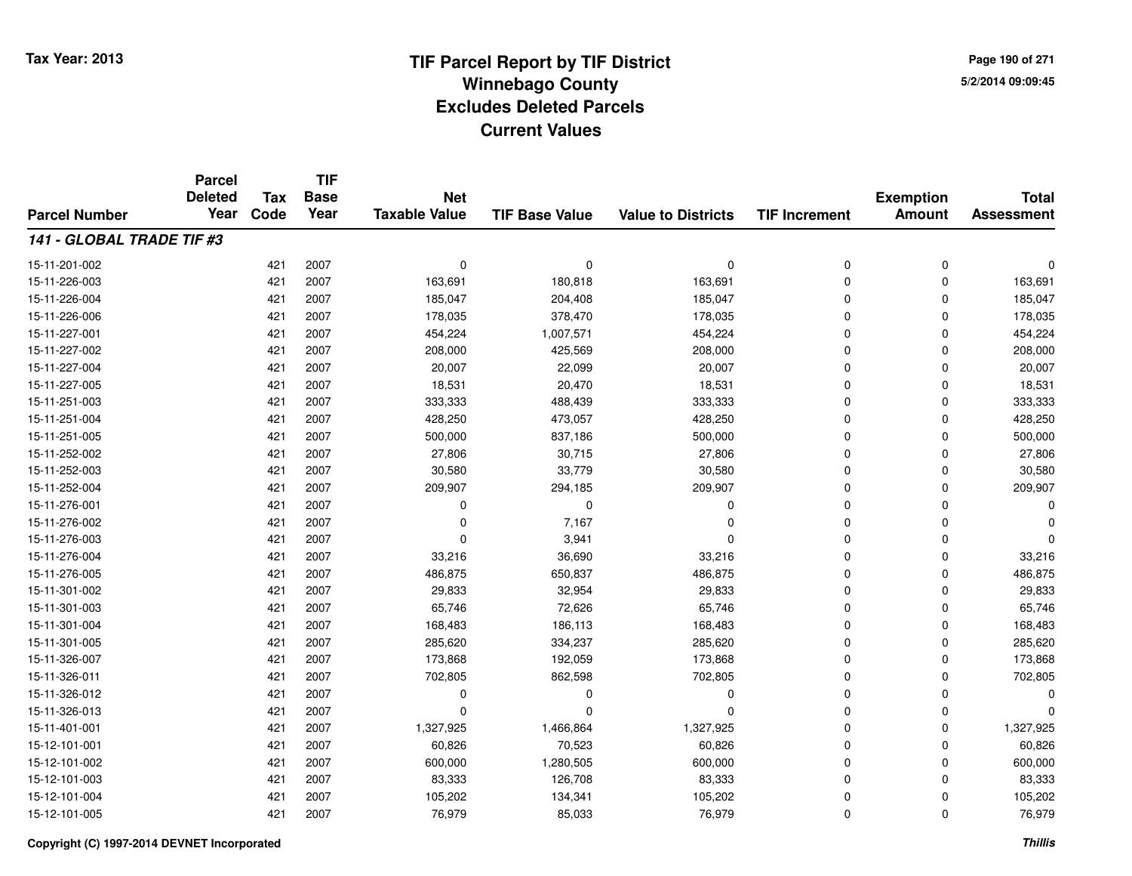**Page 190 of 2715/2/2014 09:09:45**

|                           | <b>Parcel</b><br><b>Deleted</b> |                    | <b>TIF</b><br><b>Base</b> |                                    |                       |                           |                      |                                   |                                   |
|---------------------------|---------------------------------|--------------------|---------------------------|------------------------------------|-----------------------|---------------------------|----------------------|-----------------------------------|-----------------------------------|
| <b>Parcel Number</b>      | Year                            | <b>Tax</b><br>Code | Year                      | <b>Net</b><br><b>Taxable Value</b> | <b>TIF Base Value</b> | <b>Value to Districts</b> | <b>TIF Increment</b> | <b>Exemption</b><br><b>Amount</b> | <b>Total</b><br><b>Assessment</b> |
| 141 - GLOBAL TRADE TIF #3 |                                 |                    |                           |                                    |                       |                           |                      |                                   |                                   |
|                           |                                 |                    |                           |                                    |                       |                           |                      |                                   |                                   |
| 15-11-201-002             |                                 | 421                | 2007                      | $\mathbf 0$                        | $\mathbf 0$           | 0                         | 0                    | $\mathbf 0$                       | C                                 |
| 15-11-226-003             |                                 | 421                | 2007                      | 163,691                            | 180,818               | 163,691                   | 0                    | 0                                 | 163,691                           |
| 15-11-226-004             |                                 | 421                | 2007                      | 185,047                            | 204,408               | 185,047                   | 0                    | $\mathbf 0$                       | 185,047                           |
| 15-11-226-006             |                                 | 421                | 2007                      | 178,035                            | 378,470               | 178,035                   | 0                    | $\Omega$                          | 178,035                           |
| 15-11-227-001             |                                 | 421                | 2007                      | 454,224                            | 1,007,571             | 454,224                   | $\Omega$             | $\Omega$                          | 454,224                           |
| 15-11-227-002             |                                 | 421                | 2007                      | 208,000                            | 425,569               | 208,000                   | 0                    | 0                                 | 208,000                           |
| 15-11-227-004             |                                 | 421                | 2007                      | 20,007                             | 22,099                | 20,007                    | 0                    | $\mathbf 0$                       | 20,007                            |
| 15-11-227-005             |                                 | 421                | 2007                      | 18,531                             | 20,470                | 18,531                    | 0                    | $\mathbf 0$                       | 18,531                            |
| 15-11-251-003             |                                 | 421                | 2007                      | 333,333                            | 488,439               | 333,333                   | 0                    | $\mathbf 0$                       | 333,333                           |
| 15-11-251-004             |                                 | 421                | 2007                      | 428,250                            | 473,057               | 428,250                   | 0                    | 0                                 | 428,250                           |
| 15-11-251-005             |                                 | 421                | 2007                      | 500,000                            | 837,186               | 500,000                   | 0                    | $\Omega$                          | 500,000                           |
| 15-11-252-002             |                                 | 421                | 2007                      | 27,806                             | 30,715                | 27,806                    | 0                    | 0                                 | 27,806                            |
| 15-11-252-003             |                                 | 421                | 2007                      | 30,580                             | 33,779                | 30,580                    | 0                    | 0                                 | 30,580                            |
| 15-11-252-004             |                                 | 421                | 2007                      | 209,907                            | 294,185               | 209,907                   | 0                    | 0                                 | 209,907                           |
| 15-11-276-001             |                                 | 421                | 2007                      | 0                                  | $\Omega$              | 0                         | 0                    | $\Omega$                          |                                   |
| 15-11-276-002             |                                 | 421                | 2007                      | O                                  | 7,167                 | $\Omega$                  | 0                    | 0                                 |                                   |
| 15-11-276-003             |                                 | 421                | 2007                      | O                                  | 3,941                 | $\Omega$                  | 0                    | $\Omega$                          |                                   |
| 15-11-276-004             |                                 | 421                | 2007                      | 33,216                             | 36,690                | 33,216                    | 0                    | 0                                 | 33,216                            |
| 15-11-276-005             |                                 | 421                | 2007                      | 486,875                            | 650,837               | 486,875                   | 0                    | $\Omega$                          | 486,875                           |
| 15-11-301-002             |                                 | 421                | 2007                      | 29,833                             | 32,954                | 29,833                    | 0                    | 0                                 | 29,833                            |
| 15-11-301-003             |                                 | 421                | 2007                      | 65,746                             | 72,626                | 65,746                    | 0                    | $\Omega$                          | 65,746                            |
| 15-11-301-004             |                                 | 421                | 2007                      | 168,483                            | 186,113               | 168,483                   | 0                    | 0                                 | 168,483                           |
| 15-11-301-005             |                                 | 421                | 2007                      | 285,620                            | 334,237               | 285,620                   | 0                    | $\Omega$                          | 285,620                           |
| 15-11-326-007             |                                 | 421                | 2007                      | 173,868                            | 192,059               | 173,868                   | 0                    | $\mathbf 0$                       | 173,868                           |
| 15-11-326-011             |                                 | 421                | 2007                      | 702,805                            | 862,598               | 702,805                   | 0                    | $\Omega$                          | 702,805                           |
| 15-11-326-012             |                                 | 421                | 2007                      | 0                                  | 0                     | 0                         | 0                    | $\Omega$                          | 0                                 |
| 15-11-326-013             |                                 | 421                | 2007                      | $\Omega$                           | $\Omega$              | $\Omega$                  | 0                    | $\Omega$                          |                                   |
| 15-11-401-001             |                                 | 421                | 2007                      | 1,327,925                          | 1,466,864             | 1,327,925                 | 0                    | 0                                 | 1,327,925                         |
| 15-12-101-001             |                                 | 421                | 2007                      | 60,826                             | 70,523                | 60,826                    | 0                    | $\Omega$                          | 60,826                            |
| 15-12-101-002             |                                 | 421                | 2007                      | 600,000                            | 1,280,505             | 600,000                   | 0                    | 0                                 | 600,000                           |
| 15-12-101-003             |                                 | 421                | 2007                      | 83,333                             | 126,708               | 83,333                    | 0                    | $\Omega$                          | 83,333                            |
| 15-12-101-004             |                                 | 421                | 2007                      | 105,202                            | 134,341               | 105,202                   | 0                    | 0                                 | 105,202                           |
| 15-12-101-005             |                                 | 421                | 2007                      | 76,979                             | 85,033                | 76,979                    | 0                    | $\mathbf 0$                       | 76,979                            |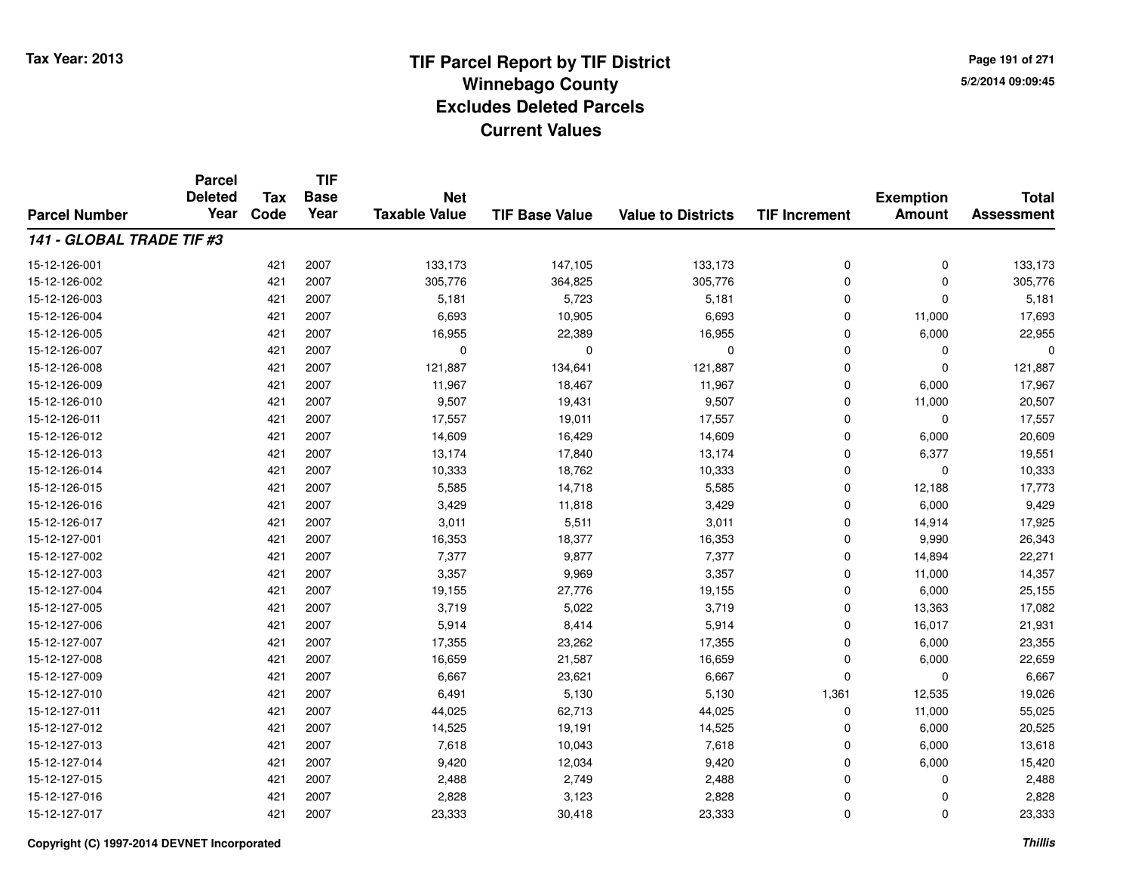**Page 191 of 2715/2/2014 09:09:45**

#### **TIF Base ValueParcel NumberTotal AssessmentExemption Amount Value to Districts TIF IncrementTIF Base YearTax CodeParcel Deleted YearNet Taxable Value141 - GLOBAL TRADE TIF #3**15-12-126-001 <sup>421</sup> 133,173 <sup>2007</sup> 147,105 133,173 <sup>0</sup> <sup>0</sup> 133,173 15-12-126-0022 421 2007 305,776 364,825 305,776 0 305,776 15-12-126-003 <sup>421</sup> 5,181 <sup>2007</sup> 5,723 5,181 <sup>0</sup> <sup>0</sup> 5,181 15-12-126-0044 421 2007 6,693 10,905 6,693 0 11,000 17,693 15-12-126-0055 421 2007 16,955 22,389 16,955 0 6,000 22,955 15-12-126-007 <sup>421</sup> <sup>0</sup> <sup>2007</sup> <sup>0</sup> <sup>0</sup> <sup>0</sup> <sup>0</sup> <sup>0</sup> 15-12-126-008 <sup>421</sup> 121,887 <sup>2007</sup> 134,641 121,887 <sup>0</sup> <sup>0</sup> 121,887 15-12-126-009 <sup>421</sup> 11,967 <sup>2007</sup> 18,467 11,967 <sup>0</sup> 6,000 17,967 15-12-126-0100 421 2007 9,507 19,431 9,507 0 11,000 20,507 15-12-126-0111 1 17,557 19,011 17,557 19,011 17,557 0 0 0 17,557 15-12-126-0122 421 2007 14,609 16,429 14,609 0 6,000 20,609 15-12-126-013 <sup>421</sup> 13,174 <sup>2007</sup> 17,840 13,174 <sup>0</sup> 6,377 19,551 15-12-126-014 <sup>421</sup> 10,333 <sup>2007</sup> 18,762 10,333 <sup>0</sup> <sup>0</sup> 10,333 15-12-126-015 <sup>421</sup> 5,585 <sup>2007</sup> 14,718 5,585 <sup>0</sup> 12,188 17,773 15-12-126-016 <sup>421</sup> 3,429 <sup>2007</sup> 11,818 3,429 <sup>0</sup> 6,000 9,429 15-12-126-017 <sup>421</sup> 3,011 <sup>2007</sup> 5,511 3,011 <sup>0</sup> 14,914 17,925 15-12-127-0011 421 2007 16,353 18,377 16,353 0 9,990 26,343 15-12-127-002 <sup>421</sup> 7,377 <sup>2007</sup> 9,877 7,377 <sup>0</sup> 14,894 22,271 15-12-127-0033 421 2007 3,357 9,969 3,357 0 11,000 14,357 15-12-127-004 <sup>421</sup> 19,155 <sup>2007</sup> 27,776 19,155 <sup>0</sup> 6,000 25,155 15-12-127-005 <sup>421</sup> 3,719 <sup>2007</sup> 5,022 3,719 <sup>0</sup> 13,363 17,082 15-12-127-006 <sup>421</sup> 5,914 <sup>2007</sup> 8,414 5,914 <sup>0</sup> 16,017 21,931 15-12-127-007 <sup>421</sup> 17,355 <sup>2007</sup> 23,262 17,355 <sup>0</sup> 6,000 23,355 15-12-127-0088 421 2007 16,659 21,587 16,659 0 6,000 22,659 15-12-127-0099 421 2007 6,667 23,621 6,667 0 0 6,667 15-12-127-0100 421 2007 6,491 5,130 5,130 1,361 12,535 19,026 15-12-127-011 <sup>421</sup> 44,025 <sup>2007</sup> 62,713 44,025 <sup>0</sup> 11,000 55,025 15-12-127-0122 421 2007 14,525 19,191 14,525 0 6,000 20,525 15-12-127-0133 421 2007 7,618 10,043 7,618 0 6,000 13,618 15-12-127-014 <sup>421</sup> 9,420 <sup>2007</sup> 12,034 9,420 <sup>0</sup> 6,000 15,420 15-12-127-015 <sup>421</sup> 2,488 <sup>2007</sup> 2,749 2,488 <sup>0</sup> <sup>0</sup> 2,488 15-12-127-0166 421 2007 2,828 3,123 2,828 0 0 2,828 15-12-127-017<sup>421</sup> 23,333 <sup>2007</sup> 30,418 23,333 <sup>0</sup> <sup>0</sup> 23,333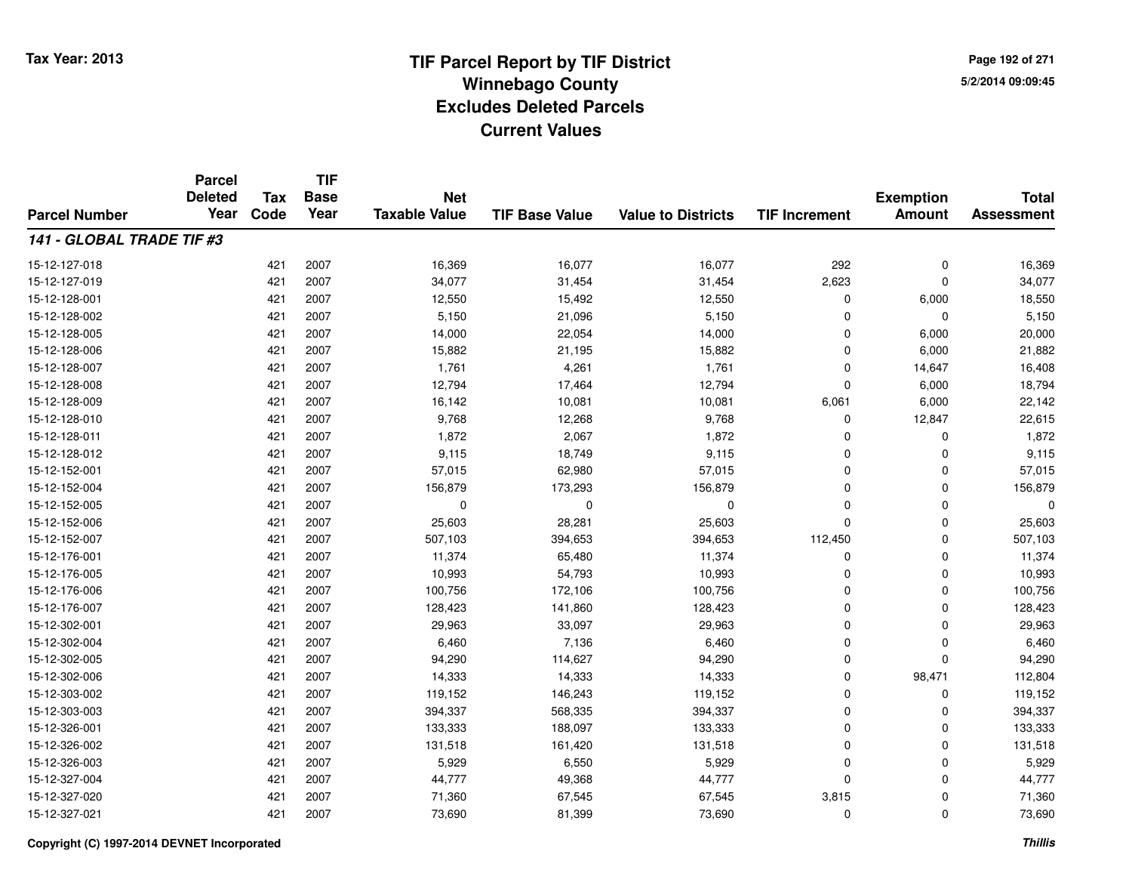**Page 192 of 2715/2/2014 09:09:45**

|                           | <b>Parcel</b><br><b>Deleted</b> | <b>Tax</b> | <b>TIF</b><br><b>Base</b> | <b>Net</b>           |                       |                           |                      | <b>Exemption</b> | <b>Total</b>      |
|---------------------------|---------------------------------|------------|---------------------------|----------------------|-----------------------|---------------------------|----------------------|------------------|-------------------|
| <b>Parcel Number</b>      | Year                            | Code       | Year                      | <b>Taxable Value</b> | <b>TIF Base Value</b> | <b>Value to Districts</b> | <b>TIF Increment</b> | <b>Amount</b>    | <b>Assessment</b> |
| 141 - GLOBAL TRADE TIF #3 |                                 |            |                           |                      |                       |                           |                      |                  |                   |
| 15-12-127-018             |                                 | 421        | 2007                      | 16,369               | 16,077                | 16,077                    | 292                  | $\mathbf 0$      | 16,369            |
| 15-12-127-019             |                                 | 421        | 2007                      | 34,077               | 31,454                | 31,454                    | 2,623                | $\mathbf 0$      | 34,077            |
| 15-12-128-001             |                                 | 421        | 2007                      | 12,550               | 15,492                | 12,550                    | 0                    | 6,000            | 18,550            |
| 15-12-128-002             |                                 | 421        | 2007                      | 5,150                | 21,096                | 5,150                     | 0                    | 0                | 5,150             |
| 15-12-128-005             |                                 | 421        | 2007                      | 14,000               | 22,054                | 14,000                    | 0                    | 6,000            | 20,000            |
| 15-12-128-006             |                                 | 421        | 2007                      | 15,882               | 21,195                | 15,882                    | 0                    | 6,000            | 21,882            |
| 15-12-128-007             |                                 | 421        | 2007                      | 1,761                | 4,261                 | 1,761                     | 0                    | 14,647           | 16,408            |
| 15-12-128-008             |                                 | 421        | 2007                      | 12,794               | 17,464                | 12,794                    | 0                    | 6,000            | 18,794            |
| 15-12-128-009             |                                 | 421        | 2007                      | 16,142               | 10,081                | 10,081                    | 6,061                | 6,000            | 22,142            |
| 15-12-128-010             |                                 | 421        | 2007                      | 9,768                | 12,268                | 9,768                     | 0                    | 12,847           | 22,615            |
| 15-12-128-011             |                                 | 421        | 2007                      | 1,872                | 2,067                 | 1,872                     | 0                    | 0                | 1,872             |
| 15-12-128-012             |                                 | 421        | 2007                      | 9,115                | 18,749                | 9,115                     | 0                    | 0                | 9,115             |
| 15-12-152-001             |                                 | 421        | 2007                      | 57,015               | 62,980                | 57,015                    | 0                    | $\Omega$         | 57,015            |
| 15-12-152-004             |                                 | 421        | 2007                      | 156,879              | 173,293               | 156,879                   | 0                    | 0                | 156,879           |
| 15-12-152-005             |                                 | 421        | 2007                      | 0                    | $\Omega$              | 0                         | 0                    | $\Omega$         | 0                 |
| 15-12-152-006             |                                 | 421        | 2007                      | 25,603               | 28,281                | 25,603                    | 0                    | 0                | 25,603            |
| 15-12-152-007             |                                 | 421        | 2007                      | 507,103              | 394,653               | 394,653                   | 112,450              | $\mathbf 0$      | 507,103           |
| 15-12-176-001             |                                 | 421        | 2007                      | 11,374               | 65,480                | 11,374                    | 0                    | $\mathbf 0$      | 11,374            |
| 15-12-176-005             |                                 | 421        | 2007                      | 10,993               | 54,793                | 10,993                    | 0                    | 0                | 10,993            |
| 15-12-176-006             |                                 | 421        | 2007                      | 100,756              | 172,106               | 100,756                   | 0                    | 0                | 100,756           |
| 15-12-176-007             |                                 | 421        | 2007                      | 128,423              | 141,860               | 128,423                   | 0                    | 0                | 128,423           |
| 15-12-302-001             |                                 | 421        | 2007                      | 29,963               | 33,097                | 29,963                    | 0                    | 0                | 29,963            |
| 15-12-302-004             |                                 | 421        | 2007                      | 6,460                | 7,136                 | 6,460                     | 0                    | 0                | 6,460             |
| 15-12-302-005             |                                 | 421        | 2007                      | 94,290               | 114,627               | 94,290                    | 0                    | $\mathbf 0$      | 94,290            |
| 15-12-302-006             |                                 | 421        | 2007                      | 14,333               | 14,333                | 14,333                    | 0                    | 98,471           | 112,804           |
| 15-12-303-002             |                                 | 421        | 2007                      | 119,152              | 146,243               | 119,152                   | 0                    | 0                | 119,152           |
| 15-12-303-003             |                                 | 421        | 2007                      | 394,337              | 568,335               | 394,337                   | 0                    | $\mathbf 0$      | 394,337           |
| 15-12-326-001             |                                 | 421        | 2007                      | 133,333              | 188,097               | 133,333                   | 0                    | 0                | 133,333           |
| 15-12-326-002             |                                 | 421        | 2007                      | 131,518              | 161,420               | 131,518                   | 0                    | 0                | 131,518           |
| 15-12-326-003             |                                 | 421        | 2007                      | 5,929                | 6,550                 | 5,929                     | 0                    | 0                | 5,929             |
| 15-12-327-004             |                                 | 421        | 2007                      | 44,777               | 49,368                | 44,777                    | 0                    | $\Omega$         | 44,777            |
| 15-12-327-020             |                                 | 421        | 2007                      | 71,360               | 67,545                | 67,545                    | 3,815                | 0                | 71,360            |
| 15-12-327-021             |                                 | 421        | 2007                      | 73,690               | 81,399                | 73,690                    | 0                    | $\Omega$         | 73,690            |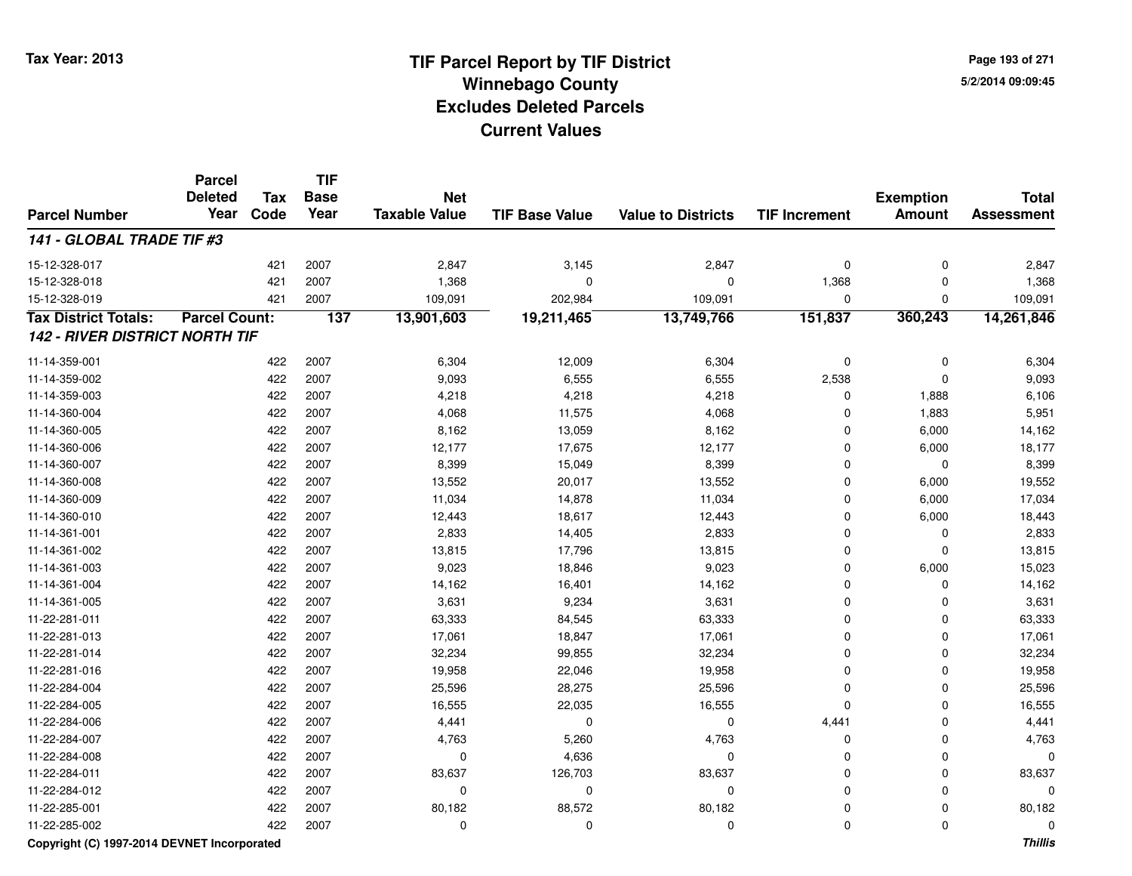**Page 193 of 2715/2/2014 09:09:45**

#### **TIF Base ValueParcel NumberTotal AssessmentExemption Amount Value to Districts TIF IncrementTIF Base YearTax CodeParcel Deleted YearNet Taxable Value141 - GLOBAL TRADE TIF #3**15-12-328-0177 421 2007 2,847 3,145 2,847 0 0 2,847 15-12-328-0188 421 2007 1,368 0 1,368 0 1,368 15-12-328-019 <sup>421</sup> 109,091 <sup>2007</sup> 202,984 109,091 <sup>0</sup> <sup>0</sup> 109,091 **Tax District Totals: Parcel Count: <sup>137</sup> 13,901,603 19,211,465 13,749,766 151,837 360,243 14,261,846 142 - RIVER DISTRICT NORTH TIF**11-14-359-0011 422 2007 6,304 12,009 6,304 0 0 6,304 11-14-359-002 <sup>422</sup> 9,093 <sup>2007</sup> 6,555 6,555 2,538 <sup>0</sup> 9,093 11-14-359-0033 422 2007 4,218 4,218 0 1,888 6,106 11-14-360-0044 422 2007 4,068 11,575 4,068 0 1,883 5,951 11-14-360-0055 422 2007 8,162 13,059 8,162 0 6,000 14,162 11-14-360-006 <sup>422</sup> 12,177 <sup>2007</sup> 17,675 12,177 <sup>0</sup> 6,000 18,177 11-14-360-007 <sup>422</sup> 8,399 <sup>2007</sup> 15,049 8,399 <sup>0</sup> <sup>0</sup> 8,399 11-14-360-0088 422 2007 13,552 20,017 13,552 0 6,000 19,552 11-14-360-0099 422 2007 11,034 14,878 11,034 0 6,000 17,034 11-14-360-0100 422 2007 12,443 18,617 12,443 0 6,000 18,443 11-14-361-0011 422 2007 2,833 14,405 2,833 0 0 2,833 11-14-361-002 <sup>422</sup> 13,815 <sup>2007</sup> 17,796 13,815 <sup>0</sup> <sup>0</sup> 13,815 11-14-361-0033 422 2007 9,023 18,846 9,023 0 6,000 15,023 11-14-361-0044 422 2007 14,162 16,401 14,162 0 0 14,162 11-14-361-005 <sup>422</sup> 3,631 <sup>2007</sup> 9,234 3,631 <sup>0</sup> <sup>0</sup> 3,631 11-22-281-0111 422 2007 63,333 84,545 63,333 0 0 63,333 11-22-281-0133 422 2007 17,061 18,847 17,061 0 0 17,061 11-22-281-0144 22 2007 32,234 99,855 32,234 99,234 99,234 99,234 0 0 0 32,234 11-22-281-0166 422 2007 19,958 22,046 19,958 0 0 19,958 11-22-284-004422 2007 25,596 28,275 26,596 26,596 28,275 25,596 26,596 25,596 25,596 25,596 25,596 26,282 2007 25,596 26,275 25,596 25,596 26,275 26,275 26,282 2007 25,596 26,282 2007 25,596 26,275 26,275 26,275 26,276 26,276 26,276 26 11-22-284-0055 422 2007 16,555 22,035 16,555 0 0 16,555 11-22-284-006 <sup>422</sup> 4,441 <sup>2007</sup> <sup>0</sup> <sup>0</sup> 4,441 <sup>0</sup> 4,441 11-22-284-007 <sup>422</sup> 4,763 <sup>2007</sup> 5,260 4,763 <sup>0</sup> <sup>0</sup> 4,763 11-22-284-0088 422 2007 0 4,636 0 0 0 0 11-22-284-0111 422 2007 83,637 126,703 83,637 0 0 83,637 11-22-284-012 <sup>422</sup> <sup>0</sup> <sup>2007</sup> <sup>0</sup> <sup>0</sup> <sup>0</sup> <sup>0</sup> <sup>0</sup> 11-22-285-0011 422 2007 80,182 88,572 80,182 0 0 80,182 11-22-285-002<sup>422</sup> <sup>0</sup> <sup>2007</sup> <sup>0</sup> <sup>0</sup> <sup>0</sup> <sup>0</sup> <sup>0</sup>

### **Copyright (C) 1997-2014 DEVNET Incorporated**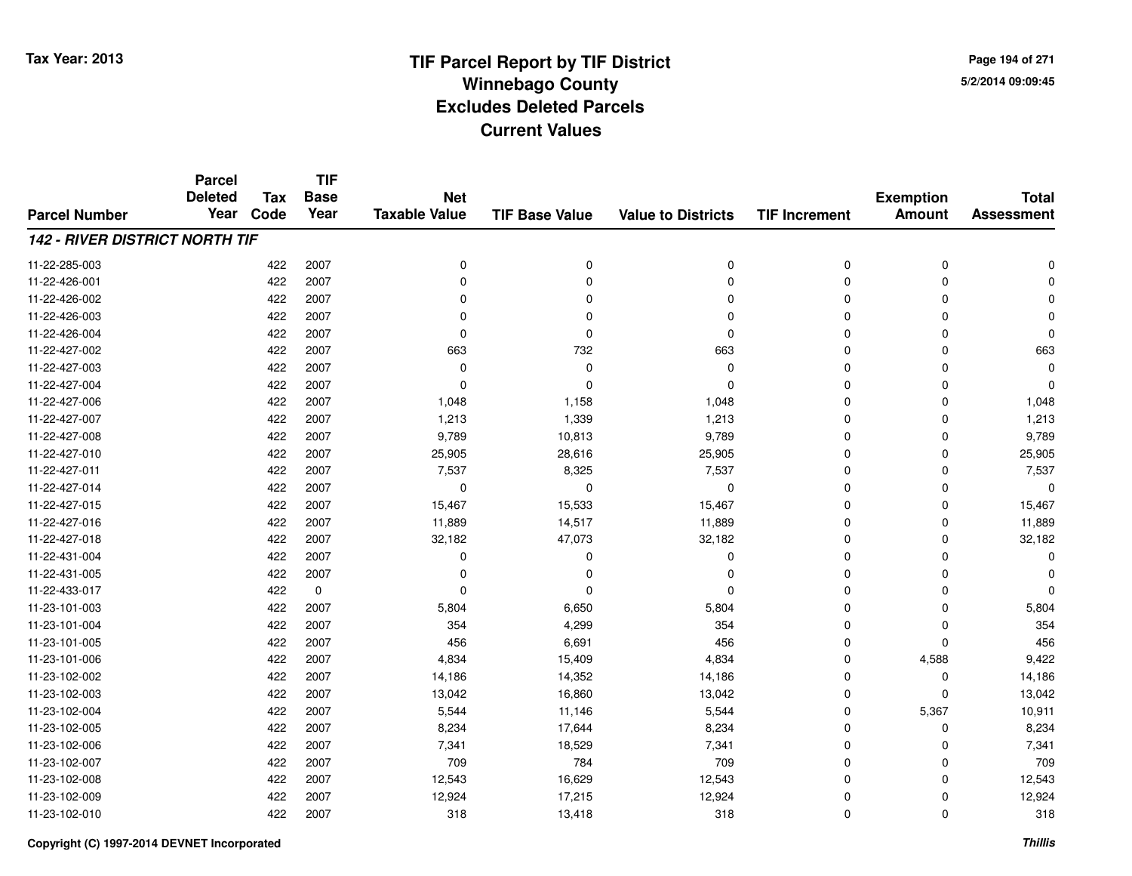**Page 194 of 2715/2/2014 09:09:45**

|                                       | <b>Parcel</b>  |            | <b>TIF</b>  |                      |                       |                           |                      |                  |                   |
|---------------------------------------|----------------|------------|-------------|----------------------|-----------------------|---------------------------|----------------------|------------------|-------------------|
|                                       | <b>Deleted</b> | <b>Tax</b> | <b>Base</b> | <b>Net</b>           |                       |                           |                      | <b>Exemption</b> | <b>Total</b>      |
| <b>Parcel Number</b>                  | Year           | Code       | Year        | <b>Taxable Value</b> | <b>TIF Base Value</b> | <b>Value to Districts</b> | <b>TIF Increment</b> | <b>Amount</b>    | <b>Assessment</b> |
| <b>142 - RIVER DISTRICT NORTH TIF</b> |                |            |             |                      |                       |                           |                      |                  |                   |
| 11-22-285-003                         |                | 422        | 2007        | 0                    | 0                     | 0                         | 0                    | 0                |                   |
| 11-22-426-001                         |                | 422        | 2007        | 0                    | $\Omega$              | $\Omega$                  | $\Omega$             | $\Omega$         |                   |
| 11-22-426-002                         |                | 422        | 2007        | 0                    | 0                     | $\Omega$                  | 0                    | $\Omega$         |                   |
| 11-22-426-003                         |                | 422        | 2007        | $\Omega$             |                       | $\Omega$                  | 0                    | $\Omega$         |                   |
| 11-22-426-004                         |                | 422        | 2007        | $\Omega$             | ∩                     | $\Omega$                  | 0                    | $\Omega$         | $\Omega$          |
| 11-22-427-002                         |                | 422        | 2007        | 663                  | 732                   | 663                       | 0                    | $\Omega$         | 663               |
| 11-22-427-003                         |                | 422        | 2007        | 0                    | $\Omega$              | $\Omega$                  | 0                    | $\Omega$         | $\Omega$          |
| 11-22-427-004                         |                | 422        | 2007        | $\Omega$             | $\Omega$              | $\Omega$                  | 0                    | $\Omega$         | $\Omega$          |
| 11-22-427-006                         |                | 422        | 2007        | 1,048                | 1,158                 | 1,048                     | 0                    | $\Omega$         | 1,048             |
| 11-22-427-007                         |                | 422        | 2007        | 1,213                | 1,339                 | 1,213                     | 0                    | $\Omega$         | 1,213             |
| 11-22-427-008                         |                | 422        | 2007        | 9,789                | 10,813                | 9,789                     | 0                    | 0                | 9,789             |
| 11-22-427-010                         |                | 422        | 2007        | 25,905               | 28,616                | 25,905                    | 0                    | $\mathbf 0$      | 25,905            |
| 11-22-427-011                         |                | 422        | 2007        | 7,537                | 8,325                 | 7,537                     | 0                    | $\Omega$         | 7,537             |
| 11-22-427-014                         |                | 422        | 2007        | 0                    | 0                     | 0                         | 0                    | $\Omega$         | $\Omega$          |
| 11-22-427-015                         |                | 422        | 2007        | 15,467               | 15,533                | 15,467                    | 0                    | $\Omega$         | 15,467            |
| 11-22-427-016                         |                | 422        | 2007        | 11,889               | 14,517                | 11,889                    | 0                    | 0                | 11,889            |
| 11-22-427-018                         |                | 422        | 2007        | 32,182               | 47,073                | 32,182                    | 0                    | $\Omega$         | 32,182            |
| 11-22-431-004                         |                | 422        | 2007        | 0                    | 0                     | 0                         | 0                    | $\Omega$         | O                 |
| 11-22-431-005                         |                | 422        | 2007        | $\Omega$             | 0                     | 0                         | 0                    | $\Omega$         |                   |
| 11-22-433-017                         |                | 422        | $\mathbf 0$ | 0                    | $\Omega$              | $\mathbf 0$               | 0                    | 0                |                   |
| 11-23-101-003                         |                | 422        | 2007        | 5,804                | 6,650                 | 5,804                     | 0                    | 0                | 5,804             |
| 11-23-101-004                         |                | 422        | 2007        | 354                  | 4,299                 | 354                       | 0                    | $\mathbf 0$      | 354               |
| 11-23-101-005                         |                | 422        | 2007        | 456                  | 6,691                 | 456                       | 0                    | $\mathbf 0$      | 456               |
| 11-23-101-006                         |                | 422        | 2007        | 4,834                | 15,409                | 4,834                     | 0                    | 4,588            | 9,422             |
| 11-23-102-002                         |                | 422        | 2007        | 14,186               | 14,352                | 14,186                    | 0                    | 0                | 14,186            |
| 11-23-102-003                         |                | 422        | 2007        | 13,042               | 16,860                | 13,042                    | 0                    | $\mathbf 0$      | 13,042            |
| 11-23-102-004                         |                | 422        | 2007        | 5,544                | 11,146                | 5,544                     | 0                    | 5,367            | 10,911            |
| 11-23-102-005                         |                | 422        | 2007        | 8,234                | 17,644                | 8,234                     | 0                    | 0                | 8,234             |
| 11-23-102-006                         |                | 422        | 2007        | 7,341                | 18,529                | 7,341                     | 0                    | $\mathbf 0$      | 7,341             |
| 11-23-102-007                         |                | 422        | 2007        | 709                  | 784                   | 709                       | 0                    | $\Omega$         | 709               |
| 11-23-102-008                         |                | 422        | 2007        | 12,543               | 16,629                | 12,543                    | 0                    | $\Omega$         | 12,543            |
| 11-23-102-009                         |                | 422        | 2007        | 12,924               | 17,215                | 12,924                    | 0                    | $\Omega$         | 12,924            |
| 11-23-102-010                         |                | 422        | 2007        | 318                  | 13,418                | 318                       | 0                    | $\Omega$         | 318               |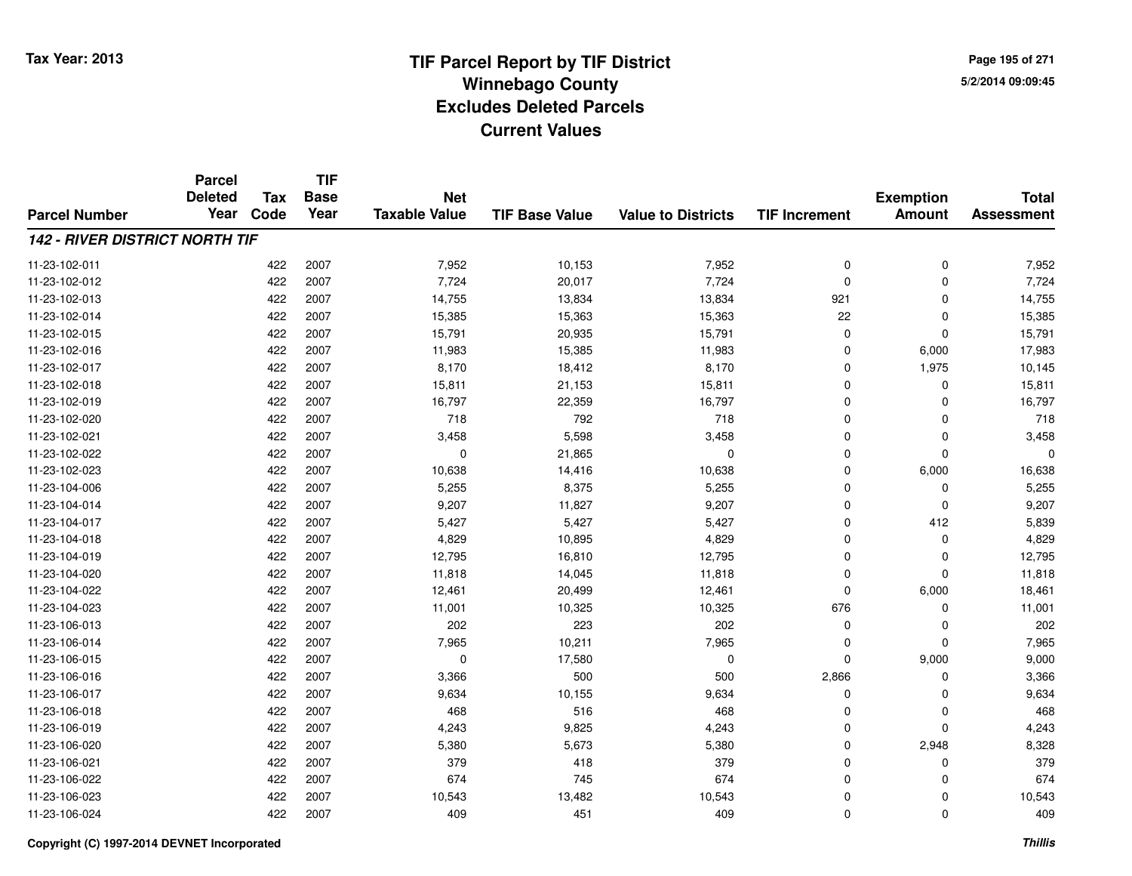**Page 195 of 2715/2/2014 09:09:45**

#### **TIF Base ValueParcel NumberTotal AssessmentExemption Amount Value to Districts TIF IncrementTIF Base YearTax CodeParcel Deleted YearNet Taxable Value142 - RIVER DISTRICT NORTH TIF**11-23-102-0111 422 2007 7,952 10,153 7,952 0 0 7,952 11-23-102-012 <sup>422</sup> 7,724 <sup>2007</sup> 20,017 7,724 <sup>0</sup> <sup>0</sup> 7,724 11-23-102-013 <sup>422</sup> 14,755 <sup>2007</sup> 13,834 13,834 <sup>921</sup> <sup>0</sup> 14,755 11-23-102-0144 422 2007 15,385 15,363 15,363 22 0 15,385 11-23-102-015 <sup>422</sup> 15,791 <sup>2007</sup> 20,935 15,791 <sup>0</sup> <sup>0</sup> 15,791 11-23-102-0166 422 2007 11,983 15,385 11,983 0 6,000 17,983 11-23-102-017 <sup>422</sup> 8,170 <sup>2007</sup> 18,412 8,170 <sup>0</sup> 1,975 10,145 11-23-102-018 <sup>422</sup> 15,811 <sup>2007</sup> 21,153 15,811 <sup>0</sup> <sup>0</sup> 15,811 11-23-102-0199 422 2007 16,797 22,359 16,797 0 0 16,797 11-23-102-0200 422 2007 718 792 718 0 0 718 11-23-102-0211 422 2007 3,458 5,598 3,458 0 0 3,458 11-23-102-022 <sup>422</sup> <sup>0</sup> <sup>2007</sup> 21,865 <sup>0</sup> <sup>0</sup> <sup>0</sup> <sup>0</sup> 11-23-102-0233 422 2007 10,638 14,416 10,638 0 6,000 16,638 11-23-104-006 <sup>422</sup> 5,255 <sup>2007</sup> 8,375 5,255 <sup>0</sup> <sup>0</sup> 5,255 11-23-104-014 <sup>422</sup> 9,207 <sup>2007</sup> 11,827 9,207 <sup>0</sup> <sup>0</sup> 9,207 11-23-104-017 <sup>422</sup> 5,427 <sup>2007</sup> 5,427 5,427 <sup>0</sup> <sup>412</sup> 5,839 11-23-104-0188 422 2007 4,829 10,895 4,829 0 0 4,829 11-23-104-0199 422 2007 12,795 16,810 12,795 0 0 12,795 11-23-104-0200 422 2007 11,818 14,045 11,818 0 0 11,818 11-23-104-022 <sup>422</sup> 12,461 <sup>2007</sup> 20,499 12,461 <sup>0</sup> 6,000 18,461 11-23-104-0233 422 2007 11,001 10,325 10,325 676 0 11,001 11-23-106-0133 422 2007 202 223 202 0 0 202 11-23-106-0144 422 2007 7,965 10,211 7,965 0 7,965 11-23-106-015 <sup>422</sup> <sup>0</sup> <sup>2007</sup> 17,580 <sup>0</sup> <sup>0</sup> 9,000 9,000 11-23-106-0166 422 2007 3,366 500 500 2,866 0 3,366 11-23-106-017 <sup>422</sup> 9,634 <sup>2007</sup> 10,155 9,634 <sup>0</sup> <sup>0</sup> 9,634 11-23-106-0188 422 2007 468 516 468 0 0 468 11-23-106-0199 422 2007 4,243 9,825 4,243 0 0 4,243 11-23-106-0200 422 2007 5,380 5,673 5,380 0 2,948 8,328 11-23-106-0211 422 2007 379 418 379 0 0 379 11-23-106-022 <sup>422</sup> <sup>674</sup> <sup>2007</sup> <sup>745</sup> <sup>674</sup> <sup>0</sup> <sup>0</sup> <sup>674</sup> 11-23-106-0233 422 2007 10,543 13,482 10,543 0 0 10,543 11-23-106-024<sup>422</sup> <sup>409</sup> <sup>2007</sup> <sup>451</sup> <sup>409</sup> <sup>0</sup> <sup>0</sup> <sup>409</sup>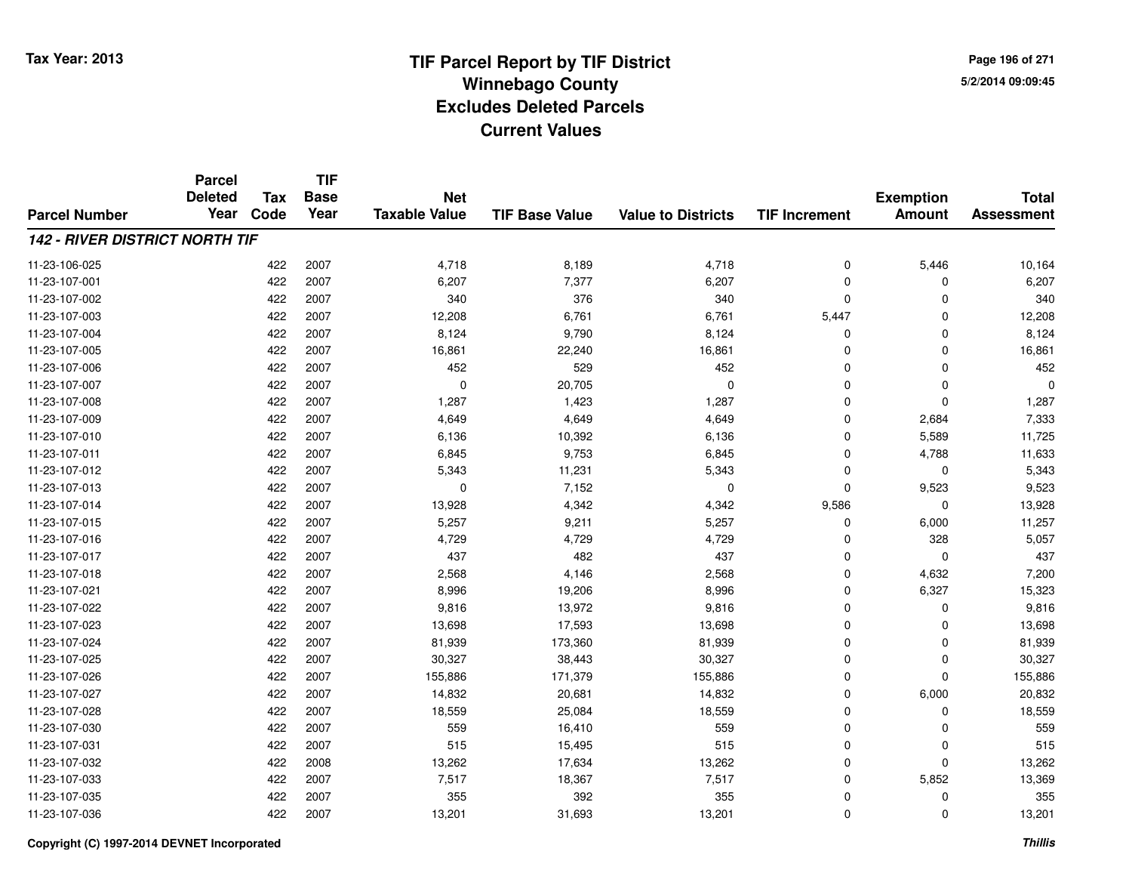**TIF**

**Parcel**

**Page 196 of 2715/2/2014 09:09:45**

#### **TIF Base ValueParcel NumberTotal AssessmentExemption Amount Value to Districts TIF Increment Base YearTax Code Deleted YearNet Taxable Value142 - RIVER DISTRICT NORTH TIF**11-23-106-0255 422 2007 4,718 8,189 4,718 0 5,446 10,164 11-23-107-0011 422 2007 6,207 7,377 6,207 0 0 6,207 11-23-107-002 <sup>422</sup> <sup>340</sup> <sup>2007</sup> <sup>376</sup> <sup>340</sup> <sup>0</sup> <sup>0</sup> <sup>340</sup> 11-23-107-0033 422 2007 12,208 6,761 6,761 5,447 0 12,208 11-23-107-0044 22 2007 8,124 9,790 8,124 0 0 0 8,124 8,124 11-23-107-0055 422 2007 16,861 22,240 16,861 0 16,861 11-23-107-0066 422 2007 452 529 452 0 0 452 11-23-107-007 $7$  and  $422$  2007 cm  $10$  20,705 cm  $10$  0 cm  $10$  0 cm  $10$  0 0 cm  $10$ 11-23-107-0088 422 2007 1,287 1,423 1,287 0 0 1,287 11-23-107-009 <sup>422</sup> 4,649 <sup>2007</sup> 4,649 4,649 <sup>0</sup> 2,684 7,333 11-23-107-0100 422 2007 6,136 10,392 6,136 0 5,589 11,725 11-23-107-0111 422 2007 6,845 9,753 6,845 0 4,788 11,633 11-23-107-012 <sup>422</sup> 5,343 <sup>2007</sup> 11,231 5,343 <sup>0</sup> <sup>0</sup> 5,343 11-23-107-013 <sup>422</sup> <sup>0</sup> <sup>2007</sup> 7,152 <sup>0</sup> <sup>0</sup> 9,523 9,523 11-23-107-0144 422 2007 13,928 4,342 4,342 9,586 0 13,928 11-23-107-015 <sup>422</sup> 5,257 <sup>2007</sup> 9,211 5,257 <sup>0</sup> 6,000 11,257 11-23-107-016 <sup>422</sup> 4,729 <sup>2007</sup> 4,729 4,729 <sup>0</sup> <sup>328</sup> 5,057 11-23-107-017 <sup>422</sup> <sup>437</sup> <sup>2007</sup> <sup>482</sup> <sup>437</sup> <sup>0</sup> <sup>0</sup> <sup>437</sup> 11-23-107-0188 422 2007 2,568 4,146 2,568 0 4,632 7,200 11-23-107-0211 422 2007 8,996 19,206 8,996 0 6,327 15,323 11-23-107-022 <sup>422</sup> 9,816 <sup>2007</sup> 13,972 9,816 <sup>0</sup> <sup>0</sup> 9,816 11-23-107-0233 422 2007 13,698 17,593 13,698 0 0 13,698 11-23-107-0244 422 2007 81,939 173,360 81,939 0 0 81,939 11-23-107-025 <sup>422</sup> 30,327 <sup>2007</sup> 38,443 30,327 <sup>0</sup> <sup>0</sup> 30,327 11-23-107-0266 422 2007 155,886 171,379 155,886 0 0 155,886 11-23-107-0277 422 2007 14,832 20,681 14,832 0 6,000 20,832 11-23-107-028 <sup>422</sup> 18,559 <sup>2007</sup> 25,084 18,559 <sup>0</sup> <sup>0</sup> 18,559 11-23-107-0300 422 2007 559 16,410 559 0 0 559 11-23-107-0311 422 2007 515 15,495 515 0 0 515 11-23-107-032 <sup>422</sup> 13,262 <sup>2008</sup> 17,634 13,262 <sup>0</sup> <sup>0</sup> 13,262 11-23-107-0333 422 2007 7,517 18,367 7,517 0 5,852 13,369 11-23-107-035 <sup>422</sup> <sup>355</sup> <sup>2007</sup> <sup>392</sup> <sup>355</sup> <sup>0</sup> <sup>0</sup> <sup>355</sup> 11-23-107-036<sup>422</sup> 13,201 <sup>2007</sup> 31,693 13,201 <sup>0</sup> <sup>0</sup> 13,201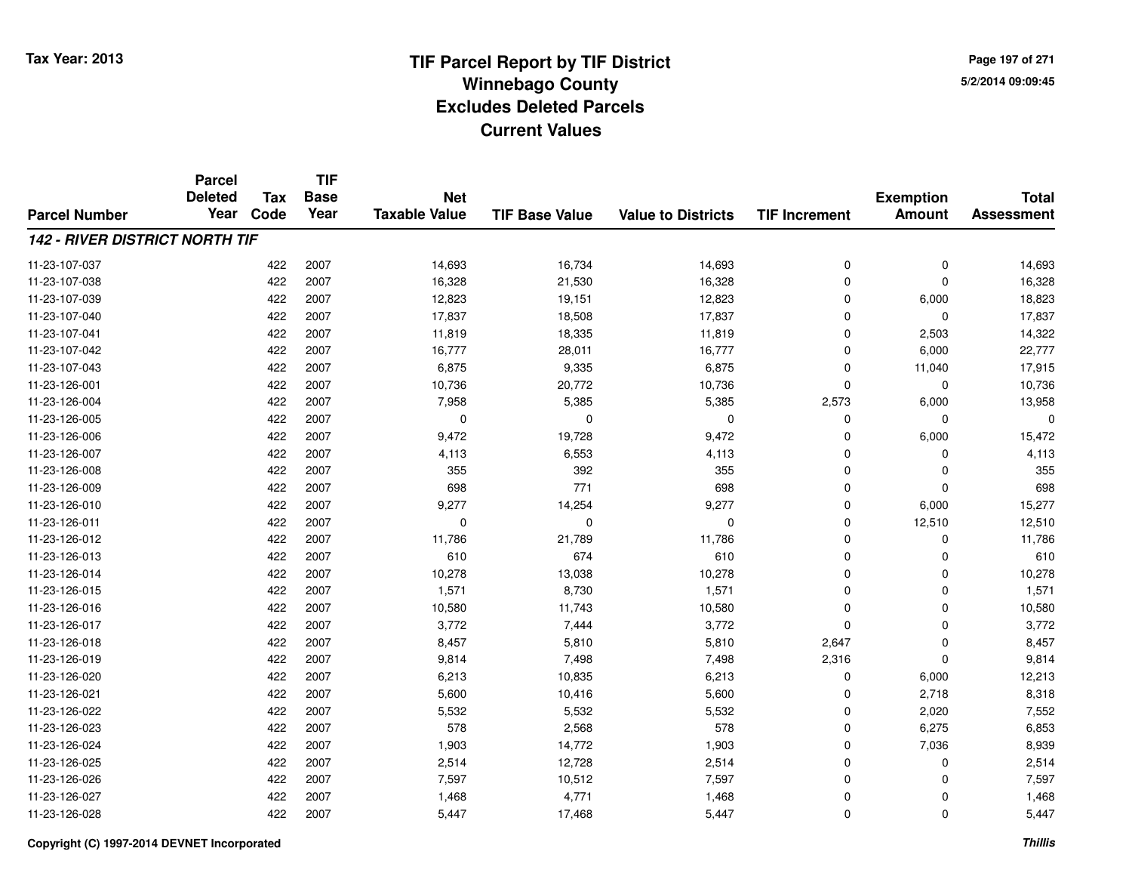**Page 197 of 2715/2/2014 09:09:45**

|                                       | <b>Parcel</b>          |                    | <b>TIF</b>          |                                    |                       |                           |                      |                                   |                                   |
|---------------------------------------|------------------------|--------------------|---------------------|------------------------------------|-----------------------|---------------------------|----------------------|-----------------------------------|-----------------------------------|
| <b>Parcel Number</b>                  | <b>Deleted</b><br>Year | <b>Tax</b><br>Code | <b>Base</b><br>Year | <b>Net</b><br><b>Taxable Value</b> | <b>TIF Base Value</b> | <b>Value to Districts</b> | <b>TIF Increment</b> | <b>Exemption</b><br><b>Amount</b> | <b>Total</b><br><b>Assessment</b> |
|                                       |                        |                    |                     |                                    |                       |                           |                      |                                   |                                   |
| <b>142 - RIVER DISTRICT NORTH TIF</b> |                        |                    |                     |                                    |                       |                           |                      |                                   |                                   |
| 11-23-107-037                         |                        | 422                | 2007                | 14,693                             | 16,734                | 14,693                    | $\mathbf 0$          | $\mathbf 0$                       | 14,693                            |
| 11-23-107-038                         |                        | 422                | 2007                | 16,328                             | 21,530                | 16,328                    | $\mathbf 0$          | $\mathbf 0$                       | 16,328                            |
| 11-23-107-039                         |                        | 422                | 2007                | 12,823                             | 19,151                | 12,823                    | $\mathbf 0$          | 6,000                             | 18,823                            |
| 11-23-107-040                         |                        | 422                | 2007                | 17,837                             | 18,508                | 17,837                    | $\Omega$             | $\mathbf 0$                       | 17,837                            |
| 11-23-107-041                         |                        | 422                | 2007                | 11,819                             | 18,335                | 11,819                    | $\Omega$             | 2,503                             | 14,322                            |
| 11-23-107-042                         |                        | 422                | 2007                | 16,777                             | 28,011                | 16,777                    | $\mathbf 0$          | 6,000                             | 22,777                            |
| 11-23-107-043                         |                        | 422                | 2007                | 6,875                              | 9,335                 | 6,875                     | $\mathbf 0$          | 11,040                            | 17,915                            |
| 11-23-126-001                         |                        | 422                | 2007                | 10,736                             | 20,772                | 10,736                    | $\Omega$             | 0                                 | 10,736                            |
| 11-23-126-004                         |                        | 422                | 2007                | 7,958                              | 5,385                 | 5,385                     | 2,573                | 6,000                             | 13,958                            |
| 11-23-126-005                         |                        | 422                | 2007                | 0                                  | $\mathbf 0$           | $\mathbf 0$               | 0                    | $\mathbf 0$                       | $\Omega$                          |
| 11-23-126-006                         |                        | 422                | 2007                | 9,472                              | 19,728                | 9,472                     | $\Omega$             | 6,000                             | 15,472                            |
| 11-23-126-007                         |                        | 422                | 2007                | 4,113                              | 6,553                 | 4,113                     | $\Omega$             | $\mathbf 0$                       | 4,113                             |
| 11-23-126-008                         |                        | 422                | 2007                | 355                                | 392                   | 355                       | $\Omega$             | $\mathbf 0$                       | 355                               |
| 11-23-126-009                         |                        | 422                | 2007                | 698                                | 771                   | 698                       | 0                    | $\mathbf 0$                       | 698                               |
| 11-23-126-010                         |                        | 422                | 2007                | 9,277                              | 14,254                | 9,277                     | $\mathbf 0$          | 6,000                             | 15,277                            |
| 11-23-126-011                         |                        | 422                | 2007                | 0                                  | 0                     | 0                         | 0                    | 12,510                            | 12,510                            |
| 11-23-126-012                         |                        | 422                | 2007                | 11,786                             | 21,789                | 11,786                    | $\Omega$             | $\mathbf 0$                       | 11,786                            |
| 11-23-126-013                         |                        | 422                | 2007                | 610                                | 674                   | 610                       | $\mathbf 0$          | 0                                 | 610                               |
| 11-23-126-014                         |                        | 422                | 2007                | 10,278                             | 13,038                | 10,278                    | $\Omega$             | $\mathbf 0$                       | 10,278                            |
| 11-23-126-015                         |                        | 422                | 2007                | 1,571                              | 8,730                 | 1,571                     | 0                    | 0                                 | 1,571                             |
| 11-23-126-016                         |                        | 422                | 2007                | 10,580                             | 11,743                | 10,580                    | $\Omega$             | $\mathbf 0$                       | 10,580                            |
| 11-23-126-017                         |                        | 422                | 2007                | 3,772                              | 7,444                 | 3,772                     | $\mathbf 0$          | $\mathbf 0$                       | 3,772                             |
| 11-23-126-018                         |                        | 422                | 2007                | 8,457                              | 5,810                 | 5,810                     | 2,647                | $\mathbf 0$                       | 8,457                             |
| 11-23-126-019                         |                        | 422                | 2007                | 9,814                              | 7,498                 | 7,498                     | 2,316                | $\mathbf 0$                       | 9,814                             |
| 11-23-126-020                         |                        | 422                | 2007                | 6,213                              | 10,835                | 6,213                     | $\mathbf 0$          | 6,000                             | 12,213                            |
| 11-23-126-021                         |                        | 422                | 2007                | 5,600                              | 10,416                | 5,600                     | $\mathbf 0$          | 2,718                             | 8,318                             |
| 11-23-126-022                         |                        | 422                | 2007                | 5,532                              | 5,532                 | 5,532                     | $\mathbf 0$          | 2,020                             | 7,552                             |
| 11-23-126-023                         |                        | 422                | 2007                | 578                                | 2,568                 | 578                       | 0                    | 6,275                             | 6,853                             |
| 11-23-126-024                         |                        | 422                | 2007                | 1,903                              | 14,772                | 1,903                     | $\Omega$             | 7,036                             | 8,939                             |
| 11-23-126-025                         |                        | 422                | 2007                | 2,514                              | 12,728                | 2,514                     | 0                    | 0                                 | 2,514                             |
| 11-23-126-026                         |                        | 422                | 2007                | 7,597                              | 10,512                | 7,597                     | $\mathbf 0$          | $\mathbf 0$                       | 7,597                             |
| 11-23-126-027                         |                        | 422                | 2007                | 1,468                              | 4,771                 | 1,468                     | 0                    | $\mathbf 0$                       | 1,468                             |
| 11-23-126-028                         |                        | 422                | 2007                | 5,447                              | 17,468                | 5,447                     | $\Omega$             | $\mathbf 0$                       | 5,447                             |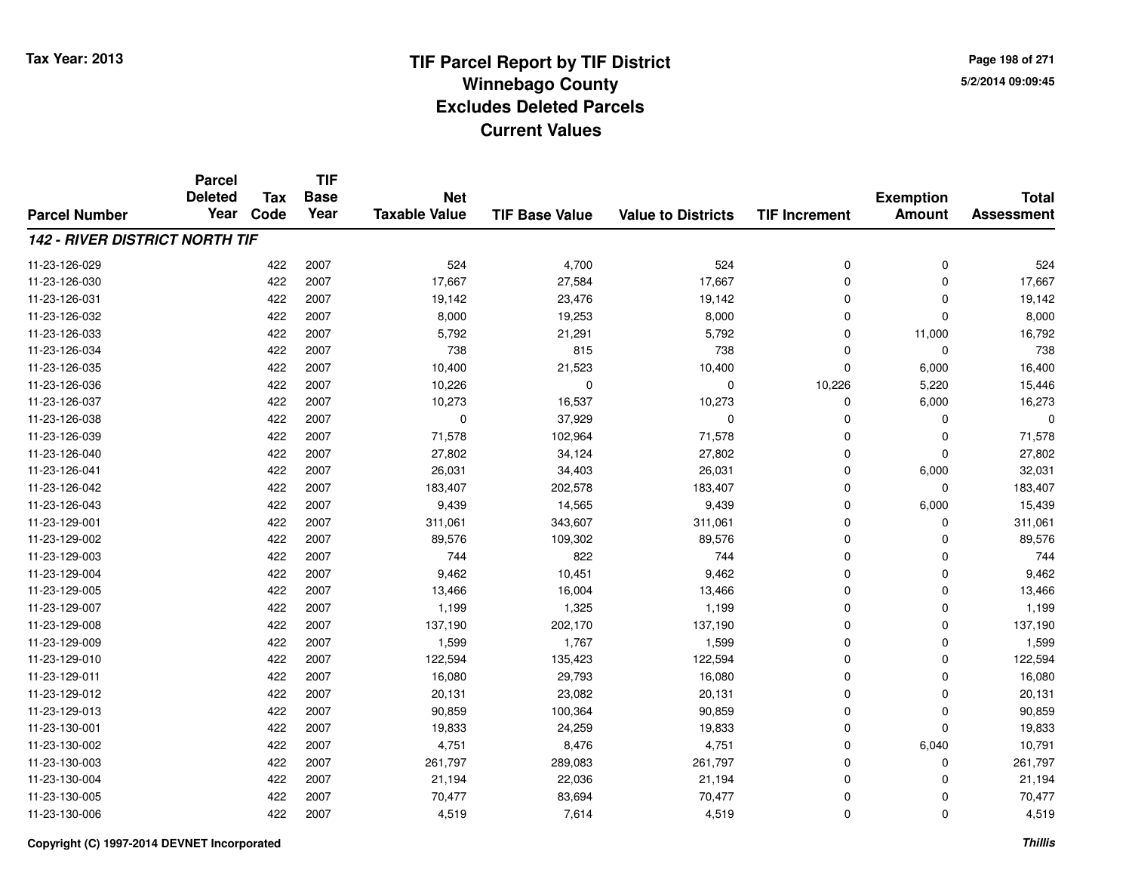**TIF**

**Parcel**

**Page 198 of 2715/2/2014 09:09:45**

#### **TIF Base ValueParcel NumberTotal AssessmentExemption Amount Value to Districts TIF Increment Base YearTax Code Deleted YearNet Taxable Value142 - RIVER DISTRICT NORTH TIF**11-23-126-029 <sup>422</sup> <sup>524</sup> <sup>2007</sup> 4,700 <sup>524</sup> <sup>0</sup> <sup>0</sup> <sup>524</sup> 11-23-126-0300 422 2007 17,667 27,584 17,667 0 0 17,667 11-23-126-0311 422 2007 19,142 23,476 19,142 0 0 19,142 11-23-126-032 <sup>422</sup> 8,000 <sup>2007</sup> 19,253 8,000 <sup>0</sup> <sup>0</sup> 8,000 11-23-126-0333 422 2007 5,792 21,291 5,792 0 11,000 16,792 11-23-126-0344 22 2007 1738 815 738 739 80 738 8 738 8 738 8 738 8 738 8 738 11-23-126-035 <sup>422</sup> 10,400 <sup>2007</sup> 21,523 10,400 <sup>0</sup> 6,000 16,400 11-23-126-036 <sup>422</sup> 10,226 <sup>2007</sup> <sup>0</sup> <sup>0</sup> 10,226 5,220 15,446 11-23-126-037 <sup>422</sup> 10,273 <sup>2007</sup> 16,537 10,273 <sup>0</sup> 6,000 16,273 11-23-126-0388 422 2007 0 37,929 0 0 0 0 11-23-126-0399 422 2007 71,578 102,964 71,578 0 0 71,578 11-23-126-0400 422 2007 27,802 34,124 27,802 0 0 27,802 11-23-126-0411 422 2007 26,031 34,403 26,031 0 6,000 32,031 11-23-126-042 <sup>422</sup> 183,407 <sup>2007</sup> 202,578 183,407 <sup>0</sup> <sup>0</sup> 183,407 11-23-126-0433 422 2007 9,439 14,565 9,439 0 6,000 15,439 11-23-129-0011 422 2007 311,061 343,607 311,061 0 311,061 11-23-129-002 <sup>422</sup> 89,576 <sup>2007</sup> 109,302 89,576 <sup>0</sup> <sup>0</sup> 89,576 11-23-129-0033 422 2007 744 822 744 0 0 744 11-23-129-004 <sup>422</sup> 9,462 <sup>2007</sup> 10,451 9,462 <sup>0</sup> <sup>0</sup> 9,462 11-23-129-0055 422 2007 13,466 16,004 13,466 0 0 13,466 11-23-129-007 <sup>422</sup> 1,199 <sup>2007</sup> 1,325 1,199 <sup>0</sup> <sup>0</sup> 1,199 11-23-129-008 <sup>422</sup> 137,190 <sup>2007</sup> 202,170 137,190 <sup>0</sup> <sup>0</sup> 137,190 11-23-129-0099 422 2007 1,599 1,767 1,599 0 0 1,599 11-23-129-0100 422 2007 122,594 135,423 122,594 0 0 122,594 11-23-129-0111 422 2007 16,080 29,793 16,080 0 0 16,080 11-23-129-012 <sup>422</sup> 20,131 <sup>2007</sup> 23,082 20,131 <sup>0</sup> <sup>0</sup> 20,131 11-23-129-0133 422 2007 90,859 100,364 90,859 0 0 90,859 11-23-130-0011 422 2007 19,833 24,259 19,833 0 0 19,833 11-23-130-002 <sup>422</sup> 4,751 <sup>2007</sup> 8,476 4,751 <sup>0</sup> 6,040 10,791 11-23-130-0033 422 2007 261,797 289,083 261,797 0 0 261,797 11-23-130-0044 422 2007 21,194 22,036 21,194 0 0 21,194 11-23-130-005 <sup>422</sup> 70,477 <sup>2007</sup> 83,694 70,477 <sup>0</sup> <sup>0</sup> 70,477 11-23-130-0066 422 2007 4,519 7,614 4,519 0 0 4,519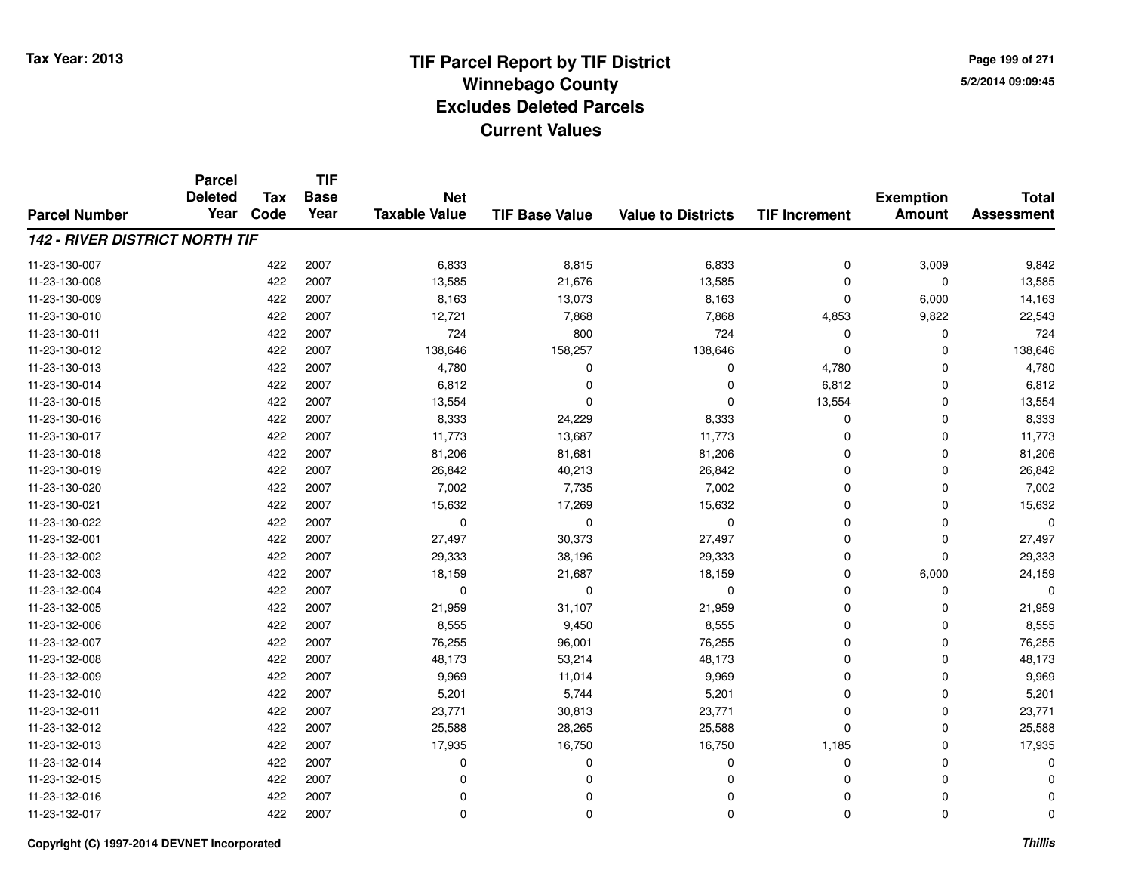**Page 199 of 2715/2/2014 09:09:45**

#### **TIF Base ValueParcel NumberTotal AssessmentExemption Amount Value to Districts TIF IncrementTIF Base YearTax CodeParcel Deleted YearNet Taxable Value142 - RIVER DISTRICT NORTH TIF**11-23-130-0077 422 2007 6,833 8,815 6,833 0 3,009 9,842 11-23-130-0088 422 2007 13,585 21,676 13,585 0 0 13,585 11-23-130-0099 422 2007 8,163 13,073 8,163 0 6,000 14,163 11-23-130-0100 422 2007 12,721 7,868 7,868 4,853 9,822 22,543 11-23-130-0111 422 2007 724 800 724 0 0 724 11-23-130-0122 422 2007 138,646 158,257 138,646 0 0 138,646 11-23-130-0133 422 2007 4,780 0 0 4,780 0 4,780 11-23-130-014 <sup>422</sup> 6,812 <sup>2007</sup> <sup>0</sup> <sup>0</sup> 6,812 <sup>0</sup> 6,812 11-23-130-015 <sup>422</sup> 13,554 <sup>2007</sup> <sup>0</sup> <sup>0</sup> 13,554 <sup>0</sup> 13,554 11-23-130-016 <sup>422</sup> 8,333 <sup>2007</sup> 24,229 8,333 <sup>0</sup> <sup>0</sup> 8,333 11-23-130-017 <sup>422</sup> 11,773 <sup>2007</sup> 13,687 11,773 <sup>0</sup> <sup>0</sup> 11,773 11-23-130-0188 422 2007 81,206 81,681 81,206 0 0 81,206 11-23-130-019 <sup>422</sup> 26,842 <sup>2007</sup> 40,213 26,842 <sup>0</sup> <sup>0</sup> 26,842 11-23-130-0200 422 2007 7,002 7,735 7,002 0 0 7,002 11-23-130-0211 422 2007 15,632 17,269 15,632 0 0 15,632 11-23-130-022 <sup>422</sup> <sup>0</sup> <sup>2007</sup> <sup>0</sup> <sup>0</sup> <sup>0</sup> <sup>0</sup> <sup>0</sup> 11-23-132-0011 27,497 2007 27,497 30,373 27,497 27,497 27,497 27,497 27,497 27,497 27,497 27,497 27,497 27,497 27,497 27,497 11-23-132-002 <sup>422</sup> 29,333 <sup>2007</sup> 38,196 29,333 <sup>0</sup> <sup>0</sup> 29,333 11-23-132-0033 422 2007 18,159 21,687 18,159 0 6,000 24,159 11-23-132-004 <sup>422</sup> <sup>0</sup> <sup>2007</sup> <sup>0</sup> <sup>0</sup> <sup>0</sup> <sup>0</sup> <sup>0</sup> 11-23-132-005 <sup>422</sup> 21,959 <sup>2007</sup> 31,107 21,959 <sup>0</sup> <sup>0</sup> 21,959 11-23-132-0066 422 2007 8,555 9,450 8,555 0 0 8,555 11-23-132-0077 422 2007 76,255 96,001 76,255 0 76,255 11-23-132-008 <sup>422</sup> 48,173 <sup>2007</sup> 53,214 48,173 <sup>0</sup> <sup>0</sup> 48,173 11-23-132-0099 422 2007 9,969 11,014 9,969 0 0 9,969 11-23-132-0100 422 2007 5,201 5,744 5,201 0 5,201 11-23-132-0111 422 2007 23,771 30,813 23,771 0 0 23,771 11-23-132-0122 422 2007 25,588 28,265 25,588 0 0 25,588 11-23-132-0133 422 2007 17,935 16,750 16,750 1,185 0 17,935 11-23-132-014 <sup>422</sup> <sup>0</sup> <sup>2007</sup> <sup>0</sup> <sup>0</sup> <sup>0</sup> <sup>0</sup> <sup>0</sup> 11-23-132-015 <sup>422</sup> <sup>0</sup> <sup>2007</sup> <sup>0</sup> <sup>0</sup> <sup>0</sup> <sup>0</sup> <sup>0</sup> 11-23-132-016 <sup>422</sup> <sup>0</sup> <sup>2007</sup> <sup>0</sup> <sup>0</sup> <sup>0</sup> <sup>0</sup> <sup>0</sup> 11-23-132-017<sup>422</sup> <sup>0</sup> <sup>2007</sup> <sup>0</sup> <sup>0</sup> <sup>0</sup> <sup>0</sup> <sup>0</sup>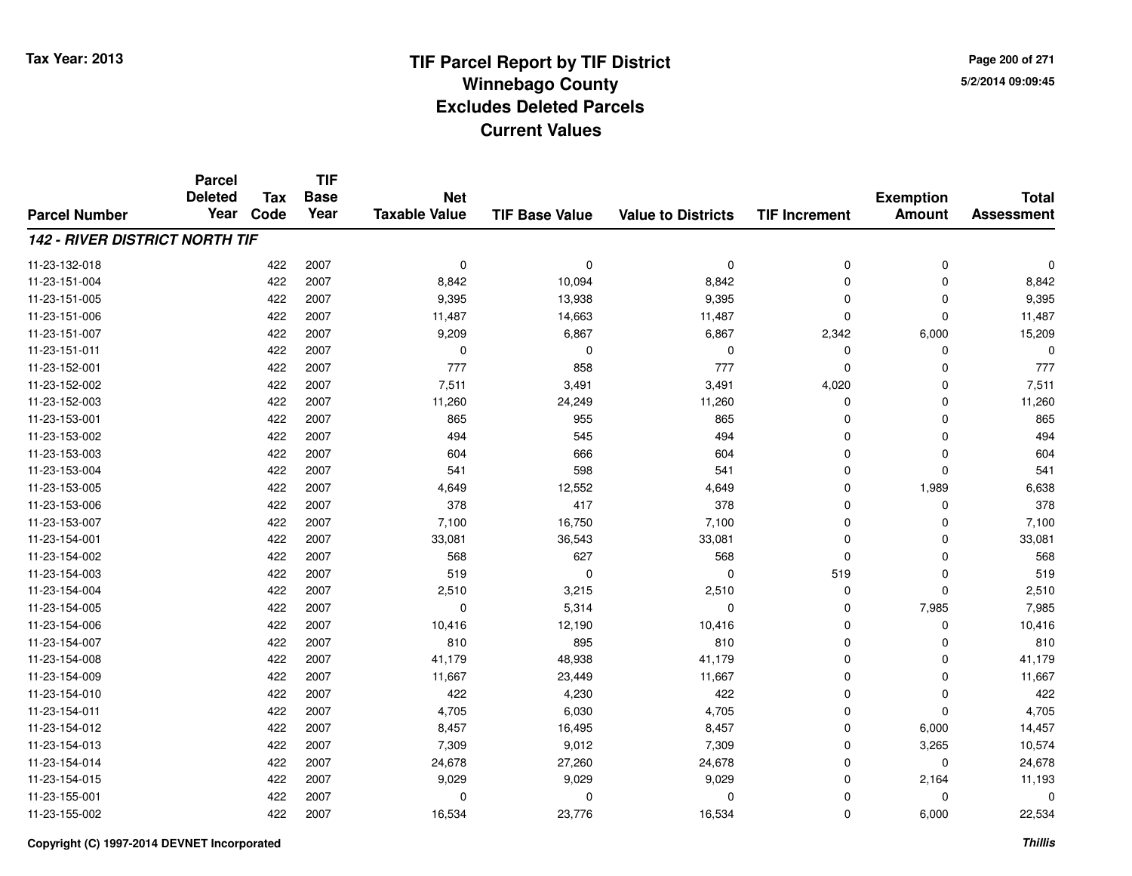**Page 200 of 2715/2/2014 09:09:45**

#### **TIF Base ValueParcel NumberTotal AssessmentExemption Amount Value to Districts TIF IncrementTIF Base YearTax CodeParcel Deleted YearNet Taxable Value142 - RIVER DISTRICT NORTH TIF**11-23-132-018 <sup>422</sup> <sup>0</sup> <sup>2007</sup> <sup>0</sup> <sup>0</sup> <sup>0</sup> <sup>0</sup> <sup>0</sup> 11-23-151-0044 22 2007 8,842 10,094 8,842 8,842 2007 8,842 0 0 8,842 8,842 0 11-23-151-005 <sup>422</sup> 9,395 <sup>2007</sup> 13,938 9,395 <sup>0</sup> <sup>0</sup> 9,395 11-23-151-0066 422 2007 11,487 14,663 11,487 0 0 11,487 11-23-151-007 <sup>422</sup> 9,209 <sup>2007</sup> 6,867 6,867 2,342 6,000 15,209 11-23-151-011 <sup>422</sup> <sup>0</sup> <sup>2007</sup> <sup>0</sup> <sup>0</sup> <sup>0</sup> <sup>0</sup> <sup>0</sup> 11-23-152-001 <sup>422</sup> <sup>777</sup> <sup>2007</sup> <sup>858</sup> <sup>777</sup> <sup>0</sup> <sup>0</sup> <sup>777</sup> 11-23-152-002 <sup>422</sup> 7,511 <sup>2007</sup> 3,491 3,491 4,020 <sup>0</sup> 7,511 11-23-152-0033 422 2007 11,260 24,249 11,260 0 0 11,260 11-23-153-0011 422 2007 865 955 865 0 0 865 11-23-153-002 <sup>422</sup> <sup>494</sup> <sup>2007</sup> <sup>545</sup> <sup>494</sup> <sup>0</sup> <sup>0</sup> <sup>494</sup> 11-23-153-003 <sup>422</sup> <sup>604</sup> <sup>2007</sup> <sup>666</sup> <sup>604</sup> <sup>0</sup> <sup>0</sup> <sup>604</sup> 11-23-153-004 <sup>422</sup> <sup>541</sup> <sup>2007</sup> <sup>598</sup> <sup>541</sup> <sup>0</sup> <sup>0</sup> <sup>541</sup> 11-23-153-0055 422 2007 4,649 12,552 4,649 0 1,989 6,638 11-23-153-006 <sup>422</sup> <sup>378</sup> <sup>2007</sup> <sup>417</sup> <sup>378</sup> <sup>0</sup> <sup>0</sup> <sup>378</sup> 11-23-153-007 <sup>422</sup> 7,100 <sup>2007</sup> 16,750 7,100 <sup>0</sup> <sup>0</sup> 7,100 11-23-154-0011 422 2007 33,081 36,543 33,081 0 0 33,081 11-23-154-002 <sup>422</sup> <sup>568</sup> <sup>2007</sup> <sup>627</sup> <sup>568</sup> <sup>0</sup> <sup>0</sup> <sup>568</sup> 11-23-154-0033 422 2007 519 0 519 0 519 11-23-154-0044 422 2007 2,510 3,215 2,510 0 0 2,510 11-23-154-005 <sup>422</sup> <sup>0</sup> <sup>2007</sup> 5,314 <sup>0</sup> <sup>0</sup> 7,985 7,985 11-23-154-006 <sup>422</sup> 10,416 <sup>2007</sup> 12,190 10,416 <sup>0</sup> <sup>0</sup> 10,416 11-23-154-007 <sup>422</sup> <sup>810</sup> <sup>2007</sup> <sup>895</sup> <sup>810</sup> <sup>0</sup> <sup>0</sup> <sup>810</sup> 11-23-154-0088 422 2007 41,179 48,938 41,179 0 0 41,179 11-23-154-0099 422 2007 11,667 23,449 11,667 0 0 11,667 11-23-154-0100 422 2007 422 4,230 422 0 0 422 11-23-154-0111 422 2007 4,705 6,030 4,705 0 0 4,705 11-23-154-012 <sup>422</sup> 8,457 <sup>2007</sup> 16,495 8,457 <sup>0</sup> 6,000 14,457 11-23-154-0133 422 2007 7,309 9,012 7,309 0 3,265 10,574 11-23-154-014422 2007 24,678 27,260 24,678 24,678 0 0 0 24,678 11-23-154-015 <sup>422</sup> 9,029 <sup>2007</sup> 9,029 9,029 <sup>0</sup> 2,164 11,193 11-23-155-001 <sup>422</sup> <sup>0</sup> <sup>2007</sup> <sup>0</sup> <sup>0</sup> <sup>0</sup> <sup>0</sup> <sup>0</sup> 11-23-155-002<sup>422</sup> 16,534 <sup>2007</sup> 23,776 16,534 <sup>0</sup> 6,000 22,534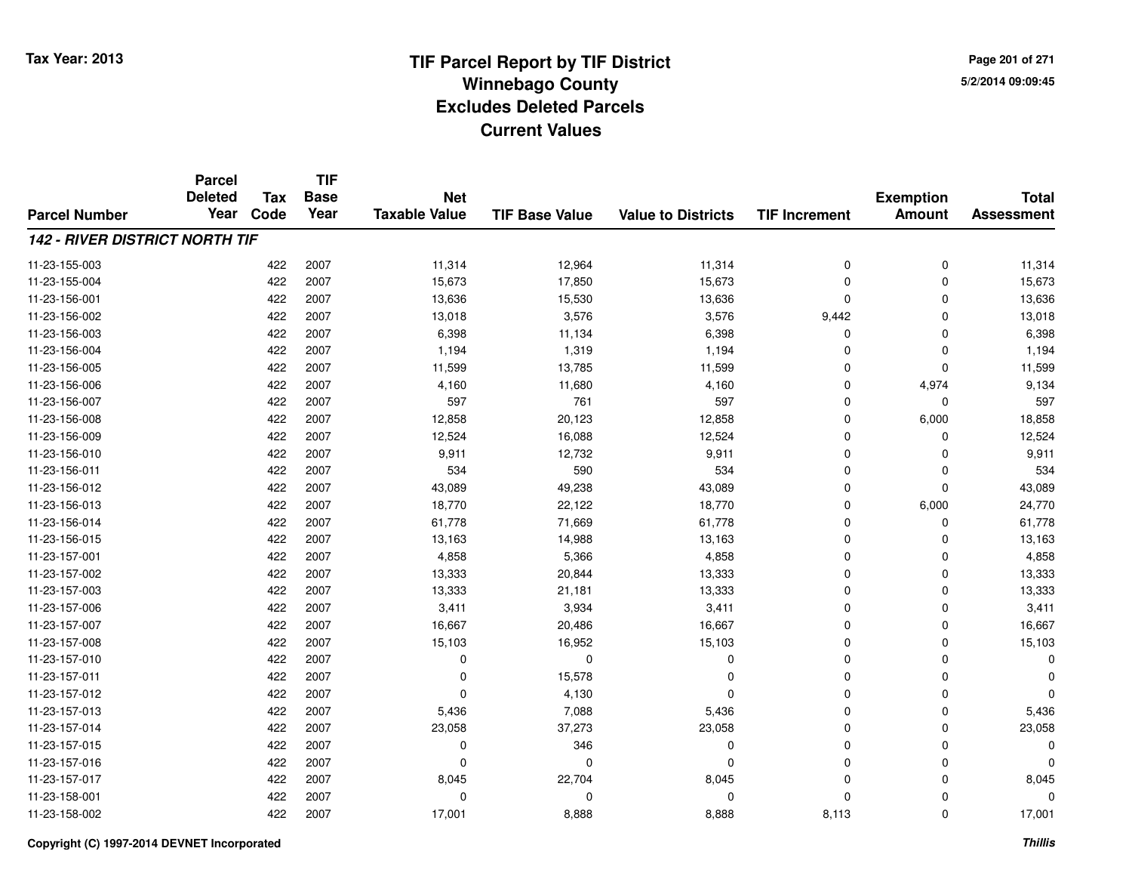**Page 201 of 2715/2/2014 09:09:45**

|                                       | <b>Parcel</b>          |                    | <b>TIF</b>          |                                    |                       |                           |                      |                                   |                   |
|---------------------------------------|------------------------|--------------------|---------------------|------------------------------------|-----------------------|---------------------------|----------------------|-----------------------------------|-------------------|
|                                       | <b>Deleted</b><br>Year | <b>Tax</b><br>Code | <b>Base</b><br>Year | <b>Net</b><br><b>Taxable Value</b> |                       |                           |                      | <b>Exemption</b><br><b>Amount</b> | <b>Total</b>      |
| <b>Parcel Number</b>                  |                        |                    |                     |                                    | <b>TIF Base Value</b> | <b>Value to Districts</b> | <b>TIF Increment</b> |                                   | <b>Assessment</b> |
| <b>142 - RIVER DISTRICT NORTH TIF</b> |                        |                    |                     |                                    |                       |                           |                      |                                   |                   |
| 11-23-155-003                         |                        | 422                | 2007                | 11,314                             | 12,964                | 11,314                    | 0                    | 0                                 | 11,314            |
| 11-23-155-004                         |                        | 422                | 2007                | 15,673                             | 17,850                | 15,673                    | 0                    | 0                                 | 15,673            |
| 11-23-156-001                         |                        | 422                | 2007                | 13,636                             | 15,530                | 13,636                    | $\mathbf 0$          | $\mathbf 0$                       | 13,636            |
| 11-23-156-002                         |                        | 422                | 2007                | 13,018                             | 3,576                 | 3,576                     | 9,442                | $\Omega$                          | 13,018            |
| 11-23-156-003                         |                        | 422                | 2007                | 6,398                              | 11,134                | 6,398                     | $\mathbf 0$          | $\mathbf 0$                       | 6,398             |
| 11-23-156-004                         |                        | 422                | 2007                | 1,194                              | 1,319                 | 1,194                     | 0                    | 0                                 | 1,194             |
| 11-23-156-005                         |                        | 422                | 2007                | 11,599                             | 13,785                | 11,599                    | $\mathbf 0$          | $\mathbf 0$                       | 11,599            |
| 11-23-156-006                         |                        | 422                | 2007                | 4,160                              | 11,680                | 4,160                     | 0                    | 4,974                             | 9,134             |
| 11-23-156-007                         |                        | 422                | 2007                | 597                                | 761                   | 597                       | 0                    | $\Omega$                          | 597               |
| 11-23-156-008                         |                        | 422                | 2007                | 12,858                             | 20,123                | 12,858                    | 0                    | 6,000                             | 18,858            |
| 11-23-156-009                         |                        | 422                | 2007                | 12,524                             | 16,088                | 12,524                    | $\mathbf 0$          | $\Omega$                          | 12,524            |
| 11-23-156-010                         |                        | 422                | 2007                | 9,911                              | 12,732                | 9,911                     | 0                    | $\Omega$                          | 9,911             |
| 11-23-156-011                         |                        | 422                | 2007                | 534                                | 590                   | 534                       | $\mathbf 0$          | $\Omega$                          | 534               |
| 11-23-156-012                         |                        | 422                | 2007                | 43,089                             | 49,238                | 43,089                    | 0                    | 0                                 | 43,089            |
| 11-23-156-013                         |                        | 422                | 2007                | 18,770                             | 22,122                | 18,770                    | $\mathbf 0$          | 6,000                             | 24,770            |
| 11-23-156-014                         |                        | 422                | 2007                | 61,778                             | 71,669                | 61,778                    | 0                    | 0                                 | 61,778            |
| 11-23-156-015                         |                        | 422                | 2007                | 13,163                             | 14,988                | 13,163                    | $\mathbf 0$          | $\Omega$                          | 13,163            |
| 11-23-157-001                         |                        | 422                | 2007                | 4,858                              | 5,366                 | 4,858                     | 0                    | 0                                 | 4,858             |
| 11-23-157-002                         |                        | 422                | 2007                | 13,333                             | 20,844                | 13,333                    | 0                    | $\mathbf 0$                       | 13,333            |
| 11-23-157-003                         |                        | 422                | 2007                | 13,333                             | 21,181                | 13,333                    | 0                    | 0                                 | 13,333            |
| 11-23-157-006                         |                        | 422                | 2007                | 3,411                              | 3,934                 | 3,411                     | 0                    | 0                                 | 3,411             |
| 11-23-157-007                         |                        | 422                | 2007                | 16,667                             | 20,486                | 16,667                    | 0                    | 0                                 | 16,667            |
| 11-23-157-008                         |                        | 422                | 2007                | 15,103                             | 16,952                | 15,103                    | 0                    | 0                                 | 15,103            |
| 11-23-157-010                         |                        | 422                | 2007                | 0                                  | 0                     | 0                         | 0                    | $\mathbf 0$                       | $\Omega$          |
| 11-23-157-011                         |                        | 422                | 2007                | 0                                  | 15,578                | $\Omega$                  | 0                    | $\mathbf 0$                       |                   |
| 11-23-157-012                         |                        | 422                | 2007                | 0                                  | 4,130                 | $\Omega$                  | 0                    | $\mathbf 0$                       |                   |
| 11-23-157-013                         |                        | 422                | 2007                | 5,436                              | 7,088                 | 5,436                     | 0                    | $\mathbf 0$                       | 5,436             |
| 11-23-157-014                         |                        | 422                | 2007                | 23,058                             | 37,273                | 23,058                    | 0                    | 0                                 | 23,058            |
| 11-23-157-015                         |                        | 422                | 2007                | 0                                  | 346                   | 0                         | 0                    | $\Omega$                          | $\Omega$          |
| 11-23-157-016                         |                        | 422                | 2007                | 0                                  | 0                     | $\Omega$                  | 0                    | 0                                 | $\Omega$          |
| 11-23-157-017                         |                        | 422                | 2007                | 8,045                              | 22,704                | 8,045                     | 0                    | $\Omega$                          | 8,045             |
| 11-23-158-001                         |                        | 422                | 2007                | 0                                  | $\Omega$              | $\Omega$                  | 0                    | $\Omega$                          | $\Omega$          |
| 11-23-158-002                         |                        | 422                | 2007                | 17,001                             | 8,888                 | 8,888                     | 8,113                | $\Omega$                          | 17,001            |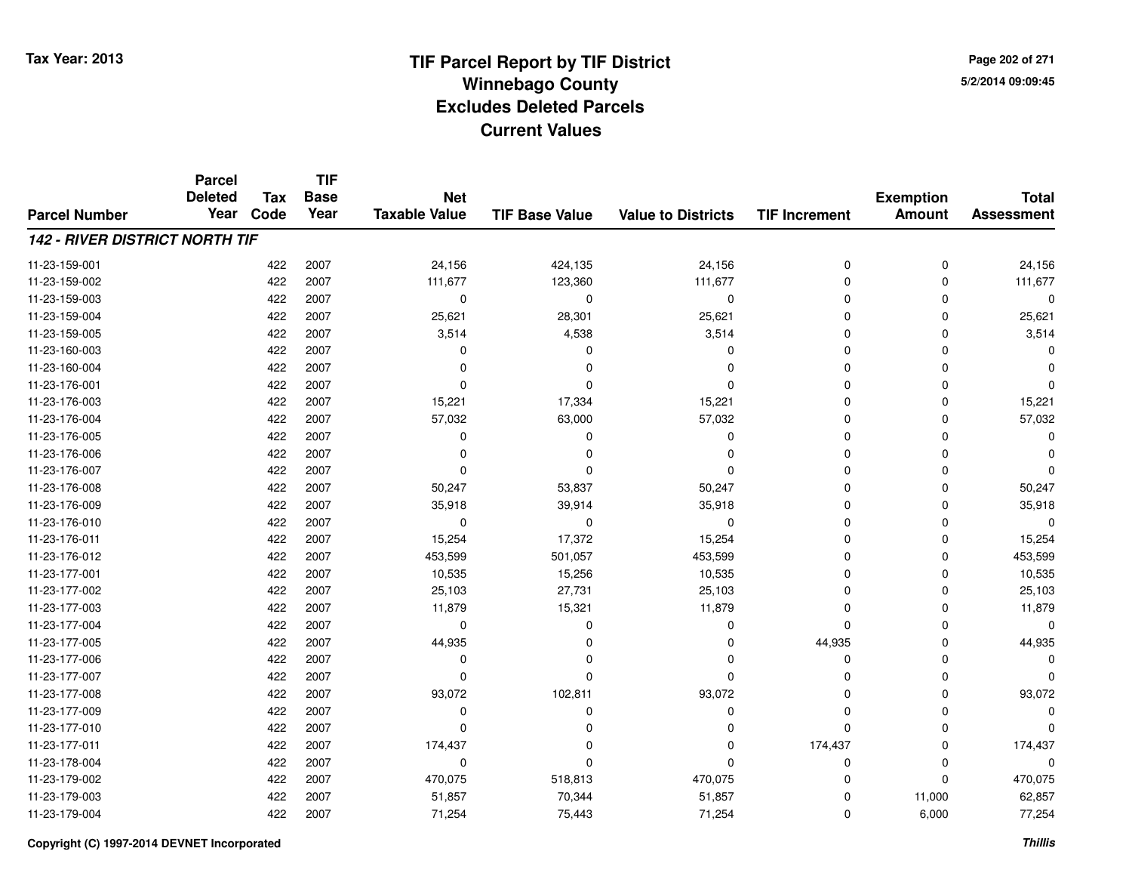**Page 202 of 2715/2/2014 09:09:45**

#### **TIF Base ValueParcel NumberTotal AssessmentExemption Amount Value to Districts TIF IncrementTIF Base YearTax CodeParcel Deleted YearNet Taxable Value142 - RIVER DISTRICT NORTH TIF**11-23-159-0011 422 2007 24,156 424,135 24,156 0 0 24,156 11-23-159-002 <sup>422</sup> 111,677 <sup>2007</sup> 123,360 111,677 <sup>0</sup> <sup>0</sup> 111,677 11-23-159-003 <sup>422</sup> <sup>0</sup> <sup>2007</sup> <sup>0</sup> <sup>0</sup> <sup>0</sup> <sup>0</sup> <sup>0</sup> 11-23-159-0044 422 2007 25,621 28,301 25,621 0 25,621 11-23-159-005 <sup>422</sup> 3,514 <sup>2007</sup> 4,538 3,514 <sup>0</sup> <sup>0</sup> 3,514 11-23-160-003 <sup>422</sup> <sup>0</sup> <sup>2007</sup> <sup>0</sup> <sup>0</sup> <sup>0</sup> <sup>0</sup> <sup>0</sup> 11-23-160-004 <sup>422</sup> <sup>0</sup> <sup>2007</sup> <sup>0</sup> <sup>0</sup> <sup>0</sup> <sup>0</sup> <sup>0</sup> 11-23-176-001 <sup>422</sup> <sup>0</sup> <sup>2007</sup> <sup>0</sup> <sup>0</sup> <sup>0</sup> <sup>0</sup> <sup>0</sup> 11-23-176-0033 422 2007 15,221 17,334 15,221 0 0 15,221 11-23-176-004 <sup>422</sup> 57,032 <sup>2007</sup> 63,000 57,032 <sup>0</sup> <sup>0</sup> 57,032 11-23-176-005 <sup>422</sup> <sup>0</sup> <sup>2007</sup> <sup>0</sup> <sup>0</sup> <sup>0</sup> <sup>0</sup> <sup>0</sup> 11-23-176-006 <sup>422</sup> <sup>0</sup> <sup>2007</sup> <sup>0</sup> <sup>0</sup> <sup>0</sup> <sup>0</sup> <sup>0</sup> 11-23-176-007 <sup>422</sup> <sup>0</sup> <sup>2007</sup> <sup>0</sup> <sup>0</sup> <sup>0</sup> <sup>0</sup> <sup>0</sup> 11-23-176-008 <sup>422</sup> 50,247 <sup>2007</sup> 53,837 50,247 <sup>0</sup> <sup>0</sup> 50,247 11-23-176-0099 422 2007 35,918 39,914 35,918 0 0 35,918 11-23-176-010 <sup>422</sup> <sup>0</sup> <sup>2007</sup> <sup>0</sup> <sup>0</sup> <sup>0</sup> <sup>0</sup> <sup>0</sup> 11-23-176-0111 422 2007 15,254 17,372 15,254 0 0 15,254 11-23-176-0122 422 2007 453,599 501,057 453,599 0 0 453,599 11-23-177-0011 422 2007 10,535 15,256 10,535 0 0 10,535 11-23-177-002 <sup>422</sup> 25,103 <sup>2007</sup> 27,731 25,103 <sup>0</sup> <sup>0</sup> 25,103 11-23-177-0033 422 2007 11,879 15,321 11,879 0 0 11,879 11-23-177-004 <sup>422</sup> <sup>0</sup> <sup>2007</sup> <sup>0</sup> <sup>0</sup> <sup>0</sup> <sup>0</sup> <sup>0</sup> 11-23-177-005 <sup>422</sup> 44,935 <sup>2007</sup> <sup>0</sup> <sup>0</sup> 44,935 <sup>0</sup> 44,935 11-23-177-006 <sup>422</sup> <sup>0</sup> <sup>2007</sup> <sup>0</sup> <sup>0</sup> <sup>0</sup> <sup>0</sup> <sup>0</sup> 11-23-177-007 <sup>422</sup> <sup>0</sup> <sup>2007</sup> <sup>0</sup> <sup>0</sup> <sup>0</sup> <sup>0</sup> <sup>0</sup> 11-23-177-008 <sup>422</sup> 93,072 <sup>2007</sup> 102,811 93,072 <sup>0</sup> <sup>0</sup> 93,072 11-23-177-009 <sup>422</sup> <sup>0</sup> <sup>2007</sup> <sup>0</sup> <sup>0</sup> <sup>0</sup> <sup>0</sup> <sup>0</sup> 11-23-177-010 <sup>422</sup> <sup>0</sup> <sup>2007</sup> <sup>0</sup> <sup>0</sup> <sup>0</sup> <sup>0</sup> <sup>0</sup> 11-23-177-0111 1 22 2007 174,437 0 2007 174,437 0 174,437 0 174,437 0 174,437 11-23-178-004 <sup>422</sup> <sup>0</sup> <sup>2007</sup> <sup>0</sup> <sup>0</sup> <sup>0</sup> <sup>0</sup> <sup>0</sup> 11-23-179-0022 422 2007 470,075 518,813 470,075 0 0 470,075 11-23-179-0033 422 2007 51,857 70,344 51,857 0 11,000 62,857 11-23-179-004422 2007 11,254 71,254 75,443 71,254 75,443 0 6,000 77,254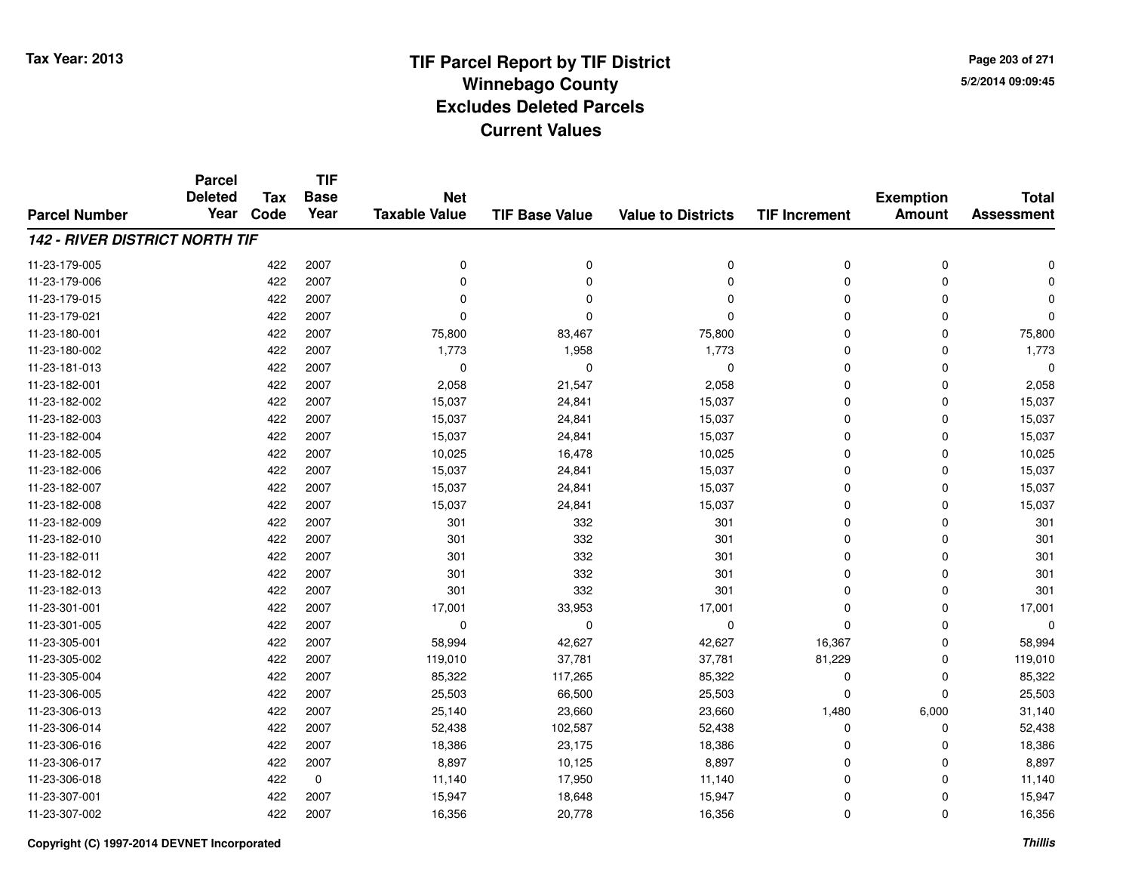**TIF**

**Parcel**

**Page 203 of 2715/2/2014 09:09:45**

| <b>Parcel Number</b>                  | <b>Deleted</b><br>Year | <b>Tax</b><br>Code | <b>Base</b><br>Year | <b>Net</b><br><b>Taxable Value</b> | <b>TIF Base Value</b> | <b>Value to Districts</b> | <b>TIF Increment</b> | <b>Exemption</b><br><b>Amount</b> | <b>Total</b><br><b>Assessment</b> |
|---------------------------------------|------------------------|--------------------|---------------------|------------------------------------|-----------------------|---------------------------|----------------------|-----------------------------------|-----------------------------------|
| <b>142 - RIVER DISTRICT NORTH TIF</b> |                        |                    |                     |                                    |                       |                           |                      |                                   |                                   |
| 11-23-179-005                         |                        | 422                | 2007                | 0                                  | $\Omega$              | 0                         | 0                    | 0                                 | $\Omega$                          |
| 11-23-179-006                         |                        | 422                | 2007                | $\Omega$                           | $\Omega$              | $\Omega$                  | 0                    | 0                                 | n                                 |
| 11-23-179-015                         |                        | 422                | 2007                | $\Omega$                           | $\Omega$              | $\Omega$                  | 0                    | 0                                 | 0                                 |
| 11-23-179-021                         |                        | 422                | 2007                | $\Omega$                           | $\Omega$              | $\Omega$                  | 0                    | 0                                 | $\mathbf 0$                       |
| 11-23-180-001                         |                        | 422                | 2007                | 75,800                             | 83,467                | 75,800                    | 0                    | 0                                 | 75,800                            |
| 11-23-180-002                         |                        | 422                | 2007                | 1,773                              | 1,958                 | 1,773                     | 0                    | 0                                 | 1,773                             |
| 11-23-181-013                         |                        | 422                | 2007                | $\mathbf 0$                        | $\Omega$              | $\mathbf 0$               | 0                    | 0                                 | $\Omega$                          |
| 11-23-182-001                         |                        | 422                | 2007                | 2,058                              | 21,547                | 2,058                     | 0                    | 0                                 | 2,058                             |
| 11-23-182-002                         |                        | 422                | 2007                | 15,037                             | 24,841                | 15,037                    | 0                    | 0                                 | 15,037                            |
| 11-23-182-003                         |                        | 422                | 2007                | 15,037                             | 24,841                | 15,037                    | 0                    | 0                                 | 15,037                            |
| 11-23-182-004                         |                        | 422                | 2007                | 15,037                             | 24,841                | 15,037                    | 0                    | 0                                 | 15,037                            |
| 11-23-182-005                         |                        | 422                | 2007                | 10,025                             | 16,478                | 10,025                    | 0                    | 0                                 | 10,025                            |
| 11-23-182-006                         |                        | 422                | 2007                | 15,037                             | 24,841                | 15,037                    | 0                    | 0                                 | 15,037                            |
| 11-23-182-007                         |                        | 422                | 2007                | 15,037                             | 24,841                | 15,037                    | 0                    | 0                                 | 15,037                            |
| 11-23-182-008                         |                        | 422                | 2007                | 15,037                             | 24,841                | 15,037                    | 0                    | 0                                 | 15,037                            |
| 11-23-182-009                         |                        | 422                | 2007                | 301                                | 332                   | 301                       | 0                    | 0                                 | 301                               |
| 11-23-182-010                         |                        | 422                | 2007                | 301                                | 332                   | 301                       | 0                    | 0                                 | 301                               |
| 11-23-182-011                         |                        | 422                | 2007                | 301                                | 332                   | 301                       | 0                    | 0                                 | 301                               |
| 11-23-182-012                         |                        | 422                | 2007                | 301                                | 332                   | 301                       | 0                    | 0                                 | 301                               |
| 11-23-182-013                         |                        | 422                | 2007                | 301                                | 332                   | 301                       | 0                    | 0                                 | 301                               |
| 11-23-301-001                         |                        | 422                | 2007                | 17,001                             | 33,953                | 17,001                    | 0                    | 0                                 | 17,001                            |
| 11-23-301-005                         |                        | 422                | 2007                | 0                                  | 0                     | 0                         | $\mathbf 0$          | 0                                 | $\Omega$                          |
| 11-23-305-001                         |                        | 422                | 2007                | 58,994                             | 42,627                | 42,627                    | 16,367               | 0                                 | 58,994                            |
| 11-23-305-002                         |                        | 422                | 2007                | 119,010                            | 37,781                | 37,781                    | 81,229               | 0                                 | 119,010                           |
| 11-23-305-004                         |                        | 422                | 2007                | 85,322                             | 117,265               | 85,322                    | 0                    | 0                                 | 85,322                            |
| 11-23-306-005                         |                        | 422                | 2007                | 25,503                             | 66,500                | 25,503                    | $\mathbf 0$          | 0                                 | 25,503                            |
| 11-23-306-013                         |                        | 422                | 2007                | 25,140                             | 23,660                | 23,660                    | 1,480                | 6,000                             | 31,140                            |
| 11-23-306-014                         |                        | 422                | 2007                | 52,438                             | 102,587               | 52,438                    | 0                    | 0                                 | 52,438                            |
| 11-23-306-016                         |                        | 422                | 2007                | 18,386                             | 23,175                | 18,386                    | 0                    | 0                                 | 18,386                            |
| 11-23-306-017                         |                        | 422                | 2007                | 8,897                              | 10,125                | 8,897                     | 0                    | 0                                 | 8,897                             |
| 11-23-306-018                         |                        | 422                | 0                   | 11,140                             | 17,950                | 11,140                    | 0                    | 0                                 | 11,140                            |
| 11-23-307-001                         |                        | 422                | 2007                | 15,947                             | 18,648                | 15,947                    | 0                    | 0                                 | 15,947                            |
| 11-23-307-002                         |                        | 422                | 2007                | 16,356                             | 20,778                | 16,356                    | 0                    | 0                                 | 16,356                            |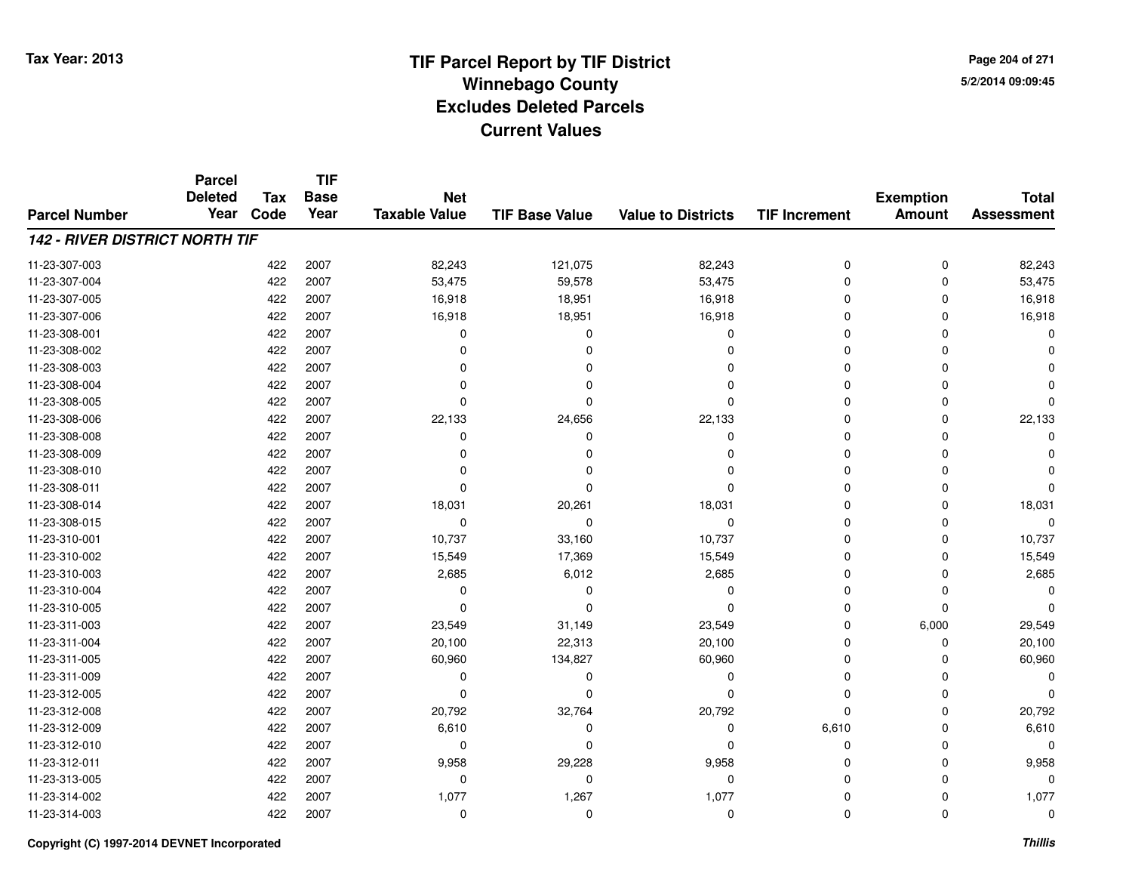**TIF**

**Parcel**

**Page 204 of 2715/2/2014 09:09:45**

#### **TIF Base ValueParcel NumberTotal AssessmentExemption Amount Value to Districts TIF Increment Base YearTax Code Deleted YearNet Taxable Value142 - RIVER DISTRICT NORTH TIF**11-23-307-0033 422 2007 82,243 121,075 82,243 0 0 82,243 11-23-307-004422 2007 53,475 59,578 53,475 59,578 53,475 0 0 0 53,475 11-23-307-0055 422 2007 16,918 18,951 16,918 0 0 16,918 11-23-307-0066 422 2007 16,918 18,951 16,918 0 0 16,918 11-23-308-001 <sup>422</sup> <sup>0</sup> <sup>2007</sup> <sup>0</sup> <sup>0</sup> <sup>0</sup> <sup>0</sup> <sup>0</sup> 11-23-308-002 <sup>422</sup> <sup>0</sup> <sup>2007</sup> <sup>0</sup> <sup>0</sup> <sup>0</sup> <sup>0</sup> <sup>0</sup> 11-23-308-003 <sup>422</sup> <sup>0</sup> <sup>2007</sup> <sup>0</sup> <sup>0</sup> <sup>0</sup> <sup>0</sup> <sup>0</sup> 11-23-308-004 <sup>422</sup> <sup>0</sup> <sup>2007</sup> <sup>0</sup> <sup>0</sup> <sup>0</sup> <sup>0</sup> <sup>0</sup> 11-23-308-005 <sup>422</sup> <sup>0</sup> <sup>2007</sup> <sup>0</sup> <sup>0</sup> <sup>0</sup> <sup>0</sup> <sup>0</sup> 11-23-308-006 <sup>422</sup> 22,133 <sup>2007</sup> 24,656 22,133 <sup>0</sup> <sup>0</sup> 22,133 11-23-308-008 <sup>422</sup> <sup>0</sup> <sup>2007</sup> <sup>0</sup> <sup>0</sup> <sup>0</sup> <sup>0</sup> <sup>0</sup> 11-23-308-009 <sup>422</sup> <sup>0</sup> <sup>2007</sup> <sup>0</sup> <sup>0</sup> <sup>0</sup> <sup>0</sup> <sup>0</sup> 11-23-308-010 <sup>422</sup> <sup>0</sup> <sup>2007</sup> <sup>0</sup> <sup>0</sup> <sup>0</sup> <sup>0</sup> <sup>0</sup> 11-23-308-011 <sup>422</sup> <sup>0</sup> <sup>2007</sup> <sup>0</sup> <sup>0</sup> <sup>0</sup> <sup>0</sup> <sup>0</sup> 11-23-308-014 <sup>422</sup> 18,031 <sup>2007</sup> 20,261 18,031 <sup>0</sup> <sup>0</sup> 18,031 11-23-308-015 <sup>422</sup> <sup>0</sup> <sup>2007</sup> <sup>0</sup> <sup>0</sup> <sup>0</sup> <sup>0</sup> <sup>0</sup> 11-23-310-0011 422 2007 10,737 33,160 10,737 0 0 10,737 11-23-310-0022 422 2007 15,549 17,369 15,549 0 0 15,549 11-23-310-0033 422 2007 2,685 6,012 2,685 0 0 2,685 11-23-310-004 <sup>422</sup> <sup>0</sup> <sup>2007</sup> <sup>0</sup> <sup>0</sup> <sup>0</sup> <sup>0</sup> <sup>0</sup> 11-23-310-005 <sup>422</sup> <sup>0</sup> <sup>2007</sup> <sup>0</sup> <sup>0</sup> <sup>0</sup> <sup>0</sup> <sup>0</sup> 11-23-311-003 $3$  2007 29,549 2007 23,549 31,149 23,549 23,549 0 6,000 29,549 11-23-311-004 <sup>422</sup> 20,100 <sup>2007</sup> 22,313 20,100 <sup>0</sup> <sup>0</sup> 20,100 11-23-311-005 <sup>422</sup> 60,960 <sup>2007</sup> 134,827 60,960 <sup>0</sup> <sup>0</sup> 60,960 11-23-311-009 <sup>422</sup> <sup>0</sup> <sup>2007</sup> <sup>0</sup> <sup>0</sup> <sup>0</sup> <sup>0</sup> <sup>0</sup> 11-23-312-005 <sup>422</sup> <sup>0</sup> <sup>2007</sup> <sup>0</sup> <sup>0</sup> <sup>0</sup> <sup>0</sup> <sup>0</sup> 11-23-312-008 <sup>422</sup> 20,792 <sup>2007</sup> 32,764 20,792 <sup>0</sup> <sup>0</sup> 20,792 11-23-312-0099 422 2007 6,610 0 6,610 0 6,610 11-23-312-010 <sup>422</sup> <sup>0</sup> <sup>2007</sup> <sup>0</sup> <sup>0</sup> <sup>0</sup> <sup>0</sup> <sup>0</sup> 11-23-312-0111 422 2007 9,958 29,228 9,958 0 0 9,958 11-23-313-005 <sup>422</sup> <sup>0</sup> <sup>2007</sup> <sup>0</sup> <sup>0</sup> <sup>0</sup> <sup>0</sup> <sup>0</sup> 11-23-314-002 <sup>422</sup> 1,077 <sup>2007</sup> 1,267 1,077 <sup>0</sup> <sup>0</sup> 1,077 11-23-314-003<sup>422</sup> <sup>0</sup> <sup>2007</sup> <sup>0</sup> <sup>0</sup> <sup>0</sup> <sup>0</sup> <sup>0</sup>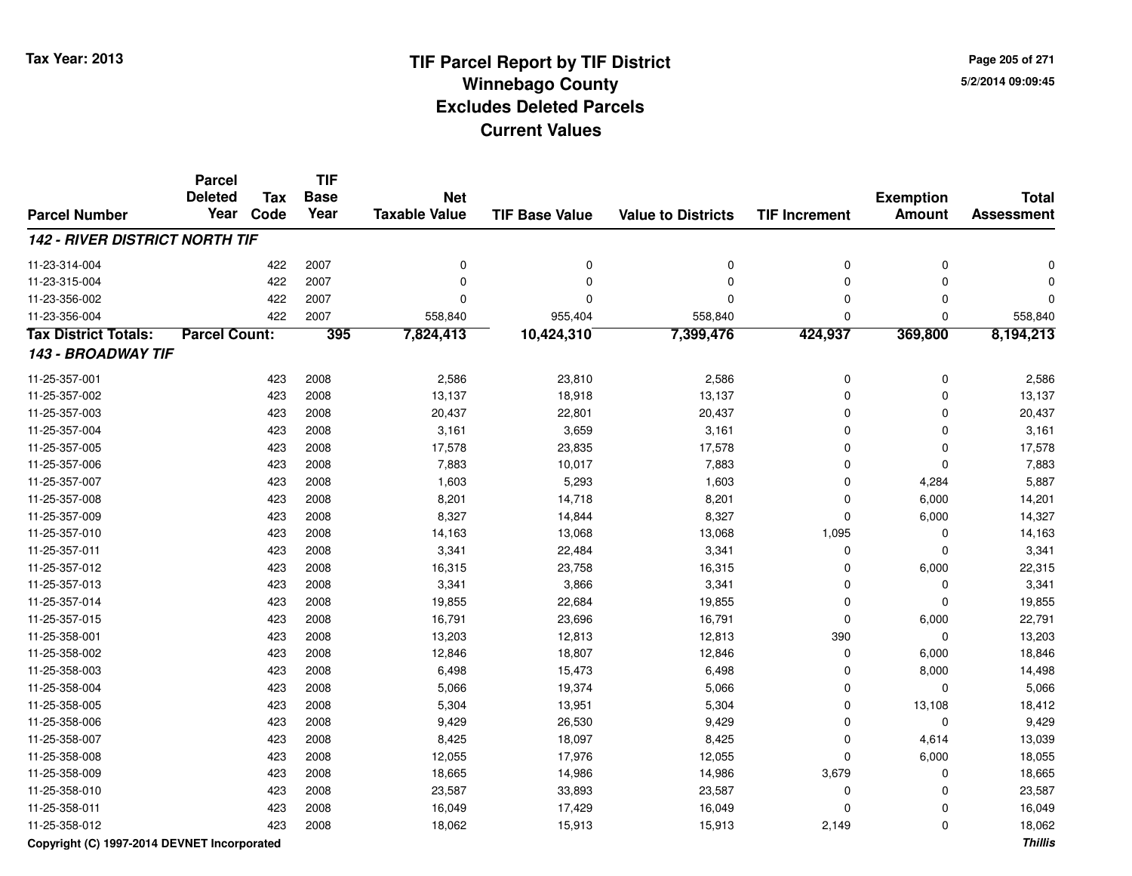**Page 205 of 2715/2/2014 09:09:45**

#### **TIF Base ValueParcel NumberTotal AssessmentExemption Amount Value to Districts TIF IncrementTIF Base YearTax CodeParcel Deleted YearNet Taxable Value142 - RIVER DISTRICT NORTH TIF**11-23-314-004 <sup>422</sup> <sup>0</sup> <sup>2007</sup> <sup>0</sup> <sup>0</sup> <sup>0</sup> <sup>0</sup> <sup>0</sup> 11-23-315-004 <sup>422</sup> <sup>0</sup> <sup>2007</sup> <sup>0</sup> <sup>0</sup> <sup>0</sup> <sup>0</sup> <sup>0</sup> 11-23-356-002 <sup>422</sup> <sup>0</sup> <sup>2007</sup> <sup>0</sup> <sup>0</sup> <sup>0</sup> <sup>0</sup> <sup>0</sup> 11-23-356-004422 2007 558,840 955,404 558,840 558,840 558,840 0 0 0 558,840 **Tax District Totals: Parcel Count: <sup>395</sup> 7,824,413 10,424,310 7,399,476 424,937 369,800 8,194,213 143 - BROADWAY TIF**11-25-357-0011 423 2008 2,586 23,810 2,586 0 0 2,586 11-25-357-002 <sup>423</sup> 13,137 <sup>2008</sup> 18,918 13,137 <sup>0</sup> <sup>0</sup> 13,137 11-25-357-003 <sup>423</sup> 20,437 <sup>2008</sup> 22,801 20,437 <sup>0</sup> <sup>0</sup> 20,437 11-25-357-0044 423 2008 3,161 3,659 3,161 0 3,161 11-25-357-005 <sup>423</sup> 17,578 <sup>2008</sup> 23,835 17,578 <sup>0</sup> <sup>0</sup> 17,578 11-25-357-0066 423 2008 7,883 10,017 7,883 0 7,883 11-25-357-007 <sup>423</sup> 1,603 <sup>2008</sup> 5,293 1,603 <sup>0</sup> 4,284 5,887 11-25-357-0088 423 2008 8,201 14,718 8,201 0 6,000 14,201 11-25-357-0099 423 2008 8,327 14,844 8,327 0 6,000 14,327 11-25-357-0100 423 2008 14,163 13,068 13,068 1,095 0 14,163 11-25-357-0111 423 2008 3,341 22,484 3,341 0 0 3,341 11-25-357-0122 423 2008 16,315 23,758 16,315 0 6,000 22,315 11-25-357-0133 423 2008 3,341 3,866 3,341 0 0 3,341 11-25-357-0144 423 2008 19,855 22,684 19,855 0 0 19,855 11-25-357-015 <sup>423</sup> 16,791 <sup>2008</sup> 23,696 16,791 <sup>0</sup> 6,000 22,791 11-25-358-0011 423 2008 13,203 12,813 1,813 390 0 13,203 11-25-358-0022 423 2008 12,846 18,807 12,846 0 6,000 18,846 11-25-358-003 <sup>423</sup> 6,498 <sup>2008</sup> 15,473 6,498 <sup>0</sup> 8,000 14,498 11-25-358-004 <sup>423</sup> 5,066 <sup>2008</sup> 19,374 5,066 <sup>0</sup> <sup>0</sup> 5,066 11-25-358-005 <sup>423</sup> 5,304 <sup>2008</sup> 13,951 5,304 <sup>0</sup> 13,108 18,412 11-25-358-006 <sup>423</sup> 9,429 <sup>2008</sup> 26,530 9,429 <sup>0</sup> <sup>0</sup> 9,429 11-25-358-007 <sup>423</sup> 8,425 <sup>2008</sup> 18,097 8,425 <sup>0</sup> 4,614 13,039 11-25-358-0088 423 2008 12,055 17,976 12,055 0 6,000 18,055 11-25-358-0099 423 2008 18,665 14,986 14,986 3,679 0 18,665 11-25-358-0100 423 2008 23,587 33,893 23,587 0 0 23,587 11-25-358-0111 423 2008 16,049 17,429 16,049 0 0 16,049 11-25-358-0122 2 2 3 3 3 423 2008 2 3 46,062 2 46,913 2,149 2,149 2,149 2 423 2,062

**Copyright (C) 1997-2014 DEVNET Incorporated**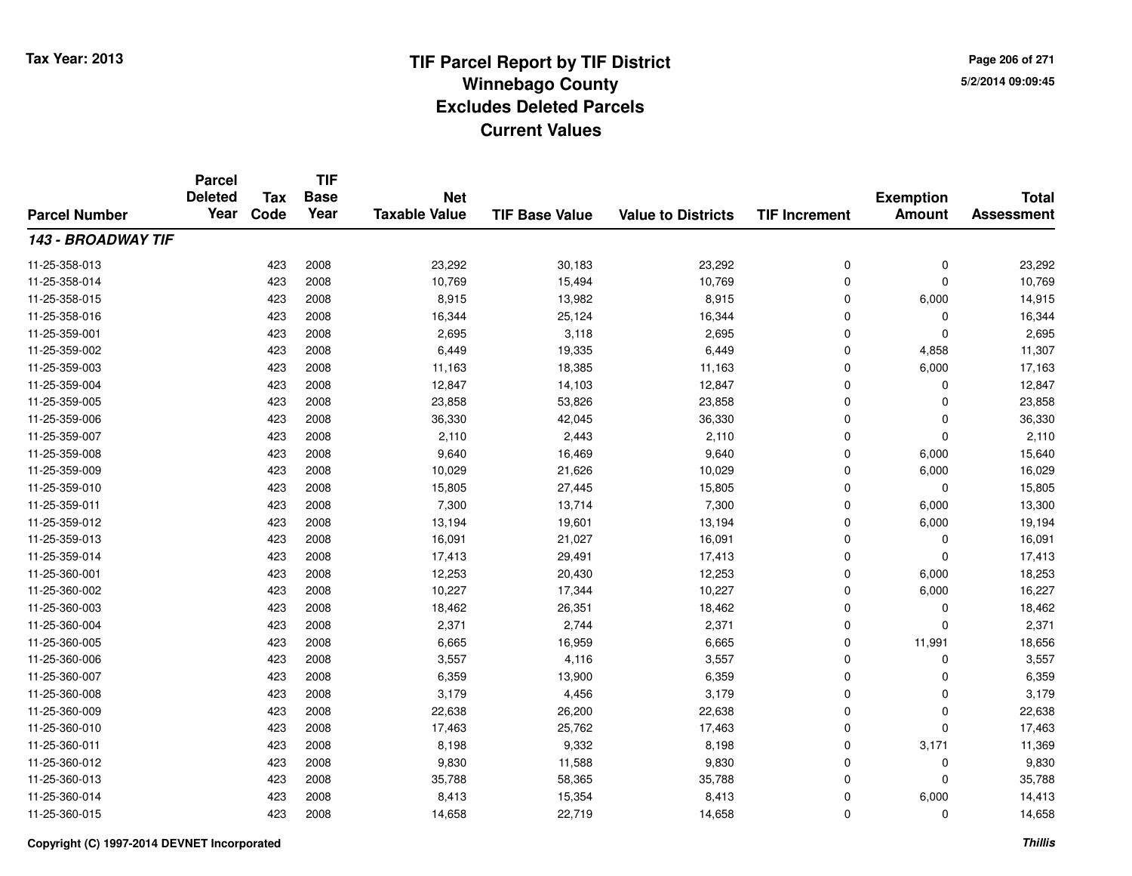**TIF**

**Parcel**

**Page 206 of 2715/2/2014 09:09:45**

#### **TIF Base ValueParcel NumberTotal AssessmentExemption Amount Value to Districts TIF Increment Base YearTax Code Deleted YearNet Taxable Value143 - BROADWAY TIF**11-25-358-0133 423 2008 23,292 30,183 23,292 0 0 23,292 11-25-358-014423 2008 10,769 15,494 10,769 15,494 10,769 0 0 0 10,769 11-25-358-0155 423 2008 8,915 13,982 8,915 0 6,000 14,915 11-25-358-016 <sup>423</sup> 16,344 <sup>2008</sup> 25,124 16,344 <sup>0</sup> <sup>0</sup> 16,344 11-25-359-0011 423 2008 2,695 3,118 2,695 0 0 2,695 11-25-359-002 <sup>423</sup> 6,449 <sup>2008</sup> 19,335 6,449 <sup>0</sup> 4,858 11,307 11-25-359-003 <sup>423</sup> 11,163 <sup>2008</sup> 18,385 11,163 <sup>0</sup> 6,000 17,163 11-25-359-004 <sup>423</sup> 12,847 <sup>2008</sup> 14,103 12,847 <sup>0</sup> <sup>0</sup> 12,847 11-25-359-005 <sup>423</sup> 23,858 <sup>2008</sup> 53,826 23,858 <sup>0</sup> <sup>0</sup> 23,858 11-25-359-006 <sup>423</sup> 36,330 <sup>2008</sup> 42,045 36,330 <sup>0</sup> <sup>0</sup> 36,330 11-25-359-007 $7$  and  $423$  2008 2,110 2,443 2,110 2,110 0 0 2,110 2,110 11-25-359-0088 423 2008 9,640 16,469 9,640 0 6,000 15,640 11-25-359-009 <sup>423</sup> 10,029 <sup>2008</sup> 21,626 10,029 <sup>0</sup> 6,000 16,029 11-25-359-0100 423 2008 15,805 27,445 15,805 0 0 15,805 11-25-359-0111 423 2008 7,300 13,714 7,300 0 6,000 13,300 11-25-359-0122 13,194 13,194 13,194 13,194 19,601 13,194 13,194 0 6,000 19,194 11-25-359-0133 423 2008 16,091 21,027 16,091 0 0 16,091 11-25-359-014 <sup>423</sup> 17,413 <sup>2008</sup> 29,491 17,413 <sup>0</sup> <sup>0</sup> 17,413 11-25-360-0011 423 2008 12,253 20,430 12,253 0 6,000 18,253 11-25-360-0022 423 2008 10,227 17,344 10,227 0 6,000 16,227 11-25-360-0033 423 2008 18,462 26,351 18,462 0 0 18,462 11-25-360-004 <sup>423</sup> 2,371 <sup>2008</sup> 2,744 2,371 <sup>0</sup> <sup>0</sup> 2,371 11-25-360-0055 423 2008 6,665 16,959 6,665 0 11,991 18,656 11-25-360-006 <sup>423</sup> 3,557 <sup>2008</sup> 4,116 3,557 <sup>0</sup> <sup>0</sup> 3,557 11-25-360-007 <sup>423</sup> 6,359 <sup>2008</sup> 13,900 6,359 <sup>0</sup> <sup>0</sup> 6,359 11-25-360-008 <sup>423</sup> 3,179 <sup>2008</sup> 4,456 3,179 <sup>0</sup> <sup>0</sup> 3,179 11-25-360-0099 423 2008 22,638 26,200 22,638 0 22,638 11-25-360-0100 423 2008 17,463 25,762 17,463 0 0 17,463 11-25-360-0111 423 2008 8,198 9,332 8,198 0 3,171 11,369 11-25-360-012 <sup>423</sup> 9,830 <sup>2008</sup> 11,588 9,830 <sup>0</sup> <sup>0</sup> 9,830 11-25-360-0133 423 2008 35,788 58,365 35,788 0 0 35,788 11-25-360-014 <sup>423</sup> 8,413 <sup>2008</sup> 15,354 8,413 <sup>0</sup> 6,000 14,413 11-25-360-0155 423 2008 14,658 22,719 14,658 0 0 14,658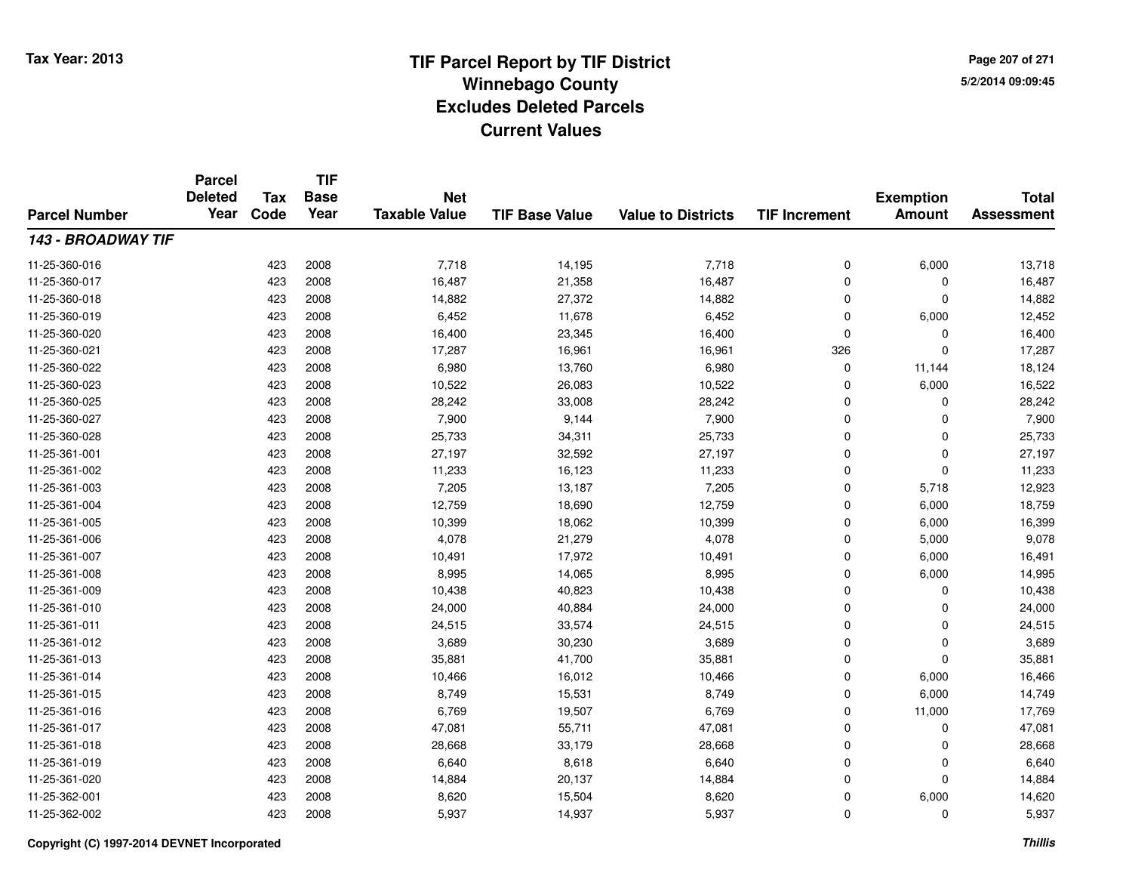**Page 207 of 2715/2/2014 09:09:45**

#### **TIF Base ValueParcel NumberTotal AssessmentExemption Amount Value to Districts TIF IncrementTIF Base YearTax CodeParcel Deleted YearNet Taxable Value143 - BROADWAY TIF**11-25-360-0166 423 2008 7,718 14,195 7,718 0 6,000 13,718 11-25-360-017 <sup>423</sup> 16,487 <sup>2008</sup> 21,358 16,487 <sup>0</sup> <sup>0</sup> 16,487 11-25-360-0188 423 2008 14,882 27,372 14,882 0 0 14,882 11-25-360-0199 423 2008 6,452 11,678 6,452 0 6,000 12,452 11-25-360-0200 423 2008 16,400 23,345 16,400 0 0 16,400 11-25-360-0211 423 2008 17,287 16,961 16,961 326 0 17,287 11-25-360-0222 6,980 10,124 18,124 18,124 11-25-360-0233 423 2008 10,522 26,083 10,522 0 6,000 16,522 11-25-360-025 <sup>423</sup> 28,242 <sup>2008</sup> 33,008 28,242 <sup>0</sup> <sup>0</sup> 28,242 11-25-360-027 <sup>423</sup> 7,900 <sup>2008</sup> 9,144 7,900 <sup>0</sup> <sup>0</sup> 7,900 11-25-360-028 <sup>423</sup> 25,733 <sup>2008</sup> 34,311 25,733 <sup>0</sup> <sup>0</sup> 25,733 11-25-361-0011 423 2008 27,197 32,592 27,197 0 0 27,197 11-25-361-002 <sup>423</sup> 11,233 <sup>2008</sup> 16,123 11,233 <sup>0</sup> <sup>0</sup> 11,233 11-25-361-0033 423 2008 7,205 13,187 7,205 0 5,718 12,923 11-25-361-004423 2008 18,759 12,759 18,690 12,759 12,759 0 6,000 18,759 11-25-361-005 <sup>423</sup> 10,399 <sup>2008</sup> 18,062 10,399 <sup>0</sup> 6,000 16,399 11-25-361-006 <sup>423</sup> 4,078 <sup>2008</sup> 21,279 4,078 <sup>0</sup> 5,000 9,078 11-25-361-007 <sup>423</sup> 10,491 <sup>2008</sup> 17,972 10,491 <sup>0</sup> 6,000 16,491 11-25-361-0088 423 2008 8,995 14,065 8,995 0 6,000 14,995 11-25-361-0099 423 2008 10,438 40,823 10,438 0 0 10,438 11-25-361-0100 423 2008 24,000 40,884 24,000 0 0 24,000 11-25-361-0111 423 2008 24,515 33,574 24,515 0 0 24,515 11-25-361-0122 423 2008 3,689 30,230 3,689 0 0 3,689 11-25-361-0133 423 2008 35,881 41,700 35,881 0 0 35,881 11-25-361-014423 2008 10,466 10,012 10,466 16,012 10,466 0 6,000 16,466 11-25-361-015 <sup>423</sup> 8,749 <sup>2008</sup> 15,531 8,749 <sup>0</sup> 6,000 14,749 11-25-361-0166 423 2008 6,769 19,507 6,769 0 11,000 17,769 11-25-361-017 <sup>423</sup> 47,081 <sup>2008</sup> 55,711 47,081 <sup>0</sup> <sup>0</sup> 47,081 11-25-361-0188 423 2008 28,668 33,179 28,668 0 0 28,668 11-25-361-0199 423 2008 6,640 8,618 6,640 0 0 6,640 11-25-361-0200 423 2008 14,884 20,137 14,884 0 0 14,884 11-25-362-0011 423 2008 8,620 15,504 8,620 0 6,000 14,620 11-25-362-002<sup>423</sup> 5,937 <sup>2008</sup> 14,937 5,937 <sup>0</sup> <sup>0</sup> 5,937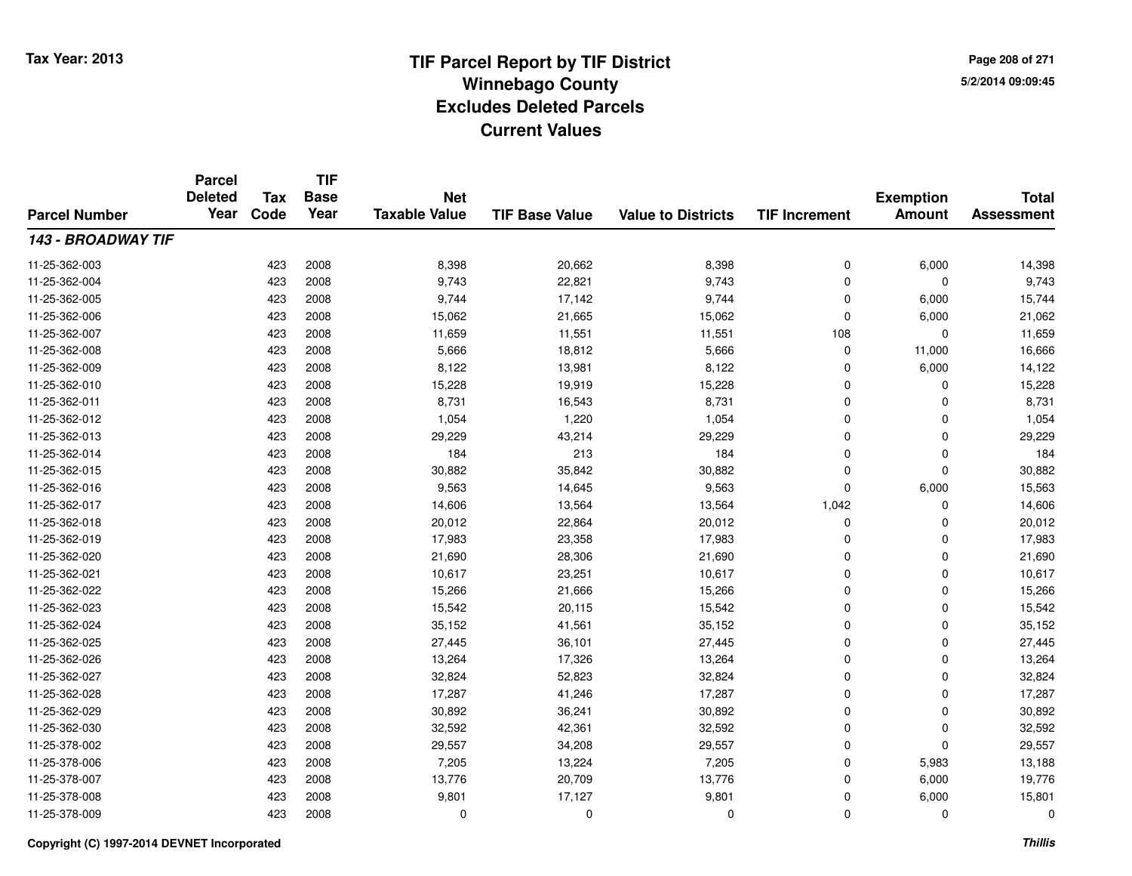**TIF**

**Parcel**

**Page 208 of 2715/2/2014 09:09:45**

#### **TIF Base ValueParcel NumberTotal AssessmentExemption Amount Value to Districts TIF Increment Base YearTax Code Deleted YearNet Taxable Value143 - BROADWAY TIF**11-25-362-0033 423 2008 8,398 20,662 8,398 0 6,000 14,398 11-25-362-004 <sup>423</sup> 9,743 <sup>2008</sup> 22,821 9,743 <sup>0</sup> <sup>0</sup> 9,743 11-25-362-005 <sup>423</sup> 9,744 <sup>2008</sup> 17,142 9,744 <sup>0</sup> 6,000 15,744 11-25-362-0066 423 2008 15,062 21,665 15,062 0 6,000 21,062 11-25-362-0077 423 2008 11,659 11,551 11,551 108 0 11,659 11-25-362-0088 423 2008 5,666 18,812 5,666 0 11,000 16,666 11-25-362-0099 423 2008 8,122 13,981 8,122 0 6,000 14,122 11-25-362-0100 423 2008 15,228 19,919 15,228 0 0 15,228 11-25-362-0111 423 2008 8,731 16,543 8,731 0 0 8,731 11-25-362-0122 1,054 1,054 1,054 1,054 1,054 1,054 1,054 0 0 0 1,054 11-25-362-0133 423 2008 29,229 43,214 29,229 0 0 29,229 11-25-362-014 <sup>423</sup> <sup>184</sup> <sup>2008</sup> <sup>213</sup> <sup>184</sup> <sup>0</sup> <sup>0</sup> <sup>184</sup> 11-25-362-015 <sup>423</sup> 30,882 <sup>2008</sup> 35,842 30,882 <sup>0</sup> <sup>0</sup> 30,882 11-25-362-0166 423 2008 9,563 14,645 9,563 0 6,000 15,563 11-25-362-017 <sup>423</sup> 14,606 <sup>2008</sup> 13,564 13,564 1,042 <sup>0</sup> 14,606 11-25-362-018 <sup>423</sup> 20,012 <sup>2008</sup> 22,864 20,012 <sup>0</sup> <sup>0</sup> 20,012 11-25-362-0199 423 2008 17,983 23,358 17,983 0 0 17,983 11-25-362-0200 423 2008 21,690 28,306 21,690 0 0 21,690 11-25-362-0211 423 2008 10,617 23,251 10,617 0 0 10,617 11-25-362-022 <sup>423</sup> 15,266 <sup>2008</sup> 21,666 15,266 <sup>0</sup> <sup>0</sup> 15,266 11-25-362-023 <sup>423</sup> 15,542 <sup>2008</sup> 20,115 15,542 <sup>0</sup> <sup>0</sup> 15,542 11-25-362-024 <sup>423</sup> 35,152 <sup>2008</sup> 41,561 35,152 <sup>0</sup> <sup>0</sup> 35,152 11-25-362-025 <sup>423</sup> 27,445 <sup>2008</sup> 36,101 27,445 <sup>0</sup> <sup>0</sup> 27,445 11-25-362-0266 423 2008 13,264 17,326 13,264 0 0 13,264 11-25-362-027 <sup>423</sup> 32,824 <sup>2008</sup> 52,823 32,824 <sup>0</sup> <sup>0</sup> 32,824 11-25-362-028 <sup>423</sup> 17,287 <sup>2008</sup> 41,246 17,287 <sup>0</sup> <sup>0</sup> 17,287 11-25-362-0299 423 2008 30,892 36,241 30,892 0 0 30,892 11-25-362-0300 423 2008 32,592 42,361 32,592 0 0 32,592 11-25-378-0022 423 2008 29,557 34,208 29,557 0 0 29,557 11-25-378-0066 423 2008 7,205 13,224 7,205 0 5,983 13,188 11-25-378-007 <sup>423</sup> 13,776 <sup>2008</sup> 20,709 13,776 <sup>0</sup> 6,000 19,776 11-25-378-008 <sup>423</sup> 9,801 <sup>2008</sup> 17,127 9,801 <sup>0</sup> 6,000 15,801 11-25-378-009<sup>423</sup> <sup>0</sup> <sup>2008</sup> <sup>0</sup> <sup>0</sup> <sup>0</sup> <sup>0</sup> <sup>0</sup>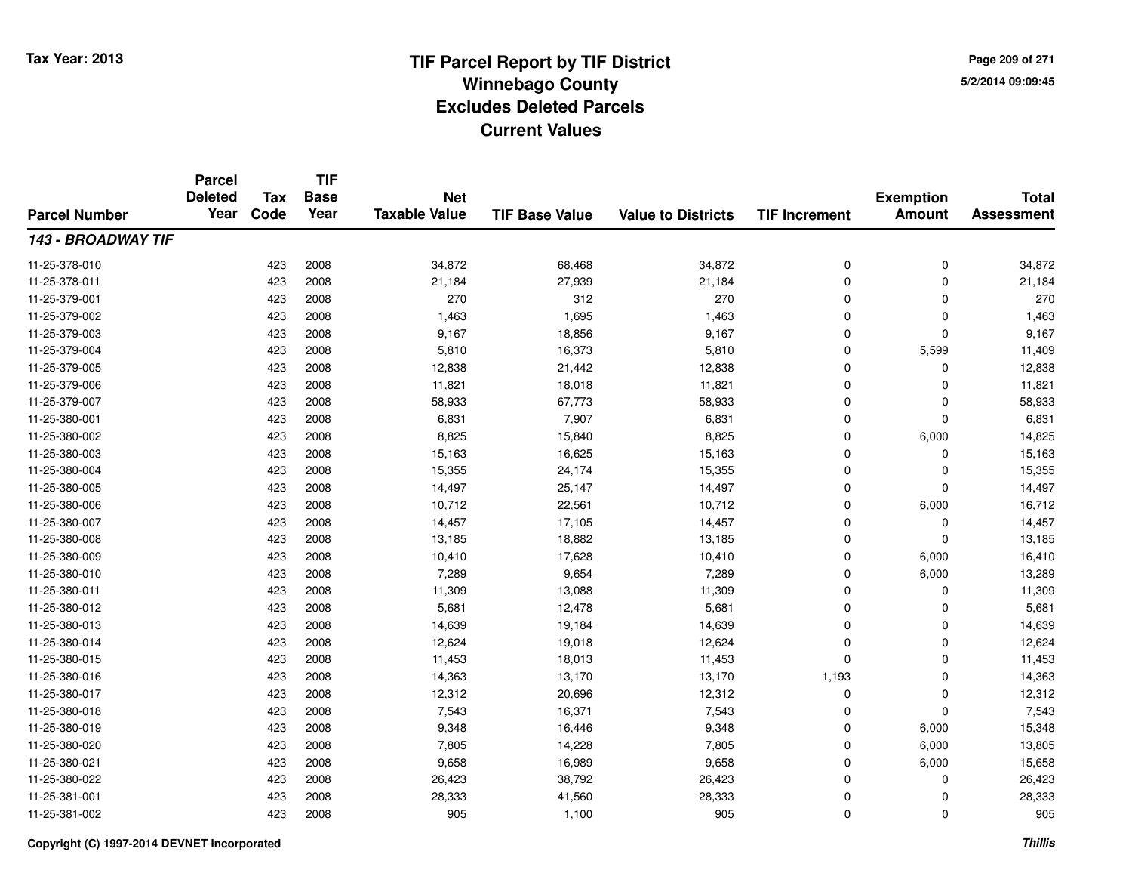**TIF**

**Parcel**

**Page 209 of 2715/2/2014 09:09:45**

#### **TIF Base ValueParcel NumberTotal AssessmentExemption Amount Value to Districts TIF Increment Base YearTax Code Deleted YearNet Taxable Value143 - BROADWAY TIF**11-25-378-0100 423 2008 34,872 68,468 34,872 0 0 34,872 11-25-378-0111 423 2008 21,184 27,939 21,184 0 0 21,184 11-25-379-0011 423 2008 270 312 270 0 0 270 11-25-379-0022 423 2008 1,463 1,695 1,463 0 0 1,463 11-25-379-003 $3$  2008 9,167 18,856 9,167 9,167 0 0 0 9,167 11-25-379-004 <sup>423</sup> 5,810 <sup>2008</sup> 16,373 5,810 <sup>0</sup> 5,599 11,409 11-25-379-005 <sup>423</sup> 12,838 <sup>2008</sup> 21,442 12,838 <sup>0</sup> <sup>0</sup> 12,838 11-25-379-0066 423 2008 11,821 18,018 11,821 0 11,821 11-25-379-007 <sup>423</sup> 58,933 <sup>2008</sup> 67,773 58,933 <sup>0</sup> <sup>0</sup> 58,933 11-25-380-0011 423 2008 6,831 7,907 6,831 0 0 6,831 11-25-380-0022 3 3 3 3 423 2008 2 5,825 3 423 5,840 5,825 5 5,840 5,825 5 6,000 6,000 6,000 5 14,825 11-25-380-0033 423 2008 15,163 16,625 15,163 0 0 15,163 11-25-380-004 <sup>423</sup> 15,355 <sup>2008</sup> 24,174 15,355 <sup>0</sup> <sup>0</sup> 15,355 11-25-380-005 <sup>423</sup> 14,497 <sup>2008</sup> 25,147 14,497 <sup>0</sup> <sup>0</sup> 14,497 11-25-380-006 <sup>423</sup> 10,712 <sup>2008</sup> 22,561 10,712 <sup>0</sup> 6,000 16,712 11-25-380-007 <sup>423</sup> 14,457 <sup>2008</sup> 17,105 14,457 <sup>0</sup> <sup>0</sup> 14,457 11-25-380-008 <sup>423</sup> 13,185 <sup>2008</sup> 18,882 13,185 <sup>0</sup> <sup>0</sup> 13,185 11-25-380-0099 423 2008 10,410 17,628 10,410 0 6,000 16,410 11-25-380-0100 423 2008 7,289 9,654 7,289 0 6,000 13,289 11-25-380-0111 423 2008 11,309 13,088 11,309 0 11,309 11-25-380-0122 423 2008 5,681 12,478 5,681 0 0 5,681 11-25-380-0133 423 2008 14,639 19,184 14,639 0 0 14,639 11-25-380-014 <sup>423</sup> 12,624 <sup>2008</sup> 19,018 12,624 <sup>0</sup> <sup>0</sup> 12,624 11-25-380-015 <sup>423</sup> 11,453 <sup>2008</sup> 18,013 11,453 <sup>0</sup> <sup>0</sup> 11,453 11-25-380-016 <sup>423</sup> 14,363 <sup>2008</sup> 13,170 13,170 1,193 <sup>0</sup> 14,363 11-25-380-017 <sup>423</sup> 12,312 <sup>2008</sup> 20,696 12,312 <sup>0</sup> <sup>0</sup> 12,312 11-25-380-0188 423 2008 7,543 16,371 7,543 0 0 7,543 11-25-380-0199 423 2008 9,348 16,446 9,348 0 6,000 15,348 11-25-380-0200 423 2008 7,805 14,228 7,805 0 6,000 13,805 11-25-380-0211 423 2008 9,658 16,989 9,658 0 6,000 15,658 11-25-380-0222 423 2008 26,423 38,792 26,423 0 0 26,423 11-25-381-0011 423 2008 28,333 41,560 28,333 0 0 28,333 11-25-381-002<sup>423</sup> <sup>905</sup> <sup>2008</sup> 1,100 <sup>905</sup> <sup>0</sup> <sup>0</sup> <sup>905</sup>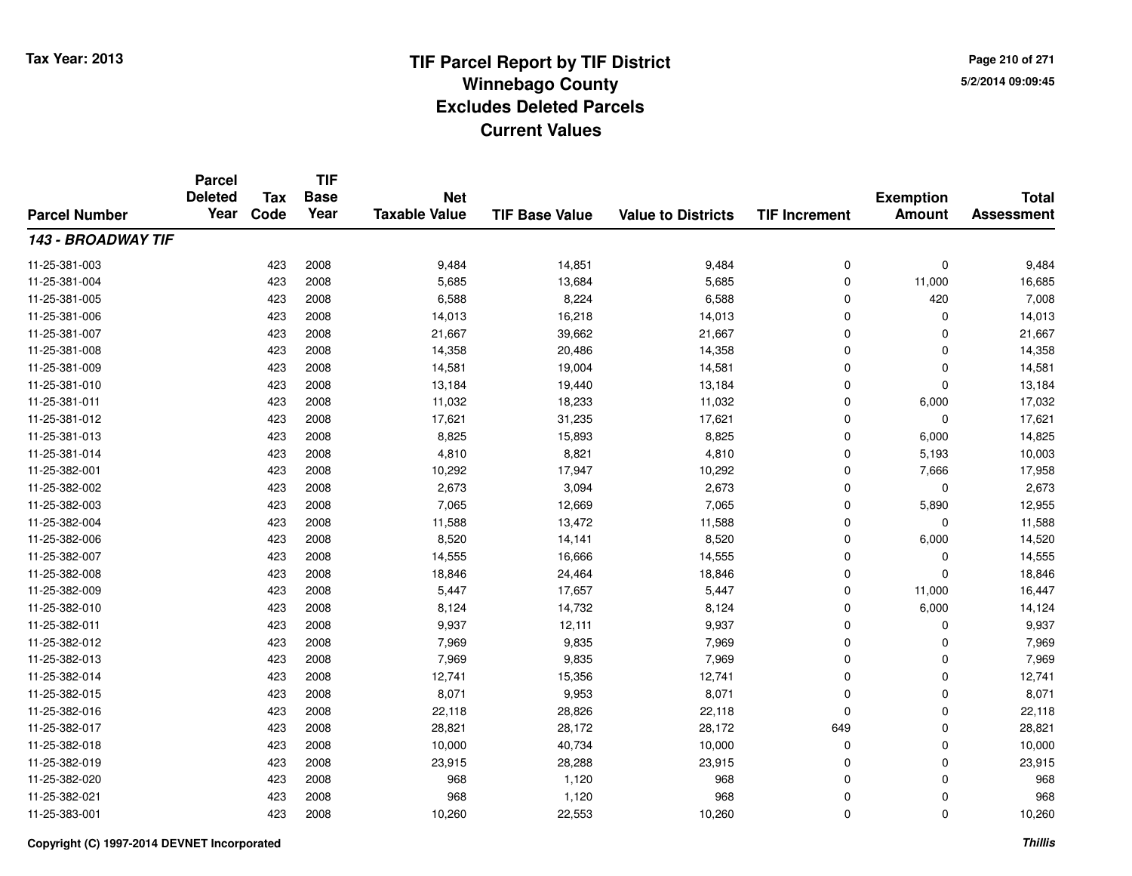**TIF**

**Parcel**

**Page 210 of 2715/2/2014 09:09:45**

#### **TIF Base ValueParcel NumberTotal AssessmentExemption Amount Value to Districts TIF Increment Base YearTax Code Deleted YearNet Taxable Value143 - BROADWAY TIF**11-25-381-0033 423 2008 9,484 14,851 9,484 0 0 9,484 11-25-381-0044 423 2008 5,685 13,684 5,685 0 11,000 16,685 11-25-381-005 <sup>423</sup> 6,588 <sup>2008</sup> 8,224 6,588 <sup>0</sup> <sup>420</sup> 7,008 11-25-381-006 <sup>423</sup> 14,013 <sup>2008</sup> 16,218 14,013 <sup>0</sup> <sup>0</sup> 14,013 11-25-381-007 <sup>423</sup> 21,667 <sup>2008</sup> 39,662 21,667 <sup>0</sup> <sup>0</sup> 21,667 11-25-381-0088 423 2008 14,358 20,486 14,358 0 0 14,358 11-25-381-0099 423 2008 14,581 19,004 14,581 0 0 14,581 11-25-381-0100 423 2008 13,184 19,440 13,184 0 0 13,184 11-25-381-0111 423 2008 11,032 18,233 11,032 0 6,000 17,032 11-25-381-0122 31,235 17,621 17,621 31,235 17,621 0 0 0 17,621 17,621 0 0 17,621 17,621 0 0 17,621 1 11-25-381-0133 423 2008 8,825 15,893 8,825 0 6,000 14,825 11-25-381-014 <sup>423</sup> 4,810 <sup>2008</sup> 8,821 4,810 <sup>0</sup> 5,193 10,003 11-25-382-0011 423 2008 10,292 17,947 10,292 0 7,666 17,958 11-25-382-0022 423 2008 2,673 3,094 2,673 0 0 2,673 11-25-382-0033 423 2008 7,065 12,669 7,065 0 5,890 12,955 11-25-382-0044 423 2008 11,588 13,472 11,588 0 11,588 11-25-382-006 <sup>423</sup> 8,520 <sup>2008</sup> 14,141 8,520 <sup>0</sup> 6,000 14,520 11-25-382-0077 423 2008 14,555 16,666 14,555 0 14,555 11-25-382-0088 423 2008 18,846 24,464 18,846 0 0 18,846 11-25-382-009 <sup>423</sup> 5,447 <sup>2008</sup> 17,657 5,447 <sup>0</sup> 11,000 16,447 11-25-382-0100 423 2008 8,124 14,732 8,124 0 6,000 14,124 11-25-382-0111 423 2008 9,937 12,111 9,937 0 0 9,937 11-25-382-0122 423 2008 7,969 9,835 7,969 0 0 7,969 11-25-382-0133 423 2008 7,969 9,835 7,969 0 0 7,969 11-25-382-014 <sup>423</sup> 12,741 <sup>2008</sup> 15,356 12,741 <sup>0</sup> <sup>0</sup> 12,741 11-25-382-015 <sup>423</sup> 8,071 <sup>2008</sup> 9,953 8,071 <sup>0</sup> <sup>0</sup> 8,071 11-25-382-016 <sup>423</sup> 22,118 <sup>2008</sup> 28,826 22,118 <sup>0</sup> <sup>0</sup> 22,118 11-25-382-017 <sup>423</sup> 28,821 <sup>2008</sup> 28,172 28,172 <sup>649</sup> <sup>0</sup> 28,821 11-25-382-0188 10,000 10,000 10,000 10,000 40,734 10,000 10,000 0 0 0 10,000 11-25-382-0199 423 2008 23,915 28,288 23,915 0 0 23,915 11-25-382-020 <sup>423</sup> <sup>968</sup> <sup>2008</sup> 1,120 <sup>968</sup> <sup>0</sup> <sup>0</sup> <sup>968</sup> 11-25-382-0211 423 2008 968 1,120 968 0 0 968 11-25-383-0011 423 2008 10,260 22,553 10,260 0 0 10,260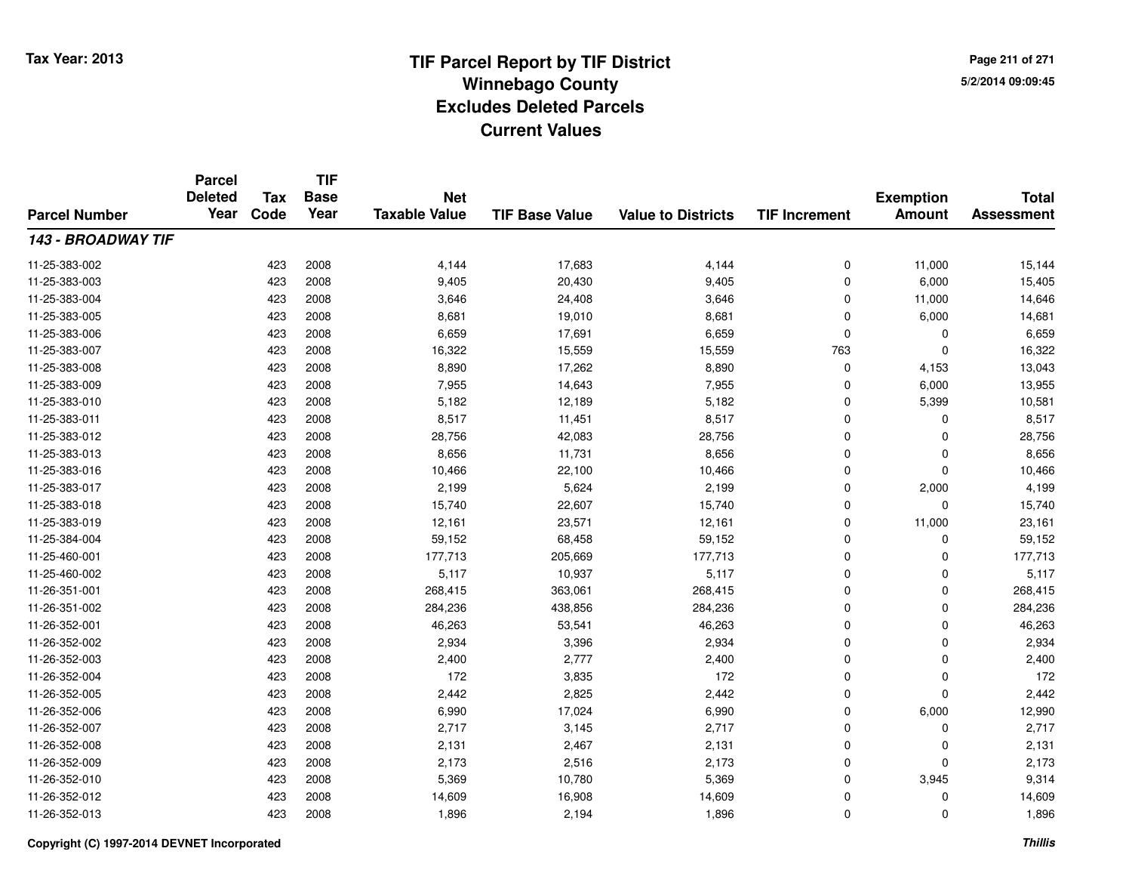**Page 211 of 2715/2/2014 09:09:45**

|                           | <b>Parcel</b><br><b>Deleted</b><br>Year | <b>TIF</b><br><b>Tax</b><br><b>Base</b><br><b>Net</b> |      |                      | <b>Exemption</b>      | <b>Total</b>              |                      |               |                   |
|---------------------------|-----------------------------------------|-------------------------------------------------------|------|----------------------|-----------------------|---------------------------|----------------------|---------------|-------------------|
| <b>Parcel Number</b>      |                                         | Code                                                  | Year | <b>Taxable Value</b> | <b>TIF Base Value</b> | <b>Value to Districts</b> | <b>TIF Increment</b> | <b>Amount</b> | <b>Assessment</b> |
| <b>143 - BROADWAY TIF</b> |                                         |                                                       |      |                      |                       |                           |                      |               |                   |
| 11-25-383-002             |                                         | 423                                                   | 2008 | 4,144                | 17,683                | 4,144                     | 0                    | 11,000        | 15,144            |
| 11-25-383-003             |                                         | 423                                                   | 2008 | 9,405                | 20,430                | 9,405                     | 0                    | 6,000         | 15,405            |
| 11-25-383-004             |                                         | 423                                                   | 2008 | 3,646                | 24,408                | 3,646                     | 0                    | 11,000        | 14,646            |
| 11-25-383-005             |                                         | 423                                                   | 2008 | 8,681                | 19,010                | 8,681                     | 0                    | 6,000         | 14,681            |
| 11-25-383-006             |                                         | 423                                                   | 2008 | 6,659                | 17,691                | 6,659                     | 0                    | 0             | 6,659             |
| 11-25-383-007             |                                         | 423                                                   | 2008 | 16,322               | 15,559                | 15,559                    | 763                  | $\Omega$      | 16,322            |
| 11-25-383-008             |                                         | 423                                                   | 2008 | 8,890                | 17,262                | 8,890                     | 0                    | 4,153         | 13,043            |
| 11-25-383-009             |                                         | 423                                                   | 2008 | 7,955                | 14,643                | 7,955                     | $\mathbf 0$          | 6,000         | 13,955            |
| 11-25-383-010             |                                         | 423                                                   | 2008 | 5,182                | 12,189                | 5,182                     | 0                    | 5,399         | 10,581            |
| 11-25-383-011             |                                         | 423                                                   | 2008 | 8,517                | 11,451                | 8,517                     | 0                    | $\Omega$      | 8,517             |
| 11-25-383-012             |                                         | 423                                                   | 2008 | 28,756               | 42,083                | 28,756                    | 0                    | $\Omega$      | 28,756            |
| 11-25-383-013             |                                         | 423                                                   | 2008 | 8,656                | 11,731                | 8,656                     | 0                    | 0             | 8,656             |
| 11-25-383-016             |                                         | 423                                                   | 2008 | 10,466               | 22,100                | 10,466                    | $\mathbf 0$          | $\Omega$      | 10,466            |
| 11-25-383-017             |                                         | 423                                                   | 2008 | 2,199                | 5,624                 | 2,199                     | 0                    | 2,000         | 4,199             |
| 11-25-383-018             |                                         | 423                                                   | 2008 | 15,740               | 22,607                | 15,740                    | 0                    | $\Omega$      | 15,740            |
| 11-25-383-019             |                                         | 423                                                   | 2008 | 12,161               | 23,571                | 12,161                    | 0                    | 11,000        | 23,161            |
| 11-25-384-004             |                                         | 423                                                   | 2008 | 59,152               | 68,458                | 59,152                    | 0                    | $\mathbf 0$   | 59,152            |
| 11-25-460-001             |                                         | 423                                                   | 2008 | 177,713              | 205,669               | 177,713                   | 0                    | $\mathbf 0$   | 177,713           |
| 11-25-460-002             |                                         | 423                                                   | 2008 | 5,117                | 10,937                | 5,117                     | 0                    | 0             | 5,117             |
| 11-26-351-001             |                                         | 423                                                   | 2008 | 268,415              | 363,061               | 268,415                   | 0                    | 0             | 268,415           |
| 11-26-351-002             |                                         | 423                                                   | 2008 | 284,236              | 438,856               | 284,236                   | 0                    | 0             | 284,236           |
| 11-26-352-001             |                                         | 423                                                   | 2008 | 46,263               | 53,541                | 46,263                    | 0                    | 0             | 46,263            |
| 11-26-352-002             |                                         | 423                                                   | 2008 | 2,934                | 3,396                 | 2,934                     | 0                    | $\mathbf 0$   | 2,934             |
| 11-26-352-003             |                                         | 423                                                   | 2008 | 2,400                | 2,777                 | 2,400                     | 0                    | $\mathbf 0$   | 2,400             |
| 11-26-352-004             |                                         | 423                                                   | 2008 | 172                  | 3,835                 | 172                       | 0                    | $\mathbf 0$   | 172               |
| 11-26-352-005             |                                         | 423                                                   | 2008 | 2,442                | 2,825                 | 2,442                     | 0                    | $\Omega$      | 2,442             |
| 11-26-352-006             |                                         | 423                                                   | 2008 | 6,990                | 17,024                | 6,990                     | 0                    | 6,000         | 12,990            |
| 11-26-352-007             |                                         | 423                                                   | 2008 | 2,717                | 3,145                 | 2,717                     | 0                    | 0             | 2,717             |
| 11-26-352-008             |                                         | 423                                                   | 2008 | 2,131                | 2,467                 | 2,131                     | 0                    | $\mathbf 0$   | 2,131             |
| 11-26-352-009             |                                         | 423                                                   | 2008 | 2,173                | 2,516                 | 2,173                     | 0                    | $\Omega$      | 2,173             |
| 11-26-352-010             |                                         | 423                                                   | 2008 | 5,369                | 10,780                | 5,369                     | 0                    | 3,945         | 9,314             |
| 11-26-352-012             |                                         | 423                                                   | 2008 | 14,609               | 16,908                | 14,609                    | 0                    | 0             | 14,609            |
| 11-26-352-013             |                                         | 423                                                   | 2008 | 1,896                | 2,194                 | 1,896                     | 0                    | $\Omega$      | 1,896             |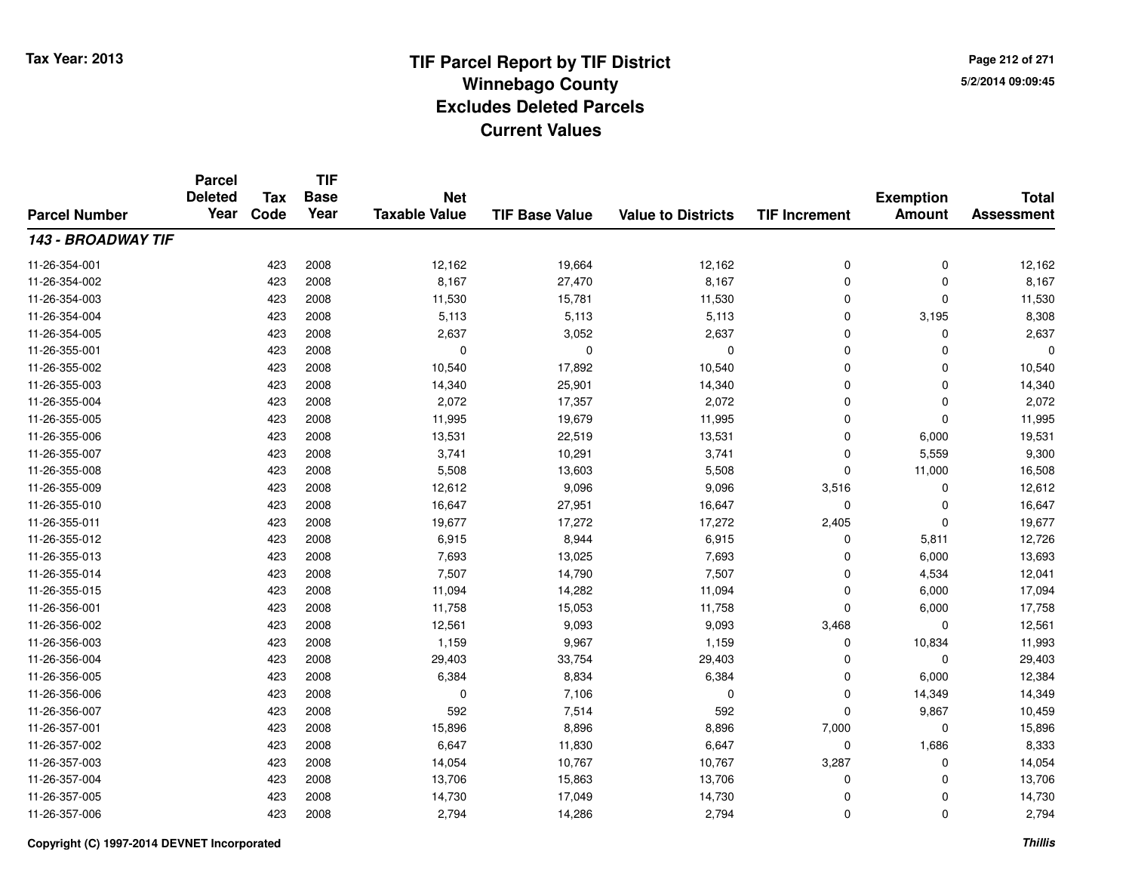**TIF**

**Parcel**

**Page 212 of 2715/2/2014 09:09:45**

#### **TIF Base ValueParcel NumberTotal AssessmentExemption Amount Value to Districts TIF Increment Base YearTax Code Deleted YearNet Taxable Value143 - BROADWAY TIF**11-26-354-0011 423 2008 12,162 19,664 12,162 0 0 12,162 11-26-354-0022 423 2008 8,167 27,470 8,167 0 0 8,167 11-26-354-0033 423 2008 11,530 15,781 11,530 0 11,530 11-26-354-004 <sup>423</sup> 5,113 <sup>2008</sup> 5,113 5,113 <sup>0</sup> 3,195 8,308 11-26-354-005 <sup>423</sup> 2,637 <sup>2008</sup> 3,052 2,637 <sup>0</sup> <sup>0</sup> 2,637 11-26-355-001 <sup>423</sup> <sup>0</sup> <sup>2008</sup> <sup>0</sup> <sup>0</sup> <sup>0</sup> <sup>0</sup> <sup>0</sup> 11-26-355-0022 423 2008 10,540 17,892 10,540 0 0 10,540 11-26-355-0033 423 2008 14,340 25,901 14,340 0 0 14,340 11-26-355-004 <sup>423</sup> 2,072 <sup>2008</sup> 17,357 2,072 <sup>0</sup> <sup>0</sup> 2,072 11-26-355-005 <sup>423</sup> 11,995 <sup>2008</sup> 19,679 11,995 <sup>0</sup> <sup>0</sup> 11,995 11-26-355-006 <sup>423</sup> 13,531 <sup>2008</sup> 22,519 13,531 <sup>0</sup> 6,000 19,531 11-26-355-007 <sup>423</sup> 3,741 <sup>2008</sup> 10,291 3,741 <sup>0</sup> 5,559 9,300 11-26-355-0088 423 2008 5,508 13,603 5,508 0 11,000 16,508 11-26-355-0099 423 2008 12,612 9,096 9,096 3,516 0 12,612 11-26-355-0100 423 2008 16,647 27,951 16,647 0 0 16,647 11-26-355-011 <sup>423</sup> 19,677 <sup>2008</sup> 17,272 17,272 2,405 <sup>0</sup> 19,677 11-26-355-0122 423 2008 6,915 8,944 6,915 0 5,811 12,726 11-26-355-0133 423 2008 7,693 13,025 7,693 0 6,000 13,693 11-26-355-014 <sup>423</sup> 7,507 <sup>2008</sup> 14,790 7,507 <sup>0</sup> 4,534 12,041 11-26-355-015 <sup>423</sup> 11,094 <sup>2008</sup> 14,282 11,094 <sup>0</sup> 6,000 17,094 11-26-356-0011 423 2008 11,758 15,053 11,758 0 6,000 17,758 11-26-356-0022 423 2008 12,561 9,093 9,093 3,468 0 12,561 11-26-356-003 <sup>423</sup> 1,159 <sup>2008</sup> 9,967 1,159 <sup>0</sup> 10,834 11,993 11-26-356-004 <sup>423</sup> 29,403 <sup>2008</sup> 33,754 29,403 <sup>0</sup> <sup>0</sup> 29,403 11-26-356-0055 423 2008 6,384 6,384 0 6,000 12,384 11-26-356-006 <sup>423</sup> <sup>0</sup> <sup>2008</sup> 7,106 <sup>0</sup> <sup>0</sup> 14,349 14,349 11-26-356-0077 423 2008 592 7,514 592 0 9,867 10,459 11-26-357-0011 423 2008 15,896 8,896 8,896 7,000 0 15,896 11-26-357-0022 423 2008 6,647 11,830 6,647 0 1,686 8,333 11-26-357-003 <sup>423</sup> 14,054 <sup>2008</sup> 10,767 10,767 3,287 <sup>0</sup> 14,054 11-26-357-004 <sup>423</sup> 13,706 <sup>2008</sup> 15,863 13,706 <sup>0</sup> <sup>0</sup> 13,706 11-26-357-005 <sup>423</sup> 14,730 <sup>2008</sup> 17,049 14,730 <sup>0</sup> <sup>0</sup> 14,730 11-26-357-006<sup>423</sup> 2,794 <sup>2008</sup> 14,286 2,794 <sup>0</sup> <sup>0</sup> 2,794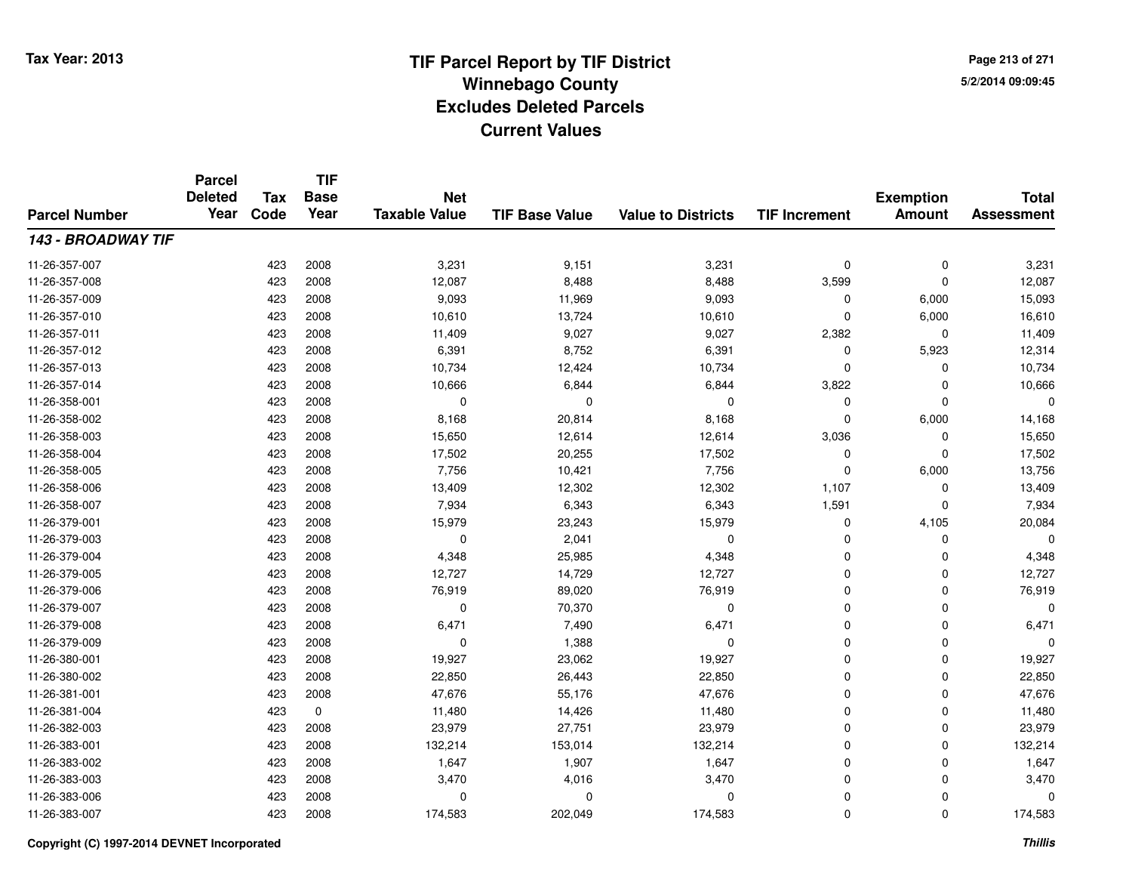**Page 213 of 2715/2/2014 09:09:45**

#### **TIF Base ValueParcel NumberTotal AssessmentExemption Amount Value to Districts TIF IncrementTIF Base YearTax CodeParcel Deleted YearNet Taxable Value143 - BROADWAY TIF**11-26-357-0077 423 2008 3,231 9,151 3,231 0 3,231 11-26-357-008 <sup>423</sup> 12,087 <sup>2008</sup> 8,488 8,488 3,599 <sup>0</sup> 12,087 11-26-357-009 <sup>423</sup> 9,093 <sup>2008</sup> 11,969 9,093 <sup>0</sup> 6,000 15,093 11-26-357-0100 423 2008 10,610 13,724 10,610 0 6,000 16,610 11-26-357-0111 423 2008 11,409 9,027 9,027 2,382 0 11,409 11-26-357-012 <sup>423</sup> 6,391 <sup>2008</sup> 8,752 6,391 <sup>0</sup> 5,923 12,314 11-26-357-013 <sup>423</sup> 10,734 <sup>2008</sup> 12,424 10,734 <sup>0</sup> <sup>0</sup> 10,734 11-26-357-0144 423 2008 10,666 6,844 6,844 3,822 0 10,666 11-26-358-001 <sup>423</sup> <sup>0</sup> <sup>2008</sup> <sup>0</sup> <sup>0</sup> <sup>0</sup> <sup>0</sup> <sup>0</sup> 11-26-358-0022 423 2008 8,168 20,814 8,168 0 6,000 14,168 11-26-358-0033 423 2008 15,650 12,614 12,614 3,036 0 15,650 11-26-358-004 <sup>423</sup> 17,502 <sup>2008</sup> 20,255 17,502 <sup>0</sup> <sup>0</sup> 17,502 11-26-358-005 <sup>423</sup> 7,756 <sup>2008</sup> 10,421 7,756 <sup>0</sup> 6,000 13,756 11-26-358-006 <sup>423</sup> 13,409 <sup>2008</sup> 12,302 12,302 1,107 <sup>0</sup> 13,409 11-26-358-007 <sup>423</sup> 7,934 <sup>2008</sup> 6,343 6,343 1,591 <sup>0</sup> 7,934 11-26-379-0011 423 2008 15,979 23,243 15,979 0 4,105 20,084 11-26-379-003 <sup>423</sup> <sup>0</sup> <sup>2008</sup> 2,041 <sup>0</sup> <sup>0</sup> <sup>0</sup> <sup>0</sup> 11-26-379-0044 23 2008 4,348 25,985 4,348 4,348 26,985 4,348 200 1,348 11-26-379-005 <sup>423</sup> 12,727 <sup>2008</sup> 14,729 12,727 <sup>0</sup> <sup>0</sup> 12,727 11-26-379-0066 423 2008 76,919 89,020 76,919 0 0 76,919 11-26-379-007 $7$  0  $423$  2008 0 0  $70,370$  0 0 0 0 0 0 0 11-26-379-008 <sup>423</sup> 6,471 <sup>2008</sup> 7,490 6,471 <sup>0</sup> <sup>0</sup> 6,471 11-26-379-009 <sup>423</sup> <sup>0</sup> <sup>2008</sup> 1,388 <sup>0</sup> <sup>0</sup> <sup>0</sup> <sup>0</sup> 11-26-380-0011 423 2008 19,927 23,062 19,927 0 0 19,927 11-26-380-0022 423 2008 22,850 26,443 22,850 0 22,850 11-26-381-0011 423 2008 47,676 55,176 47,676 0 0 47,676 11-26-381-0044 423 0 11,480 14,426 11,480 0 0 11,480 11-26-382-0033 423 2008 23,979 27,751 23,979 0 0 23,979 11-26-383-0011 423 2008 132,214 153,014 132,214 0 132,214 11-26-383-0022 423 2008 1,647 1,907 1,647 0 0 1,647 11-26-383-003 $3 \times 423$  2008  $3,470$   $4,016$   $3,470$   $4,016$   $3,470$   $0$   $0$   $3,470$ 11-26-383-006 <sup>423</sup> <sup>0</sup> <sup>2008</sup> <sup>0</sup> <sup>0</sup> <sup>0</sup> <sup>0</sup> <sup>0</sup> 11-26-383-007<sup>423</sup> 174,583 <sup>2008</sup> 202,049 174,583 <sup>0</sup> <sup>0</sup> 174,583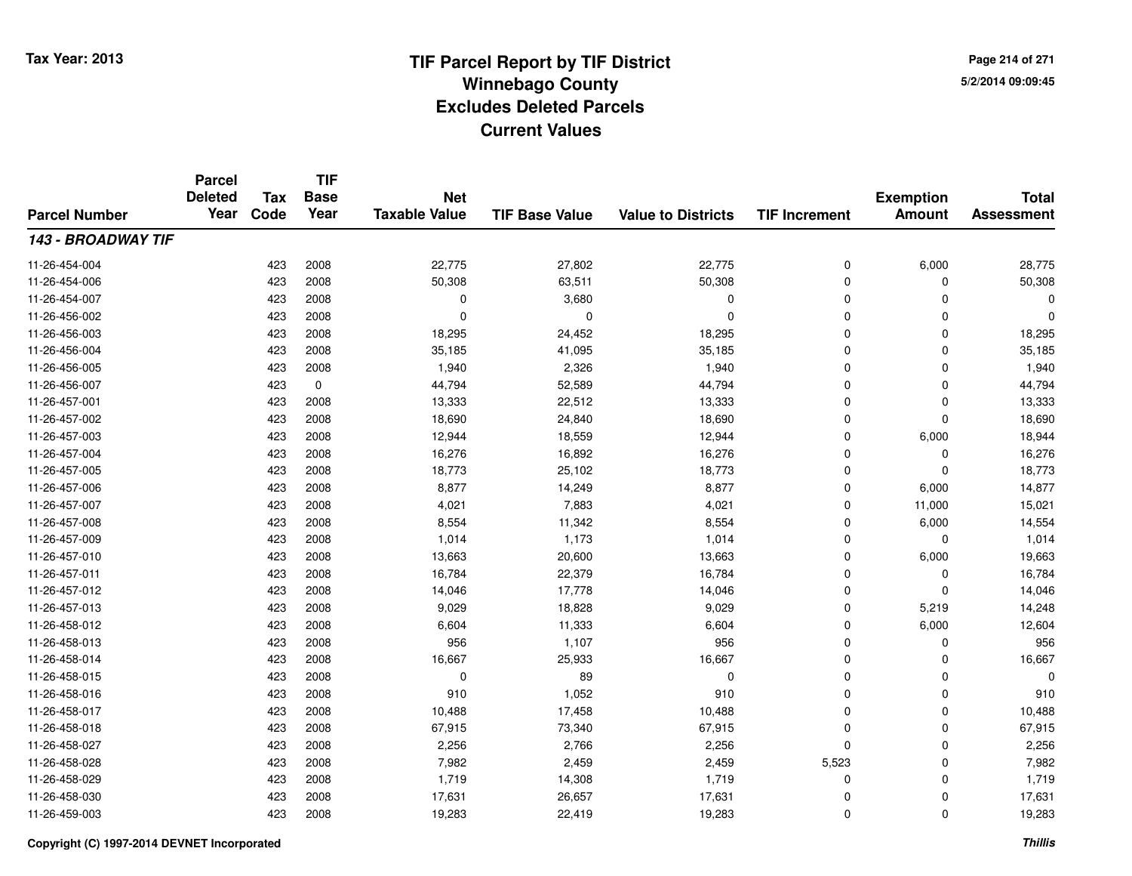**TIF**

**Parcel**

**Page 214 of 2715/2/2014 09:09:45**

#### **TIF Base ValueParcel NumberTotal AssessmentExemption Amount Value to Districts TIF Increment Base YearTax Code Deleted YearNet Taxable Value143 - BROADWAY TIF**11-26-454-004423 2008 28,775 27,802 22,775 27,802 22,775 0 6,000 28,775 11-26-454-006 <sup>423</sup> 50,308 <sup>2008</sup> 63,511 50,308 <sup>0</sup> <sup>0</sup> 50,308 11-26-454-007 <sup>423</sup> <sup>0</sup> <sup>2008</sup> 3,680 <sup>0</sup> <sup>0</sup> <sup>0</sup> <sup>0</sup> 11-26-456-002 <sup>423</sup> <sup>0</sup> <sup>2008</sup> <sup>0</sup> <sup>0</sup> <sup>0</sup> <sup>0</sup> <sup>0</sup> 11-26-456-0033 423 2008 18,295 24,452 18,295 0 0 18,295 11-26-456-004 <sup>423</sup> 35,185 <sup>2008</sup> 41,095 35,185 <sup>0</sup> <sup>0</sup> 35,185 11-26-456-005 <sup>423</sup> 1,940 <sup>2008</sup> 2,326 1,940 <sup>0</sup> <sup>0</sup> 1,940 11-26-456-0077 423 0 44,794 52,589 44,794 0 0 44,794 11-26-457-0011 423 2008 13,333 22,512 13,333 0 0 13,333 11-26-457-0022 423 2008 18,690 24,840 18,690 0 0 18,690 11-26-457-0033 423 2008 12,944 18,559 12,944 0 6,000 18,944 11-26-457-004423 2008 16,276 16,892 16,892 16,276 0 0 0 16,276 11-26-457-005 <sup>423</sup> 18,773 <sup>2008</sup> 25,102 18,773 <sup>0</sup> <sup>0</sup> 18,773 11-26-457-006 <sup>423</sup> 8,877 <sup>2008</sup> 14,249 8,877 <sup>0</sup> 6,000 14,877 11-26-457-007 <sup>423</sup> 4,021 <sup>2008</sup> 7,883 4,021 <sup>0</sup> 11,000 15,021 11-26-457-0088 423 2008 8,554 11,342 8,554 0 6,000 14,554 11-26-457-0099 423 2008 1,014 1,173 1,014 0 0 1,014 11-26-457-0100 423 2008 13,663 20,600 13,663 0 6,000 19,663 11-26-457-0111 423 2008 16,784 22,379 16,784 0 0 16,784 11-26-457-0122 423 2008 14,046 17,778 14,046 0 0 14,046 11-26-457-0133 423 2008 9,029 18,828 9,029 0 5,219 14,248 11-26-458-0122 423 2008 6,604 11,333 6,604 0 6,000 12,604 11-26-458-0133 423 2008 956 1,107 956 0 0 956 11-26-458-014423 2008 16,667 25,933 16,667 0 0 0 16,667 5 16,667 0 0 16,667 16,000 16,667 0 0 16,667 16,000 16,000 16,000 1 11-26-458-015 <sup>423</sup> <sup>0</sup> <sup>2008</sup> <sup>89</sup> <sup>0</sup> <sup>0</sup> <sup>0</sup> <sup>0</sup> 11-26-458-016 <sup>423</sup> <sup>910</sup> <sup>2008</sup> 1,052 <sup>910</sup> <sup>0</sup> <sup>0</sup> <sup>910</sup> 11-26-458-017 <sup>423</sup> 10,488 <sup>2008</sup> 17,458 10,488 <sup>0</sup> <sup>0</sup> 10,488 11-26-458-0188 423 2008 67,915 73,340 67,915 0 0 67,915 11-26-458-0277 423 2008 2,256 2,766 2,256 0 0 2,256 11-26-458-028 <sup>423</sup> 7,982 <sup>2008</sup> 2,459 2,459 5,523 <sup>0</sup> 7,982 11-26-458-0299 423 2008 1,719 14,308 1,719 0 0 1,719 11-26-458-0300 423 2008 17,631 26,657 17,631 0 0 17,631 11-26-459-0033 423 2008 19,283 22,419 19,283 0 0 19,283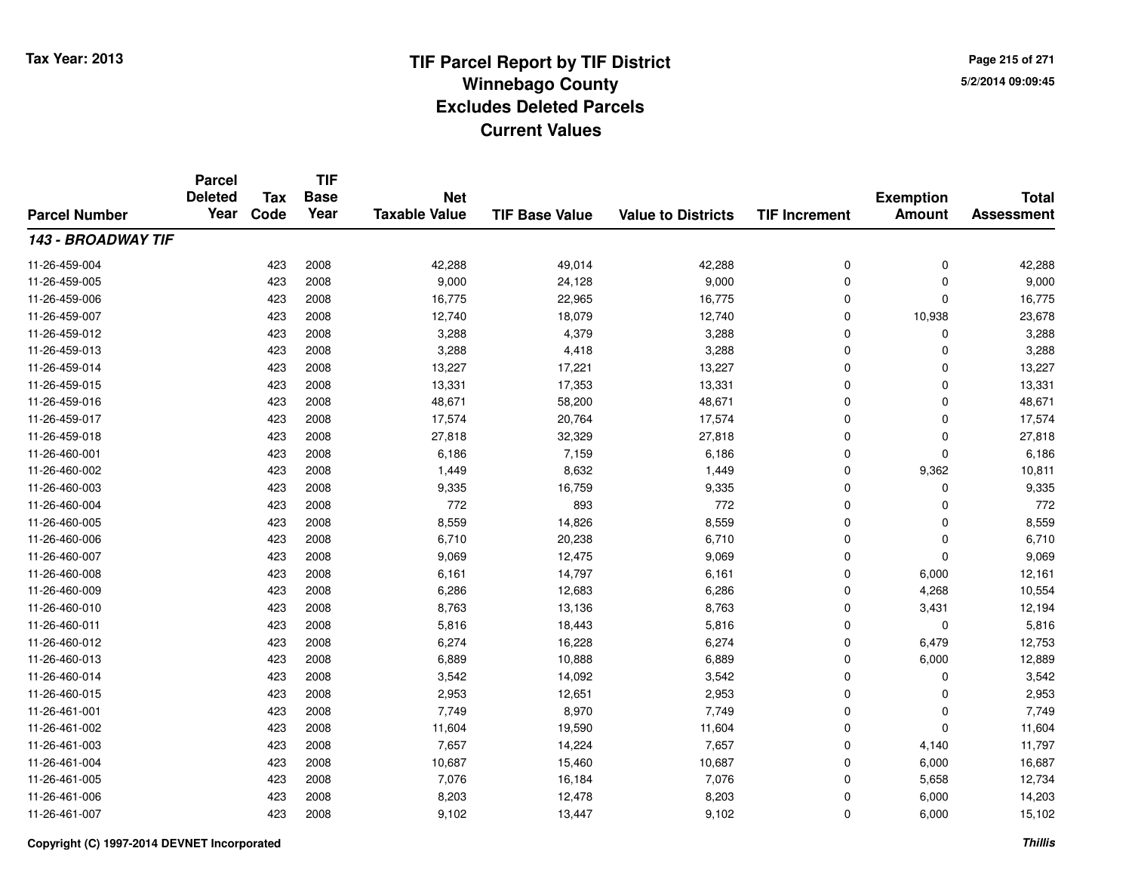**Page 215 of 2715/2/2014 09:09:45**

#### **TIF Base ValueParcel NumberTotal AssessmentExemption Amount Value to Districts TIF IncrementTIF Base YearTax CodeParcel Deleted YearNet Taxable Value143 - BROADWAY TIF**11-26-459-0044 423 2008 42,288 49,014 42,288 0 42,288 11-26-459-005 <sup>423</sup> 9,000 <sup>2008</sup> 24,128 9,000 <sup>0</sup> <sup>0</sup> 9,000 11-26-459-0066 423 2008 16,775 22,965 16,775 0 0 16,775 11-26-459-007 <sup>423</sup> 12,740 <sup>2008</sup> 18,079 12,740 <sup>0</sup> 10,938 23,678 11-26-459-0122 423 2008 3,288 4,379 3,288 0 0 3,288 11-26-459-013 <sup>423</sup> 3,288 <sup>2008</sup> 4,418 3,288 <sup>0</sup> <sup>0</sup> 3,288 11-26-459-014 <sup>423</sup> 13,227 <sup>2008</sup> 17,221 13,227 <sup>0</sup> <sup>0</sup> 13,227 11-26-459-015 <sup>423</sup> 13,331 <sup>2008</sup> 17,353 13,331 <sup>0</sup> <sup>0</sup> 13,331 11-26-459-016 <sup>423</sup> 48,671 <sup>2008</sup> 58,200 48,671 <sup>0</sup> <sup>0</sup> 48,671 11-26-459-017 <sup>423</sup> 17,574 <sup>2008</sup> 20,764 17,574 <sup>0</sup> <sup>0</sup> 17,574 11-26-459-018 <sup>423</sup> 27,818 <sup>2008</sup> 32,329 27,818 <sup>0</sup> <sup>0</sup> 27,818 11-26-460-0011 423 2008 6,186 7,159 6,186 0 0 6,186 11-26-460-0022 423 2008 1,449 8,632 1,449 0 9,362 10,811 11-26-460-0033 423 2008 9,335 16,759 9,335 0 0 9,335 11-26-460-004 <sup>423</sup> <sup>772</sup> <sup>2008</sup> <sup>893</sup> <sup>772</sup> <sup>0</sup> <sup>0</sup> <sup>772</sup> 11-26-460-005 <sup>423</sup> 8,559 <sup>2008</sup> 14,826 8,559 <sup>0</sup> <sup>0</sup> 8,559 11-26-460-006 <sup>423</sup> 6,710 <sup>2008</sup> 20,238 6,710 <sup>0</sup> <sup>0</sup> 6,710 11-26-460-007 <sup>423</sup> 9,069 <sup>2008</sup> 12,475 9,069 <sup>0</sup> <sup>0</sup> 9,069 11-26-460-0088 423 2008 6,161 14,797 6,161 0 6,000 12,161 11-26-460-0099 423 2008 6,286 12,683 6,286 0 4,268 10,554 11-26-460-0100 423 2008 8,763 13,136 8,763 0 3,431 12,194 11-26-460-0111 423 2008 5,816 18,443 5,816 0 0 5,816 11-26-460-0122 423 2008 6,274 16,228 6,274 0 6,479 12,753 11-26-460-0133 423 2008 6,889 10,888 6,889 0 6,000 12,889 11-26-460-0144 23 2008 3,542 14,092 3,542 3,542 0 0 0 3,542 11-26-460-015 <sup>423</sup> 2,953 <sup>2008</sup> 12,651 2,953 <sup>0</sup> <sup>0</sup> 2,953 11-26-461-0011 423 2008 7,749 8,970 7,749 0 0 7,749 11-26-461-0022 11,604 11,604 11,604 11,604 19,590 11,604 11,604 0 0 0 11,604 11-26-461-003 <sup>423</sup> 7,657 <sup>2008</sup> 14,224 7,657 <sup>0</sup> 4,140 11,797 11-26-461-004423 2008 16,687 10,687 15,460 10,687 10,687 0 6,000 16,687 11-26-461-005 <sup>423</sup> 7,076 <sup>2008</sup> 16,184 7,076 <sup>0</sup> 5,658 12,734 11-26-461-006 <sup>423</sup> 8,203 <sup>2008</sup> 12,478 8,203 <sup>0</sup> 6,000 14,203 11-26-461-007<sup>423</sup> 9,102 <sup>2008</sup> 13,447 9,102 <sup>0</sup> 6,000 15,102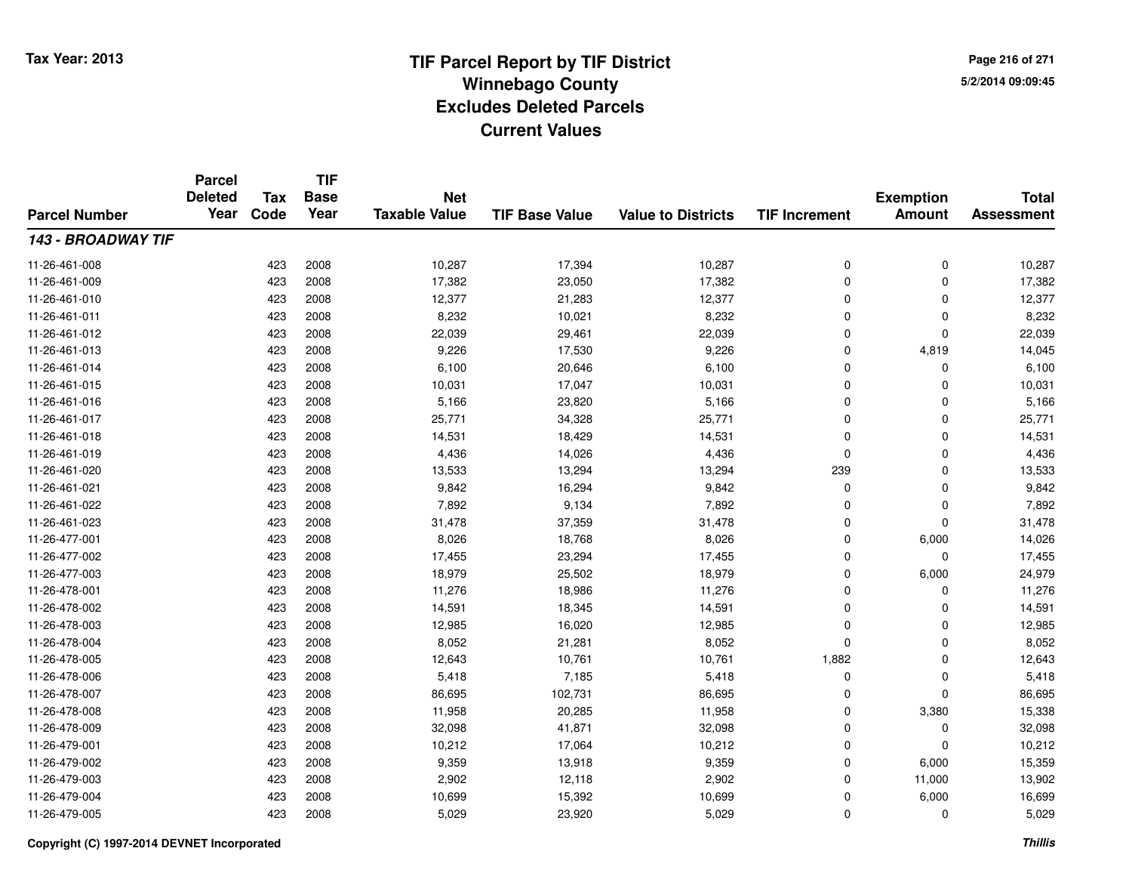**TIF**

**Parcel**

**Page 216 of 2715/2/2014 09:09:45**

#### **TIF Base ValueParcel NumberTotal AssessmentExemption Amount Value to Districts TIF Increment Base YearTax Code Deleted YearNet Taxable Value143 - BROADWAY TIF**11-26-461-008 <sup>423</sup> 10,287 <sup>2008</sup> 17,394 10,287 <sup>0</sup> <sup>0</sup> 10,287 11-26-461-0099 423 2008 17,382 23,050 17,382 0 0 17,382 11-26-461-010 <sup>423</sup> 12,377 <sup>2008</sup> 21,283 12,377 <sup>0</sup> <sup>0</sup> 12,377 11-26-461-0111 423 2008 8,232 10,021 8,232 0 8,232 11-26-461-0122 423 2008 22,039 29,461 22,039 0 22,039 11-26-461-0133 423 2008 9,226 17,530 9,226 0 4,819 14,045 11-26-461-0144 423 2008 6,100 20,646 6,100 0 0 6,100 11-26-461-015 <sup>423</sup> 10,031 <sup>2008</sup> 17,047 10,031 <sup>0</sup> <sup>0</sup> 10,031 11-26-461-0166 423 2008 5,166 23,820 5,166 0 0 5,166 11-26-461-017 <sup>423</sup> 25,771 <sup>2008</sup> 34,328 25,771 <sup>0</sup> <sup>0</sup> 25,771 11-26-461-018 <sup>423</sup> 14,531 <sup>2008</sup> 18,429 14,531 <sup>0</sup> <sup>0</sup> 14,531 11-26-461-0199 423 2008 4,436 14,026 4,436 0 0 4,436 11-26-461-0200 423 2008 13,533 13,294 13,294 239 0 13,533 11-26-461-0211 423 2008 9,842 16,294 9,842 0 0 9,842 11-26-461-0222 2 423 2008 7,892 9,134 7,892 0 0 7,892 11-26-461-023 <sup>423</sup> 31,478 <sup>2008</sup> 37,359 31,478 <sup>0</sup> <sup>0</sup> 31,478 11-26-477-0011 423 2008 8,026 18,768 8,026 0 6,000 14,026 11-26-477-002 <sup>423</sup> 17,455 <sup>2008</sup> 23,294 17,455 <sup>0</sup> <sup>0</sup> 17,455 11-26-477-003 <sup>423</sup> 18,979 <sup>2008</sup> 25,502 18,979 <sup>0</sup> 6,000 24,979 11-26-478-0011 423 2008 11,276 18,986 11,276 0 0 11,276 11-26-478-0022 423 2008 14,591 18,345 14,591 0 0 14,591 11-26-478-0033 423 2008 12,985 16,020 12,985 0 0 12,985 11-26-478-0044 423 2008 8,052 21,281 8,052 0 0 8,052 11-26-478-005 <sup>423</sup> 12,643 <sup>2008</sup> 10,761 10,761 1,882 <sup>0</sup> 12,643 11-26-478-006 <sup>423</sup> 5,418 <sup>2008</sup> 7,185 5,418 <sup>0</sup> <sup>0</sup> 5,418 11-26-478-007 <sup>423</sup> 86,695 <sup>2008</sup> 102,731 86,695 <sup>0</sup> <sup>0</sup> 86,695 11-26-478-008 <sup>423</sup> 11,958 <sup>2008</sup> 20,285 11,958 <sup>0</sup> 3,380 15,338 11-26-478-009 <sup>423</sup> 32,098 <sup>2008</sup> 41,871 32,098 <sup>0</sup> <sup>0</sup> 32,098 11-26-479-0011 423 2008 10,212 17,064 10,212 0 0 10,212 11-26-479-002 <sup>423</sup> 9,359 <sup>2008</sup> 13,918 9,359 <sup>0</sup> 6,000 15,359 11-26-479-003 <sup>423</sup> 2,902 <sup>2008</sup> 12,118 2,902 <sup>0</sup> 11,000 13,902 11-26-479-004423 2008 16,699 10,699 15,392 10,699 16,000 6,000 16,699 10,699 16,699 16,699 16,699 16,699 16,699 16,699 16,699 11-26-479-005<sup>423</sup> 5,029 <sup>2008</sup> 23,920 5,029 <sup>0</sup> <sup>0</sup> 5,029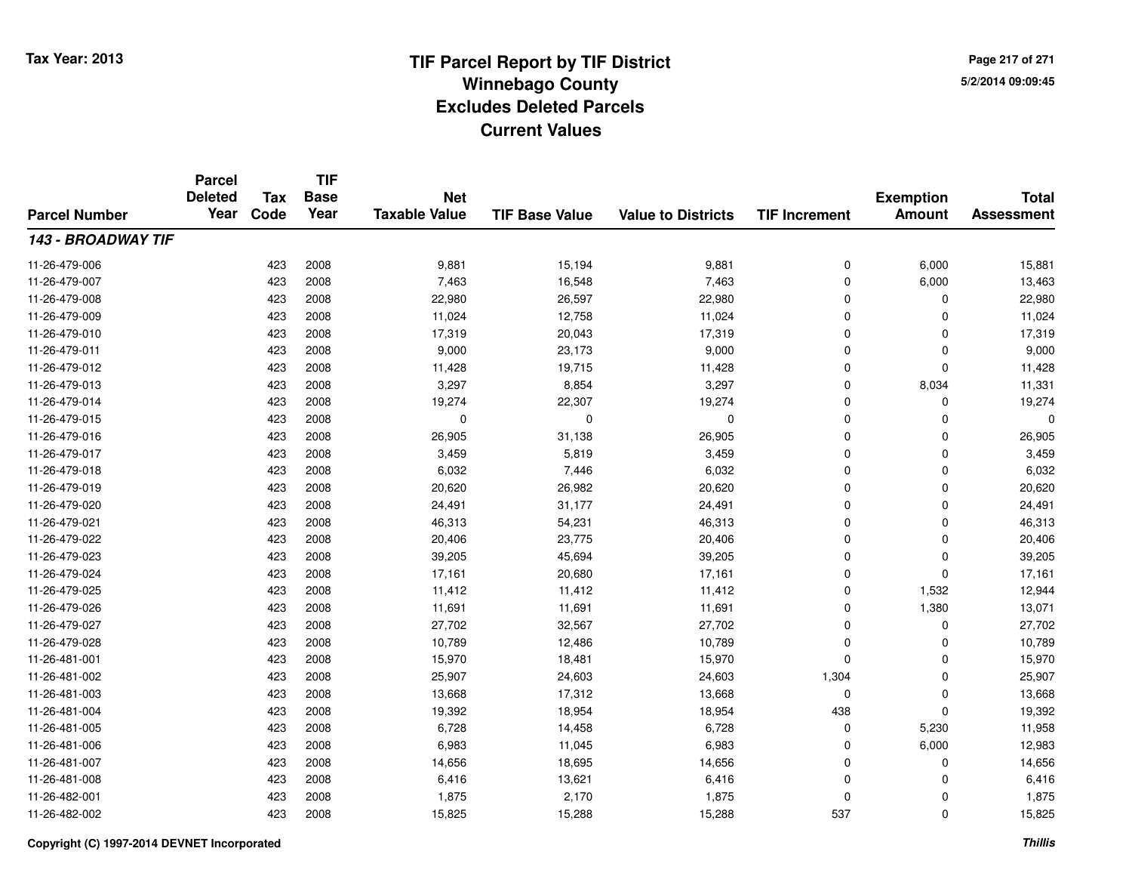**TIF**

**Parcel**

**Page 217 of 2715/2/2014 09:09:45**

#### **TIF Base ValueParcel NumberTotal AssessmentExemption Amount Value to Districts TIF Increment Base YearTax Code Deleted YearNet Taxable Value143 - BROADWAY TIF**11-26-479-006 <sup>423</sup> 9,881 <sup>2008</sup> 15,194 9,881 <sup>0</sup> 6,000 15,881 11-26-479-007 <sup>423</sup> 7,463 <sup>2008</sup> 16,548 7,463 <sup>0</sup> 6,000 13,463 11-26-479-008 <sup>423</sup> 22,980 <sup>2008</sup> 26,597 22,980 <sup>0</sup> <sup>0</sup> 22,980 11-26-479-009 <sup>423</sup> 11,024 <sup>2008</sup> 12,758 11,024 <sup>0</sup> <sup>0</sup> 11,024 11-26-479-010 <sup>423</sup> 17,319 <sup>2008</sup> 20,043 17,319 <sup>0</sup> <sup>0</sup> 17,319 11-26-479-011 <sup>423</sup> 9,000 <sup>2008</sup> 23,173 9,000 <sup>0</sup> <sup>0</sup> 9,000 11-26-479-0122 11,428 2008 11,428 19,715 11,428 19,715 11,428 0 0 0 11,428 11-26-479-013 <sup>423</sup> 3,297 <sup>2008</sup> 8,854 3,297 <sup>0</sup> 8,034 11,331 11-26-479-014 <sup>423</sup> 19,274 <sup>2008</sup> 22,307 19,274 <sup>0</sup> <sup>0</sup> 19,274 11-26-479-015 <sup>423</sup> <sup>0</sup> <sup>2008</sup> <sup>0</sup> <sup>0</sup> <sup>0</sup> <sup>0</sup> <sup>0</sup> 11-26-479-0166 423 2008 26,905 31,138 26,905 0 0 26,905 11-26-479-017 <sup>423</sup> 3,459 <sup>2008</sup> 5,819 3,459 <sup>0</sup> <sup>0</sup> 3,459 11-26-479-0188 423 2008 6,032 7,446 6,032 0 0 6,032 11-26-479-019 <sup>423</sup> 20,620 <sup>2008</sup> 26,982 20,620 <sup>0</sup> <sup>0</sup> 20,620 11-26-479-0200 423 2008 24,491 31,177 24,491 0 0 24,491 11-26-479-0211 423 2008 46,313 54,231 46,313 0 0 46,313 11-26-479-0222 423 2008 20,406 23,775 20,406 0 0 20,406 11-26-479-0233 423 2008 39,205 45,694 39,205 0 0 39,205 11-26-479-024 <sup>423</sup> 17,161 <sup>2008</sup> 20,680 17,161 <sup>0</sup> <sup>0</sup> 17,161 11-26-479-0255 11,412 11,532 12,944 11-26-479-026 <sup>423</sup> 11,691 <sup>2008</sup> 11,691 11,691 <sup>0</sup> 1,380 13,071 11-26-479-027 <sup>423</sup> 27,702 <sup>2008</sup> 32,567 27,702 <sup>0</sup> <sup>0</sup> 27,702 11-26-479-028 <sup>423</sup> 10,789 <sup>2008</sup> 12,486 10,789 <sup>0</sup> <sup>0</sup> 10,789 11-26-481-0011 423 2008 15,970 18,481 15,970 0 0 15,970 11-26-481-0022 423 2008 25,907 24,603 24,603 1,304 0 25,907 11-26-481-0033 423 2008 13,668 17,312 13,668 0 0 13,668 11-26-481-004 <sup>423</sup> 19,392 <sup>2008</sup> 18,954 18,954 <sup>438</sup> <sup>0</sup> 19,392 11-26-481-005 <sup>423</sup> 6,728 <sup>2008</sup> 14,458 6,728 <sup>0</sup> 5,230 11,958 11-26-481-0066 423 2008 6,983 11,045 6,983 0 6,000 12,983 11-26-481-007 <sup>423</sup> 14,656 <sup>2008</sup> 18,695 14,656 <sup>0</sup> <sup>0</sup> 14,656 11-26-481-0088 423 2008 6,416 13,621 6,416 0 0 6,416 11-26-482-0011 423 2008 1,875 2,170 1,875 0 0 1,875 11-26-482-002<sup>423</sup> 15,825 <sup>2008</sup> 15,288 15,288 <sup>537</sup> <sup>0</sup> 15,825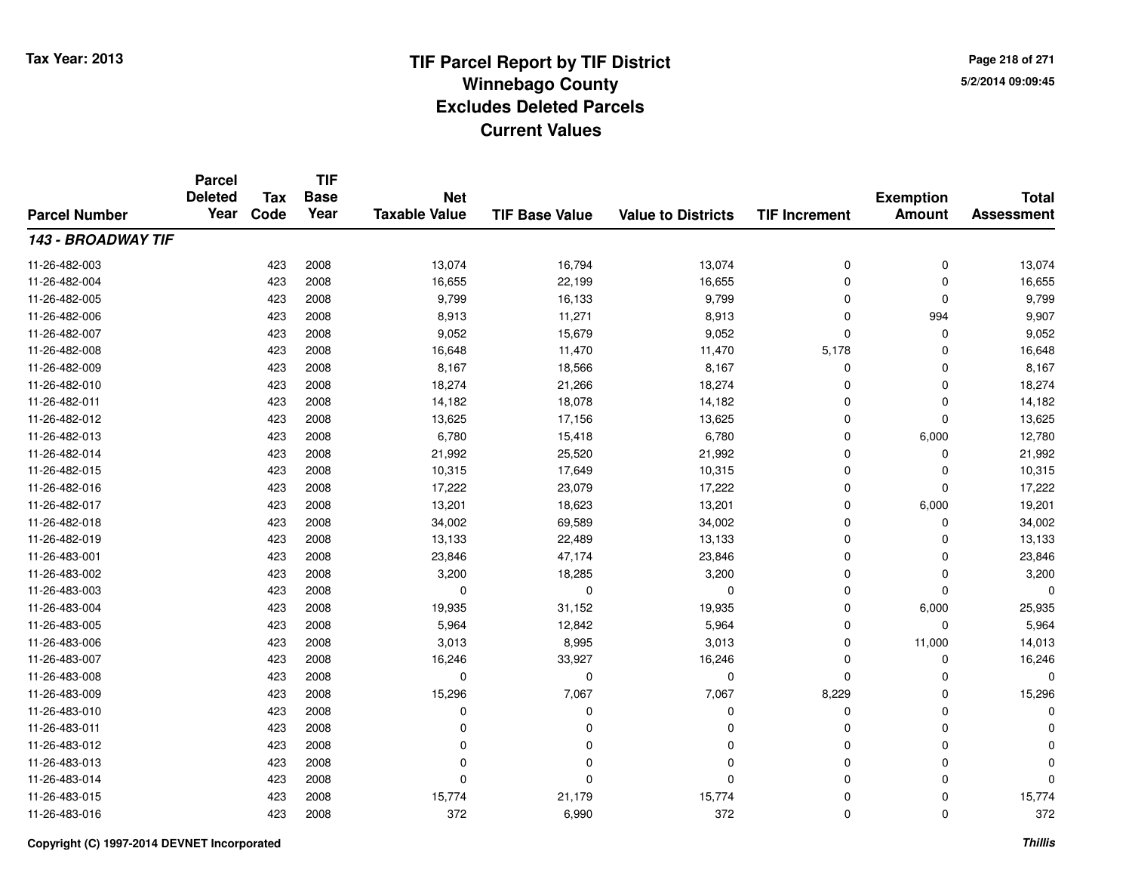**TIF**

**Parcel**

**Page 218 of 2715/2/2014 09:09:45**

#### **TIF Base ValueParcel NumberTotal AssessmentExemption Amount Value to Districts TIF Increment Base YearTax Code Deleted YearNet Taxable Value143 - BROADWAY TIF**11-26-482-003 <sup>423</sup> 13,074 <sup>2008</sup> 16,794 13,074 <sup>0</sup> <sup>0</sup> 13,074 11-26-482-0044 423 2008 16,655 22,199 16,655 0 0 16,655 11-26-482-005 <sup>423</sup> 9,799 <sup>2008</sup> 16,133 9,799 <sup>0</sup> <sup>0</sup> 9,799 11-26-482-006 <sup>423</sup> 8,913 <sup>2008</sup> 11,271 8,913 <sup>0</sup> <sup>994</sup> 9,907 11-26-482-007 <sup>423</sup> 9,052 <sup>2008</sup> 15,679 9,052 <sup>0</sup> <sup>0</sup> 9,052 11-26-482-008 <sup>423</sup> 16,648 <sup>2008</sup> 11,470 11,470 5,178 <sup>0</sup> 16,648 11-26-482-0099 423 2008 8,167 18,566 8,167 0 0 8,167 11-26-482-0100 423 2008 18,274 21,266 18,274 0 0 18,274 11-26-482-0111 423 2008 14,182 18,078 14,182 0 0 14,182 11-26-482-0122 423 2008 13,625 17,156 13,625 0 0 13,625 11-26-482-013 <sup>423</sup> 6,780 <sup>2008</sup> 15,418 6,780 <sup>0</sup> 6,000 12,780 11-26-482-014 <sup>423</sup> 21,992 <sup>2008</sup> 25,520 21,992 <sup>0</sup> <sup>0</sup> 21,992 11-26-482-015 <sup>423</sup> 10,315 <sup>2008</sup> 17,649 10,315 <sup>0</sup> <sup>0</sup> 10,315 11-26-482-0166 423 2008 17,222 23,079 17,222 0 0 17,222 11-26-482-017 <sup>423</sup> 13,201 <sup>2008</sup> 18,623 13,201 <sup>0</sup> 6,000 19,201 11-26-482-0188 423 2008 34,002 69,589 34,002 0 0 34,002 11-26-482-019 <sup>423</sup> 13,133 <sup>2008</sup> 22,489 13,133 <sup>0</sup> <sup>0</sup> 13,133 11-26-483-0011 423 2008 23,846 47,174 23,846 0 0 23,846 11-26-483-0022 423 2008 3,200 18,285 3,200 0 3,200 11-26-483-003 <sup>423</sup> <sup>0</sup> <sup>2008</sup> <sup>0</sup> <sup>0</sup> <sup>0</sup> <sup>0</sup> <sup>0</sup> 11-26-483-004 <sup>423</sup> 19,935 <sup>2008</sup> 31,152 19,935 <sup>0</sup> 6,000 25,935 11-26-483-005 <sup>423</sup> 5,964 <sup>2008</sup> 12,842 5,964 <sup>0</sup> <sup>0</sup> 5,964 11-26-483-006 <sup>423</sup> 3,013 <sup>2008</sup> 8,995 3,013 <sup>0</sup> 11,000 14,013 11-26-483-007 <sup>423</sup> 16,246 <sup>2008</sup> 33,927 16,246 <sup>0</sup> <sup>0</sup> 16,246 11-26-483-008 <sup>423</sup> <sup>0</sup> <sup>2008</sup> <sup>0</sup> <sup>0</sup> <sup>0</sup> <sup>0</sup> <sup>0</sup> 11-26-483-0099 423 2008 15,296 7<sub>,</sub>067 7,067 8,229 0 15,296 11-26-483-010 <sup>423</sup> <sup>0</sup> <sup>2008</sup> <sup>0</sup> <sup>0</sup> <sup>0</sup> <sup>0</sup> <sup>0</sup> 11-26-483-011 <sup>423</sup> <sup>0</sup> <sup>2008</sup> <sup>0</sup> <sup>0</sup> <sup>0</sup> <sup>0</sup> <sup>0</sup> 11-26-483-012 <sup>423</sup> <sup>0</sup> <sup>2008</sup> <sup>0</sup> <sup>0</sup> <sup>0</sup> <sup>0</sup> <sup>0</sup> 11-26-483-013 <sup>423</sup> <sup>0</sup> <sup>2008</sup> <sup>0</sup> <sup>0</sup> <sup>0</sup> <sup>0</sup> <sup>0</sup> 11-26-483-014 <sup>423</sup> <sup>0</sup> <sup>2008</sup> <sup>0</sup> <sup>0</sup> <sup>0</sup> <sup>0</sup> <sup>0</sup> 11-26-483-015 <sup>423</sup> 15,774 <sup>2008</sup> 21,179 15,774 <sup>0</sup> <sup>0</sup> 15,774 11-26-483-016<sup>423</sup> <sup>372</sup> <sup>2008</sup> 6,990 <sup>372</sup> <sup>0</sup> <sup>0</sup> <sup>372</sup>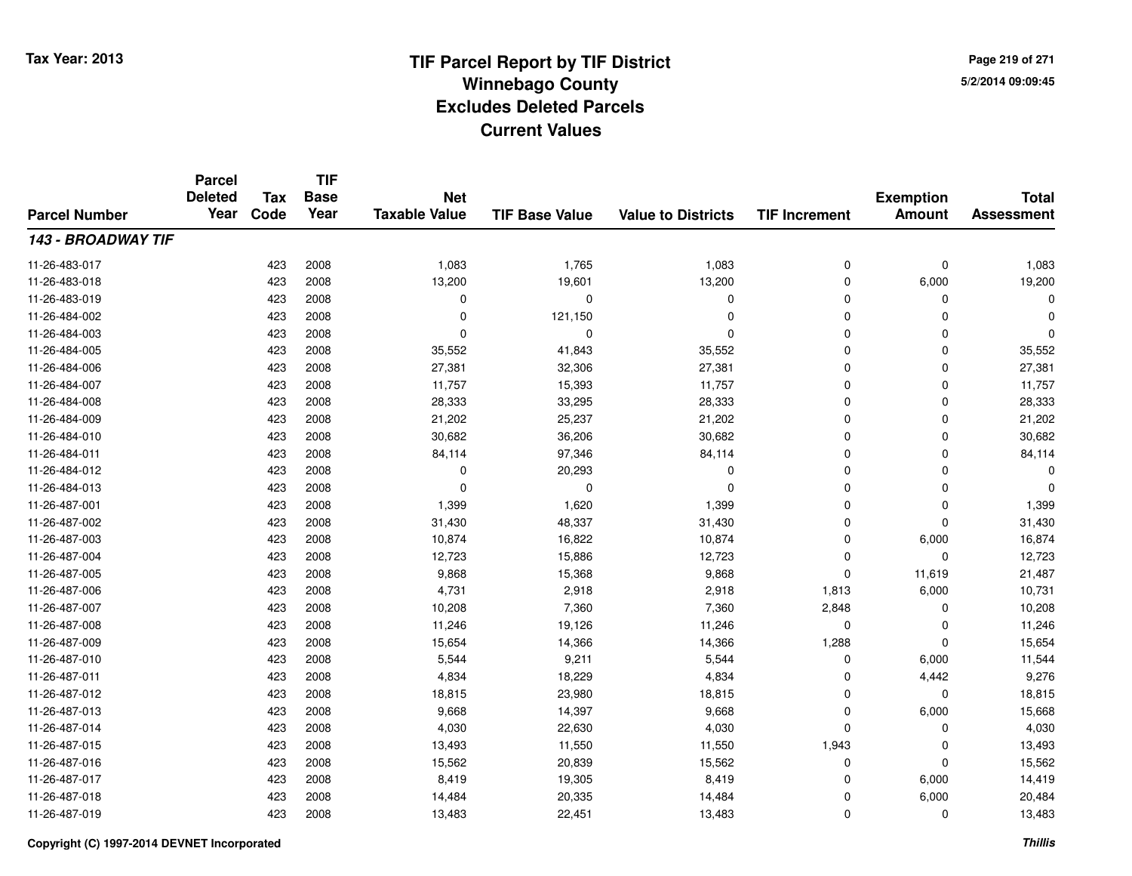**TIF**

**Parcel**

**Page 219 of 2715/2/2014 09:09:45**

#### **TIF Base ValueParcel NumberTotal AssessmentExemption Amount Value to Districts TIF Increment Base YearTax Code Deleted YearNet Taxable Value143 - BROADWAY TIF**11-26-483-0177 423 2008 1,083 1,765 1,083 0 1,083 11-26-483-0188 423 2008 13,200 19,601 13,200 0 6,000 19,200 11-26-483-019 <sup>423</sup> <sup>0</sup> <sup>2008</sup> <sup>0</sup> <sup>0</sup> <sup>0</sup> <sup>0</sup> <sup>0</sup> 11-26-484-002 <sup>423</sup> <sup>0</sup> <sup>2008</sup> 121,150 <sup>0</sup> <sup>0</sup> <sup>0</sup> <sup>0</sup> 11-26-484-003 <sup>423</sup> <sup>0</sup> <sup>2008</sup> <sup>0</sup> <sup>0</sup> <sup>0</sup> <sup>0</sup> <sup>0</sup> 11-26-484-005 <sup>423</sup> 35,552 <sup>2008</sup> 41,843 35,552 <sup>0</sup> <sup>0</sup> 35,552 11-26-484-006 <sup>423</sup> 27,381 <sup>2008</sup> 32,306 27,381 <sup>0</sup> <sup>0</sup> 27,381 11-26-484-007 <sup>423</sup> 11,757 <sup>2008</sup> 15,393 11,757 <sup>0</sup> <sup>0</sup> 11,757 11-26-484-008 <sup>423</sup> 28,333 <sup>2008</sup> 33,295 28,333 <sup>0</sup> <sup>0</sup> 28,333 11-26-484-009 <sup>423</sup> 21,202 <sup>2008</sup> 25,237 21,202 <sup>0</sup> <sup>0</sup> 21,202 11-26-484-0100 423 2008 30,682 36,206 30,682 0 0 30,682 11-26-484-0111 423 2008 84,114 97,346 84,114 0 0 84,114 11-26-484-012 <sup>423</sup> <sup>0</sup> <sup>2008</sup> 20,293 <sup>0</sup> <sup>0</sup> <sup>0</sup> <sup>0</sup> 11-26-484-013 <sup>423</sup> <sup>0</sup> <sup>2008</sup> <sup>0</sup> <sup>0</sup> <sup>0</sup> <sup>0</sup> <sup>0</sup> 11-26-487-0011 423 2008 1,399 1,620 1,399 0 0 1,399 11-26-487-0022 423 2008 31,430 48,337 31,430 0 0 31,430 11-26-487-0033 423 2008 10,874 16,822 10,874 0 6,000 16,874 11-26-487-004 <sup>423</sup> 12,723 <sup>2008</sup> 15,886 12,723 <sup>0</sup> <sup>0</sup> 12,723 11-26-487-005 <sup>423</sup> 9,868 <sup>2008</sup> 15,368 9,868 <sup>0</sup> 11,619 21,487 11-26-487-006 <sup>423</sup> 4,731 <sup>2008</sup> 2,918 2,918 1,813 6,000 10,731 11-26-487-007 <sup>423</sup> 10,208 <sup>2008</sup> 7,360 7,360 2,848 <sup>0</sup> 10,208 11-26-487-0088 423 2008 11,246 19,126 11,246 0 0 11,246 11-26-487-0099 423 2008 15,654 14,366 14,366 1,288 0 15,654 11-26-487-0100 423 2008 5,544 9,211 5,544 0 6,000 11,544 11-26-487-0111 423 2008 4,834 18,229 4,834 0 4,442 9,276 11-26-487-0122 423 2008 18,815 23,980 18,815 0 0 18,815 11-26-487-0133 423 2008 9,668 14,397 9,668 0 6,000 15,668 11-26-487-0144 23 2008 4,030 22,630 4,030 4,030 0 0 4,030 4,030 11-26-487-015 <sup>423</sup> 13,493 <sup>2008</sup> 11,550 11,550 1,943 <sup>0</sup> 13,493 11-26-487-0166 423 2008 15,562 20,839 15,562 0 0 15,562 11-26-487-017 <sup>423</sup> 8,419 <sup>2008</sup> 19,305 8,419 <sup>0</sup> 6,000 14,419 11-26-487-0188 423 2008 14,484 20,335 14,484 0 6,000 20,484 11-26-487-0199 423 2008 13,483 22,451 13,483 0 0 13,483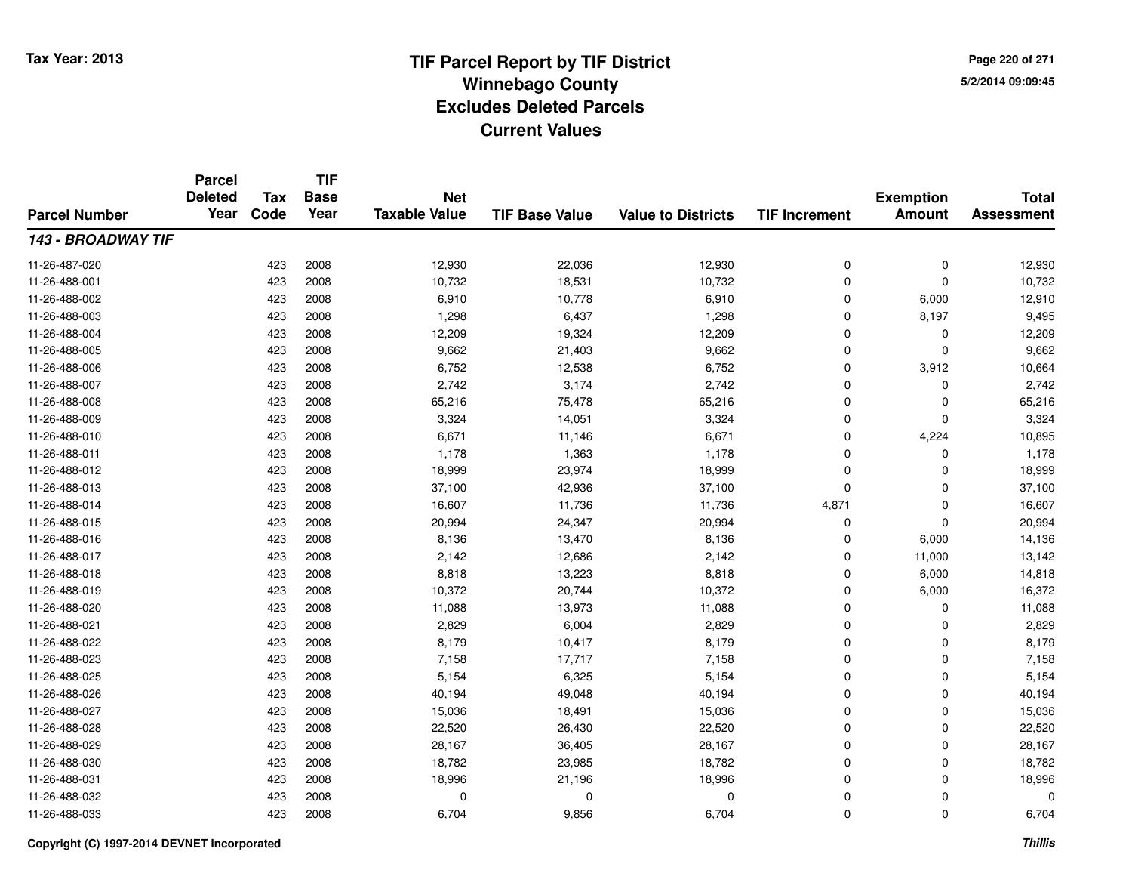**TIF**

**Parcel**

**Page 220 of 2715/2/2014 09:09:45**

#### **TIF Base ValueParcel NumberTotal AssessmentExemption Amount Value to Districts TIF Increment Base YearTax Code Deleted YearNet Taxable Value143 - BROADWAY TIF**11-26-487-020 <sup>423</sup> 12,930 <sup>2008</sup> 22,036 12,930 <sup>0</sup> <sup>0</sup> 12,930 11-26-488-0011 423 2008 10,732 18,531 10,732 0 0 10,732 11-26-488-0022 423 2008 6,910 10,778 6,910 0 6,000 12,910 11-26-488-0033 423 2008 1,298 6,437 1,298 0 8,197 9,495 11-26-488-004423 2008 12,209 19,324 12,209 19,324 0 0 0 12,209 11-26-488-005 <sup>423</sup> 9,662 <sup>2008</sup> 21,403 9,662 <sup>0</sup> <sup>0</sup> 9,662 11-26-488-0066 423 2008 6,752 12,538 6,752 0 3,912 10,664 11-26-488-007 <sup>423</sup> 2,742 <sup>2008</sup> 3,174 2,742 <sup>0</sup> <sup>0</sup> 2,742 11-26-488-0088 423 2008 65,216 75,478 65,216 0 0 65,216 11-26-488-0099 423 2008 3,324 14,051 3,324 0 0 3,324 11-26-488-0100 423 2008 6,671 11,146 6,671 0 4,224 10,895 11-26-488-0111 423 2008 1,178 1,363 1,178 0 0 1,178 11-26-488-0122 423 2008 18,999 23,974 18,999 0 0 18,999 11-26-488-013 <sup>423</sup> 37,100 <sup>2008</sup> 42,936 37,100 <sup>0</sup> <sup>0</sup> 37,100 11-26-488-014423 2008 16,607 11,736 11,736 1,736 4,871 0 16,607 11-26-488-015 <sup>423</sup> 20,994 <sup>2008</sup> 24,347 20,994 <sup>0</sup> <sup>0</sup> 20,994 11-26-488-016 <sup>423</sup> 8,136 <sup>2008</sup> 13,470 8,136 <sup>0</sup> 6,000 14,136 11-26-488-0177 423 2008 2,142 12,686 2,142 0 11,000 13,142 11-26-488-0188 423 2008 8,818 13,223 8,818 0 6,000 14,818 11-26-488-019 <sup>423</sup> 10,372 <sup>2008</sup> 20,744 10,372 <sup>0</sup> 6,000 16,372 11-26-488-0200 423 2008 11,088 13,973 11,088 0 0 11,088 11-26-488-0211 423 2008 2,829 6,004 2,829 0 0 2,829 11-26-488-022 <sup>423</sup> 8,179 <sup>2008</sup> 10,417 8,179 <sup>0</sup> <sup>0</sup> 8,179 11-26-488-023 <sup>423</sup> 7,158 <sup>2008</sup> 17,717 7,158 <sup>0</sup> <sup>0</sup> 7,158 11-26-488-025 <sup>423</sup> 5,154 <sup>2008</sup> 6,325 5,154 <sup>0</sup> <sup>0</sup> 5,154 11-26-488-026 <sup>423</sup> 40,194 <sup>2008</sup> 49,048 40,194 <sup>0</sup> <sup>0</sup> 40,194 11-26-488-027 <sup>423</sup> 15,036 <sup>2008</sup> 18,491 15,036 <sup>0</sup> <sup>0</sup> 15,036 11-26-488-028 <sup>423</sup> 22,520 <sup>2008</sup> 26,430 22,520 <sup>0</sup> <sup>0</sup> 22,520 11-26-488-0299 423 2008 28,167 36,405 28,167 0 0 28,167 11-26-488-0300 423 2008 18,782 23,985 18,782 0 0 18,782 11-26-488-0311 423 2008 18,996 21,196 18,996 0 0 18,996 11-26-488-032 <sup>423</sup> <sup>0</sup> <sup>2008</sup> <sup>0</sup> <sup>0</sup> <sup>0</sup> <sup>0</sup> <sup>0</sup> 11-26-488-0333 423 2008 6,704 9,856 6,704 0 0 6,704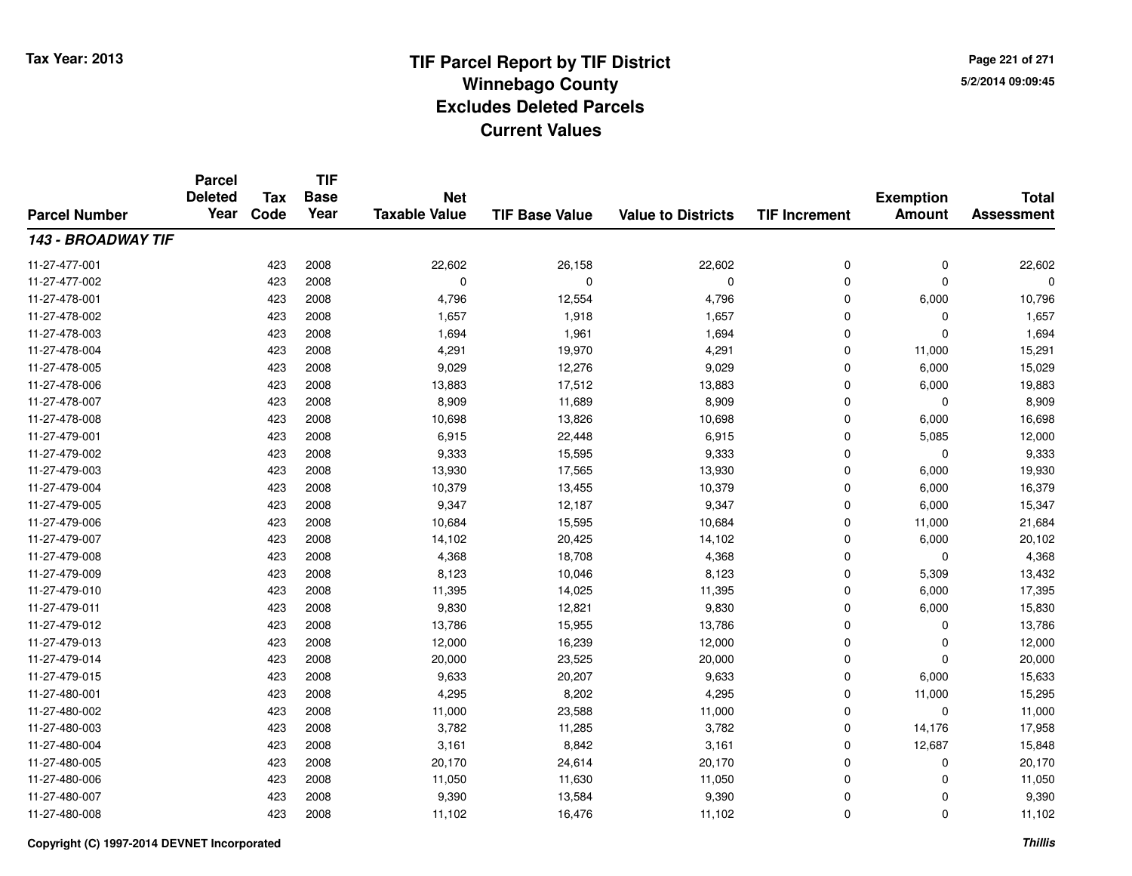**TIF**

**Parcel**

**Page 221 of 2715/2/2014 09:09:45**

#### **TIF Base ValueParcel NumberTotal AssessmentExemption Amount Value to Districts TIF Increment Base YearTax Code Deleted YearNet Taxable Value143 - BROADWAY TIF**11-27-477-0011 423 2008 22,602 26,158 22,602 0 0 22,602 11-27-477-002 <sup>423</sup> <sup>0</sup> <sup>2008</sup> <sup>0</sup> <sup>0</sup> <sup>0</sup> <sup>0</sup> <sup>0</sup> 11-27-478-0011 423 2008 4,796 12,554 4,796 0 6,000 10,796 11-27-478-0022 423 2008 1,657 1,918 1,657 0 0 1,657 11-27-478-0033 423 2008 1,694 1,961 1,694 0 1,694 11-27-478-004 <sup>423</sup> 4,291 <sup>2008</sup> 19,970 4,291 <sup>0</sup> 11,000 15,291 11-27-478-005 <sup>423</sup> 9,029 <sup>2008</sup> 12,276 9,029 <sup>0</sup> 6,000 15,029 11-27-478-006 <sup>423</sup> 13,883 <sup>2008</sup> 17,512 13,883 <sup>0</sup> 6,000 19,883 11-27-478-007 <sup>423</sup> 8,909 <sup>2008</sup> 11,689 8,909 <sup>0</sup> <sup>0</sup> 8,909 11-27-478-0088 423 2008 10,698 13,826 10,698 0 6,000 16,698 11-27-479-0011 423 2008 6,915 22,448 6,915 0 5,085 12,000 11-27-479-002 <sup>423</sup> 9,333 <sup>2008</sup> 15,595 9,333 <sup>0</sup> <sup>0</sup> 9,333 11-27-479-003 <sup>423</sup> 13,930 <sup>2008</sup> 17,565 13,930 <sup>0</sup> 6,000 19,930 11-27-479-004 <sup>423</sup> 10,379 <sup>2008</sup> 13,455 10,379 <sup>0</sup> 6,000 16,379 11-27-479-005 <sup>423</sup> 9,347 <sup>2008</sup> 12,187 9,347 <sup>0</sup> 6,000 15,347 11-27-479-0066 423 2008 10,684 15,595 10,684 0 11,000 21,684 11-27-479-007 <sup>423</sup> 14,102 <sup>2008</sup> 20,425 14,102 <sup>0</sup> 6,000 20,102 11-27-479-0088 423 2008 4,368 18,708 4,368 0 4,368 11-27-479-0099 423 2008 8,123 10,046 8,123 0 5,309 13,432 11-27-479-0100 423 2008 11,395 14,025 11,395 0 6,000 17,395 11-27-479-0111 423 2008 9,830 12,821 9,830 0 6,000 15,830 11-27-479-0122 423 2008 13,786 15,955 13,786 0 0 13,786 11-27-479-013 <sup>423</sup> 12,000 <sup>2008</sup> 16,239 12,000 <sup>0</sup> <sup>0</sup> 12,000 11-27-479-0144 23 2008 20,000 23,525 20,000 23,500 20,000 0 0 20,000 0 20,000 11-27-479-015 <sup>423</sup> 9,633 <sup>2008</sup> 20,207 9,633 <sup>0</sup> 6,000 15,633 11-27-480-0011 423 2008 4,295 8,202 4,295 0 11,000 15,295 11-27-480-0022 423 2008 11,000 23,588 11,000 0 0 11,000 11-27-480-003 <sup>423</sup> 3,782 <sup>2008</sup> 11,285 3,782 <sup>0</sup> 14,176 17,958 11-27-480-004 <sup>423</sup> 3,161 <sup>2008</sup> 8,842 3,161 <sup>0</sup> 12,687 15,848 11-27-480-005 <sup>423</sup> 20,170 <sup>2008</sup> 24,614 20,170 <sup>0</sup> <sup>0</sup> 20,170 11-27-480-006 <sup>423</sup> 11,050 <sup>2008</sup> 11,630 11,050 <sup>0</sup> <sup>0</sup> 11,050 11-27-480-007 <sup>423</sup> 9,390 <sup>2008</sup> 13,584 9,390 <sup>0</sup> <sup>0</sup> 9,390 11-27-480-008<sup>423</sup> 11,102 <sup>2008</sup> 16,476 11,102 <sup>0</sup> <sup>0</sup> 11,102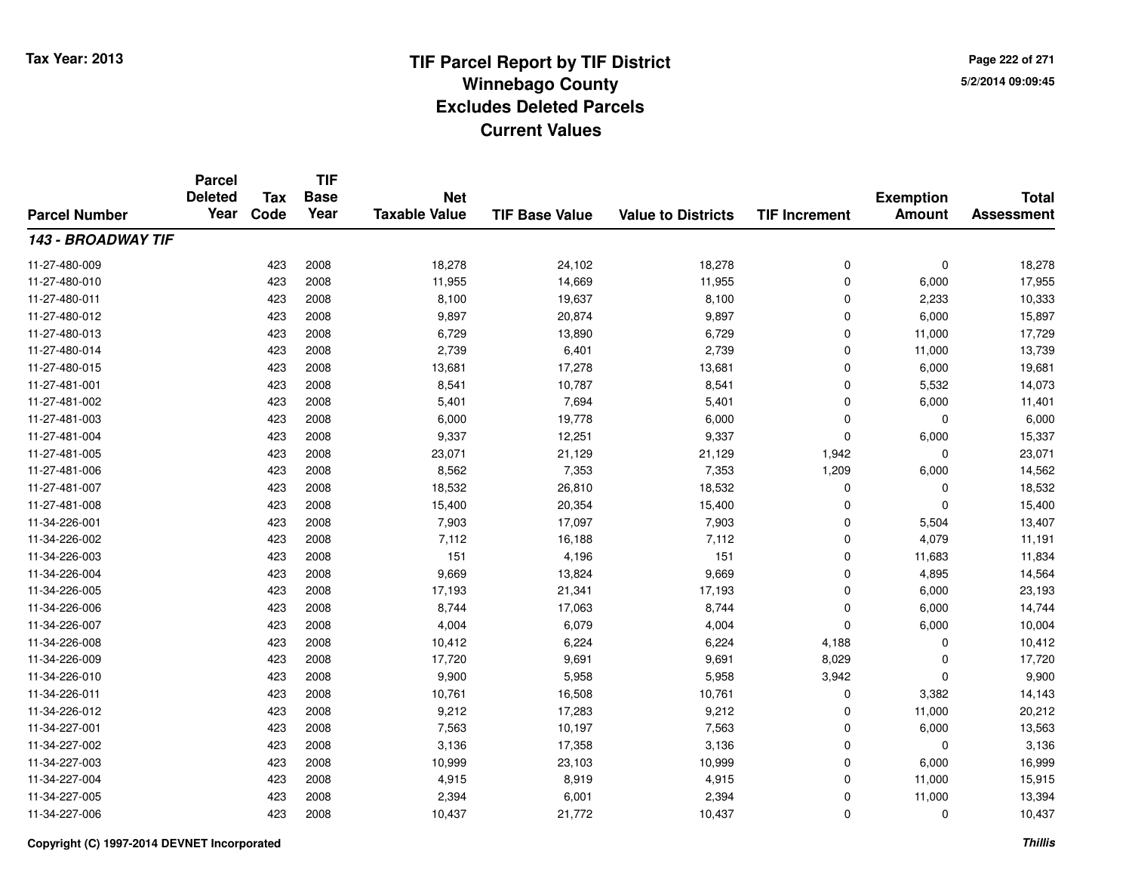**TIF**

**Parcel**

**Page 222 of 2715/2/2014 09:09:45**

#### **TIF Base ValueParcel NumberTotal AssessmentExemption Amount Value to Districts TIF Increment Base YearTax Code Deleted YearNet Taxable Value143 - BROADWAY TIF**11-27-480-0099 423 2008 18,278 24,102 18,278 0 0 18,278 11-27-480-0100 423 2008 11,955 14,669 11,955 0 6,000 17,955 11-27-480-0111 423 2008 8,100 19,637 8,100 0 2,233 10,333 11-27-480-012 <sup>423</sup> 9,897 <sup>2008</sup> 20,874 9,897 <sup>0</sup> 6,000 15,897 11-27-480-013 <sup>423</sup> 6,729 <sup>2008</sup> 13,890 6,729 <sup>0</sup> 11,000 17,729 11-27-480-014 <sup>423</sup> 2,739 <sup>2008</sup> 6,401 2,739 <sup>0</sup> 11,000 13,739 11-27-480-015 <sup>423</sup> 13,681 <sup>2008</sup> 17,278 13,681 <sup>0</sup> 6,000 19,681 11-27-481-0011 423 2008 8,541 10,787 8,541 0 5,532 14,073 11-27-481-0022 423 2008 5,401 7,694 5,401 0 6,000 11,401 11-27-481-003 $3$  6,000  $423$  2008 6,000 6,000 19,778 6,000 6,000 0 0 6,000 11-27-481-004 <sup>423</sup> 9,337 <sup>2008</sup> 12,251 9,337 <sup>0</sup> 6,000 15,337 11-27-481-005 <sup>423</sup> 23,071 <sup>2008</sup> 21,129 21,129 1,942 <sup>0</sup> 23,071 11-27-481-0066 423 2008 8,562 7,353 7,353 1,209 6,000 14,562 11-27-481-007 <sup>423</sup> 18,532 <sup>2008</sup> 26,810 18,532 <sup>0</sup> <sup>0</sup> 18,532 11-27-481-0088 15,400 15,400 15,400 20,354 15,400 15,400 0 0 0 15,400 11-34-226-0011 423 2008 7,903 17,097 7,903 0 5,504 13,407 11-34-226-0022 423 2008 7,112 16,188 7,112 0 4,079 11,191 11-34-226-0033 423 2008 151 4,196 151 0 11,683 11,834 11-34-226-004 <sup>423</sup> 9,669 <sup>2008</sup> 13,824 9,669 <sup>0</sup> 4,895 14,564 11-34-226-005 <sup>423</sup> 17,193 <sup>2008</sup> 21,341 17,193 <sup>0</sup> 6,000 23,193 11-34-226-006 <sup>423</sup> 8,744 <sup>2008</sup> 17,063 8,744 <sup>0</sup> 6,000 14,744 11-34-226-007 <sup>423</sup> 4,004 <sup>2008</sup> 6,079 4,004 <sup>0</sup> 6,000 10,004 11-34-226-008 <sup>423</sup> 10,412 <sup>2008</sup> 6,224 6,224 4,188 <sup>0</sup> 10,412 11-34-226-0099 423 2008 17,720 9,691 9,691 8,029 0 17,720 11-34-226-0100 2006 123 2008 2009 9,900 25,958 5,958 5,958 3,942 0 3,942 5,9500 9,900 11-34-226-0111 423 2008 10,761 16,508 10,761 0 3,382 14,143 11-34-226-012 <sup>423</sup> 9,212 <sup>2008</sup> 17,283 9,212 <sup>0</sup> 11,000 20,212 11-34-227-0011 423 2008 7,563 10,197 7,563 0 6,000 13,563 11-34-227-0022 423 2008 3,136 17,358 3,136 0 0 3,136 11-34-227-003 <sup>423</sup> 10,999 <sup>2008</sup> 23,103 10,999 <sup>0</sup> 6,000 16,999 11-34-227-004 <sup>423</sup> 4,915 <sup>2008</sup> 8,919 4,915 <sup>0</sup> 11,000 15,915 11-34-227-005 <sup>423</sup> 2,394 <sup>2008</sup> 6,001 2,394 <sup>0</sup> 11,000 13,394 11-34-227-006<sup>423</sup> 10,437 <sup>2008</sup> 21,772 10,437 <sup>0</sup> <sup>0</sup> 10,437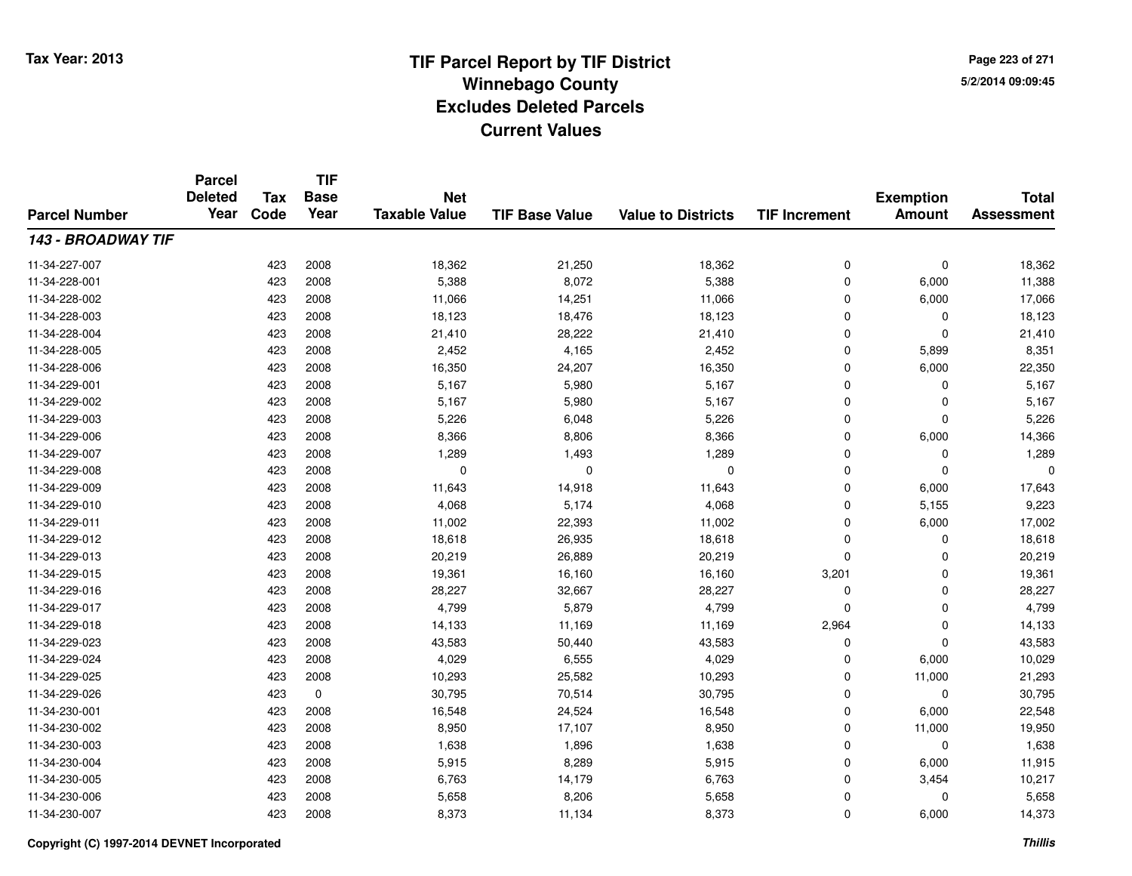**TIF**

**Parcel**

**Page 223 of 2715/2/2014 09:09:45**

#### **TIF Base ValueParcel NumberTotal AssessmentExemption Amount Value to Districts TIF Increment Base YearTax Code Deleted YearNet Taxable Value143 - BROADWAY TIF**11-34-227-007 <sup>423</sup> 18,362 <sup>2008</sup> 21,250 18,362 <sup>0</sup> <sup>0</sup> 18,362 11-34-228-0011 423 2008 5,388 8,072 5,388 0 6,000 11,388 11-34-228-0022 423 2008 11,066 14,251 11,066 0 6,000 17,066 11-34-228-003 <sup>423</sup> 18,123 <sup>2008</sup> 18,476 18,123 <sup>0</sup> <sup>0</sup> 18,123 11-34-228-004 <sup>423</sup> 21,410 <sup>2008</sup> 28,222 21,410 <sup>0</sup> <sup>0</sup> 21,410 11-34-228-005 <sup>423</sup> 2,452 <sup>2008</sup> 4,165 2,452 <sup>0</sup> 5,899 8,351 11-34-228-006 <sup>423</sup> 16,350 <sup>2008</sup> 24,207 16,350 <sup>0</sup> 6,000 22,350 11-34-229-0011 423 2008 5,167 5,980 5,167 0 0 5,167 11-34-229-0022 423 2008 5,167 5,980 5,167 0 0 5,167 11-34-229-0033 423 2008 5,226 6,048 5,226 0 5,226 11-34-229-0066 423 2008 8,366 8,806 8,366 0 6,000 14,366 11-34-229-0077 423 2008 1,289 1,493 1,289 0 1,289 11-34-229-008 <sup>423</sup> <sup>0</sup> <sup>2008</sup> <sup>0</sup> <sup>0</sup> <sup>0</sup> <sup>0</sup> <sup>0</sup> 11-34-229-0099 423 2008 11,643 14,918 11,643 0 6,000 17,643 11-34-229-0100 423 2008 4,068 5,174 4,068 0 5,155 9,223 11-34-229-0111 423 2008 11,002 22,393 11,002 0 6,000 17,002 11-34-229-0122 423 2008 18,618 26,935 18,618 0 0 18,618 11-34-229-0133 423 2008 20,219 26,889 20,219 0 0 20,219 11-34-229-015 <sup>423</sup> 19,361 <sup>2008</sup> 16,160 16,160 3,201 <sup>0</sup> 19,361 11-34-229-0166 423 2008 28,227 32,667 28,227 0 0 28,227 11-34-229-017 <sup>423</sup> 4,799 <sup>2008</sup> 5,879 4,799 <sup>0</sup> <sup>0</sup> 4,799 11-34-229-018 <sup>423</sup> 14,133 <sup>2008</sup> 11,169 11,169 2,964 <sup>0</sup> 14,133 11-34-229-0233 423 2008 43,583 50,440 43,583 0 0 43,583 11-34-229-0244 423 2008 4,029 6,555 4,029 0 6,000 10,029 11-34-229-025 <sup>423</sup> 10,293 <sup>2008</sup> 25,582 10,293 <sup>0</sup> 11,000 21,293 11-34-229-0266 423 0 30,795 70,514 30,795 0 0 30,795 11-34-230-0011 423 2008 16,548 24,524 16,548 0 6,000 22,548 11-34-230-002 <sup>423</sup> 8,950 <sup>2008</sup> 17,107 8,950 <sup>0</sup> 11,000 19,950 11-34-230-0033 423 2008 1,638 1,896 1,638 0 1,638 11-34-230-004 <sup>423</sup> 5,915 <sup>2008</sup> 8,289 5,915 <sup>0</sup> 6,000 11,915 11-34-230-005 <sup>423</sup> 6,763 <sup>2008</sup> 14,179 6,763 <sup>0</sup> 3,454 10,217 11-34-230-0066 423 2008 5,658 8,206 5,658 0 5,658 11-34-230-007<sup>423</sup> 8,373 <sup>2008</sup> 11,134 8,373 <sup>0</sup> 6,000 14,373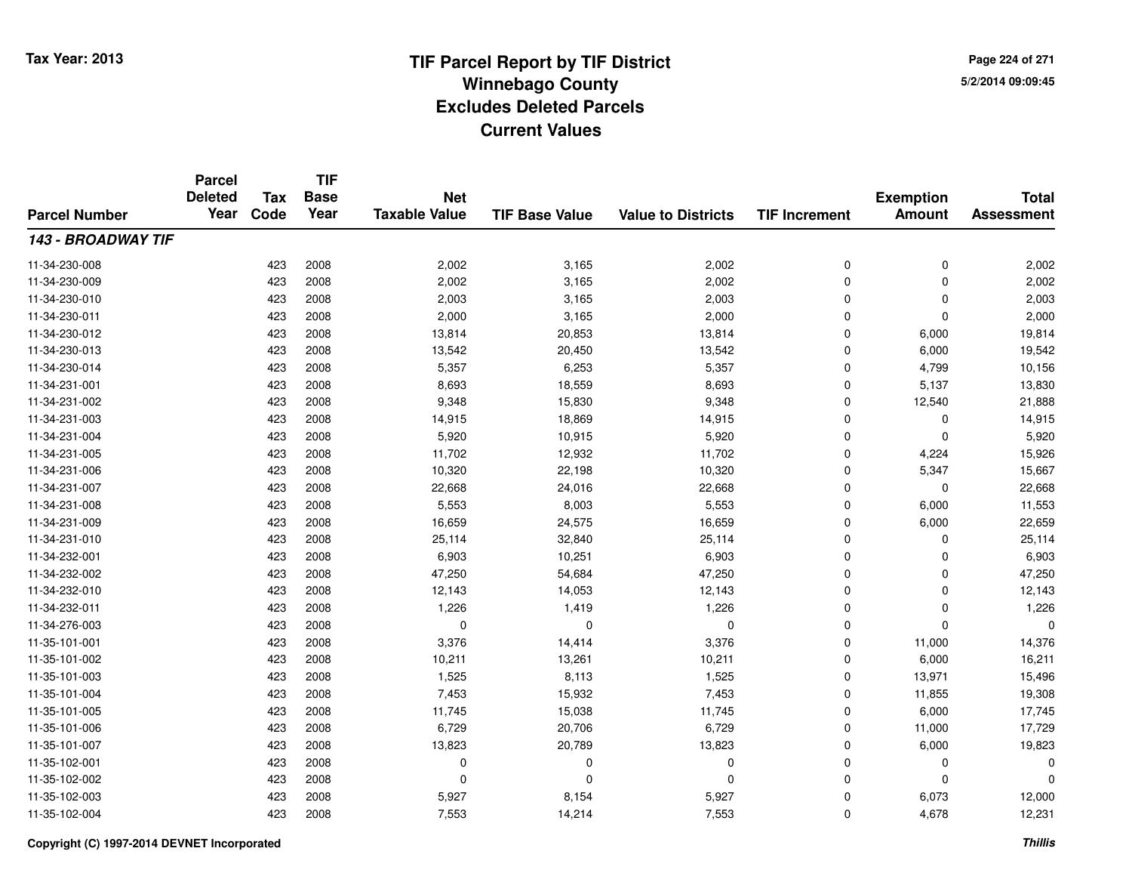**Page 224 of 2715/2/2014 09:09:45**

#### **TIF Base ValueParcel NumberTotal AssessmentExemption Amount Value to Districts TIF IncrementTIF Base YearTax CodeParcel Deleted YearNet Taxable Value143 - BROADWAY TIF**11-34-230-0088 423 2008 2,002 3,165 2,002 0 0 2,002 11-34-230-0099 423 2008 2,002 3,165 2,002 0 2,002 11-34-230-0100 423 2008 2,003 3,165 2,003 0 2,003 11-34-230-0111 2,000 2,000 2,000 3,165 2,000 2,000 2,000 0 0 2,000 11-34-230-0122 423 2008 13,814 20,853 13,814 0 6,000 19,814 11-34-230-013 $\frac{3}{2}$  2008 2008 13,542 20,450 20,450 13,542 0 6,000 19,542 11-34-230-014 <sup>423</sup> 5,357 <sup>2008</sup> 6,253 5,357 <sup>0</sup> 4,799 10,156 11-34-231-0011 423 2008 8,693 18,559 8,693 0 5,137 13,830 11-34-231-002 <sup>423</sup> 9,348 <sup>2008</sup> 15,830 9,348 <sup>0</sup> 12,540 21,888 11-34-231-0033 423 2008 14,915 18,869 14,915 0 0 14,915 11-34-231-0044 23 2008 5,920 10,915 5,920 5,920 5,920 5,920 0 0 5,920 11-34-231-005 <sup>423</sup> 11,702 <sup>2008</sup> 12,932 11,702 <sup>0</sup> 4,224 15,926 11-34-231-006 <sup>423</sup> 10,320 <sup>2008</sup> 22,198 10,320 <sup>0</sup> 5,347 15,667 11-34-231-007 <sup>423</sup> 22,668 <sup>2008</sup> 24,016 22,668 <sup>0</sup> <sup>0</sup> 22,668 11-34-231-0088 423 2008 5,553 8,003 5,553 0 6,000 11,553 11-34-231-0099 423 2008 16,659 24,575 16,659 0 6,000 22,659 11-34-231-0100 423 2008 25,114 32,840 25,114 0 0 25,114 11-34-232-0011 423 2008 6,903 10,251 6,903 0 0 6,903 11-34-232-0022 423 2008 47,250 54,684 47,250 0 0 47,250 11-34-232-0100 423 2008 12,143 14,053 12,143 0 0 12,143 11-34-232-0111 423 2008 1,226 1,419 1,226 0 0 1,226 11-34-276-003 <sup>423</sup> <sup>0</sup> <sup>2008</sup> <sup>0</sup> <sup>0</sup> <sup>0</sup> <sup>0</sup> <sup>0</sup> 11-35-101-0011 423 2008 3,376 14,414 3,376 0 11,000 14,376 11-35-101-0022 423 2008 10,211 13,261 10,211 0 6,000 16,211 11-35-101-003 <sup>423</sup> 1,525 <sup>2008</sup> 8,113 1,525 <sup>0</sup> 13,971 15,496 11-35-101-004 <sup>423</sup> 7,453 <sup>2008</sup> 15,932 7,453 <sup>0</sup> 11,855 19,308 11-35-101-005 <sup>423</sup> 11,745 <sup>2008</sup> 15,038 11,745 <sup>0</sup> 6,000 17,745 11-35-101-006 <sup>423</sup> 6,729 <sup>2008</sup> 20,706 6,729 <sup>0</sup> 11,000 17,729 11-35-101-007 <sup>423</sup> 13,823 <sup>2008</sup> 20,789 13,823 <sup>0</sup> 6,000 19,823 11-35-102-001 <sup>423</sup> <sup>0</sup> <sup>2008</sup> <sup>0</sup> <sup>0</sup> <sup>0</sup> <sup>0</sup> <sup>0</sup> 11-35-102-002 <sup>423</sup> <sup>0</sup> <sup>2008</sup> <sup>0</sup> <sup>0</sup> <sup>0</sup> <sup>0</sup> <sup>0</sup> 11-35-102-003 <sup>423</sup> 5,927 <sup>2008</sup> 8,154 5,927 <sup>0</sup> 6,073 12,000 11-35-102-004<sup>423</sup> 7,553 <sup>2008</sup> 14,214 7,553 <sup>0</sup> 4,678 12,231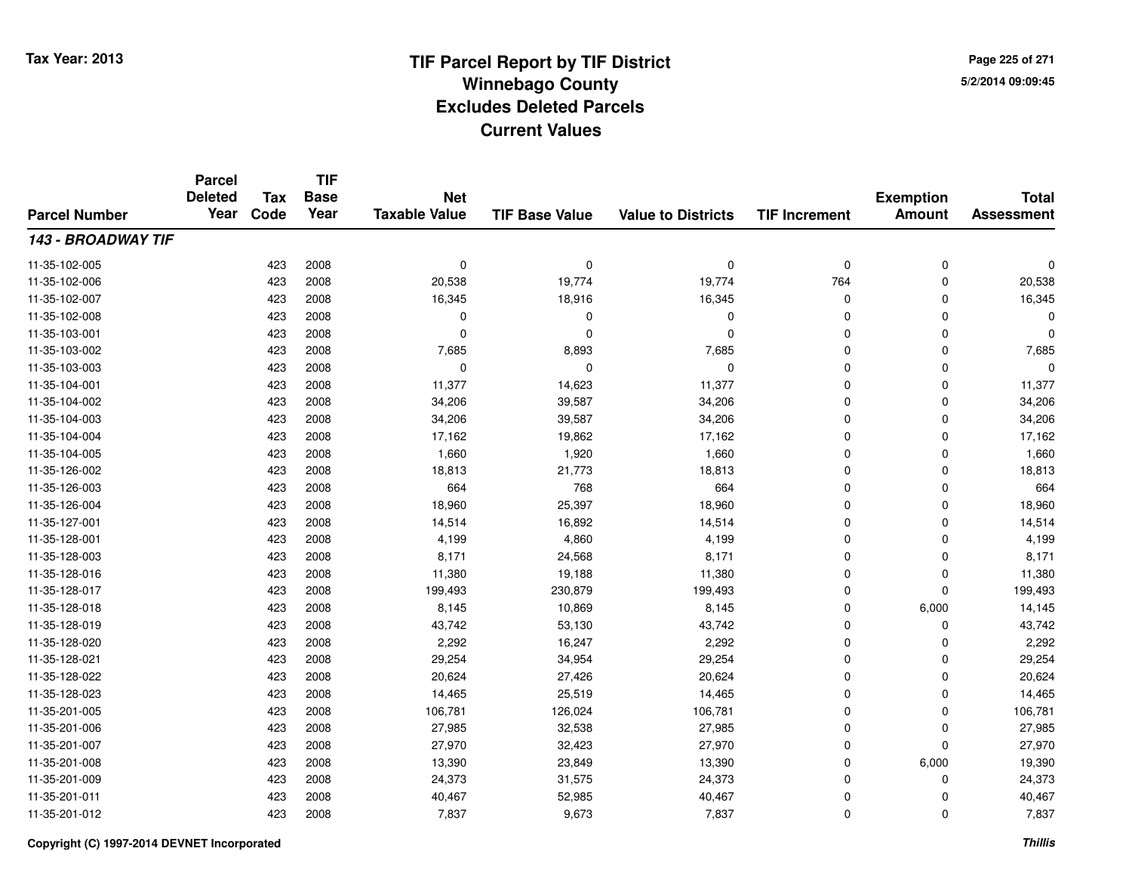**TIF**

**Parcel**

**Page 225 of 2715/2/2014 09:09:45**

#### **TIF Base ValueParcel NumberTotal AssessmentExemption Amount Value to Districts TIF Increment Base YearTax Code Deleted YearNet Taxable Value143 - BROADWAY TIF**11-35-102-005 <sup>423</sup> <sup>0</sup> <sup>2008</sup> <sup>0</sup> <sup>0</sup> <sup>0</sup> <sup>0</sup> <sup>0</sup> 11-35-102-006 <sup>423</sup> 20,538 <sup>2008</sup> 19,774 19,774 <sup>764</sup> <sup>0</sup> 20,538 11-35-102-007 <sup>423</sup> 16,345 <sup>2008</sup> 18,916 16,345 <sup>0</sup> <sup>0</sup> 16,345 11-35-102-008 <sup>423</sup> <sup>0</sup> <sup>2008</sup> <sup>0</sup> <sup>0</sup> <sup>0</sup> <sup>0</sup> <sup>0</sup> 11-35-103-001 <sup>423</sup> <sup>0</sup> <sup>2008</sup> <sup>0</sup> <sup>0</sup> <sup>0</sup> <sup>0</sup> <sup>0</sup> 11-35-103-0022 423 2008 7,685 8,893 7,685 0 0 7,685 11-35-103-003 <sup>423</sup> <sup>0</sup> <sup>2008</sup> <sup>0</sup> <sup>0</sup> <sup>0</sup> <sup>0</sup> <sup>0</sup> 11-35-104-0011 423 2008 11,377 14,623 11,377 0 0 11,377 11-35-104-0022 423 2008 34,206 39,587 34,206 0 0 34,206 11-35-104-0033 423 2008 34,206 39,587 34,206 0 0 34,206 11-35-104-0044 423 2008 17,162 19,862 17,162 0 0 17,162 11-35-104-005 <sup>423</sup> 1,660 <sup>2008</sup> 1,920 1,660 <sup>0</sup> <sup>0</sup> 1,660 11-35-126-0022 423 2008 18,813 21,773 18,813 0 0 18,813 11-35-126-0033 423 2008 664 768 664 0 0 664 11-35-126-004423 2008 18,960 25,397 18,960 19,960 25,397 18,960 0 0 0 18,960 11-35-127-0011 423 2008 14,514 16,892 14,514 0 0 14,514 11-35-128-0011 423 2008 4,199 4,860 4,199 0 0 4,199 11-35-128-003 $3$  8,171  $2008$  8,171  $24,568$  8,171 8,171 8  $24,668$  8,171 8,171 8  $24,71$ 11-35-128-016 <sup>423</sup> 11,380 <sup>2008</sup> 19,188 11,380 <sup>0</sup> <sup>0</sup> 11,380 11-35-128-017 <sup>423</sup> 199,493 <sup>2008</sup> 230,879 199,493 <sup>0</sup> <sup>0</sup> 199,493 11-35-128-0188 423 2008 8,145 10,869 8,145 0 6,000 14,145 11-35-128-019 <sup>423</sup> 43,742 <sup>2008</sup> 53,130 43,742 <sup>0</sup> <sup>0</sup> 43,742 11-35-128-0200 423 2008 2,292 16,247 2,292 0 0 2,292 11-35-128-0211 423 2008 29,254 34,954 29,254 0 0 29,254 11-35-128-0222 423 2008 20,624 27,426 20,624 0 0 20,624 11-35-128-0233 423 2008 14,465 25,519 14,465 0 0 14,465 11-35-201-005 <sup>423</sup> 106,781 <sup>2008</sup> 126,024 106,781 <sup>0</sup> <sup>0</sup> 106,781 11-35-201-0066 423 2008 27,985 32,538 27,985 0 0 27,985 11-35-201-007 <sup>423</sup> 27,970 <sup>2008</sup> 32,423 27,970 <sup>0</sup> <sup>0</sup> 27,970 11-35-201-008 <sup>423</sup> 13,390 <sup>2008</sup> 23,849 13,390 <sup>0</sup> 6,000 19,390 11-35-201-009 <sup>423</sup> 24,373 <sup>2008</sup> 31,575 24,373 <sup>0</sup> <sup>0</sup> 24,373 11-35-201-0111 423 2008 40,467 52,985 40,467 0 0 40,467 11-35-201-0122 423 2008 7,837 9,673 7,837 0 7,837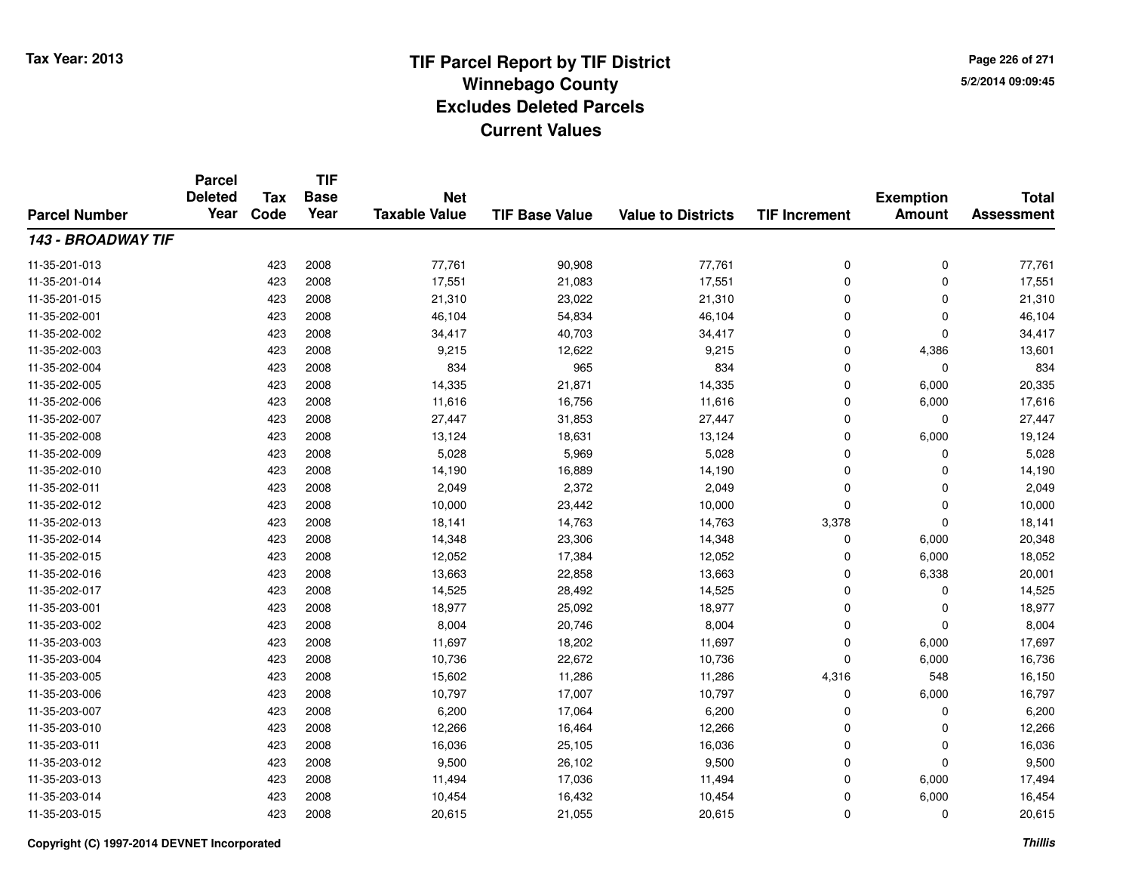**Page 226 of 2715/2/2014 09:09:45**

#### **TIF Base ValueParcel NumberTotal AssessmentExemption Amount Value to Districts TIF IncrementTIF Base YearTax CodeParcel Deleted YearNet Taxable Value143 - BROADWAY TIF**11-35-201-013 <sup>423</sup> 77,761 <sup>2008</sup> 90,908 77,761 <sup>0</sup> <sup>0</sup> 77,761 11-35-201-014 <sup>423</sup> 17,551 <sup>2008</sup> 21,083 17,551 <sup>0</sup> <sup>0</sup> 17,551 11-35-201-015 <sup>423</sup> 21,310 <sup>2008</sup> 23,022 21,310 <sup>0</sup> <sup>0</sup> 21,310 11-35-202-0011 1 423 2008 46,104 54,834 46,104 0 0 46,104 11-35-202-002 <sup>423</sup> 34,417 <sup>2008</sup> 40,703 34,417 <sup>0</sup> <sup>0</sup> 34,417 11-35-202-0033 423 2008 9,215 12,622 9,215 0 4,386 13,601 11-35-202-0044 23 2008 1834 965 834 834 834 836 837 837 838 839 839 839 833 11-35-202-005 <sup>423</sup> 14,335 <sup>2008</sup> 21,871 14,335 <sup>0</sup> 6,000 20,335 11-35-202-0066 423 2008 11,616 16,756 11,616 0 6,000 17,616 11-35-202-007 <sup>423</sup> 27,447 <sup>2008</sup> 31,853 27,447 <sup>0</sup> <sup>0</sup> 27,447 11-35-202-0088 423 2008 13,124 18,631 13,124 0 6,000 19,124 11-35-202-009 <sup>423</sup> 5,028 <sup>2008</sup> 5,969 5,028 <sup>0</sup> <sup>0</sup> 5,028 11-35-202-0100 423 2008 14,190 16,889 14,190 0 0 14,190 11-35-202-0111 423 2008 2,049 2,372 2,049 0 0 2,049 11-35-202-0122 423 2008 10,000 23,442 10,000 0 0 10,000 11-35-202-0133 423 2008 18,141 14,763 14,763 3,378 0 18,141 11-35-202-014 <sup>423</sup> 14,348 <sup>2008</sup> 23,306 14,348 <sup>0</sup> 6,000 20,348 11-35-202-015 <sup>423</sup> 12,052 <sup>2008</sup> 17,384 12,052 <sup>0</sup> 6,000 18,052 11-35-202-016 <sup>423</sup> 13,663 <sup>2008</sup> 22,858 13,663 <sup>0</sup> 6,338 20,001 11-35-202-017 <sup>423</sup> 14,525 <sup>2008</sup> 28,492 14,525 <sup>0</sup> <sup>0</sup> 14,525 11-35-203-0011 423 2008 18,977 25,092 18,977 0 0 18,977 11-35-203-0022 423 2008 8,004 20,746 8,004 0 0 8,004 11-35-203-0033 423 2008 11,697 18,202 11,697 0 6,000 17,697 11-35-203-004423 2008 16,736 22,672 10,736 22,672 10,736 0 6,000 16,736 11-35-203-0055 423 2008 15,602 11,286 11,286 4,316 548 16,150 11-35-203-006 <sup>423</sup> 10,797 <sup>2008</sup> 17,007 10,797 <sup>0</sup> 6,000 16,797 11-35-203-007 <sup>423</sup> 6,200 <sup>2008</sup> 17,064 6,200 <sup>0</sup> <sup>0</sup> 6,200 11-35-203-0100 423 2008 12,266 16,464 12,266 0 0 12,266 11-35-203-0111 423 2008 16,036 25,105 16,036 0 0 16,036 11-35-203-0122 423 2008 9,500 26,102 9,500 0 0 9,500 11-35-203-013 <sup>423</sup> 11,494 <sup>2008</sup> 17,036 11,494 <sup>0</sup> 6,000 17,494 11-35-203-014 <sup>423</sup> 10,454 <sup>2008</sup> 16,432 10,454 <sup>0</sup> 6,000 16,454 11-35-203-0155 423 2008 20,615 21,055 20,615 0 0 20,615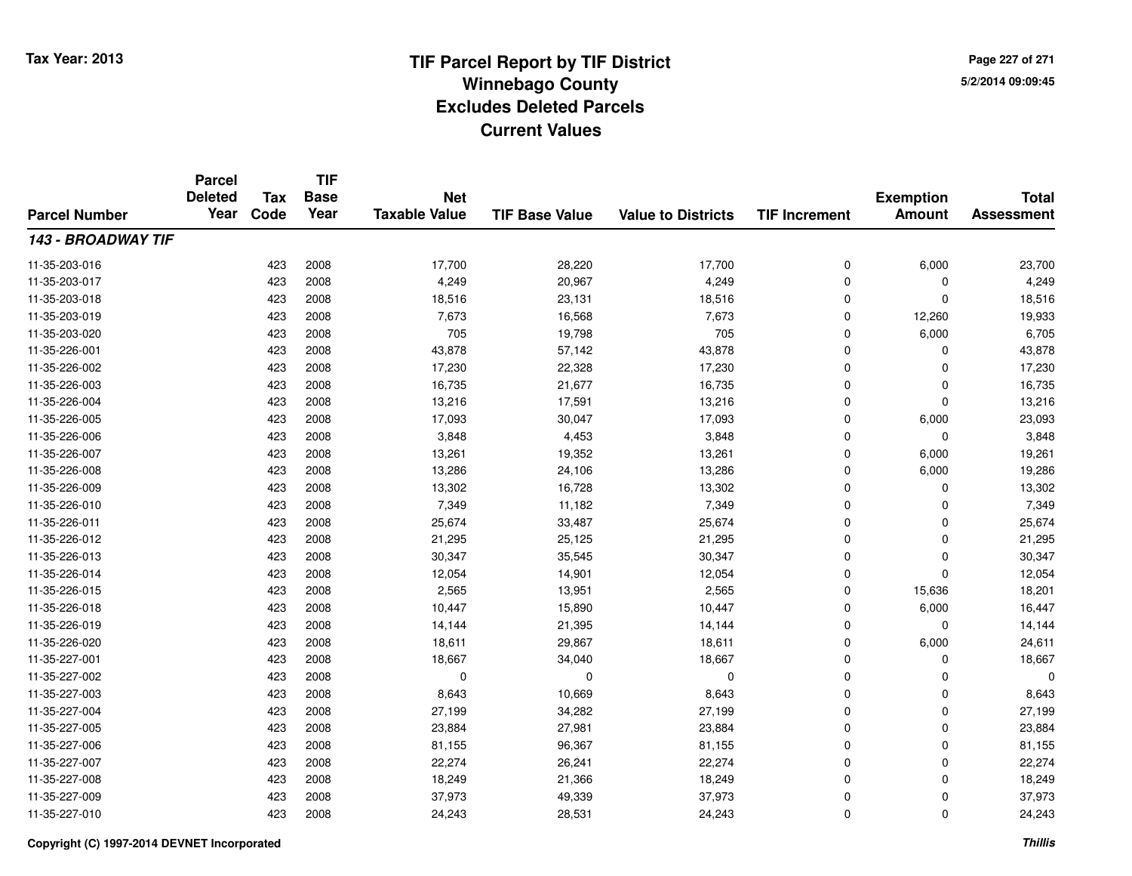**TIF**

**Parcel**

**Page 227 of 2715/2/2014 09:09:45**

#### **TIF Base ValueParcel NumberTotal AssessmentExemption Amount Value to Districts TIF Increment Base YearTax Code Deleted YearNet Taxable Value143 - BROADWAY TIF**11-35-203-016 <sup>423</sup> 17,700 <sup>2008</sup> 28,220 17,700 <sup>0</sup> 6,000 23,700 11-35-203-0177 423 2008 4,249 20,967 4,249 0 0 4,249 11-35-203-0188 423 2008 18,516 23,131 18,516 0 0 18,516 11-35-203-0199 423 2008 7,673 16,568 7,673 0 12,260 19,933 11-35-203-0200 423 2008 705 19,798 705 0 6,000 6,705 11-35-226-0011 423 2008 43,878 57,142 43,878 0 0 43,878 11-35-226-002 <sup>423</sup> 17,230 <sup>2008</sup> 22,328 17,230 <sup>0</sup> <sup>0</sup> 17,230 11-35-226-003 <sup>423</sup> 16,735 <sup>2008</sup> 21,677 16,735 <sup>0</sup> <sup>0</sup> 16,735 11-35-226-0044 423 2008 13,216 17,591 13,216 0 0 13,216 11-35-226-005 <sup>423</sup> 17,093 <sup>2008</sup> 30,047 17,093 <sup>0</sup> 6,000 23,093 11-35-226-0066 423 2008 3,848 4,453 3,848 0 0 3,848 11-35-226-007 <sup>423</sup> 13,261 <sup>2008</sup> 19,352 13,261 <sup>0</sup> 6,000 19,261 11-35-226-0088 423 2008 13,286 24,106 13,286 0 6,000 19,286 11-35-226-0099 423 2008 13,302 16,728 13,302 0 0 13,302 11-35-226-0100 423 2008 7,349 11,182 7,349 0 7,349 11-35-226-0111 423 2008 25,674 33,487 25,674 0 0 25,674 11-35-226-0122 2 2 2008 21,295 25,125 21,295 21,295 26,125 21,295 21,295 21,295 21,295 21,295 21,295 11-35-226-013 <sup>423</sup> 30,347 <sup>2008</sup> 35,545 30,347 <sup>0</sup> <sup>0</sup> 30,347 11-35-226-014 <sup>423</sup> 12,054 <sup>2008</sup> 14,901 12,054 <sup>0</sup> <sup>0</sup> 12,054 11-35-226-015 <sup>423</sup> 2,565 <sup>2008</sup> 13,951 2,565 <sup>0</sup> 15,636 18,201 11-35-226-0188 10,447 10,447 15,890 10,447 15,890 10,447 0 6,000 16,447 11-35-226-0199 423 2008 14,144 21,395 14,144 0 0 14,144 11-35-226-0200 423 2008 18,611 29,867 18,611 0 6,000 24,611 11-35-227-0011 423 2008 18,667 34,040 18,667 0 0 18,667 11-35-227-002 <sup>423</sup> <sup>0</sup> <sup>2008</sup> <sup>0</sup> <sup>0</sup> <sup>0</sup> <sup>0</sup> <sup>0</sup> 11-35-227-0033 423 2008 8,643 10,669 8,643 0 0 8,643 11-35-227-004423 2008 27,199 34,282 27,199 27,199 36 27,199 27,199 27,199 27,199 27,199 27,199 27,199 27,199 27,199 27,199 2 11-35-227-005 <sup>423</sup> 23,884 <sup>2008</sup> 27,981 23,884 <sup>0</sup> <sup>0</sup> 23,884 11-35-227-0066 423 2008 81,155 96,367 81,155 0 0 81,155 11-35-227-007 <sup>423</sup> 22,274 <sup>2008</sup> 26,241 22,274 <sup>0</sup> <sup>0</sup> 22,274 11-35-227-0088 423 2008 18,249 21,366 18,249 0 0 18,249 11-35-227-009 <sup>423</sup> 37,973 <sup>2008</sup> 49,339 37,973 <sup>0</sup> <sup>0</sup> 37,973 11-35-227-0100 423 2008 24,243 28,531 24,243 0 0 24,243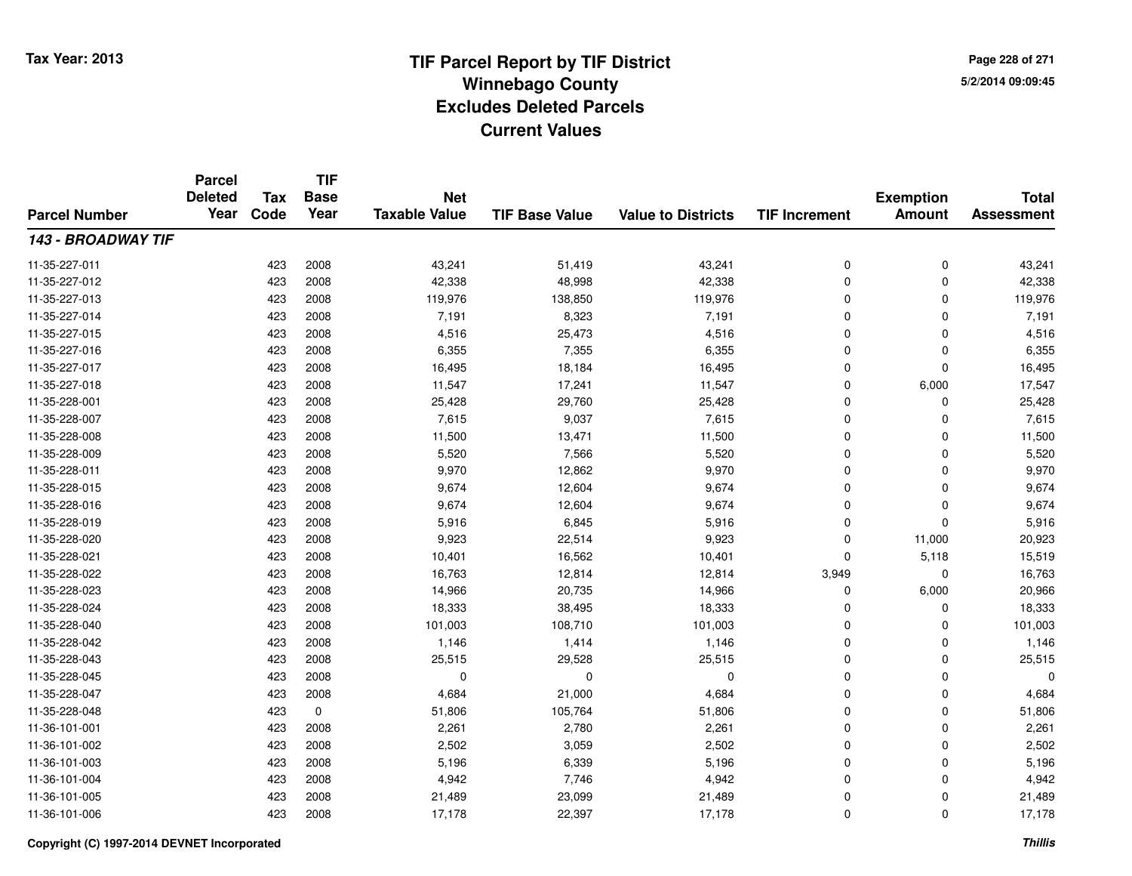**TIF**

**Parcel**

**Page 228 of 2715/2/2014 09:09:45**

#### **TIF Base ValueParcel NumberTotal AssessmentExemption Amount Value to Districts TIF Increment Base YearTax Code Deleted YearNet Taxable Value143 - BROADWAY TIF**11-35-227-0111 423 2008 43,241 51,419 43,241 0 0 43,241 11-35-227-0122 423 2008 42,338 48,998 42,338 0 42,338 11-35-227-013 <sup>423</sup> 119,976 <sup>2008</sup> 138,850 119,976 <sup>0</sup> <sup>0</sup> 119,976 11-35-227-014 <sup>423</sup> 7,191 <sup>2008</sup> 8,323 7,191 <sup>0</sup> <sup>0</sup> 7,191 11-35-227-0155 423 2008 4,516 25,473 4,516 0 0 4,516 11-35-227-0166 423 2008 6,355 7,355 6,355 0 0 6,355 11-35-227-017 <sup>423</sup> 16,495 <sup>2008</sup> 18,184 16,495 <sup>0</sup> <sup>0</sup> 16,495 11-35-227-018 <sup>423</sup> 11,547 <sup>2008</sup> 17,241 11,547 <sup>0</sup> 6,000 17,547 11-35-228-0011 423 2008 25,428 29,760 25,428 0 0 25,428 11-35-228-0077 423 2008 7,615 9,037 7,615 0 7,615 11-35-228-008 <sup>423</sup> 11,500 <sup>2008</sup> 13,471 11,500 <sup>0</sup> <sup>0</sup> 11,500 11-35-228-009 <sup>423</sup> 5,520 <sup>2008</sup> 7,566 5,520 <sup>0</sup> <sup>0</sup> 5,520 11-35-228-0111 423 2008 9,970 12,862 9,970 0 0 9,970 11-35-228-015 <sup>423</sup> 9,674 <sup>2008</sup> 12,604 9,674 <sup>0</sup> <sup>0</sup> 9,674 11-35-228-016 <sup>423</sup> 9,674 <sup>2008</sup> 12,604 9,674 <sup>0</sup> <sup>0</sup> 9,674 11-35-228-0199 423 2008 5,916 6,845 5,916 0 0 5,916 11-35-228-0200 423 2008 9,923 22,514 9,923 0 11,000 20,923 11-35-228-0211 423 2008 10,401 16,562 10,401 0 5,118 15,519 11-35-228-022 <sup>423</sup> 16,763 <sup>2008</sup> 12,814 12,814 3,949 <sup>0</sup> 16,763 11-35-228-0233 423 2008 14,966 20,735 14,966 0 6,000 20,966 11-35-228-024 <sup>423</sup> 18,333 <sup>2008</sup> 38,495 18,333 <sup>0</sup> <sup>0</sup> 18,333 11-35-228-0400 423 2008 101,003 108,710 101,003 0 101,003 11-35-228-0422 423 2008 1,146 1,414 1,146 0 0 1,146 11-35-228-0433 423 2008 25,515 29,528 25,515 0 25,515 11-35-228-045 <sup>423</sup> <sup>0</sup> <sup>2008</sup> <sup>0</sup> <sup>0</sup> <sup>0</sup> <sup>0</sup> <sup>0</sup> 11-35-228-0477 423 2008 4,684 21,000 4,684 0 0 4,684 11-35-228-0488 423 0 51,806 105,764 51,806 0 0 51,806 11-36-101-0011 423 2008 2,261 2,780 2,261 0 2,261 11-36-101-0022 423 2008 2,502 3,059 2,502 0 0 2,502 11-36-101-0033 423 2008 5,196 6,339 5,196 0 0 5,196 11-36-101-0044 23 2008 4,942 7,746 4,942 4,942 5 4,942 9 20 4,942 5 4,942 9 20 4,942 11-36-101-005 <sup>423</sup> 21,489 <sup>2008</sup> 23,099 21,489 <sup>0</sup> <sup>0</sup> 21,489 11-36-101-006<sup>423</sup> 17,178 <sup>2008</sup> 22,397 17,178 <sup>0</sup> <sup>0</sup> 17,178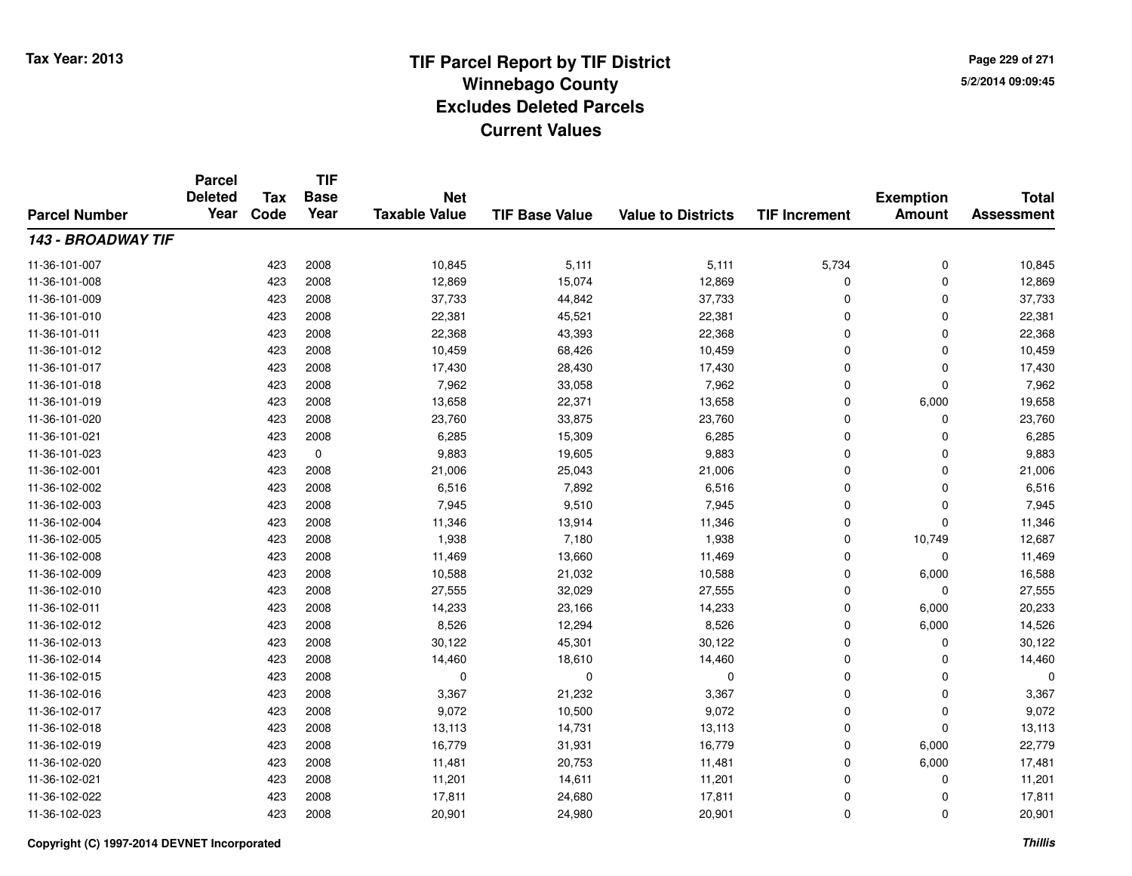**Page 229 of 2715/2/2014 09:09:45**

#### **TIF Base ValueParcel NumberTotal AssessmentExemption Amount Value to Districts TIF IncrementTIF Base YearTax CodeParcel Deleted YearNet Taxable Value143 - BROADWAY TIF**11-36-101-007 <sup>423</sup> 10,845 <sup>2008</sup> 5,111 5,111 5,734 <sup>0</sup> 10,845 11-36-101-008 <sup>423</sup> 12,869 <sup>2008</sup> 15,074 12,869 <sup>0</sup> <sup>0</sup> 12,869 11-36-101-009 <sup>423</sup> 37,733 <sup>2008</sup> 44,842 37,733 <sup>0</sup> <sup>0</sup> 37,733 11-36-101-0100 423 2008 22,381 45,521 22,381 0 0 22,381 11-36-101-0111 423 2008 22,368 43,393 22,368 0 22,368 11-36-101-0122 423 2008 10,459 68,426 10,459 0 0 10,459 11-36-101-017 <sup>423</sup> 17,430 <sup>2008</sup> 28,430 17,430 <sup>0</sup> <sup>0</sup> 17,430 11-36-101-0188 423 2008 7,962 33,058 7,962 0 0 7,962 11-36-101-0199 423 2008 13,658 22,371 13,658 0 6,000 19,658 11-36-101-0200 423 2008 23,760 33,875 23,760 0 0 23,760 11-36-101-0211 423 2008 6,285 15,309 6,285 0 0 6,285 11-36-101-0233 423 0 9,883 19,605 9,883 0 0 9,883 11-36-102-0011 423 2008 21,006 25,043 21,006 0 0 21,006 11-36-102-0022 423 2008 6,516 7,892 6,516 0 0 6,516 11-36-102-0033 423 2008 7,945 9,510 7,945 0 7,945 11-36-102-0044 423 2008 11,346 13,914 11,346 0 0 11,346 11-36-102-005 <sup>423</sup> 1,938 <sup>2008</sup> 7,180 1,938 <sup>0</sup> 10,749 12,687 11-36-102-008 <sup>423</sup> 11,469 <sup>2008</sup> 13,660 11,469 <sup>0</sup> <sup>0</sup> 11,469 11-36-102-0099 423 2008 10,588 21,032 10,588 0 6,000 16,588 11-36-102-0100 423 2008 27,555 32,029 27,555 0 0 27,555 11-36-102-0111 423 2008 14,233 23,166 14,233 0 6,000 20,233 11-36-102-0122 423 2008 8,526 12,294 8,526 0 6,000 14,526 11-36-102-0133 423 2008 30,122 45,301 30,122 0 0 30,122 11-36-102-014 <sup>423</sup> 14,460 <sup>2008</sup> 18,610 14,460 <sup>0</sup> <sup>0</sup> 14,460 11-36-102-015 <sup>423</sup> <sup>0</sup> <sup>2008</sup> <sup>0</sup> <sup>0</sup> <sup>0</sup> <sup>0</sup> <sup>0</sup> 11-36-102-016 <sup>423</sup> 3,367 <sup>2008</sup> 21,232 3,367 <sup>0</sup> <sup>0</sup> 3,367 11-36-102-017 <sup>423</sup> 9,072 <sup>2008</sup> 10,500 9,072 <sup>0</sup> <sup>0</sup> 9,072 11-36-102-018 <sup>423</sup> 13,113 <sup>2008</sup> 14,731 13,113 <sup>0</sup> <sup>0</sup> 13,113 11-36-102-019 <sup>423</sup> 16,779 <sup>2008</sup> 31,931 16,779 <sup>0</sup> 6,000 22,779 11-36-102-0200 423 2008 11,481 20,753 11,481 0 6,000 17,481 11-36-102-0211 423 2008 11,201 14,611 11,201 0 0 11,201 11-36-102-022 <sup>423</sup> 17,811 <sup>2008</sup> 24,680 17,811 <sup>0</sup> <sup>0</sup> 17,811 11-36-102-0233 423 2008 20,901 24,980 20,901 0 0 20,901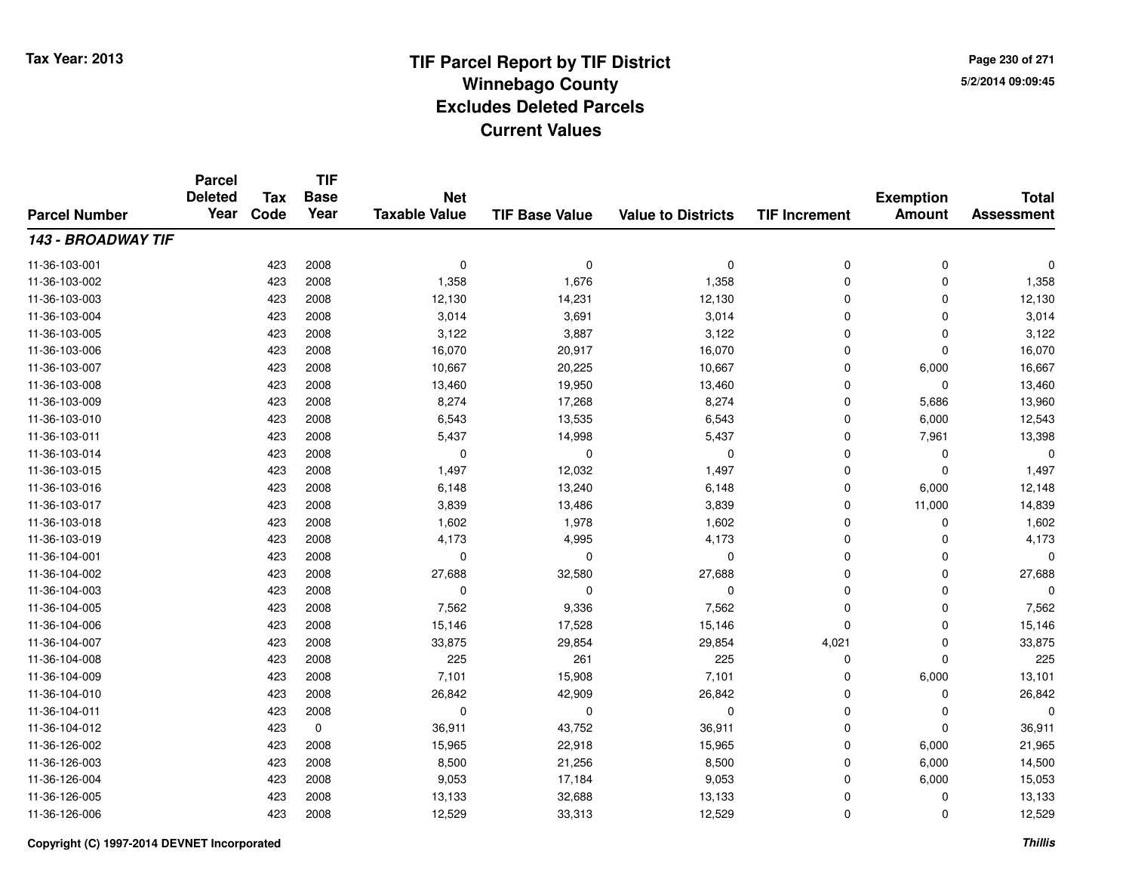**TIF**

**Parcel**

**Page 230 of 2715/2/2014 09:09:45**

#### **TIF Base ValueParcel NumberTotal AssessmentExemption Amount Value to Districts TIF Increment Base YearTax Code Deleted YearNet Taxable Value143 - BROADWAY TIF**11-36-103-001 <sup>423</sup> <sup>0</sup> <sup>2008</sup> <sup>0</sup> <sup>0</sup> <sup>0</sup> <sup>0</sup> <sup>0</sup> 11-36-103-0022 423 2008 1,358 1,676 1,358 0 0 1,358 11-36-103-003 <sup>423</sup> 12,130 <sup>2008</sup> 14,231 12,130 <sup>0</sup> <sup>0</sup> 12,130 11-36-103-0044 23 2008 3,014 3,691 3,014 3,014 3,014 3,014 0 0 0 3,014 11-36-103-005 <sup>423</sup> 3,122 <sup>2008</sup> 3,887 3,122 <sup>0</sup> <sup>0</sup> 3,122 11-36-103-006 <sup>423</sup> 16,070 <sup>2008</sup> 20,917 16,070 <sup>0</sup> <sup>0</sup> 16,070 11-36-103-007 <sup>423</sup> 10,667 <sup>2008</sup> 20,225 10,667 <sup>0</sup> 6,000 16,667 11-36-103-0088 423 2008 13,460 19,950 13,460 0 0 13,460 11-36-103-0099 423 2008 8,274 17,268 8,274 0 5,686 13,960 11-36-103-0100 423 2008 6,543 13,535 6,543 0 6,000 12,543 11-36-103-011 <sup>423</sup> 5,437 <sup>2008</sup> 14,998 5,437 <sup>0</sup> 7,961 13,398 11-36-103-014 <sup>423</sup> <sup>0</sup> <sup>2008</sup> <sup>0</sup> <sup>0</sup> <sup>0</sup> <sup>0</sup> <sup>0</sup> 11-36-103-015 <sup>423</sup> 1,497 <sup>2008</sup> 12,032 1,497 <sup>0</sup> <sup>0</sup> 1,497 11-36-103-0166 423 2008 6,148 13,240 6,148 0 6,000 12,148 11-36-103-017 <sup>423</sup> 3,839 <sup>2008</sup> 13,486 3,839 <sup>0</sup> 11,000 14,839 11-36-103-0188 423 2008 1,602 1,978 1,602 0 0 1,602 11-36-103-019 <sup>423</sup> 4,173 <sup>2008</sup> 4,995 4,173 <sup>0</sup> <sup>0</sup> 4,173 11-36-104-001 <sup>423</sup> <sup>0</sup> <sup>2008</sup> <sup>0</sup> <sup>0</sup> <sup>0</sup> <sup>0</sup> <sup>0</sup> 11-36-104-0022 423 2008 27,688 32,580 27,688 0 27,688 11-36-104-003 <sup>423</sup> <sup>0</sup> <sup>2008</sup> <sup>0</sup> <sup>0</sup> <sup>0</sup> <sup>0</sup> <sup>0</sup> 11-36-104-005 <sup>423</sup> 7,562 <sup>2008</sup> 9,336 7,562 <sup>0</sup> <sup>0</sup> 7,562 11-36-104-0066 423 2008 15,146 17,528 15,146 0 0 15,146 11-36-104-007 <sup>423</sup> 33,875 <sup>2008</sup> 29,854 29,854 4,021 <sup>0</sup> 33,875 11-36-104-0088 423 2008 225 261 225 0 0 225 11-36-104-0099 423 2008 7,101 15,908 7,101 0 6,000 13,101 11-36-104-0100 423 2008 26,842 42,909 26,842 0 0 26,842 11-36-104-011 <sup>423</sup> <sup>0</sup> <sup>2008</sup> <sup>0</sup> <sup>0</sup> <sup>0</sup> <sup>0</sup> <sup>0</sup> 11-36-104-0122 423 0 36,911 43,752 36,911 0 0 36,911 11-36-126-002 <sup>423</sup> 15,965 <sup>2008</sup> 22,918 15,965 <sup>0</sup> 6,000 21,965 11-36-126-0033 423 2008 8,500 21,256 8,500 0 6,000 14,500 11-36-126-004 <sup>423</sup> 9,053 <sup>2008</sup> 17,184 9,053 <sup>0</sup> 6,000 15,053 11-36-126-005 <sup>423</sup> 13,133 <sup>2008</sup> 32,688 13,133 <sup>0</sup> <sup>0</sup> 13,133 11-36-126-0066 423 2008 12,529 33,313 12,529 0 0 12,529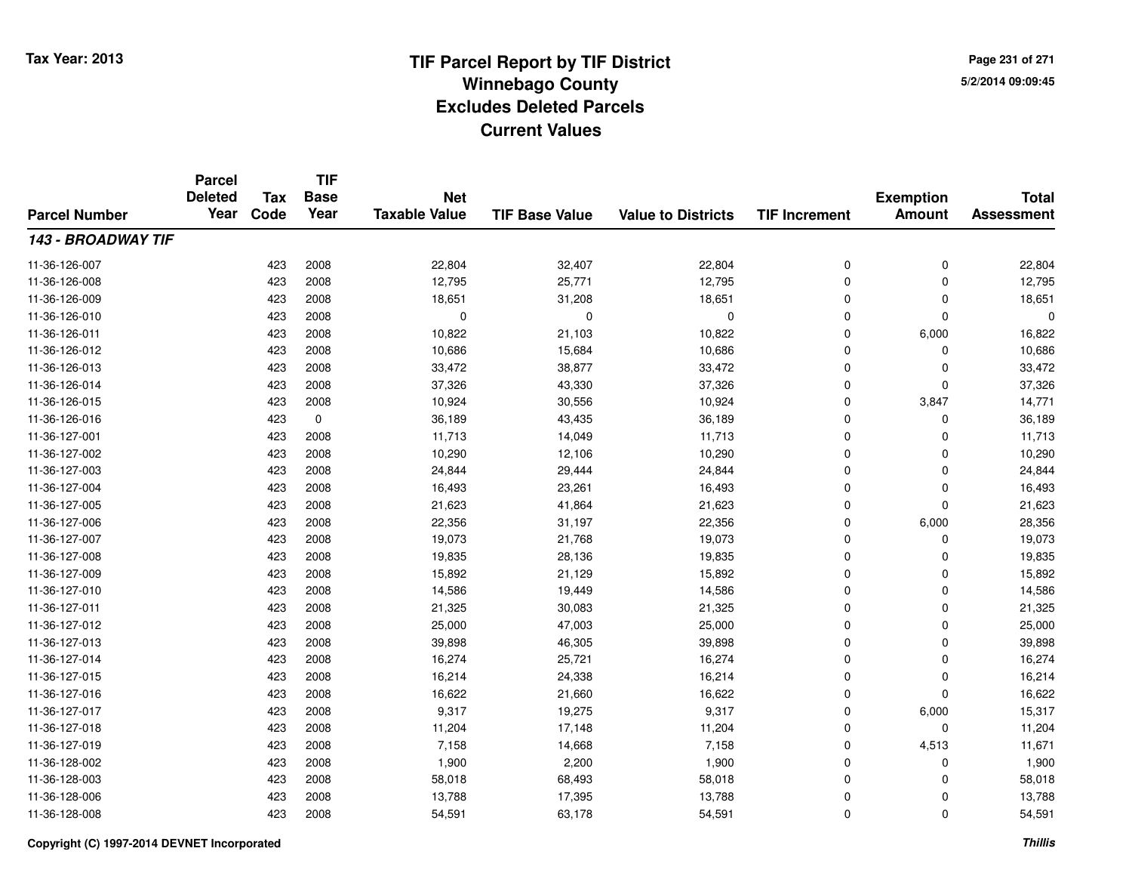**TIF**

**Parcel**

**Page 231 of 2715/2/2014 09:09:45**

#### **TIF Base ValueParcel NumberTotal AssessmentExemption Amount Value to Districts TIF Increment Base YearTax Code Deleted YearNet Taxable Value143 - BROADWAY TIF**11-36-126-007 <sup>423</sup> 22,804 <sup>2008</sup> 32,407 22,804 <sup>0</sup> <sup>0</sup> 22,804 11-36-126-008 <sup>423</sup> 12,795 <sup>2008</sup> 25,771 12,795 <sup>0</sup> <sup>0</sup> 12,795 11-36-126-0099 423 2008 18,651 31,208 18,651 0 0 18,651 11-36-126-010 <sup>423</sup> <sup>0</sup> <sup>2008</sup> <sup>0</sup> <sup>0</sup> <sup>0</sup> <sup>0</sup> <sup>0</sup> 11-36-126-0111 423 2008 10,822 21,103 10,822 0 6,000 16,822 11-36-126-0122 423 2008 10,686 15,684 10,686 0 0 10,686 11-36-126-013 <sup>423</sup> 33,472 <sup>2008</sup> 38,877 33,472 <sup>0</sup> <sup>0</sup> 33,472 11-36-126-014 <sup>423</sup> 37,326 <sup>2008</sup> 43,330 37,326 <sup>0</sup> <sup>0</sup> 37,326 11-36-126-015 <sup>423</sup> 10,924 <sup>2008</sup> 30,556 10,924 <sup>0</sup> 3,847 14,771 11-36-126-0166 423 0 36,189 43,435 36,189 0 0 36,189 11-36-127-0011 423 2008 11,713 14,049 11,713 0 0 11,713 11-36-127-0022 423 2008 10,290 12,106 10,290 0 0 10,290 11-36-127-0033 423 2008 24,844 29,444 24,844 0 0 24,844 11-36-127-004423 2008 16,493 2008 16,493 23,261 16,493 16,493 0 0 0 16,493 11-36-127-0055 423 2008 21,623 41,864 21,623 0 0 21,623 11-36-127-006 <sup>423</sup> 22,356 <sup>2008</sup> 31,197 22,356 <sup>0</sup> 6,000 28,356 11-36-127-007 <sup>423</sup> 19,073 <sup>2008</sup> 21,768 19,073 <sup>0</sup> <sup>0</sup> 19,073 11-36-127-008 <sup>423</sup> 19,835 <sup>2008</sup> 28,136 19,835 <sup>0</sup> <sup>0</sup> 19,835 11-36-127-0099 423 2008 15,892 21,129 15,892 0 0 15,892 11-36-127-0100 423 2008 14,586 19,449 14,586 0 0 14,586 11-36-127-0111 423 2008 21,325 30,083 21,325 0 21,325 11-36-127-0122 423 2008 25,000 47,003 25,000 0 0 25,000 11-36-127-0133 423 2008 39,898 46,305 39,898 0 0 39,898 11-36-127-0144 23 2008 16,274 25,721 16,274 25,721 16,274 0 0 0 16,274 11-36-127-015 <sup>423</sup> 16,214 <sup>2008</sup> 24,338 16,214 <sup>0</sup> <sup>0</sup> 16,214 11-36-127-0166 423 2008 16,622 21,660 16,622 0 0 16,622 11-36-127-017 <sup>423</sup> 9,317 <sup>2008</sup> 19,275 9,317 <sup>0</sup> 6,000 15,317 11-36-127-018 <sup>423</sup> 11,204 <sup>2008</sup> 17,148 11,204 <sup>0</sup> <sup>0</sup> 11,204 11-36-127-019 <sup>423</sup> 7,158 <sup>2008</sup> 14,668 7,158 <sup>0</sup> 4,513 11,671 11-36-128-0022 423 2008 1,900 2,200 1,900 0 0 1,900 11-36-128-0033 423 2008 58,018 68,493 58,018 0 58,018 11-36-128-0066 423 2008 13,788 17,395 13,788 0 0 13,788 11-36-128-008<sup>423</sup> 54,591 <sup>2008</sup> 63,178 54,591 <sup>0</sup> <sup>0</sup> 54,591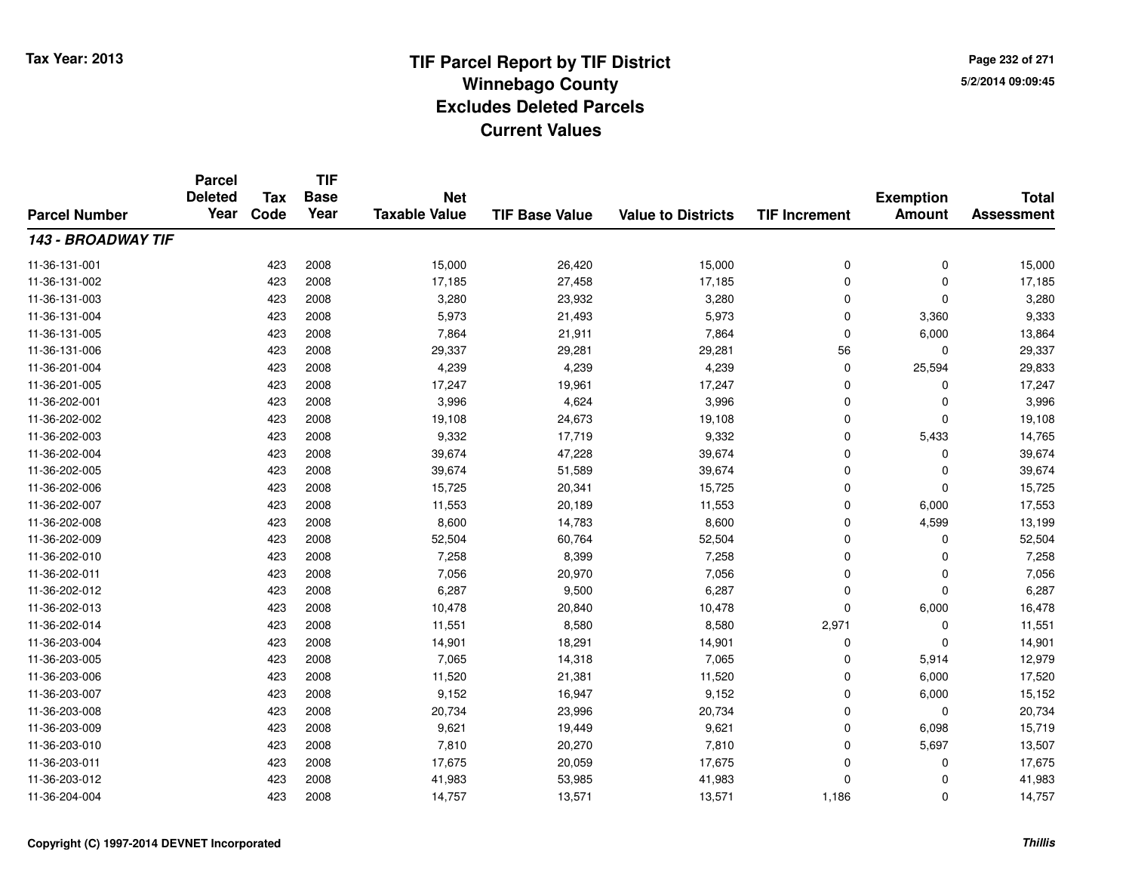**TIF**

**Parcel**

**Page 232 of 2715/2/2014 09:09:45**

#### **TIF Base ValueParcel NumberTotal AssessmentExemption Amount Value to Districts TIF Increment Base YearTax Code Deleted YearNet Taxable Value143 - BROADWAY TIF**11-36-131-0011 423 2008 15,000 26,420 15,000 0 0 15,000 11-36-131-002 <sup>423</sup> 17,185 <sup>2008</sup> 27,458 17,185 <sup>0</sup> <sup>0</sup> 17,185 11-36-131-003 $3$  3 2008 2008 3,280 23,932 3,280 3,280 3,280 3,280 3,280 3,280 3,280 3,280 3,280 3,280 3,280 3,280  $\,$ 11-36-131-004 <sup>423</sup> 5,973 <sup>2008</sup> 21,493 5,973 <sup>0</sup> 3,360 9,333 11-36-131-005 <sup>423</sup> 7,864 <sup>2008</sup> 21,911 7,864 <sup>0</sup> 6,000 13,864 11-36-131-0066 423 2008 29,337 29,281 29,281 56 0 29,337 11-36-201-004 <sup>423</sup> 4,239 <sup>2008</sup> 4,239 4,239 <sup>0</sup> 25,594 29,833 11-36-201-005 <sup>423</sup> 17,247 <sup>2008</sup> 19,961 17,247 <sup>0</sup> <sup>0</sup> 17,247 11-36-202-0011 423 2008 3,996 4,624 3,996 0 0 3,996 11-36-202-0022 423 2008 19,108 24,673 19,108 0 0 19,108 11-36-202-0033 423 2008 9,332 17,719 9,332 0 5,433 14,765 11-36-202-004 <sup>423</sup> 39,674 <sup>2008</sup> 47,228 39,674 <sup>0</sup> <sup>0</sup> 39,674 11-36-202-005 <sup>423</sup> 39,674 <sup>2008</sup> 51,589 39,674 <sup>0</sup> <sup>0</sup> 39,674 11-36-202-0066 423 2008 15,725 20,341 15,725 0 0 15,725 11-36-202-007 <sup>423</sup> 11,553 <sup>2008</sup> 20,189 11,553 <sup>0</sup> 6,000 17,553 11-36-202-0088 423 2008 8,600 14,783 8,600 0 4,599 13,199 11-36-202-009 <sup>423</sup> 52,504 <sup>2008</sup> 60,764 52,504 <sup>0</sup> <sup>0</sup> 52,504 11-36-202-0100 423 2008 7,258 8,399 7,258 0 0 7,258 11-36-202-0111 423 2008 7,056 20,970 7,056 0 7,056 11-36-202-0122 423 2008 6,287 9,500 6,287 0 0 6,287 11-36-202-013 <sup>423</sup> 10,478 <sup>2008</sup> 20,840 10,478 <sup>0</sup> 6,000 16,478 11-36-202-014 <sup>423</sup> 11,551 <sup>2008</sup> 8,580 8,580 2,971 <sup>0</sup> 11,551 11-36-203-004 <sup>423</sup> 14,901 <sup>2008</sup> 18,291 14,901 <sup>0</sup> <sup>0</sup> 14,901 11-36-203-005 <sup>423</sup> 7,065 <sup>2008</sup> 14,318 7,065 <sup>0</sup> 5,914 12,979 11-36-203-006 <sup>423</sup> 11,520 <sup>2008</sup> 21,381 11,520 <sup>0</sup> 6,000 17,520 11-36-203-007 <sup>423</sup> 9,152 <sup>2008</sup> 16,947 9,152 <sup>0</sup> 6,000 15,152 11-36-203-008 <sup>423</sup> 20,734 <sup>2008</sup> 23,996 20,734 <sup>0</sup> <sup>0</sup> 20,734 11-36-203-0099 423 2008 9,621 19,449 9,621 0 6,098 15,719 11-36-203-0100 423 2008 7,810 20,270 7,810 0 5,697 13,507 11-36-203-0111 423 2008 17,675 20,059 17,675 0 0 17,675 11-36-203-012 <sup>423</sup> 41,983 <sup>2008</sup> 53,985 41,983 <sup>0</sup> <sup>0</sup> 41,983 11-36-204-0044 1,186 2008 14,757 13,571 13,571 1,186 0 14,757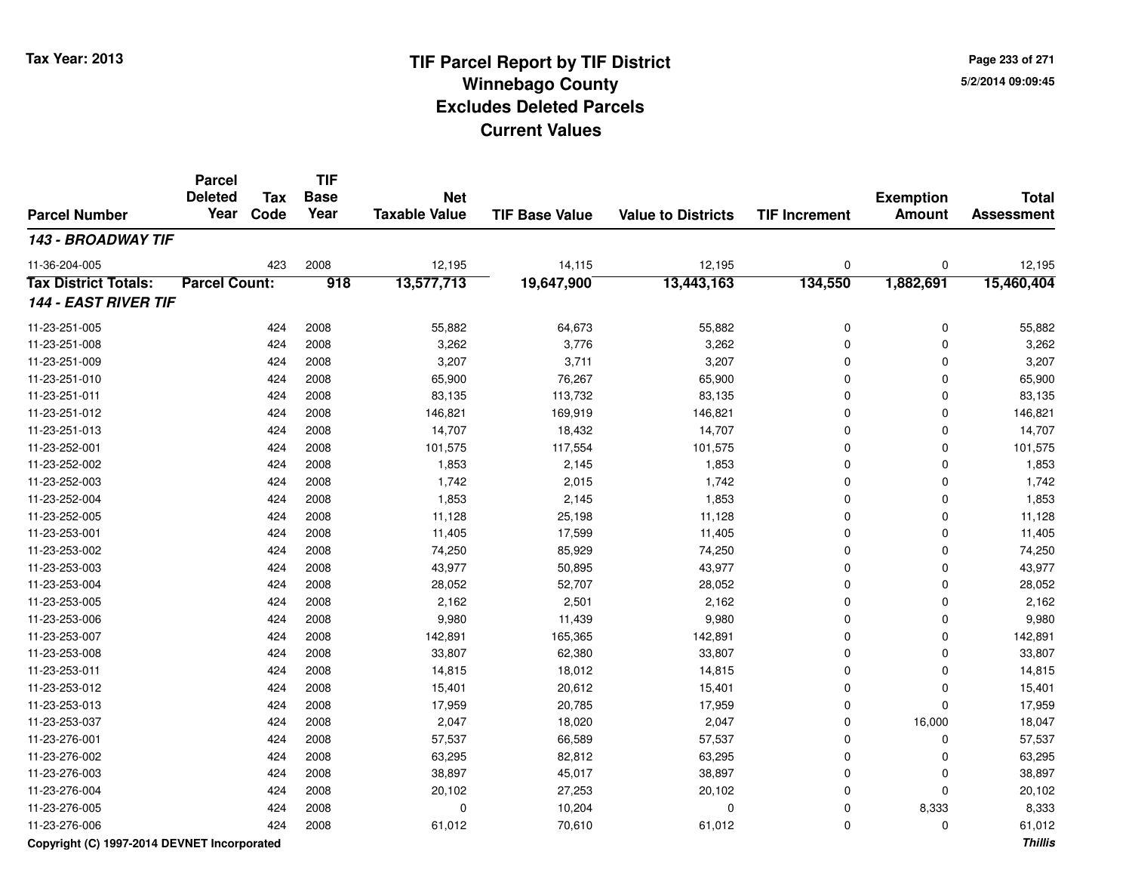**Page 233 of 2715/2/2014 09:09:45**

#### **TIF Base ValueParcel NumberTotal AssessmentExemption Amount Value to Districts TIF IncrementTIF Base YearTax CodeParcel Deleted YearNet Taxable Value143 - BROADWAY TIF**11-36-204-005 <sup>423</sup> 12,195 <sup>2008</sup> 14,115 12,195 <sup>0</sup> <sup>0</sup> 12,195 **Tax District Totals: Parcel Count: <sup>918</sup> 13,577,713 19,647,900 13,443,163 134,550 1,882,691 15,460,404 144 - EAST RIVER TIF**11-23-251-005 <sup>424</sup> 55,882 <sup>2008</sup> 64,673 55,882 <sup>0</sup> <sup>0</sup> 55,882 11-23-251-0088 424 2008 3,262 3,776 3,262 0 0 3,262 11-23-251-0099 424 2008 3,207 3,711 3,207 0 3,207 11-23-251-0100 424 2008 65,900 76,267 65,900 0 0 65,900 11-23-251-0111 424 2008 83,135 113,732 83,135 0 0 83,135 11-23-251-0122 424 2008 146,821 169,919 146,821 0 146,821 11-23-251-0133 424 2008 14,707 18,432 14,707 0 0 14,707 11-23-252-0011 424 2008 101,575 117,554 101,575 0 101,575 11-23-252-0022 424 2008 1,853 2,145 1,853 0 0 1,853 11-23-252-0033 424 2008 1,742 2,015 1,742 0 0 1,742 11-23-252-0044 224 2008 1,853 2,145 2,145 1,853 0 0 0 1,853 11-23-252-005 <sup>424</sup> 11,128 <sup>2008</sup> 25,198 11,128 <sup>0</sup> <sup>0</sup> 11,128 11-23-253-0011 424 2008 11,405 17,599 11,405 0 0 11,405 11-23-253-0022 424 2008 74,250 85,929 74,250 0 0 74,250 11-23-253-0033 424 2008 43,977 50,895 43,977 0 0 43,977 11-23-253-0044 23 2008 28,052 26,052 26,052 27 28,052 28,052 28,052 0 0 28,052 11-23-253-0055 424 2008 2,162 2,501 2,162 0 0 2,162 11-23-253-006 <sup>424</sup> 9,980 <sup>2008</sup> 11,439 9,980 <sup>0</sup> <sup>0</sup> 9,980 11-23-253-007 <sup>424</sup> 142,891 <sup>2008</sup> 165,365 142,891 <sup>0</sup> <sup>0</sup> 142,891 11-23-253-0088 424 2008 33,807 62,380 33,807 0 0 33,807 11-23-253-0111 424 2008 14,815 18,012 14,815 0 0 14,815 11-23-253-0122 424 2008 15,401 20,612 15,401 0 0 15,401 11-23-253-0133 424 2008 17,959 20,785 17,959 0 0 17,959 11-23-253-037 <sup>424</sup> 2,047 <sup>2008</sup> 18,020 2,047 <sup>0</sup> 16,000 18,047 11-23-276-001 <sup>424</sup> 57,537 <sup>2008</sup> 66,589 57,537 <sup>0</sup> <sup>0</sup> 57,537 11-23-276-0022 424 2008 63,295 82,812 63,295 0 0 63,295 11-23-276-0033 424 2008 38,897 45,017 38,897 0 0 38,897 11-23-276-0044 2008 20,102 2008 20,102 27,253 20,102 20,102 0 0 0 20,102 11-23-276-005 <sup>424</sup> <sup>0</sup> <sup>2008</sup> 10,204 <sup>0</sup> <sup>0</sup> 8,333 8,333 11-23-276-006<sup>424</sup> 61,012 <sup>2008</sup> 70,610 61,012 <sup>0</sup> <sup>0</sup> 61,012

### **Copyright (C) 1997-2014 DEVNET Incorporated**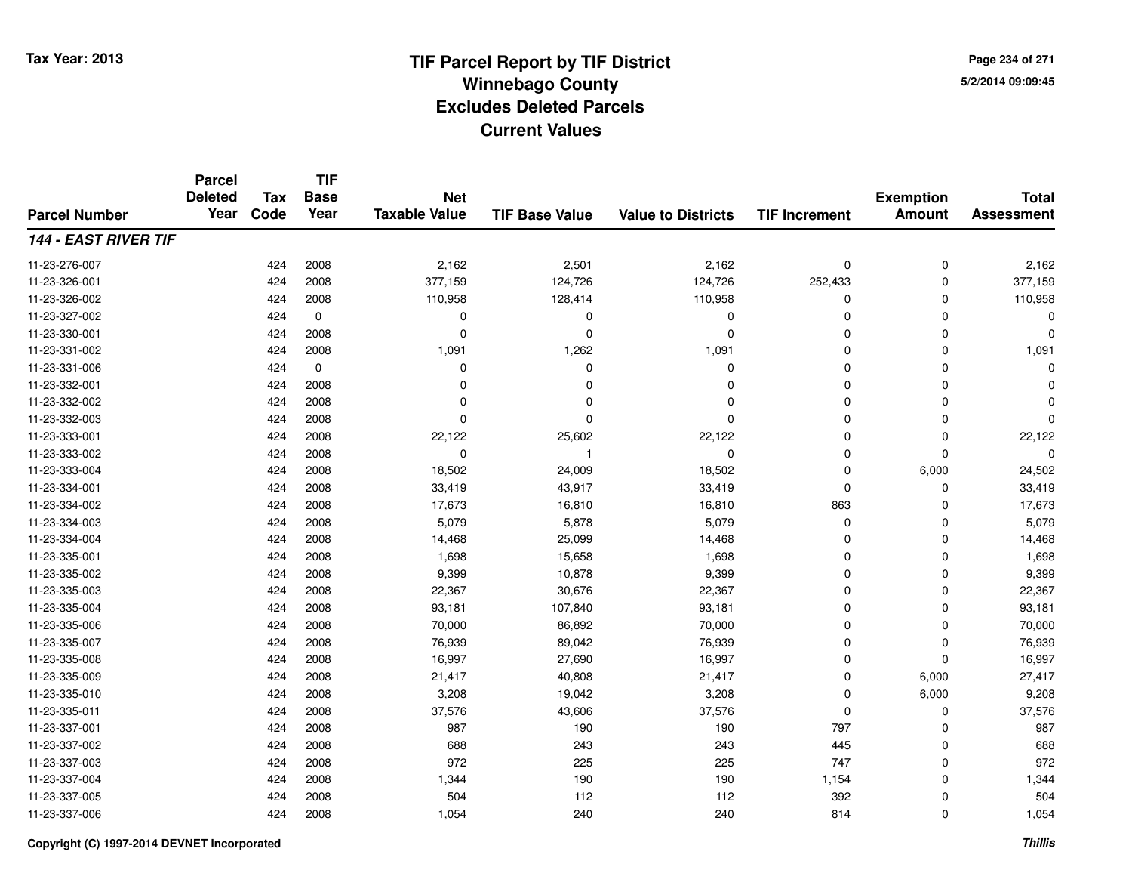**TIF**

**Parcel**

**Page 234 of 2715/2/2014 09:09:45**

#### **TIF Base ValueParcel NumberTotal AssessmentExemption Amount Value to Districts TIF Increment Base YearTax Code Deleted YearNet Taxable Value144 - EAST RIVER TIF**11-23-276-0077 424 2008 2,162 2,501 2,162 0 0 2,162 11-23-326-001 <sup>424</sup> 377,159 <sup>2008</sup> 124,726 124,726 252,433 <sup>0</sup> 377,159 11-23-326-0022 2 2 2008 110,958 128,414 110,958 2 2008 128,414 110,958 110,958 110,958 110,958 11-23-327-002 <sup>424</sup> <sup>0</sup> <sup>0</sup> <sup>0</sup> <sup>0</sup> <sup>0</sup> <sup>0</sup> <sup>0</sup> 11-23-330-001 <sup>424</sup> <sup>0</sup> <sup>2008</sup> <sup>0</sup> <sup>0</sup> <sup>0</sup> <sup>0</sup> <sup>0</sup> 11-23-331-0022 424 2008 1,091 1,262 1,091 0 0 1,091 11-23-331-006 <sup>424</sup> <sup>0</sup> <sup>0</sup> <sup>0</sup> <sup>0</sup> <sup>0</sup> <sup>0</sup> <sup>0</sup> 11-23-332-001 <sup>424</sup> <sup>0</sup> <sup>2008</sup> <sup>0</sup> <sup>0</sup> <sup>0</sup> <sup>0</sup> <sup>0</sup> 11-23-332-002 <sup>424</sup> <sup>0</sup> <sup>2008</sup> <sup>0</sup> <sup>0</sup> <sup>0</sup> <sup>0</sup> <sup>0</sup> 11-23-332-003 <sup>424</sup> <sup>0</sup> <sup>2008</sup> <sup>0</sup> <sup>0</sup> <sup>0</sup> <sup>0</sup> <sup>0</sup> 11-23-333-0011 424 2008 22,122 25,602 22,122 0 0 22,122 11-23-333-002 <sup>424</sup> <sup>0</sup> <sup>2008</sup> <sup>1</sup> <sup>0</sup> <sup>0</sup> <sup>0</sup> <sup>0</sup> 11-23-333-004 <sup>424</sup> 18,502 <sup>2008</sup> 24,009 18,502 <sup>0</sup> 6,000 24,502 11-23-334-0011 424 2008 33,419 43,917 33,419 0 0 33,419 11-23-334-0022 424 2008 17,673 16,810 16,810 863 0 17,673 11-23-334-0033 424 2008 5,079 5,878 5,079 0 0 5,079 11-23-334-004 <sup>424</sup> 14,468 <sup>2008</sup> 25,099 14,468 <sup>0</sup> <sup>0</sup> 14,468 11-23-335-0011 424 2008 1,698 15,658 1,698 0 0 1,698 11-23-335-002 <sup>424</sup> 9,399 <sup>2008</sup> 10,878 9,399 <sup>0</sup> <sup>0</sup> 9,399 11-23-335-0033 424 2008 22,367 30,676 22,367 0 0 22,367 11-23-335-004 <sup>424</sup> 93,181 <sup>2008</sup> 107,840 93,181 <sup>0</sup> <sup>0</sup> 93,181 11-23-335-006 <sup>424</sup> 70,000 <sup>2008</sup> 86,892 70,000 <sup>0</sup> <sup>0</sup> 70,000 11-23-335-007 <sup>424</sup> 76,939 <sup>2008</sup> 89,042 76,939 <sup>0</sup> <sup>0</sup> 76,939 11-23-335-008 <sup>424</sup> 16,997 <sup>2008</sup> 27,690 16,997 <sup>0</sup> <sup>0</sup> 16,997 11-23-335-009 <sup>424</sup> 21,417 <sup>2008</sup> 40,808 21,417 <sup>0</sup> 6,000 27,417 11-23-335-0100 424 2008 3,208 19,042 3,208 0 6,000 9,208 11-23-335-0111 424 2008 37,576 43,606 37,576 0 0 37,576 11-23-337-001 <sup>424</sup> <sup>987</sup> <sup>2008</sup> <sup>190</sup> <sup>190</sup> <sup>797</sup> <sup>0</sup> <sup>987</sup> 11-23-337-002 <sup>424</sup> <sup>688</sup> <sup>2008</sup> <sup>243</sup> <sup>243</sup> <sup>445</sup> <sup>0</sup> <sup>688</sup> 11-23-337-003 <sup>424</sup> <sup>972</sup> <sup>2008</sup> <sup>225</sup> <sup>225</sup> <sup>747</sup> <sup>0</sup> <sup>972</sup> 11-23-337-004 <sup>424</sup> 1,344 <sup>2008</sup> <sup>190</sup> <sup>190</sup> 1,154 <sup>0</sup> 1,344 11-23-337-005 <sup>424</sup> <sup>504</sup> <sup>2008</sup> <sup>112</sup> <sup>112</sup> <sup>392</sup> <sup>0</sup> <sup>504</sup> 11-23-337-006<sup>424</sup> 1,054 <sup>2008</sup> <sup>240</sup> <sup>240</sup> <sup>814</sup> <sup>0</sup> 1,054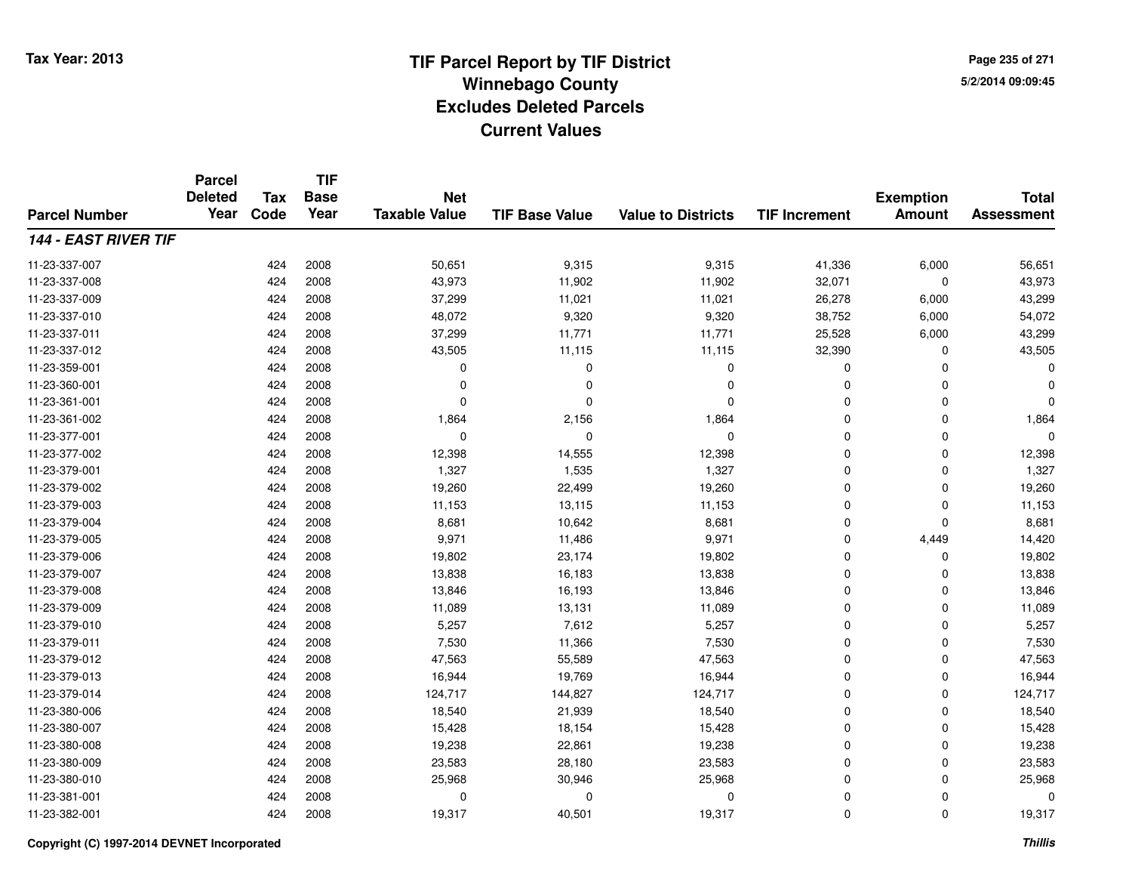**TIF**

**Parcel**

**Page 235 of 2715/2/2014 09:09:45**

#### **TIF Base ValueParcel NumberTotal AssessmentExemption Amount Value to Districts TIF Increment Base YearTax Code Deleted YearNet Taxable Value144 - EAST RIVER TIF**11-23-337-007 <sup>424</sup> 50,651 <sup>2008</sup> 9,315 9,315 41,336 6,000 56,651 11-23-337-008 <sup>424</sup> 43,973 <sup>2008</sup> 11,902 11,902 32,071 <sup>0</sup> 43,973 11-23-337-0099 424 2008 37,299 11,021 26,278 6,000 43,299 11-23-337-0100 424 2008 48,072 9,320 9,320 38,752 6,000 54,072 11-23-337-011 <sup>424</sup> 37,299 <sup>2008</sup> 11,771 11,771 25,528 6,000 43,299 11-23-337-012 <sup>424</sup> 43,505 <sup>2008</sup> 11,115 11,115 32,390 <sup>0</sup> 43,505 11-23-359-001 <sup>424</sup> <sup>0</sup> <sup>2008</sup> <sup>0</sup> <sup>0</sup> <sup>0</sup> <sup>0</sup> <sup>0</sup> 11-23-360-001 <sup>424</sup> <sup>0</sup> <sup>2008</sup> <sup>0</sup> <sup>0</sup> <sup>0</sup> <sup>0</sup> <sup>0</sup> 11-23-361-001 <sup>424</sup> <sup>0</sup> <sup>2008</sup> <sup>0</sup> <sup>0</sup> <sup>0</sup> <sup>0</sup> <sup>0</sup> 11-23-361-0022 2 424 2008 1,864 2,156 1,864 0 0 1,864 11-23-377-001 <sup>424</sup> <sup>0</sup> <sup>2008</sup> <sup>0</sup> <sup>0</sup> <sup>0</sup> <sup>0</sup> <sup>0</sup> 11-23-377-0022 2 424 2008 12,398 14,555 12,398 0 0 12,398 11-23-379-0011 424 2008 1,327 1,535 1,327 0 0 1,327 11-23-379-0022 424 2008 19,260 22,499 19,260 0 0 19,260 11-23-379-003 <sup>424</sup> 11,153 <sup>2008</sup> 13,115 11,153 <sup>0</sup> <sup>0</sup> 11,153 11-23-379-0044 224 8008 8,681 10,642 8,681 8,681 8,681 8 200 8,681 0 0 8,681 11-23-379-005 <sup>424</sup> 9,971 <sup>2008</sup> 11,486 9,971 <sup>0</sup> 4,449 14,420 11-23-379-006 <sup>424</sup> 19,802 <sup>2008</sup> 23,174 19,802 <sup>0</sup> <sup>0</sup> 19,802 11-23-379-007 <sup>424</sup> 13,838 <sup>2008</sup> 16,183 13,838 <sup>0</sup> <sup>0</sup> 13,838 11-23-379-0088 424 2008 13,846 16,193 13,846 0 0 13,846 11-23-379-009 <sup>424</sup> 11,089 <sup>2008</sup> 13,131 11,089 <sup>0</sup> <sup>0</sup> 11,089 11-23-379-0100 424 2008 5,257 7,612 5,257 0 0 5,257 11-23-379-0111 424 2008 7,530 11,366 7,530 0 7,530 11-23-379-0122 424 2008 47,563 55,589 47,563 0 0 47,563 11-23-379-0133 424 2008 16,944 19,769 16,944 0 0 16,944 11-23-379-014 <sup>424</sup> 124,717 <sup>2008</sup> 144,827 124,717 <sup>0</sup> <sup>0</sup> 124,717 11-23-380-006 <sup>424</sup> 18,540 <sup>2008</sup> 21,939 18,540 <sup>0</sup> <sup>0</sup> 18,540 11-23-380-007 <sup>424</sup> 15,428 <sup>2008</sup> 18,154 15,428 <sup>0</sup> <sup>0</sup> 15,428 11-23-380-008 <sup>424</sup> 19,238 <sup>2008</sup> 22,861 19,238 <sup>0</sup> <sup>0</sup> 19,238 11-23-380-0099 424 2008 23,583 28,180 23,583 0 0 23,583 11-23-380-0100 424 2008 25,968 30,946 25,968 0 0 25,968 11-23-381-001 <sup>424</sup> <sup>0</sup> <sup>2008</sup> <sup>0</sup> <sup>0</sup> <sup>0</sup> <sup>0</sup> <sup>0</sup> 11-23-382-0011 424 2008 19,317 40,501 19,317 0 0 19,317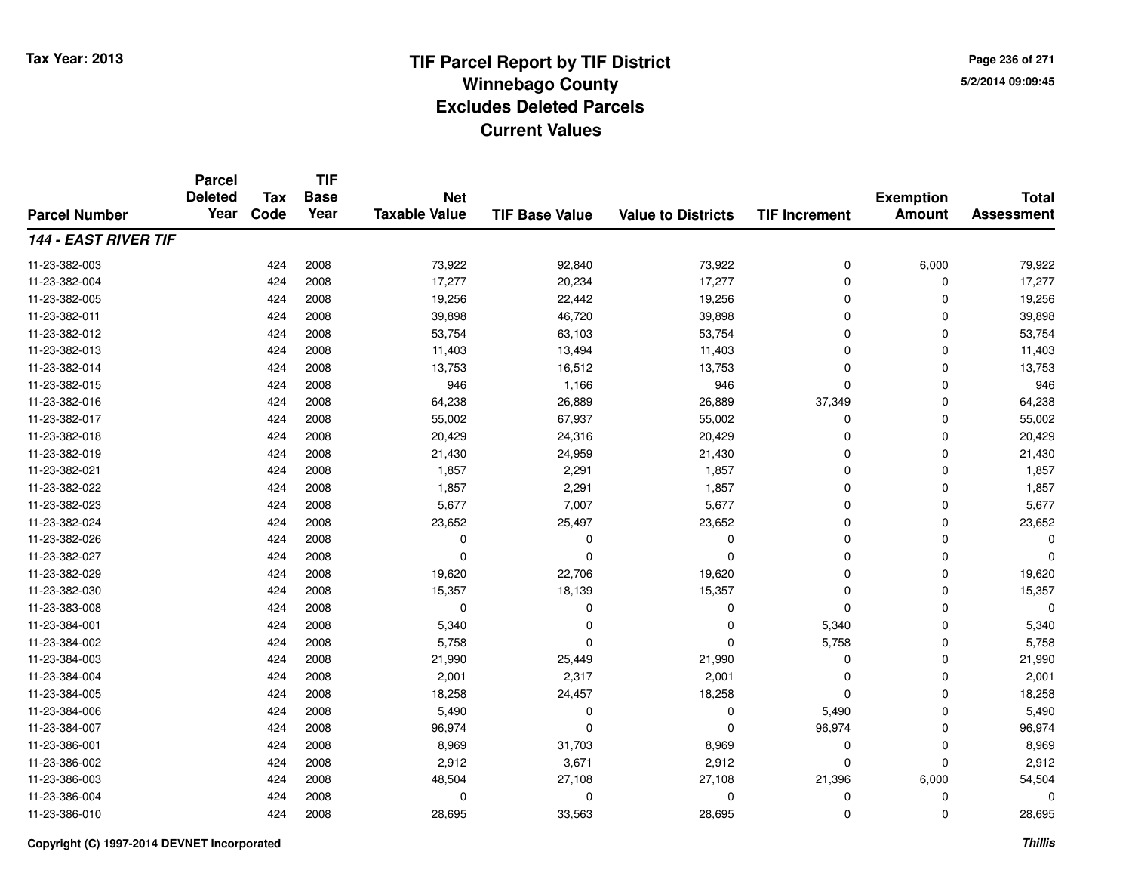**TIF**

**Parcel**

**Page 236 of 2715/2/2014 09:09:45**

#### **TIF Base ValueParcel NumberTotal AssessmentExemption Amount Value to Districts TIF Increment Base YearTax Code Deleted YearNet Taxable Value144 - EAST RIVER TIF**11-23-382-0033 424 2008 73,922 92,840 73,922 0 6,000 79,922 11-23-382-0044 17,277 2008 17,277 20,234 17,277 20,234 17,277 20,234 17,277 20 0 17,277 11-23-382-005 <sup>424</sup> 19,256 <sup>2008</sup> 22,442 19,256 <sup>0</sup> <sup>0</sup> 19,256 11-23-382-0111 424 2008 39,898 46,720 39,898 0 0 39,898 11-23-382-0122 424 2008 53,754 63,103 53,754 0 0 53,754 11-23-382-0133 424 2008 11,403 13,494 11,403 0 11,403 11-23-382-014 <sup>424</sup> 13,753 <sup>2008</sup> 16,512 13,753 <sup>0</sup> <sup>0</sup> 13,753 11-23-382-0155 424 2008 946 1,166 946 0 0 946 11-23-382-0166 424 2008 64,238 26,889 26,889 37,349 0 64,238 11-23-382-017 <sup>424</sup> 55,002 <sup>2008</sup> 67,937 55,002 <sup>0</sup> <sup>0</sup> 55,002 11-23-382-018 <sup>424</sup> 20,429 <sup>2008</sup> 24,316 20,429 <sup>0</sup> <sup>0</sup> 20,429 11-23-382-019 <sup>424</sup> 21,430 <sup>2008</sup> 24,959 21,430 <sup>0</sup> <sup>0</sup> 21,430 11-23-382-0211 424 2008 1,857 2,291 1,857 0 0 1,857 11-23-382-0222 424 2008 1,857 2,291 1,857 0 0 1,857 11-23-382-0233 424 2008 5,677 7,007 5,677 0 0 5,677 11-23-382-0244 23,652 23,652 23,652 23,652 25,497 23,652 23,652 0 0 0 23,652 11-23-382-026 <sup>424</sup> <sup>0</sup> <sup>2008</sup> <sup>0</sup> <sup>0</sup> <sup>0</sup> <sup>0</sup> <sup>0</sup> 11-23-382-027 <sup>424</sup> <sup>0</sup> <sup>2008</sup> <sup>0</sup> <sup>0</sup> <sup>0</sup> <sup>0</sup> <sup>0</sup> 11-23-382-0299 424 2008 19,620 22,706 19,620 0 0 19,620 11-23-382-0300 424 2008 15,357 18,139 15,357 0 0 15,357 11-23-383-008 <sup>424</sup> <sup>0</sup> <sup>2008</sup> <sup>0</sup> <sup>0</sup> <sup>0</sup> <sup>0</sup> <sup>0</sup> 11-23-384-0011 1 2 3 340 2008 5,340 5,340 0 5,340 5,340 5,340 0 5,340 5,340 11-23-384-002 <sup>424</sup> 5,758 <sup>2008</sup> <sup>0</sup> <sup>0</sup> 5,758 <sup>0</sup> 5,758 11-23-384-0033 424 2008 21,990 25,449 21,990 0 0 21,990 11-23-384-0044 424 2008 2,001 2,317 2,001 0 0 2,001 11-23-384-005 <sup>424</sup> 18,258 <sup>2008</sup> 24,457 18,258 <sup>0</sup> <sup>0</sup> 18,258 11-23-384-006 <sup>424</sup> 5,490 <sup>2008</sup> <sup>0</sup> <sup>0</sup> 5,490 <sup>0</sup> 5,490 11-23-384-007 <sup>424</sup> 96,974 <sup>2008</sup> <sup>0</sup> <sup>0</sup> 96,974 <sup>0</sup> 96,974 11-23-386-0011 424 2008 8,969 31,703 8,969 0 0 8,969 11-23-386-0022 424 2008 2,912 3,671 2,912 0 0 2,912 11-23-386-0033 424 2008 48,504 27,108 27,108 21,396 6,000 54,504 11-23-386-004 <sup>424</sup> <sup>0</sup> <sup>2008</sup> <sup>0</sup> <sup>0</sup> <sup>0</sup> <sup>0</sup> <sup>0</sup> 11-23-386-0100 424 2008 28,695 33,563 28,695 0 0 28,695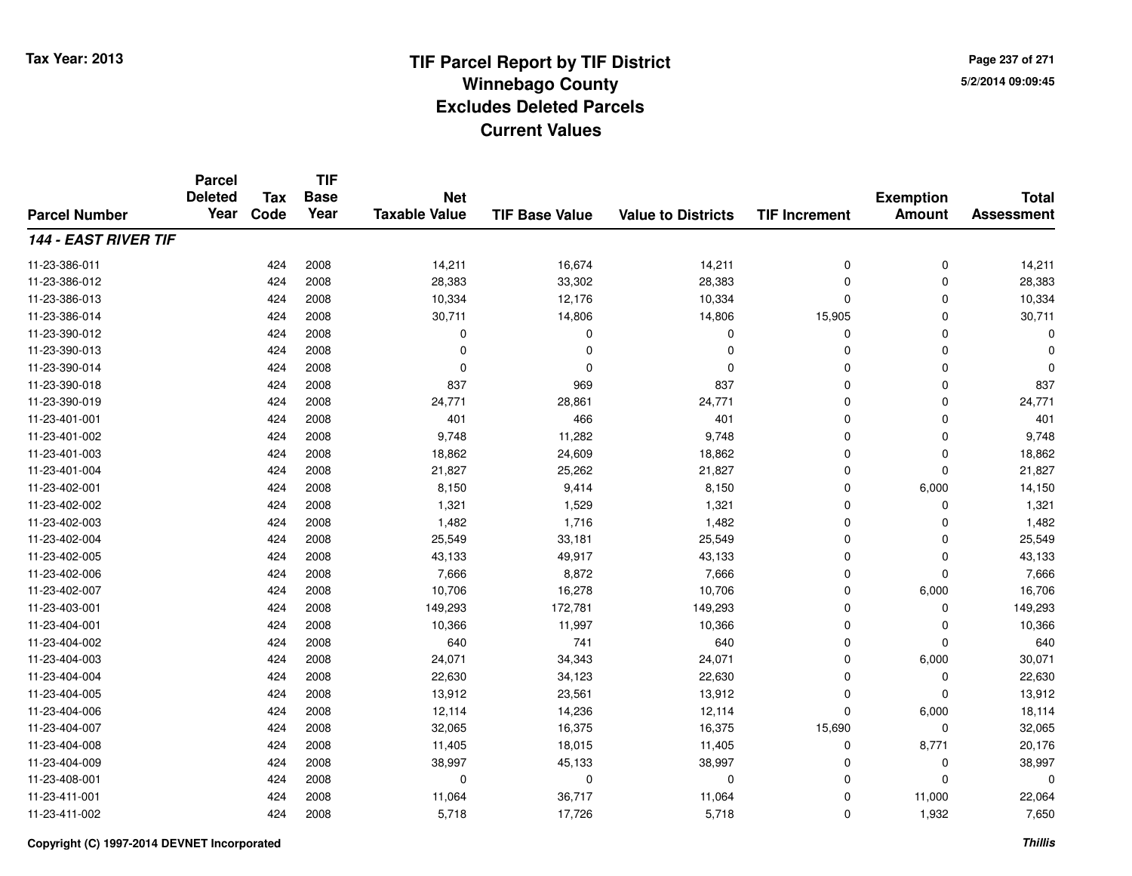**TIF**

**Parcel**

**Page 237 of 2715/2/2014 09:09:45**

#### **TIF Base ValueParcel NumberTotal AssessmentExemption Amount Value to Districts TIF Increment Base YearTax Code Deleted YearNet Taxable Value144 - EAST RIVER TIF**11-23-386-0111 424 2008 14,211 16,674 14,211 0 0 14,211 11-23-386-0122 424 2008 28,383 33,302 28,383 0 0 28,383 11-23-386-0133 424 2008 10,334 12,176 10,334 0 0 10,334 11-23-386-014 <sup>424</sup> 30,711 <sup>2008</sup> 14,806 14,806 15,905 <sup>0</sup> 30,711 11-23-390-012 <sup>424</sup> <sup>0</sup> <sup>2008</sup> <sup>0</sup> <sup>0</sup> <sup>0</sup> <sup>0</sup> <sup>0</sup> 11-23-390-013 <sup>424</sup> <sup>0</sup> <sup>2008</sup> <sup>0</sup> <sup>0</sup> <sup>0</sup> <sup>0</sup> <sup>0</sup> 11-23-390-014 <sup>424</sup> <sup>0</sup> <sup>2008</sup> <sup>0</sup> <sup>0</sup> <sup>0</sup> <sup>0</sup> <sup>0</sup> 11-23-390-018 <sup>424</sup> <sup>837</sup> <sup>2008</sup> <sup>969</sup> <sup>837</sup> <sup>0</sup> <sup>0</sup> <sup>837</sup> 11-23-390-019 <sup>424</sup> 24,771 <sup>2008</sup> 28,861 24,771 <sup>0</sup> <sup>0</sup> 24,771 11-23-401-0011 424 2008 401 466 401 0 401 11-23-401-0022 424 2008 9,748 11,282 9,748 0 0 9,748 11-23-401-0033 424 2008 18,862 24,609 18,862 0 0 18,862 11-23-401-004 <sup>424</sup> 21,827 <sup>2008</sup> 25,262 21,827 <sup>0</sup> <sup>0</sup> 21,827 11-23-402-0011 424 2008 8,150 9,414 8,150 0 6,000 14,150 11-23-402-0022 424 2008 1,321 1,529 1,321 0 0 1,321 11-23-402-0033 424 2008 1,482 1,716 1,482 0 0 1,482 11-23-402-0044 2008 25,549 2008 25,549 33,181 25,549 25,549 0 0 0 25,549 11-23-402-005 <sup>424</sup> 43,133 <sup>2008</sup> 49,917 43,133 <sup>0</sup> <sup>0</sup> 43,133 11-23-402-0066 424 2008 7,666 8,872 7,666 0 0 7,666 11-23-402-007 <sup>424</sup> 10,706 <sup>2008</sup> 16,278 10,706 <sup>0</sup> 6,000 16,706 11-23-403-0011 424 2008 149,293 172,781 149,293 0 149,293 11-23-404-0011 424 2008 10,366 11,997 10,366 0 0 10,366 11-23-404-0022 424 2008 640 741 640 0 0 640 11-23-404-0033 424 2008 24,071 34,343 24,071 0 6,000 30,071 11-23-404-004 <sup>424</sup> 22,630 <sup>2008</sup> 34,123 22,630 <sup>0</sup> <sup>0</sup> 22,630 11-23-404-005 <sup>424</sup> 13,912 <sup>2008</sup> 23,561 13,912 <sup>0</sup> <sup>0</sup> 13,912 11-23-404-006 <sup>424</sup> 12,114 <sup>2008</sup> 14,236 12,114 <sup>0</sup> 6,000 18,114 11-23-404-007 <sup>424</sup> 32,065 <sup>2008</sup> 16,375 16,375 15,690 <sup>0</sup> 32,065 11-23-404-008 <sup>424</sup> 11,405 <sup>2008</sup> 18,015 11,405 <sup>0</sup> 8,771 20,176 11-23-404-009 <sup>424</sup> 38,997 <sup>2008</sup> 45,133 38,997 <sup>0</sup> <sup>0</sup> 38,997 11-23-408-001 <sup>424</sup> <sup>0</sup> <sup>2008</sup> <sup>0</sup> <sup>0</sup> <sup>0</sup> <sup>0</sup> <sup>0</sup> 11-23-411-0011 424 2008 11,064 36,717 11,064 0 11,000 22,064 11-23-411-002<sup>424</sup> 5,718 <sup>2008</sup> 17,726 5,718 <sup>0</sup> 1,932 7,650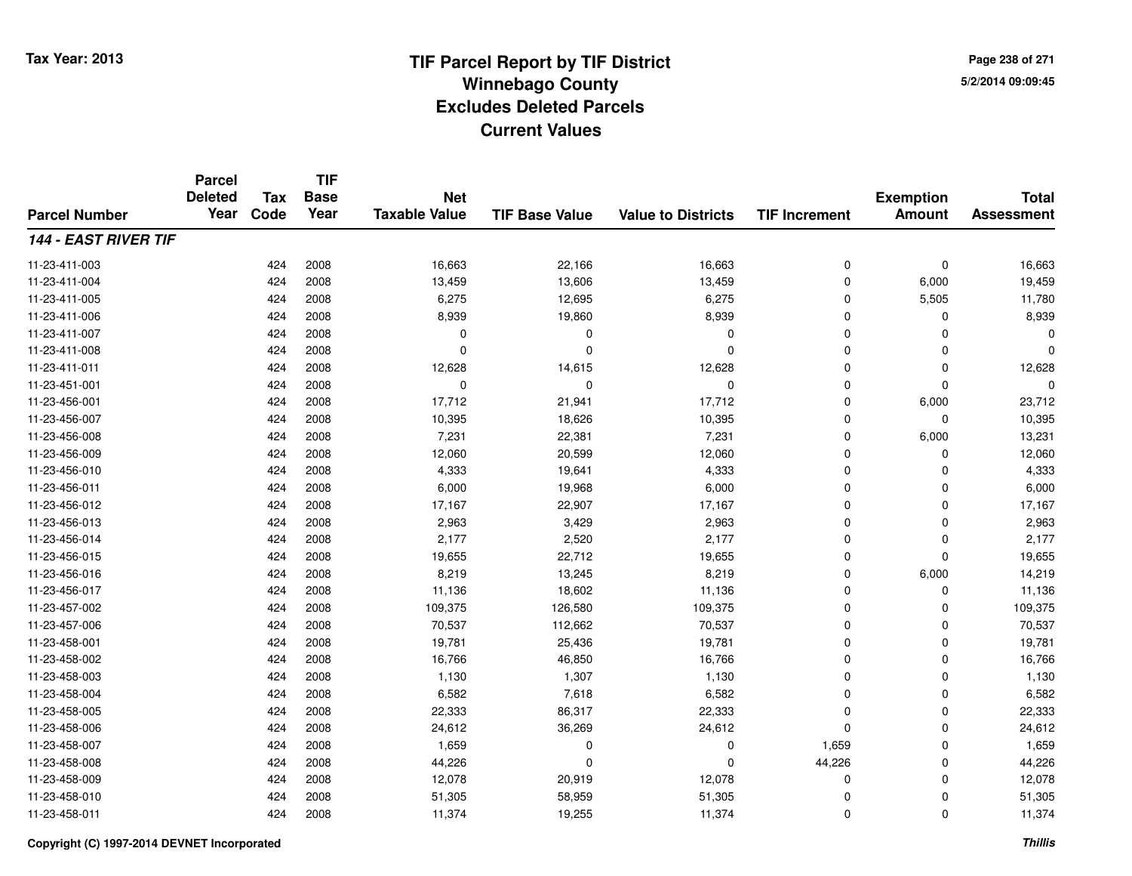**TIF**

**Parcel**

**Page 238 of 2715/2/2014 09:09:45**

#### **TIF Base ValueParcel NumberTotal AssessmentExemption Amount Value to Districts TIF Increment Base YearTax Code Deleted YearNet Taxable Value144 - EAST RIVER TIF**11-23-411-0033 424 2008 16,663 22,166 16,663 0 0 16,663 11-23-411-004 <sup>424</sup> 13,459 <sup>2008</sup> 13,606 13,459 <sup>0</sup> 6,000 19,459 11-23-411-0055 424 2008 6,275 12,695 6,275 0 5,505 11,780 11-23-411-006 <sup>424</sup> 8,939 <sup>2008</sup> 19,860 8,939 <sup>0</sup> <sup>0</sup> 8,939 11-23-411-007 <sup>424</sup> <sup>0</sup> <sup>2008</sup> <sup>0</sup> <sup>0</sup> <sup>0</sup> <sup>0</sup> <sup>0</sup> 11-23-411-008 <sup>424</sup> <sup>0</sup> <sup>2008</sup> <sup>0</sup> <sup>0</sup> <sup>0</sup> <sup>0</sup> <sup>0</sup> 11-23-411-0111 424 2008 12,628 14,615 12,628 0 0 12,628 11-23-451-001 <sup>424</sup> <sup>0</sup> <sup>2008</sup> <sup>0</sup> <sup>0</sup> <sup>0</sup> <sup>0</sup> <sup>0</sup> 11-23-456-0011 424 2008 17,712 21,941 17,712 0 6,000 23,712 11-23-456-007 <sup>424</sup> 10,395 <sup>2008</sup> 18,626 10,395 <sup>0</sup> <sup>0</sup> 10,395 11-23-456-008 <sup>424</sup> 7,231 <sup>2008</sup> 22,381 7,231 <sup>0</sup> 6,000 13,231 11-23-456-009 <sup>424</sup> 12,060 <sup>2008</sup> 20,599 12,060 <sup>0</sup> <sup>0</sup> 12,060 11-23-456-0100 424 2008 4,333 19,641 4,333 0 0 4,333 11-23-456-0111 424 2008 6,000 19,968 6,000 0 0 6,000 11-23-456-012 <sup>424</sup> 17,167 <sup>2008</sup> 22,907 17,167 <sup>0</sup> <sup>0</sup> 17,167 11-23-456-0133 2,963 2,963 2,963 2,963 2,963 3,429 2,963 2,963 2,963 2,963 2,963 2,963 2,963 2,963 2,963 2,963 2,963 2,963 2,963 11-23-456-014 <sup>424</sup> 2,177 <sup>2008</sup> 2,520 2,177 <sup>0</sup> <sup>0</sup> 2,177 11-23-456-015 <sup>424</sup> 19,655 <sup>2008</sup> 22,712 19,655 <sup>0</sup> <sup>0</sup> 19,655 11-23-456-016 <sup>424</sup> 8,219 <sup>2008</sup> 13,245 8,219 <sup>0</sup> 6,000 14,219 11-23-456-017 <sup>424</sup> 11,136 <sup>2008</sup> 18,602 11,136 <sup>0</sup> <sup>0</sup> 11,136 11-23-457-0022 424 2008 109,375 126,580 109,375 0 0 109,375 11-23-457-006 <sup>424</sup> 70,537 <sup>2008</sup> 112,662 70,537 <sup>0</sup> <sup>0</sup> 70,537 11-23-458-0011 424 2008 19,781 25,436 19,781 0 0 19,781 11-23-458-0022 424 2008 16,766 46,850 16,766 0 0 16,766 11-23-458-0033 23 2008 1,130 1,307 1,130 1,130 1,130 0 0 0 1,130 11-23-458-0044 424 2008 6,582 7,618 6,582 0 0 6,582 11-23-458-005 <sup>424</sup> 22,333 <sup>2008</sup> 86,317 22,333 <sup>0</sup> <sup>0</sup> 22,333 11-23-458-0066 424 2008 24,612 36,269 24,612 0 0 24,612 11-23-458-007 <sup>424</sup> 1,659 <sup>2008</sup> <sup>0</sup> <sup>0</sup> 1,659 <sup>0</sup> 1,659 11-23-458-0088 424 2008 44,226 0 0 44,226 0 44,226 11-23-458-009 <sup>424</sup> 12,078 <sup>2008</sup> 20,919 12,078 <sup>0</sup> <sup>0</sup> 12,078 11-23-458-0100 424 2008 51,305 58,959 51,305 0 0 51,305 11-23-458-0111 424 2008 11,374 19,255 11,374 0 0 11,374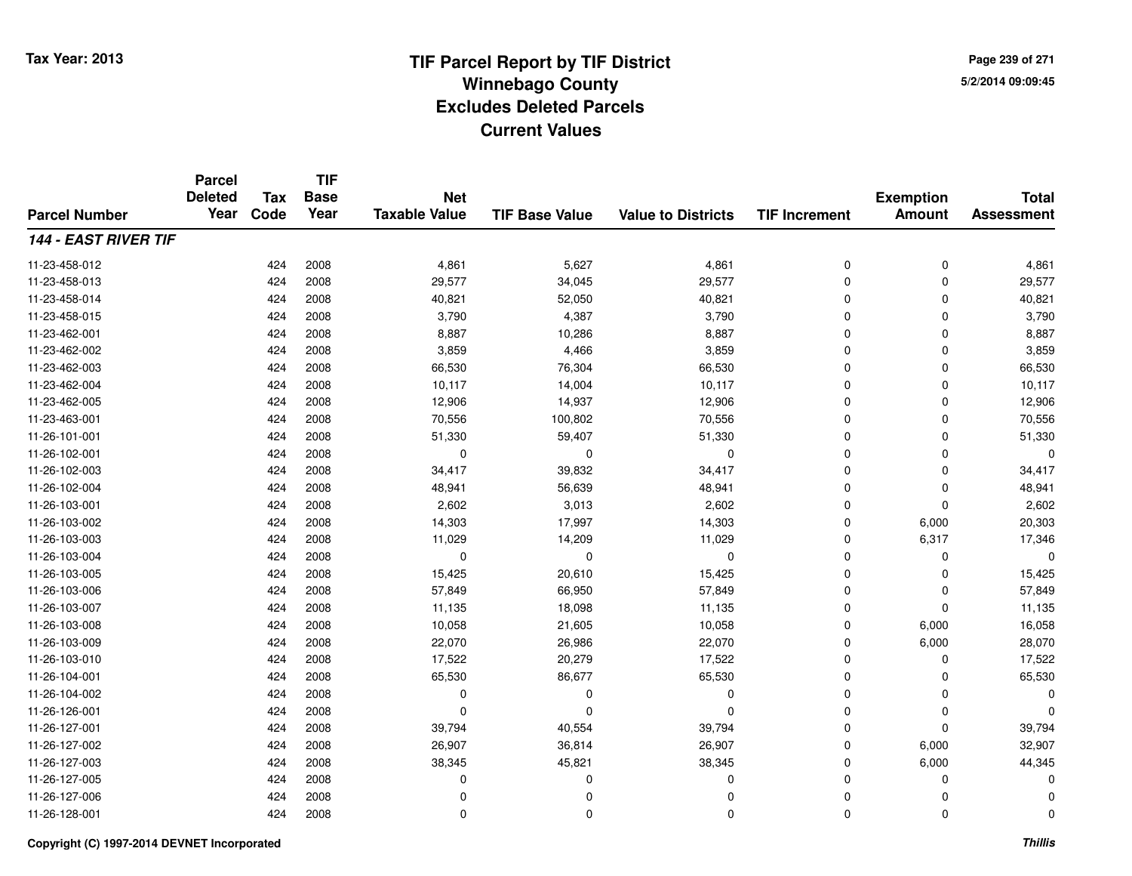**TIF**

**Parcel**

**Page 239 of 2715/2/2014 09:09:45**

#### **TIF Base ValueParcel NumberTotal AssessmentExemption Amount Value to Districts TIF Increment Base YearTax Code Deleted YearNet Taxable Value144 - EAST RIVER TIF**11-23-458-0122 424 2008 4,861 5,627 4,861 0 0 4,861 11-23-458-0133 424 2008 29,577 34,045 29,577 0 0 29,577 11-23-458-014 <sup>424</sup> 40,821 <sup>2008</sup> 52,050 40,821 <sup>0</sup> <sup>0</sup> 40,821 11-23-458-015 <sup>424</sup> 3,790 <sup>2008</sup> 4,387 3,790 <sup>0</sup> <sup>0</sup> 3,790 11-23-462-0011 424 2008 8,887 10,286 8,887 0 0 8,887 11-23-462-0022 424 2008 3,859 4,466 3,859 0 0 3,859 11-23-462-0033 424 2008 66,530 76,304 66,530 0 0 66,530 11-23-462-0044 10,117 11,117 14,004 10,117 10,117 10,117 10,117 10,117 10 0 0 10,117 11-23-462-005 <sup>424</sup> 12,906 <sup>2008</sup> 14,937 12,906 <sup>0</sup> <sup>0</sup> 12,906 11-23-463-0011 424 2008 70,556 100,802 70,556 0 0 70,556 11-26-101-0011 424 2008 51,330 59,407 51,330 0 0 51,330 11-26-102-001 <sup>424</sup> <sup>0</sup> <sup>2008</sup> <sup>0</sup> <sup>0</sup> <sup>0</sup> <sup>0</sup> <sup>0</sup> 11-26-102-003 <sup>424</sup> 34,417 <sup>2008</sup> 39,832 34,417 <sup>0</sup> <sup>0</sup> 34,417 11-26-102-004 <sup>424</sup> 48,941 <sup>2008</sup> 56,639 48,941 <sup>0</sup> <sup>0</sup> 48,941 11-26-103-0011 424 2008 2,602 3,013 2,602 0 2,602 11-26-103-0022 424 2008 14,303 17,997 14,303 0 6,000 20,303 11-26-103-0033 424 2008 11,029 14,209 11,029 0 6,317 17,346 11-26-103-004 <sup>424</sup> <sup>0</sup> <sup>2008</sup> <sup>0</sup> <sup>0</sup> <sup>0</sup> <sup>0</sup> <sup>0</sup> 11-26-103-005 <sup>424</sup> 15,425 <sup>2008</sup> 20,610 15,425 <sup>0</sup> <sup>0</sup> 15,425 11-26-103-0066 424 2008 57,849 66,950 57,849 0 0 57,849 11-26-103-007 <sup>424</sup> 11,135 <sup>2008</sup> 18,098 11,135 <sup>0</sup> <sup>0</sup> 11,135 11-26-103-0088 424 2008 10,058 21,605 10,058 0 6,000 16,058 11-26-103-009 <sup>424</sup> 22,070 <sup>2008</sup> 26,986 22,070 <sup>0</sup> 6,000 28,070 11-26-103-0100 424 2008 17,522 20,279 17,522 0 0 17,522 11-26-104-0011 424 2008 65,530 86,677 65,530 0 0 65,530 11-26-104-002 <sup>424</sup> <sup>0</sup> <sup>2008</sup> <sup>0</sup> <sup>0</sup> <sup>0</sup> <sup>0</sup> <sup>0</sup> 11-26-126-001 <sup>424</sup> <sup>0</sup> <sup>2008</sup> <sup>0</sup> <sup>0</sup> <sup>0</sup> <sup>0</sup> <sup>0</sup> 11-26-127-0011 424 2008 39,794 40,554 39,794 0 0 39,794 11-26-127-0022 424 2008 26,907 36,814 26,907 0 6,000 32,907 11-26-127-0033 424 2008 38,345 45,821 38,345 0 6,000 44,345 11-26-127-005 <sup>424</sup> <sup>0</sup> <sup>2008</sup> <sup>0</sup> <sup>0</sup> <sup>0</sup> <sup>0</sup> <sup>0</sup> 11-26-127-006 <sup>424</sup> <sup>0</sup> <sup>2008</sup> <sup>0</sup> <sup>0</sup> <sup>0</sup> <sup>0</sup> <sup>0</sup> 11-26-128-001<sup>424</sup> <sup>0</sup> <sup>2008</sup> <sup>0</sup> <sup>0</sup> <sup>0</sup> <sup>0</sup> <sup>0</sup>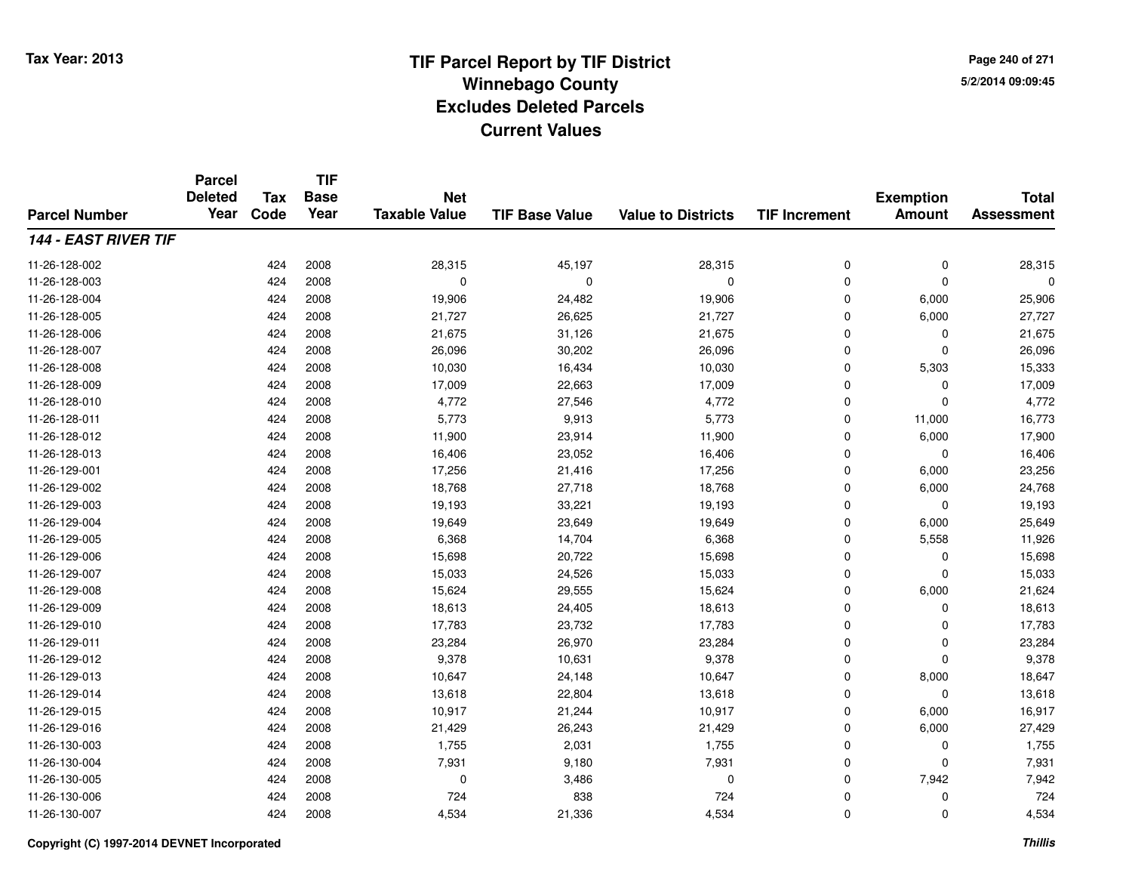**TIF**

**Parcel**

**Page 240 of 2715/2/2014 09:09:45**

#### **TIF Base ValueParcel NumberTotal AssessmentExemption Amount Value to Districts TIF Increment Base YearTax Code Deleted YearNet Taxable Value144 - EAST RIVER TIF**11-26-128-0022 424 2008 28,315 45,197 28,315 0 0 28,315 11-26-128-003 <sup>424</sup> <sup>0</sup> <sup>2008</sup> <sup>0</sup> <sup>0</sup> <sup>0</sup> <sup>0</sup> <sup>0</sup> 11-26-128-004 <sup>424</sup> 19,906 <sup>2008</sup> 24,482 19,906 <sup>0</sup> 6,000 25,906 11-26-128-005 <sup>424</sup> 21,727 <sup>2008</sup> 26,625 21,727 <sup>0</sup> 6,000 27,727 11-26-128-0066 424 2008 21,675 31,126 21,675 0 0 21,675 11-26-128-007 <sup>424</sup> 26,096 <sup>2008</sup> 30,202 26,096 <sup>0</sup> <sup>0</sup> 26,096 11-26-128-008 <sup>424</sup> 10,030 <sup>2008</sup> 16,434 10,030 <sup>0</sup> 5,303 15,333 11-26-128-009 <sup>424</sup> 17,009 <sup>2008</sup> 22,663 17,009 <sup>0</sup> <sup>0</sup> 17,009 11-26-128-0100 1 224 2008 1,772 27,546 27,546 4,772 0 0 0 4,772 11-26-128-011 <sup>424</sup> 5,773 <sup>2008</sup> 9,913 5,773 <sup>0</sup> 11,000 16,773 11-26-128-012 <sup>424</sup> 11,900 <sup>2008</sup> 23,914 11,900 <sup>0</sup> 6,000 17,900 11-26-128-0133 424 2008 16,406 23,052 16,406 0 0 16,406 11-26-129-0011 424 2008 17,256 21,416 17,256 0 6,000 23,256 11-26-129-0022 424 2008 18,768 27,718 18,768 0 6,000 24,768 11-26-129-0033 424 2008 19,193 33,221 19,193 0 0 19,193 11-26-129-004 <sup>424</sup> 19,649 <sup>2008</sup> 23,649 19,649 <sup>0</sup> 6,000 25,649 11-26-129-0055 424 2008 6,368 14,704 6,368 0 5,558 11,926 11-26-129-0066 424 2008 15,698 20,722 15,698 0 0 15,698 11-26-129-007 <sup>424</sup> 15,033 <sup>2008</sup> 24,526 15,033 <sup>0</sup> <sup>0</sup> 15,033 11-26-129-0088 424 2008 15,624 29,555 15,624 0 6,000 21,624 11-26-129-0099 424 2008 18,613 24,405 18,613 0 0 18,613 11-26-129-010 <sup>424</sup> 17,783 <sup>2008</sup> 23,732 17,783 <sup>0</sup> <sup>0</sup> 17,783 11-26-129-0111 424 2008 23,284 26,970 23,284 0 0 23,284 11-26-129-0122 424 2008 9,378 10,631 9,378 0 0 9,378 11-26-129-0133 424 2008 10,647 24,148 10,647 0 8,000 18,647 11-26-129-0144 424 2008 13,618 22,804 13,618 0 0 13,618 11-26-129-015 <sup>424</sup> 10,917 <sup>2008</sup> 21,244 10,917 <sup>0</sup> 6,000 16,917 11-26-129-016 <sup>424</sup> 21,429 <sup>2008</sup> 26,243 21,429 <sup>0</sup> 6,000 27,429 11-26-130-0033 424 2008 1,755 2,031 1,755 0 0 1,755 11-26-130-004 <sup>424</sup> 7,931 <sup>2008</sup> 9,180 7,931 <sup>0</sup> <sup>0</sup> 7,931 11-26-130-005 <sup>424</sup> <sup>0</sup> <sup>2008</sup> 3,486 <sup>0</sup> <sup>0</sup> 7,942 7,942 11-26-130-006 <sup>424</sup> <sup>724</sup> <sup>2008</sup> <sup>838</sup> <sup>724</sup> <sup>0</sup> <sup>0</sup> <sup>724</sup> 11-26-130-007<sup>424</sup> 4,534 <sup>2008</sup> 21,336 4,534 <sup>0</sup> <sup>0</sup> 4,534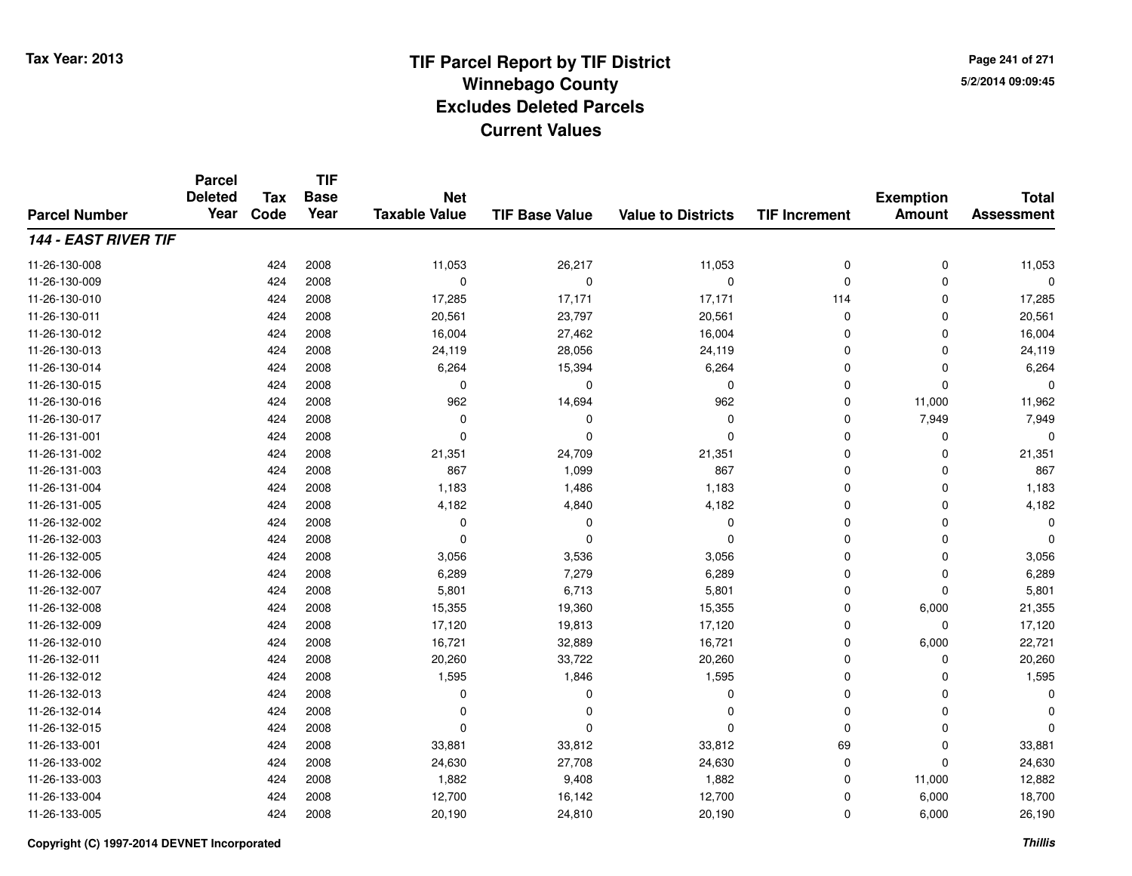**TIF**

**Parcel**

**Page 241 of 2715/2/2014 09:09:45**

#### **TIF Base ValueParcel NumberTotal AssessmentExemption Amount Value to Districts TIF Increment Base YearTax Code Deleted YearNet Taxable Value144 - EAST RIVER TIF**11-26-130-008 <sup>424</sup> 11,053 <sup>2008</sup> 26,217 11,053 <sup>0</sup> <sup>0</sup> 11,053 11-26-130-009 <sup>424</sup> <sup>0</sup> <sup>2008</sup> <sup>0</sup> <sup>0</sup> <sup>0</sup> <sup>0</sup> <sup>0</sup> 11-26-130-010 <sup>424</sup> 17,285 <sup>2008</sup> 17,171 17,171 <sup>114</sup> <sup>0</sup> 17,285 11-26-130-0111 424 2008 20,561 23,797 20,561 0 0 20,561 11-26-130-0122 424 2008 16,004 27,462 16,004 0 0 16,004 11-26-130-0133 424 2008 24,119 28,056 24,119 0 0 24,119 11-26-130-014 <sup>424</sup> 6,264 <sup>2008</sup> 15,394 6,264 <sup>0</sup> <sup>0</sup> 6,264 11-26-130-015 <sup>424</sup> <sup>0</sup> <sup>2008</sup> <sup>0</sup> <sup>0</sup> <sup>0</sup> <sup>0</sup> <sup>0</sup> 11-26-130-0166 424 2008 962 14,694 962 0 11,000 11,962 11-26-130-017 <sup>424</sup> <sup>0</sup> <sup>2008</sup> <sup>0</sup> <sup>0</sup> <sup>0</sup> 7,949 7,949 11-26-131-001 <sup>424</sup> <sup>0</sup> <sup>2008</sup> <sup>0</sup> <sup>0</sup> <sup>0</sup> <sup>0</sup> <sup>0</sup> 11-26-131-0022 424 2008 21,351 24,709 21,351 0 0 21,351 11-26-131-0033 424 2008 867 1,099 867 0 0 867 11-26-131-004 <sup>424</sup> 1,183 <sup>2008</sup> 1,486 1,183 <sup>0</sup> <sup>0</sup> 1,183 11-26-131-0055 424 2008 4,182 4,840 4,182 0 0 4,182 11-26-132-002 <sup>424</sup> <sup>0</sup> <sup>2008</sup> <sup>0</sup> <sup>0</sup> <sup>0</sup> <sup>0</sup> <sup>0</sup> 11-26-132-003 <sup>424</sup> <sup>0</sup> <sup>2008</sup> <sup>0</sup> <sup>0</sup> <sup>0</sup> <sup>0</sup> <sup>0</sup> 11-26-132-005 <sup>424</sup> 3,056 <sup>2008</sup> 3,536 3,056 <sup>0</sup> <sup>0</sup> 3,056 11-26-132-0066 424 2008 6,289 7,279 6,289 0 0 6,289 11-26-132-007 <sup>424</sup> 5,801 <sup>2008</sup> 6,713 5,801 <sup>0</sup> <sup>0</sup> 5,801 11-26-132-0088 424 2008 15,355 19,360 15,355 0 6,000 21,355 11-26-132-009 <sup>424</sup> 17,120 <sup>2008</sup> 19,813 17,120 <sup>0</sup> <sup>0</sup> 17,120 11-26-132-0100 424 2008 16,721 32,889 16,721 0 6,000 22,721 11-26-132-0111 424 2008 20,260 33,722 20,260 0 0 20,260 11-26-132-0122 2 424 2008 1,595 1,846 1,595 0 0 1,595 11-26-132-013 <sup>424</sup> <sup>0</sup> <sup>2008</sup> <sup>0</sup> <sup>0</sup> <sup>0</sup> <sup>0</sup> <sup>0</sup> 11-26-132-014 <sup>424</sup> <sup>0</sup> <sup>2008</sup> <sup>0</sup> <sup>0</sup> <sup>0</sup> <sup>0</sup> <sup>0</sup> 11-26-132-015 <sup>424</sup> <sup>0</sup> <sup>2008</sup> <sup>0</sup> <sup>0</sup> <sup>0</sup> <sup>0</sup> <sup>0</sup> 11-26-133-0011 424 2008 33,881 33,812 33,812 69 0 33,881 11-26-133-0022 424 2008 24,630 27,708 24,630 0 0 24,630 11-26-133-0033 424 2008 1,882 9,408 1,882 0 11,000 12,882 11-26-133-004 <sup>424</sup> 12,700 <sup>2008</sup> 16,142 12,700 <sup>0</sup> 6,000 18,700 11-26-133-005<sup>424</sup> 20,190 <sup>2008</sup> 24,810 20,190 <sup>0</sup> 6,000 26,190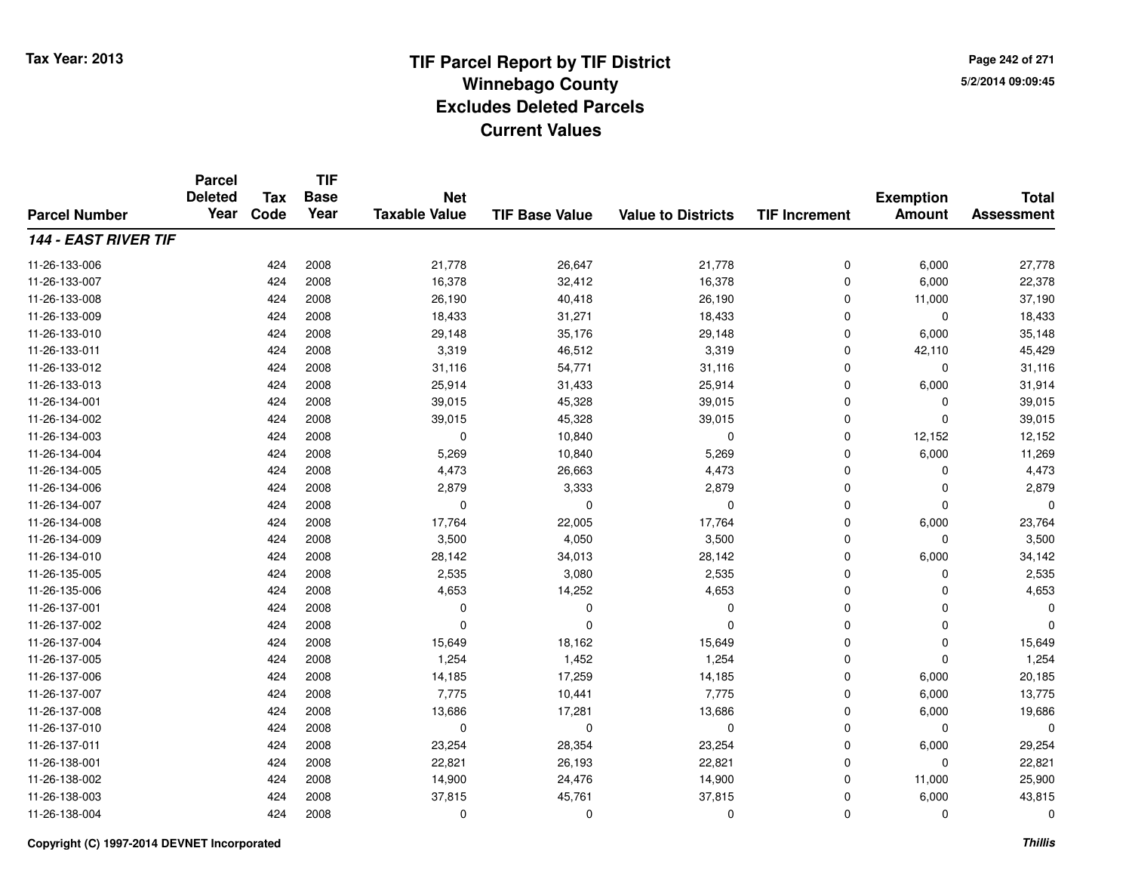**TIF**

**Parcel**

**Page 242 of 2715/2/2014 09:09:45**

#### **TIF Base ValueParcel NumberTotal AssessmentExemption Amount Value to Districts TIF Increment Base YearTax Code Deleted YearNet Taxable Value144 - EAST RIVER TIF**11-26-133-006 <sup>424</sup> 21,778 <sup>2008</sup> 26,647 21,778 <sup>0</sup> 6,000 27,778 11-26-133-007 <sup>424</sup> 16,378 <sup>2008</sup> 32,412 16,378 <sup>0</sup> 6,000 22,378 11-26-133-0088 424 2008 26,190 40,418 26,190 0 11,000 37,190 11-26-133-0099 424 2008 18,433 31,271 18,433 0 0 18,433 11-26-133-0100 424 2008 29,148 35,176 29,148 0 6,000 35,148 11-26-133-0111 424 2008 3,319 46,512 3,319 0 42,110 45,429 11-26-133-0122 424 2008 31,116 54,771 31,116 0 0 31,116 11-26-133-013 $3$  2008 25,914 2008 25,914 2008 31,914 31,914 31,914 31,914 0 6,000 31,914 11-26-134-0011 424 2008 39,015 45,328 39,015 0 39,015 11-26-134-0022 424 2008 39,015 45,328 39,015 0 0 39,015 11-26-134-0033 424 2008 0 10,840 0 0 12,152 12,152 11-26-134-004 <sup>424</sup> 5,269 <sup>2008</sup> 10,840 5,269 <sup>0</sup> 6,000 11,269 11-26-134-005 <sup>424</sup> 4,473 <sup>2008</sup> 26,663 4,473 <sup>0</sup> <sup>0</sup> 4,473 11-26-134-006 <sup>424</sup> 2,879 <sup>2008</sup> 3,333 2,879 <sup>0</sup> <sup>0</sup> 2,879 11-26-134-007 <sup>424</sup> <sup>0</sup> <sup>2008</sup> <sup>0</sup> <sup>0</sup> <sup>0</sup> <sup>0</sup> <sup>0</sup> 11-26-134-0088 424 2008 17,764 22,005 17,764 0 6,000 23,764 11-26-134-0099 424 2008 3,500 4,050 3,500 0 0 3,500 11-26-134-0100 424 2008 28,142 34,013 28,142 0 6,000 34,142 11-26-135-005 <sup>424</sup> 2,535 <sup>2008</sup> 3,080 2,535 <sup>0</sup> <sup>0</sup> 2,535 11-26-135-0066 424 2008 4,653 14,252 4,653 0 4,653 11-26-137-001 <sup>424</sup> <sup>0</sup> <sup>2008</sup> <sup>0</sup> <sup>0</sup> <sup>0</sup> <sup>0</sup> <sup>0</sup> 11-26-137-002 <sup>424</sup> <sup>0</sup> <sup>2008</sup> <sup>0</sup> <sup>0</sup> <sup>0</sup> <sup>0</sup> <sup>0</sup> 11-26-137-0044 424 2008 15,649 18,162 15,649 0 0 15,649 11-26-137-0055 424 2008 1,254 1,452 1,254 0 0 1,254 11-26-137-0066 424 2008 14,185 17,259 14,185 0 6,000 20,185 11-26-137-007 <sup>424</sup> 7,775 <sup>2008</sup> 10,441 7,775 <sup>0</sup> 6,000 13,775 11-26-137-0088 424 2008 13,686 17,281 13,686 0 6,000 19,686 11-26-137-010 <sup>424</sup> <sup>0</sup> <sup>2008</sup> <sup>0</sup> <sup>0</sup> <sup>0</sup> <sup>0</sup> <sup>0</sup> 11-26-137-0111 424 2008 23,254 28,354 23,254 0 6,000 29,254 11-26-138-0011 424 2008 22,821 26,193 22,821 0 0 22,821 11-26-138-0022 424 2008 14,900 24,476 14,900 0 11,000 25,900 11-26-138-0033 424 2008 37,815 45,761 37,815 0 6,000 43,815 11-26-138-004<sup>424</sup> <sup>0</sup> <sup>2008</sup> <sup>0</sup> <sup>0</sup> <sup>0</sup> <sup>0</sup> <sup>0</sup>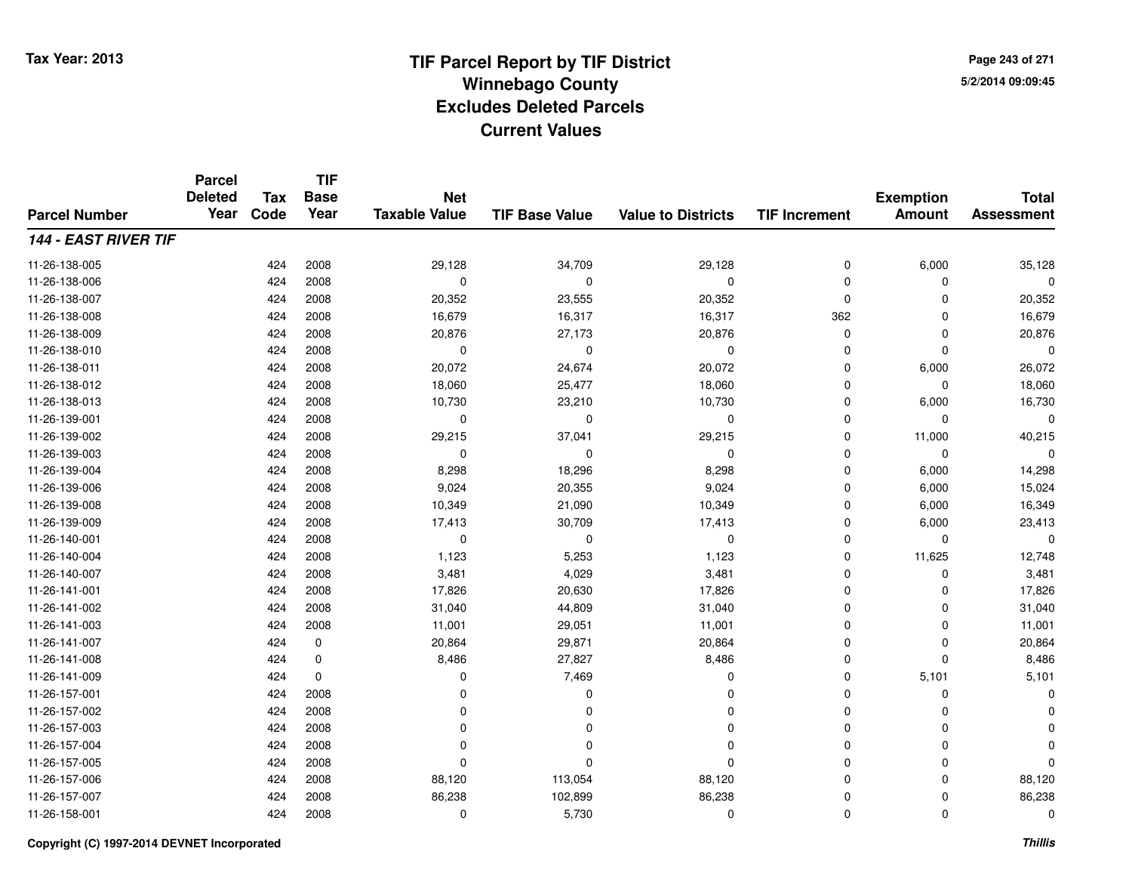**TIF**

**Parcel**

**Page 243 of 2715/2/2014 09:09:45**

#### **TIF Base ValueParcel NumberTotal AssessmentExemption Amount Value to Districts TIF Increment Base YearTax Code Deleted YearNet Taxable Value144 - EAST RIVER TIF**11-26-138-005 <sup>424</sup> 29,128 <sup>2008</sup> 34,709 29,128 <sup>0</sup> 6,000 35,128 11-26-138-006 <sup>424</sup> <sup>0</sup> <sup>2008</sup> <sup>0</sup> <sup>0</sup> <sup>0</sup> <sup>0</sup> <sup>0</sup> 11-26-138-007 <sup>424</sup> 20,352 <sup>2008</sup> 23,555 20,352 <sup>0</sup> <sup>0</sup> 20,352 11-26-138-008 <sup>424</sup> 16,679 <sup>2008</sup> 16,317 16,317 <sup>362</sup> <sup>0</sup> 16,679 11-26-138-0099 424 2008 20,876 27,173 20,876 0 0 20,876 11-26-138-010 <sup>424</sup> <sup>0</sup> <sup>2008</sup> <sup>0</sup> <sup>0</sup> <sup>0</sup> <sup>0</sup> <sup>0</sup> 11-26-138-011 <sup>424</sup> 20,072 <sup>2008</sup> 24,674 20,072 <sup>0</sup> 6,000 26,072 11-26-138-0122 424 2008 18,060 25,477 18,060 0 0 18,060 11-26-138-013 <sup>424</sup> 10,730 <sup>2008</sup> 23,210 10,730 <sup>0</sup> 6,000 16,730 11-26-139-001 <sup>424</sup> <sup>0</sup> <sup>2008</sup> <sup>0</sup> <sup>0</sup> <sup>0</sup> <sup>0</sup> <sup>0</sup> 11-26-139-0022 424 2008 29,215 37,041 29,215 0 11,000 40,215 11-26-139-003 <sup>424</sup> <sup>0</sup> <sup>2008</sup> <sup>0</sup> <sup>0</sup> <sup>0</sup> <sup>0</sup> <sup>0</sup> 11-26-139-004 <sup>424</sup> 8,298 <sup>2008</sup> 18,296 8,298 <sup>0</sup> 6,000 14,298 11-26-139-006 <sup>424</sup> 9,024 <sup>2008</sup> 20,355 9,024 <sup>0</sup> 6,000 15,024 11-26-139-0088 424 2008 10,349 21,090 10,349 0 6,000 16,349 11-26-139-009 <sup>424</sup> 17,413 <sup>2008</sup> 30,709 17,413 <sup>0</sup> 6,000 23,413 11-26-140-001 <sup>424</sup> <sup>0</sup> <sup>2008</sup> <sup>0</sup> <sup>0</sup> <sup>0</sup> <sup>0</sup> <sup>0</sup> 11-26-140-004 <sup>424</sup> 1,123 <sup>2008</sup> 5,253 1,123 <sup>0</sup> 11,625 12,748 11-26-140-0077 424 2008 3,481 4,029 3,481 0 0 3,481 11-26-141-0011 424 2008 17,826 20,630 17,826 0 0 17,826 11-26-141-0022 424 2008 31,040 44,809 31,040 0 0 31,040 11-26-141-0033 424 2008 11,001 29,051 11,001 0 0 11,001 11-26-141-0077 424 0 20,864 29,871 20,864 0 20,864 11-26-141-0088 424 0 8,486 27,827 8,486 0 0 8,486 11-26-141-0099 424 0 0 7,469 0 5,101 5,101 11-26-157-001 <sup>424</sup> <sup>0</sup> <sup>2008</sup> <sup>0</sup> <sup>0</sup> <sup>0</sup> <sup>0</sup> <sup>0</sup> 11-26-157-002 <sup>424</sup> <sup>0</sup> <sup>2008</sup> <sup>0</sup> <sup>0</sup> <sup>0</sup> <sup>0</sup> <sup>0</sup> 11-26-157-003 <sup>424</sup> <sup>0</sup> <sup>2008</sup> <sup>0</sup> <sup>0</sup> <sup>0</sup> <sup>0</sup> <sup>0</sup> 11-26-157-004 <sup>424</sup> <sup>0</sup> <sup>2008</sup> <sup>0</sup> <sup>0</sup> <sup>0</sup> <sup>0</sup> <sup>0</sup> 11-26-157-005 <sup>424</sup> <sup>0</sup> <sup>2008</sup> <sup>0</sup> <sup>0</sup> <sup>0</sup> <sup>0</sup> <sup>0</sup> 11-26-157-006 <sup>424</sup> 88,120 <sup>2008</sup> 113,054 88,120 <sup>0</sup> <sup>0</sup> 88,120 11-26-157-007 <sup>424</sup> 86,238 <sup>2008</sup> 102,899 86,238 <sup>0</sup> <sup>0</sup> 86,238 11-26-158-0011 and  $424$  2008 cm  $10$  being  $5,730$  cm  $0$  cm  $0$  cm  $0$  cm  $0$  cm  $0$  cm  $0$  cm  $0$  cm  $0$  cm  $0$  cm  $0$  cm  $0$  cm  $0$  cm  $0$  cm  $0$  cm  $0$  cm  $0$  cm  $0$  cm  $0$  cm  $0$  cm  $0$  cm  $0$  cm  $0$  cm  $0$  cm  $0$  cm  $0$  cm  $0$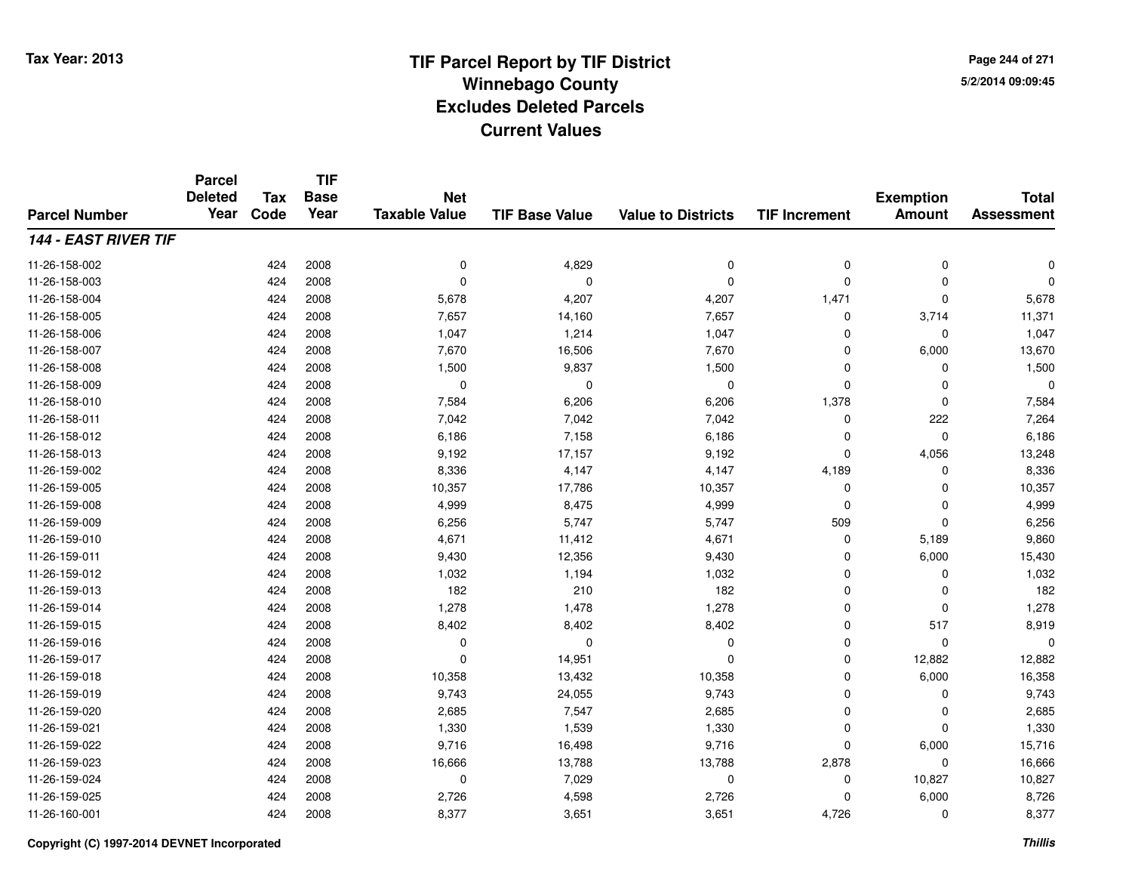**TIF**

**Parcel**

**Page 244 of 2715/2/2014 09:09:45**

#### **TIF Base ValueParcel NumberTotal AssessmentExemption Amount Value to Districts TIF Increment Base YearTax Code Deleted YearNet Taxable Value144 - EAST RIVER TIF**11-26-158-002 <sup>424</sup> <sup>0</sup> <sup>2008</sup> 4,829 <sup>0</sup> <sup>0</sup> <sup>0</sup> <sup>0</sup> 11-26-158-003 <sup>424</sup> <sup>0</sup> <sup>2008</sup> <sup>0</sup> <sup>0</sup> <sup>0</sup> <sup>0</sup> <sup>0</sup> 11-26-158-0044 5,678 424 5,678 4,207 4,207 4,207 5,471 5 4,471 5,678 11-26-158-005 <sup>424</sup> 7,657 <sup>2008</sup> 14,160 7,657 <sup>0</sup> 3,714 11,371 11-26-158-006 <sup>424</sup> 1,047 <sup>2008</sup> 1,214 1,047 <sup>0</sup> <sup>0</sup> 1,047 11-26-158-007 <sup>424</sup> 7,670 <sup>2008</sup> 16,506 7,670 <sup>0</sup> 6,000 13,670 11-26-158-0088 424 2008 1,500 9,837 1,500 0 0 1,500 11-26-158-009 <sup>424</sup> <sup>0</sup> <sup>2008</sup> <sup>0</sup> <sup>0</sup> <sup>0</sup> <sup>0</sup> <sup>0</sup> 11-26-158-0100 424 2008 7,584 6,206 6,206 1,378 0 7,584 11-26-158-0111 424 2008 7,042 7,042 7,042 0 222 7,264 11-26-158-0122 424 2008 6,186 7,158 6,186 0 0 6,186 11-26-158-0133 424 2008 9,192 17,157 9,192 0 4,056 13,248 11-26-159-002 <sup>424</sup> 8,336 <sup>2008</sup> 4,147 4,147 4,189 <sup>0</sup> 8,336 11-26-159-005 <sup>424</sup> 10,357 <sup>2008</sup> 17,786 10,357 <sup>0</sup> <sup>0</sup> 10,357 11-26-159-0088 424 2008 4,999 8,475 4,999 0 0 4,999 11-26-159-009 <sup>424</sup> 6,256 <sup>2008</sup> 5,747 5,747 <sup>509</sup> <sup>0</sup> 6,256 11-26-159-0100 424 2008 4,671 11,412 4,671 0 5,189 9,860 11-26-159-0111 424 2008 9,430 12,356 9,430 0 6,000 15,430 11-26-159-0122 2 2 2 3 424 2008 1,032 1,194 1,032 1,032 0 0 0 1,032 11-26-159-0133 424 2008 182 210 182 0 0 182 11-26-159-014 <sup>424</sup> 1,278 <sup>2008</sup> 1,478 1,278 <sup>0</sup> <sup>0</sup> 1,278 11-26-159-015 <sup>424</sup> 8,402 <sup>2008</sup> 8,402 8,402 <sup>0</sup> <sup>517</sup> 8,919 11-26-159-016 <sup>424</sup> <sup>0</sup> <sup>2008</sup> <sup>0</sup> <sup>0</sup> <sup>0</sup> <sup>0</sup> <sup>0</sup> 11-26-159-0177 424 2008 0 14,951 0 0 12,882 12,882 11-26-159-0188 424 2008 10,358 13,432 10,358 0 6,000 16,358 11-26-159-019 <sup>424</sup> 9,743 <sup>2008</sup> 24,055 9,743 <sup>0</sup> <sup>0</sup> 9,743 11-26-159-0200 424 2008 2,685 7,547 2,685 0 0 2,685 11-26-159-0211 424 2008 1,330 1,539 1,330 0 0 1,330 11-26-159-0222 424 2008 9,716 16,498 9,716 0 6,000 15,716 11-26-159-0233 424 2008 16,666 13,788 13,788 2,878 0 16,666 11-26-159-024 <sup>424</sup> <sup>0</sup> <sup>2008</sup> 7,029 <sup>0</sup> <sup>0</sup> 10,827 10,827 11-26-159-025 <sup>424</sup> 2,726 <sup>2008</sup> 4,598 2,726 <sup>0</sup> 6,000 8,726 11-26-160-0011 424 2008 8,377 3,651 3,651 4,726 0 8,377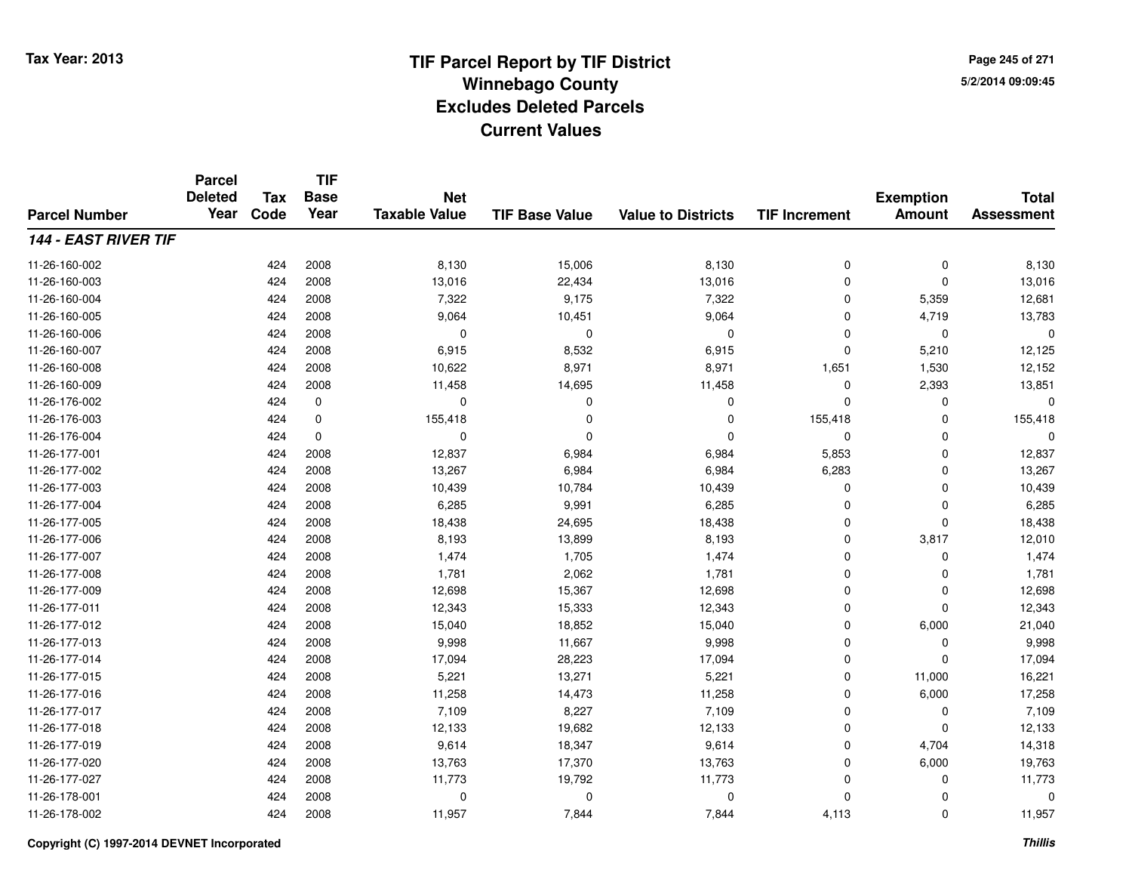**TIF**

**Parcel**

**Page 245 of 2715/2/2014 09:09:45**

#### **TIF Base ValueParcel NumberTotal AssessmentExemption Amount Value to Districts TIF Increment Base YearTax Code Deleted YearNet Taxable Value144 - EAST RIVER TIF**11-26-160-0022 424 2008 8,130 15,006 8,130 0 0 8,130 11-26-160-0033 424 2008 13,016 22,434 13,016 0 0 13,016 11-26-160-004 <sup>424</sup> 7,322 <sup>2008</sup> 9,175 7,322 <sup>0</sup> 5,359 12,681 11-26-160-005 <sup>424</sup> 9,064 <sup>2008</sup> 10,451 9,064 <sup>0</sup> 4,719 13,783 11-26-160-006 <sup>424</sup> <sup>0</sup> <sup>2008</sup> <sup>0</sup> <sup>0</sup> <sup>0</sup> <sup>0</sup> <sup>0</sup> 11-26-160-007 <sup>424</sup> 6,915 <sup>2008</sup> 8,532 6,915 <sup>0</sup> 5,210 12,125 11-26-160-0088 424 2008 10,622 8,971 1,651 1,530 12,152 11-26-160-0099 424 2008 11,458 14,695 11,458 0 2,393 13,851 11-26-176-002 <sup>424</sup> <sup>0</sup> <sup>0</sup> <sup>0</sup> <sup>0</sup> <sup>0</sup> <sup>0</sup> <sup>0</sup> 11-26-176-0033 424 0 155,418 155,418 0 155,418 11-26-176-004 <sup>424</sup> <sup>0</sup> <sup>0</sup> <sup>0</sup> <sup>0</sup> <sup>0</sup> <sup>0</sup> <sup>0</sup> 11-26-177-0011 424 2008 12,837 6,984 6,984 5,853 0 12,837 11-26-177-0022 424 2008 13,267 6,984 6,984 6,283 0 13,267 11-26-177-0033 424 2008 10,439 10,784 10,439 0 0 10,439 11-26-177-0044 424 2008 6,285 9,991 6,285 0 6,285 11-26-177-005 <sup>424</sup> 18,438 <sup>2008</sup> 24,695 18,438 <sup>0</sup> <sup>0</sup> 18,438 11-26-177-006 <sup>424</sup> 8,193 <sup>2008</sup> 13,899 8,193 <sup>0</sup> 3,817 12,010 11-26-177-007 <sup>424</sup> 1,474 <sup>2008</sup> 1,705 1,474 <sup>0</sup> <sup>0</sup> 1,474 11-26-177-0088 424 2008 1,781 2,062 1,781 0 0 1,781 11-26-177-0099 424 2008 12,698 15,367 12,698 0 0 12,698 11-26-177-0111 424 2008 12,343 15,333 12,343 0 0 12,343 11-26-177-0122 424 2008 15,040 18,852 15,040 0 6,000 21,040 11-26-177-013 $3$  2008 224 2008 21,667 39,998 398 9,998 300 300 3,998 300 0  $\,$  9,998 11-26-177-014 <sup>424</sup> 17,094 <sup>2008</sup> 28,223 17,094 <sup>0</sup> <sup>0</sup> 17,094 11-26-177-015 <sup>424</sup> 5,221 <sup>2008</sup> 13,271 5,221 <sup>0</sup> 11,000 16,221 11-26-177-016 <sup>424</sup> 11,258 <sup>2008</sup> 14,473 11,258 <sup>0</sup> 6,000 17,258 11-26-177-017 <sup>424</sup> 7,109 <sup>2008</sup> 8,227 7,109 <sup>0</sup> <sup>0</sup> 7,109 11-26-177-018 <sup>424</sup> 12,133 <sup>2008</sup> 19,682 12,133 <sup>0</sup> <sup>0</sup> 12,133 11-26-177-0199 424 2008 9,614 18,347 9,614 0 4,704 14,318 11-26-177-0200 424 2008 13,763 17,370 13,763 0 6,000 19,763 11-26-177-027 <sup>424</sup> 11,773 <sup>2008</sup> 19,792 11,773 <sup>0</sup> <sup>0</sup> 11,773 11-26-178-001 <sup>424</sup> <sup>0</sup> <sup>2008</sup> <sup>0</sup> <sup>0</sup> <sup>0</sup> <sup>0</sup> <sup>0</sup> 11-26-178-0022 2 2 2 3 424 2008 2 11,957 2 7,844 2 7,844 2 4,113 0 11,957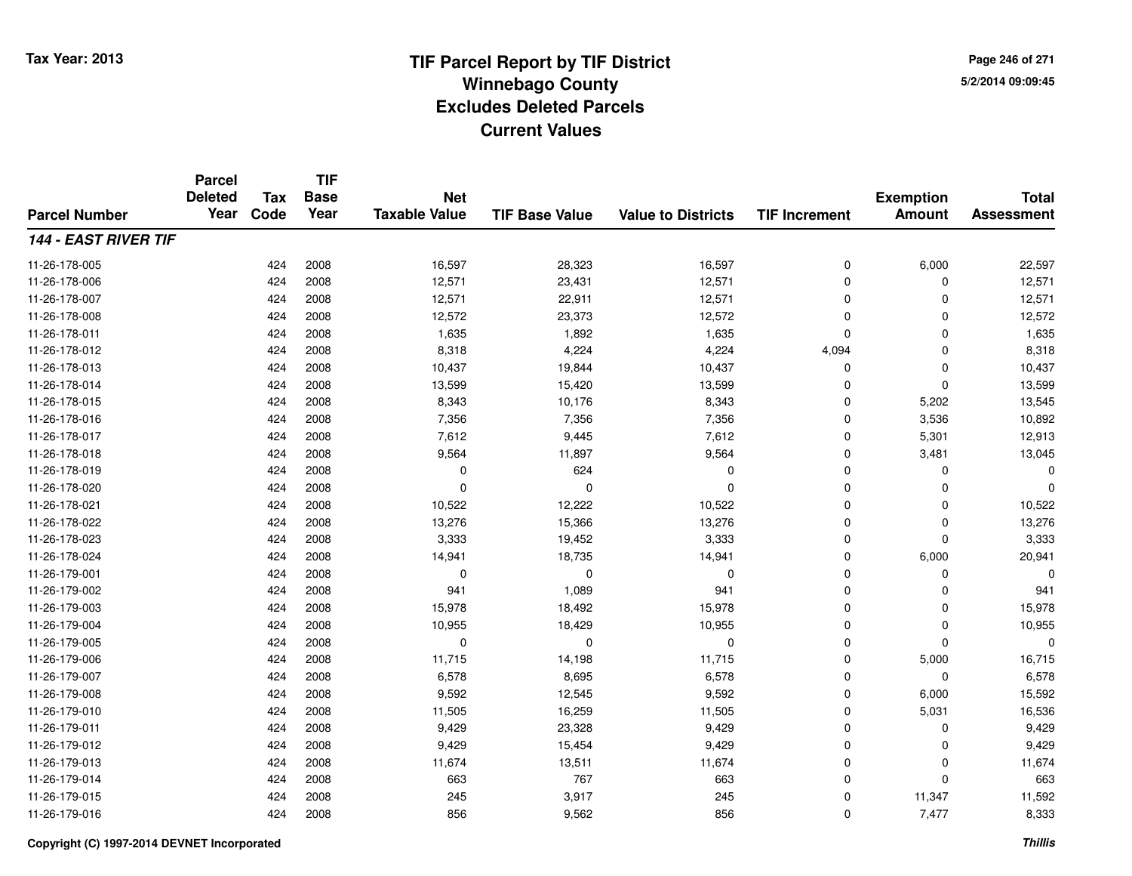**TIF**

**Parcel**

**Page 246 of 2715/2/2014 09:09:45**

#### **TIF Base ValueParcel NumberTotal AssessmentExemption Amount Value to Districts TIF Increment Base YearTax Code Deleted YearNet Taxable Value144 - EAST RIVER TIF**11-26-178-005 <sup>424</sup> 16,597 <sup>2008</sup> 28,323 16,597 <sup>0</sup> 6,000 22,597 11-26-178-006 <sup>424</sup> 12,571 <sup>2008</sup> 23,431 12,571 <sup>0</sup> <sup>0</sup> 12,571 11-26-178-007 <sup>424</sup> 12,571 <sup>2008</sup> 22,911 12,571 <sup>0</sup> <sup>0</sup> 12,571 11-26-178-008 <sup>424</sup> 12,572 <sup>2008</sup> 23,373 12,572 <sup>0</sup> <sup>0</sup> 12,572 11-26-178-0111 424 2008 1,635 1,892 1,635 0 1,635 11-26-178-0122 424 2008 8,318 4,224 4,224 4,094 0 8,318 11-26-178-013 <sup>424</sup> 10,437 <sup>2008</sup> 19,844 10,437 <sup>0</sup> <sup>0</sup> 10,437 11-26-178-0144 424 2008 13,599 15,420 13,599 0 0 13,599 11-26-178-015 <sup>424</sup> 8,343 <sup>2008</sup> 10,176 8,343 <sup>0</sup> 5,202 13,545 11-26-178-0166 424 2008 7,356 7,356 7,356 0 3,536 10,892 11-26-178-017 <sup>424</sup> 7,612 <sup>2008</sup> 9,445 7,612 <sup>0</sup> 5,301 12,913 11-26-178-0188 424 2008 9,564 11,897 9,564 0 3,481 13,045 11-26-178-0199 424 2008 0 624 0 0 0 0 11-26-178-020 <sup>424</sup> <sup>0</sup> <sup>2008</sup> <sup>0</sup> <sup>0</sup> <sup>0</sup> <sup>0</sup> <sup>0</sup> 11-26-178-0211 424 2008 10,522 12,222 10,522 0 0 10,522 11-26-178-0222 424 2008 13,276 15,366 13,276 0 0 13,276 11-26-178-023 <sup>424</sup> 3,333 <sup>2008</sup> 19,452 3,333 <sup>0</sup> <sup>0</sup> 3,333 11-26-178-024 <sup>424</sup> 14,941 <sup>2008</sup> 18,735 14,941 <sup>0</sup> 6,000 20,941 11-26-179-001 <sup>424</sup> <sup>0</sup> <sup>2008</sup> <sup>0</sup> <sup>0</sup> <sup>0</sup> <sup>0</sup> <sup>0</sup> 11-26-179-002 <sup>424</sup> <sup>941</sup> <sup>2008</sup> 1,089 <sup>941</sup> <sup>0</sup> <sup>0</sup> <sup>941</sup> 11-26-179-0033 424 2008 15,978 18,492 15,978 0 0 15,978 11-26-179-0044 424 2008 10,955 18,429 10,955 0 0 10,955 11-26-179-005 <sup>424</sup> <sup>0</sup> <sup>2008</sup> <sup>0</sup> <sup>0</sup> <sup>0</sup> <sup>0</sup> <sup>0</sup> 11-26-179-006 <sup>424</sup> 11,715 <sup>2008</sup> 14,198 11,715 <sup>0</sup> 5,000 16,715 11-26-179-007 <sup>424</sup> 6,578 <sup>2008</sup> 8,695 6,578 <sup>0</sup> <sup>0</sup> 6,578 11-26-179-0088 424 2008 9,592 12,545 9,592 0 6,000 15,592 11-26-179-0100 424 2008 11,505 16,259 11,505 0 5,031 16,536 11-26-179-0111 424 2008 9,429 23,328 9,429 0 0 9,429 11-26-179-0122 424 2008 9,429 15,454 9,429 0 0 9,429 11-26-179-0133 424 2008 11,674 13,511 11,674 0 0 11,674 11-26-179-0144 424 2008 663 767 663 0 0 663 11-26-179-0155 245 2008 245 2008 245 3,917 245 245 245 245 245 245 245 11,592 11-26-179-0166 424 2008 856 9,562 856 0 7,477 8,333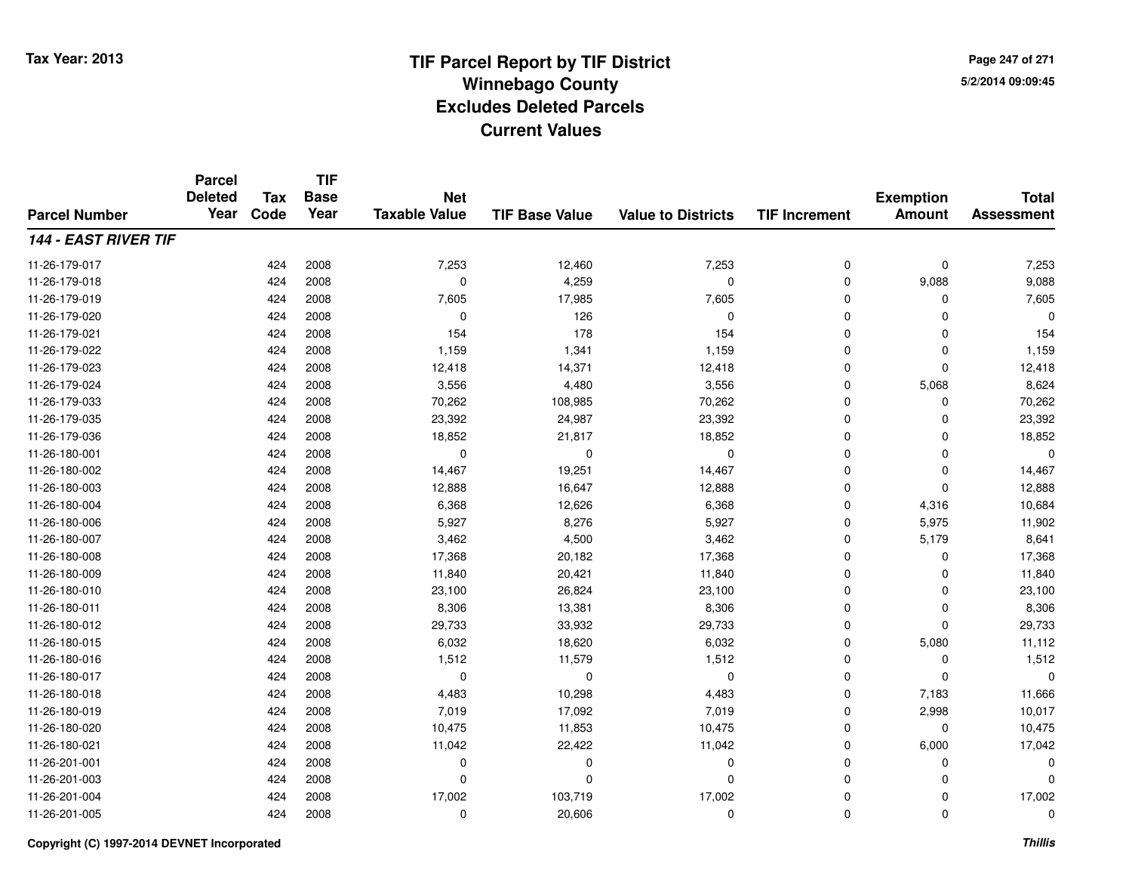**TIF**

**Parcel**

**Page 247 of 2715/2/2014 09:09:45**

#### **TIF Base ValueParcel NumberTotal AssessmentExemption Amount Value to Districts TIF Increment Base YearTax Code Deleted YearNet Taxable Value144 - EAST RIVER TIF**11-26-179-017 <sup>424</sup> 7,253 <sup>2008</sup> 12,460 7,253 <sup>0</sup> <sup>0</sup> 7,253 11-26-179-0188 424 2008 0 4,259 0 0 9,088 9,088 11-26-179-0199 424 2008 7,605 17,985 7,605 0 7,605 11-26-179-0200 424 2008 0 126 0 0 0 0 11-26-179-0211 424 2008 154 178 154 0 0 154 11-26-179-0222 424 2008 1,159 1,341 1,159 0 0 1,159 11-26-179-0233 424 2008 12,418 14,371 12,418 0 0 12,418 11-26-179-0244 3,556 24 2008 3,556 4,480 3,556 3,556 0 5,068 8,624 11-26-179-0333 424 2008 70,262 108,985 70,262 0 0 70,262 11-26-179-035 <sup>424</sup> 23,392 <sup>2008</sup> 24,987 23,392 <sup>0</sup> <sup>0</sup> 23,392 11-26-179-0366 424 2008 18,852 21,817 18,852 0 0 18,852 11-26-180-001 <sup>424</sup> <sup>0</sup> <sup>2008</sup> <sup>0</sup> <sup>0</sup> <sup>0</sup> <sup>0</sup> <sup>0</sup> 11-26-180-0022 424 2008 14,467 19,251 14,467 0 0 14,467 11-26-180-0033 424 2008 12,888 16,647 12,888 0 0 12,888 11-26-180-004 <sup>424</sup> 6,368 <sup>2008</sup> 12,626 6,368 <sup>0</sup> 4,316 10,684 11-26-180-0066 424 2008 5,927 8,276 5,927 0 5,975 11,902 11-26-180-007 <sup>424</sup> 3,462 <sup>2008</sup> 4,500 3,462 <sup>0</sup> 5,179 8,641 11-26-180-008 <sup>424</sup> 17,368 <sup>2008</sup> 20,182 17,368 <sup>0</sup> <sup>0</sup> 17,368 11-26-180-0099 424 2008 11,840 20,421 11,840 0 0 11,840 11-26-180-0100 424 2008 23,100 26,824 23,100 0 0 23,100 11-26-180-0111 424 2008 8,306 13,381 8,306 0 0 8,306 11-26-180-0122 2008 29,733 2009 29,733 33,932 29,733 29,733 29,733 29,733 29,733 29,733 29,733 29,733 29,733 29,733 29,733 11-26-180-015 <sup>424</sup> 6,032 <sup>2008</sup> 18,620 6,032 <sup>0</sup> 5,080 11,112 11-26-180-0166 424 2008 1,512 11,579 1,512 0 0 1,512 11-26-180-017 <sup>424</sup> <sup>0</sup> <sup>2008</sup> <sup>0</sup> <sup>0</sup> <sup>0</sup> <sup>0</sup> <sup>0</sup> 11-26-180-018 <sup>424</sup> 4,483 <sup>2008</sup> 10,298 4,483 <sup>0</sup> 7,183 11,666 11-26-180-019 <sup>424</sup> 7,019 <sup>2008</sup> 17,092 7,019 <sup>0</sup> 2,998 10,017 11-26-180-0200 424 2008 10,475 11,853 10,475 0 0 10,475 11-26-180-0211 424 2008 11,042 22,422 11,042 0 6,000 17,042 11-26-201-001 <sup>424</sup> <sup>0</sup> <sup>2008</sup> <sup>0</sup> <sup>0</sup> <sup>0</sup> <sup>0</sup> <sup>0</sup> 11-26-201-003 <sup>424</sup> <sup>0</sup> <sup>2008</sup> <sup>0</sup> <sup>0</sup> <sup>0</sup> <sup>0</sup> <sup>0</sup> 11-26-201-004 <sup>424</sup> 17,002 <sup>2008</sup> 103,719 17,002 <sup>0</sup> <sup>0</sup> 17,002 11-26-201-005<sup>424</sup> <sup>0</sup> <sup>2008</sup> 20,606 <sup>0</sup> <sup>0</sup> <sup>0</sup> <sup>0</sup>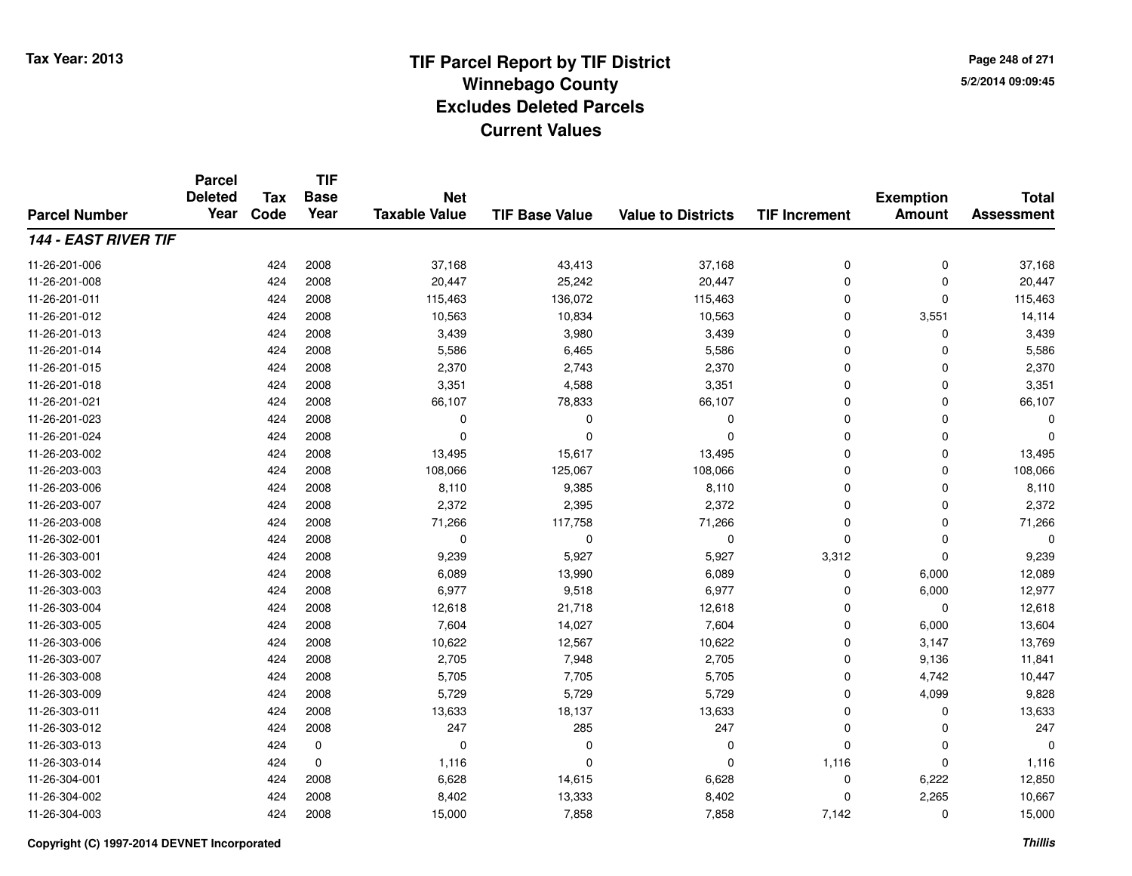**TIF**

**Parcel**

**Page 248 of 2715/2/2014 09:09:45**

#### **TIF Base ValueParcel NumberTotal AssessmentExemption Amount Value to Districts TIF Increment Base YearTax Code Deleted YearNet Taxable Value144 - EAST RIVER TIF**11-26-201-0066 424 2008 37,168 43,413 37,168 0 0 37,168 11-26-201-008 <sup>424</sup> 20,447 <sup>2008</sup> 25,242 20,447 <sup>0</sup> <sup>0</sup> 20,447 11-26-201-0111 424 2008 115,463 136,072 115,463 0 115,463 11-26-201-0122 424 2008 10,563 10,834 10,563 0 3,551 14,114 11-26-201-0133 424 2008 3,439 3,980 3,439 0 0 3,439 11-26-201-0144 5,586 6,465 5,586 6,465 5,586 6,465 5,586 6,465 5,586 6,465 6,465 6,586 6,586 6,586 6,586 6,586 6,586 6,586 6 11-26-201-015 <sup>424</sup> 2,370 <sup>2008</sup> 2,743 2,370 <sup>0</sup> <sup>0</sup> 2,370 11-26-201-018 <sup>424</sup> 3,351 <sup>2008</sup> 4,588 3,351 <sup>0</sup> <sup>0</sup> 3,351 11-26-201-0211 424 2008 66,107 78,833 66,107 0 0 66,107 11-26-201-023 <sup>424</sup> <sup>0</sup> <sup>2008</sup> <sup>0</sup> <sup>0</sup> <sup>0</sup> <sup>0</sup> <sup>0</sup> 11-26-201-024 <sup>424</sup> <sup>0</sup> <sup>2008</sup> <sup>0</sup> <sup>0</sup> <sup>0</sup> <sup>0</sup> <sup>0</sup> 11-26-203-0022 424 2008 13,495 15,617 13,495 0 0 13,495 11-26-203-0033 424 2008 108,066 125,067 108,066 0 0 108,066 11-26-203-006 <sup>424</sup> 8,110 <sup>2008</sup> 9,385 8,110 <sup>0</sup> <sup>0</sup> 8,110 11-26-203-007 <sup>424</sup> 2,372 <sup>2008</sup> 2,395 2,372 <sup>0</sup> <sup>0</sup> 2,372 11-26-203-008 <sup>424</sup> 71,266 <sup>2008</sup> 117,758 71,266 <sup>0</sup> <sup>0</sup> 71,266 11-26-302-001 <sup>424</sup> <sup>0</sup> <sup>2008</sup> <sup>0</sup> <sup>0</sup> <sup>0</sup> <sup>0</sup> <sup>0</sup> 11-26-303-0011 424 2008 9,239 5,927 5,927 3,312 0 9,239 11-26-303-0022 424 2008 6,089 13,990 6,089 0 6,000 12,089 11-26-303-0033 424 2008 6,977 9,518 6,977 0 6,000 12,977 11-26-303-004 <sup>424</sup> 12,618 <sup>2008</sup> 21,718 12,618 <sup>0</sup> <sup>0</sup> 12,618 11-26-303-005 <sup>424</sup> 7,604 <sup>2008</sup> 14,027 7,604 <sup>0</sup> 6,000 13,604 11-26-303-0066 424 2008 10,622 12,567 10,622 0 3,147 13,769 11-26-303-007 <sup>424</sup> 2,705 <sup>2008</sup> 7,948 2,705 <sup>0</sup> 9,136 11,841 11-26-303-008 <sup>424</sup> 5,705 <sup>2008</sup> 7,705 5,705 <sup>0</sup> 4,742 10,447 11-26-303-0099 424 2008 5,729 5,729 0 4,099 9,828 11-26-303-0111 424 2008 13,633 18,137 13,633 0 0 13,633 11-26-303-012 <sup>424</sup> <sup>247</sup> <sup>2008</sup> <sup>285</sup> <sup>247</sup> <sup>0</sup> <sup>0</sup> <sup>247</sup> 11-26-303-013 <sup>424</sup> <sup>0</sup> <sup>0</sup> <sup>0</sup> <sup>0</sup> <sup>0</sup> <sup>0</sup> <sup>0</sup> 11-26-303-014 <sup>424</sup> 1,116 <sup>0</sup> <sup>0</sup> <sup>0</sup> 1,116 <sup>0</sup> 1,116 11-26-304-0011 424 2008 6,628 14,615 6,628 0 6,222 12,850 11-26-304-002 <sup>424</sup> 8,402 <sup>2008</sup> 13,333 8,402 <sup>0</sup> 2,265 10,667 11-26-304-0033 424 2008 15,000 7,858 7,858 7,142 0 15,000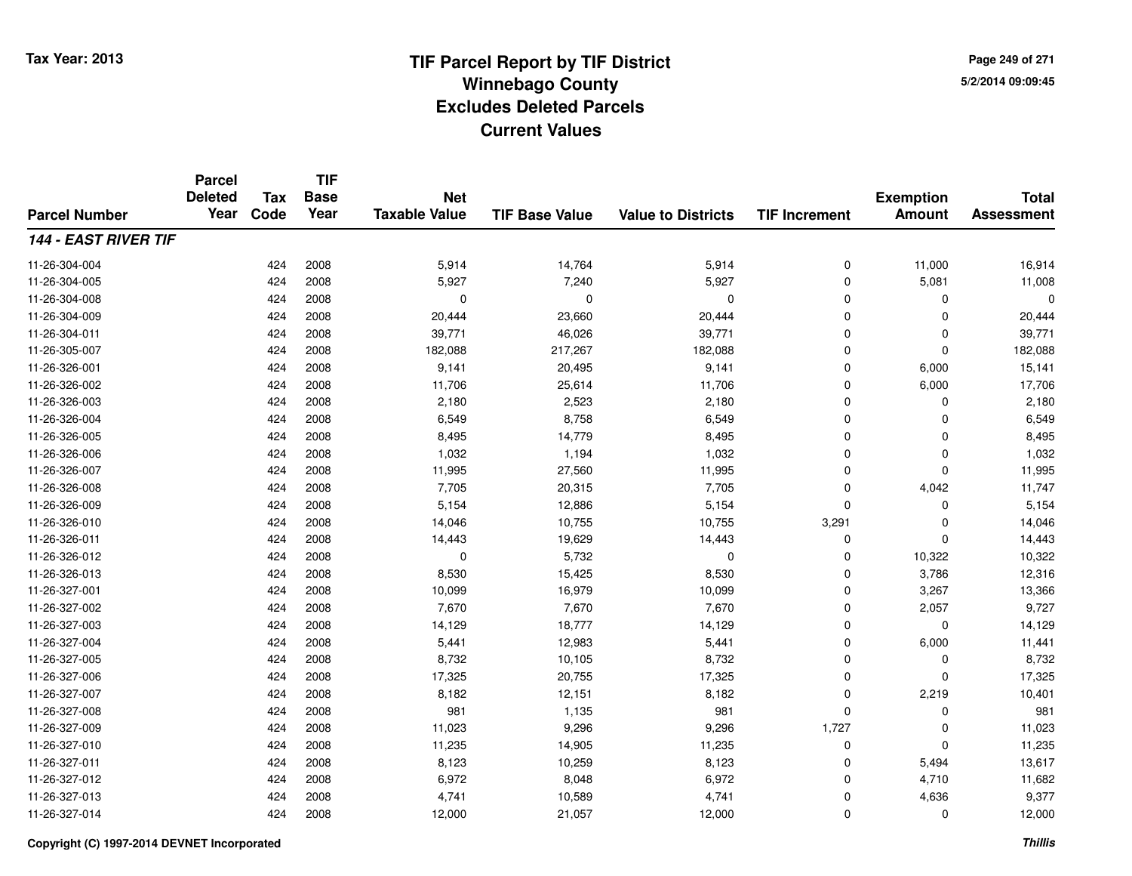**TIF**

**Parcel**

**Page 249 of 2715/2/2014 09:09:45**

#### **TIF Base ValueParcel NumberTotal AssessmentExemption Amount Value to Districts TIF Increment Base YearTax Code Deleted YearNet Taxable Value144 - EAST RIVER TIF**11-26-304-004 <sup>424</sup> 5,914 <sup>2008</sup> 14,764 5,914 <sup>0</sup> 11,000 16,914 11-26-304-0055 424 2008 5,927 7,240 5,927 0 5,081 11,008 11-26-304-008 <sup>424</sup> <sup>0</sup> <sup>2008</sup> <sup>0</sup> <sup>0</sup> <sup>0</sup> <sup>0</sup> <sup>0</sup> 11-26-304-0099 424 2008 20,444 23,660 20,444 0 0 20,444 11-26-304-0111 424 2008 39,771 46,026 39,771 0 0 39,771 11-26-305-007 <sup>424</sup> 182,088 <sup>2008</sup> 217,267 182,088 <sup>0</sup> <sup>0</sup> 182,088 11-26-326-0011 424 2008 9,141 20,495 9,141 0 6,000 15,141 11-26-326-002 <sup>424</sup> 11,706 <sup>2008</sup> 25,614 11,706 <sup>0</sup> 6,000 17,706 11-26-326-003 $3$  2008 2,180 2,180 2,523 2,180 2,180 2,180 2,180 2,180 2,180 2,180 0 2,180 11-26-326-004 <sup>424</sup> 6,549 <sup>2008</sup> 8,758 6,549 <sup>0</sup> <sup>0</sup> 6,549 11-26-326-005 <sup>424</sup> 8,495 <sup>2008</sup> 14,779 8,495 <sup>0</sup> <sup>0</sup> 8,495 11-26-326-006 <sup>424</sup> 1,032 <sup>2008</sup> 1,194 1,032 <sup>0</sup> <sup>0</sup> 1,032 11-26-326-007 <sup>424</sup> 11,995 <sup>2008</sup> 27,560 11,995 <sup>0</sup> <sup>0</sup> 11,995 11-26-326-008 <sup>424</sup> 7,705 <sup>2008</sup> 20,315 7,705 <sup>0</sup> 4,042 11,747 11-26-326-0099 424 2008 5,154 12,886 5,154 0 0 5,154 11-26-326-0100 424 2008 14,046 10,755 10,755 3,291 0 14,046 11-26-326-0111 424 2008 14,443 19,629 14,443 0 0 14,443 11-26-326-0122 2 2 2008 0 5,732 0 0 0 10,322 10,322 10,322 11-26-326-013 <sup>424</sup> 8,530 <sup>2008</sup> 15,425 8,530 <sup>0</sup> 3,786 12,316 11-26-327-0011 424 2008 10,099 16,979 10,099 0 3,267 13,366 11-26-327-002 <sup>424</sup> 7,670 <sup>2008</sup> 7,670 7,670 <sup>0</sup> 2,057 9,727 11-26-327-0033 424 2008 14,129 18,777 14,129 0 0 14,129 11-26-327-004 <sup>424</sup> 5,441 <sup>2008</sup> 12,983 5,441 <sup>0</sup> 6,000 11,441 11-26-327-005 <sup>424</sup> 8,732 <sup>2008</sup> 10,105 8,732 <sup>0</sup> <sup>0</sup> 8,732 11-26-327-0066 424 2008 17,325 20,755 17,325 0 0 17,325 11-26-327-007 <sup>424</sup> 8,182 <sup>2008</sup> 12,151 8,182 <sup>0</sup> 2,219 10,401 11-26-327-008 <sup>424</sup> <sup>981</sup> <sup>2008</sup> 1,135 <sup>981</sup> <sup>0</sup> <sup>0</sup> <sup>981</sup> 11-26-327-009 <sup>424</sup> 11,023 <sup>2008</sup> 9,296 9,296 1,727 <sup>0</sup> 11,023 11-26-327-0100 424 2008 11,235 14,905 11,235 0 0 11,235 11-26-327-0111 424 2008 8,123 10,259 8,123 0 5,494 13,617 11-26-327-012 <sup>424</sup> 6,972 <sup>2008</sup> 8,048 6,972 <sup>0</sup> 4,710 11,682 11-26-327-0133 424 2008 4,741 10,589 4,741 0 4,636 9,377 11-26-327-0144 12,000 12,000 12,000 21,057 12,000 12,000 0 0 12,000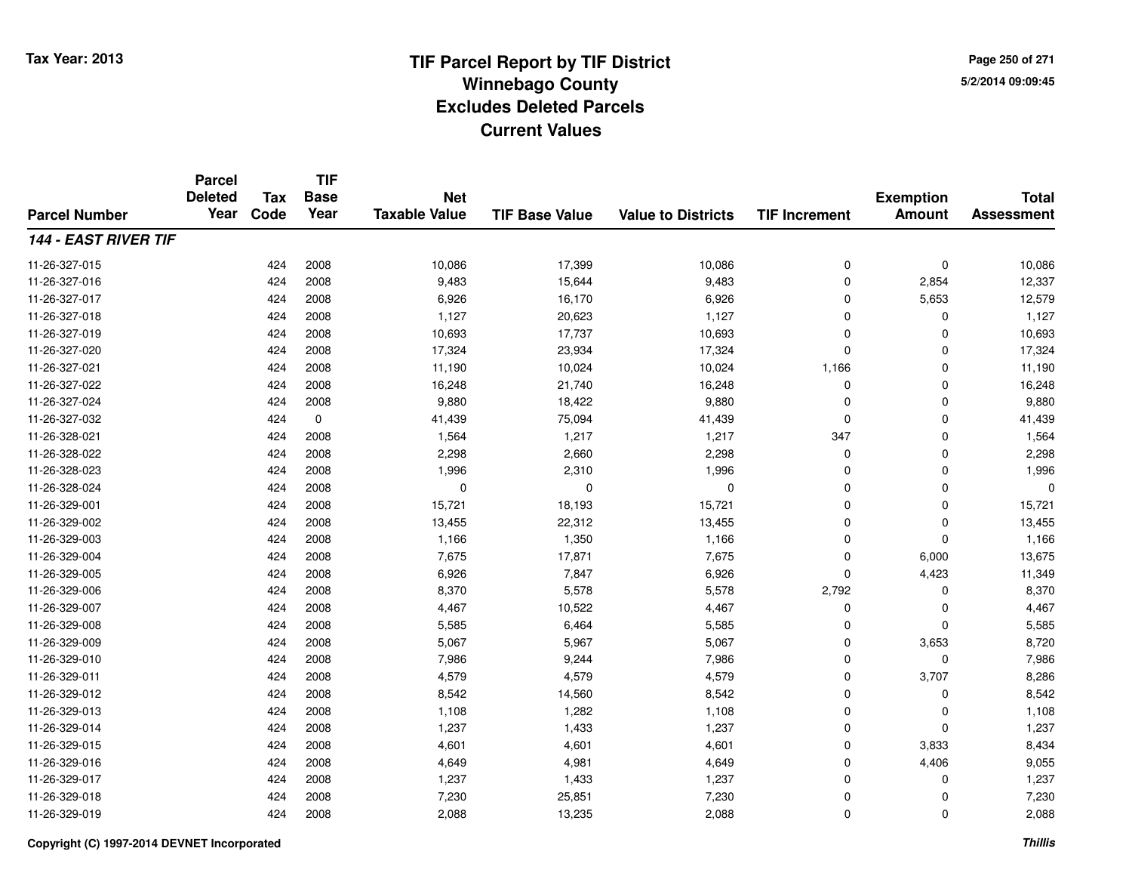**TIF**

**Parcel**

**Page 250 of 2715/2/2014 09:09:45**

#### **TIF Base ValueParcel NumberTotal AssessmentExemption Amount Value to Districts TIF Increment Base YearTax Code Deleted YearNet Taxable Value144 - EAST RIVER TIF**11-26-327-015 <sup>424</sup> 10,086 <sup>2008</sup> 17,399 10,086 <sup>0</sup> <sup>0</sup> 10,086 11-26-327-016 <sup>424</sup> 9,483 <sup>2008</sup> 15,644 9,483 <sup>0</sup> 2,854 12,337 11-26-327-017 <sup>424</sup> 6,926 <sup>2008</sup> 16,170 6,926 <sup>0</sup> 5,653 12,579 11-26-327-018 <sup>424</sup> 1,127 <sup>2008</sup> 20,623 1,127 <sup>0</sup> <sup>0</sup> 1,127 11-26-327-0199 424 2008 10,693 17,737 10,693 0 0 10,693 11-26-327-0200 424 2008 17,324 23,934 17,324 0 0 17,324 11-26-327-0211 1 1,190 11,190 10,024 10,024 10,024 1,166 0 1,11,190 11-26-327-0222 2 2 2 3 424 2008 16,248 2 21,740 16,248 16,248 0 3 0 16,248 11-26-327-024 <sup>424</sup> 9,880 <sup>2008</sup> 18,422 9,880 <sup>0</sup> <sup>0</sup> 9,880 11-26-327-0322 424 0 41,439 75,094 41,439 0 0 41,439 11-26-328-0211 424 2008 1,564 1,217 1,217 347 0 1,564 11-26-328-0222 424 2008 2,298 2,660 2,298 0 0 2,298 11-26-328-0233 424 2008 1,996 2,310 1,996 0 0 1,996 11-26-328-024 <sup>424</sup> <sup>0</sup> <sup>2008</sup> <sup>0</sup> <sup>0</sup> <sup>0</sup> <sup>0</sup> <sup>0</sup> 11-26-329-0011 424 2008 15,721 18,193 15,721 0 0 15,721 11-26-329-0022 424 2008 13,455 22,312 13,455 0 0 13,455 11-26-329-0033 424 2008 1,166 1,350 1,166 0 0 1,166 11-26-329-004 <sup>424</sup> 7,675 <sup>2008</sup> 17,871 7,675 <sup>0</sup> 6,000 13,675 11-26-329-005 <sup>424</sup> 6,926 <sup>2008</sup> 7,847 6,926 <sup>0</sup> 4,423 11,349 11-26-329-006 <sup>424</sup> 8,370 <sup>2008</sup> 5,578 5,578 2,792 <sup>0</sup> 8,370 11-26-329-007 <sup>424</sup> 4,467 <sup>2008</sup> 10,522 4,467 <sup>0</sup> <sup>0</sup> 4,467 11-26-329-0088 424 2008 5,585 6,464 5,585 0 0 5,585 11-26-329-009 <sup>424</sup> 5,067 <sup>2008</sup> 5,967 5,067 <sup>0</sup> 3,653 8,720 11-26-329-0100 424 2008 7,986 9,244 7,986 0 0 7,986 11-26-329-0111 424 2008 4,579 4,579 0 3,707 8,286 11-26-329-0122 424 2008 8,542 14,560 8,542 0 0 8,542 11-26-329-0133 424 2008 1,108 1,282 1,108 0 0 1,108 11-26-329-014 <sup>424</sup> 1,237 <sup>2008</sup> 1,433 1,237 <sup>0</sup> <sup>0</sup> 1,237 11-26-329-0155 424 2008 4,601 4,601 4,601 0 3,833 8,434 11-26-329-0166 424 2008 4,649 4,981 4,649 0 4,406 9,055 11-26-329-017 <sup>424</sup> 1,237 <sup>2008</sup> 1,433 1,237 <sup>0</sup> <sup>0</sup> 1,237 11-26-329-018 <sup>424</sup> 7,230 <sup>2008</sup> 25,851 7,230 <sup>0</sup> <sup>0</sup> 7,230 11-26-329-0199 424 2008 2,088 13,235 2,088 0 0 2,088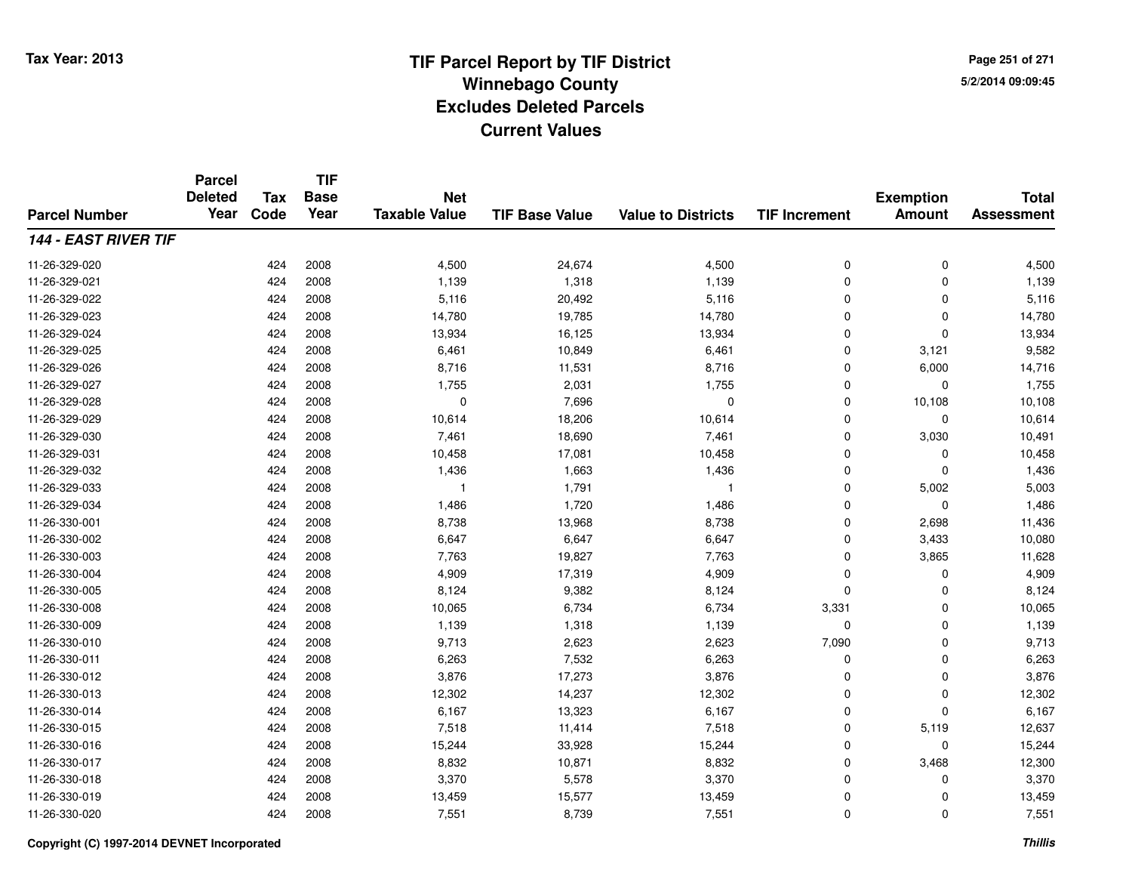**Page 251 of 2715/2/2014 09:09:45**

#### **TIF Base ValueParcel NumberTotal AssessmentExemption Amount Value to Districts TIF IncrementTIF Base YearTax CodeParcel Deleted YearNet Taxable Value144 - EAST RIVER TIF**11-26-329-0200 24,500  $\frac{424}{2008}$  2008 4,500  $\frac{24,674}{24,674}$  4,500  $\frac{0}{2}$  0 0  $\frac{4,500}{24,500}$ 11-26-329-0211 424 2008 1,139 1,318 1,139 0 0 1,139 11-26-329-0222 424 2008 5,116 20,492 5,116 0 0 5,116 11-26-329-0233 424 2008 14,780 19,785 14,780 0 0 14,780 11-26-329-024 <sup>424</sup> 13,934 <sup>2008</sup> 16,125 13,934 <sup>0</sup> <sup>0</sup> 13,934 11-26-329-025 <sup>424</sup> 6,461 <sup>2008</sup> 10,849 6,461 <sup>0</sup> 3,121 9,582 11-26-329-026 <sup>424</sup> 8,716 <sup>2008</sup> 11,531 8,716 <sup>0</sup> 6,000 14,716 11-26-329-027 <sup>424</sup> 1,755 <sup>2008</sup> 2,031 1,755 <sup>0</sup> <sup>0</sup> 1,755 11-26-329-0288 424 2008 0 7,696 0 0 10,108 10,108 11-26-329-0299 424 2008 10,614 18,206 10,614 0 0 10,614 11-26-329-0300 424 2008 7,461 18,690 7,461 0 3,030 10,491 11-26-329-0311 424 2008 10,458 17,081 10,458 0 0 10,458 11-26-329-0322 424 2008 1,436 1,663 1,436 0 0 1,436 11-26-329-0333 1 2008 1  $\frac{1}{2}$  1,791 1 1  $\frac{1}{2}$  1,1  $\frac{1}{2}$  1  $\frac{1}{2}$  1  $\frac{1}{2}$  5,002 5,003 11-26-329-0344 424 2008 1,486 1,720 1,486 0 0 1,486 11-26-330-0011 424 2008 8,738 13,968 8,738 0 2,698 11,436 11-26-330-0022 424 2008 6,647 6,647 6,647 0 3,433 10,080 11-26-330-0033 424 2008 7,763 19,827 7,763 0 3,865 11,628 11-26-330-004424 2008 4,909 4,919 4,909 4,909 4,909 4,909 6 10 4,909 4,909 4,909 4,909 4,909 4,909 4,909 4,909 4,909 4,909 4,909 4,909 4,909 4,909 4,909 4,909 4 11-26-330-0055 424 2008 8,124 9,382 8,124 0 0 8,124 11-26-330-0088 424 2008 10,065 6,734 6,734 3,331 0 10,065 11-26-330-009 <sup>424</sup> 1,139 <sup>2008</sup> 1,318 1,139 <sup>0</sup> <sup>0</sup> 1,139 11-26-330-010 <sup>424</sup> 9,713 <sup>2008</sup> 2,623 2,623 7,090 <sup>0</sup> 9,713 11-26-330-0111 424 2008 6,263 7,532 6,263 0 0 6,263 11-26-330-0122 424 2008 3,876 17,273 3,876 0 0 3,876 11-26-330-0133 424 2008 12,302 14,237 12,302 0 0 12,302 11-26-330-014 <sup>424</sup> 6,167 <sup>2008</sup> 13,323 6,167 <sup>0</sup> <sup>0</sup> 6,167 11-26-330-015 <sup>424</sup> 7,518 <sup>2008</sup> 11,414 7,518 <sup>0</sup> 5,119 12,637 11-26-330-0166 424 2008 15,244 33,928 15,244 0 0 15,244 11-26-330-017 <sup>424</sup> 8,832 <sup>2008</sup> 10,871 8,832 <sup>0</sup> 3,468 12,300 11-26-330-018 <sup>424</sup> 3,370 <sup>2008</sup> 5,578 3,370 <sup>0</sup> <sup>0</sup> 3,370 11-26-330-0199 424 2008 13,459 15,577 13,459 0 0 13,459 11-26-330-0200 424 2008 7,551 8,739 7,551 0 0 7,551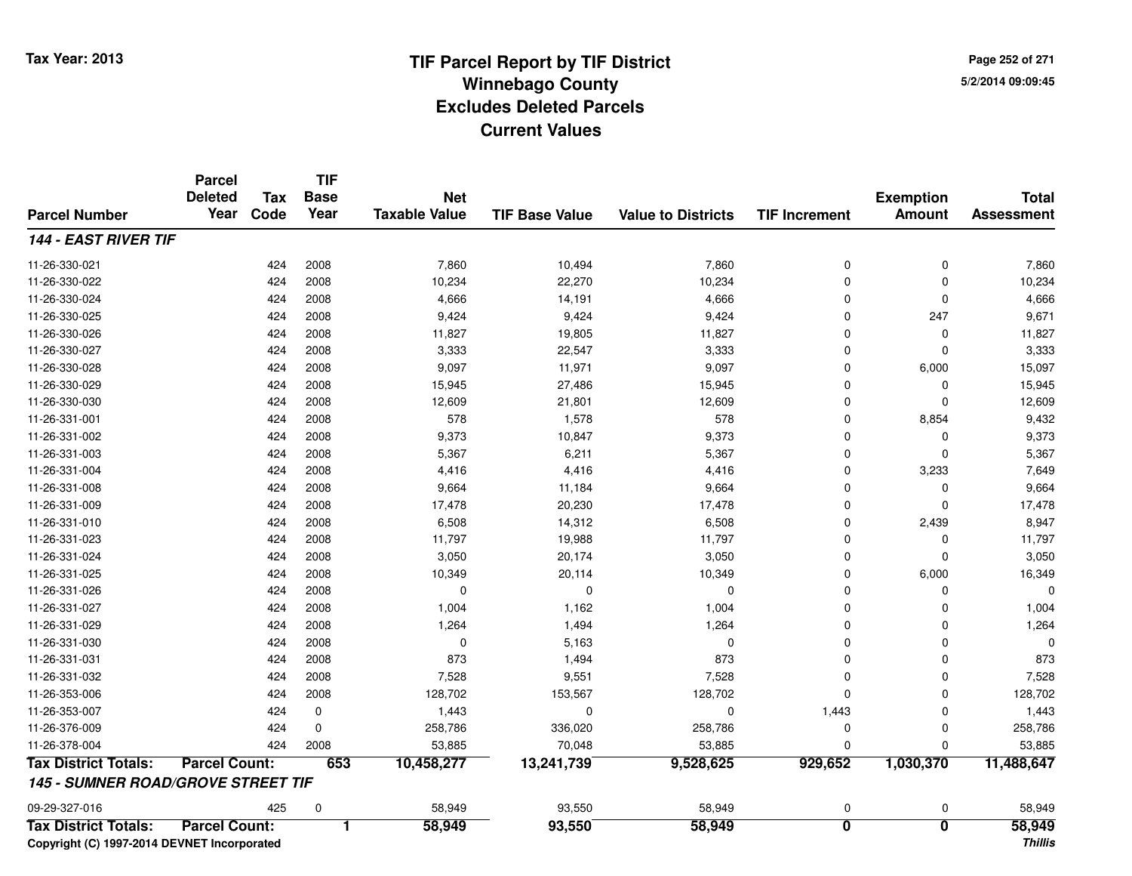**Page 252 of 2715/2/2014 09:09:45**

|                                           | <b>Parcel</b><br><b>Deleted</b> | <b>Tax</b> | <b>TIF</b><br><b>Base</b><br>Year | <b>Net</b>           |                       |                           |                         | <b>Exemption</b>        | <b>Total</b>      |
|-------------------------------------------|---------------------------------|------------|-----------------------------------|----------------------|-----------------------|---------------------------|-------------------------|-------------------------|-------------------|
| <b>Parcel Number</b>                      | Year                            | Code       |                                   | <b>Taxable Value</b> | <b>TIF Base Value</b> | <b>Value to Districts</b> | <b>TIF Increment</b>    | <b>Amount</b>           | <b>Assessment</b> |
| <b>144 - EAST RIVER TIF</b>               |                                 |            |                                   |                      |                       |                           |                         |                         |                   |
| 11-26-330-021                             |                                 | 424        | 2008                              | 7,860                | 10,494                | 7,860                     | 0                       | 0                       | 7,860             |
| 11-26-330-022                             |                                 | 424        | 2008                              | 10,234               | 22,270                | 10,234                    | $\mathbf 0$             | $\mathbf{0}$            | 10,234            |
| 11-26-330-024                             |                                 | 424        | 2008                              | 4,666                | 14,191                | 4,666                     | $\mathbf 0$             | 0                       | 4,666             |
| 11-26-330-025                             |                                 | 424        | 2008                              | 9,424                | 9,424                 | 9,424                     | 0                       | 247                     | 9,671             |
| 11-26-330-026                             |                                 | 424        | 2008                              | 11,827               | 19,805                | 11,827                    | $\mathbf 0$             | $\mathbf{0}$            | 11,827            |
| 11-26-330-027                             |                                 | 424        | 2008                              | 3,333                | 22,547                | 3,333                     | $\mathbf 0$             | $\Omega$                | 3,333             |
| 11-26-330-028                             |                                 | 424        | 2008                              | 9,097                | 11,971                | 9,097                     | 0                       | 6,000                   | 15,097            |
| 11-26-330-029                             |                                 | 424        | 2008                              | 15,945               | 27,486                | 15,945                    | $\mathbf 0$             | $\mathbf 0$             | 15,945            |
| 11-26-330-030                             |                                 | 424        | 2008                              | 12,609               | 21,801                | 12,609                    | $\mathbf 0$             | 0                       | 12,609            |
| 11-26-331-001                             |                                 | 424        | 2008                              | 578                  | 1,578                 | 578                       | 0                       | 8,854                   | 9,432             |
| 11-26-331-002                             |                                 | 424        | 2008                              | 9,373                | 10,847                | 9,373                     | $\mathbf 0$             | $\mathbf 0$             | 9,373             |
| 11-26-331-003                             |                                 | 424        | 2008                              | 5,367                | 6,211                 | 5,367                     | $\mathbf 0$             | $\Omega$                | 5,367             |
| 11-26-331-004                             |                                 | 424        | 2008                              | 4,416                | 4,416                 | 4,416                     | 0                       | 3,233                   | 7,649             |
| 11-26-331-008                             |                                 | 424        | 2008                              | 9,664                | 11,184                | 9,664                     | $\mathbf 0$             | 0                       | 9,664             |
| 11-26-331-009                             |                                 | 424        | 2008                              | 17,478               | 20,230                | 17,478                    | $\mathbf 0$             | $\Omega$                | 17,478            |
| 11-26-331-010                             |                                 | 424        | 2008                              | 6,508                | 14,312                | 6,508                     | $\mathbf 0$             | 2,439                   | 8,947             |
| 11-26-331-023                             |                                 | 424        | 2008                              | 11,797               | 19,988                | 11,797                    | $\mathbf 0$             | $\mathbf 0$             | 11,797            |
| 11-26-331-024                             |                                 | 424        | 2008                              | 3,050                | 20,174                | 3,050                     | $\mathbf 0$             | $\mathbf 0$             | 3,050             |
| 11-26-331-025                             |                                 | 424        | 2008                              | 10,349               | 20,114                | 10,349                    | 0                       | 6,000                   | 16,349            |
| 11-26-331-026                             |                                 | 424        | 2008                              | $\mathbf 0$          | 0                     | 0                         | $\mathbf 0$             | 0                       |                   |
| 11-26-331-027                             |                                 | 424        | 2008                              | 1,004                | 1,162                 | 1,004                     | 0                       | $\mathbf 0$             | 1,004             |
| 11-26-331-029                             |                                 | 424        | 2008                              | 1,264                | 1,494                 | 1,264                     | $\mathbf 0$             | $\mathbf 0$             | 1,264             |
| 11-26-331-030                             |                                 | 424        | 2008                              | $\mathbf 0$          | 5,163                 | 0                         | $\Omega$                | $\Omega$                | $\Omega$          |
| 11-26-331-031                             |                                 | 424        | 2008                              | 873                  | 1,494                 | 873                       | 0                       | $\mathbf 0$             | 873               |
| 11-26-331-032                             |                                 | 424        | 2008                              | 7,528                | 9,551                 | 7,528                     | $\mathbf 0$             | $\Omega$                | 7,528             |
| 11-26-353-006                             |                                 | 424        | 2008                              | 128,702              | 153,567               | 128,702                   | $\mathbf 0$             | $\Omega$                | 128,702           |
| 11-26-353-007                             |                                 | 424        | 0                                 | 1,443                | $\Omega$              | 0                         | 1,443                   | $\mathbf 0$             | 1,443             |
| 11-26-376-009                             |                                 | 424        | $\mathbf 0$                       | 258,786              | 336,020               | 258,786                   | 0                       | $\mathbf 0$             | 258,786           |
| 11-26-378-004                             |                                 | 424        | 2008                              | 53,885               | 70,048                | 53,885                    | $\mathbf 0$             | $\Omega$                | 53,885            |
| <b>Tax District Totals:</b>               | <b>Parcel Count:</b>            |            | 653                               | 10,458,277           | 13,241,739            | 9,528,625                 | 929,652                 | 1,030,370               | 11,488,647        |
| <b>145 - SUMNER ROAD/GROVE STREET TIF</b> |                                 |            |                                   |                      |                       |                           |                         |                         |                   |
| 09-29-327-016                             |                                 | 425        | $\mathbf 0$                       | 58,949               | 93,550                | 58,949                    | 0                       | 0                       | 58,949            |
| <b>Tax District Totals:</b>               | <b>Parcel Count:</b>            |            | 1                                 | 58,949               | 93,550                | 58,949                    | $\overline{\mathbf{0}}$ | $\overline{\mathbf{0}}$ | 58,949            |

**Copyright (C) 1997-2014 DEVNET Incorporated**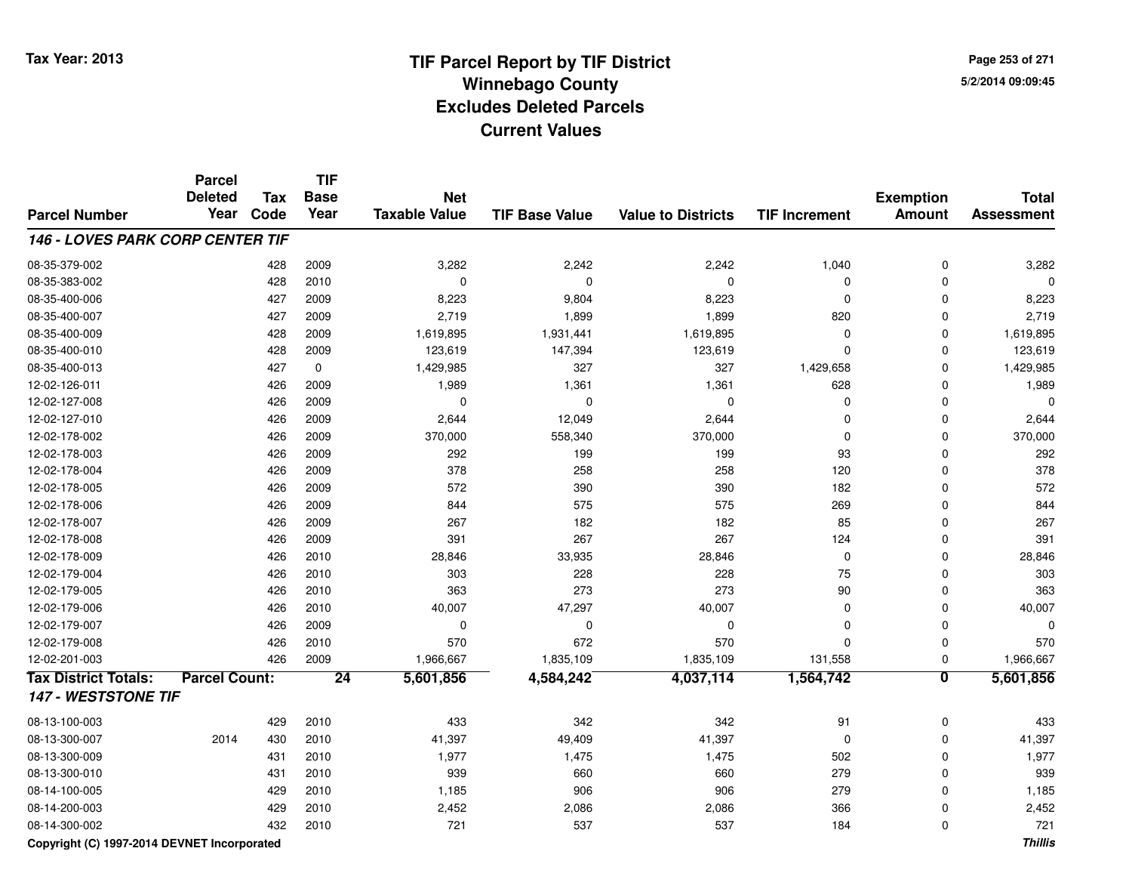**Page 253 of 2715/2/2014 09:09:45**

#### **TIF Base ValueParcel NumberTotal AssessmentExemption Amount Value to Districts TIF IncrementTIF Base YearTax CodeParcel Deleted YearNet Taxable Value146 - LOVES PARK CORP CENTER TIF**08-35-379-0022 2 2 2009 2,242 2,242 2,242 2,242 2,242 3,282 08-35-383-002 <sup>428</sup> <sup>0</sup> <sup>2010</sup> <sup>0</sup> <sup>0</sup> <sup>0</sup> <sup>0</sup> <sup>0</sup> 08-35-400-006 <sup>427</sup> 8,223 <sup>2009</sup> 9,804 8,223 <sup>0</sup> <sup>0</sup> 8,223 08-35-400-007 <sup>427</sup> 2,719 <sup>2009</sup> 1,899 1,899 <sup>820</sup> <sup>0</sup> 2,719 08-35-400-0099 428 2009 1,619,895 1,931,441 1,619,895 0 1,619,895 08-35-400-0100 428 2009 123,619 147,394 123,619 0 0 123,619 08-35-400-0133 427 0 1,429,985 327 327 1,429,658 0 1,429,985 12-02-126-0111 426 2009 1,989 1,361 1,361 628 0 1,989 12-02-127-008 <sup>426</sup> <sup>0</sup> <sup>2009</sup> <sup>0</sup> <sup>0</sup> <sup>0</sup> <sup>0</sup> <sup>0</sup> 12-02-127-0100 426 2009 2,644 12,049 2,644 0 0 2,644 12-02-178-0022 426 2009 370,000 558,340 370,000 0 370,000 12-02-178-003 <sup>426</sup> <sup>292</sup> <sup>2009</sup> <sup>199</sup> <sup>199</sup> <sup>93</sup> <sup>0</sup> <sup>292</sup> 12-02-178-0044 26 2009 1378 258 258 258 120 258 120 258 0 378 12-02-178-005 <sup>426</sup> <sup>572</sup> <sup>2009</sup> <sup>390</sup> <sup>390</sup> <sup>182</sup> <sup>0</sup> <sup>572</sup> 12-02-178-0066 426 2009 844 575 575 269 0 844 12-02-178-007 <sup>426</sup> <sup>267</sup> <sup>2009</sup> <sup>182</sup> <sup>182</sup> <sup>85</sup> <sup>0</sup> <sup>267</sup> 12-02-178-008 <sup>426</sup> <sup>391</sup> <sup>2009</sup> <sup>267</sup> <sup>267</sup> <sup>124</sup> <sup>0</sup> <sup>391</sup> 12-02-178-0099 426 2010 28,846 33,935 28,846 0 0 28,846 12-02-179-004 <sup>426</sup> <sup>303</sup> <sup>2010</sup> <sup>228</sup> <sup>228</sup> <sup>75</sup> <sup>0</sup> <sup>303</sup> 12-02-179-005 <sup>426</sup> <sup>363</sup> <sup>2010</sup> <sup>273</sup> <sup>273</sup> <sup>90</sup> <sup>0</sup> <sup>363</sup> 12-02-179-006 <sup>426</sup> 40,007 <sup>2010</sup> 47,297 40,007 <sup>0</sup> <sup>0</sup> 40,007 12-02-179-007 <sup>426</sup> <sup>0</sup> <sup>2009</sup> <sup>0</sup> <sup>0</sup> <sup>0</sup> <sup>0</sup> <sup>0</sup> 12-02-179-008 <sup>426</sup> <sup>570</sup> <sup>2010</sup> <sup>672</sup> <sup>570</sup> <sup>0</sup> <sup>0</sup> <sup>570</sup> 12-02-201-0033 426 2009 1,966,667 1,835,109 1,835,109 131,558 0 1,966,667 **Tax District Totals: Parcel Count: <sup>24</sup> 5,601,856 4,584,242 4,037,114 1,564,742 <sup>0</sup> 5,601,856 147 - WESTSTONE TIF**08-13-100-0033 429 2010 433 342 342 91 0 433 08-13-300-007 <sup>2014</sup> <sup>430</sup> <sup>2010</sup> 41,397 49,409 41,397 <sup>0</sup> <sup>0</sup> 41,397 08-13-300-009 <sup>431</sup> 1,977 <sup>2010</sup> 1,475 1,475 <sup>502</sup> <sup>0</sup> 1,977 08-13-300-010 <sup>431</sup> <sup>939</sup> <sup>2010</sup> <sup>660</sup> <sup>660</sup> <sup>279</sup> <sup>0</sup> <sup>939</sup> 08-14-100-005 <sup>429</sup> 1,185 <sup>2010</sup> <sup>906</sup> <sup>906</sup> <sup>279</sup> <sup>0</sup> 1,185 08-14-200-0033 429 2010 2,452 2,086 2,086 366 0 2,452 08-14-300-002<sup>432</sup> <sup>721</sup> <sup>2010</sup> <sup>537</sup> <sup>537</sup> <sup>184</sup> <sup>0</sup> <sup>721</sup>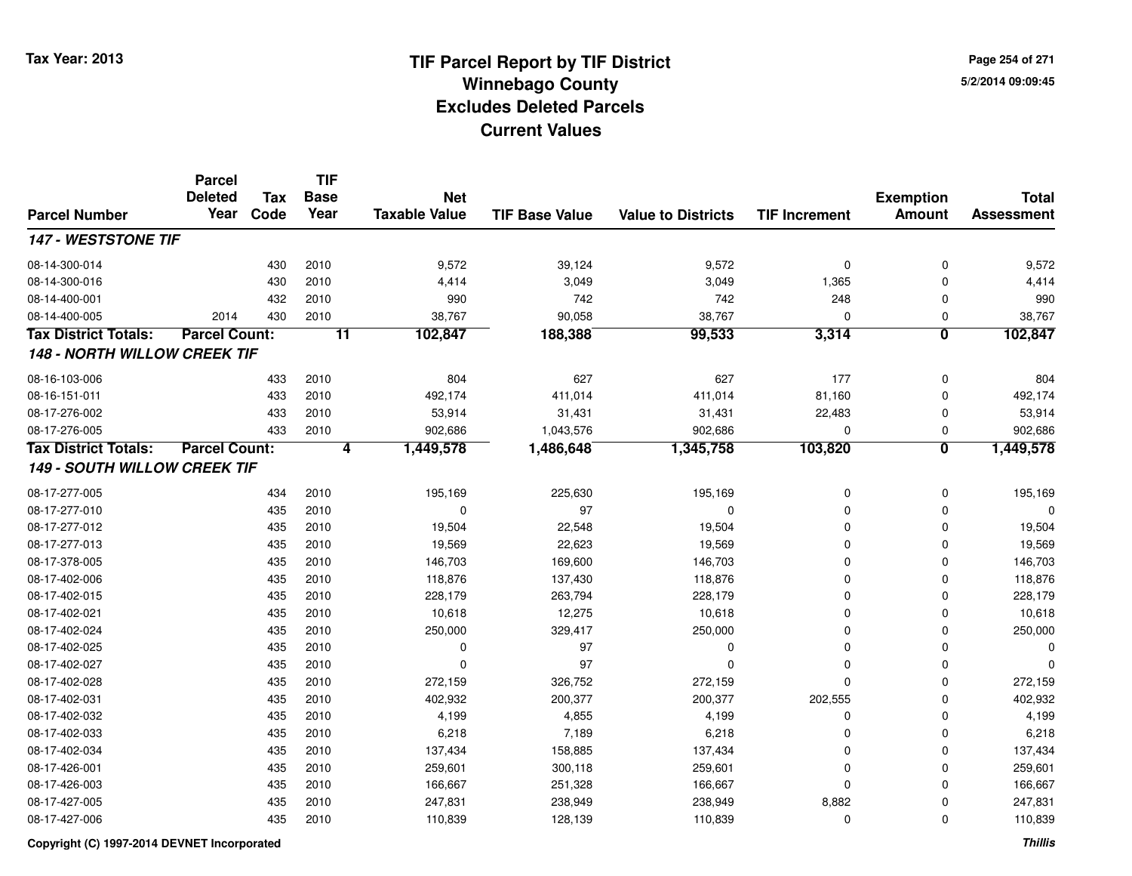**Page 254 of 2715/2/2014 09:09:45**

|                                     | <b>Parcel</b><br><b>Deleted</b> | <b>Tax</b> | <b>TIF</b><br><b>Base</b><br>Year | <b>Net</b>           |                       |                           |                      | <b>Exemption</b>        | <b>Total</b>      |
|-------------------------------------|---------------------------------|------------|-----------------------------------|----------------------|-----------------------|---------------------------|----------------------|-------------------------|-------------------|
| <b>Parcel Number</b>                | Year                            | Code       |                                   | <b>Taxable Value</b> | <b>TIF Base Value</b> | <b>Value to Districts</b> | <b>TIF Increment</b> | <b>Amount</b>           | <b>Assessment</b> |
| 147 - WESTSTONE TIF                 |                                 |            |                                   |                      |                       |                           |                      |                         |                   |
| 08-14-300-014                       |                                 | 430        | 2010                              | 9,572                | 39,124                | 9,572                     | 0                    | $\Omega$                | 9,572             |
| 08-14-300-016                       |                                 | 430        | 2010                              | 4,414                | 3,049                 | 3,049                     | 1,365                | $\Omega$                | 4,414             |
| 08-14-400-001                       |                                 | 432        | 2010                              | 990                  | 742                   | 742                       | 248                  | $\Omega$                | 990               |
| 08-14-400-005                       | 2014                            | 430        | 2010                              | 38,767               | 90,058                | 38,767                    | $\mathbf 0$          | 0                       | 38,767            |
| <b>Tax District Totals:</b>         | <b>Parcel Count:</b>            |            | $\overline{11}$                   | 102,847              | 188,388               | 99,533                    | 3,314                | $\overline{\mathbf{0}}$ | 102,847           |
| <b>148 - NORTH WILLOW CREEK TIF</b> |                                 |            |                                   |                      |                       |                           |                      |                         |                   |
| 08-16-103-006                       |                                 | 433        | 2010                              | 804                  | 627                   | 627                       | 177                  | 0                       | 804               |
| 08-16-151-011                       |                                 | 433        | 2010                              | 492,174              | 411,014               | 411,014                   | 81,160               | $\Omega$                | 492,174           |
| 08-17-276-002                       |                                 | 433        | 2010                              | 53,914               | 31,431                | 31,431                    | 22,483               | $\Omega$                | 53,914            |
| 08-17-276-005                       |                                 | 433        | 2010                              | 902,686              | 1,043,576             | 902,686                   | $\Omega$             | 0                       | 902,686           |
| <b>Tax District Totals:</b>         | <b>Parcel Count:</b>            |            | 4                                 | 1,449,578            | 1,486,648             | 1,345,758                 | 103,820              | 0                       | 1,449,578         |
| <b>149 - SOUTH WILLOW CREEK TIF</b> |                                 |            |                                   |                      |                       |                           |                      |                         |                   |
| 08-17-277-005                       |                                 | 434        | 2010                              | 195,169              | 225,630               | 195,169                   | 0                    | 0                       | 195,169           |
| 08-17-277-010                       |                                 | 435        | 2010                              | 0                    | 97                    | 0                         | $\Omega$             | $\Omega$                |                   |
| 08-17-277-012                       |                                 | 435        | 2010                              | 19,504               | 22,548                | 19,504                    | $\Omega$             | $\Omega$                | 19,504            |
| 08-17-277-013                       |                                 | 435        | 2010                              | 19,569               | 22,623                | 19,569                    | 0                    | $\Omega$                | 19,569            |
| 08-17-378-005                       |                                 | 435        | 2010                              | 146,703              | 169,600               | 146,703                   | 0                    | $\Omega$                | 146,703           |
| 08-17-402-006                       |                                 | 435        | 2010                              | 118,876              | 137,430               | 118,876                   | $\Omega$             | $\Omega$                | 118,876           |
| 08-17-402-015                       |                                 | 435        | 2010                              | 228,179              | 263,794               | 228,179                   | $\Omega$             | O                       | 228,179           |
| 08-17-402-021                       |                                 | 435        | 2010                              | 10,618               | 12,275                | 10,618                    | $\Omega$             | $\Omega$                | 10,618            |
| 08-17-402-024                       |                                 | 435        | 2010                              | 250,000              | 329,417               | 250,000                   | $\Omega$             | $\Omega$                | 250,000           |
| 08-17-402-025                       |                                 | 435        | 2010                              | 0                    | 97                    | 0                         | $\Omega$             | $\Omega$                |                   |
| 08-17-402-027                       |                                 | 435        | 2010                              | $\mathbf 0$          | 97                    | 0                         | 0                    | $\Omega$                |                   |
| 08-17-402-028                       |                                 | 435        | 2010                              | 272,159              | 326,752               | 272,159                   | $\Omega$             | $\Omega$                | 272,159           |
| 08-17-402-031                       |                                 | 435        | 2010                              | 402,932              | 200,377               | 200,377                   | 202,555              | $\Omega$                | 402,932           |
| 08-17-402-032                       |                                 | 435        | 2010                              | 4,199                | 4,855                 | 4,199                     | 0                    | $\Omega$                | 4,199             |
| 08-17-402-033                       |                                 | 435        | 2010                              | 6,218                | 7,189                 | 6,218                     | $\mathbf 0$          | $\Omega$                | 6,218             |
| 08-17-402-034                       |                                 | 435        | 2010                              | 137,434              | 158,885               | 137,434                   | $\Omega$             | $\Omega$                | 137,434           |
| 08-17-426-001                       |                                 | 435        | 2010                              | 259,601              | 300,118               | 259,601                   | $\Omega$             | O                       | 259,601           |
| 08-17-426-003                       |                                 | 435        | 2010                              | 166,667              | 251,328               | 166,667                   | $\Omega$             | $\Omega$                | 166,667           |
| 08-17-427-005                       |                                 | 435        | 2010                              | 247,831              | 238,949               | 238,949                   | 8,882                | O                       | 247,831           |
| 08-17-427-006                       |                                 | 435        | 2010                              | 110,839              | 128,139               | 110,839                   | $\Omega$             | O                       | 110,839           |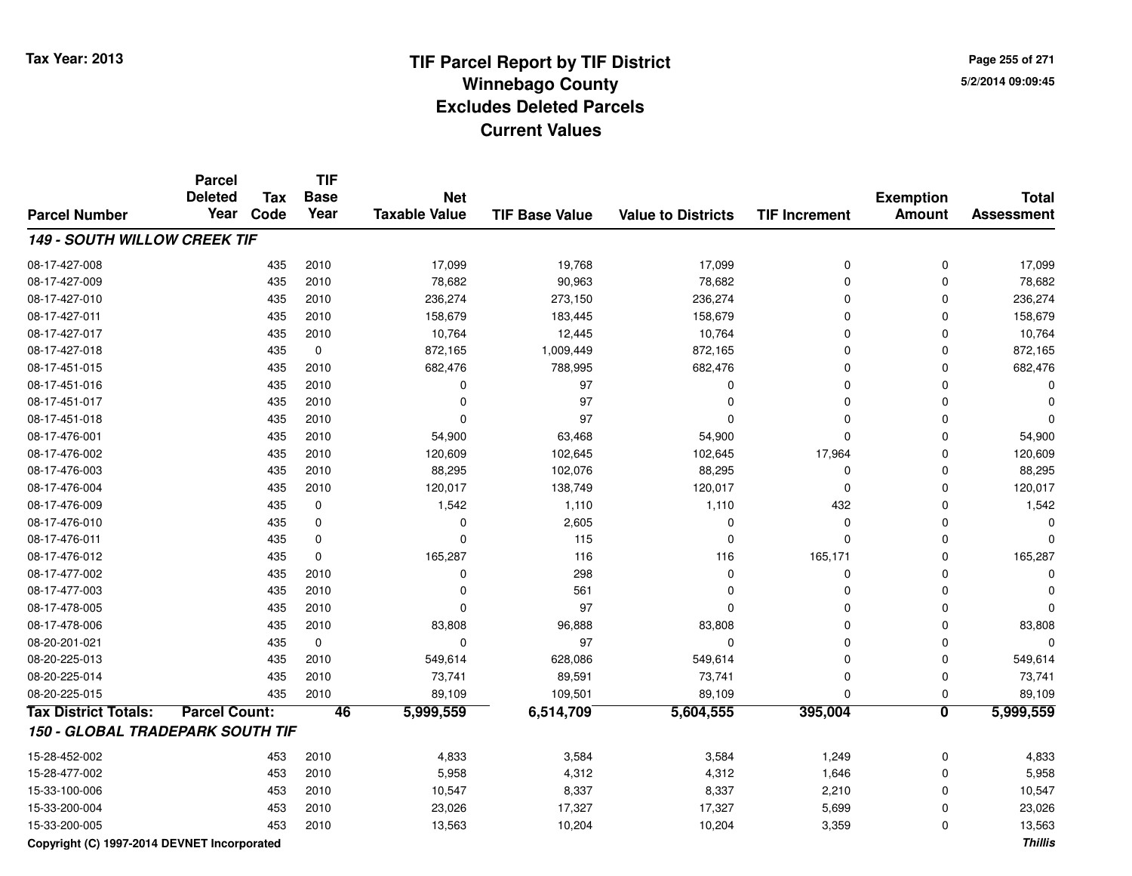**Page 255 of 2715/2/2014 09:09:45**

|                                     | <b>Parcel</b><br><b>Deleted</b> | <b>Tax</b> | <b>TIF</b><br><b>Base</b> | <b>Net</b>           |                       |                           |                      | <b>Exemption</b>        | <b>Total</b>      |
|-------------------------------------|---------------------------------|------------|---------------------------|----------------------|-----------------------|---------------------------|----------------------|-------------------------|-------------------|
| <b>Parcel Number</b>                | Year                            | Code       | Year                      | <b>Taxable Value</b> | <b>TIF Base Value</b> | <b>Value to Districts</b> | <b>TIF Increment</b> | <b>Amount</b>           | <b>Assessment</b> |
| <b>149 - SOUTH WILLOW CREEK TIF</b> |                                 |            |                           |                      |                       |                           |                      |                         |                   |
| 08-17-427-008                       |                                 | 435        | 2010                      | 17,099               | 19,768                | 17,099                    | $\mathbf 0$          | $\mathbf 0$             | 17,099            |
| 08-17-427-009                       |                                 | 435        | 2010                      | 78,682               | 90,963                | 78,682                    | $\mathbf 0$          | $\mathbf 0$             | 78,682            |
| 08-17-427-010                       |                                 | 435        | 2010                      | 236,274              | 273,150               | 236,274                   | $\Omega$             | $\mathbf 0$             | 236,274           |
| 08-17-427-011                       |                                 | 435        | 2010                      | 158,679              | 183,445               | 158,679                   | $\Omega$             | $\Omega$                | 158,679           |
| 08-17-427-017                       |                                 | 435        | 2010                      | 10,764               | 12,445                | 10,764                    | $\Omega$             | $\Omega$                | 10,764            |
| 08-17-427-018                       |                                 | 435        | $\mathbf 0$               | 872,165              | 1,009,449             | 872,165                   | $\Omega$             | $\Omega$                | 872,165           |
| 08-17-451-015                       |                                 | 435        | 2010                      | 682,476              | 788,995               | 682,476                   | $\Omega$             | 0                       | 682,476           |
| 08-17-451-016                       |                                 | 435        | 2010                      | $\Omega$             | 97                    | 0                         | $\Omega$             | $\Omega$                |                   |
| 08-17-451-017                       |                                 | 435        | 2010                      | $\Omega$             | 97                    | 0                         | $\Omega$             | 0                       |                   |
| 08-17-451-018                       |                                 | 435        | 2010                      | $\Omega$             | 97                    | $\Omega$                  | $\Omega$             | 0                       |                   |
| 08-17-476-001                       |                                 | 435        | 2010                      | 54,900               | 63,468                | 54,900                    | $\Omega$             | $\Omega$                | 54,900            |
| 08-17-476-002                       |                                 | 435        | 2010                      | 120,609              | 102,645               | 102,645                   | 17,964               | $\mathbf 0$             | 120,609           |
| 08-17-476-003                       |                                 | 435        | 2010                      | 88,295               | 102,076               | 88,295                    | $\mathbf 0$          | $\mathbf 0$             | 88,295            |
| 08-17-476-004                       |                                 | 435        | 2010                      | 120,017              | 138,749               | 120,017                   | $\mathbf 0$          | $\mathbf 0$             | 120,017           |
| 08-17-476-009                       |                                 | 435        | $\mathbf 0$               | 1,542                | 1,110                 | 1,110                     | 432                  | $\mathbf 0$             | 1,542             |
| 08-17-476-010                       |                                 | 435        | 0                         | 0                    | 2,605                 | $\Omega$                  | $\mathbf 0$          | 0                       | O                 |
| 08-17-476-011                       |                                 | 435        | $\mathbf 0$               | $\mathbf 0$          | 115                   | $\Omega$                  | $\Omega$             | $\Omega$                |                   |
| 08-17-476-012                       |                                 | 435        | $\mathbf 0$               | 165,287              | 116                   | 116                       | 165,171              | 0                       | 165,287           |
| 08-17-477-002                       |                                 | 435        | 2010                      | 0                    | 298                   | $\Omega$                  | $\mathbf 0$          | 0                       |                   |
| 08-17-477-003                       |                                 | 435        | 2010                      | $\Omega$             | 561                   | $\Omega$                  | $\Omega$             | $\Omega$                |                   |
| 08-17-478-005                       |                                 | 435        | 2010                      | 0                    | 97                    | $\Omega$                  | $\Omega$             | $\Omega$                |                   |
| 08-17-478-006                       |                                 | 435        | 2010                      | 83,808               | 96,888                | 83,808                    | $\Omega$             | $\Omega$                | 83,808            |
| 08-20-201-021                       |                                 | 435        | $\mathbf 0$               | $\Omega$             | 97                    | $\Omega$                  | $\Omega$             | $\Omega$                |                   |
| 08-20-225-013                       |                                 | 435        | 2010                      | 549,614              | 628,086               | 549,614                   | $\Omega$             | 0                       | 549,614           |
| 08-20-225-014                       |                                 | 435        | 2010                      | 73,741               | 89,591                | 73,741                    | $\mathbf 0$          | $\mathbf 0$             | 73,741            |
| 08-20-225-015                       |                                 | 435        | 2010                      | 89,109               | 109,501               | 89,109                    | $\Omega$             | $\mathbf 0$             | 89,109            |
| <b>Tax District Totals:</b>         | <b>Parcel Count:</b>            |            | 46                        | 5,999,559            | 6,514,709             | 5,604,555                 | 395,004              | $\overline{\mathbf{0}}$ | 5,999,559         |
| 150 - GLOBAL TRADEPARK SOUTH TIF    |                                 |            |                           |                      |                       |                           |                      |                         |                   |
| 15-28-452-002                       |                                 | 453        | 2010                      | 4,833                | 3,584                 | 3,584                     | 1,249                | $\mathbf 0$             | 4,833             |
| 15-28-477-002                       |                                 | 453        | 2010                      | 5,958                | 4,312                 | 4,312                     | 1,646                | $\mathbf 0$             | 5,958             |
| 15-33-100-006                       |                                 | 453        | 2010                      | 10,547               | 8,337                 | 8,337                     | 2,210                | $\mathbf 0$             | 10,547            |
| 15-33-200-004                       |                                 | 453        | 2010                      | 23,026               | 17,327                | 17,327                    | 5,699                | 0                       | 23,026            |
| 15-33-200-005                       |                                 | 453        | 2010                      | 13,563               | 10,204                | 10,204                    | 3,359                | $\mathbf{0}$            | 13,563            |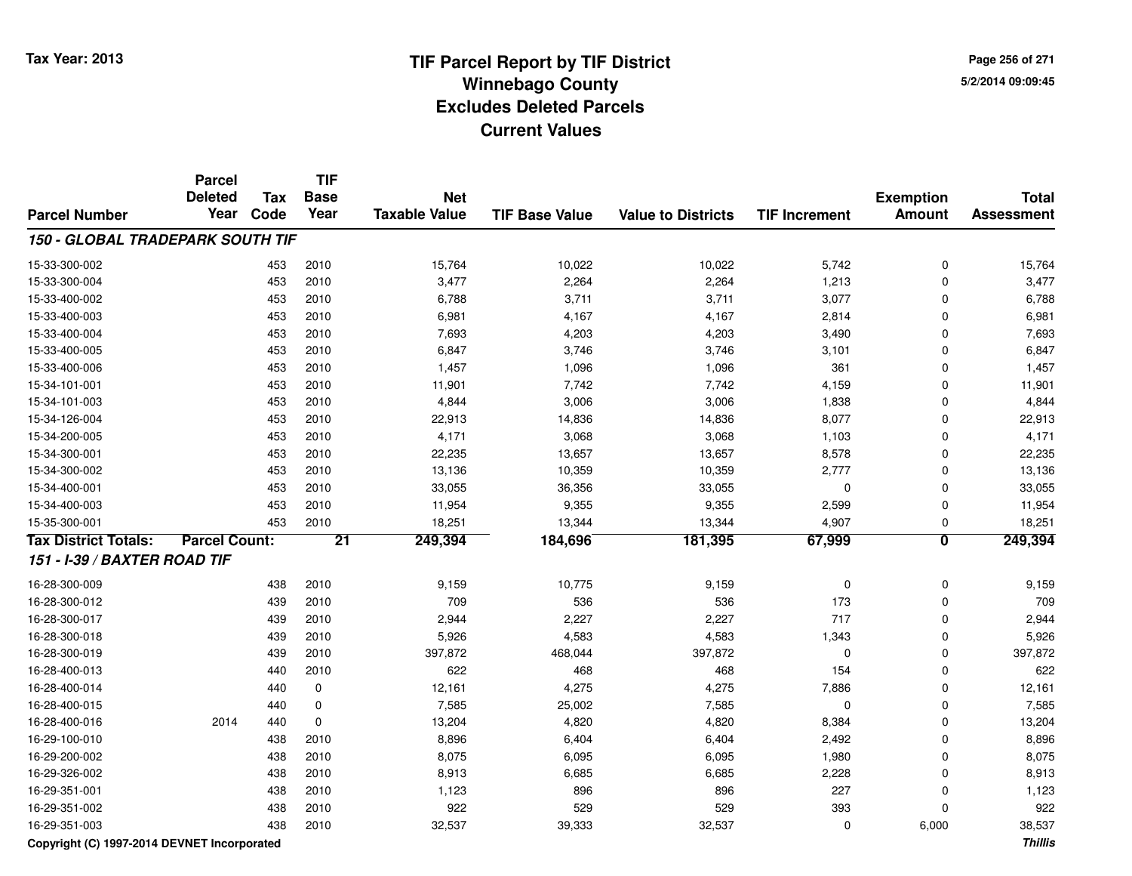**Page 256 of 2715/2/2014 09:09:45**

|                                         | <b>Parcel</b><br><b>Deleted</b> | Tax  | <b>TIF</b><br><b>Base</b> | <b>Net</b>           |                       |                           |                      | <b>Exemption</b>        | <b>Total</b>      |
|-----------------------------------------|---------------------------------|------|---------------------------|----------------------|-----------------------|---------------------------|----------------------|-------------------------|-------------------|
| <b>Parcel Number</b>                    | Year                            | Code | Year                      | <b>Taxable Value</b> | <b>TIF Base Value</b> | <b>Value to Districts</b> | <b>TIF Increment</b> | <b>Amount</b>           | <b>Assessment</b> |
| <b>150 - GLOBAL TRADEPARK SOUTH TIF</b> |                                 |      |                           |                      |                       |                           |                      |                         |                   |
| 15-33-300-002                           |                                 | 453  | 2010                      | 15,764               | 10,022                | 10,022                    | 5,742                | $\mathbf 0$             | 15,764            |
| 15-33-300-004                           |                                 | 453  | 2010                      | 3,477                | 2,264                 | 2,264                     | 1,213                | $\mathbf{0}$            | 3,477             |
| 15-33-400-002                           |                                 | 453  | 2010                      | 6,788                | 3,711                 | 3,711                     | 3,077                | $\mathbf 0$             | 6,788             |
| 15-33-400-003                           |                                 | 453  | 2010                      | 6,981                | 4,167                 | 4,167                     | 2,814                | $\Omega$                | 6,981             |
| 15-33-400-004                           |                                 | 453  | 2010                      | 7,693                | 4,203                 | 4,203                     | 3,490                | 0                       | 7,693             |
| 15-33-400-005                           |                                 | 453  | 2010                      | 6,847                | 3,746                 | 3,746                     | 3,101                | 0                       | 6,847             |
| 15-33-400-006                           |                                 | 453  | 2010                      | 1,457                | 1,096                 | 1,096                     | 361                  | 0                       | 1,457             |
| 15-34-101-001                           |                                 | 453  | 2010                      | 11,901               | 7,742                 | 7,742                     | 4,159                | $\mathbf{0}$            | 11,901            |
| 15-34-101-003                           |                                 | 453  | 2010                      | 4,844                | 3,006                 | 3,006                     | 1,838                | $\mathbf{0}$            | 4,844             |
| 15-34-126-004                           |                                 | 453  | 2010                      | 22,913               | 14,836                | 14,836                    | 8,077                | $\mathbf 0$             | 22,913            |
| 15-34-200-005                           |                                 | 453  | 2010                      | 4,171                | 3,068                 | 3,068                     | 1,103                | $\mathbf 0$             | 4,171             |
| 15-34-300-001                           |                                 | 453  | 2010                      | 22,235               | 13,657                | 13,657                    | 8,578                | $\mathbf 0$             | 22,235            |
| 15-34-300-002                           |                                 | 453  | 2010                      | 13,136               | 10,359                | 10,359                    | 2,777                | $\mathbf 0$             | 13,136            |
| 15-34-400-001                           |                                 | 453  | 2010                      | 33,055               | 36,356                | 33,055                    | 0                    | $\mathbf 0$             | 33,055            |
| 15-34-400-003                           |                                 | 453  | 2010                      | 11,954               | 9,355                 | 9,355                     | 2,599                | $\mathbf 0$             | 11,954            |
| 15-35-300-001                           |                                 | 453  | 2010                      | 18,251               | 13,344                | 13,344                    | 4,907                | $\mathbf 0$             | 18,251            |
| <b>Tax District Totals:</b>             | <b>Parcel Count:</b>            |      | $\overline{21}$           | 249,394              | 184,696               | 181,395                   | 67,999               | $\overline{\mathbf{0}}$ | 249,394           |
| 151 - I-39 / BAXTER ROAD TIF            |                                 |      |                           |                      |                       |                           |                      |                         |                   |
| 16-28-300-009                           |                                 | 438  | 2010                      | 9,159                | 10,775                | 9,159                     | 0                    | $\mathbf 0$             | 9,159             |
| 16-28-300-012                           |                                 | 439  | 2010                      | 709                  | 536                   | 536                       | 173                  | $\mathbf 0$             | 709               |
| 16-28-300-017                           |                                 | 439  | 2010                      | 2,944                | 2,227                 | 2,227                     | 717                  | 0                       | 2,944             |
| 16-28-300-018                           |                                 | 439  | 2010                      | 5,926                | 4,583                 | 4,583                     | 1,343                | $\mathbf 0$             | 5,926             |
| 16-28-300-019                           |                                 | 439  | 2010                      | 397,872              | 468,044               | 397,872                   | 0                    | $\mathbf 0$             | 397,872           |
| 16-28-400-013                           |                                 | 440  | 2010                      | 622                  | 468                   | 468                       | 154                  | $\Omega$                | 622               |
| 16-28-400-014                           |                                 | 440  | 0                         | 12,161               | 4,275                 | 4,275                     | 7,886                | 0                       | 12,161            |
| 16-28-400-015                           |                                 | 440  | 0                         | 7,585                | 25,002                | 7,585                     | 0                    | $\mathbf 0$             | 7,585             |
| 16-28-400-016                           | 2014                            | 440  | $\pmb{0}$                 | 13,204               | 4,820                 | 4,820                     | 8,384                | $\mathbf 0$             | 13,204            |
| 16-29-100-010                           |                                 | 438  | 2010                      | 8,896                | 6,404                 | 6,404                     | 2,492                | $\mathbf 0$             | 8,896             |
| 16-29-200-002                           |                                 | 438  | 2010                      | 8,075                | 6,095                 | 6,095                     | 1,980                | $\pmb{0}$               | 8,075             |
| 16-29-326-002                           |                                 | 438  | 2010                      | 8,913                | 6,685                 | 6,685                     | 2,228                | $\mathbf 0$             | 8,913             |
| 16-29-351-001                           |                                 | 438  | 2010                      | 1,123                | 896                   | 896                       | 227                  | $\mathbf 0$             | 1,123             |
| 16-29-351-002                           |                                 | 438  | 2010                      | 922                  | 529                   | 529                       | 393                  | $\Omega$                | 922               |
| 16-29-351-003                           |                                 | 438  | 2010                      | 32,537               | 39,333                | 32,537                    | 0                    | 6,000                   | 38,537            |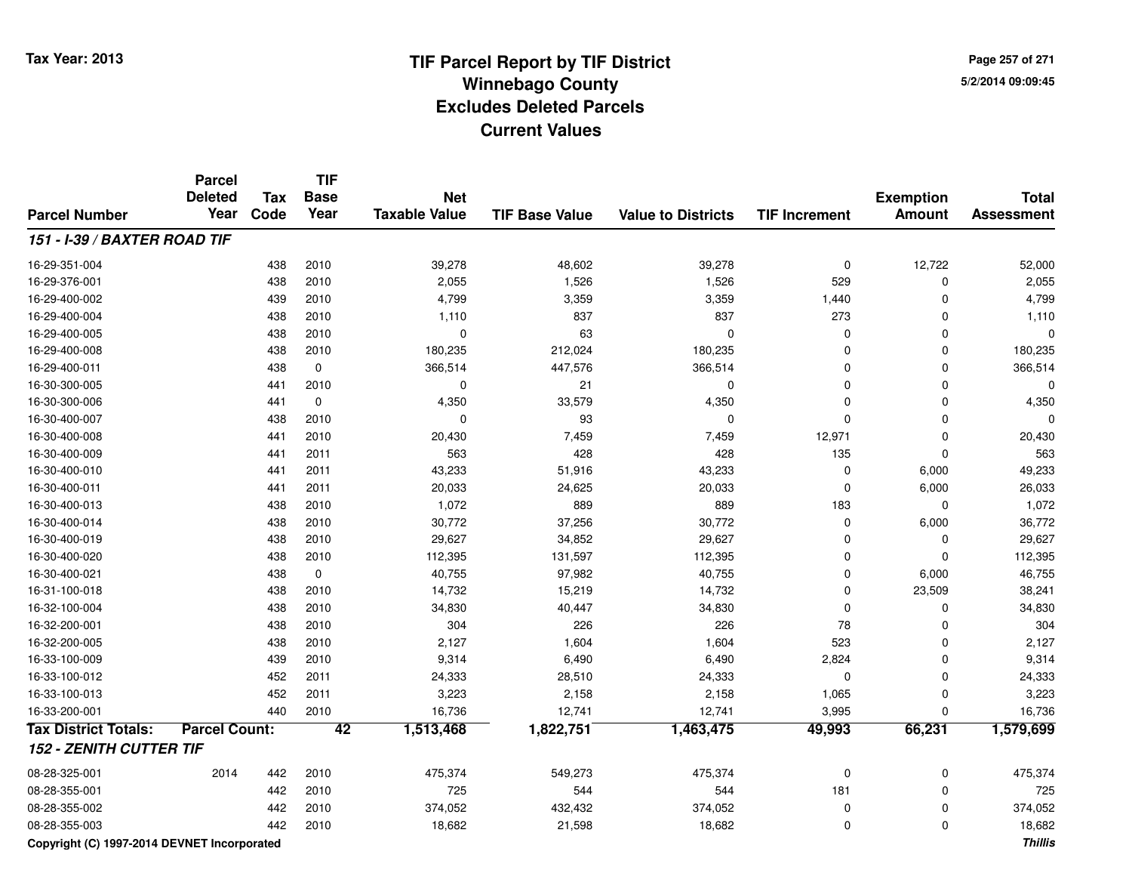**Page 257 of 2715/2/2014 09:09:45**

#### **TIF Base ValueParcel NumberTotal AssessmentExemption Amount Value to Districts TIF IncrementTIF Base YearTax CodeParcel Deleted YearNet Taxable Value151 - I-39 / BAXTER ROAD TIF**16-29-351-004438 2010 12,722 52,000 39,278 48,602 39,278 39,278 0 12,722 52,000 16-29-376-0011 438 2010 2,055 1,526 1,526 529 0 2,055 16-29-400-0022 439 2010 4,799 3,359 3,359 1,440 0 4,799 16-29-400-004 <sup>438</sup> 1,110 <sup>2010</sup> <sup>837</sup> <sup>837</sup> <sup>273</sup> <sup>0</sup> 1,110 16-29-400-005 <sup>438</sup> <sup>0</sup> <sup>2010</sup> <sup>63</sup> <sup>0</sup> <sup>0</sup> <sup>0</sup> <sup>0</sup> 16-29-400-008 <sup>438</sup> 180,235 <sup>2010</sup> 212,024 180,235 <sup>0</sup> <sup>0</sup> 180,235 16-29-400-0111 438 0 366,514 447,576 366,514 0 366,514 16-30-300-005 <sup>441</sup> <sup>0</sup> <sup>2010</sup> <sup>21</sup> <sup>0</sup> <sup>0</sup> <sup>0</sup> <sup>0</sup> 16-30-300-006 <sup>441</sup> 4,350 <sup>0</sup> 33,579 4,350 <sup>0</sup> <sup>0</sup> 4,350 16-30-400-007 <sup>438</sup> <sup>0</sup> <sup>2010</sup> <sup>93</sup> <sup>0</sup> <sup>0</sup> <sup>0</sup> <sup>0</sup> 16-30-400-008 <sup>441</sup> 20,430 <sup>2010</sup> 7,459 7,459 12,971 <sup>0</sup> 20,430 16-30-400-009 <sup>441</sup> <sup>563</sup> <sup>2011</sup> <sup>428</sup> <sup>428</sup> <sup>135</sup> <sup>0</sup> <sup>563</sup> 16-30-400-0100 441 2011 43,233 51,916 43,233 0 6,000 49,233 16-30-400-0111 441 2011 20,033 24,625 20,033 0 6,000 26,033 16-30-400-013 <sup>438</sup> 1,072 <sup>2010</sup> <sup>889</sup> <sup>889</sup> <sup>183</sup> <sup>0</sup> 1,072 16-30-400-014 <sup>438</sup> 30,772 <sup>2010</sup> 37,256 30,772 <sup>0</sup> 6,000 36,772 16-30-400-0199 438 2010 29,627 34,852 29,627 0 0 29,627 16-30-400-0200 438 2010 112,395 131,597 112,395 0 112,395 16-30-400-0211 438 0 40,755 97,982 40,755 0 6,000 46,755 16-31-100-018 <sup>438</sup> 14,732 <sup>2010</sup> 15,219 14,732 <sup>0</sup> 23,509 38,241 16-32-100-004 <sup>438</sup> 34,830 <sup>2010</sup> 40,447 34,830 <sup>0</sup> <sup>0</sup> 34,830 16-32-200-0011 438 2010 304 226 226 78 0 304 16-32-200-005 <sup>438</sup> 2,127 <sup>2010</sup> 1,604 1,604 <sup>523</sup> <sup>0</sup> 2,127 16-33-100-009 <sup>439</sup> 9,314 <sup>2010</sup> 6,490 6,490 2,824 <sup>0</sup> 9,314 16-33-100-012 <sup>452</sup> 24,333 <sup>2011</sup> 28,510 24,333 <sup>0</sup> <sup>0</sup> 24,333 16-33-100-0133 452 2011 3,223 2,158 2,158 1,065 0 3,223 16-33-200-0011 440 2010 16,736 12,741 12,741 3,995 0 16,736 **Tax District Totals: Parcel Count: <sup>42</sup> 1,513,468 1,822,751 1,463,475 49,993 66,231 1,579,699 152 - ZENITH CUTTER TIF**08-28-325-001 <sup>2014</sup> <sup>442</sup> <sup>2010</sup> 475,374 549,273 475,374 <sup>0</sup> <sup>0</sup> 475,374 08-28-355-001 <sup>442</sup> <sup>725</sup> <sup>2010</sup> <sup>544</sup> <sup>544</sup> <sup>181</sup> <sup>0</sup> <sup>725</sup> 08-28-355-0022 374,052 2010 374,052 374,052 432,432 374,052 374,052 0 374,052 0 374,052 08-28-355-0033 442 2010 18,682 21,598 18,682 0 0 18,682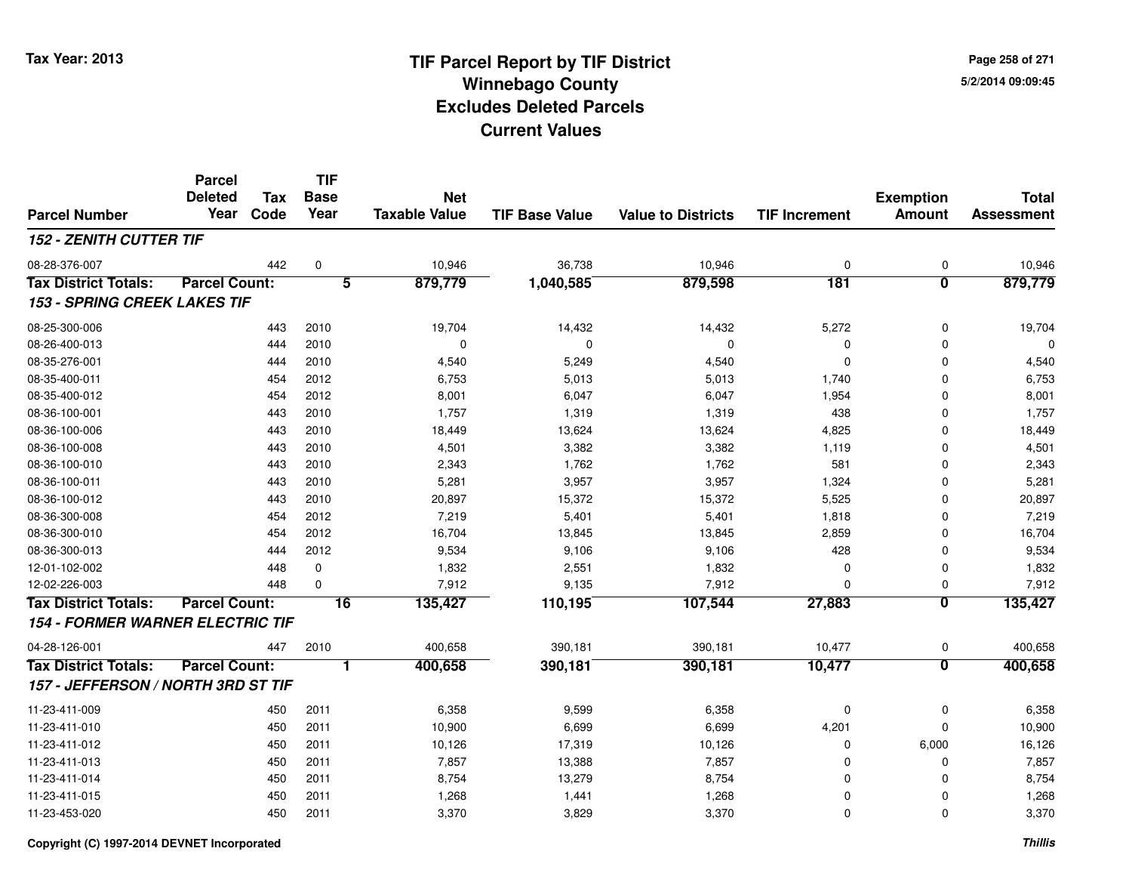**Page 258 of 2715/2/2014 09:09:45**

#### **TIF Base ValueParcel NumberTotal AssessmentExemption Amount Value to Districts TIF IncrementTIF Base YearTax CodeParcel Deleted YearNet Taxable Value152 - ZENITH CUTTER TIF**08-28-376-0077 442 0 10,946 36,738 10,946 0 0 10,946 **Tax District Totals: Parcel Count: <sup>5</sup> 879,779 1,040,585 879,598 <sup>181</sup> <sup>0</sup> 879,779 153 - SPRING CREEK LAKES TIF**08-25-300-006 <sup>443</sup> 19,704 <sup>2010</sup> 14,432 14,432 5,272 <sup>0</sup> 19,704 08-26-400-013 <sup>444</sup> <sup>0</sup> <sup>2010</sup> <sup>0</sup> <sup>0</sup> <sup>0</sup> <sup>0</sup> <sup>0</sup> 08-35-276-0011 1 2010 1 3,540 5,249 3 4,540 0 0 3,540 4,540 08-35-400-0111 454 2012 6,753 5,013 5,013 1,740 0 6,753 08-35-400-0122 454 2012 8,001 6,047 6,047 1,954 0 8,001 08-36-100-0011 1 443 2010 1,757 1,319 1,319 438 0 1,757 08-36-100-006 <sup>443</sup> 18,449 <sup>2010</sup> 13,624 13,624 4,825 <sup>0</sup> 18,449 08-36-100-008 <sup>443</sup> 4,501 <sup>2010</sup> 3,382 3,382 1,119 <sup>0</sup> 4,501 08-36-100-0100 443 2010 2,343 1,762 1,762 581 0 2,343 08-36-100-0111 443 2010 5,281 3,957 3,957 1,324 0 5,281 08-36-100-012 <sup>443</sup> 20,897 <sup>2010</sup> 15,372 15,372 5,525 <sup>0</sup> 20,897 08-36-300-008 <sup>454</sup> 7,219 <sup>2012</sup> 5,401 5,401 1,818 <sup>0</sup> 7,219 08-36-300-0100 454 2012 16,704 13,845 13,845 2,859 0 16,704 08-36-300-0133 444 2012 9,534 9,106 9,106 428 0 9,534 12-01-102-0022 2 448 0 1,832 2,551 1,832 0 0 1,832 12-02-226-0033 448 0 7,912 9,135 7,912 0 0 7,912 **Tax District Totals: Parcel Count: <sup>16</sup> 135,427 110,195 107,544 27,883 <sup>0</sup> 135,427 154 - FORMER WARNER ELECTRIC TIF**04-28-126-0011 447 2010 400,658 390,181 390,181 10,477 0 400,658 **Tax District Totals: Parcel Count: <sup>1</sup> 400,658 390,181 390,181 10,477 <sup>0</sup> 400,658 157 - JEFFERSON / NORTH 3RD ST TIF**11-23-411-0099 450 2011 6,358 9,599 6,358 0 0 6,358 11-23-411-010 <sup>450</sup> 10,900 <sup>2011</sup> 6,699 6,699 4,201 <sup>0</sup> 10,900 11-23-411-0122 450 2011 10,126 17,319 10,126 0 6,000 16,126 11-23-411-0133 450 2011 7,857 13,388 7,857 0 0 7,857 11-23-411-014 <sup>450</sup> 8,754 <sup>2011</sup> 13,279 8,754 <sup>0</sup> <sup>0</sup> 8,754 11-23-411-0155 450 2011 1,268 1,441 1,268 0 0 1,268 11-23-453-0200 450 2011 3,370 3,829 3,370 0 0 3,370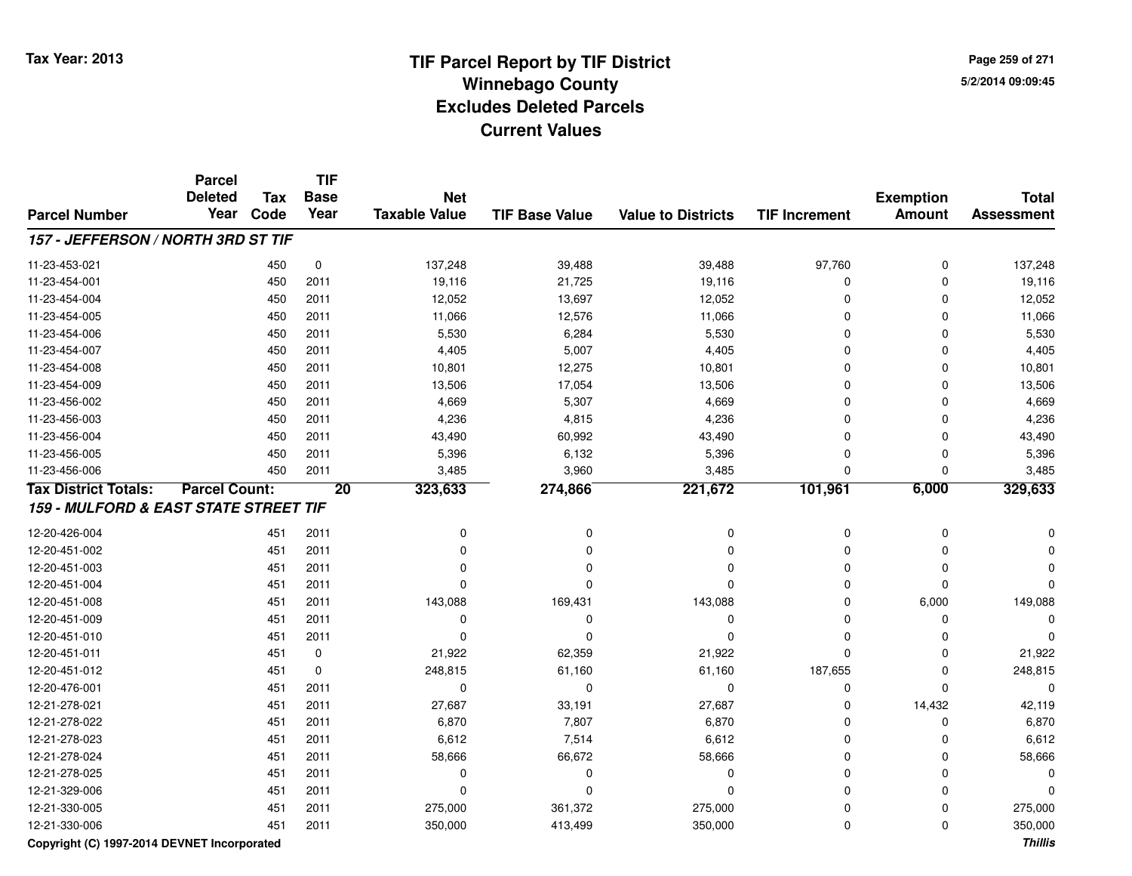**Page 259 of 2715/2/2014 09:09:45**

|                                       | <b>Parcel</b><br><b>Deleted</b> | <b>Tax</b> | <b>TIF</b><br><b>Base</b> | <b>Net</b>           |                       |                           |                      | <b>Exemption</b> | <b>Total</b>      |
|---------------------------------------|---------------------------------|------------|---------------------------|----------------------|-----------------------|---------------------------|----------------------|------------------|-------------------|
| <b>Parcel Number</b>                  | Year                            | Code       | Year                      | <b>Taxable Value</b> | <b>TIF Base Value</b> | <b>Value to Districts</b> | <b>TIF Increment</b> | <b>Amount</b>    | <b>Assessment</b> |
| 157 - JEFFERSON / NORTH 3RD ST TIF    |                                 |            |                           |                      |                       |                           |                      |                  |                   |
| 11-23-453-021                         |                                 | 450        | $\pmb{0}$                 | 137,248              | 39,488                | 39,488                    | 97,760               | 0                | 137,248           |
| 11-23-454-001                         |                                 | 450        | 2011                      | 19,116               | 21,725                | 19,116                    | 0                    | $\mathbf 0$      | 19,116            |
| 11-23-454-004                         |                                 | 450        | 2011                      | 12,052               | 13,697                | 12,052                    | 0                    | $\Omega$         | 12,052            |
| 11-23-454-005                         |                                 | 450        | 2011                      | 11,066               | 12,576                | 11,066                    | 0                    | $\Omega$         | 11,066            |
| 11-23-454-006                         |                                 | 450        | 2011                      | 5,530                | 6,284                 | 5,530                     | 0                    | $\Omega$         | 5,530             |
| 11-23-454-007                         |                                 | 450        | 2011                      | 4,405                | 5,007                 | 4,405                     | 0                    | $\Omega$         | 4,405             |
| 11-23-454-008                         |                                 | 450        | 2011                      | 10,801               | 12,275                | 10,801                    | 0                    | $\Omega$         | 10,801            |
| 11-23-454-009                         |                                 | 450        | 2011                      | 13,506               | 17,054                | 13,506                    | 0                    | $\Omega$         | 13,506            |
| 11-23-456-002                         |                                 | 450        | 2011                      | 4,669                | 5,307                 | 4,669                     | 0                    | $\Omega$         | 4,669             |
| 11-23-456-003                         |                                 | 450        | 2011                      | 4,236                | 4,815                 | 4,236                     | 0                    | $\Omega$         | 4,236             |
| 11-23-456-004                         |                                 | 450        | 2011                      | 43,490               | 60,992                | 43,490                    | 0                    | $\mathbf 0$      | 43,490            |
| 11-23-456-005                         |                                 | 450        | 2011                      | 5,396                | 6,132                 | 5,396                     | 0                    | $\mathbf 0$      | 5,396             |
| 11-23-456-006                         |                                 | 450        | 2011                      | 3,485                | 3,960                 | 3,485                     | $\mathbf 0$          | $\Omega$         | 3,485             |
| <b>Tax District Totals:</b>           | <b>Parcel Count:</b>            |            | $\overline{20}$           | 323,633              | 274,866               | 221,672                   | 101,961              | 6,000            | 329,633           |
| 159 - MULFORD & EAST STATE STREET TIF |                                 |            |                           |                      |                       |                           |                      |                  |                   |
| 12-20-426-004                         |                                 | 451        | 2011                      | $\mathbf 0$          | 0                     | $\mathbf 0$               | 0                    | $\Omega$         |                   |
| 12-20-451-002                         |                                 | 451        | 2011                      | 0                    | $\Omega$              | 0                         | 0                    | $\Omega$         |                   |
| 12-20-451-003                         |                                 | 451        | 2011                      | 0                    | O                     | $\Omega$                  | 0                    | $\Omega$         |                   |
| 12-20-451-004                         |                                 | 451        | 2011                      | $\Omega$             | $\Omega$              | $\Omega$                  | 0                    | $\Omega$         |                   |
| 12-20-451-008                         |                                 | 451        | 2011                      | 143,088              | 169,431               | 143,088                   | $\mathbf 0$          | 6,000            | 149,088           |
| 12-20-451-009                         |                                 | 451        | 2011                      | $\Omega$             | 0                     | 0                         | 0                    | 0                |                   |
| 12-20-451-010                         |                                 | 451        | 2011                      | $\Omega$             | O                     | $\Omega$                  | $\mathbf 0$          | ∩                |                   |
| 12-20-451-011                         |                                 | 451        | $\mathbf 0$               | 21,922               | 62,359                | 21,922                    | $\mathbf 0$          | $\Omega$         | 21,922            |
| 12-20-451-012                         |                                 | 451        | $\mathbf 0$               | 248,815              | 61,160                | 61,160                    | 187,655              | $\Omega$         | 248,815           |
| 12-20-476-001                         |                                 | 451        | 2011                      | $\Omega$             | $\Omega$              | 0                         | 0                    | $\Omega$         | U                 |
| 12-21-278-021                         |                                 | 451        | 2011                      | 27,687               | 33,191                | 27,687                    | 0                    | 14,432           | 42,119            |
| 12-21-278-022                         |                                 | 451        | 2011                      | 6,870                | 7,807                 | 6,870                     | 0                    | 0                | 6,870             |
| 12-21-278-023                         |                                 | 451        | 2011                      | 6,612                | 7,514                 | 6,612                     | 0                    | 0                | 6,612             |
| 12-21-278-024                         |                                 | 451        | 2011                      | 58,666               | 66,672                | 58,666                    | 0                    | 0                | 58,666            |
| 12-21-278-025                         |                                 | 451        | 2011                      | $\mathbf 0$          | $\mathbf 0$           | $\mathbf 0$               | 0                    | $\Omega$         |                   |
| 12-21-329-006                         |                                 | 451        | 2011                      | $\Omega$             | $\Omega$              | $\Omega$                  | 0                    | $\Omega$         |                   |
| 12-21-330-005                         |                                 | 451        | 2011                      | 275,000              | 361,372               | 275,000                   | 0                    | $\Omega$         | 275,000           |
| 12-21-330-006                         |                                 | 451        | 2011                      | 350,000              | 413,499               | 350,000                   | $\mathbf 0$          | $\Omega$         | 350,000           |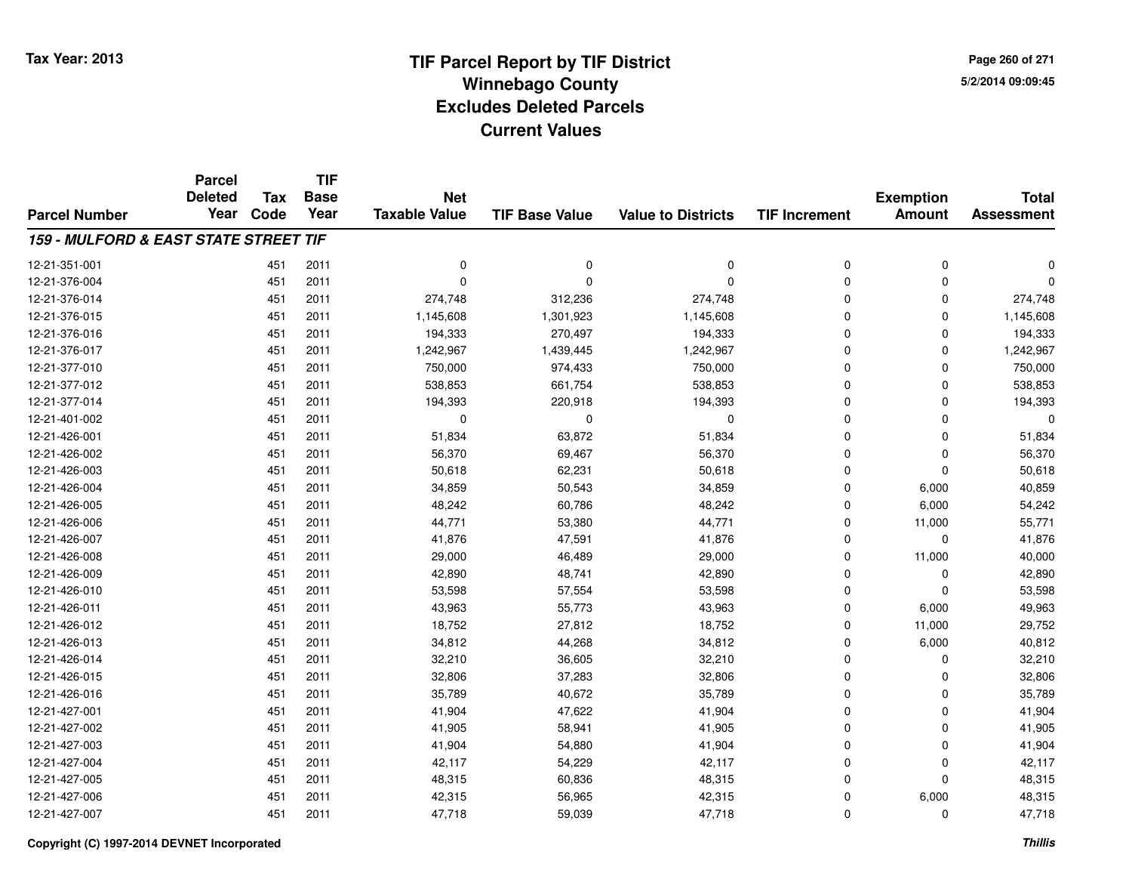**Page 260 of 2715/2/2014 09:09:45**

|                                       | <b>Parcel</b><br><b>Deleted</b> | Tax  | <b>TIF</b><br><b>Base</b> | <b>Net</b>           |                       |                           |                      |                                   |                                   |
|---------------------------------------|---------------------------------|------|---------------------------|----------------------|-----------------------|---------------------------|----------------------|-----------------------------------|-----------------------------------|
| <b>Parcel Number</b>                  | Year                            | Code | Year                      | <b>Taxable Value</b> | <b>TIF Base Value</b> | <b>Value to Districts</b> | <b>TIF Increment</b> | <b>Exemption</b><br><b>Amount</b> | <b>Total</b><br><b>Assessment</b> |
| 159 - MULFORD & EAST STATE STREET TIF |                                 |      |                           |                      |                       |                           |                      |                                   |                                   |
| 12-21-351-001                         |                                 | 451  | 2011                      | 0                    | 0                     | 0                         | 0                    | 0                                 | $\Omega$                          |
| 12-21-376-004                         |                                 | 451  | 2011                      | $\Omega$             | $\Omega$              | 0                         | $\mathbf 0$          | 0                                 | $\Omega$                          |
| 12-21-376-014                         |                                 | 451  | 2011                      | 274,748              | 312,236               | 274,748                   | 0                    | 0                                 | 274,748                           |
| 12-21-376-015                         |                                 | 451  | 2011                      | 1,145,608            | 1,301,923             | 1,145,608                 | $\mathbf 0$          | $\Omega$                          | 1,145,608                         |
| 12-21-376-016                         |                                 | 451  | 2011                      | 194,333              | 270,497               | 194,333                   | $\mathbf 0$          | $\Omega$                          | 194,333                           |
| 12-21-376-017                         |                                 | 451  | 2011                      | 1,242,967            | 1,439,445             | 1,242,967                 | 0                    | $\Omega$                          | 1,242,967                         |
| 12-21-377-010                         |                                 | 451  | 2011                      | 750,000              | 974,433               | 750,000                   | 0                    | $\Omega$                          | 750,000                           |
| 12-21-377-012                         |                                 | 451  | 2011                      | 538,853              | 661,754               | 538,853                   | $\mathbf 0$          | $\Omega$                          | 538,853                           |
| 12-21-377-014                         |                                 | 451  | 2011                      | 194,393              | 220,918               | 194,393                   | 0                    | $\Omega$                          | 194,393                           |
| 12-21-401-002                         |                                 | 451  | 2011                      | 0                    | 0                     | $\Omega$                  | $\mathbf 0$          | $\Omega$                          | 0                                 |
| 12-21-426-001                         |                                 | 451  | 2011                      | 51,834               | 63,872                | 51,834                    | 0                    | $\Omega$                          | 51,834                            |
| 12-21-426-002                         |                                 | 451  | 2011                      | 56,370               | 69,467                | 56,370                    | 0                    | 0                                 | 56,370                            |
| 12-21-426-003                         |                                 | 451  | 2011                      | 50,618               | 62,231                | 50,618                    | $\mathbf 0$          | $\Omega$                          | 50,618                            |
| 12-21-426-004                         |                                 | 451  | 2011                      | 34,859               | 50,543                | 34,859                    | 0                    | 6,000                             | 40,859                            |
| 12-21-426-005                         |                                 | 451  | 2011                      | 48,242               | 60,786                | 48,242                    | 0                    | 6,000                             | 54,242                            |
| 12-21-426-006                         |                                 | 451  | 2011                      | 44,771               | 53,380                | 44,771                    | 0                    | 11,000                            | 55,771                            |
| 12-21-426-007                         |                                 | 451  | 2011                      | 41,876               | 47,591                | 41,876                    | 0                    | $\mathbf 0$                       | 41,876                            |
| 12-21-426-008                         |                                 | 451  | 2011                      | 29,000               | 46,489                | 29,000                    | 0                    | 11,000                            | 40,000                            |
| 12-21-426-009                         |                                 | 451  | 2011                      | 42,890               | 48,741                | 42,890                    | 0                    | 0                                 | 42,890                            |
| 12-21-426-010                         |                                 | 451  | 2011                      | 53,598               | 57,554                | 53,598                    | 0                    | $\mathbf 0$                       | 53,598                            |
| 12-21-426-011                         |                                 | 451  | 2011                      | 43,963               | 55,773                | 43,963                    | 0                    | 6,000                             | 49,963                            |
| 12-21-426-012                         |                                 | 451  | 2011                      | 18,752               | 27,812                | 18,752                    | 0                    | 11,000                            | 29,752                            |
| 12-21-426-013                         |                                 | 451  | 2011                      | 34,812               | 44,268                | 34,812                    | 0                    | 6,000                             | 40,812                            |
| 12-21-426-014                         |                                 | 451  | 2011                      | 32,210               | 36,605                | 32,210                    | $\overline{0}$       | 0                                 | 32,210                            |
| 12-21-426-015                         |                                 | 451  | 2011                      | 32,806               | 37,283                | 32,806                    | 0                    | 0                                 | 32,806                            |
| 12-21-426-016                         |                                 | 451  | 2011                      | 35,789               | 40,672                | 35,789                    | 0                    | $\Omega$                          | 35,789                            |
| 12-21-427-001                         |                                 | 451  | 2011                      | 41,904               | 47,622                | 41,904                    | 0                    | $\mathbf 0$                       | 41,904                            |
| 12-21-427-002                         |                                 | 451  | 2011                      | 41,905               | 58,941                | 41,905                    | 0                    | $\Omega$                          | 41,905                            |
| 12-21-427-003                         |                                 | 451  | 2011                      | 41,904               | 54,880                | 41,904                    | 0                    | $\mathbf 0$                       | 41,904                            |
| 12-21-427-004                         |                                 | 451  | 2011                      | 42,117               | 54,229                | 42,117                    | 0                    | 0                                 | 42,117                            |
| 12-21-427-005                         |                                 | 451  | 2011                      | 48,315               | 60,836                | 48,315                    | 0                    | $\Omega$                          | 48,315                            |
| 12-21-427-006                         |                                 | 451  | 2011                      | 42,315               | 56,965                | 42,315                    | 0                    | 6,000                             | 48,315                            |
| 12-21-427-007                         |                                 | 451  | 2011                      | 47,718               | 59,039                | 47,718                    | 0                    | $\Omega$                          | 47,718                            |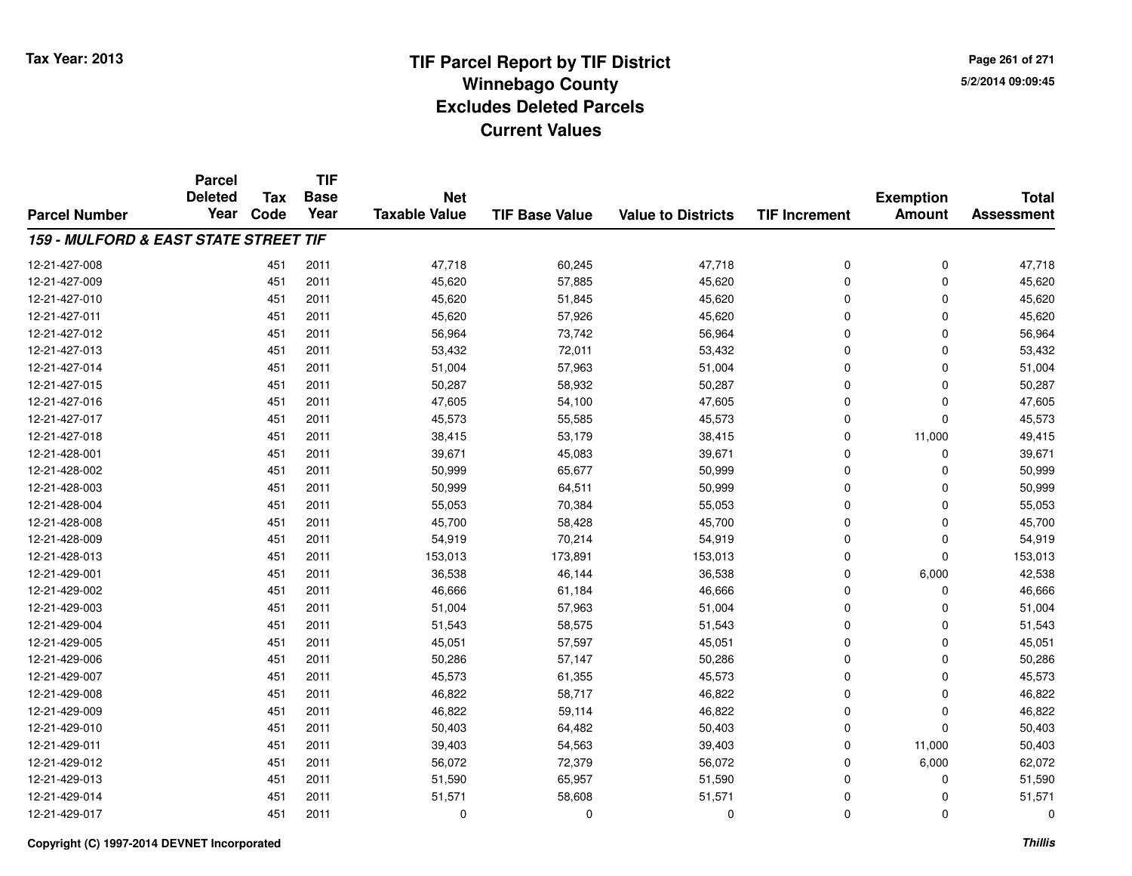**Page 261 of 2715/2/2014 09:09:45**

#### **TIF Base ValueParcel NumberTotal AssessmentExemption Amount Value to Districts TIF IncrementTIF Base YearTax CodeParcel Deleted YearNet Taxable Value159 - MULFORD & EAST STATE STREET TIF**12-21-427-008 <sup>451</sup> 47,718 <sup>2011</sup> 60,245 47,718 <sup>0</sup> <sup>0</sup> 47,718 12-21-427-0099 451 2011 45,620 57,885 45,620 0 0 45,620 12-21-427-0100 451 2011 45,620 51,845 45,620 0 0 45,620 12-21-427-0111 451 2011 45,620 57,926 45,620 0 0 45,620 12-21-427-0122 451 2011 56,964 73,742 56,964 0 0 56,964 12-21-427-013 <sup>451</sup> 53,432 <sup>2011</sup> 72,011 53,432 <sup>0</sup> <sup>0</sup> 53,432 12-21-427-014 <sup>451</sup> 51,004 <sup>2011</sup> 57,963 51,004 <sup>0</sup> <sup>0</sup> 51,004 12-21-427-015 <sup>451</sup> 50,287 <sup>2011</sup> 58,932 50,287 <sup>0</sup> <sup>0</sup> 50,287 12-21-427-016 <sup>451</sup> 47,605 <sup>2011</sup> 54,100 47,605 <sup>0</sup> <sup>0</sup> 47,605 12-21-427-017 <sup>451</sup> 45,573 <sup>2011</sup> 55,585 45,573 <sup>0</sup> <sup>0</sup> 45,573 12-21-427-018 <sup>451</sup> 38,415 <sup>2011</sup> 53,179 38,415 <sup>0</sup> 11,000 49,415 12-21-428-0011 451 2011 39,671 45,083 39,671 0 0 39,671 12-21-428-002 <sup>451</sup> 50,999 <sup>2011</sup> 65,677 50,999 <sup>0</sup> <sup>0</sup> 50,999 12-21-428-0033 451 2011 50,999 64,511 50,999 0 0 50,999 12-21-428-0044 2011 55,053 70,384 55,053 55,053 0 0 0 55,053 12-21-428-008 <sup>451</sup> 45,700 <sup>2011</sup> 58,428 45,700 <sup>0</sup> <sup>0</sup> 45,700 12-21-428-009 <sup>451</sup> 54,919 <sup>2011</sup> 70,214 54,919 <sup>0</sup> <sup>0</sup> 54,919 12-21-428-0133 451 2011 153,013 173,891 153,013 0 153,013 12-21-429-0011 451 2011 36,538 46,144 36,538 0 6,000 42,538 12-21-429-0022 451 2011 46,666 61,184 46,666 0 0 46,666 12-21-429-003 <sup>451</sup> 51,004 <sup>2011</sup> 57,963 51,004 <sup>0</sup> <sup>0</sup> 51,004 12-21-429-004 <sup>451</sup> 51,543 <sup>2011</sup> 58,575 51,543 <sup>0</sup> <sup>0</sup> 51,543 12-21-429-005 <sup>451</sup> 45,051 <sup>2011</sup> 57,597 45,051 <sup>0</sup> <sup>0</sup> 45,051 12-21-429-0066 451 2011 50,286 57,147 50,286 0 0 50,286 12-21-429-007 <sup>451</sup> 45,573 <sup>2011</sup> 61,355 45,573 <sup>0</sup> <sup>0</sup> 45,573 12-21-429-0088 451 2011 46,822 58,717 46,822 0 0 46,822 12-21-429-0099 451 2011 46,822 59,114 46,822 0 0 46,822 12-21-429-0100 451 2011 50,403 64,482 50,403 0 0 50,403 12-21-429-011 <sup>451</sup> 39,403 <sup>2011</sup> 54,563 39,403 <sup>0</sup> 11,000 50,403 12-21-429-0122 451 2011 56,072 72,379 56,072 0 6,000 62,072 12-21-429-013 <sup>451</sup> 51,590 <sup>2011</sup> 65,957 51,590 <sup>0</sup> <sup>0</sup> 51,590 12-21-429-0144 51 3011 51,571 58,608 51,571 58,608 51,571 0 0 51,571 12-21-429-017<sup>451</sup> <sup>0</sup> <sup>2011</sup> <sup>0</sup> <sup>0</sup> <sup>0</sup> <sup>0</sup> <sup>0</sup>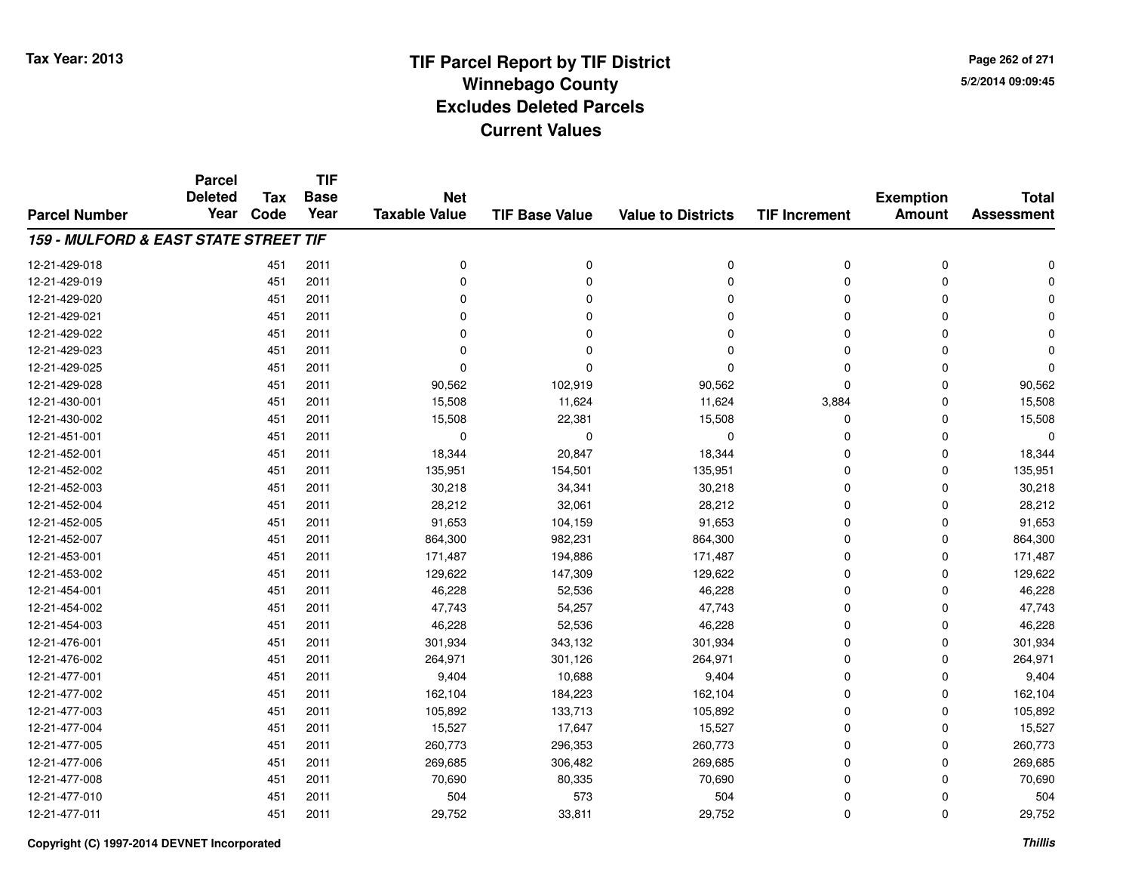**Page 262 of 2715/2/2014 09:09:45**

|                                       | <b>Parcel</b>  |            | <b>TIF</b>  |                      |                       |                           |                      |                  |                   |
|---------------------------------------|----------------|------------|-------------|----------------------|-----------------------|---------------------------|----------------------|------------------|-------------------|
|                                       | <b>Deleted</b> | <b>Tax</b> | <b>Base</b> | <b>Net</b>           |                       |                           |                      | <b>Exemption</b> | <b>Total</b>      |
| <b>Parcel Number</b>                  | Year           | Code       | Year        | <b>Taxable Value</b> | <b>TIF Base Value</b> | <b>Value to Districts</b> | <b>TIF Increment</b> | <b>Amount</b>    | <b>Assessment</b> |
| 159 - MULFORD & EAST STATE STREET TIF |                |            |             |                      |                       |                           |                      |                  |                   |
| 12-21-429-018                         |                | 451        | 2011        | 0                    | 0                     | 0                         | 0                    | 0                |                   |
| 12-21-429-019                         |                | 451        | 2011        | $\Omega$             | $\Omega$              | $\Omega$                  | $\Omega$             | $\Omega$         |                   |
| 12-21-429-020                         |                | 451        | 2011        | $\Omega$             | $\Omega$              | $\Omega$                  | 0                    | $\Omega$         |                   |
| 12-21-429-021                         |                | 451        | 2011        | $\Omega$             | n                     | $\Omega$                  | $\Omega$             | $\Omega$         |                   |
| 12-21-429-022                         |                | 451        | 2011        | 0                    |                       | $\Omega$                  | 0                    | $\Omega$         |                   |
| 12-21-429-023                         |                | 451        | 2011        | $\Omega$             |                       | $\Omega$                  | 0                    | $\Omega$         |                   |
| 12-21-429-025                         |                | 451        | 2011        | $\Omega$             | $\Omega$              | $\Omega$                  | 0                    | $\Omega$         | $\Omega$          |
| 12-21-429-028                         |                | 451        | 2011        | 90,562               | 102,919               | 90,562                    | 0                    | $\Omega$         | 90,562            |
| 12-21-430-001                         |                | 451        | 2011        | 15,508               | 11,624                | 11,624                    | 3,884                | $\Omega$         | 15,508            |
| 12-21-430-002                         |                | 451        | 2011        | 15,508               | 22,381                | 15,508                    | 0                    | $\Omega$         | 15,508            |
| 12-21-451-001                         |                | 451        | 2011        | $\mathbf 0$          | $\Omega$              | $\mathbf 0$               | 0                    | 0                | $\Omega$          |
| 12-21-452-001                         |                | 451        | 2011        | 18,344               | 20,847                | 18,344                    | 0                    | 0                | 18,344            |
| 12-21-452-002                         |                | 451        | 2011        | 135,951              | 154,501               | 135,951                   | 0                    | 0                | 135,951           |
| 12-21-452-003                         |                | 451        | 2011        | 30,218               | 34,341                | 30,218                    | 0                    | 0                | 30,218            |
| 12-21-452-004                         |                | 451        | 2011        | 28,212               | 32,061                | 28,212                    | 0                    | $\Omega$         | 28,212            |
| 12-21-452-005                         |                | 451        | 2011        | 91,653               | 104,159               | 91,653                    | 0                    | 0                | 91,653            |
| 12-21-452-007                         |                | 451        | 2011        | 864,300              | 982,231               | 864,300                   | 0                    | 0                | 864,300           |
| 12-21-453-001                         |                | 451        | 2011        | 171,487              | 194,886               | 171,487                   | 0                    | $\mathbf 0$      | 171,487           |
| 12-21-453-002                         |                | 451        | 2011        | 129,622              | 147,309               | 129,622                   | 0                    | $\Omega$         | 129,622           |
| 12-21-454-001                         |                | 451        | 2011        | 46,228               | 52,536                | 46,228                    | 0                    | $\mathbf 0$      | 46,228            |
| 12-21-454-002                         |                | 451        | 2011        | 47,743               | 54,257                | 47,743                    | 0                    | 0                | 47,743            |
| 12-21-454-003                         |                | 451        | 2011        | 46,228               | 52,536                | 46,228                    | 0                    | $\mathbf 0$      | 46,228            |
| 12-21-476-001                         |                | 451        | 2011        | 301,934              | 343,132               | 301,934                   | 0                    | $\mathbf 0$      | 301,934           |
| 12-21-476-002                         |                | 451        | 2011        | 264,971              | 301,126               | 264,971                   | 0                    | $\Omega$         | 264,971           |
| 12-21-477-001                         |                | 451        | 2011        | 9,404                | 10,688                | 9,404                     | 0                    | $\mathbf 0$      | 9,404             |
| 12-21-477-002                         |                | 451        | 2011        | 162,104              | 184,223               | 162,104                   | 0                    | $\Omega$         | 162,104           |
| 12-21-477-003                         |                | 451        | 2011        | 105,892              | 133,713               | 105,892                   | 0                    | $\mathbf 0$      | 105,892           |
| 12-21-477-004                         |                | 451        | 2011        | 15,527               | 17,647                | 15,527                    | 0                    | 0                | 15,527            |
| 12-21-477-005                         |                | 451        | 2011        | 260,773              | 296,353               | 260,773                   | 0                    | $\mathbf 0$      | 260,773           |
| 12-21-477-006                         |                | 451        | 2011        | 269,685              | 306,482               | 269,685                   | 0                    | 0                | 269,685           |
| 12-21-477-008                         |                | 451        | 2011        | 70,690               | 80,335                | 70,690                    | 0                    | $\Omega$         | 70,690            |
| 12-21-477-010                         |                | 451        | 2011        | 504                  | 573                   | 504                       | 0                    | $\Omega$         | 504               |
| 12-21-477-011                         |                | 451        | 2011        | 29,752               | 33,811                | 29,752                    | 0                    | $\Omega$         | 29,752            |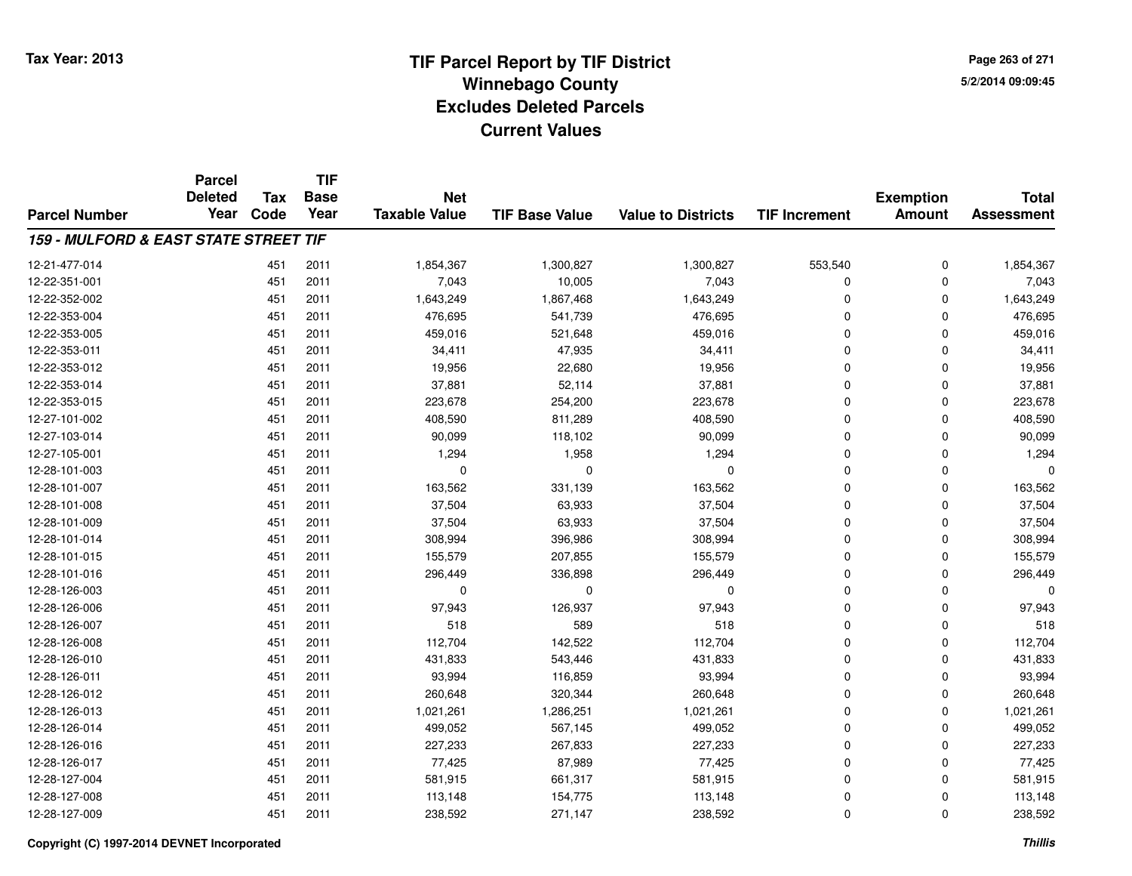**Page 263 of 2715/2/2014 09:09:45**

|                                                  | <b>Parcel</b><br><b>Deleted</b> | <b>Tax</b> | <b>TIF</b><br><b>Base</b> | <b>Net</b>           |                       |                           |                      | <b>Exemption</b> | <b>Total</b>      |
|--------------------------------------------------|---------------------------------|------------|---------------------------|----------------------|-----------------------|---------------------------|----------------------|------------------|-------------------|
| <b>Parcel Number</b>                             | Year                            | Code       | Year                      | <b>Taxable Value</b> | <b>TIF Base Value</b> | <b>Value to Districts</b> | <b>TIF Increment</b> | <b>Amount</b>    | <b>Assessment</b> |
| <b>159 - MULFORD &amp; EAST STATE STREET TIF</b> |                                 |            |                           |                      |                       |                           |                      |                  |                   |
| 12-21-477-014                                    |                                 | 451        | 2011                      | 1,854,367            | 1,300,827             | 1,300,827                 | 553,540              | 0                | 1,854,367         |
| 12-22-351-001                                    |                                 | 451        | 2011                      | 7,043                | 10,005                | 7,043                     | 0                    | $\Omega$         | 7,043             |
| 12-22-352-002                                    |                                 | 451        | 2011                      | 1,643,249            | 1,867,468             | 1,643,249                 | 0                    | 0                | 1,643,249         |
| 12-22-353-004                                    |                                 | 451        | 2011                      | 476,695              | 541,739               | 476,695                   | 0                    | $\Omega$         | 476,695           |
| 12-22-353-005                                    |                                 | 451        | 2011                      | 459,016              | 521,648               | 459,016                   | 0                    | $\Omega$         | 459,016           |
| 12-22-353-011                                    |                                 | 451        | 2011                      | 34,411               | 47,935                | 34,411                    | 0                    | $\Omega$         | 34,411            |
| 12-22-353-012                                    |                                 | 451        | 2011                      | 19,956               | 22,680                | 19,956                    | 0                    | 0                | 19,956            |
| 12-22-353-014                                    |                                 | 451        | 2011                      | 37,881               | 52,114                | 37,881                    | 0                    | 0                | 37,881            |
| 12-22-353-015                                    |                                 | 451        | 2011                      | 223,678              | 254,200               | 223,678                   | 0                    | 0                | 223,678           |
| 12-27-101-002                                    |                                 | 451        | 2011                      | 408,590              | 811,289               | 408,590                   | 0                    | $\Omega$         | 408,590           |
| 12-27-103-014                                    |                                 | 451        | 2011                      | 90,099               | 118,102               | 90,099                    | 0                    | $\Omega$         | 90,099            |
| 12-27-105-001                                    |                                 | 451        | 2011                      | 1,294                | 1,958                 | 1,294                     | 0                    | $\Omega$         | 1,294             |
| 12-28-101-003                                    |                                 | 451        | 2011                      | $\mathbf 0$          | $\mathbf 0$           | $\mathbf 0$               | 0                    | $\Omega$         | U                 |
| 12-28-101-007                                    |                                 | 451        | 2011                      | 163,562              | 331,139               | 163,562                   | 0                    | $\Omega$         | 163,562           |
| 12-28-101-008                                    |                                 | 451        | 2011                      | 37,504               | 63,933                | 37,504                    | 0                    | $\Omega$         | 37,504            |
| 12-28-101-009                                    |                                 | 451        | 2011                      | 37,504               | 63,933                | 37,504                    | 0                    | $\Omega$         | 37,504            |
| 12-28-101-014                                    |                                 | 451        | 2011                      | 308,994              | 396,986               | 308,994                   | 0                    | $\Omega$         | 308,994           |
| 12-28-101-015                                    |                                 | 451        | 2011                      | 155,579              | 207,855               | 155,579                   | 0                    | 0                | 155,579           |
| 12-28-101-016                                    |                                 | 451        | 2011                      | 296,449              | 336,898               | 296,449                   | 0                    | $\mathbf 0$      | 296,449           |
| 12-28-126-003                                    |                                 | 451        | 2011                      | 0                    | 0                     | 0                         | 0                    | 0                | $\Omega$          |
| 12-28-126-006                                    |                                 | 451        | 2011                      | 97,943               | 126,937               | 97,943                    | 0                    | $\mathbf 0$      | 97,943            |
| 12-28-126-007                                    |                                 | 451        | 2011                      | 518                  | 589                   | 518                       | 0                    | 0                | 518               |
| 12-28-126-008                                    |                                 | 451        | 2011                      | 112,704              | 142,522               | 112,704                   | 0                    | 0                | 112,704           |
| 12-28-126-010                                    |                                 | 451        | 2011                      | 431,833              | 543,446               | 431,833                   | 0                    | $\Omega$         | 431,833           |
| 12-28-126-011                                    |                                 | 451        | 2011                      | 93,994               | 116,859               | 93,994                    | 0                    | 0                | 93,994            |
| 12-28-126-012                                    |                                 | 451        | 2011                      | 260,648              | 320,344               | 260,648                   | 0                    | $\Omega$         | 260,648           |
| 12-28-126-013                                    |                                 | 451        | 2011                      | 1,021,261            | 1,286,251             | 1,021,261                 | 0                    | 0                | 1,021,261         |
| 12-28-126-014                                    |                                 | 451        | 2011                      | 499,052              | 567,145               | 499,052                   | 0                    | $\mathbf 0$      | 499,052           |
| 12-28-126-016                                    |                                 | 451        | 2011                      | 227,233              | 267,833               | 227,233                   | 0                    | 0                | 227,233           |
| 12-28-126-017                                    |                                 | 451        | 2011                      | 77,425               | 87,989                | 77,425                    | 0                    | $\mathbf 0$      | 77,425            |
| 12-28-127-004                                    |                                 | 451        | 2011                      | 581,915              | 661,317               | 581,915                   | 0                    | $\Omega$         | 581,915           |
| 12-28-127-008                                    |                                 | 451        | 2011                      | 113,148              | 154,775               | 113,148                   | 0                    | $\mathbf 0$      | 113,148           |
| 12-28-127-009                                    |                                 | 451        | 2011                      | 238,592              | 271,147               | 238,592                   | 0                    | $\Omega$         | 238,592           |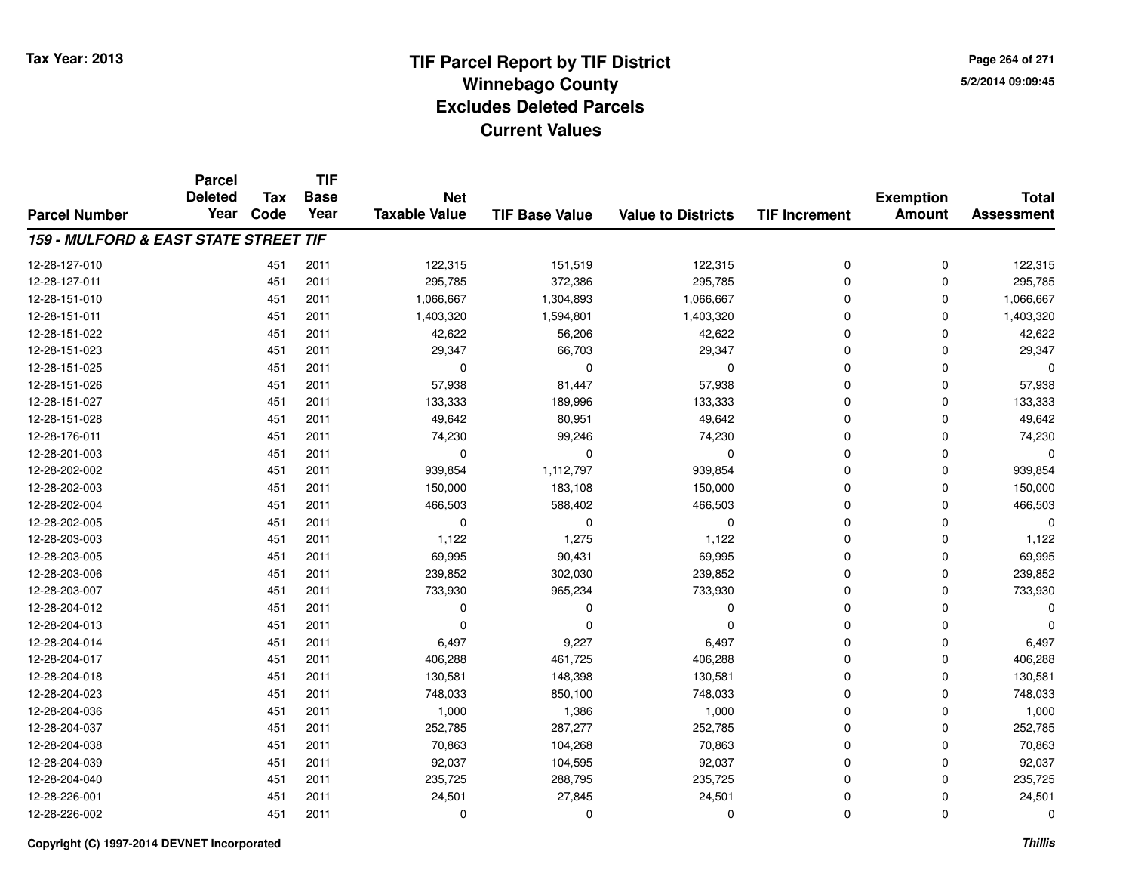**Page 264 of 2715/2/2014 09:09:45**

|                                       | <b>Parcel</b><br><b>Deleted</b> | <b>Tax</b> | <b>TIF</b><br><b>Base</b> | <b>Net</b>           |                       |                           |                      | <b>Exemption</b> | <b>Total</b>      |
|---------------------------------------|---------------------------------|------------|---------------------------|----------------------|-----------------------|---------------------------|----------------------|------------------|-------------------|
| <b>Parcel Number</b>                  | Year                            | Code       | Year                      | <b>Taxable Value</b> | <b>TIF Base Value</b> | <b>Value to Districts</b> | <b>TIF Increment</b> | <b>Amount</b>    | <b>Assessment</b> |
| 159 - MULFORD & EAST STATE STREET TIF |                                 |            |                           |                      |                       |                           |                      |                  |                   |
| 12-28-127-010                         |                                 | 451        | 2011                      | 122,315              | 151,519               | 122,315                   | $\mathbf 0$          | $\mathbf 0$      | 122,315           |
| 12-28-127-011                         |                                 | 451        | 2011                      | 295,785              | 372,386               | 295,785                   | $\Omega$             | $\Omega$         | 295,785           |
| 12-28-151-010                         |                                 | 451        | 2011                      | 1,066,667            | 1,304,893             | 1,066,667                 | $\Omega$             | $\Omega$         | 1,066,667         |
| 12-28-151-011                         |                                 | 451        | 2011                      | 1,403,320            | 1,594,801             | 1,403,320                 | $\Omega$             | $\Omega$         | 1,403,320         |
| 12-28-151-022                         |                                 | 451        | 2011                      | 42,622               | 56,206                | 42,622                    | $\Omega$             | $\Omega$         | 42,622            |
| 12-28-151-023                         |                                 | 451        | 2011                      | 29,347               | 66,703                | 29,347                    | $\Omega$             | $\Omega$         | 29,347            |
| 12-28-151-025                         |                                 | 451        | 2011                      | $\mathbf 0$          | $\mathbf 0$           | $\mathbf 0$               | $\Omega$             | $\Omega$         |                   |
| 12-28-151-026                         |                                 | 451        | 2011                      | 57,938               | 81,447                | 57,938                    | $\Omega$             | $\Omega$         | 57,938            |
| 12-28-151-027                         |                                 | 451        | 2011                      | 133,333              | 189,996               | 133,333                   | $\Omega$             | $\Omega$         | 133,333           |
| 12-28-151-028                         |                                 | 451        | 2011                      | 49,642               | 80,951                | 49,642                    | $\Omega$             | $\Omega$         | 49,642            |
| 12-28-176-011                         |                                 | 451        | 2011                      | 74,230               | 99,246                | 74,230                    | $\Omega$             | $\Omega$         | 74,230            |
| 12-28-201-003                         |                                 | 451        | 2011                      | $\mathbf 0$          | $\Omega$              | 0                         | $\Omega$             | $\Omega$         |                   |
| 12-28-202-002                         |                                 | 451        | 2011                      | 939,854              | 1,112,797             | 939,854                   | $\Omega$             | $\Omega$         | 939,854           |
| 12-28-202-003                         |                                 | 451        | 2011                      | 150,000              | 183,108               | 150,000                   | $\Omega$             | 0                | 150,000           |
| 12-28-202-004                         |                                 | 451        | 2011                      | 466,503              | 588,402               | 466,503                   | $\Omega$             | $\Omega$         | 466,503           |
| 12-28-202-005                         |                                 | 451        | 2011                      | 0                    | 0                     | 0                         | $\mathbf 0$          | $\Omega$         |                   |
| 12-28-203-003                         |                                 | 451        | 2011                      | 1,122                | 1,275                 | 1,122                     | $\Omega$             | $\Omega$         | 1,122             |
| 12-28-203-005                         |                                 | 451        | 2011                      | 69,995               | 90,431                | 69,995                    | $\mathbf 0$          | 0                | 69,995            |
| 12-28-203-006                         |                                 | 451        | 2011                      | 239,852              | 302,030               | 239,852                   | $\mathbf 0$          | 0                | 239,852           |
| 12-28-203-007                         |                                 | 451        | 2011                      | 733,930              | 965,234               | 733,930                   | $\mathbf 0$          | 0                | 733,930           |
| 12-28-204-012                         |                                 | 451        | 2011                      | $\Omega$             | $\Omega$              | 0                         | $\mathbf 0$          | 0                |                   |
| 12-28-204-013                         |                                 | 451        | 2011                      | $\Omega$             | $\Omega$              | $\mathbf 0$               | $\Omega$             | $\mathbf 0$      |                   |
| 12-28-204-014                         |                                 | 451        | 2011                      | 6,497                | 9,227                 | 6,497                     | $\mathbf 0$          | $\mathbf 0$      | 6,497             |
| 12-28-204-017                         |                                 | 451        | 2011                      | 406,288              | 461,725               | 406,288                   | $\Omega$             | $\mathbf 0$      | 406,288           |
| 12-28-204-018                         |                                 | 451        | 2011                      | 130,581              | 148,398               | 130,581                   | $\mathbf 0$          | $\mathbf 0$      | 130,581           |
| 12-28-204-023                         |                                 | 451        | 2011                      | 748,033              | 850,100               | 748,033                   | $\Omega$             | $\mathbf 0$      | 748,033           |
| 12-28-204-036                         |                                 | 451        | 2011                      | 1,000                | 1,386                 | 1,000                     | $\mathbf 0$          | $\Omega$         | 1,000             |
| 12-28-204-037                         |                                 | 451        | 2011                      | 252,785              | 287,277               | 252,785                   | $\Omega$             | $\Omega$         | 252,785           |
| 12-28-204-038                         |                                 | 451        | 2011                      | 70,863               | 104,268               | 70,863                    | $\mathbf 0$          | 0                | 70,863            |
| 12-28-204-039                         |                                 | 451        | 2011                      | 92,037               | 104,595               | 92,037                    | $\mathbf 0$          | 0                | 92,037            |
| 12-28-204-040                         |                                 | 451        | 2011                      | 235,725              | 288,795               | 235,725                   | $\Omega$             | $\Omega$         | 235,725           |
| 12-28-226-001                         |                                 | 451        | 2011                      | 24,501               | 27,845                | 24,501                    | $\Omega$             | $\Omega$         | 24,501            |
| 12-28-226-002                         |                                 | 451        | 2011                      | $\Omega$             | $\Omega$              | $\Omega$                  | $\Omega$             | $\mathbf 0$      | $\Omega$          |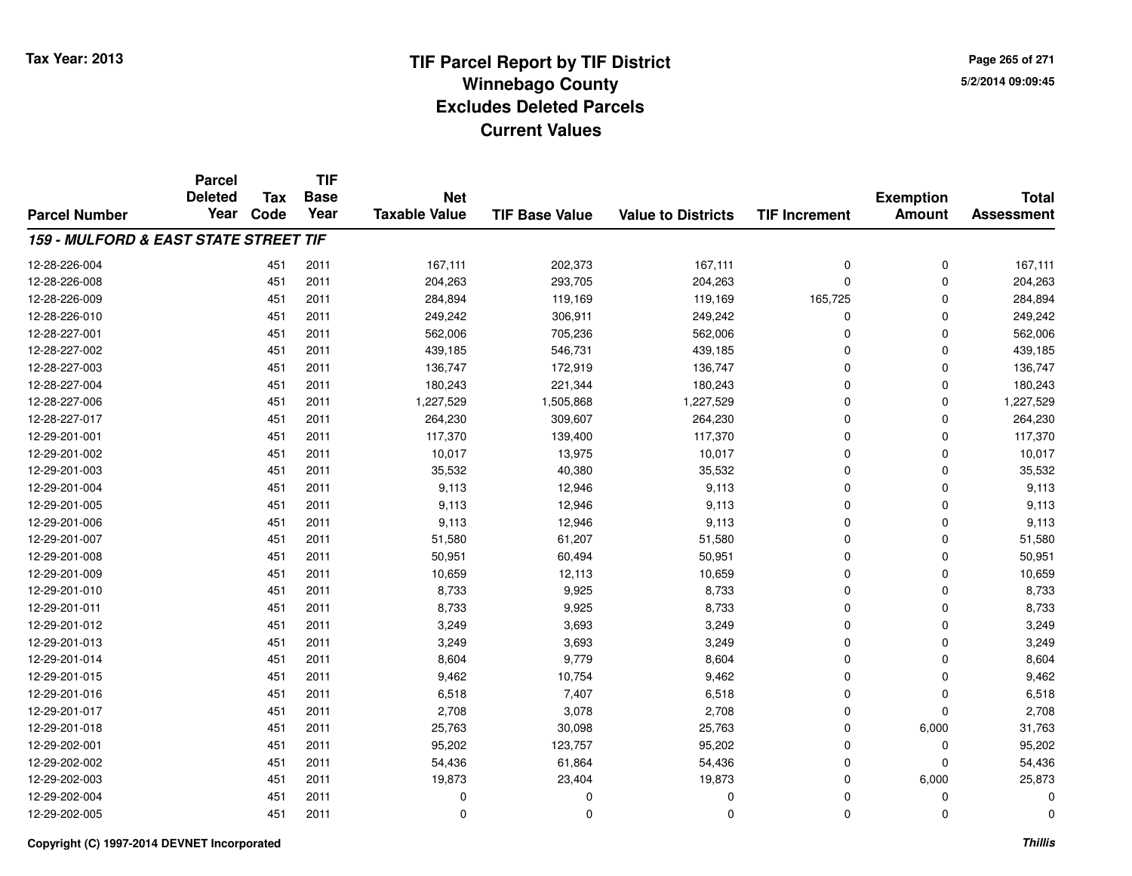**Page 265 of 2715/2/2014 09:09:45**

|                                                  | <b>Parcel</b><br><b>Deleted</b> | <b>Tax</b> | <b>TIF</b><br><b>Base</b> | <b>Net</b>           |                       |                           |                      | <b>Exemption</b> | <b>Total</b>      |
|--------------------------------------------------|---------------------------------|------------|---------------------------|----------------------|-----------------------|---------------------------|----------------------|------------------|-------------------|
| <b>Parcel Number</b>                             | Year                            | Code       | Year                      | <b>Taxable Value</b> | <b>TIF Base Value</b> | <b>Value to Districts</b> | <b>TIF Increment</b> | Amount           | <b>Assessment</b> |
| <b>159 - MULFORD &amp; EAST STATE STREET TIF</b> |                                 |            |                           |                      |                       |                           |                      |                  |                   |
| 12-28-226-004                                    |                                 | 451        | 2011                      | 167,111              | 202,373               | 167,111                   | 0                    | 0                | 167,111           |
| 12-28-226-008                                    |                                 | 451        | 2011                      | 204,263              | 293,705               | 204,263                   | 0                    | 0                | 204,263           |
| 12-28-226-009                                    |                                 | 451        | 2011                      | 284,894              | 119,169               | 119,169                   | 165,725              | 0                | 284,894           |
| 12-28-226-010                                    |                                 | 451        | 2011                      | 249,242              | 306,911               | 249,242                   | 0                    | 0                | 249,242           |
| 12-28-227-001                                    |                                 | 451        | 2011                      | 562,006              | 705,236               | 562,006                   | 0                    | 0                | 562,006           |
| 12-28-227-002                                    |                                 | 451        | 2011                      | 439,185              | 546,731               | 439,185                   | 0                    | 0                | 439,185           |
| 12-28-227-003                                    |                                 | 451        | 2011                      | 136,747              | 172,919               | 136,747                   | 0                    | 0                | 136,747           |
| 12-28-227-004                                    |                                 | 451        | 2011                      | 180,243              | 221,344               | 180,243                   | 0                    | 0                | 180,243           |
| 12-28-227-006                                    |                                 | 451        | 2011                      | 1,227,529            | 1,505,868             | 1,227,529                 | 0                    | 0                | 1,227,529         |
| 12-28-227-017                                    |                                 | 451        | 2011                      | 264,230              | 309,607               | 264,230                   | 0                    | 0                | 264,230           |
| 12-29-201-001                                    |                                 | 451        | 2011                      | 117,370              | 139,400               | 117,370                   | 0                    | 0                | 117,370           |
| 12-29-201-002                                    |                                 | 451        | 2011                      | 10,017               | 13,975                | 10,017                    | 0                    | 0                | 10,017            |
| 12-29-201-003                                    |                                 | 451        | 2011                      | 35,532               | 40,380                | 35,532                    | 0                    | 0                | 35,532            |
| 12-29-201-004                                    |                                 | 451        | 2011                      | 9,113                | 12,946                | 9,113                     | 0                    | 0                | 9,113             |
| 12-29-201-005                                    |                                 | 451        | 2011                      | 9,113                | 12,946                | 9,113                     | 0                    | 0                | 9,113             |
| 12-29-201-006                                    |                                 | 451        | 2011                      | 9,113                | 12,946                | 9,113                     | 0                    | 0                | 9,113             |
| 12-29-201-007                                    |                                 | 451        | 2011                      | 51,580               | 61,207                | 51,580                    | 0                    | 0                | 51,580            |
| 12-29-201-008                                    |                                 | 451        | 2011                      | 50,951               | 60,494                | 50,951                    | 0                    | 0                | 50,951            |
| 12-29-201-009                                    |                                 | 451        | 2011                      | 10,659               | 12,113                | 10,659                    | 0                    | 0                | 10,659            |
| 12-29-201-010                                    |                                 | 451        | 2011                      | 8,733                | 9,925                 | 8,733                     | 0                    | 0                | 8,733             |
| 12-29-201-011                                    |                                 | 451        | 2011                      | 8,733                | 9,925                 | 8,733                     | 0                    | 0                | 8,733             |
| 12-29-201-012                                    |                                 | 451        | 2011                      | 3,249                | 3,693                 | 3,249                     | 0                    | 0                | 3,249             |
| 12-29-201-013                                    |                                 | 451        | 2011                      | 3,249                | 3,693                 | 3,249                     | 0                    | 0                | 3,249             |
| 12-29-201-014                                    |                                 | 451        | 2011                      | 8,604                | 9,779                 | 8,604                     | 0                    | 0                | 8,604             |
| 12-29-201-015                                    |                                 | 451        | 2011                      | 9,462                | 10,754                | 9,462                     | 0                    | 0                | 9,462             |
| 12-29-201-016                                    |                                 | 451        | 2011                      | 6,518                | 7,407                 | 6,518                     | $\overline{0}$       | 0                | 6,518             |
| 12-29-201-017                                    |                                 | 451        | 2011                      | 2,708                | 3,078                 | 2,708                     | 0                    | 0                | 2,708             |
| 12-29-201-018                                    |                                 | 451        | 2011                      | 25,763               | 30,098                | 25,763                    | 0                    | 6,000            | 31,763            |
| 12-29-202-001                                    |                                 | 451        | 2011                      | 95,202               | 123,757               | 95,202                    | 0                    | 0                | 95,202            |
| 12-29-202-002                                    |                                 | 451        | 2011                      | 54,436               | 61,864                | 54,436                    | 0                    | 0                | 54,436            |
| 12-29-202-003                                    |                                 | 451        | 2011                      | 19,873               | 23,404                | 19,873                    | 0                    | 6,000            | 25,873            |
| 12-29-202-004                                    |                                 | 451        | 2011                      | $\Omega$             | 0                     | 0                         | $\Omega$             | 0                | $\Omega$          |
| 12-29-202-005                                    |                                 | 451        | 2011                      | $\mathbf 0$          | $\mathbf 0$           | 0                         | 0                    | 0                | $\Omega$          |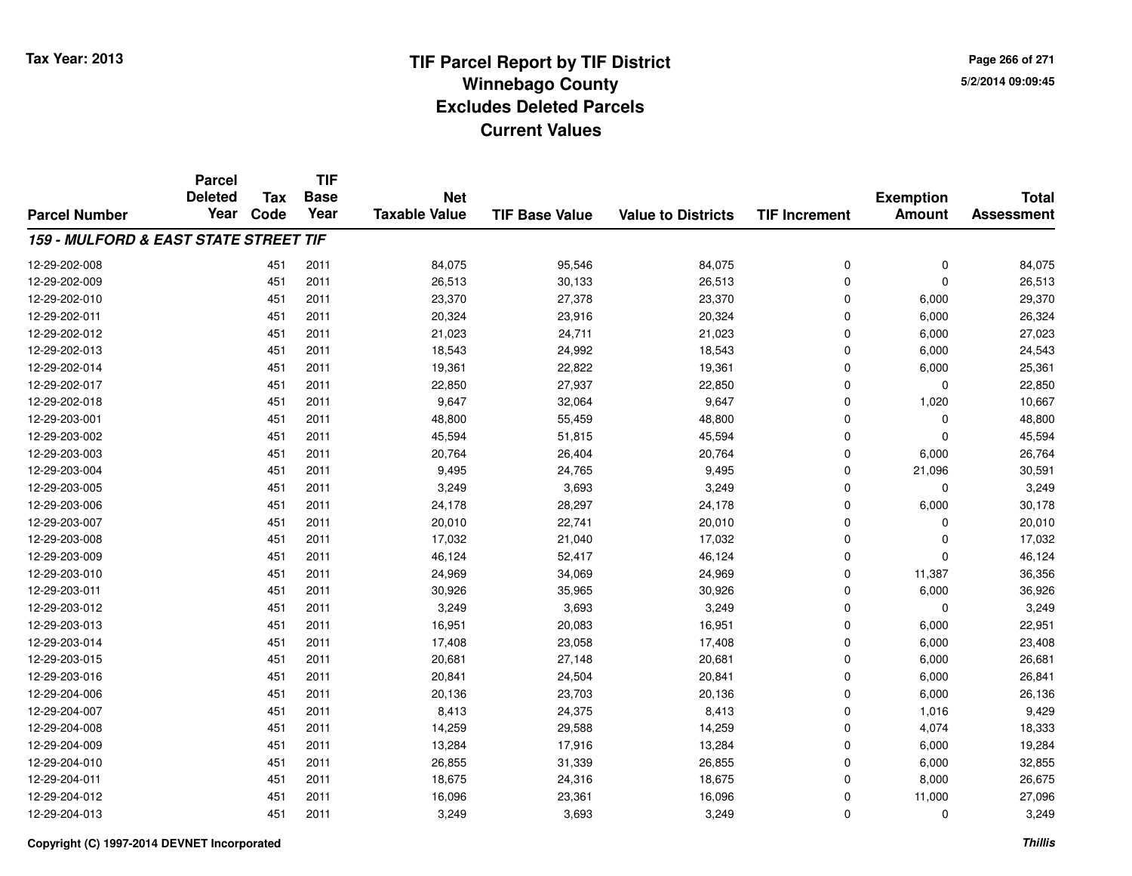**Page 266 of 2715/2/2014 09:09:45**

|                                       | <b>Parcel</b><br><b>Deleted</b> | <b>Tax</b> | <b>TIF</b><br><b>Base</b> | <b>Net</b>           |                       |                           |                      | <b>Exemption</b> | <b>Total</b>      |
|---------------------------------------|---------------------------------|------------|---------------------------|----------------------|-----------------------|---------------------------|----------------------|------------------|-------------------|
| <b>Parcel Number</b>                  | Year                            | Code       | Year                      | <b>Taxable Value</b> | <b>TIF Base Value</b> | <b>Value to Districts</b> | <b>TIF Increment</b> | <b>Amount</b>    | <b>Assessment</b> |
| 159 - MULFORD & EAST STATE STREET TIF |                                 |            |                           |                      |                       |                           |                      |                  |                   |
| 12-29-202-008                         |                                 | 451        | 2011                      | 84,075               | 95,546                | 84,075                    | $\mathbf 0$          | $\mathbf 0$      | 84,075            |
| 12-29-202-009                         |                                 | 451        | 2011                      | 26,513               | 30,133                | 26,513                    | $\mathbf 0$          | $\mathbf 0$      | 26,513            |
| 12-29-202-010                         |                                 | 451        | 2011                      | 23,370               | 27,378                | 23,370                    | $\Omega$             | 6,000            | 29,370            |
| 12-29-202-011                         |                                 | 451        | 2011                      | 20,324               | 23,916                | 20,324                    | $\mathbf 0$          | 6,000            | 26,324            |
| 12-29-202-012                         |                                 | 451        | 2011                      | 21,023               | 24,711                | 21,023                    | $\Omega$             | 6,000            | 27,023            |
| 12-29-202-013                         |                                 | 451        | 2011                      | 18,543               | 24,992                | 18,543                    | $\mathbf 0$          | 6,000            | 24,543            |
| 12-29-202-014                         |                                 | 451        | 2011                      | 19,361               | 22,822                | 19,361                    | $\Omega$             | 6,000            | 25,361            |
| 12-29-202-017                         |                                 | 451        | 2011                      | 22,850               | 27,937                | 22,850                    | $\mathbf 0$          | $\mathbf 0$      | 22,850            |
| 12-29-202-018                         |                                 | 451        | 2011                      | 9,647                | 32,064                | 9,647                     | $\Omega$             | 1,020            | 10,667            |
| 12-29-203-001                         |                                 | 451        | 2011                      | 48,800               | 55,459                | 48,800                    | $\mathbf 0$          | 0                | 48,800            |
| 12-29-203-002                         |                                 | 451        | 2011                      | 45,594               | 51,815                | 45,594                    | $\Omega$             | $\Omega$         | 45,594            |
| 12-29-203-003                         |                                 | 451        | 2011                      | 20,764               | 26,404                | 20,764                    | $\mathbf 0$          | 6,000            | 26,764            |
| 12-29-203-004                         |                                 | 451        | 2011                      | 9,495                | 24,765                | 9,495                     | $\Omega$             | 21,096           | 30,591            |
| 12-29-203-005                         |                                 | 451        | 2011                      | 3,249                | 3,693                 | 3,249                     | $\mathbf 0$          | 0                | 3,249             |
| 12-29-203-006                         |                                 | 451        | 2011                      | 24,178               | 28,297                | 24,178                    | $\Omega$             | 6,000            | 30,178            |
| 12-29-203-007                         |                                 | 451        | 2011                      | 20,010               | 22,741                | 20,010                    | $\mathbf 0$          | $\mathbf 0$      | 20,010            |
| 12-29-203-008                         |                                 | 451        | 2011                      | 17,032               | 21,040                | 17,032                    | $\Omega$             | $\mathbf 0$      | 17,032            |
| 12-29-203-009                         |                                 | 451        | 2011                      | 46,124               | 52,417                | 46,124                    | $\mathbf 0$          | $\mathbf 0$      | 46,124            |
| 12-29-203-010                         |                                 | 451        | 2011                      | 24,969               | 34,069                | 24,969                    | $\mathbf 0$          | 11,387           | 36,356            |
| 12-29-203-011                         |                                 | 451        | 2011                      | 30,926               | 35,965                | 30,926                    | $\mathbf 0$          | 6,000            | 36,926            |
| 12-29-203-012                         |                                 | 451        | 2011                      | 3,249                | 3,693                 | 3,249                     | $\mathbf 0$          | $\mathbf 0$      | 3,249             |
| 12-29-203-013                         |                                 | 451        | 2011                      | 16,951               | 20,083                | 16,951                    | $\mathbf 0$          | 6,000            | 22,951            |
| 12-29-203-014                         |                                 | 451        | 2011                      | 17,408               | 23,058                | 17,408                    | $\mathbf 0$          | 6,000            | 23,408            |
| 12-29-203-015                         |                                 | 451        | 2011                      | 20,681               | 27,148                | 20,681                    | $\mathbf 0$          | 6,000            | 26,681            |
| 12-29-203-016                         |                                 | 451        | 2011                      | 20,841               | 24,504                | 20,841                    | $\mathbf 0$          | 6,000            | 26,841            |
| 12-29-204-006                         |                                 | 451        | 2011                      | 20,136               | 23,703                | 20,136                    | $\mathbf 0$          | 6,000            | 26,136            |
| 12-29-204-007                         |                                 | 451        | 2011                      | 8,413                | 24,375                | 8,413                     | $\mathbf 0$          | 1,016            | 9,429             |
| 12-29-204-008                         |                                 | 451        | 2011                      | 14,259               | 29,588                | 14,259                    | $\mathbf 0$          | 4,074            | 18,333            |
| 12-29-204-009                         |                                 | 451        | 2011                      | 13,284               | 17,916                | 13,284                    | $\Omega$             | 6,000            | 19,284            |
| 12-29-204-010                         |                                 | 451        | 2011                      | 26,855               | 31,339                | 26,855                    | $\mathbf 0$          | 6,000            | 32,855            |
| 12-29-204-011                         |                                 | 451        | 2011                      | 18,675               | 24,316                | 18,675                    | $\mathbf 0$          | 8,000            | 26,675            |
| 12-29-204-012                         |                                 | 451        | 2011                      | 16,096               | 23,361                | 16,096                    | $\mathbf 0$          | 11,000           | 27,096            |
| 12-29-204-013                         |                                 | 451        | 2011                      | 3,249                | 3,693                 | 3,249                     | $\Omega$             | $\mathbf 0$      | 3,249             |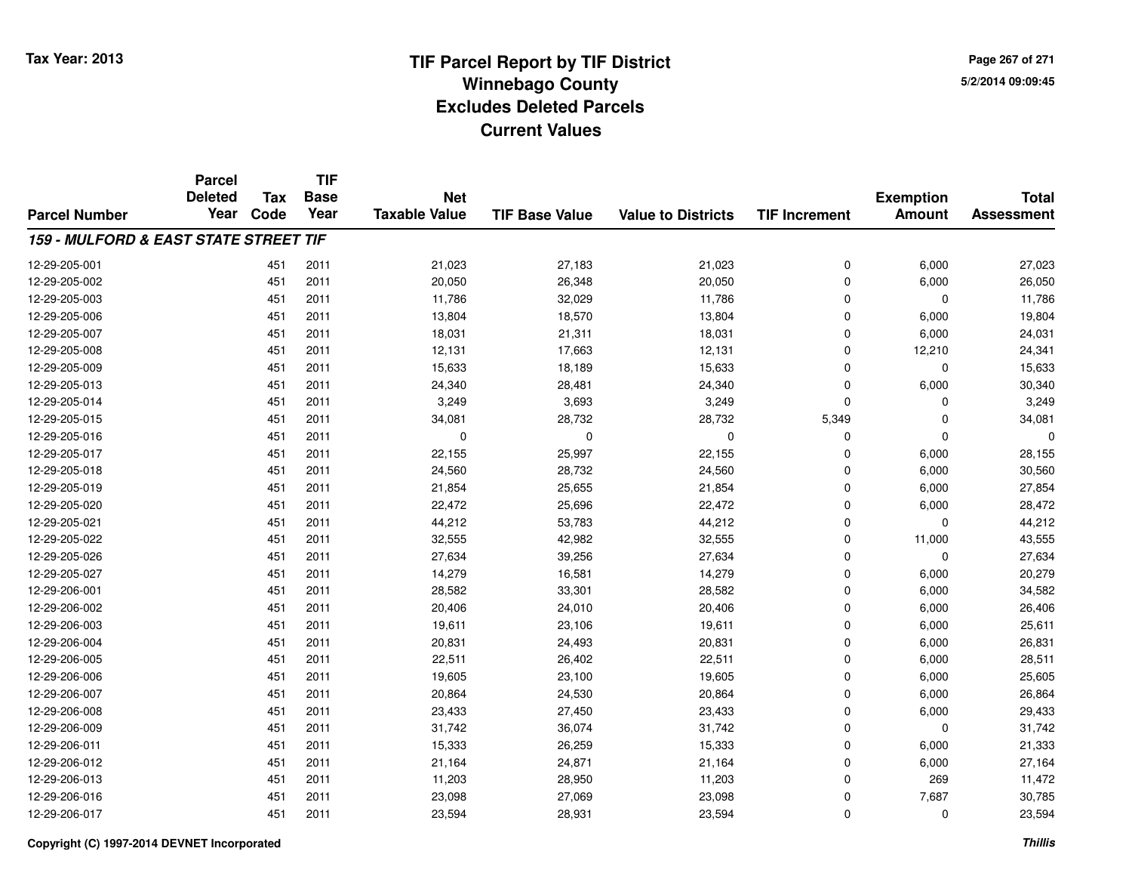**Page 267 of 2715/2/2014 09:09:45**

|                                       | <b>Parcel</b>  | Tax  | <b>TIF</b>  |                      |                       |                           |                      |                  |                                   |
|---------------------------------------|----------------|------|-------------|----------------------|-----------------------|---------------------------|----------------------|------------------|-----------------------------------|
|                                       | <b>Deleted</b> |      | <b>Base</b> | <b>Net</b>           |                       |                           |                      | <b>Exemption</b> | <b>Total</b><br><b>Assessment</b> |
| <b>Parcel Number</b>                  | Year           | Code | Year        | <b>Taxable Value</b> | <b>TIF Base Value</b> | <b>Value to Districts</b> | <b>TIF Increment</b> | <b>Amount</b>    |                                   |
| 159 - MULFORD & EAST STATE STREET TIF |                |      |             |                      |                       |                           |                      |                  |                                   |
| 12-29-205-001                         |                | 451  | 2011        | 21,023               | 27,183                | 21,023                    | 0                    | 6,000            | 27,023                            |
| 12-29-205-002                         |                | 451  | 2011        | 20,050               | 26,348                | 20,050                    | $\Omega$             | 6,000            | 26,050                            |
| 12-29-205-003                         |                | 451  | 2011        | 11,786               | 32,029                | 11,786                    | $\mathbf 0$          | 0                | 11,786                            |
| 12-29-205-006                         |                | 451  | 2011        | 13,804               | 18,570                | 13,804                    | $\Omega$             | 6,000            | 19,804                            |
| 12-29-205-007                         |                | 451  | 2011        | 18,031               | 21,311                | 18,031                    | $\mathbf 0$          | 6,000            | 24,031                            |
| 12-29-205-008                         |                | 451  | 2011        | 12,131               | 17,663                | 12,131                    | $\Omega$             | 12,210           | 24,341                            |
| 12-29-205-009                         |                | 451  | 2011        | 15,633               | 18,189                | 15,633                    | $\mathbf 0$          | $\mathbf 0$      | 15,633                            |
| 12-29-205-013                         |                | 451  | 2011        | 24,340               | 28,481                | 24,340                    | $\Omega$             | 6,000            | 30,340                            |
| 12-29-205-014                         |                | 451  | 2011        | 3,249                | 3,693                 | 3,249                     | $\Omega$             | $\mathbf 0$      | 3,249                             |
| 12-29-205-015                         |                | 451  | 2011        | 34,081               | 28,732                | 28,732                    | 5,349                | 0                | 34,081                            |
| 12-29-205-016                         |                | 451  | 2011        | 0                    | $\mathbf 0$           | $\mathbf 0$               | $\Omega$             | $\Omega$         |                                   |
| 12-29-205-017                         |                | 451  | 2011        | 22,155               | 25,997                | 22,155                    | $\Omega$             | 6,000            | 28,155                            |
| 12-29-205-018                         |                | 451  | 2011        | 24,560               | 28,732                | 24,560                    | $\Omega$             | 6,000            | 30,560                            |
| 12-29-205-019                         |                | 451  | 2011        | 21,854               | 25,655                | 21,854                    | $\mathbf 0$          | 6,000            | 27,854                            |
| 12-29-205-020                         |                | 451  | 2011        | 22,472               | 25,696                | 22,472                    | $\mathbf 0$          | 6,000            | 28,472                            |
| 12-29-205-021                         |                | 451  | 2011        | 44,212               | 53,783                | 44,212                    | $\mathbf 0$          | $\mathbf 0$      | 44,212                            |
| 12-29-205-022                         |                | 451  | 2011        | 32,555               | 42,982                | 32,555                    | $\mathbf 0$          | 11,000           | 43,555                            |
| 12-29-205-026                         |                | 451  | 2011        | 27,634               | 39,256                | 27,634                    | $\mathbf 0$          | $\mathbf 0$      | 27,634                            |
| 12-29-205-027                         |                | 451  | 2011        | 14,279               | 16,581                | 14,279                    | $\mathbf 0$          | 6,000            | 20,279                            |
| 12-29-206-001                         |                | 451  | 2011        | 28,582               | 33,301                | 28,582                    | $\mathbf 0$          | 6,000            | 34,582                            |
| 12-29-206-002                         |                | 451  | 2011        | 20,406               | 24,010                | 20,406                    | $\mathbf 0$          | 6,000            | 26,406                            |
| 12-29-206-003                         |                | 451  | 2011        | 19,611               | 23,106                | 19,611                    | $\mathbf 0$          | 6,000            | 25,611                            |
| 12-29-206-004                         |                | 451  | 2011        | 20,831               | 24,493                | 20,831                    | $\mathbf 0$          | 6,000            | 26,831                            |
| 12-29-206-005                         |                | 451  | 2011        | 22,511               | 26,402                | 22,511                    | $\mathbf 0$          | 6,000            | 28,511                            |
| 12-29-206-006                         |                | 451  | 2011        | 19,605               | 23,100                | 19,605                    | $\mathbf 0$          | 6,000            | 25,605                            |
| 12-29-206-007                         |                | 451  | 2011        | 20,864               | 24,530                | 20,864                    | $\mathbf 0$          | 6,000            | 26,864                            |
| 12-29-206-008                         |                | 451  | 2011        | 23,433               | 27,450                | 23,433                    | $\mathbf 0$          | 6,000            | 29,433                            |
| 12-29-206-009                         |                | 451  | 2011        | 31,742               | 36,074                | 31,742                    | $\Omega$             | 0                | 31,742                            |
| 12-29-206-011                         |                | 451  | 2011        | 15,333               | 26,259                | 15,333                    | $\mathbf 0$          | 6,000            | 21,333                            |
| 12-29-206-012                         |                | 451  | 2011        | 21,164               | 24,871                | 21,164                    | $\mathbf 0$          | 6,000            | 27,164                            |
| 12-29-206-013                         |                | 451  | 2011        | 11,203               | 28,950                | 11,203                    | $\Omega$             | 269              | 11,472                            |
| 12-29-206-016                         |                | 451  | 2011        | 23,098               | 27,069                | 23,098                    | $\mathbf 0$          | 7,687            | 30,785                            |
| 12-29-206-017                         |                | 451  | 2011        | 23,594               | 28,931                | 23,594                    | $\Omega$             | 0                | 23,594                            |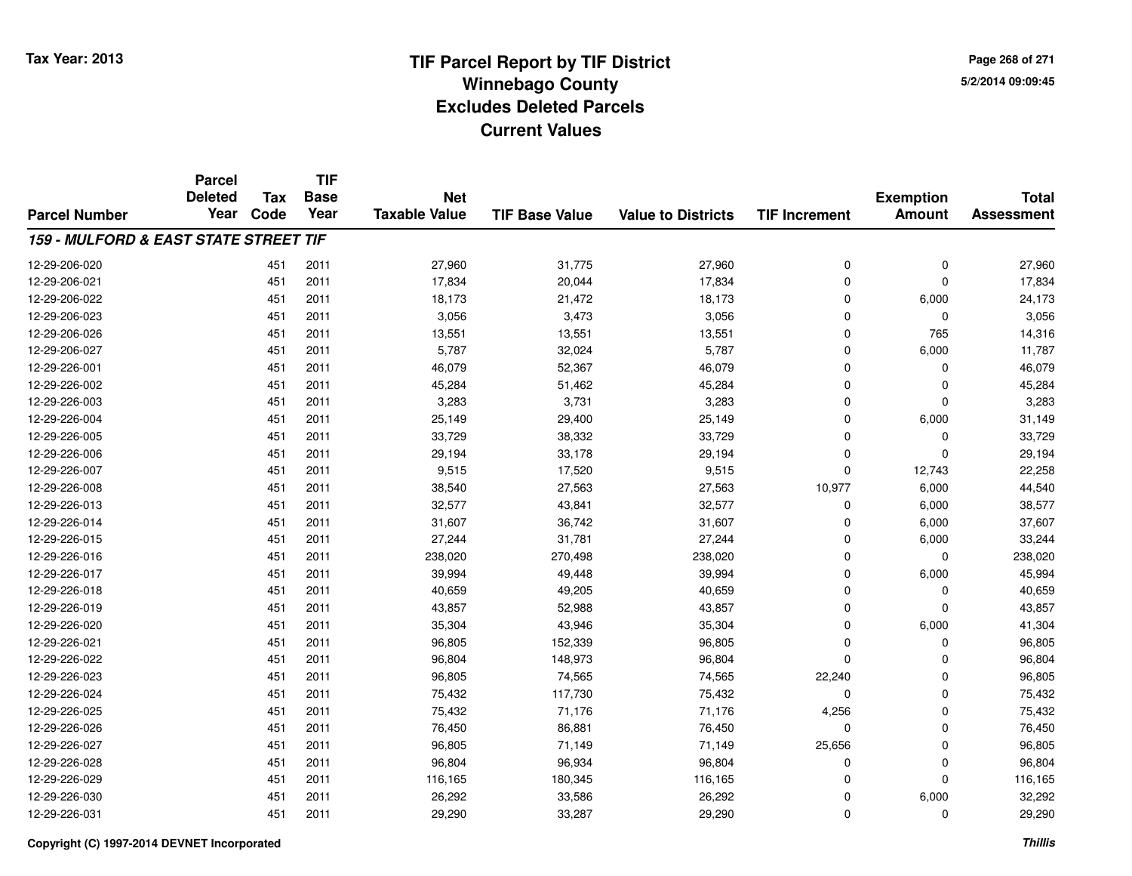**Page 268 of 2715/2/2014 09:09:45**

|                                                  | <b>Parcel</b><br><b>Deleted</b> |      | <b>TIF</b><br><b>Base</b><br><b>Tax</b><br><b>Net</b> |                      |                       | <b>Total</b>              |                      |                                   |                   |
|--------------------------------------------------|---------------------------------|------|-------------------------------------------------------|----------------------|-----------------------|---------------------------|----------------------|-----------------------------------|-------------------|
| <b>Parcel Number</b>                             | Year                            | Code | Year                                                  | <b>Taxable Value</b> | <b>TIF Base Value</b> | <b>Value to Districts</b> | <b>TIF Increment</b> | <b>Exemption</b><br><b>Amount</b> | <b>Assessment</b> |
| <b>159 - MULFORD &amp; EAST STATE STREET TIF</b> |                                 |      |                                                       |                      |                       |                           |                      |                                   |                   |
| 12-29-206-020                                    |                                 | 451  | 2011                                                  | 27,960               | 31,775                | 27,960                    | 0                    | 0                                 | 27,960            |
| 12-29-206-021                                    |                                 | 451  | 2011                                                  | 17,834               | 20,044                | 17,834                    | 0                    | $\Omega$                          | 17,834            |
| 12-29-206-022                                    |                                 | 451  | 2011                                                  | 18,173               | 21,472                | 18,173                    | 0                    | 6,000                             | 24,173            |
| 12-29-206-023                                    |                                 | 451  | 2011                                                  | 3,056                | 3,473                 | 3,056                     | 0                    | $\mathbf 0$                       | 3,056             |
| 12-29-206-026                                    |                                 | 451  | 2011                                                  | 13,551               | 13,551                | 13,551                    | 0                    | 765                               | 14,316            |
| 12-29-206-027                                    |                                 | 451  | 2011                                                  | 5,787                | 32,024                | 5,787                     | 0                    | 6,000                             | 11,787            |
| 12-29-226-001                                    |                                 | 451  | 2011                                                  | 46,079               | 52,367                | 46,079                    | 0                    | $\Omega$                          | 46,079            |
| 12-29-226-002                                    |                                 | 451  | 2011                                                  | 45,284               | 51,462                | 45,284                    | $\mathbf 0$          | $\Omega$                          | 45,284            |
| 12-29-226-003                                    |                                 | 451  | 2011                                                  | 3,283                | 3,731                 | 3,283                     | 0                    | $\Omega$                          | 3,283             |
| 12-29-226-004                                    |                                 | 451  | 2011                                                  | 25,149               | 29,400                | 25,149                    | $\mathbf 0$          | 6,000                             | 31,149            |
| 12-29-226-005                                    |                                 | 451  | 2011                                                  | 33,729               | 38,332                | 33,729                    | 0                    | $\Omega$                          | 33,729            |
| 12-29-226-006                                    |                                 | 451  | 2011                                                  | 29,194               | 33,178                | 29,194                    | 0                    | $\Omega$                          | 29,194            |
| 12-29-226-007                                    |                                 | 451  | 2011                                                  | 9,515                | 17,520                | 9,515                     | 0                    | 12,743                            | 22,258            |
| 12-29-226-008                                    |                                 | 451  | 2011                                                  | 38,540               | 27,563                | 27,563                    | 10,977               | 6,000                             | 44,540            |
| 12-29-226-013                                    |                                 | 451  | 2011                                                  | 32,577               | 43,841                | 32,577                    | 0                    | 6,000                             | 38,577            |
| 12-29-226-014                                    |                                 | 451  | 2011                                                  | 31,607               | 36,742                | 31,607                    | 0                    | 6,000                             | 37,607            |
| 12-29-226-015                                    |                                 | 451  | 2011                                                  | 27,244               | 31,781                | 27,244                    | 0                    | 6,000                             | 33,244            |
| 12-29-226-016                                    |                                 | 451  | 2011                                                  | 238,020              | 270,498               | 238,020                   | 0                    | $\mathbf 0$                       | 238,020           |
| 12-29-226-017                                    |                                 | 451  | 2011                                                  | 39,994               | 49,448                | 39,994                    | 0                    | 6,000                             | 45,994            |
| 12-29-226-018                                    |                                 | 451  | 2011                                                  | 40,659               | 49,205                | 40,659                    | 0                    | 0                                 | 40,659            |
| 12-29-226-019                                    |                                 | 451  | 2011                                                  | 43,857               | 52,988                | 43,857                    | 0                    | $\mathbf 0$                       | 43,857            |
| 12-29-226-020                                    |                                 | 451  | 2011                                                  | 35,304               | 43,946                | 35,304                    | $\mathbf 0$          | 6,000                             | 41,304            |
| 12-29-226-021                                    |                                 | 451  | 2011                                                  | 96,805               | 152,339               | 96,805                    | 0                    | 0                                 | 96,805            |
| 12-29-226-022                                    |                                 | 451  | 2011                                                  | 96,804               | 148,973               | 96,804                    | 0                    | $\Omega$                          | 96,804            |
| 12-29-226-023                                    |                                 | 451  | 2011                                                  | 96,805               | 74,565                | 74,565                    | 22,240               | 0                                 | 96,805            |
| 12-29-226-024                                    |                                 | 451  | 2011                                                  | 75,432               | 117,730               | 75,432                    | 0                    | $\Omega$                          | 75,432            |
| 12-29-226-025                                    |                                 | 451  | 2011                                                  | 75,432               | 71,176                | 71,176                    | 4,256                | $\mathbf 0$                       | 75,432            |
| 12-29-226-026                                    |                                 | 451  | 2011                                                  | 76,450               | 86,881                | 76,450                    | 0                    | $\Omega$                          | 76,450            |
| 12-29-226-027                                    |                                 | 451  | 2011                                                  | 96,805               | 71,149                | 71,149                    | 25,656               | $\mathbf 0$                       | 96,805            |
| 12-29-226-028                                    |                                 | 451  | 2011                                                  | 96,804               | 96,934                | 96,804                    | 0                    | $\Omega$                          | 96,804            |
| 12-29-226-029                                    |                                 | 451  | 2011                                                  | 116,165              | 180,345               | 116,165                   | $\mathbf 0$          | $\Omega$                          | 116,165           |
| 12-29-226-030                                    |                                 | 451  | 2011                                                  | 26,292               | 33,586                | 26,292                    | 0                    | 6,000                             | 32,292            |
| 12-29-226-031                                    |                                 | 451  | 2011                                                  | 29,290               | 33,287                | 29,290                    | 0                    | $\Omega$                          | 29,290            |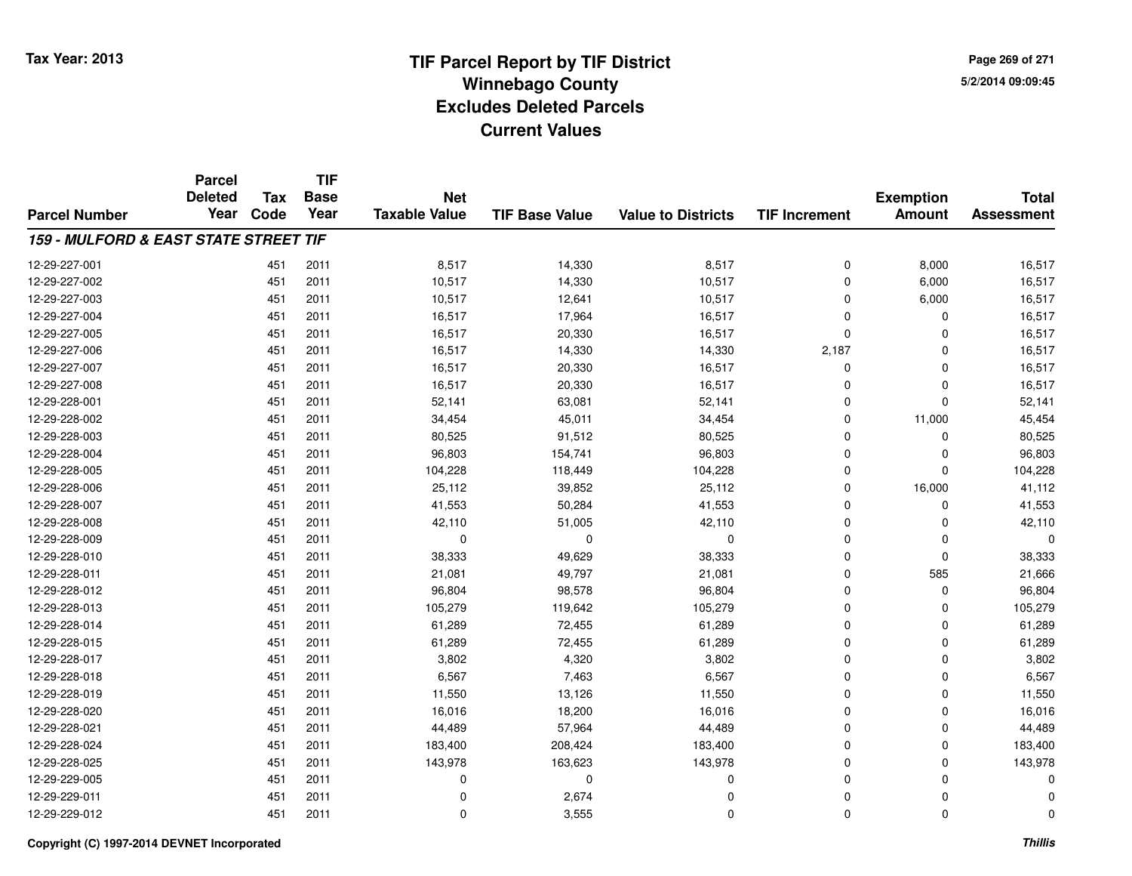**Page 269 of 2715/2/2014 09:09:45**

|                                                  | <b>Parcel</b><br><b>Deleted</b><br>Year | <b>Tax</b><br>Code | <b>TIF</b><br><b>Base</b><br>Year | <b>Net</b><br><b>Taxable Value</b> | <b>TIF Base Value</b> | <b>Value to Districts</b> | <b>TIF Increment</b> | <b>Exemption</b><br><b>Amount</b> | <b>Total</b><br><b>Assessment</b> |
|--------------------------------------------------|-----------------------------------------|--------------------|-----------------------------------|------------------------------------|-----------------------|---------------------------|----------------------|-----------------------------------|-----------------------------------|
|                                                  |                                         |                    |                                   |                                    |                       |                           |                      |                                   |                                   |
| <b>159 - MULFORD &amp; EAST STATE STREET TIF</b> |                                         |                    |                                   |                                    |                       |                           |                      |                                   |                                   |
| 12-29-227-001                                    |                                         | 451                | 2011                              | 8,517                              | 14,330                | 8,517                     | 0                    | 8,000                             | 16,517                            |
| 12-29-227-002                                    |                                         | 451                | 2011                              | 10,517                             | 14,330                | 10,517                    | $\Omega$             | 6,000                             | 16,517                            |
| 12-29-227-003                                    |                                         | 451                | 2011                              | 10,517                             | 12,641                | 10,517                    | $\Omega$             | 6,000                             | 16,517                            |
| 12-29-227-004                                    |                                         | 451                | 2011                              | 16,517                             | 17,964                | 16,517                    | $\Omega$             | 0                                 | 16,517                            |
| 12-29-227-005                                    |                                         | 451                | 2011                              | 16,517                             | 20,330                | 16,517                    | $\Omega$             | 0                                 | 16,517                            |
| 12-29-227-006                                    |                                         | 451                | 2011                              | 16,517                             | 14,330                | 14,330                    | 2,187                | $\Omega$                          | 16,517                            |
| 12-29-227-007                                    |                                         | 451                | 2011                              | 16,517                             | 20,330                | 16,517                    | $\mathbf 0$          | $\mathbf 0$                       | 16,517                            |
| 12-29-227-008                                    |                                         | 451                | 2011                              | 16,517                             | 20,330                | 16,517                    | $\Omega$             | $\mathbf 0$                       | 16,517                            |
| 12-29-228-001                                    |                                         | 451                | 2011                              | 52,141                             | 63,081                | 52,141                    | $\mathbf 0$          | $\mathbf 0$                       | 52,141                            |
| 12-29-228-002                                    |                                         | 451                | 2011                              | 34,454                             | 45,011                | 34,454                    | $\Omega$             | 11,000                            | 45,454                            |
| 12-29-228-003                                    |                                         | 451                | 2011                              | 80,525                             | 91,512                | 80,525                    | $\Omega$             | $\Omega$                          | 80,525                            |
| 12-29-228-004                                    |                                         | 451                | 2011                              | 96,803                             | 154,741               | 96,803                    | $\Omega$             | 0                                 | 96,803                            |
| 12-29-228-005                                    |                                         | 451                | 2011                              | 104,228                            | 118,449               | 104,228                   | $\Omega$             | $\Omega$                          | 104,228                           |
| 12-29-228-006                                    |                                         | 451                | 2011                              | 25,112                             | 39,852                | 25,112                    | $\mathbf 0$          | 16,000                            | 41,112                            |
| 12-29-228-007                                    |                                         | 451                | 2011                              | 41,553                             | 50,284                | 41,553                    | $\Omega$             | $\mathbf 0$                       | 41,553                            |
| 12-29-228-008                                    |                                         | 451                | 2011                              | 42,110                             | 51,005                | 42,110                    | $\mathbf 0$          | 0                                 | 42,110                            |
| 12-29-228-009                                    |                                         | 451                | 2011                              | $\mathbf 0$                        | $\mathbf 0$           | $\mathbf 0$               | $\Omega$             | 0                                 |                                   |
| 12-29-228-010                                    |                                         | 451                | 2011                              | 38,333                             | 49,629                | 38,333                    | $\mathbf 0$          | $\mathbf 0$                       | 38,333                            |
| 12-29-228-011                                    |                                         | 451                | 2011                              | 21,081                             | 49,797                | 21,081                    | $\mathbf 0$          | 585                               | 21,666                            |
| 12-29-228-012                                    |                                         | 451                | 2011                              | 96,804                             | 98,578                | 96,804                    | $\mathbf 0$          | $\mathbf 0$                       | 96,804                            |
| 12-29-228-013                                    |                                         | 451                | 2011                              | 105,279                            | 119,642               | 105,279                   | $\mathbf 0$          | 0                                 | 105,279                           |
| 12-29-228-014                                    |                                         | 451                | 2011                              | 61,289                             | 72,455                | 61,289                    | $\Omega$             | $\mathbf 0$                       | 61,289                            |
| 12-29-228-015                                    |                                         | 451                | 2011                              | 61,289                             | 72,455                | 61,289                    | $\mathbf 0$          | $\mathbf 0$                       | 61,289                            |
| 12-29-228-017                                    |                                         | 451                | 2011                              | 3,802                              | 4,320                 | 3,802                     | $\Omega$             | $\mathbf 0$                       | 3,802                             |
| 12-29-228-018                                    |                                         | 451                | 2011                              | 6,567                              | 7,463                 | 6,567                     | $\mathbf 0$          | $\mathbf 0$                       | 6,567                             |
| 12-29-228-019                                    |                                         | 451                | 2011                              | 11,550                             | 13,126                | 11,550                    | $\Omega$             | $\mathbf 0$                       | 11,550                            |
| 12-29-228-020                                    |                                         | 451                | 2011                              | 16,016                             | 18,200                | 16,016                    | $\mathbf 0$          | $\mathbf 0$                       | 16,016                            |
| 12-29-228-021                                    |                                         | 451                | 2011                              | 44,489                             | 57,964                | 44,489                    | $\Omega$             | 0                                 | 44,489                            |
| 12-29-228-024                                    |                                         | 451                | 2011                              | 183,400                            | 208,424               | 183,400                   | $\mathbf 0$          | $\mathbf 0$                       | 183,400                           |
| 12-29-228-025                                    |                                         | 451                | 2011                              | 143,978                            | 163,623               | 143,978                   | $\mathbf 0$          | 0                                 | 143,978                           |
| 12-29-229-005                                    |                                         | 451                | 2011                              | 0                                  | $\mathbf 0$           | 0                         | $\Omega$             | 0                                 |                                   |
| 12-29-229-011                                    |                                         | 451                | 2011                              | 0                                  | 2,674                 | $\Omega$                  | $\mathbf 0$          | 0                                 |                                   |
| 12-29-229-012                                    |                                         | 451                | 2011                              | $\mathbf 0$                        | 3,555                 | $\Omega$                  | $\Omega$             | $\mathbf 0$                       | O                                 |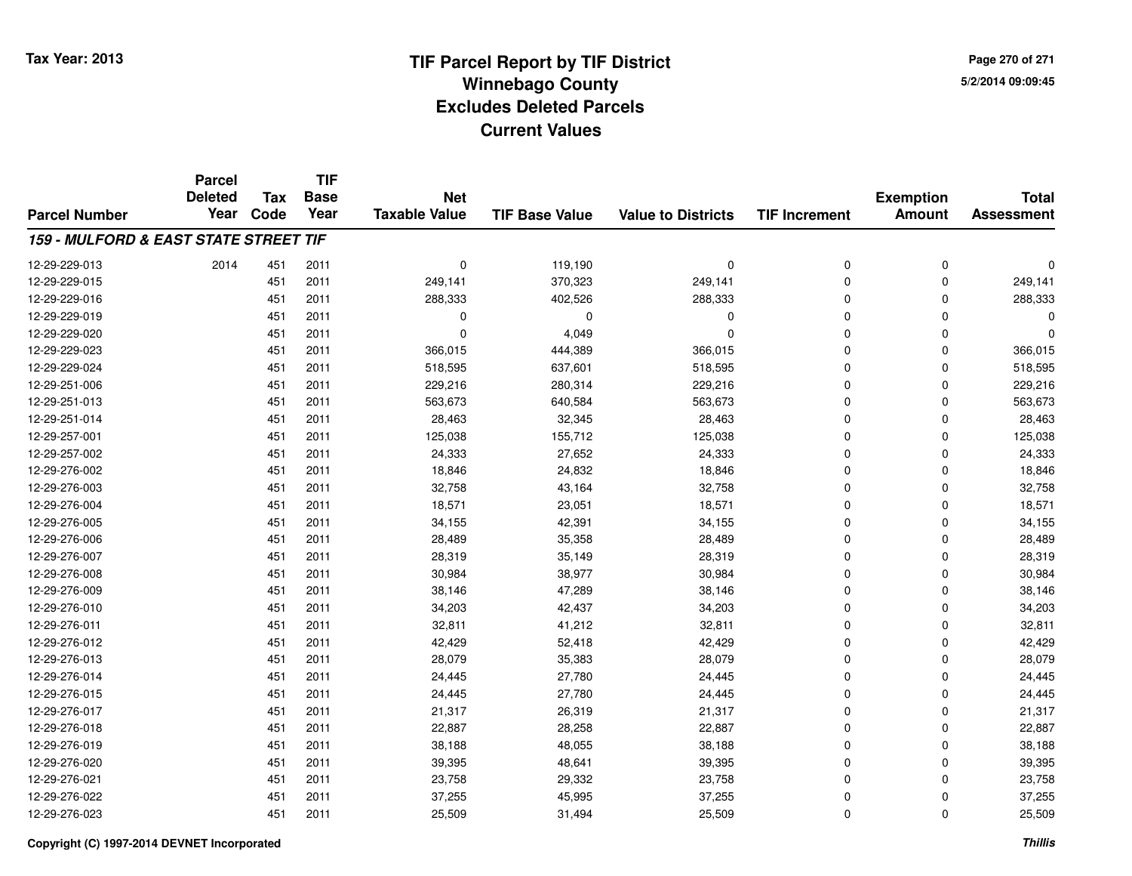**TIF**

**Parcel**

**Page 270 of 2715/2/2014 09:09:45**

#### **TIF Base ValueParcel NumberTotal AssessmentExemption Amount Value to Districts TIF Increment Base YearTax Code Deleted YearNet Taxable Value159 - MULFORD & EAST STATE STREET TIF**12-29-229-013 <sup>2014</sup> <sup>451</sup> <sup>2011</sup> <sup>0</sup> 119,190 <sup>0</sup> <sup>0</sup> <sup>0</sup> <sup>0</sup> 12-29-229-015 <sup>451</sup> 249,141 <sup>2011</sup> 370,323 249,141 <sup>0</sup> <sup>0</sup> 249,141 12-29-229-016 <sup>451</sup> 288,333 <sup>2011</sup> 402,526 288,333 <sup>0</sup> <sup>0</sup> 288,333 12-29-229-019 <sup>451</sup> <sup>0</sup> <sup>2011</sup> <sup>0</sup> <sup>0</sup> <sup>0</sup> <sup>0</sup> <sup>0</sup> 12-29-229-0200 0  $\frac{451}{2011}$  0  $\frac{4,049}{10}$  0 0 0 0 0 0 12-29-229-0233 451 2011 366,015 444,389 366,015 0 366,015 12-29-229-024 <sup>451</sup> 518,595 <sup>2011</sup> 637,601 518,595 <sup>0</sup> <sup>0</sup> 518,595 12-29-251-006 <sup>451</sup> 229,216 <sup>2011</sup> 280,314 229,216 <sup>0</sup> <sup>0</sup> 229,216 12-29-251-0133 451 2011 563,673 640,584 563,673 0 0 563,673 12-29-251-0144 28,463 2011 28,463 32,345 28,463 0 0 0 28,463 12-29-257-001 <sup>451</sup> 125,038 <sup>2011</sup> 155,712 125,038 <sup>0</sup> <sup>0</sup> 125,038 12-29-257-0022 451 2011 24,333 27,652 24,333 0 0 24,333 12-29-276-0022 451 2011 18,846 24,832 18,846 0 0 18,846 12-29-276-0033 451 2011 32,758 43,164 32,758 0 32,758 12-29-276-004 <sup>451</sup> 18,571 <sup>2011</sup> 23,051 18,571 <sup>0</sup> <sup>0</sup> 18,571 12-29-276-005 <sup>451</sup> 34,155 <sup>2011</sup> 42,391 34,155 <sup>0</sup> <sup>0</sup> 34,155 12-29-276-006 <sup>451</sup> 28,489 <sup>2011</sup> 35,358 28,489 <sup>0</sup> <sup>0</sup> 28,489 12-29-276-007 <sup>451</sup> 28,319 <sup>2011</sup> 35,149 28,319 <sup>0</sup> <sup>0</sup> 28,319 12-29-276-008 <sup>451</sup> 30,984 <sup>2011</sup> 38,977 30,984 <sup>0</sup> <sup>0</sup> 30,984 12-29-276-0099 451 2011 38,146 47,289 38,146 0 0 38,146 12-29-276-0100 451 2011 34,203 42,437 34,203 0 0 34,203 12-29-276-0111 451 2011 32,811 41,212 32,811 0 0 32,811 12-29-276-0122 451 2011 42,429 52,418 42,429 0 42,429 12-29-276-0133 451 2011 28,079 35,383 28,079 0 0 28,079 12-29-276-014 <sup>451</sup> 24,445 <sup>2011</sup> 27,780 24,445 <sup>0</sup> <sup>0</sup> 24,445 12-29-276-015 <sup>451</sup> 24,445 <sup>2011</sup> 27,780 24,445 <sup>0</sup> <sup>0</sup> 24,445 12-29-276-017 <sup>451</sup> 21,317 <sup>2011</sup> 26,319 21,317 <sup>0</sup> <sup>0</sup> 21,317 12-29-276-018 <sup>451</sup> 22,887 <sup>2011</sup> 28,258 22,887 <sup>0</sup> <sup>0</sup> 22,887 12-29-276-0199 451 2011 38,188 48,055 38,188 0 0 38,188 12-29-276-0200 451 2011 39,395 48,641 39,395 0 0 39,395 12-29-276-021 <sup>451</sup> 23,758 <sup>2011</sup> 29,332 23,758 <sup>0</sup> <sup>0</sup> 23,758 12-29-276-022 <sup>451</sup> 37,255 <sup>2011</sup> 45,995 37,255 <sup>0</sup> <sup>0</sup> 37,255 12-29-276-0233 451 2011 25,509 31,494 25,509 0 0 25,509